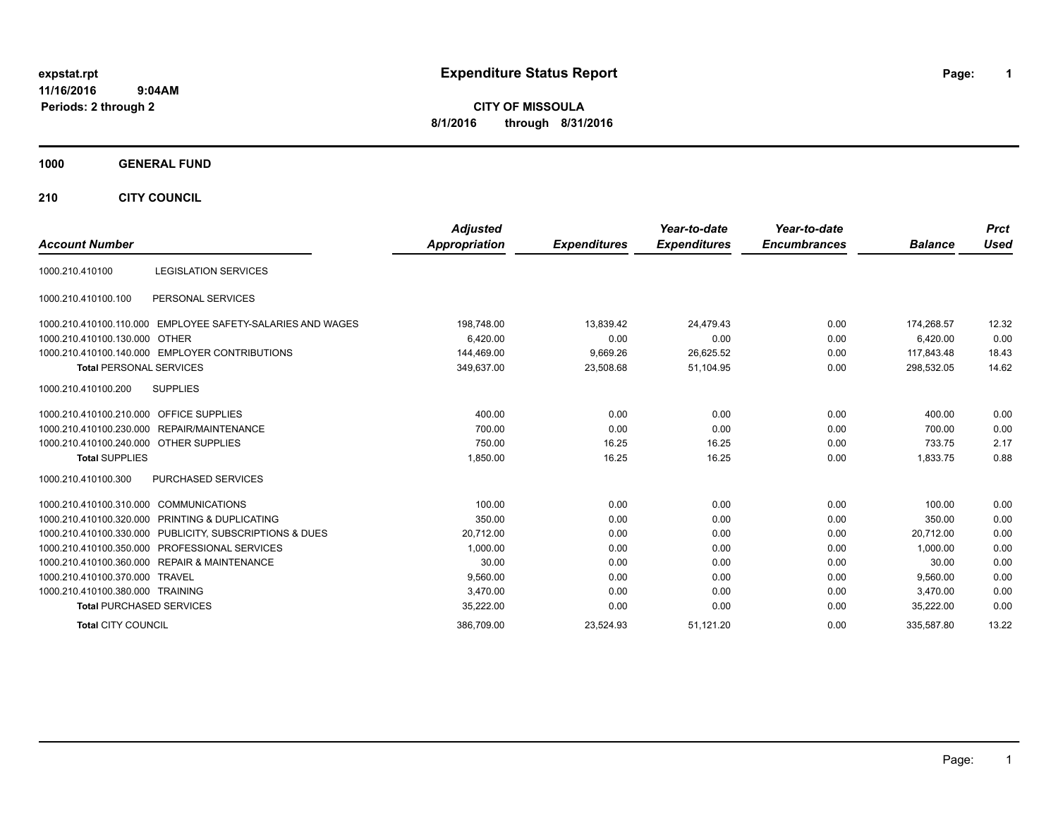# **expstat.rpt Expenditure Status Report Page:**

**1**

**CITY OF MISSOULA 8/1/2016 through 8/31/2016**

## **1000 GENERAL FUND**

**210 CITY COUNCIL**

|                                         |                                                         | <b>Adjusted</b>      |                     | Year-to-date        | Year-to-date        |                | <b>Prct</b> |
|-----------------------------------------|---------------------------------------------------------|----------------------|---------------------|---------------------|---------------------|----------------|-------------|
| <b>Account Number</b>                   |                                                         | <b>Appropriation</b> | <b>Expenditures</b> | <b>Expenditures</b> | <b>Encumbrances</b> | <b>Balance</b> | <b>Used</b> |
| 1000.210.410100                         | <b>LEGISLATION SERVICES</b>                             |                      |                     |                     |                     |                |             |
| 1000.210.410100.100                     | PERSONAL SERVICES                                       |                      |                     |                     |                     |                |             |
| 1000.210.410100.110.000                 | EMPLOYEE SAFETY-SALARIES AND WAGES                      | 198,748.00           | 13,839.42           | 24,479.43           | 0.00                | 174,268.57     | 12.32       |
| 1000.210.410100.130.000 OTHER           |                                                         | 6,420.00             | 0.00                | 0.00                | 0.00                | 6,420.00       | 0.00        |
|                                         | 1000.210.410100.140.000 EMPLOYER CONTRIBUTIONS          | 144,469.00           | 9,669.26            | 26,625.52           | 0.00                | 117.843.48     | 18.43       |
| <b>Total PERSONAL SERVICES</b>          |                                                         | 349,637.00           | 23,508.68           | 51,104.95           | 0.00                | 298,532.05     | 14.62       |
| 1000.210.410100.200                     | <b>SUPPLIES</b>                                         |                      |                     |                     |                     |                |             |
| 1000.210.410100.210.000 OFFICE SUPPLIES |                                                         | 400.00               | 0.00                | 0.00                | 0.00                | 400.00         | 0.00        |
|                                         | 1000.210.410100.230.000 REPAIR/MAINTENANCE              | 700.00               | 0.00                | 0.00                | 0.00                | 700.00         | 0.00        |
| 1000.210.410100.240.000 OTHER SUPPLIES  |                                                         | 750.00               | 16.25               | 16.25               | 0.00                | 733.75         | 2.17        |
| <b>Total SUPPLIES</b>                   |                                                         | 1,850.00             | 16.25               | 16.25               | 0.00                | 1,833.75       | 0.88        |
| 1000.210.410100.300                     | <b>PURCHASED SERVICES</b>                               |                      |                     |                     |                     |                |             |
| 1000.210.410100.310.000                 | <b>COMMUNICATIONS</b>                                   | 100.00               | 0.00                | 0.00                | 0.00                | 100.00         | 0.00        |
|                                         | 1000.210.410100.320.000 PRINTING & DUPLICATING          | 350.00               | 0.00                | 0.00                | 0.00                | 350.00         | 0.00        |
|                                         | 1000.210.410100.330.000 PUBLICITY, SUBSCRIPTIONS & DUES | 20,712.00            | 0.00                | 0.00                | 0.00                | 20.712.00      | 0.00        |
|                                         | 1000.210.410100.350.000 PROFESSIONAL SERVICES           | 1,000.00             | 0.00                | 0.00                | 0.00                | 1.000.00       | 0.00        |
|                                         | 1000.210.410100.360.000 REPAIR & MAINTENANCE            | 30.00                | 0.00                | 0.00                | 0.00                | 30.00          | 0.00        |
| 1000.210.410100.370.000 TRAVEL          |                                                         | 9,560.00             | 0.00                | 0.00                | 0.00                | 9.560.00       | 0.00        |
| 1000.210.410100.380.000 TRAINING        |                                                         | 3,470.00             | 0.00                | 0.00                | 0.00                | 3.470.00       | 0.00        |
| <b>Total PURCHASED SERVICES</b>         |                                                         | 35,222.00            | 0.00                | 0.00                | 0.00                | 35,222.00      | 0.00        |
| <b>Total CITY COUNCIL</b>               |                                                         | 386,709.00           | 23,524.93           | 51,121.20           | 0.00                | 335,587.80     | 13.22       |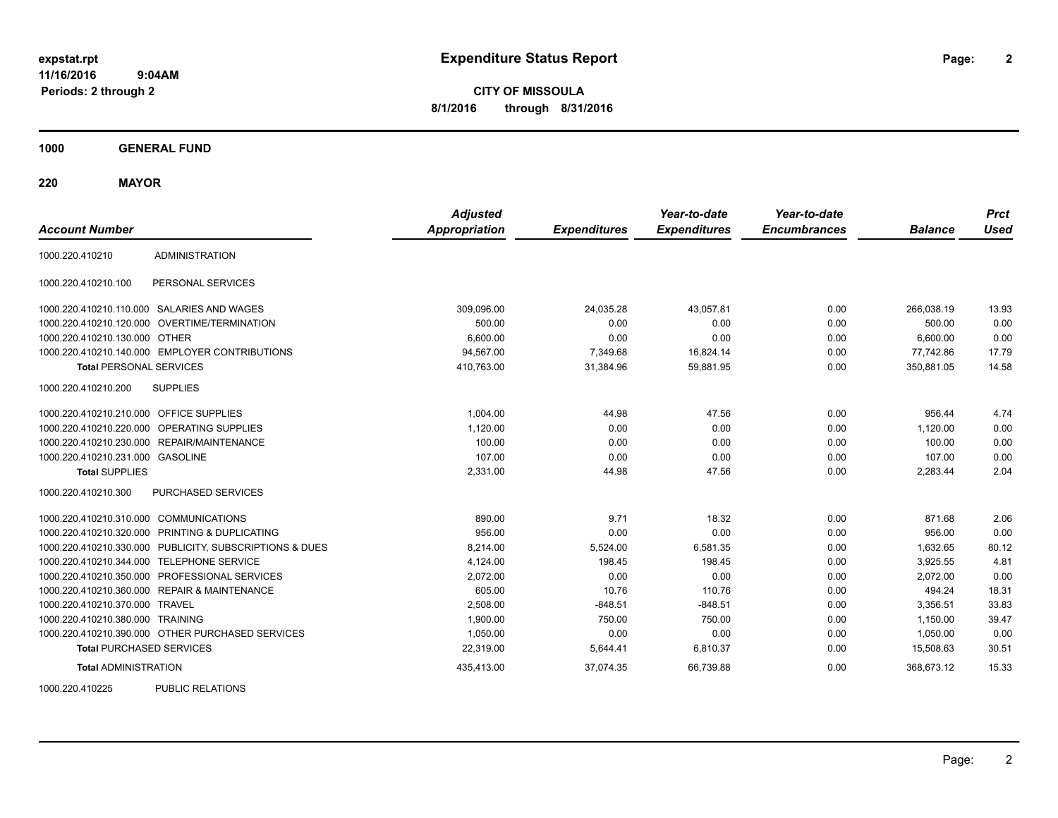**2**

**CITY OF MISSOULA 8/1/2016 through 8/31/2016**

**1000 GENERAL FUND**

**220 MAYOR**

| <b>Account Number</b>                   |                                                         | <b>Adjusted</b><br><b>Appropriation</b> | <b>Expenditures</b> | Year-to-date<br><b>Expenditures</b> | Year-to-date<br><b>Encumbrances</b> | <b>Balance</b> | <b>Prct</b><br><b>Used</b> |
|-----------------------------------------|---------------------------------------------------------|-----------------------------------------|---------------------|-------------------------------------|-------------------------------------|----------------|----------------------------|
| 1000.220.410210                         | <b>ADMINISTRATION</b>                                   |                                         |                     |                                     |                                     |                |                            |
| 1000.220.410210.100                     | PERSONAL SERVICES                                       |                                         |                     |                                     |                                     |                |                            |
|                                         | 1000.220.410210.110.000 SALARIES AND WAGES              | 309,096.00                              | 24,035.28           | 43,057.81                           | 0.00                                | 266,038.19     | 13.93                      |
|                                         | 1000.220.410210.120.000 OVERTIME/TERMINATION            | 500.00                                  | 0.00                | 0.00                                | 0.00                                | 500.00         | 0.00                       |
| 1000.220.410210.130.000                 | <b>OTHER</b>                                            | 6.600.00                                | 0.00                | 0.00                                | 0.00                                | 6,600.00       | 0.00                       |
|                                         | 1000.220.410210.140.000 EMPLOYER CONTRIBUTIONS          | 94,567.00                               | 7,349.68            | 16,824.14                           | 0.00                                | 77,742.86      | 17.79                      |
| <b>Total PERSONAL SERVICES</b>          |                                                         | 410,763.00                              | 31,384.96           | 59,881.95                           | 0.00                                | 350,881.05     | 14.58                      |
| 1000.220.410210.200                     | <b>SUPPLIES</b>                                         |                                         |                     |                                     |                                     |                |                            |
| 1000.220.410210.210.000 OFFICE SUPPLIES |                                                         | 1,004.00                                | 44.98               | 47.56                               | 0.00                                | 956.44         | 4.74                       |
| 1000.220.410210.220.000                 | <b>OPERATING SUPPLIES</b>                               | 1.120.00                                | 0.00                | 0.00                                | 0.00                                | 1.120.00       | 0.00                       |
| 1000.220.410210.230.000                 | REPAIR/MAINTENANCE                                      | 100.00                                  | 0.00                | 0.00                                | 0.00                                | 100.00         | 0.00                       |
| 1000.220.410210.231.000 GASOLINE        |                                                         | 107.00                                  | 0.00                | 0.00                                | 0.00                                | 107.00         | 0.00                       |
| <b>Total SUPPLIES</b>                   |                                                         | 2,331.00                                | 44.98               | 47.56                               | 0.00                                | 2,283.44       | 2.04                       |
| 1000.220.410210.300                     | PURCHASED SERVICES                                      |                                         |                     |                                     |                                     |                |                            |
| 1000.220.410210.310.000                 | <b>COMMUNICATIONS</b>                                   | 890.00                                  | 9.71                | 18.32                               | 0.00                                | 871.68         | 2.06                       |
| 1000.220.410210.320.000                 | PRINTING & DUPLICATING                                  | 956.00                                  | 0.00                | 0.00                                | 0.00                                | 956.00         | 0.00                       |
|                                         | 1000.220.410210.330.000 PUBLICITY, SUBSCRIPTIONS & DUES | 8,214.00                                | 5,524.00            | 6,581.35                            | 0.00                                | 1,632.65       | 80.12                      |
| 1000.220.410210.344.000                 | <b>TELEPHONE SERVICE</b>                                | 4,124.00                                | 198.45              | 198.45                              | 0.00                                | 3,925.55       | 4.81                       |
|                                         | 1000.220.410210.350.000 PROFESSIONAL SERVICES           | 2,072.00                                | 0.00                | 0.00                                | 0.00                                | 2,072.00       | 0.00                       |
|                                         | 1000.220.410210.360.000 REPAIR & MAINTENANCE            | 605.00                                  | 10.76               | 110.76                              | 0.00                                | 494.24         | 18.31                      |
| 1000.220.410210.370.000 TRAVEL          |                                                         | 2,508.00                                | $-848.51$           | $-848.51$                           | 0.00                                | 3,356.51       | 33.83                      |
| 1000.220.410210.380.000 TRAINING        |                                                         | 1,900.00                                | 750.00              | 750.00                              | 0.00                                | 1.150.00       | 39.47                      |
|                                         | 1000.220.410210.390.000 OTHER PURCHASED SERVICES        | 1,050.00                                | 0.00                | 0.00                                | 0.00                                | 1,050.00       | 0.00                       |
| <b>Total PURCHASED SERVICES</b>         |                                                         | 22,319.00                               | 5,644.41            | 6,810.37                            | 0.00                                | 15,508.63      | 30.51                      |
| <b>Total ADMINISTRATION</b>             |                                                         | 435,413.00                              | 37.074.35           | 66,739.88                           | 0.00                                | 368,673.12     | 15.33                      |

1000.220.410225 PUBLIC RELATIONS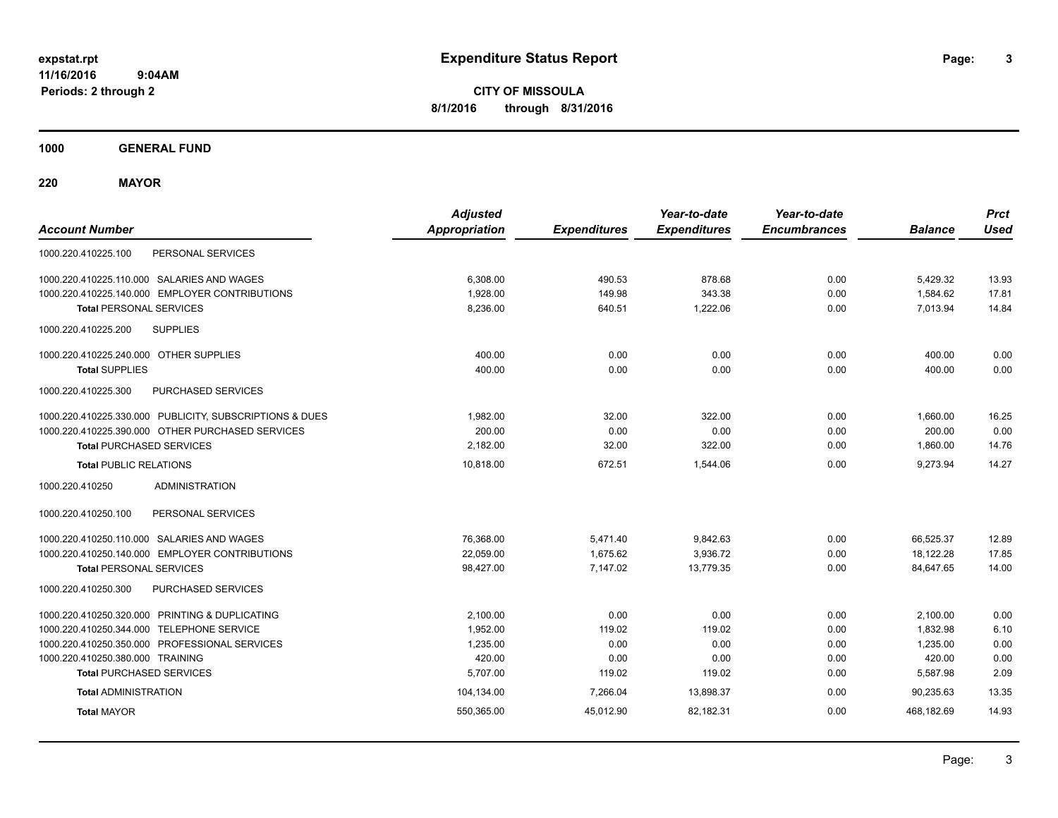**CITY OF MISSOULA 8/1/2016 through 8/31/2016**

**1000 GENERAL FUND**

**220 MAYOR**

| <b>Account Number</b>                                   | <b>Adjusted</b><br><b>Appropriation</b> | <b>Expenditures</b> | Year-to-date<br><b>Expenditures</b> | Year-to-date<br><b>Encumbrances</b> | <b>Balance</b> | <b>Prct</b><br><b>Used</b> |
|---------------------------------------------------------|-----------------------------------------|---------------------|-------------------------------------|-------------------------------------|----------------|----------------------------|
| 1000.220.410225.100<br>PERSONAL SERVICES                |                                         |                     |                                     |                                     |                |                            |
| 1000.220.410225.110.000 SALARIES AND WAGES              | 6,308.00                                | 490.53              | 878.68                              | 0.00                                | 5,429.32       | 13.93                      |
| 1000.220.410225.140.000 EMPLOYER CONTRIBUTIONS          | 1,928.00                                | 149.98              | 343.38                              | 0.00                                | 1,584.62       | 17.81                      |
| <b>Total PERSONAL SERVICES</b>                          | 8,236.00                                | 640.51              | 1,222.06                            | 0.00                                | 7,013.94       | 14.84                      |
| 1000.220.410225.200<br><b>SUPPLIES</b>                  |                                         |                     |                                     |                                     |                |                            |
| 1000.220.410225.240.000 OTHER SUPPLIES                  | 400.00                                  | 0.00                | 0.00                                | 0.00                                | 400.00         | 0.00                       |
| <b>Total SUPPLIES</b>                                   | 400.00                                  | 0.00                | 0.00                                | 0.00                                | 400.00         | 0.00                       |
| 1000.220.410225.300<br>PURCHASED SERVICES               |                                         |                     |                                     |                                     |                |                            |
| 1000.220.410225.330.000 PUBLICITY, SUBSCRIPTIONS & DUES | 1,982.00                                | 32.00               | 322.00                              | 0.00                                | 1,660.00       | 16.25                      |
| 1000.220.410225.390.000 OTHER PURCHASED SERVICES        | 200.00                                  | 0.00                | 0.00                                | 0.00                                | 200.00         | 0.00                       |
| <b>Total PURCHASED SERVICES</b>                         | 2,182.00                                | 32.00               | 322.00                              | 0.00                                | 1,860.00       | 14.76                      |
| <b>Total PUBLIC RELATIONS</b>                           | 10,818.00                               | 672.51              | 1.544.06                            | 0.00                                | 9.273.94       | 14.27                      |
| 1000.220.410250<br><b>ADMINISTRATION</b>                |                                         |                     |                                     |                                     |                |                            |
| PERSONAL SERVICES<br>1000.220.410250.100                |                                         |                     |                                     |                                     |                |                            |
| 1000.220.410250.110.000 SALARIES AND WAGES              | 76,368.00                               | 5,471.40            | 9,842.63                            | 0.00                                | 66,525.37      | 12.89                      |
| 1000.220.410250.140.000 EMPLOYER CONTRIBUTIONS          | 22,059.00                               | 1,675.62            | 3,936.72                            | 0.00                                | 18,122.28      | 17.85                      |
| <b>Total PERSONAL SERVICES</b>                          | 98,427.00                               | 7,147.02            | 13,779.35                           | 0.00                                | 84,647.65      | 14.00                      |
| 1000.220.410250.300<br>PURCHASED SERVICES               |                                         |                     |                                     |                                     |                |                            |
| 1000.220.410250.320.000 PRINTING & DUPLICATING          | 2.100.00                                | 0.00                | 0.00                                | 0.00                                | 2,100.00       | 0.00                       |
| 1000.220.410250.344.000 TELEPHONE SERVICE               | 1,952.00                                | 119.02              | 119.02                              | 0.00                                | 1,832.98       | 6.10                       |
| 1000.220.410250.350.000 PROFESSIONAL SERVICES           | 1,235.00                                | 0.00                | 0.00                                | 0.00                                | 1,235.00       | 0.00                       |
| 1000.220.410250.380.000 TRAINING                        | 420.00                                  | 0.00                | 0.00                                | 0.00                                | 420.00         | 0.00                       |
| <b>Total PURCHASED SERVICES</b>                         | 5,707.00                                | 119.02              | 119.02                              | 0.00                                | 5,587.98       | 2.09                       |
| <b>Total ADMINISTRATION</b>                             | 104,134.00                              | 7,266.04            | 13,898.37                           | 0.00                                | 90,235.63      | 13.35                      |
| <b>Total MAYOR</b>                                      | 550,365.00                              | 45,012.90           | 82,182.31                           | 0.00                                | 468,182.69     | 14.93                      |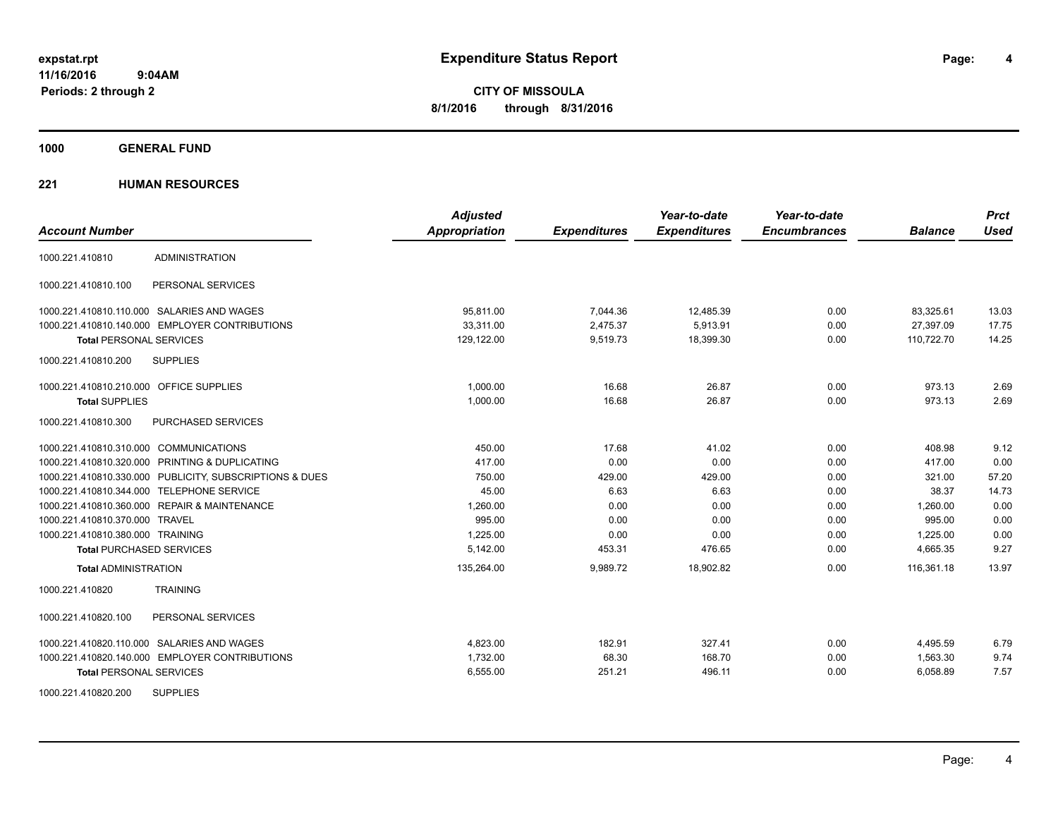**CITY OF MISSOULA 8/1/2016 through 8/31/2016**

**1000 GENERAL FUND**

| <b>Account Number</b>                   |                                                         | <b>Adjusted</b><br><b>Appropriation</b> | <b>Expenditures</b> | Year-to-date<br><b>Expenditures</b> | Year-to-date<br><b>Encumbrances</b> | <b>Balance</b> | <b>Prct</b><br>Used |
|-----------------------------------------|---------------------------------------------------------|-----------------------------------------|---------------------|-------------------------------------|-------------------------------------|----------------|---------------------|
| 1000.221.410810                         | <b>ADMINISTRATION</b>                                   |                                         |                     |                                     |                                     |                |                     |
|                                         |                                                         |                                         |                     |                                     |                                     |                |                     |
| 1000.221.410810.100                     | PERSONAL SERVICES                                       |                                         |                     |                                     |                                     |                |                     |
|                                         | 1000.221.410810.110.000 SALARIES AND WAGES              | 95.811.00                               | 7,044.36            | 12,485.39                           | 0.00                                | 83,325.61      | 13.03               |
|                                         | 1000.221.410810.140.000 EMPLOYER CONTRIBUTIONS          | 33,311.00                               | 2,475.37            | 5,913.91                            | 0.00                                | 27,397.09      | 17.75               |
| <b>Total PERSONAL SERVICES</b>          |                                                         | 129,122.00                              | 9,519.73            | 18,399.30                           | 0.00                                | 110,722.70     | 14.25               |
| 1000.221.410810.200                     | <b>SUPPLIES</b>                                         |                                         |                     |                                     |                                     |                |                     |
| 1000.221.410810.210.000 OFFICE SUPPLIES |                                                         | 1,000.00                                | 16.68               | 26.87                               | 0.00                                | 973.13         | 2.69                |
| <b>Total SUPPLIES</b>                   |                                                         | 1,000.00                                | 16.68               | 26.87                               | 0.00                                | 973.13         | 2.69                |
| 1000.221.410810.300                     | <b>PURCHASED SERVICES</b>                               |                                         |                     |                                     |                                     |                |                     |
| 1000.221.410810.310.000 COMMUNICATIONS  |                                                         | 450.00                                  | 17.68               | 41.02                               | 0.00                                | 408.98         | 9.12                |
|                                         | 1000.221.410810.320.000 PRINTING & DUPLICATING          | 417.00                                  | 0.00                | 0.00                                | 0.00                                | 417.00         | 0.00                |
|                                         | 1000.221.410810.330.000 PUBLICITY, SUBSCRIPTIONS & DUES | 750.00                                  | 429.00              | 429.00                              | 0.00                                | 321.00         | 57.20               |
|                                         | 1000.221.410810.344.000 TELEPHONE SERVICE               | 45.00                                   | 6.63                | 6.63                                | 0.00                                | 38.37          | 14.73               |
|                                         | 1000.221.410810.360.000 REPAIR & MAINTENANCE            | 1.260.00                                | 0.00                | 0.00                                | 0.00                                | 1.260.00       | 0.00                |
| 1000.221.410810.370.000 TRAVEL          |                                                         | 995.00                                  | 0.00                | 0.00                                | 0.00                                | 995.00         | 0.00                |
| 1000.221.410810.380.000 TRAINING        |                                                         | 1,225.00                                | 0.00                | 0.00                                | 0.00                                | 1,225.00       | 0.00                |
| <b>Total PURCHASED SERVICES</b>         |                                                         | 5,142.00                                | 453.31              | 476.65                              | 0.00                                | 4,665.35       | 9.27                |
| <b>Total ADMINISTRATION</b>             |                                                         | 135,264.00                              | 9,989.72            | 18,902.82                           | 0.00                                | 116,361.18     | 13.97               |
| 1000.221.410820                         | <b>TRAINING</b>                                         |                                         |                     |                                     |                                     |                |                     |
| 1000.221.410820.100                     | PERSONAL SERVICES                                       |                                         |                     |                                     |                                     |                |                     |
|                                         | 1000.221.410820.110.000 SALARIES AND WAGES              | 4,823.00                                | 182.91              | 327.41                              | 0.00                                | 4,495.59       | 6.79                |
|                                         | 1000.221.410820.140.000 EMPLOYER CONTRIBUTIONS          | 1,732.00                                | 68.30               | 168.70                              | 0.00                                | 1,563.30       | 9.74                |
| <b>Total PERSONAL SERVICES</b>          |                                                         | 6,555.00                                | 251.21              | 496.11                              | 0.00                                | 6,058.89       | 7.57                |
| 1000.221.410820.200                     | <b>SUPPLIES</b>                                         |                                         |                     |                                     |                                     |                |                     |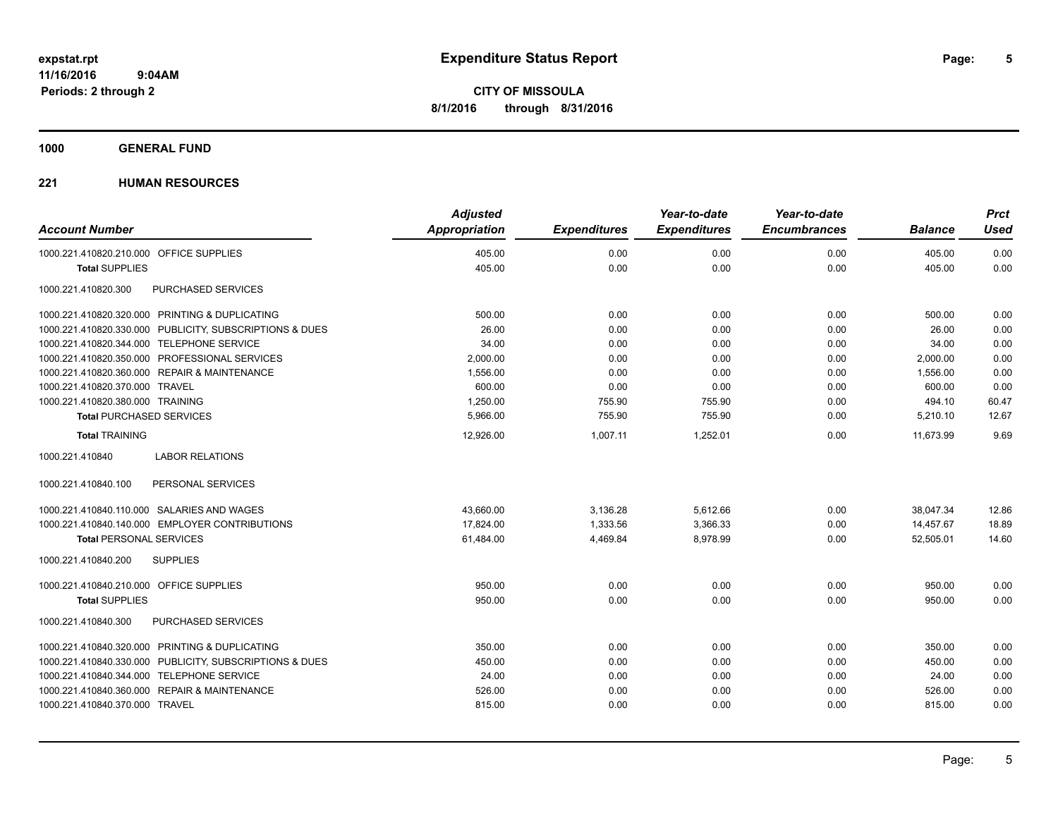**5**

**CITY OF MISSOULA 8/1/2016 through 8/31/2016**

**1000 GENERAL FUND**

| <b>Account Number</b>                                   | <b>Adjusted</b><br><b>Appropriation</b> | <b>Expenditures</b> | Year-to-date<br><b>Expenditures</b> | Year-to-date<br><b>Encumbrances</b> | <b>Balance</b> | <b>Prct</b><br><b>Used</b> |
|---------------------------------------------------------|-----------------------------------------|---------------------|-------------------------------------|-------------------------------------|----------------|----------------------------|
| 1000.221.410820.210.000 OFFICE SUPPLIES                 | 405.00                                  | 0.00                | 0.00                                | 0.00                                | 405.00         | 0.00                       |
| <b>Total SUPPLIES</b>                                   | 405.00                                  | 0.00                | 0.00                                | 0.00                                | 405.00         | 0.00                       |
| 1000.221.410820.300<br>PURCHASED SERVICES               |                                         |                     |                                     |                                     |                |                            |
| 1000.221.410820.320.000 PRINTING & DUPLICATING          | 500.00                                  | 0.00                | 0.00                                | 0.00                                | 500.00         | 0.00                       |
| 1000.221.410820.330.000 PUBLICITY, SUBSCRIPTIONS & DUES | 26.00                                   | 0.00                | 0.00                                | 0.00                                | 26.00          | 0.00                       |
| 1000.221.410820.344.000 TELEPHONE SERVICE               | 34.00                                   | 0.00                | 0.00                                | 0.00                                | 34.00          | 0.00                       |
| 1000.221.410820.350.000 PROFESSIONAL SERVICES           | 2,000.00                                | 0.00                | 0.00                                | 0.00                                | 2,000.00       | 0.00                       |
| 1000.221.410820.360.000 REPAIR & MAINTENANCE            | 1,556.00                                | 0.00                | 0.00                                | 0.00                                | 1,556.00       | 0.00                       |
| 1000.221.410820.370.000 TRAVEL                          | 600.00                                  | 0.00                | 0.00                                | 0.00                                | 600.00         | 0.00                       |
| 1000.221.410820.380.000 TRAINING                        | 1,250.00                                | 755.90              | 755.90                              | 0.00                                | 494.10         | 60.47                      |
| <b>Total PURCHASED SERVICES</b>                         | 5,966.00                                | 755.90              | 755.90                              | 0.00                                | 5,210.10       | 12.67                      |
| <b>Total TRAINING</b>                                   | 12,926.00                               | 1,007.11            | 1,252.01                            | 0.00                                | 11.673.99      | 9.69                       |
| 1000.221.410840<br><b>LABOR RELATIONS</b>               |                                         |                     |                                     |                                     |                |                            |
| 1000.221.410840.100<br>PERSONAL SERVICES                |                                         |                     |                                     |                                     |                |                            |
| 1000.221.410840.110.000 SALARIES AND WAGES              | 43,660.00                               | 3,136.28            | 5,612.66                            | 0.00                                | 38,047.34      | 12.86                      |
| 1000.221.410840.140.000 EMPLOYER CONTRIBUTIONS          | 17.824.00                               | 1,333.56            | 3,366.33                            | 0.00                                | 14,457.67      | 18.89                      |
| <b>Total PERSONAL SERVICES</b>                          | 61,484.00                               | 4,469.84            | 8,978.99                            | 0.00                                | 52,505.01      | 14.60                      |
| 1000.221.410840.200<br><b>SUPPLIES</b>                  |                                         |                     |                                     |                                     |                |                            |
| 1000.221.410840.210.000 OFFICE SUPPLIES                 | 950.00                                  | 0.00                | 0.00                                | 0.00                                | 950.00         | 0.00                       |
| <b>Total SUPPLIES</b>                                   | 950.00                                  | 0.00                | 0.00                                | 0.00                                | 950.00         | 0.00                       |
| PURCHASED SERVICES<br>1000.221.410840.300               |                                         |                     |                                     |                                     |                |                            |
| 1000.221.410840.320.000 PRINTING & DUPLICATING          | 350.00                                  | 0.00                | 0.00                                | 0.00                                | 350.00         | 0.00                       |
| 1000.221.410840.330.000 PUBLICITY, SUBSCRIPTIONS & DUES | 450.00                                  | 0.00                | 0.00                                | 0.00                                | 450.00         | 0.00                       |
| 1000.221.410840.344.000 TELEPHONE SERVICE               | 24.00                                   | 0.00                | 0.00                                | 0.00                                | 24.00          | 0.00                       |
| 1000.221.410840.360.000 REPAIR & MAINTENANCE            | 526.00                                  | 0.00                | 0.00                                | 0.00                                | 526.00         | 0.00                       |
| 1000.221.410840.370.000 TRAVEL                          | 815.00                                  | 0.00                | 0.00                                | 0.00                                | 815.00         | 0.00                       |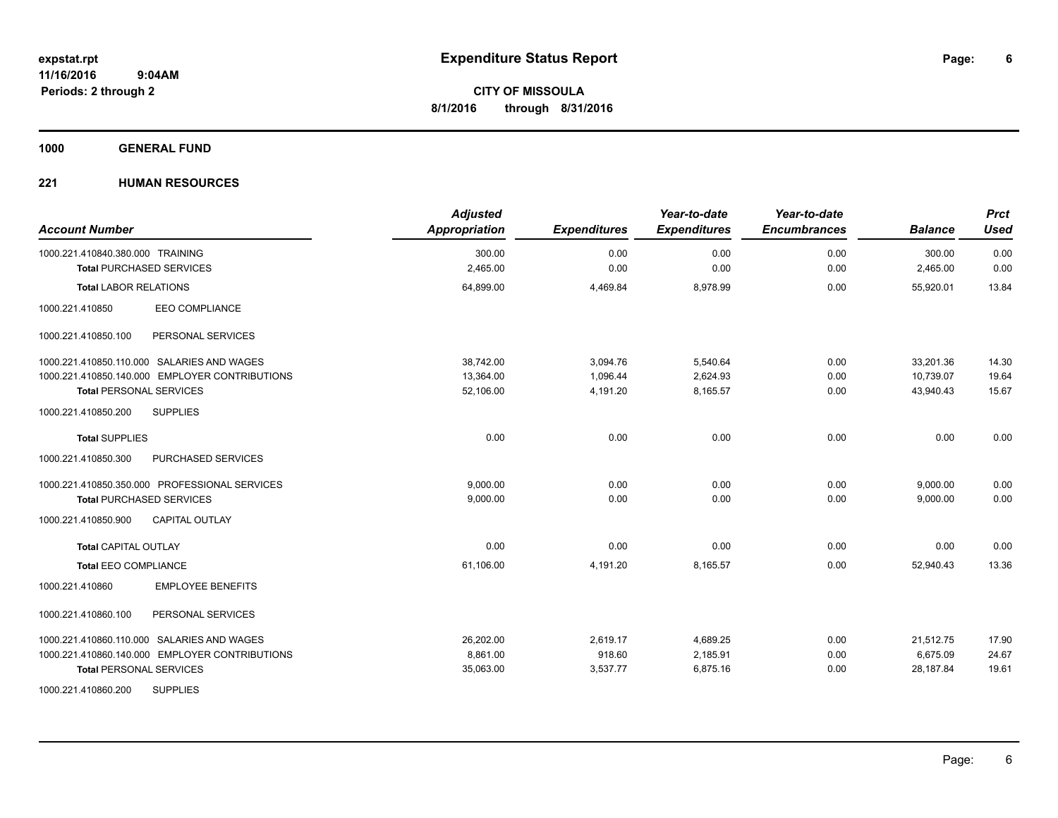**1000 GENERAL FUND**

| <b>Account Number</b>                          | <b>Adjusted</b><br><b>Appropriation</b> | <b>Expenditures</b> | Year-to-date<br><b>Expenditures</b> | Year-to-date<br><b>Encumbrances</b> | <b>Balance</b> | <b>Prct</b><br><b>Used</b> |
|------------------------------------------------|-----------------------------------------|---------------------|-------------------------------------|-------------------------------------|----------------|----------------------------|
| 1000.221.410840.380.000 TRAINING               | 300.00                                  | 0.00                | 0.00                                | 0.00                                | 300.00         | 0.00                       |
| <b>Total PURCHASED SERVICES</b>                | 2,465.00                                | 0.00                | 0.00                                | 0.00                                | 2,465.00       | 0.00                       |
| <b>Total LABOR RELATIONS</b>                   | 64,899.00                               | 4,469.84            | 8,978.99                            | 0.00                                | 55.920.01      | 13.84                      |
| <b>EEO COMPLIANCE</b><br>1000.221.410850       |                                         |                     |                                     |                                     |                |                            |
| PERSONAL SERVICES<br>1000.221.410850.100       |                                         |                     |                                     |                                     |                |                            |
| 1000.221.410850.110.000 SALARIES AND WAGES     | 38.742.00                               | 3,094.76            | 5,540.64                            | 0.00                                | 33,201.36      | 14.30                      |
| 1000.221.410850.140.000 EMPLOYER CONTRIBUTIONS | 13,364.00                               | 1,096.44            | 2,624.93                            | 0.00                                | 10,739.07      | 19.64                      |
| <b>Total PERSONAL SERVICES</b>                 | 52,106.00                               | 4,191.20            | 8,165.57                            | 0.00                                | 43,940.43      | 15.67                      |
| <b>SUPPLIES</b><br>1000.221.410850.200         |                                         |                     |                                     |                                     |                |                            |
| <b>Total SUPPLIES</b>                          | 0.00                                    | 0.00                | 0.00                                | 0.00                                | 0.00           | 0.00                       |
| 1000.221.410850.300<br>PURCHASED SERVICES      |                                         |                     |                                     |                                     |                |                            |
| 1000.221.410850.350.000 PROFESSIONAL SERVICES  | 9,000.00                                | 0.00                | 0.00                                | 0.00                                | 9,000.00       | 0.00                       |
| <b>Total PURCHASED SERVICES</b>                | 9,000.00                                | 0.00                | 0.00                                | 0.00                                | 9,000.00       | 0.00                       |
| <b>CAPITAL OUTLAY</b><br>1000.221.410850.900   |                                         |                     |                                     |                                     |                |                            |
| <b>Total CAPITAL OUTLAY</b>                    | 0.00                                    | 0.00                | 0.00                                | 0.00                                | 0.00           | 0.00                       |
| <b>Total EEO COMPLIANCE</b>                    | 61,106.00                               | 4,191.20            | 8,165.57                            | 0.00                                | 52.940.43      | 13.36                      |
| <b>EMPLOYEE BENEFITS</b><br>1000.221.410860    |                                         |                     |                                     |                                     |                |                            |
| 1000.221.410860.100<br>PERSONAL SERVICES       |                                         |                     |                                     |                                     |                |                            |
| 1000.221.410860.110.000 SALARIES AND WAGES     | 26,202.00                               | 2,619.17            | 4,689.25                            | 0.00                                | 21,512.75      | 17.90                      |
| 1000.221.410860.140.000 EMPLOYER CONTRIBUTIONS | 8.861.00                                | 918.60              | 2,185.91                            | 0.00                                | 6,675.09       | 24.67                      |
| <b>Total PERSONAL SERVICES</b>                 | 35,063.00                               | 3,537.77            | 6,875.16                            | 0.00                                | 28,187.84      | 19.61                      |
| <b>SUPPLIES</b><br>1000.221.410860.200         |                                         |                     |                                     |                                     |                |                            |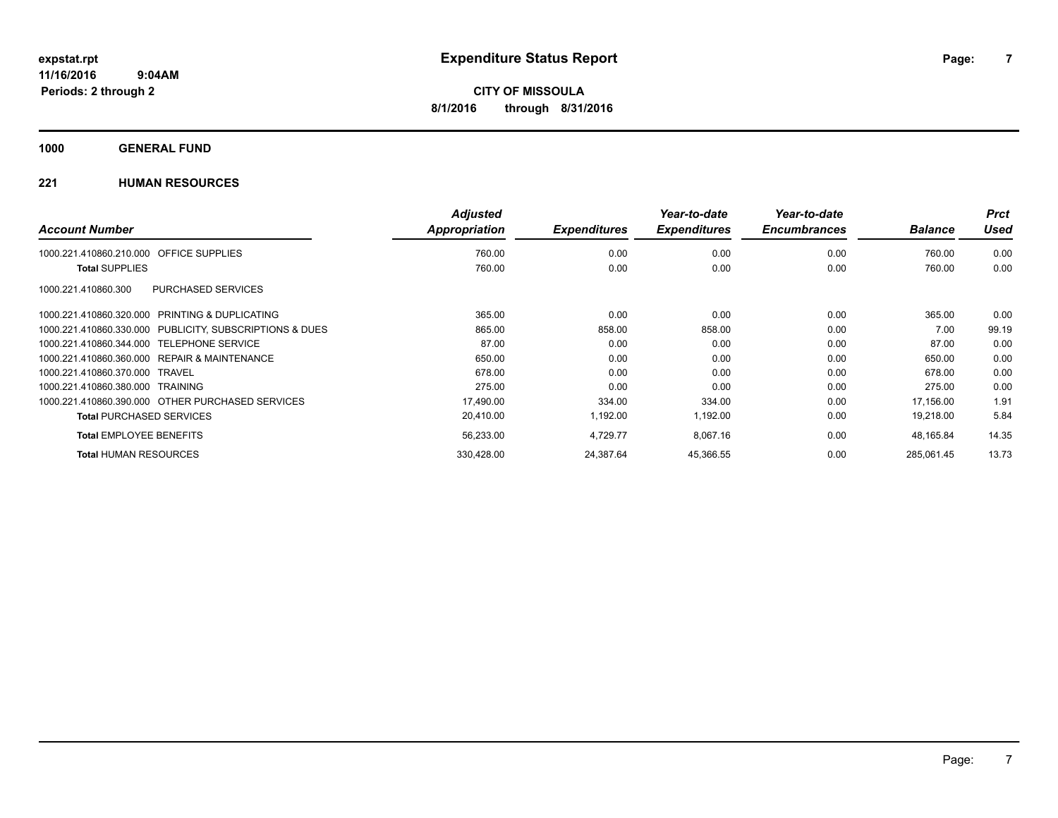**1000 GENERAL FUND**

| <b>Account Number</b>                                   | <b>Adjusted</b><br><b>Appropriation</b> | <b>Expenditures</b> | Year-to-date<br><b>Expenditures</b> | Year-to-date<br><b>Encumbrances</b> | <b>Balance</b> | <b>Prct</b><br>Used |
|---------------------------------------------------------|-----------------------------------------|---------------------|-------------------------------------|-------------------------------------|----------------|---------------------|
|                                                         |                                         |                     |                                     |                                     |                |                     |
| 1000.221.410860.210.000 OFFICE SUPPLIES                 | 760.00                                  | 0.00                | 0.00                                | 0.00                                | 760.00         | 0.00                |
| <b>Total SUPPLIES</b>                                   | 760.00                                  | 0.00                | 0.00                                | 0.00                                | 760.00         | 0.00                |
| PURCHASED SERVICES<br>1000.221.410860.300               |                                         |                     |                                     |                                     |                |                     |
| 1000.221.410860.320.000 PRINTING & DUPLICATING          | 365.00                                  | 0.00                | 0.00                                | 0.00                                | 365.00         | 0.00                |
| 1000.221.410860.330.000 PUBLICITY, SUBSCRIPTIONS & DUES | 865.00                                  | 858.00              | 858.00                              | 0.00                                | 7.00           | 99.19               |
| 1000.221.410860.344.000 TELEPHONE SERVICE               | 87.00                                   | 0.00                | 0.00                                | 0.00                                | 87.00          | 0.00                |
| 1000.221.410860.360.000 REPAIR & MAINTENANCE            | 650.00                                  | 0.00                | 0.00                                | 0.00                                | 650.00         | 0.00                |
| 1000.221.410860.370.000 TRAVEL                          | 678.00                                  | 0.00                | 0.00                                | 0.00                                | 678.00         | 0.00                |
| 1000.221.410860.380.000 TRAINING                        | 275.00                                  | 0.00                | 0.00                                | 0.00                                | 275.00         | 0.00                |
| 1000.221.410860.390.000 OTHER PURCHASED SERVICES        | 17,490.00                               | 334.00              | 334.00                              | 0.00                                | 17,156.00      | 1.91                |
| <b>Total PURCHASED SERVICES</b>                         | 20.410.00                               | 1,192.00            | 1,192.00                            | 0.00                                | 19,218.00      | 5.84                |
| <b>Total EMPLOYEE BENEFITS</b>                          | 56,233.00                               | 4,729.77            | 8,067.16                            | 0.00                                | 48,165.84      | 14.35               |
| <b>Total HUMAN RESOURCES</b>                            | 330,428.00                              | 24,387.64           | 45,366.55                           | 0.00                                | 285,061.45     | 13.73               |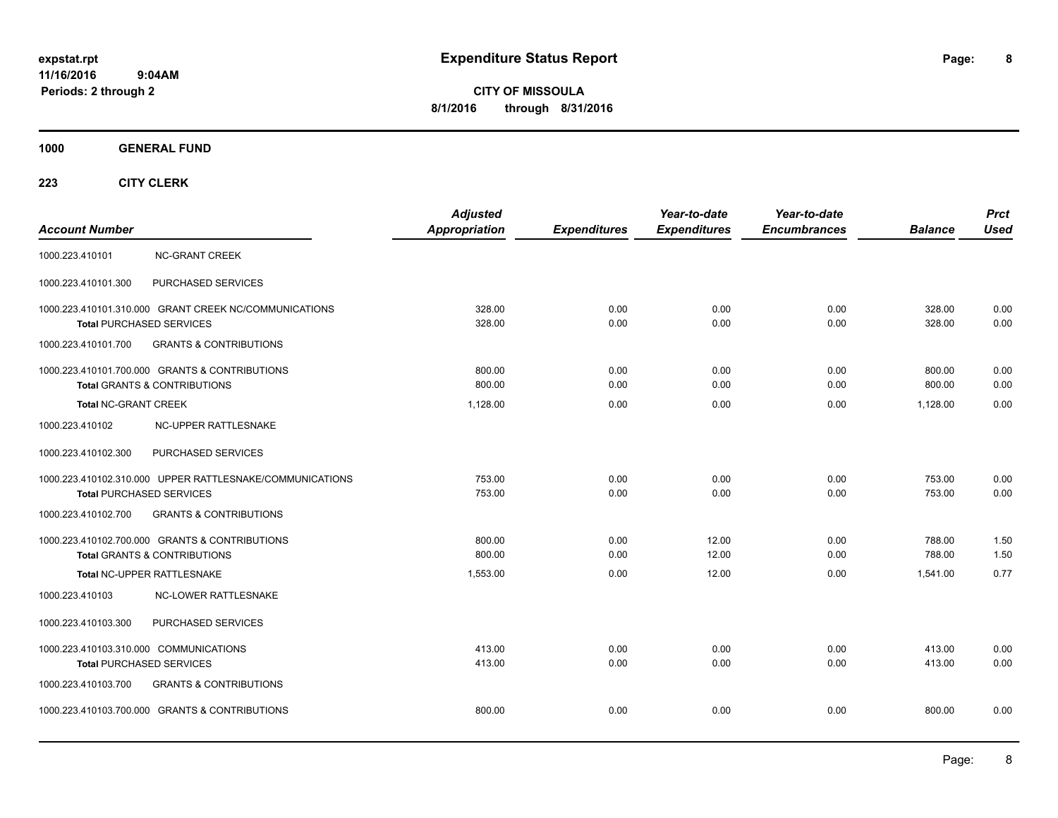**CITY OF MISSOULA 8/1/2016 through 8/31/2016**

**1000 GENERAL FUND**

| <b>Account Number</b>                                                     |                                                                                             | <b>Adjusted</b><br>Appropriation | <b>Expenditures</b> | Year-to-date<br><b>Expenditures</b> | Year-to-date<br><b>Encumbrances</b> | <b>Balance</b>   | <b>Prct</b><br><b>Used</b> |
|---------------------------------------------------------------------------|---------------------------------------------------------------------------------------------|----------------------------------|---------------------|-------------------------------------|-------------------------------------|------------------|----------------------------|
| 1000.223.410101                                                           | <b>NC-GRANT CREEK</b>                                                                       |                                  |                     |                                     |                                     |                  |                            |
| 1000.223.410101.300                                                       | PURCHASED SERVICES                                                                          |                                  |                     |                                     |                                     |                  |                            |
|                                                                           | 1000.223.410101.310.000 GRANT CREEK NC/COMMUNICATIONS<br><b>Total PURCHASED SERVICES</b>    | 328.00<br>328.00                 | 0.00<br>0.00        | 0.00<br>0.00                        | 0.00<br>0.00                        | 328.00<br>328.00 | 0.00<br>0.00               |
| 1000.223.410101.700                                                       | <b>GRANTS &amp; CONTRIBUTIONS</b>                                                           |                                  |                     |                                     |                                     |                  |                            |
|                                                                           | 1000.223.410101.700.000 GRANTS & CONTRIBUTIONS<br><b>Total GRANTS &amp; CONTRIBUTIONS</b>   | 800.00<br>800.00                 | 0.00<br>0.00        | 0.00<br>0.00                        | 0.00<br>0.00                        | 800.00<br>800.00 | 0.00<br>0.00               |
| <b>Total NC-GRANT CREEK</b>                                               |                                                                                             | 1,128.00                         | 0.00                | 0.00                                | 0.00                                | 1,128.00         | 0.00                       |
| 1000.223.410102                                                           | NC-UPPER RATTLESNAKE                                                                        |                                  |                     |                                     |                                     |                  |                            |
| 1000.223.410102.300                                                       | PURCHASED SERVICES                                                                          |                                  |                     |                                     |                                     |                  |                            |
|                                                                           | 1000.223.410102.310.000 UPPER RATTLESNAKE/COMMUNICATIONS<br><b>Total PURCHASED SERVICES</b> | 753.00<br>753.00                 | 0.00<br>0.00        | 0.00<br>0.00                        | 0.00<br>0.00                        | 753.00<br>753.00 | 0.00<br>0.00               |
| 1000.223.410102.700                                                       | <b>GRANTS &amp; CONTRIBUTIONS</b>                                                           |                                  |                     |                                     |                                     |                  |                            |
|                                                                           | 1000.223.410102.700.000 GRANTS & CONTRIBUTIONS<br><b>Total GRANTS &amp; CONTRIBUTIONS</b>   | 800.00<br>800.00                 | 0.00<br>0.00        | 12.00<br>12.00                      | 0.00<br>0.00                        | 788.00<br>788.00 | 1.50<br>1.50               |
|                                                                           | Total NC-UPPER RATTLESNAKE                                                                  | 1,553.00                         | 0.00                | 12.00                               | 0.00                                | 1,541.00         | 0.77                       |
| 1000.223.410103                                                           | <b>NC-LOWER RATTLESNAKE</b>                                                                 |                                  |                     |                                     |                                     |                  |                            |
| 1000.223.410103.300                                                       | PURCHASED SERVICES                                                                          |                                  |                     |                                     |                                     |                  |                            |
| 1000.223.410103.310.000 COMMUNICATIONS<br><b>Total PURCHASED SERVICES</b> |                                                                                             | 413.00<br>413.00                 | 0.00<br>0.00        | 0.00<br>0.00                        | 0.00<br>0.00                        | 413.00<br>413.00 | 0.00<br>0.00               |
| 1000.223.410103.700                                                       | <b>GRANTS &amp; CONTRIBUTIONS</b>                                                           |                                  |                     |                                     |                                     |                  |                            |
|                                                                           | 1000.223.410103.700.000 GRANTS & CONTRIBUTIONS                                              | 800.00                           | 0.00                | 0.00                                | 0.00                                | 800.00           | 0.00                       |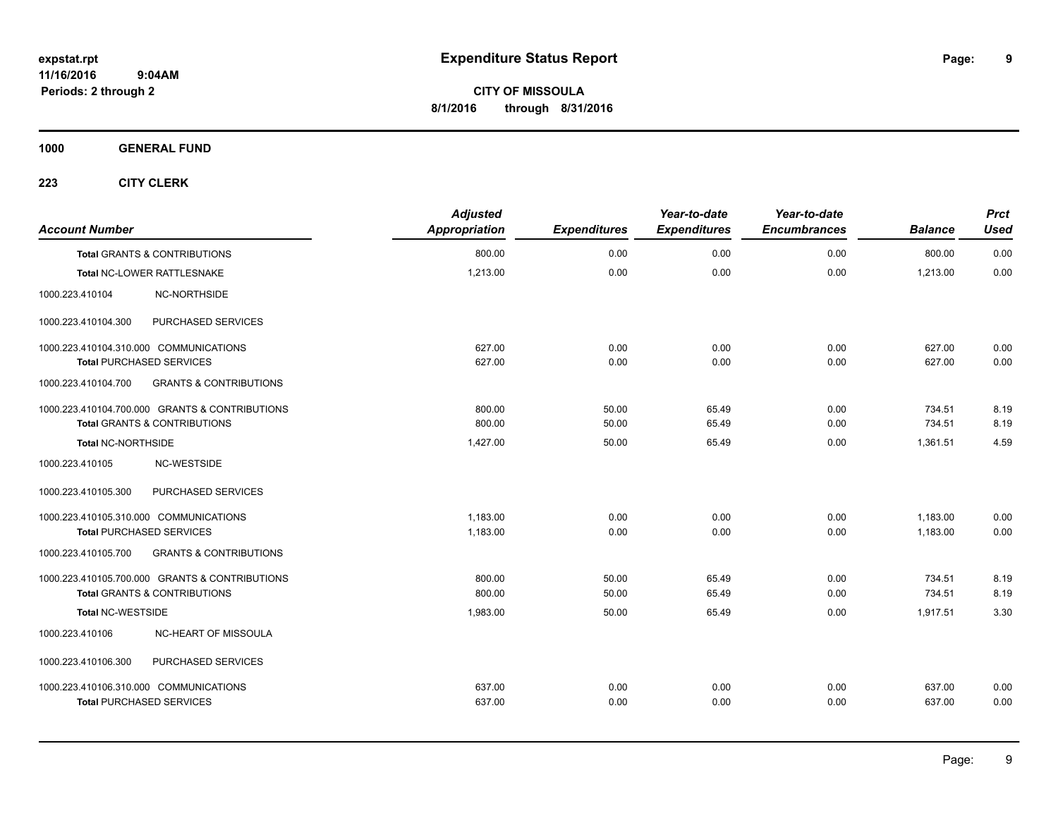**CITY OF MISSOULA 8/1/2016 through 8/31/2016**

**1000 GENERAL FUND**

| <b>Account Number</b>                  |                                                | <b>Adjusted</b><br>Appropriation | <b>Expenditures</b> | Year-to-date<br><b>Expenditures</b> | Year-to-date<br><b>Encumbrances</b> | <b>Balance</b> | <b>Prct</b><br><b>Used</b> |
|----------------------------------------|------------------------------------------------|----------------------------------|---------------------|-------------------------------------|-------------------------------------|----------------|----------------------------|
|                                        | <b>Total GRANTS &amp; CONTRIBUTIONS</b>        | 800.00                           | 0.00                | 0.00                                | 0.00                                | 800.00         | 0.00                       |
|                                        | Total NC-LOWER RATTLESNAKE                     | 1,213.00                         | 0.00                | 0.00                                | 0.00                                | 1,213.00       | 0.00                       |
| 1000.223.410104                        | <b>NC-NORTHSIDE</b>                            |                                  |                     |                                     |                                     |                |                            |
| 1000.223.410104.300                    | PURCHASED SERVICES                             |                                  |                     |                                     |                                     |                |                            |
| 1000.223.410104.310.000 COMMUNICATIONS |                                                | 627.00                           | 0.00                | 0.00                                | 0.00                                | 627.00         | 0.00                       |
| <b>Total PURCHASED SERVICES</b>        |                                                | 627.00                           | 0.00                | 0.00                                | 0.00                                | 627.00         | 0.00                       |
| 1000.223.410104.700                    | <b>GRANTS &amp; CONTRIBUTIONS</b>              |                                  |                     |                                     |                                     |                |                            |
|                                        | 1000.223.410104.700.000 GRANTS & CONTRIBUTIONS | 800.00                           | 50.00               | 65.49                               | 0.00                                | 734.51         | 8.19                       |
|                                        | <b>Total GRANTS &amp; CONTRIBUTIONS</b>        | 800.00                           | 50.00               | 65.49                               | 0.00                                | 734.51         | 8.19                       |
| Total NC-NORTHSIDE                     |                                                | 1,427.00                         | 50.00               | 65.49                               | 0.00                                | 1,361.51       | 4.59                       |
| 1000.223.410105                        | NC-WESTSIDE                                    |                                  |                     |                                     |                                     |                |                            |
| 1000.223.410105.300                    | PURCHASED SERVICES                             |                                  |                     |                                     |                                     |                |                            |
| 1000.223.410105.310.000 COMMUNICATIONS |                                                | 1,183.00                         | 0.00                | 0.00                                | 0.00                                | 1,183.00       | 0.00                       |
| <b>Total PURCHASED SERVICES</b>        |                                                | 1,183.00                         | 0.00                | 0.00                                | 0.00                                | 1,183.00       | 0.00                       |
| 1000.223.410105.700                    | <b>GRANTS &amp; CONTRIBUTIONS</b>              |                                  |                     |                                     |                                     |                |                            |
|                                        | 1000.223.410105.700.000 GRANTS & CONTRIBUTIONS | 800.00                           | 50.00               | 65.49                               | 0.00                                | 734.51         | 8.19                       |
|                                        | Total GRANTS & CONTRIBUTIONS                   | 800.00                           | 50.00               | 65.49                               | 0.00                                | 734.51         | 8.19                       |
| <b>Total NC-WESTSIDE</b>               |                                                | 1,983.00                         | 50.00               | 65.49                               | 0.00                                | 1,917.51       | 3.30                       |
| 1000.223.410106                        | NC-HEART OF MISSOULA                           |                                  |                     |                                     |                                     |                |                            |
| 1000.223.410106.300                    | PURCHASED SERVICES                             |                                  |                     |                                     |                                     |                |                            |
| 1000.223.410106.310.000 COMMUNICATIONS |                                                | 637.00                           | 0.00                | 0.00                                | 0.00                                | 637.00         | 0.00                       |
| <b>Total PURCHASED SERVICES</b>        |                                                | 637.00                           | 0.00                | 0.00                                | 0.00                                | 637.00         | 0.00                       |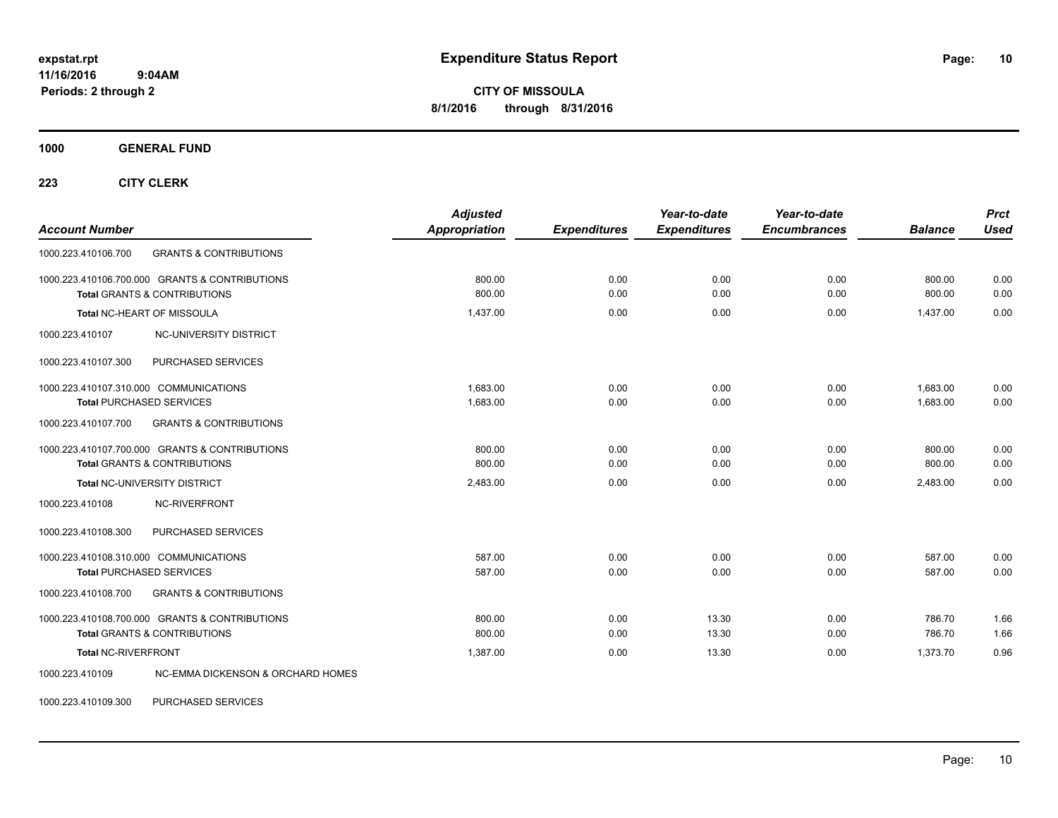**CITY OF MISSOULA 8/1/2016 through 8/31/2016**

**1000 GENERAL FUND**

**223 CITY CLERK**

| <b>Account Number</b>                                                                     | <b>Adjusted</b><br><b>Appropriation</b> | <b>Expenditures</b> | Year-to-date<br><b>Expenditures</b> | Year-to-date<br><b>Encumbrances</b> | <b>Balance</b>       | <b>Prct</b><br><b>Used</b> |
|-------------------------------------------------------------------------------------------|-----------------------------------------|---------------------|-------------------------------------|-------------------------------------|----------------------|----------------------------|
| 1000.223.410106.700<br><b>GRANTS &amp; CONTRIBUTIONS</b>                                  |                                         |                     |                                     |                                     |                      |                            |
| 1000.223.410106.700.000 GRANTS & CONTRIBUTIONS<br><b>Total GRANTS &amp; CONTRIBUTIONS</b> | 800.00<br>800.00                        | 0.00<br>0.00        | 0.00<br>0.00                        | 0.00<br>0.00                        | 800.00<br>800.00     | 0.00<br>0.00               |
| Total NC-HEART OF MISSOULA                                                                | 1,437.00                                | 0.00                | 0.00                                | 0.00                                | 1,437.00             | 0.00                       |
| 1000.223.410107<br>NC-UNIVERSITY DISTRICT                                                 |                                         |                     |                                     |                                     |                      |                            |
| PURCHASED SERVICES<br>1000.223.410107.300                                                 |                                         |                     |                                     |                                     |                      |                            |
| 1000.223.410107.310.000 COMMUNICATIONS<br><b>Total PURCHASED SERVICES</b>                 | 1.683.00<br>1,683.00                    | 0.00<br>0.00        | 0.00<br>0.00                        | 0.00<br>0.00                        | 1.683.00<br>1,683.00 | 0.00<br>0.00               |
| 1000.223.410107.700<br><b>GRANTS &amp; CONTRIBUTIONS</b>                                  |                                         |                     |                                     |                                     |                      |                            |
| 1000.223.410107.700.000 GRANTS & CONTRIBUTIONS<br><b>Total GRANTS &amp; CONTRIBUTIONS</b> | 800.00<br>800.00                        | 0.00<br>0.00        | 0.00<br>0.00                        | 0.00<br>0.00                        | 800.00<br>800.00     | 0.00<br>0.00               |
| Total NC-UNIVERSITY DISTRICT                                                              | 2,483.00                                | 0.00                | 0.00                                | 0.00                                | 2,483.00             | 0.00                       |
| NC-RIVERFRONT<br>1000.223.410108                                                          |                                         |                     |                                     |                                     |                      |                            |
| 1000.223.410108.300<br>PURCHASED SERVICES                                                 |                                         |                     |                                     |                                     |                      |                            |
| 1000.223.410108.310.000 COMMUNICATIONS<br><b>Total PURCHASED SERVICES</b>                 | 587.00<br>587.00                        | 0.00<br>0.00        | 0.00<br>0.00                        | 0.00<br>0.00                        | 587.00<br>587.00     | 0.00<br>0.00               |
| <b>GRANTS &amp; CONTRIBUTIONS</b><br>1000.223.410108.700                                  |                                         |                     |                                     |                                     |                      |                            |
| 1000.223.410108.700.000 GRANTS & CONTRIBUTIONS<br><b>Total GRANTS &amp; CONTRIBUTIONS</b> | 800.00<br>800.00                        | 0.00<br>0.00        | 13.30<br>13.30                      | 0.00<br>0.00                        | 786.70<br>786.70     | 1.66<br>1.66               |
| <b>Total NC-RIVERFRONT</b>                                                                | 1.387.00                                | 0.00                | 13.30                               | 0.00                                | 1,373.70             | 0.96                       |
| <b>NC-EMMA DICKENSON &amp; ORCHARD HOMES</b><br>1000.223.410109                           |                                         |                     |                                     |                                     |                      |                            |

1000.223.410109.300 PURCHASED SERVICES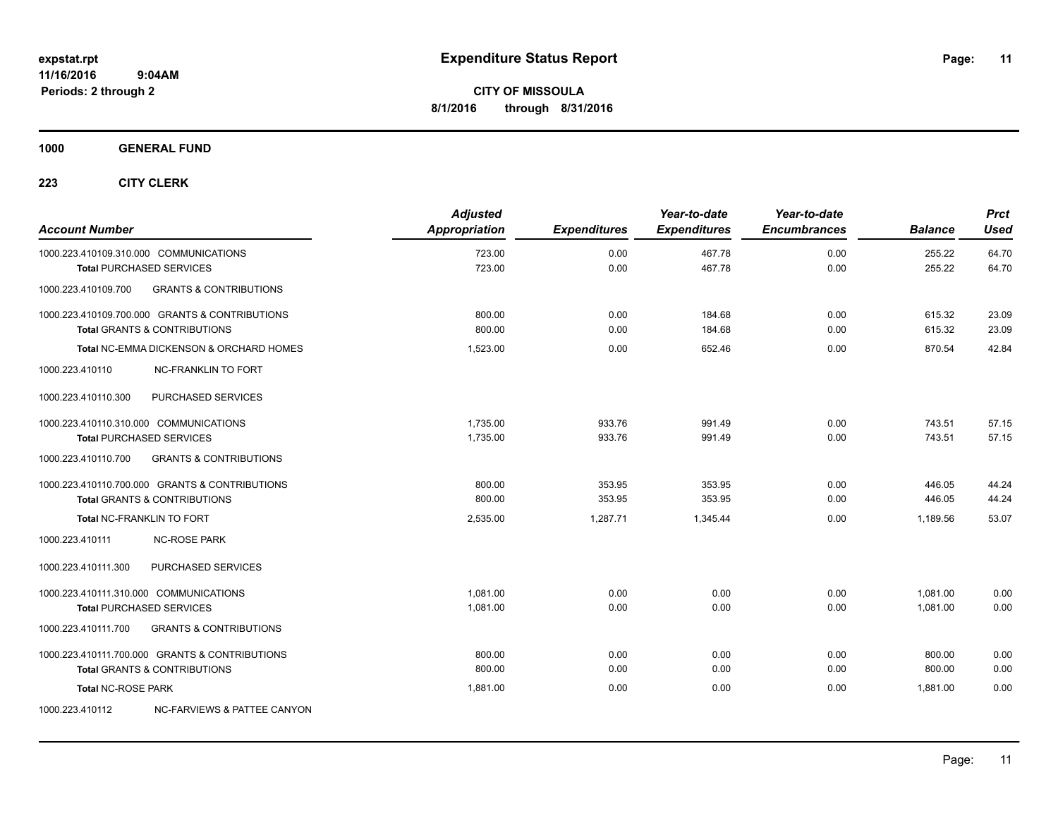**1000 GENERAL FUND**

| <b>Account Number</b>                  |                                                    | <b>Adjusted</b><br>Appropriation | <b>Expenditures</b> | Year-to-date<br><b>Expenditures</b> | Year-to-date<br><b>Encumbrances</b> | <b>Balance</b>   | <b>Prct</b><br><b>Used</b> |
|----------------------------------------|----------------------------------------------------|----------------------------------|---------------------|-------------------------------------|-------------------------------------|------------------|----------------------------|
| 1000.223.410109.310.000 COMMUNICATIONS | <b>Total PURCHASED SERVICES</b>                    | 723.00<br>723.00                 | 0.00<br>0.00        | 467.78<br>467.78                    | 0.00<br>0.00                        | 255.22<br>255.22 | 64.70<br>64.70             |
| 1000.223.410109.700                    | <b>GRANTS &amp; CONTRIBUTIONS</b>                  |                                  |                     |                                     |                                     |                  |                            |
|                                        | 1000.223.410109.700.000 GRANTS & CONTRIBUTIONS     | 800.00                           | 0.00                | 184.68                              | 0.00                                | 615.32           | 23.09                      |
|                                        | <b>Total GRANTS &amp; CONTRIBUTIONS</b>            | 800.00                           | 0.00                | 184.68                              | 0.00                                | 615.32           | 23.09                      |
|                                        | <b>Total NC-EMMA DICKENSON &amp; ORCHARD HOMES</b> | 1,523.00                         | 0.00                | 652.46                              | 0.00                                | 870.54           | 42.84                      |
| 1000.223.410110                        | <b>NC-FRANKLIN TO FORT</b>                         |                                  |                     |                                     |                                     |                  |                            |
| 1000.223.410110.300                    | PURCHASED SERVICES                                 |                                  |                     |                                     |                                     |                  |                            |
| 1000.223.410110.310.000 COMMUNICATIONS |                                                    | 1.735.00                         | 933.76              | 991.49                              | 0.00                                | 743.51           | 57.15                      |
|                                        | <b>Total PURCHASED SERVICES</b>                    | 1,735.00                         | 933.76              | 991.49                              | 0.00                                | 743.51           | 57.15                      |
| 1000.223.410110.700                    | <b>GRANTS &amp; CONTRIBUTIONS</b>                  |                                  |                     |                                     |                                     |                  |                            |
|                                        | 1000.223.410110.700.000 GRANTS & CONTRIBUTIONS     | 800.00                           | 353.95              | 353.95                              | 0.00                                | 446.05           | 44.24                      |
|                                        | <b>Total GRANTS &amp; CONTRIBUTIONS</b>            | 800.00                           | 353.95              | 353.95                              | 0.00                                | 446.05           | 44.24                      |
| <b>Total NC-FRANKLIN TO FORT</b>       |                                                    | 2,535.00                         | 1.287.71            | 1,345.44                            | 0.00                                | 1,189.56         | 53.07                      |
| 1000.223.410111                        | <b>NC-ROSE PARK</b>                                |                                  |                     |                                     |                                     |                  |                            |
| 1000.223.410111.300                    | PURCHASED SERVICES                                 |                                  |                     |                                     |                                     |                  |                            |
| 1000.223.410111.310.000 COMMUNICATIONS |                                                    | 1.081.00                         | 0.00                | 0.00                                | 0.00                                | 1,081.00         | 0.00                       |
|                                        | <b>Total PURCHASED SERVICES</b>                    | 1,081.00                         | 0.00                | 0.00                                | 0.00                                | 1,081.00         | 0.00                       |
| 1000.223.410111.700                    | <b>GRANTS &amp; CONTRIBUTIONS</b>                  |                                  |                     |                                     |                                     |                  |                            |
|                                        | 1000.223.410111.700.000 GRANTS & CONTRIBUTIONS     | 800.00                           | 0.00                | 0.00                                | 0.00                                | 800.00           | 0.00                       |
|                                        | <b>Total GRANTS &amp; CONTRIBUTIONS</b>            | 800.00                           | 0.00                | 0.00                                | 0.00                                | 800.00           | 0.00                       |
| <b>Total NC-ROSE PARK</b>              |                                                    | 1.881.00                         | 0.00                | 0.00                                | 0.00                                | 1.881.00         | 0.00                       |
| 1000.223.410112                        | NC-FARVIEWS & PATTEE CANYON                        |                                  |                     |                                     |                                     |                  |                            |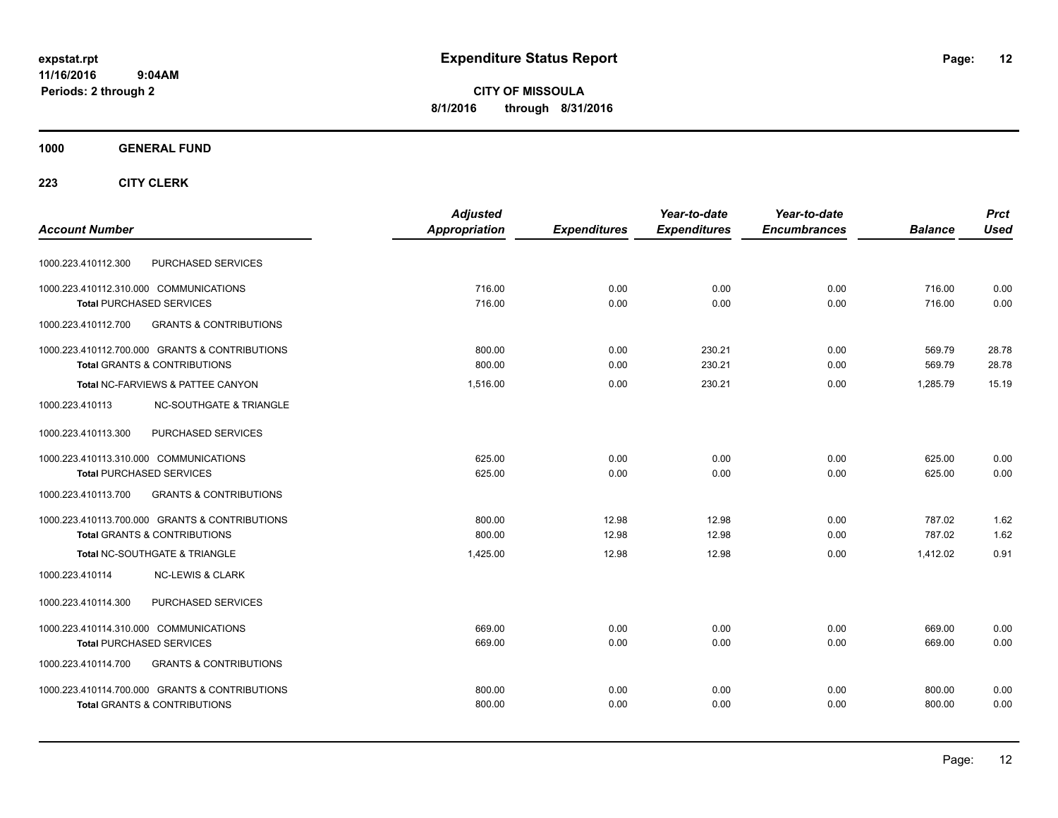**CITY OF MISSOULA 8/1/2016 through 8/31/2016**

## **1000 GENERAL FUND**

|                                                          | <b>Adjusted</b> |                     | Year-to-date        | Year-to-date        |                | <b>Prct</b> |
|----------------------------------------------------------|-----------------|---------------------|---------------------|---------------------|----------------|-------------|
| <b>Account Number</b>                                    | Appropriation   | <b>Expenditures</b> | <b>Expenditures</b> | <b>Encumbrances</b> | <b>Balance</b> | <b>Used</b> |
| PURCHASED SERVICES<br>1000.223.410112.300                |                 |                     |                     |                     |                |             |
| 1000.223.410112.310.000 COMMUNICATIONS                   | 716.00          | 0.00                | 0.00                | 0.00                | 716.00         | 0.00        |
| <b>Total PURCHASED SERVICES</b>                          | 716.00          | 0.00                | 0.00                | 0.00                | 716.00         | 0.00        |
| 1000.223.410112.700<br><b>GRANTS &amp; CONTRIBUTIONS</b> |                 |                     |                     |                     |                |             |
| 1000.223.410112.700.000 GRANTS & CONTRIBUTIONS           | 800.00          | 0.00                | 230.21              | 0.00                | 569.79         | 28.78       |
| <b>Total GRANTS &amp; CONTRIBUTIONS</b>                  | 800.00          | 0.00                | 230.21              | 0.00                | 569.79         | 28.78       |
| Total NC-FARVIEWS & PATTEE CANYON                        | 1,516.00        | 0.00                | 230.21              | 0.00                | 1.285.79       | 15.19       |
| <b>NC-SOUTHGATE &amp; TRIANGLE</b><br>1000.223.410113    |                 |                     |                     |                     |                |             |
| 1000.223.410113.300<br>PURCHASED SERVICES                |                 |                     |                     |                     |                |             |
| 1000.223.410113.310.000 COMMUNICATIONS                   | 625.00          | 0.00                | 0.00                | 0.00                | 625.00         | 0.00        |
| <b>Total PURCHASED SERVICES</b>                          | 625.00          | 0.00                | 0.00                | 0.00                | 625.00         | 0.00        |
| 1000.223.410113.700<br><b>GRANTS &amp; CONTRIBUTIONS</b> |                 |                     |                     |                     |                |             |
| 1000.223.410113.700.000 GRANTS & CONTRIBUTIONS           | 800.00          | 12.98               | 12.98               | 0.00                | 787.02         | 1.62        |
| <b>Total GRANTS &amp; CONTRIBUTIONS</b>                  | 800.00          | 12.98               | 12.98               | 0.00                | 787.02         | 1.62        |
| Total NC-SOUTHGATE & TRIANGLE                            | 1.425.00        | 12.98               | 12.98               | 0.00                | 1.412.02       | 0.91        |
| 1000.223.410114<br><b>NC-LEWIS &amp; CLARK</b>           |                 |                     |                     |                     |                |             |
| PURCHASED SERVICES<br>1000.223.410114.300                |                 |                     |                     |                     |                |             |
| 1000.223.410114.310.000 COMMUNICATIONS                   | 669.00          | 0.00                | 0.00                | 0.00                | 669.00         | 0.00        |
| <b>Total PURCHASED SERVICES</b>                          | 669.00          | 0.00                | 0.00                | 0.00                | 669.00         | 0.00        |
| <b>GRANTS &amp; CONTRIBUTIONS</b><br>1000.223.410114.700 |                 |                     |                     |                     |                |             |
| 1000.223.410114.700.000 GRANTS & CONTRIBUTIONS           | 800.00          | 0.00                | 0.00                | 0.00                | 800.00         | 0.00        |
| <b>Total GRANTS &amp; CONTRIBUTIONS</b>                  | 800.00          | 0.00                | 0.00                | 0.00                | 800.00         | 0.00        |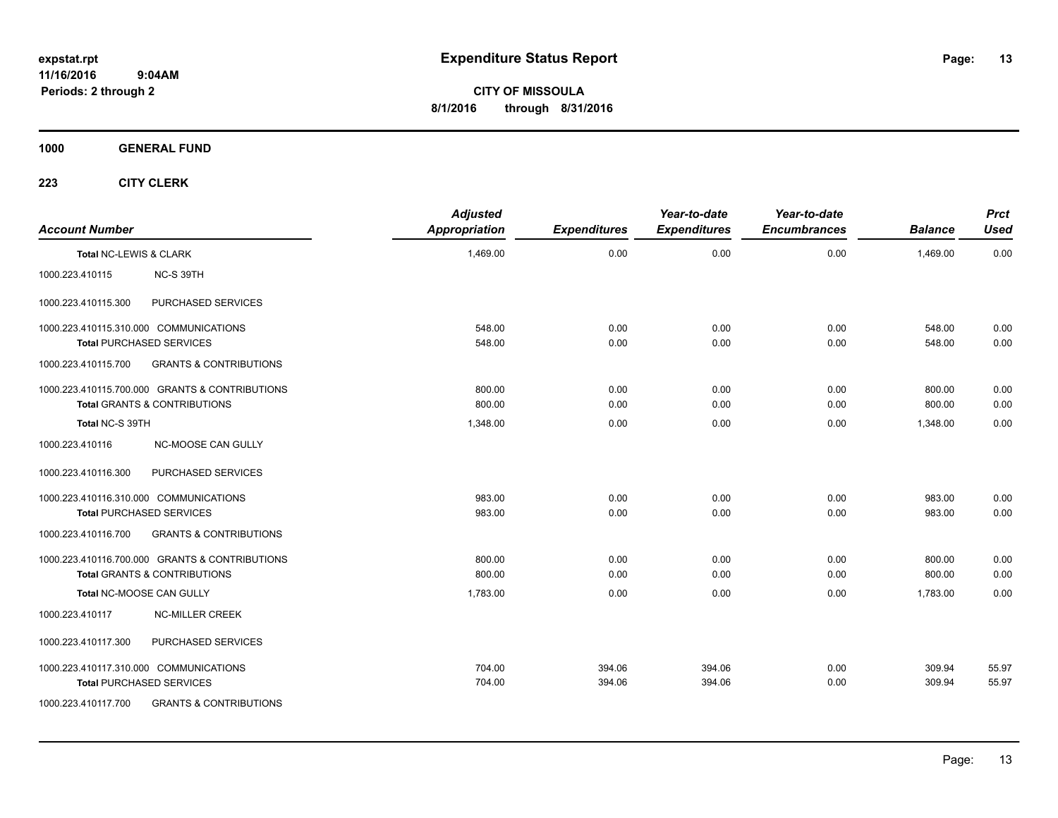**CITY OF MISSOULA 8/1/2016 through 8/31/2016**

**1000 GENERAL FUND**

| <b>Account Number</b>  |                                                                                           | <b>Adjusted</b><br><b>Appropriation</b> | <b>Expenditures</b> | Year-to-date<br><b>Expenditures</b> | Year-to-date<br><b>Encumbrances</b> | <b>Balance</b>   | <b>Prct</b><br><b>Used</b> |
|------------------------|-------------------------------------------------------------------------------------------|-----------------------------------------|---------------------|-------------------------------------|-------------------------------------|------------------|----------------------------|
| Total NC-LEWIS & CLARK |                                                                                           | 1,469.00                                | 0.00                | 0.00                                | 0.00                                | 1,469.00         | 0.00                       |
| 1000.223.410115        | NC-S 39TH                                                                                 |                                         |                     |                                     |                                     |                  |                            |
| 1000.223.410115.300    | PURCHASED SERVICES                                                                        |                                         |                     |                                     |                                     |                  |                            |
|                        | 1000.223.410115.310.000 COMMUNICATIONS<br><b>Total PURCHASED SERVICES</b>                 | 548.00<br>548.00                        | 0.00<br>0.00        | 0.00<br>0.00                        | 0.00<br>0.00                        | 548.00<br>548.00 | 0.00<br>0.00               |
| 1000.223.410115.700    | <b>GRANTS &amp; CONTRIBUTIONS</b>                                                         |                                         |                     |                                     |                                     |                  |                            |
|                        | 1000.223.410115.700.000 GRANTS & CONTRIBUTIONS<br><b>Total GRANTS &amp; CONTRIBUTIONS</b> | 800.00<br>800.00                        | 0.00<br>0.00        | 0.00<br>0.00                        | 0.00<br>0.00                        | 800.00<br>800.00 | 0.00<br>0.00               |
| Total NC-S 39TH        |                                                                                           | 1,348.00                                | 0.00                | 0.00                                | 0.00                                | 1.348.00         | 0.00                       |
| 1000.223.410116        | NC-MOOSE CAN GULLY                                                                        |                                         |                     |                                     |                                     |                  |                            |
| 1000.223.410116.300    | PURCHASED SERVICES                                                                        |                                         |                     |                                     |                                     |                  |                            |
|                        | 1000.223.410116.310.000 COMMUNICATIONS<br><b>Total PURCHASED SERVICES</b>                 | 983.00<br>983.00                        | 0.00<br>0.00        | 0.00<br>0.00                        | 0.00<br>0.00                        | 983.00<br>983.00 | 0.00<br>0.00               |
| 1000.223.410116.700    | <b>GRANTS &amp; CONTRIBUTIONS</b>                                                         |                                         |                     |                                     |                                     |                  |                            |
|                        | 1000.223.410116.700.000 GRANTS & CONTRIBUTIONS<br><b>Total GRANTS &amp; CONTRIBUTIONS</b> | 800.00<br>800.00                        | 0.00<br>0.00        | 0.00<br>0.00                        | 0.00<br>0.00                        | 800.00<br>800.00 | 0.00<br>0.00               |
|                        | Total NC-MOOSE CAN GULLY                                                                  | 1,783.00                                | 0.00                | 0.00                                | 0.00                                | 1,783.00         | 0.00                       |
| 1000.223.410117        | <b>NC-MILLER CREEK</b>                                                                    |                                         |                     |                                     |                                     |                  |                            |
| 1000.223.410117.300    | PURCHASED SERVICES                                                                        |                                         |                     |                                     |                                     |                  |                            |
|                        | 1000.223.410117.310.000 COMMUNICATIONS<br><b>Total PURCHASED SERVICES</b>                 | 704.00<br>704.00                        | 394.06<br>394.06    | 394.06<br>394.06                    | 0.00<br>0.00                        | 309.94<br>309.94 | 55.97<br>55.97             |
| 1000.223.410117.700    | <b>GRANTS &amp; CONTRIBUTIONS</b>                                                         |                                         |                     |                                     |                                     |                  |                            |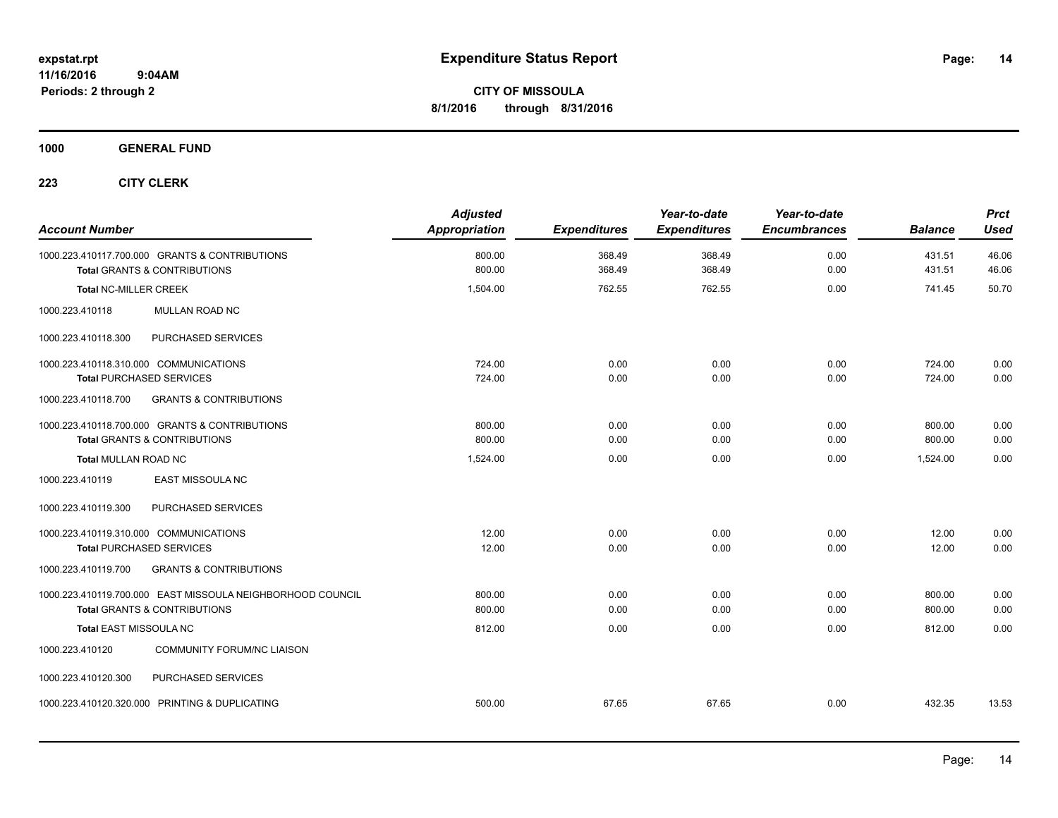**CITY OF MISSOULA 8/1/2016 through 8/31/2016**

**1000 GENERAL FUND**

| <b>Account Number</b>                                      | <b>Adjusted</b><br>Appropriation | <b>Expenditures</b> | Year-to-date<br><b>Expenditures</b> | Year-to-date<br><b>Encumbrances</b> | <b>Balance</b> | <b>Prct</b><br><b>Used</b> |
|------------------------------------------------------------|----------------------------------|---------------------|-------------------------------------|-------------------------------------|----------------|----------------------------|
| 1000.223.410117.700.000 GRANTS & CONTRIBUTIONS             | 800.00                           | 368.49              | 368.49                              | 0.00                                | 431.51         | 46.06                      |
| <b>Total GRANTS &amp; CONTRIBUTIONS</b>                    | 800.00                           | 368.49              | 368.49                              | 0.00                                | 431.51         | 46.06                      |
| <b>Total NC-MILLER CREEK</b>                               | 1,504.00                         | 762.55              | 762.55                              | 0.00                                | 741.45         | 50.70                      |
| 1000.223.410118<br>MULLAN ROAD NC                          |                                  |                     |                                     |                                     |                |                            |
| PURCHASED SERVICES<br>1000.223.410118.300                  |                                  |                     |                                     |                                     |                |                            |
| 1000.223.410118.310.000 COMMUNICATIONS                     | 724.00                           | 0.00                | 0.00                                | 0.00                                | 724.00         | 0.00                       |
| <b>Total PURCHASED SERVICES</b>                            | 724.00                           | 0.00                | 0.00                                | 0.00                                | 724.00         | 0.00                       |
| <b>GRANTS &amp; CONTRIBUTIONS</b><br>1000.223.410118.700   |                                  |                     |                                     |                                     |                |                            |
| 1000.223.410118.700.000 GRANTS & CONTRIBUTIONS             | 800.00                           | 0.00                | 0.00                                | 0.00                                | 800.00         | 0.00                       |
| <b>Total GRANTS &amp; CONTRIBUTIONS</b>                    | 800.00                           | 0.00                | 0.00                                | 0.00                                | 800.00         | 0.00                       |
| <b>Total MULLAN ROAD NC</b>                                | 1,524.00                         | 0.00                | 0.00                                | 0.00                                | 1,524.00       | 0.00                       |
| EAST MISSOULA NC<br>1000.223.410119                        |                                  |                     |                                     |                                     |                |                            |
| PURCHASED SERVICES<br>1000.223.410119.300                  |                                  |                     |                                     |                                     |                |                            |
| 1000.223.410119.310.000 COMMUNICATIONS                     | 12.00                            | 0.00                | 0.00                                | 0.00                                | 12.00          | 0.00                       |
| <b>Total PURCHASED SERVICES</b>                            | 12.00                            | 0.00                | 0.00                                | 0.00                                | 12.00          | 0.00                       |
| 1000.223.410119.700<br><b>GRANTS &amp; CONTRIBUTIONS</b>   |                                  |                     |                                     |                                     |                |                            |
| 1000.223.410119.700.000 EAST MISSOULA NEIGHBORHOOD COUNCIL | 800.00                           | 0.00                | 0.00                                | 0.00                                | 800.00         | 0.00                       |
| <b>Total GRANTS &amp; CONTRIBUTIONS</b>                    | 800.00                           | 0.00                | 0.00                                | 0.00                                | 800.00         | 0.00                       |
| Total EAST MISSOULA NC                                     | 812.00                           | 0.00                | 0.00                                | 0.00                                | 812.00         | 0.00                       |
| 1000.223.410120<br><b>COMMUNITY FORUM/NC LIAISON</b>       |                                  |                     |                                     |                                     |                |                            |
| PURCHASED SERVICES<br>1000.223.410120.300                  |                                  |                     |                                     |                                     |                |                            |
| 1000.223.410120.320.000 PRINTING & DUPLICATING             | 500.00                           | 67.65               | 67.65                               | 0.00                                | 432.35         | 13.53                      |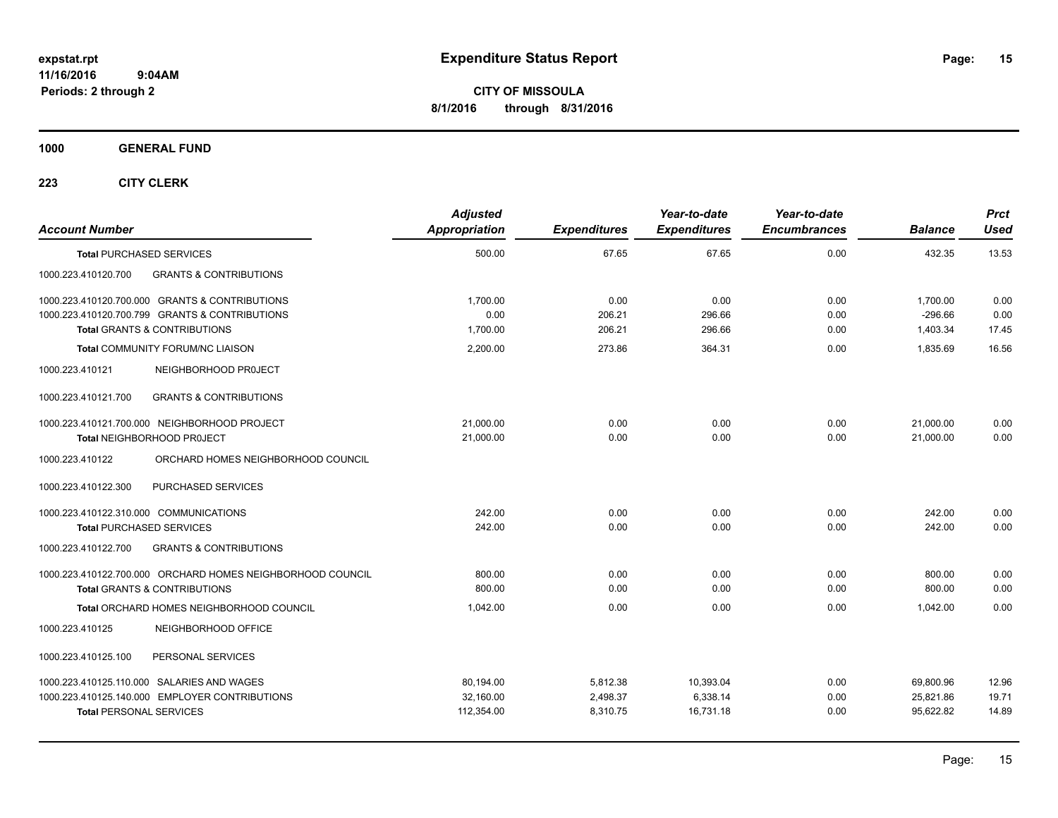**CITY OF MISSOULA 8/1/2016 through 8/31/2016**

**1000 GENERAL FUND**

| <b>Account Number</b>                                                     |                                                                                           | <b>Adjusted</b><br>Appropriation | <b>Expenditures</b> | Year-to-date<br><b>Expenditures</b> | Year-to-date<br><b>Encumbrances</b> | <b>Balance</b>         | <b>Prct</b><br>Used |
|---------------------------------------------------------------------------|-------------------------------------------------------------------------------------------|----------------------------------|---------------------|-------------------------------------|-------------------------------------|------------------------|---------------------|
| <b>Total PURCHASED SERVICES</b>                                           |                                                                                           | 500.00                           | 67.65               | 67.65                               | 0.00                                | 432.35                 | 13.53               |
| 1000.223.410120.700                                                       | <b>GRANTS &amp; CONTRIBUTIONS</b>                                                         |                                  |                     |                                     |                                     |                        |                     |
|                                                                           | 1000.223.410120.700.000 GRANTS & CONTRIBUTIONS                                            | 1,700.00                         | 0.00                | 0.00                                | 0.00                                | 1,700.00               | 0.00                |
|                                                                           | 1000.223.410120.700.799 GRANTS & CONTRIBUTIONS<br><b>Total GRANTS &amp; CONTRIBUTIONS</b> | 0.00<br>1,700.00                 | 206.21<br>206.21    | 296.66<br>296.66                    | 0.00<br>0.00                        | $-296.66$<br>1,403.34  | 0.00<br>17.45       |
|                                                                           | <b>Total COMMUNITY FORUM/NC LIAISON</b>                                                   | 2.200.00                         | 273.86              | 364.31                              | 0.00                                | 1.835.69               | 16.56               |
| 1000.223.410121                                                           | NEIGHBORHOOD PROJECT                                                                      |                                  |                     |                                     |                                     |                        |                     |
| 1000.223.410121.700                                                       | <b>GRANTS &amp; CONTRIBUTIONS</b>                                                         |                                  |                     |                                     |                                     |                        |                     |
|                                                                           | 1000.223.410121.700.000 NEIGHBORHOOD PROJECT<br><b>Total NEIGHBORHOOD PROJECT</b>         | 21.000.00<br>21,000.00           | 0.00<br>0.00        | 0.00<br>0.00                        | 0.00<br>0.00                        | 21,000.00<br>21,000.00 | 0.00<br>0.00        |
| 1000.223.410122                                                           | ORCHARD HOMES NEIGHBORHOOD COUNCIL                                                        |                                  |                     |                                     |                                     |                        |                     |
| 1000.223.410122.300                                                       | PURCHASED SERVICES                                                                        |                                  |                     |                                     |                                     |                        |                     |
| 1000.223.410122.310.000 COMMUNICATIONS<br><b>Total PURCHASED SERVICES</b> |                                                                                           | 242.00<br>242.00                 | 0.00<br>0.00        | 0.00<br>0.00                        | 0.00<br>0.00                        | 242.00<br>242.00       | 0.00<br>0.00        |
| 1000.223.410122.700                                                       | <b>GRANTS &amp; CONTRIBUTIONS</b>                                                         |                                  |                     |                                     |                                     |                        |                     |
|                                                                           | 1000.223.410122.700.000 ORCHARD HOMES NEIGHBORHOOD COUNCIL                                | 800.00                           | 0.00                | 0.00                                | 0.00                                | 800.00                 | 0.00                |
|                                                                           | <b>Total GRANTS &amp; CONTRIBUTIONS</b>                                                   | 800.00                           | 0.00                | 0.00                                | 0.00                                | 800.00                 | 0.00                |
|                                                                           | Total ORCHARD HOMES NEIGHBORHOOD COUNCIL                                                  | 1,042.00                         | 0.00                | 0.00                                | 0.00                                | 1,042.00               | 0.00                |
| 1000.223.410125                                                           | NEIGHBORHOOD OFFICE                                                                       |                                  |                     |                                     |                                     |                        |                     |
| 1000.223.410125.100                                                       | PERSONAL SERVICES                                                                         |                                  |                     |                                     |                                     |                        |                     |
|                                                                           | 1000.223.410125.110.000 SALARIES AND WAGES                                                | 80,194.00                        | 5,812.38            | 10,393.04                           | 0.00                                | 69,800.96              | 12.96               |
|                                                                           | 1000.223.410125.140.000 EMPLOYER CONTRIBUTIONS                                            | 32,160.00                        | 2,498.37            | 6,338.14                            | 0.00                                | 25,821.86              | 19.71               |
| <b>Total PERSONAL SERVICES</b>                                            |                                                                                           | 112,354.00                       | 8,310.75            | 16,731.18                           | 0.00                                | 95,622.82              | 14.89               |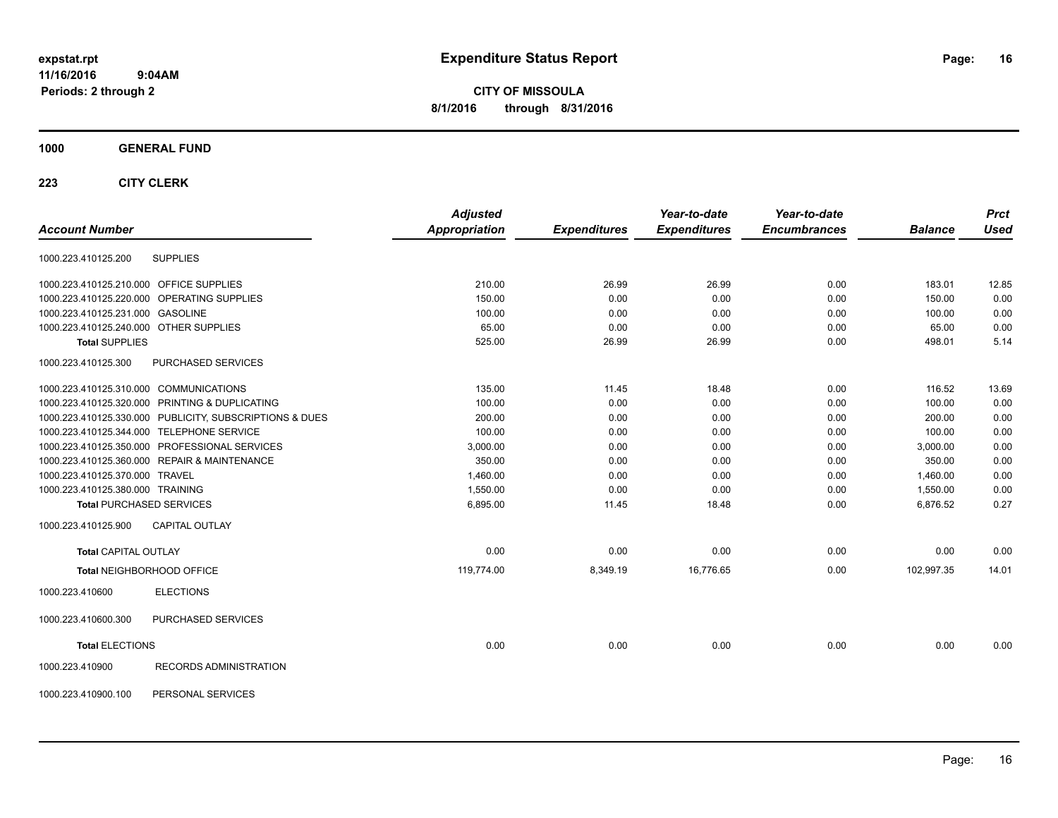**CITY OF MISSOULA 8/1/2016 through 8/31/2016**

## **1000 GENERAL FUND**

|                                                         | <b>Adjusted</b>      |                     | Year-to-date        | Year-to-date        |                | <b>Prct</b> |
|---------------------------------------------------------|----------------------|---------------------|---------------------|---------------------|----------------|-------------|
| <b>Account Number</b>                                   | <b>Appropriation</b> | <b>Expenditures</b> | <b>Expenditures</b> | <b>Encumbrances</b> | <b>Balance</b> | <b>Used</b> |
| <b>SUPPLIES</b><br>1000.223.410125.200                  |                      |                     |                     |                     |                |             |
| 1000.223.410125.210.000 OFFICE SUPPLIES                 | 210.00               | 26.99               | 26.99               | 0.00                | 183.01         | 12.85       |
| 1000.223.410125.220.000 OPERATING SUPPLIES              | 150.00               | 0.00                | 0.00                | 0.00                | 150.00         | 0.00        |
| 1000.223.410125.231.000 GASOLINE                        | 100.00               | 0.00                | 0.00                | 0.00                | 100.00         | 0.00        |
| 1000.223.410125.240.000 OTHER SUPPLIES                  | 65.00                | 0.00                | 0.00                | 0.00                | 65.00          | 0.00        |
| <b>Total SUPPLIES</b>                                   | 525.00               | 26.99               | 26.99               | 0.00                | 498.01         | 5.14        |
| PURCHASED SERVICES<br>1000.223.410125.300               |                      |                     |                     |                     |                |             |
| 1000.223.410125.310.000 COMMUNICATIONS                  | 135.00               | 11.45               | 18.48               | 0.00                | 116.52         | 13.69       |
| 1000.223.410125.320.000 PRINTING & DUPLICATING          | 100.00               | 0.00                | 0.00                | 0.00                | 100.00         | 0.00        |
| 1000.223.410125.330.000 PUBLICITY, SUBSCRIPTIONS & DUES | 200.00               | 0.00                | 0.00                | 0.00                | 200.00         | 0.00        |
| 1000.223.410125.344.000 TELEPHONE SERVICE               | 100.00               | 0.00                | 0.00                | 0.00                | 100.00         | 0.00        |
| 1000.223.410125.350.000 PROFESSIONAL SERVICES           | 3,000.00             | 0.00                | 0.00                | 0.00                | 3,000.00       | 0.00        |
| 1000.223.410125.360.000 REPAIR & MAINTENANCE            | 350.00               | 0.00                | 0.00                | 0.00                | 350.00         | 0.00        |
| 1000.223.410125.370.000 TRAVEL                          | 1,460.00             | 0.00                | 0.00                | 0.00                | 1,460.00       | 0.00        |
| 1000.223.410125.380.000 TRAINING                        | 1,550.00             | 0.00                | 0.00                | 0.00                | 1,550.00       | 0.00        |
| <b>Total PURCHASED SERVICES</b>                         | 6,895.00             | 11.45               | 18.48               | 0.00                | 6,876.52       | 0.27        |
| 1000.223.410125.900<br><b>CAPITAL OUTLAY</b>            |                      |                     |                     |                     |                |             |
| <b>Total CAPITAL OUTLAY</b>                             | 0.00                 | 0.00                | 0.00                | 0.00                | 0.00           | 0.00        |
| Total NEIGHBORHOOD OFFICE                               | 119,774.00           | 8,349.19            | 16,776.65           | 0.00                | 102,997.35     | 14.01       |
| <b>ELECTIONS</b><br>1000.223.410600                     |                      |                     |                     |                     |                |             |
| PURCHASED SERVICES<br>1000.223.410600.300               |                      |                     |                     |                     |                |             |
| <b>Total ELECTIONS</b>                                  | 0.00                 | 0.00                | 0.00                | 0.00                | 0.00           | 0.00        |
| 1000.223.410900<br>RECORDS ADMINISTRATION               |                      |                     |                     |                     |                |             |
| PERSONAL SERVICES<br>1000.223.410900.100                |                      |                     |                     |                     |                |             |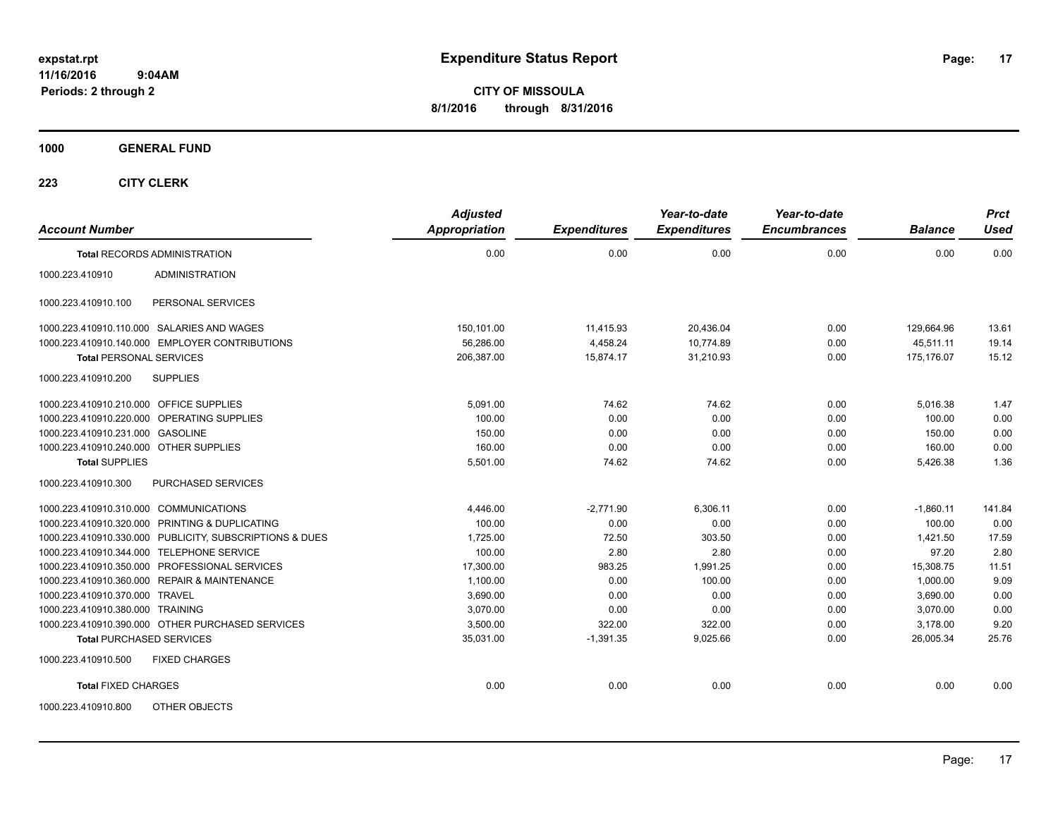**CITY OF MISSOULA 8/1/2016 through 8/31/2016**

**1000 GENERAL FUND**

| <b>Account Number</b>                                   | <b>Adjusted</b><br><b>Appropriation</b> | <b>Expenditures</b> | Year-to-date<br><b>Expenditures</b> | Year-to-date<br><b>Encumbrances</b> | <b>Balance</b> | <b>Prct</b><br><b>Used</b> |
|---------------------------------------------------------|-----------------------------------------|---------------------|-------------------------------------|-------------------------------------|----------------|----------------------------|
| <b>Total RECORDS ADMINISTRATION</b>                     | 0.00                                    | 0.00                | 0.00                                | 0.00                                | 0.00           | 0.00                       |
| <b>ADMINISTRATION</b><br>1000.223.410910                |                                         |                     |                                     |                                     |                |                            |
| 1000.223.410910.100<br>PERSONAL SERVICES                |                                         |                     |                                     |                                     |                |                            |
| 1000.223.410910.110.000 SALARIES AND WAGES              | 150,101.00                              | 11,415.93           | 20,436.04                           | 0.00                                | 129,664.96     | 13.61                      |
| 1000.223.410910.140.000 EMPLOYER CONTRIBUTIONS          | 56,286.00                               | 4,458.24            | 10,774.89                           | 0.00                                | 45,511.11      | 19.14                      |
| <b>Total PERSONAL SERVICES</b>                          | 206,387.00                              | 15.874.17           | 31,210.93                           | 0.00                                | 175.176.07     | 15.12                      |
| 1000.223.410910.200<br><b>SUPPLIES</b>                  |                                         |                     |                                     |                                     |                |                            |
| 1000.223.410910.210.000 OFFICE SUPPLIES                 | 5,091.00                                | 74.62               | 74.62                               | 0.00                                | 5,016.38       | 1.47                       |
| 1000.223.410910.220.000 OPERATING SUPPLIES              | 100.00                                  | 0.00                | 0.00                                | 0.00                                | 100.00         | 0.00                       |
| 1000.223.410910.231.000 GASOLINE                        | 150.00                                  | 0.00                | 0.00                                | 0.00                                | 150.00         | 0.00                       |
| 1000.223.410910.240.000 OTHER SUPPLIES                  | 160.00                                  | 0.00                | 0.00                                | 0.00                                | 160.00         | 0.00                       |
| <b>Total SUPPLIES</b>                                   | 5,501.00                                | 74.62               | 74.62                               | 0.00                                | 5,426.38       | 1.36                       |
| PURCHASED SERVICES<br>1000.223.410910.300               |                                         |                     |                                     |                                     |                |                            |
| 1000.223.410910.310.000 COMMUNICATIONS                  | 4.446.00                                | $-2.771.90$         | 6.306.11                            | 0.00                                | $-1,860.11$    | 141.84                     |
| 1000.223.410910.320.000 PRINTING & DUPLICATING          | 100.00                                  | 0.00                | 0.00                                | 0.00                                | 100.00         | 0.00                       |
| 1000.223.410910.330.000 PUBLICITY, SUBSCRIPTIONS & DUES | 1,725.00                                | 72.50               | 303.50                              | 0.00                                | 1,421.50       | 17.59                      |
| 1000.223.410910.344.000 TELEPHONE SERVICE               | 100.00                                  | 2.80                | 2.80                                | 0.00                                | 97.20          | 2.80                       |
| 1000.223.410910.350.000 PROFESSIONAL SERVICES           | 17,300.00                               | 983.25              | 1,991.25                            | 0.00                                | 15,308.75      | 11.51                      |
| 1000.223.410910.360.000 REPAIR & MAINTENANCE            | 1,100.00                                | 0.00                | 100.00                              | 0.00                                | 1,000.00       | 9.09                       |
| 1000.223.410910.370.000 TRAVEL                          | 3.690.00                                | 0.00                | 0.00                                | 0.00                                | 3,690.00       | 0.00                       |
| 1000.223.410910.380.000 TRAINING                        | 3.070.00                                | 0.00                | 0.00                                | 0.00                                | 3,070.00       | 0.00                       |
| 1000.223.410910.390.000 OTHER PURCHASED SERVICES        | 3.500.00                                | 322.00              | 322.00                              | 0.00                                | 3,178.00       | 9.20                       |
| <b>Total PURCHASED SERVICES</b>                         | 35,031.00                               | $-1,391.35$         | 9,025.66                            | 0.00                                | 26,005.34      | 25.76                      |
| 1000.223.410910.500<br><b>FIXED CHARGES</b>             |                                         |                     |                                     |                                     |                |                            |
| <b>Total FIXED CHARGES</b>                              | 0.00                                    | 0.00                | 0.00                                | 0.00                                | 0.00           | 0.00                       |
| OTHER OBJECTS<br>1000.223.410910.800                    |                                         |                     |                                     |                                     |                |                            |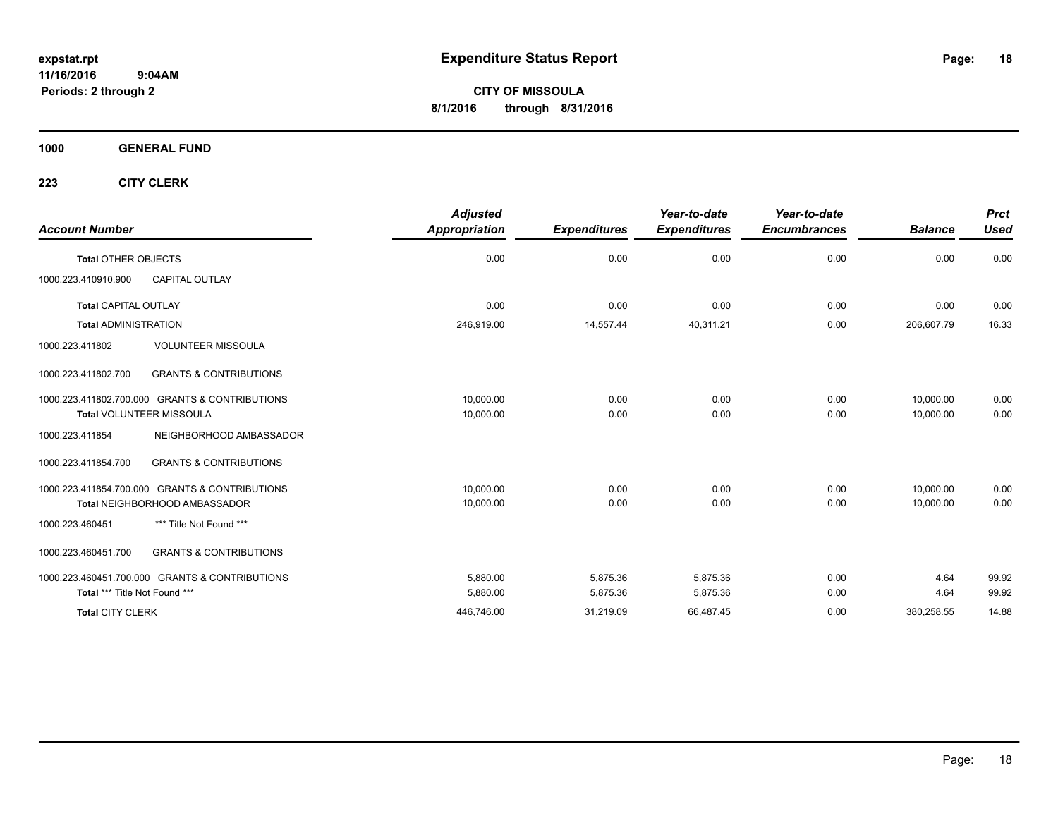**CITY OF MISSOULA 8/1/2016 through 8/31/2016**

**1000 GENERAL FUND**

| <b>Account Number</b>                                    | <b>Adjusted</b><br><b>Appropriation</b> | <b>Expenditures</b> | Year-to-date<br><b>Expenditures</b> | Year-to-date<br><b>Encumbrances</b> | <b>Balance</b> | <b>Prct</b><br><b>Used</b> |
|----------------------------------------------------------|-----------------------------------------|---------------------|-------------------------------------|-------------------------------------|----------------|----------------------------|
| <b>Total OTHER OBJECTS</b>                               | 0.00                                    | 0.00                | 0.00                                | 0.00                                | 0.00           | 0.00                       |
| 1000.223.410910.900<br><b>CAPITAL OUTLAY</b>             |                                         |                     |                                     |                                     |                |                            |
| <b>Total CAPITAL OUTLAY</b>                              | 0.00                                    | 0.00                | 0.00                                | 0.00                                | 0.00           | 0.00                       |
| <b>Total ADMINISTRATION</b>                              | 246,919.00                              | 14,557.44           | 40,311.21                           | 0.00                                | 206,607.79     | 16.33                      |
| <b>VOLUNTEER MISSOULA</b><br>1000.223.411802             |                                         |                     |                                     |                                     |                |                            |
| <b>GRANTS &amp; CONTRIBUTIONS</b><br>1000.223.411802.700 |                                         |                     |                                     |                                     |                |                            |
| 1000.223.411802.700.000 GRANTS & CONTRIBUTIONS           | 10,000.00                               | 0.00                | 0.00                                | 0.00                                | 10,000.00      | 0.00                       |
| <b>Total VOLUNTEER MISSOULA</b>                          | 10,000.00                               | 0.00                | 0.00                                | 0.00                                | 10,000.00      | 0.00                       |
| 1000.223.411854<br>NEIGHBORHOOD AMBASSADOR               |                                         |                     |                                     |                                     |                |                            |
| <b>GRANTS &amp; CONTRIBUTIONS</b><br>1000.223.411854.700 |                                         |                     |                                     |                                     |                |                            |
| 1000.223.411854.700.000 GRANTS & CONTRIBUTIONS           | 10,000.00                               | 0.00                | 0.00                                | 0.00                                | 10,000.00      | 0.00                       |
| Total NEIGHBORHOOD AMBASSADOR                            | 10,000.00                               | 0.00                | 0.00                                | 0.00                                | 10.000.00      | 0.00                       |
| *** Title Not Found ***<br>1000.223.460451               |                                         |                     |                                     |                                     |                |                            |
| <b>GRANTS &amp; CONTRIBUTIONS</b><br>1000.223.460451.700 |                                         |                     |                                     |                                     |                |                            |
| 1000.223.460451.700.000 GRANTS & CONTRIBUTIONS           | 5,880.00                                | 5,875.36            | 5,875.36                            | 0.00                                | 4.64           | 99.92                      |
| Total *** Title Not Found ***                            | 5,880.00                                | 5,875.36            | 5,875.36                            | 0.00                                | 4.64           | 99.92                      |
| <b>Total CITY CLERK</b>                                  | 446,746.00                              | 31,219.09           | 66,487.45                           | 0.00                                | 380,258.55     | 14.88                      |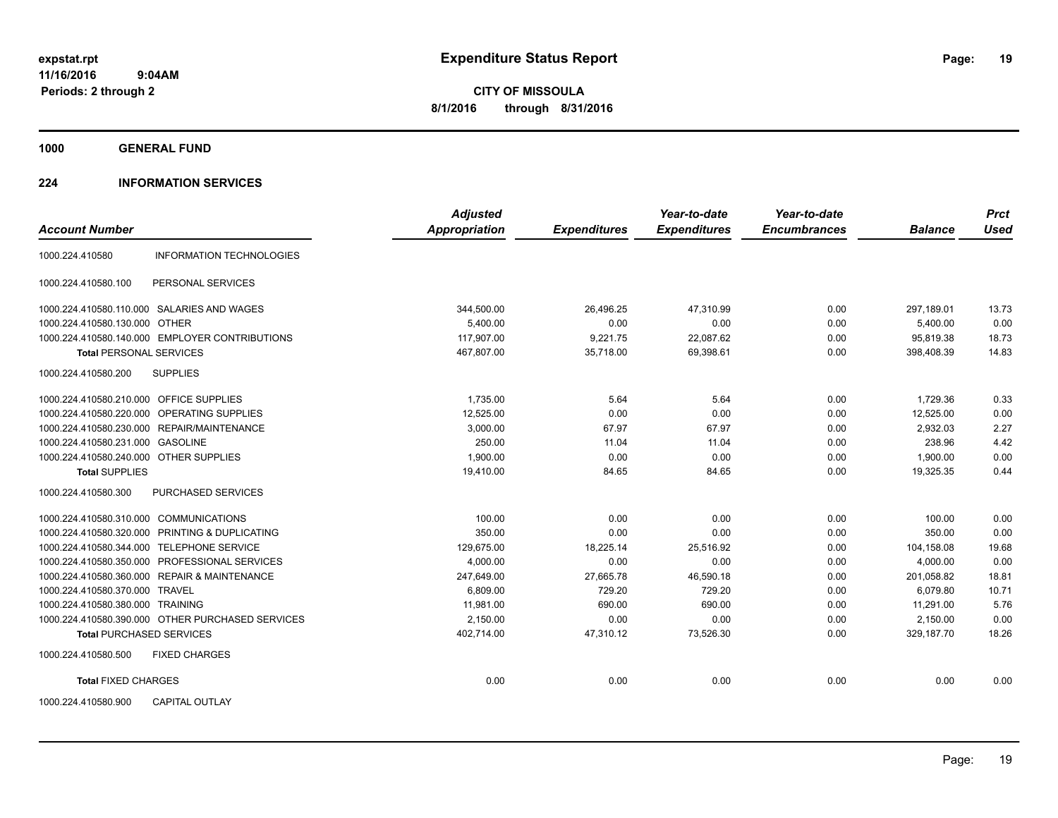**CITY OF MISSOULA 8/1/2016 through 8/31/2016**

**1000 GENERAL FUND**

## **224 INFORMATION SERVICES**

|                                                    | <b>Adjusted</b>      |                     | Year-to-date        | Year-to-date        |                | <b>Prct</b> |
|----------------------------------------------------|----------------------|---------------------|---------------------|---------------------|----------------|-------------|
| <b>Account Number</b>                              | <b>Appropriation</b> | <b>Expenditures</b> | <b>Expenditures</b> | <b>Encumbrances</b> | <b>Balance</b> | <b>Used</b> |
| 1000.224.410580<br><b>INFORMATION TECHNOLOGIES</b> |                      |                     |                     |                     |                |             |
| 1000.224.410580.100<br>PERSONAL SERVICES           |                      |                     |                     |                     |                |             |
| 1000.224.410580.110.000 SALARIES AND WAGES         | 344,500.00           | 26,496.25           | 47,310.99           | 0.00                | 297,189.01     | 13.73       |
| 1000.224.410580.130.000 OTHER                      | 5,400.00             | 0.00                | 0.00                | 0.00                | 5,400.00       | 0.00        |
| 1000.224.410580.140.000 EMPLOYER CONTRIBUTIONS     | 117,907.00           | 9,221.75            | 22,087.62           | 0.00                | 95.819.38      | 18.73       |
| <b>Total PERSONAL SERVICES</b>                     | 467,807.00           | 35,718.00           | 69,398.61           | 0.00                | 398,408.39     | 14.83       |
| <b>SUPPLIES</b><br>1000.224.410580.200             |                      |                     |                     |                     |                |             |
| 1000.224.410580.210.000 OFFICE SUPPLIES            | 1,735.00             | 5.64                | 5.64                | 0.00                | 1,729.36       | 0.33        |
| 1000.224.410580.220.000 OPERATING SUPPLIES         | 12,525.00            | 0.00                | 0.00                | 0.00                | 12,525.00      | 0.00        |
| 1000.224.410580.230.000 REPAIR/MAINTENANCE         | 3,000.00             | 67.97               | 67.97               | 0.00                | 2,932.03       | 2.27        |
| 1000.224.410580.231.000 GASOLINE                   | 250.00               | 11.04               | 11.04               | 0.00                | 238.96         | 4.42        |
| 1000.224.410580.240.000 OTHER SUPPLIES             | 1,900.00             | 0.00                | 0.00                | 0.00                | 1,900.00       | 0.00        |
| <b>Total SUPPLIES</b>                              | 19,410.00            | 84.65               | 84.65               | 0.00                | 19,325.35      | 0.44        |
| 1000.224.410580.300<br>PURCHASED SERVICES          |                      |                     |                     |                     |                |             |
| 1000.224.410580.310.000 COMMUNICATIONS             | 100.00               | 0.00                | 0.00                | 0.00                | 100.00         | 0.00        |
| 1000.224.410580.320.000 PRINTING & DUPLICATING     | 350.00               | 0.00                | 0.00                | 0.00                | 350.00         | 0.00        |
| 1000.224.410580.344.000 TELEPHONE SERVICE          | 129,675.00           | 18,225.14           | 25,516.92           | 0.00                | 104,158.08     | 19.68       |
| 1000.224.410580.350.000 PROFESSIONAL SERVICES      | 4,000.00             | 0.00                | 0.00                | 0.00                | 4,000.00       | 0.00        |
| 1000.224.410580.360.000 REPAIR & MAINTENANCE       | 247,649.00           | 27,665.78           | 46,590.18           | 0.00                | 201,058.82     | 18.81       |
| 1000.224.410580.370.000 TRAVEL                     | 6,809.00             | 729.20              | 729.20              | 0.00                | 6,079.80       | 10.71       |
| 1000.224.410580.380.000 TRAINING                   | 11.981.00            | 690.00              | 690.00              | 0.00                | 11,291.00      | 5.76        |
| 1000.224.410580.390.000 OTHER PURCHASED SERVICES   | 2.150.00             | 0.00                | 0.00                | 0.00                | 2.150.00       | 0.00        |
| <b>Total PURCHASED SERVICES</b>                    | 402,714.00           | 47,310.12           | 73,526.30           | 0.00                | 329,187.70     | 18.26       |
| 1000.224.410580.500<br><b>FIXED CHARGES</b>        |                      |                     |                     |                     |                |             |
| <b>Total FIXED CHARGES</b>                         | 0.00                 | 0.00                | 0.00                | 0.00                | 0.00           | 0.00        |
| <b>CAPITAL OUTLAY</b><br>1000.224.410580.900       |                      |                     |                     |                     |                |             |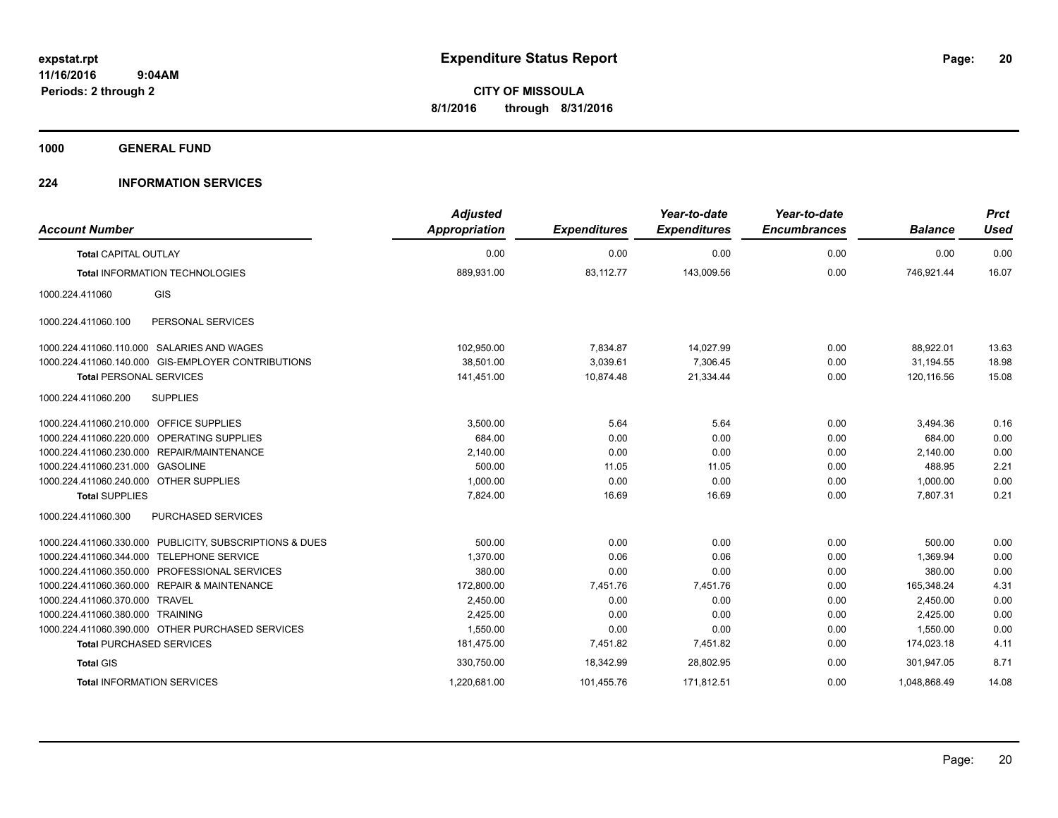**1000 GENERAL FUND**

## **224 INFORMATION SERVICES**

| <b>Account Number</b>                                   | <b>Adjusted</b><br><b>Appropriation</b> | <b>Expenditures</b> | Year-to-date<br><b>Expenditures</b> | Year-to-date<br><b>Encumbrances</b> | <b>Balance</b> | <b>Prct</b><br><b>Used</b> |
|---------------------------------------------------------|-----------------------------------------|---------------------|-------------------------------------|-------------------------------------|----------------|----------------------------|
| <b>Total CAPITAL OUTLAY</b>                             | 0.00                                    | 0.00                | 0.00                                | 0.00                                | 0.00           | 0.00                       |
| <b>Total INFORMATION TECHNOLOGIES</b>                   | 889,931.00                              | 83,112.77           | 143,009.56                          | 0.00                                | 746,921.44     | 16.07                      |
| GIS<br>1000.224.411060                                  |                                         |                     |                                     |                                     |                |                            |
| PERSONAL SERVICES<br>1000.224.411060.100                |                                         |                     |                                     |                                     |                |                            |
| 1000.224.411060.110.000 SALARIES AND WAGES              | 102,950.00                              | 7,834.87            | 14,027.99                           | 0.00                                | 88,922.01      | 13.63                      |
| 1000.224.411060.140.000 GIS-EMPLOYER CONTRIBUTIONS      | 38,501.00                               | 3,039.61            | 7,306.45                            | 0.00                                | 31.194.55      | 18.98                      |
| <b>Total PERSONAL SERVICES</b>                          | 141,451.00                              | 10,874.48           | 21,334.44                           | 0.00                                | 120,116.56     | 15.08                      |
| <b>SUPPLIES</b><br>1000.224.411060.200                  |                                         |                     |                                     |                                     |                |                            |
| 1000.224.411060.210.000 OFFICE SUPPLIES                 | 3,500.00                                | 5.64                | 5.64                                | 0.00                                | 3,494.36       | 0.16                       |
| 1000.224.411060.220.000 OPERATING SUPPLIES              | 684.00                                  | 0.00                | 0.00                                | 0.00                                | 684.00         | 0.00                       |
| 1000.224.411060.230.000 REPAIR/MAINTENANCE              | 2,140.00                                | 0.00                | 0.00                                | 0.00                                | 2,140.00       | 0.00                       |
| <b>GASOLINE</b><br>1000.224.411060.231.000              | 500.00                                  | 11.05               | 11.05                               | 0.00                                | 488.95         | 2.21                       |
| 1000.224.411060.240.000 OTHER SUPPLIES                  | 1.000.00                                | 0.00                | 0.00                                | 0.00                                | 1,000.00       | 0.00                       |
| <b>Total SUPPLIES</b>                                   | 7,824.00                                | 16.69               | 16.69                               | 0.00                                | 7,807.31       | 0.21                       |
| 1000.224.411060.300<br>PURCHASED SERVICES               |                                         |                     |                                     |                                     |                |                            |
| 1000.224.411060.330.000 PUBLICITY, SUBSCRIPTIONS & DUES | 500.00                                  | 0.00                | 0.00                                | 0.00                                | 500.00         | 0.00                       |
| 1000.224.411060.344.000<br><b>TELEPHONE SERVICE</b>     | 1,370.00                                | 0.06                | 0.06                                | 0.00                                | 1,369.94       | 0.00                       |
| 1000.224.411060.350.000 PROFESSIONAL SERVICES           | 380.00                                  | 0.00                | 0.00                                | 0.00                                | 380.00         | 0.00                       |
| 1000.224.411060.360.000 REPAIR & MAINTENANCE            | 172,800.00                              | 7,451.76            | 7.451.76                            | 0.00                                | 165.348.24     | 4.31                       |
| 1000.224.411060.370.000 TRAVEL                          | 2,450.00                                | 0.00                | 0.00                                | 0.00                                | 2,450.00       | 0.00                       |
| 1000.224.411060.380.000 TRAINING                        | 2,425.00                                | 0.00                | 0.00                                | 0.00                                | 2,425.00       | 0.00                       |
| 1000.224.411060.390.000 OTHER PURCHASED SERVICES        | 1,550.00                                | 0.00                | 0.00                                | 0.00                                | 1,550.00       | 0.00                       |
| <b>Total PURCHASED SERVICES</b>                         | 181,475.00                              | 7,451.82            | 7,451.82                            | 0.00                                | 174,023.18     | 4.11                       |
| <b>Total GIS</b>                                        | 330,750.00                              | 18,342.99           | 28.802.95                           | 0.00                                | 301,947.05     | 8.71                       |
| <b>Total INFORMATION SERVICES</b>                       | 1,220,681.00                            | 101,455.76          | 171,812.51                          | 0.00                                | 1,048,868.49   | 14.08                      |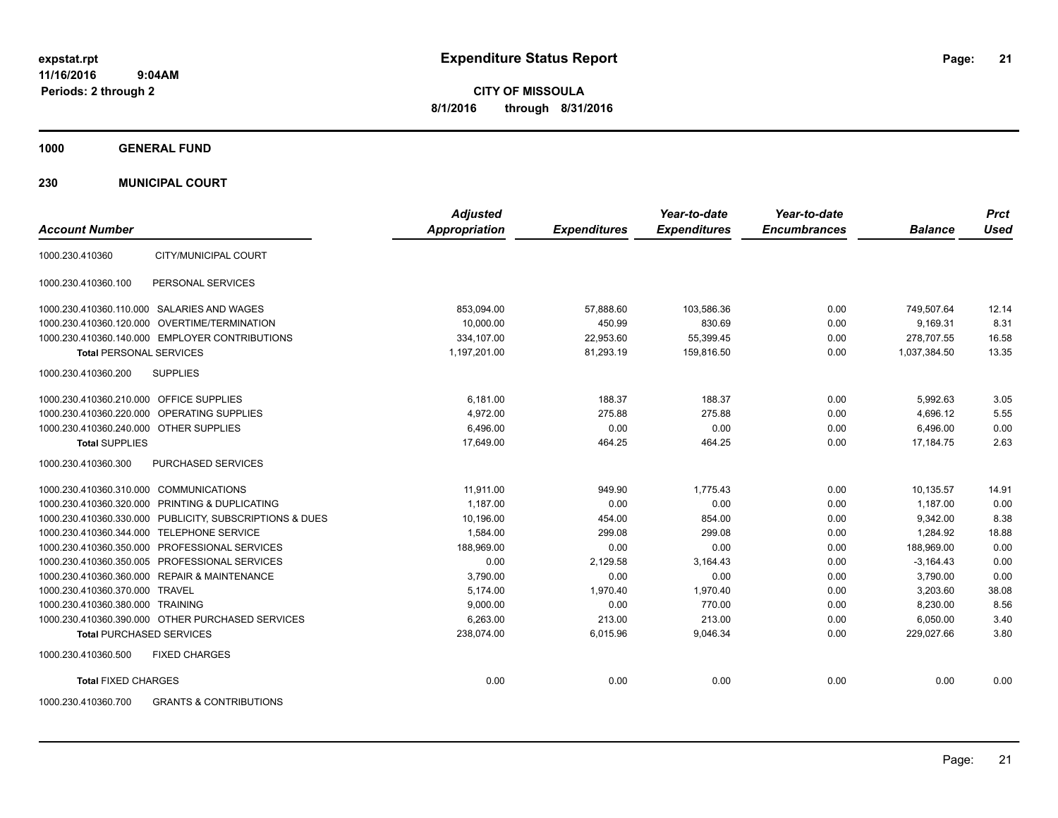**CITY OF MISSOULA 8/1/2016 through 8/31/2016**

**1000 GENERAL FUND**

**230 MUNICIPAL COURT**

| <b>Account Number</b>                                    | <b>Adjusted</b><br><b>Appropriation</b> | <b>Expenditures</b> | Year-to-date<br><b>Expenditures</b> | Year-to-date<br><b>Encumbrances</b> | <b>Balance</b> | <b>Prct</b><br>Used |
|----------------------------------------------------------|-----------------------------------------|---------------------|-------------------------------------|-------------------------------------|----------------|---------------------|
| CITY/MUNICIPAL COURT<br>1000.230.410360                  |                                         |                     |                                     |                                     |                |                     |
| PERSONAL SERVICES<br>1000.230.410360.100                 |                                         |                     |                                     |                                     |                |                     |
| 1000.230.410360.110.000 SALARIES AND WAGES               | 853,094.00                              | 57,888.60           | 103,586.36                          | 0.00                                | 749,507.64     | 12.14               |
| 1000.230.410360.120.000 OVERTIME/TERMINATION             | 10,000.00                               | 450.99              | 830.69                              | 0.00                                | 9,169.31       | 8.31                |
| 1000.230.410360.140.000 EMPLOYER CONTRIBUTIONS           | 334.107.00                              | 22,953.60           | 55,399.45                           | 0.00                                | 278.707.55     | 16.58               |
| <b>Total PERSONAL SERVICES</b>                           | 1,197,201.00                            | 81,293.19           | 159,816.50                          | 0.00                                | 1,037,384.50   | 13.35               |
| <b>SUPPLIES</b><br>1000.230.410360.200                   |                                         |                     |                                     |                                     |                |                     |
| 1000.230.410360.210.000 OFFICE SUPPLIES                  | 6,181.00                                | 188.37              | 188.37                              | 0.00                                | 5,992.63       | 3.05                |
| <b>OPERATING SUPPLIES</b><br>1000.230.410360.220.000     | 4,972.00                                | 275.88              | 275.88                              | 0.00                                | 4,696.12       | 5.55                |
| 1000.230.410360.240.000 OTHER SUPPLIES                   | 6,496.00                                | 0.00                | 0.00                                | 0.00                                | 6,496.00       | 0.00                |
| <b>Total SUPPLIES</b>                                    | 17,649.00                               | 464.25              | 464.25                              | 0.00                                | 17,184.75      | 2.63                |
| 1000.230.410360.300<br>PURCHASED SERVICES                |                                         |                     |                                     |                                     |                |                     |
| 1000.230.410360.310.000 COMMUNICATIONS                   | 11,911.00                               | 949.90              | 1,775.43                            | 0.00                                | 10,135.57      | 14.91               |
| 1000.230.410360.320.000 PRINTING & DUPLICATING           | 1,187.00                                | 0.00                | 0.00                                | 0.00                                | 1,187.00       | 0.00                |
| 1000.230.410360.330.000 PUBLICITY, SUBSCRIPTIONS & DUES  | 10,196.00                               | 454.00              | 854.00                              | 0.00                                | 9,342.00       | 8.38                |
| 1000.230.410360.344.000 TELEPHONE SERVICE                | 1,584.00                                | 299.08              | 299.08                              | 0.00                                | 1.284.92       | 18.88               |
| 1000.230.410360.350.000 PROFESSIONAL SERVICES            | 188,969.00                              | 0.00                | 0.00                                | 0.00                                | 188,969.00     | 0.00                |
| 1000.230.410360.350.005 PROFESSIONAL SERVICES            | 0.00                                    | 2,129.58            | 3,164.43                            | 0.00                                | $-3,164.43$    | 0.00                |
| 1000.230.410360.360.000 REPAIR & MAINTENANCE             | 3,790.00                                | 0.00                | 0.00                                | 0.00                                | 3,790.00       | 0.00                |
| 1000.230.410360.370.000 TRAVEL                           | 5.174.00                                | 1,970.40            | 1,970.40                            | 0.00                                | 3.203.60       | 38.08               |
| 1000.230.410360.380.000 TRAINING                         | 9,000.00                                | 0.00                | 770.00                              | 0.00                                | 8,230.00       | 8.56                |
| 1000.230.410360.390.000 OTHER PURCHASED SERVICES         | 6.263.00                                | 213.00              | 213.00                              | 0.00                                | 6,050.00       | 3.40                |
| <b>Total PURCHASED SERVICES</b>                          | 238,074.00                              | 6,015.96            | 9,046.34                            | 0.00                                | 229,027.66     | 3.80                |
| 1000.230.410360.500<br><b>FIXED CHARGES</b>              |                                         |                     |                                     |                                     |                |                     |
| <b>Total FIXED CHARGES</b>                               | 0.00                                    | 0.00                | 0.00                                | 0.00                                | 0.00           | 0.00                |
| <b>GRANTS &amp; CONTRIBUTIONS</b><br>1000.230.410360.700 |                                         |                     |                                     |                                     |                |                     |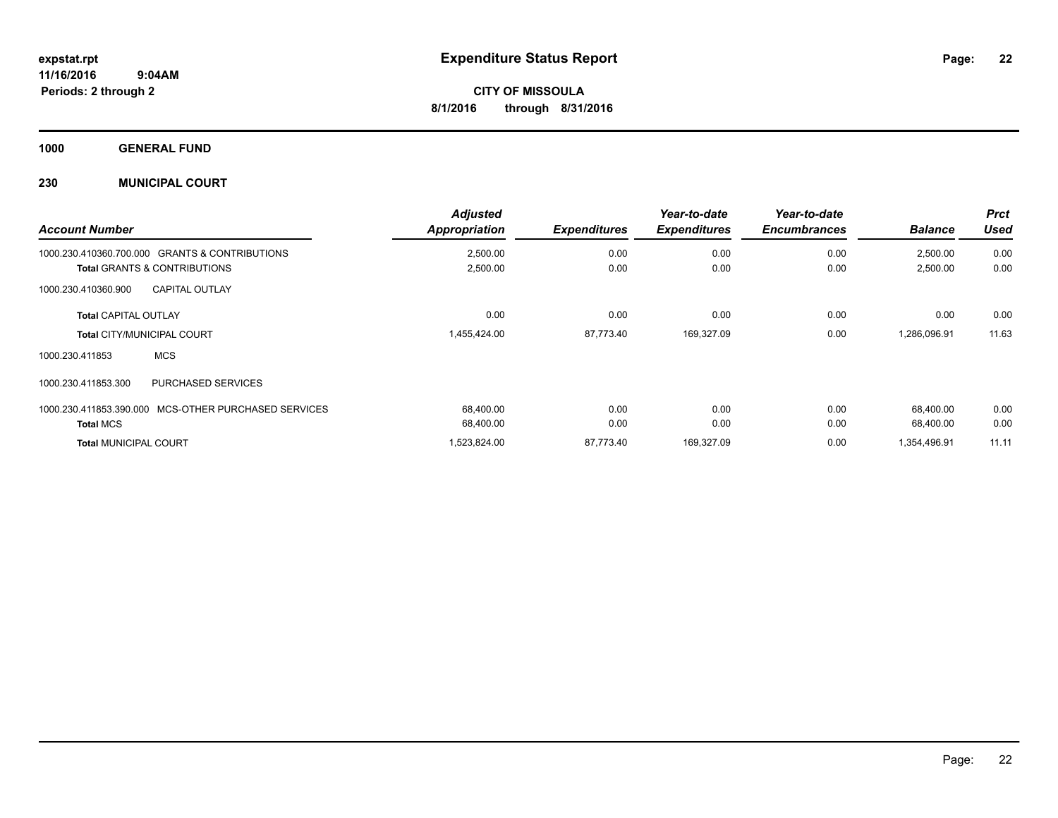**1000 GENERAL FUND**

## **230 MUNICIPAL COURT**

| <b>Account Number</b>                                                                                   | <b>Adjusted</b><br><b>Appropriation</b> | <b>Expenditures</b> | Year-to-date<br><b>Expenditures</b> | Year-to-date<br><b>Encumbrances</b> | <b>Balance</b>       | <b>Prct</b><br><b>Used</b> |
|---------------------------------------------------------------------------------------------------------|-----------------------------------------|---------------------|-------------------------------------|-------------------------------------|----------------------|----------------------------|
| 1000.230.410360.700.000<br><b>GRANTS &amp; CONTRIBUTIONS</b><br><b>Total GRANTS &amp; CONTRIBUTIONS</b> | 2,500.00<br>2,500.00                    | 0.00<br>0.00        | 0.00<br>0.00                        | 0.00<br>0.00                        | 2,500.00<br>2,500.00 | 0.00<br>0.00               |
| <b>CAPITAL OUTLAY</b><br>1000.230.410360.900                                                            |                                         |                     |                                     |                                     |                      |                            |
| <b>Total CAPITAL OUTLAY</b>                                                                             | 0.00                                    | 0.00                | 0.00                                | 0.00                                | 0.00                 | 0.00                       |
| <b>Total CITY/MUNICIPAL COURT</b>                                                                       | 1,455,424.00                            | 87,773.40           | 169,327.09                          | 0.00                                | 1,286,096.91         | 11.63                      |
| <b>MCS</b><br>1000.230.411853                                                                           |                                         |                     |                                     |                                     |                      |                            |
| 1000.230.411853.300<br><b>PURCHASED SERVICES</b>                                                        |                                         |                     |                                     |                                     |                      |                            |
| MCS-OTHER PURCHASED SERVICES<br>1000.230.411853.390.000                                                 | 68.400.00                               | 0.00                | 0.00                                | 0.00                                | 68,400.00            | 0.00                       |
| <b>Total MCS</b>                                                                                        | 68,400.00                               | 0.00                | 0.00                                | 0.00                                | 68,400.00            | 0.00                       |
| <b>Total MUNICIPAL COURT</b>                                                                            | 1,523,824.00                            | 87.773.40           | 169,327.09                          | 0.00                                | 1,354,496.91         | 11.11                      |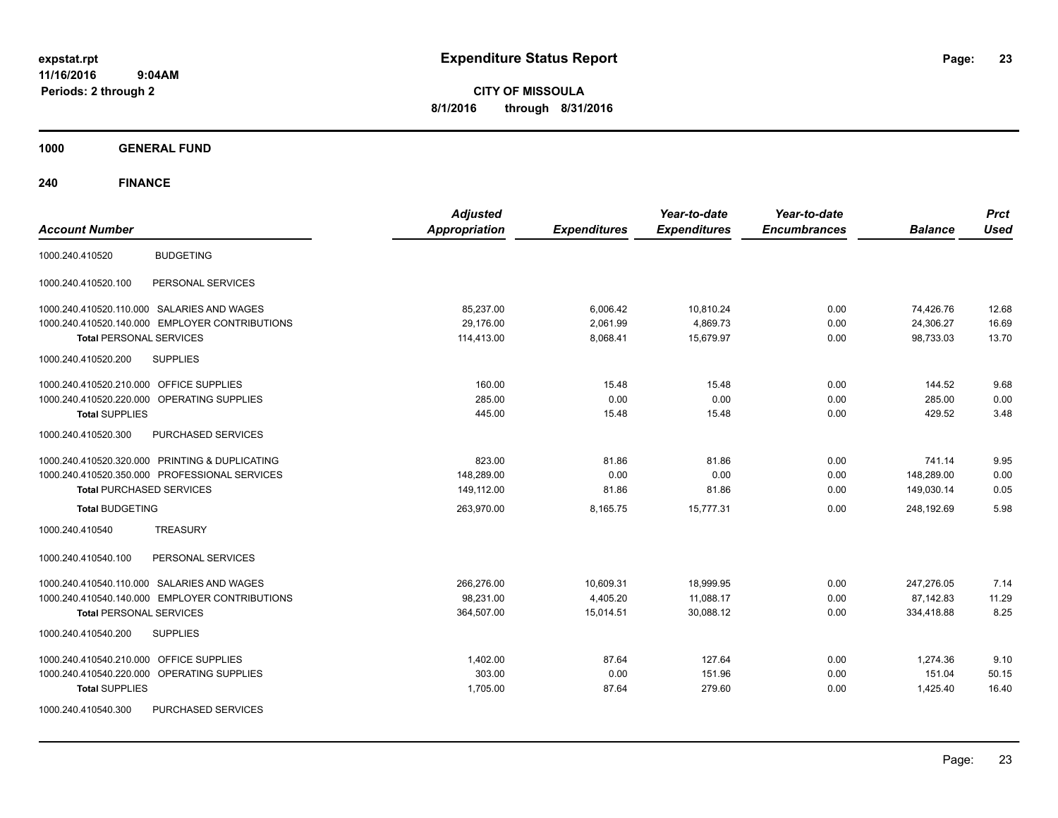**CITY OF MISSOULA 8/1/2016 through 8/31/2016**

**1000 GENERAL FUND**

| <b>Account Number</b>                                                            | <b>Adjusted</b><br><b>Appropriation</b> | <b>Expenditures</b>  | Year-to-date<br><b>Expenditures</b> | Year-to-date<br><b>Encumbrances</b> | <b>Balance</b>         | <b>Prct</b><br><b>Used</b> |
|----------------------------------------------------------------------------------|-----------------------------------------|----------------------|-------------------------------------|-------------------------------------|------------------------|----------------------------|
| <b>BUDGETING</b><br>1000.240.410520                                              |                                         |                      |                                     |                                     |                        |                            |
| 1000.240.410520.100<br>PERSONAL SERVICES                                         |                                         |                      |                                     |                                     |                        |                            |
| 1000.240.410520.110.000 SALARIES AND WAGES                                       | 85,237.00                               | 6,006.42             | 10,810.24                           | 0.00                                | 74,426.76              | 12.68                      |
| 1000.240.410520.140.000 EMPLOYER CONTRIBUTIONS<br><b>Total PERSONAL SERVICES</b> | 29,176.00<br>114,413.00                 | 2,061.99<br>8,068.41 | 4,869.73<br>15,679.97               | 0.00<br>0.00                        | 24,306.27<br>98,733.03 | 16.69<br>13.70             |
| 1000.240.410520.200<br><b>SUPPLIES</b>                                           |                                         |                      |                                     |                                     |                        |                            |
| OFFICE SUPPLIES<br>1000.240.410520.210.000                                       | 160.00                                  | 15.48                | 15.48                               | 0.00                                | 144.52                 | 9.68                       |
| 1000.240.410520.220.000<br><b>OPERATING SUPPLIES</b>                             | 285.00                                  | 0.00                 | 0.00                                | 0.00                                | 285.00                 | 0.00                       |
| <b>Total SUPPLIES</b>                                                            | 445.00                                  | 15.48                | 15.48                               | 0.00                                | 429.52                 | 3.48                       |
| 1000.240.410520.300<br>PURCHASED SERVICES                                        |                                         |                      |                                     |                                     |                        |                            |
| 1000.240.410520.320.000 PRINTING & DUPLICATING                                   | 823.00                                  | 81.86                | 81.86                               | 0.00                                | 741.14                 | 9.95                       |
| 1000.240.410520.350.000 PROFESSIONAL SERVICES                                    | 148,289.00                              | 0.00                 | 0.00                                | 0.00                                | 148,289.00             | 0.00                       |
| <b>Total PURCHASED SERVICES</b>                                                  | 149,112.00                              | 81.86                | 81.86                               | 0.00                                | 149,030.14             | 0.05                       |
| <b>Total BUDGETING</b>                                                           | 263,970.00                              | 8,165.75             | 15,777.31                           | 0.00                                | 248,192.69             | 5.98                       |
| <b>TREASURY</b><br>1000.240.410540                                               |                                         |                      |                                     |                                     |                        |                            |
| PERSONAL SERVICES<br>1000.240.410540.100                                         |                                         |                      |                                     |                                     |                        |                            |
| 1000.240.410540.110.000 SALARIES AND WAGES                                       | 266,276.00                              | 10,609.31            | 18,999.95                           | 0.00                                | 247,276.05             | 7.14                       |
| 1000.240.410540.140.000 EMPLOYER CONTRIBUTIONS                                   | 98,231.00                               | 4,405.20             | 11,088.17                           | 0.00                                | 87,142.83              | 11.29                      |
| <b>Total PERSONAL SERVICES</b>                                                   | 364,507.00                              | 15,014.51            | 30,088.12                           | 0.00                                | 334,418.88             | 8.25                       |
| <b>SUPPLIES</b><br>1000.240.410540.200                                           |                                         |                      |                                     |                                     |                        |                            |
| <b>OFFICE SUPPLIES</b><br>1000.240.410540.210.000                                | 1,402.00                                | 87.64                | 127.64                              | 0.00                                | 1.274.36               | 9.10                       |
| <b>OPERATING SUPPLIES</b><br>1000.240.410540.220.000                             | 303.00                                  | 0.00                 | 151.96                              | 0.00                                | 151.04                 | 50.15                      |
| <b>Total SUPPLIES</b>                                                            | 1,705.00                                | 87.64                | 279.60                              | 0.00                                | 1,425.40               | 16.40                      |
| PURCHASED SERVICES<br>1000.240.410540.300                                        |                                         |                      |                                     |                                     |                        |                            |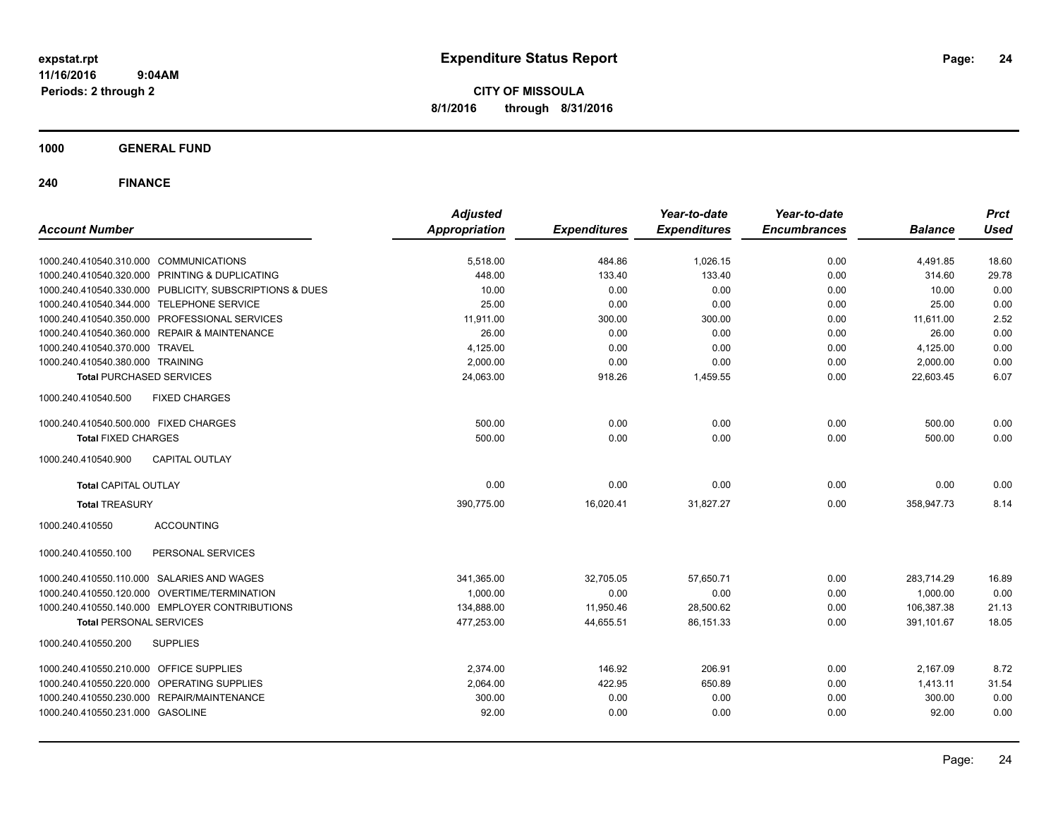**CITY OF MISSOULA 8/1/2016 through 8/31/2016**

**1000 GENERAL FUND**

| <b>Account Number</b>                                   | <b>Adjusted</b><br><b>Appropriation</b> | <b>Expenditures</b> | Year-to-date<br><b>Expenditures</b> | Year-to-date<br><b>Encumbrances</b> | <b>Balance</b> | <b>Prct</b><br><b>Used</b> |
|---------------------------------------------------------|-----------------------------------------|---------------------|-------------------------------------|-------------------------------------|----------------|----------------------------|
| 1000.240.410540.310.000 COMMUNICATIONS                  | 5,518.00                                | 484.86              | 1,026.15                            | 0.00                                | 4,491.85       | 18.60                      |
| 1000.240.410540.320.000 PRINTING & DUPLICATING          | 448.00                                  | 133.40              | 133.40                              | 0.00                                | 314.60         | 29.78                      |
| 1000.240.410540.330.000 PUBLICITY, SUBSCRIPTIONS & DUES | 10.00                                   | 0.00                | 0.00                                | 0.00                                | 10.00          | 0.00                       |
| 1000.240.410540.344.000 TELEPHONE SERVICE               | 25.00                                   | 0.00                | 0.00                                | 0.00                                | 25.00          | 0.00                       |
| 1000.240.410540.350.000 PROFESSIONAL SERVICES           | 11,911.00                               | 300.00              | 300.00                              | 0.00                                | 11,611.00      | 2.52                       |
| 1000.240.410540.360.000 REPAIR & MAINTENANCE            | 26.00                                   | 0.00                | 0.00                                | 0.00                                | 26.00          | 0.00                       |
| 1000.240.410540.370.000 TRAVEL                          | 4,125.00                                | 0.00                | 0.00                                | 0.00                                | 4,125.00       | 0.00                       |
| 1000.240.410540.380.000 TRAINING                        | 2.000.00                                | 0.00                | 0.00                                | 0.00                                | 2,000.00       | 0.00                       |
| <b>Total PURCHASED SERVICES</b>                         | 24.063.00                               | 918.26              | 1,459.55                            | 0.00                                | 22.603.45      | 6.07                       |
| <b>FIXED CHARGES</b><br>1000.240.410540.500             |                                         |                     |                                     |                                     |                |                            |
| 1000.240.410540.500.000 FIXED CHARGES                   | 500.00                                  | 0.00                | 0.00                                | 0.00                                | 500.00         | 0.00                       |
| <b>Total FIXED CHARGES</b>                              | 500.00                                  | 0.00                | 0.00                                | 0.00                                | 500.00         | 0.00                       |
| 1000.240.410540.900<br><b>CAPITAL OUTLAY</b>            |                                         |                     |                                     |                                     |                |                            |
| <b>Total CAPITAL OUTLAY</b>                             | 0.00                                    | 0.00                | 0.00                                | 0.00                                | 0.00           | 0.00                       |
| <b>Total TREASURY</b>                                   | 390.775.00                              | 16,020.41           | 31,827.27                           | 0.00                                | 358,947.73     | 8.14                       |
| <b>ACCOUNTING</b><br>1000.240.410550                    |                                         |                     |                                     |                                     |                |                            |
| 1000.240.410550.100<br>PERSONAL SERVICES                |                                         |                     |                                     |                                     |                |                            |
| 1000.240.410550.110.000 SALARIES AND WAGES              | 341,365.00                              | 32,705.05           | 57,650.71                           | 0.00                                | 283,714.29     | 16.89                      |
| 1000.240.410550.120.000 OVERTIME/TERMINATION            | 1,000.00                                | 0.00                | 0.00                                | 0.00                                | 1.000.00       | 0.00                       |
| 1000.240.410550.140.000 EMPLOYER CONTRIBUTIONS          | 134,888.00                              | 11,950.46           | 28,500.62                           | 0.00                                | 106,387.38     | 21.13                      |
| <b>Total PERSONAL SERVICES</b>                          | 477,253.00                              | 44,655.51           | 86,151.33                           | 0.00                                | 391,101.67     | 18.05                      |
| 1000.240.410550.200<br><b>SUPPLIES</b>                  |                                         |                     |                                     |                                     |                |                            |
| 1000.240.410550.210.000 OFFICE SUPPLIES                 | 2,374.00                                | 146.92              | 206.91                              | 0.00                                | 2,167.09       | 8.72                       |
| 1000.240.410550.220.000 OPERATING SUPPLIES              | 2,064.00                                | 422.95              | 650.89                              | 0.00                                | 1,413.11       | 31.54                      |
| 1000.240.410550.230.000 REPAIR/MAINTENANCE              | 300.00                                  | 0.00                | 0.00                                | 0.00                                | 300.00         | 0.00                       |
| 1000.240.410550.231.000 GASOLINE                        | 92.00                                   | 0.00                | 0.00                                | 0.00                                | 92.00          | 0.00                       |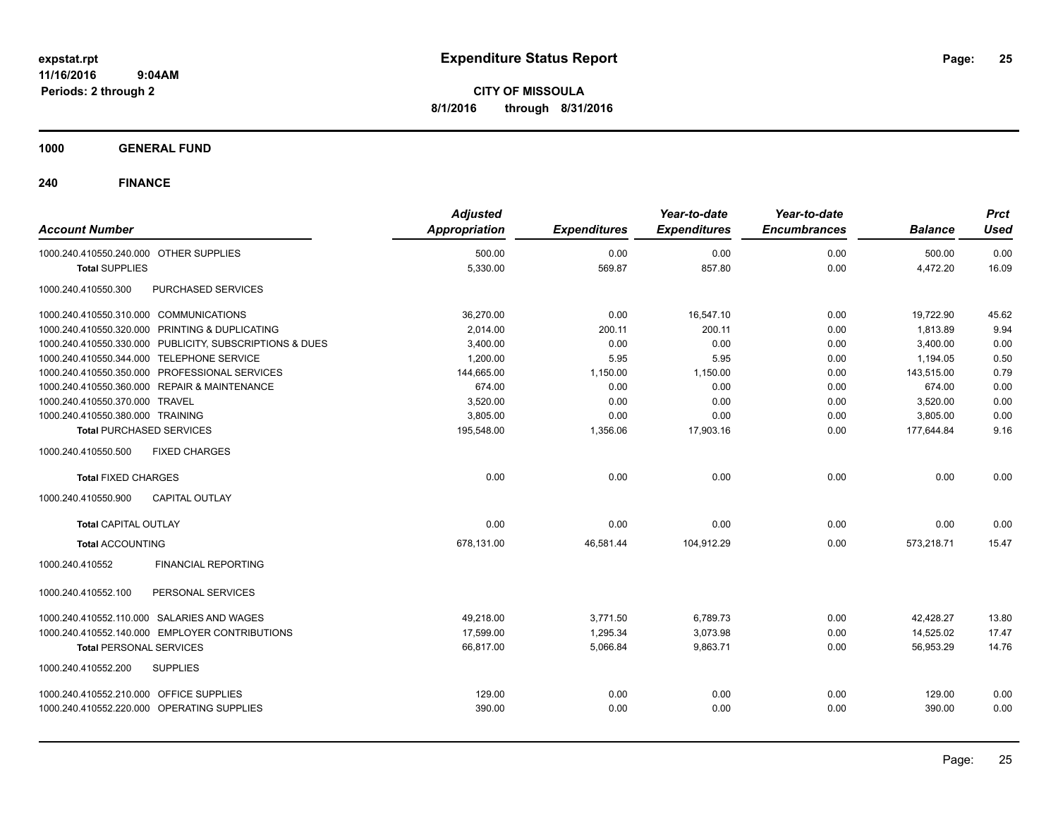**CITY OF MISSOULA 8/1/2016 through 8/31/2016**

**1000 GENERAL FUND**

| 0.00<br>0.00<br>0.00<br>500.00<br>1000.240.410550.240.000 OTHER SUPPLIES<br>500.00<br>5,330.00<br>569.87<br>857.80<br>0.00<br>4,472.20<br><b>Total SUPPLIES</b><br>1000.240.410550.300<br>PURCHASED SERVICES<br>1000.240.410550.310.000 COMMUNICATIONS<br>36,270.00<br>0.00<br>16,547.10<br>19,722.90<br>0.00<br>1000.240.410550.320.000 PRINTING & DUPLICATING<br>200.11<br>2,014.00<br>200.11<br>0.00<br>1.813.89<br>0.00<br>1000.240.410550.330.000 PUBLICITY, SUBSCRIPTIONS & DUES<br>3,400.00<br>0.00<br>0.00<br>3,400.00<br>1000.240.410550.344.000 TELEPHONE SERVICE<br>1,200.00<br>5.95<br>5.95<br>0.00<br>1,194.05<br>1000.240.410550.350.000 PROFESSIONAL SERVICES<br>144,665.00<br>1,150.00<br>1,150.00<br>0.00<br>143,515.00<br>1000.240.410550.360.000 REPAIR & MAINTENANCE<br>674.00<br>0.00<br>0.00<br>0.00<br>674.00<br>1000.240.410550.370.000 TRAVEL<br>3,520.00<br>0.00<br>0.00<br>0.00<br>3,520.00<br>1000.240.410550.380.000 TRAINING<br>3,805.00<br>0.00<br>0.00<br>0.00<br>3,805.00<br>195,548.00<br>1,356.06<br>17,903.16<br>0.00<br><b>Total PURCHASED SERVICES</b><br>177,644.84<br><b>FIXED CHARGES</b><br>1000.240.410550.500 | <b>Account Number</b> | <b>Adjusted</b><br><b>Appropriation</b> | <b>Expenditures</b> | Year-to-date<br><b>Expenditures</b> | Year-to-date<br><b>Encumbrances</b> | <b>Balance</b> | <b>Prct</b><br><b>Used</b> |
|-----------------------------------------------------------------------------------------------------------------------------------------------------------------------------------------------------------------------------------------------------------------------------------------------------------------------------------------------------------------------------------------------------------------------------------------------------------------------------------------------------------------------------------------------------------------------------------------------------------------------------------------------------------------------------------------------------------------------------------------------------------------------------------------------------------------------------------------------------------------------------------------------------------------------------------------------------------------------------------------------------------------------------------------------------------------------------------------------------------------------------------------------------------|-----------------------|-----------------------------------------|---------------------|-------------------------------------|-------------------------------------|----------------|----------------------------|
|                                                                                                                                                                                                                                                                                                                                                                                                                                                                                                                                                                                                                                                                                                                                                                                                                                                                                                                                                                                                                                                                                                                                                           |                       |                                         |                     |                                     |                                     |                | 0.00                       |
|                                                                                                                                                                                                                                                                                                                                                                                                                                                                                                                                                                                                                                                                                                                                                                                                                                                                                                                                                                                                                                                                                                                                                           |                       |                                         |                     |                                     |                                     |                | 16.09                      |
|                                                                                                                                                                                                                                                                                                                                                                                                                                                                                                                                                                                                                                                                                                                                                                                                                                                                                                                                                                                                                                                                                                                                                           |                       |                                         |                     |                                     |                                     |                |                            |
|                                                                                                                                                                                                                                                                                                                                                                                                                                                                                                                                                                                                                                                                                                                                                                                                                                                                                                                                                                                                                                                                                                                                                           |                       |                                         |                     |                                     |                                     |                | 45.62                      |
|                                                                                                                                                                                                                                                                                                                                                                                                                                                                                                                                                                                                                                                                                                                                                                                                                                                                                                                                                                                                                                                                                                                                                           |                       |                                         |                     |                                     |                                     |                | 9.94                       |
|                                                                                                                                                                                                                                                                                                                                                                                                                                                                                                                                                                                                                                                                                                                                                                                                                                                                                                                                                                                                                                                                                                                                                           |                       |                                         |                     |                                     |                                     |                | 0.00                       |
|                                                                                                                                                                                                                                                                                                                                                                                                                                                                                                                                                                                                                                                                                                                                                                                                                                                                                                                                                                                                                                                                                                                                                           |                       |                                         |                     |                                     |                                     |                | 0.50                       |
|                                                                                                                                                                                                                                                                                                                                                                                                                                                                                                                                                                                                                                                                                                                                                                                                                                                                                                                                                                                                                                                                                                                                                           |                       |                                         |                     |                                     |                                     |                | 0.79                       |
|                                                                                                                                                                                                                                                                                                                                                                                                                                                                                                                                                                                                                                                                                                                                                                                                                                                                                                                                                                                                                                                                                                                                                           |                       |                                         |                     |                                     |                                     |                | 0.00                       |
|                                                                                                                                                                                                                                                                                                                                                                                                                                                                                                                                                                                                                                                                                                                                                                                                                                                                                                                                                                                                                                                                                                                                                           |                       |                                         |                     |                                     |                                     |                | 0.00                       |
|                                                                                                                                                                                                                                                                                                                                                                                                                                                                                                                                                                                                                                                                                                                                                                                                                                                                                                                                                                                                                                                                                                                                                           |                       |                                         |                     |                                     |                                     |                | 0.00                       |
|                                                                                                                                                                                                                                                                                                                                                                                                                                                                                                                                                                                                                                                                                                                                                                                                                                                                                                                                                                                                                                                                                                                                                           |                       |                                         |                     |                                     |                                     |                | 9.16                       |
|                                                                                                                                                                                                                                                                                                                                                                                                                                                                                                                                                                                                                                                                                                                                                                                                                                                                                                                                                                                                                                                                                                                                                           |                       |                                         |                     |                                     |                                     |                |                            |
| 0.00<br>0.00<br>0.00<br>0.00<br>0.00<br><b>Total FIXED CHARGES</b>                                                                                                                                                                                                                                                                                                                                                                                                                                                                                                                                                                                                                                                                                                                                                                                                                                                                                                                                                                                                                                                                                        |                       |                                         |                     |                                     |                                     |                | 0.00                       |
| 1000.240.410550.900<br><b>CAPITAL OUTLAY</b>                                                                                                                                                                                                                                                                                                                                                                                                                                                                                                                                                                                                                                                                                                                                                                                                                                                                                                                                                                                                                                                                                                              |                       |                                         |                     |                                     |                                     |                |                            |
| 0.00<br>0.00<br>0.00<br>0.00<br>0.00<br><b>Total CAPITAL OUTLAY</b>                                                                                                                                                                                                                                                                                                                                                                                                                                                                                                                                                                                                                                                                                                                                                                                                                                                                                                                                                                                                                                                                                       |                       |                                         |                     |                                     |                                     |                | 0.00                       |
| 678.131.00<br>46.581.44<br>104.912.29<br>0.00<br>573,218.71<br><b>Total ACCOUNTING</b>                                                                                                                                                                                                                                                                                                                                                                                                                                                                                                                                                                                                                                                                                                                                                                                                                                                                                                                                                                                                                                                                    |                       |                                         |                     |                                     |                                     |                | 15.47                      |
| <b>FINANCIAL REPORTING</b><br>1000.240.410552                                                                                                                                                                                                                                                                                                                                                                                                                                                                                                                                                                                                                                                                                                                                                                                                                                                                                                                                                                                                                                                                                                             |                       |                                         |                     |                                     |                                     |                |                            |
| PERSONAL SERVICES<br>1000.240.410552.100                                                                                                                                                                                                                                                                                                                                                                                                                                                                                                                                                                                                                                                                                                                                                                                                                                                                                                                                                                                                                                                                                                                  |                       |                                         |                     |                                     |                                     |                |                            |
| 1000.240.410552.110.000 SALARIES AND WAGES<br>49.218.00<br>3,771.50<br>6,789.73<br>0.00<br>42,428.27                                                                                                                                                                                                                                                                                                                                                                                                                                                                                                                                                                                                                                                                                                                                                                                                                                                                                                                                                                                                                                                      |                       |                                         |                     |                                     |                                     |                | 13.80                      |
| 1000.240.410552.140.000 EMPLOYER CONTRIBUTIONS<br>17.599.00<br>1.295.34<br>3.073.98<br>0.00<br>14,525.02                                                                                                                                                                                                                                                                                                                                                                                                                                                                                                                                                                                                                                                                                                                                                                                                                                                                                                                                                                                                                                                  |                       |                                         |                     |                                     |                                     |                | 17.47                      |
| 66,817.00<br>5,066.84<br>9,863.71<br>0.00<br>56,953.29<br><b>Total PERSONAL SERVICES</b>                                                                                                                                                                                                                                                                                                                                                                                                                                                                                                                                                                                                                                                                                                                                                                                                                                                                                                                                                                                                                                                                  |                       |                                         |                     |                                     |                                     |                | 14.76                      |
| <b>SUPPLIES</b><br>1000.240.410552.200                                                                                                                                                                                                                                                                                                                                                                                                                                                                                                                                                                                                                                                                                                                                                                                                                                                                                                                                                                                                                                                                                                                    |                       |                                         |                     |                                     |                                     |                |                            |
| 1000.240.410552.210.000 OFFICE SUPPLIES<br>129.00<br>0.00<br>0.00<br>0.00<br>129.00                                                                                                                                                                                                                                                                                                                                                                                                                                                                                                                                                                                                                                                                                                                                                                                                                                                                                                                                                                                                                                                                       |                       |                                         |                     |                                     |                                     |                | 0.00                       |
| 0.00<br>1000.240.410552.220.000 OPERATING SUPPLIES<br>390.00<br>0.00<br>0.00<br>390.00                                                                                                                                                                                                                                                                                                                                                                                                                                                                                                                                                                                                                                                                                                                                                                                                                                                                                                                                                                                                                                                                    |                       |                                         |                     |                                     |                                     |                | 0.00                       |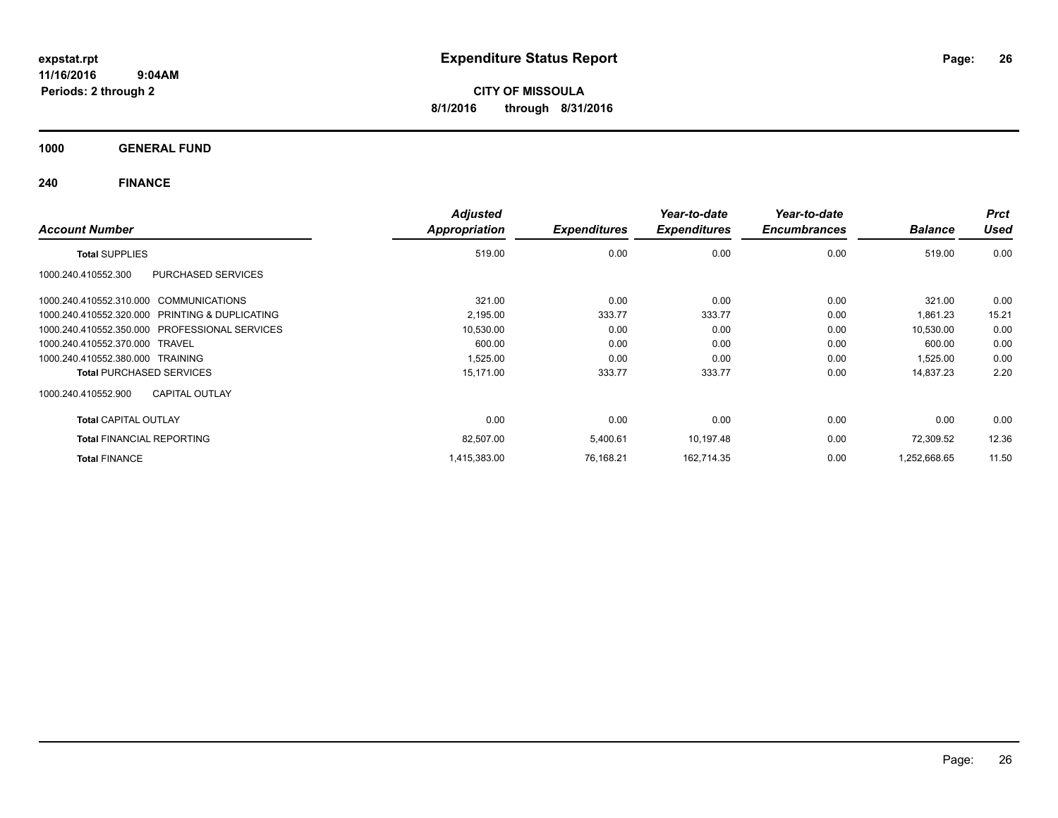**CITY OF MISSOULA 8/1/2016 through 8/31/2016**

**1000 GENERAL FUND**

| <b>Account Number</b>                          | <b>Adjusted</b><br>Appropriation | <b>Expenditures</b> | Year-to-date<br><b>Expenditures</b> | Year-to-date<br><b>Encumbrances</b> | <b>Balance</b> | <b>Prct</b><br><b>Used</b> |
|------------------------------------------------|----------------------------------|---------------------|-------------------------------------|-------------------------------------|----------------|----------------------------|
| <b>Total SUPPLIES</b>                          | 519.00                           | 0.00                | 0.00                                | 0.00                                | 519.00         | 0.00                       |
| 1000.240.410552.300<br>PURCHASED SERVICES      |                                  |                     |                                     |                                     |                |                            |
| 1000.240.410552.310.000 COMMUNICATIONS         | 321.00                           | 0.00                | 0.00                                | 0.00                                | 321.00         | 0.00                       |
| 1000.240.410552.320.000 PRINTING & DUPLICATING | 2,195.00                         | 333.77              | 333.77                              | 0.00                                | 1,861.23       | 15.21                      |
| 1000.240.410552.350.000 PROFESSIONAL SERVICES  | 10,530.00                        | 0.00                | 0.00                                | 0.00                                | 10,530.00      | 0.00                       |
| 1000.240.410552.370.000 TRAVEL                 | 600.00                           | 0.00                | 0.00                                | 0.00                                | 600.00         | 0.00                       |
| 1000.240.410552.380.000 TRAINING               | 1,525.00                         | 0.00                | 0.00                                | 0.00                                | 1,525.00       | 0.00                       |
| <b>Total PURCHASED SERVICES</b>                | 15,171.00                        | 333.77              | 333.77                              | 0.00                                | 14,837.23      | 2.20                       |
| <b>CAPITAL OUTLAY</b><br>1000.240.410552.900   |                                  |                     |                                     |                                     |                |                            |
| <b>Total CAPITAL OUTLAY</b>                    | 0.00                             | 0.00                | 0.00                                | 0.00                                | 0.00           | 0.00                       |
| <b>Total FINANCIAL REPORTING</b>               | 82,507.00                        | 5,400.61            | 10,197.48                           | 0.00                                | 72,309.52      | 12.36                      |
| <b>Total FINANCE</b>                           | 1,415,383.00                     | 76,168.21           | 162,714.35                          | 0.00                                | 1,252,668.65   | 11.50                      |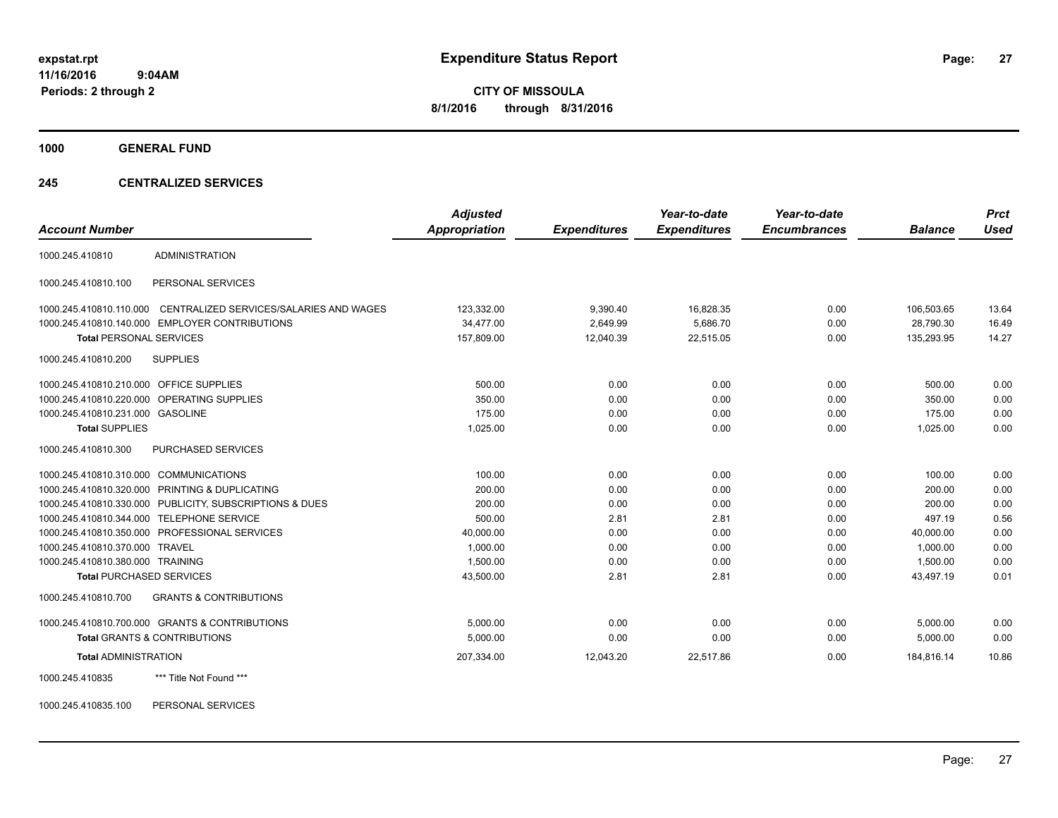**CITY OF MISSOULA 8/1/2016 through 8/31/2016**

**1000 GENERAL FUND**

### **245 CENTRALIZED SERVICES**

|                                         |                                                         | <b>Adjusted</b> |                     | Year-to-date        | Year-to-date        |                | <b>Prct</b> |
|-----------------------------------------|---------------------------------------------------------|-----------------|---------------------|---------------------|---------------------|----------------|-------------|
| <b>Account Number</b>                   |                                                         | Appropriation   | <b>Expenditures</b> | <b>Expenditures</b> | <b>Encumbrances</b> | <b>Balance</b> | <b>Used</b> |
| 1000.245.410810                         | <b>ADMINISTRATION</b>                                   |                 |                     |                     |                     |                |             |
| 1000.245.410810.100                     | PERSONAL SERVICES                                       |                 |                     |                     |                     |                |             |
| 1000.245.410810.110.000                 | CENTRALIZED SERVICES/SALARIES AND WAGES                 | 123,332.00      | 9,390.40            | 16,828.35           | 0.00                | 106,503.65     | 13.64       |
|                                         | 1000.245.410810.140.000 EMPLOYER CONTRIBUTIONS          | 34.477.00       | 2.649.99            | 5.686.70            | 0.00                | 28.790.30      | 16.49       |
| <b>Total PERSONAL SERVICES</b>          |                                                         | 157,809.00      | 12,040.39           | 22,515.05           | 0.00                | 135,293.95     | 14.27       |
| 1000.245.410810.200                     | <b>SUPPLIES</b>                                         |                 |                     |                     |                     |                |             |
| 1000.245.410810.210.000 OFFICE SUPPLIES |                                                         | 500.00          | 0.00                | 0.00                | 0.00                | 500.00         | 0.00        |
|                                         | 1000.245.410810.220.000 OPERATING SUPPLIES              | 350.00          | 0.00                | 0.00                | 0.00                | 350.00         | 0.00        |
| 1000.245.410810.231.000 GASOLINE        |                                                         | 175.00          | 0.00                | 0.00                | 0.00                | 175.00         | 0.00        |
| <b>Total SUPPLIES</b>                   |                                                         | 1,025.00        | 0.00                | 0.00                | 0.00                | 1,025.00       | 0.00        |
| 1000.245.410810.300                     | PURCHASED SERVICES                                      |                 |                     |                     |                     |                |             |
| 1000.245.410810.310.000 COMMUNICATIONS  |                                                         | 100.00          | 0.00                | 0.00                | 0.00                | 100.00         | 0.00        |
|                                         | 1000.245.410810.320.000 PRINTING & DUPLICATING          | 200.00          | 0.00                | 0.00                | 0.00                | 200.00         | 0.00        |
|                                         | 1000.245.410810.330.000 PUBLICITY, SUBSCRIPTIONS & DUES | 200.00          | 0.00                | 0.00                | 0.00                | 200.00         | 0.00        |
|                                         | 1000.245.410810.344.000 TELEPHONE SERVICE               | 500.00          | 2.81                | 2.81                | 0.00                | 497.19         | 0.56        |
|                                         | 1000.245.410810.350.000 PROFESSIONAL SERVICES           | 40,000.00       | 0.00                | 0.00                | 0.00                | 40,000.00      | 0.00        |
| 1000.245.410810.370.000 TRAVEL          |                                                         | 1,000.00        | 0.00                | 0.00                | 0.00                | 1.000.00       | 0.00        |
| 1000.245.410810.380.000 TRAINING        |                                                         | 1.500.00        | 0.00                | 0.00                | 0.00                | 1.500.00       | 0.00        |
| <b>Total PURCHASED SERVICES</b>         |                                                         | 43,500.00       | 2.81                | 2.81                | 0.00                | 43,497.19      | 0.01        |
| 1000.245.410810.700                     | <b>GRANTS &amp; CONTRIBUTIONS</b>                       |                 |                     |                     |                     |                |             |
|                                         | 1000.245.410810.700.000 GRANTS & CONTRIBUTIONS          | 5,000.00        | 0.00                | 0.00                | 0.00                | 5,000.00       | 0.00        |
|                                         | <b>Total GRANTS &amp; CONTRIBUTIONS</b>                 | 5,000.00        | 0.00                | 0.00                | 0.00                | 5,000.00       | 0.00        |
| <b>Total ADMINISTRATION</b>             |                                                         | 207,334.00      | 12.043.20           | 22,517.86           | 0.00                | 184.816.14     | 10.86       |
| 1000.245.410835                         | *** Title Not Found ***                                 |                 |                     |                     |                     |                |             |

1000.245.410835.100 PERSONAL SERVICES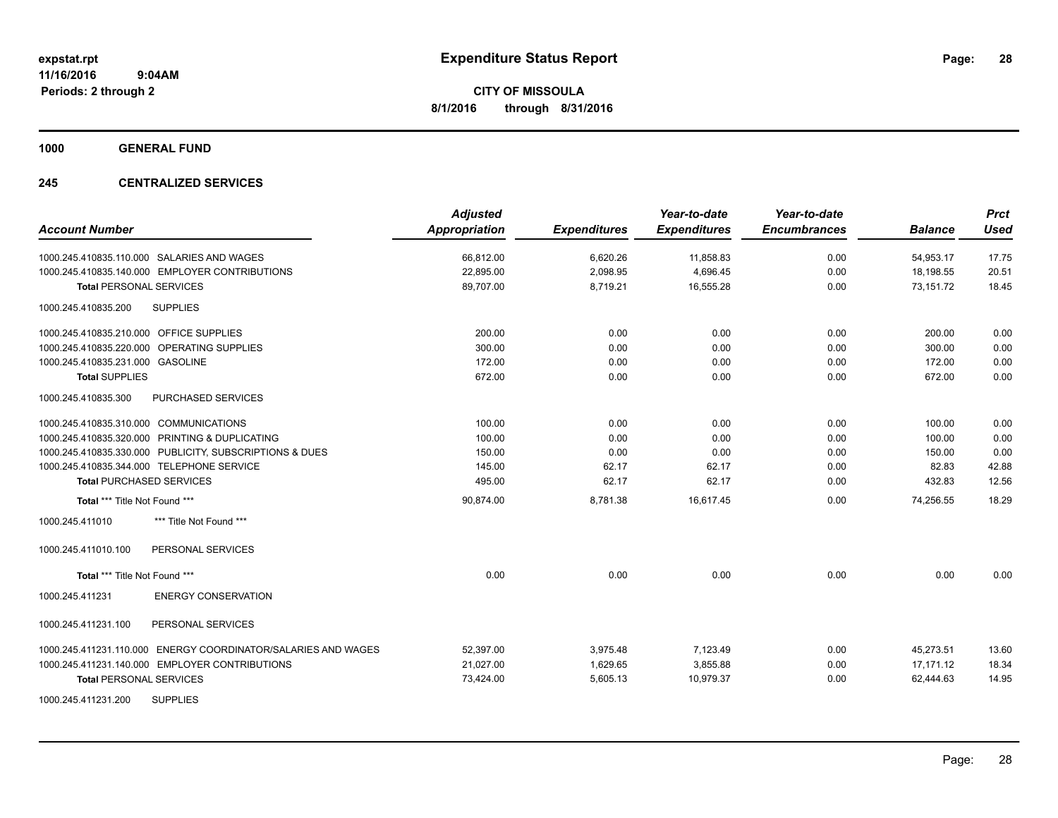**1000 GENERAL FUND**

## **245 CENTRALIZED SERVICES**

| <b>Account Number</b>                                            | <b>Adjusted</b><br>Appropriation | <b>Expenditures</b> | Year-to-date<br><b>Expenditures</b> | Year-to-date<br><b>Encumbrances</b> | <b>Balance</b> | <b>Prct</b><br><b>Used</b> |
|------------------------------------------------------------------|----------------------------------|---------------------|-------------------------------------|-------------------------------------|----------------|----------------------------|
| 1000.245.410835.110.000 SALARIES AND WAGES                       | 66,812.00                        | 6,620.26            | 11,858.83                           | 0.00                                | 54,953.17      | 17.75                      |
| 1000.245.410835.140.000 EMPLOYER CONTRIBUTIONS                   | 22,895.00                        | 2,098.95            | 4,696.45                            | 0.00                                | 18,198.55      | 20.51                      |
| <b>Total PERSONAL SERVICES</b>                                   | 89,707.00                        | 8,719.21            | 16,555.28                           | 0.00                                | 73,151.72      | 18.45                      |
| <b>SUPPLIES</b><br>1000.245.410835.200                           |                                  |                     |                                     |                                     |                |                            |
| 1000.245.410835.210.000 OFFICE SUPPLIES                          | 200.00                           | 0.00                | 0.00                                | 0.00                                | 200.00         | 0.00                       |
| 1000.245.410835.220.000 OPERATING SUPPLIES                       | 300.00                           | 0.00                | 0.00                                | 0.00                                | 300.00         | 0.00                       |
| 1000.245.410835.231.000 GASOLINE                                 | 172.00                           | 0.00                | 0.00                                | 0.00                                | 172.00         | 0.00                       |
| <b>Total SUPPLIES</b>                                            | 672.00                           | 0.00                | 0.00                                | 0.00                                | 672.00         | 0.00                       |
| 1000.245.410835.300<br>PURCHASED SERVICES                        |                                  |                     |                                     |                                     |                |                            |
| 1000.245.410835.310.000 COMMUNICATIONS                           | 100.00                           | 0.00                | 0.00                                | 0.00                                | 100.00         | 0.00                       |
| 1000.245.410835.320.000 PRINTING & DUPLICATING                   | 100.00                           | 0.00                | 0.00                                | 0.00                                | 100.00         | 0.00                       |
| 1000.245.410835.330.000 PUBLICITY, SUBSCRIPTIONS & DUES          | 150.00                           | 0.00                | 0.00                                | 0.00                                | 150.00         | 0.00                       |
| 1000.245.410835.344.000 TELEPHONE SERVICE                        | 145.00                           | 62.17               | 62.17                               | 0.00                                | 82.83          | 42.88                      |
| <b>Total PURCHASED SERVICES</b>                                  | 495.00                           | 62.17               | 62.17                               | 0.00                                | 432.83         | 12.56                      |
| Total *** Title Not Found ***                                    | 90,874.00                        | 8,781.38            | 16,617.45                           | 0.00                                | 74,256.55      | 18.29                      |
| *** Title Not Found ***<br>1000.245.411010                       |                                  |                     |                                     |                                     |                |                            |
| 1000.245.411010.100<br>PERSONAL SERVICES                         |                                  |                     |                                     |                                     |                |                            |
| Total *** Title Not Found ***                                    | 0.00                             | 0.00                | 0.00                                | 0.00                                | 0.00           | 0.00                       |
| 1000.245.411231<br><b>ENERGY CONSERVATION</b>                    |                                  |                     |                                     |                                     |                |                            |
| 1000.245.411231.100<br>PERSONAL SERVICES                         |                                  |                     |                                     |                                     |                |                            |
| ENERGY COORDINATOR/SALARIES AND WAGES<br>1000.245.411231.110.000 | 52,397.00                        | 3,975.48            | 7,123.49                            | 0.00                                | 45,273.51      | 13.60                      |
| 1000.245.411231.140.000 EMPLOYER CONTRIBUTIONS                   | 21,027.00                        | 1,629.65            | 3,855.88                            | 0.00                                | 17.171.12      | 18.34                      |
| <b>Total PERSONAL SERVICES</b>                                   | 73,424.00                        | 5,605.13            | 10,979.37                           | 0.00                                | 62,444.63      | 14.95                      |
| <b>SUPPLIES</b><br>1000.245.411231.200                           |                                  |                     |                                     |                                     |                |                            |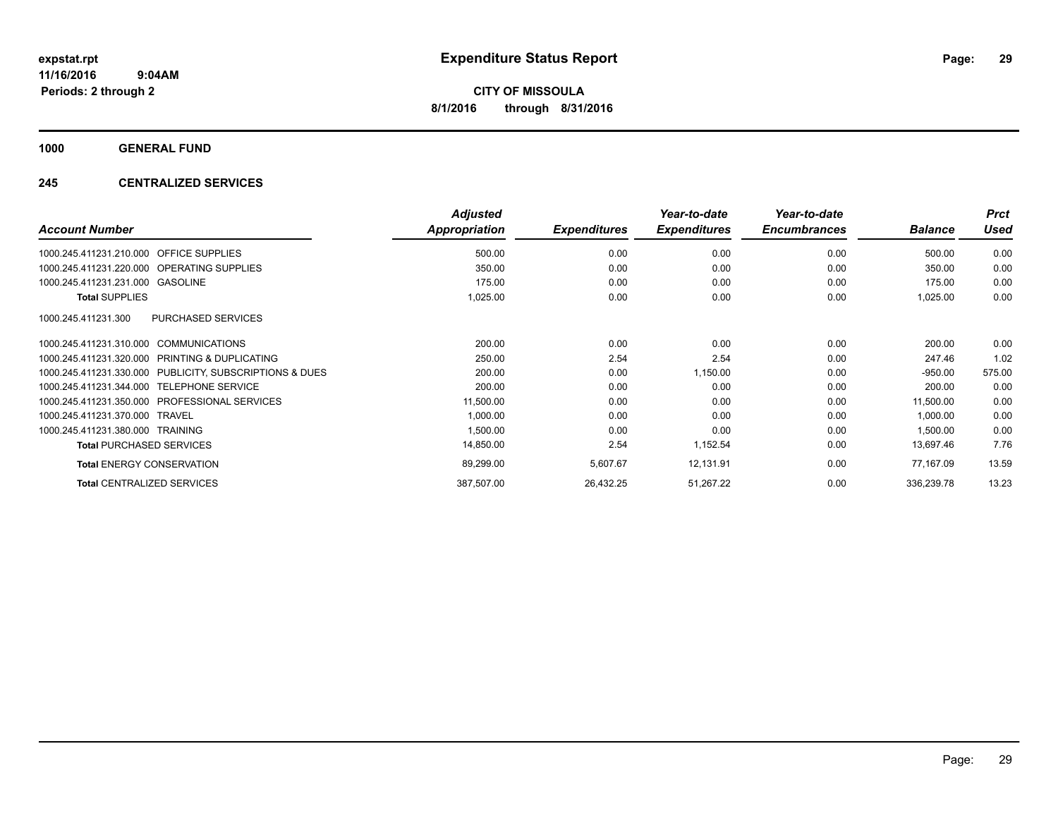**1000 GENERAL FUND**

## **245 CENTRALIZED SERVICES**

|                                                         | <b>Adjusted</b> |                     | Year-to-date<br><b>Expenditures</b> | Year-to-date<br><b>Encumbrances</b> |                | <b>Prct</b> |
|---------------------------------------------------------|-----------------|---------------------|-------------------------------------|-------------------------------------|----------------|-------------|
| <b>Account Number</b>                                   | Appropriation   | <b>Expenditures</b> |                                     |                                     | <b>Balance</b> | <b>Used</b> |
| <b>OFFICE SUPPLIES</b><br>1000.245.411231.210.000       | 500.00          | 0.00                | 0.00                                | 0.00                                | 500.00         | 0.00        |
| 1000.245.411231.220.000 OPERATING SUPPLIES              | 350.00          | 0.00                | 0.00                                | 0.00                                | 350.00         | 0.00        |
| 1000.245.411231.231.000 GASOLINE                        | 175.00          | 0.00                | 0.00                                | 0.00                                | 175.00         | 0.00        |
| <b>Total SUPPLIES</b>                                   | 1,025.00        | 0.00                | 0.00                                | 0.00                                | 1,025.00       | 0.00        |
| <b>PURCHASED SERVICES</b><br>1000.245.411231.300        |                 |                     |                                     |                                     |                |             |
| 1000.245.411231.310.000 COMMUNICATIONS                  | 200.00          | 0.00                | 0.00                                | 0.00                                | 200.00         | 0.00        |
| 1000.245.411231.320.000 PRINTING & DUPLICATING          | 250.00          | 2.54                | 2.54                                | 0.00                                | 247.46         | 1.02        |
| 1000.245.411231.330.000 PUBLICITY, SUBSCRIPTIONS & DUES | 200.00          | 0.00                | 1,150.00                            | 0.00                                | $-950.00$      | 575.00      |
| 1000.245.411231.344.000 TELEPHONE SERVICE               | 200.00          | 0.00                | 0.00                                | 0.00                                | 200.00         | 0.00        |
| 1000.245.411231.350.000 PROFESSIONAL SERVICES           | 11,500.00       | 0.00                | 0.00                                | 0.00                                | 11,500.00      | 0.00        |
| 1000.245.411231.370.000 TRAVEL                          | 1,000.00        | 0.00                | 0.00                                | 0.00                                | 1,000.00       | 0.00        |
| 1000.245.411231.380.000 TRAINING                        | 1,500.00        | 0.00                | 0.00                                | 0.00                                | 1,500.00       | 0.00        |
| <b>Total PURCHASED SERVICES</b>                         | 14,850.00       | 2.54                | 1,152.54                            | 0.00                                | 13,697.46      | 7.76        |
| <b>Total ENERGY CONSERVATION</b>                        | 89,299.00       | 5,607.67            | 12,131.91                           | 0.00                                | 77.167.09      | 13.59       |
| <b>Total CENTRALIZED SERVICES</b>                       | 387,507.00      | 26,432.25           | 51,267.22                           | 0.00                                | 336,239.78     | 13.23       |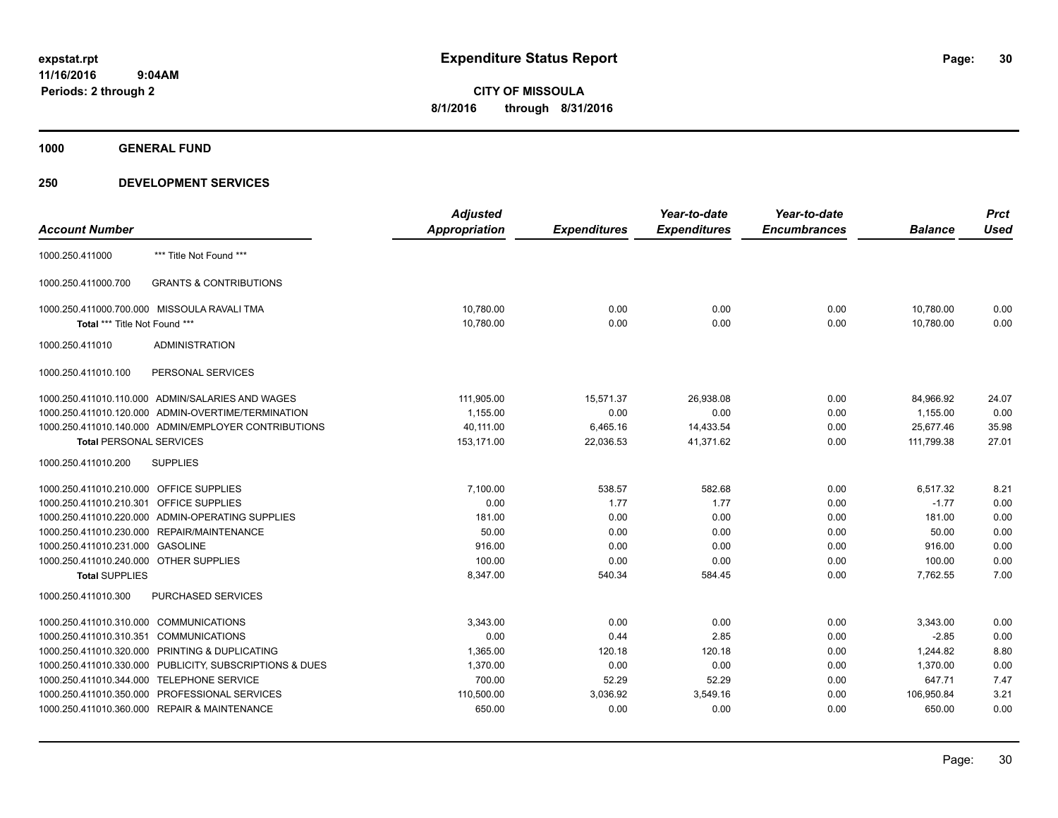**1000 GENERAL FUND**

|                                   | <b>Adjusted</b>                                                                                                                                                                                                                                                                                                                                                                                                                                                                                                                                                                                                                                                                                                              |                     | Year-to-date        | Year-to-date        |                | <b>Prct</b> |
|-----------------------------------|------------------------------------------------------------------------------------------------------------------------------------------------------------------------------------------------------------------------------------------------------------------------------------------------------------------------------------------------------------------------------------------------------------------------------------------------------------------------------------------------------------------------------------------------------------------------------------------------------------------------------------------------------------------------------------------------------------------------------|---------------------|---------------------|---------------------|----------------|-------------|
|                                   | <b>Appropriation</b>                                                                                                                                                                                                                                                                                                                                                                                                                                                                                                                                                                                                                                                                                                         | <b>Expenditures</b> | <b>Expenditures</b> | <b>Encumbrances</b> | <b>Balance</b> | <b>Used</b> |
| *** Title Not Found ***           |                                                                                                                                                                                                                                                                                                                                                                                                                                                                                                                                                                                                                                                                                                                              |                     |                     |                     |                |             |
| <b>GRANTS &amp; CONTRIBUTIONS</b> |                                                                                                                                                                                                                                                                                                                                                                                                                                                                                                                                                                                                                                                                                                                              |                     |                     |                     |                |             |
|                                   | 10,780.00                                                                                                                                                                                                                                                                                                                                                                                                                                                                                                                                                                                                                                                                                                                    | 0.00                | 0.00                | 0.00                | 10,780.00      | 0.00        |
|                                   | 10,780.00                                                                                                                                                                                                                                                                                                                                                                                                                                                                                                                                                                                                                                                                                                                    | 0.00                | 0.00                | 0.00                | 10,780.00      | 0.00        |
| <b>ADMINISTRATION</b>             |                                                                                                                                                                                                                                                                                                                                                                                                                                                                                                                                                                                                                                                                                                                              |                     |                     |                     |                |             |
| PERSONAL SERVICES                 |                                                                                                                                                                                                                                                                                                                                                                                                                                                                                                                                                                                                                                                                                                                              |                     |                     |                     |                |             |
|                                   | 111,905.00                                                                                                                                                                                                                                                                                                                                                                                                                                                                                                                                                                                                                                                                                                                   | 15,571.37           | 26,938.08           | 0.00                | 84,966.92      | 24.07       |
|                                   | 1,155.00                                                                                                                                                                                                                                                                                                                                                                                                                                                                                                                                                                                                                                                                                                                     | 0.00                | 0.00                | 0.00                | 1,155.00       | 0.00        |
|                                   | 40,111.00                                                                                                                                                                                                                                                                                                                                                                                                                                                                                                                                                                                                                                                                                                                    | 6,465.16            | 14,433.54           | 0.00                | 25,677.46      | 35.98       |
|                                   | 153,171.00                                                                                                                                                                                                                                                                                                                                                                                                                                                                                                                                                                                                                                                                                                                   | 22,036.53           | 41,371.62           | 0.00                | 111,799.38     | 27.01       |
| <b>SUPPLIES</b>                   |                                                                                                                                                                                                                                                                                                                                                                                                                                                                                                                                                                                                                                                                                                                              |                     |                     |                     |                |             |
|                                   | 7.100.00                                                                                                                                                                                                                                                                                                                                                                                                                                                                                                                                                                                                                                                                                                                     | 538.57              | 582.68              | 0.00                | 6.517.32       | 8.21        |
| OFFICE SUPPLIES                   | 0.00                                                                                                                                                                                                                                                                                                                                                                                                                                                                                                                                                                                                                                                                                                                         | 1.77                | 1.77                | 0.00                | $-1.77$        | 0.00        |
| ADMIN-OPERATING SUPPLIES          | 181.00                                                                                                                                                                                                                                                                                                                                                                                                                                                                                                                                                                                                                                                                                                                       | 0.00                | 0.00                | 0.00                | 181.00         | 0.00        |
| REPAIR/MAINTENANCE                | 50.00                                                                                                                                                                                                                                                                                                                                                                                                                                                                                                                                                                                                                                                                                                                        | 0.00                | 0.00                | 0.00                | 50.00          | 0.00        |
| <b>GASOLINE</b>                   | 916.00                                                                                                                                                                                                                                                                                                                                                                                                                                                                                                                                                                                                                                                                                                                       | 0.00                | 0.00                | 0.00                | 916.00         | 0.00        |
|                                   | 100.00                                                                                                                                                                                                                                                                                                                                                                                                                                                                                                                                                                                                                                                                                                                       |                     |                     |                     | 100.00         | 0.00        |
|                                   |                                                                                                                                                                                                                                                                                                                                                                                                                                                                                                                                                                                                                                                                                                                              |                     |                     |                     |                | 7.00        |
| PURCHASED SERVICES                |                                                                                                                                                                                                                                                                                                                                                                                                                                                                                                                                                                                                                                                                                                                              |                     |                     |                     |                |             |
| <b>COMMUNICATIONS</b>             | 3,343.00                                                                                                                                                                                                                                                                                                                                                                                                                                                                                                                                                                                                                                                                                                                     | 0.00                | 0.00                | 0.00                | 3,343.00       | 0.00        |
| <b>COMMUNICATIONS</b>             | 0.00                                                                                                                                                                                                                                                                                                                                                                                                                                                                                                                                                                                                                                                                                                                         | 0.44                | 2.85                | 0.00                | $-2.85$        | 0.00        |
| PRINTING & DUPLICATING            | 1,365.00                                                                                                                                                                                                                                                                                                                                                                                                                                                                                                                                                                                                                                                                                                                     | 120.18              | 120.18              | 0.00                | 1,244.82       | 8.80        |
| PUBLICITY, SUBSCRIPTIONS & DUES   | 1,370.00                                                                                                                                                                                                                                                                                                                                                                                                                                                                                                                                                                                                                                                                                                                     | 0.00                | 0.00                | 0.00                | 1,370.00       | 0.00        |
| <b>TELEPHONE SERVICE</b>          | 700.00                                                                                                                                                                                                                                                                                                                                                                                                                                                                                                                                                                                                                                                                                                                       | 52.29               | 52.29               | 0.00                | 647.71         | 7.47        |
| PROFESSIONAL SERVICES             | 110,500.00                                                                                                                                                                                                                                                                                                                                                                                                                                                                                                                                                                                                                                                                                                                   | 3,036.92            | 3,549.16            | 0.00                | 106,950.84     | 3.21        |
|                                   | 650.00                                                                                                                                                                                                                                                                                                                                                                                                                                                                                                                                                                                                                                                                                                                       | 0.00                | 0.00                | 0.00                | 650.00         | 0.00        |
|                                   | 1000.250.411000.700.000 MISSOULA RAVALI TMA<br>Total *** Title Not Found ***<br>1000.250.411010.110.000 ADMIN/SALARIES AND WAGES<br>1000.250.411010.120.000 ADMIN-OVERTIME/TERMINATION<br>1000.250.411010.140.000 ADMIN/EMPLOYER CONTRIBUTIONS<br><b>Total PERSONAL SERVICES</b><br>1000.250.411010.210.000 OFFICE SUPPLIES<br>1000.250.411010.210.301<br>1000.250.411010.220.000<br>1000.250.411010.230.000<br>1000.250.411010.231.000<br>1000.250.411010.240.000 OTHER SUPPLIES<br><b>Total SUPPLIES</b><br>1000.250.411010.310.000<br>1000.250.411010.310.351<br>1000.250.411010.320.000<br>1000.250.411010.330.000<br>1000.250.411010.344.000<br>1000.250.411010.350.000<br>1000.250.411010.360.000 REPAIR & MAINTENANCE | 8,347.00            | 0.00<br>540.34      | 0.00<br>584.45      | 0.00<br>0.00   | 7,762.55    |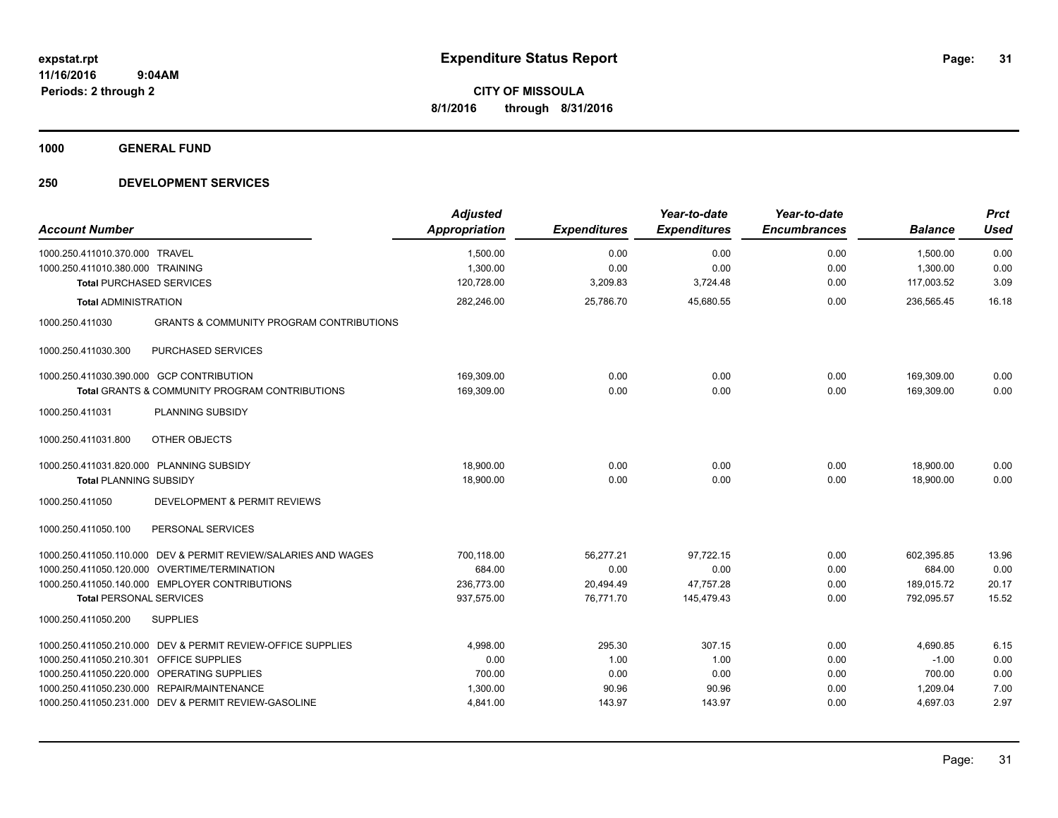**1000 GENERAL FUND**

| <b>Account Number</b>                                                  | <b>Adjusted</b><br><b>Appropriation</b> | <b>Expenditures</b> | Year-to-date<br><b>Expenditures</b> | Year-to-date<br><b>Encumbrances</b> | <b>Balance</b> | <b>Prct</b><br><b>Used</b> |
|------------------------------------------------------------------------|-----------------------------------------|---------------------|-------------------------------------|-------------------------------------|----------------|----------------------------|
| 1000.250.411010.370.000<br><b>TRAVEL</b>                               | 1,500.00                                | 0.00                | 0.00                                | 0.00                                | 1,500.00       | 0.00                       |
| 1000.250.411010.380.000 TRAINING                                       | 1,300.00                                | 0.00                | 0.00                                | 0.00                                | 1,300.00       | 0.00                       |
| <b>Total PURCHASED SERVICES</b>                                        | 120,728.00                              | 3,209.83            | 3,724.48                            | 0.00                                | 117,003.52     | 3.09                       |
| <b>Total ADMINISTRATION</b>                                            | 282,246.00                              | 25,786.70           | 45,680.55                           | 0.00                                | 236,565.45     | 16.18                      |
| <b>GRANTS &amp; COMMUNITY PROGRAM CONTRIBUTIONS</b><br>1000.250.411030 |                                         |                     |                                     |                                     |                |                            |
| 1000.250.411030.300<br>PURCHASED SERVICES                              |                                         |                     |                                     |                                     |                |                            |
| 1000.250.411030.390.000 GCP CONTRIBUTION                               | 169.309.00                              | 0.00                | 0.00                                | 0.00                                | 169,309.00     | 0.00                       |
| <b>Total GRANTS &amp; COMMUNITY PROGRAM CONTRIBUTIONS</b>              | 169,309.00                              | 0.00                | 0.00                                | 0.00                                | 169,309.00     | 0.00                       |
| 1000.250.411031<br>PLANNING SUBSIDY                                    |                                         |                     |                                     |                                     |                |                            |
| OTHER OBJECTS<br>1000.250.411031.800                                   |                                         |                     |                                     |                                     |                |                            |
| 1000.250.411031.820.000 PLANNING SUBSIDY                               | 18,900.00                               | 0.00                | 0.00                                | 0.00                                | 18,900.00      | 0.00                       |
| <b>Total PLANNING SUBSIDY</b>                                          | 18,900.00                               | 0.00                | 0.00                                | 0.00                                | 18,900.00      | 0.00                       |
| <b>DEVELOPMENT &amp; PERMIT REVIEWS</b><br>1000.250.411050             |                                         |                     |                                     |                                     |                |                            |
| PERSONAL SERVICES<br>1000.250.411050.100                               |                                         |                     |                                     |                                     |                |                            |
| 1000.250.411050.110.000 DEV & PERMIT REVIEW/SALARIES AND WAGES         | 700,118.00                              | 56,277.21           | 97,722.15                           | 0.00                                | 602,395.85     | 13.96                      |
| 1000.250.411050.120.000 OVERTIME/TERMINATION                           | 684.00                                  | 0.00                | 0.00                                | 0.00                                | 684.00         | 0.00                       |
| 1000.250.411050.140.000 EMPLOYER CONTRIBUTIONS                         | 236,773.00                              | 20,494.49           | 47,757.28                           | 0.00                                | 189,015.72     | 20.17                      |
| <b>Total PERSONAL SERVICES</b>                                         | 937,575.00                              | 76,771.70           | 145,479.43                          | 0.00                                | 792,095.57     | 15.52                      |
| <b>SUPPLIES</b><br>1000.250.411050.200                                 |                                         |                     |                                     |                                     |                |                            |
| 1000.250.411050.210.000 DEV & PERMIT REVIEW-OFFICE SUPPLIES            | 4,998.00                                | 295.30              | 307.15                              | 0.00                                | 4,690.85       | 6.15                       |
| 1000.250.411050.210.301 OFFICE SUPPLIES                                | 0.00                                    | 1.00                | 1.00                                | 0.00                                | $-1.00$        | 0.00                       |
| 1000.250.411050.220.000 OPERATING SUPPLIES                             | 700.00                                  | 0.00                | 0.00                                | 0.00                                | 700.00         | 0.00                       |
| 1000.250.411050.230.000 REPAIR/MAINTENANCE                             | 1,300.00                                | 90.96               | 90.96                               | 0.00                                | 1,209.04       | 7.00                       |
| 1000.250.411050.231.000 DEV & PERMIT REVIEW-GASOLINE                   | 4,841.00                                | 143.97              | 143.97                              | 0.00                                | 4,697.03       | 2.97                       |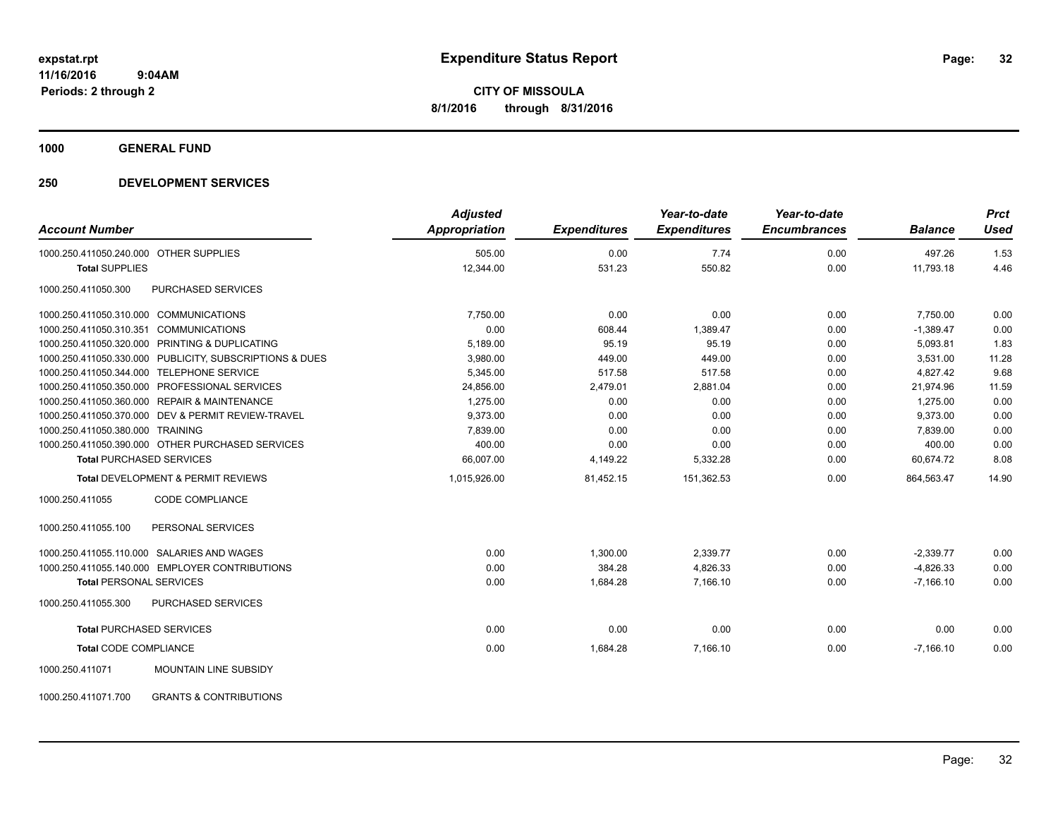**1000 GENERAL FUND**

## **250 DEVELOPMENT SERVICES**

| <b>Account Number</b>                        |                                                         | <b>Adjusted</b><br><b>Appropriation</b> | <b>Expenditures</b> | Year-to-date<br><b>Expenditures</b> | Year-to-date<br><b>Encumbrances</b> | <b>Balance</b> | <b>Prct</b><br><b>Used</b> |
|----------------------------------------------|---------------------------------------------------------|-----------------------------------------|---------------------|-------------------------------------|-------------------------------------|----------------|----------------------------|
|                                              |                                                         |                                         |                     |                                     |                                     |                |                            |
| 1000.250.411050.240.000 OTHER SUPPLIES       |                                                         | 505.00                                  | 0.00                | 7.74                                | 0.00                                | 497.26         | 1.53                       |
| <b>Total SUPPLIES</b>                        |                                                         | 12,344.00                               | 531.23              | 550.82                              | 0.00                                | 11,793.18      | 4.46                       |
| 1000.250.411050.300                          | PURCHASED SERVICES                                      |                                         |                     |                                     |                                     |                |                            |
| 1000.250.411050.310.000                      | <b>COMMUNICATIONS</b>                                   | 7.750.00                                | 0.00                | 0.00                                | 0.00                                | 7,750.00       | 0.00                       |
| 1000.250.411050.310.351                      | <b>COMMUNICATIONS</b>                                   | 0.00                                    | 608.44              | 1,389.47                            | 0.00                                | $-1,389.47$    | 0.00                       |
|                                              | 1000.250.411050.320.000 PRINTING & DUPLICATING          | 5,189.00                                | 95.19               | 95.19                               | 0.00                                | 5,093.81       | 1.83                       |
|                                              | 1000.250.411050.330.000 PUBLICITY, SUBSCRIPTIONS & DUES | 3,980.00                                | 449.00              | 449.00                              | 0.00                                | 3,531.00       | 11.28                      |
| 1000.250.411050.344.000                      | <b>TELEPHONE SERVICE</b>                                | 5,345.00                                | 517.58              | 517.58                              | 0.00                                | 4,827.42       | 9.68                       |
| 1000.250.411050.350.000                      | PROFESSIONAL SERVICES                                   | 24,856.00                               | 2,479.01            | 2,881.04                            | 0.00                                | 21,974.96      | 11.59                      |
| 1000.250.411050.360.000 REPAIR & MAINTENANCE |                                                         | 1,275.00                                | 0.00                | 0.00                                | 0.00                                | 1,275.00       | 0.00                       |
|                                              | 1000.250.411050.370.000 DEV & PERMIT REVIEW-TRAVEL      | 9.373.00                                | 0.00                | 0.00                                | 0.00                                | 9.373.00       | 0.00                       |
| 1000.250.411050.380.000 TRAINING             |                                                         | 7,839.00                                | 0.00                | 0.00                                | 0.00                                | 7,839.00       | 0.00                       |
|                                              | 1000.250.411050.390.000 OTHER PURCHASED SERVICES        | 400.00                                  | 0.00                | 0.00                                | 0.00                                | 400.00         | 0.00                       |
| <b>Total PURCHASED SERVICES</b>              |                                                         | 66,007.00                               | 4,149.22            | 5,332.28                            | 0.00                                | 60,674.72      | 8.08                       |
|                                              | Total DEVELOPMENT & PERMIT REVIEWS                      | 1,015,926.00                            | 81,452.15           | 151,362.53                          | 0.00                                | 864,563.47     | 14.90                      |
| 1000.250.411055                              | CODE COMPLIANCE                                         |                                         |                     |                                     |                                     |                |                            |
| 1000.250.411055.100                          | PERSONAL SERVICES                                       |                                         |                     |                                     |                                     |                |                            |
| 1000.250.411055.110.000 SALARIES AND WAGES   |                                                         | 0.00                                    | 1,300.00            | 2,339.77                            | 0.00                                | $-2,339.77$    | 0.00                       |
|                                              | 1000.250.411055.140.000 EMPLOYER CONTRIBUTIONS          | 0.00                                    | 384.28              | 4,826.33                            | 0.00                                | $-4,826.33$    | 0.00                       |
| <b>Total PERSONAL SERVICES</b>               |                                                         | 0.00                                    | 1,684.28            | 7,166.10                            | 0.00                                | $-7,166.10$    | 0.00                       |
| 1000.250.411055.300                          | <b>PURCHASED SERVICES</b>                               |                                         |                     |                                     |                                     |                |                            |
| <b>Total PURCHASED SERVICES</b>              |                                                         | 0.00                                    | 0.00                | 0.00                                | 0.00                                | 0.00           | 0.00                       |
| <b>Total CODE COMPLIANCE</b>                 |                                                         | 0.00                                    | 1,684.28            | 7,166.10                            | 0.00                                | $-7,166.10$    | 0.00                       |
| 1000.250.411071                              | <b>MOUNTAIN LINE SUBSIDY</b>                            |                                         |                     |                                     |                                     |                |                            |

1000.250.411071.700 GRANTS & CONTRIBUTIONS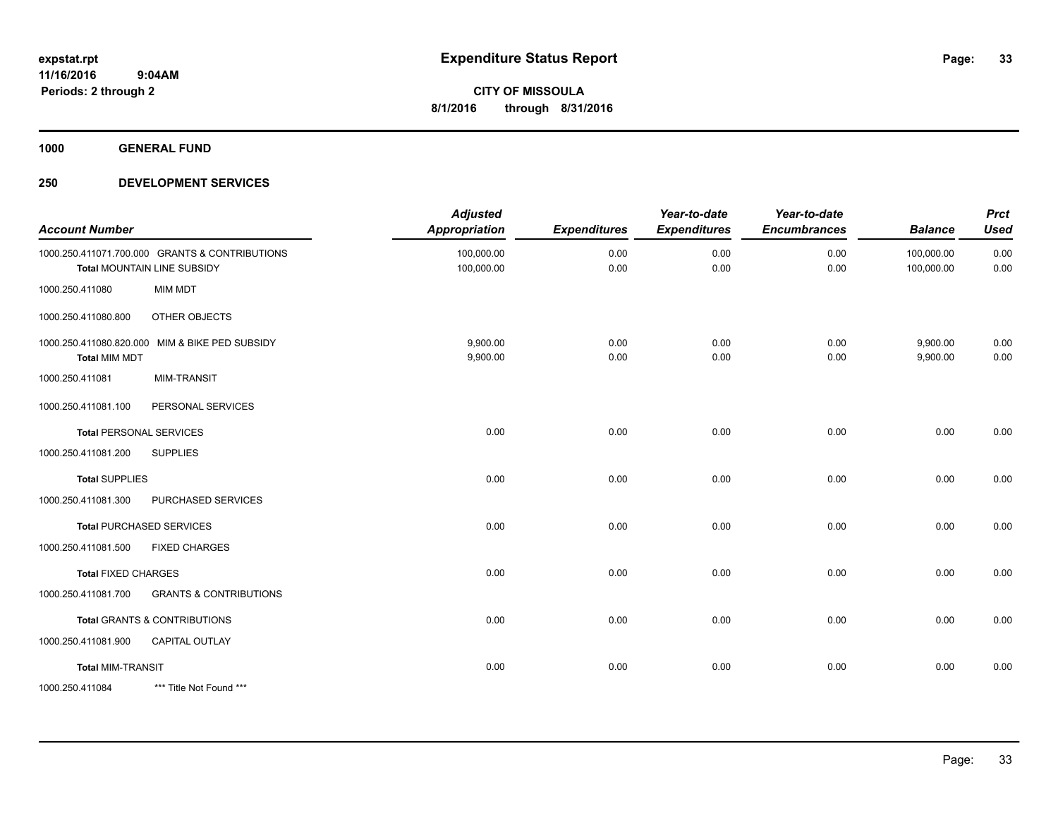**1000 GENERAL FUND**

| <b>Account Number</b>      |                                                                               | <b>Adjusted</b><br><b>Appropriation</b> | <b>Expenditures</b> | Year-to-date<br><b>Expenditures</b> | Year-to-date<br><b>Encumbrances</b> | <b>Balance</b>           | <b>Prct</b><br><b>Used</b> |
|----------------------------|-------------------------------------------------------------------------------|-----------------------------------------|---------------------|-------------------------------------|-------------------------------------|--------------------------|----------------------------|
|                            | 1000.250.411071.700.000 GRANTS & CONTRIBUTIONS<br>Total MOUNTAIN LINE SUBSIDY | 100,000.00<br>100,000.00                | 0.00<br>0.00        | 0.00<br>0.00                        | 0.00<br>0.00                        | 100,000.00<br>100,000.00 | 0.00<br>0.00               |
| 1000.250.411080            | <b>MIM MDT</b>                                                                |                                         |                     |                                     |                                     |                          |                            |
| 1000.250.411080.800        | <b>OTHER OBJECTS</b>                                                          |                                         |                     |                                     |                                     |                          |                            |
| <b>Total MIM MDT</b>       | 1000.250.411080.820.000 MIM & BIKE PED SUBSIDY                                | 9,900.00<br>9,900.00                    | 0.00<br>0.00        | 0.00<br>0.00                        | 0.00<br>0.00                        | 9,900.00<br>9,900.00     | 0.00<br>0.00               |
| 1000.250.411081            | <b>MIM-TRANSIT</b>                                                            |                                         |                     |                                     |                                     |                          |                            |
| 1000.250.411081.100        | PERSONAL SERVICES                                                             |                                         |                     |                                     |                                     |                          |                            |
|                            | <b>Total PERSONAL SERVICES</b>                                                | 0.00                                    | 0.00                | 0.00                                | 0.00                                | 0.00                     | 0.00                       |
| 1000.250.411081.200        | <b>SUPPLIES</b>                                                               |                                         |                     |                                     |                                     |                          |                            |
| <b>Total SUPPLIES</b>      |                                                                               | 0.00                                    | 0.00                | 0.00                                | 0.00                                | 0.00                     | 0.00                       |
| 1000.250.411081.300        | PURCHASED SERVICES                                                            |                                         |                     |                                     |                                     |                          |                            |
|                            | <b>Total PURCHASED SERVICES</b>                                               | 0.00                                    | 0.00                | 0.00                                | 0.00                                | 0.00                     | 0.00                       |
| 1000.250.411081.500        | <b>FIXED CHARGES</b>                                                          |                                         |                     |                                     |                                     |                          |                            |
| <b>Total FIXED CHARGES</b> |                                                                               | 0.00                                    | 0.00                | 0.00                                | 0.00                                | 0.00                     | 0.00                       |
| 1000.250.411081.700        | <b>GRANTS &amp; CONTRIBUTIONS</b>                                             |                                         |                     |                                     |                                     |                          |                            |
|                            | <b>Total GRANTS &amp; CONTRIBUTIONS</b>                                       | 0.00                                    | 0.00                | 0.00                                | 0.00                                | 0.00                     | 0.00                       |
| 1000.250.411081.900        | <b>CAPITAL OUTLAY</b>                                                         |                                         |                     |                                     |                                     |                          |                            |
| <b>Total MIM-TRANSIT</b>   |                                                                               | 0.00                                    | 0.00                | 0.00                                | 0.00                                | 0.00                     | 0.00                       |
| 1000.250.411084            | *** Title Not Found ***                                                       |                                         |                     |                                     |                                     |                          |                            |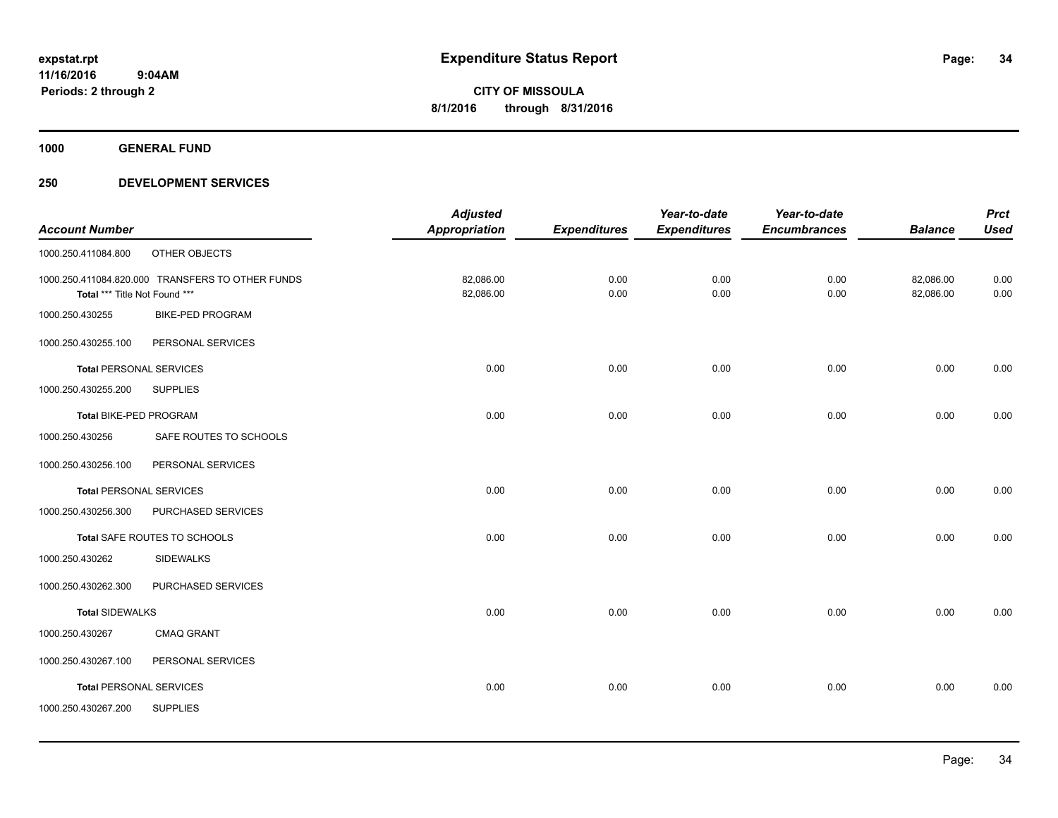**1000 GENERAL FUND**

| <b>Used</b><br><b>Balance</b><br>82,086.00<br>0.00<br>0.00<br>82,086.00 |
|-------------------------------------------------------------------------|
|                                                                         |
|                                                                         |
|                                                                         |
|                                                                         |
|                                                                         |
|                                                                         |
| 0.00<br>0.00                                                            |
|                                                                         |
| 0.00<br>0.00                                                            |
|                                                                         |
|                                                                         |
| 0.00<br>0.00                                                            |
|                                                                         |
| 0.00<br>0.00                                                            |
|                                                                         |
|                                                                         |
| 0.00<br>0.00                                                            |
|                                                                         |
|                                                                         |
| 0.00<br>0.00                                                            |
|                                                                         |
|                                                                         |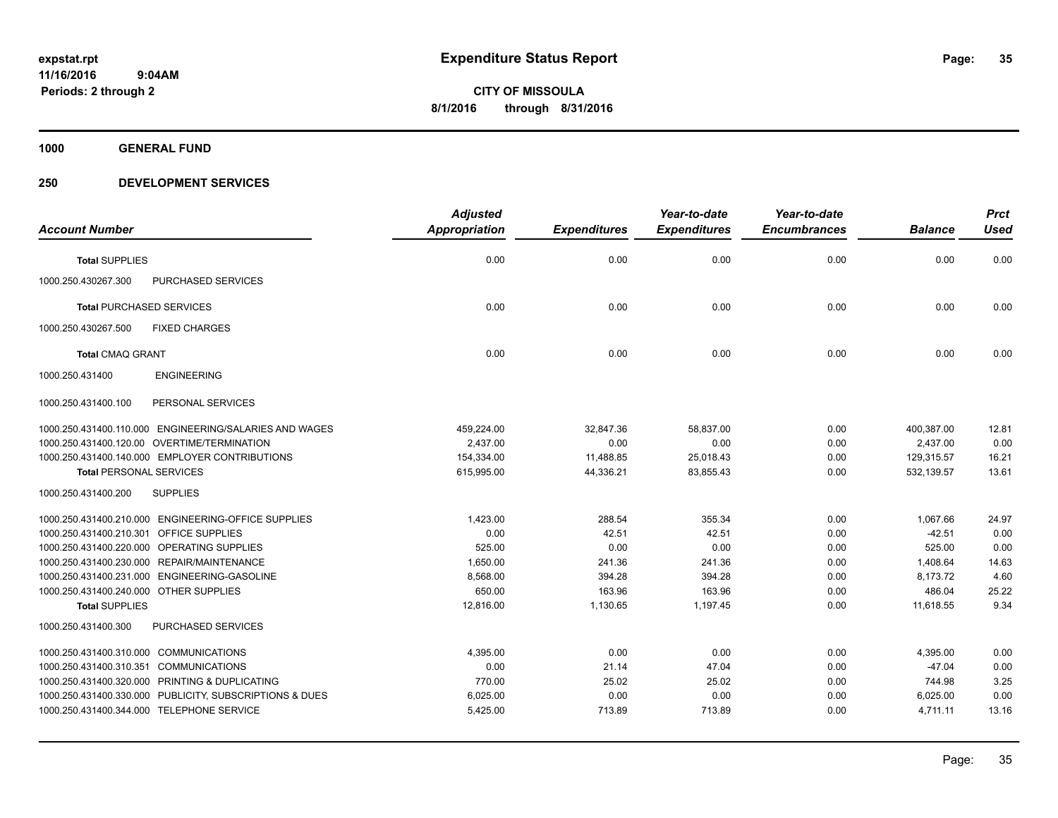**1000 GENERAL FUND**

|                                                         | <b>Adjusted</b>      |                     | Year-to-date        | Year-to-date        |                | <b>Prct</b> |
|---------------------------------------------------------|----------------------|---------------------|---------------------|---------------------|----------------|-------------|
| <b>Account Number</b>                                   | <b>Appropriation</b> | <b>Expenditures</b> | <b>Expenditures</b> | <b>Encumbrances</b> | <b>Balance</b> | <b>Used</b> |
| <b>Total SUPPLIES</b>                                   | 0.00                 | 0.00                | 0.00                | 0.00                | 0.00           | 0.00        |
| 1000.250.430267.300<br>PURCHASED SERVICES               |                      |                     |                     |                     |                |             |
| <b>Total PURCHASED SERVICES</b>                         | 0.00                 | 0.00                | 0.00                | 0.00                | 0.00           | 0.00        |
| 1000.250.430267.500<br><b>FIXED CHARGES</b>             |                      |                     |                     |                     |                |             |
| <b>Total CMAQ GRANT</b>                                 | 0.00                 | 0.00                | 0.00                | 0.00                | 0.00           | 0.00        |
| <b>ENGINEERING</b><br>1000.250.431400                   |                      |                     |                     |                     |                |             |
| 1000.250.431400.100<br>PERSONAL SERVICES                |                      |                     |                     |                     |                |             |
| 1000.250.431400.110.000 ENGINEERING/SALARIES AND WAGES  | 459,224.00           | 32,847.36           | 58,837.00           | 0.00                | 400,387.00     | 12.81       |
| 1000.250.431400.120.00 OVERTIME/TERMINATION             | 2.437.00             | 0.00                | 0.00                | 0.00                | 2,437.00       | 0.00        |
| 1000.250.431400.140.000 EMPLOYER CONTRIBUTIONS          | 154,334.00           | 11,488.85           | 25,018.43           | 0.00                | 129,315.57     | 16.21       |
| <b>Total PERSONAL SERVICES</b>                          | 615,995.00           | 44,336.21           | 83,855.43           | 0.00                | 532,139.57     | 13.61       |
| 1000.250.431400.200<br><b>SUPPLIES</b>                  |                      |                     |                     |                     |                |             |
| 1000.250.431400.210.000 ENGINEERING-OFFICE SUPPLIES     | 1,423.00             | 288.54              | 355.34              | 0.00                | 1,067.66       | 24.97       |
| 1000.250.431400.210.301 OFFICE SUPPLIES                 | 0.00                 | 42.51               | 42.51               | 0.00                | $-42.51$       | 0.00        |
| 1000.250.431400.220.000 OPERATING SUPPLIES              | 525.00               | 0.00                | 0.00                | 0.00                | 525.00         | 0.00        |
| 1000.250.431400.230.000 REPAIR/MAINTENANCE              | 1.650.00             | 241.36              | 241.36              | 0.00                | 1,408.64       | 14.63       |
| 1000.250.431400.231.000 ENGINEERING-GASOLINE            | 8,568.00             | 394.28              | 394.28              | 0.00                | 8,173.72       | 4.60        |
| 1000.250.431400.240.000 OTHER SUPPLIES                  | 650.00               | 163.96              | 163.96              | 0.00                | 486.04         | 25.22       |
| <b>Total SUPPLIES</b>                                   | 12,816.00            | 1,130.65            | 1,197.45            | 0.00                | 11,618.55      | 9.34        |
| 1000.250.431400.300<br>PURCHASED SERVICES               |                      |                     |                     |                     |                |             |
| 1000.250.431400.310.000 COMMUNICATIONS                  | 4,395.00             | 0.00                | 0.00                | 0.00                | 4,395.00       | 0.00        |
| 1000.250.431400.310.351 COMMUNICATIONS                  | 0.00                 | 21.14               | 47.04               | 0.00                | $-47.04$       | 0.00        |
| 1000.250.431400.320.000 PRINTING & DUPLICATING          | 770.00               | 25.02               | 25.02               | 0.00                | 744.98         | 3.25        |
| 1000.250.431400.330.000 PUBLICITY, SUBSCRIPTIONS & DUES | 6,025.00             | 0.00                | 0.00                | 0.00                | 6,025.00       | 0.00        |
| 1000.250.431400.344.000 TELEPHONE SERVICE               | 5,425.00             | 713.89              | 713.89              | 0.00                | 4,711.11       | 13.16       |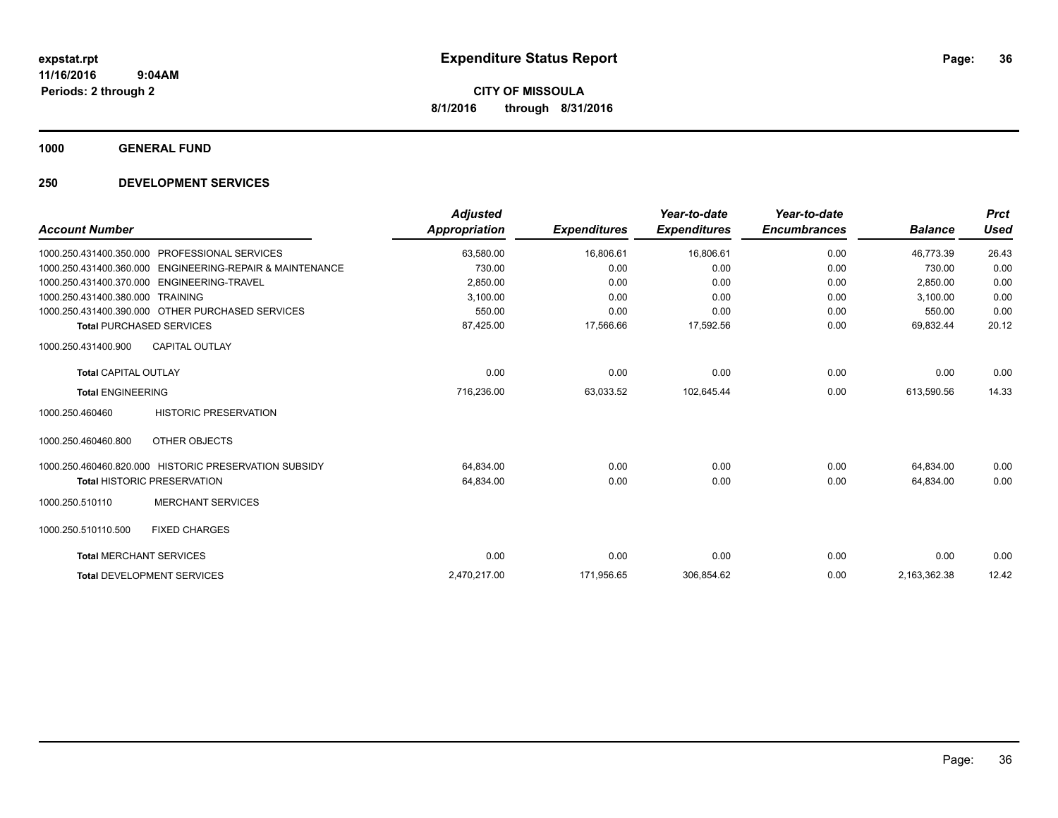**1000 GENERAL FUND**

| <b>Account Number</b>          |                                                       | <b>Adjusted</b><br><b>Appropriation</b> | <b>Expenditures</b> | Year-to-date<br><b>Expenditures</b> | Year-to-date<br><b>Encumbrances</b> | <b>Balance</b> | <b>Prct</b><br><b>Used</b> |
|--------------------------------|-------------------------------------------------------|-----------------------------------------|---------------------|-------------------------------------|-------------------------------------|----------------|----------------------------|
|                                | 1000.250.431400.350.000 PROFESSIONAL SERVICES         | 63,580.00                               | 16,806.61           | 16,806.61                           | 0.00                                | 46,773.39      | 26.43                      |
| 1000.250.431400.360.000        | <b>ENGINEERING-REPAIR &amp; MAINTENANCE</b>           | 730.00                                  | 0.00                | 0.00                                | 0.00                                | 730.00         | 0.00                       |
|                                | 1000.250.431400.370.000 ENGINEERING-TRAVEL            | 2,850.00                                | 0.00                | 0.00                                | 0.00                                | 2,850.00       | 0.00                       |
| 1000.250.431400.380.000        | TRAINING                                              | 3,100.00                                | 0.00                | 0.00                                | 0.00                                | 3,100.00       | 0.00                       |
|                                | 1000.250.431400.390.000 OTHER PURCHASED SERVICES      | 550.00                                  | 0.00                | 0.00                                | 0.00                                | 550.00         | 0.00                       |
|                                | <b>Total PURCHASED SERVICES</b>                       | 87,425.00                               | 17,566.66           | 17,592.56                           | 0.00                                | 69,832.44      | 20.12                      |
| 1000.250.431400.900            | <b>CAPITAL OUTLAY</b>                                 |                                         |                     |                                     |                                     |                |                            |
| <b>Total CAPITAL OUTLAY</b>    |                                                       | 0.00                                    | 0.00                | 0.00                                | 0.00                                | 0.00           | 0.00                       |
| <b>Total ENGINEERING</b>       |                                                       | 716,236.00                              | 63,033.52           | 102,645.44                          | 0.00                                | 613,590.56     | 14.33                      |
| 1000.250.460460                | <b>HISTORIC PRESERVATION</b>                          |                                         |                     |                                     |                                     |                |                            |
| 1000.250.460460.800            | OTHER OBJECTS                                         |                                         |                     |                                     |                                     |                |                            |
|                                | 1000.250.460460.820.000 HISTORIC PRESERVATION SUBSIDY | 64,834.00                               | 0.00                | 0.00                                | 0.00                                | 64,834.00      | 0.00                       |
|                                | Total HISTORIC PRESERVATION                           | 64,834.00                               | 0.00                | 0.00                                | 0.00                                | 64,834.00      | 0.00                       |
| 1000.250.510110                | <b>MERCHANT SERVICES</b>                              |                                         |                     |                                     |                                     |                |                            |
| 1000.250.510110.500            | <b>FIXED CHARGES</b>                                  |                                         |                     |                                     |                                     |                |                            |
| <b>Total MERCHANT SERVICES</b> |                                                       | 0.00                                    | 0.00                | 0.00                                | 0.00                                | 0.00           | 0.00                       |
|                                | <b>Total DEVELOPMENT SERVICES</b>                     | 2,470,217.00                            | 171,956.65          | 306,854.62                          | 0.00                                | 2,163,362.38   | 12.42                      |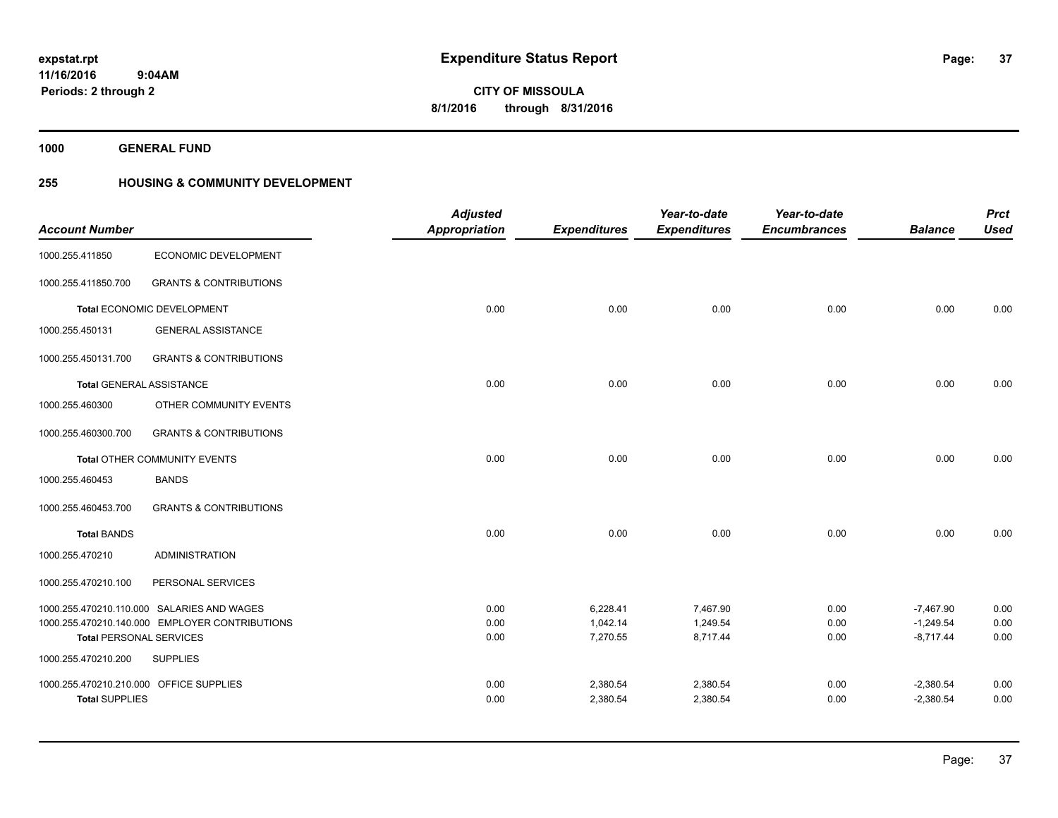**1000 GENERAL FUND**

### **255 HOUSING & COMMUNITY DEVELOPMENT**

| <b>Account Number</b>                                 |                                                | <b>Adjusted</b><br><b>Appropriation</b> | <b>Expenditures</b>  | Year-to-date<br><b>Expenditures</b> | Year-to-date<br><b>Encumbrances</b> | <b>Balance</b>             | <b>Prct</b><br><b>Used</b> |
|-------------------------------------------------------|------------------------------------------------|-----------------------------------------|----------------------|-------------------------------------|-------------------------------------|----------------------------|----------------------------|
| 1000.255.411850                                       | ECONOMIC DEVELOPMENT                           |                                         |                      |                                     |                                     |                            |                            |
| 1000.255.411850.700                                   | <b>GRANTS &amp; CONTRIBUTIONS</b>              |                                         |                      |                                     |                                     |                            |                            |
|                                                       | Total ECONOMIC DEVELOPMENT                     | 0.00                                    | 0.00                 | 0.00                                | 0.00                                | 0.00                       | 0.00                       |
| 1000.255.450131                                       | <b>GENERAL ASSISTANCE</b>                      |                                         |                      |                                     |                                     |                            |                            |
| 1000.255.450131.700                                   | <b>GRANTS &amp; CONTRIBUTIONS</b>              |                                         |                      |                                     |                                     |                            |                            |
|                                                       | <b>Total GENERAL ASSISTANCE</b>                | 0.00                                    | 0.00                 | 0.00                                | 0.00                                | 0.00                       | 0.00                       |
| 1000.255.460300                                       | OTHER COMMUNITY EVENTS                         |                                         |                      |                                     |                                     |                            |                            |
| 1000.255.460300.700                                   | <b>GRANTS &amp; CONTRIBUTIONS</b>              |                                         |                      |                                     |                                     |                            |                            |
|                                                       | Total OTHER COMMUNITY EVENTS                   | 0.00                                    | 0.00                 | 0.00                                | 0.00                                | 0.00                       | 0.00                       |
| 1000.255.460453                                       | <b>BANDS</b>                                   |                                         |                      |                                     |                                     |                            |                            |
| 1000.255.460453.700                                   | <b>GRANTS &amp; CONTRIBUTIONS</b>              |                                         |                      |                                     |                                     |                            |                            |
| <b>Total BANDS</b>                                    |                                                | 0.00                                    | 0.00                 | 0.00                                | 0.00                                | 0.00                       | 0.00                       |
| 1000.255.470210                                       | <b>ADMINISTRATION</b>                          |                                         |                      |                                     |                                     |                            |                            |
| 1000.255.470210.100                                   | PERSONAL SERVICES                              |                                         |                      |                                     |                                     |                            |                            |
|                                                       | 1000.255.470210.110.000 SALARIES AND WAGES     | 0.00                                    | 6,228.41             | 7,467.90                            | 0.00                                | $-7,467.90$                | 0.00                       |
|                                                       | 1000.255.470210.140.000 EMPLOYER CONTRIBUTIONS | 0.00<br>0.00                            | 1,042.14<br>7,270.55 | 1,249.54<br>8,717.44                | 0.00<br>0.00                        | $-1,249.54$<br>$-8,717.44$ | 0.00<br>0.00               |
| <b>Total PERSONAL SERVICES</b><br>1000.255.470210.200 | <b>SUPPLIES</b>                                |                                         |                      |                                     |                                     |                            |                            |
| 1000.255.470210.210.000 OFFICE SUPPLIES               |                                                | 0.00                                    | 2,380.54             | 2,380.54                            | 0.00                                | $-2,380.54$                | 0.00                       |
| <b>Total SUPPLIES</b>                                 |                                                | 0.00                                    | 2,380.54             | 2,380.54                            | 0.00                                | $-2,380.54$                | 0.00                       |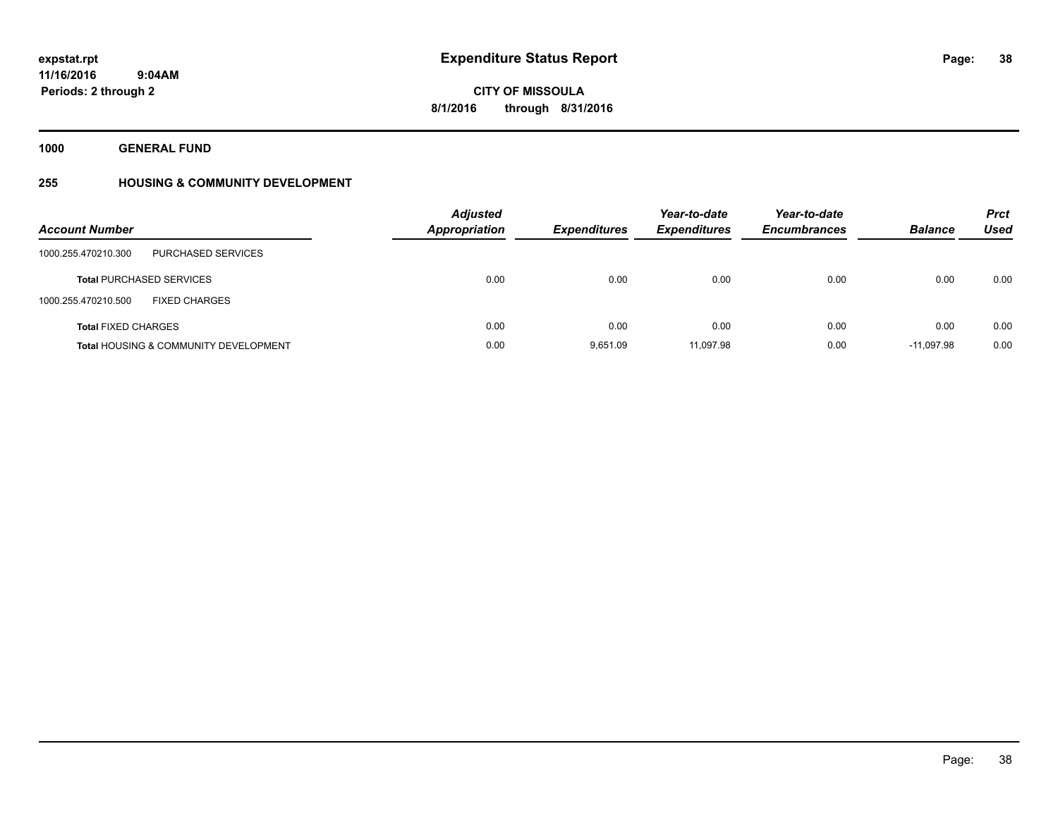**1000 GENERAL FUND**

### **255 HOUSING & COMMUNITY DEVELOPMENT**

| <b>Account Number</b>                            | <b>Adjusted</b><br><b>Appropriation</b> | <b>Expenditures</b> | Year-to-date<br><b>Expenditures</b> | Year-to-date<br><b>Encumbrances</b> | <b>Balance</b> | <b>Prct</b><br>Used |
|--------------------------------------------------|-----------------------------------------|---------------------|-------------------------------------|-------------------------------------|----------------|---------------------|
| <b>PURCHASED SERVICES</b><br>1000.255.470210.300 |                                         |                     |                                     |                                     |                |                     |
| <b>Total PURCHASED SERVICES</b>                  | 0.00                                    | 0.00                | 0.00                                | 0.00                                | 0.00           | 0.00                |
| 1000.255.470210.500<br><b>FIXED CHARGES</b>      |                                         |                     |                                     |                                     |                |                     |
| <b>Total FIXED CHARGES</b>                       | 0.00                                    | 0.00                | 0.00                                | 0.00                                | 0.00           | 0.00                |
| <b>Total HOUSING &amp; COMMUNITY DEVELOPMENT</b> | 0.00                                    | 9.651.09            | 11,097.98                           | 0.00                                | $-11.097.98$   | 0.00                |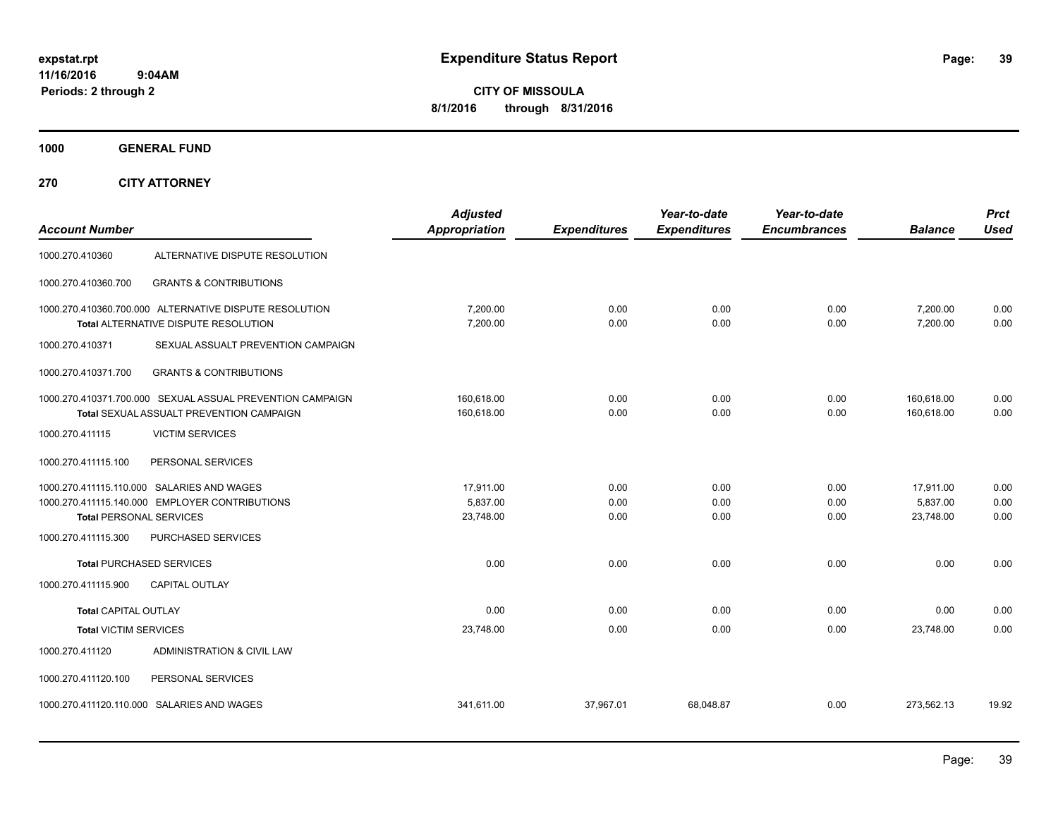**CITY OF MISSOULA 8/1/2016 through 8/31/2016**

**1000 GENERAL FUND**

**270 CITY ATTORNEY**

| <b>Account Number</b>          |                                                                                                       | <b>Adjusted</b><br>Appropriation   | <b>Expenditures</b>  | Year-to-date<br><b>Expenditures</b> | Year-to-date<br><b>Encumbrances</b> | <b>Balance</b>                     | <b>Prct</b><br><b>Used</b> |
|--------------------------------|-------------------------------------------------------------------------------------------------------|------------------------------------|----------------------|-------------------------------------|-------------------------------------|------------------------------------|----------------------------|
| 1000.270.410360                | ALTERNATIVE DISPUTE RESOLUTION                                                                        |                                    |                      |                                     |                                     |                                    |                            |
| 1000.270.410360.700            | <b>GRANTS &amp; CONTRIBUTIONS</b>                                                                     |                                    |                      |                                     |                                     |                                    |                            |
|                                | 1000.270.410360.700.000 ALTERNATIVE DISPUTE RESOLUTION<br>Total ALTERNATIVE DISPUTE RESOLUTION        | 7,200.00<br>7,200.00               | 0.00<br>0.00         | 0.00<br>0.00                        | 0.00<br>0.00                        | 7,200.00<br>7,200.00               | 0.00<br>0.00               |
| 1000.270.410371                | SEXUAL ASSUALT PREVENTION CAMPAIGN                                                                    |                                    |                      |                                     |                                     |                                    |                            |
| 1000.270.410371.700            | <b>GRANTS &amp; CONTRIBUTIONS</b>                                                                     |                                    |                      |                                     |                                     |                                    |                            |
|                                | 1000.270.410371.700.000 SEXUAL ASSUAL PREVENTION CAMPAIGN<br>Total SEXUAL ASSUALT PREVENTION CAMPAIGN | 160,618.00<br>160,618.00           | 0.00<br>0.00         | 0.00<br>0.00                        | 0.00<br>0.00                        | 160,618.00<br>160,618.00           | 0.00<br>0.00               |
| 1000.270.411115                | <b>VICTIM SERVICES</b>                                                                                |                                    |                      |                                     |                                     |                                    |                            |
| 1000.270.411115.100            | PERSONAL SERVICES                                                                                     |                                    |                      |                                     |                                     |                                    |                            |
| <b>Total PERSONAL SERVICES</b> | 1000.270.411115.110.000 SALARIES AND WAGES<br>1000.270.411115.140.000 EMPLOYER CONTRIBUTIONS          | 17,911.00<br>5,837.00<br>23,748.00 | 0.00<br>0.00<br>0.00 | 0.00<br>0.00<br>0.00                | 0.00<br>0.00<br>0.00                | 17,911.00<br>5,837.00<br>23,748.00 | 0.00<br>0.00<br>0.00       |
| 1000.270.411115.300            | PURCHASED SERVICES                                                                                    |                                    |                      |                                     |                                     |                                    |                            |
|                                | <b>Total PURCHASED SERVICES</b>                                                                       | 0.00                               | 0.00                 | 0.00                                | 0.00                                | 0.00                               | 0.00                       |
| 1000.270.411115.900            | <b>CAPITAL OUTLAY</b>                                                                                 |                                    |                      |                                     |                                     |                                    |                            |
| <b>Total CAPITAL OUTLAY</b>    |                                                                                                       | 0.00                               | 0.00                 | 0.00                                | 0.00                                | 0.00                               | 0.00                       |
| <b>Total VICTIM SERVICES</b>   |                                                                                                       | 23,748.00                          | 0.00                 | 0.00                                | 0.00                                | 23,748.00                          | 0.00                       |
| 1000.270.411120                | ADMINISTRATION & CIVIL LAW                                                                            |                                    |                      |                                     |                                     |                                    |                            |
| 1000.270.411120.100            | PERSONAL SERVICES                                                                                     |                                    |                      |                                     |                                     |                                    |                            |
|                                | 1000.270.411120.110.000 SALARIES AND WAGES                                                            | 341.611.00                         | 37.967.01            | 68.048.87                           | 0.00                                | 273.562.13                         | 19.92                      |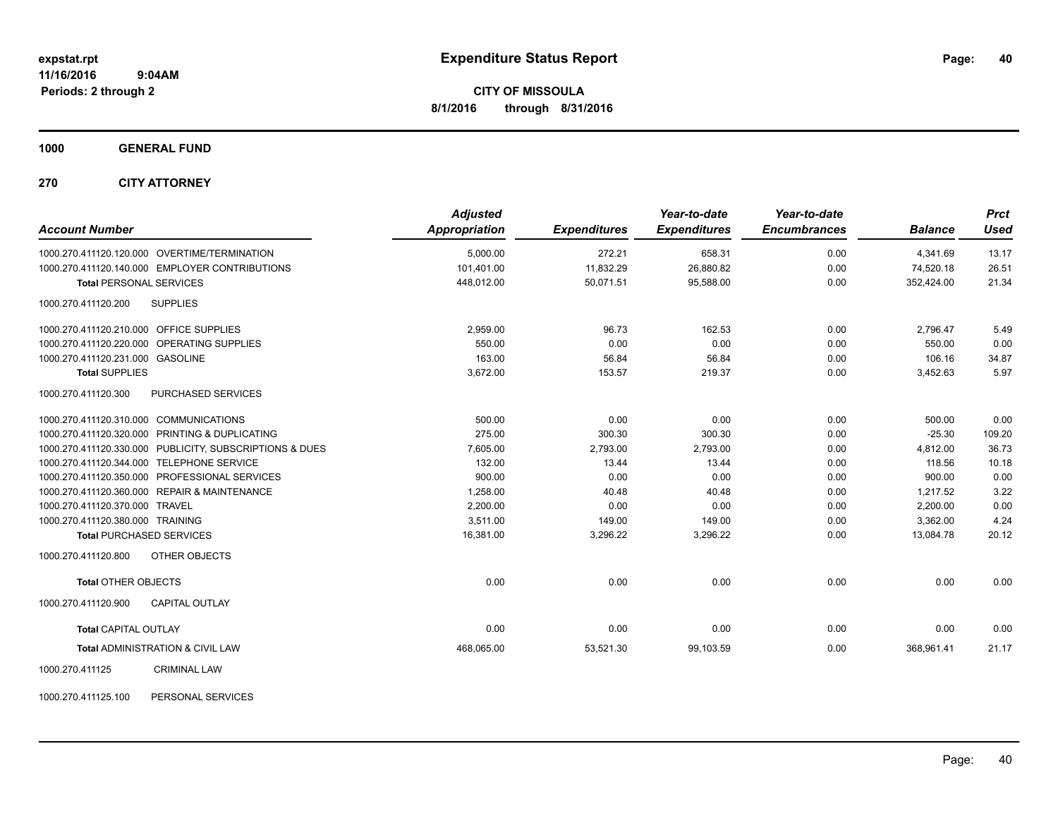**1000 GENERAL FUND**

**270 CITY ATTORNEY**

| <b>Account Number</b>                                   | <b>Adjusted</b><br>Appropriation | <b>Expenditures</b> | Year-to-date<br><b>Expenditures</b> | Year-to-date<br><b>Encumbrances</b> | <b>Balance</b> | <b>Prct</b><br><b>Used</b> |
|---------------------------------------------------------|----------------------------------|---------------------|-------------------------------------|-------------------------------------|----------------|----------------------------|
| 1000.270.411120.120.000 OVERTIME/TERMINATION            | 5,000.00                         | 272.21              | 658.31                              | 0.00                                | 4,341.69       | 13.17                      |
| 1000.270.411120.140.000 EMPLOYER CONTRIBUTIONS          | 101,401.00                       | 11,832.29           | 26,880.82                           | 0.00                                | 74,520.18      | 26.51                      |
| <b>Total PERSONAL SERVICES</b>                          | 448,012.00                       | 50.071.51           | 95.588.00                           | 0.00                                | 352.424.00     | 21.34                      |
| 1000.270.411120.200<br><b>SUPPLIES</b>                  |                                  |                     |                                     |                                     |                |                            |
| 1000.270.411120.210.000 OFFICE SUPPLIES                 | 2,959.00                         | 96.73               | 162.53                              | 0.00                                | 2,796.47       | 5.49                       |
| 1000.270.411120.220.000 OPERATING SUPPLIES              | 550.00                           | 0.00                | 0.00                                | 0.00                                | 550.00         | 0.00                       |
| 1000.270.411120.231.000 GASOLINE                        | 163.00                           | 56.84               | 56.84                               | 0.00                                | 106.16         | 34.87                      |
| <b>Total SUPPLIES</b>                                   | 3,672.00                         | 153.57              | 219.37                              | 0.00                                | 3,452.63       | 5.97                       |
| 1000.270.411120.300<br>PURCHASED SERVICES               |                                  |                     |                                     |                                     |                |                            |
| 1000.270.411120.310.000 COMMUNICATIONS                  | 500.00                           | 0.00                | 0.00                                | 0.00                                | 500.00         | 0.00                       |
| 1000.270.411120.320.000 PRINTING & DUPLICATING          | 275.00                           | 300.30              | 300.30                              | 0.00                                | $-25.30$       | 109.20                     |
| 1000.270.411120.330.000 PUBLICITY, SUBSCRIPTIONS & DUES | 7,605.00                         | 2,793.00            | 2,793.00                            | 0.00                                | 4,812.00       | 36.73                      |
| 1000.270.411120.344.000 TELEPHONE SERVICE               | 132.00                           | 13.44               | 13.44                               | 0.00                                | 118.56         | 10.18                      |
| 1000.270.411120.350.000 PROFESSIONAL SERVICES           | 900.00                           | 0.00                | 0.00                                | 0.00                                | 900.00         | 0.00                       |
| 1000.270.411120.360.000 REPAIR & MAINTENANCE            | 1,258.00                         | 40.48               | 40.48                               | 0.00                                | 1.217.52       | 3.22                       |
| 1000.270.411120.370.000 TRAVEL                          | 2,200.00                         | 0.00                | 0.00                                | 0.00                                | 2,200.00       | 0.00                       |
| 1000.270.411120.380.000 TRAINING                        | 3.511.00                         | 149.00              | 149.00                              | 0.00                                | 3,362.00       | 4.24                       |
| <b>Total PURCHASED SERVICES</b>                         | 16,381.00                        | 3,296.22            | 3,296.22                            | 0.00                                | 13,084.78      | 20.12                      |
| OTHER OBJECTS<br>1000.270.411120.800                    |                                  |                     |                                     |                                     |                |                            |
| <b>Total OTHER OBJECTS</b>                              | 0.00                             | 0.00                | 0.00                                | 0.00                                | 0.00           | 0.00                       |
| <b>CAPITAL OUTLAY</b><br>1000.270.411120.900            |                                  |                     |                                     |                                     |                |                            |
| <b>Total CAPITAL OUTLAY</b>                             | 0.00                             | 0.00                | 0.00                                | 0.00                                | 0.00           | 0.00                       |
| <b>Total ADMINISTRATION &amp; CIVIL LAW</b>             | 468,065.00                       | 53,521.30           | 99,103.59                           | 0.00                                | 368,961.41     | 21.17                      |
| 1000.270.411125<br><b>CRIMINAL LAW</b>                  |                                  |                     |                                     |                                     |                |                            |

1000.270.411125.100 PERSONAL SERVICES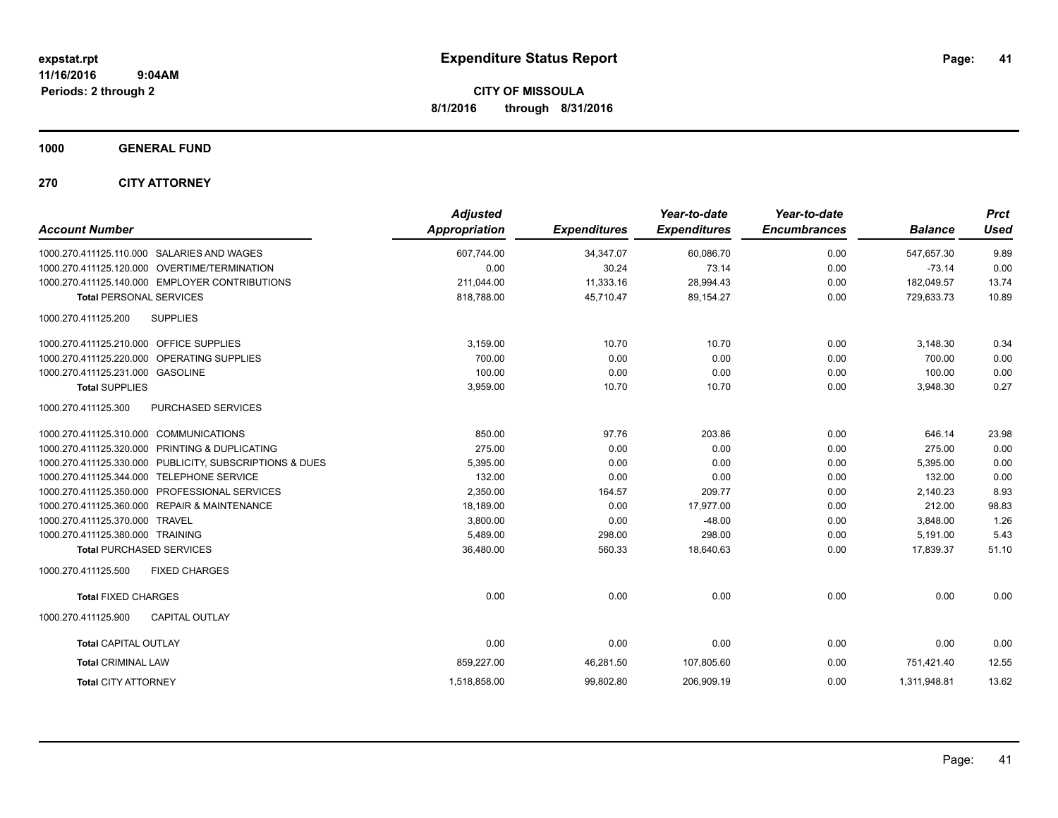**CITY OF MISSOULA 8/1/2016 through 8/31/2016**

**1000 GENERAL FUND**

**270 CITY ATTORNEY**

| <b>Account Number</b>                                   | <b>Adjusted</b><br>Appropriation | <b>Expenditures</b> | Year-to-date<br><b>Expenditures</b> | Year-to-date<br><b>Encumbrances</b> | <b>Balance</b> | <b>Prct</b><br><b>Used</b> |
|---------------------------------------------------------|----------------------------------|---------------------|-------------------------------------|-------------------------------------|----------------|----------------------------|
| 1000.270.411125.110.000 SALARIES AND WAGES              | 607.744.00                       | 34,347.07           | 60.086.70                           | 0.00                                | 547.657.30     | 9.89                       |
| 1000.270.411125.120.000 OVERTIME/TERMINATION            | 0.00                             | 30.24               | 73.14                               | 0.00                                | $-73.14$       | 0.00                       |
| 1000.270.411125.140.000 EMPLOYER CONTRIBUTIONS          | 211,044.00                       | 11,333.16           | 28,994.43                           | 0.00                                | 182,049.57     | 13.74                      |
| <b>Total PERSONAL SERVICES</b>                          | 818,788.00                       | 45,710.47           | 89,154.27                           | 0.00                                | 729,633.73     | 10.89                      |
| 1000.270.411125.200<br><b>SUPPLIES</b>                  |                                  |                     |                                     |                                     |                |                            |
| 1000.270.411125.210.000 OFFICE SUPPLIES                 | 3,159.00                         | 10.70               | 10.70                               | 0.00                                | 3,148.30       | 0.34                       |
| 1000.270.411125.220.000 OPERATING SUPPLIES              | 700.00                           | 0.00                | 0.00                                | 0.00                                | 700.00         | 0.00                       |
| 1000.270.411125.231.000 GASOLINE                        | 100.00                           | 0.00                | 0.00                                | 0.00                                | 100.00         | 0.00                       |
| <b>Total SUPPLIES</b>                                   | 3,959.00                         | 10.70               | 10.70                               | 0.00                                | 3,948.30       | 0.27                       |
| 1000.270.411125.300<br>PURCHASED SERVICES               |                                  |                     |                                     |                                     |                |                            |
| 1000.270.411125.310.000 COMMUNICATIONS                  | 850.00                           | 97.76               | 203.86                              | 0.00                                | 646.14         | 23.98                      |
| 1000.270.411125.320.000 PRINTING & DUPLICATING          | 275.00                           | 0.00                | 0.00                                | 0.00                                | 275.00         | 0.00                       |
| 1000.270.411125.330.000 PUBLICITY, SUBSCRIPTIONS & DUES | 5,395.00                         | 0.00                | 0.00                                | 0.00                                | 5,395.00       | 0.00                       |
| 1000.270.411125.344.000 TELEPHONE SERVICE               | 132.00                           | 0.00                | 0.00                                | 0.00                                | 132.00         | 0.00                       |
| 1000.270.411125.350.000 PROFESSIONAL SERVICES           | 2,350.00                         | 164.57              | 209.77                              | 0.00                                | 2,140.23       | 8.93                       |
| 1000.270.411125.360.000 REPAIR & MAINTENANCE            | 18,189.00                        | 0.00                | 17,977.00                           | 0.00                                | 212.00         | 98.83                      |
| 1000.270.411125.370.000 TRAVEL                          | 3,800.00                         | 0.00                | $-48.00$                            | 0.00                                | 3,848.00       | 1.26                       |
| 1000.270.411125.380.000 TRAINING                        | 5,489.00                         | 298.00              | 298.00                              | 0.00                                | 5,191.00       | 5.43                       |
| <b>Total PURCHASED SERVICES</b>                         | 36,480.00                        | 560.33              | 18,640.63                           | 0.00                                | 17,839.37      | 51.10                      |
| 1000.270.411125.500<br><b>FIXED CHARGES</b>             |                                  |                     |                                     |                                     |                |                            |
| <b>Total FIXED CHARGES</b>                              | 0.00                             | 0.00                | 0.00                                | 0.00                                | 0.00           | 0.00                       |
| 1000.270.411125.900<br><b>CAPITAL OUTLAY</b>            |                                  |                     |                                     |                                     |                |                            |
| <b>Total CAPITAL OUTLAY</b>                             | 0.00                             | 0.00                | 0.00                                | 0.00                                | 0.00           | 0.00                       |
| <b>Total CRIMINAL LAW</b>                               | 859,227.00                       | 46,281.50           | 107,805.60                          | 0.00                                | 751,421.40     | 12.55                      |
| <b>Total CITY ATTORNEY</b>                              | 1,518,858.00                     | 99,802.80           | 206,909.19                          | 0.00                                | 1,311,948.81   | 13.62                      |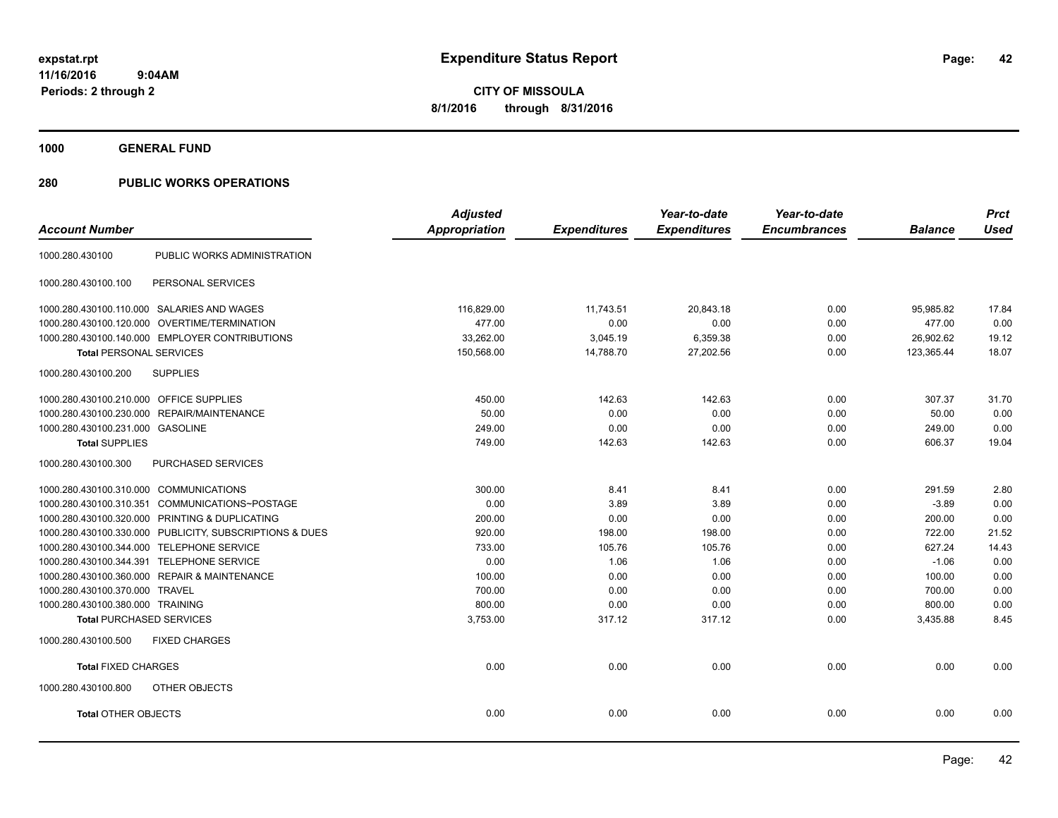**1000 GENERAL FUND**

|                                                         | <b>Adjusted</b> |                     | Year-to-date        | Year-to-date        |                | <b>Prct</b> |
|---------------------------------------------------------|-----------------|---------------------|---------------------|---------------------|----------------|-------------|
| <b>Account Number</b>                                   | Appropriation   | <b>Expenditures</b> | <b>Expenditures</b> | <b>Encumbrances</b> | <b>Balance</b> | <b>Used</b> |
| PUBLIC WORKS ADMINISTRATION<br>1000.280.430100          |                 |                     |                     |                     |                |             |
| PERSONAL SERVICES<br>1000.280.430100.100                |                 |                     |                     |                     |                |             |
| 1000.280.430100.110.000 SALARIES AND WAGES              | 116,829.00      | 11.743.51           | 20,843.18           | 0.00                | 95.985.82      | 17.84       |
| 1000.280.430100.120.000 OVERTIME/TERMINATION            | 477.00          | 0.00                | 0.00                | 0.00                | 477.00         | 0.00        |
| 1000.280.430100.140.000 EMPLOYER CONTRIBUTIONS          | 33,262.00       | 3,045.19            | 6,359.38            | 0.00                | 26,902.62      | 19.12       |
| <b>Total PERSONAL SERVICES</b>                          | 150,568.00      | 14,788.70           | 27,202.56           | 0.00                | 123,365.44     | 18.07       |
| <b>SUPPLIES</b><br>1000.280.430100.200                  |                 |                     |                     |                     |                |             |
| 1000.280.430100.210.000 OFFICE SUPPLIES                 | 450.00          | 142.63              | 142.63              | 0.00                | 307.37         | 31.70       |
| 1000.280.430100.230.000<br>REPAIR/MAINTENANCE           | 50.00           | 0.00                | 0.00                | 0.00                | 50.00          | 0.00        |
| 1000.280.430100.231.000 GASOLINE                        | 249.00          | 0.00                | 0.00                | 0.00                | 249.00         | 0.00        |
| <b>Total SUPPLIES</b>                                   | 749.00          | 142.63              | 142.63              | 0.00                | 606.37         | 19.04       |
| 1000.280.430100.300<br>PURCHASED SERVICES               |                 |                     |                     |                     |                |             |
| 1000.280.430100.310.000 COMMUNICATIONS                  | 300.00          | 8.41                | 8.41                | 0.00                | 291.59         | 2.80        |
| 1000.280.430100.310.351 COMMUNICATIONS~POSTAGE          | 0.00            | 3.89                | 3.89                | 0.00                | $-3.89$        | 0.00        |
| 1000.280.430100.320.000 PRINTING & DUPLICATING          | 200.00          | 0.00                | 0.00                | 0.00                | 200.00         | 0.00        |
| 1000.280.430100.330.000 PUBLICITY, SUBSCRIPTIONS & DUES | 920.00          | 198.00              | 198.00              | 0.00                | 722.00         | 21.52       |
| 1000.280.430100.344.000 TELEPHONE SERVICE               | 733.00          | 105.76              | 105.76              | 0.00                | 627.24         | 14.43       |
| 1000.280.430100.344.391 TELEPHONE SERVICE               | 0.00            | 1.06                | 1.06                | 0.00                | $-1.06$        | 0.00        |
| 1000.280.430100.360.000 REPAIR & MAINTENANCE            | 100.00          | 0.00                | 0.00                | 0.00                | 100.00         | 0.00        |
| 1000.280.430100.370.000 TRAVEL                          | 700.00          | 0.00                | 0.00                | 0.00                | 700.00         | 0.00        |
| 1000.280.430100.380.000 TRAINING                        | 800.00          | 0.00                | 0.00                | 0.00                | 800.00         | 0.00        |
| <b>Total PURCHASED SERVICES</b>                         | 3,753.00        | 317.12              | 317.12              | 0.00                | 3,435.88       | 8.45        |
| <b>FIXED CHARGES</b><br>1000.280.430100.500             |                 |                     |                     |                     |                |             |
| <b>Total FIXED CHARGES</b>                              | 0.00            | 0.00                | 0.00                | 0.00                | 0.00           | 0.00        |
| 1000.280.430100.800<br>OTHER OBJECTS                    |                 |                     |                     |                     |                |             |
| <b>Total OTHER OBJECTS</b>                              | 0.00            | 0.00                | 0.00                | 0.00                | 0.00           | 0.00        |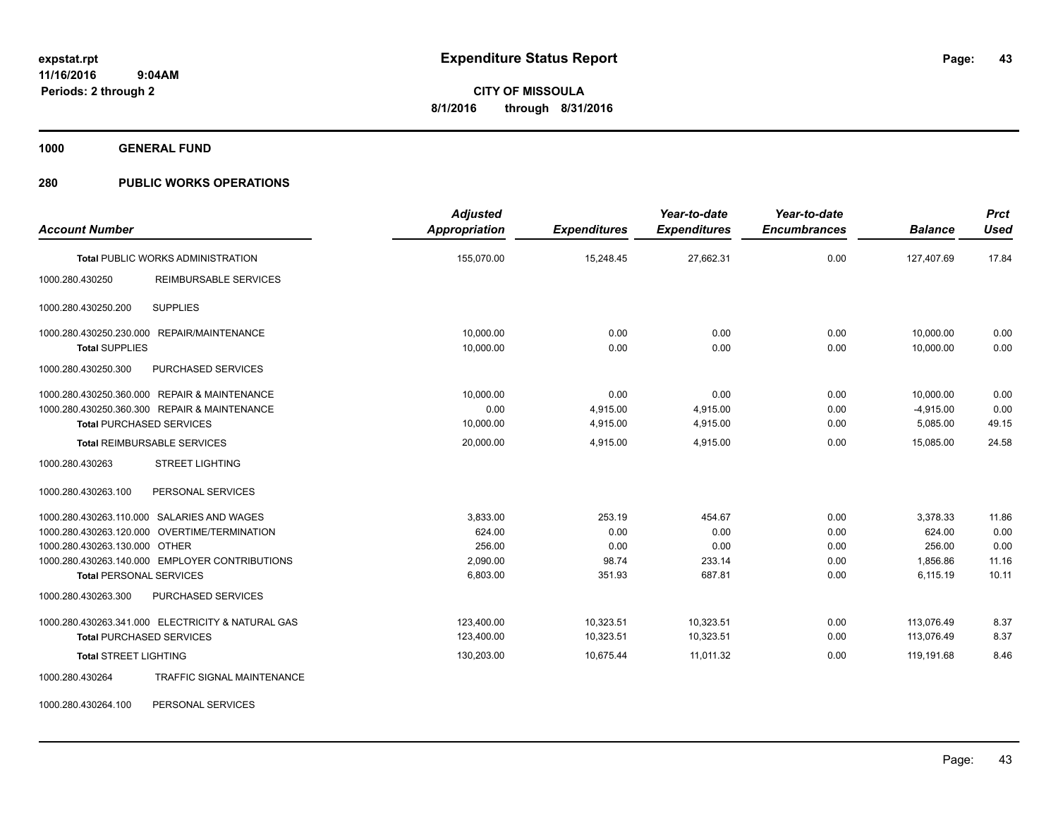**1000 GENERAL FUND**

### **280 PUBLIC WORKS OPERATIONS**

| <b>Account Number</b>                                           |                                                                                                                                              | <b>Adjusted</b><br>Appropriation                     | <b>Expenditures</b>                       | Year-to-date<br><b>Expenditures</b>        | Year-to-date<br><b>Encumbrances</b>  | <b>Balance</b>                                       | <b>Prct</b><br><b>Used</b>              |
|-----------------------------------------------------------------|----------------------------------------------------------------------------------------------------------------------------------------------|------------------------------------------------------|-------------------------------------------|--------------------------------------------|--------------------------------------|------------------------------------------------------|-----------------------------------------|
|                                                                 | <b>Total PUBLIC WORKS ADMINISTRATION</b>                                                                                                     | 155,070.00                                           | 15,248.45                                 | 27,662.31                                  | 0.00                                 | 127,407.69                                           | 17.84                                   |
| 1000.280.430250                                                 | REIMBURSABLE SERVICES                                                                                                                        |                                                      |                                           |                                            |                                      |                                                      |                                         |
| 1000.280.430250.200                                             | <b>SUPPLIES</b>                                                                                                                              |                                                      |                                           |                                            |                                      |                                                      |                                         |
| 1000.280.430250.230.000<br><b>Total SUPPLIES</b>                | <b>REPAIR/MAINTENANCE</b>                                                                                                                    | 10.000.00<br>10,000.00                               | 0.00<br>0.00                              | 0.00<br>0.00                               | 0.00<br>0.00                         | 10,000.00<br>10,000.00                               | 0.00<br>0.00                            |
| 1000.280.430250.300                                             | PURCHASED SERVICES                                                                                                                           |                                                      |                                           |                                            |                                      |                                                      |                                         |
| <b>Total PURCHASED SERVICES</b>                                 | 1000.280.430250.360.000 REPAIR & MAINTENANCE<br>1000.280.430250.360.300 REPAIR & MAINTENANCE                                                 | 10.000.00<br>0.00<br>10,000.00                       | 0.00<br>4,915.00<br>4,915.00              | 0.00<br>4,915.00<br>4,915.00               | 0.00<br>0.00<br>0.00                 | 10,000.00<br>$-4,915.00$<br>5,085.00                 | 0.00<br>0.00<br>49.15                   |
|                                                                 | <b>Total REIMBURSABLE SERVICES</b>                                                                                                           | 20,000.00                                            | 4,915.00                                  | 4,915.00                                   | 0.00                                 | 15,085.00                                            | 24.58                                   |
| 1000.280.430263                                                 | <b>STREET LIGHTING</b>                                                                                                                       |                                                      |                                           |                                            |                                      |                                                      |                                         |
| 1000.280.430263.100                                             | PERSONAL SERVICES                                                                                                                            |                                                      |                                           |                                            |                                      |                                                      |                                         |
| 1000.280.430263.130.000 OTHER<br><b>Total PERSONAL SERVICES</b> | 1000.280.430263.110.000 SALARIES AND WAGES<br>1000.280.430263.120.000 OVERTIME/TERMINATION<br>1000.280.430263.140.000 EMPLOYER CONTRIBUTIONS | 3,833.00<br>624.00<br>256.00<br>2,090.00<br>6,803.00 | 253.19<br>0.00<br>0.00<br>98.74<br>351.93 | 454.67<br>0.00<br>0.00<br>233.14<br>687.81 | 0.00<br>0.00<br>0.00<br>0.00<br>0.00 | 3,378.33<br>624.00<br>256.00<br>1,856.86<br>6,115.19 | 11.86<br>0.00<br>0.00<br>11.16<br>10.11 |
| 1000.280.430263.300                                             | PURCHASED SERVICES                                                                                                                           |                                                      |                                           |                                            |                                      |                                                      |                                         |
| <b>Total PURCHASED SERVICES</b><br><b>Total STREET LIGHTING</b> | 1000.280.430263.341.000 ELECTRICITY & NATURAL GAS                                                                                            | 123.400.00<br>123,400.00<br>130,203.00               | 10.323.51<br>10,323.51<br>10,675.44       | 10,323.51<br>10,323.51<br>11,011.32        | 0.00<br>0.00<br>0.00                 | 113.076.49<br>113.076.49<br>119,191.68               | 8.37<br>8.37<br>8.46                    |
| 1000.280.430264                                                 | <b>TRAFFIC SIGNAL MAINTENANCE</b>                                                                                                            |                                                      |                                           |                                            |                                      |                                                      |                                         |

1000.280.430264.100 PERSONAL SERVICES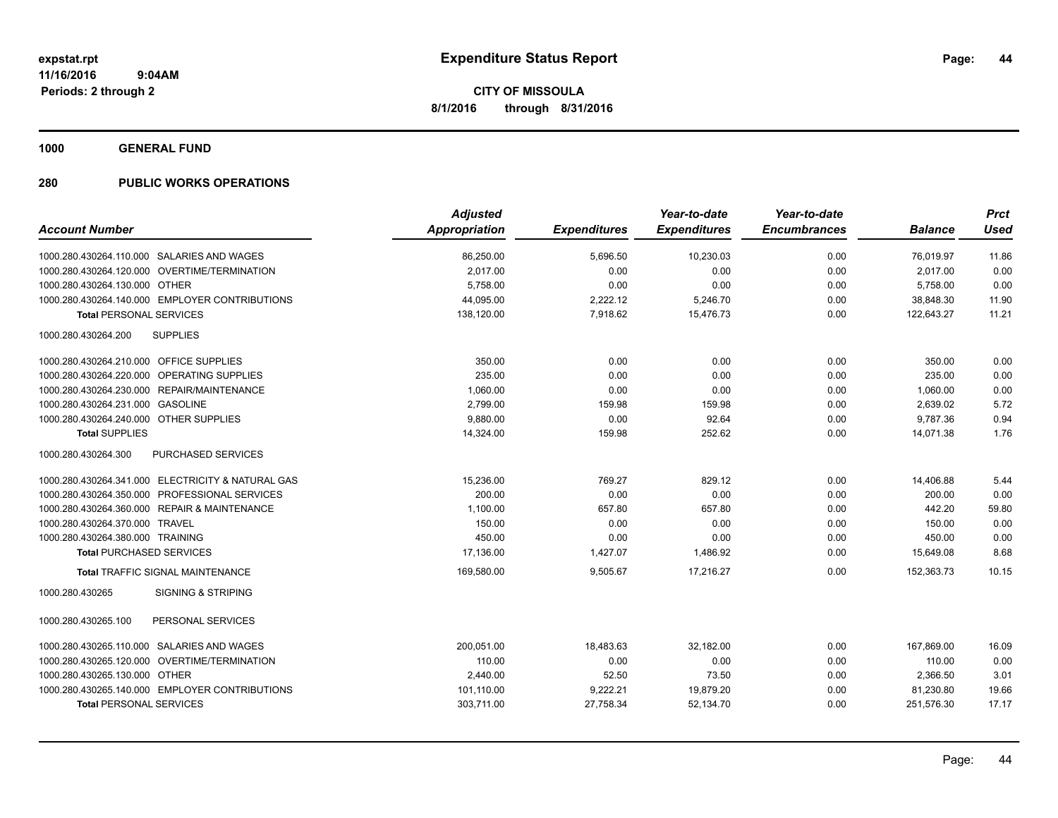**1000 GENERAL FUND**

|                                                   | <b>Adjusted</b> |                     | Year-to-date        | Year-to-date        |                | <b>Prct</b> |
|---------------------------------------------------|-----------------|---------------------|---------------------|---------------------|----------------|-------------|
| <b>Account Number</b>                             | Appropriation   | <b>Expenditures</b> | <b>Expenditures</b> | <b>Encumbrances</b> | <b>Balance</b> | <b>Used</b> |
| 1000.280.430264.110.000 SALARIES AND WAGES        | 86,250.00       | 5,696.50            | 10,230.03           | 0.00                | 76,019.97      | 11.86       |
| 1000.280.430264.120.000 OVERTIME/TERMINATION      | 2,017.00        | 0.00                | 0.00                | 0.00                | 2,017.00       | 0.00        |
| 1000.280.430264.130.000 OTHER                     | 5,758.00        | 0.00                | 0.00                | 0.00                | 5,758.00       | 0.00        |
| 1000.280.430264.140.000 EMPLOYER CONTRIBUTIONS    | 44,095.00       | 2,222.12            | 5,246.70            | 0.00                | 38,848.30      | 11.90       |
| <b>Total PERSONAL SERVICES</b>                    | 138,120.00      | 7,918.62            | 15,476.73           | 0.00                | 122.643.27     | 11.21       |
| 1000.280.430264.200<br><b>SUPPLIES</b>            |                 |                     |                     |                     |                |             |
| 1000.280.430264.210.000 OFFICE SUPPLIES           | 350.00          | 0.00                | 0.00                | 0.00                | 350.00         | 0.00        |
| 1000.280.430264.220.000 OPERATING SUPPLIES        | 235.00          | 0.00                | 0.00                | 0.00                | 235.00         | 0.00        |
| 1000.280.430264.230.000 REPAIR/MAINTENANCE        | 1,060.00        | 0.00                | 0.00                | 0.00                | 1,060.00       | 0.00        |
| 1000.280.430264.231.000<br><b>GASOLINE</b>        | 2,799.00        | 159.98              | 159.98              | 0.00                | 2,639.02       | 5.72        |
| 1000.280.430264.240.000 OTHER SUPPLIES            | 9,880.00        | 0.00                | 92.64               | 0.00                | 9,787.36       | 0.94        |
| <b>Total SUPPLIES</b>                             | 14,324.00       | 159.98              | 252.62              | 0.00                | 14,071.38      | 1.76        |
| PURCHASED SERVICES<br>1000.280.430264.300         |                 |                     |                     |                     |                |             |
| 1000.280.430264.341.000 ELECTRICITY & NATURAL GAS | 15,236.00       | 769.27              | 829.12              | 0.00                | 14,406.88      | 5.44        |
| 1000.280.430264.350.000 PROFESSIONAL SERVICES     | 200.00          | 0.00                | 0.00                | 0.00                | 200.00         | 0.00        |
| 1000.280.430264.360.000 REPAIR & MAINTENANCE      | 1,100.00        | 657.80              | 657.80              | 0.00                | 442.20         | 59.80       |
| 1000.280.430264.370.000 TRAVEL                    | 150.00          | 0.00                | 0.00                | 0.00                | 150.00         | 0.00        |
| 1000.280.430264.380.000 TRAINING                  | 450.00          | 0.00                | 0.00                | 0.00                | 450.00         | 0.00        |
| <b>Total PURCHASED SERVICES</b>                   | 17,136.00       | 1,427.07            | 1,486.92            | 0.00                | 15,649.08      | 8.68        |
| <b>Total TRAFFIC SIGNAL MAINTENANCE</b>           | 169,580.00      | 9,505.67            | 17,216.27           | 0.00                | 152,363.73     | 10.15       |
| 1000.280.430265<br><b>SIGNING &amp; STRIPING</b>  |                 |                     |                     |                     |                |             |
| PERSONAL SERVICES<br>1000.280.430265.100          |                 |                     |                     |                     |                |             |
| 1000.280.430265.110.000 SALARIES AND WAGES        | 200,051.00      | 18,483.63           | 32,182.00           | 0.00                | 167,869.00     | 16.09       |
| 1000.280.430265.120.000 OVERTIME/TERMINATION      | 110.00          | 0.00                | 0.00                | 0.00                | 110.00         | 0.00        |
| 1000.280.430265.130.000 OTHER                     | 2,440.00        | 52.50               | 73.50               | 0.00                | 2,366.50       | 3.01        |
| 1000.280.430265.140.000 EMPLOYER CONTRIBUTIONS    | 101,110.00      | 9,222.21            | 19,879.20           | 0.00                | 81,230.80      | 19.66       |
| <b>Total PERSONAL SERVICES</b>                    | 303,711.00      | 27,758.34           | 52,134.70           | 0.00                | 251,576.30     | 17.17       |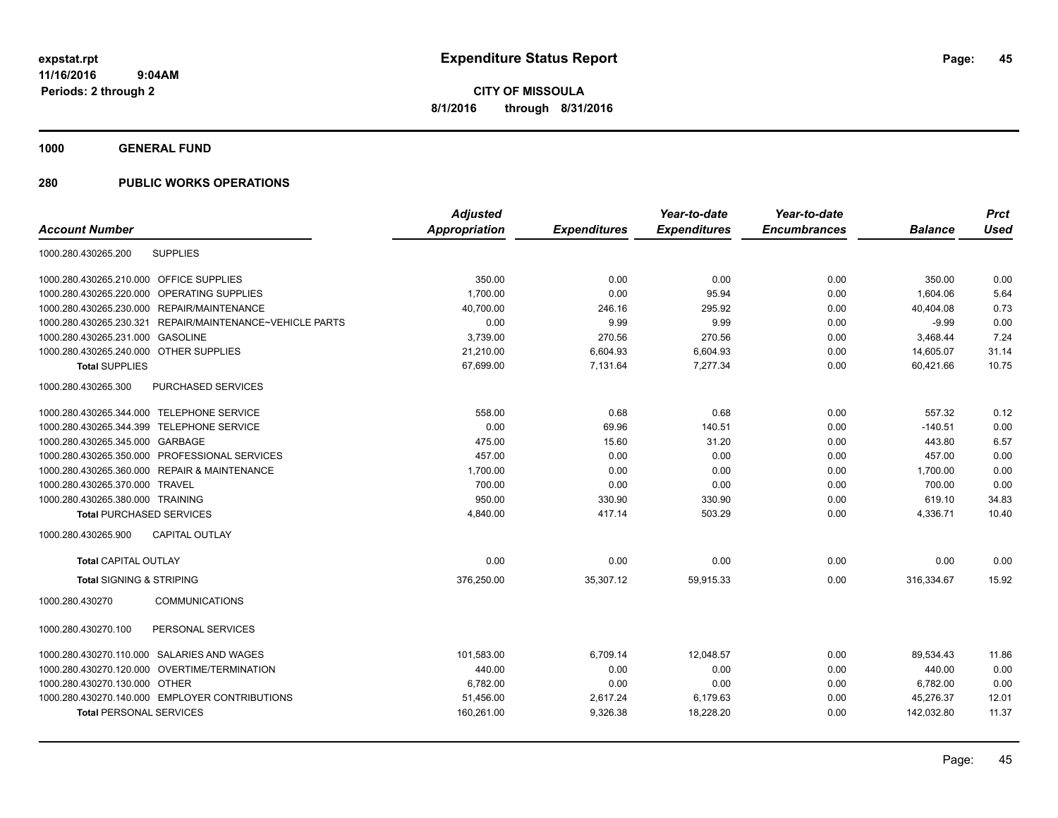**1000 GENERAL FUND**

| <b>Adjusted</b>                                                             | Year-to-date        | Year-to-date        |                | <b>Prct</b> |
|-----------------------------------------------------------------------------|---------------------|---------------------|----------------|-------------|
| Appropriation<br><b>Expenditures</b><br><b>Account Number</b>               | <b>Expenditures</b> | <b>Encumbrances</b> | <b>Balance</b> | <b>Used</b> |
| <b>SUPPLIES</b><br>1000.280.430265.200                                      |                     |                     |                |             |
| 1000.280.430265.210.000<br><b>OFFICE SUPPLIES</b><br>350.00<br>0.00         | 0.00                | 0.00                | 350.00         | 0.00        |
| <b>OPERATING SUPPLIES</b><br>1,700.00<br>0.00<br>1000.280.430265.220.000    | 95.94               | 0.00                | 1.604.06       | 5.64        |
| REPAIR/MAINTENANCE<br>1000.280.430265.230.000<br>40,700.00<br>246.16        | 295.92              | 0.00                | 40,404.08      | 0.73        |
| REPAIR/MAINTENANCE~VEHICLE PARTS<br>0.00<br>9.99<br>1000.280.430265.230.321 | 9.99                | 0.00                | $-9.99$        | 0.00        |
| 1000.280.430265.231.000 GASOLINE<br>3,739.00<br>270.56                      | 270.56              | 0.00                | 3,468.44       | 7.24        |
| 1000.280.430265.240.000 OTHER SUPPLIES<br>6,604.93<br>21,210.00             | 6,604.93            | 0.00                | 14,605.07      | 31.14       |
| <b>Total SUPPLIES</b><br>7,131.64<br>67,699.00                              | 7,277.34            | 0.00                | 60,421.66      | 10.75       |
| 1000.280.430265.300<br>PURCHASED SERVICES                                   |                     |                     |                |             |
| 1000.280.430265.344.000 TELEPHONE SERVICE<br>0.68<br>558.00                 | 0.68                | 0.00                | 557.32         | 0.12        |
| 69.96<br>1000.280.430265.344.399 TELEPHONE SERVICE<br>0.00                  | 140.51              | 0.00                | $-140.51$      | 0.00        |
| 1000.280.430265.345.000 GARBAGE<br>475.00<br>15.60                          | 31.20               | 0.00                | 443.80         | 6.57        |
| 1000.280.430265.350.000 PROFESSIONAL SERVICES<br>457.00<br>0.00             | 0.00                | 0.00                | 457.00         | 0.00        |
| 1000.280.430265.360.000 REPAIR & MAINTENANCE<br>1,700.00<br>0.00            | 0.00                | 0.00                | 1,700.00       | 0.00        |
| 700.00<br>0.00<br>1000.280.430265.370.000 TRAVEL                            | 0.00                | 0.00                | 700.00         | 0.00        |
| 950.00<br>330.90<br>1000.280.430265.380.000 TRAINING                        | 330.90              | 0.00                | 619.10         | 34.83       |
| 4,840.00<br>417.14<br><b>Total PURCHASED SERVICES</b>                       | 503.29              | 0.00                | 4,336.71       | 10.40       |
| 1000.280.430265.900<br><b>CAPITAL OUTLAY</b>                                |                     |                     |                |             |
| <b>Total CAPITAL OUTLAY</b><br>0.00<br>0.00                                 | 0.00                | 0.00                | 0.00           | 0.00        |
| <b>Total SIGNING &amp; STRIPING</b><br>376,250.00<br>35,307.12              | 59,915.33           | 0.00                | 316,334.67     | 15.92       |
| <b>COMMUNICATIONS</b><br>1000.280.430270                                    |                     |                     |                |             |
| PERSONAL SERVICES<br>1000.280.430270.100                                    |                     |                     |                |             |
| 1000.280.430270.110.000 SALARIES AND WAGES<br>101,583.00<br>6,709.14        | 12,048.57           | 0.00                | 89,534.43      | 11.86       |
| 1000.280.430270.120.000 OVERTIME/TERMINATION<br>440.00<br>0.00              | 0.00                | 0.00                | 440.00         | 0.00        |
| 1000.280.430270.130.000 OTHER<br>0.00<br>6.782.00                           | 0.00                | 0.00                | 6,782.00       | 0.00        |
| 1000.280.430270.140.000 EMPLOYER CONTRIBUTIONS<br>2,617.24<br>51,456.00     | 6,179.63            | 0.00                | 45,276.37      | 12.01       |
| <b>Total PERSONAL SERVICES</b><br>160,261.00<br>9,326.38                    | 18,228.20           | 0.00                | 142,032.80     | 11.37       |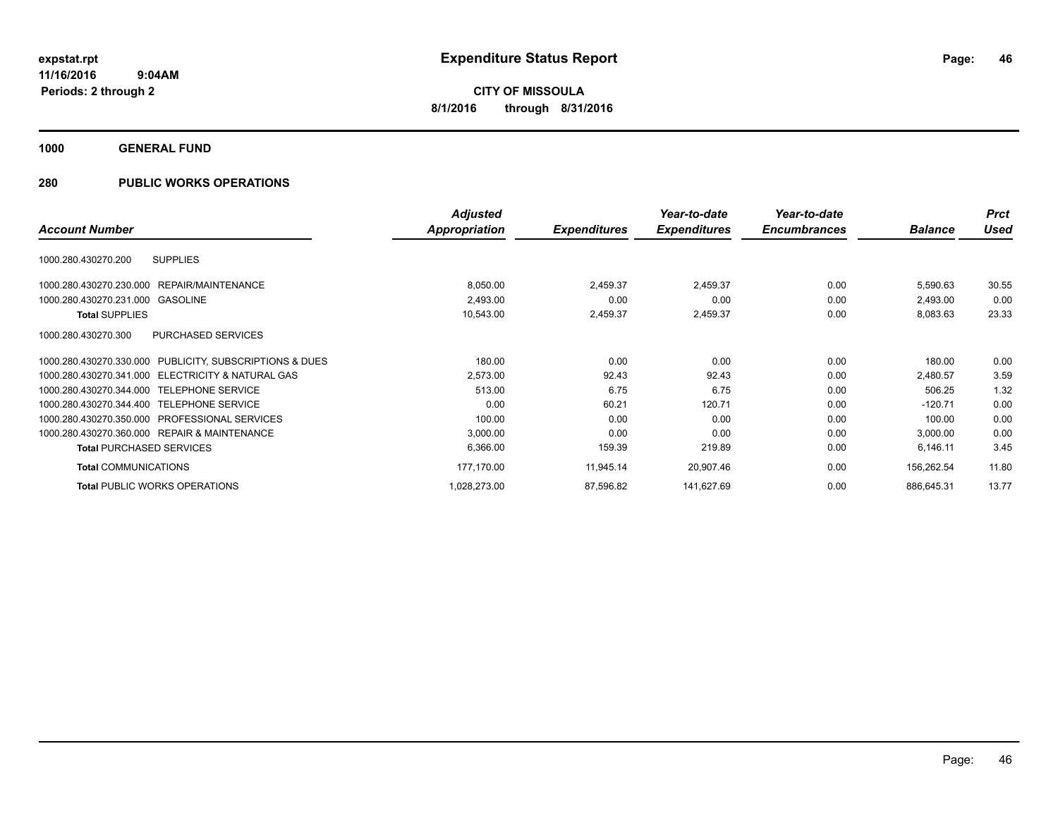**Periods: 2 through 2**

**CITY OF MISSOULA 8/1/2016 through 8/31/2016**

**1000 GENERAL FUND**

|                                                         | <b>Adjusted</b> |                     | Year-to-date        | Year-to-date        |                | <b>Prct</b> |
|---------------------------------------------------------|-----------------|---------------------|---------------------|---------------------|----------------|-------------|
| <b>Account Number</b>                                   | Appropriation   | <b>Expenditures</b> | <b>Expenditures</b> | <b>Encumbrances</b> | <b>Balance</b> | Used        |
| <b>SUPPLIES</b><br>1000.280.430270.200                  |                 |                     |                     |                     |                |             |
| 1000.280.430270.230.000<br>REPAIR/MAINTENANCE           | 8,050.00        | 2,459.37            | 2,459.37            | 0.00                | 5,590.63       | 30.55       |
| <b>GASOLINE</b><br>1000.280.430270.231.000              | 2,493.00        | 0.00                | 0.00                | 0.00                | 2,493.00       | 0.00        |
| <b>Total SUPPLIES</b>                                   | 10,543.00       | 2,459.37            | 2,459.37            | 0.00                | 8,083.63       | 23.33       |
| 1000.280.430270.300<br>PURCHASED SERVICES               |                 |                     |                     |                     |                |             |
| 1000.280.430270.330.000 PUBLICITY, SUBSCRIPTIONS & DUES | 180.00          | 0.00                | 0.00                | 0.00                | 180.00         | 0.00        |
| ELECTRICITY & NATURAL GAS<br>1000.280.430270.341.000    | 2,573.00        | 92.43               | 92.43               | 0.00                | 2,480.57       | 3.59        |
| 1000.280.430270.344.000<br><b>TELEPHONE SERVICE</b>     | 513.00          | 6.75                | 6.75                | 0.00                | 506.25         | 1.32        |
| 1000.280.430270.344.400<br><b>TELEPHONE SERVICE</b>     | 0.00            | 60.21               | 120.71              | 0.00                | $-120.71$      | 0.00        |
| 1000.280.430270.350.000 PROFESSIONAL SERVICES           | 100.00          | 0.00                | 0.00                | 0.00                | 100.00         | 0.00        |
| 1000.280.430270.360.000 REPAIR & MAINTENANCE            | 3,000.00        | 0.00                | 0.00                | 0.00                | 3,000.00       | 0.00        |
| <b>Total PURCHASED SERVICES</b>                         | 6,366.00        | 159.39              | 219.89              | 0.00                | 6,146.11       | 3.45        |
| <b>Total COMMUNICATIONS</b>                             | 177,170.00      | 11,945.14           | 20,907.46           | 0.00                | 156,262.54     | 11.80       |
| <b>Total PUBLIC WORKS OPERATIONS</b>                    | 1,028,273.00    | 87,596.82           | 141,627.69          | 0.00                | 886,645.31     | 13.77       |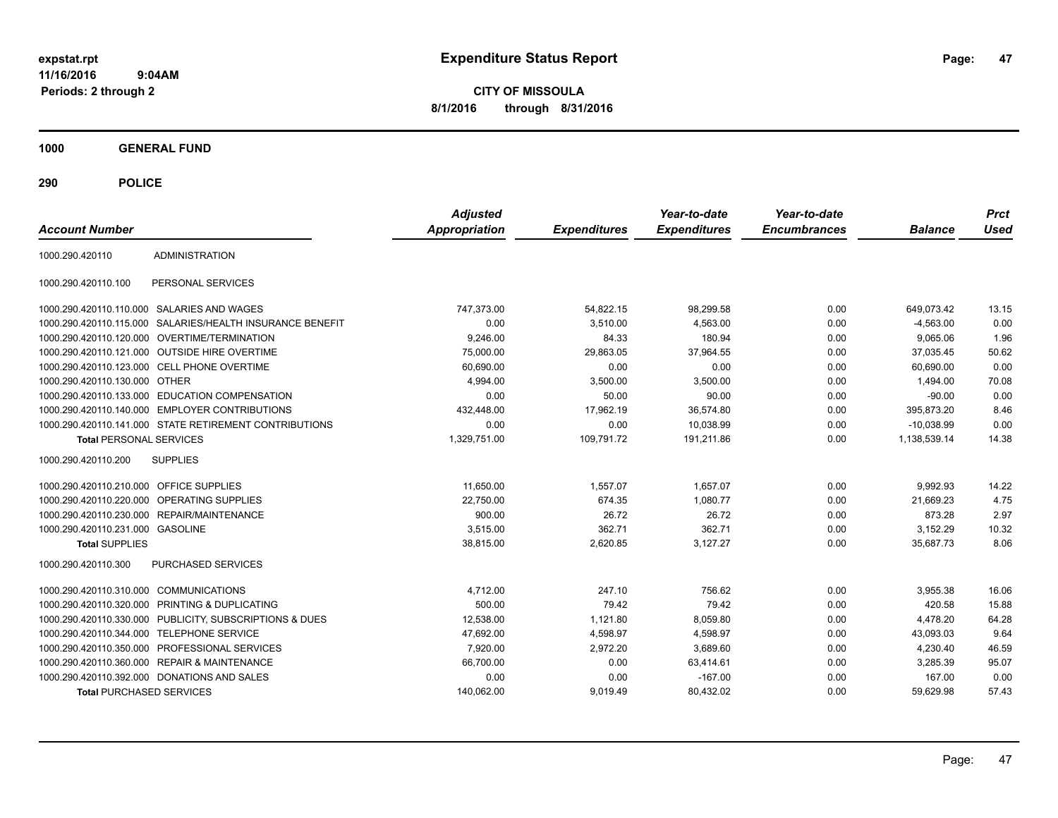**CITY OF MISSOULA 8/1/2016 through 8/31/2016**

**1000 GENERAL FUND**

| <b>Account Number</b>                   |                                                        | <b>Adjusted</b><br><b>Appropriation</b> | <b>Expenditures</b> | Year-to-date<br><b>Expenditures</b> | Year-to-date<br><b>Encumbrances</b> | <b>Balance</b> | <b>Prct</b><br><b>Used</b> |
|-----------------------------------------|--------------------------------------------------------|-----------------------------------------|---------------------|-------------------------------------|-------------------------------------|----------------|----------------------------|
| 1000.290.420110                         | <b>ADMINISTRATION</b>                                  |                                         |                     |                                     |                                     |                |                            |
| 1000.290.420110.100                     | PERSONAL SERVICES                                      |                                         |                     |                                     |                                     |                |                            |
| 1000.290.420110.110.000                 | SALARIES AND WAGES                                     | 747,373.00                              | 54,822.15           | 98,299.58                           | 0.00                                | 649,073.42     | 13.15                      |
| 1000.290.420110.115.000                 | SALARIES/HEALTH INSURANCE BENEFIT                      | 0.00                                    | 3,510.00            | 4,563.00                            | 0.00                                | $-4,563.00$    | 0.00                       |
|                                         | 1000.290.420110.120.000 OVERTIME/TERMINATION           | 9,246.00                                | 84.33               | 180.94                              | 0.00                                | 9.065.06       | 1.96                       |
|                                         | 1000.290.420110.121.000 OUTSIDE HIRE OVERTIME          | 75.000.00                               | 29,863.05           | 37,964.55                           | 0.00                                | 37.035.45      | 50.62                      |
|                                         | 1000.290.420110.123.000 CELL PHONE OVERTIME            | 60,690.00                               | 0.00                | 0.00                                | 0.00                                | 60,690.00      | 0.00                       |
| 1000.290.420110.130.000                 | <b>OTHER</b>                                           | 4,994.00                                | 3,500.00            | 3,500.00                            | 0.00                                | 1,494.00       | 70.08                      |
| 1000.290.420110.133.000                 | EDUCATION COMPENSATION                                 | 0.00                                    | 50.00               | 90.00                               | 0.00                                | $-90.00$       | 0.00                       |
| 1000.290.420110.140.000                 | <b>EMPLOYER CONTRIBUTIONS</b>                          | 432,448.00                              | 17,962.19           | 36,574.80                           | 0.00                                | 395,873.20     | 8.46                       |
|                                         | 1000.290.420110.141.000 STATE RETIREMENT CONTRIBUTIONS | 0.00                                    | 0.00                | 10.038.99                           | 0.00                                | $-10.038.99$   | 0.00                       |
| <b>Total PERSONAL SERVICES</b>          |                                                        | 1,329,751.00                            | 109,791.72          | 191,211.86                          | 0.00                                | 1,138,539.14   | 14.38                      |
| 1000.290.420110.200                     | <b>SUPPLIES</b>                                        |                                         |                     |                                     |                                     |                |                            |
| 1000.290.420110.210.000 OFFICE SUPPLIES |                                                        | 11.650.00                               | 1.557.07            | 1.657.07                            | 0.00                                | 9.992.93       | 14.22                      |
| 1000.290.420110.220.000                 | <b>OPERATING SUPPLIES</b>                              | 22,750.00                               | 674.35              | 1,080.77                            | 0.00                                | 21.669.23      | 4.75                       |
| 1000.290.420110.230.000                 | <b>REPAIR/MAINTENANCE</b>                              | 900.00                                  | 26.72               | 26.72                               | 0.00                                | 873.28         | 2.97                       |
| 1000.290.420110.231.000 GASOLINE        |                                                        | 3,515.00                                | 362.71              | 362.71                              | 0.00                                | 3,152.29       | 10.32                      |
| <b>Total SUPPLIES</b>                   |                                                        | 38,815.00                               | 2,620.85            | 3,127.27                            | 0.00                                | 35,687.73      | 8.06                       |
| 1000.290.420110.300                     | <b>PURCHASED SERVICES</b>                              |                                         |                     |                                     |                                     |                |                            |
| 1000.290.420110.310.000                 | <b>COMMUNICATIONS</b>                                  | 4,712.00                                | 247.10              | 756.62                              | 0.00                                | 3,955.38       | 16.06                      |
| 1000.290.420110.320.000                 | PRINTING & DUPLICATING                                 | 500.00                                  | 79.42               | 79.42                               | 0.00                                | 420.58         | 15.88                      |
| 1000.290.420110.330.000                 | PUBLICITY, SUBSCRIPTIONS & DUES                        | 12,538.00                               | 1,121.80            | 8,059.80                            | 0.00                                | 4,478.20       | 64.28                      |
| 1000.290.420110.344.000                 | <b>TELEPHONE SERVICE</b>                               | 47,692.00                               | 4,598.97            | 4,598.97                            | 0.00                                | 43,093.03      | 9.64                       |
| 1000.290.420110.350.000                 | PROFESSIONAL SERVICES                                  | 7,920.00                                | 2,972.20            | 3,689.60                            | 0.00                                | 4,230.40       | 46.59                      |
| 1000.290.420110.360.000                 | <b>REPAIR &amp; MAINTENANCE</b>                        | 66,700.00                               | 0.00                | 63,414.61                           | 0.00                                | 3,285.39       | 95.07                      |
|                                         | 1000.290.420110.392.000 DONATIONS AND SALES            | 0.00                                    | 0.00                | $-167.00$                           | 0.00                                | 167.00         | 0.00                       |
| <b>Total PURCHASED SERVICES</b>         |                                                        | 140,062.00                              | 9,019.49            | 80,432.02                           | 0.00                                | 59,629.98      | 57.43                      |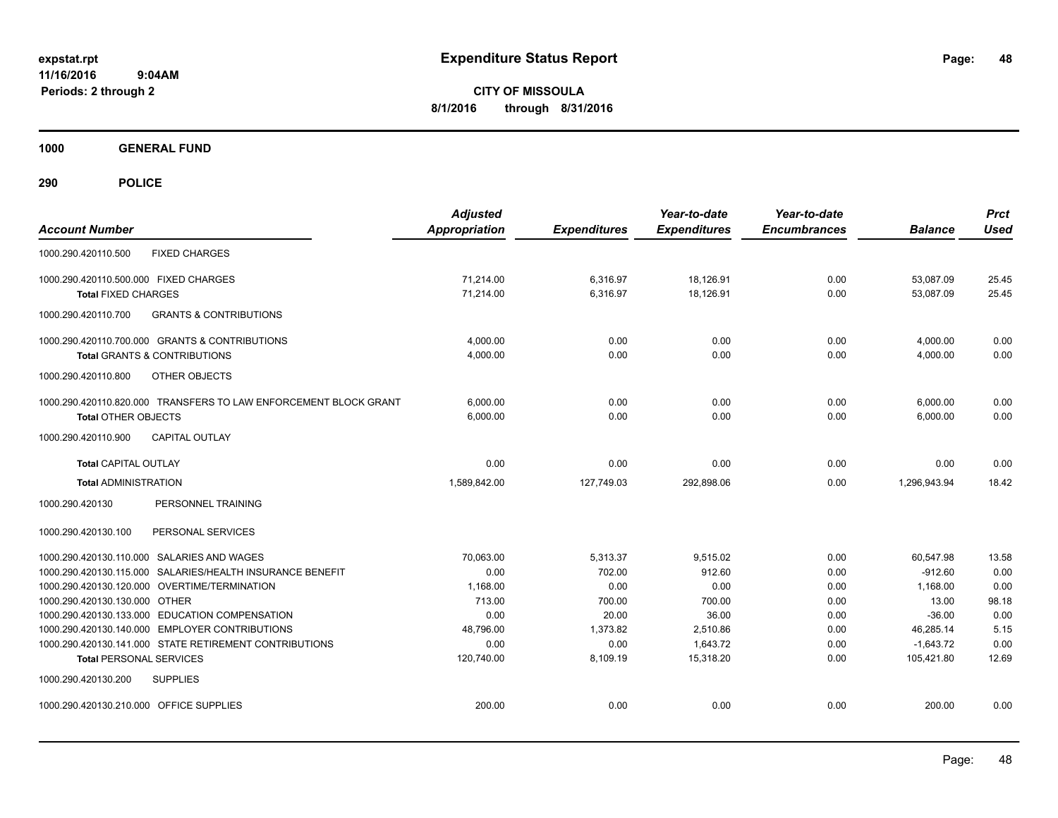**CITY OF MISSOULA 8/1/2016 through 8/31/2016**

**1000 GENERAL FUND**

| <b>Account Number</b>                                                                            | <b>Adjusted</b><br><b>Appropriation</b> | <b>Expenditures</b> | Year-to-date<br><b>Expenditures</b> | Year-to-date<br><b>Encumbrances</b> | <b>Balance</b>        | <b>Prct</b><br><b>Used</b> |
|--------------------------------------------------------------------------------------------------|-----------------------------------------|---------------------|-------------------------------------|-------------------------------------|-----------------------|----------------------------|
| <b>FIXED CHARGES</b><br>1000.290.420110.500                                                      |                                         |                     |                                     |                                     |                       |                            |
| 1000.290.420110.500.000 FIXED CHARGES                                                            | 71.214.00                               | 6,316.97            | 18,126.91                           | 0.00                                | 53,087.09             | 25.45                      |
| <b>Total FIXED CHARGES</b>                                                                       | 71,214.00                               | 6,316.97            | 18,126.91                           | 0.00                                | 53,087.09             | 25.45                      |
| 1000.290.420110.700<br><b>GRANTS &amp; CONTRIBUTIONS</b>                                         |                                         |                     |                                     |                                     |                       |                            |
| 1000.290.420110.700.000 GRANTS & CONTRIBUTIONS                                                   | 4,000.00                                | 0.00                | 0.00                                | 0.00                                | 4,000.00              | 0.00                       |
| <b>Total GRANTS &amp; CONTRIBUTIONS</b>                                                          | 4,000.00                                | 0.00                | 0.00                                | 0.00                                | 4,000.00              | 0.00                       |
| 1000.290.420110.800<br>OTHER OBJECTS                                                             |                                         |                     |                                     |                                     |                       |                            |
| 1000.290.420110.820.000 TRANSFERS TO LAW ENFORCEMENT BLOCK GRANT                                 | 6,000.00                                | 0.00                | 0.00                                | 0.00                                | 6,000.00              | 0.00                       |
| <b>Total OTHER OBJECTS</b>                                                                       | 6,000.00                                | 0.00                | 0.00                                | 0.00                                | 6,000.00              | 0.00                       |
| <b>CAPITAL OUTLAY</b><br>1000.290.420110.900                                                     |                                         |                     |                                     |                                     |                       |                            |
| <b>Total CAPITAL OUTLAY</b>                                                                      | 0.00                                    | 0.00                | 0.00                                | 0.00                                | 0.00                  | 0.00                       |
| <b>Total ADMINISTRATION</b>                                                                      | 1,589,842.00                            | 127,749.03          | 292,898.06                          | 0.00                                | 1,296,943.94          | 18.42                      |
| 1000.290.420130<br>PERSONNEL TRAINING                                                            |                                         |                     |                                     |                                     |                       |                            |
| 1000.290.420130.100<br>PERSONAL SERVICES                                                         |                                         |                     |                                     |                                     |                       |                            |
| 1000.290.420130.110.000 SALARIES AND WAGES                                                       | 70.063.00                               | 5,313.37            | 9,515.02                            | 0.00                                | 60.547.98             | 13.58                      |
| 1000.290.420130.115.000 SALARIES/HEALTH INSURANCE BENEFIT                                        | 0.00                                    | 702.00              | 912.60                              | 0.00                                | $-912.60$             | 0.00                       |
| 1000.290.420130.120.000 OVERTIME/TERMINATION                                                     | 1,168.00                                | 0.00                | 0.00                                | 0.00                                | 1,168.00              | 0.00                       |
| 1000.290.420130.130.000 OTHER                                                                    | 713.00                                  | 700.00              | 700.00                              | 0.00                                | 13.00                 | 98.18                      |
| 1000.290.420130.133.000 EDUCATION COMPENSATION<br>1000.290.420130.140.000 EMPLOYER CONTRIBUTIONS | 0.00<br>48,796.00                       | 20.00<br>1,373.82   | 36.00<br>2,510.86                   | 0.00<br>0.00                        | $-36.00$<br>46,285.14 | 0.00<br>5.15               |
| 1000.290.420130.141.000 STATE RETIREMENT CONTRIBUTIONS                                           | 0.00                                    | 0.00                | 1.643.72                            | 0.00                                | $-1,643.72$           | 0.00                       |
| <b>Total PERSONAL SERVICES</b>                                                                   | 120,740.00                              | 8,109.19            | 15.318.20                           | 0.00                                | 105.421.80            | 12.69                      |
| 1000.290.420130.200<br><b>SUPPLIES</b>                                                           |                                         |                     |                                     |                                     |                       |                            |
| 1000.290.420130.210.000 OFFICE SUPPLIES                                                          | 200.00                                  | 0.00                | 0.00                                | 0.00                                | 200.00                | 0.00                       |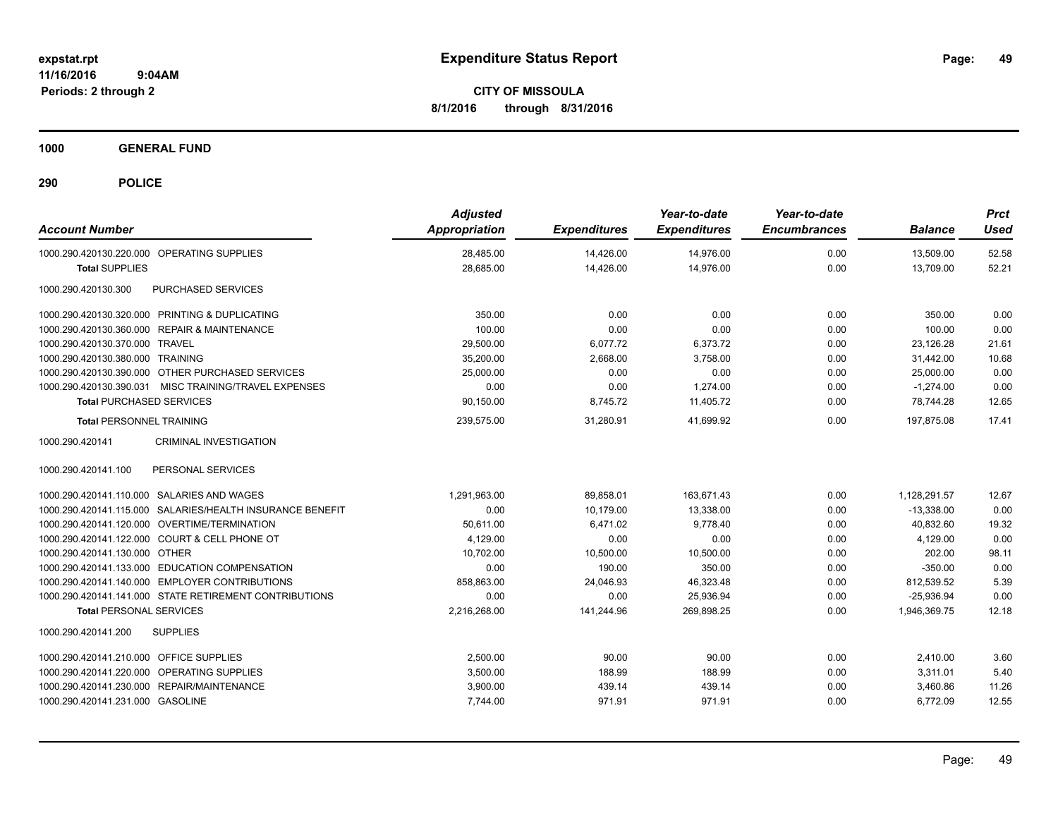**CITY OF MISSOULA 8/1/2016 through 8/31/2016**

**1000 GENERAL FUND**

| <b>Account Number</b>                                     | <b>Adjusted</b><br>Appropriation | <b>Expenditures</b> | Year-to-date<br><b>Expenditures</b> | Year-to-date<br><b>Encumbrances</b> | <b>Balance</b> | <b>Prct</b><br><b>Used</b> |
|-----------------------------------------------------------|----------------------------------|---------------------|-------------------------------------|-------------------------------------|----------------|----------------------------|
| 1000.290.420130.220.000 OPERATING SUPPLIES                | 28,485.00                        | 14,426.00           | 14,976.00                           | 0.00                                | 13,509.00      | 52.58                      |
| <b>Total SUPPLIES</b>                                     | 28,685.00                        | 14,426.00           | 14,976.00                           | 0.00                                | 13,709.00      | 52.21                      |
| PURCHASED SERVICES<br>1000.290.420130.300                 |                                  |                     |                                     |                                     |                |                            |
| 1000.290.420130.320.000 PRINTING & DUPLICATING            | 350.00                           | 0.00                | 0.00                                | 0.00                                | 350.00         | 0.00                       |
| 1000.290.420130.360.000 REPAIR & MAINTENANCE              | 100.00                           | 0.00                | 0.00                                | 0.00                                | 100.00         | 0.00                       |
| 1000.290.420130.370.000 TRAVEL                            | 29,500.00                        | 6,077.72            | 6,373.72                            | 0.00                                | 23.126.28      | 21.61                      |
| 1000.290.420130.380.000 TRAINING                          | 35,200.00                        | 2,668.00            | 3,758.00                            | 0.00                                | 31,442.00      | 10.68                      |
| 1000.290.420130.390.000 OTHER PURCHASED SERVICES          | 25,000.00                        | 0.00                | 0.00                                | 0.00                                | 25,000.00      | 0.00                       |
| 1000.290.420130.390.031 MISC TRAINING/TRAVEL EXPENSES     | 0.00                             | 0.00                | 1,274.00                            | 0.00                                | $-1,274.00$    | 0.00                       |
| <b>Total PURCHASED SERVICES</b>                           | 90,150.00                        | 8,745.72            | 11,405.72                           | 0.00                                | 78,744.28      | 12.65                      |
| <b>Total PERSONNEL TRAINING</b>                           | 239,575.00                       | 31.280.91           | 41.699.92                           | 0.00                                | 197.875.08     | 17.41                      |
| 1000.290.420141<br><b>CRIMINAL INVESTIGATION</b>          |                                  |                     |                                     |                                     |                |                            |
| 1000.290.420141.100<br>PERSONAL SERVICES                  |                                  |                     |                                     |                                     |                |                            |
| 1000.290.420141.110.000 SALARIES AND WAGES                | 1.291.963.00                     | 89.858.01           | 163.671.43                          | 0.00                                | 1,128,291.57   | 12.67                      |
| 1000.290.420141.115.000 SALARIES/HEALTH INSURANCE BENEFIT | 0.00                             | 10,179.00           | 13,338.00                           | 0.00                                | $-13,338.00$   | 0.00                       |
| 1000.290.420141.120.000 OVERTIME/TERMINATION              | 50,611.00                        | 6,471.02            | 9.778.40                            | 0.00                                | 40,832.60      | 19.32                      |
| 1000.290.420141.122.000 COURT & CELL PHONE OT             | 4,129.00                         | 0.00                | 0.00                                | 0.00                                | 4,129.00       | 0.00                       |
| 1000.290.420141.130.000 OTHER                             | 10.702.00                        | 10.500.00           | 10.500.00                           | 0.00                                | 202.00         | 98.11                      |
| 1000.290.420141.133.000 EDUCATION COMPENSATION            | 0.00                             | 190.00              | 350.00                              | 0.00                                | $-350.00$      | 0.00                       |
| 1000.290.420141.140.000 EMPLOYER CONTRIBUTIONS            | 858,863.00                       | 24,046.93           | 46,323.48                           | 0.00                                | 812,539.52     | 5.39                       |
| 1000.290.420141.141.000 STATE RETIREMENT CONTRIBUTIONS    | 0.00                             | 0.00                | 25,936.94                           | 0.00                                | $-25,936.94$   | 0.00                       |
| <b>Total PERSONAL SERVICES</b>                            | 2,216,268.00                     | 141,244.96          | 269,898.25                          | 0.00                                | 1,946,369.75   | 12.18                      |
| <b>SUPPLIES</b><br>1000.290.420141.200                    |                                  |                     |                                     |                                     |                |                            |
| 1000.290.420141.210.000 OFFICE SUPPLIES                   | 2,500.00                         | 90.00               | 90.00                               | 0.00                                | 2,410.00       | 3.60                       |
| 1000.290.420141.220.000 OPERATING SUPPLIES                | 3,500.00                         | 188.99              | 188.99                              | 0.00                                | 3,311.01       | 5.40                       |
| 1000.290.420141.230.000 REPAIR/MAINTENANCE                | 3,900.00                         | 439.14              | 439.14                              | 0.00                                | 3,460.86       | 11.26                      |
| 1000.290.420141.231.000 GASOLINE                          | 7,744.00                         | 971.91              | 971.91                              | 0.00                                | 6,772.09       | 12.55                      |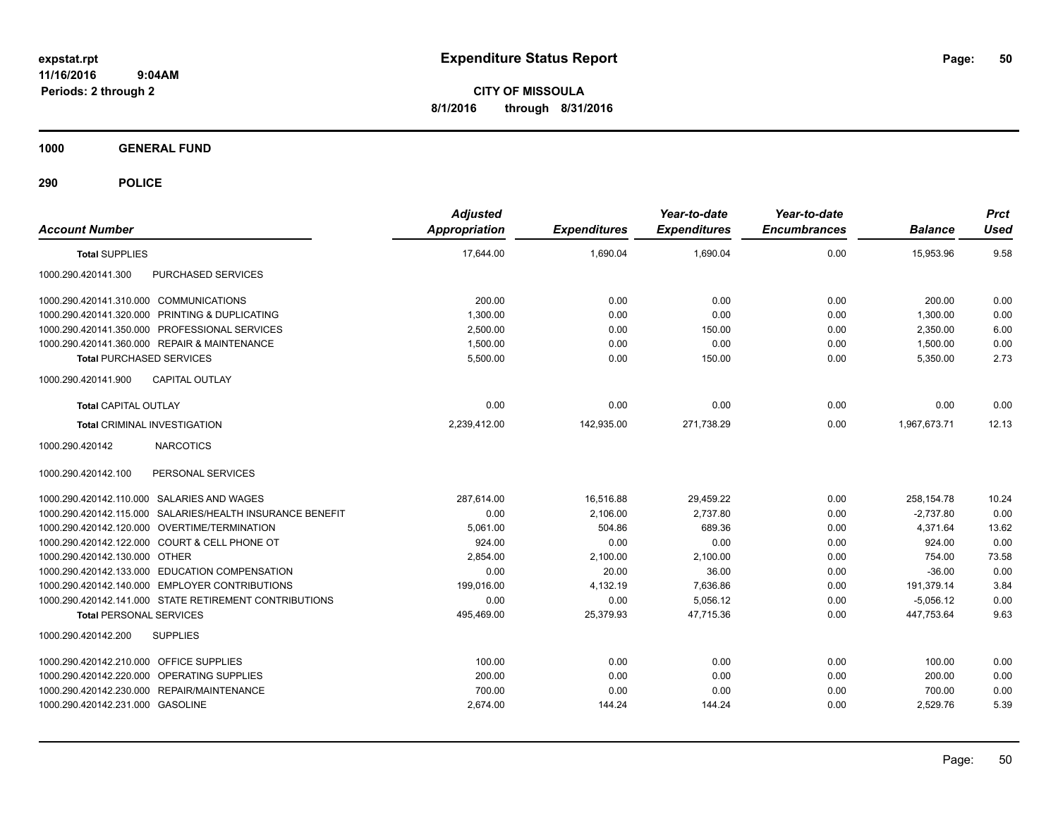**CITY OF MISSOULA 8/1/2016 through 8/31/2016**

**1000 GENERAL FUND**

| <b>Account Number</b>                                     | <b>Adjusted</b><br><b>Appropriation</b> | <b>Expenditures</b> | Year-to-date<br><b>Expenditures</b> | Year-to-date<br><b>Encumbrances</b> | <b>Balance</b> | <b>Prct</b><br><b>Used</b> |
|-----------------------------------------------------------|-----------------------------------------|---------------------|-------------------------------------|-------------------------------------|----------------|----------------------------|
| <b>Total SUPPLIES</b>                                     | 17,644.00                               | 1,690.04            | 1,690.04                            | 0.00                                | 15,953.96      | 9.58                       |
| 1000.290.420141.300<br>PURCHASED SERVICES                 |                                         |                     |                                     |                                     |                |                            |
| 1000.290.420141.310.000 COMMUNICATIONS                    | 200.00                                  | 0.00                | 0.00                                | 0.00                                | 200.00         | 0.00                       |
| 1000.290.420141.320.000 PRINTING & DUPLICATING            | 1,300.00                                | 0.00                | 0.00                                | 0.00                                | 1,300.00       | 0.00                       |
| 1000.290.420141.350.000 PROFESSIONAL SERVICES             | 2,500.00                                | 0.00                | 150.00                              | 0.00                                | 2,350.00       | 6.00                       |
| 1000.290.420141.360.000 REPAIR & MAINTENANCE              | 1,500.00                                | 0.00                | 0.00                                | 0.00                                | 1,500.00       | 0.00                       |
| <b>Total PURCHASED SERVICES</b>                           | 5,500.00                                | 0.00                | 150.00                              | 0.00                                | 5,350.00       | 2.73                       |
| 1000.290.420141.900<br><b>CAPITAL OUTLAY</b>              |                                         |                     |                                     |                                     |                |                            |
| <b>Total CAPITAL OUTLAY</b>                               | 0.00                                    | 0.00                | 0.00                                | 0.00                                | 0.00           | 0.00                       |
| Total CRIMINAL INVESTIGATION                              | 2,239,412.00                            | 142,935.00          | 271,738.29                          | 0.00                                | 1,967,673.71   | 12.13                      |
| 1000.290.420142<br><b>NARCOTICS</b>                       |                                         |                     |                                     |                                     |                |                            |
| 1000.290.420142.100<br>PERSONAL SERVICES                  |                                         |                     |                                     |                                     |                |                            |
| 1000.290.420142.110.000 SALARIES AND WAGES                | 287.614.00                              | 16,516.88           | 29,459.22                           | 0.00                                | 258,154.78     | 10.24                      |
| 1000.290.420142.115.000 SALARIES/HEALTH INSURANCE BENEFIT | 0.00                                    | 2,106.00            | 2.737.80                            | 0.00                                | $-2,737.80$    | 0.00                       |
| 1000.290.420142.120.000 OVERTIME/TERMINATION              | 5,061.00                                | 504.86              | 689.36                              | 0.00                                | 4,371.64       | 13.62                      |
| 1000.290.420142.122.000 COURT & CELL PHONE OT             | 924.00                                  | 0.00                | 0.00                                | 0.00                                | 924.00         | 0.00                       |
| 1000.290.420142.130.000 OTHER                             | 2,854.00                                | 2,100.00            | 2,100.00                            | 0.00                                | 754.00         | 73.58                      |
| 1000.290.420142.133.000 EDUCATION COMPENSATION            | 0.00                                    | 20.00               | 36.00                               | 0.00                                | $-36.00$       | 0.00                       |
| 1000.290.420142.140.000 EMPLOYER CONTRIBUTIONS            | 199,016.00                              | 4,132.19            | 7,636.86                            | 0.00                                | 191,379.14     | 3.84                       |
| 1000.290.420142.141.000 STATE RETIREMENT CONTRIBUTIONS    | 0.00                                    | 0.00                | 5,056.12                            | 0.00                                | $-5,056.12$    | 0.00                       |
| <b>Total PERSONAL SERVICES</b>                            | 495,469.00                              | 25,379.93           | 47,715.36                           | 0.00                                | 447,753.64     | 9.63                       |
| <b>SUPPLIES</b><br>1000.290.420142.200                    |                                         |                     |                                     |                                     |                |                            |
| 1000.290.420142.210.000 OFFICE SUPPLIES                   | 100.00                                  | 0.00                | 0.00                                | 0.00                                | 100.00         | 0.00                       |
| 1000.290.420142.220.000 OPERATING SUPPLIES                | 200.00                                  | 0.00                | 0.00                                | 0.00                                | 200.00         | 0.00                       |
| 1000.290.420142.230.000 REPAIR/MAINTENANCE                | 700.00                                  | 0.00                | 0.00                                | 0.00                                | 700.00         | 0.00                       |
| 1000.290.420142.231.000 GASOLINE                          | 2,674.00                                | 144.24              | 144.24                              | 0.00                                | 2,529.76       | 5.39                       |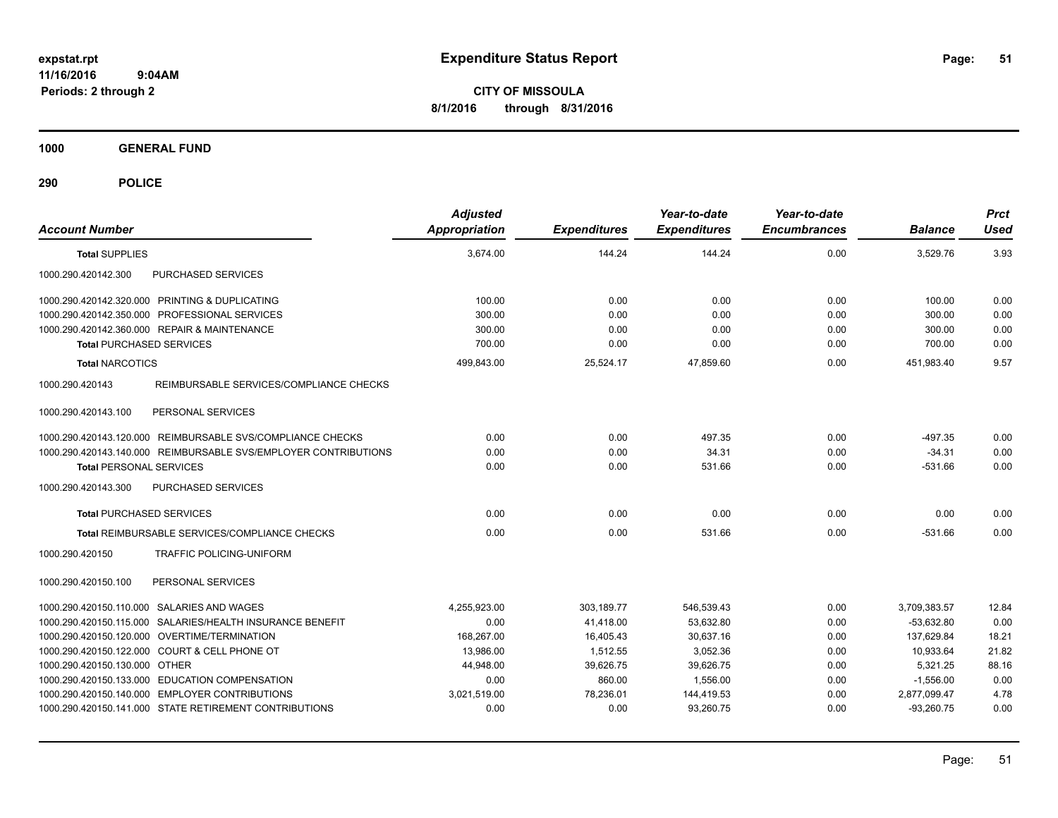**CITY OF MISSOULA 8/1/2016 through 8/31/2016**

**1000 GENERAL FUND**

| <b>Account Number</b>                                           | <b>Adjusted</b><br><b>Appropriation</b> | <b>Expenditures</b> | Year-to-date<br><b>Expenditures</b> | Year-to-date<br><b>Encumbrances</b> | <b>Balance</b> | <b>Prct</b><br><b>Used</b> |
|-----------------------------------------------------------------|-----------------------------------------|---------------------|-------------------------------------|-------------------------------------|----------------|----------------------------|
| <b>Total SUPPLIES</b>                                           | 3.674.00                                | 144.24              | 144.24                              | 0.00                                | 3.529.76       | 3.93                       |
| 1000.290.420142.300<br>PURCHASED SERVICES                       |                                         |                     |                                     |                                     |                |                            |
| 1000.290.420142.320.000 PRINTING & DUPLICATING                  | 100.00                                  | 0.00                | 0.00                                | 0.00                                | 100.00         | 0.00                       |
| 1000.290.420142.350.000 PROFESSIONAL SERVICES                   | 300.00                                  | 0.00                | 0.00                                | 0.00                                | 300.00         | 0.00                       |
| 1000.290.420142.360.000 REPAIR & MAINTENANCE                    | 300.00                                  | 0.00                | 0.00                                | 0.00                                | 300.00         | 0.00                       |
| <b>Total PURCHASED SERVICES</b>                                 | 700.00                                  | 0.00                | 0.00                                | 0.00                                | 700.00         | 0.00                       |
| <b>Total NARCOTICS</b>                                          | 499,843.00                              | 25,524.17           | 47,859.60                           | 0.00                                | 451.983.40     | 9.57                       |
| 1000.290.420143<br>REIMBURSABLE SERVICES/COMPLIANCE CHECKS      |                                         |                     |                                     |                                     |                |                            |
| PERSONAL SERVICES<br>1000.290.420143.100                        |                                         |                     |                                     |                                     |                |                            |
| 1000.290.420143.120.000 REIMBURSABLE SVS/COMPLIANCE CHECKS      | 0.00                                    | 0.00                | 497.35                              | 0.00                                | $-497.35$      | 0.00                       |
| 1000.290.420143.140.000 REIMBURSABLE SVS/EMPLOYER CONTRIBUTIONS | 0.00                                    | 0.00                | 34.31                               | 0.00                                | $-34.31$       | 0.00                       |
| <b>Total PERSONAL SERVICES</b>                                  | 0.00                                    | 0.00                | 531.66                              | 0.00                                | $-531.66$      | 0.00                       |
| PURCHASED SERVICES<br>1000.290.420143.300                       |                                         |                     |                                     |                                     |                |                            |
| <b>Total PURCHASED SERVICES</b>                                 | 0.00                                    | 0.00                | 0.00                                | 0.00                                | 0.00           | 0.00                       |
| Total REIMBURSABLE SERVICES/COMPLIANCE CHECKS                   | 0.00                                    | 0.00                | 531.66                              | 0.00                                | $-531.66$      | 0.00                       |
| 1000.290.420150<br><b>TRAFFIC POLICING-UNIFORM</b>              |                                         |                     |                                     |                                     |                |                            |
| PERSONAL SERVICES<br>1000.290.420150.100                        |                                         |                     |                                     |                                     |                |                            |
| 1000.290.420150.110.000 SALARIES AND WAGES                      | 4,255,923.00                            | 303,189.77          | 546,539.43                          | 0.00                                | 3,709,383.57   | 12.84                      |
| 1000.290.420150.115.000 SALARIES/HEALTH INSURANCE BENEFIT       | 0.00                                    | 41,418.00           | 53,632.80                           | 0.00                                | $-53.632.80$   | 0.00                       |
| 1000.290.420150.120.000 OVERTIME/TERMINATION                    | 168,267.00                              | 16,405.43           | 30,637.16                           | 0.00                                | 137,629.84     | 18.21                      |
| 1000.290.420150.122.000 COURT & CELL PHONE OT                   | 13,986.00                               | 1,512.55            | 3,052.36                            | 0.00                                | 10,933.64      | 21.82                      |
| 1000.290.420150.130.000 OTHER                                   | 44.948.00                               | 39,626.75           | 39,626.75                           | 0.00                                | 5.321.25       | 88.16                      |
| 1000.290.420150.133.000 EDUCATION COMPENSATION                  | 0.00                                    | 860.00              | 1,556.00                            | 0.00                                | $-1,556.00$    | 0.00                       |
| 1000.290.420150.140.000 EMPLOYER CONTRIBUTIONS                  | 3,021,519.00                            | 78,236.01           | 144,419.53                          | 0.00                                | 2,877,099.47   | 4.78                       |
| 1000.290.420150.141.000 STATE RETIREMENT CONTRIBUTIONS          | 0.00                                    | 0.00                | 93.260.75                           | 0.00                                | $-93.260.75$   | 0.00                       |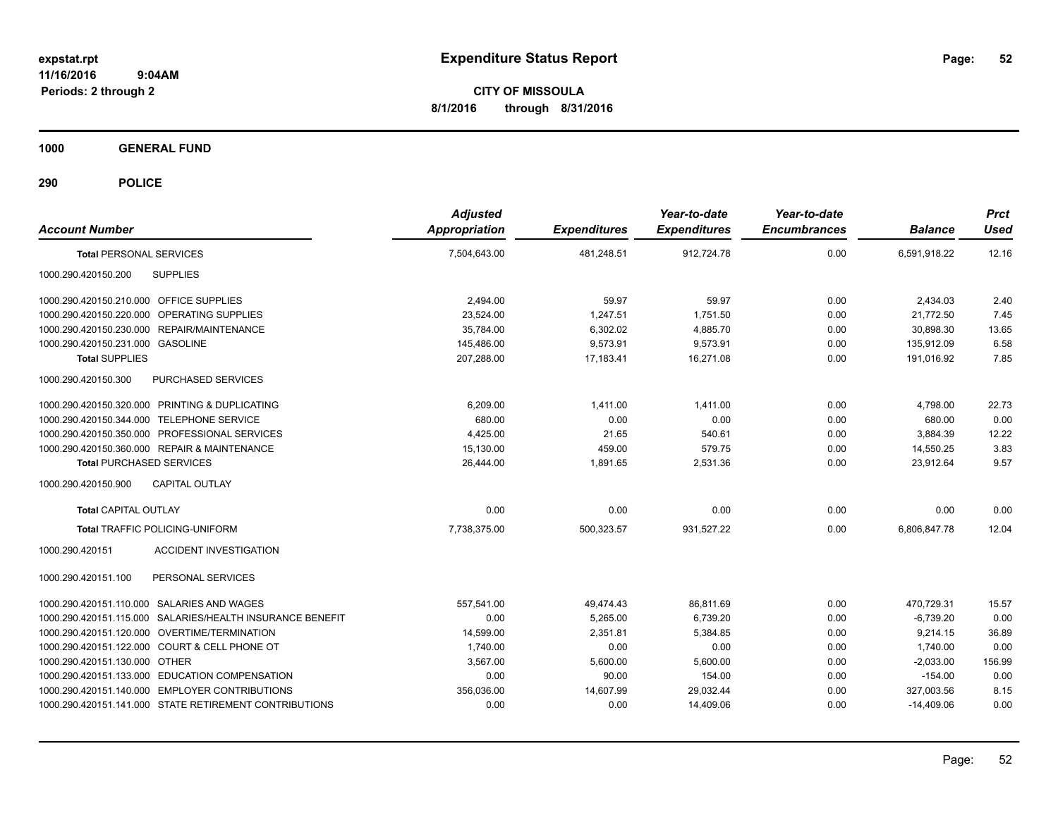**CITY OF MISSOULA 8/1/2016 through 8/31/2016**

**1000 GENERAL FUND**

| <b>Account Number</b>                                     | <b>Adjusted</b><br><b>Appropriation</b> | <b>Expenditures</b> | Year-to-date<br><b>Expenditures</b> | Year-to-date<br><b>Encumbrances</b> | <b>Balance</b> | <b>Prct</b><br><b>Used</b> |
|-----------------------------------------------------------|-----------------------------------------|---------------------|-------------------------------------|-------------------------------------|----------------|----------------------------|
| <b>Total PERSONAL SERVICES</b>                            | 7,504,643.00                            | 481,248.51          | 912,724.78                          | 0.00                                | 6,591,918.22   | 12.16                      |
| 1000.290.420150.200<br><b>SUPPLIES</b>                    |                                         |                     |                                     |                                     |                |                            |
| 1000.290.420150.210.000 OFFICE SUPPLIES                   | 2,494.00                                | 59.97               | 59.97                               | 0.00                                | 2,434.03       | 2.40                       |
| 1000.290.420150.220.000 OPERATING SUPPLIES                | 23,524.00                               | 1,247.51            | 1,751.50                            | 0.00                                | 21,772.50      | 7.45                       |
| 1000.290.420150.230.000 REPAIR/MAINTENANCE                | 35,784.00                               | 6,302.02            | 4,885.70                            | 0.00                                | 30,898.30      | 13.65                      |
| 1000.290.420150.231.000 GASOLINE                          | 145,486.00                              | 9,573.91            | 9.573.91                            | 0.00                                | 135,912.09     | 6.58                       |
| <b>Total SUPPLIES</b>                                     | 207,288.00                              | 17.183.41           | 16,271.08                           | 0.00                                | 191.016.92     | 7.85                       |
| 1000.290.420150.300<br>PURCHASED SERVICES                 |                                         |                     |                                     |                                     |                |                            |
| 1000.290.420150.320.000 PRINTING & DUPLICATING            | 6,209.00                                | 1,411.00            | 1,411.00                            | 0.00                                | 4,798.00       | 22.73                      |
| 1000.290.420150.344.000 TELEPHONE SERVICE                 | 680.00                                  | 0.00                | 0.00                                | 0.00                                | 680.00         | 0.00                       |
| 1000.290.420150.350.000 PROFESSIONAL SERVICES             | 4.425.00                                | 21.65               | 540.61                              | 0.00                                | 3.884.39       | 12.22                      |
| 1000.290.420150.360.000 REPAIR & MAINTENANCE              | 15,130.00                               | 459.00              | 579.75                              | 0.00                                | 14.550.25      | 3.83                       |
| <b>Total PURCHASED SERVICES</b>                           | 26.444.00                               | 1.891.65            | 2,531.36                            | 0.00                                | 23.912.64      | 9.57                       |
| CAPITAL OUTLAY<br>1000.290.420150.900                     |                                         |                     |                                     |                                     |                |                            |
| <b>Total CAPITAL OUTLAY</b>                               | 0.00                                    | 0.00                | 0.00                                | 0.00                                | 0.00           | 0.00                       |
| <b>Total TRAFFIC POLICING-UNIFORM</b>                     | 7,738,375.00                            | 500,323.57          | 931,527.22                          | 0.00                                | 6.806.847.78   | 12.04                      |
| <b>ACCIDENT INVESTIGATION</b><br>1000.290.420151          |                                         |                     |                                     |                                     |                |                            |
| 1000.290.420151.100<br>PERSONAL SERVICES                  |                                         |                     |                                     |                                     |                |                            |
| 1000.290.420151.110.000 SALARIES AND WAGES                | 557.541.00                              | 49,474.43           | 86.811.69                           | 0.00                                | 470,729.31     | 15.57                      |
| 1000.290.420151.115.000 SALARIES/HEALTH INSURANCE BENEFIT | 0.00                                    | 5.265.00            | 6.739.20                            | 0.00                                | $-6.739.20$    | 0.00                       |
| 1000.290.420151.120.000 OVERTIME/TERMINATION              | 14,599.00                               | 2,351.81            | 5,384.85                            | 0.00                                | 9,214.15       | 36.89                      |
| 1000.290.420151.122.000 COURT & CELL PHONE OT             | 1,740.00                                | 0.00                | 0.00                                | 0.00                                | 1,740.00       | 0.00                       |
| 1000.290.420151.130.000 OTHER                             | 3,567.00                                | 5,600.00            | 5,600.00                            | 0.00                                | $-2,033.00$    | 156.99                     |
| 1000.290.420151.133.000 EDUCATION COMPENSATION            | 0.00                                    | 90.00               | 154.00                              | 0.00                                | $-154.00$      | 0.00                       |
| 1000.290.420151.140.000 EMPLOYER CONTRIBUTIONS            | 356,036.00                              | 14,607.99           | 29,032.44                           | 0.00                                | 327,003.56     | 8.15                       |
| 1000.290.420151.141.000 STATE RETIREMENT CONTRIBUTIONS    | 0.00                                    | 0.00                | 14,409.06                           | 0.00                                | $-14,409.06$   | 0.00                       |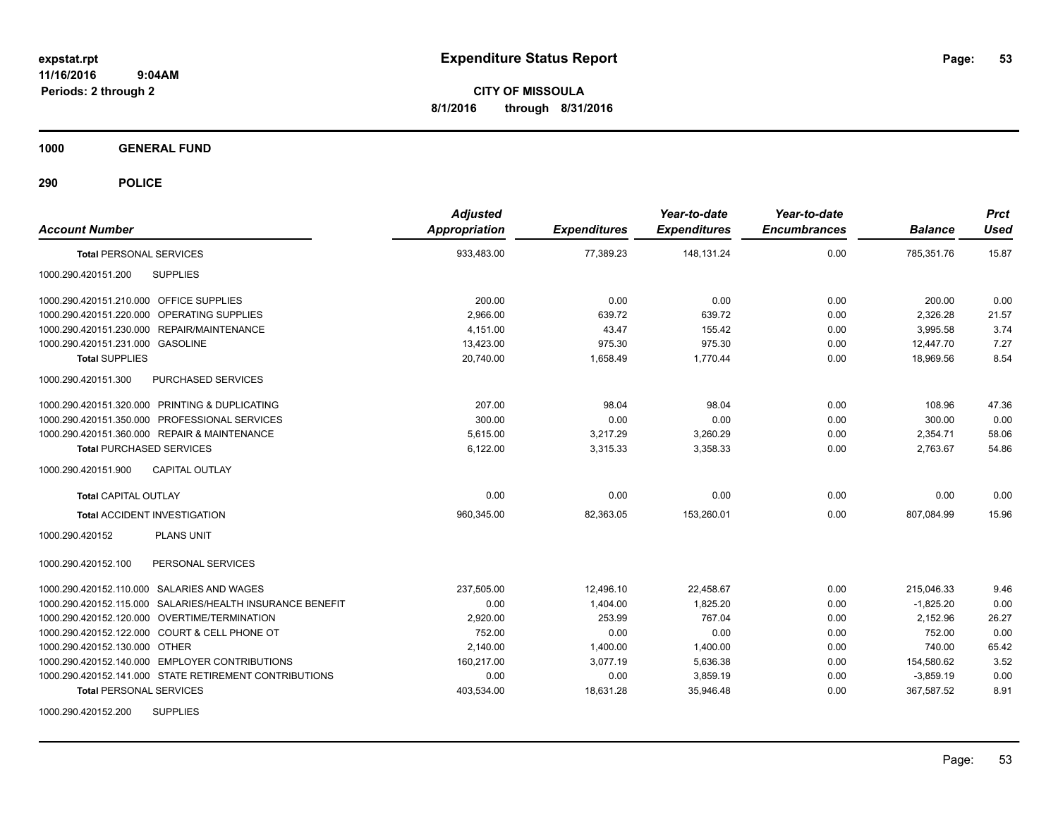**CITY OF MISSOULA 8/1/2016 through 8/31/2016**

**1000 GENERAL FUND**

| <b>Account Number</b>                                     | <b>Adjusted</b><br><b>Appropriation</b> | <b>Expenditures</b> | Year-to-date<br><b>Expenditures</b> | Year-to-date<br><b>Encumbrances</b> | <b>Balance</b> | <b>Prct</b><br><b>Used</b> |
|-----------------------------------------------------------|-----------------------------------------|---------------------|-------------------------------------|-------------------------------------|----------------|----------------------------|
| <b>Total PERSONAL SERVICES</b>                            | 933,483.00                              | 77,389.23           | 148,131.24                          | 0.00                                | 785,351.76     | 15.87                      |
| 1000.290.420151.200<br><b>SUPPLIES</b>                    |                                         |                     |                                     |                                     |                |                            |
| 1000.290.420151.210.000 OFFICE SUPPLIES                   | 200.00                                  | 0.00                | 0.00                                | 0.00                                | 200.00         | 0.00                       |
| 1000.290.420151.220.000 OPERATING SUPPLIES                | 2,966.00                                | 639.72              | 639.72                              | 0.00                                | 2,326.28       | 21.57                      |
| 1000.290.420151.230.000 REPAIR/MAINTENANCE                | 4.151.00                                | 43.47               | 155.42                              | 0.00                                | 3,995.58       | 3.74                       |
| 1000.290.420151.231.000 GASOLINE                          | 13,423.00                               | 975.30              | 975.30                              | 0.00                                | 12.447.70      | 7.27                       |
| <b>Total SUPPLIES</b>                                     | 20.740.00                               | 1.658.49            | 1.770.44                            | 0.00                                | 18.969.56      | 8.54                       |
| 1000.290.420151.300<br>PURCHASED SERVICES                 |                                         |                     |                                     |                                     |                |                            |
| 1000.290.420151.320.000 PRINTING & DUPLICATING            | 207.00                                  | 98.04               | 98.04                               | 0.00                                | 108.96         | 47.36                      |
| 1000.290.420151.350.000 PROFESSIONAL SERVICES             | 300.00                                  | 0.00                | 0.00                                | 0.00                                | 300.00         | 0.00                       |
| 1000.290.420151.360.000 REPAIR & MAINTENANCE              | 5.615.00                                | 3,217.29            | 3,260.29                            | 0.00                                | 2,354.71       | 58.06                      |
| <b>Total PURCHASED SERVICES</b>                           | 6,122.00                                | 3,315.33            | 3,358.33                            | 0.00                                | 2.763.67       | 54.86                      |
| 1000.290.420151.900<br><b>CAPITAL OUTLAY</b>              |                                         |                     |                                     |                                     |                |                            |
| <b>Total CAPITAL OUTLAY</b>                               | 0.00                                    | 0.00                | 0.00                                | 0.00                                | 0.00           | 0.00                       |
| <b>Total ACCIDENT INVESTIGATION</b>                       | 960,345.00                              | 82,363.05           | 153,260.01                          | 0.00                                | 807,084.99     | 15.96                      |
| <b>PLANS UNIT</b><br>1000.290.420152                      |                                         |                     |                                     |                                     |                |                            |
| PERSONAL SERVICES<br>1000.290.420152.100                  |                                         |                     |                                     |                                     |                |                            |
| 1000.290.420152.110.000 SALARIES AND WAGES                | 237,505.00                              | 12,496.10           | 22,458.67                           | 0.00                                | 215,046.33     | 9.46                       |
| 1000.290.420152.115.000 SALARIES/HEALTH INSURANCE BENEFIT | 0.00                                    | 1,404.00            | 1,825.20                            | 0.00                                | $-1,825.20$    | 0.00                       |
| 1000.290.420152.120.000 OVERTIME/TERMINATION              | 2,920.00                                | 253.99              | 767.04                              | 0.00                                | 2,152.96       | 26.27                      |
| 1000.290.420152.122.000 COURT & CELL PHONE OT             | 752.00                                  | 0.00                | 0.00                                | 0.00                                | 752.00         | 0.00                       |
| 1000.290.420152.130.000 OTHER                             | 2,140.00                                | 1,400.00            | 1,400.00                            | 0.00                                | 740.00         | 65.42                      |
| 1000.290.420152.140.000 EMPLOYER CONTRIBUTIONS            | 160,217.00                              | 3,077.19            | 5,636.38                            | 0.00                                | 154,580.62     | 3.52                       |
| 1000.290.420152.141.000 STATE RETIREMENT CONTRIBUTIONS    | 0.00                                    | 0.00                | 3,859.19                            | 0.00                                | $-3,859.19$    | 0.00                       |
| <b>Total PERSONAL SERVICES</b>                            | 403,534.00                              | 18,631.28           | 35,946.48                           | 0.00                                | 367,587.52     | 8.91                       |
| <b>SUPPLIES</b><br>1000.290.420152.200                    |                                         |                     |                                     |                                     |                |                            |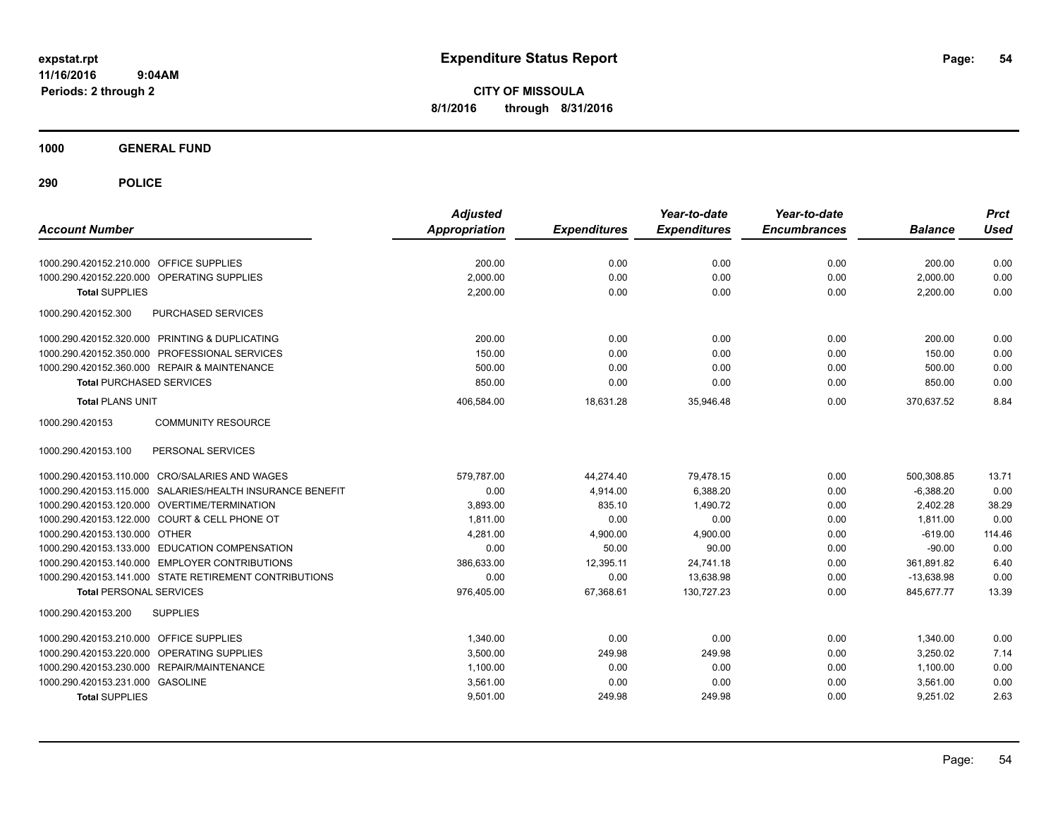**CITY OF MISSOULA 8/1/2016 through 8/31/2016**

**1000 GENERAL FUND**

| <b>Account Number</b>                                     | <b>Adjusted</b><br><b>Appropriation</b> | <b>Expenditures</b> | Year-to-date<br><b>Expenditures</b> | Year-to-date<br><b>Encumbrances</b> | <b>Balance</b> | <b>Prct</b><br><b>Used</b> |
|-----------------------------------------------------------|-----------------------------------------|---------------------|-------------------------------------|-------------------------------------|----------------|----------------------------|
| 1000.290.420152.210.000 OFFICE SUPPLIES                   | 200.00                                  | 0.00                | 0.00                                | 0.00                                | 200.00         | 0.00                       |
| OPERATING SUPPLIES<br>1000.290.420152.220.000             | 2,000.00                                | 0.00                | 0.00                                | 0.00                                | 2,000.00       | 0.00                       |
| <b>Total SUPPLIES</b>                                     | 2,200.00                                | 0.00                | 0.00                                | 0.00                                | 2,200.00       | 0.00                       |
| 1000.290.420152.300<br>PURCHASED SERVICES                 |                                         |                     |                                     |                                     |                |                            |
| 1000.290.420152.320.000 PRINTING & DUPLICATING            | 200.00                                  | 0.00                | 0.00                                | 0.00                                | 200.00         | 0.00                       |
| 1000.290.420152.350.000 PROFESSIONAL SERVICES             | 150.00                                  | 0.00                | 0.00                                | 0.00                                | 150.00         | 0.00                       |
| 1000.290.420152.360.000 REPAIR & MAINTENANCE              | 500.00                                  | 0.00                | 0.00                                | 0.00                                | 500.00         | 0.00                       |
| <b>Total PURCHASED SERVICES</b>                           | 850.00                                  | 0.00                | 0.00                                | 0.00                                | 850.00         | 0.00                       |
| <b>Total PLANS UNIT</b>                                   | 406,584.00                              | 18,631.28           | 35,946.48                           | 0.00                                | 370,637.52     | 8.84                       |
| 1000.290.420153<br><b>COMMUNITY RESOURCE</b>              |                                         |                     |                                     |                                     |                |                            |
| PERSONAL SERVICES<br>1000.290.420153.100                  |                                         |                     |                                     |                                     |                |                            |
| 1000.290.420153.110.000 CRO/SALARIES AND WAGES            | 579,787.00                              | 44,274.40           | 79,478.15                           | 0.00                                | 500,308.85     | 13.71                      |
| 1000.290.420153.115.000 SALARIES/HEALTH INSURANCE BENEFIT | 0.00                                    | 4.914.00            | 6.388.20                            | 0.00                                | $-6,388.20$    | 0.00                       |
| 1000.290.420153.120.000 OVERTIME/TERMINATION              | 3,893.00                                | 835.10              | 1,490.72                            | 0.00                                | 2,402.28       | 38.29                      |
| 1000.290.420153.122.000 COURT & CELL PHONE OT             | 1,811.00                                | 0.00                | 0.00                                | 0.00                                | 1,811.00       | 0.00                       |
| 1000.290.420153.130.000 OTHER                             | 4,281.00                                | 4,900.00            | 4,900.00                            | 0.00                                | $-619.00$      | 114.46                     |
| 1000.290.420153.133.000 EDUCATION COMPENSATION            | 0.00                                    | 50.00               | 90.00                               | 0.00                                | $-90.00$       | 0.00                       |
| 1000.290.420153.140.000 EMPLOYER CONTRIBUTIONS            | 386.633.00                              | 12.395.11           | 24.741.18                           | 0.00                                | 361.891.82     | 6.40                       |
| 1000.290.420153.141.000 STATE RETIREMENT CONTRIBUTIONS    | 0.00                                    | 0.00                | 13.638.98                           | 0.00                                | $-13,638.98$   | 0.00                       |
| <b>Total PERSONAL SERVICES</b>                            | 976,405.00                              | 67,368.61           | 130.727.23                          | 0.00                                | 845.677.77     | 13.39                      |
| 1000.290.420153.200<br><b>SUPPLIES</b>                    |                                         |                     |                                     |                                     |                |                            |
| <b>OFFICE SUPPLIES</b><br>1000.290.420153.210.000         | 1.340.00                                | 0.00                | 0.00                                | 0.00                                | 1,340.00       | 0.00                       |
| 1000.290.420153.220.000 OPERATING SUPPLIES                | 3,500.00                                | 249.98              | 249.98                              | 0.00                                | 3,250.02       | 7.14                       |
| 1000.290.420153.230.000 REPAIR/MAINTENANCE                | 1,100.00                                | 0.00                | 0.00                                | 0.00                                | 1,100.00       | 0.00                       |
| 1000.290.420153.231.000 GASOLINE                          | 3,561.00                                | 0.00                | 0.00                                | 0.00                                | 3,561.00       | 0.00                       |
| <b>Total SUPPLIES</b>                                     | 9,501.00                                | 249.98              | 249.98                              | 0.00                                | 9,251.02       | 2.63                       |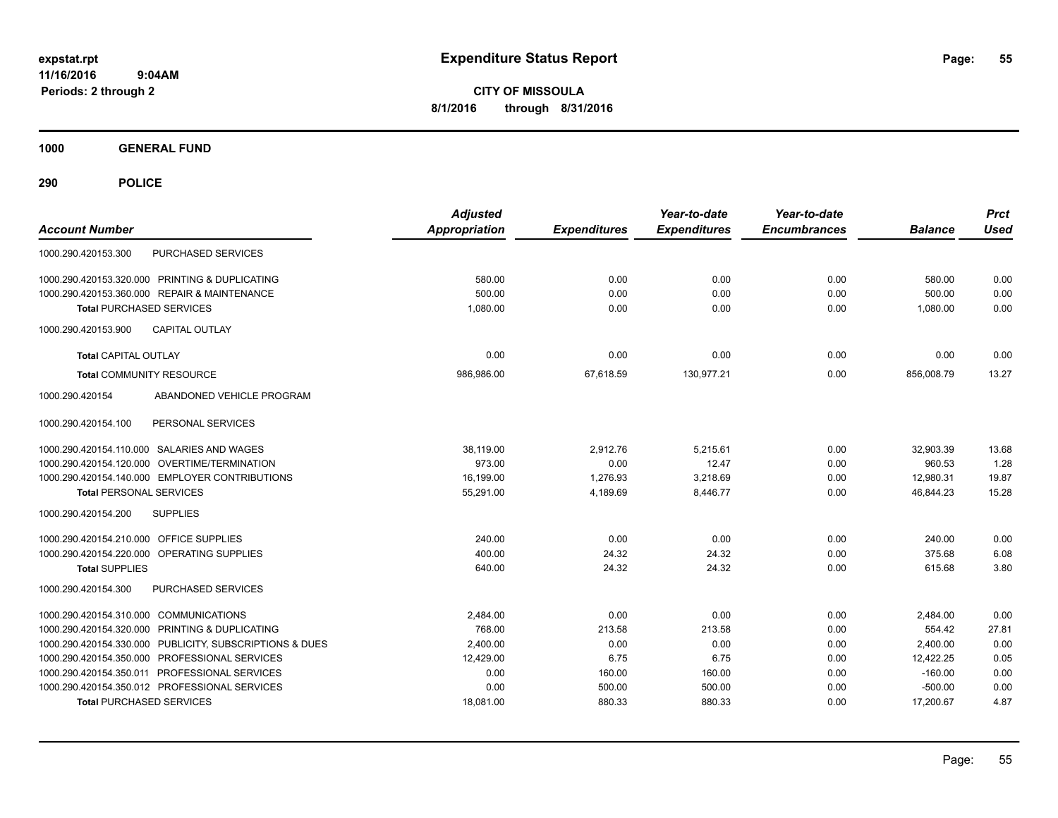**CITY OF MISSOULA 8/1/2016 through 8/31/2016**

**1000 GENERAL FUND**

| <b>Account Number</b>                                   | <b>Adjusted</b><br><b>Appropriation</b> | <b>Expenditures</b> | Year-to-date<br><b>Expenditures</b> | Year-to-date<br><b>Encumbrances</b> | <b>Balance</b> | <b>Prct</b><br><b>Used</b> |
|---------------------------------------------------------|-----------------------------------------|---------------------|-------------------------------------|-------------------------------------|----------------|----------------------------|
| <b>PURCHASED SERVICES</b><br>1000.290.420153.300        |                                         |                     |                                     |                                     |                |                            |
| 1000.290.420153.320.000 PRINTING & DUPLICATING          | 580.00                                  | 0.00                | 0.00                                | 0.00                                | 580.00         | 0.00                       |
| 1000.290.420153.360.000 REPAIR & MAINTENANCE            | 500.00                                  | 0.00                | 0.00                                | 0.00                                | 500.00         | 0.00                       |
| <b>Total PURCHASED SERVICES</b>                         | 1,080.00                                | 0.00                | 0.00                                | 0.00                                | 1,080.00       | 0.00                       |
| 1000.290.420153.900<br><b>CAPITAL OUTLAY</b>            |                                         |                     |                                     |                                     |                |                            |
| <b>Total CAPITAL OUTLAY</b>                             | 0.00                                    | 0.00                | 0.00                                | 0.00                                | 0.00           | 0.00                       |
| <b>Total COMMUNITY RESOURCE</b>                         | 986,986.00                              | 67,618.59           | 130,977.21                          | 0.00                                | 856,008.79     | 13.27                      |
| 1000.290.420154<br>ABANDONED VEHICLE PROGRAM            |                                         |                     |                                     |                                     |                |                            |
| PERSONAL SERVICES<br>1000.290.420154.100                |                                         |                     |                                     |                                     |                |                            |
| 1000.290.420154.110.000 SALARIES AND WAGES              | 38,119.00                               | 2,912.76            | 5,215.61                            | 0.00                                | 32,903.39      | 13.68                      |
| OVERTIME/TERMINATION<br>1000.290.420154.120.000         | 973.00                                  | 0.00                | 12.47                               | 0.00                                | 960.53         | 1.28                       |
| 1000.290.420154.140.000 EMPLOYER CONTRIBUTIONS          | 16,199.00                               | 1,276.93            | 3,218.69                            | 0.00                                | 12,980.31      | 19.87                      |
| <b>Total PERSONAL SERVICES</b>                          | 55,291.00                               | 4,189.69            | 8,446.77                            | 0.00                                | 46,844.23      | 15.28                      |
| 1000.290.420154.200<br><b>SUPPLIES</b>                  |                                         |                     |                                     |                                     |                |                            |
| 1000.290.420154.210.000 OFFICE SUPPLIES                 | 240.00                                  | 0.00                | 0.00                                | 0.00                                | 240.00         | 0.00                       |
| 1000.290.420154.220.000 OPERATING SUPPLIES              | 400.00                                  | 24.32               | 24.32                               | 0.00                                | 375.68         | 6.08                       |
| <b>Total SUPPLIES</b>                                   | 640.00                                  | 24.32               | 24.32                               | 0.00                                | 615.68         | 3.80                       |
| 1000.290.420154.300<br>PURCHASED SERVICES               |                                         |                     |                                     |                                     |                |                            |
| 1000.290.420154.310.000 COMMUNICATIONS                  | 2,484.00                                | 0.00                | 0.00                                | 0.00                                | 2,484.00       | 0.00                       |
| 1000.290.420154.320.000 PRINTING & DUPLICATING          | 768.00                                  | 213.58              | 213.58                              | 0.00                                | 554.42         | 27.81                      |
| 1000.290.420154.330.000 PUBLICITY, SUBSCRIPTIONS & DUES | 2,400.00                                | 0.00                | 0.00                                | 0.00                                | 2,400.00       | 0.00                       |
| 1000.290.420154.350.000 PROFESSIONAL SERVICES           | 12,429.00                               | 6.75                | 6.75                                | 0.00                                | 12,422.25      | 0.05                       |
| 1000.290.420154.350.011 PROFESSIONAL SERVICES           | 0.00                                    | 160.00              | 160.00                              | 0.00                                | $-160.00$      | 0.00                       |
| 1000.290.420154.350.012 PROFESSIONAL SERVICES           | 0.00                                    | 500.00              | 500.00                              | 0.00                                | $-500.00$      | 0.00                       |
| <b>Total PURCHASED SERVICES</b>                         | 18,081.00                               | 880.33              | 880.33                              | 0.00                                | 17,200.67      | 4.87                       |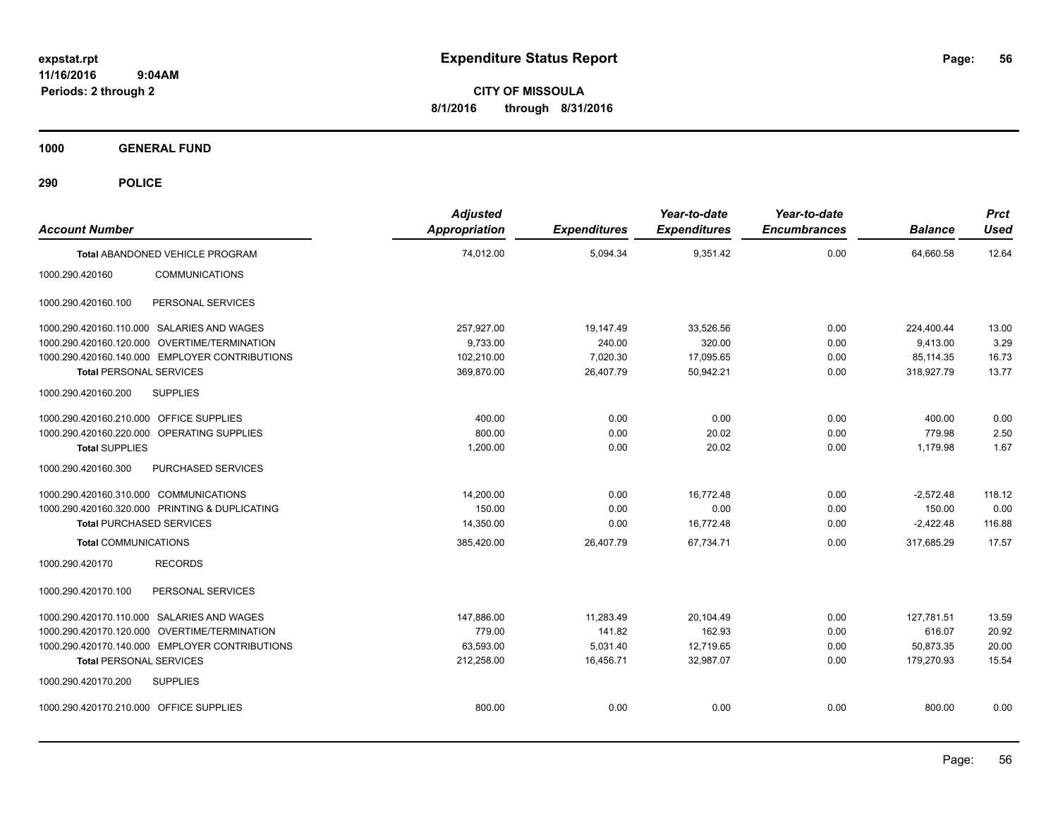**CITY OF MISSOULA 8/1/2016 through 8/31/2016**

**1000 GENERAL FUND**

| <b>Account Number</b>                          | <b>Adjusted</b><br><b>Appropriation</b> | <b>Expenditures</b> | Year-to-date<br><b>Expenditures</b> | Year-to-date<br><b>Encumbrances</b> | <b>Balance</b> | <b>Prct</b><br><b>Used</b> |
|------------------------------------------------|-----------------------------------------|---------------------|-------------------------------------|-------------------------------------|----------------|----------------------------|
| Total ABANDONED VEHICLE PROGRAM                | 74.012.00                               | 5,094.34            | 9.351.42                            | 0.00                                | 64,660.58      | 12.64                      |
| <b>COMMUNICATIONS</b><br>1000.290.420160       |                                         |                     |                                     |                                     |                |                            |
| PERSONAL SERVICES<br>1000.290.420160.100       |                                         |                     |                                     |                                     |                |                            |
| 1000.290.420160.110.000 SALARIES AND WAGES     | 257,927.00                              | 19,147.49           | 33,526.56                           | 0.00                                | 224,400.44     | 13.00                      |
| 1000.290.420160.120.000 OVERTIME/TERMINATION   | 9,733.00                                | 240.00              | 320.00                              | 0.00                                | 9.413.00       | 3.29                       |
| 1000.290.420160.140.000 EMPLOYER CONTRIBUTIONS | 102,210.00                              | 7,020.30            | 17,095.65                           | 0.00                                | 85,114.35      | 16.73                      |
| <b>Total PERSONAL SERVICES</b>                 | 369,870.00                              | 26,407.79           | 50,942.21                           | 0.00                                | 318,927.79     | 13.77                      |
| <b>SUPPLIES</b><br>1000.290.420160.200         |                                         |                     |                                     |                                     |                |                            |
| 1000.290.420160.210.000 OFFICE SUPPLIES        | 400.00                                  | 0.00                | 0.00                                | 0.00                                | 400.00         | 0.00                       |
| 1000.290.420160.220.000 OPERATING SUPPLIES     | 800.00                                  | 0.00                | 20.02                               | 0.00                                | 779.98         | 2.50                       |
| <b>Total SUPPLIES</b>                          | 1,200.00                                | 0.00                | 20.02                               | 0.00                                | 1,179.98       | 1.67                       |
| 1000.290.420160.300<br>PURCHASED SERVICES      |                                         |                     |                                     |                                     |                |                            |
| 1000.290.420160.310.000 COMMUNICATIONS         | 14,200.00                               | 0.00                | 16,772.48                           | 0.00                                | $-2,572.48$    | 118.12                     |
| 1000.290.420160.320.000 PRINTING & DUPLICATING | 150.00                                  | 0.00                | 0.00                                | 0.00                                | 150.00         | 0.00                       |
| <b>Total PURCHASED SERVICES</b>                | 14,350.00                               | 0.00                | 16,772.48                           | 0.00                                | $-2,422.48$    | 116.88                     |
| <b>Total COMMUNICATIONS</b>                    | 385,420.00                              | 26,407.79           | 67,734.71                           | 0.00                                | 317,685.29     | 17.57                      |
| <b>RECORDS</b><br>1000.290.420170              |                                         |                     |                                     |                                     |                |                            |
| PERSONAL SERVICES<br>1000.290.420170.100       |                                         |                     |                                     |                                     |                |                            |
| 1000.290.420170.110.000 SALARIES AND WAGES     | 147,886.00                              | 11,283.49           | 20,104.49                           | 0.00                                | 127,781.51     | 13.59                      |
| 1000.290.420170.120.000 OVERTIME/TERMINATION   | 779.00                                  | 141.82              | 162.93                              | 0.00                                | 616.07         | 20.92                      |
| 1000.290.420170.140.000 EMPLOYER CONTRIBUTIONS | 63,593.00                               | 5,031.40            | 12,719.65                           | 0.00                                | 50,873.35      | 20.00                      |
| <b>Total PERSONAL SERVICES</b>                 | 212,258.00                              | 16,456.71           | 32,987.07                           | 0.00                                | 179,270.93     | 15.54                      |
| 1000.290.420170.200<br><b>SUPPLIES</b>         |                                         |                     |                                     |                                     |                |                            |
| 1000.290.420170.210.000 OFFICE SUPPLIES        | 800.00                                  | 0.00                | 0.00                                | 0.00                                | 800.00         | 0.00                       |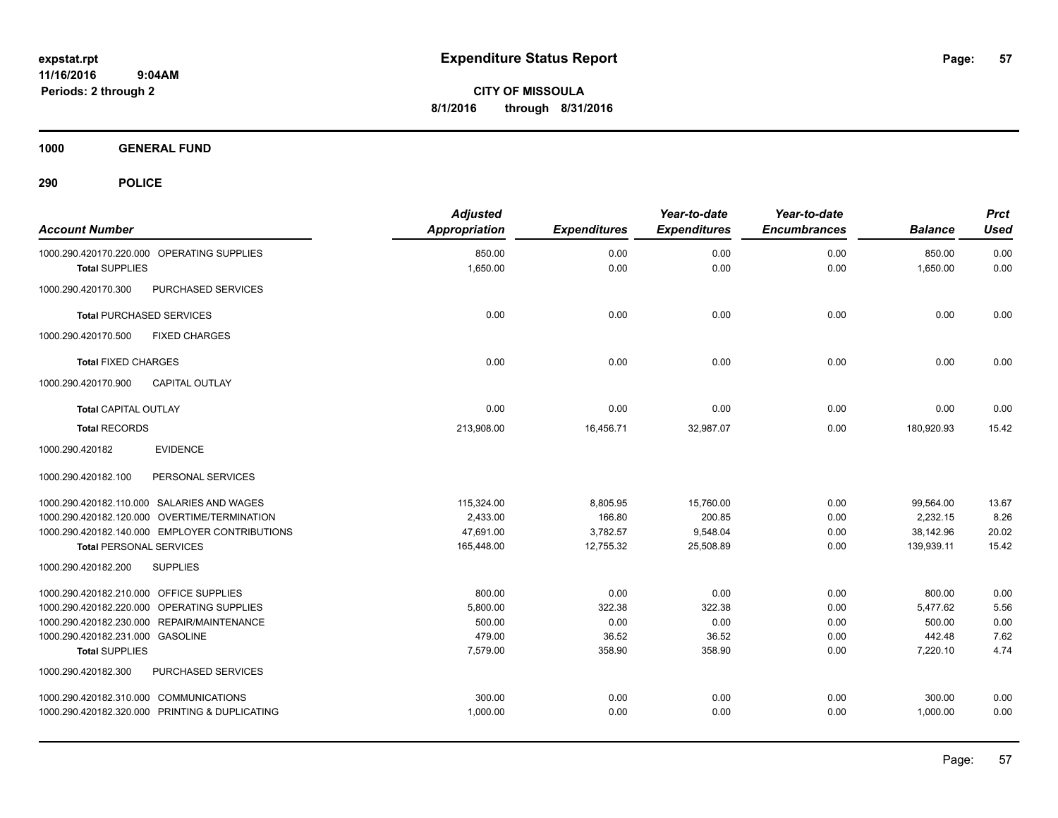**CITY OF MISSOULA 8/1/2016 through 8/31/2016**

**1000 GENERAL FUND**

| <b>Account Number</b>                                               | <b>Adjusted</b><br><b>Appropriation</b> | <b>Expenditures</b> | Year-to-date<br><b>Expenditures</b> | Year-to-date<br><b>Encumbrances</b> | <b>Balance</b>     | <b>Prct</b><br><b>Used</b> |
|---------------------------------------------------------------------|-----------------------------------------|---------------------|-------------------------------------|-------------------------------------|--------------------|----------------------------|
| 1000.290.420170.220.000 OPERATING SUPPLIES<br><b>Total SUPPLIES</b> | 850.00<br>1,650.00                      | 0.00<br>0.00        | 0.00<br>0.00                        | 0.00<br>0.00                        | 850.00<br>1,650.00 | 0.00<br>0.00               |
| 1000.290.420170.300<br>PURCHASED SERVICES                           |                                         |                     |                                     |                                     |                    |                            |
| <b>Total PURCHASED SERVICES</b>                                     | 0.00                                    | 0.00                | 0.00                                | 0.00                                | 0.00               | 0.00                       |
| 1000.290.420170.500<br><b>FIXED CHARGES</b>                         |                                         |                     |                                     |                                     |                    |                            |
| <b>Total FIXED CHARGES</b>                                          | 0.00                                    | 0.00                | 0.00                                | 0.00                                | 0.00               | 0.00                       |
| 1000.290.420170.900<br><b>CAPITAL OUTLAY</b>                        |                                         |                     |                                     |                                     |                    |                            |
| <b>Total CAPITAL OUTLAY</b>                                         | 0.00                                    | 0.00                | 0.00                                | 0.00                                | 0.00               | 0.00                       |
| <b>Total RECORDS</b>                                                | 213,908.00                              | 16,456.71           | 32,987.07                           | 0.00                                | 180,920.93         | 15.42                      |
| 1000.290.420182<br><b>EVIDENCE</b>                                  |                                         |                     |                                     |                                     |                    |                            |
| PERSONAL SERVICES<br>1000.290.420182.100                            |                                         |                     |                                     |                                     |                    |                            |
| 1000.290.420182.110.000 SALARIES AND WAGES                          | 115.324.00                              | 8,805.95            | 15,760.00                           | 0.00                                | 99,564.00          | 13.67                      |
| 1000.290.420182.120.000 OVERTIME/TERMINATION                        | 2,433.00                                | 166.80              | 200.85                              | 0.00                                | 2,232.15           | 8.26                       |
| 1000.290.420182.140.000 EMPLOYER CONTRIBUTIONS                      | 47,691.00                               | 3,782.57            | 9,548.04                            | 0.00                                | 38,142.96          | 20.02                      |
| <b>Total PERSONAL SERVICES</b>                                      | 165,448.00                              | 12,755.32           | 25,508.89                           | 0.00                                | 139,939.11         | 15.42                      |
| 1000.290.420182.200<br><b>SUPPLIES</b>                              |                                         |                     |                                     |                                     |                    |                            |
| 1000.290.420182.210.000 OFFICE SUPPLIES                             | 800.00                                  | 0.00                | 0.00                                | 0.00                                | 800.00             | 0.00                       |
| 1000.290.420182.220.000 OPERATING SUPPLIES                          | 5,800.00                                | 322.38              | 322.38                              | 0.00                                | 5,477.62           | 5.56                       |
| 1000.290.420182.230.000 REPAIR/MAINTENANCE                          | 500.00                                  | 0.00                | 0.00                                | 0.00                                | 500.00             | 0.00                       |
| 1000.290.420182.231.000 GASOLINE                                    | 479.00                                  | 36.52               | 36.52                               | 0.00                                | 442.48             | 7.62                       |
| <b>Total SUPPLIES</b>                                               | 7,579.00                                | 358.90              | 358.90                              | 0.00                                | 7,220.10           | 4.74                       |
| 1000.290.420182.300<br>PURCHASED SERVICES                           |                                         |                     |                                     |                                     |                    |                            |
| 1000.290.420182.310.000 COMMUNICATIONS                              | 300.00                                  | 0.00                | 0.00                                | 0.00                                | 300.00             | 0.00                       |
| 1000.290.420182.320.000 PRINTING & DUPLICATING                      | 1,000.00                                | 0.00                | 0.00                                | 0.00                                | 1,000.00           | 0.00                       |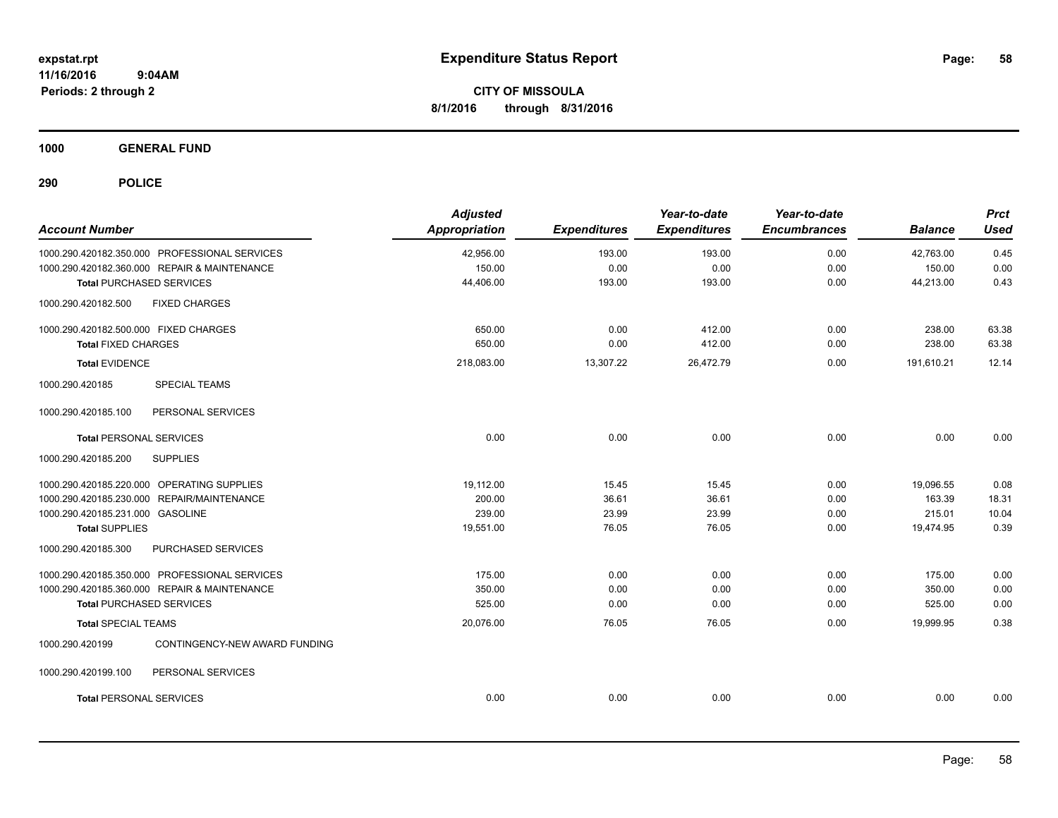**CITY OF MISSOULA 8/1/2016 through 8/31/2016**

**1000 GENERAL FUND**

| <b>Account Number</b>                            | <b>Adjusted</b><br>Appropriation | <b>Expenditures</b> | Year-to-date<br><b>Expenditures</b> | Year-to-date<br><b>Encumbrances</b> | <b>Balance</b> | <b>Prct</b><br><b>Used</b> |
|--------------------------------------------------|----------------------------------|---------------------|-------------------------------------|-------------------------------------|----------------|----------------------------|
| 1000.290.420182.350.000 PROFESSIONAL SERVICES    | 42,956.00                        | 193.00              | 193.00                              | 0.00                                | 42,763.00      | 0.45                       |
| 1000.290.420182.360.000 REPAIR & MAINTENANCE     | 150.00                           | 0.00                | 0.00                                | 0.00                                | 150.00         | 0.00                       |
| <b>Total PURCHASED SERVICES</b>                  | 44,406.00                        | 193.00              | 193.00                              | 0.00                                | 44,213.00      | 0.43                       |
| <b>FIXED CHARGES</b><br>1000.290.420182.500      |                                  |                     |                                     |                                     |                |                            |
| 1000.290.420182.500.000 FIXED CHARGES            | 650.00                           | 0.00                | 412.00                              | 0.00                                | 238.00         | 63.38                      |
| <b>Total FIXED CHARGES</b>                       | 650.00                           | 0.00                | 412.00                              | 0.00                                | 238.00         | 63.38                      |
| <b>Total EVIDENCE</b>                            | 218,083.00                       | 13,307.22           | 26,472.79                           | 0.00                                | 191.610.21     | 12.14                      |
| 1000.290.420185<br><b>SPECIAL TEAMS</b>          |                                  |                     |                                     |                                     |                |                            |
| 1000.290.420185.100<br>PERSONAL SERVICES         |                                  |                     |                                     |                                     |                |                            |
| <b>Total PERSONAL SERVICES</b>                   | 0.00                             | 0.00                | 0.00                                | 0.00                                | 0.00           | 0.00                       |
| 1000.290.420185.200<br><b>SUPPLIES</b>           |                                  |                     |                                     |                                     |                |                            |
| 1000.290.420185.220.000 OPERATING SUPPLIES       | 19,112.00                        | 15.45               | 15.45                               | 0.00                                | 19,096.55      | 0.08                       |
| 1000.290.420185.230.000 REPAIR/MAINTENANCE       | 200.00                           | 36.61               | 36.61                               | 0.00                                | 163.39         | 18.31                      |
| 1000.290.420185.231.000 GASOLINE                 | 239.00                           | 23.99               | 23.99                               | 0.00                                | 215.01         | 10.04                      |
| <b>Total SUPPLIES</b>                            | 19,551.00                        | 76.05               | 76.05                               | 0.00                                | 19,474.95      | 0.39                       |
| PURCHASED SERVICES<br>1000.290.420185.300        |                                  |                     |                                     |                                     |                |                            |
| 1000.290.420185.350.000 PROFESSIONAL SERVICES    | 175.00                           | 0.00                | 0.00                                | 0.00                                | 175.00         | 0.00                       |
| 1000.290.420185.360.000 REPAIR & MAINTENANCE     | 350.00                           | 0.00                | 0.00                                | 0.00                                | 350.00         | 0.00                       |
| <b>Total PURCHASED SERVICES</b>                  | 525.00                           | 0.00                | 0.00                                | 0.00                                | 525.00         | 0.00                       |
| <b>Total SPECIAL TEAMS</b>                       | 20,076.00                        | 76.05               | 76.05                               | 0.00                                | 19,999.95      | 0.38                       |
| 1000.290.420199<br>CONTINGENCY-NEW AWARD FUNDING |                                  |                     |                                     |                                     |                |                            |
| PERSONAL SERVICES<br>1000.290.420199.100         |                                  |                     |                                     |                                     |                |                            |
| <b>Total PERSONAL SERVICES</b>                   | 0.00                             | 0.00                | 0.00                                | 0.00                                | 0.00           | 0.00                       |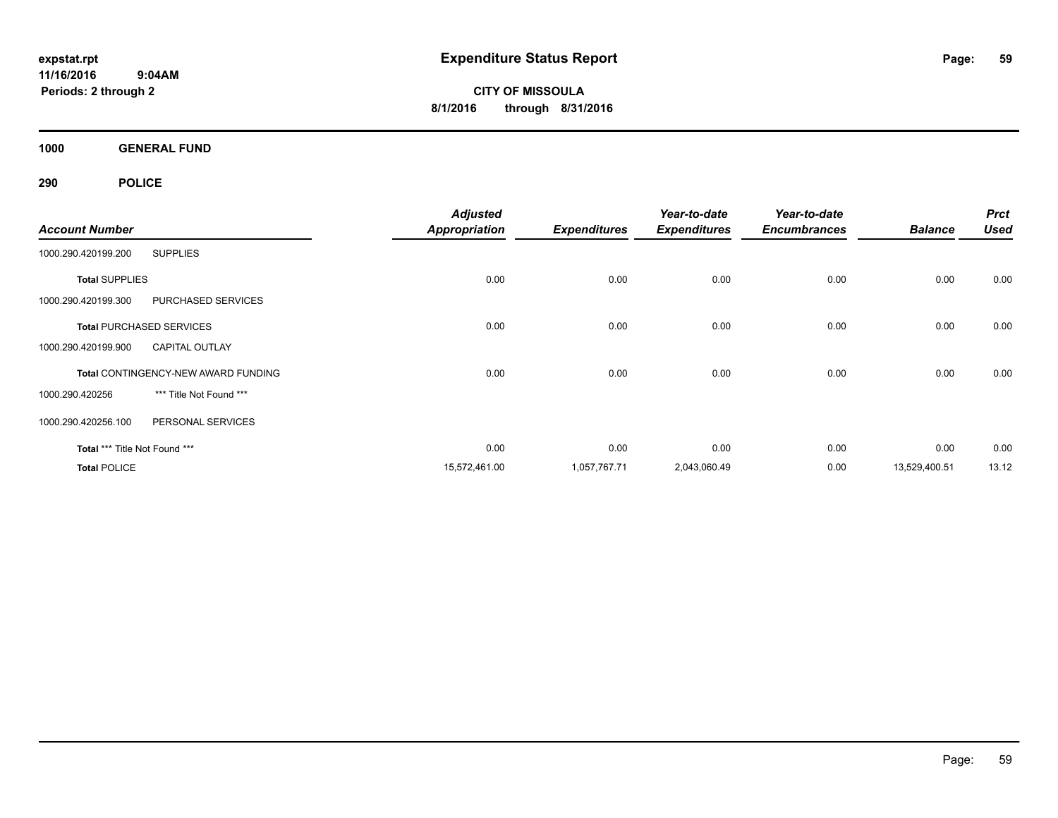**CITY OF MISSOULA 8/1/2016 through 8/31/2016**

**1000 GENERAL FUND**

|                               |                                            | <b>Adjusted</b>      |                     | Year-to-date        | Year-to-date        |                | <b>Prct</b> |
|-------------------------------|--------------------------------------------|----------------------|---------------------|---------------------|---------------------|----------------|-------------|
| <b>Account Number</b>         |                                            | <b>Appropriation</b> | <b>Expenditures</b> | <b>Expenditures</b> | <b>Encumbrances</b> | <b>Balance</b> | <b>Used</b> |
| 1000.290.420199.200           | <b>SUPPLIES</b>                            |                      |                     |                     |                     |                |             |
| <b>Total SUPPLIES</b>         |                                            | 0.00                 | 0.00                | 0.00                | 0.00                | 0.00           | 0.00        |
| 1000.290.420199.300           | <b>PURCHASED SERVICES</b>                  |                      |                     |                     |                     |                |             |
|                               | <b>Total PURCHASED SERVICES</b>            | 0.00                 | 0.00                | 0.00                | 0.00                | 0.00           | 0.00        |
| 1000.290.420199.900           | <b>CAPITAL OUTLAY</b>                      |                      |                     |                     |                     |                |             |
|                               | <b>Total CONTINGENCY-NEW AWARD FUNDING</b> | 0.00                 | 0.00                | 0.00                | 0.00                | 0.00           | 0.00        |
| 1000.290.420256               | *** Title Not Found ***                    |                      |                     |                     |                     |                |             |
| 1000.290.420256.100           | PERSONAL SERVICES                          |                      |                     |                     |                     |                |             |
| Total *** Title Not Found *** |                                            | 0.00                 | 0.00                | 0.00                | 0.00                | 0.00           | 0.00        |
| <b>Total POLICE</b>           |                                            | 15,572,461.00        | 1,057,767.71        | 2,043,060.49        | 0.00                | 13,529,400.51  | 13.12       |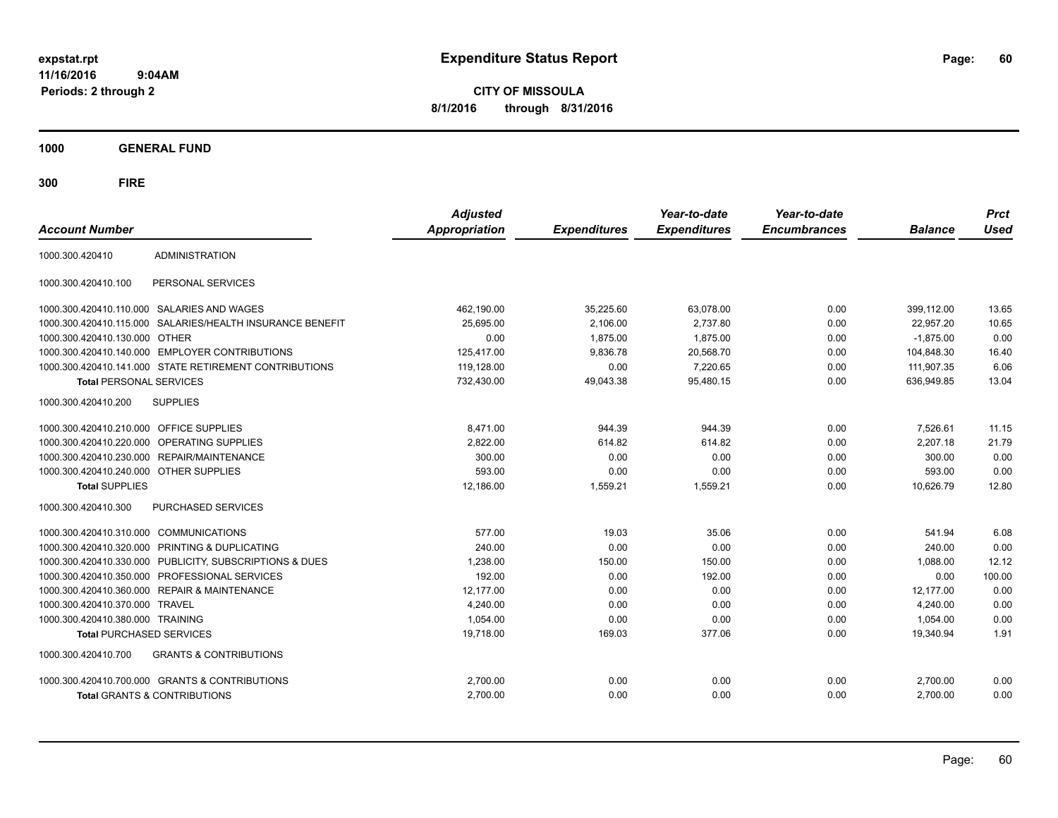**CITY OF MISSOULA 8/1/2016 through 8/31/2016**

**1000 GENERAL FUND**

| <b>Account Number</b>                   |                                                         | <b>Adjusted</b><br><b>Appropriation</b> | <b>Expenditures</b> | Year-to-date<br><b>Expenditures</b> | Year-to-date<br><b>Encumbrances</b> | <b>Balance</b> | <b>Prct</b><br><b>Used</b> |
|-----------------------------------------|---------------------------------------------------------|-----------------------------------------|---------------------|-------------------------------------|-------------------------------------|----------------|----------------------------|
| 1000.300.420410                         | <b>ADMINISTRATION</b>                                   |                                         |                     |                                     |                                     |                |                            |
| 1000.300.420410.100                     | PERSONAL SERVICES                                       |                                         |                     |                                     |                                     |                |                            |
|                                         | 1000.300.420410.110.000 SALARIES AND WAGES              | 462,190.00                              | 35,225.60           | 63.078.00                           | 0.00                                | 399.112.00     | 13.65                      |
| 1000.300.420410.115.000                 | SALARIES/HEALTH INSURANCE BENEFIT                       | 25,695.00                               | 2,106.00            | 2,737.80                            | 0.00                                | 22,957.20      | 10.65                      |
| 1000.300.420410.130.000                 | <b>OTHER</b>                                            | 0.00                                    | 1,875.00            | 1,875.00                            | 0.00                                | $-1,875.00$    | 0.00                       |
| 1000.300.420410.140.000                 | <b>EMPLOYER CONTRIBUTIONS</b>                           | 125,417.00                              | 9,836.78            | 20,568.70                           | 0.00                                | 104,848.30     | 16.40                      |
|                                         | 1000.300.420410.141.000 STATE RETIREMENT CONTRIBUTIONS  | 119,128.00                              | 0.00                | 7,220.65                            | 0.00                                | 111,907.35     | 6.06                       |
| <b>Total PERSONAL SERVICES</b>          |                                                         | 732,430.00                              | 49,043.38           | 95,480.15                           | 0.00                                | 636,949.85     | 13.04                      |
| 1000.300.420410.200                     | <b>SUPPLIES</b>                                         |                                         |                     |                                     |                                     |                |                            |
| 1000.300.420410.210.000 OFFICE SUPPLIES |                                                         | 8.471.00                                | 944.39              | 944.39                              | 0.00                                | 7.526.61       | 11.15                      |
| 1000.300.420410.220.000                 | OPERATING SUPPLIES                                      | 2,822.00                                | 614.82              | 614.82                              | 0.00                                | 2.207.18       | 21.79                      |
| 1000.300.420410.230.000                 | REPAIR/MAINTENANCE                                      | 300.00                                  | 0.00                | 0.00                                | 0.00                                | 300.00         | 0.00                       |
| 1000.300.420410.240.000                 | <b>OTHER SUPPLIES</b>                                   | 593.00                                  | 0.00                | 0.00                                | 0.00                                | 593.00         | 0.00                       |
| <b>Total SUPPLIES</b>                   |                                                         | 12,186.00                               | 1,559.21            | 1,559.21                            | 0.00                                | 10,626.79      | 12.80                      |
| 1000.300.420410.300                     | <b>PURCHASED SERVICES</b>                               |                                         |                     |                                     |                                     |                |                            |
| 1000.300.420410.310.000 COMMUNICATIONS  |                                                         | 577.00                                  | 19.03               | 35.06                               | 0.00                                | 541.94         | 6.08                       |
| 1000.300.420410.320.000                 | <b>PRINTING &amp; DUPLICATING</b>                       | 240.00                                  | 0.00                | 0.00                                | 0.00                                | 240.00         | 0.00                       |
|                                         | 1000.300.420410.330.000 PUBLICITY, SUBSCRIPTIONS & DUES | 1,238.00                                | 150.00              | 150.00                              | 0.00                                | 1,088.00       | 12.12                      |
|                                         | 1000.300.420410.350.000 PROFESSIONAL SERVICES           | 192.00                                  | 0.00                | 192.00                              | 0.00                                | 0.00           | 100.00                     |
|                                         | 1000.300.420410.360.000 REPAIR & MAINTENANCE            | 12,177.00                               | 0.00                | 0.00                                | 0.00                                | 12,177.00      | 0.00                       |
| 1000.300.420410.370.000                 | <b>TRAVEL</b>                                           | 4.240.00                                | 0.00                | 0.00                                | 0.00                                | 4,240.00       | 0.00                       |
| 1000.300.420410.380.000 TRAINING        |                                                         | 1,054.00                                | 0.00                | 0.00                                | 0.00                                | 1,054.00       | 0.00                       |
| <b>Total PURCHASED SERVICES</b>         |                                                         | 19,718.00                               | 169.03              | 377.06                              | 0.00                                | 19,340.94      | 1.91                       |
| 1000.300.420410.700                     | <b>GRANTS &amp; CONTRIBUTIONS</b>                       |                                         |                     |                                     |                                     |                |                            |
|                                         | 1000.300.420410.700.000 GRANTS & CONTRIBUTIONS          | 2,700.00                                | 0.00                | 0.00                                | 0.00                                | 2,700.00       | 0.00                       |
|                                         | <b>Total GRANTS &amp; CONTRIBUTIONS</b>                 | 2,700.00                                | 0.00                | 0.00                                | 0.00                                | 2,700.00       | 0.00                       |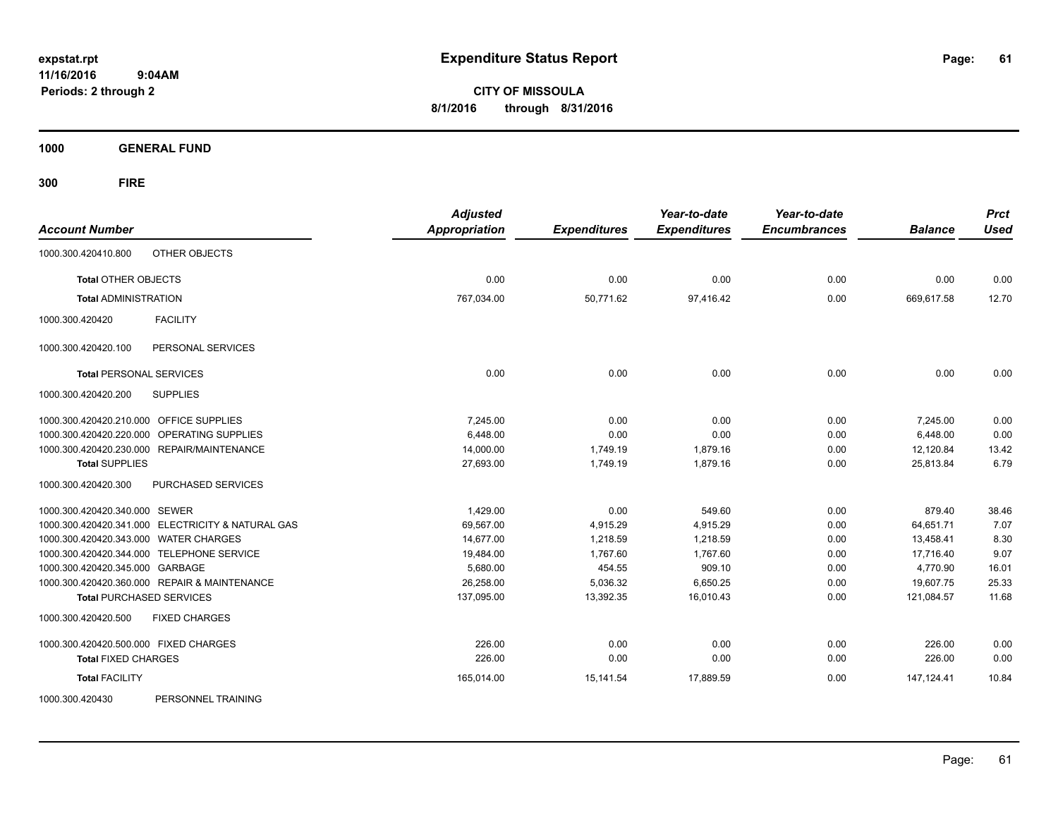**CITY OF MISSOULA 8/1/2016 through 8/31/2016**

**1000 GENERAL FUND**

**300 FIRE**

| <b>Account Number</b>                             | <b>Adjusted</b><br><b>Appropriation</b> | <b>Expenditures</b> | Year-to-date<br><b>Expenditures</b> | Year-to-date<br><b>Encumbrances</b> | <b>Balance</b> | <b>Prct</b><br><b>Used</b> |
|---------------------------------------------------|-----------------------------------------|---------------------|-------------------------------------|-------------------------------------|----------------|----------------------------|
| OTHER OBJECTS<br>1000.300.420410.800              |                                         |                     |                                     |                                     |                |                            |
| <b>Total OTHER OBJECTS</b>                        | 0.00                                    | 0.00                | 0.00                                | 0.00                                | 0.00           | 0.00                       |
| <b>Total ADMINISTRATION</b>                       | 767,034.00                              | 50,771.62           | 97,416.42                           | 0.00                                | 669,617.58     | 12.70                      |
| <b>FACILITY</b><br>1000.300.420420                |                                         |                     |                                     |                                     |                |                            |
| 1000.300.420420.100<br>PERSONAL SERVICES          |                                         |                     |                                     |                                     |                |                            |
| <b>Total PERSONAL SERVICES</b>                    | 0.00                                    | 0.00                | 0.00                                | 0.00                                | 0.00           | 0.00                       |
| 1000.300.420420.200<br><b>SUPPLIES</b>            |                                         |                     |                                     |                                     |                |                            |
| 1000.300.420420.210.000 OFFICE SUPPLIES           | 7.245.00                                | 0.00                | 0.00                                | 0.00                                | 7,245.00       | 0.00                       |
| 1000.300.420420.220.000 OPERATING SUPPLIES        | 6,448.00                                | 0.00                | 0.00                                | 0.00                                | 6,448.00       | 0.00                       |
| 1000.300.420420.230.000 REPAIR/MAINTENANCE        | 14,000.00                               | 1,749.19            | 1,879.16                            | 0.00                                | 12,120.84      | 13.42                      |
| <b>Total SUPPLIES</b>                             | 27,693.00                               | 1,749.19            | 1,879.16                            | 0.00                                | 25,813.84      | 6.79                       |
| PURCHASED SERVICES<br>1000.300.420420.300         |                                         |                     |                                     |                                     |                |                            |
| 1000.300.420420.340.000 SEWER                     | 1,429.00                                | 0.00                | 549.60                              | 0.00                                | 879.40         | 38.46                      |
| 1000.300.420420.341.000 ELECTRICITY & NATURAL GAS | 69,567.00                               | 4,915.29            | 4,915.29                            | 0.00                                | 64,651.71      | 7.07                       |
| 1000.300.420420.343.000 WATER CHARGES             | 14,677.00                               | 1,218.59            | 1,218.59                            | 0.00                                | 13,458.41      | 8.30                       |
| 1000.300.420420.344.000 TELEPHONE SERVICE         | 19,484.00                               | 1,767.60            | 1,767.60                            | 0.00                                | 17,716.40      | 9.07                       |
| 1000.300.420420.345.000 GARBAGE                   | 5,680.00                                | 454.55              | 909.10                              | 0.00                                | 4,770.90       | 16.01                      |
| 1000.300.420420.360.000 REPAIR & MAINTENANCE      | 26.258.00                               | 5,036.32            | 6,650.25                            | 0.00                                | 19.607.75      | 25.33                      |
| <b>Total PURCHASED SERVICES</b>                   | 137,095.00                              | 13,392.35           | 16,010.43                           | 0.00                                | 121,084.57     | 11.68                      |
| <b>FIXED CHARGES</b><br>1000.300.420420.500       |                                         |                     |                                     |                                     |                |                            |
| 1000.300.420420.500.000 FIXED CHARGES             | 226.00                                  | 0.00                | 0.00                                | 0.00                                | 226.00         | 0.00                       |
| <b>Total FIXED CHARGES</b>                        | 226.00                                  | 0.00                | 0.00                                | 0.00                                | 226.00         | 0.00                       |
| <b>Total FACILITY</b>                             | 165,014.00                              | 15,141.54           | 17,889.59                           | 0.00                                | 147,124.41     | 10.84                      |
| DEDCOMMEL TOAINING<br>LONDON DOG DOON             |                                         |                     |                                     |                                     |                |                            |

1000.300.420430 PERSONNEL TRAINING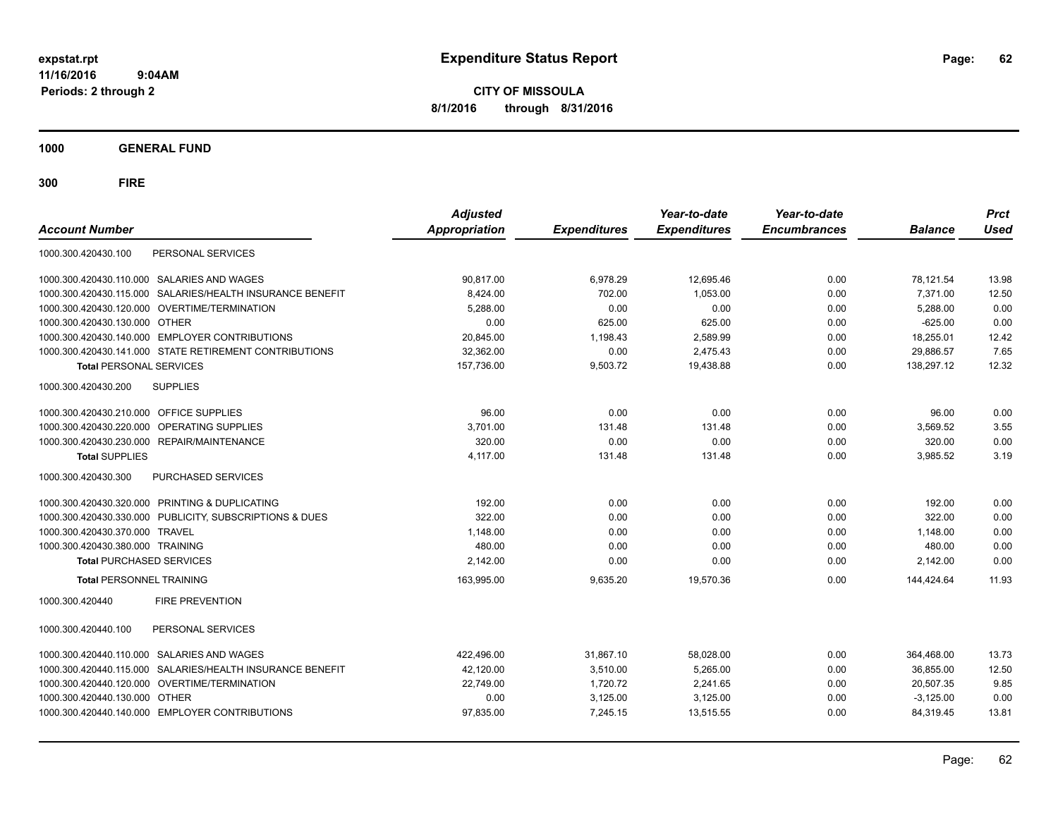**CITY OF MISSOULA 8/1/2016 through 8/31/2016**

**1000 GENERAL FUND**

| PERSONAL SERVICES<br>1000.300.420430.100<br><b>SALARIES AND WAGES</b><br>90,817.00<br>6,978.29<br>12,695.46<br>78,121.54<br>1000.300.420430.110.000<br>0.00<br>702.00<br>7,371.00<br>SALARIES/HEALTH INSURANCE BENEFIT<br>8,424.00<br>1,053.00<br>0.00<br>1000.300.420430.115.000<br>1000.300.420430.120.000 OVERTIME/TERMINATION<br>0.00<br>0.00<br>0.00<br>5,288.00<br>5,288.00 | 13.98<br>12.50 |
|-----------------------------------------------------------------------------------------------------------------------------------------------------------------------------------------------------------------------------------------------------------------------------------------------------------------------------------------------------------------------------------|----------------|
|                                                                                                                                                                                                                                                                                                                                                                                   |                |
|                                                                                                                                                                                                                                                                                                                                                                                   |                |
|                                                                                                                                                                                                                                                                                                                                                                                   |                |
|                                                                                                                                                                                                                                                                                                                                                                                   | 0.00           |
| 625.00<br>625.00<br>$-625.00$<br>1000.300.420430.130.000<br><b>OTHER</b><br>0.00<br>0.00                                                                                                                                                                                                                                                                                          | 0.00           |
| 1000.300.420430.140.000 EMPLOYER CONTRIBUTIONS<br>20,845.00<br>1,198.43<br>2,589.99<br>0.00<br>18,255.01                                                                                                                                                                                                                                                                          | 12.42          |
| 0.00<br>1000.300.420430.141.000 STATE RETIREMENT CONTRIBUTIONS<br>32.362.00<br>2,475.43<br>0.00<br>29,886.57                                                                                                                                                                                                                                                                      | 7.65           |
| <b>Total PERSONAL SERVICES</b><br>157,736.00<br>9,503.72<br>19,438.88<br>0.00<br>138,297.12                                                                                                                                                                                                                                                                                       | 12.32          |
| <b>SUPPLIES</b><br>1000.300.420430.200                                                                                                                                                                                                                                                                                                                                            |                |
| 0.00<br>0.00<br>1000.300.420430.210.000 OFFICE SUPPLIES<br>96.00<br>0.00<br>96.00                                                                                                                                                                                                                                                                                                 | 0.00           |
| OPERATING SUPPLIES<br>1000.300.420430.220.000<br>3,701.00<br>131.48<br>131.48<br>0.00<br>3,569.52                                                                                                                                                                                                                                                                                 | 3.55           |
| 320.00<br>0.00<br>0.00<br>1000.300.420430.230.000 REPAIR/MAINTENANCE<br>0.00<br>320.00                                                                                                                                                                                                                                                                                            | 0.00           |
| 4,117.00<br>131.48<br>131.48<br><b>Total SUPPLIES</b><br>0.00<br>3,985.52                                                                                                                                                                                                                                                                                                         | 3.19           |
| PURCHASED SERVICES<br>1000.300.420430.300                                                                                                                                                                                                                                                                                                                                         |                |
| 1000.300.420430.320.000 PRINTING & DUPLICATING<br>0.00<br>0.00<br>0.00<br>192.00<br>192.00                                                                                                                                                                                                                                                                                        | 0.00           |
| 1000.300.420430.330.000 PUBLICITY, SUBSCRIPTIONS & DUES<br>322.00<br>0.00<br>0.00<br>0.00<br>322.00                                                                                                                                                                                                                                                                               | 0.00           |
| 1000.300.420430.370.000 TRAVEL<br>1,148.00<br>0.00<br>0.00<br>0.00<br>1,148.00                                                                                                                                                                                                                                                                                                    | 0.00           |
| 1000.300.420430.380.000 TRAINING<br>480.00<br>0.00<br>0.00<br>480.00<br>0.00                                                                                                                                                                                                                                                                                                      | 0.00           |
| <b>Total PURCHASED SERVICES</b><br>2,142.00<br>0.00<br>0.00<br>0.00<br>2,142.00                                                                                                                                                                                                                                                                                                   | 0.00           |
| 19,570.36<br>144,424.64<br><b>Total PERSONNEL TRAINING</b><br>163,995.00<br>9,635.20<br>0.00                                                                                                                                                                                                                                                                                      | 11.93          |
| 1000.300.420440<br><b>FIRE PREVENTION</b>                                                                                                                                                                                                                                                                                                                                         |                |
| PERSONAL SERVICES<br>1000.300.420440.100                                                                                                                                                                                                                                                                                                                                          |                |
| SALARIES AND WAGES<br>422,496.00<br>31,867.10<br>58,028.00<br>0.00<br>364,468.00<br>1000.300.420440.110.000                                                                                                                                                                                                                                                                       | 13.73          |
| SALARIES/HEALTH INSURANCE BENEFIT<br>42,120.00<br>3,510.00<br>5,265.00<br>0.00<br>36,855.00<br>1000.300.420440.115.000                                                                                                                                                                                                                                                            | 12.50          |
| OVERTIME/TERMINATION<br>22,749.00<br>1,720.72<br>2,241.65<br>0.00<br>20.507.35<br>1000.300.420440.120.000                                                                                                                                                                                                                                                                         | 9.85           |
| <b>OTHER</b><br>0.00<br>3,125.00<br>3,125.00<br>$-3,125.00$<br>1000.300.420440.130.000<br>0.00                                                                                                                                                                                                                                                                                    | 0.00           |
| 1000.300.420440.140.000 EMPLOYER CONTRIBUTIONS<br>97,835.00<br>7,245.15<br>13,515.55<br>0.00<br>84,319.45                                                                                                                                                                                                                                                                         | 13.81          |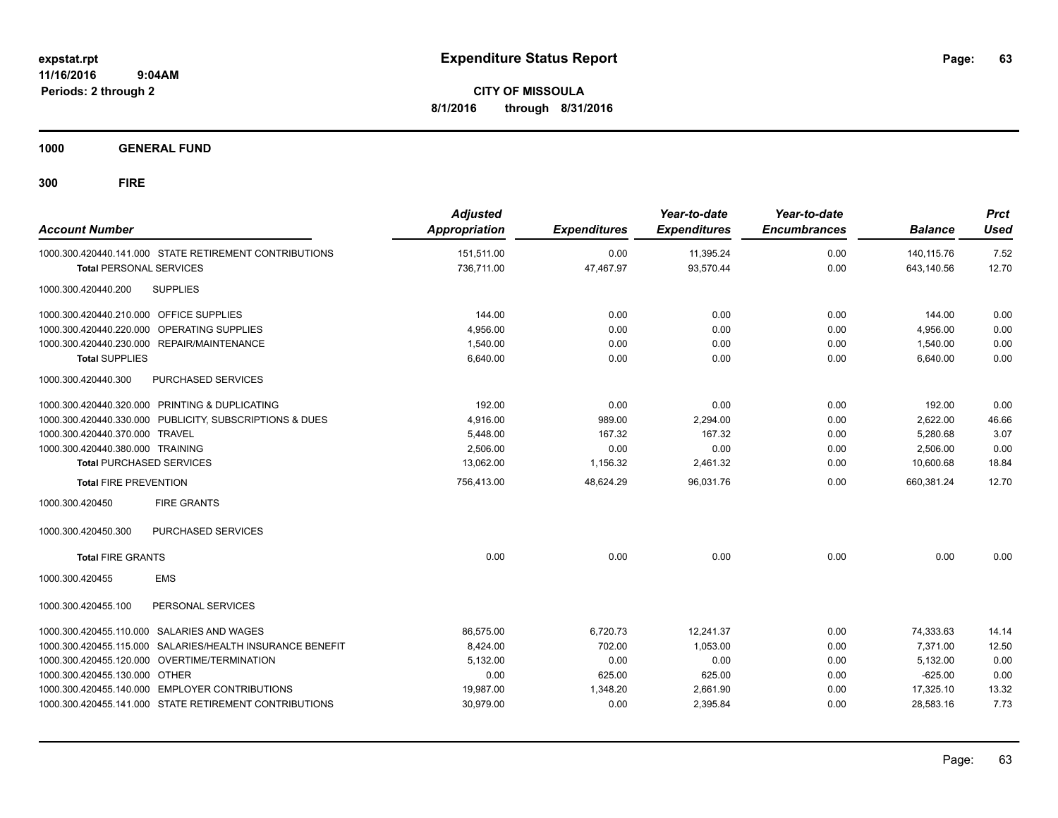**CITY OF MISSOULA 8/1/2016 through 8/31/2016**

**1000 GENERAL FUND**

| <b>Account Number</b>                                        | <b>Adjusted</b><br><b>Appropriation</b> | <b>Expenditures</b> | Year-to-date<br><b>Expenditures</b> | Year-to-date<br><b>Encumbrances</b> | <b>Balance</b> | <b>Prct</b><br><b>Used</b> |
|--------------------------------------------------------------|-----------------------------------------|---------------------|-------------------------------------|-------------------------------------|----------------|----------------------------|
| 1000.300.420440.141.000 STATE RETIREMENT CONTRIBUTIONS       | 151,511.00                              | 0.00                | 11,395.24                           | 0.00                                | 140,115.76     | 7.52                       |
| <b>Total PERSONAL SERVICES</b>                               | 736,711.00                              | 47,467.97           | 93,570.44                           | 0.00                                | 643,140.56     | 12.70                      |
| <b>SUPPLIES</b><br>1000.300.420440.200                       |                                         |                     |                                     |                                     |                |                            |
| 1000.300.420440.210.000 OFFICE SUPPLIES                      | 144.00                                  | 0.00                | 0.00                                | 0.00                                | 144.00         | 0.00                       |
| 1000.300.420440.220.000 OPERATING SUPPLIES                   | 4,956.00                                | 0.00                | 0.00                                | 0.00                                | 4,956.00       | 0.00                       |
| 1000.300.420440.230.000 REPAIR/MAINTENANCE                   | 1,540.00                                | 0.00                | 0.00                                | 0.00                                | 1,540.00       | 0.00                       |
| <b>Total SUPPLIES</b>                                        | 6,640.00                                | 0.00                | 0.00                                | 0.00                                | 6,640.00       | 0.00                       |
| 1000.300.420440.300<br>PURCHASED SERVICES                    |                                         |                     |                                     |                                     |                |                            |
| 1000.300.420440.320.000 PRINTING & DUPLICATING               | 192.00                                  | 0.00                | 0.00                                | 0.00                                | 192.00         | 0.00                       |
| 1000.300.420440.330.000 PUBLICITY, SUBSCRIPTIONS & DUES      | 4,916.00                                | 989.00              | 2,294.00                            | 0.00                                | 2,622.00       | 46.66                      |
| 1000.300.420440.370.000 TRAVEL                               | 5,448.00                                | 167.32              | 167.32                              | 0.00                                | 5,280.68       | 3.07                       |
| 1000.300.420440.380.000 TRAINING                             | 2.506.00                                | 0.00                | 0.00                                | 0.00                                | 2,506.00       | 0.00                       |
| <b>Total PURCHASED SERVICES</b>                              | 13,062.00                               | 1,156.32            | 2,461.32                            | 0.00                                | 10,600.68      | 18.84                      |
| <b>Total FIRE PREVENTION</b>                                 | 756,413.00                              | 48,624.29           | 96,031.76                           | 0.00                                | 660.381.24     | 12.70                      |
| 1000.300.420450<br><b>FIRE GRANTS</b>                        |                                         |                     |                                     |                                     |                |                            |
| <b>PURCHASED SERVICES</b><br>1000.300.420450.300             |                                         |                     |                                     |                                     |                |                            |
| <b>Total FIRE GRANTS</b>                                     | 0.00                                    | 0.00                | 0.00                                | 0.00                                | 0.00           | 0.00                       |
| <b>EMS</b><br>1000.300.420455                                |                                         |                     |                                     |                                     |                |                            |
| 1000.300.420455.100<br>PERSONAL SERVICES                     |                                         |                     |                                     |                                     |                |                            |
| <b>SALARIES AND WAGES</b><br>1000.300.420455.110.000         | 86,575.00                               | 6,720.73            | 12,241.37                           | 0.00                                | 74,333.63      | 14.14                      |
| SALARIES/HEALTH INSURANCE BENEFIT<br>1000.300.420455.115.000 | 8,424.00                                | 702.00              | 1.053.00                            | 0.00                                | 7.371.00       | 12.50                      |
| 1000.300.420455.120.000 OVERTIME/TERMINATION                 | 5,132.00                                | 0.00                | 0.00                                | 0.00                                | 5.132.00       | 0.00                       |
| 1000.300.420455.130.000 OTHER                                | 0.00                                    | 625.00              | 625.00                              | 0.00                                | $-625.00$      | 0.00                       |
| 1000.300.420455.140.000 EMPLOYER CONTRIBUTIONS               | 19,987.00                               | 1,348.20            | 2,661.90                            | 0.00                                | 17,325.10      | 13.32                      |
| 1000.300.420455.141.000 STATE RETIREMENT CONTRIBUTIONS       | 30,979.00                               | 0.00                | 2,395.84                            | 0.00                                | 28,583.16      | 7.73                       |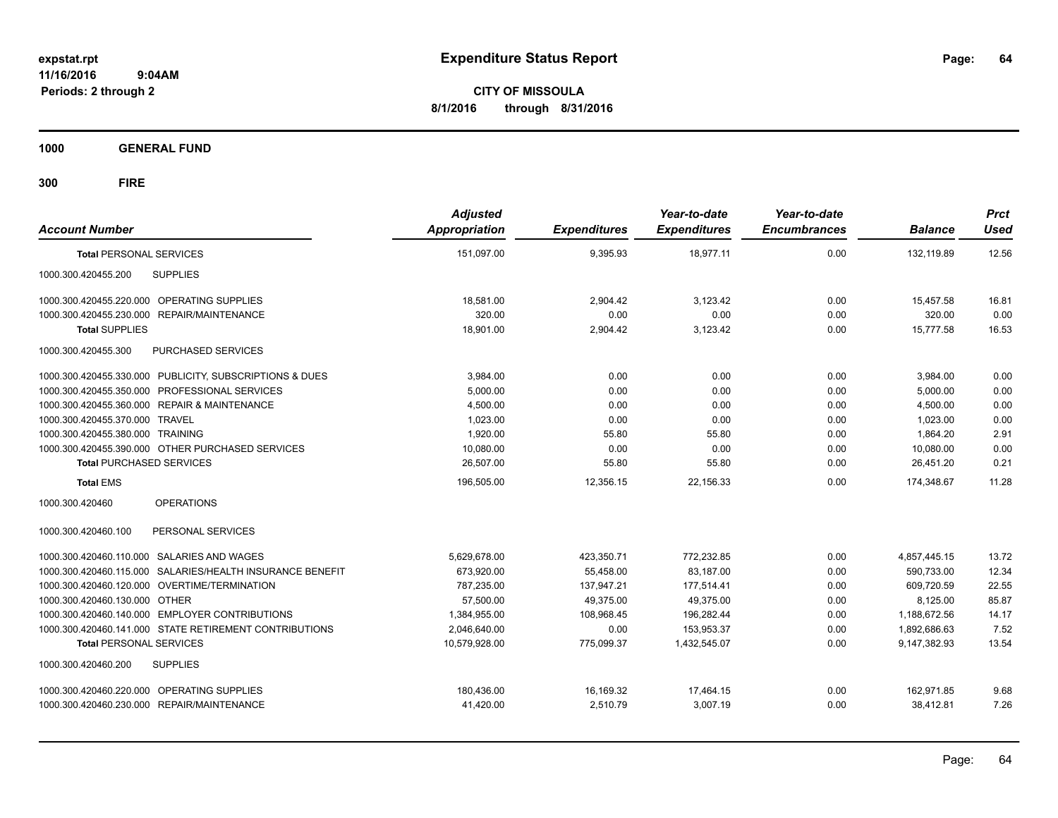**CITY OF MISSOULA 8/1/2016 through 8/31/2016**

**1000 GENERAL FUND**

| <b>Account Number</b>                                     | <b>Adjusted</b><br><b>Appropriation</b> | <b>Expenditures</b> | Year-to-date<br><b>Expenditures</b> | Year-to-date<br><b>Encumbrances</b> | <b>Balance</b> | <b>Prct</b><br><b>Used</b> |
|-----------------------------------------------------------|-----------------------------------------|---------------------|-------------------------------------|-------------------------------------|----------------|----------------------------|
| <b>Total PERSONAL SERVICES</b>                            | 151,097.00                              | 9,395.93            | 18,977.11                           | 0.00                                | 132,119.89     | 12.56                      |
| <b>SUPPLIES</b><br>1000.300.420455.200                    |                                         |                     |                                     |                                     |                |                            |
| 1000.300.420455.220.000 OPERATING SUPPLIES                | 18,581.00                               | 2,904.42            | 3,123.42                            | 0.00                                | 15.457.58      | 16.81                      |
| 1000.300.420455.230.000 REPAIR/MAINTENANCE                | 320.00                                  | 0.00                | 0.00                                | 0.00                                | 320.00         | 0.00                       |
| <b>Total SUPPLIES</b>                                     | 18,901.00                               | 2,904.42            | 3,123.42                            | 0.00                                | 15,777.58      | 16.53                      |
| 1000.300.420455.300<br>PURCHASED SERVICES                 |                                         |                     |                                     |                                     |                |                            |
| 1000.300.420455.330.000 PUBLICITY, SUBSCRIPTIONS & DUES   | 3.984.00                                | 0.00                | 0.00                                | 0.00                                | 3,984.00       | 0.00                       |
| 1000.300.420455.350.000 PROFESSIONAL SERVICES             | 5,000.00                                | 0.00                | 0.00                                | 0.00                                | 5,000.00       | 0.00                       |
| 1000.300.420455.360.000 REPAIR & MAINTENANCE              | 4,500.00                                | 0.00                | 0.00                                | 0.00                                | 4,500.00       | 0.00                       |
| 1000.300.420455.370.000 TRAVEL                            | 1,023.00                                | 0.00                | 0.00                                | 0.00                                | 1,023.00       | 0.00                       |
| 1000.300.420455.380.000 TRAINING                          | 1,920.00                                | 55.80               | 55.80                               | 0.00                                | 1,864.20       | 2.91                       |
| 1000.300.420455.390.000 OTHER PURCHASED SERVICES          | 10,080.00                               | 0.00                | 0.00                                | 0.00                                | 10.080.00      | 0.00                       |
| <b>Total PURCHASED SERVICES</b>                           | 26,507.00                               | 55.80               | 55.80                               | 0.00                                | 26,451.20      | 0.21                       |
| <b>Total EMS</b>                                          | 196,505.00                              | 12,356.15           | 22.156.33                           | 0.00                                | 174.348.67     | 11.28                      |
| 1000.300.420460<br><b>OPERATIONS</b>                      |                                         |                     |                                     |                                     |                |                            |
| PERSONAL SERVICES<br>1000.300.420460.100                  |                                         |                     |                                     |                                     |                |                            |
| 1000.300.420460.110.000 SALARIES AND WAGES                | 5,629,678.00                            | 423,350.71          | 772,232.85                          | 0.00                                | 4,857,445.15   | 13.72                      |
| 1000.300.420460.115.000 SALARIES/HEALTH INSURANCE BENEFIT | 673,920.00                              | 55,458.00           | 83,187.00                           | 0.00                                | 590,733.00     | 12.34                      |
| 1000.300.420460.120.000 OVERTIME/TERMINATION              | 787,235.00                              | 137,947.21          | 177,514.41                          | 0.00                                | 609,720.59     | 22.55                      |
| 1000.300.420460.130.000 OTHER                             | 57.500.00                               | 49.375.00           | 49.375.00                           | 0.00                                | 8,125.00       | 85.87                      |
| 1000.300.420460.140.000 EMPLOYER CONTRIBUTIONS            | 1,384,955.00                            | 108,968.45          | 196,282.44                          | 0.00                                | 1,188,672.56   | 14.17                      |
| 1000.300.420460.141.000 STATE RETIREMENT CONTRIBUTIONS    | 2,046,640.00                            | 0.00                | 153.953.37                          | 0.00                                | 1,892,686.63   | 7.52                       |
| <b>Total PERSONAL SERVICES</b>                            | 10,579,928.00                           | 775,099.37          | 1,432,545.07                        | 0.00                                | 9.147.382.93   | 13.54                      |
| <b>SUPPLIES</b><br>1000.300.420460.200                    |                                         |                     |                                     |                                     |                |                            |
| 1000.300.420460.220.000 OPERATING SUPPLIES                | 180.436.00                              | 16,169.32           | 17,464.15                           | 0.00                                | 162.971.85     | 9.68                       |
| 1000.300.420460.230.000 REPAIR/MAINTENANCE                | 41,420.00                               | 2,510.79            | 3,007.19                            | 0.00                                | 38,412.81      | 7.26                       |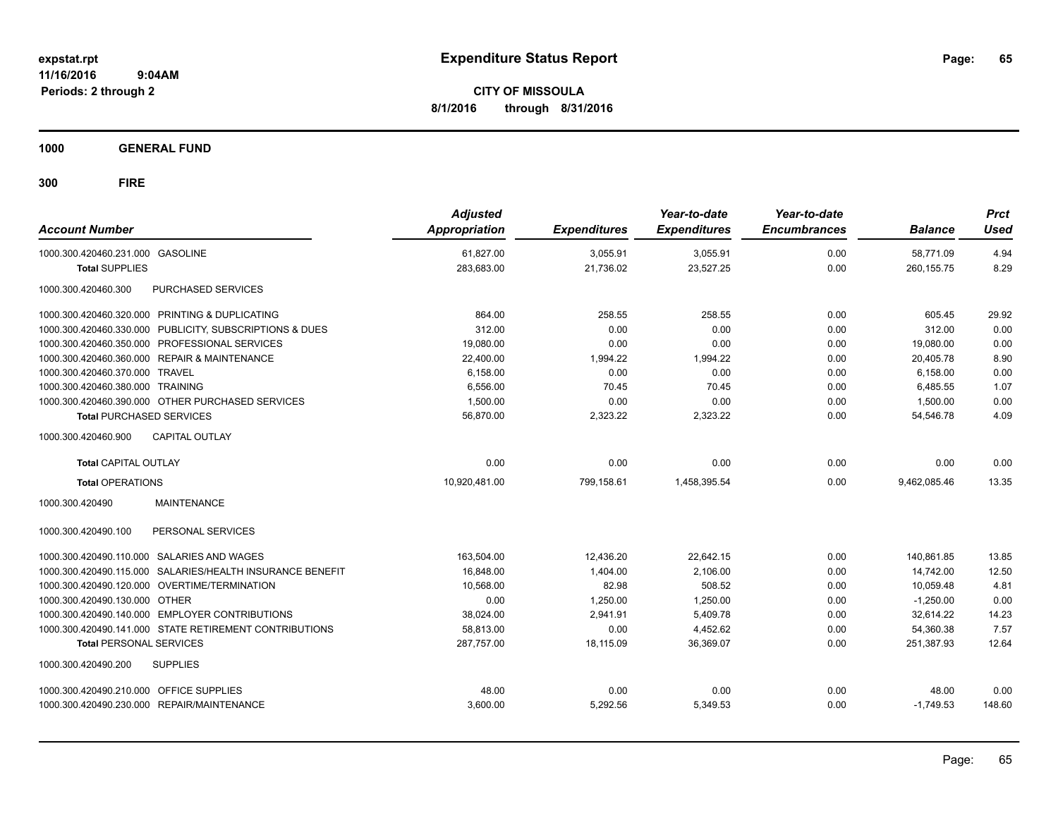**CITY OF MISSOULA 8/1/2016 through 8/31/2016**

**1000 GENERAL FUND**

| <b>Account Number</b>                                     | <b>Adjusted</b><br><b>Appropriation</b> | <b>Expenditures</b> | Year-to-date<br><b>Expenditures</b> | Year-to-date<br><b>Encumbrances</b> | <b>Balance</b> | <b>Prct</b><br>Used |
|-----------------------------------------------------------|-----------------------------------------|---------------------|-------------------------------------|-------------------------------------|----------------|---------------------|
| 1000.300.420460.231.000 GASOLINE                          | 61,827.00                               | 3,055.91            | 3,055.91                            | 0.00                                | 58.771.09      | 4.94                |
| <b>Total SUPPLIES</b>                                     | 283,683.00                              | 21,736.02           | 23,527.25                           | 0.00                                | 260, 155.75    | 8.29                |
| 1000.300.420460.300<br><b>PURCHASED SERVICES</b>          |                                         |                     |                                     |                                     |                |                     |
| 1000.300.420460.320.000 PRINTING & DUPLICATING            | 864.00                                  | 258.55              | 258.55                              | 0.00                                | 605.45         | 29.92               |
| 1000.300.420460.330.000 PUBLICITY, SUBSCRIPTIONS & DUES   | 312.00                                  | 0.00                | 0.00                                | 0.00                                | 312.00         | 0.00                |
| 1000.300.420460.350.000 PROFESSIONAL SERVICES             | 19,080.00                               | 0.00                | 0.00                                | 0.00                                | 19,080.00      | 0.00                |
| 1000.300.420460.360.000 REPAIR & MAINTENANCE              | 22,400.00                               | 1,994.22            | 1,994.22                            | 0.00                                | 20,405.78      | 8.90                |
| 1000.300.420460.370.000 TRAVEL                            | 6,158.00                                | 0.00                | 0.00                                | 0.00                                | 6,158.00       | 0.00                |
| 1000.300.420460.380.000 TRAINING                          | 6.556.00                                | 70.45               | 70.45                               | 0.00                                | 6.485.55       | 1.07                |
| 1000.300.420460.390.000 OTHER PURCHASED SERVICES          | 1.500.00                                | 0.00                | 0.00                                | 0.00                                | 1.500.00       | 0.00                |
| <b>Total PURCHASED SERVICES</b>                           | 56,870.00                               | 2,323.22            | 2,323.22                            | 0.00                                | 54,546.78      | 4.09                |
| <b>CAPITAL OUTLAY</b><br>1000.300.420460.900              |                                         |                     |                                     |                                     |                |                     |
| <b>Total CAPITAL OUTLAY</b>                               | 0.00                                    | 0.00                | 0.00                                | 0.00                                | 0.00           | 0.00                |
| <b>Total OPERATIONS</b>                                   | 10,920,481.00                           | 799,158.61          | 1,458,395.54                        | 0.00                                | 9,462,085.46   | 13.35               |
| 1000.300.420490<br><b>MAINTENANCE</b>                     |                                         |                     |                                     |                                     |                |                     |
| PERSONAL SERVICES<br>1000.300.420490.100                  |                                         |                     |                                     |                                     |                |                     |
| 1000.300.420490.110.000 SALARIES AND WAGES                | 163,504.00                              | 12,436.20           | 22,642.15                           | 0.00                                | 140,861.85     | 13.85               |
| 1000.300.420490.115.000 SALARIES/HEALTH INSURANCE BENEFIT | 16,848.00                               | 1,404.00            | 2,106.00                            | 0.00                                | 14.742.00      | 12.50               |
| 1000.300.420490.120.000 OVERTIME/TERMINATION              | 10.568.00                               | 82.98               | 508.52                              | 0.00                                | 10.059.48      | 4.81                |
| 1000.300.420490.130.000 OTHER                             | 0.00                                    | 1,250.00            | 1,250.00                            | 0.00                                | $-1,250.00$    | 0.00                |
| 1000.300.420490.140.000 EMPLOYER CONTRIBUTIONS            | 38,024.00                               | 2,941.91            | 5,409.78                            | 0.00                                | 32,614.22      | 14.23               |
| 1000.300.420490.141.000 STATE RETIREMENT CONTRIBUTIONS    | 58,813.00                               | 0.00                | 4,452.62                            | 0.00                                | 54,360.38      | 7.57                |
| <b>Total PERSONAL SERVICES</b>                            | 287.757.00                              | 18.115.09           | 36.369.07                           | 0.00                                | 251,387.93     | 12.64               |
| 1000.300.420490.200<br><b>SUPPLIES</b>                    |                                         |                     |                                     |                                     |                |                     |
| 1000.300.420490.210.000 OFFICE SUPPLIES                   | 48.00                                   | 0.00                | 0.00                                | 0.00                                | 48.00          | 0.00                |
| 1000.300.420490.230.000 REPAIR/MAINTENANCE                | 3,600.00                                | 5,292.56            | 5,349.53                            | 0.00                                | $-1,749.53$    | 148.60              |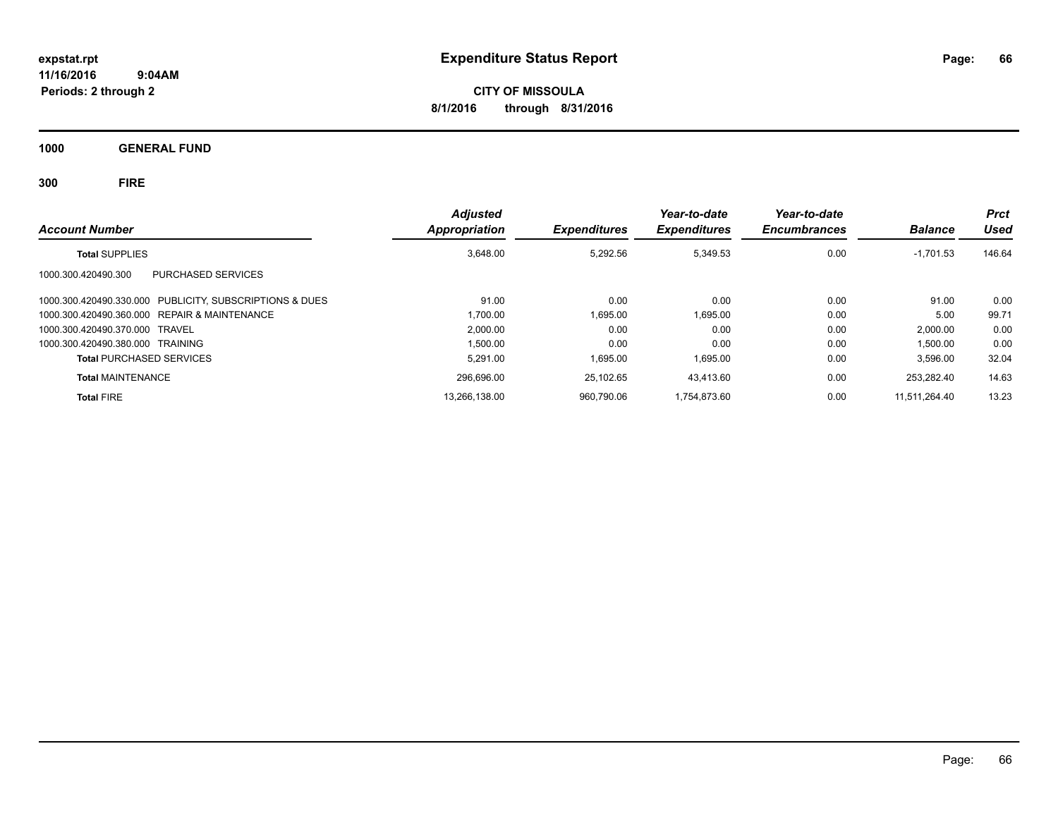**CITY OF MISSOULA 8/1/2016 through 8/31/2016**

**1000 GENERAL FUND**

| <b>Account Number</b>                                      | <b>Adjusted</b><br>Appropriation | <b>Expenditures</b> | Year-to-date<br><b>Expenditures</b> | Year-to-date<br><b>Encumbrances</b> | <b>Balance</b> | <b>Prct</b><br>Used |
|------------------------------------------------------------|----------------------------------|---------------------|-------------------------------------|-------------------------------------|----------------|---------------------|
| <b>Total SUPPLIES</b>                                      | 3,648.00                         | 5,292.56            | 5,349.53                            | 0.00                                | $-1,701.53$    | 146.64              |
| PURCHASED SERVICES<br>1000.300.420490.300                  |                                  |                     |                                     |                                     |                |                     |
| 1000.300.420490.330.000 PUBLICITY, SUBSCRIPTIONS & DUES    | 91.00                            | 0.00                | 0.00                                | 0.00                                | 91.00          | 0.00                |
| <b>REPAIR &amp; MAINTENANCE</b><br>1000.300.420490.360.000 | 1.700.00                         | 1.695.00            | 1.695.00                            | 0.00                                | 5.00           | 99.71               |
| 1000.300.420490.370.000 TRAVEL                             | 2.000.00                         | 0.00                | 0.00                                | 0.00                                | 2.000.00       | 0.00                |
| 1000.300.420490.380.000 TRAINING                           | 1.500.00                         | 0.00                | 0.00                                | 0.00                                | 1,500.00       | 0.00                |
| <b>Total PURCHASED SERVICES</b>                            | 5.291.00                         | 1.695.00            | 1,695.00                            | 0.00                                | 3,596.00       | 32.04               |
| <b>Total MAINTENANCE</b>                                   | 296.696.00                       | 25.102.65           | 43.413.60                           | 0.00                                | 253.282.40     | 14.63               |
| <b>Total FIRE</b>                                          | 13,266,138.00                    | 960.790.06          | 1.754.873.60                        | 0.00                                | 11.511.264.40  | 13.23               |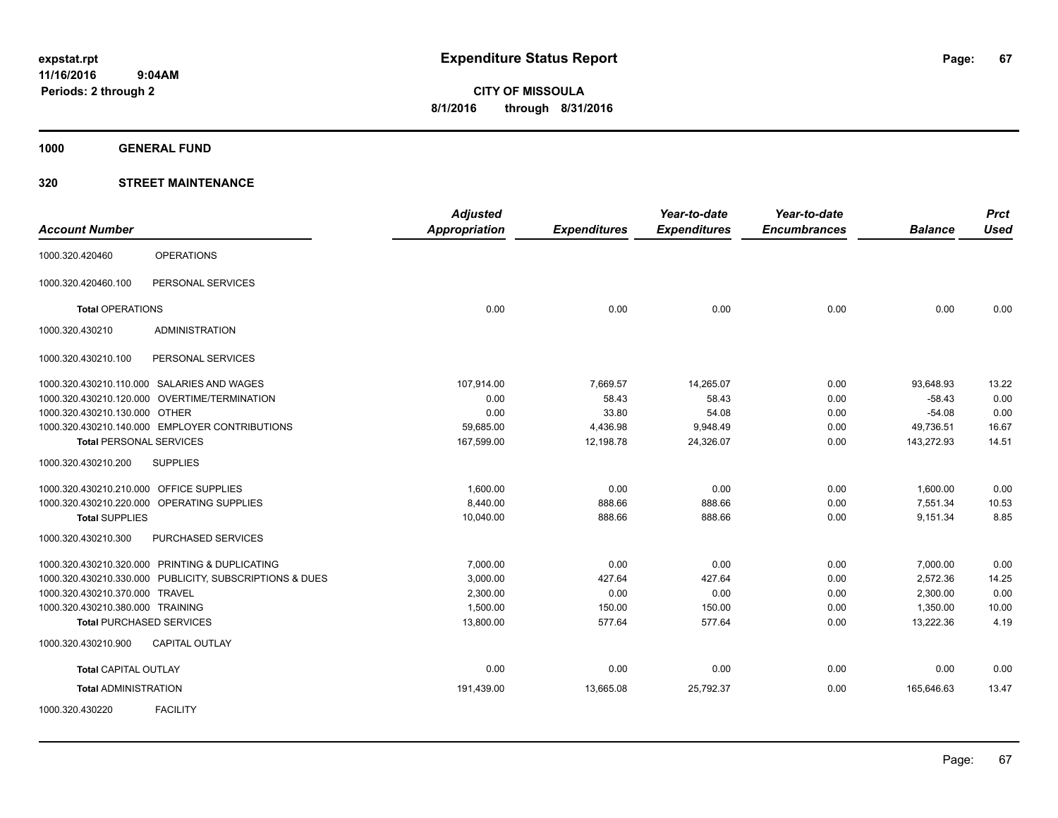**1000 GENERAL FUND**

|                                         |                                                         | <b>Adjusted</b> |                     | Year-to-date        | Year-to-date        |                | <b>Prct</b> |
|-----------------------------------------|---------------------------------------------------------|-----------------|---------------------|---------------------|---------------------|----------------|-------------|
| <b>Account Number</b>                   |                                                         | Appropriation   | <b>Expenditures</b> | <b>Expenditures</b> | <b>Encumbrances</b> | <b>Balance</b> | <b>Used</b> |
| 1000.320.420460                         | <b>OPERATIONS</b>                                       |                 |                     |                     |                     |                |             |
| 1000.320.420460.100                     | PERSONAL SERVICES                                       |                 |                     |                     |                     |                |             |
| <b>Total OPERATIONS</b>                 |                                                         | 0.00            | 0.00                | 0.00                | 0.00                | 0.00           | 0.00        |
| 1000.320.430210                         | <b>ADMINISTRATION</b>                                   |                 |                     |                     |                     |                |             |
| 1000.320.430210.100                     | PERSONAL SERVICES                                       |                 |                     |                     |                     |                |             |
|                                         | 1000.320.430210.110.000 SALARIES AND WAGES              | 107,914.00      | 7,669.57            | 14,265.07           | 0.00                | 93,648.93      | 13.22       |
|                                         | 1000.320.430210.120.000 OVERTIME/TERMINATION            | 0.00            | 58.43               | 58.43               | 0.00                | $-58.43$       | 0.00        |
| 1000.320.430210.130.000 OTHER           |                                                         | 0.00            | 33.80               | 54.08               | 0.00                | $-54.08$       | 0.00        |
|                                         | 1000.320.430210.140.000 EMPLOYER CONTRIBUTIONS          | 59,685.00       | 4,436.98            | 9,948.49            | 0.00                | 49,736.51      | 16.67       |
| <b>Total PERSONAL SERVICES</b>          |                                                         | 167,599.00      | 12,198.78           | 24,326.07           | 0.00                | 143,272.93     | 14.51       |
| 1000.320.430210.200                     | <b>SUPPLIES</b>                                         |                 |                     |                     |                     |                |             |
| 1000.320.430210.210.000 OFFICE SUPPLIES |                                                         | 1.600.00        | 0.00                | 0.00                | 0.00                | 1,600.00       | 0.00        |
|                                         | 1000.320.430210.220.000 OPERATING SUPPLIES              | 8,440.00        | 888.66              | 888.66              | 0.00                | 7,551.34       | 10.53       |
| <b>Total SUPPLIES</b>                   |                                                         | 10,040.00       | 888.66              | 888.66              | 0.00                | 9,151.34       | 8.85        |
| 1000.320.430210.300                     | PURCHASED SERVICES                                      |                 |                     |                     |                     |                |             |
|                                         | 1000.320.430210.320.000 PRINTING & DUPLICATING          | 7,000.00        | 0.00                | 0.00                | 0.00                | 7,000.00       | 0.00        |
|                                         | 1000.320.430210.330.000 PUBLICITY, SUBSCRIPTIONS & DUES | 3,000.00        | 427.64              | 427.64              | 0.00                | 2,572.36       | 14.25       |
| 1000.320.430210.370.000 TRAVEL          |                                                         | 2,300.00        | 0.00                | 0.00                | 0.00                | 2,300.00       | 0.00        |
| 1000.320.430210.380.000 TRAINING        |                                                         | 1,500.00        | 150.00              | 150.00              | 0.00                | 1,350.00       | 10.00       |
|                                         | <b>Total PURCHASED SERVICES</b>                         | 13,800.00       | 577.64              | 577.64              | 0.00                | 13,222.36      | 4.19        |
| 1000.320.430210.900                     | <b>CAPITAL OUTLAY</b>                                   |                 |                     |                     |                     |                |             |
| <b>Total CAPITAL OUTLAY</b>             |                                                         | 0.00            | 0.00                | 0.00                | 0.00                | 0.00           | 0.00        |
| <b>Total ADMINISTRATION</b>             |                                                         | 191,439.00      | 13,665.08           | 25,792.37           | 0.00                | 165,646.63     | 13.47       |
| 1000.320.430220                         | <b>FACILITY</b>                                         |                 |                     |                     |                     |                |             |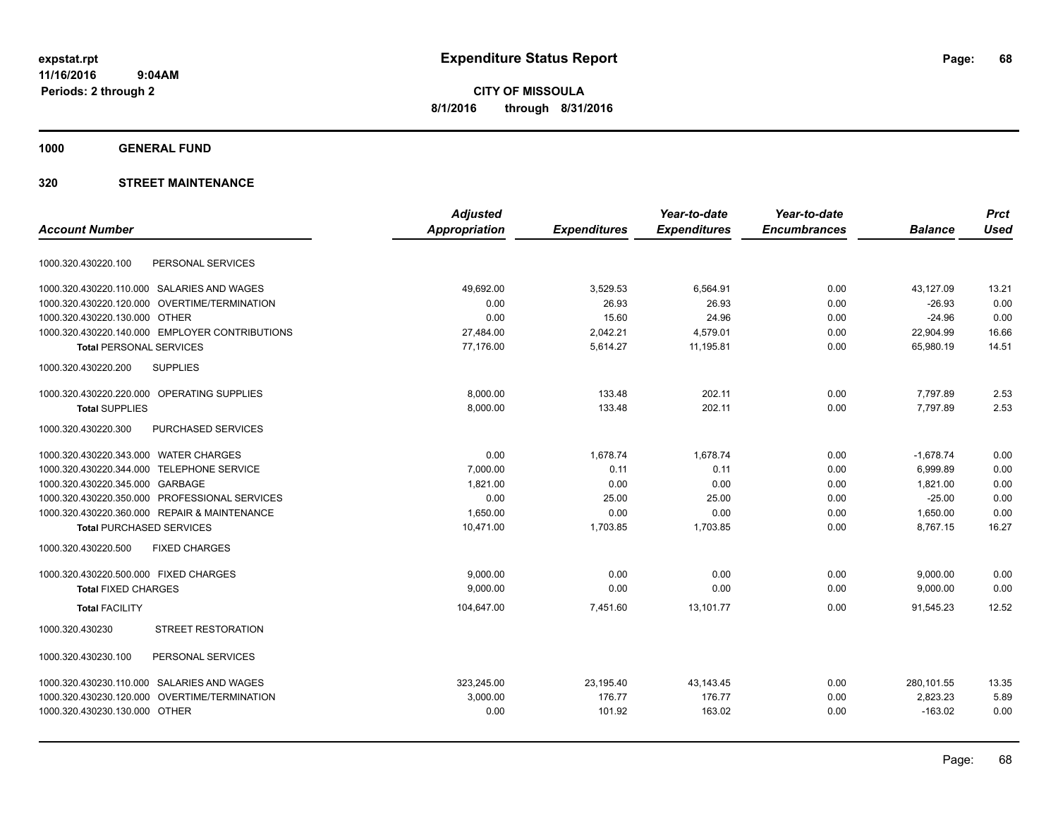**CITY OF MISSOULA 8/1/2016 through 8/31/2016**

**1000 GENERAL FUND**

|                                                | <b>Adjusted</b>      |                     | Year-to-date        | Year-to-date        |                | <b>Prct</b> |
|------------------------------------------------|----------------------|---------------------|---------------------|---------------------|----------------|-------------|
| <b>Account Number</b>                          | <b>Appropriation</b> | <b>Expenditures</b> | <b>Expenditures</b> | <b>Encumbrances</b> | <b>Balance</b> | <b>Used</b> |
| PERSONAL SERVICES<br>1000.320.430220.100       |                      |                     |                     |                     |                |             |
|                                                |                      |                     |                     |                     |                |             |
| 1000.320.430220.110.000 SALARIES AND WAGES     | 49,692.00            | 3,529.53            | 6,564.91            | 0.00                | 43,127.09      | 13.21       |
| 1000.320.430220.120.000 OVERTIME/TERMINATION   | 0.00                 | 26.93               | 26.93               | 0.00                | $-26.93$       | 0.00        |
| 1000.320.430220.130.000 OTHER                  | 0.00                 | 15.60               | 24.96               | 0.00                | $-24.96$       | 0.00        |
| 1000.320.430220.140.000 EMPLOYER CONTRIBUTIONS | 27,484.00            | 2,042.21            | 4,579.01            | 0.00                | 22,904.99      | 16.66       |
| <b>Total PERSONAL SERVICES</b>                 | 77,176.00            | 5,614.27            | 11,195.81           | 0.00                | 65,980.19      | 14.51       |
| <b>SUPPLIES</b><br>1000.320.430220.200         |                      |                     |                     |                     |                |             |
| 1000.320.430220.220.000 OPERATING SUPPLIES     | 8,000.00             | 133.48              | 202.11              | 0.00                | 7,797.89       | 2.53        |
| <b>Total SUPPLIES</b>                          | 8,000.00             | 133.48              | 202.11              | 0.00                | 7,797.89       | 2.53        |
| 1000.320.430220.300<br>PURCHASED SERVICES      |                      |                     |                     |                     |                |             |
| 1000.320.430220.343.000 WATER CHARGES          | 0.00                 | 1,678.74            | 1.678.74            | 0.00                | $-1,678.74$    | 0.00        |
| 1000.320.430220.344.000 TELEPHONE SERVICE      | 7,000.00             | 0.11                | 0.11                | 0.00                | 6,999.89       | 0.00        |
| 1000.320.430220.345.000 GARBAGE                | 1,821.00             | 0.00                | 0.00                | 0.00                | 1,821.00       | 0.00        |
| 1000.320.430220.350.000 PROFESSIONAL SERVICES  | 0.00                 | 25.00               | 25.00               | 0.00                | $-25.00$       | 0.00        |
| 1000.320.430220.360.000 REPAIR & MAINTENANCE   | 1,650.00             | 0.00                | 0.00                | 0.00                | 1,650.00       | 0.00        |
| <b>Total PURCHASED SERVICES</b>                | 10,471.00            | 1,703.85            | 1,703.85            | 0.00                | 8,767.15       | 16.27       |
| 1000.320.430220.500<br><b>FIXED CHARGES</b>    |                      |                     |                     |                     |                |             |
| 1000.320.430220.500.000 FIXED CHARGES          | 9,000.00             | 0.00                | 0.00                | 0.00                | 9,000.00       | 0.00        |
| <b>Total FIXED CHARGES</b>                     | 9,000.00             | 0.00                | 0.00                | 0.00                | 9,000.00       | 0.00        |
| <b>Total FACILITY</b>                          | 104,647.00           | 7,451.60            | 13,101.77           | 0.00                | 91,545.23      | 12.52       |
| 1000.320.430230<br><b>STREET RESTORATION</b>   |                      |                     |                     |                     |                |             |
| PERSONAL SERVICES<br>1000.320.430230.100       |                      |                     |                     |                     |                |             |
| 1000.320.430230.110.000 SALARIES AND WAGES     | 323,245.00           | 23,195.40           | 43,143.45           | 0.00                | 280,101.55     | 13.35       |
| 1000.320.430230.120.000 OVERTIME/TERMINATION   | 3,000.00             | 176.77              | 176.77              | 0.00                | 2,823.23       | 5.89        |
| 1000.320.430230.130.000 OTHER                  | 0.00                 | 101.92              | 163.02              | 0.00                | $-163.02$      | 0.00        |
|                                                |                      |                     |                     |                     |                |             |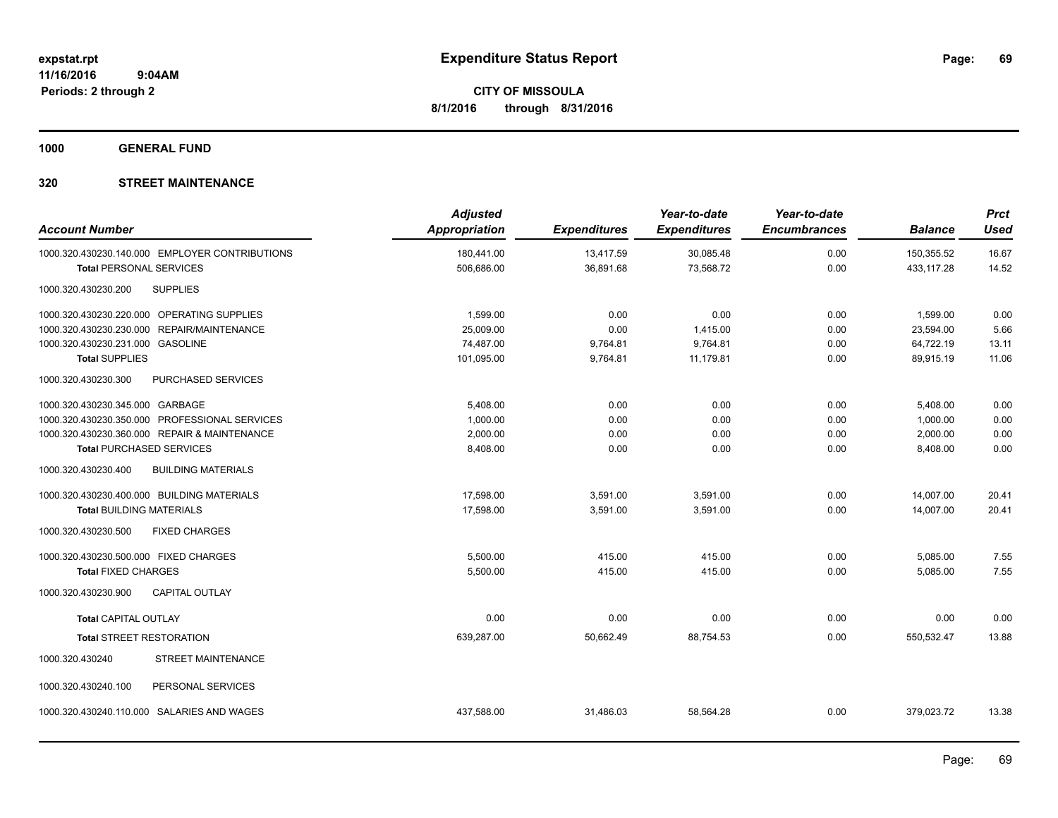**1000 GENERAL FUND**

| <b>Account Number</b>                      |                                                | <b>Adjusted</b><br><b>Appropriation</b> | <b>Expenditures</b> | Year-to-date<br><b>Expenditures</b> | Year-to-date<br><b>Encumbrances</b> | <b>Balance</b> | <b>Prct</b><br><b>Used</b> |
|--------------------------------------------|------------------------------------------------|-----------------------------------------|---------------------|-------------------------------------|-------------------------------------|----------------|----------------------------|
|                                            | 1000.320.430230.140.000 EMPLOYER CONTRIBUTIONS | 180,441.00                              | 13,417.59           | 30,085.48                           | 0.00                                | 150,355.52     | 16.67                      |
| <b>Total PERSONAL SERVICES</b>             |                                                | 506,686.00                              | 36,891.68           | 73,568.72                           | 0.00                                | 433,117.28     | 14.52                      |
| 1000.320.430230.200                        | <b>SUPPLIES</b>                                |                                         |                     |                                     |                                     |                |                            |
|                                            | 1000.320.430230.220.000 OPERATING SUPPLIES     | 1,599.00                                | 0.00                | 0.00                                | 0.00                                | 1,599.00       | 0.00                       |
|                                            | 1000.320.430230.230.000 REPAIR/MAINTENANCE     | 25,009.00                               | 0.00                | 1,415.00                            | 0.00                                | 23,594.00      | 5.66                       |
| 1000.320.430230.231.000 GASOLINE           |                                                | 74,487.00                               | 9,764.81            | 9,764.81                            | 0.00                                | 64,722.19      | 13.11                      |
| <b>Total SUPPLIES</b>                      |                                                | 101,095.00                              | 9,764.81            | 11,179.81                           | 0.00                                | 89,915.19      | 11.06                      |
| 1000.320.430230.300                        | PURCHASED SERVICES                             |                                         |                     |                                     |                                     |                |                            |
| 1000.320.430230.345.000 GARBAGE            |                                                | 5,408.00                                | 0.00                | 0.00                                | 0.00                                | 5,408.00       | 0.00                       |
|                                            | 1000.320.430230.350.000 PROFESSIONAL SERVICES  | 1,000.00                                | 0.00                | 0.00                                | 0.00                                | 1,000.00       | 0.00                       |
|                                            | 1000.320.430230.360.000 REPAIR & MAINTENANCE   | 2,000.00                                | 0.00                | 0.00                                | 0.00                                | 2,000.00       | 0.00                       |
| <b>Total PURCHASED SERVICES</b>            |                                                | 8,408.00                                | 0.00                | 0.00                                | 0.00                                | 8,408.00       | 0.00                       |
| 1000.320.430230.400                        | <b>BUILDING MATERIALS</b>                      |                                         |                     |                                     |                                     |                |                            |
| 1000.320.430230.400.000 BUILDING MATERIALS |                                                | 17,598.00                               | 3,591.00            | 3,591.00                            | 0.00                                | 14,007.00      | 20.41                      |
| <b>Total BUILDING MATERIALS</b>            |                                                | 17,598.00                               | 3,591.00            | 3,591.00                            | 0.00                                | 14,007.00      | 20.41                      |
| 1000.320.430230.500                        | <b>FIXED CHARGES</b>                           |                                         |                     |                                     |                                     |                |                            |
| 1000.320.430230.500.000 FIXED CHARGES      |                                                | 5,500.00                                | 415.00              | 415.00                              | 0.00                                | 5,085.00       | 7.55                       |
| <b>Total FIXED CHARGES</b>                 |                                                | 5,500.00                                | 415.00              | 415.00                              | 0.00                                | 5,085.00       | 7.55                       |
| 1000.320.430230.900                        | <b>CAPITAL OUTLAY</b>                          |                                         |                     |                                     |                                     |                |                            |
| <b>Total CAPITAL OUTLAY</b>                |                                                | 0.00                                    | 0.00                | 0.00                                | 0.00                                | 0.00           | 0.00                       |
| <b>Total STREET RESTORATION</b>            |                                                | 639,287.00                              | 50,662.49           | 88,754.53                           | 0.00                                | 550,532.47     | 13.88                      |
| 1000.320.430240                            | STREET MAINTENANCE                             |                                         |                     |                                     |                                     |                |                            |
| 1000.320.430240.100                        | PERSONAL SERVICES                              |                                         |                     |                                     |                                     |                |                            |
|                                            | 1000.320.430240.110.000 SALARIES AND WAGES     | 437,588.00                              | 31,486.03           | 58,564.28                           | 0.00                                | 379,023.72     | 13.38                      |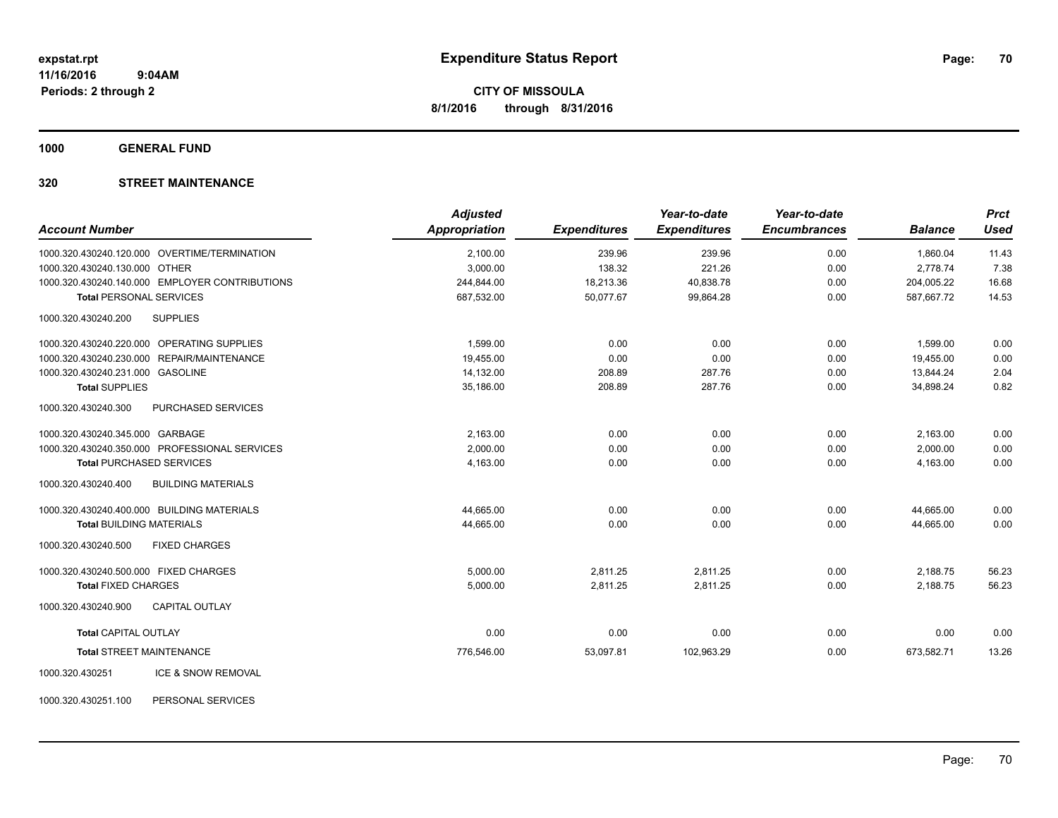**1000 GENERAL FUND**

### **320 STREET MAINTENANCE**

| <b>Account Number</b>                            | <b>Adjusted</b><br><b>Appropriation</b> | <b>Expenditures</b> | Year-to-date<br><b>Expenditures</b> | Year-to-date<br><b>Encumbrances</b> | <b>Balance</b> | <b>Prct</b><br>Used |
|--------------------------------------------------|-----------------------------------------|---------------------|-------------------------------------|-------------------------------------|----------------|---------------------|
|                                                  |                                         |                     |                                     |                                     |                |                     |
| 1000.320.430240.120.000 OVERTIME/TERMINATION     | 2,100.00                                | 239.96              | 239.96                              | 0.00                                | 1,860.04       | 11.43               |
| 1000.320.430240.130.000 OTHER                    | 3,000.00                                | 138.32              | 221.26                              | 0.00                                | 2,778.74       | 7.38                |
| 1000.320.430240.140.000 EMPLOYER CONTRIBUTIONS   | 244,844.00                              | 18,213.36           | 40,838.78                           | 0.00                                | 204,005.22     | 16.68               |
| <b>Total PERSONAL SERVICES</b>                   | 687,532.00                              | 50,077.67           | 99,864.28                           | 0.00                                | 587,667.72     | 14.53               |
| 1000.320.430240.200<br><b>SUPPLIES</b>           |                                         |                     |                                     |                                     |                |                     |
| 1000.320.430240.220.000 OPERATING SUPPLIES       | 1,599.00                                | 0.00                | 0.00                                | 0.00                                | 1,599.00       | 0.00                |
| 1000.320.430240.230.000 REPAIR/MAINTENANCE       | 19,455.00                               | 0.00                | 0.00                                | 0.00                                | 19,455.00      | 0.00                |
| 1000.320.430240.231.000 GASOLINE                 | 14,132.00                               | 208.89              | 287.76                              | 0.00                                | 13,844.24      | 2.04                |
| <b>Total SUPPLIES</b>                            | 35,186.00                               | 208.89              | 287.76                              | 0.00                                | 34,898.24      | 0.82                |
| PURCHASED SERVICES<br>1000.320.430240.300        |                                         |                     |                                     |                                     |                |                     |
| 1000.320.430240.345.000 GARBAGE                  | 2,163.00                                | 0.00                | 0.00                                | 0.00                                | 2,163.00       | 0.00                |
| 1000.320.430240.350.000 PROFESSIONAL SERVICES    | 2,000.00                                | 0.00                | 0.00                                | 0.00                                | 2,000.00       | 0.00                |
| <b>Total PURCHASED SERVICES</b>                  | 4,163.00                                | 0.00                | 0.00                                | 0.00                                | 4,163.00       | 0.00                |
| 1000.320.430240.400<br><b>BUILDING MATERIALS</b> |                                         |                     |                                     |                                     |                |                     |
| 1000.320.430240.400.000 BUILDING MATERIALS       | 44,665.00                               | 0.00                | 0.00                                | 0.00                                | 44,665.00      | 0.00                |
| <b>Total BUILDING MATERIALS</b>                  | 44,665.00                               | 0.00                | 0.00                                | 0.00                                | 44,665.00      | 0.00                |
| <b>FIXED CHARGES</b><br>1000.320.430240.500      |                                         |                     |                                     |                                     |                |                     |
| 1000.320.430240.500.000 FIXED CHARGES            | 5,000.00                                | 2,811.25            | 2,811.25                            | 0.00                                | 2,188.75       | 56.23               |
| <b>Total FIXED CHARGES</b>                       | 5,000.00                                | 2,811.25            | 2,811.25                            | 0.00                                | 2,188.75       | 56.23               |
| <b>CAPITAL OUTLAY</b><br>1000.320.430240.900     |                                         |                     |                                     |                                     |                |                     |
| <b>Total CAPITAL OUTLAY</b>                      | 0.00                                    | 0.00                | 0.00                                | 0.00                                | 0.00           | 0.00                |
| <b>Total STREET MAINTENANCE</b>                  | 776,546.00                              | 53,097.81           | 102,963.29                          | 0.00                                | 673,582.71     | 13.26               |
| ICE & SNOW REMOVAL<br>1000.320.430251            |                                         |                     |                                     |                                     |                |                     |

1000.320.430251.100 PERSONAL SERVICES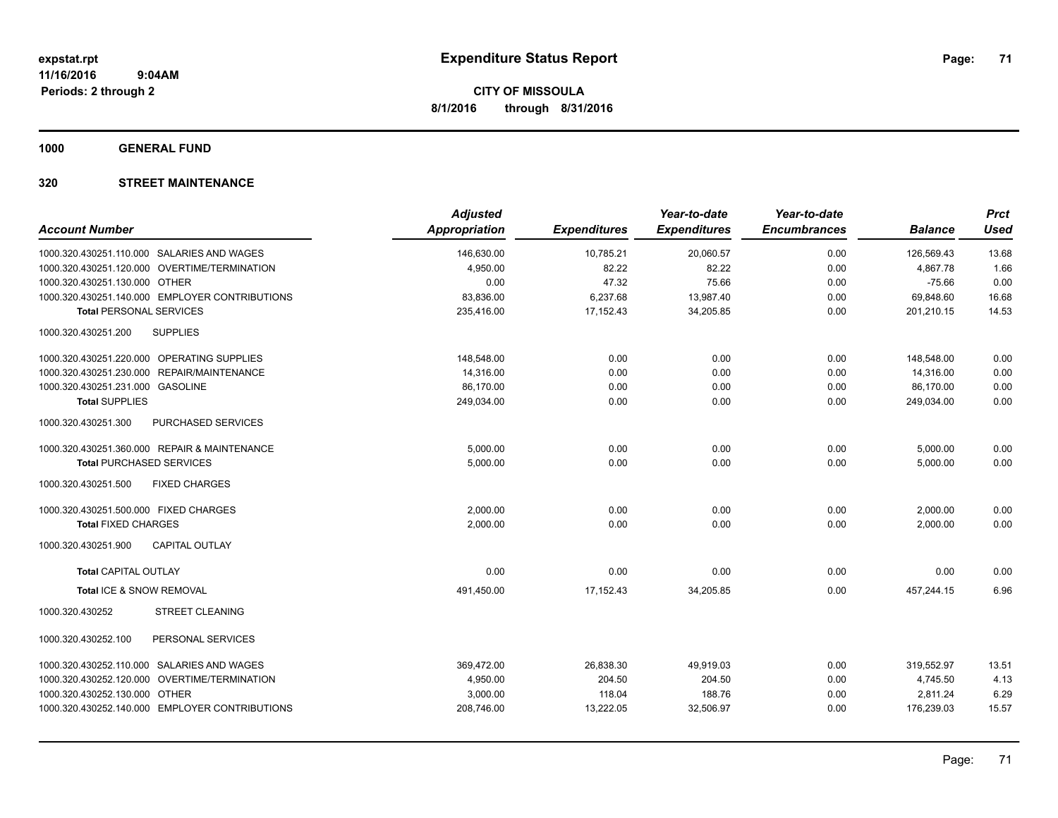**1000 GENERAL FUND**

| <b>Adjusted</b> |                      | Year-to-date        | Year-to-date        |                     | <b>Prct</b>    |
|-----------------|----------------------|---------------------|---------------------|---------------------|----------------|
|                 |                      |                     |                     |                     | <b>Used</b>    |
| 146,630.00      | 10,785.21            | 20,060.57           | 0.00                | 126,569.43          | 13.68          |
| 4.950.00        | 82.22                | 82.22               | 0.00                | 4,867.78            | 1.66           |
| 0.00            | 47.32                | 75.66               | 0.00                | $-75.66$            | 0.00           |
| 83,836.00       | 6,237.68             | 13,987.40           | 0.00                | 69,848.60           | 16.68          |
| 235,416.00      | 17,152.43            | 34,205.85           | 0.00                | 201,210.15          | 14.53          |
|                 |                      |                     |                     |                     |                |
| 148,548.00      | 0.00                 | 0.00                | 0.00                | 148,548.00          | 0.00           |
| 14,316.00       | 0.00                 | 0.00                | 0.00                | 14,316.00           | 0.00           |
| 86,170.00       | 0.00                 | 0.00                | 0.00                | 86,170.00           | 0.00           |
| 249,034.00      | 0.00                 | 0.00                | 0.00                | 249,034.00          | 0.00           |
|                 |                      |                     |                     |                     |                |
| 5,000.00        | 0.00                 | 0.00                | 0.00                | 5,000.00            | 0.00           |
| 5.000.00        | 0.00                 | 0.00                | 0.00                | 5.000.00            | 0.00           |
|                 |                      |                     |                     |                     |                |
| 2,000.00        | 0.00                 | 0.00                | 0.00                | 2,000.00            | 0.00           |
| 2,000.00        | 0.00                 | 0.00                | 0.00                | 2,000.00            | 0.00           |
|                 |                      |                     |                     |                     |                |
| 0.00            | 0.00                 | 0.00                | 0.00                | 0.00                | 0.00           |
| 491,450.00      | 17,152.43            | 34,205.85           | 0.00                | 457,244.15          | 6.96           |
|                 |                      |                     |                     |                     |                |
|                 |                      |                     |                     |                     |                |
| 369,472.00      | 26,838.30            | 49,919.03           | 0.00                | 319,552.97          | 13.51          |
| 4,950.00        | 204.50               | 204.50              | 0.00                | 4,745.50            | 4.13           |
| 3,000.00        | 118.04               | 188.76              | 0.00                | 2,811.24            | 6.29           |
| 208,746.00      | 13,222.05            | 32,506.97           | 0.00                | 176,239.03          | 15.57          |
|                 | <b>Appropriation</b> | <b>Expenditures</b> | <b>Expenditures</b> | <b>Encumbrances</b> | <b>Balance</b> |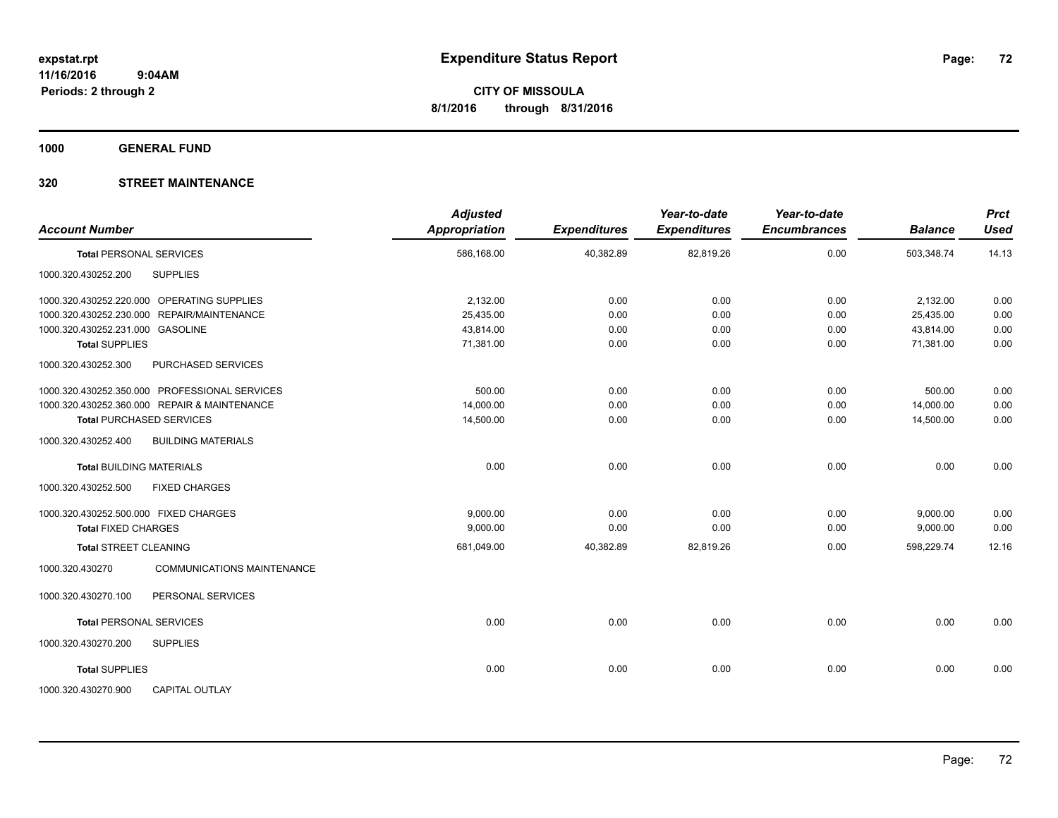**1000 GENERAL FUND**

| <b>Account Number</b>                                | <b>Adjusted</b><br>Appropriation | <b>Expenditures</b> | Year-to-date<br><b>Expenditures</b> | Year-to-date<br><b>Encumbrances</b> | <b>Balance</b> | <b>Prct</b><br><b>Used</b> |
|------------------------------------------------------|----------------------------------|---------------------|-------------------------------------|-------------------------------------|----------------|----------------------------|
| <b>Total PERSONAL SERVICES</b>                       | 586,168.00                       | 40,382.89           | 82,819.26                           | 0.00                                | 503,348.74     | 14.13                      |
| <b>SUPPLIES</b><br>1000.320.430252.200               |                                  |                     |                                     |                                     |                |                            |
| 1000.320.430252.220.000 OPERATING SUPPLIES           | 2,132.00                         | 0.00                | 0.00                                | 0.00                                | 2,132.00       | 0.00                       |
| 1000.320.430252.230.000 REPAIR/MAINTENANCE           | 25,435.00                        | 0.00                | 0.00                                | 0.00                                | 25,435.00      | 0.00                       |
| 1000.320.430252.231.000 GASOLINE                     | 43.814.00                        | 0.00                | 0.00                                | 0.00                                | 43,814.00      | 0.00                       |
| <b>Total SUPPLIES</b>                                | 71,381.00                        | 0.00                | 0.00                                | 0.00                                | 71,381.00      | 0.00                       |
| 1000.320.430252.300<br>PURCHASED SERVICES            |                                  |                     |                                     |                                     |                |                            |
| 1000.320.430252.350.000 PROFESSIONAL SERVICES        | 500.00                           | 0.00                | 0.00                                | 0.00                                | 500.00         | 0.00                       |
| 1000.320.430252.360.000 REPAIR & MAINTENANCE         | 14,000.00                        | 0.00                | 0.00                                | 0.00                                | 14,000.00      | 0.00                       |
| <b>Total PURCHASED SERVICES</b>                      | 14,500.00                        | 0.00                | 0.00                                | 0.00                                | 14,500.00      | 0.00                       |
| 1000.320.430252.400<br><b>BUILDING MATERIALS</b>     |                                  |                     |                                     |                                     |                |                            |
| <b>Total BUILDING MATERIALS</b>                      | 0.00                             | 0.00                | 0.00                                | 0.00                                | 0.00           | 0.00                       |
| 1000.320.430252.500<br><b>FIXED CHARGES</b>          |                                  |                     |                                     |                                     |                |                            |
| 1000.320.430252.500.000 FIXED CHARGES                | 9,000.00                         | 0.00                | 0.00                                | 0.00                                | 9,000.00       | 0.00                       |
| <b>Total FIXED CHARGES</b>                           | 9,000.00                         | 0.00                | 0.00                                | 0.00                                | 9,000.00       | 0.00                       |
| <b>Total STREET CLEANING</b>                         | 681,049.00                       | 40,382.89           | 82,819.26                           | 0.00                                | 598,229.74     | 12.16                      |
| <b>COMMUNICATIONS MAINTENANCE</b><br>1000.320.430270 |                                  |                     |                                     |                                     |                |                            |
| PERSONAL SERVICES<br>1000.320.430270.100             |                                  |                     |                                     |                                     |                |                            |
| <b>Total PERSONAL SERVICES</b>                       | 0.00                             | 0.00                | 0.00                                | 0.00                                | 0.00           | 0.00                       |
| 1000.320.430270.200<br><b>SUPPLIES</b>               |                                  |                     |                                     |                                     |                |                            |
| <b>Total SUPPLIES</b>                                | 0.00                             | 0.00                | 0.00                                | 0.00                                | 0.00           | 0.00                       |
| 1000.320.430270.900<br><b>CAPITAL OUTLAY</b>         |                                  |                     |                                     |                                     |                |                            |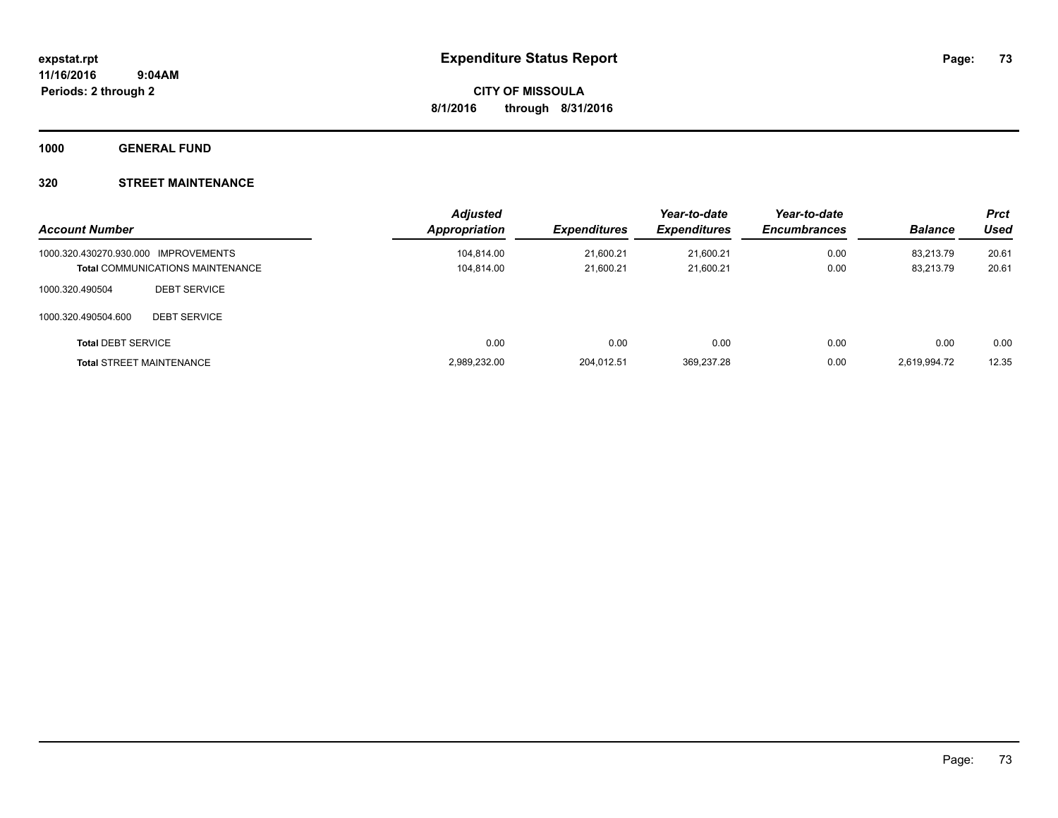**1000 GENERAL FUND**

### **320 STREET MAINTENANCE**

| <b>Account Number</b>                |                                         | <b>Adjusted</b><br>Appropriation | <b>Expenditures</b> | Year-to-date<br><b>Expenditures</b> | Year-to-date<br><b>Encumbrances</b> | <b>Balance</b> | <b>Prct</b><br><b>Used</b> |
|--------------------------------------|-----------------------------------------|----------------------------------|---------------------|-------------------------------------|-------------------------------------|----------------|----------------------------|
| 1000.320.430270.930.000 IMPROVEMENTS |                                         | 104,814.00                       | 21.600.21           | 21.600.21                           | 0.00                                | 83.213.79      | 20.61                      |
|                                      | <b>Total COMMUNICATIONS MAINTENANCE</b> | 104,814.00                       | 21,600.21           | 21.600.21                           | 0.00                                | 83,213.79      | 20.61                      |
| 1000.320.490504                      | <b>DEBT SERVICE</b>                     |                                  |                     |                                     |                                     |                |                            |
| 1000.320.490504.600                  | <b>DEBT SERVICE</b>                     |                                  |                     |                                     |                                     |                |                            |
| <b>Total DEBT SERVICE</b>            |                                         | 0.00                             | 0.00                | 0.00                                | 0.00                                | 0.00           | 0.00                       |
|                                      | <b>Total STREET MAINTENANCE</b>         | 2,989,232.00                     | 204.012.51          | 369.237.28                          | 0.00                                | 2,619,994.72   | 12.35                      |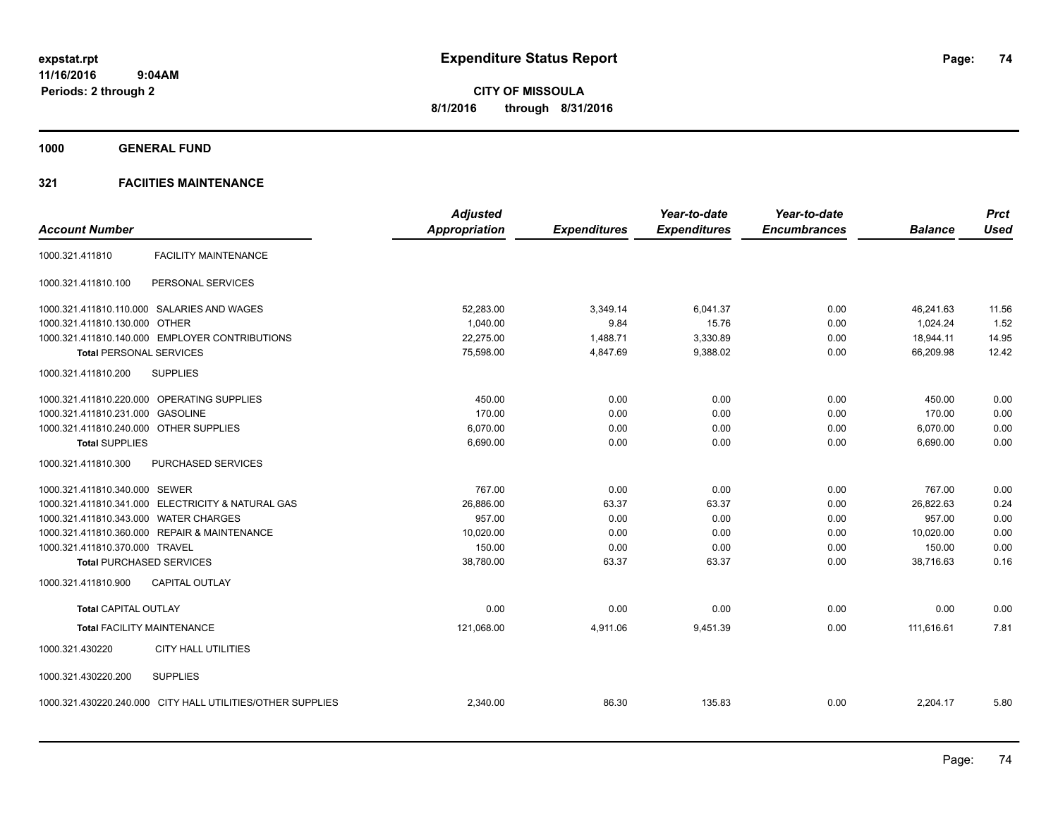**1000 GENERAL FUND**

|                                                            | <b>Adjusted</b>      |                     | Year-to-date        | Year-to-date        |                | <b>Prct</b> |
|------------------------------------------------------------|----------------------|---------------------|---------------------|---------------------|----------------|-------------|
| <b>Account Number</b>                                      | <b>Appropriation</b> | <b>Expenditures</b> | <b>Expenditures</b> | <b>Encumbrances</b> | <b>Balance</b> | <b>Used</b> |
| <b>FACILITY MAINTENANCE</b><br>1000.321.411810             |                      |                     |                     |                     |                |             |
| PERSONAL SERVICES<br>1000.321.411810.100                   |                      |                     |                     |                     |                |             |
| 1000.321.411810.110.000 SALARIES AND WAGES                 | 52,283.00            | 3,349.14            | 6.041.37            | 0.00                | 46.241.63      | 11.56       |
| 1000.321.411810.130.000 OTHER                              | 1,040.00             | 9.84                | 15.76               | 0.00                | 1,024.24       | 1.52        |
| 1000.321.411810.140.000 EMPLOYER CONTRIBUTIONS             | 22,275.00            | 1,488.71            | 3,330.89            | 0.00                | 18,944.11      | 14.95       |
| <b>Total PERSONAL SERVICES</b>                             | 75,598.00            | 4,847.69            | 9,388.02            | 0.00                | 66,209.98      | 12.42       |
| <b>SUPPLIES</b><br>1000.321.411810.200                     |                      |                     |                     |                     |                |             |
| 1000.321.411810.220.000 OPERATING SUPPLIES                 | 450.00               | 0.00                | 0.00                | 0.00                | 450.00         | 0.00        |
| 1000.321.411810.231.000 GASOLINE                           | 170.00               | 0.00                | 0.00                | 0.00                | 170.00         | 0.00        |
| 1000.321.411810.240.000 OTHER SUPPLIES                     | 6,070.00             | 0.00                | 0.00                | 0.00                | 6,070.00       | 0.00        |
| <b>Total SUPPLIES</b>                                      | 6,690.00             | 0.00                | 0.00                | 0.00                | 6,690.00       | 0.00        |
| 1000.321.411810.300<br><b>PURCHASED SERVICES</b>           |                      |                     |                     |                     |                |             |
| 1000.321.411810.340.000 SEWER                              | 767.00               | 0.00                | 0.00                | 0.00                | 767.00         | 0.00        |
| 1000.321.411810.341.000 ELECTRICITY & NATURAL GAS          | 26,886.00            | 63.37               | 63.37               | 0.00                | 26,822.63      | 0.24        |
| 1000.321.411810.343.000 WATER CHARGES                      | 957.00               | 0.00                | 0.00                | 0.00                | 957.00         | 0.00        |
| 1000.321.411810.360.000 REPAIR & MAINTENANCE               | 10,020.00            | 0.00                | 0.00                | 0.00                | 10,020.00      | 0.00        |
| 1000.321.411810.370.000 TRAVEL                             | 150.00               | 0.00                | 0.00                | 0.00                | 150.00         | 0.00        |
| <b>Total PURCHASED SERVICES</b>                            | 38,780.00            | 63.37               | 63.37               | 0.00                | 38.716.63      | 0.16        |
| 1000.321.411810.900<br><b>CAPITAL OUTLAY</b>               |                      |                     |                     |                     |                |             |
| <b>Total CAPITAL OUTLAY</b>                                | 0.00                 | 0.00                | 0.00                | 0.00                | 0.00           | 0.00        |
| <b>Total FACILITY MAINTENANCE</b>                          | 121,068.00           | 4,911.06            | 9,451.39            | 0.00                | 111,616.61     | 7.81        |
| 1000.321.430220<br><b>CITY HALL UTILITIES</b>              |                      |                     |                     |                     |                |             |
| 1000.321.430220.200<br><b>SUPPLIES</b>                     |                      |                     |                     |                     |                |             |
| 1000.321.430220.240.000 CITY HALL UTILITIES/OTHER SUPPLIES | 2,340.00             | 86.30               | 135.83              | 0.00                | 2,204.17       | 5.80        |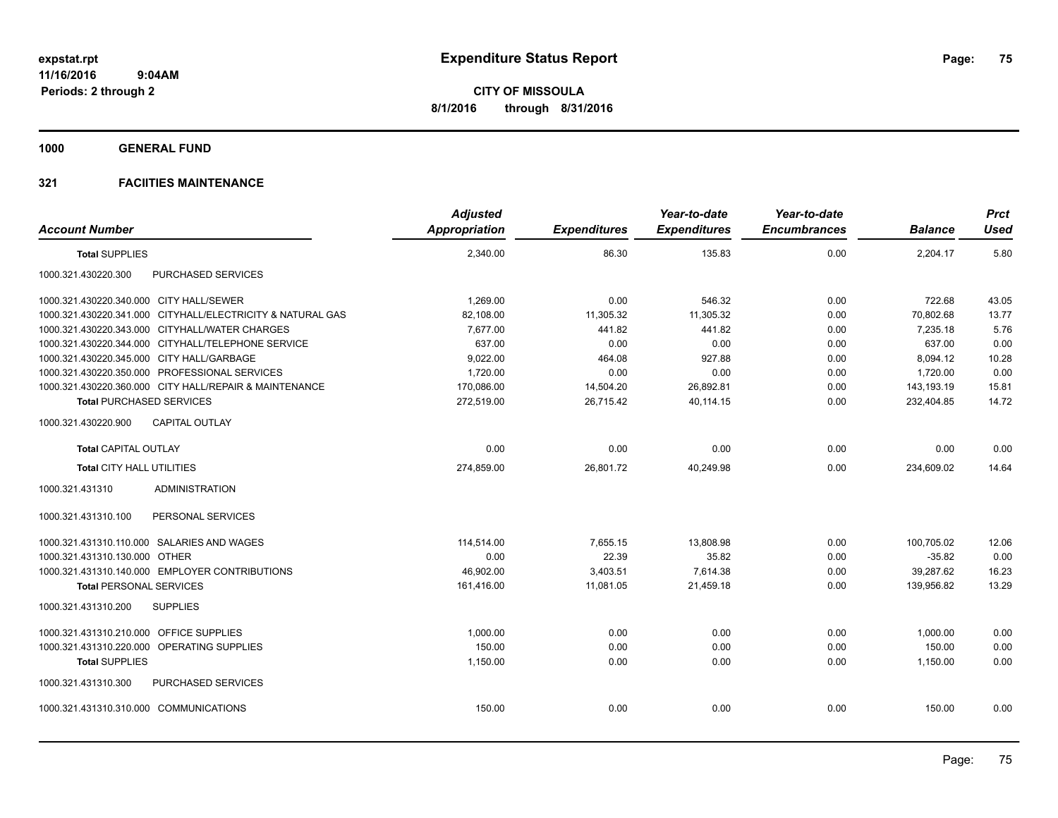**1000 GENERAL FUND**

| <b>Account Number</b>                     |                                                            | <b>Adjusted</b><br>Appropriation | <b>Expenditures</b> | Year-to-date<br><b>Expenditures</b> | Year-to-date<br><b>Encumbrances</b> | <b>Balance</b> | <b>Prct</b><br><b>Used</b> |
|-------------------------------------------|------------------------------------------------------------|----------------------------------|---------------------|-------------------------------------|-------------------------------------|----------------|----------------------------|
| <b>Total SUPPLIES</b>                     |                                                            | 2,340.00                         | 86.30               | 135.83                              | 0.00                                | 2,204.17       | 5.80                       |
| 1000.321.430220.300                       | PURCHASED SERVICES                                         |                                  |                     |                                     |                                     |                |                            |
| 1000.321.430220.340.000 CITY HALL/SEWER   |                                                            | 1,269.00                         | 0.00                | 546.32                              | 0.00                                | 722.68         | 43.05                      |
|                                           | 1000.321.430220.341.000 CITYHALL/ELECTRICITY & NATURAL GAS | 82,108.00                        | 11,305.32           | 11.305.32                           | 0.00                                | 70.802.68      | 13.77                      |
|                                           | 1000.321.430220.343.000 CITYHALL/WATER CHARGES             | 7,677.00                         | 441.82              | 441.82                              | 0.00                                | 7,235.18       | 5.76                       |
|                                           | 1000.321.430220.344.000 CITYHALL/TELEPHONE SERVICE         | 637.00                           | 0.00                | 0.00                                | 0.00                                | 637.00         | 0.00                       |
| 1000.321.430220.345.000 CITY HALL/GARBAGE |                                                            | 9,022.00                         | 464.08              | 927.88                              | 0.00                                | 8,094.12       | 10.28                      |
|                                           | 1000.321.430220.350.000 PROFESSIONAL SERVICES              | 1,720.00                         | 0.00                | 0.00                                | 0.00                                | 1,720.00       | 0.00                       |
|                                           | 1000.321.430220.360.000 CITY HALL/REPAIR & MAINTENANCE     | 170,086.00                       | 14,504.20           | 26,892.81                           | 0.00                                | 143,193.19     | 15.81                      |
| <b>Total PURCHASED SERVICES</b>           |                                                            | 272,519.00                       | 26,715.42           | 40,114.15                           | 0.00                                | 232,404.85     | 14.72                      |
| 1000.321.430220.900                       | <b>CAPITAL OUTLAY</b>                                      |                                  |                     |                                     |                                     |                |                            |
| <b>Total CAPITAL OUTLAY</b>               |                                                            | 0.00                             | 0.00                | 0.00                                | 0.00                                | 0.00           | 0.00                       |
| Total CITY HALL UTILITIES                 |                                                            | 274,859.00                       | 26,801.72           | 40,249.98                           | 0.00                                | 234,609.02     | 14.64                      |
| 1000.321.431310                           | <b>ADMINISTRATION</b>                                      |                                  |                     |                                     |                                     |                |                            |
| 1000.321.431310.100                       | PERSONAL SERVICES                                          |                                  |                     |                                     |                                     |                |                            |
|                                           | 1000.321.431310.110.000 SALARIES AND WAGES                 | 114,514.00                       | 7,655.15            | 13,808.98                           | 0.00                                | 100,705.02     | 12.06                      |
| 1000.321.431310.130.000 OTHER             |                                                            | 0.00                             | 22.39               | 35.82                               | 0.00                                | $-35.82$       | 0.00                       |
|                                           | 1000.321.431310.140.000 EMPLOYER CONTRIBUTIONS             | 46,902.00                        | 3,403.51            | 7,614.38                            | 0.00                                | 39,287.62      | 16.23                      |
| <b>Total PERSONAL SERVICES</b>            |                                                            | 161,416.00                       | 11,081.05           | 21,459.18                           | 0.00                                | 139,956.82     | 13.29                      |
| 1000.321.431310.200                       | <b>SUPPLIES</b>                                            |                                  |                     |                                     |                                     |                |                            |
| 1000.321.431310.210.000 OFFICE SUPPLIES   |                                                            | 1,000.00                         | 0.00                | 0.00                                | 0.00                                | 1.000.00       | 0.00                       |
|                                           | 1000.321.431310.220.000 OPERATING SUPPLIES                 | 150.00                           | 0.00                | 0.00                                | 0.00                                | 150.00         | 0.00                       |
| <b>Total SUPPLIES</b>                     |                                                            | 1,150.00                         | 0.00                | 0.00                                | 0.00                                | 1,150.00       | 0.00                       |
| 1000.321.431310.300                       | PURCHASED SERVICES                                         |                                  |                     |                                     |                                     |                |                            |
| 1000.321.431310.310.000 COMMUNICATIONS    |                                                            | 150.00                           | 0.00                | 0.00                                | 0.00                                | 150.00         | 0.00                       |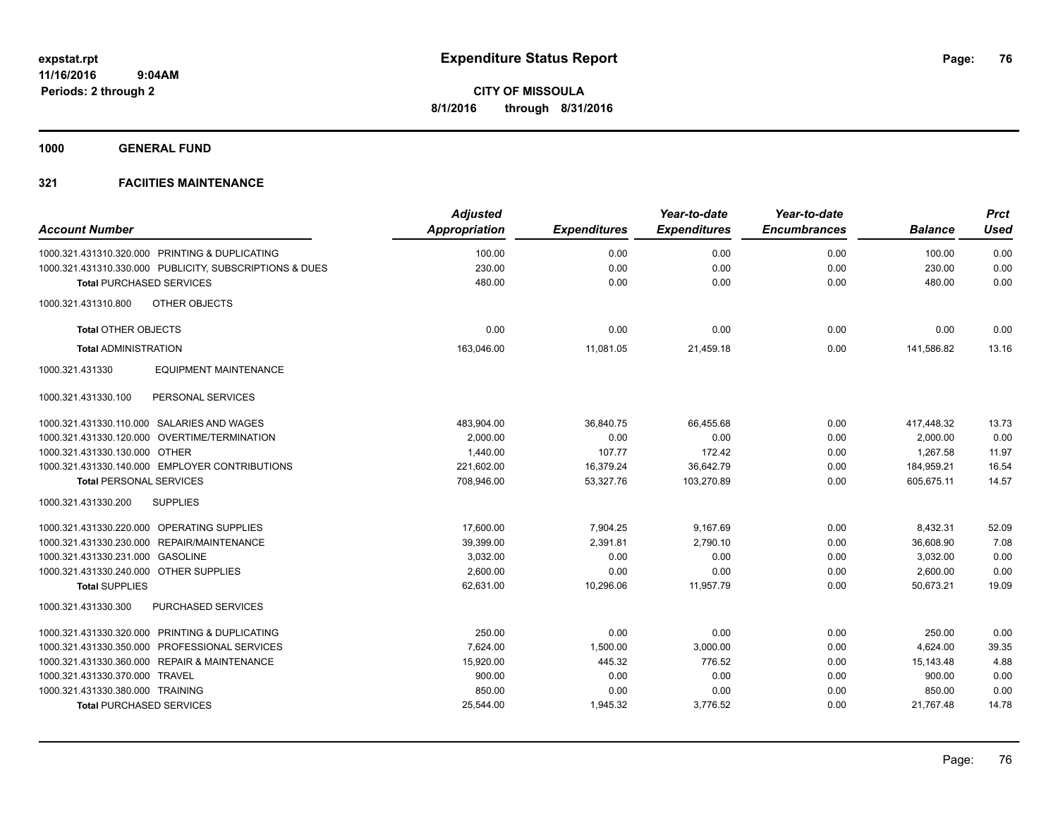**1000 GENERAL FUND**

|                                        |                                                         | <b>Adjusted</b>      |                     | Year-to-date        | Year-to-date        |                | <b>Prct</b> |
|----------------------------------------|---------------------------------------------------------|----------------------|---------------------|---------------------|---------------------|----------------|-------------|
| <b>Account Number</b>                  |                                                         | <b>Appropriation</b> | <b>Expenditures</b> | <b>Expenditures</b> | <b>Encumbrances</b> | <b>Balance</b> | <b>Used</b> |
|                                        | 1000.321.431310.320.000 PRINTING & DUPLICATING          | 100.00               | 0.00                | 0.00                | 0.00                | 100.00         | 0.00        |
|                                        | 1000.321.431310.330.000 PUBLICITY, SUBSCRIPTIONS & DUES | 230.00               | 0.00                | 0.00                | 0.00                | 230.00         | 0.00        |
| <b>Total PURCHASED SERVICES</b>        |                                                         | 480.00               | 0.00                | 0.00                | 0.00                | 480.00         | 0.00        |
| 1000.321.431310.800                    | OTHER OBJECTS                                           |                      |                     |                     |                     |                |             |
| <b>Total OTHER OBJECTS</b>             |                                                         | 0.00                 | 0.00                | 0.00                | 0.00                | 0.00           | 0.00        |
| <b>Total ADMINISTRATION</b>            |                                                         | 163.046.00           | 11.081.05           | 21,459.18           | 0.00                | 141.586.82     | 13.16       |
| 1000.321.431330                        | <b>EQUIPMENT MAINTENANCE</b>                            |                      |                     |                     |                     |                |             |
| 1000.321.431330.100                    | PERSONAL SERVICES                                       |                      |                     |                     |                     |                |             |
|                                        | 1000.321.431330.110.000 SALARIES AND WAGES              | 483,904.00           | 36,840.75           | 66,455.68           | 0.00                | 417,448.32     | 13.73       |
|                                        | 1000.321.431330.120.000 OVERTIME/TERMINATION            | 2,000.00             | 0.00                | 0.00                | 0.00                | 2,000.00       | 0.00        |
| 1000.321.431330.130.000 OTHER          |                                                         | 1,440.00             | 107.77              | 172.42              | 0.00                | 1,267.58       | 11.97       |
|                                        | 1000.321.431330.140.000 EMPLOYER CONTRIBUTIONS          | 221,602.00           | 16,379.24           | 36,642.79           | 0.00                | 184,959.21     | 16.54       |
| <b>Total PERSONAL SERVICES</b>         |                                                         | 708,946.00           | 53,327.76           | 103,270.89          | 0.00                | 605,675.11     | 14.57       |
| 1000.321.431330.200                    | <b>SUPPLIES</b>                                         |                      |                     |                     |                     |                |             |
|                                        | 1000.321.431330.220.000 OPERATING SUPPLIES              | 17,600.00            | 7,904.25            | 9,167.69            | 0.00                | 8,432.31       | 52.09       |
|                                        | 1000.321.431330.230.000 REPAIR/MAINTENANCE              | 39,399.00            | 2,391.81            | 2.790.10            | 0.00                | 36,608.90      | 7.08        |
| 1000.321.431330.231.000 GASOLINE       |                                                         | 3,032.00             | 0.00                | 0.00                | 0.00                | 3,032.00       | 0.00        |
| 1000.321.431330.240.000 OTHER SUPPLIES |                                                         | 2,600.00             | 0.00                | 0.00                | 0.00                | 2,600.00       | 0.00        |
| <b>Total SUPPLIES</b>                  |                                                         | 62,631.00            | 10,296.06           | 11,957.79           | 0.00                | 50,673.21      | 19.09       |
| 1000.321.431330.300                    | <b>PURCHASED SERVICES</b>                               |                      |                     |                     |                     |                |             |
|                                        | 1000.321.431330.320.000 PRINTING & DUPLICATING          | 250.00               | 0.00                | 0.00                | 0.00                | 250.00         | 0.00        |
|                                        | 1000.321.431330.350.000 PROFESSIONAL SERVICES           | 7,624.00             | 1,500.00            | 3,000.00            | 0.00                | 4,624.00       | 39.35       |
|                                        | 1000.321.431330.360.000 REPAIR & MAINTENANCE            | 15,920.00            | 445.32              | 776.52              | 0.00                | 15,143.48      | 4.88        |
| 1000.321.431330.370.000 TRAVEL         |                                                         | 900.00               | 0.00                | 0.00                | 0.00                | 900.00         | 0.00        |
| 1000.321.431330.380.000 TRAINING       |                                                         | 850.00               | 0.00                | 0.00                | 0.00                | 850.00         | 0.00        |
| <b>Total PURCHASED SERVICES</b>        |                                                         | 25,544.00            | 1,945.32            | 3,776.52            | 0.00                | 21,767.48      | 14.78       |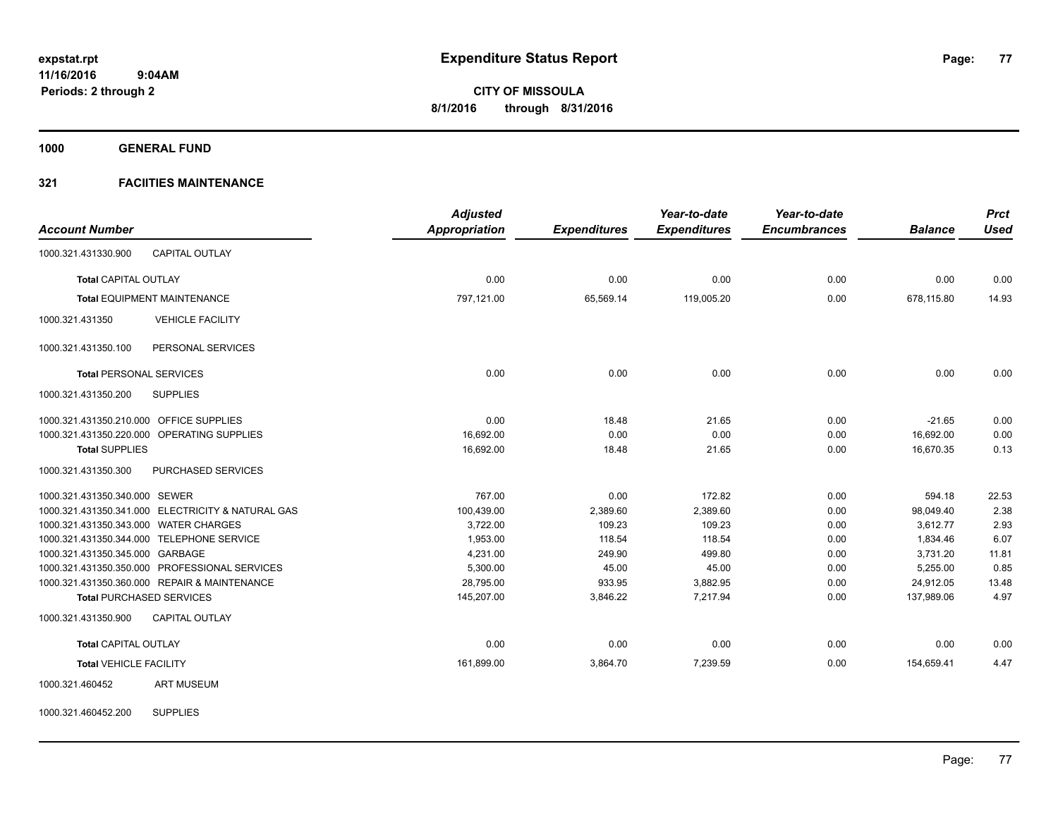**1000 GENERAL FUND**

### **321 FACIITIES MAINTENANCE**

|                                                   | <b>Adjusted</b>      |                     | Year-to-date        | Year-to-date        |                | <b>Prct</b> |
|---------------------------------------------------|----------------------|---------------------|---------------------|---------------------|----------------|-------------|
| <b>Account Number</b>                             | <b>Appropriation</b> | <b>Expenditures</b> | <b>Expenditures</b> | <b>Encumbrances</b> | <b>Balance</b> | <b>Used</b> |
| 1000.321.431330.900<br><b>CAPITAL OUTLAY</b>      |                      |                     |                     |                     |                |             |
| <b>Total CAPITAL OUTLAY</b>                       | 0.00                 | 0.00                | 0.00                | 0.00                | 0.00           | 0.00        |
| <b>Total EQUIPMENT MAINTENANCE</b>                | 797,121.00           | 65,569.14           | 119,005.20          | 0.00                | 678,115.80     | 14.93       |
| 1000.321.431350<br><b>VEHICLE FACILITY</b>        |                      |                     |                     |                     |                |             |
| PERSONAL SERVICES<br>1000.321.431350.100          |                      |                     |                     |                     |                |             |
| <b>Total PERSONAL SERVICES</b>                    | 0.00                 | 0.00                | 0.00                | 0.00                | 0.00           | 0.00        |
| 1000.321.431350.200<br><b>SUPPLIES</b>            |                      |                     |                     |                     |                |             |
| 1000.321.431350.210.000 OFFICE SUPPLIES           | 0.00                 | 18.48               | 21.65               | 0.00                | $-21.65$       | 0.00        |
| 1000.321.431350.220.000 OPERATING SUPPLIES        | 16,692.00            | 0.00                | 0.00                | 0.00                | 16,692.00      | 0.00        |
| <b>Total SUPPLIES</b>                             | 16,692.00            | 18.48               | 21.65               | 0.00                | 16,670.35      | 0.13        |
| 1000.321.431350.300<br>PURCHASED SERVICES         |                      |                     |                     |                     |                |             |
| 1000.321.431350.340.000 SEWER                     | 767.00               | 0.00                | 172.82              | 0.00                | 594.18         | 22.53       |
| 1000.321.431350.341.000 ELECTRICITY & NATURAL GAS | 100,439.00           | 2,389.60            | 2,389.60            | 0.00                | 98,049.40      | 2.38        |
| 1000.321.431350.343.000 WATER CHARGES             | 3,722.00             | 109.23              | 109.23              | 0.00                | 3,612.77       | 2.93        |
| 1000.321.431350.344.000 TELEPHONE SERVICE         | 1,953.00             | 118.54              | 118.54              | 0.00                | 1,834.46       | 6.07        |
| 1000.321.431350.345.000 GARBAGE                   | 4,231.00             | 249.90              | 499.80              | 0.00                | 3,731.20       | 11.81       |
| 1000.321.431350.350.000 PROFESSIONAL SERVICES     | 5,300.00             | 45.00               | 45.00               | 0.00                | 5,255.00       | 0.85        |
| 1000.321.431350.360.000 REPAIR & MAINTENANCE      | 28,795.00            | 933.95              | 3,882.95            | 0.00                | 24,912.05      | 13.48       |
| <b>Total PURCHASED SERVICES</b>                   | 145,207.00           | 3,846.22            | 7,217.94            | 0.00                | 137,989.06     | 4.97        |
| 1000.321.431350.900<br><b>CAPITAL OUTLAY</b>      |                      |                     |                     |                     |                |             |
| <b>Total CAPITAL OUTLAY</b>                       | 0.00                 | 0.00                | 0.00                | 0.00                | 0.00           | 0.00        |
| <b>Total VEHICLE FACILITY</b>                     | 161,899.00           | 3,864.70            | 7,239.59            | 0.00                | 154,659.41     | 4.47        |
| <b>ART MUSEUM</b><br>1000.321.460452              |                      |                     |                     |                     |                |             |

1000.321.460452.200 SUPPLIES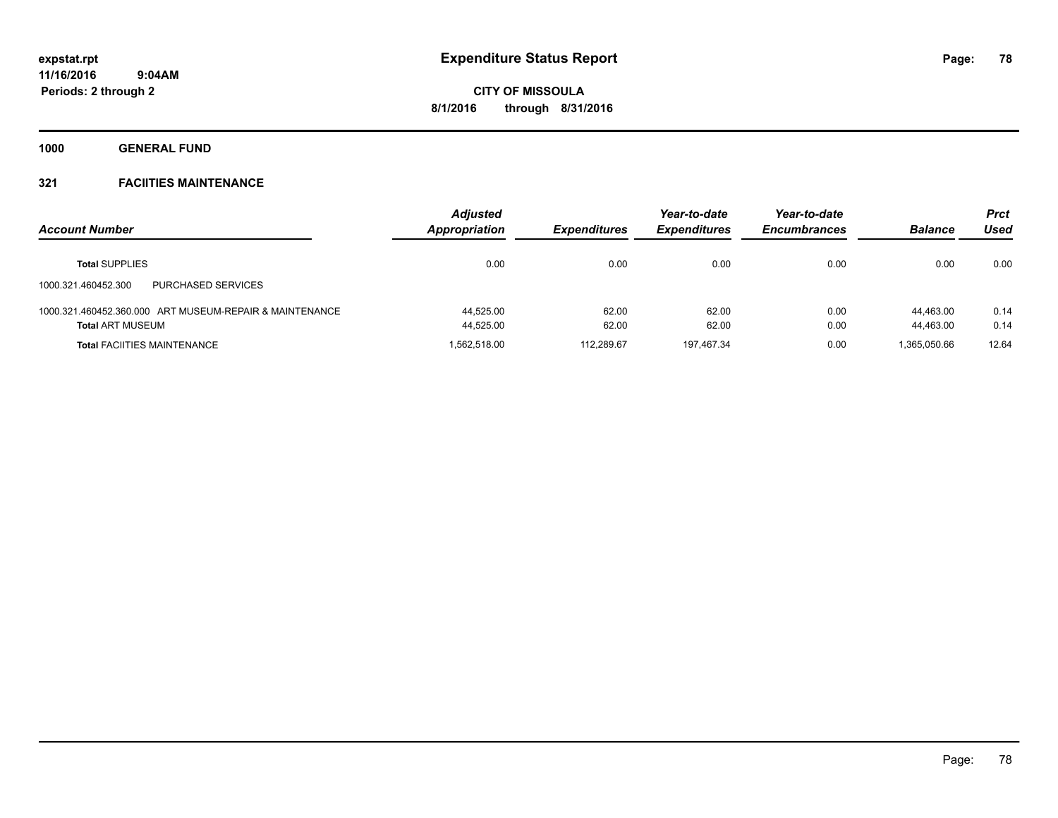**1000 GENERAL FUND**

| <b>Account Number</b>                                   | <b>Adjusted</b><br>Appropriation | <b>Expenditures</b> | Year-to-date<br><b>Expenditures</b> | Year-to-date<br><b>Encumbrances</b> | <b>Balance</b> | Prct<br>Used |
|---------------------------------------------------------|----------------------------------|---------------------|-------------------------------------|-------------------------------------|----------------|--------------|
| <b>Total SUPPLIES</b>                                   | 0.00                             | 0.00                | 0.00                                | 0.00                                | 0.00           | 0.00         |
| <b>PURCHASED SERVICES</b><br>1000.321.460452.300        |                                  |                     |                                     |                                     |                |              |
| 1000.321.460452.360.000 ART MUSEUM-REPAIR & MAINTENANCE | 44,525.00                        | 62.00               | 62.00                               | 0.00                                | 44.463.00      | 0.14         |
| <b>Total ART MUSEUM</b>                                 | 44,525.00                        | 62.00               | 62.00                               | 0.00                                | 44.463.00      | 0.14         |
| <b>Total FACIITIES MAINTENANCE</b>                      | 1.562.518.00                     | 112.289.67          | 197.467.34                          | 0.00                                | 1,365,050.66   | 12.64        |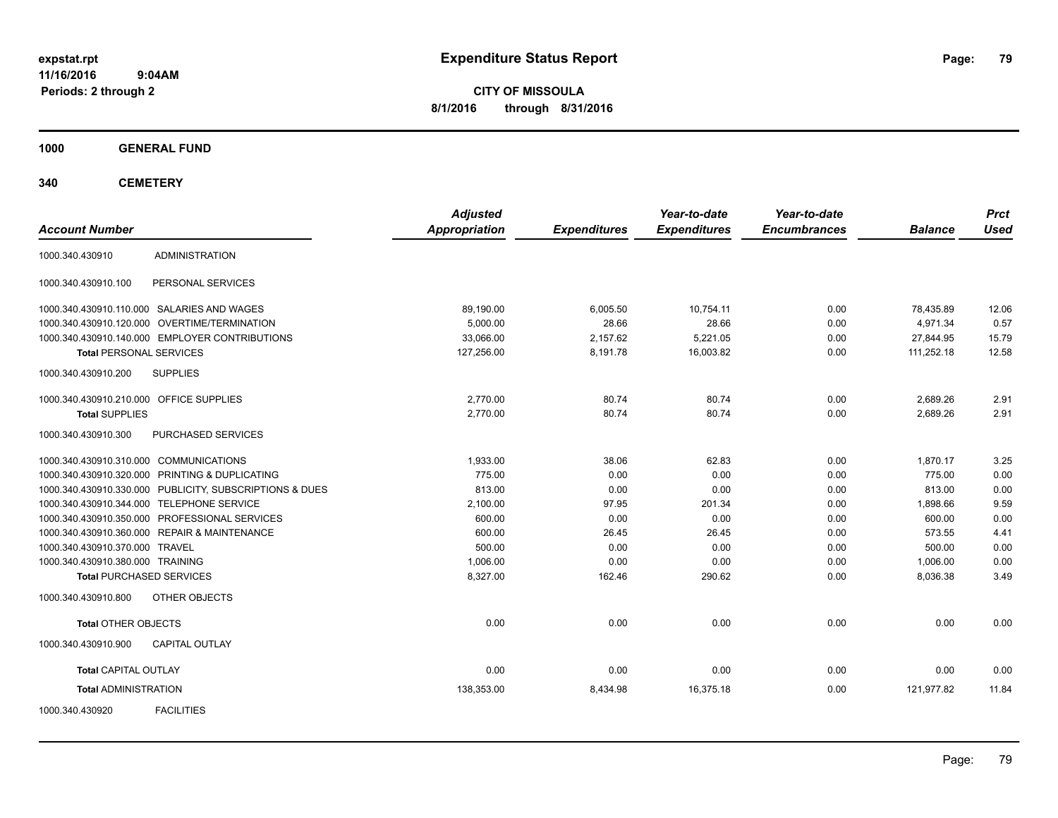**CITY OF MISSOULA 8/1/2016 through 8/31/2016**

**1000 GENERAL FUND**

**340 CEMETERY**

| <b>Account Number</b>                                   | <b>Adjusted</b><br><b>Appropriation</b> | <b>Expenditures</b> | Year-to-date<br><b>Expenditures</b> | Year-to-date<br><b>Encumbrances</b> | <b>Balance</b> | <b>Prct</b><br><b>Used</b> |
|---------------------------------------------------------|-----------------------------------------|---------------------|-------------------------------------|-------------------------------------|----------------|----------------------------|
| <b>ADMINISTRATION</b><br>1000.340.430910                |                                         |                     |                                     |                                     |                |                            |
| PERSONAL SERVICES<br>1000.340.430910.100                |                                         |                     |                                     |                                     |                |                            |
| 1000.340.430910.110.000 SALARIES AND WAGES              | 89,190.00                               | 6,005.50            | 10,754.11                           | 0.00                                | 78,435.89      | 12.06                      |
| 1000.340.430910.120.000 OVERTIME/TERMINATION            | 5.000.00                                | 28.66               | 28.66                               | 0.00                                | 4,971.34       | 0.57                       |
| 1000.340.430910.140.000 EMPLOYER CONTRIBUTIONS          | 33,066.00                               | 2,157.62            | 5,221.05                            | 0.00                                | 27,844.95      | 15.79                      |
| <b>Total PERSONAL SERVICES</b>                          | 127,256.00                              | 8,191.78            | 16,003.82                           | 0.00                                | 111,252.18     | 12.58                      |
| <b>SUPPLIES</b><br>1000.340.430910.200                  |                                         |                     |                                     |                                     |                |                            |
| 1000.340.430910.210.000 OFFICE SUPPLIES                 | 2.770.00                                | 80.74               | 80.74                               | 0.00                                | 2,689.26       | 2.91                       |
| <b>Total SUPPLIES</b>                                   | 2,770.00                                | 80.74               | 80.74                               | 0.00                                | 2,689.26       | 2.91                       |
| 1000.340.430910.300<br>PURCHASED SERVICES               |                                         |                     |                                     |                                     |                |                            |
| 1000.340.430910.310.000 COMMUNICATIONS                  | 1.933.00                                | 38.06               | 62.83                               | 0.00                                | 1,870.17       | 3.25                       |
| 1000.340.430910.320.000 PRINTING & DUPLICATING          | 775.00                                  | 0.00                | 0.00                                | 0.00                                | 775.00         | 0.00                       |
| 1000.340.430910.330.000 PUBLICITY, SUBSCRIPTIONS & DUES | 813.00                                  | 0.00                | 0.00                                | 0.00                                | 813.00         | 0.00                       |
| 1000.340.430910.344.000 TELEPHONE SERVICE               | 2,100.00                                | 97.95               | 201.34                              | 0.00                                | 1,898.66       | 9.59                       |
| 1000.340.430910.350.000 PROFESSIONAL SERVICES           | 600.00                                  | 0.00                | 0.00                                | 0.00                                | 600.00         | 0.00                       |
| 1000.340.430910.360.000 REPAIR & MAINTENANCE            | 600.00                                  | 26.45               | 26.45                               | 0.00                                | 573.55         | 4.41                       |
| 1000.340.430910.370.000 TRAVEL                          | 500.00                                  | 0.00                | 0.00                                | 0.00                                | 500.00         | 0.00                       |
| 1000.340.430910.380.000 TRAINING                        | 1,006.00                                | 0.00                | 0.00                                | 0.00                                | 1,006.00       | 0.00                       |
| <b>Total PURCHASED SERVICES</b>                         | 8,327.00                                | 162.46              | 290.62                              | 0.00                                | 8,036.38       | 3.49                       |
| 1000.340.430910.800<br>OTHER OBJECTS                    |                                         |                     |                                     |                                     |                |                            |
| <b>Total OTHER OBJECTS</b>                              | 0.00                                    | 0.00                | 0.00                                | 0.00                                | 0.00           | 0.00                       |
| 1000.340.430910.900<br><b>CAPITAL OUTLAY</b>            |                                         |                     |                                     |                                     |                |                            |
| <b>Total CAPITAL OUTLAY</b>                             | 0.00                                    | 0.00                | 0.00                                | 0.00                                | 0.00           | 0.00                       |
| <b>Total ADMINISTRATION</b>                             | 138,353.00                              | 8,434.98            | 16,375.18                           | 0.00                                | 121,977.82     | 11.84                      |
| <b>FACILITIES</b><br>1000.340.430920                    |                                         |                     |                                     |                                     |                |                            |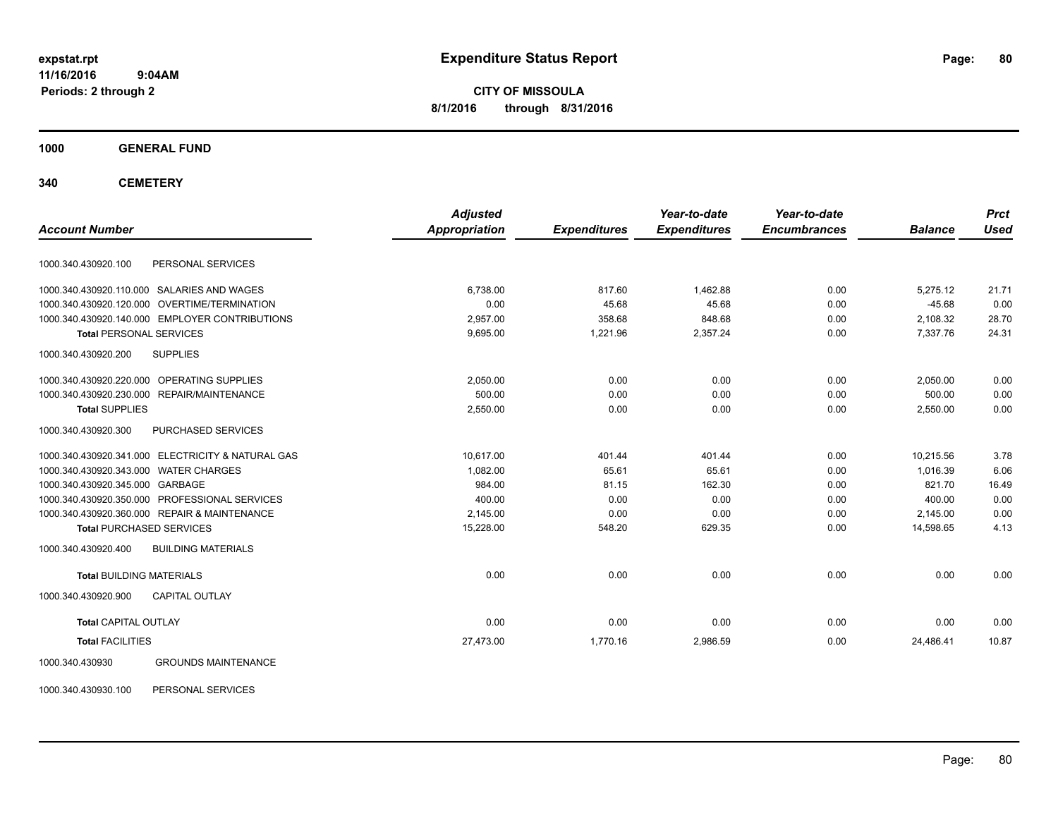**CITY OF MISSOULA 8/1/2016 through 8/31/2016**

**1000 GENERAL FUND**

**340 CEMETERY**

| <b>Account Number</b>                 |                                                   | <b>Adjusted</b>      |                     | Year-to-date        | Year-to-date        | <b>Balance</b> | <b>Prct</b><br><b>Used</b> |
|---------------------------------------|---------------------------------------------------|----------------------|---------------------|---------------------|---------------------|----------------|----------------------------|
|                                       |                                                   | <b>Appropriation</b> | <b>Expenditures</b> | <b>Expenditures</b> | <b>Encumbrances</b> |                |                            |
| 1000.340.430920.100                   | PERSONAL SERVICES                                 |                      |                     |                     |                     |                |                            |
|                                       | 1000.340.430920.110.000 SALARIES AND WAGES        | 6,738.00             | 817.60              | 1,462.88            | 0.00                | 5,275.12       | 21.71                      |
| 1000.340.430920.120.000               | OVERTIME/TERMINATION                              | 0.00                 | 45.68               | 45.68               | 0.00                | $-45.68$       | 0.00                       |
|                                       | 1000.340.430920.140.000 EMPLOYER CONTRIBUTIONS    | 2,957.00             | 358.68              | 848.68              | 0.00                | 2,108.32       | 28.70                      |
| <b>Total PERSONAL SERVICES</b>        |                                                   | 9,695.00             | 1,221.96            | 2,357.24            | 0.00                | 7,337.76       | 24.31                      |
| 1000.340.430920.200                   | <b>SUPPLIES</b>                                   |                      |                     |                     |                     |                |                            |
| 1000.340.430920.220.000               | OPERATING SUPPLIES                                | 2,050.00             | 0.00                | 0.00                | 0.00                | 2,050.00       | 0.00                       |
|                                       | 1000.340.430920.230.000 REPAIR/MAINTENANCE        | 500.00               | 0.00                | 0.00                | 0.00                | 500.00         | 0.00                       |
| <b>Total SUPPLIES</b>                 |                                                   | 2,550.00             | 0.00                | 0.00                | 0.00                | 2,550.00       | 0.00                       |
| 1000.340.430920.300                   | PURCHASED SERVICES                                |                      |                     |                     |                     |                |                            |
|                                       | 1000.340.430920.341.000 ELECTRICITY & NATURAL GAS | 10.617.00            | 401.44              | 401.44              | 0.00                | 10,215.56      | 3.78                       |
| 1000.340.430920.343.000 WATER CHARGES |                                                   | 1.082.00             | 65.61               | 65.61               | 0.00                | 1,016.39       | 6.06                       |
| 1000.340.430920.345.000 GARBAGE       |                                                   | 984.00               | 81.15               | 162.30              | 0.00                | 821.70         | 16.49                      |
|                                       | 1000.340.430920.350.000 PROFESSIONAL SERVICES     | 400.00               | 0.00                | 0.00                | 0.00                | 400.00         | 0.00                       |
|                                       | 1000.340.430920.360.000 REPAIR & MAINTENANCE      | 2,145.00             | 0.00                | 0.00                | 0.00                | 2,145.00       | 0.00                       |
| <b>Total PURCHASED SERVICES</b>       |                                                   | 15,228.00            | 548.20              | 629.35              | 0.00                | 14.598.65      | 4.13                       |
| 1000.340.430920.400                   | <b>BUILDING MATERIALS</b>                         |                      |                     |                     |                     |                |                            |
| <b>Total BUILDING MATERIALS</b>       |                                                   | 0.00                 | 0.00                | 0.00                | 0.00                | 0.00           | 0.00                       |
| 1000.340.430920.900                   | <b>CAPITAL OUTLAY</b>                             |                      |                     |                     |                     |                |                            |
| <b>Total CAPITAL OUTLAY</b>           |                                                   | 0.00                 | 0.00                | 0.00                | 0.00                | 0.00           | 0.00                       |
| <b>Total FACILITIES</b>               |                                                   | 27,473.00            | 1,770.16            | 2,986.59            | 0.00                | 24,486.41      | 10.87                      |
| 1000.340.430930                       | <b>GROUNDS MAINTENANCE</b>                        |                      |                     |                     |                     |                |                            |

1000.340.430930.100 PERSONAL SERVICES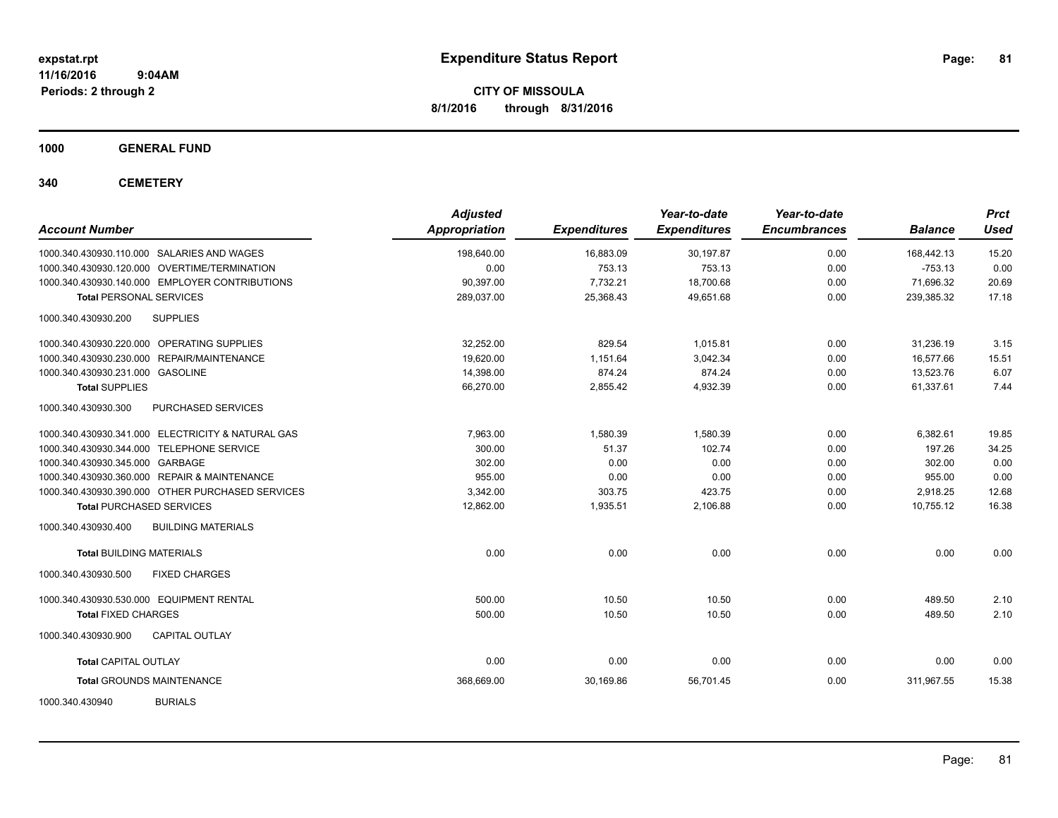**CITY OF MISSOULA 8/1/2016 through 8/31/2016**

**1000 GENERAL FUND**

**340 CEMETERY**

| <b>Account Number</b>                             | <b>Adjusted</b><br><b>Appropriation</b> | <b>Expenditures</b> | Year-to-date<br><b>Expenditures</b> | Year-to-date<br><b>Encumbrances</b> | <b>Balance</b> | <b>Prct</b><br><b>Used</b> |
|---------------------------------------------------|-----------------------------------------|---------------------|-------------------------------------|-------------------------------------|----------------|----------------------------|
| 1000.340.430930.110.000 SALARIES AND WAGES        | 198,640.00                              | 16,883.09           | 30,197.87                           | 0.00                                | 168,442.13     | 15.20                      |
| 1000.340.430930.120.000 OVERTIME/TERMINATION      | 0.00                                    | 753.13              | 753.13                              | 0.00                                | $-753.13$      | 0.00                       |
| 1000.340.430930.140.000 EMPLOYER CONTRIBUTIONS    | 90,397.00                               | 7.732.21            | 18.700.68                           | 0.00                                | 71.696.32      | 20.69                      |
| <b>Total PERSONAL SERVICES</b>                    | 289,037.00                              | 25,368.43           | 49,651.68                           | 0.00                                | 239,385.32     | 17.18                      |
| <b>SUPPLIES</b><br>1000.340.430930.200            |                                         |                     |                                     |                                     |                |                            |
| 1000.340.430930.220.000 OPERATING SUPPLIES        | 32,252.00                               | 829.54              | 1,015.81                            | 0.00                                | 31,236.19      | 3.15                       |
| 1000.340.430930.230.000 REPAIR/MAINTENANCE        | 19,620.00                               | 1,151.64            | 3,042.34                            | 0.00                                | 16.577.66      | 15.51                      |
| 1000.340.430930.231.000 GASOLINE                  | 14,398.00                               | 874.24              | 874.24                              | 0.00                                | 13,523.76      | 6.07                       |
| <b>Total SUPPLIES</b>                             | 66,270.00                               | 2,855.42            | 4,932.39                            | 0.00                                | 61,337.61      | 7.44                       |
| 1000.340.430930.300<br>PURCHASED SERVICES         |                                         |                     |                                     |                                     |                |                            |
| 1000.340.430930.341.000 ELECTRICITY & NATURAL GAS | 7,963.00                                | 1,580.39            | 1,580.39                            | 0.00                                | 6,382.61       | 19.85                      |
| 1000.340.430930.344.000 TELEPHONE SERVICE         | 300.00                                  | 51.37               | 102.74                              | 0.00                                | 197.26         | 34.25                      |
| 1000.340.430930.345.000 GARBAGE                   | 302.00                                  | 0.00                | 0.00                                | 0.00                                | 302.00         | 0.00                       |
| 1000.340.430930.360.000 REPAIR & MAINTENANCE      | 955.00                                  | 0.00                | 0.00                                | 0.00                                | 955.00         | 0.00                       |
| 1000.340.430930.390.000 OTHER PURCHASED SERVICES  | 3,342.00                                | 303.75              | 423.75                              | 0.00                                | 2,918.25       | 12.68                      |
| <b>Total PURCHASED SERVICES</b>                   | 12,862.00                               | 1,935.51            | 2,106.88                            | 0.00                                | 10.755.12      | 16.38                      |
| 1000.340.430930.400<br><b>BUILDING MATERIALS</b>  |                                         |                     |                                     |                                     |                |                            |
| <b>Total BUILDING MATERIALS</b>                   | 0.00                                    | 0.00                | 0.00                                | 0.00                                | 0.00           | 0.00                       |
| 1000.340.430930.500<br><b>FIXED CHARGES</b>       |                                         |                     |                                     |                                     |                |                            |
| 1000.340.430930.530.000 EQUIPMENT RENTAL          | 500.00                                  | 10.50               | 10.50                               | 0.00                                | 489.50         | 2.10                       |
| <b>Total FIXED CHARGES</b>                        | 500.00                                  | 10.50               | 10.50                               | 0.00                                | 489.50         | 2.10                       |
| 1000.340.430930.900<br><b>CAPITAL OUTLAY</b>      |                                         |                     |                                     |                                     |                |                            |
| <b>Total CAPITAL OUTLAY</b>                       | 0.00                                    | 0.00                | 0.00                                | 0.00                                | 0.00           | 0.00                       |
| <b>Total GROUNDS MAINTENANCE</b>                  | 368,669.00                              | 30,169.86           | 56,701.45                           | 0.00                                | 311,967.55     | 15.38                      |
| <b>BURIALS</b><br>1000.340.430940                 |                                         |                     |                                     |                                     |                |                            |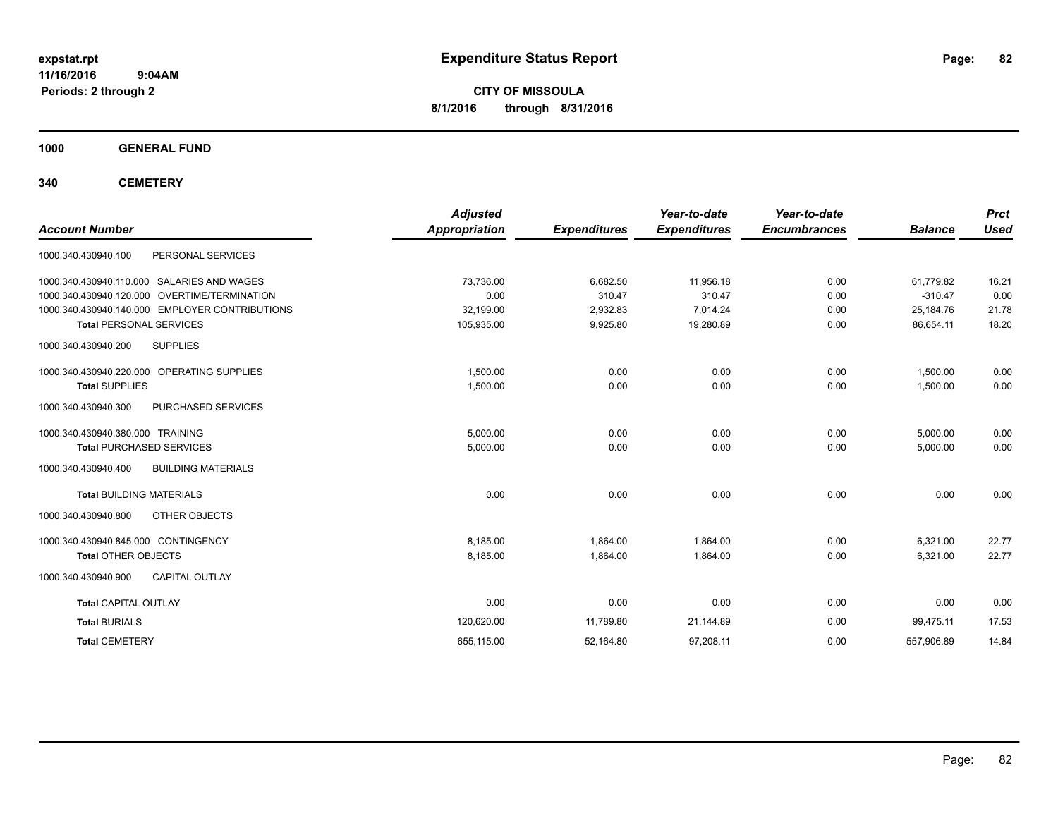**CITY OF MISSOULA 8/1/2016 through 8/31/2016**

**1000 GENERAL FUND**

**340 CEMETERY**

| <b>Account Number</b>                            | <b>Adjusted</b><br>Appropriation | <b>Expenditures</b> | Year-to-date<br><b>Expenditures</b> | Year-to-date<br><b>Encumbrances</b> | <b>Balance</b> | <b>Prct</b><br><b>Used</b> |
|--------------------------------------------------|----------------------------------|---------------------|-------------------------------------|-------------------------------------|----------------|----------------------------|
| PERSONAL SERVICES<br>1000.340.430940.100         |                                  |                     |                                     |                                     |                |                            |
| SALARIES AND WAGES<br>1000.340.430940.110.000    | 73,736.00                        | 6,682.50            | 11,956.18                           | 0.00                                | 61,779.82      | 16.21                      |
| 1000.340.430940.120.000<br>OVERTIME/TERMINATION  | 0.00                             | 310.47              | 310.47                              | 0.00                                | $-310.47$      | 0.00                       |
| 1000.340.430940.140.000 EMPLOYER CONTRIBUTIONS   | 32,199.00                        | 2,932.83            | 7.014.24                            | 0.00                                | 25,184.76      | 21.78                      |
| <b>Total PERSONAL SERVICES</b>                   | 105,935.00                       | 9,925.80            | 19,280.89                           | 0.00                                | 86,654.11      | 18.20                      |
| 1000.340.430940.200<br><b>SUPPLIES</b>           |                                  |                     |                                     |                                     |                |                            |
| 1000.340.430940.220.000 OPERATING SUPPLIES       | 1,500.00                         | 0.00                | 0.00                                | 0.00                                | 1,500.00       | 0.00                       |
| <b>Total SUPPLIES</b>                            | 1,500.00                         | 0.00                | 0.00                                | 0.00                                | 1,500.00       | 0.00                       |
| PURCHASED SERVICES<br>1000.340.430940.300        |                                  |                     |                                     |                                     |                |                            |
| 1000.340.430940.380.000 TRAINING                 | 5,000.00                         | 0.00                | 0.00                                | 0.00                                | 5,000.00       | 0.00                       |
| <b>Total PURCHASED SERVICES</b>                  | 5,000.00                         | 0.00                | 0.00                                | 0.00                                | 5,000.00       | 0.00                       |
| <b>BUILDING MATERIALS</b><br>1000.340.430940.400 |                                  |                     |                                     |                                     |                |                            |
| <b>Total BUILDING MATERIALS</b>                  | 0.00                             | 0.00                | 0.00                                | 0.00                                | 0.00           | 0.00                       |
| 1000.340.430940.800<br>OTHER OBJECTS             |                                  |                     |                                     |                                     |                |                            |
| 1000.340.430940.845.000 CONTINGENCY              | 8,185.00                         | 1,864.00            | 1,864.00                            | 0.00                                | 6,321.00       | 22.77                      |
| <b>Total OTHER OBJECTS</b>                       | 8,185.00                         | 1,864.00            | 1,864.00                            | 0.00                                | 6,321.00       | 22.77                      |
| CAPITAL OUTLAY<br>1000.340.430940.900            |                                  |                     |                                     |                                     |                |                            |
| <b>Total CAPITAL OUTLAY</b>                      | 0.00                             | 0.00                | 0.00                                | 0.00                                | 0.00           | 0.00                       |
| <b>Total BURIALS</b>                             | 120,620.00                       | 11,789.80           | 21,144.89                           | 0.00                                | 99,475.11      | 17.53                      |
| <b>Total CEMETERY</b>                            | 655,115.00                       | 52,164.80           | 97,208.11                           | 0.00                                | 557,906.89     | 14.84                      |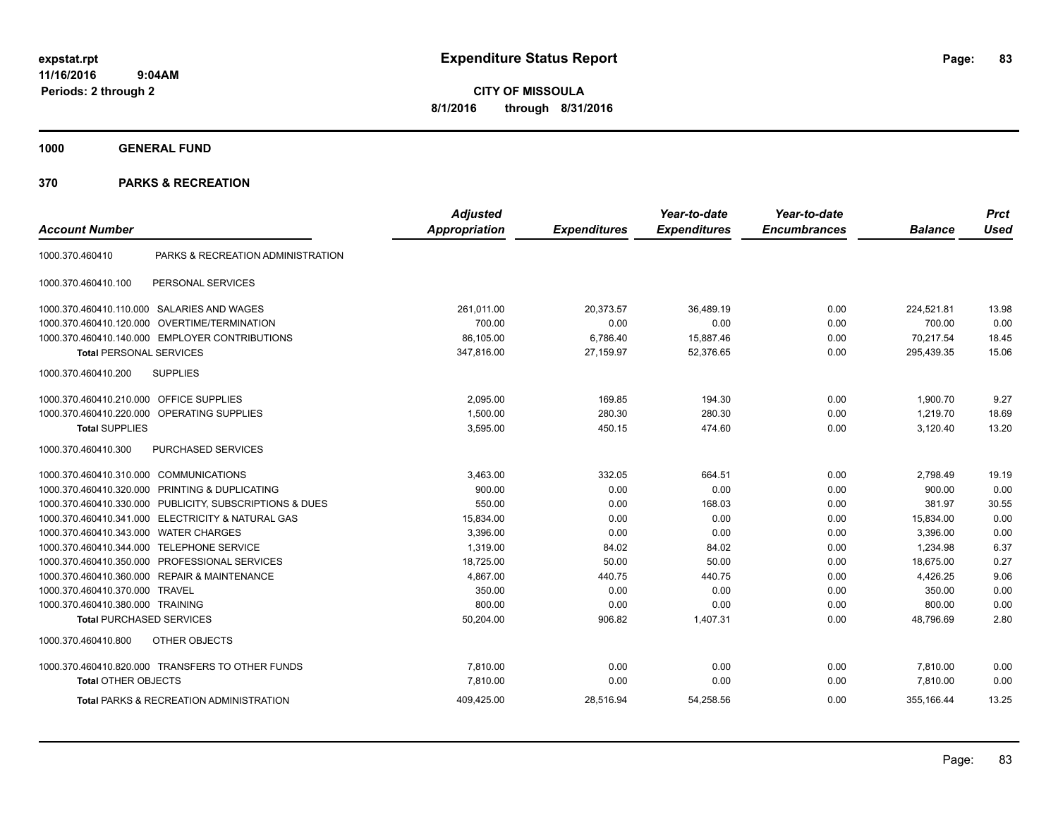**CITY OF MISSOULA 8/1/2016 through 8/31/2016**

**1000 GENERAL FUND**

| <b>Account Number</b>            |                                                         | <b>Adjusted</b><br><b>Appropriation</b> | <b>Expenditures</b> | Year-to-date<br><b>Expenditures</b> | Year-to-date<br><b>Encumbrances</b> | <b>Balance</b> | <b>Prct</b><br><b>Used</b> |
|----------------------------------|---------------------------------------------------------|-----------------------------------------|---------------------|-------------------------------------|-------------------------------------|----------------|----------------------------|
|                                  |                                                         |                                         |                     |                                     |                                     |                |                            |
| 1000.370.460410                  | PARKS & RECREATION ADMINISTRATION                       |                                         |                     |                                     |                                     |                |                            |
| 1000.370.460410.100              | PERSONAL SERVICES                                       |                                         |                     |                                     |                                     |                |                            |
|                                  | 1000.370.460410.110.000 SALARIES AND WAGES              | 261,011.00                              | 20,373.57           | 36.489.19                           | 0.00                                | 224,521.81     | 13.98                      |
| 1000.370.460410.120.000          | <b>OVERTIME/TERMINATION</b>                             | 700.00                                  | 0.00                | 0.00                                | 0.00                                | 700.00         | 0.00                       |
| 1000.370.460410.140.000          | <b>EMPLOYER CONTRIBUTIONS</b>                           | 86,105.00                               | 6,786.40            | 15,887.46                           | 0.00                                | 70,217.54      | 18.45                      |
| <b>Total PERSONAL SERVICES</b>   |                                                         | 347.816.00                              | 27,159.97           | 52.376.65                           | 0.00                                | 295,439.35     | 15.06                      |
| 1000.370.460410.200              | <b>SUPPLIES</b>                                         |                                         |                     |                                     |                                     |                |                            |
| 1000.370.460410.210.000          | <b>OFFICE SUPPLIES</b>                                  | 2.095.00                                | 169.85              | 194.30                              | 0.00                                | 1,900.70       | 9.27                       |
| 1000.370.460410.220.000          | OPERATING SUPPLIES                                      | 1,500.00                                | 280.30              | 280.30                              | 0.00                                | 1,219.70       | 18.69                      |
| <b>Total SUPPLIES</b>            |                                                         | 3,595.00                                | 450.15              | 474.60                              | 0.00                                | 3,120.40       | 13.20                      |
| 1000.370.460410.300              | <b>PURCHASED SERVICES</b>                               |                                         |                     |                                     |                                     |                |                            |
| 1000.370.460410.310.000          | <b>COMMUNICATIONS</b>                                   | 3,463.00                                | 332.05              | 664.51                              | 0.00                                | 2,798.49       | 19.19                      |
|                                  | 1000.370.460410.320.000 PRINTING & DUPLICATING          | 900.00                                  | 0.00                | 0.00                                | 0.00                                | 900.00         | 0.00                       |
|                                  | 1000.370.460410.330.000 PUBLICITY, SUBSCRIPTIONS & DUES | 550.00                                  | 0.00                | 168.03                              | 0.00                                | 381.97         | 30.55                      |
|                                  | 1000.370.460410.341.000 ELECTRICITY & NATURAL GAS       | 15,834.00                               | 0.00                | 0.00                                | 0.00                                | 15,834.00      | 0.00                       |
| 1000.370.460410.343.000          | <b>WATER CHARGES</b>                                    | 3.396.00                                | 0.00                | 0.00                                | 0.00                                | 3.396.00       | 0.00                       |
| 1000.370.460410.344.000          | <b>TELEPHONE SERVICE</b>                                | 1,319.00                                | 84.02               | 84.02                               | 0.00                                | 1,234.98       | 6.37                       |
| 1000.370.460410.350.000          | PROFESSIONAL SERVICES                                   | 18,725.00                               | 50.00               | 50.00                               | 0.00                                | 18,675.00      | 0.27                       |
| 1000.370.460410.360.000          | <b>REPAIR &amp; MAINTENANCE</b>                         | 4,867.00                                | 440.75              | 440.75                              | 0.00                                | 4,426.25       | 9.06                       |
| 1000.370.460410.370.000 TRAVEL   |                                                         | 350.00                                  | 0.00                | 0.00                                | 0.00                                | 350.00         | 0.00                       |
| 1000.370.460410.380.000 TRAINING |                                                         | 800.00                                  | 0.00                | 0.00                                | 0.00                                | 800.00         | 0.00                       |
| <b>Total PURCHASED SERVICES</b>  |                                                         | 50,204.00                               | 906.82              | 1,407.31                            | 0.00                                | 48.796.69      | 2.80                       |
| 1000.370.460410.800              | OTHER OBJECTS                                           |                                         |                     |                                     |                                     |                |                            |
|                                  | 1000.370.460410.820.000 TRANSFERS TO OTHER FUNDS        | 7,810.00                                | 0.00                | 0.00                                | 0.00                                | 7,810.00       | 0.00                       |
| <b>Total OTHER OBJECTS</b>       |                                                         | 7,810.00                                | 0.00                | 0.00                                | 0.00                                | 7,810.00       | 0.00                       |
|                                  | <b>Total PARKS &amp; RECREATION ADMINISTRATION</b>      | 409,425.00                              | 28,516.94           | 54,258.56                           | 0.00                                | 355.166.44     | 13.25                      |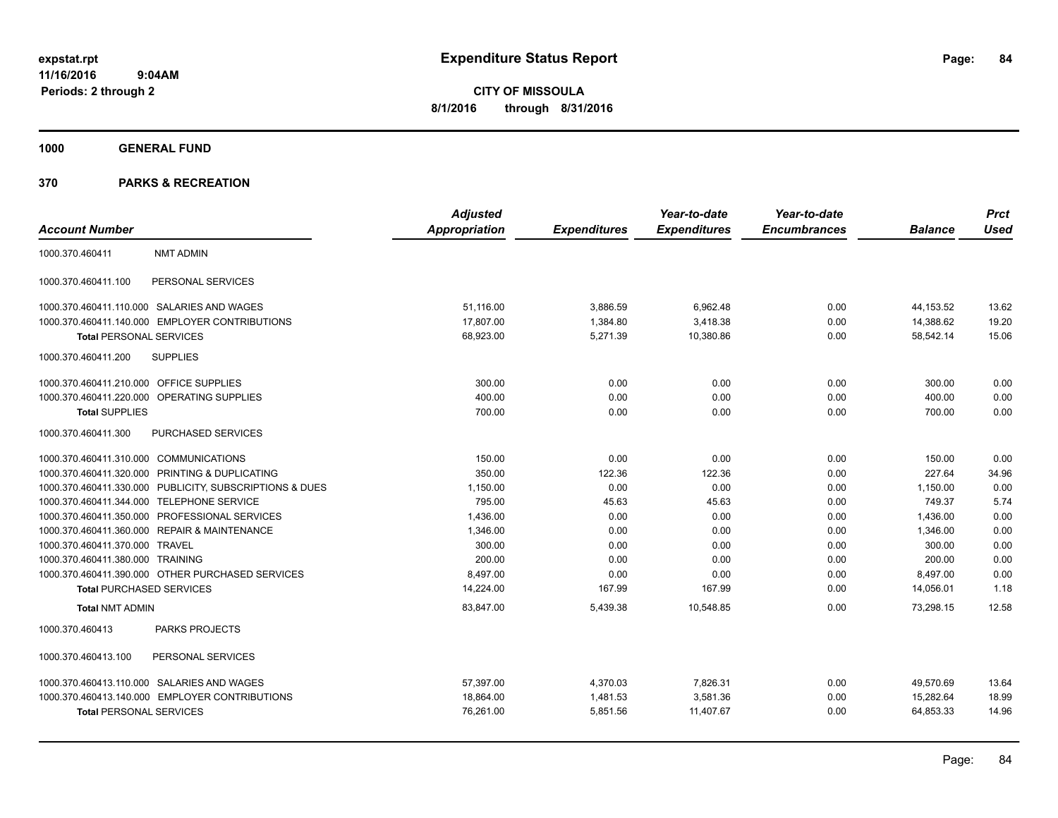**CITY OF MISSOULA 8/1/2016 through 8/31/2016**

**1000 GENERAL FUND**

|                                         |                                                         | <b>Adjusted</b>      |                     | Year-to-date        | Year-to-date        |                | <b>Prct</b> |
|-----------------------------------------|---------------------------------------------------------|----------------------|---------------------|---------------------|---------------------|----------------|-------------|
| <b>Account Number</b>                   |                                                         | <b>Appropriation</b> | <b>Expenditures</b> | <b>Expenditures</b> | <b>Encumbrances</b> | <b>Balance</b> | <b>Used</b> |
| 1000.370.460411                         | <b>NMT ADMIN</b>                                        |                      |                     |                     |                     |                |             |
| 1000.370.460411.100                     | PERSONAL SERVICES                                       |                      |                     |                     |                     |                |             |
|                                         | 1000.370.460411.110.000 SALARIES AND WAGES              | 51,116.00            | 3,886.59            | 6,962.48            | 0.00                | 44,153.52      | 13.62       |
|                                         | 1000.370.460411.140.000 EMPLOYER CONTRIBUTIONS          | 17,807.00            | 1.384.80            | 3,418.38            | 0.00                | 14.388.62      | 19.20       |
| <b>Total PERSONAL SERVICES</b>          |                                                         | 68,923.00            | 5,271.39            | 10,380.86           | 0.00                | 58,542.14      | 15.06       |
| 1000.370.460411.200                     | <b>SUPPLIES</b>                                         |                      |                     |                     |                     |                |             |
| 1000.370.460411.210.000 OFFICE SUPPLIES |                                                         | 300.00               | 0.00                | 0.00                | 0.00                | 300.00         | 0.00        |
|                                         | 1000.370.460411.220.000 OPERATING SUPPLIES              | 400.00               | 0.00                | 0.00                | 0.00                | 400.00         | 0.00        |
| <b>Total SUPPLIES</b>                   |                                                         | 700.00               | 0.00                | 0.00                | 0.00                | 700.00         | 0.00        |
| 1000.370.460411.300                     | PURCHASED SERVICES                                      |                      |                     |                     |                     |                |             |
| 1000.370.460411.310.000 COMMUNICATIONS  |                                                         | 150.00               | 0.00                | 0.00                | 0.00                | 150.00         | 0.00        |
|                                         | 1000.370.460411.320.000 PRINTING & DUPLICATING          | 350.00               | 122.36              | 122.36              | 0.00                | 227.64         | 34.96       |
|                                         | 1000.370.460411.330.000 PUBLICITY, SUBSCRIPTIONS & DUES | 1,150.00             | 0.00                | 0.00                | 0.00                | 1,150.00       | 0.00        |
| 1000.370.460411.344.000                 | TELEPHONE SERVICE                                       | 795.00               | 45.63               | 45.63               | 0.00                | 749.37         | 5.74        |
|                                         | 1000.370.460411.350.000 PROFESSIONAL SERVICES           | 1.436.00             | 0.00                | 0.00                | 0.00                | 1,436.00       | 0.00        |
|                                         | 1000.370.460411.360.000 REPAIR & MAINTENANCE            | 1,346.00             | 0.00                | 0.00                | 0.00                | 1,346.00       | 0.00        |
| 1000.370.460411.370.000 TRAVEL          |                                                         | 300.00               | 0.00                | 0.00                | 0.00                | 300.00         | 0.00        |
| 1000.370.460411.380.000 TRAINING        |                                                         | 200.00               | 0.00                | 0.00                | 0.00                | 200.00         | 0.00        |
|                                         | 1000.370.460411.390.000 OTHER PURCHASED SERVICES        | 8,497.00             | 0.00                | 0.00                | 0.00                | 8,497.00       | 0.00        |
| <b>Total PURCHASED SERVICES</b>         |                                                         | 14,224.00            | 167.99              | 167.99              | 0.00                | 14,056.01      | 1.18        |
| <b>Total NMT ADMIN</b>                  |                                                         | 83,847.00            | 5,439.38            | 10,548.85           | 0.00                | 73,298.15      | 12.58       |
| 1000.370.460413                         | PARKS PROJECTS                                          |                      |                     |                     |                     |                |             |
| 1000.370.460413.100                     | PERSONAL SERVICES                                       |                      |                     |                     |                     |                |             |
|                                         | 1000.370.460413.110.000 SALARIES AND WAGES              | 57,397.00            | 4,370.03            | 7,826.31            | 0.00                | 49,570.69      | 13.64       |
|                                         | 1000.370.460413.140.000 EMPLOYER CONTRIBUTIONS          | 18,864.00            | 1,481.53            | 3,581.36            | 0.00                | 15,282.64      | 18.99       |
| <b>Total PERSONAL SERVICES</b>          |                                                         | 76,261.00            | 5,851.56            | 11,407.67           | 0.00                | 64,853.33      | 14.96       |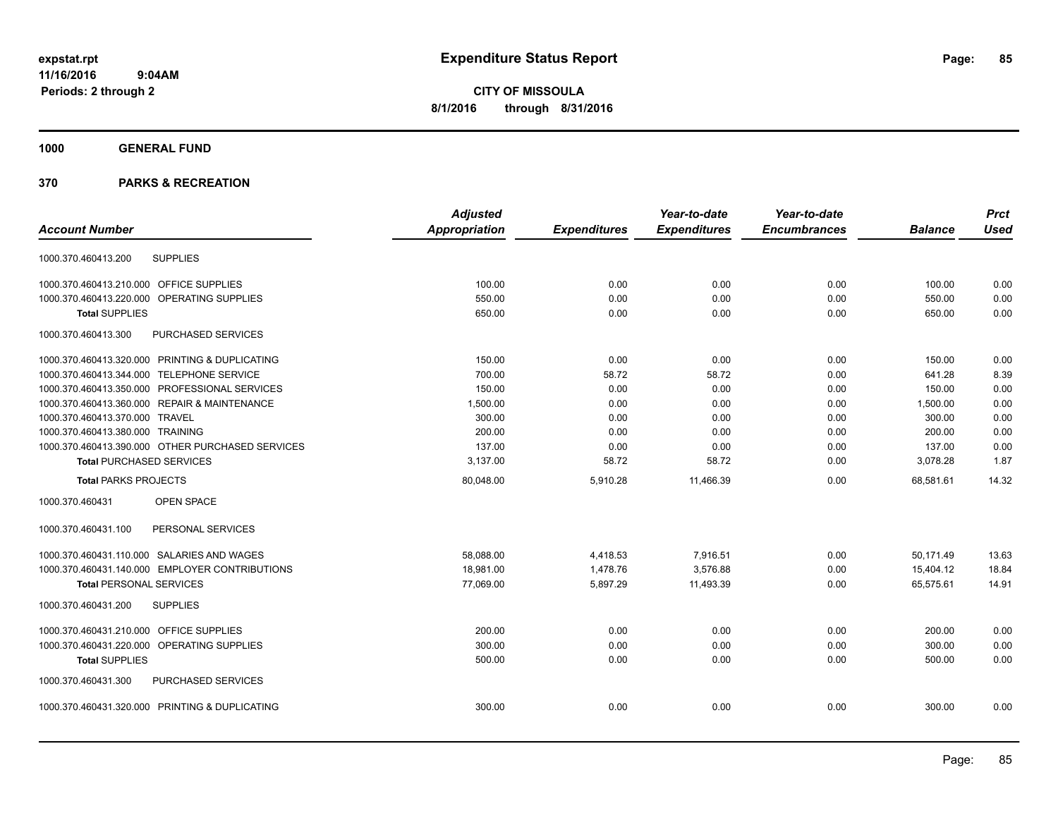**CITY OF MISSOULA 8/1/2016 through 8/31/2016**

### **1000 GENERAL FUND**

|                                                  | <b>Adjusted</b>      |                     | Year-to-date        | Year-to-date        |                | <b>Prct</b> |
|--------------------------------------------------|----------------------|---------------------|---------------------|---------------------|----------------|-------------|
| <b>Account Number</b>                            | <b>Appropriation</b> | <b>Expenditures</b> | <b>Expenditures</b> | <b>Encumbrances</b> | <b>Balance</b> | <b>Used</b> |
| <b>SUPPLIES</b><br>1000.370.460413.200           |                      |                     |                     |                     |                |             |
| 1000.370.460413.210.000 OFFICE SUPPLIES          | 100.00               | 0.00                | 0.00                | 0.00                | 100.00         | 0.00        |
| 1000.370.460413.220.000 OPERATING SUPPLIES       | 550.00               | 0.00                | 0.00                | 0.00                | 550.00         | 0.00        |
| <b>Total SUPPLIES</b>                            | 650.00               | 0.00                | 0.00                | 0.00                | 650.00         | 0.00        |
| PURCHASED SERVICES<br>1000.370.460413.300        |                      |                     |                     |                     |                |             |
| 1000.370.460413.320.000 PRINTING & DUPLICATING   | 150.00               | 0.00                | 0.00                | 0.00                | 150.00         | 0.00        |
| 1000.370.460413.344.000 TELEPHONE SERVICE        | 700.00               | 58.72               | 58.72               | 0.00                | 641.28         | 8.39        |
| 1000.370.460413.350.000 PROFESSIONAL SERVICES    | 150.00               | 0.00                | 0.00                | 0.00                | 150.00         | 0.00        |
| 1000.370.460413.360.000 REPAIR & MAINTENANCE     | 1,500.00             | 0.00                | 0.00                | 0.00                | 1,500.00       | 0.00        |
| 1000.370.460413.370.000 TRAVEL                   | 300.00               | 0.00                | 0.00                | 0.00                | 300.00         | 0.00        |
| 1000.370.460413.380.000 TRAINING                 | 200.00               | 0.00                | 0.00                | 0.00                | 200.00         | 0.00        |
| 1000.370.460413.390.000 OTHER PURCHASED SERVICES | 137.00               | 0.00                | 0.00                | 0.00                | 137.00         | 0.00        |
| <b>Total PURCHASED SERVICES</b>                  | 3,137.00             | 58.72               | 58.72               | 0.00                | 3,078.28       | 1.87        |
| <b>Total PARKS PROJECTS</b>                      | 80,048.00            | 5,910.28            | 11,466.39           | 0.00                | 68,581.61      | 14.32       |
| 1000.370.460431<br>OPEN SPACE                    |                      |                     |                     |                     |                |             |
| 1000.370.460431.100<br>PERSONAL SERVICES         |                      |                     |                     |                     |                |             |
| 1000.370.460431.110.000 SALARIES AND WAGES       | 58,088.00            | 4,418.53            | 7,916.51            | 0.00                | 50,171.49      | 13.63       |
| 1000.370.460431.140.000 EMPLOYER CONTRIBUTIONS   | 18,981.00            | 1,478.76            | 3,576.88            | 0.00                | 15,404.12      | 18.84       |
| <b>Total PERSONAL SERVICES</b>                   | 77,069.00            | 5,897.29            | 11,493.39           | 0.00                | 65,575.61      | 14.91       |
| 1000.370.460431.200<br><b>SUPPLIES</b>           |                      |                     |                     |                     |                |             |
| 1000.370.460431.210.000 OFFICE SUPPLIES          | 200.00               | 0.00                | 0.00                | 0.00                | 200.00         | 0.00        |
| 1000.370.460431.220.000 OPERATING SUPPLIES       | 300.00               | 0.00                | 0.00                | 0.00                | 300.00         | 0.00        |
| <b>Total SUPPLIES</b>                            | 500.00               | 0.00                | 0.00                | 0.00                | 500.00         | 0.00        |
| PURCHASED SERVICES<br>1000.370.460431.300        |                      |                     |                     |                     |                |             |
| 1000.370.460431.320.000 PRINTING & DUPLICATING   | 300.00               | 0.00                | 0.00                | 0.00                | 300.00         | 0.00        |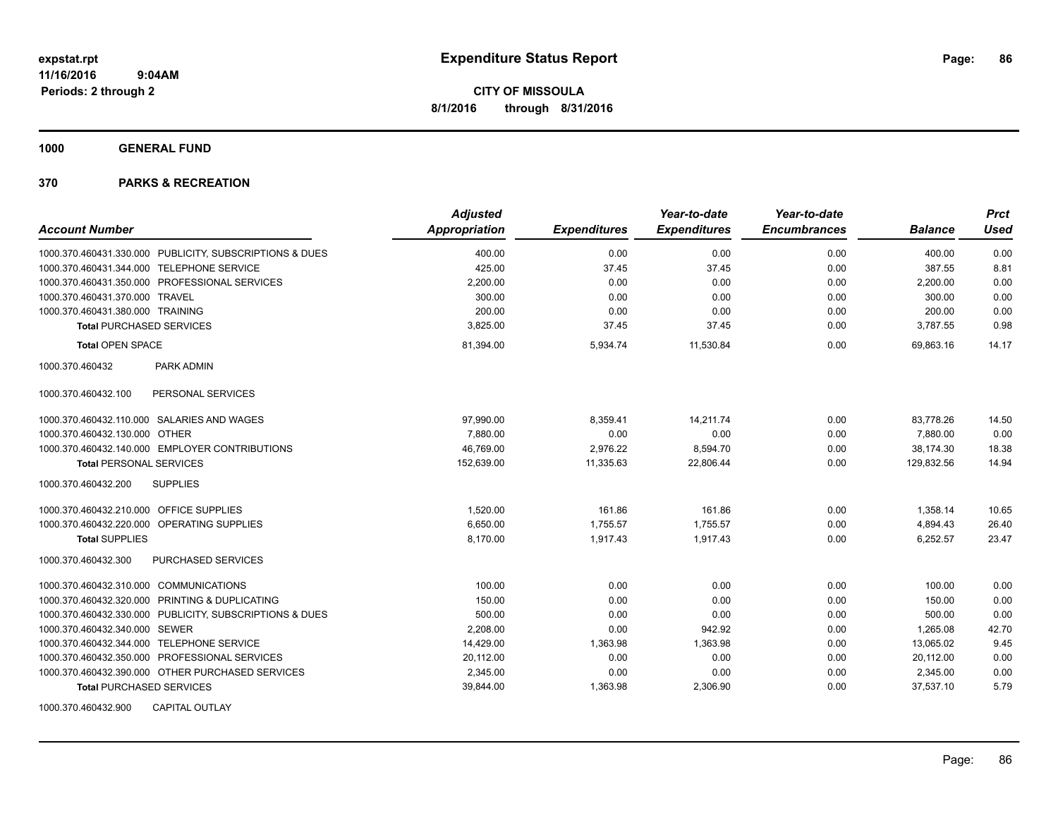**1000 GENERAL FUND**

| <b>Account Number</b>                                   | <b>Adjusted</b><br><b>Appropriation</b> | <b>Expenditures</b> | Year-to-date<br><b>Expenditures</b> | Year-to-date<br><b>Encumbrances</b> | <b>Balance</b> | <b>Prct</b><br><b>Used</b> |
|---------------------------------------------------------|-----------------------------------------|---------------------|-------------------------------------|-------------------------------------|----------------|----------------------------|
| 1000.370.460431.330.000 PUBLICITY, SUBSCRIPTIONS & DUES | 400.00                                  | 0.00                | 0.00                                | 0.00                                | 400.00         | 0.00                       |
| 1000.370.460431.344.000 TELEPHONE SERVICE               | 425.00                                  | 37.45               | 37.45                               | 0.00                                | 387.55         | 8.81                       |
| 1000.370.460431.350.000 PROFESSIONAL SERVICES           | 2,200.00                                | 0.00                | 0.00                                | 0.00                                | 2,200.00       | 0.00                       |
| 1000.370.460431.370.000 TRAVEL                          | 300.00                                  | 0.00                | 0.00                                | 0.00                                | 300.00         | 0.00                       |
| 1000.370.460431.380.000 TRAINING                        | 200.00                                  | 0.00                | 0.00                                | 0.00                                | 200.00         | 0.00                       |
| <b>Total PURCHASED SERVICES</b>                         | 3,825.00                                | 37.45               | 37.45                               | 0.00                                | 3,787.55       | 0.98                       |
| <b>Total OPEN SPACE</b>                                 | 81,394.00                               | 5,934.74            | 11,530.84                           | 0.00                                | 69,863.16      | 14.17                      |
| PARK ADMIN<br>1000.370.460432                           |                                         |                     |                                     |                                     |                |                            |
| PERSONAL SERVICES<br>1000.370.460432.100                |                                         |                     |                                     |                                     |                |                            |
| 1000.370.460432.110.000 SALARIES AND WAGES              | 97,990.00                               | 8,359.41            | 14,211.74                           | 0.00                                | 83,778.26      | 14.50                      |
| 1000.370.460432.130.000<br><b>OTHER</b>                 | 7.880.00                                | 0.00                | 0.00                                | 0.00                                | 7.880.00       | 0.00                       |
| 1000.370.460432.140.000 EMPLOYER CONTRIBUTIONS          | 46,769.00                               | 2,976.22            | 8,594.70                            | 0.00                                | 38,174.30      | 18.38                      |
| <b>Total PERSONAL SERVICES</b>                          | 152,639.00                              | 11,335.63           | 22,806.44                           | 0.00                                | 129.832.56     | 14.94                      |
| 1000.370.460432.200<br><b>SUPPLIES</b>                  |                                         |                     |                                     |                                     |                |                            |
| 1000.370.460432.210.000 OFFICE SUPPLIES                 | 1,520.00                                | 161.86              | 161.86                              | 0.00                                | 1,358.14       | 10.65                      |
| 1000.370.460432.220.000 OPERATING SUPPLIES              | 6,650.00                                | 1,755.57            | 1,755.57                            | 0.00                                | 4,894.43       | 26.40                      |
| <b>Total SUPPLIES</b>                                   | 8,170.00                                | 1,917.43            | 1,917.43                            | 0.00                                | 6,252.57       | 23.47                      |
| PURCHASED SERVICES<br>1000.370.460432.300               |                                         |                     |                                     |                                     |                |                            |
| 1000.370.460432.310.000 COMMUNICATIONS                  | 100.00                                  | 0.00                | 0.00                                | 0.00                                | 100.00         | 0.00                       |
| 1000.370.460432.320.000 PRINTING & DUPLICATING          | 150.00                                  | 0.00                | 0.00                                | 0.00                                | 150.00         | 0.00                       |
| 1000.370.460432.330.000 PUBLICITY, SUBSCRIPTIONS & DUES | 500.00                                  | 0.00                | 0.00                                | 0.00                                | 500.00         | 0.00                       |
| 1000.370.460432.340.000 SEWER                           | 2,208.00                                | 0.00                | 942.92                              | 0.00                                | 1,265.08       | 42.70                      |
| 1000.370.460432.344.000 TELEPHONE SERVICE               | 14,429.00                               | 1,363.98            | 1,363.98                            | 0.00                                | 13,065.02      | 9.45                       |
| 1000.370.460432.350.000 PROFESSIONAL SERVICES           | 20,112.00                               | 0.00                | 0.00                                | 0.00                                | 20,112.00      | 0.00                       |
| 1000.370.460432.390.000 OTHER PURCHASED SERVICES        | 2,345.00                                | 0.00                | 0.00                                | 0.00                                | 2,345.00       | 0.00                       |
| <b>Total PURCHASED SERVICES</b>                         | 39,844.00                               | 1,363.98            | 2,306.90                            | 0.00                                | 37,537.10      | 5.79                       |
| 1000.370.460432.900<br><b>CAPITAL OUTLAY</b>            |                                         |                     |                                     |                                     |                |                            |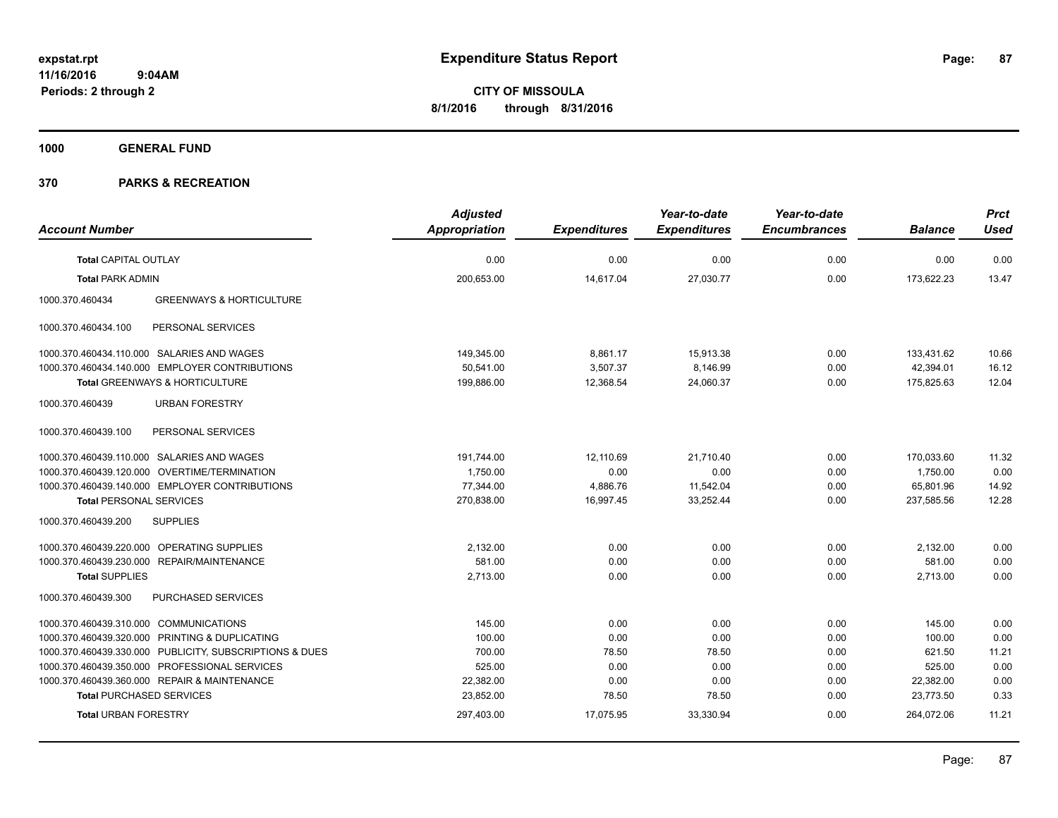**1000 GENERAL FUND**

|                                                         | <b>Adjusted</b>      |                     | Year-to-date        | Year-to-date        |                | <b>Prct</b> |
|---------------------------------------------------------|----------------------|---------------------|---------------------|---------------------|----------------|-------------|
| <b>Account Number</b>                                   | <b>Appropriation</b> | <b>Expenditures</b> | <b>Expenditures</b> | <b>Encumbrances</b> | <b>Balance</b> | <b>Used</b> |
| <b>Total CAPITAL OUTLAY</b>                             | 0.00                 | 0.00                | 0.00                | 0.00                | 0.00           | 0.00        |
| <b>Total PARK ADMIN</b>                                 | 200,653.00           | 14,617.04           | 27,030.77           | 0.00                | 173,622.23     | 13.47       |
| <b>GREENWAYS &amp; HORTICULTURE</b><br>1000.370.460434  |                      |                     |                     |                     |                |             |
| PERSONAL SERVICES<br>1000.370.460434.100                |                      |                     |                     |                     |                |             |
| 1000.370.460434.110.000 SALARIES AND WAGES              | 149,345.00           | 8,861.17            | 15,913.38           | 0.00                | 133,431.62     | 10.66       |
| 1000.370.460434.140.000 EMPLOYER CONTRIBUTIONS          | 50,541.00            | 3,507.37            | 8,146.99            | 0.00                | 42,394.01      | 16.12       |
| Total GREENWAYS & HORTICULTURE                          | 199,886.00           | 12,368.54           | 24,060.37           | 0.00                | 175,825.63     | 12.04       |
| <b>URBAN FORESTRY</b><br>1000.370.460439                |                      |                     |                     |                     |                |             |
| 1000.370.460439.100<br>PERSONAL SERVICES                |                      |                     |                     |                     |                |             |
| 1000.370.460439.110.000 SALARIES AND WAGES              | 191,744.00           | 12,110.69           | 21,710.40           | 0.00                | 170,033.60     | 11.32       |
| 1000.370.460439.120.000 OVERTIME/TERMINATION            | 1,750.00             | 0.00                | 0.00                | 0.00                | 1,750.00       | 0.00        |
| 1000.370.460439.140.000 EMPLOYER CONTRIBUTIONS          | 77,344.00            | 4,886.76            | 11,542.04           | 0.00                | 65,801.96      | 14.92       |
| <b>Total PERSONAL SERVICES</b>                          | 270,838.00           | 16,997.45           | 33,252.44           | 0.00                | 237,585.56     | 12.28       |
| <b>SUPPLIES</b><br>1000.370.460439.200                  |                      |                     |                     |                     |                |             |
| 1000.370.460439.220.000 OPERATING SUPPLIES              | 2,132.00             | 0.00                | 0.00                | 0.00                | 2,132.00       | 0.00        |
| 1000.370.460439.230.000 REPAIR/MAINTENANCE              | 581.00               | 0.00                | 0.00                | 0.00                | 581.00         | 0.00        |
| <b>Total SUPPLIES</b>                                   | 2,713.00             | 0.00                | 0.00                | 0.00                | 2,713.00       | 0.00        |
| PURCHASED SERVICES<br>1000.370.460439.300               |                      |                     |                     |                     |                |             |
| 1000.370.460439.310.000 COMMUNICATIONS                  | 145.00               | 0.00                | 0.00                | 0.00                | 145.00         | 0.00        |
| 1000.370.460439.320.000 PRINTING & DUPLICATING          | 100.00               | 0.00                | 0.00                | 0.00                | 100.00         | 0.00        |
| 1000.370.460439.330.000 PUBLICITY, SUBSCRIPTIONS & DUES | 700.00               | 78.50               | 78.50               | 0.00                | 621.50         | 11.21       |
| 1000.370.460439.350.000 PROFESSIONAL SERVICES           | 525.00               | 0.00                | 0.00                | 0.00                | 525.00         | 0.00        |
| 1000.370.460439.360.000 REPAIR & MAINTENANCE            | 22,382.00            | 0.00                | 0.00                | 0.00                | 22,382.00      | 0.00        |
| <b>Total PURCHASED SERVICES</b>                         | 23,852.00            | 78.50               | 78.50               | 0.00                | 23,773.50      | 0.33        |
| <b>Total URBAN FORESTRY</b>                             | 297,403.00           | 17.075.95           | 33,330.94           | 0.00                | 264,072.06     | 11.21       |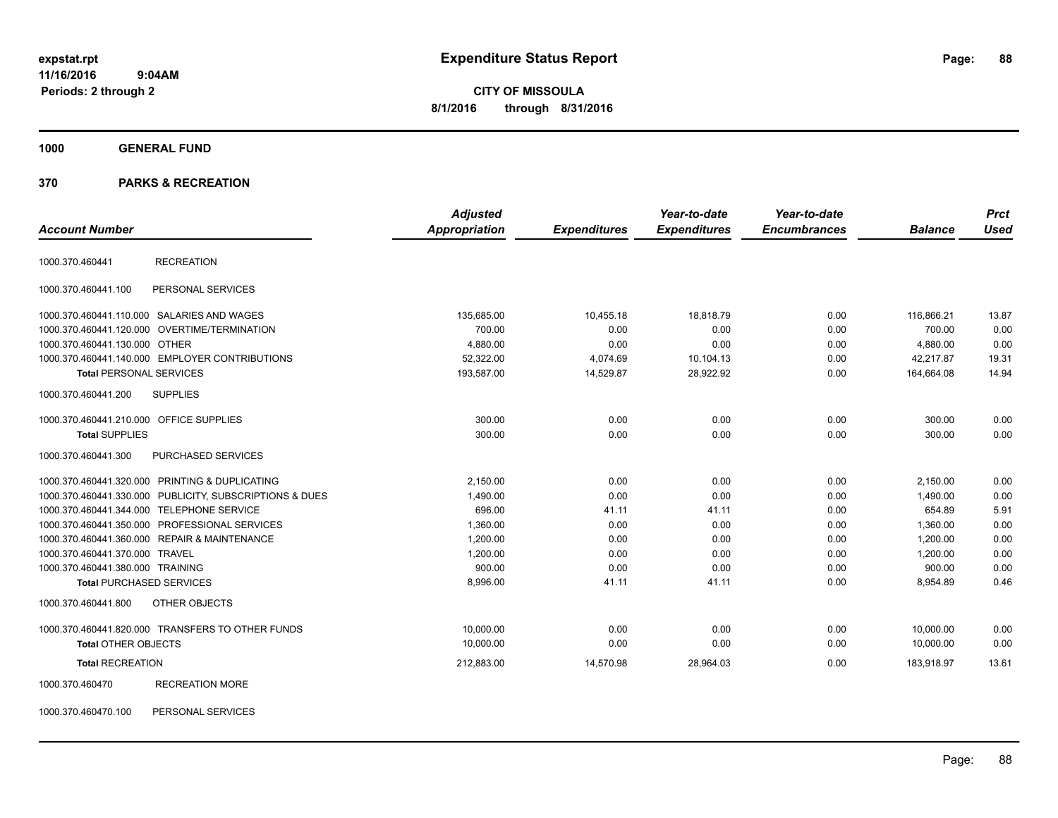# **CITY OF MISSOULA 8/1/2016 through 8/31/2016**

#### **1000 GENERAL FUND**

#### **370 PARKS & RECREATION**

| <b>Account Number</b>                   |                                                         | <b>Adjusted</b><br>Appropriation | <b>Expenditures</b> | Year-to-date<br><b>Expenditures</b> | Year-to-date<br><b>Encumbrances</b> | <b>Balance</b> | <b>Prct</b><br><b>Used</b> |
|-----------------------------------------|---------------------------------------------------------|----------------------------------|---------------------|-------------------------------------|-------------------------------------|----------------|----------------------------|
| 1000.370.460441                         | <b>RECREATION</b>                                       |                                  |                     |                                     |                                     |                |                            |
| 1000.370.460441.100                     | PERSONAL SERVICES                                       |                                  |                     |                                     |                                     |                |                            |
|                                         | 1000.370.460441.110.000 SALARIES AND WAGES              | 135,685.00                       | 10,455.18           | 18,818.79                           | 0.00                                | 116,866.21     | 13.87                      |
|                                         | 1000.370.460441.120.000 OVERTIME/TERMINATION            | 700.00                           | 0.00                | 0.00                                | 0.00                                | 700.00         | 0.00                       |
| 1000.370.460441.130.000 OTHER           |                                                         | 4,880.00                         | 0.00                | 0.00                                | 0.00                                | 4,880.00       | 0.00                       |
|                                         | 1000.370.460441.140.000 EMPLOYER CONTRIBUTIONS          | 52,322.00                        | 4,074.69            | 10,104.13                           | 0.00                                | 42,217.87      | 19.31                      |
| <b>Total PERSONAL SERVICES</b>          |                                                         | 193,587.00                       | 14,529.87           | 28,922.92                           | 0.00                                | 164,664.08     | 14.94                      |
| 1000.370.460441.200                     | <b>SUPPLIES</b>                                         |                                  |                     |                                     |                                     |                |                            |
| 1000.370.460441.210.000 OFFICE SUPPLIES |                                                         | 300.00                           | 0.00                | 0.00                                | 0.00                                | 300.00         | 0.00                       |
| <b>Total SUPPLIES</b>                   |                                                         | 300.00                           | 0.00                | 0.00                                | 0.00                                | 300.00         | 0.00                       |
| 1000.370.460441.300                     | PURCHASED SERVICES                                      |                                  |                     |                                     |                                     |                |                            |
|                                         | 1000.370.460441.320.000 PRINTING & DUPLICATING          | 2,150.00                         | 0.00                | 0.00                                | 0.00                                | 2,150.00       | 0.00                       |
|                                         | 1000.370.460441.330.000 PUBLICITY, SUBSCRIPTIONS & DUES | 1,490.00                         | 0.00                | 0.00                                | 0.00                                | 1,490.00       | 0.00                       |
|                                         | 1000.370.460441.344.000 TELEPHONE SERVICE               | 696.00                           | 41.11               | 41.11                               | 0.00                                | 654.89         | 5.91                       |
|                                         | 1000.370.460441.350.000 PROFESSIONAL SERVICES           | 1,360.00                         | 0.00                | 0.00                                | 0.00                                | 1,360.00       | 0.00                       |
|                                         | 1000.370.460441.360.000 REPAIR & MAINTENANCE            | 1.200.00                         | 0.00                | 0.00                                | 0.00                                | 1,200.00       | 0.00                       |
| 1000.370.460441.370.000 TRAVEL          |                                                         | 1,200.00                         | 0.00                | 0.00                                | 0.00                                | 1,200.00       | 0.00                       |
| 1000.370.460441.380.000 TRAINING        |                                                         | 900.00                           | 0.00                | 0.00                                | 0.00                                | 900.00         | 0.00                       |
| <b>Total PURCHASED SERVICES</b>         |                                                         | 8.996.00                         | 41.11               | 41.11                               | 0.00                                | 8,954.89       | 0.46                       |
| 1000.370.460441.800                     | OTHER OBJECTS                                           |                                  |                     |                                     |                                     |                |                            |
|                                         | 1000.370.460441.820.000 TRANSFERS TO OTHER FUNDS        | 10.000.00                        | 0.00                | 0.00                                | 0.00                                | 10.000.00      | 0.00                       |
| <b>Total OTHER OBJECTS</b>              |                                                         | 10,000.00                        | 0.00                | 0.00                                | 0.00                                | 10,000.00      | 0.00                       |
| <b>Total RECREATION</b>                 |                                                         | 212,883.00                       | 14,570.98           | 28,964.03                           | 0.00                                | 183,918.97     | 13.61                      |
| 1000.370.460470                         | <b>RECREATION MORE</b>                                  |                                  |                     |                                     |                                     |                |                            |

1000.370.460470.100 PERSONAL SERVICES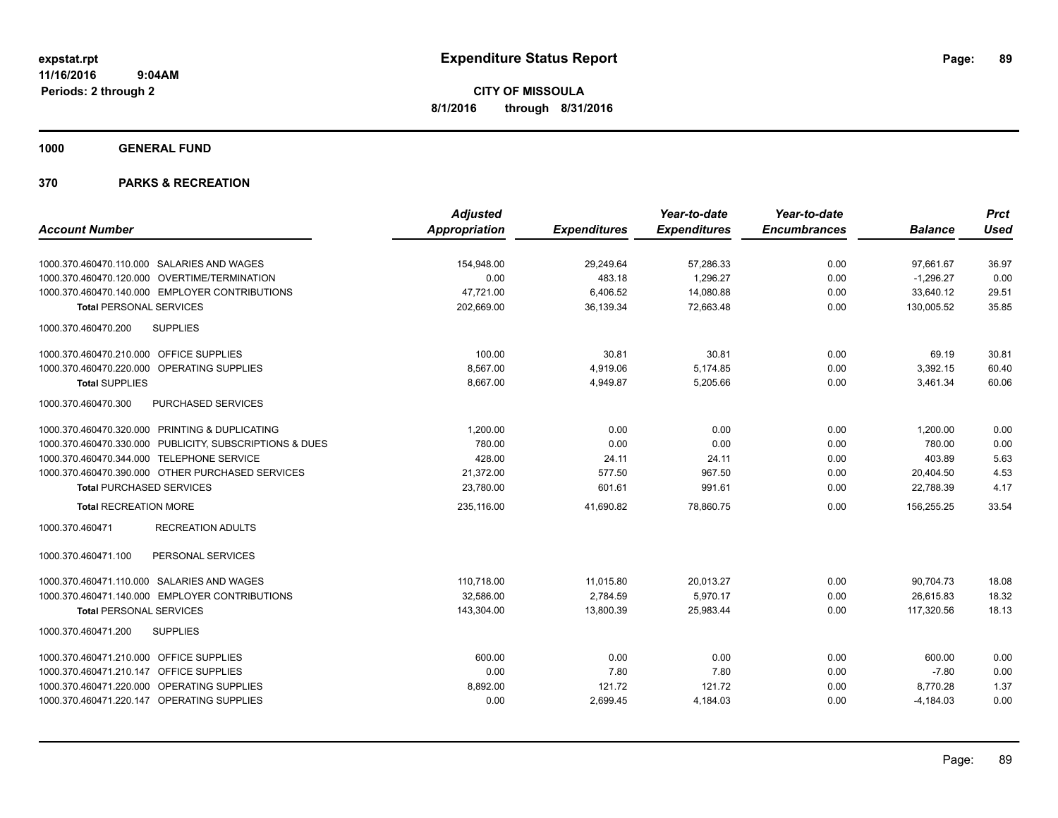**1000 GENERAL FUND**

|                                                         | <b>Adjusted</b>      |                     | Year-to-date        | Year-to-date        |                | <b>Prct</b> |
|---------------------------------------------------------|----------------------|---------------------|---------------------|---------------------|----------------|-------------|
| <b>Account Number</b>                                   | <b>Appropriation</b> | <b>Expenditures</b> | <b>Expenditures</b> | <b>Encumbrances</b> | <b>Balance</b> | <b>Used</b> |
| 1000.370.460470.110.000 SALARIES AND WAGES              | 154.948.00           | 29,249.64           | 57,286.33           | 0.00                | 97.661.67      | 36.97       |
| 1000.370.460470.120.000 OVERTIME/TERMINATION            | 0.00                 | 483.18              | 1,296.27            | 0.00                | $-1,296.27$    | 0.00        |
| 1000.370.460470.140.000 EMPLOYER CONTRIBUTIONS          | 47,721.00            | 6,406.52            | 14,080.88           | 0.00                | 33,640.12      | 29.51       |
| <b>Total PERSONAL SERVICES</b>                          | 202,669.00           | 36,139.34           | 72,663.48           | 0.00                | 130,005.52     | 35.85       |
| 1000.370.460470.200<br><b>SUPPLIES</b>                  |                      |                     |                     |                     |                |             |
| 1000.370.460470.210.000 OFFICE SUPPLIES                 | 100.00               | 30.81               | 30.81               | 0.00                | 69.19          | 30.81       |
| 1000.370.460470.220.000 OPERATING SUPPLIES              | 8,567.00             | 4,919.06            | 5,174.85            | 0.00                | 3,392.15       | 60.40       |
| <b>Total SUPPLIES</b>                                   | 8,667.00             | 4,949.87            | 5,205.66            | 0.00                | 3,461.34       | 60.06       |
| PURCHASED SERVICES<br>1000.370.460470.300               |                      |                     |                     |                     |                |             |
| 1000.370.460470.320.000 PRINTING & DUPLICATING          | 1,200.00             | 0.00                | 0.00                | 0.00                | 1,200.00       | 0.00        |
| 1000.370.460470.330.000 PUBLICITY, SUBSCRIPTIONS & DUES | 780.00               | 0.00                | 0.00                | 0.00                | 780.00         | 0.00        |
| 1000.370.460470.344.000 TELEPHONE SERVICE               | 428.00               | 24.11               | 24.11               | 0.00                | 403.89         | 5.63        |
| 1000.370.460470.390.000 OTHER PURCHASED SERVICES        | 21,372.00            | 577.50              | 967.50              | 0.00                | 20,404.50      | 4.53        |
| <b>Total PURCHASED SERVICES</b>                         | 23,780.00            | 601.61              | 991.61              | 0.00                | 22,788.39      | 4.17        |
| <b>Total RECREATION MORE</b>                            | 235,116.00           | 41,690.82           | 78,860.75           | 0.00                | 156,255.25     | 33.54       |
| <b>RECREATION ADULTS</b><br>1000.370.460471             |                      |                     |                     |                     |                |             |
| 1000.370.460471.100<br>PERSONAL SERVICES                |                      |                     |                     |                     |                |             |
| 1000.370.460471.110.000 SALARIES AND WAGES              | 110,718.00           | 11,015.80           | 20,013.27           | 0.00                | 90,704.73      | 18.08       |
| 1000.370.460471.140.000 EMPLOYER CONTRIBUTIONS          | 32.586.00            | 2.784.59            | 5.970.17            | 0.00                | 26.615.83      | 18.32       |
| <b>Total PERSONAL SERVICES</b>                          | 143,304.00           | 13,800.39           | 25,983.44           | 0.00                | 117,320.56     | 18.13       |
| 1000.370.460471.200<br><b>SUPPLIES</b>                  |                      |                     |                     |                     |                |             |
| 1000.370.460471.210.000 OFFICE SUPPLIES                 | 600.00               | 0.00                | 0.00                | 0.00                | 600.00         | 0.00        |
| 1000.370.460471.210.147 OFFICE SUPPLIES                 | 0.00                 | 7.80                | 7.80                | 0.00                | $-7.80$        | 0.00        |
| 1000.370.460471.220.000 OPERATING SUPPLIES              | 8,892.00             | 121.72              | 121.72              | 0.00                | 8,770.28       | 1.37        |
| 1000.370.460471.220.147 OPERATING SUPPLIES              | 0.00                 | 2,699.45            | 4,184.03            | 0.00                | $-4,184.03$    | 0.00        |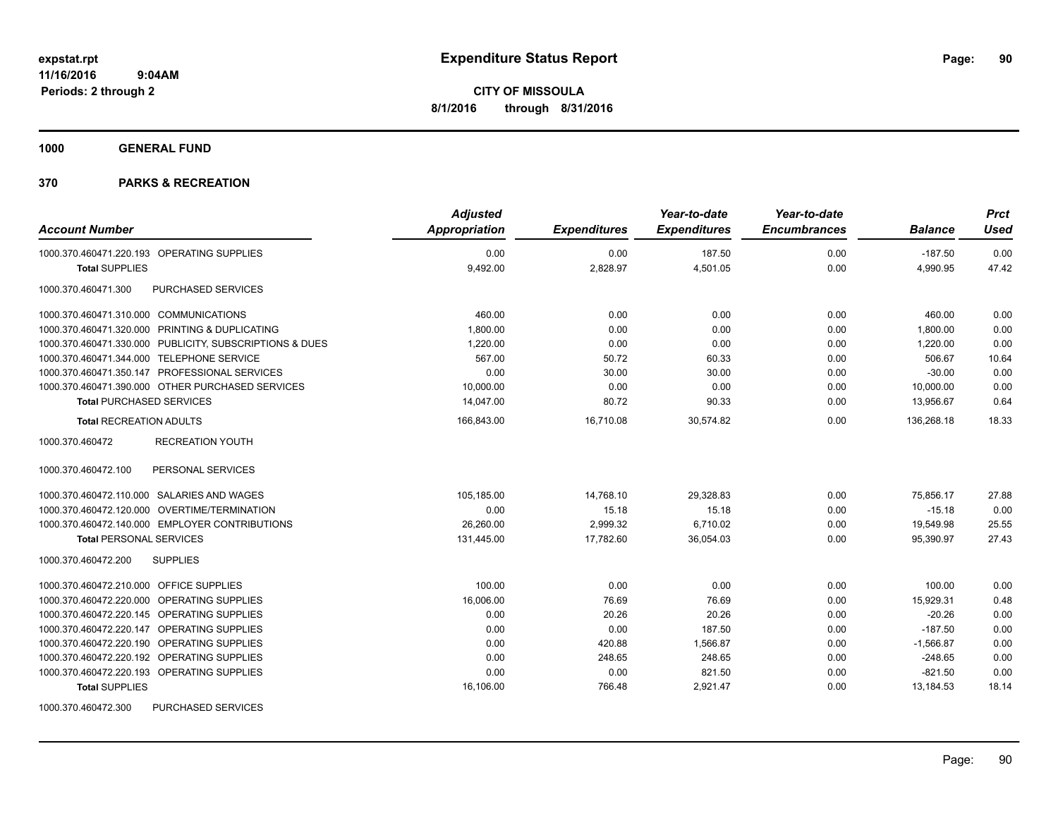**1000 GENERAL FUND**

| <b>Account Number</b>                                   | <b>Adjusted</b><br>Appropriation | <b>Expenditures</b> | Year-to-date<br><b>Expenditures</b> | Year-to-date<br><b>Encumbrances</b> | <b>Balance</b> | <b>Prct</b><br><b>Used</b> |
|---------------------------------------------------------|----------------------------------|---------------------|-------------------------------------|-------------------------------------|----------------|----------------------------|
| 1000.370.460471.220.193 OPERATING SUPPLIES              | 0.00                             | 0.00                | 187.50                              | 0.00                                | $-187.50$      | 0.00                       |
| <b>Total SUPPLIES</b>                                   | 9,492.00                         | 2,828.97            | 4,501.05                            | 0.00                                | 4,990.95       | 47.42                      |
| PURCHASED SERVICES<br>1000.370.460471.300               |                                  |                     |                                     |                                     |                |                            |
| 1000.370.460471.310.000 COMMUNICATIONS                  | 460.00                           | 0.00                | 0.00                                | 0.00                                | 460.00         | 0.00                       |
| 1000.370.460471.320.000 PRINTING & DUPLICATING          | 1,800.00                         | 0.00                | 0.00                                | 0.00                                | 1,800.00       | 0.00                       |
| 1000.370.460471.330.000 PUBLICITY, SUBSCRIPTIONS & DUES | 1,220.00                         | 0.00                | 0.00                                | 0.00                                | 1.220.00       | 0.00                       |
| 1000.370.460471.344.000 TELEPHONE SERVICE               | 567.00                           | 50.72               | 60.33                               | 0.00                                | 506.67         | 10.64                      |
| 1000.370.460471.350.147 PROFESSIONAL SERVICES           | 0.00                             | 30.00               | 30.00                               | 0.00                                | $-30.00$       | 0.00                       |
| 1000.370.460471.390.000 OTHER PURCHASED SERVICES        | 10,000.00                        | 0.00                | 0.00                                | 0.00                                | 10,000.00      | 0.00                       |
| <b>Total PURCHASED SERVICES</b>                         | 14,047.00                        | 80.72               | 90.33                               | 0.00                                | 13,956.67      | 0.64                       |
| <b>Total RECREATION ADULTS</b>                          | 166.843.00                       | 16.710.08           | 30.574.82                           | 0.00                                | 136.268.18     | 18.33                      |
| 1000.370.460472<br><b>RECREATION YOUTH</b>              |                                  |                     |                                     |                                     |                |                            |
| PERSONAL SERVICES<br>1000.370.460472.100                |                                  |                     |                                     |                                     |                |                            |
| 1000.370.460472.110.000 SALARIES AND WAGES              | 105,185.00                       | 14,768.10           | 29,328.83                           | 0.00                                | 75.856.17      | 27.88                      |
| 1000.370.460472.120.000 OVERTIME/TERMINATION            | 0.00                             | 15.18               | 15.18                               | 0.00                                | $-15.18$       | 0.00                       |
| 1000.370.460472.140.000 EMPLOYER CONTRIBUTIONS          | 26,260.00                        | 2,999.32            | 6,710.02                            | 0.00                                | 19,549.98      | 25.55                      |
| <b>Total PERSONAL SERVICES</b>                          | 131,445.00                       | 17,782.60           | 36,054.03                           | 0.00                                | 95,390.97      | 27.43                      |
| 1000.370.460472.200<br><b>SUPPLIES</b>                  |                                  |                     |                                     |                                     |                |                            |
| 1000.370.460472.210.000 OFFICE SUPPLIES                 | 100.00                           | 0.00                | 0.00                                | 0.00                                | 100.00         | 0.00                       |
| 1000.370.460472.220.000 OPERATING SUPPLIES              | 16,006.00                        | 76.69               | 76.69                               | 0.00                                | 15,929.31      | 0.48                       |
| 1000.370.460472.220.145 OPERATING SUPPLIES              | 0.00                             | 20.26               | 20.26                               | 0.00                                | $-20.26$       | 0.00                       |
| 1000.370.460472.220.147 OPERATING SUPPLIES              | 0.00                             | 0.00                | 187.50                              | 0.00                                | $-187.50$      | 0.00                       |
| 1000.370.460472.220.190 OPERATING SUPPLIES              | 0.00                             | 420.88              | 1,566.87                            | 0.00                                | $-1,566.87$    | 0.00                       |
| 1000.370.460472.220.192 OPERATING SUPPLIES              | 0.00                             | 248.65              | 248.65                              | 0.00                                | $-248.65$      | 0.00                       |
| 1000.370.460472.220.193 OPERATING SUPPLIES              | 0.00                             | 0.00                | 821.50                              | 0.00                                | $-821.50$      | 0.00                       |
| <b>Total SUPPLIES</b>                                   | 16,106.00                        | 766.48              | 2,921.47                            | 0.00                                | 13,184.53      | 18.14                      |
| 1000.370.460472.300<br><b>PURCHASED SERVICES</b>        |                                  |                     |                                     |                                     |                |                            |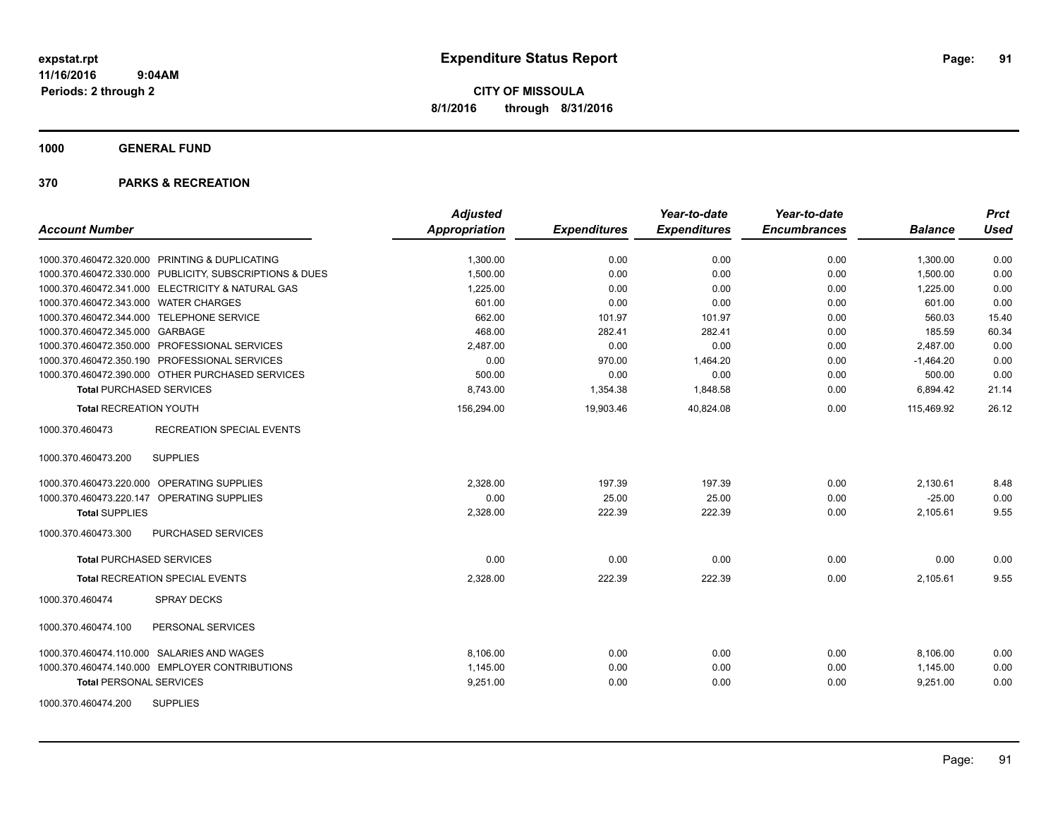**1000 GENERAL FUND**

| <b>Account Number</b>                                   | <b>Adjusted</b><br><b>Appropriation</b> | <b>Expenditures</b> | Year-to-date<br><b>Expenditures</b> | Year-to-date<br><b>Encumbrances</b> | <b>Balance</b> | <b>Prct</b><br><b>Used</b> |
|---------------------------------------------------------|-----------------------------------------|---------------------|-------------------------------------|-------------------------------------|----------------|----------------------------|
|                                                         |                                         |                     |                                     |                                     |                |                            |
| 1000.370.460472.320.000 PRINTING & DUPLICATING          | 1,300.00                                | 0.00                | 0.00                                | 0.00                                | 1,300.00       | 0.00                       |
| 1000.370.460472.330.000 PUBLICITY, SUBSCRIPTIONS & DUES | 1,500.00                                | 0.00                | 0.00                                | 0.00                                | 1,500.00       | 0.00                       |
| 1000.370.460472.341.000 ELECTRICITY & NATURAL GAS       | 1,225.00                                | 0.00                | 0.00                                | 0.00                                | 1,225.00       | 0.00                       |
| 1000.370.460472.343.000 WATER CHARGES                   | 601.00                                  | 0.00                | 0.00                                | 0.00                                | 601.00         | 0.00                       |
| 1000.370.460472.344.000 TELEPHONE SERVICE               | 662.00                                  | 101.97              | 101.97                              | 0.00                                | 560.03         | 15.40                      |
| 1000.370.460472.345.000 GARBAGE                         | 468.00                                  | 282.41              | 282.41                              | 0.00                                | 185.59         | 60.34                      |
| 1000.370.460472.350.000 PROFESSIONAL SERVICES           | 2.487.00                                | 0.00                | 0.00                                | 0.00                                | 2.487.00       | 0.00                       |
| 1000.370.460472.350.190 PROFESSIONAL SERVICES           | 0.00                                    | 970.00              | 1,464.20                            | 0.00                                | $-1,464.20$    | 0.00                       |
| 1000.370.460472.390.000 OTHER PURCHASED SERVICES        | 500.00                                  | 0.00                | 0.00                                | 0.00                                | 500.00         | 0.00                       |
| <b>Total PURCHASED SERVICES</b>                         | 8.743.00                                | 1,354.38            | 1,848.58                            | 0.00                                | 6,894.42       | 21.14                      |
| <b>Total RECREATION YOUTH</b>                           | 156,294.00                              | 19,903.46           | 40,824.08                           | 0.00                                | 115,469.92     | 26.12                      |
| <b>RECREATION SPECIAL EVENTS</b><br>1000.370.460473     |                                         |                     |                                     |                                     |                |                            |
| <b>SUPPLIES</b><br>1000.370.460473.200                  |                                         |                     |                                     |                                     |                |                            |
| 1000.370.460473.220.000 OPERATING SUPPLIES              | 2,328.00                                | 197.39              | 197.39                              | 0.00                                | 2,130.61       | 8.48                       |
| 1000.370.460473.220.147 OPERATING SUPPLIES              | 0.00                                    | 25.00               | 25.00                               | 0.00                                | $-25.00$       | 0.00                       |
| <b>Total SUPPLIES</b>                                   | 2,328.00                                | 222.39              | 222.39                              | 0.00                                | 2,105.61       | 9.55                       |
| 1000.370.460473.300<br>PURCHASED SERVICES               |                                         |                     |                                     |                                     |                |                            |
| <b>Total PURCHASED SERVICES</b>                         | 0.00                                    | 0.00                | 0.00                                | 0.00                                | 0.00           | 0.00                       |
| <b>Total RECREATION SPECIAL EVENTS</b>                  | 2,328.00                                | 222.39              | 222.39                              | 0.00                                | 2,105.61       | 9.55                       |
| 1000.370.460474<br><b>SPRAY DECKS</b>                   |                                         |                     |                                     |                                     |                |                            |
| 1000.370.460474.100<br>PERSONAL SERVICES                |                                         |                     |                                     |                                     |                |                            |
| 1000.370.460474.110.000 SALARIES AND WAGES              | 8,106.00                                | 0.00                | 0.00                                | 0.00                                | 8,106.00       | 0.00                       |
| 1000.370.460474.140.000 EMPLOYER CONTRIBUTIONS          | 1,145.00                                | 0.00                | 0.00                                | 0.00                                | 1,145.00       | 0.00                       |
| <b>Total PERSONAL SERVICES</b>                          | 9,251.00                                | 0.00                | 0.00                                | 0.00                                | 9,251.00       | 0.00                       |
| <b>SUPPLIES</b><br>1000.370.460474.200                  |                                         |                     |                                     |                                     |                |                            |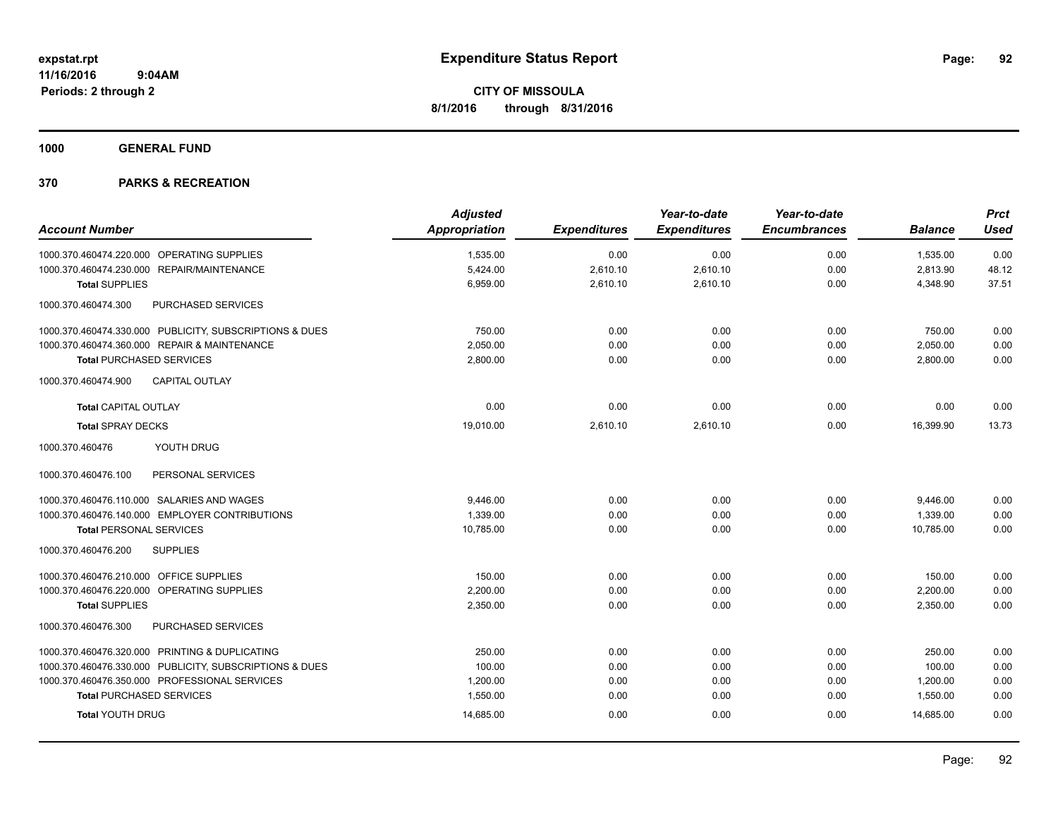**1000 GENERAL FUND**

|                                                         | <b>Adjusted</b>      |                     | Year-to-date        | Year-to-date        |                | <b>Prct</b> |
|---------------------------------------------------------|----------------------|---------------------|---------------------|---------------------|----------------|-------------|
| <b>Account Number</b>                                   | <b>Appropriation</b> | <b>Expenditures</b> | <b>Expenditures</b> | <b>Encumbrances</b> | <b>Balance</b> | <b>Used</b> |
| 1000.370.460474.220.000 OPERATING SUPPLIES              | 1,535.00             | 0.00                | 0.00                | 0.00                | 1,535.00       | 0.00        |
| 1000.370.460474.230.000 REPAIR/MAINTENANCE              | 5,424.00             | 2,610.10            | 2,610.10            | 0.00                | 2,813.90       | 48.12       |
| <b>Total SUPPLIES</b>                                   | 6,959.00             | 2,610.10            | 2,610.10            | 0.00                | 4,348.90       | 37.51       |
| 1000.370.460474.300<br>PURCHASED SERVICES               |                      |                     |                     |                     |                |             |
| 1000.370.460474.330.000 PUBLICITY, SUBSCRIPTIONS & DUES | 750.00               | 0.00                | 0.00                | 0.00                | 750.00         | 0.00        |
| 1000.370.460474.360.000 REPAIR & MAINTENANCE            | 2,050.00             | 0.00                | 0.00                | 0.00                | 2,050.00       | 0.00        |
| <b>Total PURCHASED SERVICES</b>                         | 2,800.00             | 0.00                | 0.00                | 0.00                | 2,800.00       | 0.00        |
| <b>CAPITAL OUTLAY</b><br>1000.370.460474.900            |                      |                     |                     |                     |                |             |
| <b>Total CAPITAL OUTLAY</b>                             | 0.00                 | 0.00                | 0.00                | 0.00                | 0.00           | 0.00        |
| <b>Total SPRAY DECKS</b>                                | 19,010.00            | 2,610.10            | 2,610.10            | 0.00                | 16,399.90      | 13.73       |
| 1000.370.460476<br>YOUTH DRUG                           |                      |                     |                     |                     |                |             |
| 1000.370.460476.100<br>PERSONAL SERVICES                |                      |                     |                     |                     |                |             |
| 1000.370.460476.110.000 SALARIES AND WAGES              | 9,446.00             | 0.00                | 0.00                | 0.00                | 9,446.00       | 0.00        |
| 1000.370.460476.140.000 EMPLOYER CONTRIBUTIONS          | 1,339.00             | 0.00                | 0.00                | 0.00                | 1,339.00       | 0.00        |
| <b>Total PERSONAL SERVICES</b>                          | 10,785.00            | 0.00                | 0.00                | 0.00                | 10,785.00      | 0.00        |
| 1000.370.460476.200<br><b>SUPPLIES</b>                  |                      |                     |                     |                     |                |             |
| 1000.370.460476.210.000 OFFICE SUPPLIES                 | 150.00               | 0.00                | 0.00                | 0.00                | 150.00         | 0.00        |
| 1000.370.460476.220.000 OPERATING SUPPLIES              | 2,200.00             | 0.00                | 0.00                | 0.00                | 2,200.00       | 0.00        |
| <b>Total SUPPLIES</b>                                   | 2,350.00             | 0.00                | 0.00                | 0.00                | 2,350.00       | 0.00        |
| PURCHASED SERVICES<br>1000.370.460476.300               |                      |                     |                     |                     |                |             |
| 1000.370.460476.320.000 PRINTING & DUPLICATING          | 250.00               | 0.00                | 0.00                | 0.00                | 250.00         | 0.00        |
| 1000.370.460476.330.000 PUBLICITY, SUBSCRIPTIONS & DUES | 100.00               | 0.00                | 0.00                | 0.00                | 100.00         | 0.00        |
| 1000.370.460476.350.000 PROFESSIONAL SERVICES           | 1,200.00             | 0.00                | 0.00                | 0.00                | 1,200.00       | 0.00        |
| <b>Total PURCHASED SERVICES</b>                         | 1,550.00             | 0.00                | 0.00                | 0.00                | 1,550.00       | 0.00        |
| <b>Total YOUTH DRUG</b>                                 | 14,685.00            | 0.00                | 0.00                | 0.00                | 14,685.00      | 0.00        |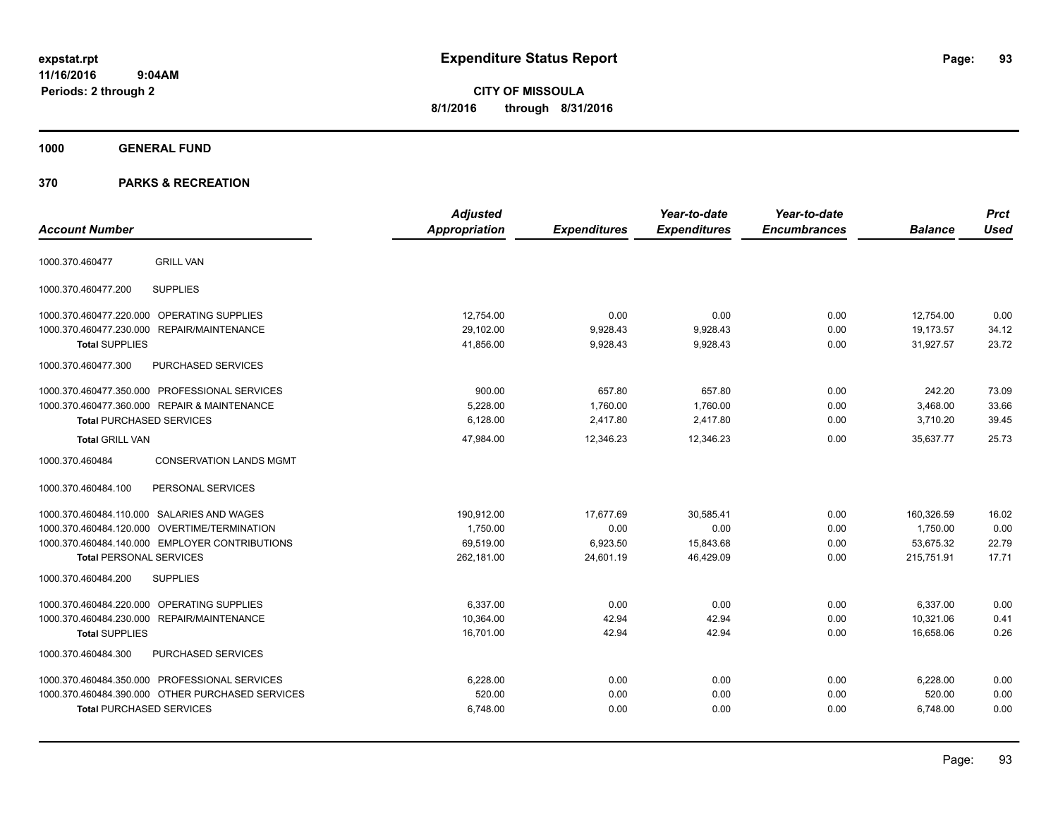**CITY OF MISSOULA 8/1/2016 through 8/31/2016**

**1000 GENERAL FUND**

| <b>Account Number</b>                             | <b>Adjusted</b><br><b>Appropriation</b> | <b>Expenditures</b> | Year-to-date<br><b>Expenditures</b> | Year-to-date<br><b>Encumbrances</b> | <b>Balance</b> | <b>Prct</b><br><b>Used</b> |
|---------------------------------------------------|-----------------------------------------|---------------------|-------------------------------------|-------------------------------------|----------------|----------------------------|
| <b>GRILL VAN</b><br>1000.370.460477               |                                         |                     |                                     |                                     |                |                            |
| <b>SUPPLIES</b><br>1000.370.460477.200            |                                         |                     |                                     |                                     |                |                            |
| 1000.370.460477.220.000 OPERATING SUPPLIES        | 12,754.00                               | 0.00                | 0.00                                | 0.00                                | 12,754.00      | 0.00                       |
| 1000.370.460477.230.000 REPAIR/MAINTENANCE        | 29,102.00                               | 9,928.43            | 9,928.43                            | 0.00                                | 19,173.57      | 34.12                      |
| <b>Total SUPPLIES</b>                             | 41,856.00                               | 9,928.43            | 9,928.43                            | 0.00                                | 31,927.57      | 23.72                      |
| PURCHASED SERVICES<br>1000.370.460477.300         |                                         |                     |                                     |                                     |                |                            |
| 1000.370.460477.350.000 PROFESSIONAL SERVICES     | 900.00                                  | 657.80              | 657.80                              | 0.00                                | 242.20         | 73.09                      |
| 1000.370.460477.360.000 REPAIR & MAINTENANCE      | 5,228.00                                | 1,760.00            | 1,760.00                            | 0.00                                | 3,468.00       | 33.66                      |
| <b>Total PURCHASED SERVICES</b>                   | 6,128.00                                | 2,417.80            | 2,417.80                            | 0.00                                | 3,710.20       | 39.45                      |
| <b>Total GRILL VAN</b>                            | 47,984.00                               | 12,346.23           | 12,346.23                           | 0.00                                | 35.637.77      | 25.73                      |
| <b>CONSERVATION LANDS MGMT</b><br>1000.370.460484 |                                         |                     |                                     |                                     |                |                            |
| PERSONAL SERVICES<br>1000.370.460484.100          |                                         |                     |                                     |                                     |                |                            |
| 1000.370.460484.110.000 SALARIES AND WAGES        | 190,912.00                              | 17,677.69           | 30,585.41                           | 0.00                                | 160,326.59     | 16.02                      |
| 1000.370.460484.120.000 OVERTIME/TERMINATION      | 1,750.00                                | 0.00                | 0.00                                | 0.00                                | 1,750.00       | 0.00                       |
| 1000.370.460484.140.000 EMPLOYER CONTRIBUTIONS    | 69,519.00                               | 6,923.50            | 15,843.68                           | 0.00                                | 53,675.32      | 22.79                      |
| <b>Total PERSONAL SERVICES</b>                    | 262,181.00                              | 24,601.19           | 46,429.09                           | 0.00                                | 215,751.91     | 17.71                      |
| 1000.370.460484.200<br><b>SUPPLIES</b>            |                                         |                     |                                     |                                     |                |                            |
| 1000.370.460484.220.000 OPERATING SUPPLIES        | 6,337.00                                | 0.00                | 0.00                                | 0.00                                | 6,337.00       | 0.00                       |
| 1000.370.460484.230.000 REPAIR/MAINTENANCE        | 10.364.00                               | 42.94               | 42.94                               | 0.00                                | 10,321.06      | 0.41                       |
| <b>Total SUPPLIES</b>                             | 16,701.00                               | 42.94               | 42.94                               | 0.00                                | 16,658.06      | 0.26                       |
| PURCHASED SERVICES<br>1000.370.460484.300         |                                         |                     |                                     |                                     |                |                            |
| 1000.370.460484.350.000 PROFESSIONAL SERVICES     | 6,228.00                                | 0.00                | 0.00                                | 0.00                                | 6,228.00       | 0.00                       |
| 1000.370.460484.390.000 OTHER PURCHASED SERVICES  | 520.00                                  | 0.00                | 0.00                                | 0.00                                | 520.00         | 0.00                       |
| <b>Total PURCHASED SERVICES</b>                   | 6,748.00                                | 0.00                | 0.00                                | 0.00                                | 6,748.00       | 0.00                       |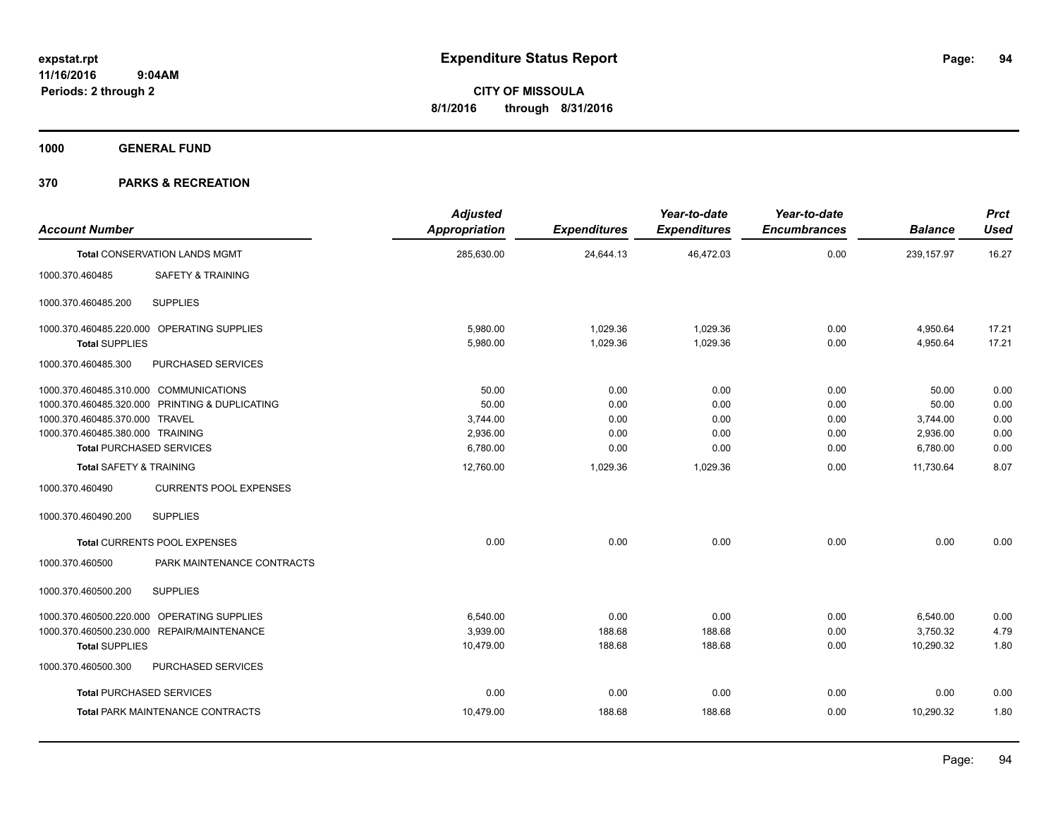**1000 GENERAL FUND**

| <b>Account Number</b>                            | <b>Adjusted</b><br>Appropriation | <b>Expenditures</b> | Year-to-date<br><b>Expenditures</b> | Year-to-date<br><b>Encumbrances</b> | <b>Balance</b> | <b>Prct</b><br><b>Used</b> |
|--------------------------------------------------|----------------------------------|---------------------|-------------------------------------|-------------------------------------|----------------|----------------------------|
| <b>Total CONSERVATION LANDS MGMT</b>             | 285,630.00                       | 24,644.13           | 46,472.03                           | 0.00                                | 239, 157.97    | 16.27                      |
| 1000.370.460485<br><b>SAFETY &amp; TRAINING</b>  |                                  |                     |                                     |                                     |                |                            |
| <b>SUPPLIES</b><br>1000.370.460485.200           |                                  |                     |                                     |                                     |                |                            |
| 1000.370.460485.220.000 OPERATING SUPPLIES       | 5,980.00                         | 1,029.36            | 1.029.36                            | 0.00                                | 4,950.64       | 17.21                      |
| <b>Total SUPPLIES</b>                            | 5,980.00                         | 1,029.36            | 1,029.36                            | 0.00                                | 4,950.64       | 17.21                      |
| 1000.370.460485.300<br><b>PURCHASED SERVICES</b> |                                  |                     |                                     |                                     |                |                            |
| 1000.370.460485.310.000 COMMUNICATIONS           | 50.00                            | 0.00                | 0.00                                | 0.00                                | 50.00          | 0.00                       |
| 1000.370.460485.320.000 PRINTING & DUPLICATING   | 50.00                            | 0.00                | 0.00                                | 0.00                                | 50.00          | 0.00                       |
| 1000.370.460485.370.000 TRAVEL                   | 3,744.00                         | 0.00                | 0.00                                | 0.00                                | 3,744.00       | 0.00                       |
| 1000.370.460485.380.000 TRAINING                 | 2,936.00                         | 0.00                | 0.00                                | 0.00                                | 2,936.00       | 0.00                       |
| <b>Total PURCHASED SERVICES</b>                  | 6,780.00                         | 0.00                | 0.00                                | 0.00                                | 6,780.00       | 0.00                       |
| <b>Total SAFETY &amp; TRAINING</b>               | 12,760.00                        | 1,029.36            | 1,029.36                            | 0.00                                | 11,730.64      | 8.07                       |
| <b>CURRENTS POOL EXPENSES</b><br>1000.370.460490 |                                  |                     |                                     |                                     |                |                            |
| <b>SUPPLIES</b><br>1000.370.460490.200           |                                  |                     |                                     |                                     |                |                            |
| <b>Total CURRENTS POOL EXPENSES</b>              | 0.00                             | 0.00                | 0.00                                | 0.00                                | 0.00           | 0.00                       |
| PARK MAINTENANCE CONTRACTS<br>1000.370.460500    |                                  |                     |                                     |                                     |                |                            |
| <b>SUPPLIES</b><br>1000.370.460500.200           |                                  |                     |                                     |                                     |                |                            |
| OPERATING SUPPLIES<br>1000.370.460500.220.000    | 6,540.00                         | 0.00                | 0.00                                | 0.00                                | 6,540.00       | 0.00                       |
| 1000.370.460500.230.000 REPAIR/MAINTENANCE       | 3,939.00                         | 188.68              | 188.68                              | 0.00                                | 3,750.32       | 4.79                       |
| <b>Total SUPPLIES</b>                            | 10,479.00                        | 188.68              | 188.68                              | 0.00                                | 10,290.32      | 1.80                       |
| 1000.370.460500.300<br>PURCHASED SERVICES        |                                  |                     |                                     |                                     |                |                            |
| <b>Total PURCHASED SERVICES</b>                  | 0.00                             | 0.00                | 0.00                                | 0.00                                | 0.00           | 0.00                       |
| <b>Total PARK MAINTENANCE CONTRACTS</b>          | 10,479.00                        | 188.68              | 188.68                              | 0.00                                | 10,290.32      | 1.80                       |
|                                                  |                                  |                     |                                     |                                     |                |                            |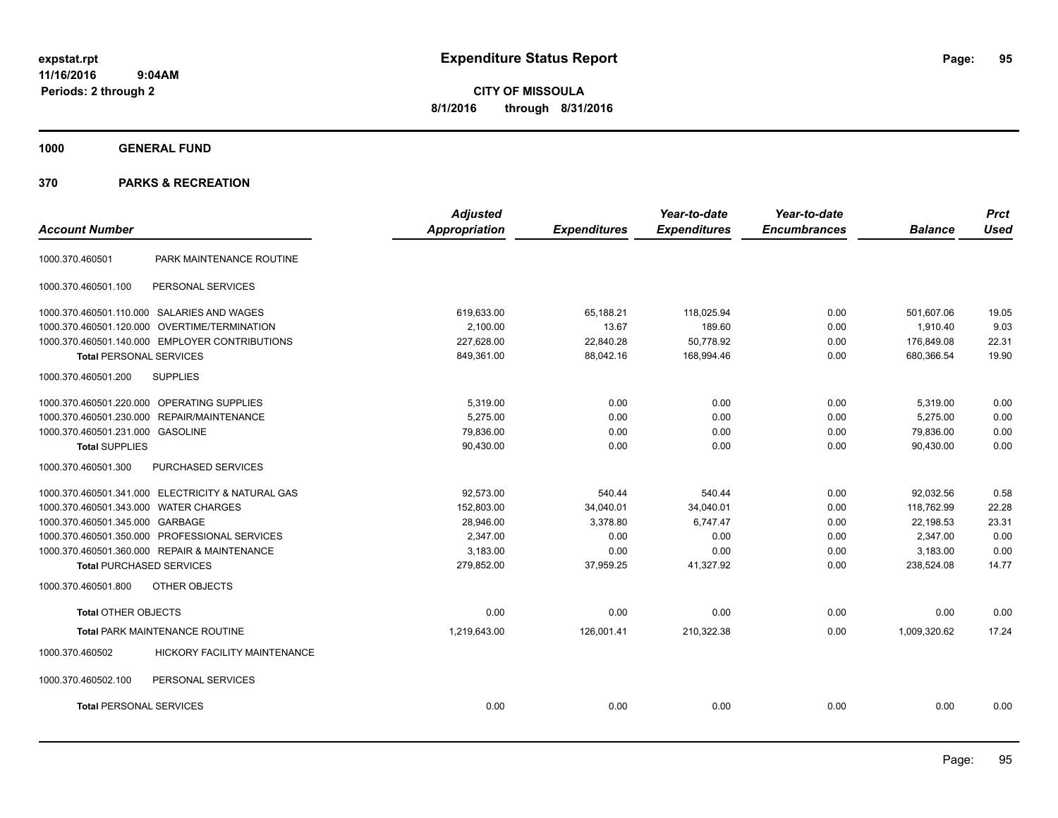**CITY OF MISSOULA 8/1/2016 through 8/31/2016**

**1000 GENERAL FUND**

| <b>Account Number</b>                                  | <b>Adjusted</b><br><b>Appropriation</b> | <b>Expenditures</b> | Year-to-date<br><b>Expenditures</b> | Year-to-date<br><b>Encumbrances</b> | <b>Balance</b> | <b>Prct</b><br><b>Used</b> |
|--------------------------------------------------------|-----------------------------------------|---------------------|-------------------------------------|-------------------------------------|----------------|----------------------------|
| PARK MAINTENANCE ROUTINE<br>1000.370.460501            |                                         |                     |                                     |                                     |                |                            |
| PERSONAL SERVICES<br>1000.370.460501.100               |                                         |                     |                                     |                                     |                |                            |
| 1000.370.460501.110.000 SALARIES AND WAGES             | 619.633.00                              | 65.188.21           | 118.025.94                          | 0.00                                | 501.607.06     | 19.05                      |
| 1000.370.460501.120.000 OVERTIME/TERMINATION           | 2,100.00                                | 13.67               | 189.60                              | 0.00                                | 1,910.40       | 9.03                       |
| 1000.370.460501.140.000 EMPLOYER CONTRIBUTIONS         | 227,628.00                              | 22,840.28           | 50.778.92                           | 0.00                                | 176,849.08     | 22.31                      |
| <b>Total PERSONAL SERVICES</b>                         | 849,361.00                              | 88,042.16           | 168,994.46                          | 0.00                                | 680,366.54     | 19.90                      |
| 1000.370.460501.200<br><b>SUPPLIES</b>                 |                                         |                     |                                     |                                     |                |                            |
| 1000.370.460501.220.000 OPERATING SUPPLIES             | 5,319.00                                | 0.00                | 0.00                                | 0.00                                | 5,319.00       | 0.00                       |
| 1000.370.460501.230.000 REPAIR/MAINTENANCE             | 5.275.00                                | 0.00                | 0.00                                | 0.00                                | 5,275.00       | 0.00                       |
| 1000.370.460501.231.000 GASOLINE                       | 79,836.00                               | 0.00                | 0.00                                | 0.00                                | 79,836.00      | 0.00                       |
| <b>Total SUPPLIES</b>                                  | 90,430.00                               | 0.00                | 0.00                                | 0.00                                | 90.430.00      | 0.00                       |
| 1000.370.460501.300<br>PURCHASED SERVICES              |                                         |                     |                                     |                                     |                |                            |
| 1000.370.460501.341.000 ELECTRICITY & NATURAL GAS      | 92.573.00                               | 540.44              | 540.44                              | 0.00                                | 92.032.56      | 0.58                       |
| 1000.370.460501.343.000 WATER CHARGES                  | 152,803.00                              | 34,040.01           | 34,040.01                           | 0.00                                | 118,762.99     | 22.28                      |
| 1000.370.460501.345.000 GARBAGE                        | 28,946.00                               | 3,378.80            | 6.747.47                            | 0.00                                | 22.198.53      | 23.31                      |
| 1000.370.460501.350.000 PROFESSIONAL SERVICES          | 2.347.00                                | 0.00                | 0.00                                | 0.00                                | 2,347.00       | 0.00                       |
| 1000.370.460501.360.000 REPAIR & MAINTENANCE           | 3.183.00                                | 0.00                | 0.00                                | 0.00                                | 3,183.00       | 0.00                       |
| <b>Total PURCHASED SERVICES</b>                        | 279,852.00                              | 37,959.25           | 41,327.92                           | 0.00                                | 238,524.08     | 14.77                      |
| OTHER OBJECTS<br>1000.370.460501.800                   |                                         |                     |                                     |                                     |                |                            |
| Total OTHER OBJECTS                                    | 0.00                                    | 0.00                | 0.00                                | 0.00                                | 0.00           | 0.00                       |
| <b>Total PARK MAINTENANCE ROUTINE</b>                  | 1,219,643.00                            | 126,001.41          | 210,322.38                          | 0.00                                | 1,009,320.62   | 17.24                      |
| 1000.370.460502<br><b>HICKORY FACILITY MAINTENANCE</b> |                                         |                     |                                     |                                     |                |                            |
| 1000.370.460502.100<br>PERSONAL SERVICES               |                                         |                     |                                     |                                     |                |                            |
| <b>Total PERSONAL SERVICES</b>                         | 0.00                                    | 0.00                | 0.00                                | 0.00                                | 0.00           | 0.00                       |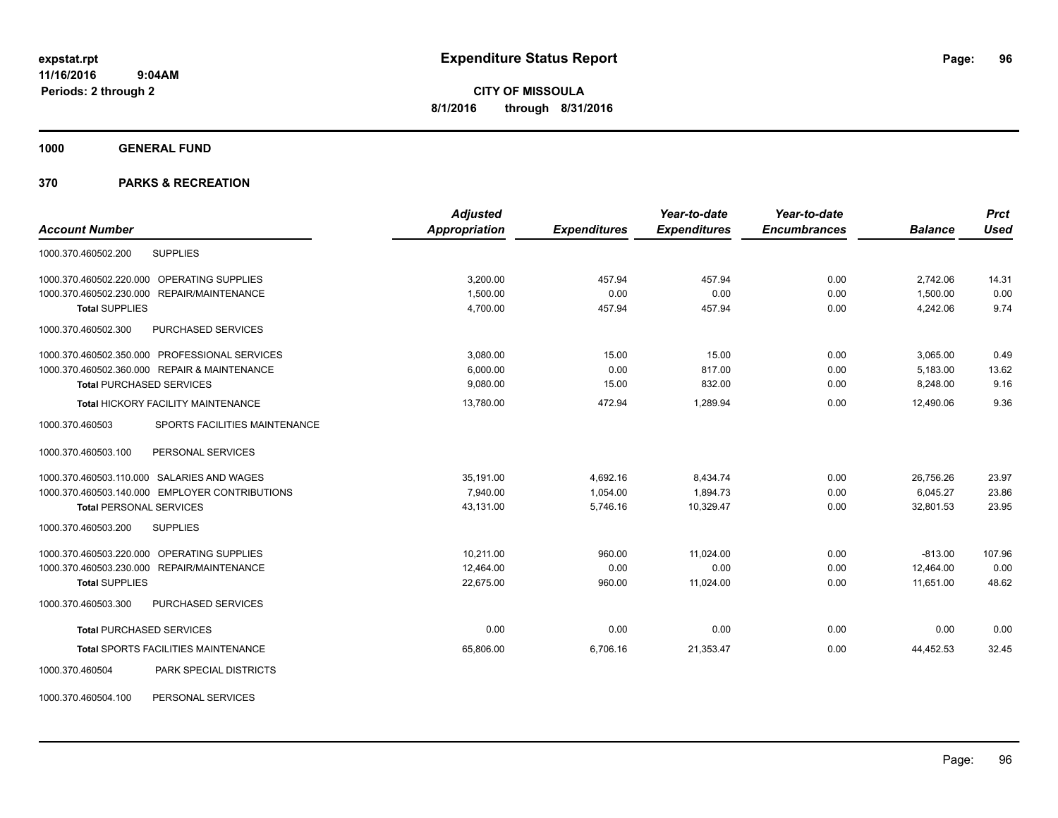**1000 GENERAL FUND**

| <b>Account Number</b>                            | <b>Adjusted</b><br><b>Appropriation</b> |                     | Year-to-date<br><b>Expenditures</b> | Year-to-date<br><b>Encumbrances</b> | <b>Balance</b> | <b>Prct</b><br><b>Used</b> |
|--------------------------------------------------|-----------------------------------------|---------------------|-------------------------------------|-------------------------------------|----------------|----------------------------|
|                                                  |                                         | <b>Expenditures</b> |                                     |                                     |                |                            |
| <b>SUPPLIES</b><br>1000.370.460502.200           |                                         |                     |                                     |                                     |                |                            |
| OPERATING SUPPLIES<br>1000.370.460502.220.000    | 3,200.00                                | 457.94              | 457.94                              | 0.00                                | 2,742.06       | 14.31                      |
| REPAIR/MAINTENANCE<br>1000.370.460502.230.000    | 1,500.00                                | 0.00                | 0.00                                | 0.00                                | 1,500.00       | 0.00                       |
| <b>Total SUPPLIES</b>                            | 4,700.00                                | 457.94              | 457.94                              | 0.00                                | 4,242.06       | 9.74                       |
| 1000.370.460502.300<br>PURCHASED SERVICES        |                                         |                     |                                     |                                     |                |                            |
| 1000.370.460502.350.000 PROFESSIONAL SERVICES    | 3,080.00                                | 15.00               | 15.00                               | 0.00                                | 3,065.00       | 0.49                       |
| 1000.370.460502.360.000 REPAIR & MAINTENANCE     | 6,000.00                                | 0.00                | 817.00                              | 0.00                                | 5,183.00       | 13.62                      |
| <b>Total PURCHASED SERVICES</b>                  | 9,080.00                                | 15.00               | 832.00                              | 0.00                                | 8,248.00       | 9.16                       |
| Total HICKORY FACILITY MAINTENANCE               | 13,780.00                               | 472.94              | 1.289.94                            | 0.00                                | 12.490.06      | 9.36                       |
| SPORTS FACILITIES MAINTENANCE<br>1000.370.460503 |                                         |                     |                                     |                                     |                |                            |
| 1000.370.460503.100<br>PERSONAL SERVICES         |                                         |                     |                                     |                                     |                |                            |
| 1000.370.460503.110.000 SALARIES AND WAGES       | 35,191.00                               | 4,692.16            | 8,434.74                            | 0.00                                | 26,756.26      | 23.97                      |
| 1000.370.460503.140.000 EMPLOYER CONTRIBUTIONS   | 7,940.00                                | 1,054.00            | 1,894.73                            | 0.00                                | 6,045.27       | 23.86                      |
| <b>Total PERSONAL SERVICES</b>                   | 43,131.00                               | 5.746.16            | 10,329.47                           | 0.00                                | 32.801.53      | 23.95                      |
| 1000.370.460503.200<br><b>SUPPLIES</b>           |                                         |                     |                                     |                                     |                |                            |
| 1000.370.460503.220.000 OPERATING SUPPLIES       | 10,211.00                               | 960.00              | 11,024.00                           | 0.00                                | $-813.00$      | 107.96                     |
| 1000.370.460503.230.000 REPAIR/MAINTENANCE       | 12,464.00                               | 0.00                | 0.00                                | 0.00                                | 12,464.00      | 0.00                       |
| <b>Total SUPPLIES</b>                            | 22,675.00                               | 960.00              | 11,024.00                           | 0.00                                | 11,651.00      | 48.62                      |
| 1000.370.460503.300<br>PURCHASED SERVICES        |                                         |                     |                                     |                                     |                |                            |
| <b>Total PURCHASED SERVICES</b>                  | 0.00                                    | 0.00                | 0.00                                | 0.00                                | 0.00           | 0.00                       |
| Total SPORTS FACILITIES MAINTENANCE              | 65,806.00                               | 6,706.16            | 21,353.47                           | 0.00                                | 44,452.53      | 32.45                      |
| PARK SPECIAL DISTRICTS<br>1000.370.460504        |                                         |                     |                                     |                                     |                |                            |
| PERSONAL SERVICES<br>1000.370.460504.100         |                                         |                     |                                     |                                     |                |                            |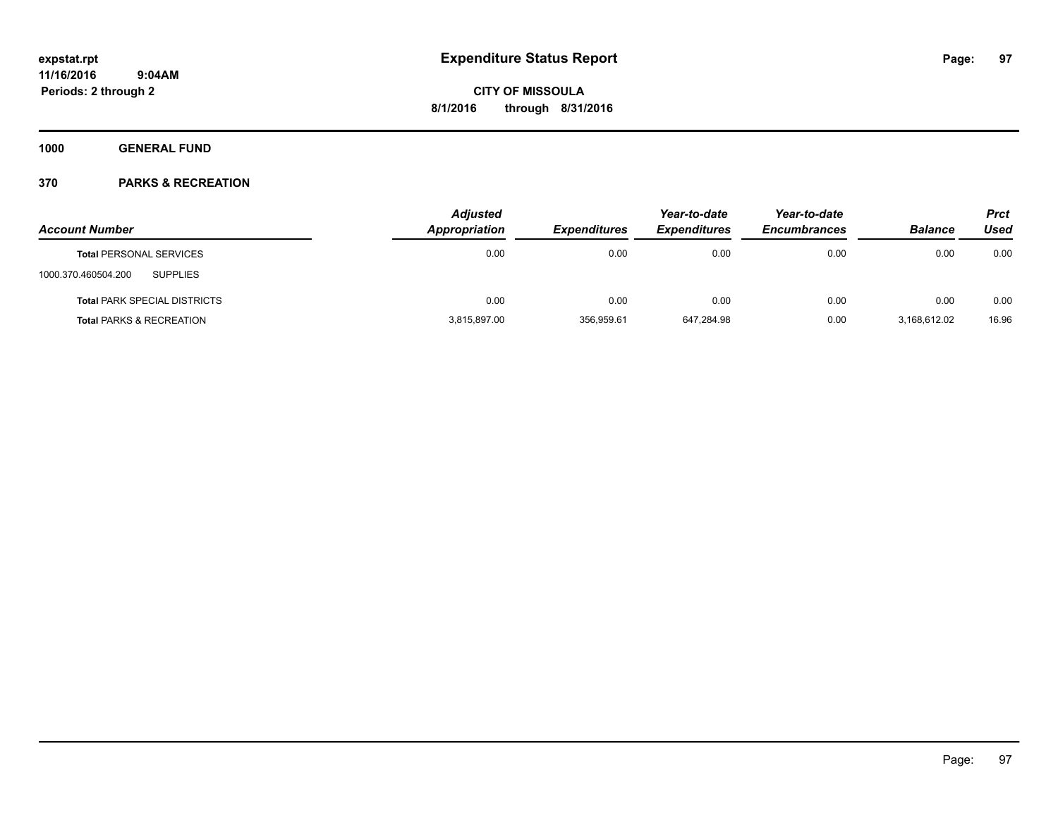**1000 GENERAL FUND**

|                                        | <b>Adjusted</b>      |                     | Year-to-date        | Year-to-date        |                | <b>Prct</b> |
|----------------------------------------|----------------------|---------------------|---------------------|---------------------|----------------|-------------|
| <b>Account Number</b>                  | <b>Appropriation</b> | <b>Expenditures</b> | <b>Expenditures</b> | <b>Encumbrances</b> | <b>Balance</b> | Used        |
| <b>Total PERSONAL SERVICES</b>         | 0.00                 | 0.00                | 0.00                | 0.00                | 0.00           | 0.00        |
| <b>SUPPLIES</b><br>1000.370.460504.200 |                      |                     |                     |                     |                |             |
| <b>Total PARK SPECIAL DISTRICTS</b>    | 0.00                 | 0.00                | 0.00                | 0.00                | 0.00           | 0.00        |
| <b>Total PARKS &amp; RECREATION</b>    | 3,815,897.00         | 356,959.61          | 647,284.98          | 0.00                | 3,168,612.02   | 16.96       |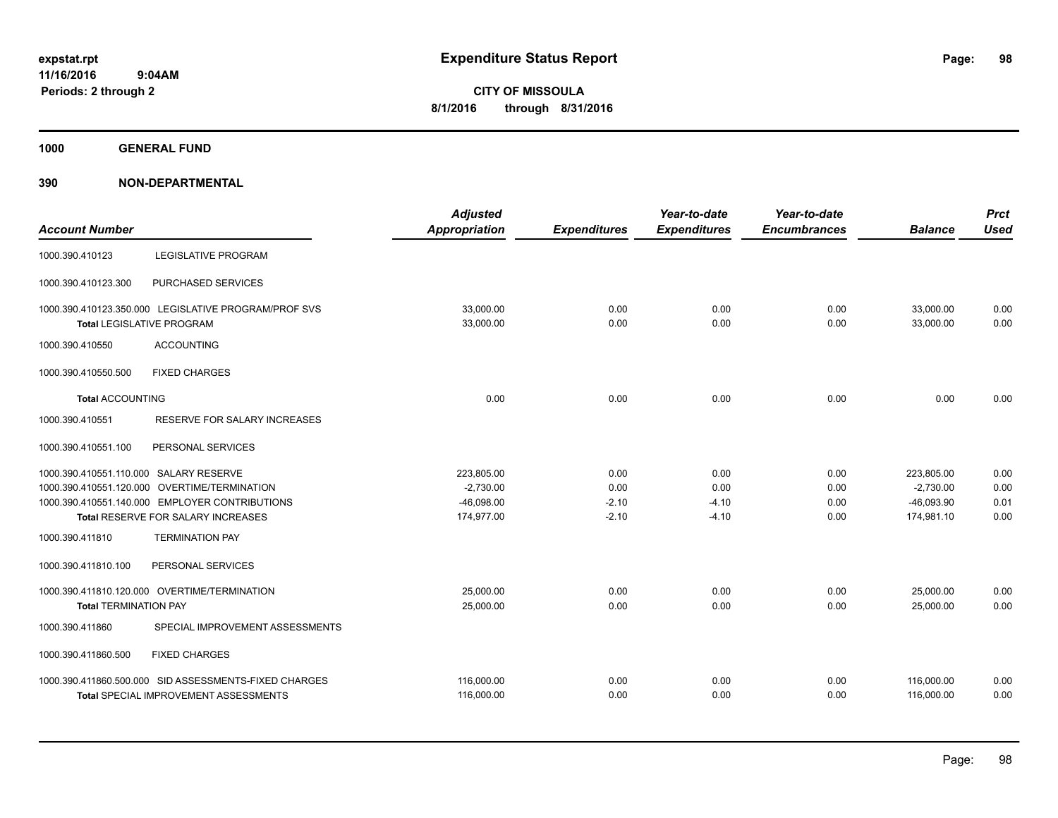**1000 GENERAL FUND**

| <b>Account Number</b>                  |                                                                                          | <b>Adjusted</b><br>Appropriation | <b>Expenditures</b> | Year-to-date<br><b>Expenditures</b> | Year-to-date<br><b>Encumbrances</b> | <b>Balance</b>         | <b>Prct</b><br><b>Used</b> |
|----------------------------------------|------------------------------------------------------------------------------------------|----------------------------------|---------------------|-------------------------------------|-------------------------------------|------------------------|----------------------------|
| 1000.390.410123                        | <b>LEGISLATIVE PROGRAM</b>                                                               |                                  |                     |                                     |                                     |                        |                            |
| 1000.390.410123.300                    | PURCHASED SERVICES                                                                       |                                  |                     |                                     |                                     |                        |                            |
|                                        | 1000.390.410123.350.000 LEGISLATIVE PROGRAM/PROF SVS<br><b>Total LEGISLATIVE PROGRAM</b> | 33,000.00<br>33,000.00           | 0.00<br>0.00        | 0.00<br>0.00                        | 0.00<br>0.00                        | 33,000.00<br>33,000.00 | 0.00<br>0.00               |
| 1000.390.410550                        | <b>ACCOUNTING</b>                                                                        |                                  |                     |                                     |                                     |                        |                            |
| 1000.390.410550.500                    | <b>FIXED CHARGES</b>                                                                     |                                  |                     |                                     |                                     |                        |                            |
| <b>Total ACCOUNTING</b>                |                                                                                          | 0.00                             | 0.00                | 0.00                                | 0.00                                | 0.00                   | 0.00                       |
| 1000.390.410551                        | RESERVE FOR SALARY INCREASES                                                             |                                  |                     |                                     |                                     |                        |                            |
| 1000.390.410551.100                    | PERSONAL SERVICES                                                                        |                                  |                     |                                     |                                     |                        |                            |
| 1000.390.410551.110.000 SALARY RESERVE |                                                                                          | 223,805.00                       | 0.00                | 0.00                                | 0.00                                | 223,805.00             | 0.00                       |
|                                        | 1000.390.410551.120.000 OVERTIME/TERMINATION                                             | $-2,730.00$                      | 0.00                | 0.00                                | 0.00                                | $-2,730.00$            | 0.00                       |
|                                        | 1000.390.410551.140.000 EMPLOYER CONTRIBUTIONS                                           | $-46,098.00$                     | $-2.10$             | $-4.10$                             | 0.00                                | $-46,093.90$           | 0.01                       |
|                                        | Total RESERVE FOR SALARY INCREASES                                                       | 174,977.00                       | $-2.10$             | $-4.10$                             | 0.00                                | 174,981.10             | 0.00                       |
| 1000.390.411810                        | <b>TERMINATION PAY</b>                                                                   |                                  |                     |                                     |                                     |                        |                            |
| 1000.390.411810.100                    | PERSONAL SERVICES                                                                        |                                  |                     |                                     |                                     |                        |                            |
|                                        | 1000.390.411810.120.000 OVERTIME/TERMINATION                                             | 25.000.00                        | 0.00                | 0.00                                | 0.00                                | 25,000.00              | 0.00                       |
| <b>Total TERMINATION PAY</b>           |                                                                                          | 25,000.00                        | 0.00                | 0.00                                | 0.00                                | 25,000.00              | 0.00                       |
| 1000.390.411860                        | SPECIAL IMPROVEMENT ASSESSMENTS                                                          |                                  |                     |                                     |                                     |                        |                            |
| 1000.390.411860.500                    | <b>FIXED CHARGES</b>                                                                     |                                  |                     |                                     |                                     |                        |                            |
|                                        | 1000.390.411860.500.000 SID ASSESSMENTS-FIXED CHARGES                                    | 116,000.00                       | 0.00                | 0.00                                | 0.00                                | 116,000.00             | 0.00                       |
|                                        | <b>Total SPECIAL IMPROVEMENT ASSESSMENTS</b>                                             | 116,000.00                       | 0.00                | 0.00                                | 0.00                                | 116,000.00             | 0.00                       |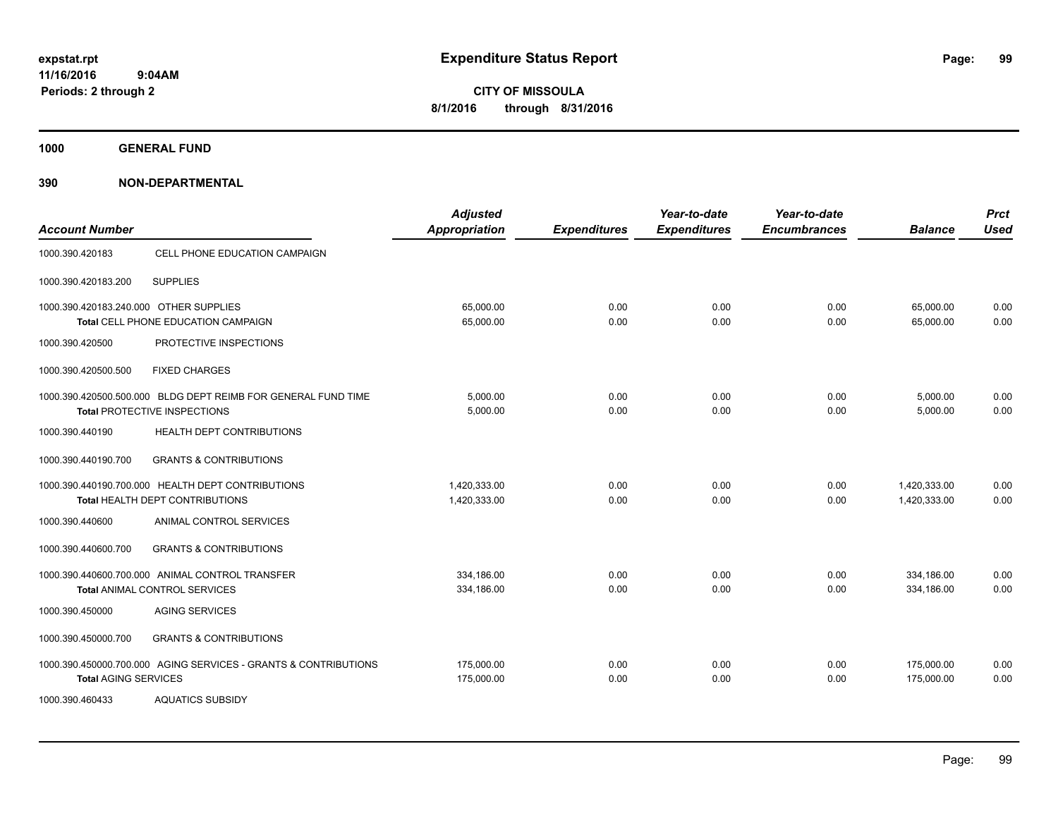**Periods: 2 through 2**

**CITY OF MISSOULA 8/1/2016 through 8/31/2016**

**1000 GENERAL FUND**

**390 NON-DEPARTMENTAL**

 **9:04AM**

| <b>Account Number</b>                  |                                                                                                      | <b>Adjusted</b><br><b>Appropriation</b> | <b>Expenditures</b> | Year-to-date<br><b>Expenditures</b> | Year-to-date<br><b>Encumbrances</b> | <b>Balance</b>               | <b>Prct</b><br><b>Used</b> |
|----------------------------------------|------------------------------------------------------------------------------------------------------|-----------------------------------------|---------------------|-------------------------------------|-------------------------------------|------------------------------|----------------------------|
| 1000.390.420183                        | CELL PHONE EDUCATION CAMPAIGN                                                                        |                                         |                     |                                     |                                     |                              |                            |
| 1000.390.420183.200                    | <b>SUPPLIES</b>                                                                                      |                                         |                     |                                     |                                     |                              |                            |
| 1000.390.420183.240.000 OTHER SUPPLIES | Total CELL PHONE EDUCATION CAMPAIGN                                                                  | 65,000.00<br>65,000.00                  | 0.00<br>0.00        | 0.00<br>0.00                        | 0.00<br>0.00                        | 65,000.00<br>65,000.00       | 0.00<br>0.00               |
| 1000.390.420500                        | PROTECTIVE INSPECTIONS                                                                               |                                         |                     |                                     |                                     |                              |                            |
| 1000.390.420500.500                    | <b>FIXED CHARGES</b>                                                                                 |                                         |                     |                                     |                                     |                              |                            |
|                                        | 1000.390.420500.500.000 BLDG DEPT REIMB FOR GENERAL FUND TIME<br><b>Total PROTECTIVE INSPECTIONS</b> | 5,000.00<br>5,000.00                    | 0.00<br>0.00        | 0.00<br>0.00                        | 0.00<br>0.00                        | 5,000.00<br>5,000.00         | 0.00<br>0.00               |
| 1000.390.440190                        | <b>HEALTH DEPT CONTRIBUTIONS</b>                                                                     |                                         |                     |                                     |                                     |                              |                            |
| 1000.390.440190.700                    | <b>GRANTS &amp; CONTRIBUTIONS</b>                                                                    |                                         |                     |                                     |                                     |                              |                            |
|                                        | 1000.390.440190.700.000 HEALTH DEPT CONTRIBUTIONS<br>Total HEALTH DEPT CONTRIBUTIONS                 | 1,420,333.00<br>1,420,333.00            | 0.00<br>0.00        | 0.00<br>0.00                        | 0.00<br>0.00                        | 1,420,333.00<br>1,420,333.00 | 0.00<br>0.00               |
| 1000.390.440600                        | ANIMAL CONTROL SERVICES                                                                              |                                         |                     |                                     |                                     |                              |                            |
| 1000.390.440600.700                    | <b>GRANTS &amp; CONTRIBUTIONS</b>                                                                    |                                         |                     |                                     |                                     |                              |                            |
|                                        | 1000.390.440600.700.000 ANIMAL CONTROL TRANSFER<br><b>Total ANIMAL CONTROL SERVICES</b>              | 334,186.00<br>334,186.00                | 0.00<br>0.00        | 0.00<br>0.00                        | 0.00<br>0.00                        | 334,186.00<br>334,186.00     | 0.00<br>0.00               |
| 1000.390.450000                        | <b>AGING SERVICES</b>                                                                                |                                         |                     |                                     |                                     |                              |                            |
| 1000.390.450000.700                    | <b>GRANTS &amp; CONTRIBUTIONS</b>                                                                    |                                         |                     |                                     |                                     |                              |                            |
| <b>Total AGING SERVICES</b>            | 1000.390.450000.700.000 AGING SERVICES - GRANTS & CONTRIBUTIONS                                      | 175,000.00<br>175,000.00                | 0.00<br>0.00        | 0.00<br>0.00                        | 0.00<br>0.00                        | 175,000.00<br>175,000.00     | 0.00<br>0.00               |
| 1000.390.460433                        | <b>AQUATICS SUBSIDY</b>                                                                              |                                         |                     |                                     |                                     |                              |                            |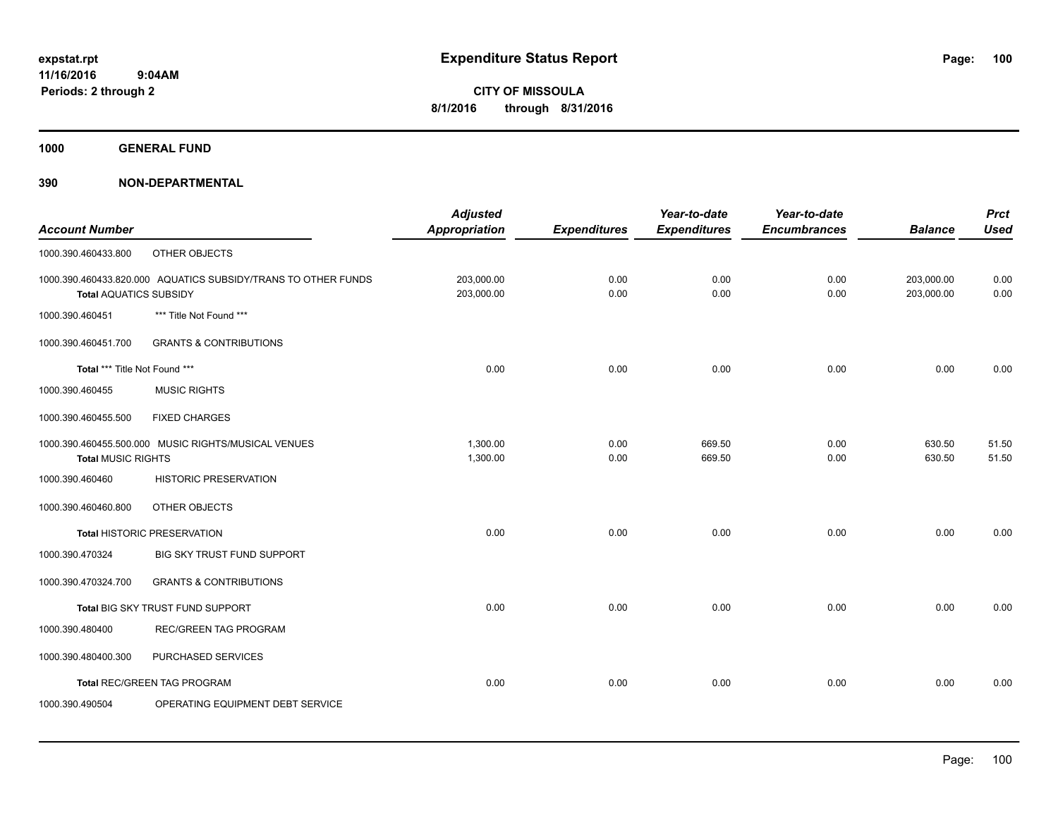**1000 GENERAL FUND**

|                               |                                                               | <b>Adjusted</b>      |                     | Year-to-date        | Year-to-date        |                | <b>Prct</b> |
|-------------------------------|---------------------------------------------------------------|----------------------|---------------------|---------------------|---------------------|----------------|-------------|
| <b>Account Number</b>         |                                                               | <b>Appropriation</b> | <b>Expenditures</b> | <b>Expenditures</b> | <b>Encumbrances</b> | <b>Balance</b> | <b>Used</b> |
| 1000.390.460433.800           | OTHER OBJECTS                                                 |                      |                     |                     |                     |                |             |
|                               | 1000.390.460433.820.000 AQUATICS SUBSIDY/TRANS TO OTHER FUNDS | 203,000.00           | 0.00                | 0.00                | 0.00                | 203,000.00     | 0.00        |
| <b>Total AQUATICS SUBSIDY</b> |                                                               | 203,000.00           | 0.00                | 0.00                | 0.00                | 203,000.00     | 0.00        |
| 1000.390.460451               | *** Title Not Found ***                                       |                      |                     |                     |                     |                |             |
| 1000.390.460451.700           | <b>GRANTS &amp; CONTRIBUTIONS</b>                             |                      |                     |                     |                     |                |             |
| Total *** Title Not Found *** |                                                               | 0.00                 | 0.00                | 0.00                | 0.00                | 0.00           | 0.00        |
| 1000.390.460455               | <b>MUSIC RIGHTS</b>                                           |                      |                     |                     |                     |                |             |
| 1000.390.460455.500           | <b>FIXED CHARGES</b>                                          |                      |                     |                     |                     |                |             |
|                               | 1000.390.460455.500.000 MUSIC RIGHTS/MUSICAL VENUES           | 1,300.00             | 0.00                | 669.50              | 0.00                | 630.50         | 51.50       |
| <b>Total MUSIC RIGHTS</b>     |                                                               | 1,300.00             | 0.00                | 669.50              | 0.00                | 630.50         | 51.50       |
| 1000.390.460460               | HISTORIC PRESERVATION                                         |                      |                     |                     |                     |                |             |
| 1000.390.460460.800           | OTHER OBJECTS                                                 |                      |                     |                     |                     |                |             |
|                               | <b>Total HISTORIC PRESERVATION</b>                            | 0.00                 | 0.00                | 0.00                | 0.00                | 0.00           | 0.00        |
| 1000.390.470324               | <b>BIG SKY TRUST FUND SUPPORT</b>                             |                      |                     |                     |                     |                |             |
| 1000.390.470324.700           | <b>GRANTS &amp; CONTRIBUTIONS</b>                             |                      |                     |                     |                     |                |             |
|                               | Total BIG SKY TRUST FUND SUPPORT                              | 0.00                 | 0.00                | 0.00                | 0.00                | 0.00           | 0.00        |
| 1000.390.480400               | <b>REC/GREEN TAG PROGRAM</b>                                  |                      |                     |                     |                     |                |             |
| 1000.390.480400.300           | PURCHASED SERVICES                                            |                      |                     |                     |                     |                |             |
|                               | <b>Total REC/GREEN TAG PROGRAM</b>                            | 0.00                 | 0.00                | 0.00                | 0.00                | 0.00           | 0.00        |
| 1000.390.490504               | OPERATING EQUIPMENT DEBT SERVICE                              |                      |                     |                     |                     |                |             |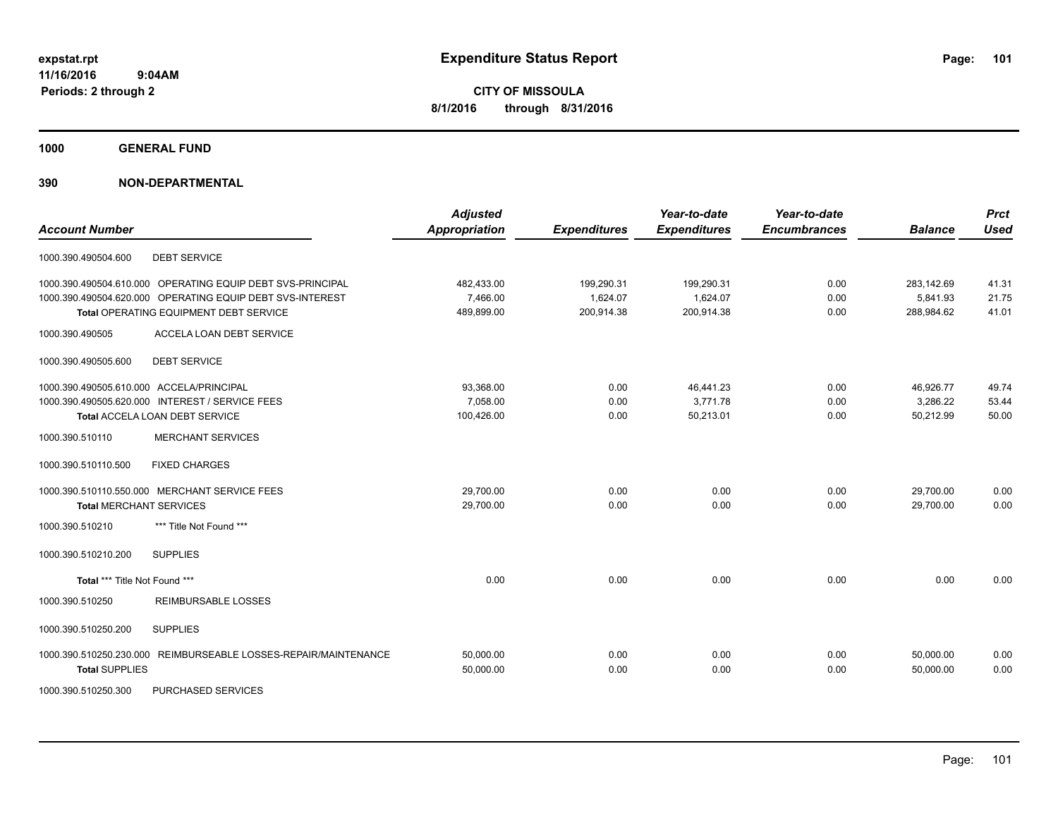**1000 GENERAL FUND**

### **390 NON-DEPARTMENTAL**

| <b>Account Number</b>                    |                                                                                                                                                                   | <b>Adjusted</b><br><b>Appropriation</b> | <b>Expenditures</b>                  | Year-to-date<br><b>Expenditures</b>  | Year-to-date<br><b>Encumbrances</b> | <b>Balance</b>                       | <b>Prct</b><br><b>Used</b> |
|------------------------------------------|-------------------------------------------------------------------------------------------------------------------------------------------------------------------|-----------------------------------------|--------------------------------------|--------------------------------------|-------------------------------------|--------------------------------------|----------------------------|
| 1000.390.490504.600                      | <b>DEBT SERVICE</b>                                                                                                                                               |                                         |                                      |                                      |                                     |                                      |                            |
|                                          | 1000.390.490504.610.000 OPERATING EQUIP DEBT SVS-PRINCIPAL<br>1000.390.490504.620.000 OPERATING EQUIP DEBT SVS-INTEREST<br>Total OPERATING EQUIPMENT DEBT SERVICE | 482,433.00<br>7,466.00<br>489,899.00    | 199,290.31<br>1,624.07<br>200,914.38 | 199,290.31<br>1,624.07<br>200,914.38 | 0.00<br>0.00<br>0.00                | 283,142.69<br>5,841.93<br>288,984.62 | 41.31<br>21.75<br>41.01    |
| 1000.390.490505                          | ACCELA LOAN DEBT SERVICE                                                                                                                                          |                                         |                                      |                                      |                                     |                                      |                            |
| 1000.390.490505.600                      | <b>DEBT SERVICE</b>                                                                                                                                               |                                         |                                      |                                      |                                     |                                      |                            |
| 1000.390.490505.610.000 ACCELA/PRINCIPAL | 1000.390.490505.620.000 INTEREST / SERVICE FEES<br>Total ACCELA LOAN DEBT SERVICE                                                                                 | 93,368.00<br>7.058.00<br>100,426.00     | 0.00<br>0.00<br>0.00                 | 46,441.23<br>3.771.78<br>50,213.01   | 0.00<br>0.00<br>0.00                | 46,926.77<br>3,286.22<br>50,212.99   | 49.74<br>53.44<br>50.00    |
| 1000.390.510110                          | <b>MERCHANT SERVICES</b>                                                                                                                                          |                                         |                                      |                                      |                                     |                                      |                            |
| 1000.390.510110.500                      | <b>FIXED CHARGES</b>                                                                                                                                              |                                         |                                      |                                      |                                     |                                      |                            |
| <b>Total MERCHANT SERVICES</b>           | 1000.390.510110.550.000 MERCHANT SERVICE FEES                                                                                                                     | 29,700.00<br>29,700.00                  | 0.00<br>0.00                         | 0.00<br>0.00                         | 0.00<br>0.00                        | 29,700.00<br>29,700.00               | 0.00<br>0.00               |
| 1000.390.510210                          | *** Title Not Found ***                                                                                                                                           |                                         |                                      |                                      |                                     |                                      |                            |
| 1000.390.510210.200                      | <b>SUPPLIES</b>                                                                                                                                                   |                                         |                                      |                                      |                                     |                                      |                            |
| Total *** Title Not Found ***            |                                                                                                                                                                   | 0.00                                    | 0.00                                 | 0.00                                 | 0.00                                | 0.00                                 | 0.00                       |
| 1000.390.510250                          | REIMBURSABLE LOSSES                                                                                                                                               |                                         |                                      |                                      |                                     |                                      |                            |
| 1000.390.510250.200                      | <b>SUPPLIES</b>                                                                                                                                                   |                                         |                                      |                                      |                                     |                                      |                            |
| <b>Total SUPPLIES</b>                    | 1000.390.510250.230.000 REIMBURSEABLE LOSSES-REPAIR/MAINTENANCE                                                                                                   | 50,000.00<br>50,000.00                  | 0.00<br>0.00                         | 0.00<br>0.00                         | 0.00<br>0.00                        | 50.000.00<br>50,000.00               | 0.00<br>0.00               |

1000.390.510250.300 PURCHASED SERVICES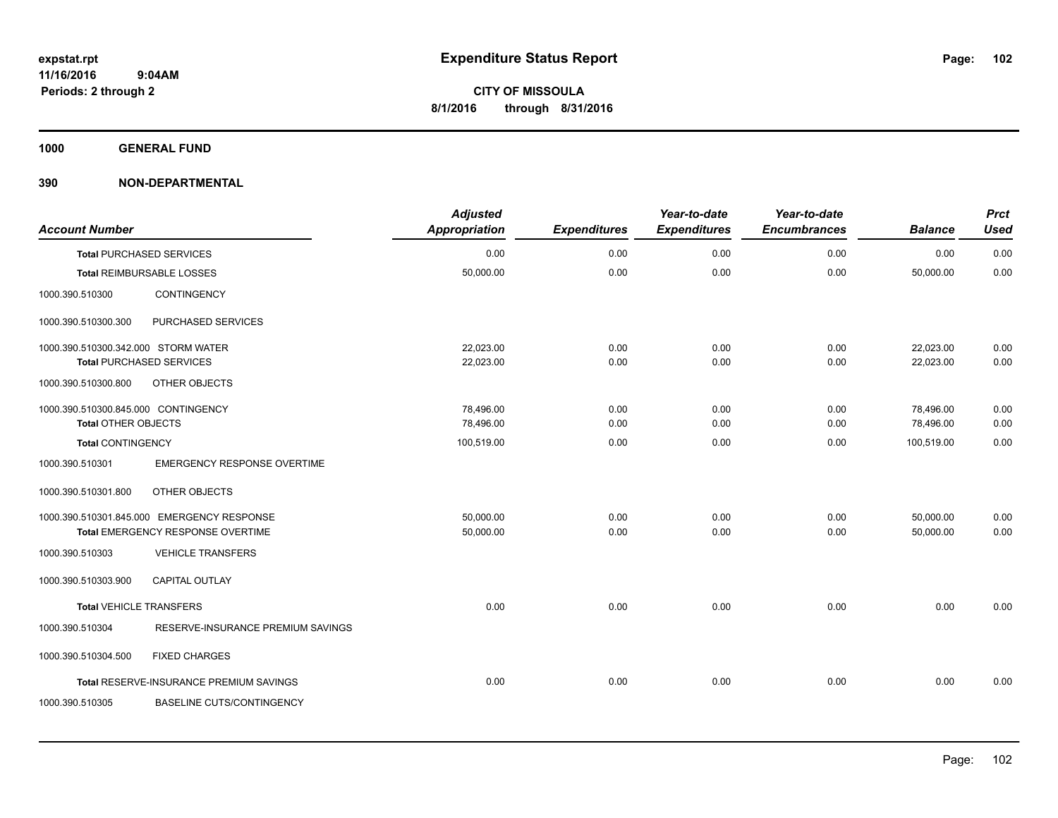**1000 GENERAL FUND**

| <b>Account Number</b>               |                                            | <b>Adjusted</b><br><b>Appropriation</b> | <b>Expenditures</b> | Year-to-date<br><b>Expenditures</b> | Year-to-date<br><b>Encumbrances</b> | <b>Balance</b> | <b>Prct</b><br><b>Used</b> |
|-------------------------------------|--------------------------------------------|-----------------------------------------|---------------------|-------------------------------------|-------------------------------------|----------------|----------------------------|
|                                     | <b>Total PURCHASED SERVICES</b>            | 0.00                                    | 0.00                | 0.00                                | 0.00                                | 0.00           | 0.00                       |
|                                     | <b>Total REIMBURSABLE LOSSES</b>           | 50,000.00                               | 0.00                | 0.00                                | 0.00                                | 50,000.00      | 0.00                       |
| 1000.390.510300                     | <b>CONTINGENCY</b>                         |                                         |                     |                                     |                                     |                |                            |
| 1000.390.510300.300                 | PURCHASED SERVICES                         |                                         |                     |                                     |                                     |                |                            |
| 1000.390.510300.342.000 STORM WATER |                                            | 22,023.00                               | 0.00                | 0.00                                | 0.00                                | 22,023.00      | 0.00                       |
|                                     | <b>Total PURCHASED SERVICES</b>            | 22,023.00                               | 0.00                | 0.00                                | 0.00                                | 22,023.00      | 0.00                       |
| 1000.390.510300.800                 | OTHER OBJECTS                              |                                         |                     |                                     |                                     |                |                            |
| 1000.390.510300.845.000 CONTINGENCY |                                            | 78.496.00                               | 0.00                | 0.00                                | 0.00                                | 78,496.00      | 0.00                       |
| <b>Total OTHER OBJECTS</b>          |                                            | 78,496.00                               | 0.00                | 0.00                                | 0.00                                | 78,496.00      | 0.00                       |
| Total CONTINGENCY                   |                                            | 100,519.00                              | 0.00                | 0.00                                | 0.00                                | 100,519.00     | 0.00                       |
| 1000.390.510301                     | <b>EMERGENCY RESPONSE OVERTIME</b>         |                                         |                     |                                     |                                     |                |                            |
| 1000.390.510301.800                 | OTHER OBJECTS                              |                                         |                     |                                     |                                     |                |                            |
|                                     | 1000.390.510301.845.000 EMERGENCY RESPONSE | 50,000.00                               | 0.00                | 0.00                                | 0.00                                | 50,000.00      | 0.00                       |
|                                     | Total EMERGENCY RESPONSE OVERTIME          | 50,000.00                               | 0.00                | 0.00                                | 0.00                                | 50,000.00      | 0.00                       |
| 1000.390.510303                     | <b>VEHICLE TRANSFERS</b>                   |                                         |                     |                                     |                                     |                |                            |
| 1000.390.510303.900                 | CAPITAL OUTLAY                             |                                         |                     |                                     |                                     |                |                            |
| <b>Total VEHICLE TRANSFERS</b>      |                                            | 0.00                                    | 0.00                | 0.00                                | 0.00                                | 0.00           | 0.00                       |
| 1000.390.510304                     | RESERVE-INSURANCE PREMIUM SAVINGS          |                                         |                     |                                     |                                     |                |                            |
| 1000.390.510304.500                 | <b>FIXED CHARGES</b>                       |                                         |                     |                                     |                                     |                |                            |
|                                     | Total RESERVE-INSURANCE PREMIUM SAVINGS    | 0.00                                    | 0.00                | 0.00                                | 0.00                                | 0.00           | 0.00                       |
| 1000.390.510305                     | <b>BASELINE CUTS/CONTINGENCY</b>           |                                         |                     |                                     |                                     |                |                            |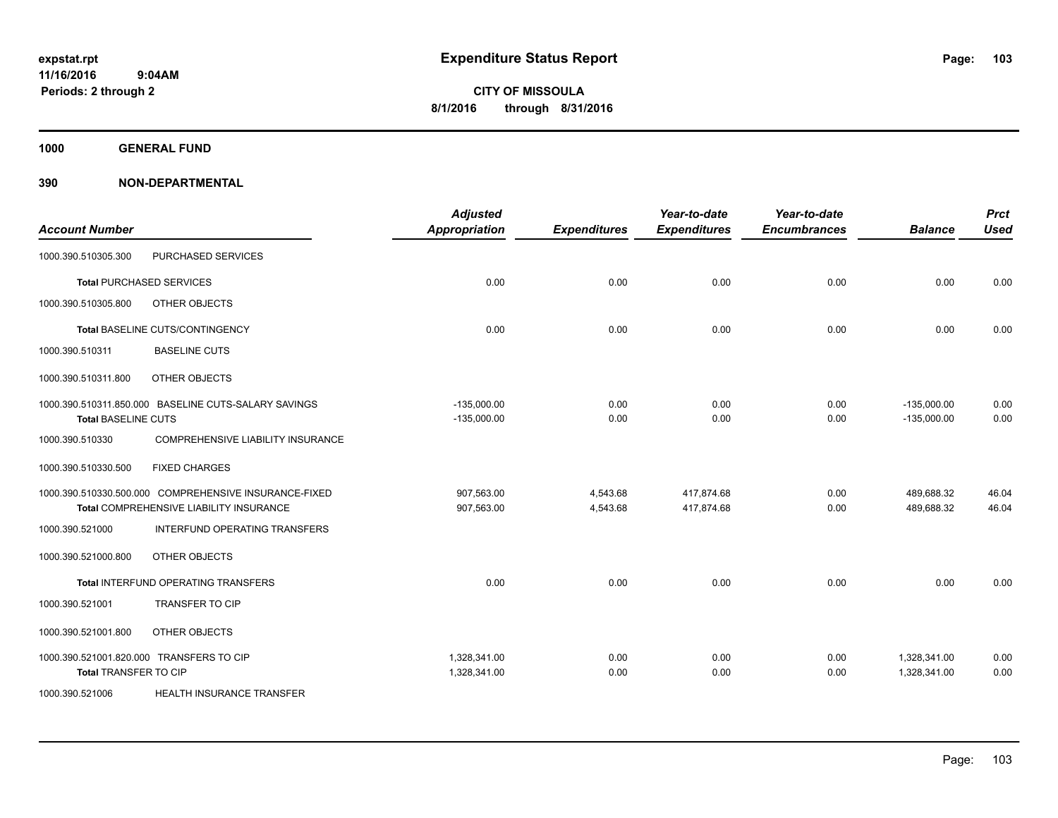**1000 GENERAL FUND**

| <b>Account Number</b>        |                                                                                                  | <b>Adjusted</b><br><b>Appropriation</b> | <b>Expenditures</b>  | Year-to-date<br><b>Expenditures</b> | Year-to-date<br><b>Encumbrances</b> | <b>Balance</b>                 | <b>Prct</b><br><b>Used</b> |
|------------------------------|--------------------------------------------------------------------------------------------------|-----------------------------------------|----------------------|-------------------------------------|-------------------------------------|--------------------------------|----------------------------|
| 1000.390.510305.300          | PURCHASED SERVICES                                                                               |                                         |                      |                                     |                                     |                                |                            |
|                              | <b>Total PURCHASED SERVICES</b>                                                                  | 0.00                                    | 0.00                 | 0.00                                | 0.00                                | 0.00                           | 0.00                       |
| 1000.390.510305.800          | OTHER OBJECTS                                                                                    |                                         |                      |                                     |                                     |                                |                            |
|                              | Total BASELINE CUTS/CONTINGENCY                                                                  | 0.00                                    | 0.00                 | 0.00                                | 0.00                                | 0.00                           | 0.00                       |
| 1000.390.510311              | <b>BASELINE CUTS</b>                                                                             |                                         |                      |                                     |                                     |                                |                            |
| 1000.390.510311.800          | OTHER OBJECTS                                                                                    |                                         |                      |                                     |                                     |                                |                            |
| <b>Total BASELINE CUTS</b>   | 1000.390.510311.850.000 BASELINE CUTS-SALARY SAVINGS                                             | $-135,000.00$<br>$-135,000.00$          | 0.00<br>0.00         | 0.00<br>0.00                        | 0.00<br>0.00                        | $-135,000.00$<br>$-135,000.00$ | 0.00<br>0.00               |
| 1000.390.510330              | COMPREHENSIVE LIABILITY INSURANCE                                                                |                                         |                      |                                     |                                     |                                |                            |
| 1000.390.510330.500          | <b>FIXED CHARGES</b>                                                                             |                                         |                      |                                     |                                     |                                |                            |
|                              | 1000.390.510330.500.000 COMPREHENSIVE INSURANCE-FIXED<br>Total COMPREHENSIVE LIABILITY INSURANCE | 907,563.00<br>907,563.00                | 4,543.68<br>4,543.68 | 417.874.68<br>417,874.68            | 0.00<br>0.00                        | 489,688.32<br>489,688.32       | 46.04<br>46.04             |
| 1000.390.521000              | INTERFUND OPERATING TRANSFERS                                                                    |                                         |                      |                                     |                                     |                                |                            |
| 1000.390.521000.800          | OTHER OBJECTS                                                                                    |                                         |                      |                                     |                                     |                                |                            |
|                              | Total INTERFUND OPERATING TRANSFERS                                                              | 0.00                                    | 0.00                 | 0.00                                | 0.00                                | 0.00                           | 0.00                       |
| 1000.390.521001              | <b>TRANSFER TO CIP</b>                                                                           |                                         |                      |                                     |                                     |                                |                            |
| 1000.390.521001.800          | OTHER OBJECTS                                                                                    |                                         |                      |                                     |                                     |                                |                            |
| <b>Total TRANSFER TO CIP</b> | 1000.390.521001.820.000 TRANSFERS TO CIP                                                         | 1,328,341.00<br>1,328,341.00            | 0.00<br>0.00         | 0.00<br>0.00                        | 0.00<br>0.00                        | 1,328,341.00<br>1,328,341.00   | 0.00<br>0.00               |
| 1000.390.521006              | HEALTH INSURANCE TRANSFER                                                                        |                                         |                      |                                     |                                     |                                |                            |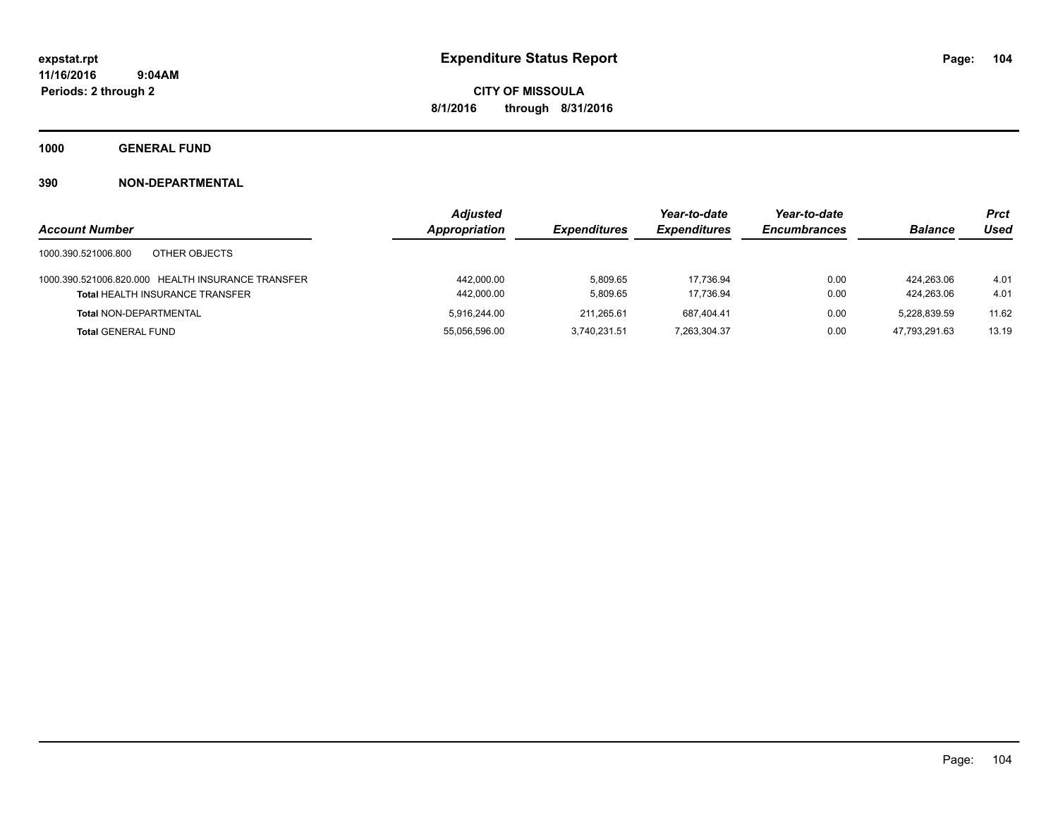**1000 GENERAL FUND**

|                                                   | <b>Adjusted</b>      |                            | Year-to-date        | Year-to-date        |                | <b>Prct</b> |
|---------------------------------------------------|----------------------|----------------------------|---------------------|---------------------|----------------|-------------|
| <b>Account Number</b>                             | <b>Appropriation</b> | <i><b>Expenditures</b></i> | <b>Expenditures</b> | <b>Encumbrances</b> | <b>Balance</b> | Used        |
| 1000.390.521006.800<br>OTHER OBJECTS              |                      |                            |                     |                     |                |             |
| 1000.390.521006.820.000 HEALTH INSURANCE TRANSFER | 442,000.00           | 5.809.65                   | 17.736.94           | 0.00                | 424.263.06     | 4.01        |
| <b>Total HEALTH INSURANCE TRANSFER</b>            | 442,000.00           | 5,809.65                   | 17,736.94           | 0.00                | 424.263.06     | 4.01        |
| <b>Total NON-DEPARTMENTAL</b>                     | 5.916.244.00         | 211.265.61                 | 687.404.41          | 0.00                | 5.228.839.59   | 11.62       |
| <b>Total GENERAL FUND</b>                         | 55,056,596.00        | 3.740.231.51               | 7,263,304.37        | 0.00                | 47.793.291.63  | 13.19       |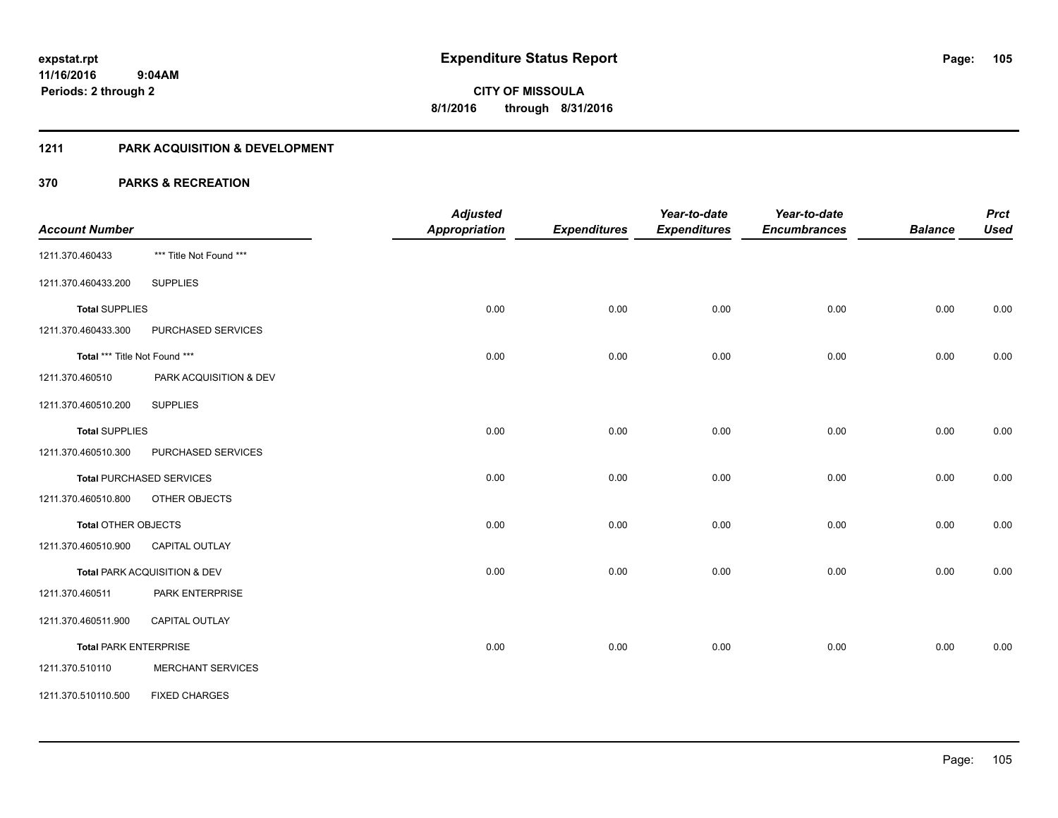### **1211 PARK ACQUISITION & DEVELOPMENT**

|                               |                                 | <b>Adjusted</b>      |                     | Year-to-date        | Year-to-date        |                | <b>Prct</b> |
|-------------------------------|---------------------------------|----------------------|---------------------|---------------------|---------------------|----------------|-------------|
| <b>Account Number</b>         |                                 | <b>Appropriation</b> | <b>Expenditures</b> | <b>Expenditures</b> | <b>Encumbrances</b> | <b>Balance</b> | <b>Used</b> |
| 1211.370.460433               | *** Title Not Found ***         |                      |                     |                     |                     |                |             |
| 1211.370.460433.200           | <b>SUPPLIES</b>                 |                      |                     |                     |                     |                |             |
| <b>Total SUPPLIES</b>         |                                 | 0.00                 | 0.00                | 0.00                | 0.00                | 0.00           | 0.00        |
| 1211.370.460433.300           | PURCHASED SERVICES              |                      |                     |                     |                     |                |             |
| Total *** Title Not Found *** |                                 | 0.00                 | 0.00                | 0.00                | 0.00                | 0.00           | 0.00        |
| 1211.370.460510               | PARK ACQUISITION & DEV          |                      |                     |                     |                     |                |             |
| 1211.370.460510.200           | <b>SUPPLIES</b>                 |                      |                     |                     |                     |                |             |
| <b>Total SUPPLIES</b>         |                                 | 0.00                 | 0.00                | 0.00                | 0.00                | 0.00           | 0.00        |
| 1211.370.460510.300           | PURCHASED SERVICES              |                      |                     |                     |                     |                |             |
|                               | <b>Total PURCHASED SERVICES</b> | 0.00                 | 0.00                | 0.00                | 0.00                | 0.00           | 0.00        |
| 1211.370.460510.800           | OTHER OBJECTS                   |                      |                     |                     |                     |                |             |
| Total OTHER OBJECTS           |                                 | 0.00                 | 0.00                | 0.00                | 0.00                | 0.00           | 0.00        |
| 1211.370.460510.900           | <b>CAPITAL OUTLAY</b>           |                      |                     |                     |                     |                |             |
|                               | Total PARK ACQUISITION & DEV    | 0.00                 | 0.00                | 0.00                | 0.00                | 0.00           | 0.00        |
| 1211.370.460511               | PARK ENTERPRISE                 |                      |                     |                     |                     |                |             |
| 1211.370.460511.900           | <b>CAPITAL OUTLAY</b>           |                      |                     |                     |                     |                |             |
| <b>Total PARK ENTERPRISE</b>  |                                 | 0.00                 | 0.00                | 0.00                | 0.00                | 0.00           | 0.00        |
| 1211.370.510110               | <b>MERCHANT SERVICES</b>        |                      |                     |                     |                     |                |             |
| 1211.370.510110.500           | <b>FIXED CHARGES</b>            |                      |                     |                     |                     |                |             |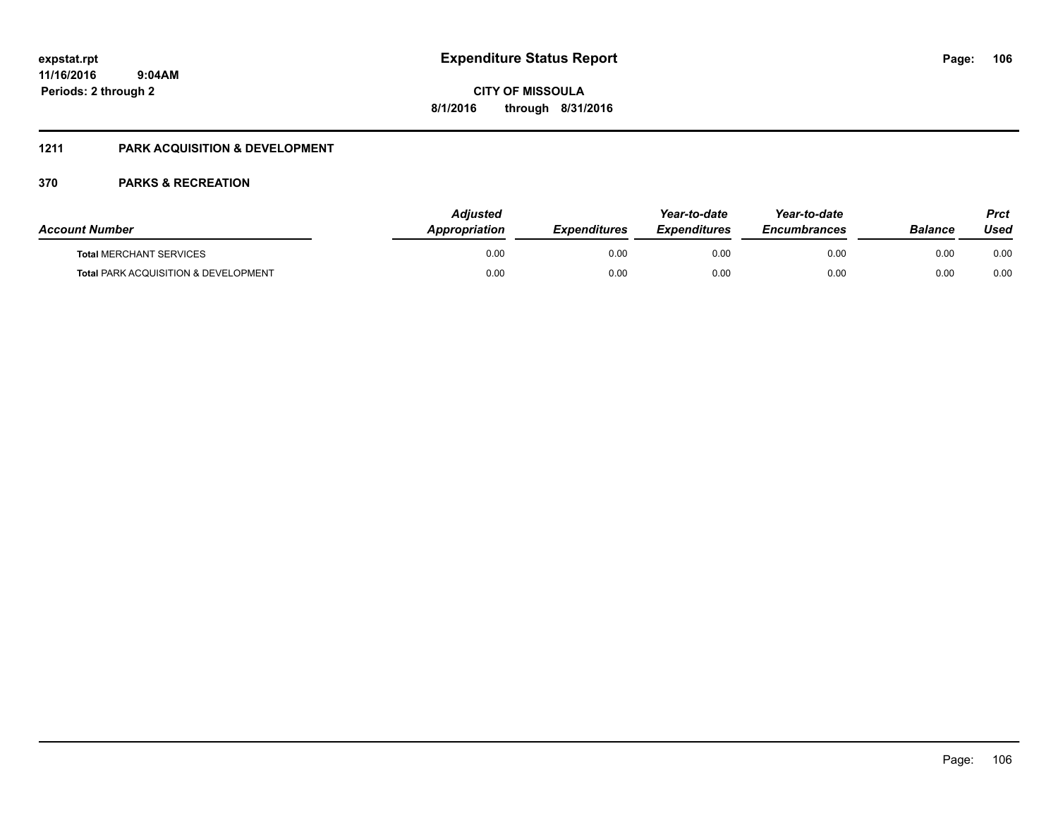**CITY OF MISSOULA 8/1/2016 through 8/31/2016**

### **1211 PARK ACQUISITION & DEVELOPMENT**

| <b>Account Number</b>                           | <b>Adjusted</b><br>Appropriation | <b>Expenditures</b> | Year-to-date<br><b>Expenditures</b> | Year-to-date<br><b>Encumbrances</b> | Balance | Prct<br>Used |
|-------------------------------------------------|----------------------------------|---------------------|-------------------------------------|-------------------------------------|---------|--------------|
| <b>Total MERCHANT SERVICES</b>                  | 0.00                             | 0.00                | 0.00                                | 0.00                                | 0.00    | 0.00         |
| <b>Total PARK ACQUISITION &amp; DEVELOPMENT</b> | 0.00                             | 0.00                | 0.00                                | 0.00                                | 0.00    | 0.00         |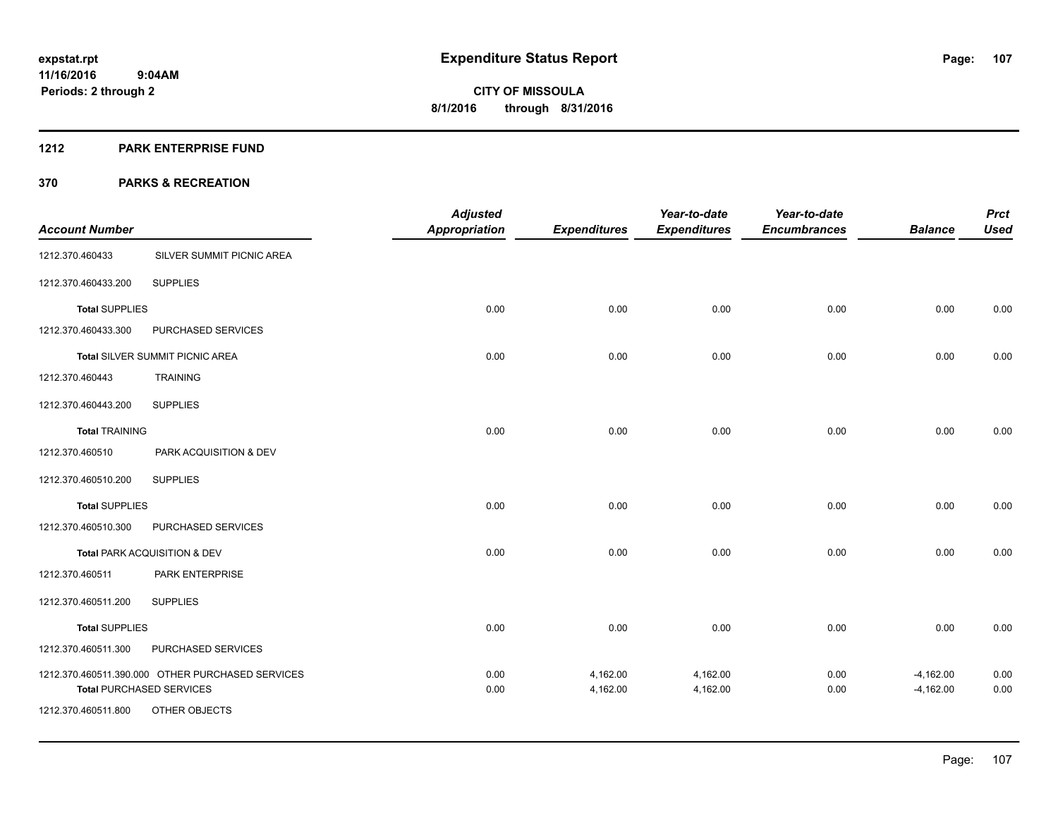#### **1212 PARK ENTERPRISE FUND**

|                       |                                                                                     | <b>Adjusted</b>      |                      | Year-to-date        | Year-to-date        |                            | <b>Prct</b>  |
|-----------------------|-------------------------------------------------------------------------------------|----------------------|----------------------|---------------------|---------------------|----------------------------|--------------|
| <b>Account Number</b> |                                                                                     | <b>Appropriation</b> | <b>Expenditures</b>  | <b>Expenditures</b> | <b>Encumbrances</b> | <b>Balance</b>             | <b>Used</b>  |
| 1212.370.460433       | SILVER SUMMIT PICNIC AREA                                                           |                      |                      |                     |                     |                            |              |
| 1212.370.460433.200   | <b>SUPPLIES</b>                                                                     |                      |                      |                     |                     |                            |              |
| <b>Total SUPPLIES</b> |                                                                                     | 0.00                 | 0.00                 | 0.00                | 0.00                | 0.00                       | 0.00         |
| 1212.370.460433.300   | PURCHASED SERVICES                                                                  |                      |                      |                     |                     |                            |              |
|                       | <b>Total SILVER SUMMIT PICNIC AREA</b>                                              | 0.00                 | 0.00                 | 0.00                | 0.00                | 0.00                       | 0.00         |
| 1212.370.460443       | <b>TRAINING</b>                                                                     |                      |                      |                     |                     |                            |              |
| 1212.370.460443.200   | <b>SUPPLIES</b>                                                                     |                      |                      |                     |                     |                            |              |
| <b>Total TRAINING</b> |                                                                                     | 0.00                 | 0.00                 | 0.00                | 0.00                | 0.00                       | 0.00         |
| 1212.370.460510       | PARK ACQUISITION & DEV                                                              |                      |                      |                     |                     |                            |              |
| 1212.370.460510.200   | <b>SUPPLIES</b>                                                                     |                      |                      |                     |                     |                            |              |
| <b>Total SUPPLIES</b> |                                                                                     | 0.00                 | 0.00                 | 0.00                | 0.00                | 0.00                       | 0.00         |
| 1212.370.460510.300   | PURCHASED SERVICES                                                                  |                      |                      |                     |                     |                            |              |
|                       | Total PARK ACQUISITION & DEV                                                        | 0.00                 | 0.00                 | 0.00                | 0.00                | 0.00                       | 0.00         |
| 1212.370.460511       | PARK ENTERPRISE                                                                     |                      |                      |                     |                     |                            |              |
| 1212.370.460511.200   | <b>SUPPLIES</b>                                                                     |                      |                      |                     |                     |                            |              |
| <b>Total SUPPLIES</b> |                                                                                     | 0.00                 | 0.00                 | 0.00                | 0.00                | 0.00                       | 0.00         |
| 1212.370.460511.300   | PURCHASED SERVICES                                                                  |                      |                      |                     |                     |                            |              |
|                       | 1212.370.460511.390.000 OTHER PURCHASED SERVICES<br><b>Total PURCHASED SERVICES</b> | 0.00                 | 4,162.00<br>4,162.00 | 4,162.00            | 0.00                | $-4,162.00$<br>$-4,162.00$ | 0.00<br>0.00 |
| 1212.370.460511.800   | OTHER OBJECTS                                                                       | 0.00                 |                      | 4,162.00            | 0.00                |                            |              |
|                       |                                                                                     |                      |                      |                     |                     |                            |              |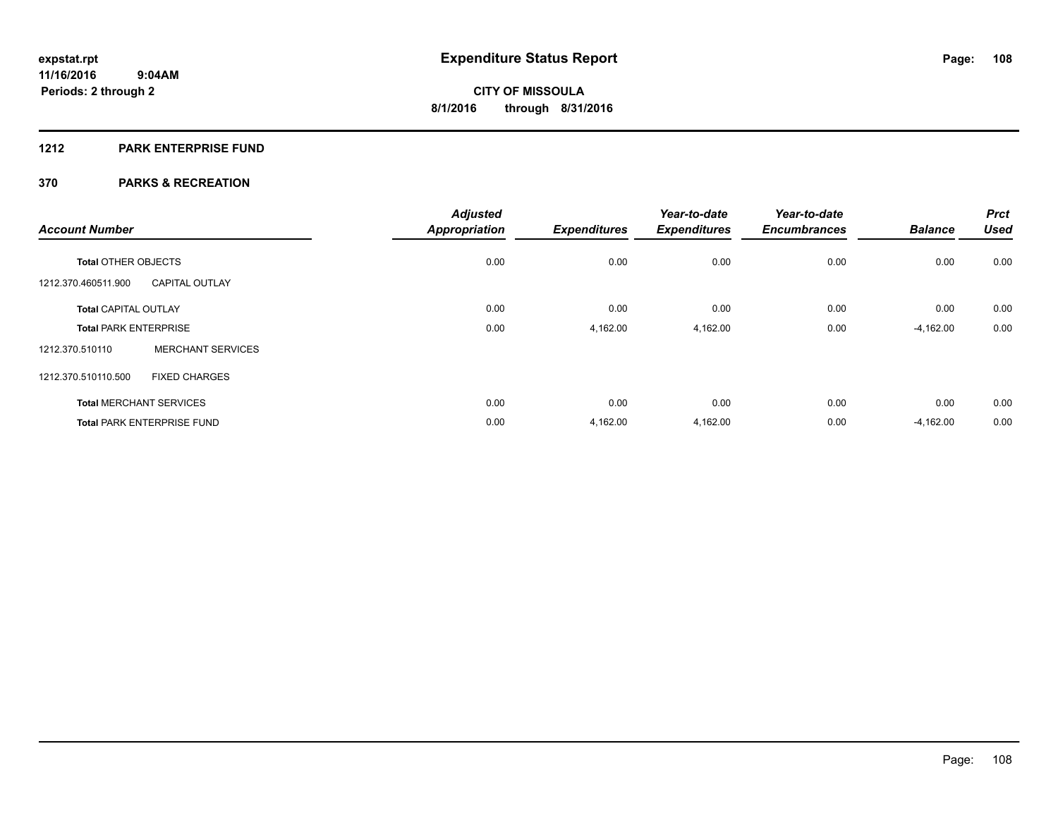### **1212 PARK ENTERPRISE FUND**

| <b>Account Number</b>        |                                   | <b>Adjusted</b><br><b>Appropriation</b> | <b>Expenditures</b> | Year-to-date<br><b>Expenditures</b> | Year-to-date<br><b>Encumbrances</b> | <b>Balance</b> | <b>Prct</b><br><b>Used</b> |
|------------------------------|-----------------------------------|-----------------------------------------|---------------------|-------------------------------------|-------------------------------------|----------------|----------------------------|
|                              |                                   |                                         |                     |                                     |                                     |                |                            |
| <b>Total OTHER OBJECTS</b>   |                                   | 0.00                                    | 0.00                | 0.00                                | 0.00                                | 0.00           | 0.00                       |
| 1212.370.460511.900          | <b>CAPITAL OUTLAY</b>             |                                         |                     |                                     |                                     |                |                            |
| <b>Total CAPITAL OUTLAY</b>  |                                   | 0.00                                    | 0.00                | 0.00                                | 0.00                                | 0.00           | 0.00                       |
| <b>Total PARK ENTERPRISE</b> |                                   | 0.00                                    | 4,162.00            | 4,162.00                            | 0.00                                | $-4,162.00$    | 0.00                       |
| 1212.370.510110              | <b>MERCHANT SERVICES</b>          |                                         |                     |                                     |                                     |                |                            |
| 1212.370.510110.500          | <b>FIXED CHARGES</b>              |                                         |                     |                                     |                                     |                |                            |
|                              | <b>Total MERCHANT SERVICES</b>    | 0.00                                    | 0.00                | 0.00                                | 0.00                                | 0.00           | 0.00                       |
|                              | <b>Total PARK ENTERPRISE FUND</b> | 0.00                                    | 4,162.00            | 4,162.00                            | 0.00                                | $-4,162.00$    | 0.00                       |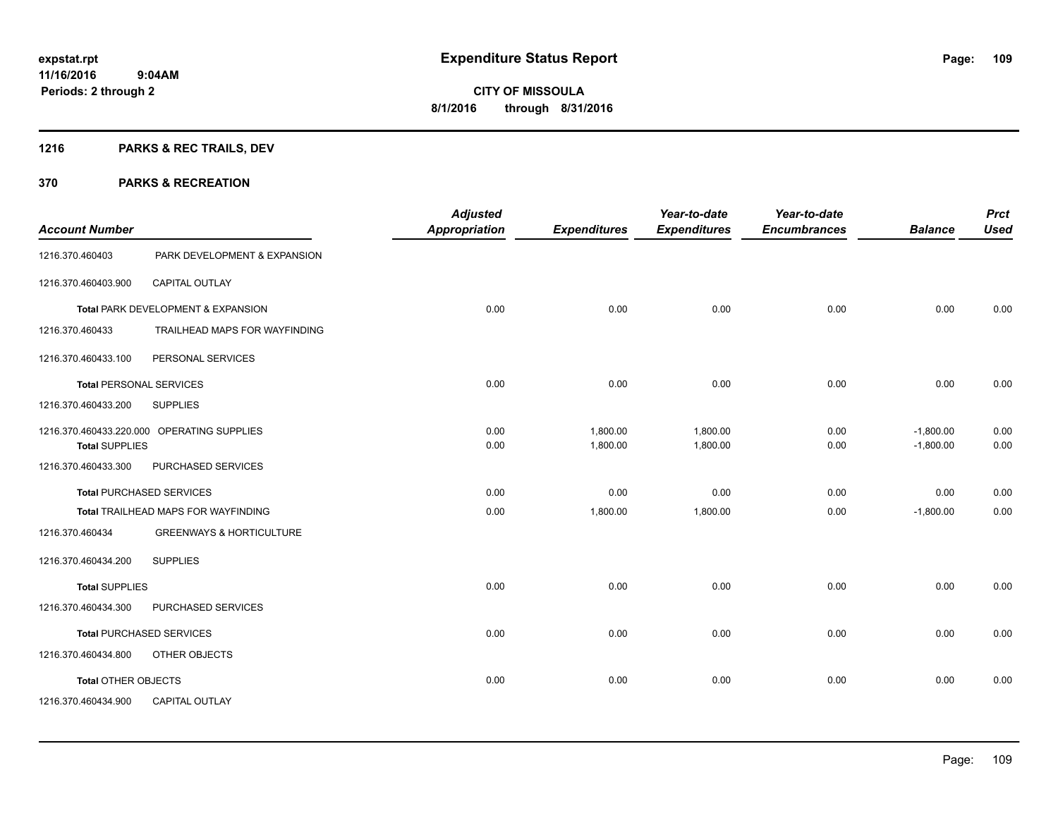# **1216 PARKS & REC TRAILS, DEV**

| <b>Account Number</b>          |                                            | <b>Adjusted</b><br><b>Appropriation</b> | <b>Expenditures</b>  | Year-to-date<br><b>Expenditures</b> | Year-to-date<br><b>Encumbrances</b> | <b>Balance</b>             | <b>Prct</b><br><b>Used</b> |
|--------------------------------|--------------------------------------------|-----------------------------------------|----------------------|-------------------------------------|-------------------------------------|----------------------------|----------------------------|
| 1216.370.460403                | PARK DEVELOPMENT & EXPANSION               |                                         |                      |                                     |                                     |                            |                            |
| 1216.370.460403.900            | <b>CAPITAL OUTLAY</b>                      |                                         |                      |                                     |                                     |                            |                            |
|                                | Total PARK DEVELOPMENT & EXPANSION         | 0.00                                    | 0.00                 | 0.00                                | 0.00                                | 0.00                       | 0.00                       |
| 1216.370.460433                | TRAILHEAD MAPS FOR WAYFINDING              |                                         |                      |                                     |                                     |                            |                            |
| 1216.370.460433.100            | PERSONAL SERVICES                          |                                         |                      |                                     |                                     |                            |                            |
| <b>Total PERSONAL SERVICES</b> |                                            | 0.00                                    | 0.00                 | 0.00                                | 0.00                                | 0.00                       | 0.00                       |
| 1216.370.460433.200            | <b>SUPPLIES</b>                            |                                         |                      |                                     |                                     |                            |                            |
| <b>Total SUPPLIES</b>          | 1216.370.460433.220.000 OPERATING SUPPLIES | 0.00<br>0.00                            | 1,800.00<br>1,800.00 | 1,800.00<br>1,800.00                | 0.00<br>0.00                        | $-1,800.00$<br>$-1,800.00$ | 0.00<br>0.00               |
| 1216.370.460433.300            | PURCHASED SERVICES                         |                                         |                      |                                     |                                     |                            |                            |
|                                | <b>Total PURCHASED SERVICES</b>            | 0.00                                    | 0.00                 | 0.00                                | 0.00                                | 0.00                       | 0.00                       |
|                                | Total TRAILHEAD MAPS FOR WAYFINDING        | 0.00                                    | 1,800.00             | 1,800.00                            | 0.00                                | $-1,800.00$                | 0.00                       |
| 1216.370.460434                | <b>GREENWAYS &amp; HORTICULTURE</b>        |                                         |                      |                                     |                                     |                            |                            |
| 1216.370.460434.200            | <b>SUPPLIES</b>                            |                                         |                      |                                     |                                     |                            |                            |
| <b>Total SUPPLIES</b>          |                                            | 0.00                                    | 0.00                 | 0.00                                | 0.00                                | 0.00                       | 0.00                       |
| 1216.370.460434.300            | PURCHASED SERVICES                         |                                         |                      |                                     |                                     |                            |                            |
|                                | <b>Total PURCHASED SERVICES</b>            | 0.00                                    | 0.00                 | 0.00                                | 0.00                                | 0.00                       | 0.00                       |
| 1216.370.460434.800            | OTHER OBJECTS                              |                                         |                      |                                     |                                     |                            |                            |
| <b>Total OTHER OBJECTS</b>     |                                            | 0.00                                    | 0.00                 | 0.00                                | 0.00                                | 0.00                       | 0.00                       |
| 1216.370.460434.900            | <b>CAPITAL OUTLAY</b>                      |                                         |                      |                                     |                                     |                            |                            |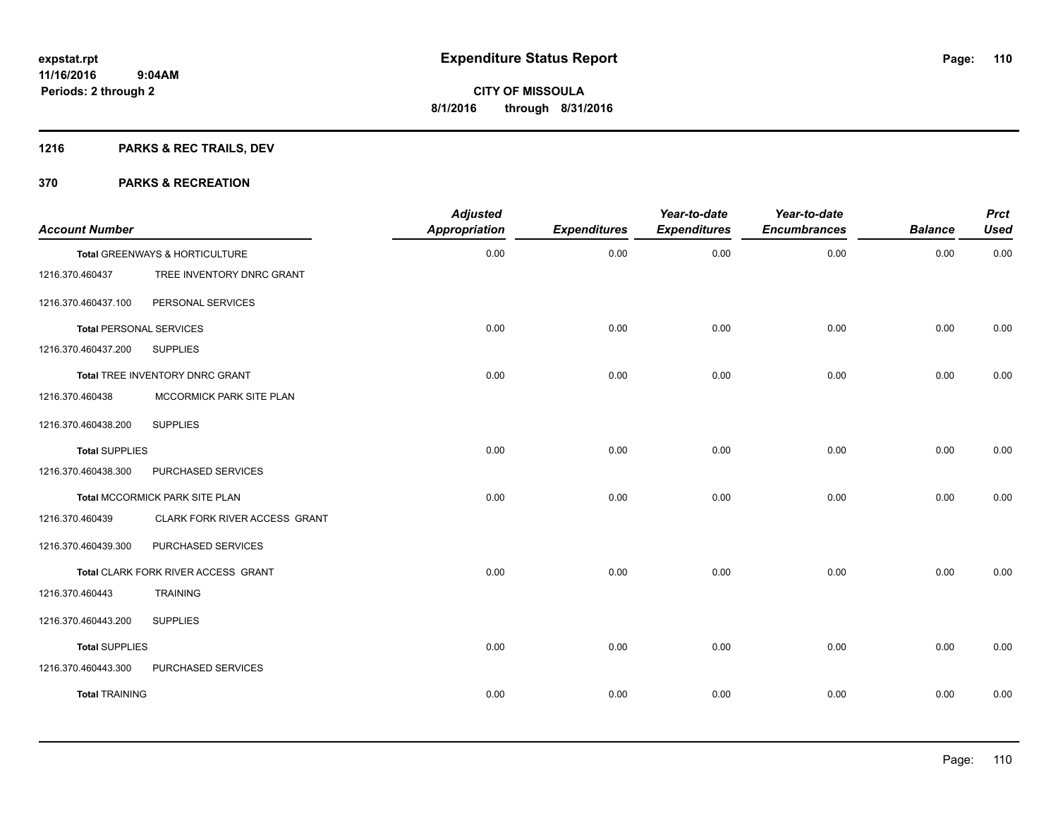# **1216 PARKS & REC TRAILS, DEV**

| <b>Account Number</b>          |                                     | <b>Adjusted</b><br><b>Appropriation</b> | <b>Expenditures</b> | Year-to-date<br><b>Expenditures</b> | Year-to-date<br><b>Encumbrances</b> | <b>Balance</b> | <b>Prct</b><br><b>Used</b> |
|--------------------------------|-------------------------------------|-----------------------------------------|---------------------|-------------------------------------|-------------------------------------|----------------|----------------------------|
|                                | Total GREENWAYS & HORTICULTURE      | 0.00                                    | 0.00                | 0.00                                | 0.00                                | 0.00           | 0.00                       |
| 1216.370.460437                | TREE INVENTORY DNRC GRANT           |                                         |                     |                                     |                                     |                |                            |
| 1216.370.460437.100            | PERSONAL SERVICES                   |                                         |                     |                                     |                                     |                |                            |
| <b>Total PERSONAL SERVICES</b> |                                     | 0.00                                    | 0.00                | 0.00                                | 0.00                                | 0.00           | 0.00                       |
| 1216.370.460437.200            | <b>SUPPLIES</b>                     |                                         |                     |                                     |                                     |                |                            |
|                                | Total TREE INVENTORY DNRC GRANT     | 0.00                                    | 0.00                | 0.00                                | 0.00                                | 0.00           | 0.00                       |
| 1216.370.460438                | MCCORMICK PARK SITE PLAN            |                                         |                     |                                     |                                     |                |                            |
| 1216.370.460438.200            | <b>SUPPLIES</b>                     |                                         |                     |                                     |                                     |                |                            |
| <b>Total SUPPLIES</b>          |                                     | 0.00                                    | 0.00                | 0.00                                | 0.00                                | 0.00           | 0.00                       |
| 1216.370.460438.300            | PURCHASED SERVICES                  |                                         |                     |                                     |                                     |                |                            |
|                                | Total MCCORMICK PARK SITE PLAN      | 0.00                                    | 0.00                | 0.00                                | 0.00                                | 0.00           | 0.00                       |
| 1216.370.460439                | CLARK FORK RIVER ACCESS GRANT       |                                         |                     |                                     |                                     |                |                            |
| 1216.370.460439.300            | PURCHASED SERVICES                  |                                         |                     |                                     |                                     |                |                            |
|                                | Total CLARK FORK RIVER ACCESS GRANT | 0.00                                    | 0.00                | 0.00                                | 0.00                                | 0.00           | 0.00                       |
| 1216.370.460443                | <b>TRAINING</b>                     |                                         |                     |                                     |                                     |                |                            |
| 1216.370.460443.200            | <b>SUPPLIES</b>                     |                                         |                     |                                     |                                     |                |                            |
| <b>Total SUPPLIES</b>          |                                     | 0.00                                    | 0.00                | 0.00                                | 0.00                                | 0.00           | 0.00                       |
| 1216.370.460443.300            | PURCHASED SERVICES                  |                                         |                     |                                     |                                     |                |                            |
| <b>Total TRAINING</b>          |                                     | 0.00                                    | 0.00                | 0.00                                | 0.00                                | 0.00           | 0.00                       |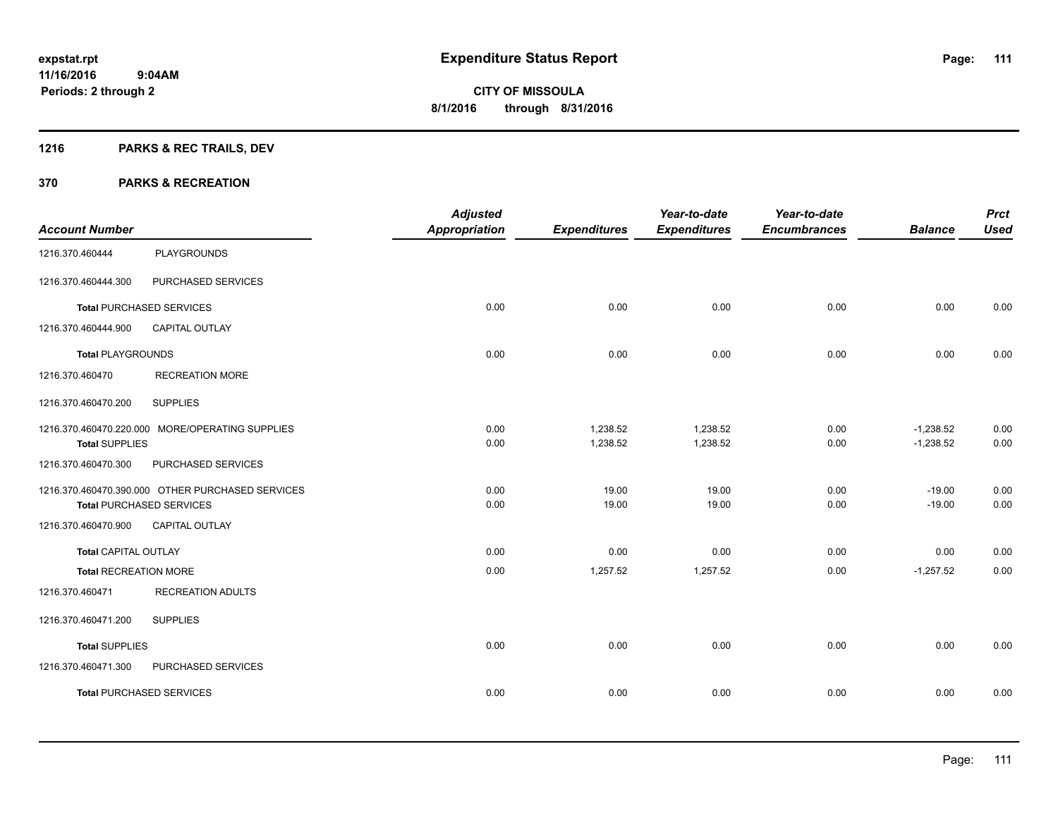# **1216 PARKS & REC TRAILS, DEV**

|                              |                                                  | <b>Adjusted</b>      |                     | Year-to-date        | Year-to-date        |                | <b>Prct</b> |
|------------------------------|--------------------------------------------------|----------------------|---------------------|---------------------|---------------------|----------------|-------------|
| <b>Account Number</b>        |                                                  | <b>Appropriation</b> | <b>Expenditures</b> | <b>Expenditures</b> | <b>Encumbrances</b> | <b>Balance</b> | <b>Used</b> |
| 1216.370.460444              | <b>PLAYGROUNDS</b>                               |                      |                     |                     |                     |                |             |
| 1216.370.460444.300          | PURCHASED SERVICES                               |                      |                     |                     |                     |                |             |
|                              | <b>Total PURCHASED SERVICES</b>                  | 0.00                 | 0.00                | 0.00                | 0.00                | 0.00           | 0.00        |
| 1216.370.460444.900          | <b>CAPITAL OUTLAY</b>                            |                      |                     |                     |                     |                |             |
| <b>Total PLAYGROUNDS</b>     |                                                  | 0.00                 | 0.00                | 0.00                | 0.00                | 0.00           | 0.00        |
| 1216.370.460470              | <b>RECREATION MORE</b>                           |                      |                     |                     |                     |                |             |
| 1216.370.460470.200          | <b>SUPPLIES</b>                                  |                      |                     |                     |                     |                |             |
|                              | 1216.370.460470.220.000 MORE/OPERATING SUPPLIES  | 0.00                 | 1,238.52            | 1,238.52            | 0.00                | $-1,238.52$    | 0.00        |
| <b>Total SUPPLIES</b>        |                                                  | 0.00                 | 1,238.52            | 1,238.52            | 0.00                | $-1,238.52$    | 0.00        |
| 1216.370.460470.300          | PURCHASED SERVICES                               |                      |                     |                     |                     |                |             |
|                              | 1216.370.460470.390.000 OTHER PURCHASED SERVICES | 0.00                 | 19.00               | 19.00               | 0.00                | $-19.00$       | 0.00        |
|                              | <b>Total PURCHASED SERVICES</b>                  | 0.00                 | 19.00               | 19.00               | 0.00                | $-19.00$       | 0.00        |
| 1216.370.460470.900          | <b>CAPITAL OUTLAY</b>                            |                      |                     |                     |                     |                |             |
| Total CAPITAL OUTLAY         |                                                  | 0.00                 | 0.00                | 0.00                | 0.00                | 0.00           | 0.00        |
| <b>Total RECREATION MORE</b> |                                                  | 0.00                 | 1,257.52            | 1,257.52            | 0.00                | $-1,257.52$    | 0.00        |
| 1216.370.460471              | <b>RECREATION ADULTS</b>                         |                      |                     |                     |                     |                |             |
| 1216.370.460471.200          | <b>SUPPLIES</b>                                  |                      |                     |                     |                     |                |             |
| <b>Total SUPPLIES</b>        |                                                  | 0.00                 | 0.00                | 0.00                | 0.00                | 0.00           | 0.00        |
| 1216.370.460471.300          | PURCHASED SERVICES                               |                      |                     |                     |                     |                |             |
|                              | <b>Total PURCHASED SERVICES</b>                  | 0.00                 | 0.00                | 0.00                | 0.00                | 0.00           | 0.00        |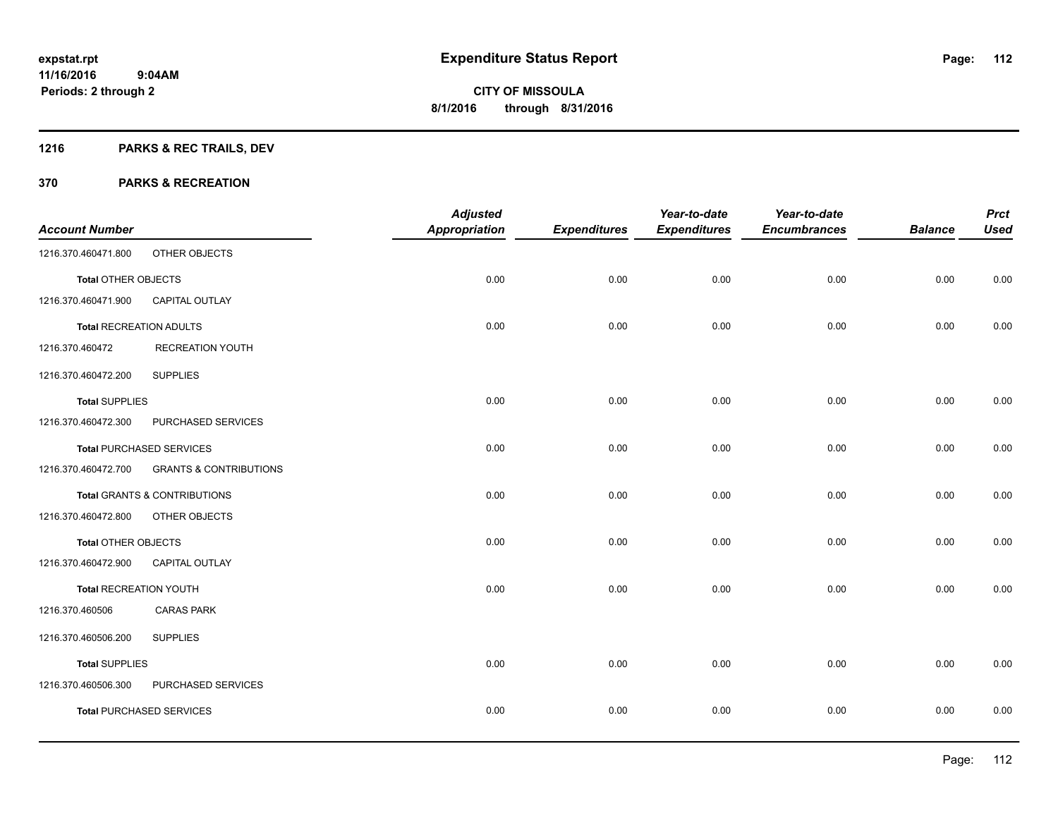# **1216 PARKS & REC TRAILS, DEV**

|                               |                                   | <b>Adjusted</b>      |                     | Year-to-date        | Year-to-date        |                | <b>Prct</b> |
|-------------------------------|-----------------------------------|----------------------|---------------------|---------------------|---------------------|----------------|-------------|
| <b>Account Number</b>         |                                   | <b>Appropriation</b> | <b>Expenditures</b> | <b>Expenditures</b> | <b>Encumbrances</b> | <b>Balance</b> | <b>Used</b> |
| 1216.370.460471.800           | OTHER OBJECTS                     |                      |                     |                     |                     |                |             |
| <b>Total OTHER OBJECTS</b>    |                                   | 0.00                 | 0.00                | 0.00                | 0.00                | 0.00           | 0.00        |
| 1216.370.460471.900           | <b>CAPITAL OUTLAY</b>             |                      |                     |                     |                     |                |             |
| Total RECREATION ADULTS       |                                   | 0.00                 | 0.00                | 0.00                | 0.00                | 0.00           | 0.00        |
| 1216.370.460472               | <b>RECREATION YOUTH</b>           |                      |                     |                     |                     |                |             |
| 1216.370.460472.200           | <b>SUPPLIES</b>                   |                      |                     |                     |                     |                |             |
| <b>Total SUPPLIES</b>         |                                   | 0.00                 | 0.00                | 0.00                | 0.00                | 0.00           | 0.00        |
| 1216.370.460472.300           | PURCHASED SERVICES                |                      |                     |                     |                     |                |             |
|                               | <b>Total PURCHASED SERVICES</b>   | 0.00                 | 0.00                | 0.00                | 0.00                | 0.00           | 0.00        |
| 1216.370.460472.700           | <b>GRANTS &amp; CONTRIBUTIONS</b> |                      |                     |                     |                     |                |             |
|                               | Total GRANTS & CONTRIBUTIONS      | 0.00                 | 0.00                | 0.00                | 0.00                | 0.00           | 0.00        |
| 1216.370.460472.800           | OTHER OBJECTS                     |                      |                     |                     |                     |                |             |
| Total OTHER OBJECTS           |                                   | 0.00                 | 0.00                | 0.00                | 0.00                | 0.00           | 0.00        |
| 1216.370.460472.900           | <b>CAPITAL OUTLAY</b>             |                      |                     |                     |                     |                |             |
| <b>Total RECREATION YOUTH</b> |                                   | 0.00                 | 0.00                | 0.00                | 0.00                | 0.00           | 0.00        |
| 1216.370.460506               | <b>CARAS PARK</b>                 |                      |                     |                     |                     |                |             |
| 1216.370.460506.200           | <b>SUPPLIES</b>                   |                      |                     |                     |                     |                |             |
| <b>Total SUPPLIES</b>         |                                   | 0.00                 | 0.00                | 0.00                | 0.00                | 0.00           | 0.00        |
| 1216.370.460506.300           | PURCHASED SERVICES                |                      |                     |                     |                     |                |             |
|                               | <b>Total PURCHASED SERVICES</b>   | 0.00                 | 0.00                | 0.00                | 0.00                | 0.00           | 0.00        |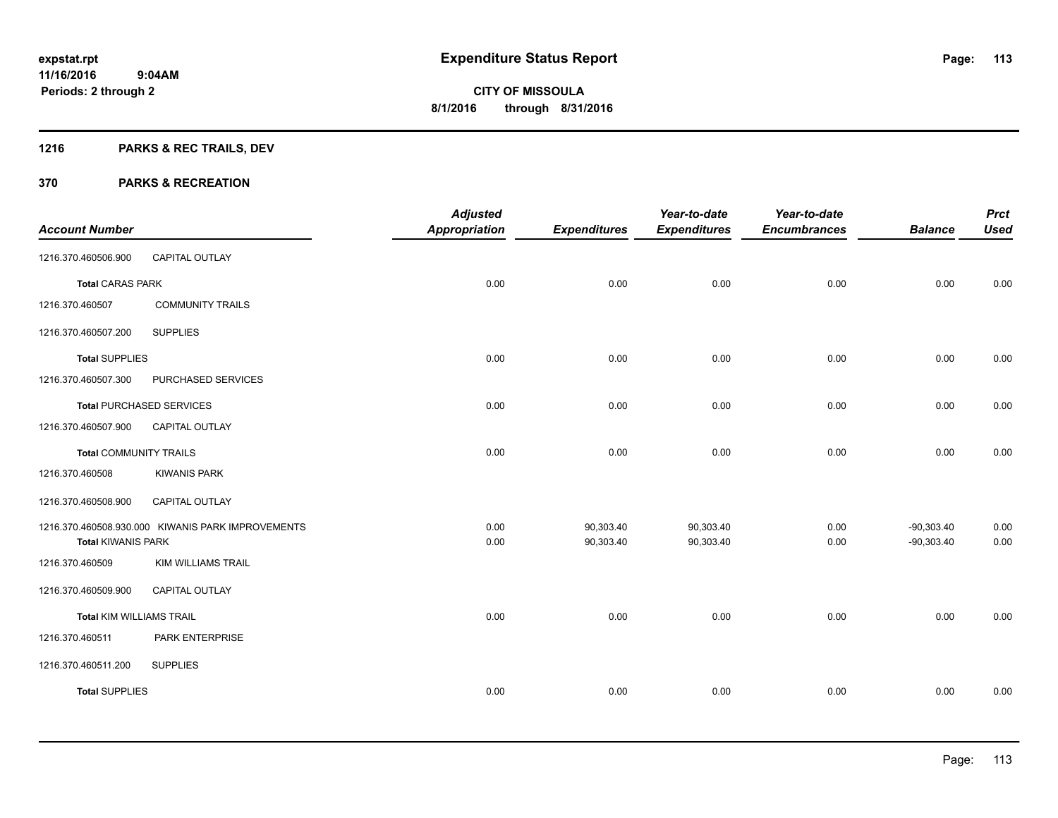# **1216 PARKS & REC TRAILS, DEV**

|                                 |                                                   | <b>Adjusted</b>      |                        | Year-to-date           | Year-to-date        |                              | <b>Prct</b>  |
|---------------------------------|---------------------------------------------------|----------------------|------------------------|------------------------|---------------------|------------------------------|--------------|
| <b>Account Number</b>           |                                                   | <b>Appropriation</b> | <b>Expenditures</b>    | <b>Expenditures</b>    | <b>Encumbrances</b> | <b>Balance</b>               | <b>Used</b>  |
| 1216.370.460506.900             | <b>CAPITAL OUTLAY</b>                             |                      |                        |                        |                     |                              |              |
| <b>Total CARAS PARK</b>         |                                                   | 0.00                 | 0.00                   | 0.00                   | 0.00                | 0.00                         | 0.00         |
| 1216.370.460507                 | <b>COMMUNITY TRAILS</b>                           |                      |                        |                        |                     |                              |              |
| 1216.370.460507.200             | <b>SUPPLIES</b>                                   |                      |                        |                        |                     |                              |              |
| <b>Total SUPPLIES</b>           |                                                   | 0.00                 | 0.00                   | 0.00                   | 0.00                | 0.00                         | 0.00         |
| 1216.370.460507.300             | PURCHASED SERVICES                                |                      |                        |                        |                     |                              |              |
|                                 | <b>Total PURCHASED SERVICES</b>                   | 0.00                 | 0.00                   | 0.00                   | 0.00                | 0.00                         | 0.00         |
| 1216.370.460507.900             | CAPITAL OUTLAY                                    |                      |                        |                        |                     |                              |              |
| <b>Total COMMUNITY TRAILS</b>   |                                                   | 0.00                 | 0.00                   | 0.00                   | 0.00                | 0.00                         | 0.00         |
| 1216.370.460508                 | <b>KIWANIS PARK</b>                               |                      |                        |                        |                     |                              |              |
| 1216.370.460508.900             | <b>CAPITAL OUTLAY</b>                             |                      |                        |                        |                     |                              |              |
| <b>Total KIWANIS PARK</b>       | 1216.370.460508.930.000 KIWANIS PARK IMPROVEMENTS | 0.00<br>0.00         | 90,303.40<br>90,303.40 | 90,303.40<br>90,303.40 | 0.00<br>0.00        | $-90,303.40$<br>$-90,303.40$ | 0.00<br>0.00 |
| 1216.370.460509                 | <b>KIM WILLIAMS TRAIL</b>                         |                      |                        |                        |                     |                              |              |
| 1216.370.460509.900             | <b>CAPITAL OUTLAY</b>                             |                      |                        |                        |                     |                              |              |
| <b>Total KIM WILLIAMS TRAIL</b> |                                                   | 0.00                 | 0.00                   | 0.00                   | 0.00                | 0.00                         | 0.00         |
| 1216.370.460511                 | PARK ENTERPRISE                                   |                      |                        |                        |                     |                              |              |
| 1216.370.460511.200             | <b>SUPPLIES</b>                                   |                      |                        |                        |                     |                              |              |
| <b>Total SUPPLIES</b>           |                                                   | 0.00                 | 0.00                   | 0.00                   | 0.00                | 0.00                         | 0.00         |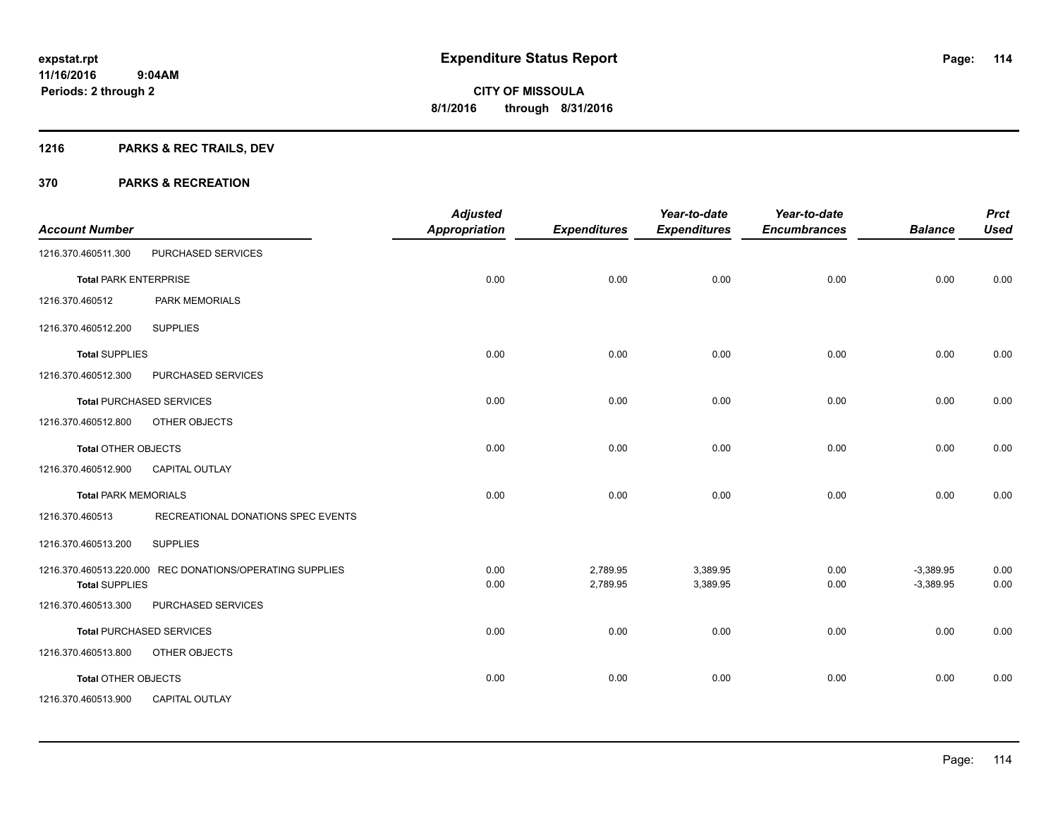# **1216 PARKS & REC TRAILS, DEV**

| <b>Account Number</b>        |                                                          | <b>Adjusted</b><br><b>Appropriation</b> | <b>Expenditures</b> | Year-to-date<br><b>Expenditures</b> | Year-to-date<br><b>Encumbrances</b> | <b>Balance</b> | <b>Prct</b><br><b>Used</b> |
|------------------------------|----------------------------------------------------------|-----------------------------------------|---------------------|-------------------------------------|-------------------------------------|----------------|----------------------------|
|                              |                                                          |                                         |                     |                                     |                                     |                |                            |
| 1216.370.460511.300          | PURCHASED SERVICES                                       |                                         |                     |                                     |                                     |                |                            |
| <b>Total PARK ENTERPRISE</b> |                                                          | 0.00                                    | 0.00                | 0.00                                | 0.00                                | 0.00           | 0.00                       |
| 1216.370.460512              | <b>PARK MEMORIALS</b>                                    |                                         |                     |                                     |                                     |                |                            |
| 1216.370.460512.200          | <b>SUPPLIES</b>                                          |                                         |                     |                                     |                                     |                |                            |
| <b>Total SUPPLIES</b>        |                                                          | 0.00                                    | 0.00                | 0.00                                | 0.00                                | 0.00           | 0.00                       |
| 1216.370.460512.300          | PURCHASED SERVICES                                       |                                         |                     |                                     |                                     |                |                            |
|                              | <b>Total PURCHASED SERVICES</b>                          | 0.00                                    | 0.00                | 0.00                                | 0.00                                | 0.00           | 0.00                       |
| 1216.370.460512.800          | OTHER OBJECTS                                            |                                         |                     |                                     |                                     |                |                            |
| <b>Total OTHER OBJECTS</b>   |                                                          | 0.00                                    | 0.00                | 0.00                                | 0.00                                | 0.00           | 0.00                       |
| 1216.370.460512.900          | <b>CAPITAL OUTLAY</b>                                    |                                         |                     |                                     |                                     |                |                            |
| <b>Total PARK MEMORIALS</b>  |                                                          | 0.00                                    | 0.00                | 0.00                                | 0.00                                | 0.00           | 0.00                       |
| 1216.370.460513              | RECREATIONAL DONATIONS SPEC EVENTS                       |                                         |                     |                                     |                                     |                |                            |
| 1216.370.460513.200          | <b>SUPPLIES</b>                                          |                                         |                     |                                     |                                     |                |                            |
|                              | 1216.370.460513.220.000 REC DONATIONS/OPERATING SUPPLIES | 0.00                                    | 2,789.95            | 3,389.95                            | 0.00                                | $-3,389.95$    | 0.00                       |
| <b>Total SUPPLIES</b>        |                                                          | 0.00                                    | 2,789.95            | 3,389.95                            | 0.00                                | $-3,389.95$    | 0.00                       |
| 1216.370.460513.300          | PURCHASED SERVICES                                       |                                         |                     |                                     |                                     |                |                            |
|                              | <b>Total PURCHASED SERVICES</b>                          | 0.00                                    | 0.00                | 0.00                                | 0.00                                | 0.00           | 0.00                       |
| 1216.370.460513.800          | OTHER OBJECTS                                            |                                         |                     |                                     |                                     |                |                            |
| <b>Total OTHER OBJECTS</b>   |                                                          | 0.00                                    | 0.00                | 0.00                                | 0.00                                | 0.00           | 0.00                       |
| 1216.370.460513.900          | <b>CAPITAL OUTLAY</b>                                    |                                         |                     |                                     |                                     |                |                            |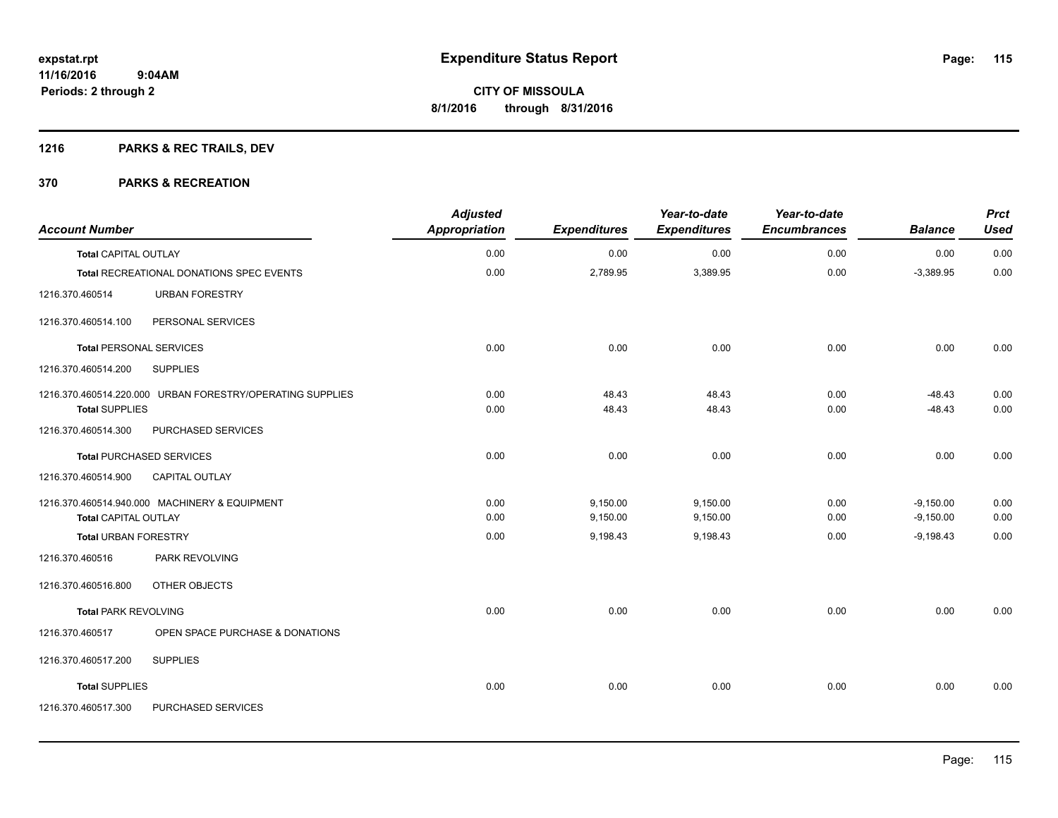# **1216 PARKS & REC TRAILS, DEV**

| <b>Account Number</b>          |                                                           | <b>Adjusted</b><br>Appropriation | <b>Expenditures</b> | Year-to-date<br><b>Expenditures</b> | Year-to-date<br><b>Encumbrances</b> | <b>Balance</b> | <b>Prct</b><br><b>Used</b> |
|--------------------------------|-----------------------------------------------------------|----------------------------------|---------------------|-------------------------------------|-------------------------------------|----------------|----------------------------|
| <b>Total CAPITAL OUTLAY</b>    |                                                           | 0.00                             | 0.00                | 0.00                                | 0.00                                | 0.00           | 0.00                       |
|                                | Total RECREATIONAL DONATIONS SPEC EVENTS                  | 0.00                             | 2,789.95            | 3,389.95                            | 0.00                                | $-3,389.95$    | 0.00                       |
| 1216.370.460514                | <b>URBAN FORESTRY</b>                                     |                                  |                     |                                     |                                     |                |                            |
| 1216.370.460514.100            | PERSONAL SERVICES                                         |                                  |                     |                                     |                                     |                |                            |
| <b>Total PERSONAL SERVICES</b> |                                                           | 0.00                             | 0.00                | 0.00                                | 0.00                                | 0.00           | 0.00                       |
| 1216.370.460514.200            | <b>SUPPLIES</b>                                           |                                  |                     |                                     |                                     |                |                            |
|                                | 1216.370.460514.220.000 URBAN FORESTRY/OPERATING SUPPLIES | 0.00                             | 48.43               | 48.43                               | 0.00                                | $-48.43$       | 0.00                       |
| <b>Total SUPPLIES</b>          |                                                           | 0.00                             | 48.43               | 48.43                               | 0.00                                | $-48.43$       | 0.00                       |
| 1216.370.460514.300            | PURCHASED SERVICES                                        |                                  |                     |                                     |                                     |                |                            |
|                                | <b>Total PURCHASED SERVICES</b>                           | 0.00                             | 0.00                | 0.00                                | 0.00                                | 0.00           | 0.00                       |
| 1216.370.460514.900            | CAPITAL OUTLAY                                            |                                  |                     |                                     |                                     |                |                            |
|                                | 1216.370.460514.940.000 MACHINERY & EQUIPMENT             | 0.00                             | 9,150.00            | 9,150.00                            | 0.00                                | $-9,150.00$    | 0.00                       |
| <b>Total CAPITAL OUTLAY</b>    |                                                           | 0.00                             | 9,150.00            | 9,150.00                            | 0.00                                | $-9,150.00$    | 0.00                       |
| <b>Total URBAN FORESTRY</b>    |                                                           | 0.00                             | 9,198.43            | 9,198.43                            | 0.00                                | $-9,198.43$    | 0.00                       |
| 1216.370.460516                | <b>PARK REVOLVING</b>                                     |                                  |                     |                                     |                                     |                |                            |
| 1216.370.460516.800            | OTHER OBJECTS                                             |                                  |                     |                                     |                                     |                |                            |
| <b>Total PARK REVOLVING</b>    |                                                           | 0.00                             | 0.00                | 0.00                                | 0.00                                | 0.00           | 0.00                       |
| 1216.370.460517                | OPEN SPACE PURCHASE & DONATIONS                           |                                  |                     |                                     |                                     |                |                            |
| 1216.370.460517.200            | <b>SUPPLIES</b>                                           |                                  |                     |                                     |                                     |                |                            |
| <b>Total SUPPLIES</b>          |                                                           | 0.00                             | 0.00                | 0.00                                | 0.00                                | 0.00           | 0.00                       |
| 1216.370.460517.300            | PURCHASED SERVICES                                        |                                  |                     |                                     |                                     |                |                            |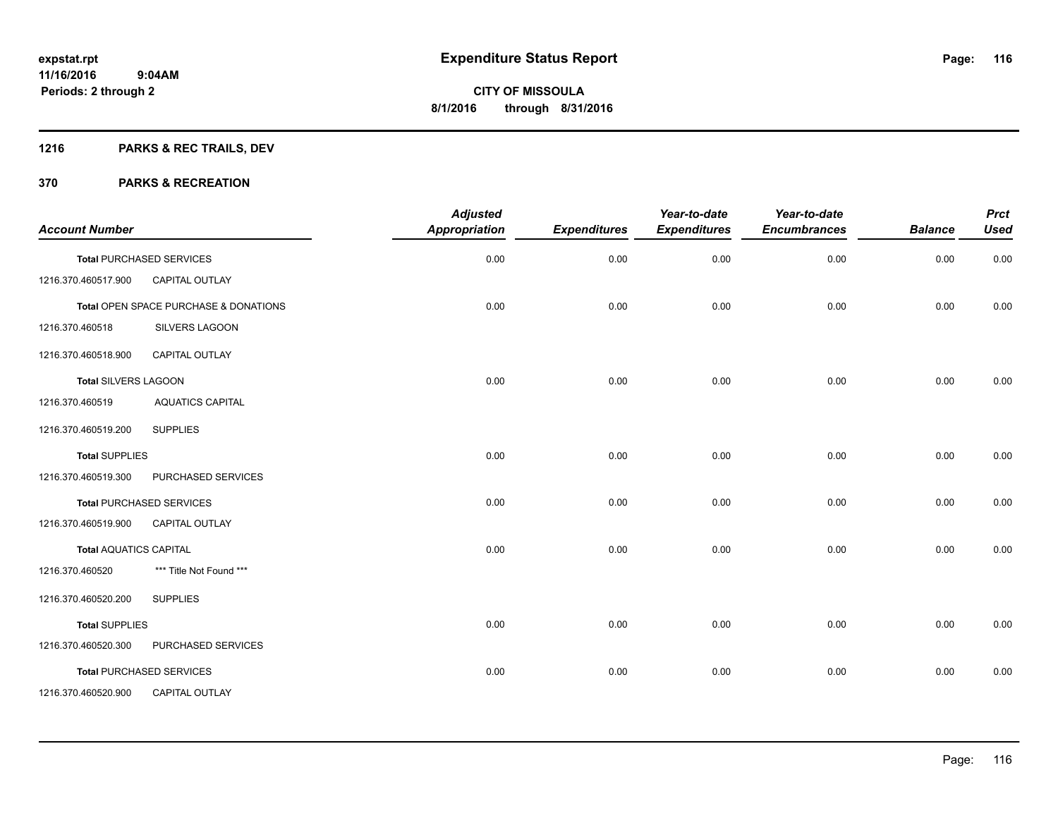# **1216 PARKS & REC TRAILS, DEV**

| <b>Account Number</b>         |                                       | <b>Adjusted</b><br>Appropriation | <b>Expenditures</b> | Year-to-date<br><b>Expenditures</b> | Year-to-date<br><b>Encumbrances</b> | <b>Balance</b> | <b>Prct</b><br><b>Used</b> |
|-------------------------------|---------------------------------------|----------------------------------|---------------------|-------------------------------------|-------------------------------------|----------------|----------------------------|
|                               | <b>Total PURCHASED SERVICES</b>       | 0.00                             | 0.00                | 0.00                                | 0.00                                | 0.00           | 0.00                       |
| 1216.370.460517.900           | <b>CAPITAL OUTLAY</b>                 |                                  |                     |                                     |                                     |                |                            |
|                               | Total OPEN SPACE PURCHASE & DONATIONS | 0.00                             | 0.00                | 0.00                                | 0.00                                | 0.00           | 0.00                       |
| 1216.370.460518               | SILVERS LAGOON                        |                                  |                     |                                     |                                     |                |                            |
| 1216.370.460518.900           | <b>CAPITAL OUTLAY</b>                 |                                  |                     |                                     |                                     |                |                            |
| <b>Total SILVERS LAGOON</b>   |                                       | 0.00                             | 0.00                | 0.00                                | 0.00                                | 0.00           | 0.00                       |
| 1216.370.460519               | <b>AQUATICS CAPITAL</b>               |                                  |                     |                                     |                                     |                |                            |
| 1216.370.460519.200           | <b>SUPPLIES</b>                       |                                  |                     |                                     |                                     |                |                            |
| <b>Total SUPPLIES</b>         |                                       | 0.00                             | 0.00                | 0.00                                | 0.00                                | 0.00           | 0.00                       |
| 1216.370.460519.300           | PURCHASED SERVICES                    |                                  |                     |                                     |                                     |                |                            |
|                               | <b>Total PURCHASED SERVICES</b>       | 0.00                             | 0.00                | 0.00                                | 0.00                                | 0.00           | 0.00                       |
| 1216.370.460519.900           | <b>CAPITAL OUTLAY</b>                 |                                  |                     |                                     |                                     |                |                            |
| <b>Total AQUATICS CAPITAL</b> |                                       | 0.00                             | 0.00                | 0.00                                | 0.00                                | 0.00           | 0.00                       |
| 1216.370.460520               | *** Title Not Found ***               |                                  |                     |                                     |                                     |                |                            |
| 1216.370.460520.200           | <b>SUPPLIES</b>                       |                                  |                     |                                     |                                     |                |                            |
| <b>Total SUPPLIES</b>         |                                       | 0.00                             | 0.00                | 0.00                                | 0.00                                | 0.00           | 0.00                       |
| 1216.370.460520.300           | PURCHASED SERVICES                    |                                  |                     |                                     |                                     |                |                            |
|                               | <b>Total PURCHASED SERVICES</b>       | 0.00                             | 0.00                | 0.00                                | 0.00                                | 0.00           | 0.00                       |
| 1216.370.460520.900           | <b>CAPITAL OUTLAY</b>                 |                                  |                     |                                     |                                     |                |                            |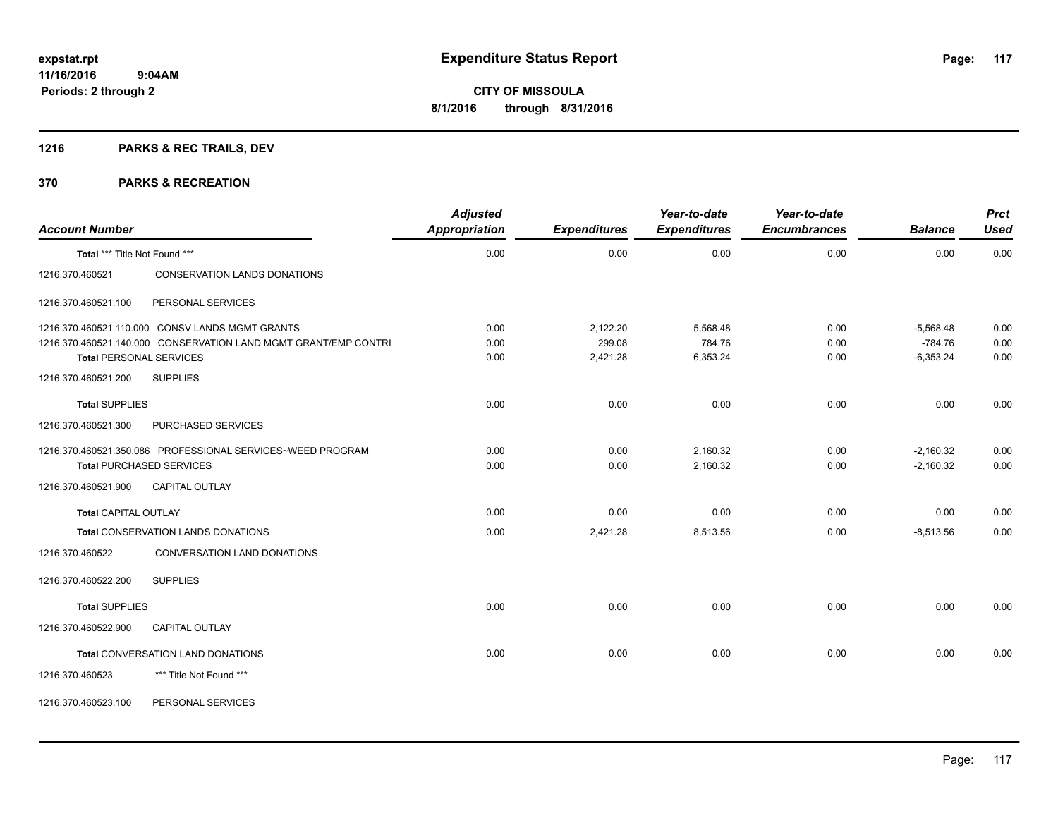# **1216 PARKS & REC TRAILS, DEV**

| <b>Account Number</b>         |                                                                 | <b>Adjusted</b><br><b>Appropriation</b> | <b>Expenditures</b> | Year-to-date<br><b>Expenditures</b> | Year-to-date<br><b>Encumbrances</b> | <b>Balance</b> | <b>Prct</b><br><b>Used</b> |
|-------------------------------|-----------------------------------------------------------------|-----------------------------------------|---------------------|-------------------------------------|-------------------------------------|----------------|----------------------------|
| Total *** Title Not Found *** |                                                                 | 0.00                                    | 0.00                | 0.00                                | 0.00                                | 0.00           | 0.00                       |
| 1216.370.460521               | CONSERVATION LANDS DONATIONS                                    |                                         |                     |                                     |                                     |                |                            |
| 1216.370.460521.100           | PERSONAL SERVICES                                               |                                         |                     |                                     |                                     |                |                            |
|                               | 1216.370.460521.110.000 CONSV LANDS MGMT GRANTS                 | 0.00                                    | 2,122.20            | 5,568.48                            | 0.00                                | $-5,568.48$    | 0.00                       |
|                               | 1216.370.460521.140.000 CONSERVATION LAND MGMT GRANT/EMP CONTRI | 0.00                                    | 299.08              | 784.76                              | 0.00                                | $-784.76$      | 0.00                       |
|                               | <b>Total PERSONAL SERVICES</b>                                  | 0.00                                    | 2,421.28            | 6,353.24                            | 0.00                                | $-6,353.24$    | 0.00                       |
| 1216.370.460521.200           | <b>SUPPLIES</b>                                                 |                                         |                     |                                     |                                     |                |                            |
| <b>Total SUPPLIES</b>         |                                                                 | 0.00                                    | 0.00                | 0.00                                | 0.00                                | 0.00           | 0.00                       |
| 1216.370.460521.300           | PURCHASED SERVICES                                              |                                         |                     |                                     |                                     |                |                            |
|                               | 1216.370.460521.350.086 PROFESSIONAL SERVICES~WEED PROGRAM      | 0.00                                    | 0.00                | 2,160.32                            | 0.00                                | $-2,160.32$    | 0.00                       |
|                               | <b>Total PURCHASED SERVICES</b>                                 | 0.00                                    | 0.00                | 2,160.32                            | 0.00                                | $-2,160.32$    | 0.00                       |
| 1216.370.460521.900           | <b>CAPITAL OUTLAY</b>                                           |                                         |                     |                                     |                                     |                |                            |
| <b>Total CAPITAL OUTLAY</b>   |                                                                 | 0.00                                    | 0.00                | 0.00                                | 0.00                                | 0.00           | 0.00                       |
|                               | <b>Total CONSERVATION LANDS DONATIONS</b>                       | 0.00                                    | 2,421.28            | 8,513.56                            | 0.00                                | $-8,513.56$    | 0.00                       |
| 1216.370.460522               | CONVERSATION LAND DONATIONS                                     |                                         |                     |                                     |                                     |                |                            |
| 1216.370.460522.200           | <b>SUPPLIES</b>                                                 |                                         |                     |                                     |                                     |                |                            |
| <b>Total SUPPLIES</b>         |                                                                 | 0.00                                    | 0.00                | 0.00                                | 0.00                                | 0.00           | 0.00                       |
| 1216.370.460522.900           | <b>CAPITAL OUTLAY</b>                                           |                                         |                     |                                     |                                     |                |                            |
|                               | <b>Total CONVERSATION LAND DONATIONS</b>                        | 0.00                                    | 0.00                | 0.00                                | 0.00                                | 0.00           | 0.00                       |
| 1216.370.460523               | *** Title Not Found ***                                         |                                         |                     |                                     |                                     |                |                            |
| 1216.370.460523.100           | PERSONAL SERVICES                                               |                                         |                     |                                     |                                     |                |                            |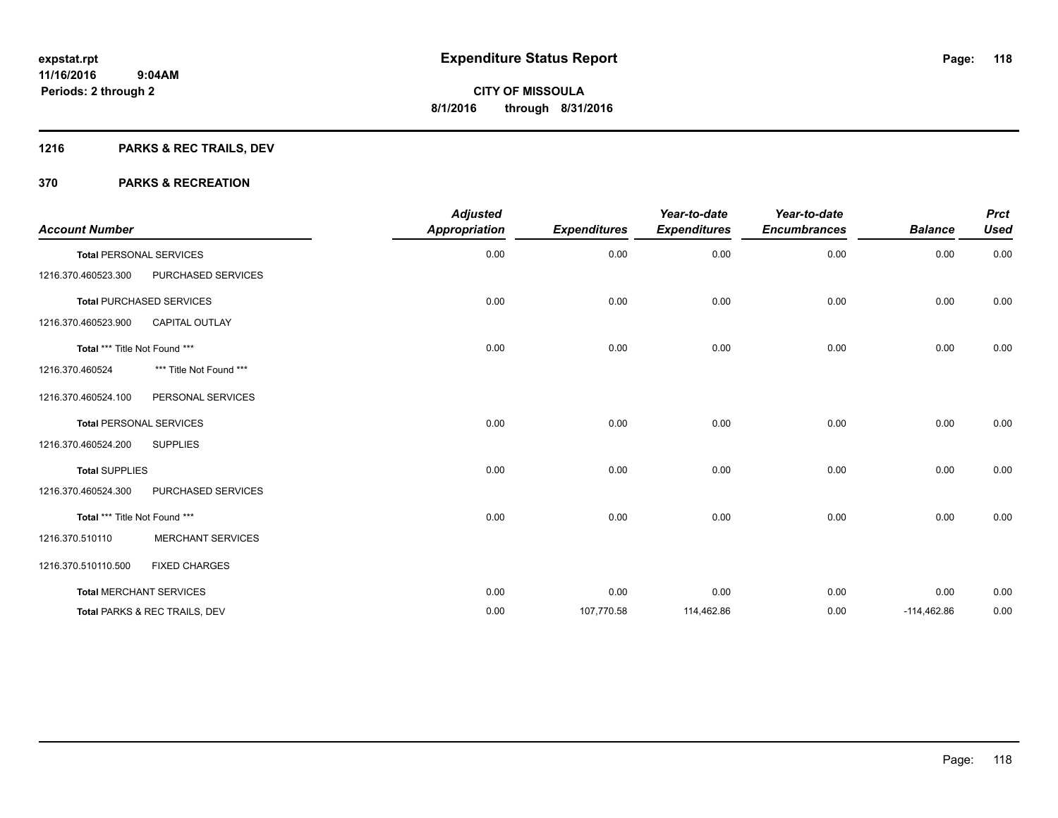# **1216 PARKS & REC TRAILS, DEV**

| <b>Account Number</b>          |                                 | <b>Adjusted</b><br><b>Appropriation</b> | <b>Expenditures</b> | Year-to-date<br><b>Expenditures</b> | Year-to-date<br><b>Encumbrances</b> | <b>Balance</b> | <b>Prct</b><br><b>Used</b> |
|--------------------------------|---------------------------------|-----------------------------------------|---------------------|-------------------------------------|-------------------------------------|----------------|----------------------------|
| <b>Total PERSONAL SERVICES</b> |                                 | 0.00                                    | 0.00                | 0.00                                | 0.00                                | 0.00           | 0.00                       |
| 1216.370.460523.300            | PURCHASED SERVICES              |                                         |                     |                                     |                                     |                |                            |
|                                | <b>Total PURCHASED SERVICES</b> | 0.00                                    | 0.00                | 0.00                                | 0.00                                | 0.00           | 0.00                       |
| 1216.370.460523.900            | <b>CAPITAL OUTLAY</b>           |                                         |                     |                                     |                                     |                |                            |
| Total *** Title Not Found ***  |                                 | 0.00                                    | 0.00                | 0.00                                | 0.00                                | 0.00           | 0.00                       |
| 1216.370.460524                | *** Title Not Found ***         |                                         |                     |                                     |                                     |                |                            |
| 1216.370.460524.100            | PERSONAL SERVICES               |                                         |                     |                                     |                                     |                |                            |
| <b>Total PERSONAL SERVICES</b> |                                 | 0.00                                    | 0.00                | 0.00                                | 0.00                                | 0.00           | 0.00                       |
| 1216.370.460524.200            | <b>SUPPLIES</b>                 |                                         |                     |                                     |                                     |                |                            |
| <b>Total SUPPLIES</b>          |                                 | 0.00                                    | 0.00                | 0.00                                | 0.00                                | 0.00           | 0.00                       |
| 1216.370.460524.300            | PURCHASED SERVICES              |                                         |                     |                                     |                                     |                |                            |
| Total *** Title Not Found ***  |                                 | 0.00                                    | 0.00                | 0.00                                | 0.00                                | 0.00           | 0.00                       |
| 1216.370.510110                | <b>MERCHANT SERVICES</b>        |                                         |                     |                                     |                                     |                |                            |
| 1216.370.510110.500            | <b>FIXED CHARGES</b>            |                                         |                     |                                     |                                     |                |                            |
|                                | <b>Total MERCHANT SERVICES</b>  | 0.00                                    | 0.00                | 0.00                                | 0.00                                | 0.00           | 0.00                       |
|                                | Total PARKS & REC TRAILS, DEV   | 0.00                                    | 107,770.58          | 114,462.86                          | 0.00                                | $-114,462.86$  | 0.00                       |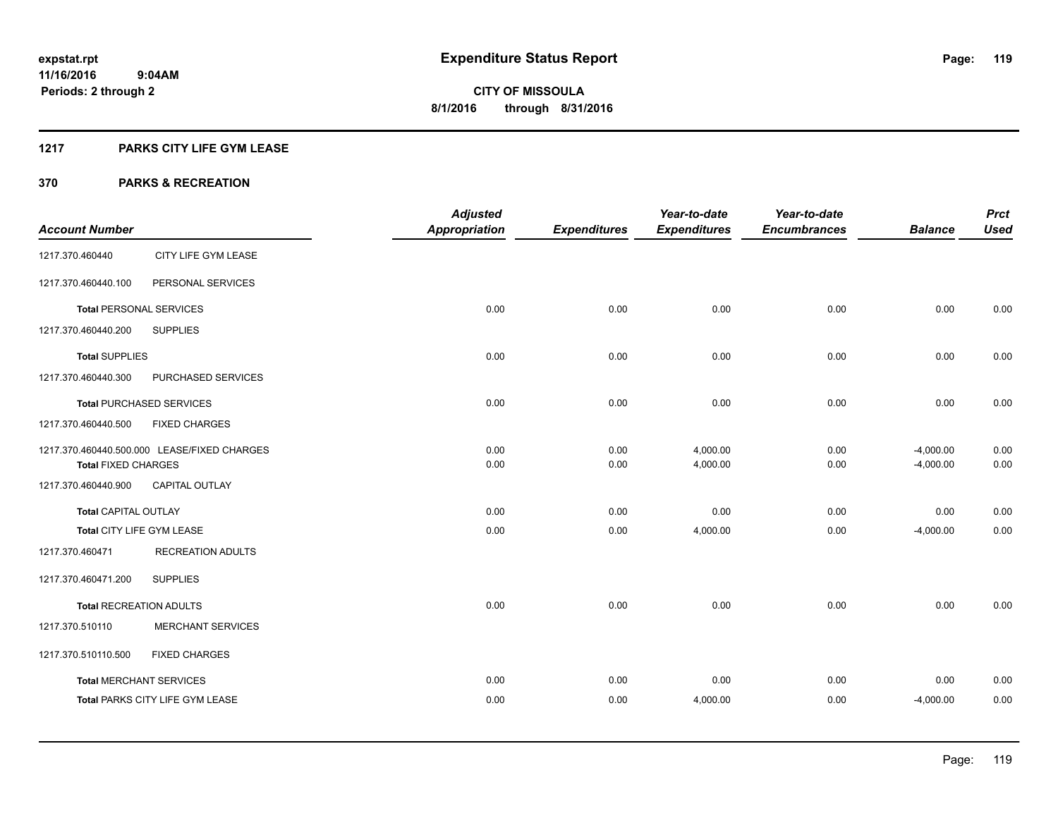## **1217 PARKS CITY LIFE GYM LEASE**

|                                |                                             | <b>Adjusted</b>      |                     | Year-to-date        | Year-to-date        |                | <b>Prct</b> |
|--------------------------------|---------------------------------------------|----------------------|---------------------|---------------------|---------------------|----------------|-------------|
| <b>Account Number</b>          |                                             | <b>Appropriation</b> | <b>Expenditures</b> | <b>Expenditures</b> | <b>Encumbrances</b> | <b>Balance</b> | <b>Used</b> |
| 1217.370.460440                | CITY LIFE GYM LEASE                         |                      |                     |                     |                     |                |             |
| 1217.370.460440.100            | PERSONAL SERVICES                           |                      |                     |                     |                     |                |             |
| <b>Total PERSONAL SERVICES</b> |                                             | 0.00                 | 0.00                | 0.00                | 0.00                | 0.00           | 0.00        |
| 1217.370.460440.200            | <b>SUPPLIES</b>                             |                      |                     |                     |                     |                |             |
| <b>Total SUPPLIES</b>          |                                             | 0.00                 | 0.00                | 0.00                | 0.00                | 0.00           | 0.00        |
| 1217.370.460440.300            | PURCHASED SERVICES                          |                      |                     |                     |                     |                |             |
|                                | <b>Total PURCHASED SERVICES</b>             | 0.00                 | 0.00                | 0.00                | 0.00                | 0.00           | 0.00        |
| 1217.370.460440.500            | <b>FIXED CHARGES</b>                        |                      |                     |                     |                     |                |             |
|                                | 1217.370.460440.500.000 LEASE/FIXED CHARGES | 0.00                 | 0.00                | 4,000.00            | 0.00                | $-4,000.00$    | 0.00        |
| <b>Total FIXED CHARGES</b>     |                                             | 0.00                 | 0.00                | 4,000.00            | 0.00                | $-4,000.00$    | 0.00        |
| 1217.370.460440.900            | <b>CAPITAL OUTLAY</b>                       |                      |                     |                     |                     |                |             |
| <b>Total CAPITAL OUTLAY</b>    |                                             | 0.00                 | 0.00                | 0.00                | 0.00                | 0.00           | 0.00        |
| Total CITY LIFE GYM LEASE      |                                             | 0.00                 | 0.00                | 4,000.00            | 0.00                | $-4,000.00$    | 0.00        |
| 1217.370.460471                | <b>RECREATION ADULTS</b>                    |                      |                     |                     |                     |                |             |
| 1217.370.460471.200            | <b>SUPPLIES</b>                             |                      |                     |                     |                     |                |             |
| <b>Total RECREATION ADULTS</b> |                                             | 0.00                 | 0.00                | 0.00                | 0.00                | 0.00           | 0.00        |
| 1217.370.510110                | <b>MERCHANT SERVICES</b>                    |                      |                     |                     |                     |                |             |
| 1217.370.510110.500            | <b>FIXED CHARGES</b>                        |                      |                     |                     |                     |                |             |
| <b>Total MERCHANT SERVICES</b> |                                             | 0.00                 | 0.00                | 0.00                | 0.00                | 0.00           | 0.00        |
|                                | <b>Total PARKS CITY LIFE GYM LEASE</b>      | 0.00                 | 0.00                | 4,000.00            | 0.00                | $-4,000.00$    | 0.00        |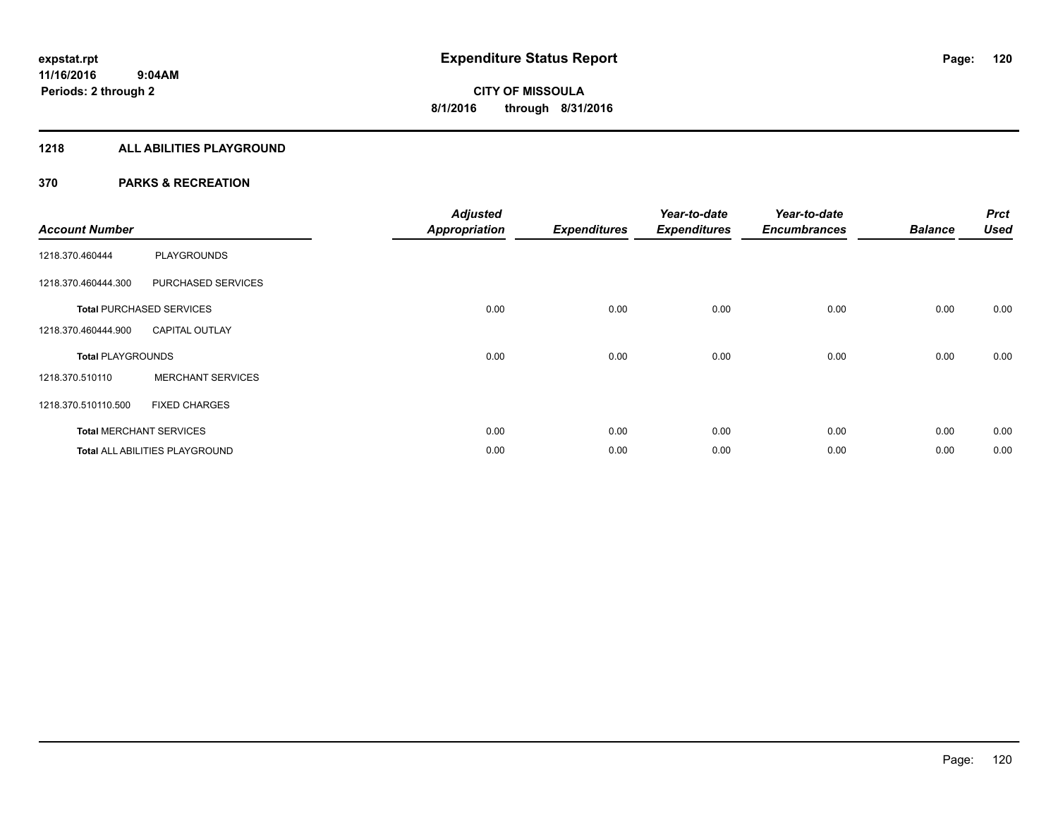#### **1218 ALL ABILITIES PLAYGROUND**

| <b>Account Number</b>    |                                       | <b>Adjusted</b><br><b>Appropriation</b> | <b>Expenditures</b> | Year-to-date<br><b>Expenditures</b> | Year-to-date<br><b>Encumbrances</b> | <b>Balance</b> | <b>Prct</b><br><b>Used</b> |
|--------------------------|---------------------------------------|-----------------------------------------|---------------------|-------------------------------------|-------------------------------------|----------------|----------------------------|
| 1218.370.460444          | <b>PLAYGROUNDS</b>                    |                                         |                     |                                     |                                     |                |                            |
| 1218.370.460444.300      | PURCHASED SERVICES                    |                                         |                     |                                     |                                     |                |                            |
|                          | <b>Total PURCHASED SERVICES</b>       | 0.00                                    | 0.00                | 0.00                                | 0.00                                | 0.00           | 0.00                       |
| 1218.370.460444.900      | <b>CAPITAL OUTLAY</b>                 |                                         |                     |                                     |                                     |                |                            |
| <b>Total PLAYGROUNDS</b> |                                       | 0.00                                    | 0.00                | 0.00                                | 0.00                                | 0.00           | 0.00                       |
| 1218.370.510110          | <b>MERCHANT SERVICES</b>              |                                         |                     |                                     |                                     |                |                            |
| 1218.370.510110.500      | <b>FIXED CHARGES</b>                  |                                         |                     |                                     |                                     |                |                            |
|                          | <b>Total MERCHANT SERVICES</b>        | 0.00                                    | 0.00                | 0.00                                | 0.00                                | 0.00           | 0.00                       |
|                          | <b>Total ALL ABILITIES PLAYGROUND</b> | 0.00                                    | 0.00                | 0.00                                | 0.00                                | 0.00           | 0.00                       |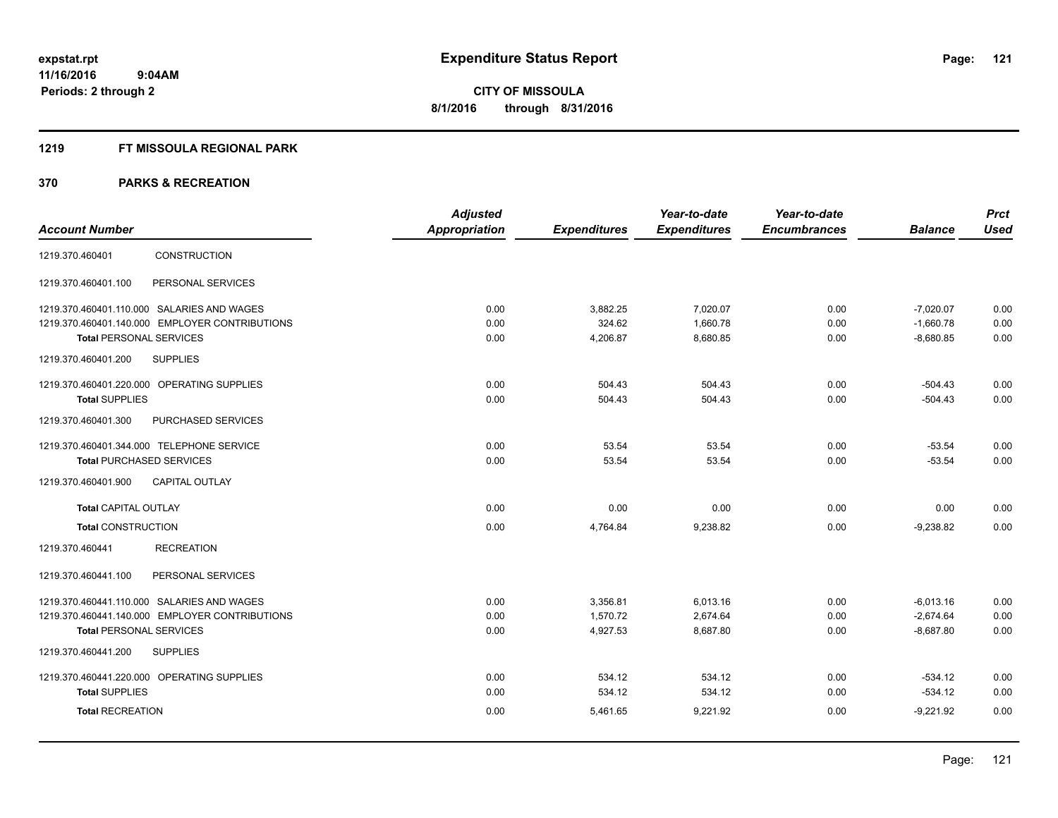#### **1219 FT MISSOULA REGIONAL PARK**

|                                                | <b>Adjusted</b>      |                     | Year-to-date        | Year-to-date        |                | <b>Prct</b> |
|------------------------------------------------|----------------------|---------------------|---------------------|---------------------|----------------|-------------|
| <b>Account Number</b>                          | <b>Appropriation</b> | <b>Expenditures</b> | <b>Expenditures</b> | <b>Encumbrances</b> | <b>Balance</b> | <b>Used</b> |
| CONSTRUCTION<br>1219.370.460401                |                      |                     |                     |                     |                |             |
| PERSONAL SERVICES<br>1219.370.460401.100       |                      |                     |                     |                     |                |             |
| 1219.370.460401.110.000 SALARIES AND WAGES     | 0.00                 | 3,882.25            | 7,020.07            | 0.00                | $-7,020.07$    | 0.00        |
| 1219.370.460401.140.000 EMPLOYER CONTRIBUTIONS | 0.00                 | 324.62              | 1,660.78            | 0.00                | $-1,660.78$    | 0.00        |
| <b>Total PERSONAL SERVICES</b>                 | 0.00                 | 4,206.87            | 8,680.85            | 0.00                | $-8,680.85$    | 0.00        |
| 1219.370.460401.200<br><b>SUPPLIES</b>         |                      |                     |                     |                     |                |             |
| 1219.370.460401.220.000 OPERATING SUPPLIES     | 0.00                 | 504.43              | 504.43              | 0.00                | $-504.43$      | 0.00        |
| <b>Total SUPPLIES</b>                          | 0.00                 | 504.43              | 504.43              | 0.00                | $-504.43$      | 0.00        |
| PURCHASED SERVICES<br>1219.370.460401.300      |                      |                     |                     |                     |                |             |
| 1219.370.460401.344.000 TELEPHONE SERVICE      | 0.00                 | 53.54               | 53.54               | 0.00                | $-53.54$       | 0.00        |
| <b>Total PURCHASED SERVICES</b>                | 0.00                 | 53.54               | 53.54               | 0.00                | $-53.54$       | 0.00        |
| <b>CAPITAL OUTLAY</b><br>1219.370.460401.900   |                      |                     |                     |                     |                |             |
| <b>Total CAPITAL OUTLAY</b>                    | 0.00                 | 0.00                | 0.00                | 0.00                | 0.00           | 0.00        |
| <b>Total CONSTRUCTION</b>                      | 0.00                 | 4,764.84            | 9,238.82            | 0.00                | $-9,238.82$    | 0.00        |
| <b>RECREATION</b><br>1219.370.460441           |                      |                     |                     |                     |                |             |
| 1219.370.460441.100<br>PERSONAL SERVICES       |                      |                     |                     |                     |                |             |
| 1219.370.460441.110.000 SALARIES AND WAGES     | 0.00                 | 3,356.81            | 6,013.16            | 0.00                | $-6,013.16$    | 0.00        |
| 1219.370.460441.140.000 EMPLOYER CONTRIBUTIONS | 0.00                 | 1,570.72            | 2,674.64            | 0.00                | $-2,674.64$    | 0.00        |
| <b>Total PERSONAL SERVICES</b>                 | 0.00                 | 4,927.53            | 8,687.80            | 0.00                | $-8,687.80$    | 0.00        |
| 1219.370.460441.200<br><b>SUPPLIES</b>         |                      |                     |                     |                     |                |             |
| 1219.370.460441.220.000 OPERATING SUPPLIES     | 0.00                 | 534.12              | 534.12              | 0.00                | $-534.12$      | 0.00        |
| <b>Total SUPPLIES</b>                          | 0.00                 | 534.12              | 534.12              | 0.00                | $-534.12$      | 0.00        |
| <b>Total RECREATION</b>                        | 0.00                 | 5,461.65            | 9,221.92            | 0.00                | $-9,221.92$    | 0.00        |
|                                                |                      |                     |                     |                     |                |             |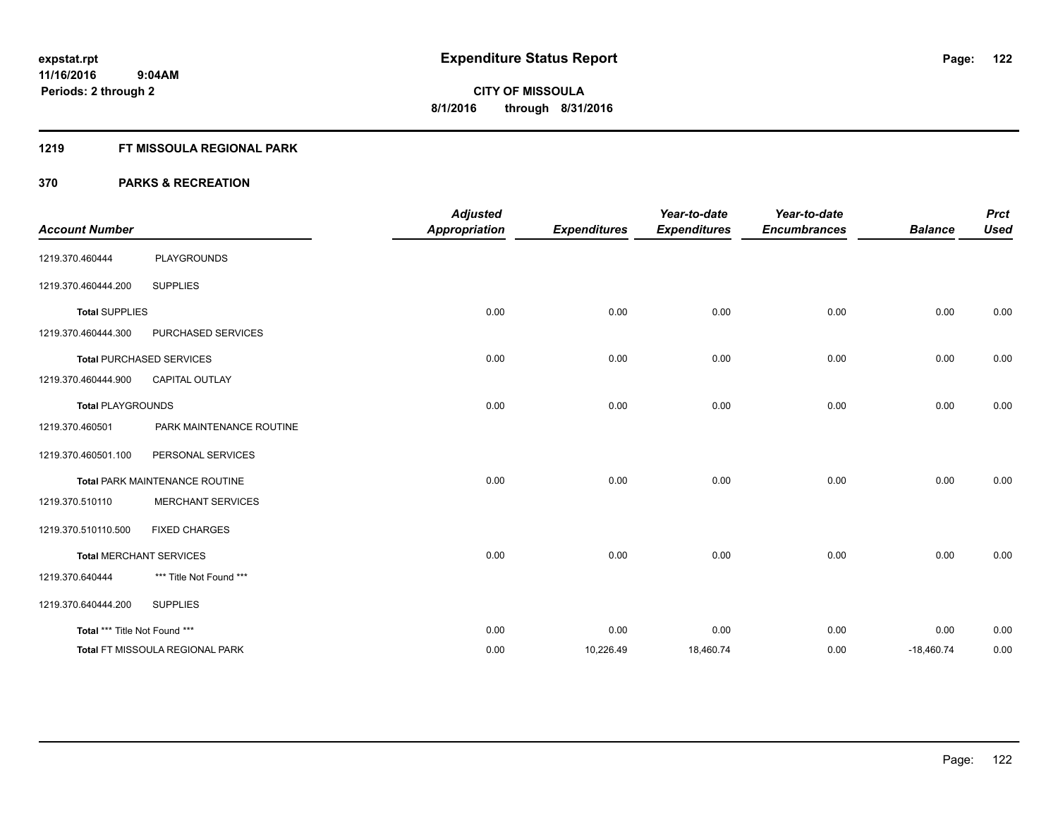#### **1219 FT MISSOULA REGIONAL PARK**

| <b>Account Number</b>         |                                 | <b>Adjusted</b><br><b>Appropriation</b> | <b>Expenditures</b> | Year-to-date<br><b>Expenditures</b> | Year-to-date<br><b>Encumbrances</b> | <b>Balance</b> | <b>Prct</b><br><b>Used</b> |
|-------------------------------|---------------------------------|-----------------------------------------|---------------------|-------------------------------------|-------------------------------------|----------------|----------------------------|
| 1219.370.460444               | <b>PLAYGROUNDS</b>              |                                         |                     |                                     |                                     |                |                            |
| 1219.370.460444.200           | <b>SUPPLIES</b>                 |                                         |                     |                                     |                                     |                |                            |
| <b>Total SUPPLIES</b>         |                                 | 0.00                                    | 0.00                | 0.00                                | 0.00                                | 0.00           | 0.00                       |
| 1219.370.460444.300           | PURCHASED SERVICES              |                                         |                     |                                     |                                     |                |                            |
|                               | <b>Total PURCHASED SERVICES</b> | 0.00                                    | 0.00                | 0.00                                | 0.00                                | 0.00           | 0.00                       |
| 1219.370.460444.900           | <b>CAPITAL OUTLAY</b>           |                                         |                     |                                     |                                     |                |                            |
| <b>Total PLAYGROUNDS</b>      |                                 | 0.00                                    | 0.00                | 0.00                                | 0.00                                | 0.00           | 0.00                       |
| 1219.370.460501               | PARK MAINTENANCE ROUTINE        |                                         |                     |                                     |                                     |                |                            |
| 1219.370.460501.100           | PERSONAL SERVICES               |                                         |                     |                                     |                                     |                |                            |
|                               | Total PARK MAINTENANCE ROUTINE  | 0.00                                    | 0.00                | 0.00                                | 0.00                                | 0.00           | 0.00                       |
| 1219.370.510110               | <b>MERCHANT SERVICES</b>        |                                         |                     |                                     |                                     |                |                            |
| 1219.370.510110.500           | <b>FIXED CHARGES</b>            |                                         |                     |                                     |                                     |                |                            |
|                               | <b>Total MERCHANT SERVICES</b>  | 0.00                                    | 0.00                | 0.00                                | 0.00                                | 0.00           | 0.00                       |
| 1219.370.640444               | *** Title Not Found ***         |                                         |                     |                                     |                                     |                |                            |
| 1219.370.640444.200           | <b>SUPPLIES</b>                 |                                         |                     |                                     |                                     |                |                            |
| Total *** Title Not Found *** |                                 | 0.00                                    | 0.00                | 0.00                                | 0.00                                | 0.00           | 0.00                       |
|                               | Total FT MISSOULA REGIONAL PARK | 0.00                                    | 10,226.49           | 18,460.74                           | 0.00                                | $-18,460.74$   | 0.00                       |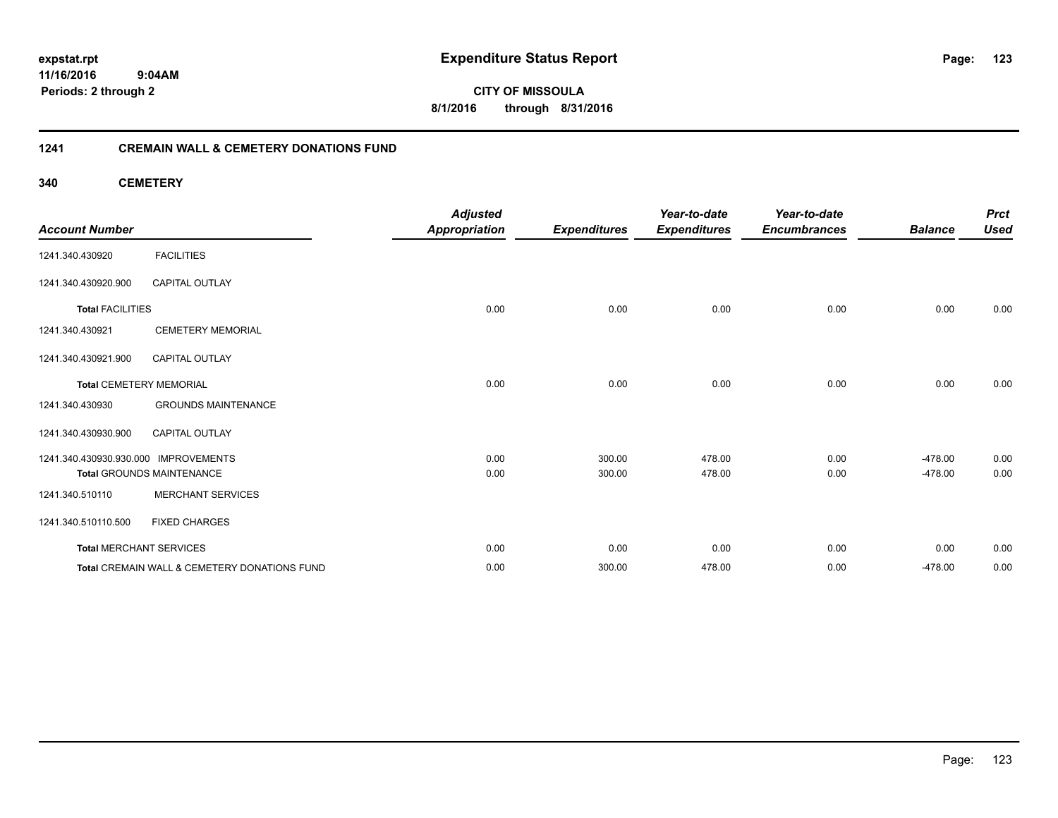**expstat.rpt Expenditure Status Report** 

**11/16/2016 9:04AM Periods: 2 through 2**

**CITY OF MISSOULA 8/1/2016 through 8/31/2016**

#### **1241 CREMAIN WALL & CEMETERY DONATIONS FUND**

**340 CEMETERY**

| <b>Account Number</b>                |                                              | <b>Adjusted</b><br><b>Appropriation</b> | <b>Expenditures</b> | Year-to-date<br><b>Expenditures</b> | Year-to-date<br><b>Encumbrances</b> | <b>Balance</b> | <b>Prct</b><br><b>Used</b> |
|--------------------------------------|----------------------------------------------|-----------------------------------------|---------------------|-------------------------------------|-------------------------------------|----------------|----------------------------|
| 1241.340.430920                      | <b>FACILITIES</b>                            |                                         |                     |                                     |                                     |                |                            |
| 1241.340.430920.900                  | <b>CAPITAL OUTLAY</b>                        |                                         |                     |                                     |                                     |                |                            |
| <b>Total FACILITIES</b>              |                                              | 0.00                                    | 0.00                | 0.00                                | 0.00                                | 0.00           | 0.00                       |
| 1241.340.430921                      | <b>CEMETERY MEMORIAL</b>                     |                                         |                     |                                     |                                     |                |                            |
| 1241.340.430921.900                  | <b>CAPITAL OUTLAY</b>                        |                                         |                     |                                     |                                     |                |                            |
|                                      | <b>Total CEMETERY MEMORIAL</b>               | 0.00                                    | 0.00                | 0.00                                | 0.00                                | 0.00           | 0.00                       |
| 1241.340.430930                      | <b>GROUNDS MAINTENANCE</b>                   |                                         |                     |                                     |                                     |                |                            |
| 1241.340.430930.900                  | CAPITAL OUTLAY                               |                                         |                     |                                     |                                     |                |                            |
| 1241.340.430930.930.000 IMPROVEMENTS |                                              | 0.00                                    | 300.00              | 478.00                              | 0.00                                | $-478.00$      | 0.00                       |
|                                      | <b>Total GROUNDS MAINTENANCE</b>             | 0.00                                    | 300.00              | 478.00                              | 0.00                                | $-478.00$      | 0.00                       |
| 1241.340.510110                      | <b>MERCHANT SERVICES</b>                     |                                         |                     |                                     |                                     |                |                            |
| 1241.340.510110.500                  | <b>FIXED CHARGES</b>                         |                                         |                     |                                     |                                     |                |                            |
| <b>Total MERCHANT SERVICES</b>       |                                              | 0.00                                    | 0.00                | 0.00                                | 0.00                                | 0.00           | 0.00                       |
|                                      | Total CREMAIN WALL & CEMETERY DONATIONS FUND | 0.00                                    | 300.00              | 478.00                              | 0.00                                | $-478.00$      | 0.00                       |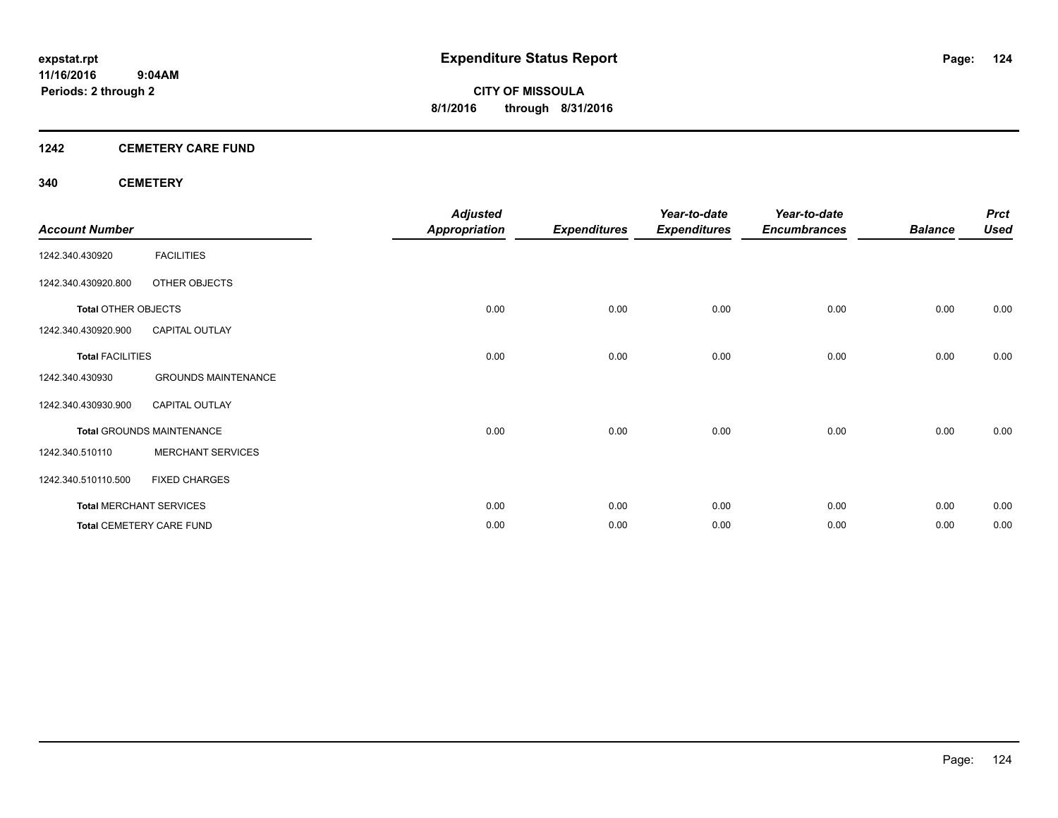# **1242 CEMETERY CARE FUND**

#### **340 CEMETERY**

| <b>Account Number</b>      |                                  | <b>Adjusted</b><br><b>Appropriation</b> | <b>Expenditures</b> | Year-to-date<br><b>Expenditures</b> | Year-to-date<br><b>Encumbrances</b> | <b>Balance</b> | <b>Prct</b><br><b>Used</b> |
|----------------------------|----------------------------------|-----------------------------------------|---------------------|-------------------------------------|-------------------------------------|----------------|----------------------------|
| 1242.340.430920            | <b>FACILITIES</b>                |                                         |                     |                                     |                                     |                |                            |
| 1242.340.430920.800        | OTHER OBJECTS                    |                                         |                     |                                     |                                     |                |                            |
| <b>Total OTHER OBJECTS</b> |                                  | 0.00                                    | 0.00                | 0.00                                | 0.00                                | 0.00           | 0.00                       |
| 1242.340.430920.900        | <b>CAPITAL OUTLAY</b>            |                                         |                     |                                     |                                     |                |                            |
| <b>Total FACILITIES</b>    |                                  | 0.00                                    | 0.00                | 0.00                                | 0.00                                | 0.00           | 0.00                       |
| 1242.340.430930            | <b>GROUNDS MAINTENANCE</b>       |                                         |                     |                                     |                                     |                |                            |
| 1242.340.430930.900        | <b>CAPITAL OUTLAY</b>            |                                         |                     |                                     |                                     |                |                            |
|                            | <b>Total GROUNDS MAINTENANCE</b> | 0.00                                    | 0.00                | 0.00                                | 0.00                                | 0.00           | 0.00                       |
| 1242.340.510110            | <b>MERCHANT SERVICES</b>         |                                         |                     |                                     |                                     |                |                            |
| 1242.340.510110.500        | <b>FIXED CHARGES</b>             |                                         |                     |                                     |                                     |                |                            |
|                            | <b>Total MERCHANT SERVICES</b>   | 0.00                                    | 0.00                | 0.00                                | 0.00                                | 0.00           | 0.00                       |
|                            | <b>Total CEMETERY CARE FUND</b>  | 0.00                                    | 0.00                | 0.00                                | 0.00                                | 0.00           | 0.00                       |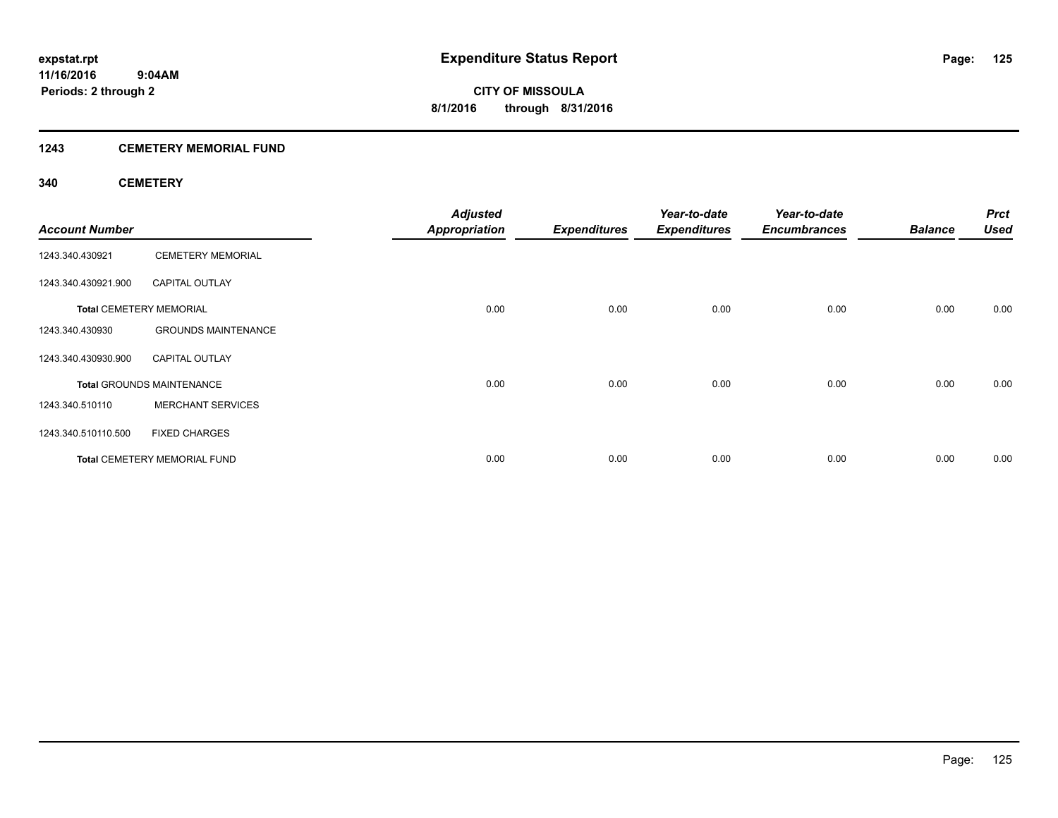## **1243 CEMETERY MEMORIAL FUND**

#### **340 CEMETERY**

| <b>Account Number</b> |                                     | <b>Adjusted</b><br><b>Appropriation</b> | <b>Expenditures</b> | Year-to-date<br><b>Expenditures</b> | Year-to-date<br><b>Encumbrances</b> | <b>Balance</b> | <b>Prct</b><br><b>Used</b> |
|-----------------------|-------------------------------------|-----------------------------------------|---------------------|-------------------------------------|-------------------------------------|----------------|----------------------------|
| 1243.340.430921       | <b>CEMETERY MEMORIAL</b>            |                                         |                     |                                     |                                     |                |                            |
| 1243.340.430921.900   | <b>CAPITAL OUTLAY</b>               |                                         |                     |                                     |                                     |                |                            |
|                       | <b>Total CEMETERY MEMORIAL</b>      | 0.00                                    | 0.00                | 0.00                                | 0.00                                | 0.00           | 0.00                       |
| 1243.340.430930       | <b>GROUNDS MAINTENANCE</b>          |                                         |                     |                                     |                                     |                |                            |
| 1243.340.430930.900   | <b>CAPITAL OUTLAY</b>               |                                         |                     |                                     |                                     |                |                            |
|                       | <b>Total GROUNDS MAINTENANCE</b>    | 0.00                                    | 0.00                | 0.00                                | 0.00                                | 0.00           | 0.00                       |
| 1243.340.510110       | <b>MERCHANT SERVICES</b>            |                                         |                     |                                     |                                     |                |                            |
| 1243.340.510110.500   | <b>FIXED CHARGES</b>                |                                         |                     |                                     |                                     |                |                            |
|                       | <b>Total CEMETERY MEMORIAL FUND</b> | 0.00                                    | 0.00                | 0.00                                | 0.00                                | 0.00           | 0.00                       |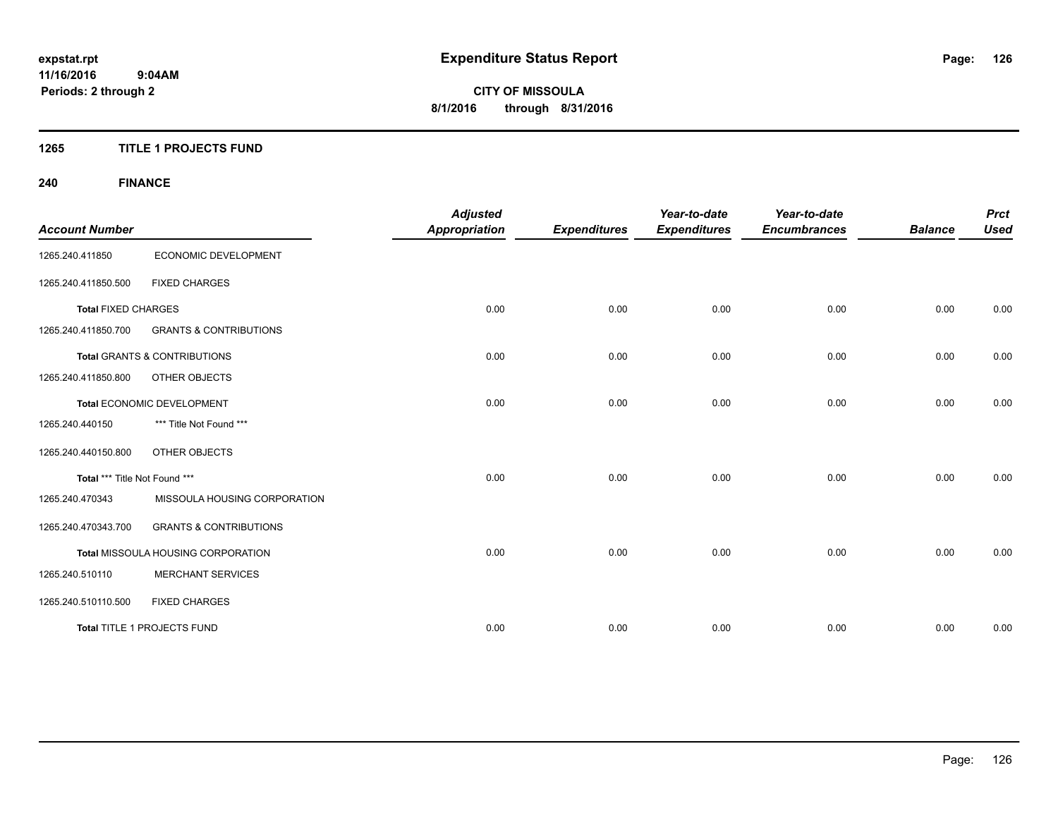#### **1265 TITLE 1 PROJECTS FUND**

# **240 FINANCE**

| <b>Account Number</b>         |                                         | <b>Adjusted</b><br><b>Appropriation</b> | <b>Expenditures</b> | Year-to-date<br><b>Expenditures</b> | Year-to-date<br><b>Encumbrances</b> | <b>Balance</b> | <b>Prct</b><br><b>Used</b> |
|-------------------------------|-----------------------------------------|-----------------------------------------|---------------------|-------------------------------------|-------------------------------------|----------------|----------------------------|
| 1265.240.411850               | ECONOMIC DEVELOPMENT                    |                                         |                     |                                     |                                     |                |                            |
| 1265.240.411850.500           | <b>FIXED CHARGES</b>                    |                                         |                     |                                     |                                     |                |                            |
| <b>Total FIXED CHARGES</b>    |                                         | 0.00                                    | 0.00                | 0.00                                | 0.00                                | 0.00           | 0.00                       |
| 1265.240.411850.700           | <b>GRANTS &amp; CONTRIBUTIONS</b>       |                                         |                     |                                     |                                     |                |                            |
|                               | <b>Total GRANTS &amp; CONTRIBUTIONS</b> | 0.00                                    | 0.00                | 0.00                                | 0.00                                | 0.00           | 0.00                       |
| 1265.240.411850.800           | <b>OTHER OBJECTS</b>                    |                                         |                     |                                     |                                     |                |                            |
|                               | Total ECONOMIC DEVELOPMENT              | 0.00                                    | 0.00                | 0.00                                | 0.00                                | 0.00           | 0.00                       |
| 1265.240.440150               | *** Title Not Found ***                 |                                         |                     |                                     |                                     |                |                            |
| 1265.240.440150.800           | OTHER OBJECTS                           |                                         |                     |                                     |                                     |                |                            |
| Total *** Title Not Found *** |                                         | 0.00                                    | 0.00                | 0.00                                | 0.00                                | 0.00           | 0.00                       |
| 1265.240.470343               | MISSOULA HOUSING CORPORATION            |                                         |                     |                                     |                                     |                |                            |
| 1265.240.470343.700           | <b>GRANTS &amp; CONTRIBUTIONS</b>       |                                         |                     |                                     |                                     |                |                            |
|                               | Total MISSOULA HOUSING CORPORATION      | 0.00                                    | 0.00                | 0.00                                | 0.00                                | 0.00           | 0.00                       |
| 1265.240.510110               | <b>MERCHANT SERVICES</b>                |                                         |                     |                                     |                                     |                |                            |
| 1265.240.510110.500           | <b>FIXED CHARGES</b>                    |                                         |                     |                                     |                                     |                |                            |
|                               | Total TITLE 1 PROJECTS FUND             | 0.00                                    | 0.00                | 0.00                                | 0.00                                | 0.00           | 0.00                       |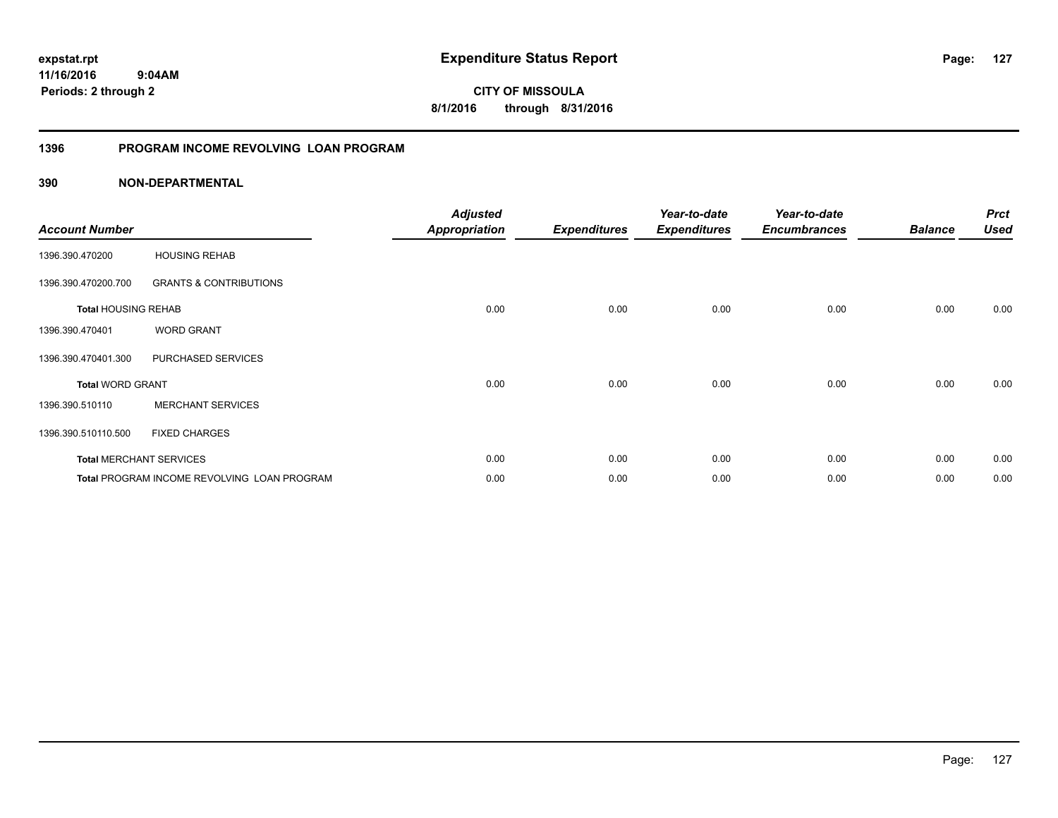**11/16/2016 9:04AM Periods: 2 through 2**

**CITY OF MISSOULA 8/1/2016 through 8/31/2016**

## **1396 PROGRAM INCOME REVOLVING LOAN PROGRAM**

| <b>Account Number</b>      |                                                    | <b>Adjusted</b><br><b>Appropriation</b> | <b>Expenditures</b> | Year-to-date<br><b>Expenditures</b> | Year-to-date<br><b>Encumbrances</b> | <b>Balance</b> | <b>Prct</b><br><b>Used</b> |
|----------------------------|----------------------------------------------------|-----------------------------------------|---------------------|-------------------------------------|-------------------------------------|----------------|----------------------------|
| 1396.390.470200            | <b>HOUSING REHAB</b>                               |                                         |                     |                                     |                                     |                |                            |
| 1396.390.470200.700        | <b>GRANTS &amp; CONTRIBUTIONS</b>                  |                                         |                     |                                     |                                     |                |                            |
| <b>Total HOUSING REHAB</b> |                                                    | 0.00                                    | 0.00                | 0.00                                | 0.00                                | 0.00           | 0.00                       |
| 1396.390.470401            | <b>WORD GRANT</b>                                  |                                         |                     |                                     |                                     |                |                            |
| 1396.390.470401.300        | PURCHASED SERVICES                                 |                                         |                     |                                     |                                     |                |                            |
| <b>Total WORD GRANT</b>    |                                                    | 0.00                                    | 0.00                | 0.00                                | 0.00                                | 0.00           | 0.00                       |
| 1396.390.510110            | <b>MERCHANT SERVICES</b>                           |                                         |                     |                                     |                                     |                |                            |
| 1396.390.510110.500        | <b>FIXED CHARGES</b>                               |                                         |                     |                                     |                                     |                |                            |
|                            | <b>Total MERCHANT SERVICES</b>                     | 0.00                                    | 0.00                | 0.00                                | 0.00                                | 0.00           | 0.00                       |
|                            | <b>Total PROGRAM INCOME REVOLVING LOAN PROGRAM</b> | 0.00                                    | 0.00                | 0.00                                | 0.00                                | 0.00           | 0.00                       |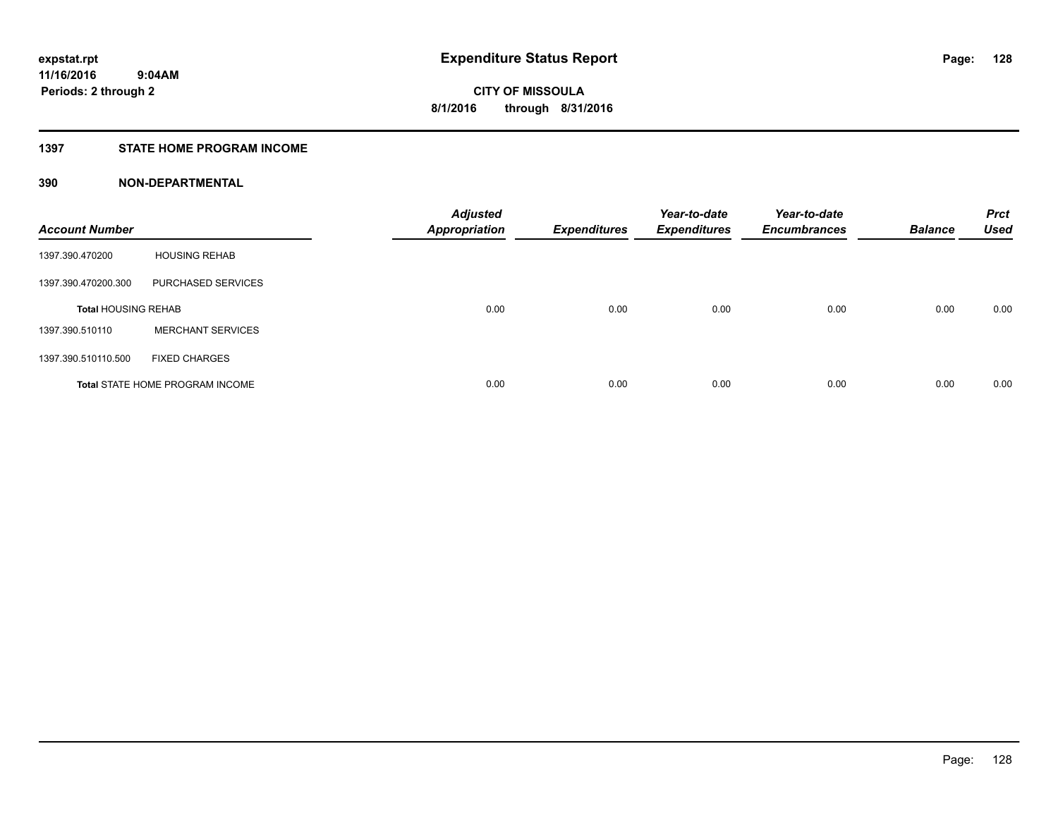## **1397 STATE HOME PROGRAM INCOME**

| <b>Account Number</b>      |                                        | <b>Adjusted</b><br><b>Appropriation</b> | <b>Expenditures</b> | Year-to-date<br><b>Expenditures</b> | Year-to-date<br><b>Encumbrances</b> | <b>Balance</b> | <b>Prct</b><br><b>Used</b> |
|----------------------------|----------------------------------------|-----------------------------------------|---------------------|-------------------------------------|-------------------------------------|----------------|----------------------------|
| 1397.390.470200            | <b>HOUSING REHAB</b>                   |                                         |                     |                                     |                                     |                |                            |
| 1397.390.470200.300        | PURCHASED SERVICES                     |                                         |                     |                                     |                                     |                |                            |
| <b>Total HOUSING REHAB</b> |                                        | 0.00                                    | 0.00                | 0.00                                | 0.00                                | 0.00           | 0.00                       |
| 1397.390.510110            | <b>MERCHANT SERVICES</b>               |                                         |                     |                                     |                                     |                |                            |
| 1397.390.510110.500        | <b>FIXED CHARGES</b>                   |                                         |                     |                                     |                                     |                |                            |
|                            | <b>Total STATE HOME PROGRAM INCOME</b> | 0.00                                    | 0.00                | 0.00                                | 0.00                                | 0.00           | 0.00                       |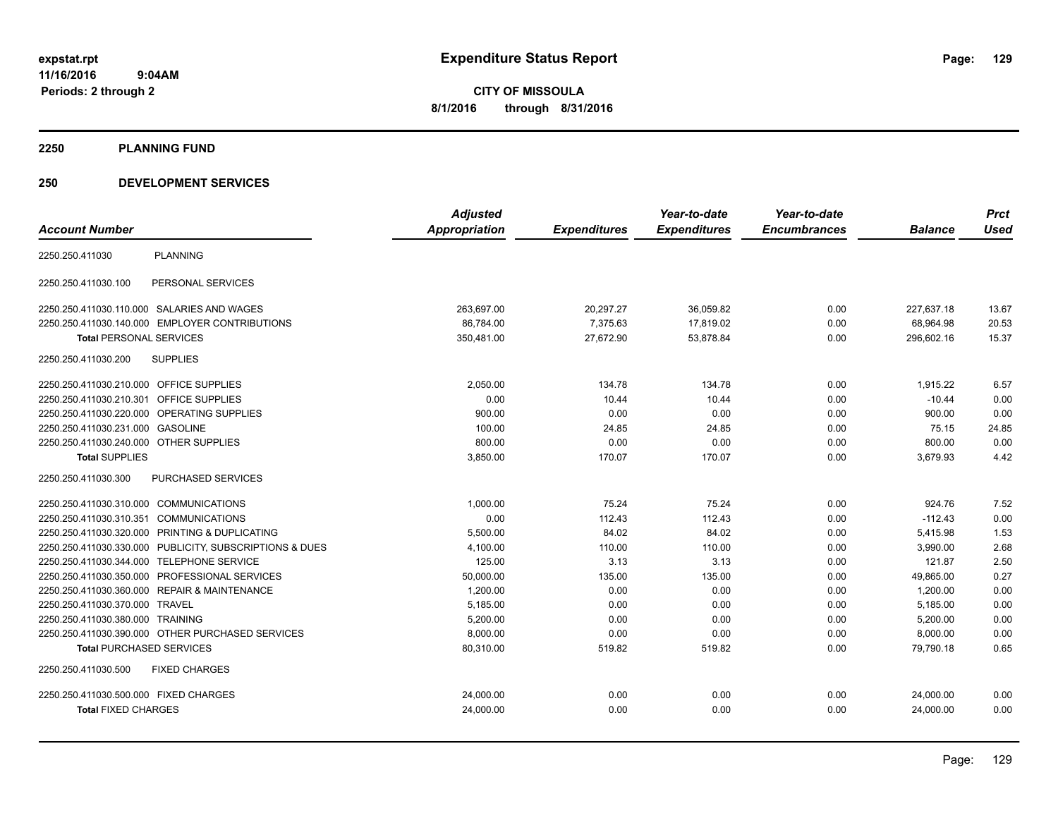**11/16/2016 9:04AM Periods: 2 through 2**

**CITY OF MISSOULA 8/1/2016 through 8/31/2016**

#### **2250 PLANNING FUND**

#### **250 DEVELOPMENT SERVICES**

|                                                         | <b>Adjusted</b> |                     | Year-to-date        | Year-to-date        |                | <b>Prct</b> |
|---------------------------------------------------------|-----------------|---------------------|---------------------|---------------------|----------------|-------------|
| <b>Account Number</b>                                   | Appropriation   | <b>Expenditures</b> | <b>Expenditures</b> | <b>Encumbrances</b> | <b>Balance</b> | <b>Used</b> |
| <b>PLANNING</b><br>2250.250.411030                      |                 |                     |                     |                     |                |             |
| 2250.250.411030.100<br>PERSONAL SERVICES                |                 |                     |                     |                     |                |             |
| 2250.250.411030.110.000 SALARIES AND WAGES              | 263,697.00      | 20,297.27           | 36,059.82           | 0.00                | 227,637.18     | 13.67       |
| 2250.250.411030.140.000 EMPLOYER CONTRIBUTIONS          | 86,784.00       | 7,375.63            | 17,819.02           | 0.00                | 68,964.98      | 20.53       |
| <b>Total PERSONAL SERVICES</b>                          | 350,481.00      | 27,672.90           | 53,878.84           | 0.00                | 296,602.16     | 15.37       |
| <b>SUPPLIES</b><br>2250.250.411030.200                  |                 |                     |                     |                     |                |             |
| 2250.250.411030.210.000 OFFICE SUPPLIES                 | 2,050.00        | 134.78              | 134.78              | 0.00                | 1,915.22       | 6.57        |
| 2250.250.411030.210.301 OFFICE SUPPLIES                 | 0.00            | 10.44               | 10.44               | 0.00                | $-10.44$       | 0.00        |
| 2250.250.411030.220.000 OPERATING SUPPLIES              | 900.00          | 0.00                | 0.00                | 0.00                | 900.00         | 0.00        |
| 2250.250.411030.231.000 GASOLINE                        | 100.00          | 24.85               | 24.85               | 0.00                | 75.15          | 24.85       |
| 2250.250.411030.240.000 OTHER SUPPLIES                  | 800.00          | 0.00                | 0.00                | 0.00                | 800.00         | 0.00        |
| <b>Total SUPPLIES</b>                                   | 3,850.00        | 170.07              | 170.07              | 0.00                | 3,679.93       | 4.42        |
| <b>PURCHASED SERVICES</b><br>2250.250.411030.300        |                 |                     |                     |                     |                |             |
| 2250.250.411030.310.000 COMMUNICATIONS                  | 1,000.00        | 75.24               | 75.24               | 0.00                | 924.76         | 7.52        |
| 2250.250.411030.310.351 COMMUNICATIONS                  | 0.00            | 112.43              | 112.43              | 0.00                | $-112.43$      | 0.00        |
| 2250.250.411030.320.000 PRINTING & DUPLICATING          | 5,500.00        | 84.02               | 84.02               | 0.00                | 5,415.98       | 1.53        |
| 2250.250.411030.330.000 PUBLICITY, SUBSCRIPTIONS & DUES | 4,100.00        | 110.00              | 110.00              | 0.00                | 3,990.00       | 2.68        |
| 2250.250.411030.344.000 TELEPHONE SERVICE               | 125.00          | 3.13                | 3.13                | 0.00                | 121.87         | 2.50        |
| 2250.250.411030.350.000 PROFESSIONAL SERVICES           | 50,000.00       | 135.00              | 135.00              | 0.00                | 49,865.00      | 0.27        |
| 2250.250.411030.360.000 REPAIR & MAINTENANCE            | 1,200.00        | 0.00                | 0.00                | 0.00                | 1,200.00       | 0.00        |
| 2250.250.411030.370.000 TRAVEL                          | 5,185.00        | 0.00                | 0.00                | 0.00                | 5,185.00       | 0.00        |
| 2250.250.411030.380.000 TRAINING                        | 5,200.00        | 0.00                | 0.00                | 0.00                | 5,200.00       | 0.00        |
| 2250.250.411030.390.000 OTHER PURCHASED SERVICES        | 8,000.00        | 0.00                | 0.00                | 0.00                | 8,000.00       | 0.00        |
| <b>Total PURCHASED SERVICES</b>                         | 80,310.00       | 519.82              | 519.82              | 0.00                | 79.790.18      | 0.65        |
| 2250.250.411030.500<br><b>FIXED CHARGES</b>             |                 |                     |                     |                     |                |             |
| 2250.250.411030.500.000 FIXED CHARGES                   | 24,000.00       | 0.00                | 0.00                | 0.00                | 24,000.00      | 0.00        |
| <b>Total FIXED CHARGES</b>                              | 24,000.00       | 0.00                | 0.00                | 0.00                | 24,000.00      | 0.00        |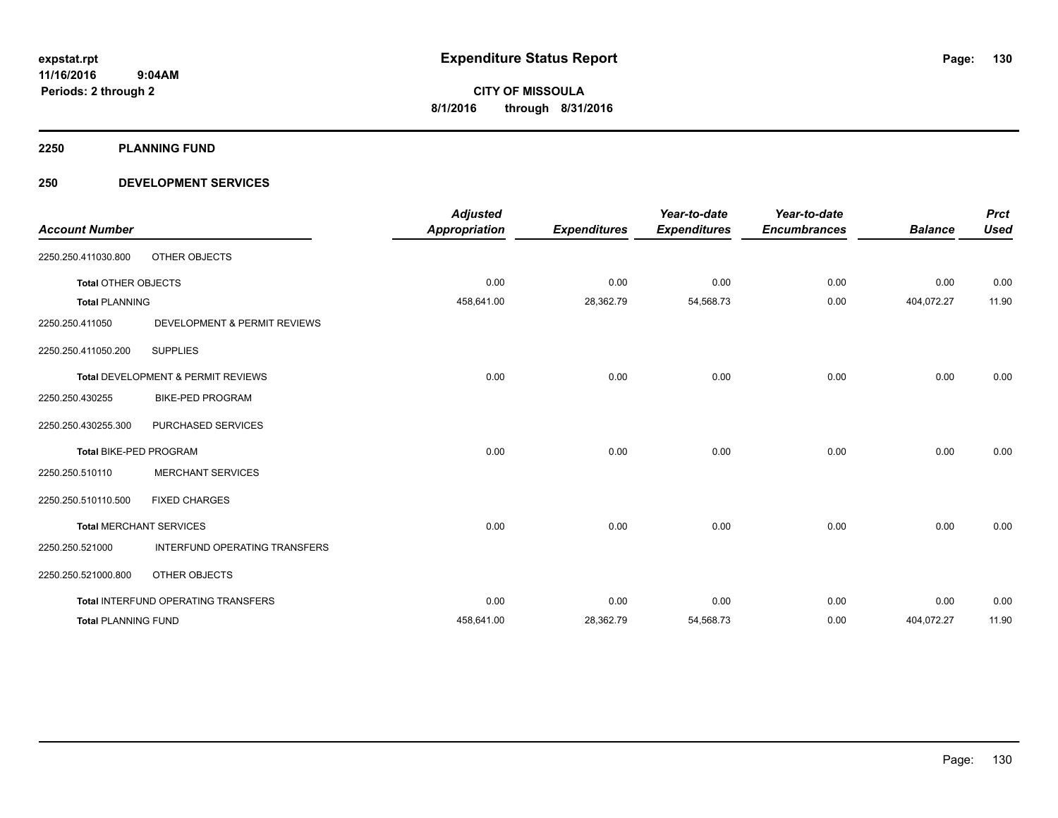**2250 PLANNING FUND**

#### **250 DEVELOPMENT SERVICES**

| <b>Account Number</b>         |                                     | <b>Adjusted</b><br><b>Appropriation</b> | <b>Expenditures</b> | Year-to-date<br><b>Expenditures</b> | Year-to-date<br><b>Encumbrances</b> | <b>Balance</b> | <b>Prct</b><br><b>Used</b> |
|-------------------------------|-------------------------------------|-----------------------------------------|---------------------|-------------------------------------|-------------------------------------|----------------|----------------------------|
| 2250.250.411030.800           | OTHER OBJECTS                       |                                         |                     |                                     |                                     |                |                            |
| <b>Total OTHER OBJECTS</b>    |                                     | 0.00                                    | 0.00                | 0.00                                | 0.00                                | 0.00           | 0.00                       |
| <b>Total PLANNING</b>         |                                     | 458,641.00                              | 28,362.79           | 54,568.73                           | 0.00                                | 404,072.27     | 11.90                      |
| 2250.250.411050               | DEVELOPMENT & PERMIT REVIEWS        |                                         |                     |                                     |                                     |                |                            |
| 2250.250.411050.200           | <b>SUPPLIES</b>                     |                                         |                     |                                     |                                     |                |                            |
|                               | Total DEVELOPMENT & PERMIT REVIEWS  | 0.00                                    | 0.00                | 0.00                                | 0.00                                | 0.00           | 0.00                       |
| 2250.250.430255               | <b>BIKE-PED PROGRAM</b>             |                                         |                     |                                     |                                     |                |                            |
| 2250.250.430255.300           | PURCHASED SERVICES                  |                                         |                     |                                     |                                     |                |                            |
| <b>Total BIKE-PED PROGRAM</b> |                                     | 0.00                                    | 0.00                | 0.00                                | 0.00                                | 0.00           | 0.00                       |
| 2250.250.510110               | <b>MERCHANT SERVICES</b>            |                                         |                     |                                     |                                     |                |                            |
| 2250.250.510110.500           | <b>FIXED CHARGES</b>                |                                         |                     |                                     |                                     |                |                            |
|                               | <b>Total MERCHANT SERVICES</b>      | 0.00                                    | 0.00                | 0.00                                | 0.00                                | 0.00           | 0.00                       |
| 2250.250.521000               | INTERFUND OPERATING TRANSFERS       |                                         |                     |                                     |                                     |                |                            |
| 2250.250.521000.800           | OTHER OBJECTS                       |                                         |                     |                                     |                                     |                |                            |
|                               | Total INTERFUND OPERATING TRANSFERS | 0.00                                    | 0.00                | 0.00                                | 0.00                                | 0.00           | 0.00                       |
| <b>Total PLANNING FUND</b>    |                                     | 458,641.00                              | 28,362.79           | 54,568.73                           | 0.00                                | 404,072.27     | 11.90                      |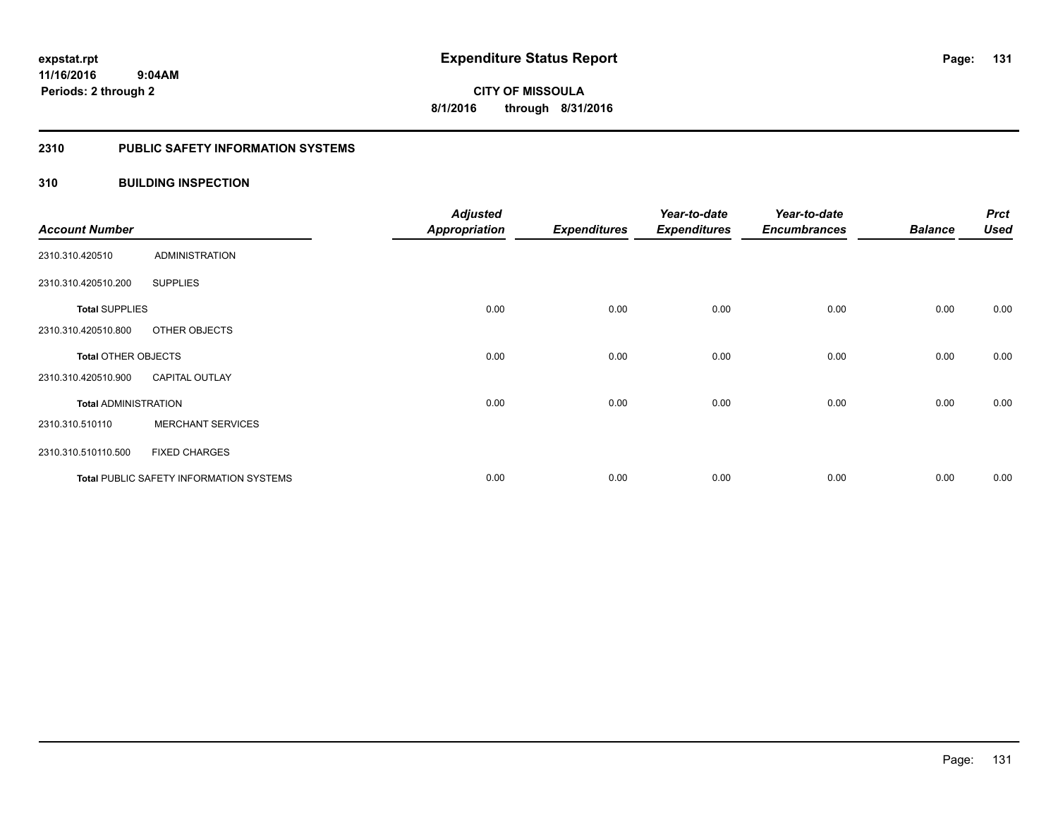#### **2310 PUBLIC SAFETY INFORMATION SYSTEMS**

#### **310 BUILDING INSPECTION**

| <b>Account Number</b>       |                                                | <b>Adjusted</b><br><b>Appropriation</b> | <b>Expenditures</b> | Year-to-date<br><b>Expenditures</b> | Year-to-date<br><b>Encumbrances</b> | <b>Balance</b> | <b>Prct</b><br><b>Used</b> |
|-----------------------------|------------------------------------------------|-----------------------------------------|---------------------|-------------------------------------|-------------------------------------|----------------|----------------------------|
| 2310.310.420510             | <b>ADMINISTRATION</b>                          |                                         |                     |                                     |                                     |                |                            |
| 2310.310.420510.200         | <b>SUPPLIES</b>                                |                                         |                     |                                     |                                     |                |                            |
| <b>Total SUPPLIES</b>       |                                                | 0.00                                    | 0.00                | 0.00                                | 0.00                                | 0.00           | 0.00                       |
| 2310.310.420510.800         | OTHER OBJECTS                                  |                                         |                     |                                     |                                     |                |                            |
| <b>Total OTHER OBJECTS</b>  |                                                | 0.00                                    | 0.00                | 0.00                                | 0.00                                | 0.00           | 0.00                       |
| 2310.310.420510.900         | <b>CAPITAL OUTLAY</b>                          |                                         |                     |                                     |                                     |                |                            |
| <b>Total ADMINISTRATION</b> |                                                | 0.00                                    | 0.00                | 0.00                                | 0.00                                | 0.00           | 0.00                       |
| 2310.310.510110             | <b>MERCHANT SERVICES</b>                       |                                         |                     |                                     |                                     |                |                            |
| 2310.310.510110.500         | <b>FIXED CHARGES</b>                           |                                         |                     |                                     |                                     |                |                            |
|                             | <b>Total PUBLIC SAFETY INFORMATION SYSTEMS</b> | 0.00                                    | 0.00                | 0.00                                | 0.00                                | 0.00           | 0.00                       |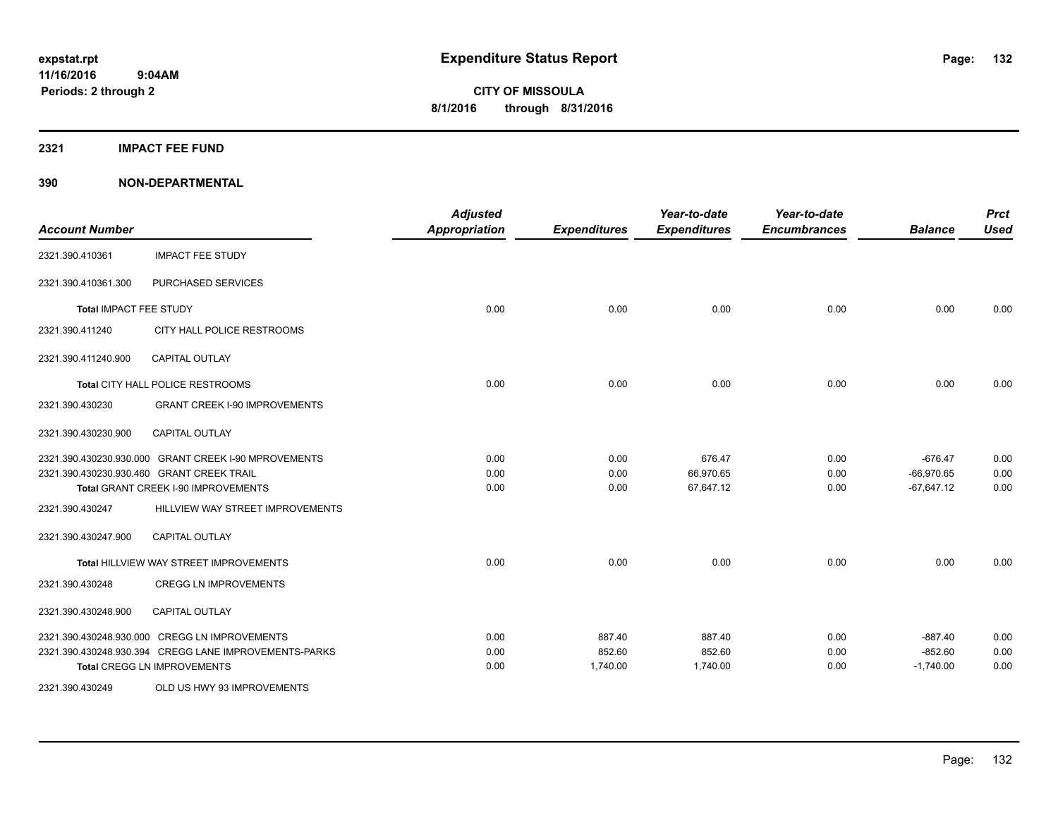## **2321 IMPACT FEE FUND**

| <b>Account Number</b>  |                                                       | <b>Adjusted</b><br><b>Appropriation</b> | <b>Expenditures</b> | Year-to-date<br><b>Expenditures</b> | Year-to-date<br><b>Encumbrances</b> | <b>Balance</b> | <b>Prct</b><br><b>Used</b> |
|------------------------|-------------------------------------------------------|-----------------------------------------|---------------------|-------------------------------------|-------------------------------------|----------------|----------------------------|
| 2321.390.410361        | <b>IMPACT FEE STUDY</b>                               |                                         |                     |                                     |                                     |                |                            |
| 2321.390.410361.300    | PURCHASED SERVICES                                    |                                         |                     |                                     |                                     |                |                            |
| Total IMPACT FEE STUDY |                                                       | 0.00                                    | 0.00                | 0.00                                | 0.00                                | 0.00           | 0.00                       |
| 2321.390.411240        | CITY HALL POLICE RESTROOMS                            |                                         |                     |                                     |                                     |                |                            |
| 2321.390.411240.900    | <b>CAPITAL OUTLAY</b>                                 |                                         |                     |                                     |                                     |                |                            |
|                        | Total CITY HALL POLICE RESTROOMS                      | 0.00                                    | 0.00                | 0.00                                | 0.00                                | 0.00           | 0.00                       |
| 2321.390.430230        | <b>GRANT CREEK I-90 IMPROVEMENTS</b>                  |                                         |                     |                                     |                                     |                |                            |
| 2321.390.430230.900    | <b>CAPITAL OUTLAY</b>                                 |                                         |                     |                                     |                                     |                |                            |
|                        | 2321.390.430230.930.000 GRANT CREEK I-90 MPROVEMENTS  | 0.00                                    | 0.00                | 676.47                              | 0.00                                | $-676.47$      | 0.00                       |
|                        | 2321.390.430230.930.460 GRANT CREEK TRAIL             | 0.00                                    | 0.00                | 66,970.65                           | 0.00                                | $-66,970.65$   | 0.00                       |
|                        | Total GRANT CREEK I-90 IMPROVEMENTS                   | 0.00                                    | 0.00                | 67,647.12                           | 0.00                                | $-67,647.12$   | 0.00                       |
| 2321.390.430247        | HILLVIEW WAY STREET IMPROVEMENTS                      |                                         |                     |                                     |                                     |                |                            |
| 2321.390.430247.900    | CAPITAL OUTLAY                                        |                                         |                     |                                     |                                     |                |                            |
|                        | Total HILLVIEW WAY STREET IMPROVEMENTS                | 0.00                                    | 0.00                | 0.00                                | 0.00                                | 0.00           | 0.00                       |
| 2321.390.430248        | <b>CREGG LN IMPROVEMENTS</b>                          |                                         |                     |                                     |                                     |                |                            |
| 2321.390.430248.900    | <b>CAPITAL OUTLAY</b>                                 |                                         |                     |                                     |                                     |                |                            |
|                        | 2321.390.430248.930.000 CREGG LN IMPROVEMENTS         | 0.00                                    | 887.40              | 887.40                              | 0.00                                | $-887.40$      | 0.00                       |
|                        | 2321.390.430248.930.394 CREGG LANE IMPROVEMENTS-PARKS | 0.00                                    | 852.60              | 852.60                              | 0.00                                | $-852.60$      | 0.00                       |
|                        | <b>Total CREGG LN IMPROVEMENTS</b>                    | 0.00                                    | 1,740.00            | 1,740.00                            | 0.00                                | $-1,740.00$    | 0.00                       |
| 2321.390.430249        | OLD US HWY 93 IMPROVEMENTS                            |                                         |                     |                                     |                                     |                |                            |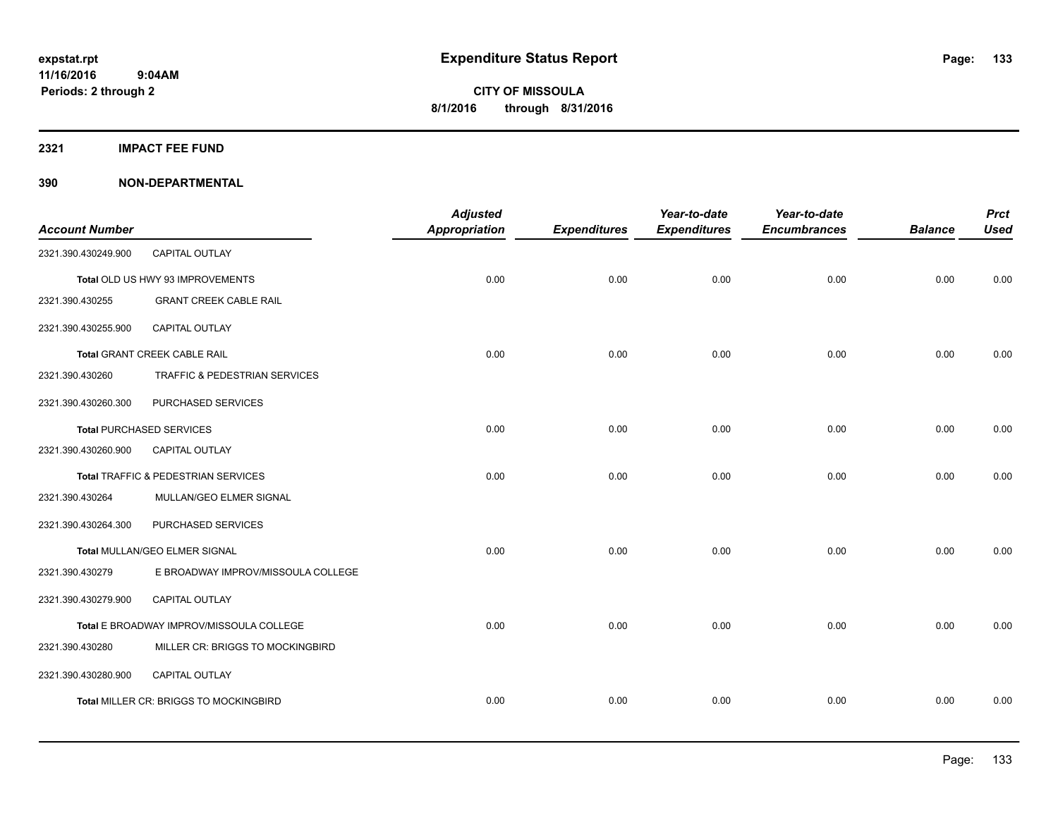**2321 IMPACT FEE FUND**

| <b>Account Number</b> |                                          | <b>Adjusted</b><br>Appropriation | <b>Expenditures</b> | Year-to-date<br><b>Expenditures</b> | Year-to-date<br><b>Encumbrances</b> | <b>Balance</b> | <b>Prct</b><br><b>Used</b> |
|-----------------------|------------------------------------------|----------------------------------|---------------------|-------------------------------------|-------------------------------------|----------------|----------------------------|
| 2321.390.430249.900   | CAPITAL OUTLAY                           |                                  |                     |                                     |                                     |                |                            |
|                       | Total OLD US HWY 93 IMPROVEMENTS         | 0.00                             | 0.00                | 0.00                                | 0.00                                | 0.00           | 0.00                       |
| 2321.390.430255       | <b>GRANT CREEK CABLE RAIL</b>            |                                  |                     |                                     |                                     |                |                            |
| 2321.390.430255.900   | <b>CAPITAL OUTLAY</b>                    |                                  |                     |                                     |                                     |                |                            |
|                       | Total GRANT CREEK CABLE RAIL             | 0.00                             | 0.00                | 0.00                                | 0.00                                | 0.00           | 0.00                       |
| 2321.390.430260       | TRAFFIC & PEDESTRIAN SERVICES            |                                  |                     |                                     |                                     |                |                            |
| 2321.390.430260.300   | PURCHASED SERVICES                       |                                  |                     |                                     |                                     |                |                            |
|                       | <b>Total PURCHASED SERVICES</b>          | 0.00                             | 0.00                | 0.00                                | 0.00                                | 0.00           | 0.00                       |
| 2321.390.430260.900   | <b>CAPITAL OUTLAY</b>                    |                                  |                     |                                     |                                     |                |                            |
|                       | Total TRAFFIC & PEDESTRIAN SERVICES      | 0.00                             | 0.00                | 0.00                                | 0.00                                | 0.00           | 0.00                       |
| 2321.390.430264       | MULLAN/GEO ELMER SIGNAL                  |                                  |                     |                                     |                                     |                |                            |
| 2321.390.430264.300   | PURCHASED SERVICES                       |                                  |                     |                                     |                                     |                |                            |
|                       | Total MULLAN/GEO ELMER SIGNAL            | 0.00                             | 0.00                | 0.00                                | 0.00                                | 0.00           | 0.00                       |
| 2321.390.430279       | E BROADWAY IMPROV/MISSOULA COLLEGE       |                                  |                     |                                     |                                     |                |                            |
| 2321.390.430279.900   | <b>CAPITAL OUTLAY</b>                    |                                  |                     |                                     |                                     |                |                            |
|                       | Total E BROADWAY IMPROV/MISSOULA COLLEGE | 0.00                             | 0.00                | 0.00                                | 0.00                                | 0.00           | 0.00                       |
| 2321.390.430280       | MILLER CR: BRIGGS TO MOCKINGBIRD         |                                  |                     |                                     |                                     |                |                            |
| 2321.390.430280.900   | CAPITAL OUTLAY                           |                                  |                     |                                     |                                     |                |                            |
|                       | Total MILLER CR: BRIGGS TO MOCKINGBIRD   | 0.00                             | 0.00                | 0.00                                | 0.00                                | 0.00           | 0.00                       |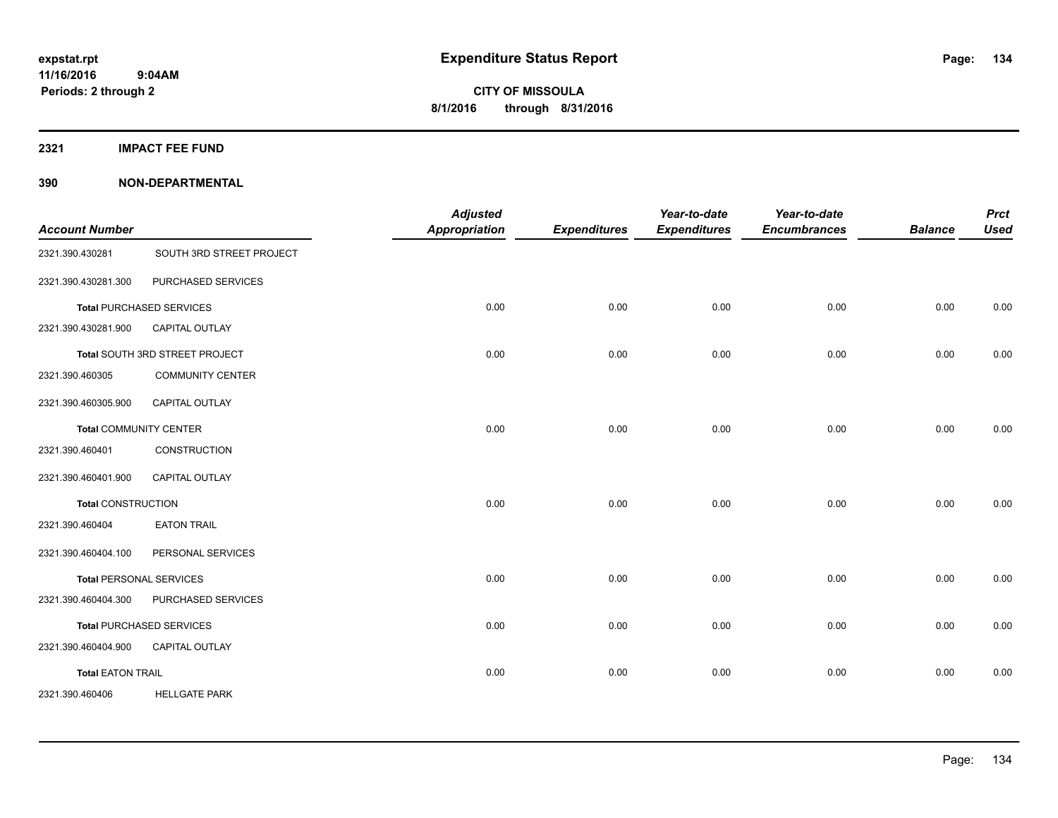**2321 IMPACT FEE FUND**

| <b>Account Number</b>          |                                 | <b>Adjusted</b><br><b>Appropriation</b> | <b>Expenditures</b> | Year-to-date<br><b>Expenditures</b> | Year-to-date<br><b>Encumbrances</b> | <b>Balance</b> | <b>Prct</b><br><b>Used</b> |
|--------------------------------|---------------------------------|-----------------------------------------|---------------------|-------------------------------------|-------------------------------------|----------------|----------------------------|
| 2321.390.430281                | SOUTH 3RD STREET PROJECT        |                                         |                     |                                     |                                     |                |                            |
| 2321.390.430281.300            | PURCHASED SERVICES              |                                         |                     |                                     |                                     |                |                            |
|                                | <b>Total PURCHASED SERVICES</b> | 0.00                                    | 0.00                | 0.00                                | 0.00                                | 0.00           | 0.00                       |
| 2321.390.430281.900            | <b>CAPITAL OUTLAY</b>           |                                         |                     |                                     |                                     |                |                            |
|                                | Total SOUTH 3RD STREET PROJECT  | 0.00                                    | 0.00                | 0.00                                | 0.00                                | 0.00           | 0.00                       |
| 2321.390.460305                | <b>COMMUNITY CENTER</b>         |                                         |                     |                                     |                                     |                |                            |
| 2321.390.460305.900            | CAPITAL OUTLAY                  |                                         |                     |                                     |                                     |                |                            |
| <b>Total COMMUNITY CENTER</b>  |                                 | 0.00                                    | 0.00                | 0.00                                | 0.00                                | 0.00           | 0.00                       |
| 2321.390.460401                | CONSTRUCTION                    |                                         |                     |                                     |                                     |                |                            |
| 2321.390.460401.900            | <b>CAPITAL OUTLAY</b>           |                                         |                     |                                     |                                     |                |                            |
| <b>Total CONSTRUCTION</b>      |                                 | 0.00                                    | 0.00                | 0.00                                | 0.00                                | 0.00           | 0.00                       |
| 2321.390.460404                | <b>EATON TRAIL</b>              |                                         |                     |                                     |                                     |                |                            |
| 2321.390.460404.100            | PERSONAL SERVICES               |                                         |                     |                                     |                                     |                |                            |
| <b>Total PERSONAL SERVICES</b> |                                 | 0.00                                    | 0.00                | 0.00                                | 0.00                                | 0.00           | 0.00                       |
| 2321.390.460404.300            | PURCHASED SERVICES              |                                         |                     |                                     |                                     |                |                            |
|                                | <b>Total PURCHASED SERVICES</b> | 0.00                                    | 0.00                | 0.00                                | 0.00                                | 0.00           | 0.00                       |
| 2321.390.460404.900            | <b>CAPITAL OUTLAY</b>           |                                         |                     |                                     |                                     |                |                            |
| <b>Total EATON TRAIL</b>       |                                 | 0.00                                    | 0.00                | 0.00                                | 0.00                                | 0.00           | 0.00                       |
| 2321.390.460406                | <b>HELLGATE PARK</b>            |                                         |                     |                                     |                                     |                |                            |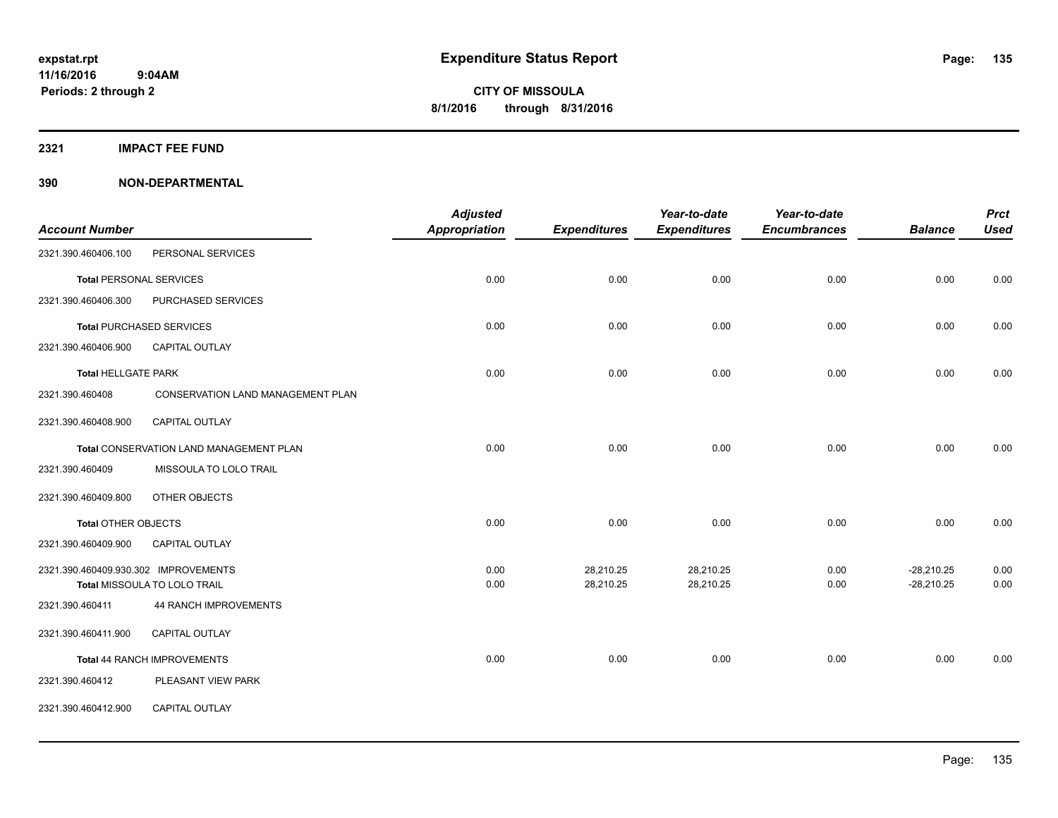**2321 IMPACT FEE FUND**

|                                      |                                         | <b>Adjusted</b> |                     | Year-to-date        | Year-to-date        |                | <b>Prct</b> |
|--------------------------------------|-----------------------------------------|-----------------|---------------------|---------------------|---------------------|----------------|-------------|
| <b>Account Number</b>                |                                         | Appropriation   | <b>Expenditures</b> | <b>Expenditures</b> | <b>Encumbrances</b> | <b>Balance</b> | <b>Used</b> |
| 2321.390.460406.100                  | PERSONAL SERVICES                       |                 |                     |                     |                     |                |             |
| <b>Total PERSONAL SERVICES</b>       |                                         | 0.00            | 0.00                | 0.00                | 0.00                | 0.00           | 0.00        |
| 2321.390.460406.300                  | PURCHASED SERVICES                      |                 |                     |                     |                     |                |             |
|                                      | <b>Total PURCHASED SERVICES</b>         | 0.00            | 0.00                | 0.00                | 0.00                | 0.00           | 0.00        |
| 2321.390.460406.900                  | <b>CAPITAL OUTLAY</b>                   |                 |                     |                     |                     |                |             |
| <b>Total HELLGATE PARK</b>           |                                         | 0.00            | 0.00                | 0.00                | 0.00                | 0.00           | 0.00        |
| 2321.390.460408                      | CONSERVATION LAND MANAGEMENT PLAN       |                 |                     |                     |                     |                |             |
| 2321.390.460408.900                  | CAPITAL OUTLAY                          |                 |                     |                     |                     |                |             |
|                                      | Total CONSERVATION LAND MANAGEMENT PLAN | 0.00            | 0.00                | 0.00                | 0.00                | 0.00           | 0.00        |
| 2321.390.460409                      | MISSOULA TO LOLO TRAIL                  |                 |                     |                     |                     |                |             |
| 2321.390.460409.800                  | OTHER OBJECTS                           |                 |                     |                     |                     |                |             |
| Total OTHER OBJECTS                  |                                         | 0.00            | 0.00                | 0.00                | 0.00                | 0.00           | 0.00        |
| 2321.390.460409.900                  | <b>CAPITAL OUTLAY</b>                   |                 |                     |                     |                     |                |             |
| 2321.390.460409.930.302 IMPROVEMENTS |                                         | 0.00            | 28,210.25           | 28,210.25           | 0.00                | $-28,210.25$   | 0.00        |
|                                      | Total MISSOULA TO LOLO TRAIL            | 0.00            | 28,210.25           | 28,210.25           | 0.00                | $-28,210.25$   | 0.00        |
| 2321.390.460411                      | 44 RANCH IMPROVEMENTS                   |                 |                     |                     |                     |                |             |
| 2321.390.460411.900                  | <b>CAPITAL OUTLAY</b>                   |                 |                     |                     |                     |                |             |
|                                      | Total 44 RANCH IMPROVEMENTS             | 0.00            | 0.00                | 0.00                | 0.00                | 0.00           | 0.00        |
| 2321.390.460412                      | PLEASANT VIEW PARK                      |                 |                     |                     |                     |                |             |
| 2321.390.460412.900                  | <b>CAPITAL OUTLAY</b>                   |                 |                     |                     |                     |                |             |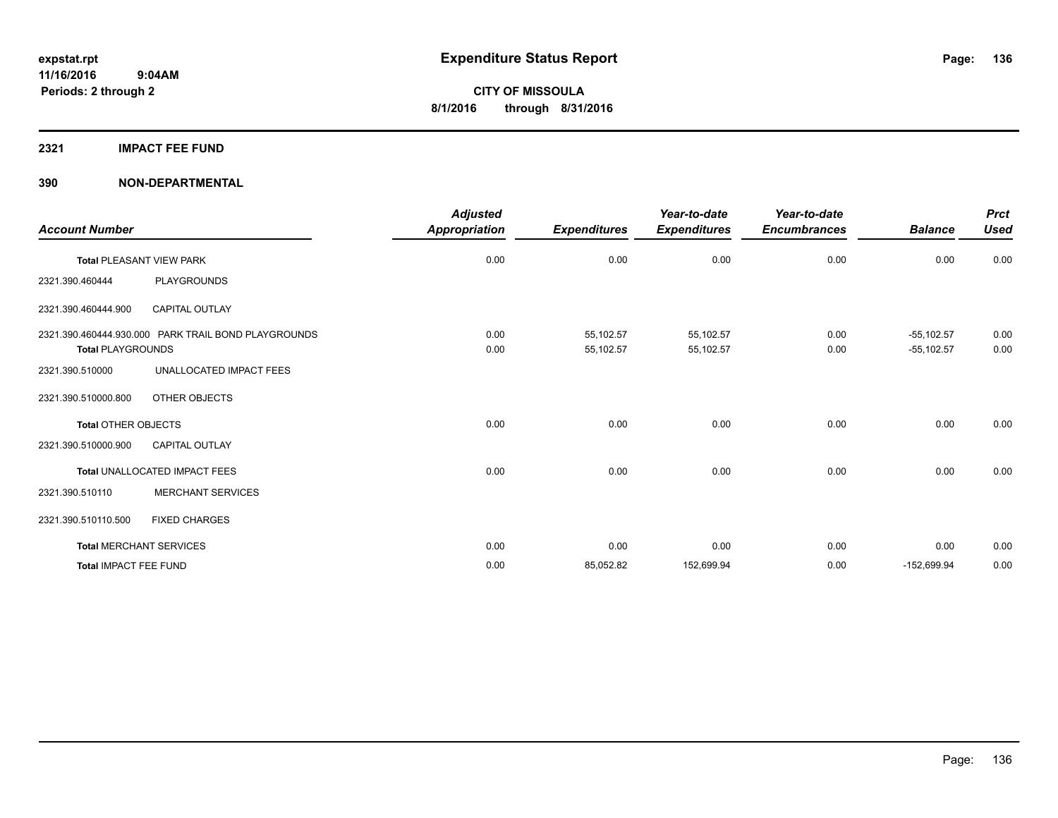## **2321 IMPACT FEE FUND**

| <b>Account Number</b>      |                                                     | <b>Adjusted</b><br><b>Appropriation</b> | <b>Expenditures</b>    | Year-to-date<br><b>Expenditures</b> | Year-to-date<br><b>Encumbrances</b> | <b>Balance</b>                 | <b>Prct</b><br><b>Used</b> |
|----------------------------|-----------------------------------------------------|-----------------------------------------|------------------------|-------------------------------------|-------------------------------------|--------------------------------|----------------------------|
|                            | <b>Total PLEASANT VIEW PARK</b>                     | 0.00                                    | 0.00                   | 0.00                                | 0.00                                | 0.00                           | 0.00                       |
| 2321.390.460444            | PLAYGROUNDS                                         |                                         |                        |                                     |                                     |                                |                            |
| 2321.390.460444.900        | <b>CAPITAL OUTLAY</b>                               |                                         |                        |                                     |                                     |                                |                            |
| <b>Total PLAYGROUNDS</b>   | 2321.390.460444.930.000 PARK TRAIL BOND PLAYGROUNDS | 0.00<br>0.00                            | 55,102.57<br>55,102.57 | 55,102.57<br>55,102.57              | 0.00<br>0.00                        | $-55, 102.57$<br>$-55, 102.57$ | 0.00<br>0.00               |
| 2321.390.510000            | UNALLOCATED IMPACT FEES                             |                                         |                        |                                     |                                     |                                |                            |
| 2321.390.510000.800        | OTHER OBJECTS                                       |                                         |                        |                                     |                                     |                                |                            |
| <b>Total OTHER OBJECTS</b> |                                                     | 0.00                                    | 0.00                   | 0.00                                | 0.00                                | 0.00                           | 0.00                       |
| 2321.390.510000.900        | <b>CAPITAL OUTLAY</b>                               |                                         |                        |                                     |                                     |                                |                            |
|                            | Total UNALLOCATED IMPACT FEES                       | 0.00                                    | 0.00                   | 0.00                                | 0.00                                | 0.00                           | 0.00                       |
| 2321.390.510110            | <b>MERCHANT SERVICES</b>                            |                                         |                        |                                     |                                     |                                |                            |
| 2321.390.510110.500        | <b>FIXED CHARGES</b>                                |                                         |                        |                                     |                                     |                                |                            |
|                            | <b>Total MERCHANT SERVICES</b>                      | 0.00                                    | 0.00                   | 0.00                                | 0.00                                | 0.00                           | 0.00                       |
| Total IMPACT FEE FUND      |                                                     | 0.00                                    | 85,052.82              | 152,699.94                          | 0.00                                | $-152,699.94$                  | 0.00                       |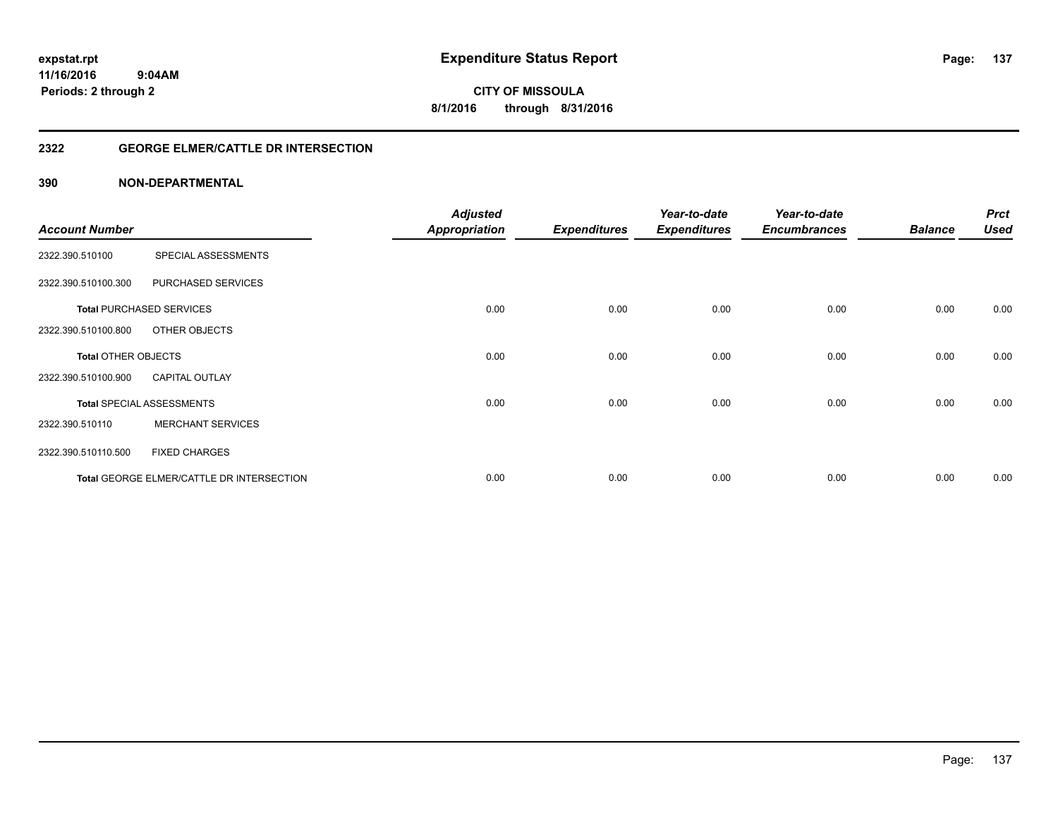# **11/16/2016**

**137**

 **9:04AM Periods: 2 through 2**

**CITY OF MISSOULA 8/1/2016 through 8/31/2016**

#### **2322 GEORGE ELMER/CATTLE DR INTERSECTION**

|                            |                                           | <b>Adjusted</b>      |                     | Year-to-date        | Year-to-date        |                | <b>Prct</b> |
|----------------------------|-------------------------------------------|----------------------|---------------------|---------------------|---------------------|----------------|-------------|
| <b>Account Number</b>      |                                           | <b>Appropriation</b> | <b>Expenditures</b> | <b>Expenditures</b> | <b>Encumbrances</b> | <b>Balance</b> | <b>Used</b> |
| 2322.390.510100            | SPECIAL ASSESSMENTS                       |                      |                     |                     |                     |                |             |
| 2322.390.510100.300        | PURCHASED SERVICES                        |                      |                     |                     |                     |                |             |
|                            | <b>Total PURCHASED SERVICES</b>           | 0.00                 | 0.00                | 0.00                | 0.00                | 0.00           | 0.00        |
| 2322.390.510100.800        | OTHER OBJECTS                             |                      |                     |                     |                     |                |             |
| <b>Total OTHER OBJECTS</b> |                                           | 0.00                 | 0.00                | 0.00                | 0.00                | 0.00           | 0.00        |
| 2322.390.510100.900        | <b>CAPITAL OUTLAY</b>                     |                      |                     |                     |                     |                |             |
|                            | <b>Total SPECIAL ASSESSMENTS</b>          | 0.00                 | 0.00                | 0.00                | 0.00                | 0.00           | 0.00        |
| 2322.390.510110            | <b>MERCHANT SERVICES</b>                  |                      |                     |                     |                     |                |             |
| 2322.390.510110.500        | <b>FIXED CHARGES</b>                      |                      |                     |                     |                     |                |             |
|                            | Total GEORGE ELMER/CATTLE DR INTERSECTION | 0.00                 | 0.00                | 0.00                | 0.00                | 0.00           | 0.00        |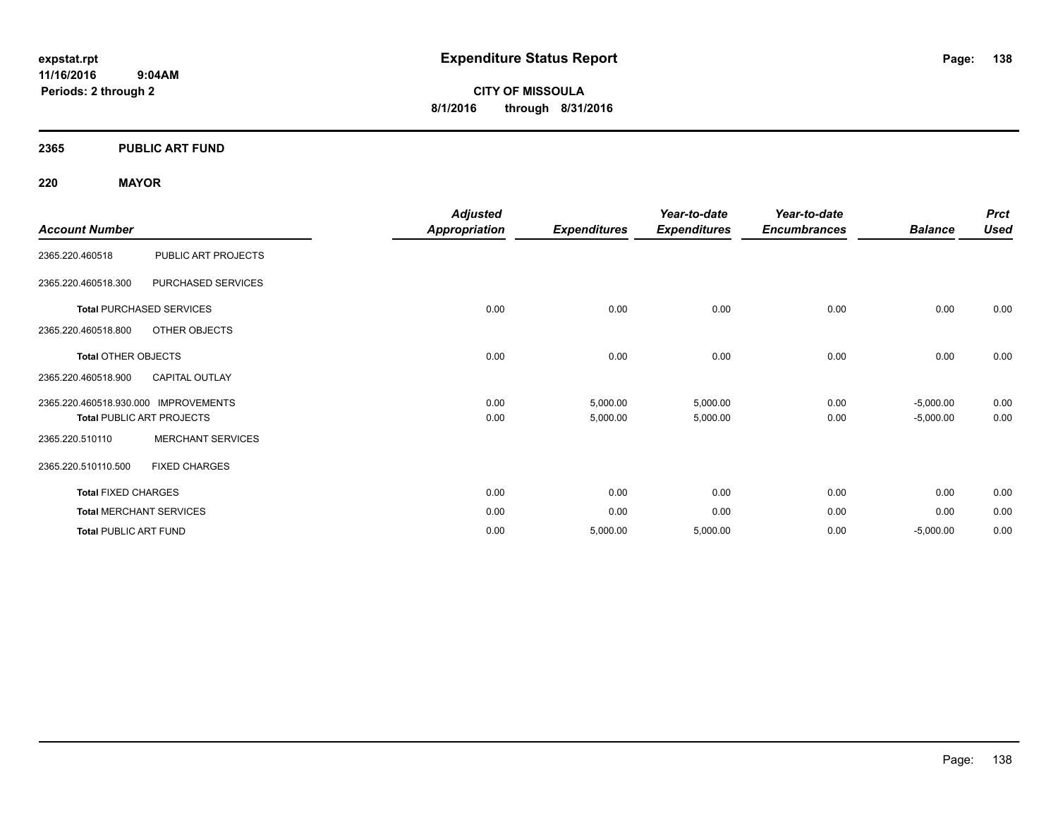**11/16/2016 9:04AM Periods: 2 through 2**

**CITY OF MISSOULA 8/1/2016 through 8/31/2016**

#### **2365 PUBLIC ART FUND**

#### **220 MAYOR**

| <b>Account Number</b>        |                                  | <b>Adjusted</b><br><b>Appropriation</b> |                     | Year-to-date<br><b>Expenditures</b> | Year-to-date<br><b>Encumbrances</b> | <b>Balance</b> | <b>Prct</b><br><b>Used</b> |
|------------------------------|----------------------------------|-----------------------------------------|---------------------|-------------------------------------|-------------------------------------|----------------|----------------------------|
|                              |                                  |                                         | <b>Expenditures</b> |                                     |                                     |                |                            |
| 2365.220.460518              | PUBLIC ART PROJECTS              |                                         |                     |                                     |                                     |                |                            |
| 2365.220.460518.300          | PURCHASED SERVICES               |                                         |                     |                                     |                                     |                |                            |
|                              | <b>Total PURCHASED SERVICES</b>  | 0.00                                    | 0.00                | 0.00                                | 0.00                                | 0.00           | 0.00                       |
| 2365.220.460518.800          | OTHER OBJECTS                    |                                         |                     |                                     |                                     |                |                            |
| <b>Total OTHER OBJECTS</b>   |                                  | 0.00                                    | 0.00                | 0.00                                | 0.00                                | 0.00           | 0.00                       |
| 2365.220.460518.900          | <b>CAPITAL OUTLAY</b>            |                                         |                     |                                     |                                     |                |                            |
| 2365.220.460518.930.000      | <b>IMPROVEMENTS</b>              | 0.00                                    | 5,000.00            | 5,000.00                            | 0.00                                | $-5,000.00$    | 0.00                       |
|                              | <b>Total PUBLIC ART PROJECTS</b> | 0.00                                    | 5,000.00            | 5,000.00                            | 0.00                                | $-5,000.00$    | 0.00                       |
| 2365.220.510110              | <b>MERCHANT SERVICES</b>         |                                         |                     |                                     |                                     |                |                            |
| 2365.220.510110.500          | <b>FIXED CHARGES</b>             |                                         |                     |                                     |                                     |                |                            |
| <b>Total FIXED CHARGES</b>   |                                  | 0.00                                    | 0.00                | 0.00                                | 0.00                                | 0.00           | 0.00                       |
|                              | <b>Total MERCHANT SERVICES</b>   | 0.00                                    | 0.00                | 0.00                                | 0.00                                | 0.00           | 0.00                       |
| <b>Total PUBLIC ART FUND</b> |                                  | 0.00                                    | 5,000.00            | 5,000.00                            | 0.00                                | $-5,000.00$    | 0.00                       |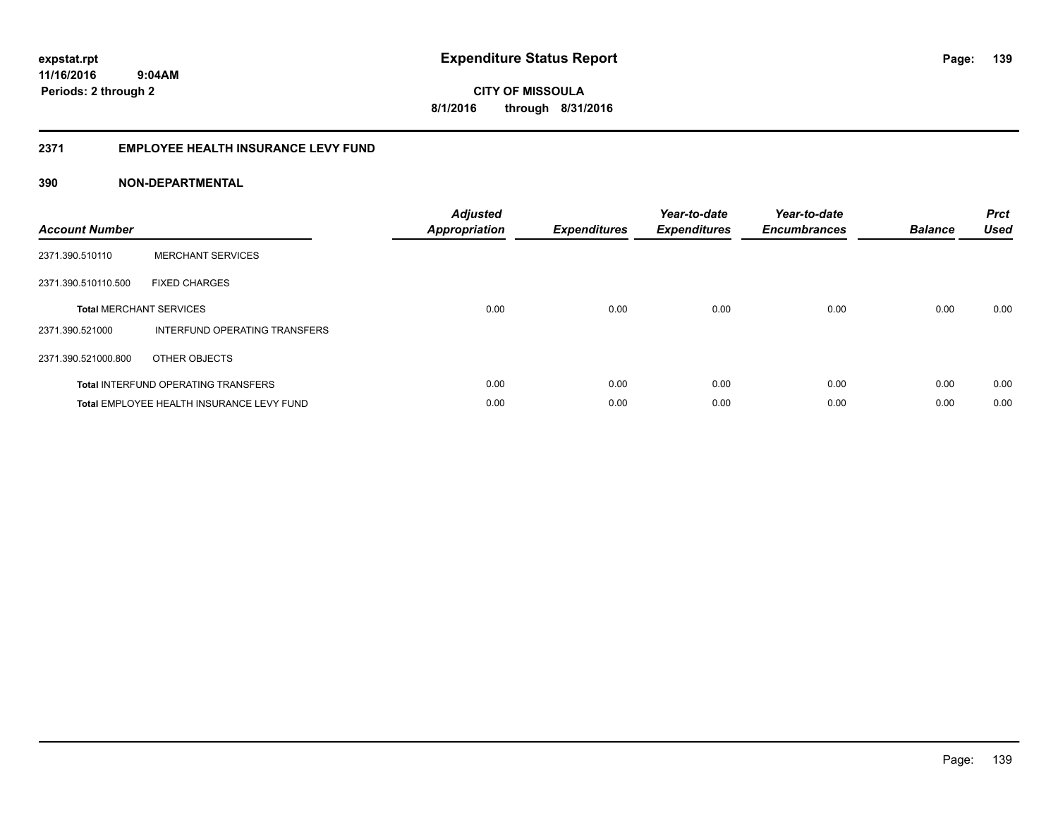#### **2371 EMPLOYEE HEALTH INSURANCE LEVY FUND**

| <b>Account Number</b>          |                                            | <b>Adjusted</b><br>Appropriation | <b>Expenditures</b> | Year-to-date<br><b>Expenditures</b> | Year-to-date<br><b>Encumbrances</b> | <b>Balance</b> | <b>Prct</b><br><b>Used</b> |
|--------------------------------|--------------------------------------------|----------------------------------|---------------------|-------------------------------------|-------------------------------------|----------------|----------------------------|
| 2371.390.510110                | <b>MERCHANT SERVICES</b>                   |                                  |                     |                                     |                                     |                |                            |
| 2371.390.510110.500            | <b>FIXED CHARGES</b>                       |                                  |                     |                                     |                                     |                |                            |
| <b>Total MERCHANT SERVICES</b> |                                            | 0.00                             | 0.00                | 0.00                                | 0.00                                | 0.00           | 0.00                       |
| 2371.390.521000                | INTERFUND OPERATING TRANSFERS              |                                  |                     |                                     |                                     |                |                            |
| 2371.390.521000.800            | OTHER OBJECTS                              |                                  |                     |                                     |                                     |                |                            |
|                                | <b>Total INTERFUND OPERATING TRANSFERS</b> | 0.00                             | 0.00                | 0.00                                | 0.00                                | 0.00           | 0.00                       |
|                                | Total EMPLOYEE HEALTH INSURANCE LEVY FUND  | 0.00                             | 0.00                | 0.00                                | 0.00                                | 0.00           | 0.00                       |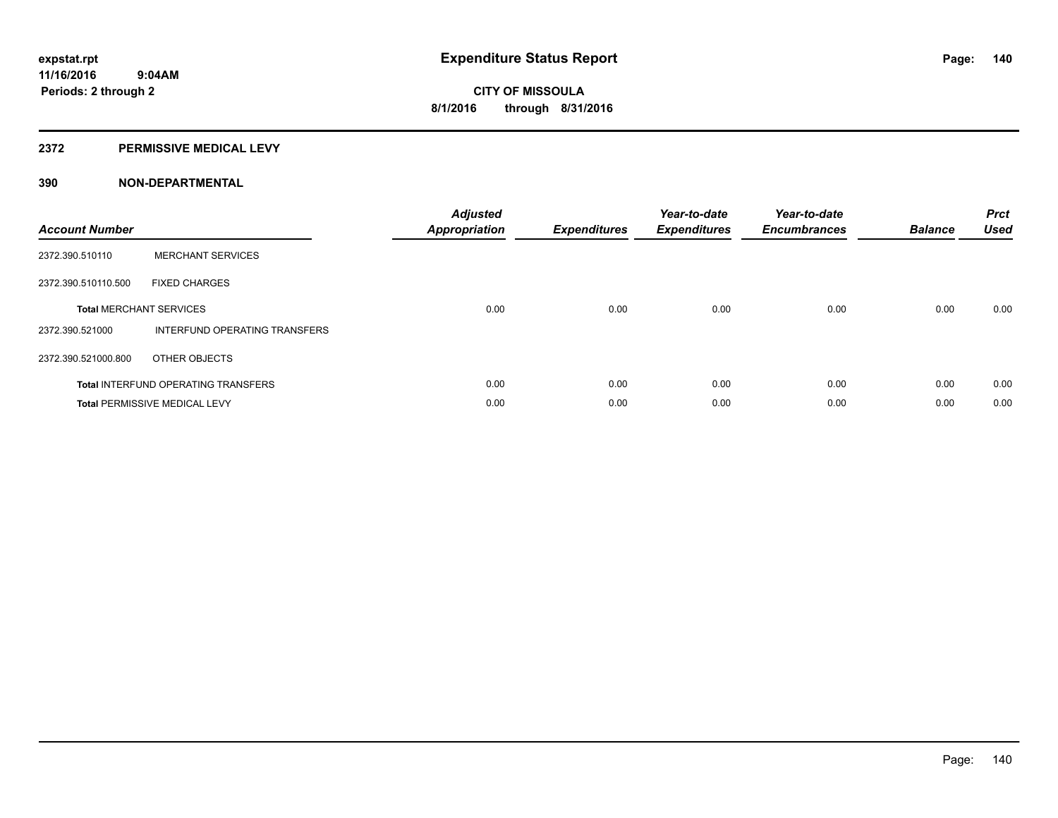#### **2372 PERMISSIVE MEDICAL LEVY**

| <b>Account Number</b>          |                                            | <b>Adjusted</b><br>Appropriation | <b>Expenditures</b> | Year-to-date<br><b>Expenditures</b> | Year-to-date<br><b>Encumbrances</b> | <b>Balance</b> | <b>Prct</b><br><b>Used</b> |
|--------------------------------|--------------------------------------------|----------------------------------|---------------------|-------------------------------------|-------------------------------------|----------------|----------------------------|
| 2372.390.510110                | <b>MERCHANT SERVICES</b>                   |                                  |                     |                                     |                                     |                |                            |
| 2372.390.510110.500            | <b>FIXED CHARGES</b>                       |                                  |                     |                                     |                                     |                |                            |
| <b>Total MERCHANT SERVICES</b> |                                            | 0.00                             | 0.00                | 0.00                                | 0.00                                | 0.00           | 0.00                       |
| 2372.390.521000                | INTERFUND OPERATING TRANSFERS              |                                  |                     |                                     |                                     |                |                            |
| 2372.390.521000.800            | OTHER OBJECTS                              |                                  |                     |                                     |                                     |                |                            |
|                                | <b>Total INTERFUND OPERATING TRANSFERS</b> | 0.00                             | 0.00                | 0.00                                | 0.00                                | 0.00           | 0.00                       |
|                                | <b>Total PERMISSIVE MEDICAL LEVY</b>       | 0.00                             | 0.00                | 0.00                                | 0.00                                | 0.00           | 0.00                       |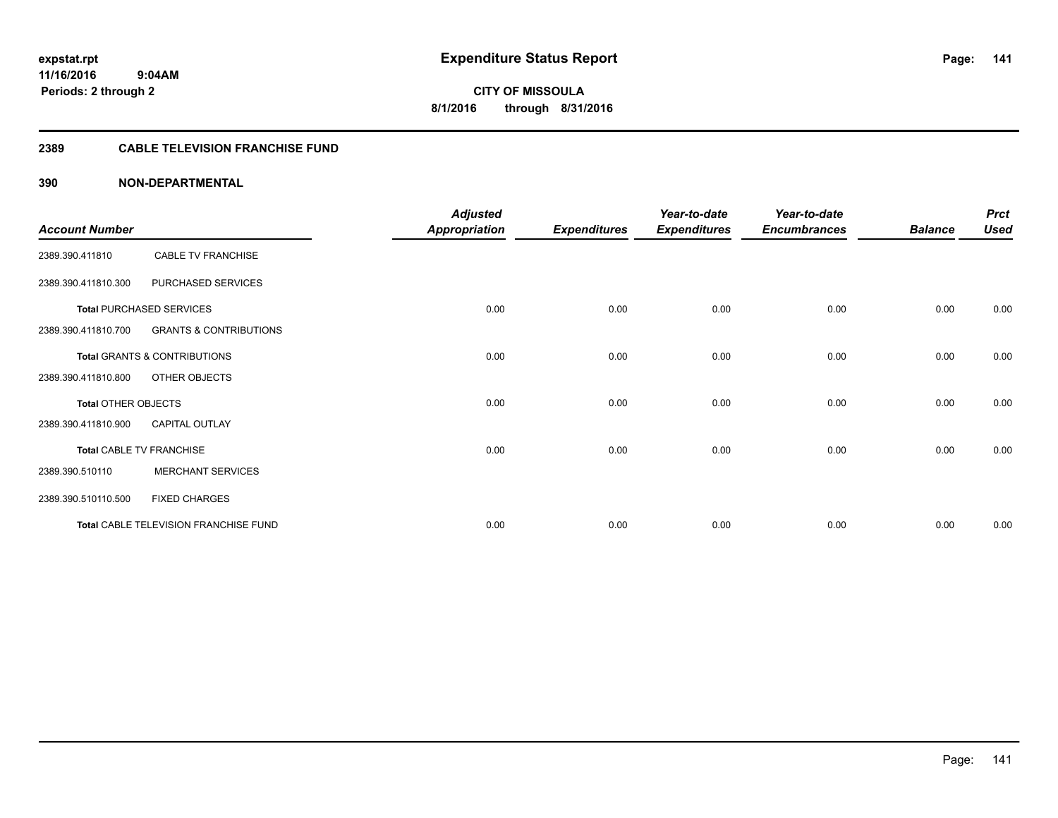**Periods: 2 through 2**

**141**

**CITY OF MISSOULA 8/1/2016 through 8/31/2016**

#### **2389 CABLE TELEVISION FRANCHISE FUND**

|                       |                                       | <b>Adjusted</b>      |                     | Year-to-date        | Year-to-date        |                | <b>Prct</b> |
|-----------------------|---------------------------------------|----------------------|---------------------|---------------------|---------------------|----------------|-------------|
| <b>Account Number</b> |                                       | <b>Appropriation</b> | <b>Expenditures</b> | <b>Expenditures</b> | <b>Encumbrances</b> | <b>Balance</b> | <b>Used</b> |
| 2389.390.411810       | CABLE TV FRANCHISE                    |                      |                     |                     |                     |                |             |
| 2389.390.411810.300   | PURCHASED SERVICES                    |                      |                     |                     |                     |                |             |
|                       | <b>Total PURCHASED SERVICES</b>       | 0.00                 | 0.00                | 0.00                | 0.00                | 0.00           | 0.00        |
| 2389.390.411810.700   | <b>GRANTS &amp; CONTRIBUTIONS</b>     |                      |                     |                     |                     |                |             |
|                       | Total GRANTS & CONTRIBUTIONS          | 0.00                 | 0.00                | 0.00                | 0.00                | 0.00           | 0.00        |
| 2389.390.411810.800   | OTHER OBJECTS                         |                      |                     |                     |                     |                |             |
| Total OTHER OBJECTS   |                                       | 0.00                 | 0.00                | 0.00                | 0.00                | 0.00           | 0.00        |
| 2389.390.411810.900   | <b>CAPITAL OUTLAY</b>                 |                      |                     |                     |                     |                |             |
|                       | <b>Total CABLE TV FRANCHISE</b>       | 0.00                 | 0.00                | 0.00                | 0.00                | 0.00           | 0.00        |
| 2389.390.510110       | <b>MERCHANT SERVICES</b>              |                      |                     |                     |                     |                |             |
| 2389.390.510110.500   | <b>FIXED CHARGES</b>                  |                      |                     |                     |                     |                |             |
|                       | Total CABLE TELEVISION FRANCHISE FUND | 0.00                 | 0.00                | 0.00                | 0.00                | 0.00           | 0.00        |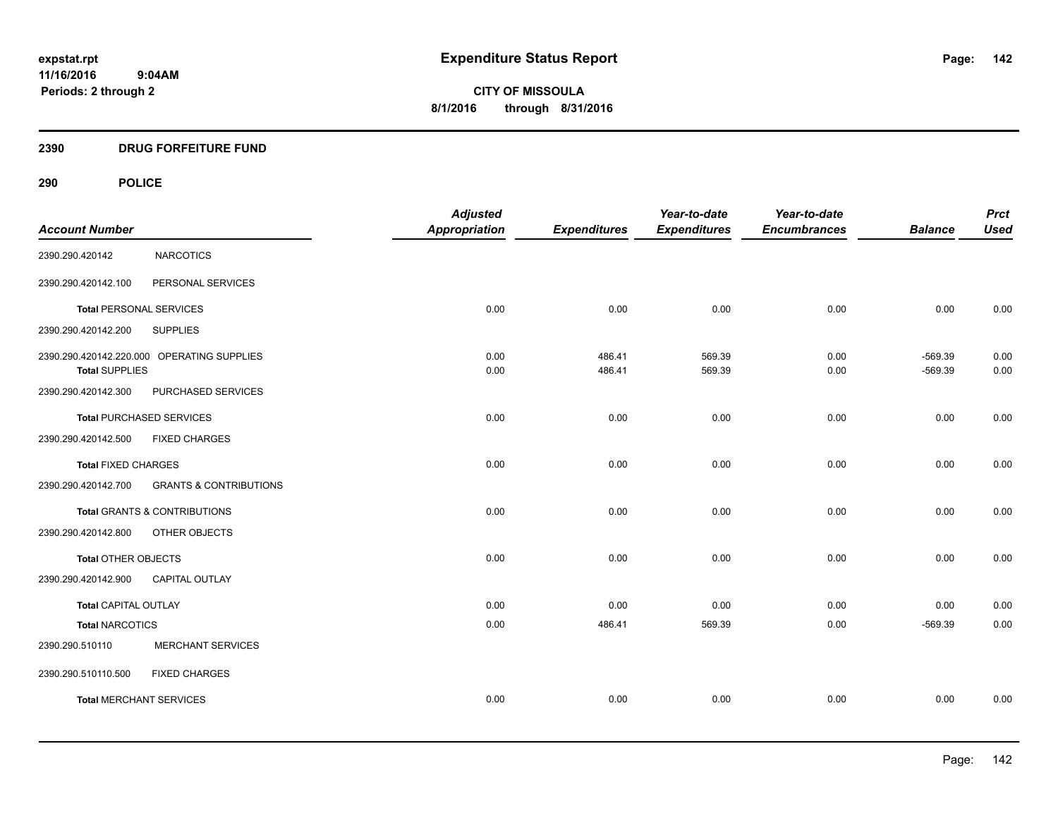**11/16/2016 9:04AM Periods: 2 through 2**

**CITY OF MISSOULA 8/1/2016 through 8/31/2016**

#### **2390 DRUG FORFEITURE FUND**

# **290 POLICE**

| <b>Account Number</b>          |                                            | <b>Adjusted</b><br><b>Appropriation</b> | <b>Expenditures</b> | Year-to-date<br><b>Expenditures</b> | Year-to-date<br><b>Encumbrances</b> | <b>Balance</b>         | <b>Prct</b><br><b>Used</b> |
|--------------------------------|--------------------------------------------|-----------------------------------------|---------------------|-------------------------------------|-------------------------------------|------------------------|----------------------------|
| 2390.290.420142                | <b>NARCOTICS</b>                           |                                         |                     |                                     |                                     |                        |                            |
| 2390.290.420142.100            | PERSONAL SERVICES                          |                                         |                     |                                     |                                     |                        |                            |
| <b>Total PERSONAL SERVICES</b> |                                            | 0.00                                    | 0.00                | 0.00                                | 0.00                                | 0.00                   | 0.00                       |
| 2390.290.420142.200            | <b>SUPPLIES</b>                            |                                         |                     |                                     |                                     |                        |                            |
| <b>Total SUPPLIES</b>          | 2390.290.420142.220.000 OPERATING SUPPLIES | 0.00<br>0.00                            | 486.41<br>486.41    | 569.39<br>569.39                    | 0.00<br>0.00                        | $-569.39$<br>$-569.39$ | 0.00<br>0.00               |
| 2390.290.420142.300            | PURCHASED SERVICES                         |                                         |                     |                                     |                                     |                        |                            |
|                                | <b>Total PURCHASED SERVICES</b>            | 0.00                                    | 0.00                | 0.00                                | 0.00                                | 0.00                   | 0.00                       |
| 2390.290.420142.500            | <b>FIXED CHARGES</b>                       |                                         |                     |                                     |                                     |                        |                            |
| <b>Total FIXED CHARGES</b>     |                                            | 0.00                                    | 0.00                | 0.00                                | 0.00                                | 0.00                   | 0.00                       |
| 2390.290.420142.700            | <b>GRANTS &amp; CONTRIBUTIONS</b>          |                                         |                     |                                     |                                     |                        |                            |
|                                | <b>Total GRANTS &amp; CONTRIBUTIONS</b>    | 0.00                                    | 0.00                | 0.00                                | 0.00                                | 0.00                   | 0.00                       |
| 2390.290.420142.800            | OTHER OBJECTS                              |                                         |                     |                                     |                                     |                        |                            |
| Total OTHER OBJECTS            |                                            | 0.00                                    | 0.00                | 0.00                                | 0.00                                | 0.00                   | 0.00                       |
| 2390.290.420142.900            | CAPITAL OUTLAY                             |                                         |                     |                                     |                                     |                        |                            |
| <b>Total CAPITAL OUTLAY</b>    |                                            | 0.00                                    | 0.00                | 0.00                                | 0.00                                | 0.00                   | 0.00                       |
| <b>Total NARCOTICS</b>         |                                            | 0.00                                    | 486.41              | 569.39                              | 0.00                                | $-569.39$              | 0.00                       |
| 2390.290.510110                | <b>MERCHANT SERVICES</b>                   |                                         |                     |                                     |                                     |                        |                            |
| 2390.290.510110.500            | <b>FIXED CHARGES</b>                       |                                         |                     |                                     |                                     |                        |                            |
| <b>Total MERCHANT SERVICES</b> |                                            | 0.00                                    | 0.00                | 0.00                                | 0.00                                | 0.00                   | 0.00                       |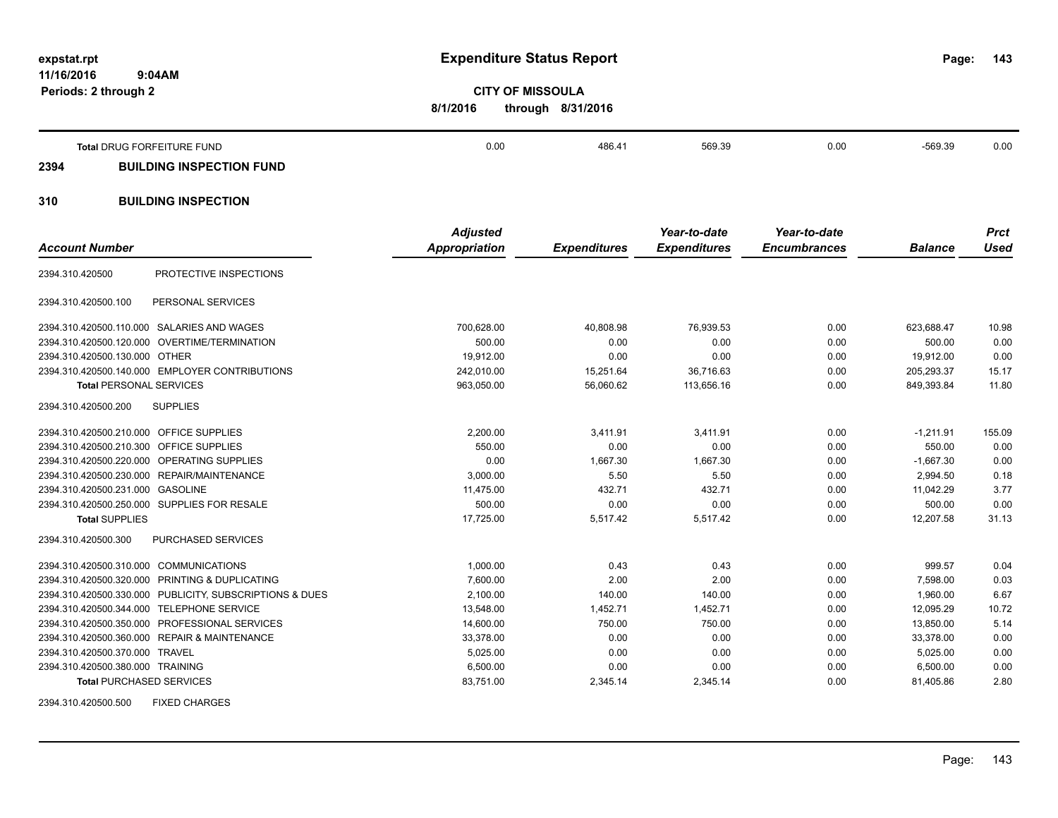**11/16/2016 9:04AM Periods: 2 through 2**

**expstat.rpt Expenditure Status Report** 

**143**

**CITY OF MISSOULA 8/1/2016 through 8/31/2016**

|      | Total DRUG FORFEITURE FUND      | 0.00 | 486.41 | 569.39 | 0.00 | -569.39 | 0.00 |
|------|---------------------------------|------|--------|--------|------|---------|------|
| 2394 | <b>BUILDING INSPECTION FUND</b> |      |        |        |      |         |      |
|      |                                 |      |        |        |      |         |      |

# **310 BUILDING INSPECTION**

| <b>Account Number</b>                   |                                                         | <b>Adjusted</b><br><b>Appropriation</b> | <b>Expenditures</b> | Year-to-date<br><b>Expenditures</b> | Year-to-date<br><b>Encumbrances</b> | <b>Balance</b> | <b>Prct</b><br><b>Used</b> |
|-----------------------------------------|---------------------------------------------------------|-----------------------------------------|---------------------|-------------------------------------|-------------------------------------|----------------|----------------------------|
|                                         |                                                         |                                         |                     |                                     |                                     |                |                            |
| 2394.310.420500                         | PROTECTIVE INSPECTIONS                                  |                                         |                     |                                     |                                     |                |                            |
| 2394.310.420500.100                     | PERSONAL SERVICES                                       |                                         |                     |                                     |                                     |                |                            |
|                                         | 2394.310.420500.110.000 SALARIES AND WAGES              | 700,628.00                              | 40,808.98           | 76,939.53                           | 0.00                                | 623,688.47     | 10.98                      |
|                                         | 2394.310.420500.120.000 OVERTIME/TERMINATION            | 500.00                                  | 0.00                | 0.00                                | 0.00                                | 500.00         | 0.00                       |
| 2394.310.420500.130.000 OTHER           |                                                         | 19,912.00                               | 0.00                | 0.00                                | 0.00                                | 19,912.00      | 0.00                       |
|                                         | 2394.310.420500.140.000 EMPLOYER CONTRIBUTIONS          | 242,010.00                              | 15,251.64           | 36,716.63                           | 0.00                                | 205,293.37     | 15.17                      |
| <b>Total PERSONAL SERVICES</b>          |                                                         | 963,050.00                              | 56,060.62           | 113,656.16                          | 0.00                                | 849,393.84     | 11.80                      |
| 2394.310.420500.200                     | <b>SUPPLIES</b>                                         |                                         |                     |                                     |                                     |                |                            |
| 2394.310.420500.210.000 OFFICE SUPPLIES |                                                         | 2,200.00                                | 3.411.91            | 3.411.91                            | 0.00                                | $-1.211.91$    | 155.09                     |
| 2394.310.420500.210.300                 | <b>OFFICE SUPPLIES</b>                                  | 550.00                                  | 0.00                | 0.00                                | 0.00                                | 550.00         | 0.00                       |
|                                         | 2394.310.420500.220.000 OPERATING SUPPLIES              | 0.00                                    | 1,667.30            | 1.667.30                            | 0.00                                | $-1,667.30$    | 0.00                       |
|                                         | 2394.310.420500.230.000 REPAIR/MAINTENANCE              | 3,000.00                                | 5.50                | 5.50                                | 0.00                                | 2,994.50       | 0.18                       |
| 2394.310.420500.231.000 GASOLINE        |                                                         | 11,475.00                               | 432.71              | 432.71                              | 0.00                                | 11.042.29      | 3.77                       |
|                                         | 2394.310.420500.250.000 SUPPLIES FOR RESALE             | 500.00                                  | 0.00                | 0.00                                | 0.00                                | 500.00         | 0.00                       |
| <b>Total SUPPLIES</b>                   |                                                         | 17,725.00                               | 5,517.42            | 5,517.42                            | 0.00                                | 12,207.58      | 31.13                      |
| 2394.310.420500.300                     | <b>PURCHASED SERVICES</b>                               |                                         |                     |                                     |                                     |                |                            |
| 2394.310.420500.310.000 COMMUNICATIONS  |                                                         | 1,000.00                                | 0.43                | 0.43                                | 0.00                                | 999.57         | 0.04                       |
|                                         | 2394.310.420500.320.000 PRINTING & DUPLICATING          | 7,600.00                                | 2.00                | 2.00                                | 0.00                                | 7,598.00       | 0.03                       |
|                                         | 2394.310.420500.330.000 PUBLICITY, SUBSCRIPTIONS & DUES | 2,100.00                                | 140.00              | 140.00                              | 0.00                                | 1,960.00       | 6.67                       |
|                                         | 2394.310.420500.344.000 TELEPHONE SERVICE               | 13,548.00                               | 1,452.71            | 1,452.71                            | 0.00                                | 12,095.29      | 10.72                      |
|                                         | 2394.310.420500.350.000 PROFESSIONAL SERVICES           | 14,600.00                               | 750.00              | 750.00                              | 0.00                                | 13,850.00      | 5.14                       |
|                                         | 2394.310.420500.360.000 REPAIR & MAINTENANCE            | 33,378.00                               | 0.00                | 0.00                                | 0.00                                | 33,378.00      | 0.00                       |
| 2394.310.420500.370.000 TRAVEL          |                                                         | 5,025.00                                | 0.00                | 0.00                                | 0.00                                | 5,025.00       | 0.00                       |
| 2394.310.420500.380.000 TRAINING        |                                                         | 6,500.00                                | 0.00                | 0.00                                | 0.00                                | 6,500.00       | 0.00                       |
| <b>Total PURCHASED SERVICES</b>         |                                                         | 83,751.00                               | 2,345.14            | 2,345.14                            | 0.00                                | 81,405.86      | 2.80                       |
|                                         |                                                         |                                         |                     |                                     |                                     |                |                            |

2394.310.420500.500 FIXED CHARGES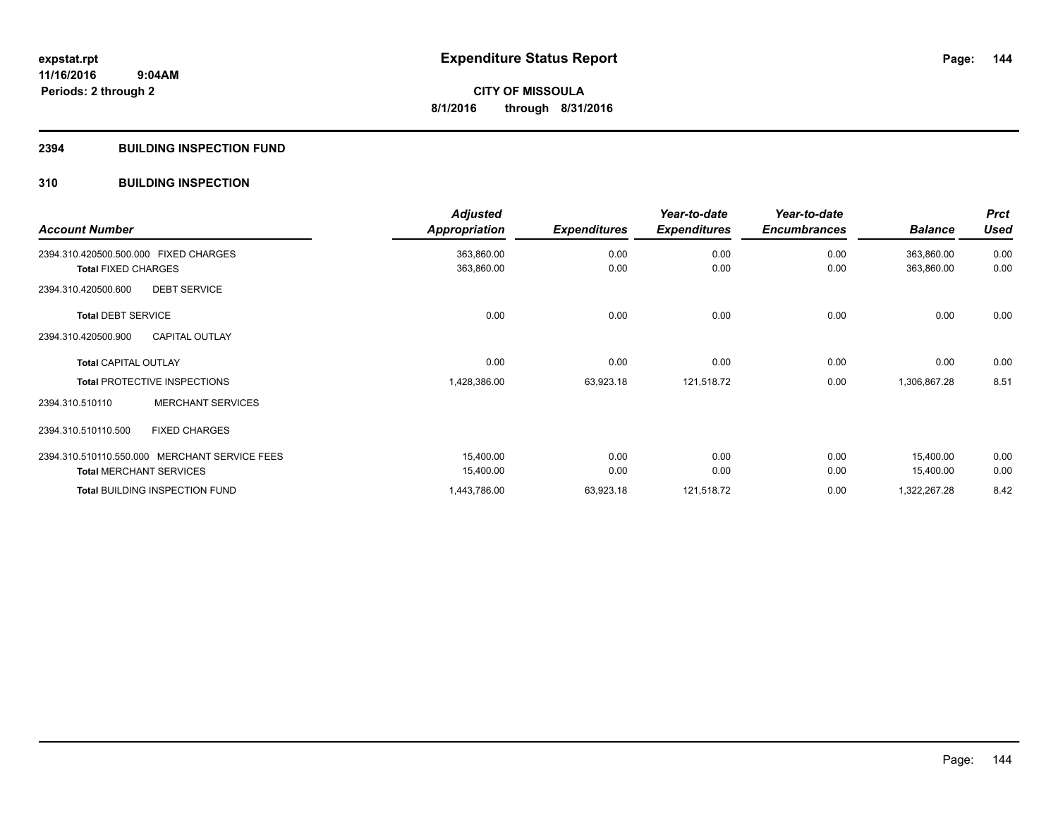#### **2394 BUILDING INSPECTION FUND**

#### **310 BUILDING INSPECTION**

| <b>Account Number</b>                         | <b>Adjusted</b><br><b>Appropriation</b> | <b>Expenditures</b> | Year-to-date<br><b>Expenditures</b> | Year-to-date<br><b>Encumbrances</b> | <b>Balance</b> | <b>Prct</b><br><b>Used</b> |
|-----------------------------------------------|-----------------------------------------|---------------------|-------------------------------------|-------------------------------------|----------------|----------------------------|
| 2394.310.420500.500.000 FIXED CHARGES         | 363,860.00                              | 0.00                | 0.00                                | 0.00                                | 363,860.00     | 0.00                       |
| <b>Total FIXED CHARGES</b>                    | 363,860.00                              | 0.00                | 0.00                                | 0.00                                | 363,860.00     | 0.00                       |
| 2394.310.420500.600<br><b>DEBT SERVICE</b>    |                                         |                     |                                     |                                     |                |                            |
| <b>Total DEBT SERVICE</b>                     | 0.00                                    | 0.00                | 0.00                                | 0.00                                | 0.00           | 0.00                       |
| <b>CAPITAL OUTLAY</b><br>2394.310.420500.900  |                                         |                     |                                     |                                     |                |                            |
| <b>Total CAPITAL OUTLAY</b>                   | 0.00                                    | 0.00                | 0.00                                | 0.00                                | 0.00           | 0.00                       |
| <b>Total PROTECTIVE INSPECTIONS</b>           | 1,428,386.00                            | 63,923.18           | 121,518.72                          | 0.00                                | 1,306,867.28   | 8.51                       |
| <b>MERCHANT SERVICES</b><br>2394.310.510110   |                                         |                     |                                     |                                     |                |                            |
| 2394.310.510110.500<br><b>FIXED CHARGES</b>   |                                         |                     |                                     |                                     |                |                            |
| 2394.310.510110.550.000 MERCHANT SERVICE FEES | 15,400.00                               | 0.00                | 0.00                                | 0.00                                | 15,400.00      | 0.00                       |
| <b>Total MERCHANT SERVICES</b>                | 15,400.00                               | 0.00                | 0.00                                | 0.00                                | 15,400.00      | 0.00                       |
| Total BUILDING INSPECTION FUND                | 1,443,786.00                            | 63,923.18           | 121,518.72                          | 0.00                                | 1,322,267.28   | 8.42                       |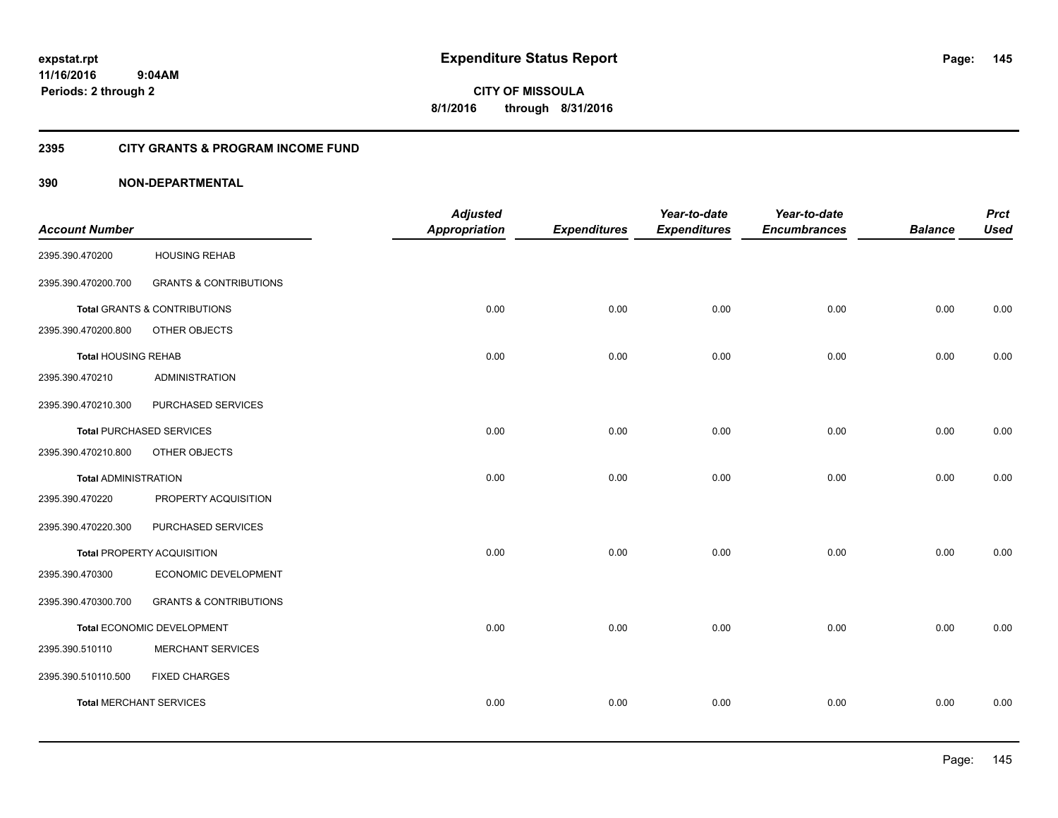**CITY OF MISSOULA 8/1/2016 through 8/31/2016**

### **2395 CITY GRANTS & PROGRAM INCOME FUND**

### **390 NON-DEPARTMENTAL**

|                                |                                   | <b>Adjusted</b>      |                     | Year-to-date        | Year-to-date        |                | <b>Prct</b> |
|--------------------------------|-----------------------------------|----------------------|---------------------|---------------------|---------------------|----------------|-------------|
| <b>Account Number</b>          |                                   | <b>Appropriation</b> | <b>Expenditures</b> | <b>Expenditures</b> | <b>Encumbrances</b> | <b>Balance</b> | <b>Used</b> |
| 2395.390.470200                | <b>HOUSING REHAB</b>              |                      |                     |                     |                     |                |             |
| 2395.390.470200.700            | <b>GRANTS &amp; CONTRIBUTIONS</b> |                      |                     |                     |                     |                |             |
|                                | Total GRANTS & CONTRIBUTIONS      | 0.00                 | 0.00                | 0.00                | 0.00                | 0.00           | 0.00        |
| 2395.390.470200.800            | OTHER OBJECTS                     |                      |                     |                     |                     |                |             |
| <b>Total HOUSING REHAB</b>     |                                   | 0.00                 | 0.00                | 0.00                | 0.00                | 0.00           | 0.00        |
| 2395.390.470210                | <b>ADMINISTRATION</b>             |                      |                     |                     |                     |                |             |
| 2395.390.470210.300            | PURCHASED SERVICES                |                      |                     |                     |                     |                |             |
|                                | <b>Total PURCHASED SERVICES</b>   | 0.00                 | 0.00                | 0.00                | 0.00                | 0.00           | 0.00        |
| 2395.390.470210.800            | OTHER OBJECTS                     |                      |                     |                     |                     |                |             |
| <b>Total ADMINISTRATION</b>    |                                   | 0.00                 | 0.00                | 0.00                | 0.00                | 0.00           | 0.00        |
| 2395.390.470220                | PROPERTY ACQUISITION              |                      |                     |                     |                     |                |             |
| 2395.390.470220.300            | PURCHASED SERVICES                |                      |                     |                     |                     |                |             |
|                                | Total PROPERTY ACQUISITION        | 0.00                 | 0.00                | 0.00                | 0.00                | 0.00           | 0.00        |
| 2395.390.470300                | ECONOMIC DEVELOPMENT              |                      |                     |                     |                     |                |             |
| 2395.390.470300.700            | <b>GRANTS &amp; CONTRIBUTIONS</b> |                      |                     |                     |                     |                |             |
|                                | Total ECONOMIC DEVELOPMENT        | 0.00                 | 0.00                | 0.00                | 0.00                | 0.00           | 0.00        |
| 2395.390.510110                | MERCHANT SERVICES                 |                      |                     |                     |                     |                |             |
| 2395.390.510110.500            | <b>FIXED CHARGES</b>              |                      |                     |                     |                     |                |             |
| <b>Total MERCHANT SERVICES</b> |                                   | 0.00                 | 0.00                | 0.00                | 0.00                | 0.00           | 0.00        |
|                                |                                   |                      |                     |                     |                     |                |             |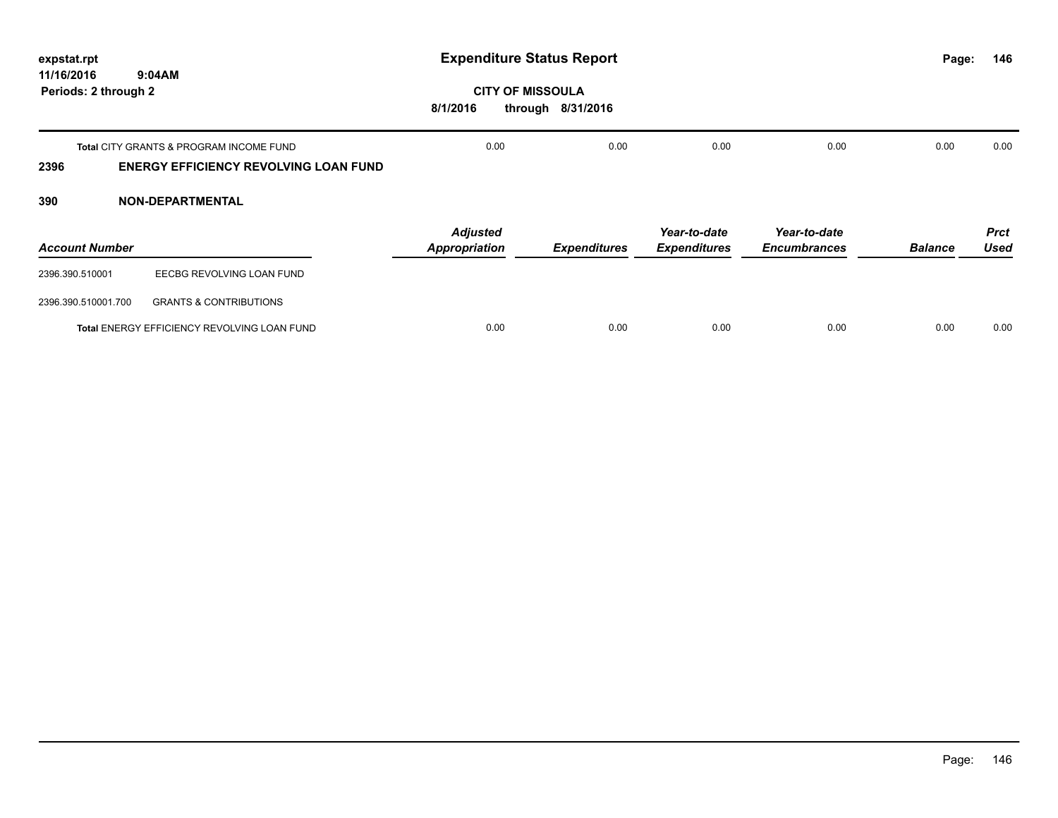| expstat.rpt                        |                                                                                         | <b>Expenditure Status Report</b>    |                     |                                     |                                     | Page:          | 146                        |
|------------------------------------|-----------------------------------------------------------------------------------------|-------------------------------------|---------------------|-------------------------------------|-------------------------------------|----------------|----------------------------|
| 11/16/2016<br>Periods: 2 through 2 | 9:04AM                                                                                  | <b>CITY OF MISSOULA</b><br>8/1/2016 | through 8/31/2016   |                                     |                                     |                |                            |
| 2396                               | Total CITY GRANTS & PROGRAM INCOME FUND<br><b>ENERGY EFFICIENCY REVOLVING LOAN FUND</b> | 0.00                                | 0.00                | 0.00                                | 0.00                                | 0.00           | 0.00                       |
| 390                                | <b>NON-DEPARTMENTAL</b>                                                                 |                                     |                     |                                     |                                     |                |                            |
| <b>Account Number</b>              |                                                                                         | <b>Adjusted</b><br>Appropriation    | <b>Expenditures</b> | Year-to-date<br><b>Expenditures</b> | Year-to-date<br><b>Encumbrances</b> | <b>Balance</b> | <b>Prct</b><br><b>Used</b> |
| 2396.390.510001                    | EECBG REVOLVING LOAN FUND                                                               |                                     |                     |                                     |                                     |                |                            |
| 2396.390.510001.700                | <b>GRANTS &amp; CONTRIBUTIONS</b>                                                       |                                     |                     |                                     |                                     |                |                            |
|                                    | Total ENERGY EFFICIENCY REVOLVING LOAN FUND                                             | 0.00                                | 0.00                | 0.00                                | 0.00                                | 0.00           | 0.00                       |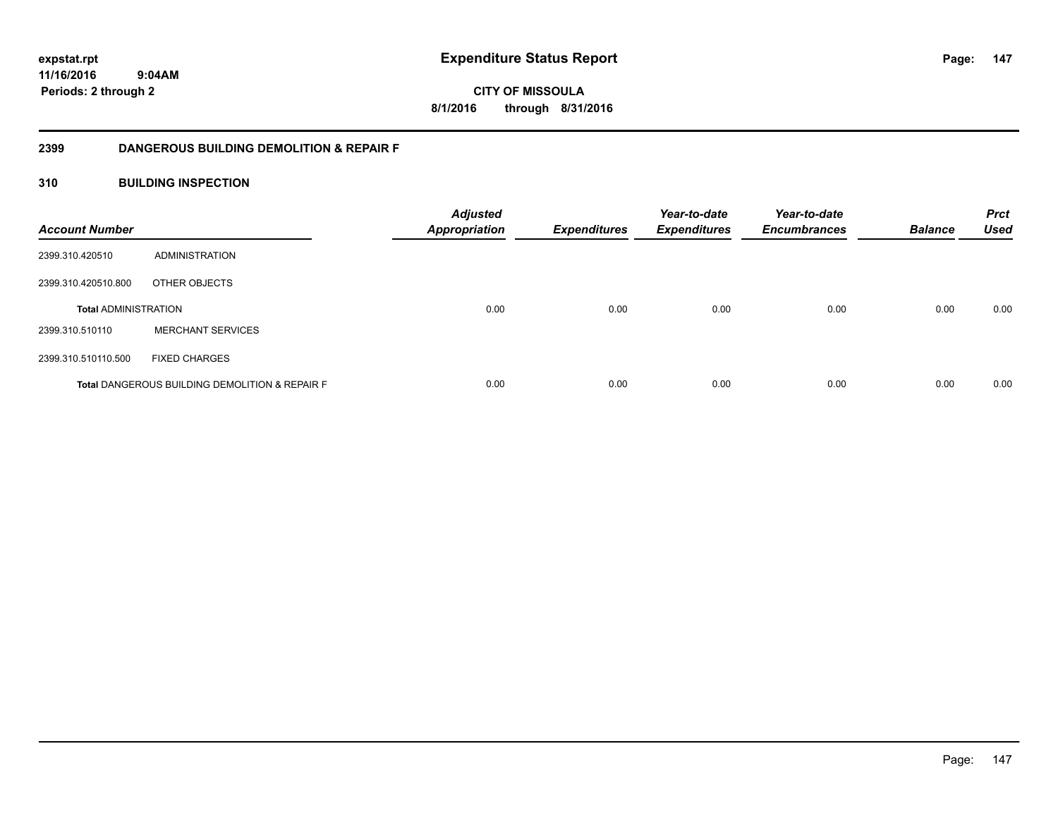**147**

**11/16/2016 9:04AM Periods: 2 through 2**

**CITY OF MISSOULA 8/1/2016 through 8/31/2016**

### **2399 DANGEROUS BUILDING DEMOLITION & REPAIR F**

### **310 BUILDING INSPECTION**

| <b>Account Number</b>       |                                                           | <b>Adjusted</b><br><b>Appropriation</b> | Expenditures | Year-to-date<br><b>Expenditures</b> | Year-to-date<br><b>Encumbrances</b> | <b>Balance</b> | <b>Prct</b><br><b>Used</b> |
|-----------------------------|-----------------------------------------------------------|-----------------------------------------|--------------|-------------------------------------|-------------------------------------|----------------|----------------------------|
| 2399.310.420510             | ADMINISTRATION                                            |                                         |              |                                     |                                     |                |                            |
| 2399.310.420510.800         | OTHER OBJECTS                                             |                                         |              |                                     |                                     |                |                            |
| <b>Total ADMINISTRATION</b> |                                                           | 0.00                                    | 0.00         | 0.00                                | 0.00                                | 0.00           | 0.00                       |
| 2399.310.510110             | <b>MERCHANT SERVICES</b>                                  |                                         |              |                                     |                                     |                |                            |
| 2399.310.510110.500         | <b>FIXED CHARGES</b>                                      |                                         |              |                                     |                                     |                |                            |
|                             | <b>Total DANGEROUS BUILDING DEMOLITION &amp; REPAIR F</b> | 0.00                                    | 0.00         | 0.00                                | 0.00                                | 0.00           | 0.00                       |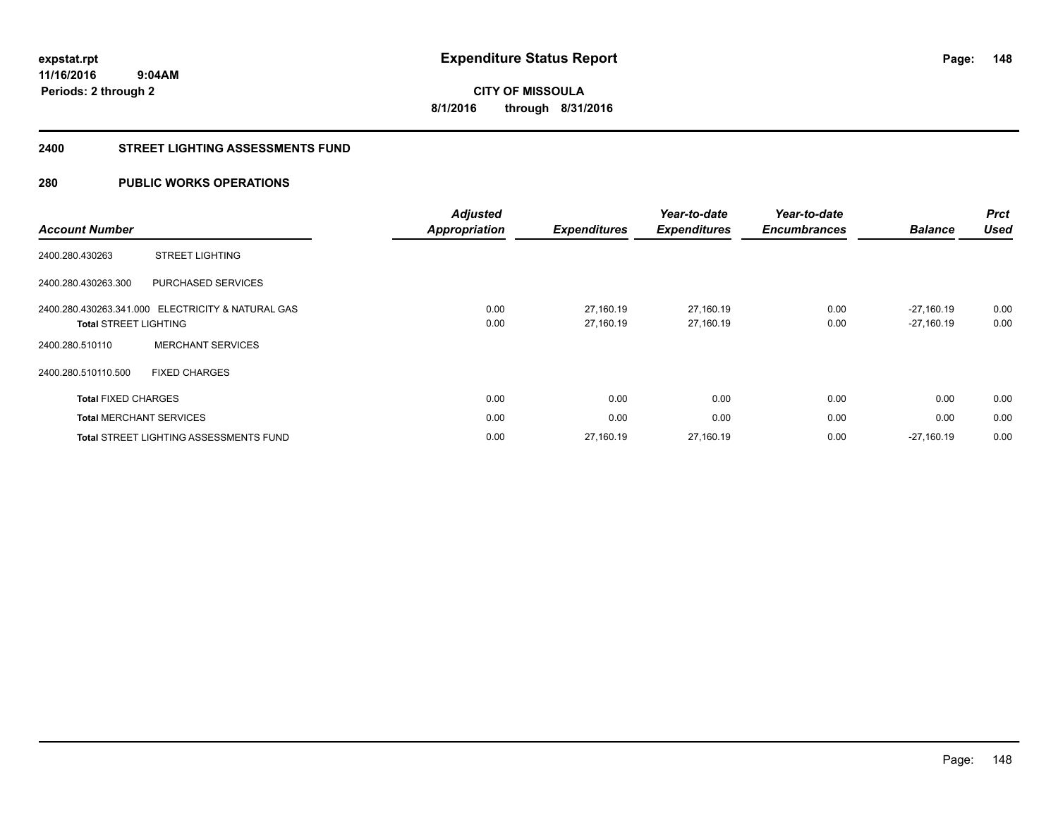**CITY OF MISSOULA 8/1/2016 through 8/31/2016**

#### **2400 STREET LIGHTING ASSESSMENTS FUND**

### **280 PUBLIC WORKS OPERATIONS**

|                                |                                                   | <b>Adjusted</b>      |                     | Year-to-date        | Year-to-date        |                | <b>Prct</b> |
|--------------------------------|---------------------------------------------------|----------------------|---------------------|---------------------|---------------------|----------------|-------------|
| <b>Account Number</b>          |                                                   | <b>Appropriation</b> | <b>Expenditures</b> | <b>Expenditures</b> | <b>Encumbrances</b> | <b>Balance</b> | <b>Used</b> |
| 2400.280.430263                | <b>STREET LIGHTING</b>                            |                      |                     |                     |                     |                |             |
| 2400.280.430263.300            | PURCHASED SERVICES                                |                      |                     |                     |                     |                |             |
|                                | 2400.280.430263.341.000 ELECTRICITY & NATURAL GAS | 0.00                 | 27.160.19           | 27,160.19           | 0.00                | $-27.160.19$   | 0.00        |
| <b>Total STREET LIGHTING</b>   |                                                   | 0.00                 | 27.160.19           | 27,160.19           | 0.00                | $-27,160.19$   | 0.00        |
| 2400.280.510110                | <b>MERCHANT SERVICES</b>                          |                      |                     |                     |                     |                |             |
| 2400.280.510110.500            | <b>FIXED CHARGES</b>                              |                      |                     |                     |                     |                |             |
| <b>Total FIXED CHARGES</b>     |                                                   | 0.00                 | 0.00                | 0.00                | 0.00                | 0.00           | 0.00        |
| <b>Total MERCHANT SERVICES</b> |                                                   | 0.00                 | 0.00                | 0.00                | 0.00                | 0.00           | 0.00        |
|                                | <b>Total STREET LIGHTING ASSESSMENTS FUND</b>     | 0.00                 | 27,160.19           | 27,160.19           | 0.00                | $-27.160.19$   | 0.00        |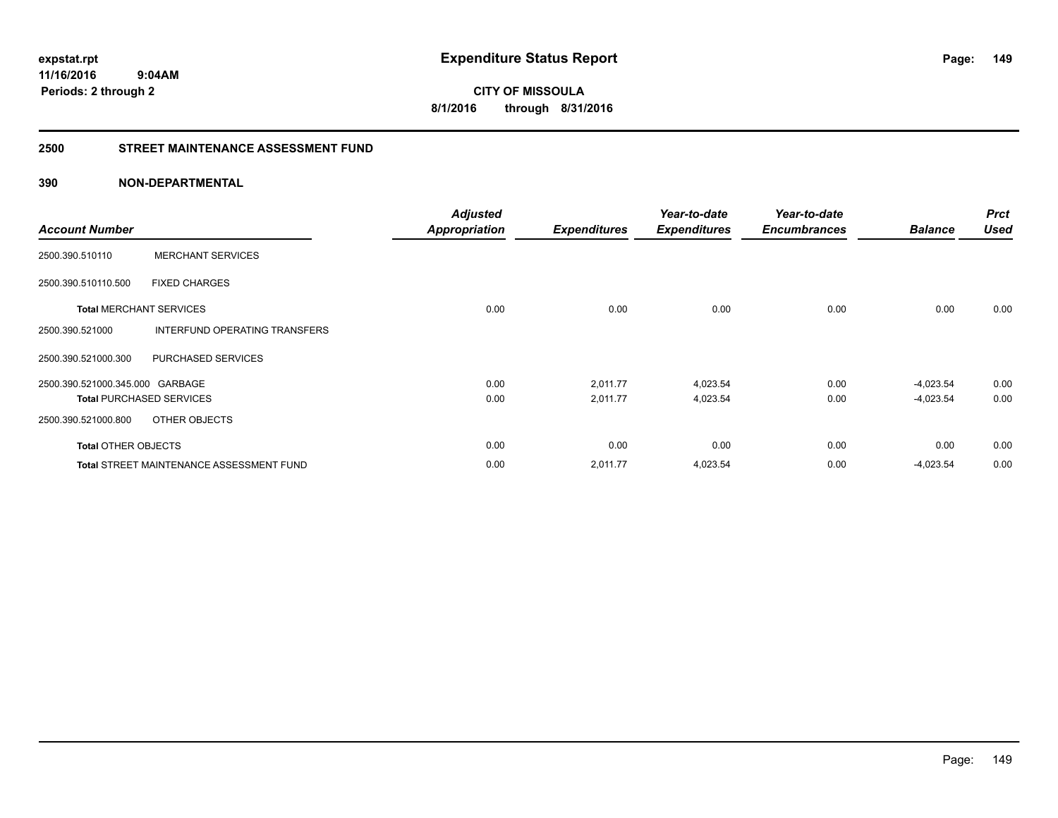**CITY OF MISSOULA 8/1/2016 through 8/31/2016**

#### **2500 STREET MAINTENANCE ASSESSMENT FUND**

### **390 NON-DEPARTMENTAL**

| <b>Account Number</b>           |                                                 | <b>Adjusted</b><br><b>Appropriation</b> | <b>Expenditures</b> | Year-to-date<br><b>Expenditures</b> | Year-to-date<br><b>Encumbrances</b> | <b>Balance</b> | <b>Prct</b><br><b>Used</b> |
|---------------------------------|-------------------------------------------------|-----------------------------------------|---------------------|-------------------------------------|-------------------------------------|----------------|----------------------------|
| 2500.390.510110                 | <b>MERCHANT SERVICES</b>                        |                                         |                     |                                     |                                     |                |                            |
| 2500.390.510110.500             | <b>FIXED CHARGES</b>                            |                                         |                     |                                     |                                     |                |                            |
| <b>Total MERCHANT SERVICES</b>  |                                                 | 0.00                                    | 0.00                | 0.00                                | 0.00                                | 0.00           | 0.00                       |
| 2500.390.521000                 | INTERFUND OPERATING TRANSFERS                   |                                         |                     |                                     |                                     |                |                            |
| 2500.390.521000.300             | PURCHASED SERVICES                              |                                         |                     |                                     |                                     |                |                            |
| 2500.390.521000.345.000 GARBAGE |                                                 | 0.00                                    | 2,011.77            | 4,023.54                            | 0.00                                | $-4,023.54$    | 0.00                       |
| <b>Total PURCHASED SERVICES</b> |                                                 | 0.00                                    | 2,011.77            | 4,023.54                            | 0.00                                | $-4,023.54$    | 0.00                       |
| 2500.390.521000.800             | OTHER OBJECTS                                   |                                         |                     |                                     |                                     |                |                            |
| <b>Total OTHER OBJECTS</b>      |                                                 | 0.00                                    | 0.00                | 0.00                                | 0.00                                | 0.00           | 0.00                       |
|                                 | <b>Total STREET MAINTENANCE ASSESSMENT FUND</b> | 0.00                                    | 2,011.77            | 4,023.54                            | 0.00                                | $-4,023.54$    | 0.00                       |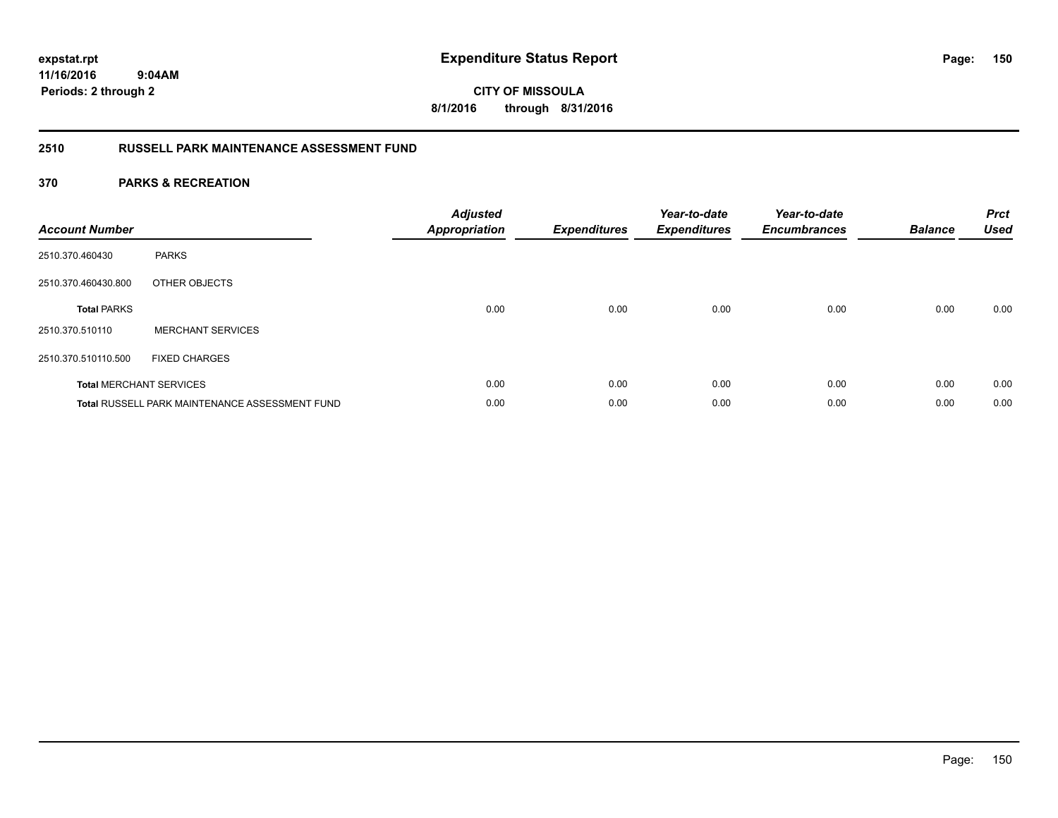**CITY OF MISSOULA 8/1/2016 through 8/31/2016**

### **2510 RUSSELL PARK MAINTENANCE ASSESSMENT FUND**

| <b>Account Number</b> |                                                       | <b>Adjusted</b><br><b>Appropriation</b> | <b>Expenditures</b> | Year-to-date<br><b>Expenditures</b> | Year-to-date<br><b>Encumbrances</b> | <b>Balance</b> | <b>Prct</b><br><b>Used</b> |
|-----------------------|-------------------------------------------------------|-----------------------------------------|---------------------|-------------------------------------|-------------------------------------|----------------|----------------------------|
| 2510.370.460430       | <b>PARKS</b>                                          |                                         |                     |                                     |                                     |                |                            |
| 2510.370.460430.800   | OTHER OBJECTS                                         |                                         |                     |                                     |                                     |                |                            |
| <b>Total PARKS</b>    |                                                       | 0.00                                    | 0.00                | 0.00                                | 0.00                                | 0.00           | 0.00                       |
| 2510.370.510110       | <b>MERCHANT SERVICES</b>                              |                                         |                     |                                     |                                     |                |                            |
| 2510.370.510110.500   | <b>FIXED CHARGES</b>                                  |                                         |                     |                                     |                                     |                |                            |
|                       | <b>Total MERCHANT SERVICES</b>                        | 0.00                                    | 0.00                | 0.00                                | 0.00                                | 0.00           | 0.00                       |
|                       | <b>Total RUSSELL PARK MAINTENANCE ASSESSMENT FUND</b> | 0.00                                    | 0.00                | 0.00                                | 0.00                                | 0.00           | 0.00                       |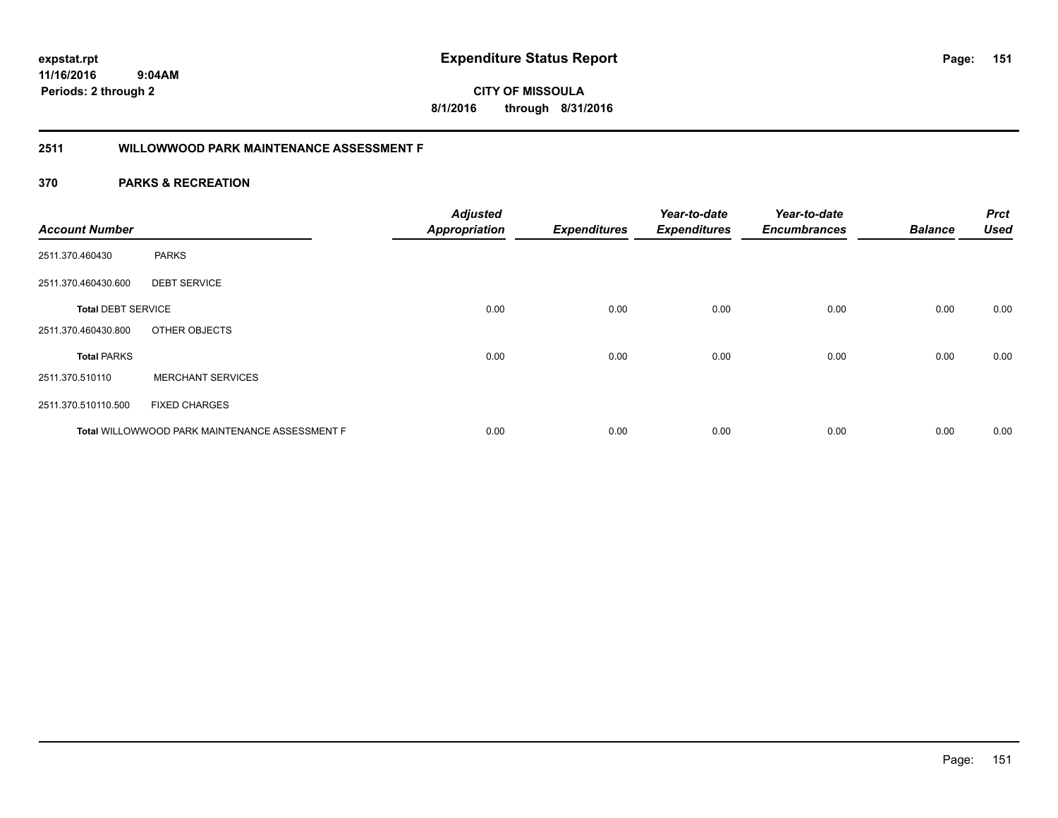**11/16/2016**

**Periods: 2 through 2**

**151**

**CITY OF MISSOULA 8/1/2016 through 8/31/2016**

### **2511 WILLOWWOOD PARK MAINTENANCE ASSESSMENT F**

### **370 PARKS & RECREATION**

 **9:04AM**

| <b>Account Number</b>     |                                                | <b>Adjusted</b><br><b>Appropriation</b> | <b>Expenditures</b> | Year-to-date<br><b>Expenditures</b> | Year-to-date<br><b>Encumbrances</b> | <b>Balance</b> | <b>Prct</b><br><b>Used</b> |
|---------------------------|------------------------------------------------|-----------------------------------------|---------------------|-------------------------------------|-------------------------------------|----------------|----------------------------|
|                           |                                                |                                         |                     |                                     |                                     |                |                            |
| 2511.370.460430           | <b>PARKS</b>                                   |                                         |                     |                                     |                                     |                |                            |
| 2511.370.460430.600       | <b>DEBT SERVICE</b>                            |                                         |                     |                                     |                                     |                |                            |
| <b>Total DEBT SERVICE</b> |                                                | 0.00                                    | 0.00                | 0.00                                | 0.00                                | 0.00           | 0.00                       |
| 2511.370.460430.800       | OTHER OBJECTS                                  |                                         |                     |                                     |                                     |                |                            |
| <b>Total PARKS</b>        |                                                | 0.00                                    | 0.00                | 0.00                                | 0.00                                | 0.00           | 0.00                       |
| 2511.370.510110           | <b>MERCHANT SERVICES</b>                       |                                         |                     |                                     |                                     |                |                            |
| 2511.370.510110.500       | <b>FIXED CHARGES</b>                           |                                         |                     |                                     |                                     |                |                            |
|                           | Total WILLOWWOOD PARK MAINTENANCE ASSESSMENT F | 0.00                                    | 0.00                | 0.00                                | 0.00                                | 0.00           | 0.00                       |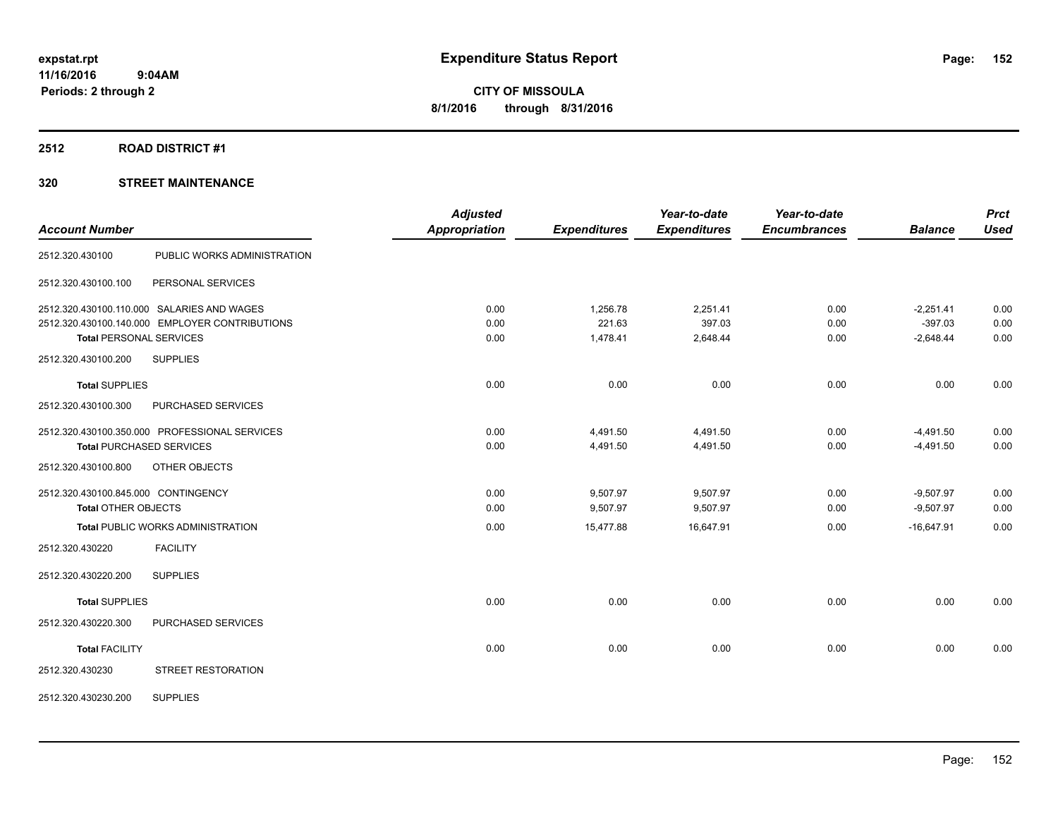### **2512 ROAD DISTRICT #1**

| <b>Account Number</b>               |                                                | <b>Adjusted</b><br><b>Appropriation</b> | <b>Expenditures</b> | Year-to-date<br><b>Expenditures</b> | Year-to-date<br><b>Encumbrances</b> | <b>Balance</b> | <b>Prct</b><br><b>Used</b> |
|-------------------------------------|------------------------------------------------|-----------------------------------------|---------------------|-------------------------------------|-------------------------------------|----------------|----------------------------|
| 2512.320.430100                     | PUBLIC WORKS ADMINISTRATION                    |                                         |                     |                                     |                                     |                |                            |
| 2512.320.430100.100                 | PERSONAL SERVICES                              |                                         |                     |                                     |                                     |                |                            |
|                                     | 2512.320.430100.110.000 SALARIES AND WAGES     | 0.00                                    | 1,256.78            | 2,251.41                            | 0.00                                | $-2,251.41$    | 0.00                       |
|                                     | 2512.320.430100.140.000 EMPLOYER CONTRIBUTIONS | 0.00                                    | 221.63              | 397.03                              | 0.00                                | $-397.03$      | 0.00                       |
| <b>Total PERSONAL SERVICES</b>      |                                                | 0.00                                    | 1,478.41            | 2,648.44                            | 0.00                                | $-2,648.44$    | 0.00                       |
| 2512.320.430100.200                 | <b>SUPPLIES</b>                                |                                         |                     |                                     |                                     |                |                            |
| <b>Total SUPPLIES</b>               |                                                | 0.00                                    | 0.00                | 0.00                                | 0.00                                | 0.00           | 0.00                       |
| 2512.320.430100.300                 | PURCHASED SERVICES                             |                                         |                     |                                     |                                     |                |                            |
|                                     | 2512.320.430100.350.000 PROFESSIONAL SERVICES  | 0.00                                    | 4,491.50            | 4,491.50                            | 0.00                                | $-4,491.50$    | 0.00                       |
|                                     | <b>Total PURCHASED SERVICES</b>                | 0.00                                    | 4,491.50            | 4,491.50                            | 0.00                                | $-4,491.50$    | 0.00                       |
| 2512.320.430100.800                 | OTHER OBJECTS                                  |                                         |                     |                                     |                                     |                |                            |
| 2512.320.430100.845.000 CONTINGENCY |                                                | 0.00                                    | 9,507.97            | 9,507.97                            | 0.00                                | $-9,507.97$    | 0.00                       |
| <b>Total OTHER OBJECTS</b>          |                                                | 0.00                                    | 9,507.97            | 9,507.97                            | 0.00                                | $-9,507.97$    | 0.00                       |
|                                     | <b>Total PUBLIC WORKS ADMINISTRATION</b>       | 0.00                                    | 15,477.88           | 16,647.91                           | 0.00                                | $-16,647.91$   | 0.00                       |
| 2512.320.430220                     | <b>FACILITY</b>                                |                                         |                     |                                     |                                     |                |                            |
| 2512.320.430220.200                 | <b>SUPPLIES</b>                                |                                         |                     |                                     |                                     |                |                            |
| <b>Total SUPPLIES</b>               |                                                | 0.00                                    | 0.00                | 0.00                                | 0.00                                | 0.00           | 0.00                       |
| 2512.320.430220.300                 | PURCHASED SERVICES                             |                                         |                     |                                     |                                     |                |                            |
| <b>Total FACILITY</b>               |                                                | 0.00                                    | 0.00                | 0.00                                | 0.00                                | 0.00           | 0.00                       |
| 2512.320.430230                     | STREET RESTORATION                             |                                         |                     |                                     |                                     |                |                            |
| 2512.320.430230.200                 | <b>SUPPLIES</b>                                |                                         |                     |                                     |                                     |                |                            |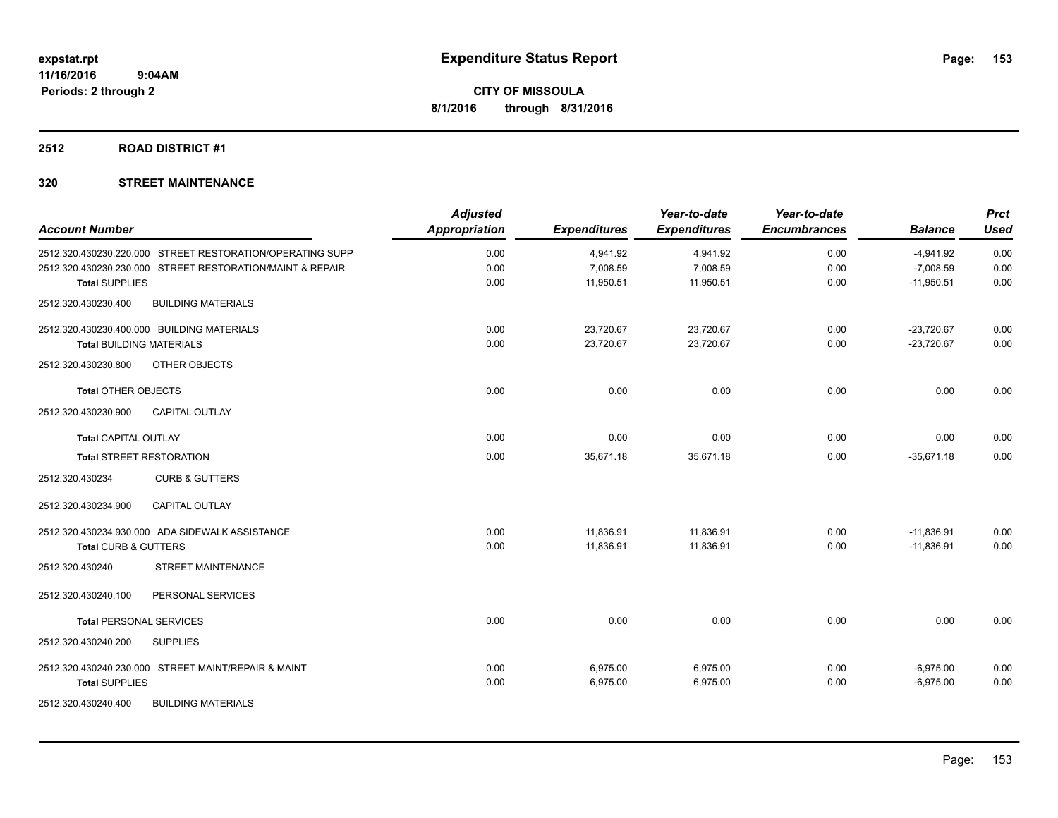### **2512 ROAD DISTRICT #1**

| <b>Account Number</b>                                     | <b>Adjusted</b><br><b>Appropriation</b> | <b>Expenditures</b> | Year-to-date<br><b>Expenditures</b> | Year-to-date<br><b>Encumbrances</b> | <b>Balance</b> | <b>Prct</b><br><b>Used</b> |
|-----------------------------------------------------------|-----------------------------------------|---------------------|-------------------------------------|-------------------------------------|----------------|----------------------------|
| 2512.320.430230.220.000 STREET RESTORATION/OPERATING SUPP | 0.00                                    | 4,941.92            | 4,941.92                            | 0.00                                | $-4,941.92$    | 0.00                       |
| 2512.320.430230.230.000 STREET RESTORATION/MAINT & REPAIR | 0.00                                    | 7,008.59            | 7,008.59                            | 0.00                                | $-7,008.59$    | 0.00                       |
| <b>Total SUPPLIES</b>                                     | 0.00                                    | 11,950.51           | 11,950.51                           | 0.00                                | $-11,950.51$   | 0.00                       |
| 2512.320.430230.400<br><b>BUILDING MATERIALS</b>          |                                         |                     |                                     |                                     |                |                            |
| 2512.320.430230.400.000 BUILDING MATERIALS                | 0.00                                    | 23,720.67           | 23,720.67                           | 0.00                                | $-23,720.67$   | 0.00                       |
| <b>Total BUILDING MATERIALS</b>                           | 0.00                                    | 23,720.67           | 23,720.67                           | 0.00                                | $-23,720.67$   | 0.00                       |
| 2512.320.430230.800<br>OTHER OBJECTS                      |                                         |                     |                                     |                                     |                |                            |
| <b>Total OTHER OBJECTS</b>                                | 0.00                                    | 0.00                | 0.00                                | 0.00                                | 0.00           | 0.00                       |
| 2512.320.430230.900<br><b>CAPITAL OUTLAY</b>              |                                         |                     |                                     |                                     |                |                            |
| <b>Total CAPITAL OUTLAY</b>                               | 0.00                                    | 0.00                | 0.00                                | 0.00                                | 0.00           | 0.00                       |
| <b>Total STREET RESTORATION</b>                           | 0.00                                    | 35,671.18           | 35,671.18                           | 0.00                                | $-35,671.18$   | 0.00                       |
| 2512.320.430234<br><b>CURB &amp; GUTTERS</b>              |                                         |                     |                                     |                                     |                |                            |
| 2512.320.430234.900<br><b>CAPITAL OUTLAY</b>              |                                         |                     |                                     |                                     |                |                            |
| 2512.320.430234.930.000 ADA SIDEWALK ASSISTANCE           | 0.00                                    | 11,836.91           | 11,836.91                           | 0.00                                | $-11,836.91$   | 0.00                       |
| <b>Total CURB &amp; GUTTERS</b>                           | 0.00                                    | 11,836.91           | 11.836.91                           | 0.00                                | $-11.836.91$   | 0.00                       |
| 2512.320.430240<br><b>STREET MAINTENANCE</b>              |                                         |                     |                                     |                                     |                |                            |
| PERSONAL SERVICES<br>2512.320.430240.100                  |                                         |                     |                                     |                                     |                |                            |
| <b>Total PERSONAL SERVICES</b>                            | 0.00                                    | 0.00                | 0.00                                | 0.00                                | 0.00           | 0.00                       |
| 2512.320.430240.200<br><b>SUPPLIES</b>                    |                                         |                     |                                     |                                     |                |                            |
| 2512.320.430240.230.000 STREET MAINT/REPAIR & MAINT       | 0.00                                    | 6,975.00            | 6,975.00                            | 0.00                                | $-6,975.00$    | 0.00                       |
| <b>Total SUPPLIES</b>                                     | 0.00                                    | 6,975.00            | 6,975.00                            | 0.00                                | $-6,975.00$    | 0.00                       |
| <b>BUILDING MATERIALS</b><br>2512.320.430240.400          |                                         |                     |                                     |                                     |                |                            |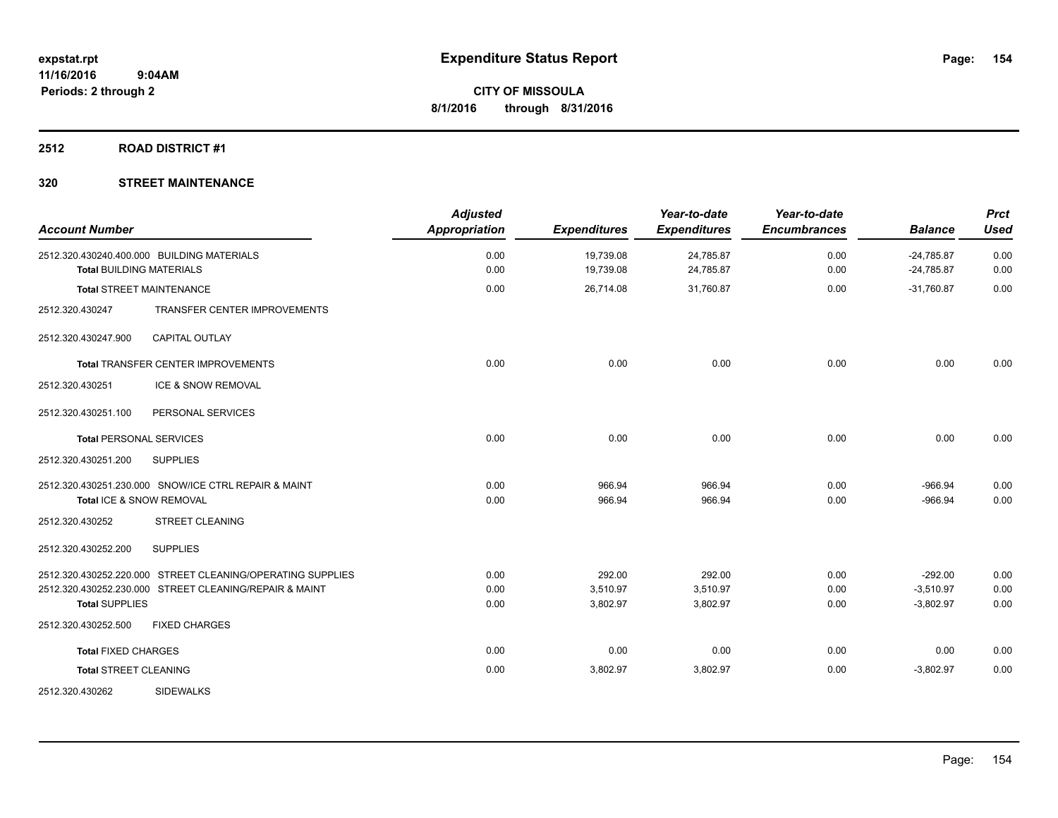#### **2512 ROAD DISTRICT #1**

| <b>Account Number</b>           |                                                                                                                      | <b>Adjusted</b><br><b>Appropriation</b> | <b>Expenditures</b>            | Year-to-date<br><b>Expenditures</b> | Year-to-date<br><b>Encumbrances</b> | <b>Balance</b>                          | <b>Prct</b><br><b>Used</b> |
|---------------------------------|----------------------------------------------------------------------------------------------------------------------|-----------------------------------------|--------------------------------|-------------------------------------|-------------------------------------|-----------------------------------------|----------------------------|
| <b>Total BUILDING MATERIALS</b> | 2512.320.430240.400.000 BUILDING MATERIALS                                                                           | 0.00<br>0.00                            | 19,739.08<br>19,739.08         | 24,785.87<br>24,785.87              | 0.00<br>0.00                        | $-24,785.87$<br>$-24,785.87$            | 0.00<br>0.00               |
|                                 | <b>Total STREET MAINTENANCE</b>                                                                                      | 0.00                                    | 26,714.08                      | 31,760.87                           | 0.00                                | $-31.760.87$                            | 0.00                       |
| 2512.320.430247                 | TRANSFER CENTER IMPROVEMENTS                                                                                         |                                         |                                |                                     |                                     |                                         |                            |
| 2512.320.430247.900             | <b>CAPITAL OUTLAY</b>                                                                                                |                                         |                                |                                     |                                     |                                         |                            |
|                                 | Total TRANSFER CENTER IMPROVEMENTS                                                                                   | 0.00                                    | 0.00                           | 0.00                                | 0.00                                | 0.00                                    | 0.00                       |
| 2512.320.430251                 | ICE & SNOW REMOVAL                                                                                                   |                                         |                                |                                     |                                     |                                         |                            |
| 2512.320.430251.100             | PERSONAL SERVICES                                                                                                    |                                         |                                |                                     |                                     |                                         |                            |
| <b>Total PERSONAL SERVICES</b>  |                                                                                                                      | 0.00                                    | 0.00                           | 0.00                                | 0.00                                | 0.00                                    | 0.00                       |
| 2512.320.430251.200             | <b>SUPPLIES</b>                                                                                                      |                                         |                                |                                     |                                     |                                         |                            |
|                                 | 2512.320.430251.230.000 SNOW/ICE CTRL REPAIR & MAINT<br>Total ICE & SNOW REMOVAL                                     | 0.00<br>0.00                            | 966.94<br>966.94               | 966.94<br>966.94                    | 0.00<br>0.00                        | $-966.94$<br>$-966.94$                  | 0.00<br>0.00               |
| 2512.320.430252                 | <b>STREET CLEANING</b>                                                                                               |                                         |                                |                                     |                                     |                                         |                            |
| 2512.320.430252.200             | <b>SUPPLIES</b>                                                                                                      |                                         |                                |                                     |                                     |                                         |                            |
| <b>Total SUPPLIES</b>           | 2512.320.430252.220.000 STREET CLEANING/OPERATING SUPPLIES<br>2512.320.430252.230.000 STREET CLEANING/REPAIR & MAINT | 0.00<br>0.00<br>0.00                    | 292.00<br>3,510.97<br>3,802.97 | 292.00<br>3,510.97<br>3,802.97      | 0.00<br>0.00<br>0.00                | $-292.00$<br>$-3,510.97$<br>$-3,802.97$ | 0.00<br>0.00<br>0.00       |
| 2512.320.430252.500             | <b>FIXED CHARGES</b>                                                                                                 |                                         |                                |                                     |                                     |                                         |                            |
| <b>Total FIXED CHARGES</b>      |                                                                                                                      | 0.00                                    | 0.00                           | 0.00                                | 0.00                                | 0.00                                    | 0.00                       |
| <b>Total STREET CLEANING</b>    |                                                                                                                      | 0.00                                    | 3,802.97                       | 3,802.97                            | 0.00                                | $-3,802.97$                             | 0.00                       |
| 2512.320.430262                 | <b>SIDEWALKS</b>                                                                                                     |                                         |                                |                                     |                                     |                                         |                            |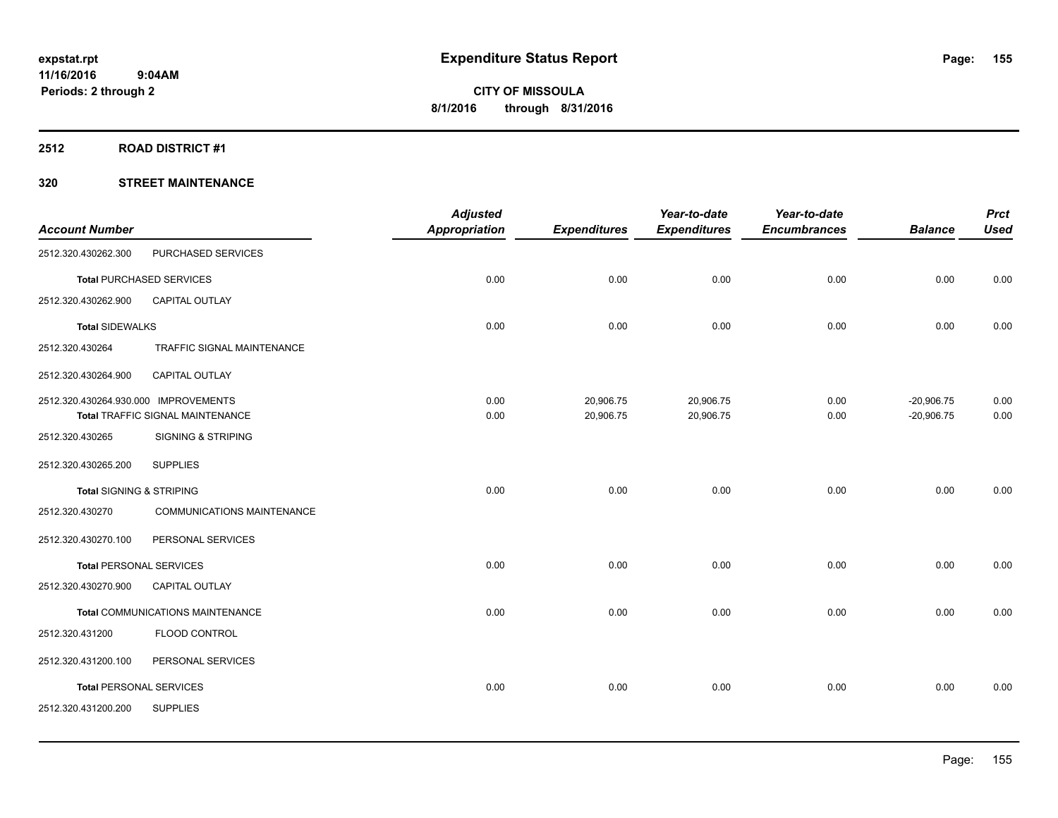#### **2512 ROAD DISTRICT #1**

| <b>Account Number</b>                |                                         | <b>Adjusted</b><br><b>Appropriation</b> | <b>Expenditures</b> | Year-to-date<br><b>Expenditures</b> | Year-to-date<br><b>Encumbrances</b> | <b>Balance</b> | <b>Prct</b><br><b>Used</b> |
|--------------------------------------|-----------------------------------------|-----------------------------------------|---------------------|-------------------------------------|-------------------------------------|----------------|----------------------------|
| 2512.320.430262.300                  | PURCHASED SERVICES                      |                                         |                     |                                     |                                     |                |                            |
|                                      | <b>Total PURCHASED SERVICES</b>         | 0.00                                    | 0.00                | 0.00                                | 0.00                                | 0.00           | 0.00                       |
| 2512.320.430262.900                  | <b>CAPITAL OUTLAY</b>                   |                                         |                     |                                     |                                     |                |                            |
| <b>Total SIDEWALKS</b>               |                                         | 0.00                                    | 0.00                | 0.00                                | 0.00                                | 0.00           | 0.00                       |
| 2512.320.430264                      | TRAFFIC SIGNAL MAINTENANCE              |                                         |                     |                                     |                                     |                |                            |
| 2512.320.430264.900                  | CAPITAL OUTLAY                          |                                         |                     |                                     |                                     |                |                            |
| 2512.320.430264.930.000 IMPROVEMENTS |                                         | 0.00                                    | 20,906.75           | 20,906.75                           | 0.00                                | $-20,906.75$   | 0.00                       |
|                                      | Total TRAFFIC SIGNAL MAINTENANCE        | 0.00                                    | 20,906.75           | 20,906.75                           | 0.00                                | $-20,906.75$   | 0.00                       |
| 2512.320.430265                      | <b>SIGNING &amp; STRIPING</b>           |                                         |                     |                                     |                                     |                |                            |
| 2512.320.430265.200                  | <b>SUPPLIES</b>                         |                                         |                     |                                     |                                     |                |                            |
| <b>Total SIGNING &amp; STRIPING</b>  |                                         | 0.00                                    | 0.00                | 0.00                                | 0.00                                | 0.00           | 0.00                       |
| 2512.320.430270                      | COMMUNICATIONS MAINTENANCE              |                                         |                     |                                     |                                     |                |                            |
| 2512.320.430270.100                  | PERSONAL SERVICES                       |                                         |                     |                                     |                                     |                |                            |
| <b>Total PERSONAL SERVICES</b>       |                                         | 0.00                                    | 0.00                | 0.00                                | 0.00                                | 0.00           | 0.00                       |
| 2512.320.430270.900                  | <b>CAPITAL OUTLAY</b>                   |                                         |                     |                                     |                                     |                |                            |
|                                      | <b>Total COMMUNICATIONS MAINTENANCE</b> | 0.00                                    | 0.00                | 0.00                                | 0.00                                | 0.00           | 0.00                       |
| 2512.320.431200                      | FLOOD CONTROL                           |                                         |                     |                                     |                                     |                |                            |
| 2512.320.431200.100                  | PERSONAL SERVICES                       |                                         |                     |                                     |                                     |                |                            |
| <b>Total PERSONAL SERVICES</b>       |                                         | 0.00                                    | 0.00                | 0.00                                | 0.00                                | 0.00           | 0.00                       |
| 2512.320.431200.200                  | <b>SUPPLIES</b>                         |                                         |                     |                                     |                                     |                |                            |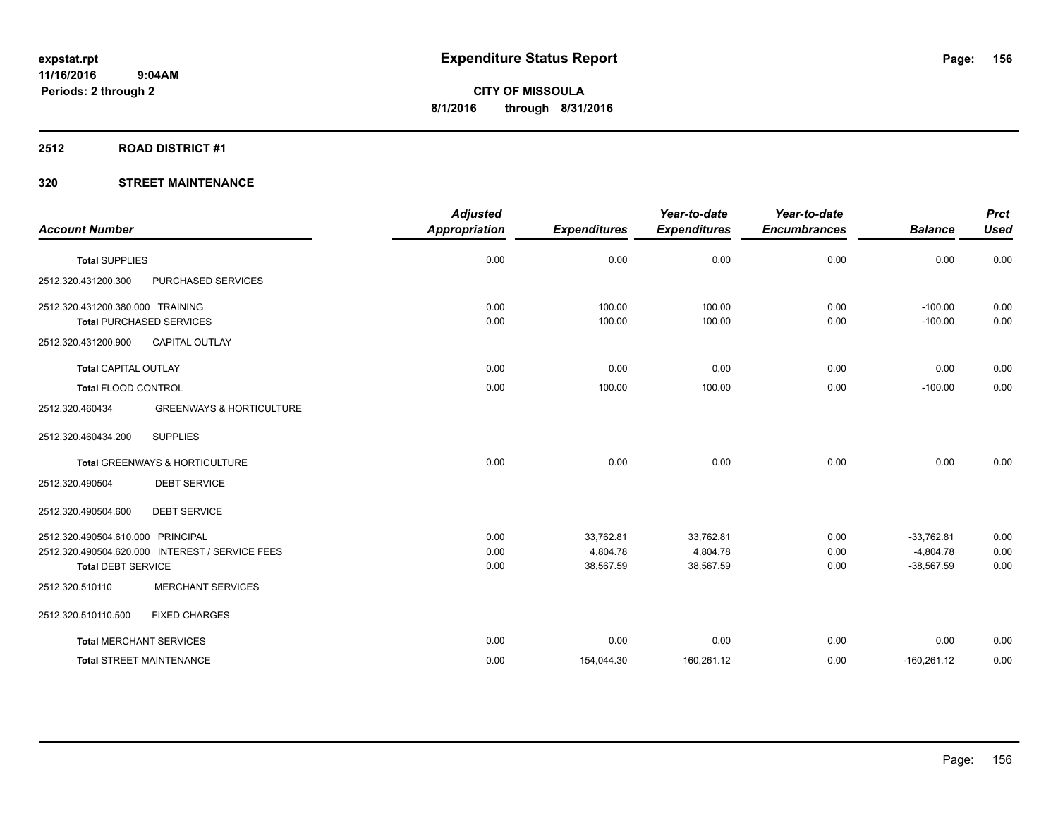#### **2512 ROAD DISTRICT #1**

|                                   |                                                 | <b>Adjusted</b>      |                     | Year-to-date        | Year-to-date        |                | <b>Prct</b> |
|-----------------------------------|-------------------------------------------------|----------------------|---------------------|---------------------|---------------------|----------------|-------------|
| <b>Account Number</b>             |                                                 | <b>Appropriation</b> | <b>Expenditures</b> | <b>Expenditures</b> | <b>Encumbrances</b> | <b>Balance</b> | <b>Used</b> |
| <b>Total SUPPLIES</b>             |                                                 | 0.00                 | 0.00                | 0.00                | 0.00                | 0.00           | 0.00        |
| 2512.320.431200.300               | PURCHASED SERVICES                              |                      |                     |                     |                     |                |             |
| 2512.320.431200.380.000 TRAINING  |                                                 | 0.00                 | 100.00              | 100.00              | 0.00                | $-100.00$      | 0.00        |
| <b>Total PURCHASED SERVICES</b>   |                                                 | 0.00                 | 100.00              | 100.00              | 0.00                | $-100.00$      | 0.00        |
| 2512.320.431200.900               | <b>CAPITAL OUTLAY</b>                           |                      |                     |                     |                     |                |             |
| <b>Total CAPITAL OUTLAY</b>       |                                                 | 0.00                 | 0.00                | 0.00                | 0.00                | 0.00           | 0.00        |
| <b>Total FLOOD CONTROL</b>        |                                                 | 0.00                 | 100.00              | 100.00              | 0.00                | $-100.00$      | 0.00        |
| 2512.320.460434                   | <b>GREENWAYS &amp; HORTICULTURE</b>             |                      |                     |                     |                     |                |             |
| 2512.320.460434.200               | <b>SUPPLIES</b>                                 |                      |                     |                     |                     |                |             |
|                                   | <b>Total GREENWAYS &amp; HORTICULTURE</b>       | 0.00                 | 0.00                | 0.00                | 0.00                | 0.00           | 0.00        |
| 2512.320.490504                   | <b>DEBT SERVICE</b>                             |                      |                     |                     |                     |                |             |
| 2512.320.490504.600               | <b>DEBT SERVICE</b>                             |                      |                     |                     |                     |                |             |
| 2512.320.490504.610.000 PRINCIPAL |                                                 | 0.00                 | 33,762.81           | 33,762.81           | 0.00                | $-33.762.81$   | 0.00        |
|                                   | 2512.320.490504.620.000 INTEREST / SERVICE FEES | 0.00                 | 4,804.78            | 4,804.78            | 0.00                | $-4,804.78$    | 0.00        |
| <b>Total DEBT SERVICE</b>         |                                                 | 0.00                 | 38,567.59           | 38,567.59           | 0.00                | $-38,567.59$   | 0.00        |
| 2512.320.510110                   | <b>MERCHANT SERVICES</b>                        |                      |                     |                     |                     |                |             |
| 2512.320.510110.500               | <b>FIXED CHARGES</b>                            |                      |                     |                     |                     |                |             |
| <b>Total MERCHANT SERVICES</b>    |                                                 | 0.00                 | 0.00                | 0.00                | 0.00                | 0.00           | 0.00        |
| <b>Total STREET MAINTENANCE</b>   |                                                 | 0.00                 | 154,044.30          | 160,261.12          | 0.00                | $-160,261.12$  | 0.00        |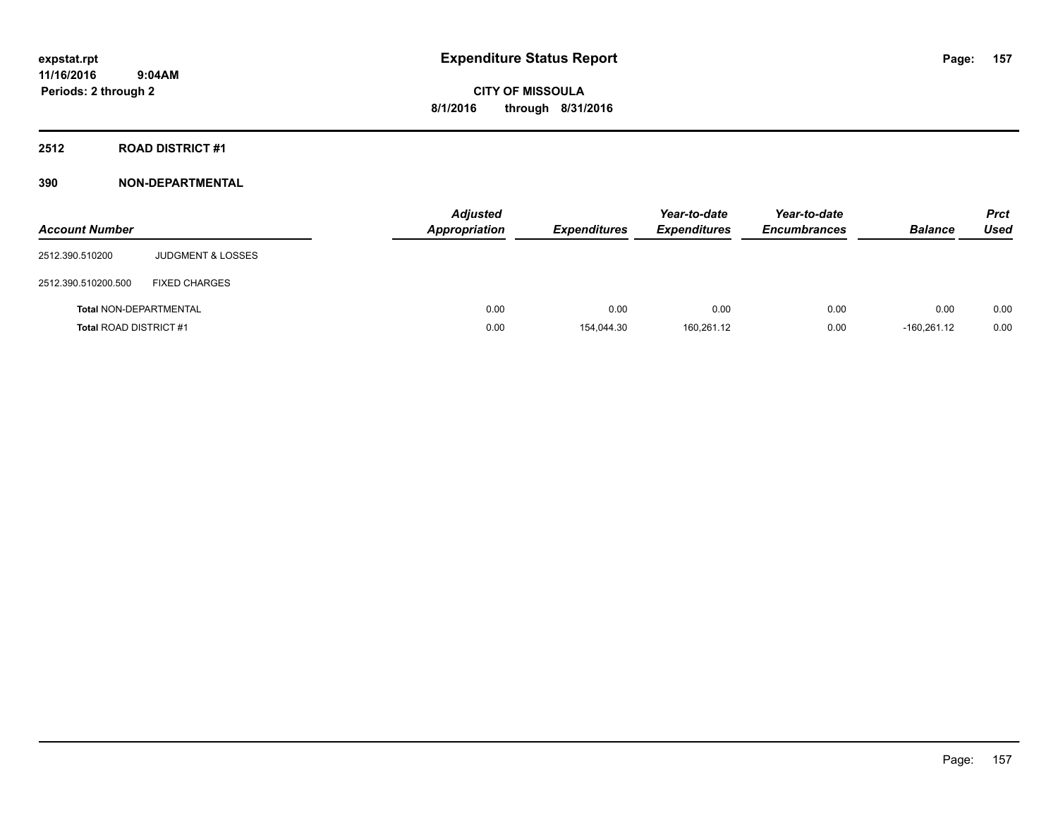**Periods: 2 through 2**

**CITY OF MISSOULA 8/1/2016 through 8/31/2016**

**2512 ROAD DISTRICT #1**

**390 NON-DEPARTMENTAL**

 **9:04AM**

| <b>Account Number</b>         |                              | <b>Adjusted</b><br><b>Appropriation</b> | <b>Expenditures</b> | Year-to-date<br><b>Expenditures</b> | Year-to-date<br><b>Encumbrances</b> | <b>Balance</b> | <b>Prct</b><br><b>Used</b> |
|-------------------------------|------------------------------|-----------------------------------------|---------------------|-------------------------------------|-------------------------------------|----------------|----------------------------|
| 2512.390.510200               | <b>JUDGMENT &amp; LOSSES</b> |                                         |                     |                                     |                                     |                |                            |
| 2512.390.510200.500           | <b>FIXED CHARGES</b>         |                                         |                     |                                     |                                     |                |                            |
| <b>Total NON-DEPARTMENTAL</b> |                              | 0.00                                    | 0.00                | 0.00                                | 0.00                                | 0.00           | 0.00                       |
| <b>Total ROAD DISTRICT#1</b>  |                              | 0.00                                    | 154.044.30          | 160.261.12                          | 0.00                                | $-160.261.12$  | 0.00                       |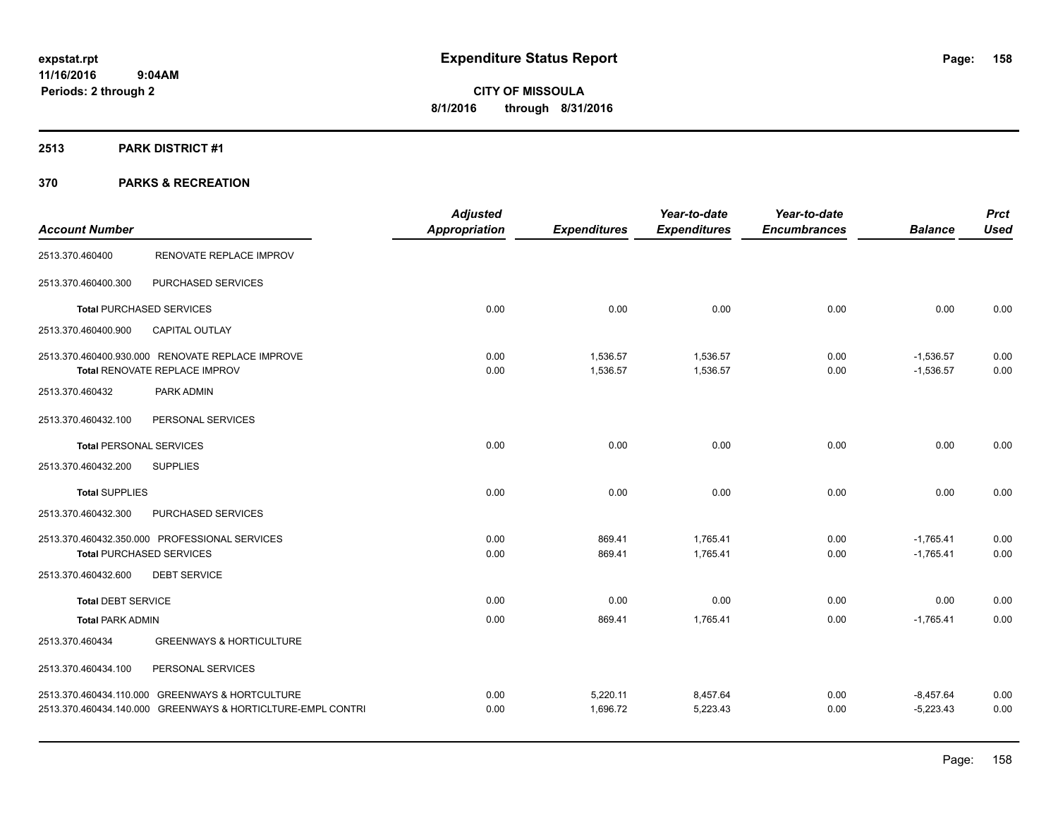### **2513 PARK DISTRICT #1**

|                                |                                                             | <b>Adjusted</b>      |                     | Year-to-date        | Year-to-date        |                | <b>Prct</b> |
|--------------------------------|-------------------------------------------------------------|----------------------|---------------------|---------------------|---------------------|----------------|-------------|
| <b>Account Number</b>          |                                                             | <b>Appropriation</b> | <b>Expenditures</b> | <b>Expenditures</b> | <b>Encumbrances</b> | <b>Balance</b> | <b>Used</b> |
| 2513.370.460400                | <b>RENOVATE REPLACE IMPROV</b>                              |                      |                     |                     |                     |                |             |
| 2513.370.460400.300            | PURCHASED SERVICES                                          |                      |                     |                     |                     |                |             |
|                                | <b>Total PURCHASED SERVICES</b>                             | 0.00                 | 0.00                | 0.00                | 0.00                | 0.00           | 0.00        |
| 2513.370.460400.900            | <b>CAPITAL OUTLAY</b>                                       |                      |                     |                     |                     |                |             |
|                                | 2513.370.460400.930.000 RENOVATE REPLACE IMPROVE            | 0.00                 | 1,536.57            | 1,536.57            | 0.00                | $-1,536.57$    | 0.00        |
|                                | Total RENOVATE REPLACE IMPROV                               | 0.00                 | 1,536.57            | 1,536.57            | 0.00                | $-1,536.57$    | 0.00        |
| 2513.370.460432                | PARK ADMIN                                                  |                      |                     |                     |                     |                |             |
| 2513.370.460432.100            | PERSONAL SERVICES                                           |                      |                     |                     |                     |                |             |
| <b>Total PERSONAL SERVICES</b> |                                                             | 0.00                 | 0.00                | 0.00                | 0.00                | 0.00           | 0.00        |
| 2513.370.460432.200            | <b>SUPPLIES</b>                                             |                      |                     |                     |                     |                |             |
| <b>Total SUPPLIES</b>          |                                                             | 0.00                 | 0.00                | 0.00                | 0.00                | 0.00           | 0.00        |
| 2513.370.460432.300            | PURCHASED SERVICES                                          |                      |                     |                     |                     |                |             |
|                                | 2513.370.460432.350.000 PROFESSIONAL SERVICES               | 0.00                 | 869.41              | 1,765.41            | 0.00                | $-1,765.41$    | 0.00        |
|                                | <b>Total PURCHASED SERVICES</b>                             | 0.00                 | 869.41              | 1,765.41            | 0.00                | $-1,765.41$    | 0.00        |
| 2513.370.460432.600            | <b>DEBT SERVICE</b>                                         |                      |                     |                     |                     |                |             |
| <b>Total DEBT SERVICE</b>      |                                                             | 0.00                 | 0.00                | 0.00                | 0.00                | 0.00           | 0.00        |
| <b>Total PARK ADMIN</b>        |                                                             | 0.00                 | 869.41              | 1,765.41            | 0.00                | $-1,765.41$    | 0.00        |
| 2513.370.460434                | <b>GREENWAYS &amp; HORTICULTURE</b>                         |                      |                     |                     |                     |                |             |
| 2513.370.460434.100            | PERSONAL SERVICES                                           |                      |                     |                     |                     |                |             |
|                                | 2513.370.460434.110.000 GREENWAYS & HORTCULTURE             | 0.00                 | 5,220.11            | 8,457.64            | 0.00                | $-8,457.64$    | 0.00        |
|                                | 2513.370.460434.140.000 GREENWAYS & HORTICLTURE-EMPL CONTRI | 0.00                 | 1,696.72            | 5,223.43            | 0.00                | $-5,223.43$    | 0.00        |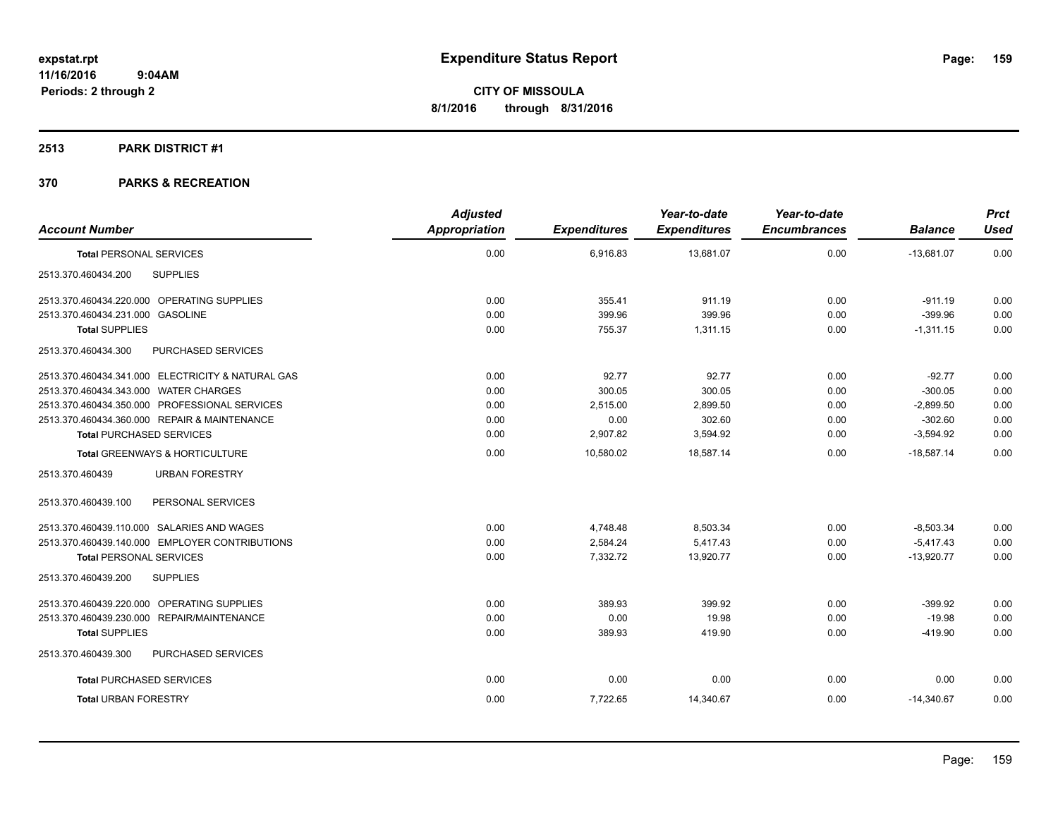#### **2513 PARK DISTRICT #1**

| <b>Account Number</b>                             | <b>Adjusted</b><br>Appropriation | <b>Expenditures</b> | Year-to-date<br><b>Expenditures</b> | Year-to-date<br><b>Encumbrances</b> | <b>Balance</b> | <b>Prct</b><br><b>Used</b> |
|---------------------------------------------------|----------------------------------|---------------------|-------------------------------------|-------------------------------------|----------------|----------------------------|
| <b>Total PERSONAL SERVICES</b>                    | 0.00                             | 6,916.83            | 13,681.07                           | 0.00                                | $-13,681.07$   | 0.00                       |
| <b>SUPPLIES</b><br>2513.370.460434.200            |                                  |                     |                                     |                                     |                |                            |
| 2513.370.460434.220.000 OPERATING SUPPLIES        | 0.00                             | 355.41              | 911.19                              | 0.00                                | $-911.19$      | 0.00                       |
| 2513.370.460434.231.000 GASOLINE                  | 0.00                             | 399.96              | 399.96                              | 0.00                                | $-399.96$      | 0.00                       |
| <b>Total SUPPLIES</b>                             | 0.00                             | 755.37              | 1,311.15                            | 0.00                                | $-1,311.15$    | 0.00                       |
| PURCHASED SERVICES<br>2513.370.460434.300         |                                  |                     |                                     |                                     |                |                            |
| 2513.370.460434.341.000 ELECTRICITY & NATURAL GAS | 0.00                             | 92.77               | 92.77                               | 0.00                                | $-92.77$       | 0.00                       |
| 2513.370.460434.343.000 WATER CHARGES             | 0.00                             | 300.05              | 300.05                              | 0.00                                | $-300.05$      | 0.00                       |
| 2513.370.460434.350.000 PROFESSIONAL SERVICES     | 0.00                             | 2,515.00            | 2,899.50                            | 0.00                                | $-2,899.50$    | 0.00                       |
| 2513.370.460434.360.000 REPAIR & MAINTENANCE      | 0.00                             | 0.00                | 302.60                              | 0.00                                | $-302.60$      | 0.00                       |
| <b>Total PURCHASED SERVICES</b>                   | 0.00                             | 2,907.82            | 3,594.92                            | 0.00                                | $-3,594.92$    | 0.00                       |
| <b>Total GREENWAYS &amp; HORTICULTURE</b>         | 0.00                             | 10.580.02           | 18.587.14                           | 0.00                                | $-18.587.14$   | 0.00                       |
| 2513.370.460439<br><b>URBAN FORESTRY</b>          |                                  |                     |                                     |                                     |                |                            |
| PERSONAL SERVICES<br>2513.370.460439.100          |                                  |                     |                                     |                                     |                |                            |
| 2513.370.460439.110.000 SALARIES AND WAGES        | 0.00                             | 4,748.48            | 8,503.34                            | 0.00                                | $-8,503.34$    | 0.00                       |
| 2513.370.460439.140.000 EMPLOYER CONTRIBUTIONS    | 0.00                             | 2,584.24            | 5,417.43                            | 0.00                                | $-5,417.43$    | 0.00                       |
| <b>Total PERSONAL SERVICES</b>                    | 0.00                             | 7,332.72            | 13,920.77                           | 0.00                                | $-13,920.77$   | 0.00                       |
| 2513.370.460439.200<br><b>SUPPLIES</b>            |                                  |                     |                                     |                                     |                |                            |
| 2513.370.460439.220.000 OPERATING SUPPLIES        | 0.00                             | 389.93              | 399.92                              | 0.00                                | $-399.92$      | 0.00                       |
| 2513.370.460439.230.000 REPAIR/MAINTENANCE        | 0.00                             | 0.00                | 19.98                               | 0.00                                | $-19.98$       | 0.00                       |
| <b>Total SUPPLIES</b>                             | 0.00                             | 389.93              | 419.90                              | 0.00                                | $-419.90$      | 0.00                       |
| 2513.370.460439.300<br>PURCHASED SERVICES         |                                  |                     |                                     |                                     |                |                            |
| <b>Total PURCHASED SERVICES</b>                   | 0.00                             | 0.00                | 0.00                                | 0.00                                | 0.00           | 0.00                       |
| <b>Total URBAN FORESTRY</b>                       | 0.00                             | 7,722.65            | 14,340.67                           | 0.00                                | $-14,340.67$   | 0.00                       |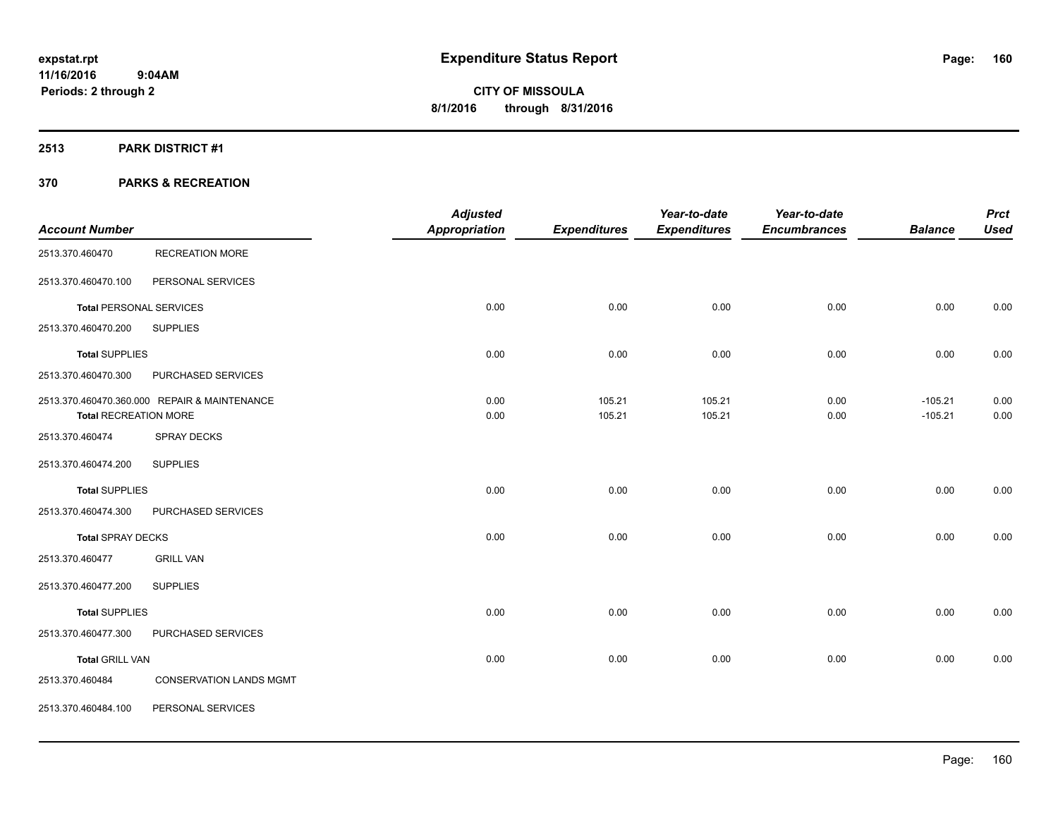#### **2513 PARK DISTRICT #1**

|                                |                                              | <b>Adjusted</b>      |                     | Year-to-date        | Year-to-date        |                        | <b>Prct</b>  |
|--------------------------------|----------------------------------------------|----------------------|---------------------|---------------------|---------------------|------------------------|--------------|
| <b>Account Number</b>          |                                              | <b>Appropriation</b> | <b>Expenditures</b> | <b>Expenditures</b> | <b>Encumbrances</b> | <b>Balance</b>         | <b>Used</b>  |
| 2513.370.460470                | <b>RECREATION MORE</b>                       |                      |                     |                     |                     |                        |              |
| 2513.370.460470.100            | PERSONAL SERVICES                            |                      |                     |                     |                     |                        |              |
| <b>Total PERSONAL SERVICES</b> |                                              | 0.00                 | 0.00                | 0.00                | 0.00                | 0.00                   | 0.00         |
| 2513.370.460470.200            | <b>SUPPLIES</b>                              |                      |                     |                     |                     |                        |              |
| <b>Total SUPPLIES</b>          |                                              | 0.00                 | 0.00                | 0.00                | 0.00                | 0.00                   | 0.00         |
| 2513.370.460470.300            | PURCHASED SERVICES                           |                      |                     |                     |                     |                        |              |
| <b>Total RECREATION MORE</b>   | 2513.370.460470.360.000 REPAIR & MAINTENANCE | 0.00<br>0.00         | 105.21<br>105.21    | 105.21<br>105.21    | 0.00<br>0.00        | $-105.21$<br>$-105.21$ | 0.00<br>0.00 |
| 2513.370.460474                | <b>SPRAY DECKS</b>                           |                      |                     |                     |                     |                        |              |
| 2513.370.460474.200            | <b>SUPPLIES</b>                              |                      |                     |                     |                     |                        |              |
| <b>Total SUPPLIES</b>          |                                              | 0.00                 | 0.00                | 0.00                | 0.00                | 0.00                   | 0.00         |
| 2513.370.460474.300            | PURCHASED SERVICES                           |                      |                     |                     |                     |                        |              |
| <b>Total SPRAY DECKS</b>       |                                              | 0.00                 | 0.00                | 0.00                | 0.00                | 0.00                   | 0.00         |
| 2513.370.460477                | <b>GRILL VAN</b>                             |                      |                     |                     |                     |                        |              |
| 2513.370.460477.200            | <b>SUPPLIES</b>                              |                      |                     |                     |                     |                        |              |
| <b>Total SUPPLIES</b>          |                                              | 0.00                 | 0.00                | 0.00                | 0.00                | 0.00                   | 0.00         |
| 2513.370.460477.300            | PURCHASED SERVICES                           |                      |                     |                     |                     |                        |              |
| <b>Total GRILL VAN</b>         |                                              | 0.00                 | 0.00                | 0.00                | 0.00                | 0.00                   | 0.00         |
| 2513.370.460484                | <b>CONSERVATION LANDS MGMT</b>               |                      |                     |                     |                     |                        |              |
| 2513.370.460484.100            | PERSONAL SERVICES                            |                      |                     |                     |                     |                        |              |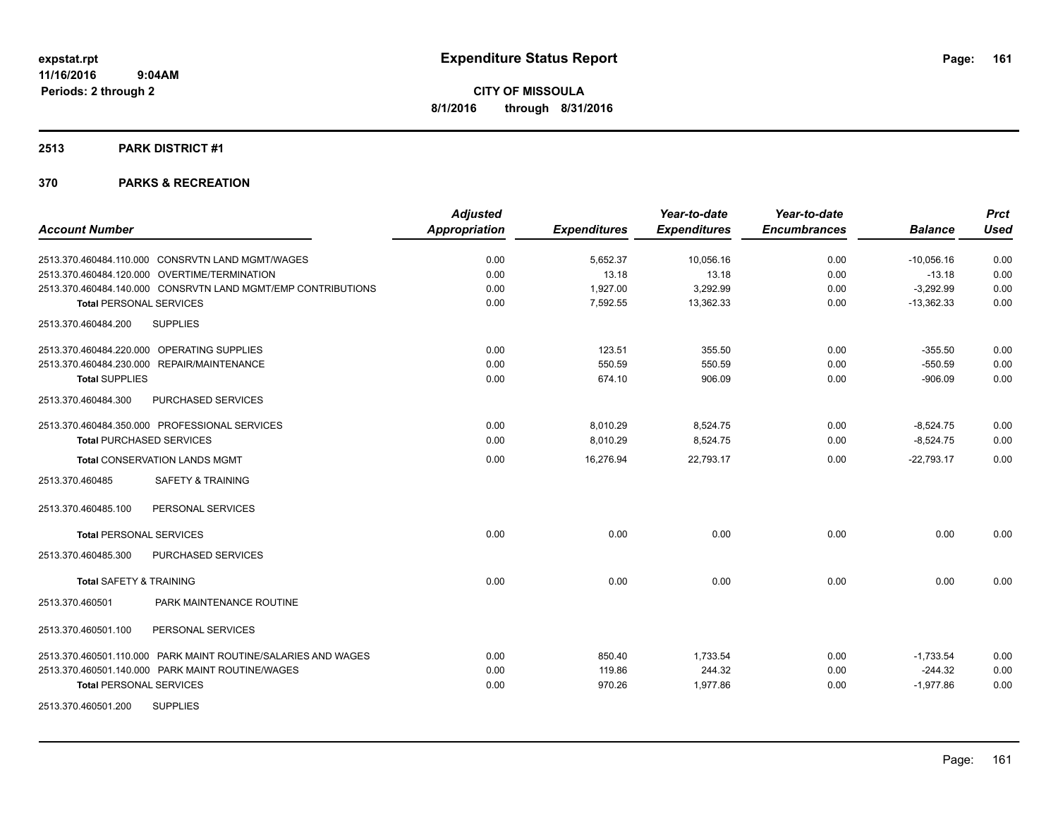#### **2513 PARK DISTRICT #1**

| <b>Account Number</b>                                         | <b>Adjusted</b><br><b>Appropriation</b> | <b>Expenditures</b> | Year-to-date<br><b>Expenditures</b> | Year-to-date<br><b>Encumbrances</b> | <b>Balance</b> | <b>Prct</b><br><b>Used</b> |
|---------------------------------------------------------------|-----------------------------------------|---------------------|-------------------------------------|-------------------------------------|----------------|----------------------------|
|                                                               |                                         |                     |                                     |                                     |                |                            |
| 2513.370.460484.110.000 CONSRVTN LAND MGMT/WAGES              | 0.00                                    | 5,652.37            | 10,056.16                           | 0.00                                | $-10,056.16$   | 0.00                       |
| 2513.370.460484.120.000 OVERTIME/TERMINATION                  | 0.00                                    | 13.18               | 13.18                               | 0.00                                | $-13.18$       | 0.00                       |
| 2513.370.460484.140.000 CONSRVTN LAND MGMT/EMP CONTRIBUTIONS  | 0.00                                    | 1,927.00            | 3,292.99                            | 0.00                                | $-3,292.99$    | 0.00                       |
| <b>Total PERSONAL SERVICES</b>                                | 0.00                                    | 7,592.55            | 13,362.33                           | 0.00                                | $-13,362.33$   | 0.00                       |
| <b>SUPPLIES</b><br>2513.370.460484.200                        |                                         |                     |                                     |                                     |                |                            |
| 2513.370.460484.220.000 OPERATING SUPPLIES                    | 0.00                                    | 123.51              | 355.50                              | 0.00                                | $-355.50$      | 0.00                       |
| 2513.370.460484.230.000 REPAIR/MAINTENANCE                    | 0.00                                    | 550.59              | 550.59                              | 0.00                                | $-550.59$      | 0.00                       |
| <b>Total SUPPLIES</b>                                         | 0.00                                    | 674.10              | 906.09                              | 0.00                                | $-906.09$      | 0.00                       |
| 2513.370.460484.300<br>PURCHASED SERVICES                     |                                         |                     |                                     |                                     |                |                            |
| 2513.370.460484.350.000 PROFESSIONAL SERVICES                 | 0.00                                    | 8,010.29            | 8,524.75                            | 0.00                                | $-8,524.75$    | 0.00                       |
| <b>Total PURCHASED SERVICES</b>                               | 0.00                                    | 8,010.29            | 8,524.75                            | 0.00                                | $-8,524.75$    | 0.00                       |
| <b>Total CONSERVATION LANDS MGMT</b>                          | 0.00                                    | 16,276.94           | 22,793.17                           | 0.00                                | $-22,793.17$   | 0.00                       |
| <b>SAFETY &amp; TRAINING</b><br>2513.370.460485               |                                         |                     |                                     |                                     |                |                            |
| PERSONAL SERVICES<br>2513.370.460485.100                      |                                         |                     |                                     |                                     |                |                            |
| <b>Total PERSONAL SERVICES</b>                                | 0.00                                    | 0.00                | 0.00                                | 0.00                                | 0.00           | 0.00                       |
| 2513.370.460485.300<br>PURCHASED SERVICES                     |                                         |                     |                                     |                                     |                |                            |
| <b>Total SAFETY &amp; TRAINING</b>                            | 0.00                                    | 0.00                | 0.00                                | 0.00                                | 0.00           | 0.00                       |
| PARK MAINTENANCE ROUTINE<br>2513.370.460501                   |                                         |                     |                                     |                                     |                |                            |
| 2513.370.460501.100<br>PERSONAL SERVICES                      |                                         |                     |                                     |                                     |                |                            |
| 2513.370.460501.110.000 PARK MAINT ROUTINE/SALARIES AND WAGES | 0.00                                    | 850.40              | 1,733.54                            | 0.00                                | $-1,733.54$    | 0.00                       |
| 2513.370.460501.140.000 PARK MAINT ROUTINE/WAGES              | 0.00                                    | 119.86              | 244.32                              | 0.00                                | $-244.32$      | 0.00                       |
| <b>Total PERSONAL SERVICES</b>                                | 0.00                                    | 970.26              | 1,977.86                            | 0.00                                | $-1.977.86$    | 0.00                       |
| 2513.370.460501.200<br><b>SUPPLIES</b>                        |                                         |                     |                                     |                                     |                |                            |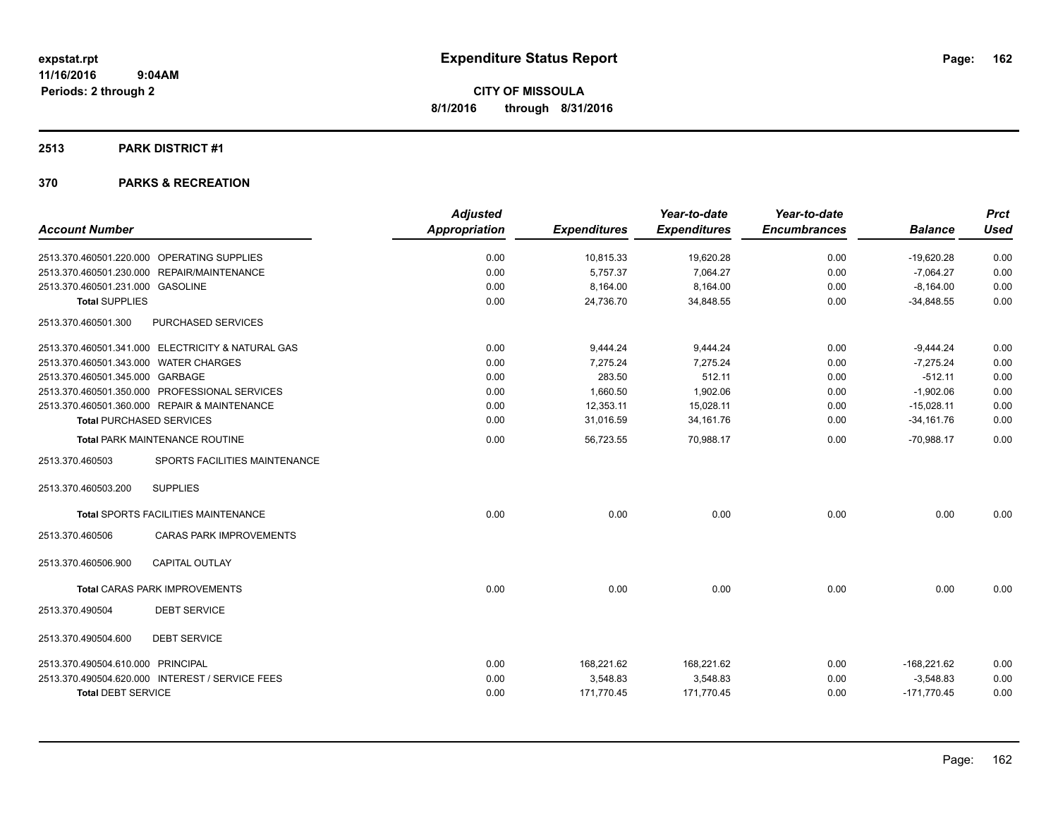### **2513 PARK DISTRICT #1**

|                                       |                                                   | <b>Adjusted</b>      |                     | Year-to-date        | Year-to-date        |                | <b>Prct</b> |
|---------------------------------------|---------------------------------------------------|----------------------|---------------------|---------------------|---------------------|----------------|-------------|
| <b>Account Number</b>                 |                                                   | <b>Appropriation</b> | <b>Expenditures</b> | <b>Expenditures</b> | <b>Encumbrances</b> | <b>Balance</b> | <b>Used</b> |
|                                       | 2513.370.460501.220.000 OPERATING SUPPLIES        | 0.00                 | 10,815.33           | 19,620.28           | 0.00                | $-19,620.28$   | 0.00        |
|                                       | 2513.370.460501.230.000 REPAIR/MAINTENANCE        | 0.00                 | 5,757.37            | 7,064.27            | 0.00                | $-7,064.27$    | 0.00        |
| 2513.370.460501.231.000 GASOLINE      |                                                   | 0.00                 | 8,164.00            | 8.164.00            | 0.00                | $-8.164.00$    | 0.00        |
| <b>Total SUPPLIES</b>                 |                                                   | 0.00                 | 24,736.70           | 34,848.55           | 0.00                | $-34,848.55$   | 0.00        |
| 2513.370.460501.300                   | PURCHASED SERVICES                                |                      |                     |                     |                     |                |             |
|                                       | 2513.370.460501.341.000 ELECTRICITY & NATURAL GAS | 0.00                 | 9,444.24            | 9,444.24            | 0.00                | $-9,444.24$    | 0.00        |
| 2513.370.460501.343.000 WATER CHARGES |                                                   | 0.00                 | 7.275.24            | 7.275.24            | 0.00                | $-7.275.24$    | 0.00        |
| 2513.370.460501.345.000 GARBAGE       |                                                   | 0.00                 | 283.50              | 512.11              | 0.00                | $-512.11$      | 0.00        |
|                                       | 2513.370.460501.350.000 PROFESSIONAL SERVICES     | 0.00                 | 1,660.50            | 1,902.06            | 0.00                | $-1,902.06$    | 0.00        |
|                                       | 2513.370.460501.360.000 REPAIR & MAINTENANCE      | 0.00                 | 12,353.11           | 15,028.11           | 0.00                | $-15,028.11$   | 0.00        |
|                                       | <b>Total PURCHASED SERVICES</b>                   | 0.00                 | 31,016.59           | 34, 161. 76         | 0.00                | $-34,161.76$   | 0.00        |
|                                       | <b>Total PARK MAINTENANCE ROUTINE</b>             | 0.00                 | 56,723.55           | 70,988.17           | 0.00                | $-70,988.17$   | 0.00        |
| 2513.370.460503                       | SPORTS FACILITIES MAINTENANCE                     |                      |                     |                     |                     |                |             |
| 2513.370.460503.200                   | <b>SUPPLIES</b>                                   |                      |                     |                     |                     |                |             |
|                                       | <b>Total SPORTS FACILITIES MAINTENANCE</b>        | 0.00                 | 0.00                | 0.00                | 0.00                | 0.00           | 0.00        |
| 2513.370.460506                       | <b>CARAS PARK IMPROVEMENTS</b>                    |                      |                     |                     |                     |                |             |
| 2513.370.460506.900                   | <b>CAPITAL OUTLAY</b>                             |                      |                     |                     |                     |                |             |
|                                       | <b>Total CARAS PARK IMPROVEMENTS</b>              | 0.00                 | 0.00                | 0.00                | 0.00                | 0.00           | 0.00        |
| 2513.370.490504                       | <b>DEBT SERVICE</b>                               |                      |                     |                     |                     |                |             |
| 2513.370.490504.600                   | <b>DEBT SERVICE</b>                               |                      |                     |                     |                     |                |             |
| 2513.370.490504.610.000 PRINCIPAL     |                                                   | 0.00                 | 168,221.62          | 168,221.62          | 0.00                | $-168,221.62$  | 0.00        |
|                                       | 2513.370.490504.620.000 INTEREST / SERVICE FEES   | 0.00                 | 3,548.83            | 3,548.83            | 0.00                | $-3,548.83$    | 0.00        |
| <b>Total DEBT SERVICE</b>             |                                                   | 0.00                 | 171,770.45          | 171,770.45          | 0.00                | $-171,770.45$  | 0.00        |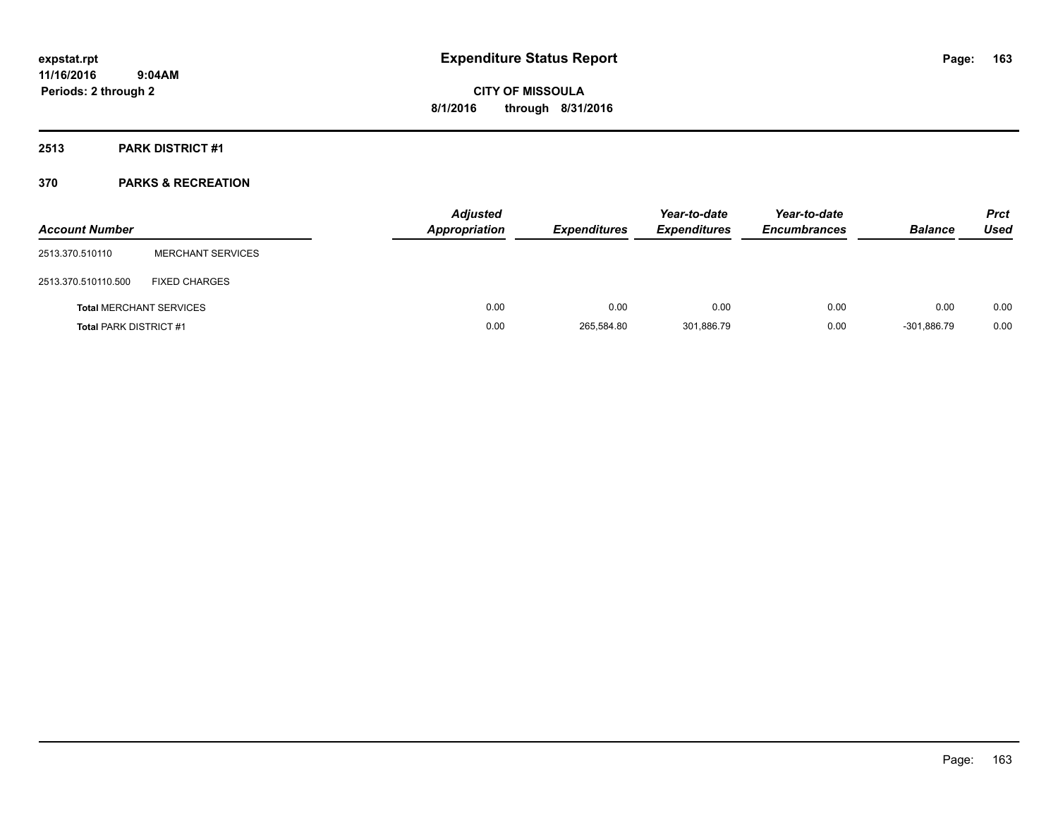### **2513 PARK DISTRICT #1**

| <b>Account Number</b>          |                          | <b>Adjusted</b><br><b>Appropriation</b> | <b>Expenditures</b> | Year-to-date<br><b>Expenditures</b> | Year-to-date<br><b>Encumbrances</b> | <b>Balance</b> | <b>Prct</b><br><b>Used</b> |
|--------------------------------|--------------------------|-----------------------------------------|---------------------|-------------------------------------|-------------------------------------|----------------|----------------------------|
| 2513.370.510110                | <b>MERCHANT SERVICES</b> |                                         |                     |                                     |                                     |                |                            |
| 2513.370.510110.500            | <b>FIXED CHARGES</b>     |                                         |                     |                                     |                                     |                |                            |
| <b>Total MERCHANT SERVICES</b> |                          | 0.00                                    | 0.00                | 0.00                                | 0.00                                | 0.00           | 0.00                       |
| <b>Total PARK DISTRICT #1</b>  |                          | 0.00                                    | 265,584.80          | 301,886.79                          | 0.00                                | $-301.886.79$  | 0.00                       |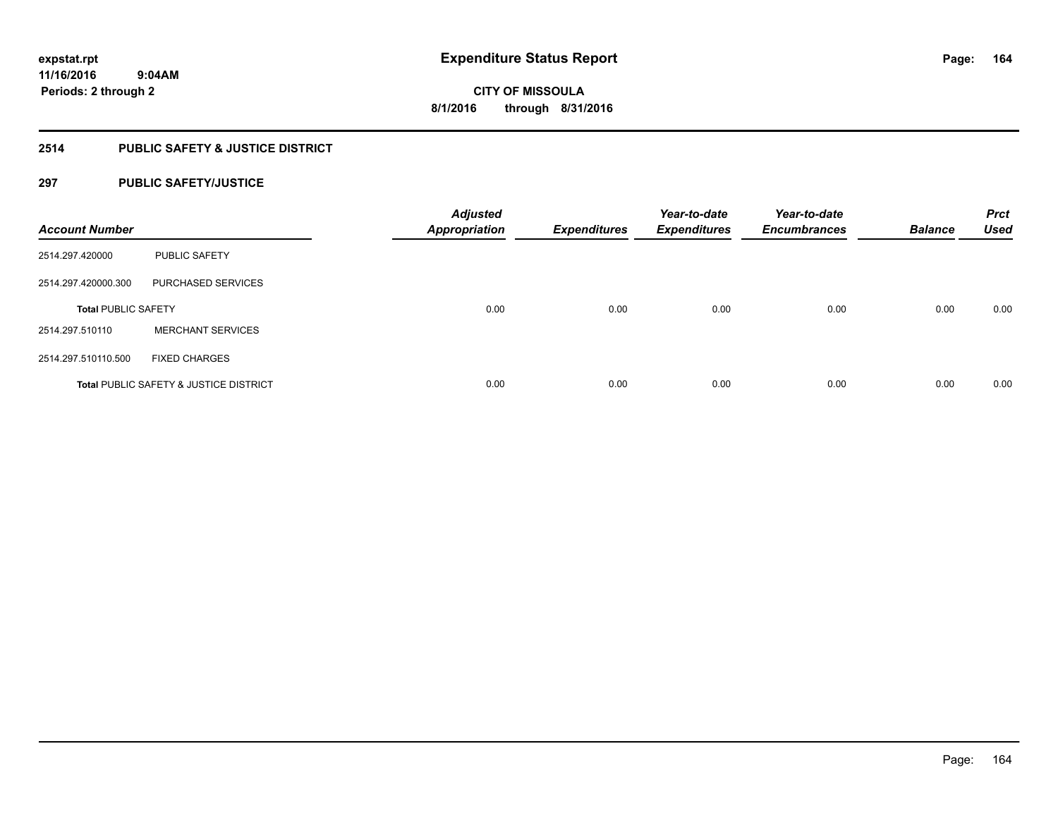### **2514 PUBLIC SAFETY & JUSTICE DISTRICT**

### **297 PUBLIC SAFETY/JUSTICE**

| <b>Account Number</b>      |                                                   | <b>Adjusted</b><br><b>Appropriation</b> | <b>Expenditures</b> | Year-to-date<br><b>Expenditures</b> | Year-to-date<br><b>Encumbrances</b> | <b>Balance</b> | <b>Prct</b><br><b>Used</b> |
|----------------------------|---------------------------------------------------|-----------------------------------------|---------------------|-------------------------------------|-------------------------------------|----------------|----------------------------|
| 2514.297.420000            | <b>PUBLIC SAFETY</b>                              |                                         |                     |                                     |                                     |                |                            |
| 2514.297.420000.300        | PURCHASED SERVICES                                |                                         |                     |                                     |                                     |                |                            |
| <b>Total PUBLIC SAFETY</b> |                                                   | 0.00                                    | 0.00                | 0.00                                | 0.00                                | 0.00           | 0.00                       |
| 2514.297.510110            | <b>MERCHANT SERVICES</b>                          |                                         |                     |                                     |                                     |                |                            |
| 2514.297.510110.500        | <b>FIXED CHARGES</b>                              |                                         |                     |                                     |                                     |                |                            |
|                            | <b>Total PUBLIC SAFETY &amp; JUSTICE DISTRICT</b> | 0.00                                    | 0.00                | 0.00                                | 0.00                                | 0.00           | 0.00                       |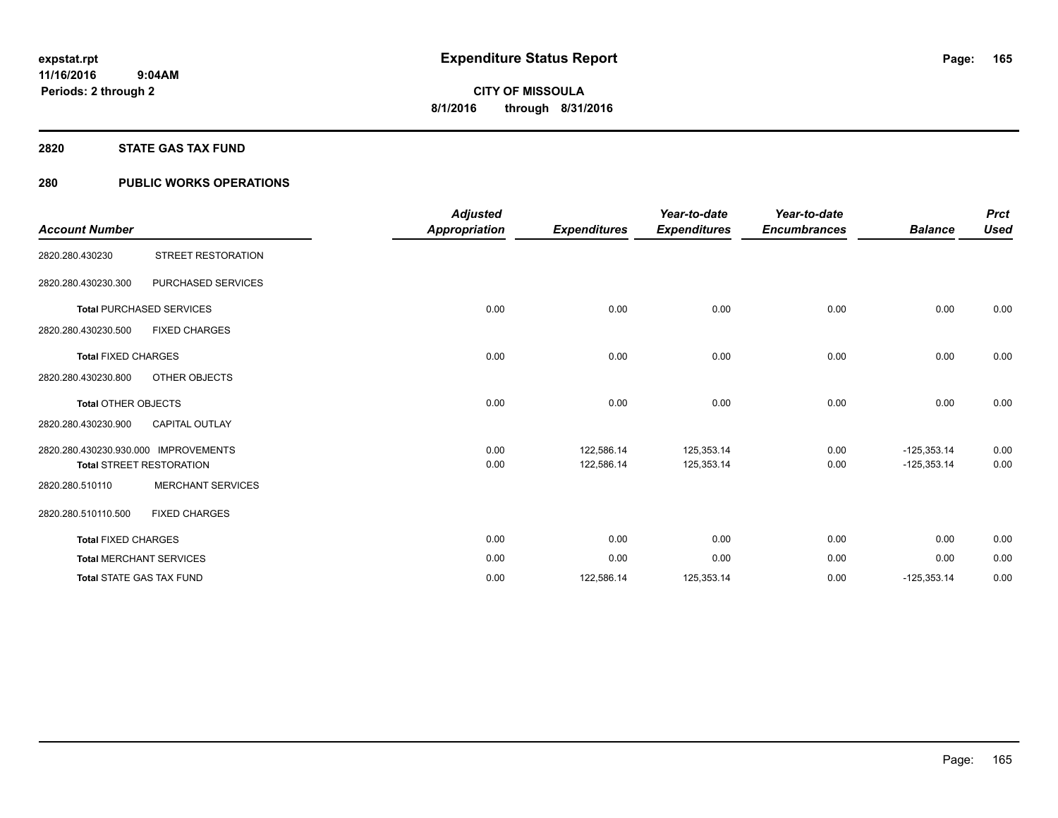### **2820 STATE GAS TAX FUND**

### **280 PUBLIC WORKS OPERATIONS**

|                                      |                                 | <b>Adjusted</b>      |                     | Year-to-date        | Year-to-date        |                | <b>Prct</b> |
|--------------------------------------|---------------------------------|----------------------|---------------------|---------------------|---------------------|----------------|-------------|
| <b>Account Number</b>                |                                 | <b>Appropriation</b> | <b>Expenditures</b> | <b>Expenditures</b> | <b>Encumbrances</b> | <b>Balance</b> | <b>Used</b> |
| 2820.280.430230                      | <b>STREET RESTORATION</b>       |                      |                     |                     |                     |                |             |
| 2820.280.430230.300                  | PURCHASED SERVICES              |                      |                     |                     |                     |                |             |
|                                      | <b>Total PURCHASED SERVICES</b> | 0.00                 | 0.00                | 0.00                | 0.00                | 0.00           | 0.00        |
| 2820.280.430230.500                  | <b>FIXED CHARGES</b>            |                      |                     |                     |                     |                |             |
| <b>Total FIXED CHARGES</b>           |                                 | 0.00                 | 0.00                | 0.00                | 0.00                | 0.00           | 0.00        |
| 2820.280.430230.800                  | OTHER OBJECTS                   |                      |                     |                     |                     |                |             |
| <b>Total OTHER OBJECTS</b>           |                                 | 0.00                 | 0.00                | 0.00                | 0.00                | 0.00           | 0.00        |
| 2820.280.430230.900                  | <b>CAPITAL OUTLAY</b>           |                      |                     |                     |                     |                |             |
| 2820.280.430230.930.000 IMPROVEMENTS |                                 | 0.00                 | 122,586.14          | 125,353.14          | 0.00                | $-125,353.14$  | 0.00        |
|                                      | <b>Total STREET RESTORATION</b> | 0.00                 | 122,586.14          | 125,353.14          | 0.00                | $-125,353.14$  | 0.00        |
| 2820.280.510110                      | <b>MERCHANT SERVICES</b>        |                      |                     |                     |                     |                |             |
| 2820.280.510110.500                  | <b>FIXED CHARGES</b>            |                      |                     |                     |                     |                |             |
| <b>Total FIXED CHARGES</b>           |                                 | 0.00                 | 0.00                | 0.00                | 0.00                | 0.00           | 0.00        |
|                                      | <b>Total MERCHANT SERVICES</b>  | 0.00                 | 0.00                | 0.00                | 0.00                | 0.00           | 0.00        |
|                                      | <b>Total STATE GAS TAX FUND</b> | 0.00                 | 122,586.14          | 125,353.14          | 0.00                | $-125,353.14$  | 0.00        |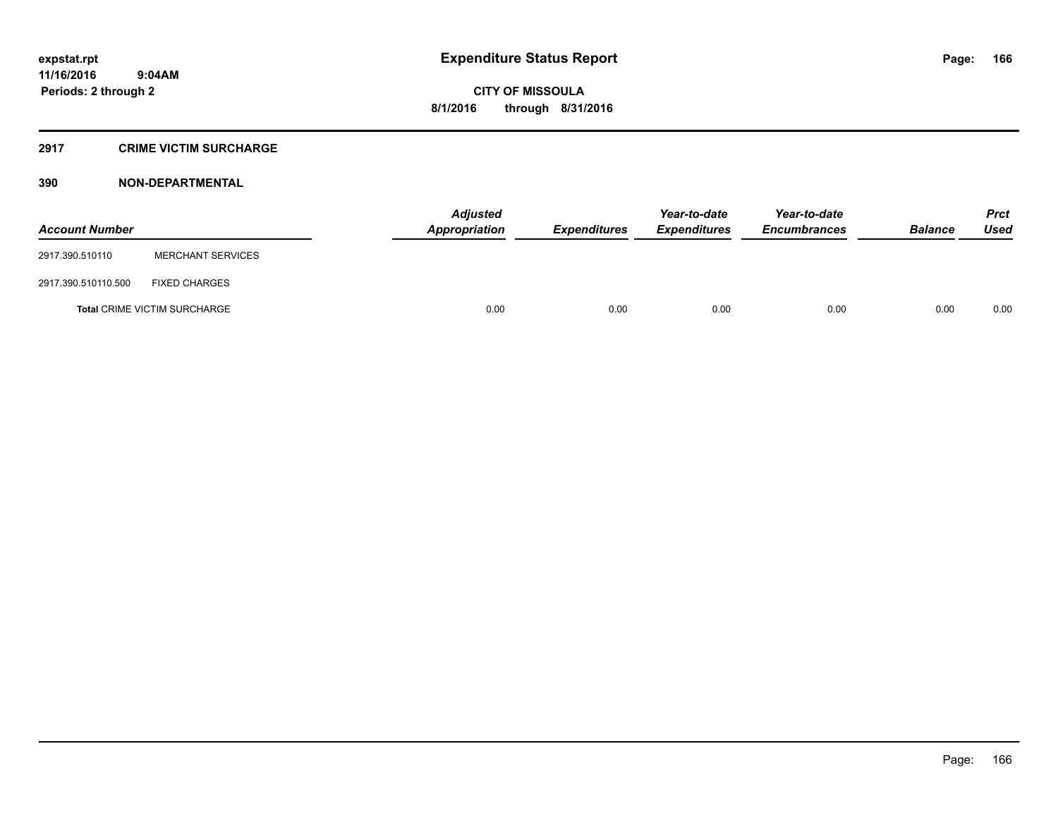### **2917 CRIME VICTIM SURCHARGE**

### **390 NON-DEPARTMENTAL**

| <b>Account Number</b> |                                     | Adjusted<br><b>Appropriation</b> | <b>Expenditures</b> | Year-to-date<br><b>Expenditures</b> | Year-to-date<br><b>Encumbrances</b> | <b>Balance</b> | <b>Prct</b><br><b>Used</b> |
|-----------------------|-------------------------------------|----------------------------------|---------------------|-------------------------------------|-------------------------------------|----------------|----------------------------|
| 2917.390.510110       | <b>MERCHANT SERVICES</b>            |                                  |                     |                                     |                                     |                |                            |
| 2917.390.510110.500   | <b>FIXED CHARGES</b>                |                                  |                     |                                     |                                     |                |                            |
|                       | <b>Total CRIME VICTIM SURCHARGE</b> | 0.00                             | 0.00                | 0.00                                | 0.00                                | 0.00           | 0.00                       |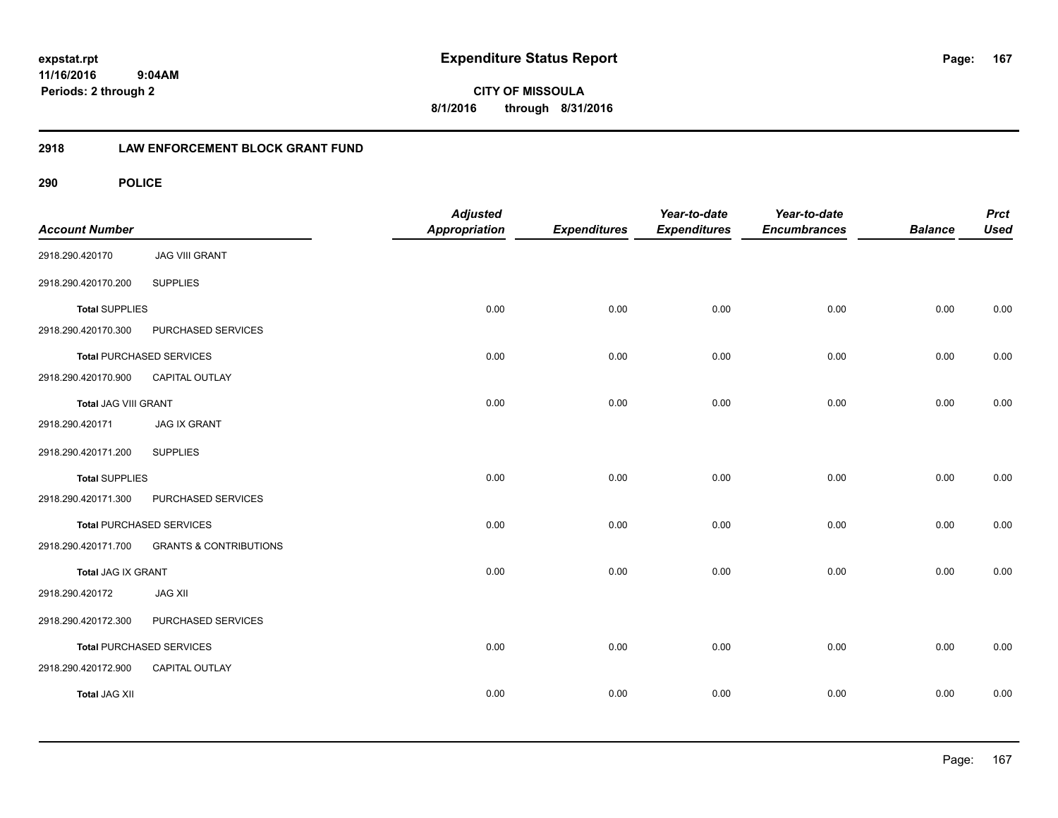**CITY OF MISSOULA 8/1/2016 through 8/31/2016**

### **2918 LAW ENFORCEMENT BLOCK GRANT FUND**

| <b>Account Number</b> |                                   | <b>Adjusted</b><br>Appropriation | <b>Expenditures</b> | Year-to-date<br><b>Expenditures</b> | Year-to-date<br><b>Encumbrances</b> | <b>Balance</b> | <b>Prct</b><br><b>Used</b> |
|-----------------------|-----------------------------------|----------------------------------|---------------------|-------------------------------------|-------------------------------------|----------------|----------------------------|
| 2918.290.420170       | <b>JAG VIII GRANT</b>             |                                  |                     |                                     |                                     |                |                            |
| 2918.290.420170.200   | <b>SUPPLIES</b>                   |                                  |                     |                                     |                                     |                |                            |
| <b>Total SUPPLIES</b> |                                   | 0.00                             | 0.00                | 0.00                                | 0.00                                | 0.00           | 0.00                       |
| 2918.290.420170.300   | PURCHASED SERVICES                |                                  |                     |                                     |                                     |                |                            |
|                       | <b>Total PURCHASED SERVICES</b>   | 0.00                             | 0.00                | 0.00                                | 0.00                                | 0.00           | 0.00                       |
| 2918.290.420170.900   | CAPITAL OUTLAY                    |                                  |                     |                                     |                                     |                |                            |
| Total JAG VIII GRANT  |                                   | 0.00                             | 0.00                | 0.00                                | 0.00                                | 0.00           | 0.00                       |
| 2918.290.420171       | <b>JAG IX GRANT</b>               |                                  |                     |                                     |                                     |                |                            |
| 2918.290.420171.200   | <b>SUPPLIES</b>                   |                                  |                     |                                     |                                     |                |                            |
| <b>Total SUPPLIES</b> |                                   | 0.00                             | 0.00                | 0.00                                | 0.00                                | 0.00           | 0.00                       |
| 2918.290.420171.300   | PURCHASED SERVICES                |                                  |                     |                                     |                                     |                |                            |
|                       | <b>Total PURCHASED SERVICES</b>   | 0.00                             | 0.00                | 0.00                                | 0.00                                | 0.00           | 0.00                       |
| 2918.290.420171.700   | <b>GRANTS &amp; CONTRIBUTIONS</b> |                                  |                     |                                     |                                     |                |                            |
| Total JAG IX GRANT    |                                   | 0.00                             | 0.00                | 0.00                                | 0.00                                | 0.00           | 0.00                       |
| 2918.290.420172       | <b>JAG XII</b>                    |                                  |                     |                                     |                                     |                |                            |
| 2918.290.420172.300   | PURCHASED SERVICES                |                                  |                     |                                     |                                     |                |                            |
|                       | <b>Total PURCHASED SERVICES</b>   | 0.00                             | 0.00                | 0.00                                | 0.00                                | 0.00           | 0.00                       |
| 2918.290.420172.900   | CAPITAL OUTLAY                    |                                  |                     |                                     |                                     |                |                            |
| <b>Total JAG XII</b>  |                                   | 0.00                             | 0.00                | 0.00                                | 0.00                                | 0.00           | 0.00                       |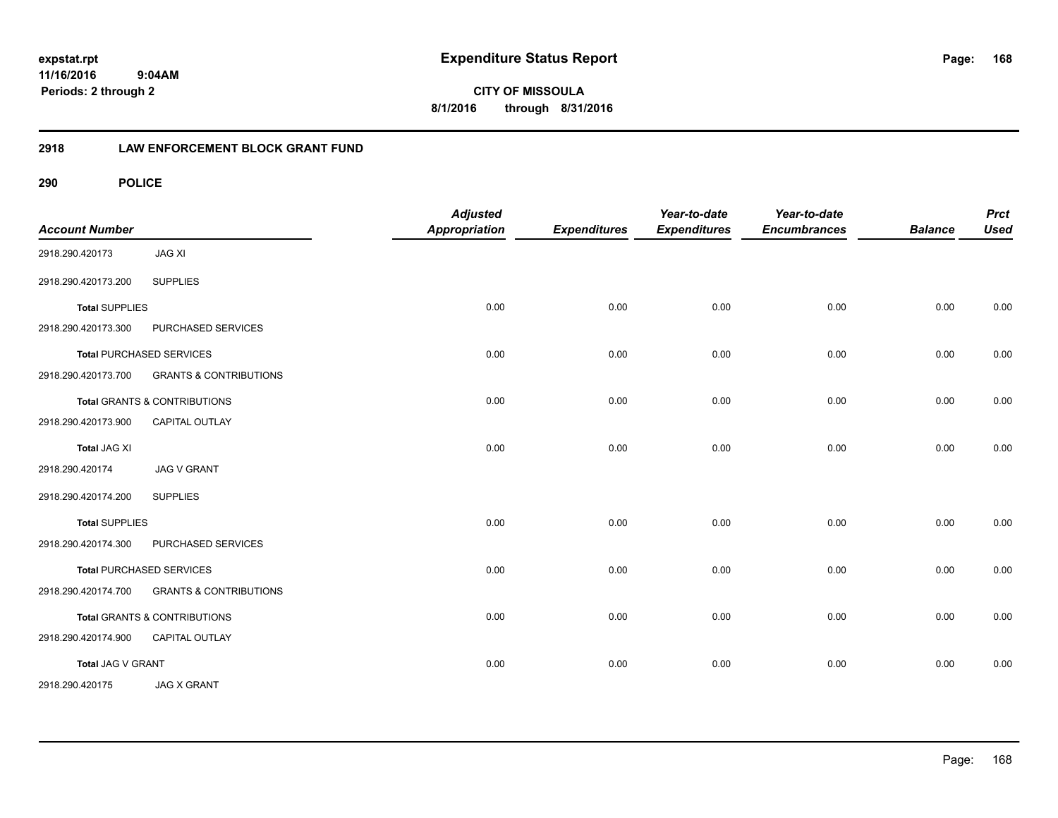**CITY OF MISSOULA 8/1/2016 through 8/31/2016**

### **2918 LAW ENFORCEMENT BLOCK GRANT FUND**

| <b>Account Number</b> |                                   | <b>Adjusted</b><br><b>Appropriation</b> | <b>Expenditures</b> | Year-to-date<br><b>Expenditures</b> | Year-to-date<br><b>Encumbrances</b> | <b>Balance</b> | <b>Prct</b><br><b>Used</b> |
|-----------------------|-----------------------------------|-----------------------------------------|---------------------|-------------------------------------|-------------------------------------|----------------|----------------------------|
| 2918.290.420173       | <b>JAG XI</b>                     |                                         |                     |                                     |                                     |                |                            |
| 2918.290.420173.200   | <b>SUPPLIES</b>                   |                                         |                     |                                     |                                     |                |                            |
| <b>Total SUPPLIES</b> |                                   | 0.00                                    | 0.00                | 0.00                                | 0.00                                | 0.00           | 0.00                       |
| 2918.290.420173.300   | PURCHASED SERVICES                |                                         |                     |                                     |                                     |                |                            |
|                       | <b>Total PURCHASED SERVICES</b>   | 0.00                                    | 0.00                | 0.00                                | 0.00                                | 0.00           | 0.00                       |
| 2918.290.420173.700   | <b>GRANTS &amp; CONTRIBUTIONS</b> |                                         |                     |                                     |                                     |                |                            |
|                       | Total GRANTS & CONTRIBUTIONS      | 0.00                                    | 0.00                | 0.00                                | 0.00                                | 0.00           | 0.00                       |
| 2918.290.420173.900   | <b>CAPITAL OUTLAY</b>             |                                         |                     |                                     |                                     |                |                            |
| <b>Total JAG XI</b>   |                                   | 0.00                                    | 0.00                | 0.00                                | 0.00                                | 0.00           | 0.00                       |
| 2918.290.420174       | <b>JAG V GRANT</b>                |                                         |                     |                                     |                                     |                |                            |
| 2918.290.420174.200   | <b>SUPPLIES</b>                   |                                         |                     |                                     |                                     |                |                            |
| <b>Total SUPPLIES</b> |                                   | 0.00                                    | 0.00                | 0.00                                | 0.00                                | 0.00           | 0.00                       |
| 2918.290.420174.300   | PURCHASED SERVICES                |                                         |                     |                                     |                                     |                |                            |
|                       | <b>Total PURCHASED SERVICES</b>   | 0.00                                    | 0.00                | 0.00                                | 0.00                                | 0.00           | 0.00                       |
| 2918.290.420174.700   | <b>GRANTS &amp; CONTRIBUTIONS</b> |                                         |                     |                                     |                                     |                |                            |
|                       | Total GRANTS & CONTRIBUTIONS      | 0.00                                    | 0.00                | 0.00                                | 0.00                                | 0.00           | 0.00                       |
| 2918.290.420174.900   | CAPITAL OUTLAY                    |                                         |                     |                                     |                                     |                |                            |
| Total JAG V GRANT     |                                   | 0.00                                    | 0.00                | 0.00                                | 0.00                                | 0.00           | 0.00                       |
| 2918.290.420175       | <b>JAG X GRANT</b>                |                                         |                     |                                     |                                     |                |                            |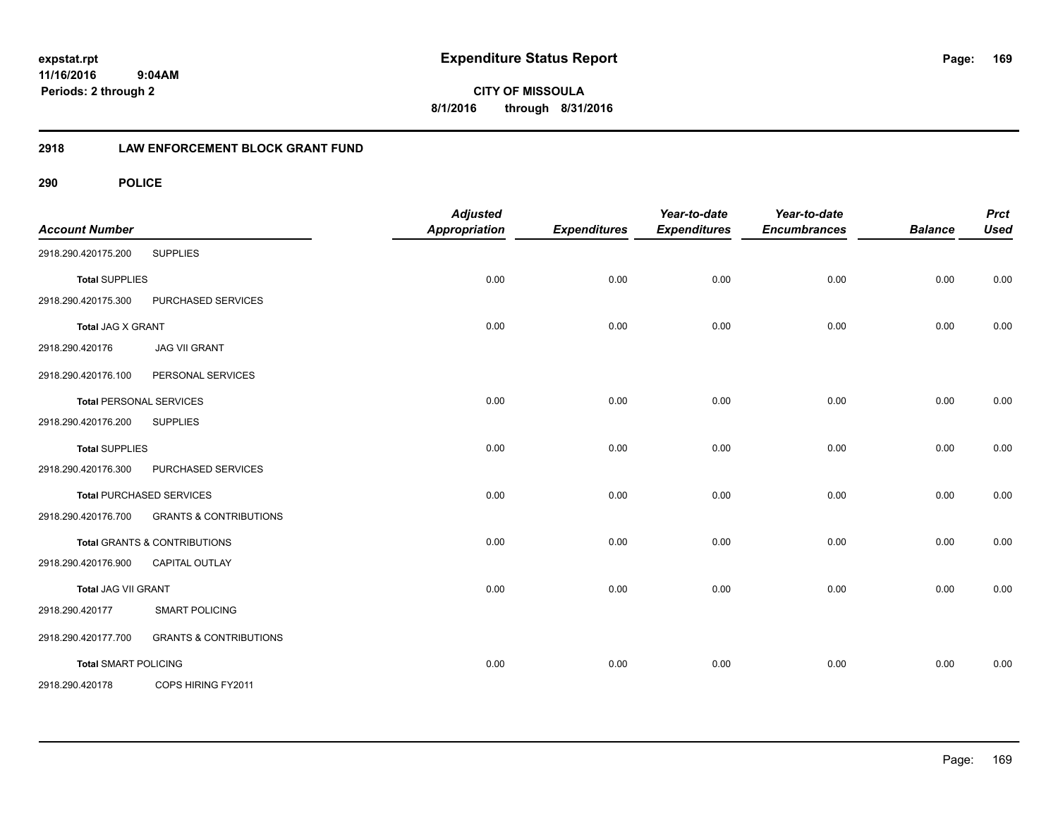**CITY OF MISSOULA 8/1/2016 through 8/31/2016**

### **2918 LAW ENFORCEMENT BLOCK GRANT FUND**

| <b>Account Number</b>       |                                         | <b>Adjusted</b><br><b>Appropriation</b> | <b>Expenditures</b> | Year-to-date<br><b>Expenditures</b> | Year-to-date<br><b>Encumbrances</b> | <b>Balance</b> | <b>Prct</b><br><b>Used</b> |
|-----------------------------|-----------------------------------------|-----------------------------------------|---------------------|-------------------------------------|-------------------------------------|----------------|----------------------------|
| 2918.290.420175.200         | <b>SUPPLIES</b>                         |                                         |                     |                                     |                                     |                |                            |
| <b>Total SUPPLIES</b>       |                                         | 0.00                                    | 0.00                | 0.00                                | 0.00                                | 0.00           | 0.00                       |
| 2918.290.420175.300         | PURCHASED SERVICES                      |                                         |                     |                                     |                                     |                |                            |
| <b>Total JAG X GRANT</b>    |                                         | 0.00                                    | 0.00                | 0.00                                | 0.00                                | 0.00           | 0.00                       |
| 2918.290.420176             | <b>JAG VII GRANT</b>                    |                                         |                     |                                     |                                     |                |                            |
| 2918.290.420176.100         | PERSONAL SERVICES                       |                                         |                     |                                     |                                     |                |                            |
|                             | <b>Total PERSONAL SERVICES</b>          | 0.00                                    | 0.00                | 0.00                                | 0.00                                | 0.00           | 0.00                       |
| 2918.290.420176.200         | <b>SUPPLIES</b>                         |                                         |                     |                                     |                                     |                |                            |
| <b>Total SUPPLIES</b>       |                                         | 0.00                                    | 0.00                | 0.00                                | 0.00                                | 0.00           | 0.00                       |
| 2918.290.420176.300         | PURCHASED SERVICES                      |                                         |                     |                                     |                                     |                |                            |
|                             | <b>Total PURCHASED SERVICES</b>         | 0.00                                    | 0.00                | 0.00                                | 0.00                                | 0.00           | 0.00                       |
| 2918.290.420176.700         | <b>GRANTS &amp; CONTRIBUTIONS</b>       |                                         |                     |                                     |                                     |                |                            |
|                             | <b>Total GRANTS &amp; CONTRIBUTIONS</b> | 0.00                                    | 0.00                | 0.00                                | 0.00                                | 0.00           | 0.00                       |
| 2918.290.420176.900         | CAPITAL OUTLAY                          |                                         |                     |                                     |                                     |                |                            |
| Total JAG VII GRANT         |                                         | 0.00                                    | 0.00                | 0.00                                | 0.00                                | 0.00           | 0.00                       |
| 2918.290.420177             | <b>SMART POLICING</b>                   |                                         |                     |                                     |                                     |                |                            |
| 2918.290.420177.700         | <b>GRANTS &amp; CONTRIBUTIONS</b>       |                                         |                     |                                     |                                     |                |                            |
| <b>Total SMART POLICING</b> |                                         | 0.00                                    | 0.00                | 0.00                                | 0.00                                | 0.00           | 0.00                       |
| 2918.290.420178             | COPS HIRING FY2011                      |                                         |                     |                                     |                                     |                |                            |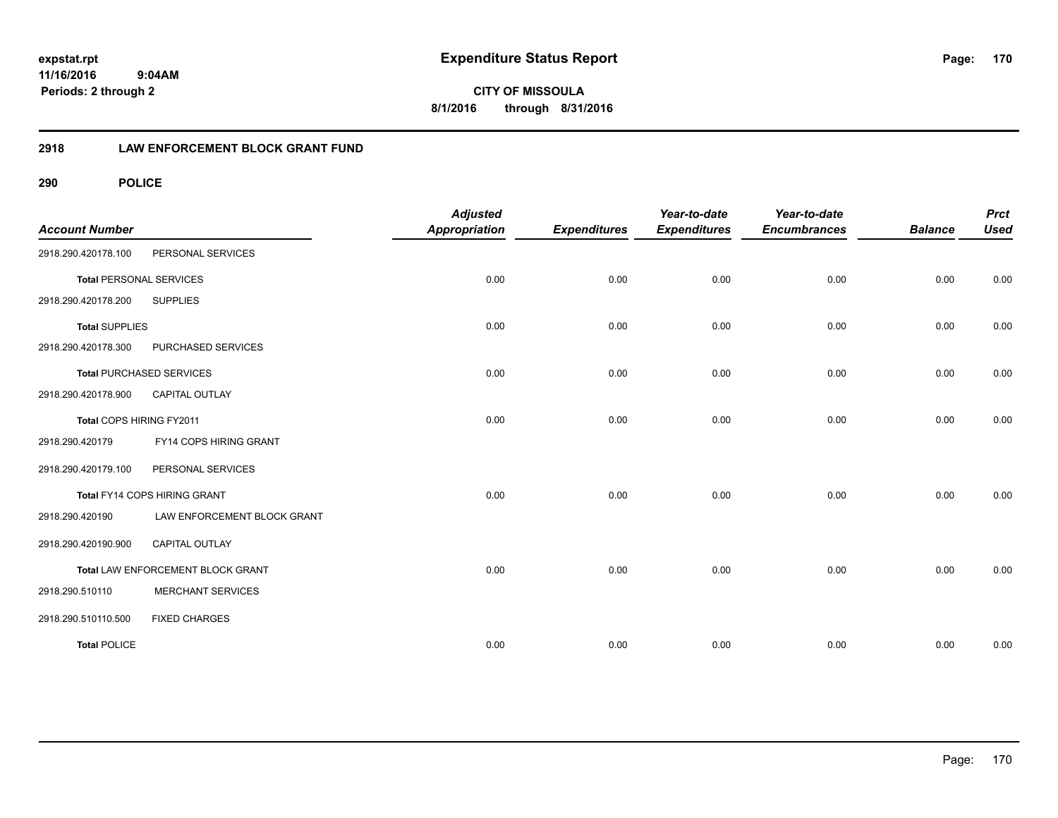**CITY OF MISSOULA 8/1/2016 through 8/31/2016**

### **2918 LAW ENFORCEMENT BLOCK GRANT FUND**

| <b>Account Number</b>          |                                   | <b>Adjusted</b><br><b>Appropriation</b> | <b>Expenditures</b> | Year-to-date<br><b>Expenditures</b> | Year-to-date<br><b>Encumbrances</b> | <b>Balance</b> | <b>Prct</b><br><b>Used</b> |
|--------------------------------|-----------------------------------|-----------------------------------------|---------------------|-------------------------------------|-------------------------------------|----------------|----------------------------|
| 2918.290.420178.100            | PERSONAL SERVICES                 |                                         |                     |                                     |                                     |                |                            |
| <b>Total PERSONAL SERVICES</b> |                                   | 0.00                                    | 0.00                | 0.00                                | 0.00                                | 0.00           | 0.00                       |
| 2918.290.420178.200            | <b>SUPPLIES</b>                   |                                         |                     |                                     |                                     |                |                            |
| <b>Total SUPPLIES</b>          |                                   | 0.00                                    | 0.00                | 0.00                                | 0.00                                | 0.00           | 0.00                       |
| 2918.290.420178.300            | PURCHASED SERVICES                |                                         |                     |                                     |                                     |                |                            |
|                                | <b>Total PURCHASED SERVICES</b>   | 0.00                                    | 0.00                | 0.00                                | 0.00                                | 0.00           | 0.00                       |
| 2918.290.420178.900            | <b>CAPITAL OUTLAY</b>             |                                         |                     |                                     |                                     |                |                            |
| Total COPS HIRING FY2011       |                                   | 0.00                                    | 0.00                | 0.00                                | 0.00                                | 0.00           | 0.00                       |
| 2918.290.420179                | FY14 COPS HIRING GRANT            |                                         |                     |                                     |                                     |                |                            |
| 2918.290.420179.100            | PERSONAL SERVICES                 |                                         |                     |                                     |                                     |                |                            |
|                                | Total FY14 COPS HIRING GRANT      | 0.00                                    | 0.00                | 0.00                                | 0.00                                | 0.00           | 0.00                       |
| 2918.290.420190                | LAW ENFORCEMENT BLOCK GRANT       |                                         |                     |                                     |                                     |                |                            |
| 2918.290.420190.900            | <b>CAPITAL OUTLAY</b>             |                                         |                     |                                     |                                     |                |                            |
|                                | Total LAW ENFORCEMENT BLOCK GRANT | 0.00                                    | 0.00                | 0.00                                | 0.00                                | 0.00           | 0.00                       |
| 2918.290.510110                | <b>MERCHANT SERVICES</b>          |                                         |                     |                                     |                                     |                |                            |
| 2918.290.510110.500            | <b>FIXED CHARGES</b>              |                                         |                     |                                     |                                     |                |                            |
| <b>Total POLICE</b>            |                                   | 0.00                                    | 0.00                | 0.00                                | 0.00                                | 0.00           | 0.00                       |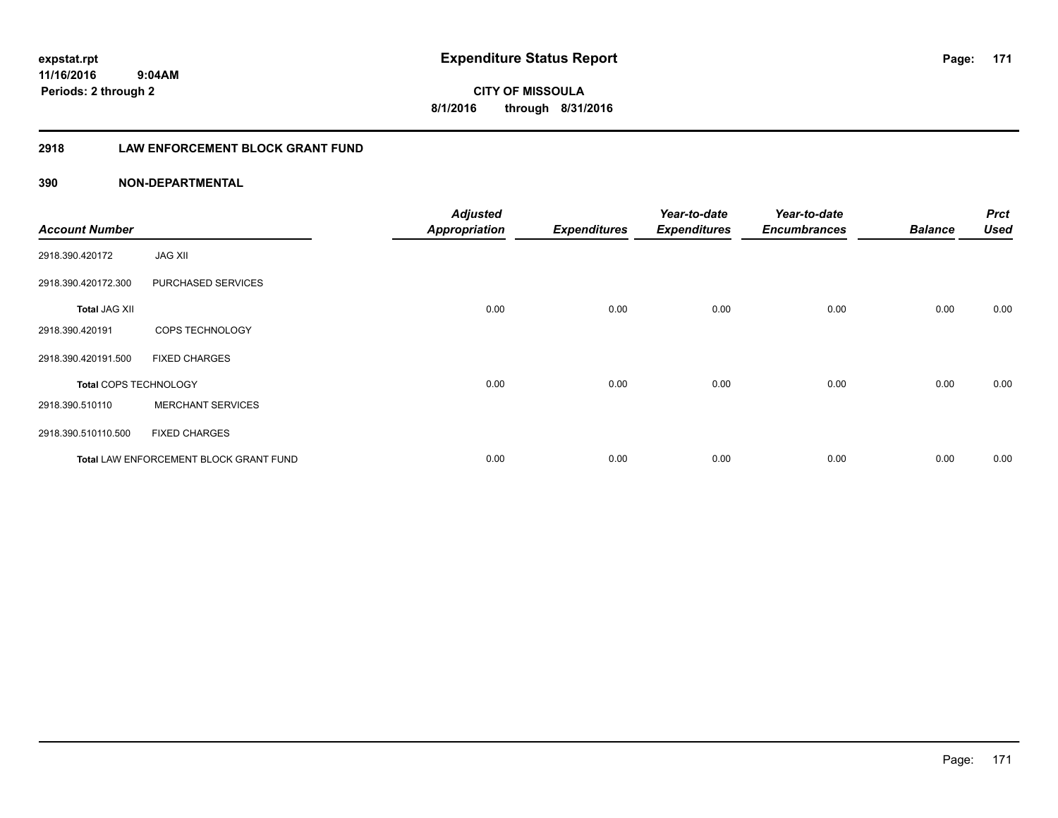**171**

**11/16/2016 9:04AM Periods: 2 through 2**

**CITY OF MISSOULA 8/1/2016 through 8/31/2016**

### **2918 LAW ENFORCEMENT BLOCK GRANT FUND**

### **390 NON-DEPARTMENTAL**

| <b>Account Number</b> |                                        | <b>Adjusted</b><br><b>Appropriation</b> | <b>Expenditures</b> | Year-to-date<br><b>Expenditures</b> | Year-to-date<br><b>Encumbrances</b> | <b>Balance</b> | <b>Prct</b><br><b>Used</b> |
|-----------------------|----------------------------------------|-----------------------------------------|---------------------|-------------------------------------|-------------------------------------|----------------|----------------------------|
| 2918.390.420172       | <b>JAG XII</b>                         |                                         |                     |                                     |                                     |                |                            |
| 2918.390.420172.300   | PURCHASED SERVICES                     |                                         |                     |                                     |                                     |                |                            |
| <b>Total JAG XII</b>  |                                        | 0.00                                    | 0.00                | 0.00                                | 0.00                                | 0.00           | 0.00                       |
| 2918.390.420191       | COPS TECHNOLOGY                        |                                         |                     |                                     |                                     |                |                            |
| 2918.390.420191.500   | <b>FIXED CHARGES</b>                   |                                         |                     |                                     |                                     |                |                            |
| Total COPS TECHNOLOGY |                                        | 0.00                                    | 0.00                | 0.00                                | 0.00                                | 0.00           | 0.00                       |
| 2918.390.510110       | <b>MERCHANT SERVICES</b>               |                                         |                     |                                     |                                     |                |                            |
| 2918.390.510110.500   | <b>FIXED CHARGES</b>                   |                                         |                     |                                     |                                     |                |                            |
|                       | Total LAW ENFORCEMENT BLOCK GRANT FUND | 0.00                                    | 0.00                | 0.00                                | 0.00                                | 0.00           | 0.00                       |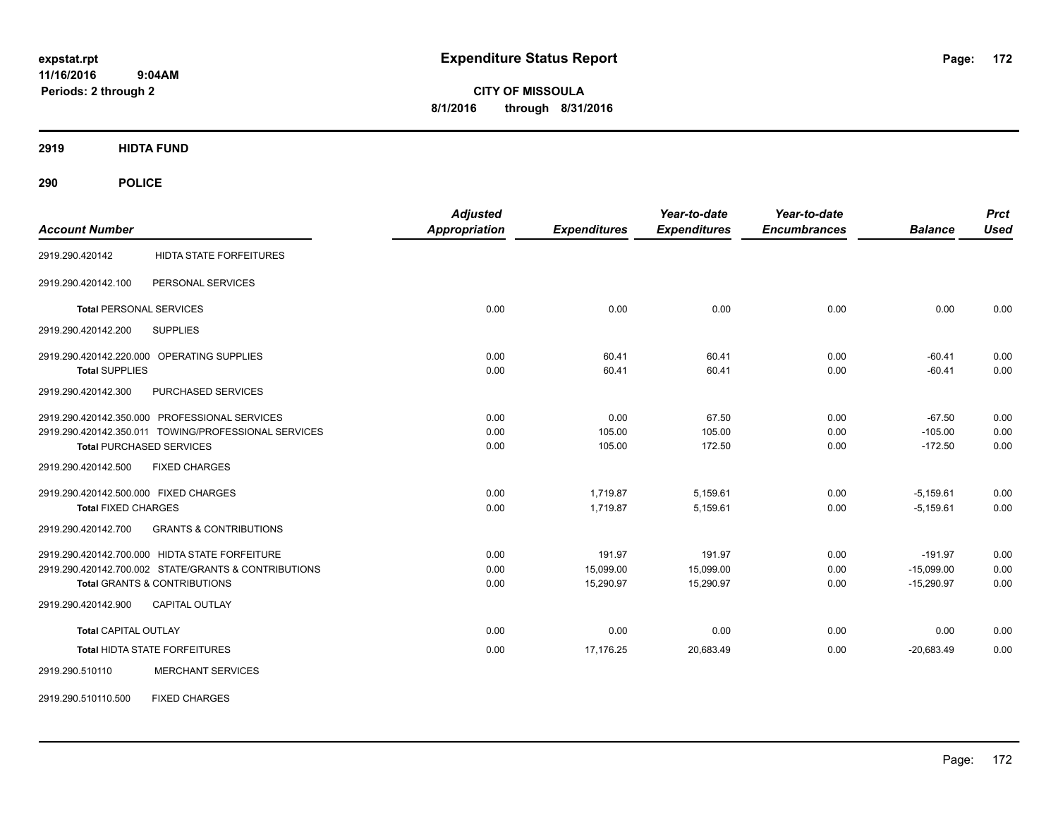**CITY OF MISSOULA 8/1/2016 through 8/31/2016**

**2919 HIDTA FUND**

| <b>Account Number</b>                                    | <b>Adjusted</b><br><b>Appropriation</b> | <b>Expenditures</b> | Year-to-date<br><b>Expenditures</b> | Year-to-date<br><b>Encumbrances</b> | <b>Balance</b> | <b>Prct</b><br><b>Used</b> |
|----------------------------------------------------------|-----------------------------------------|---------------------|-------------------------------------|-------------------------------------|----------------|----------------------------|
| <b>HIDTA STATE FORFEITURES</b><br>2919.290.420142        |                                         |                     |                                     |                                     |                |                            |
| PERSONAL SERVICES<br>2919.290.420142.100                 |                                         |                     |                                     |                                     |                |                            |
| <b>Total PERSONAL SERVICES</b>                           | 0.00                                    | 0.00                | 0.00                                | 0.00                                | 0.00           | 0.00                       |
| 2919.290.420142.200<br><b>SUPPLIES</b>                   |                                         |                     |                                     |                                     |                |                            |
| 2919.290.420142.220.000 OPERATING SUPPLIES               | 0.00                                    | 60.41               | 60.41                               | 0.00                                | $-60.41$       | 0.00                       |
| <b>Total SUPPLIES</b>                                    | 0.00                                    | 60.41               | 60.41                               | 0.00                                | $-60.41$       | 0.00                       |
| PURCHASED SERVICES<br>2919.290.420142.300                |                                         |                     |                                     |                                     |                |                            |
| 2919.290.420142.350.000 PROFESSIONAL SERVICES            | 0.00                                    | 0.00                | 67.50                               | 0.00                                | $-67.50$       | 0.00                       |
| 2919.290.420142.350.011 TOWING/PROFESSIONAL SERVICES     | 0.00                                    | 105.00              | 105.00                              | 0.00                                | $-105.00$      | 0.00                       |
| <b>Total PURCHASED SERVICES</b>                          | 0.00                                    | 105.00              | 172.50                              | 0.00                                | $-172.50$      | 0.00                       |
| <b>FIXED CHARGES</b><br>2919.290.420142.500              |                                         |                     |                                     |                                     |                |                            |
| 2919.290.420142.500.000 FIXED CHARGES                    | 0.00                                    | 1,719.87            | 5,159.61                            | 0.00                                | $-5,159.61$    | 0.00                       |
| <b>Total FIXED CHARGES</b>                               | 0.00                                    | 1,719.87            | 5,159.61                            | 0.00                                | $-5,159.61$    | 0.00                       |
| <b>GRANTS &amp; CONTRIBUTIONS</b><br>2919.290.420142.700 |                                         |                     |                                     |                                     |                |                            |
| 2919.290.420142.700.000 HIDTA STATE FORFEITURE           | 0.00                                    | 191.97              | 191.97                              | 0.00                                | $-191.97$      | 0.00                       |
| 2919.290.420142.700.002 STATE/GRANTS & CONTRIBUTIONS     | 0.00                                    | 15,099.00           | 15,099.00                           | 0.00                                | $-15,099.00$   | 0.00                       |
| <b>Total GRANTS &amp; CONTRIBUTIONS</b>                  | 0.00                                    | 15,290.97           | 15,290.97                           | 0.00                                | $-15,290.97$   | 0.00                       |
| 2919.290.420142.900<br><b>CAPITAL OUTLAY</b>             |                                         |                     |                                     |                                     |                |                            |
| <b>Total CAPITAL OUTLAY</b>                              | 0.00                                    | 0.00                | 0.00                                | 0.00                                | 0.00           | 0.00                       |
| Total HIDTA STATE FORFEITURES                            | 0.00                                    | 17,176.25           | 20,683.49                           | 0.00                                | $-20,683.49$   | 0.00                       |
| 2919.290.510110<br><b>MERCHANT SERVICES</b>              |                                         |                     |                                     |                                     |                |                            |
| <b>FIXED CHARGES</b><br>2919.290.510110.500              |                                         |                     |                                     |                                     |                |                            |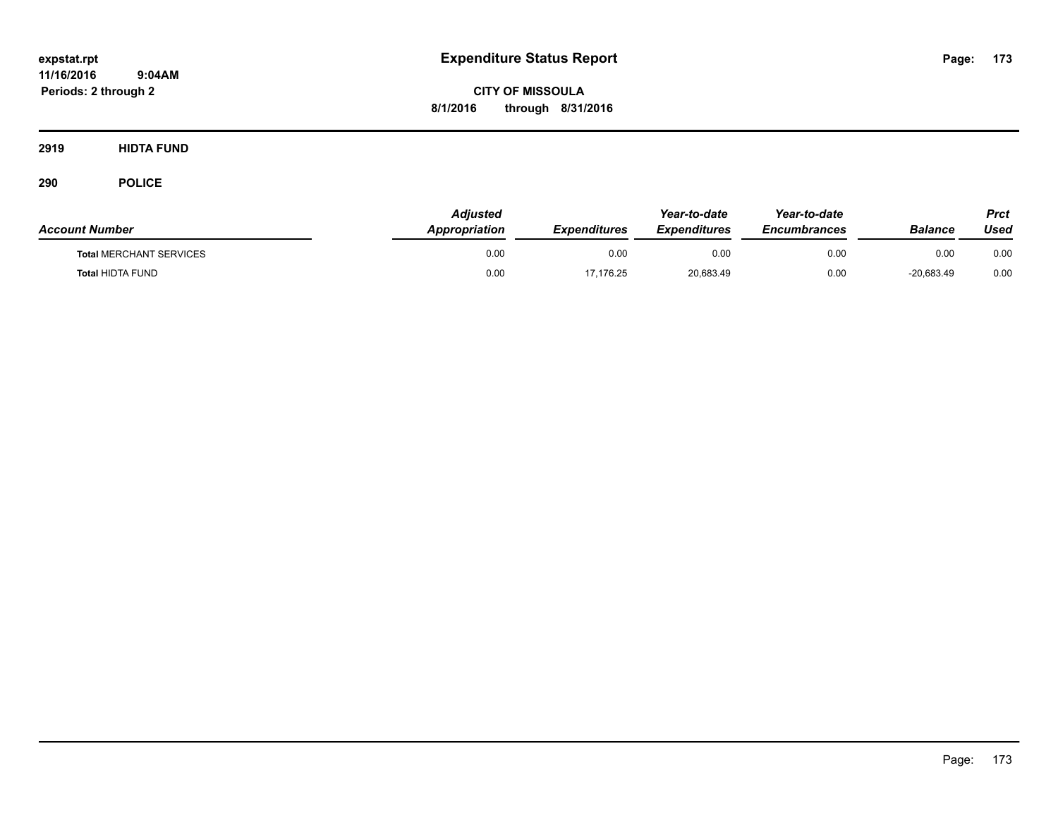**CITY OF MISSOULA 8/1/2016 through 8/31/2016**

**2919 HIDTA FUND**

| <b>Account Number</b>          | Adjusted<br><b>Appropriation</b> | <b>Expenditures</b> | Year-to-date<br><b>Expenditures</b> | Year-to-date<br><b>Encumbrances</b> | <b>Balance</b> | Prct<br>Used |
|--------------------------------|----------------------------------|---------------------|-------------------------------------|-------------------------------------|----------------|--------------|
| <b>Total MERCHANT SERVICES</b> | 0.00                             | 0.00                | 0.00                                | 0.00                                | 0.00           | 0.00         |
| <b>Total HIDTA FUND</b>        | 0.00                             | 17.176.25           | 20,683.49                           | 0.00                                | -20,683.49     | 0.00         |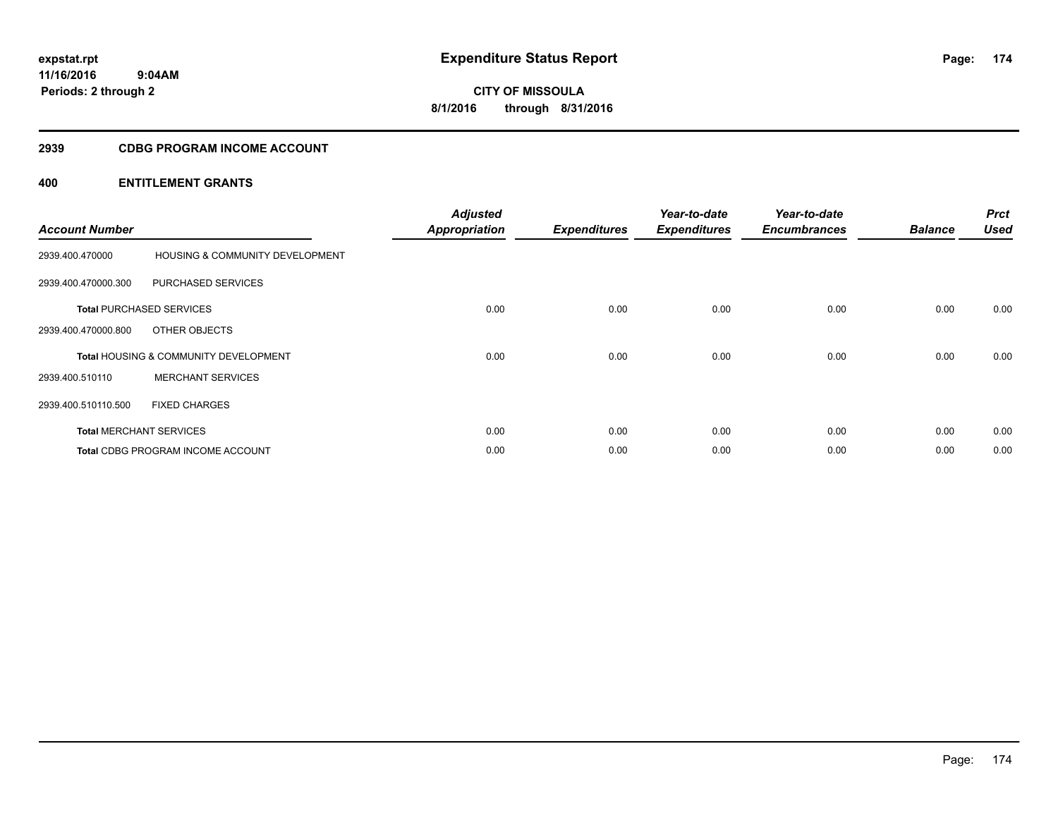**174**

**11/16/2016 9:04AM Periods: 2 through 2**

# **CITY OF MISSOULA 8/1/2016 through 8/31/2016**

### **2939 CDBG PROGRAM INCOME ACCOUNT**

| <b>Account Number</b> |                                                  | <b>Adjusted</b><br><b>Appropriation</b> | <b>Expenditures</b> | Year-to-date<br><b>Expenditures</b> | Year-to-date<br><b>Encumbrances</b> | <b>Balance</b> | <b>Prct</b><br><b>Used</b> |
|-----------------------|--------------------------------------------------|-----------------------------------------|---------------------|-------------------------------------|-------------------------------------|----------------|----------------------------|
| 2939.400.470000       | <b>HOUSING &amp; COMMUNITY DEVELOPMENT</b>       |                                         |                     |                                     |                                     |                |                            |
| 2939.400.470000.300   | PURCHASED SERVICES                               |                                         |                     |                                     |                                     |                |                            |
|                       | <b>Total PURCHASED SERVICES</b>                  | 0.00                                    | 0.00                | 0.00                                | 0.00                                | 0.00           | 0.00                       |
| 2939.400.470000.800   | OTHER OBJECTS                                    |                                         |                     |                                     |                                     |                |                            |
|                       | <b>Total HOUSING &amp; COMMUNITY DEVELOPMENT</b> | 0.00                                    | 0.00                | 0.00                                | 0.00                                | 0.00           | 0.00                       |
| 2939.400.510110       | <b>MERCHANT SERVICES</b>                         |                                         |                     |                                     |                                     |                |                            |
| 2939.400.510110.500   | <b>FIXED CHARGES</b>                             |                                         |                     |                                     |                                     |                |                            |
|                       | <b>Total MERCHANT SERVICES</b>                   | 0.00                                    | 0.00                | 0.00                                | 0.00                                | 0.00           | 0.00                       |
|                       | <b>Total CDBG PROGRAM INCOME ACCOUNT</b>         | 0.00                                    | 0.00                | 0.00                                | 0.00                                | 0.00           | 0.00                       |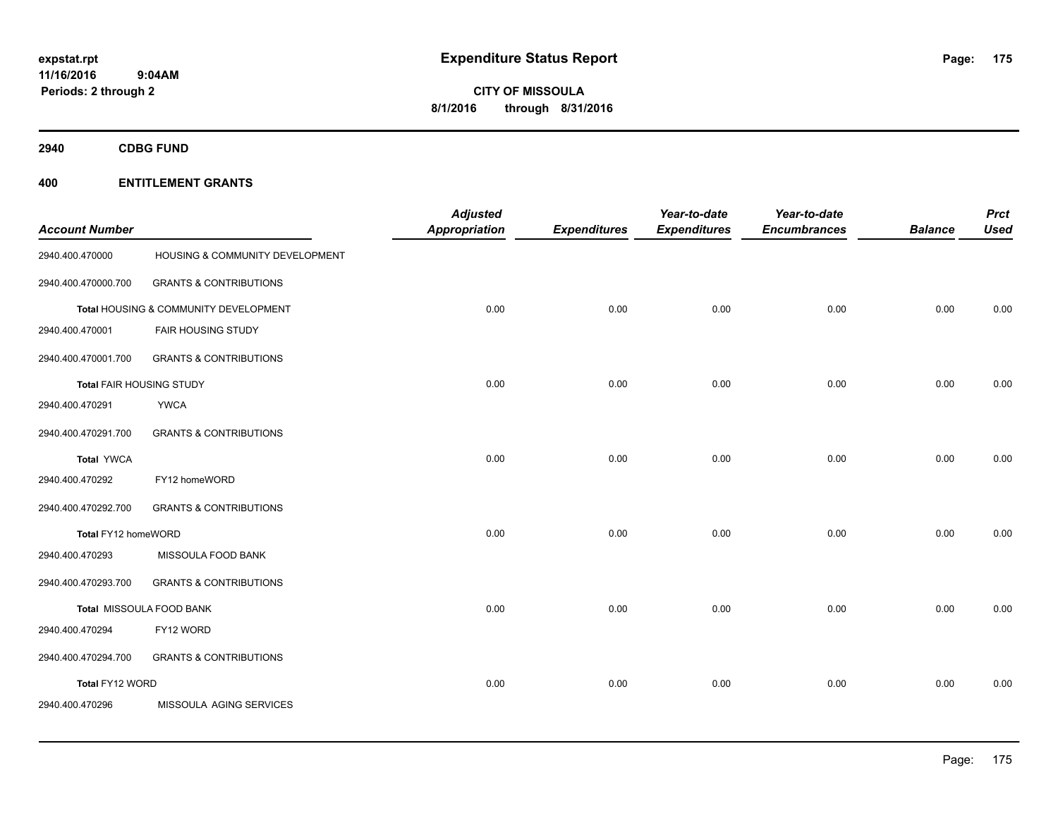**CITY OF MISSOULA 8/1/2016 through 8/31/2016**

**2940 CDBG FUND**

| <b>Account Number</b>           |                                       | <b>Adjusted</b><br><b>Appropriation</b> | <b>Expenditures</b> | Year-to-date<br><b>Expenditures</b> | Year-to-date<br><b>Encumbrances</b> | <b>Balance</b> | <b>Prct</b><br><b>Used</b> |
|---------------------------------|---------------------------------------|-----------------------------------------|---------------------|-------------------------------------|-------------------------------------|----------------|----------------------------|
| 2940.400.470000                 | HOUSING & COMMUNITY DEVELOPMENT       |                                         |                     |                                     |                                     |                |                            |
| 2940.400.470000.700             | <b>GRANTS &amp; CONTRIBUTIONS</b>     |                                         |                     |                                     |                                     |                |                            |
|                                 | Total HOUSING & COMMUNITY DEVELOPMENT | 0.00                                    | 0.00                | 0.00                                | 0.00                                | 0.00           | 0.00                       |
| 2940.400.470001                 | FAIR HOUSING STUDY                    |                                         |                     |                                     |                                     |                |                            |
| 2940.400.470001.700             | <b>GRANTS &amp; CONTRIBUTIONS</b>     |                                         |                     |                                     |                                     |                |                            |
| <b>Total FAIR HOUSING STUDY</b> |                                       | 0.00                                    | 0.00                | 0.00                                | 0.00                                | 0.00           | 0.00                       |
| 2940.400.470291                 | <b>YWCA</b>                           |                                         |                     |                                     |                                     |                |                            |
| 2940.400.470291.700             | <b>GRANTS &amp; CONTRIBUTIONS</b>     |                                         |                     |                                     |                                     |                |                            |
| <b>Total YWCA</b>               |                                       | 0.00                                    | 0.00                | 0.00                                | 0.00                                | 0.00           | 0.00                       |
| 2940.400.470292                 | FY12 homeWORD                         |                                         |                     |                                     |                                     |                |                            |
| 2940.400.470292.700             | <b>GRANTS &amp; CONTRIBUTIONS</b>     |                                         |                     |                                     |                                     |                |                            |
| Total FY12 homeWORD             |                                       | 0.00                                    | 0.00                | 0.00                                | 0.00                                | 0.00           | 0.00                       |
| 2940.400.470293                 | MISSOULA FOOD BANK                    |                                         |                     |                                     |                                     |                |                            |
| 2940.400.470293.700             | <b>GRANTS &amp; CONTRIBUTIONS</b>     |                                         |                     |                                     |                                     |                |                            |
|                                 | Total MISSOULA FOOD BANK              | 0.00                                    | 0.00                | 0.00                                | 0.00                                | 0.00           | 0.00                       |
| 2940.400.470294                 | FY12 WORD                             |                                         |                     |                                     |                                     |                |                            |
| 2940.400.470294.700             | <b>GRANTS &amp; CONTRIBUTIONS</b>     |                                         |                     |                                     |                                     |                |                            |
| Total FY12 WORD                 |                                       | 0.00                                    | 0.00                | 0.00                                | 0.00                                | 0.00           | 0.00                       |
| 2940.400.470296                 | MISSOULA AGING SERVICES               |                                         |                     |                                     |                                     |                |                            |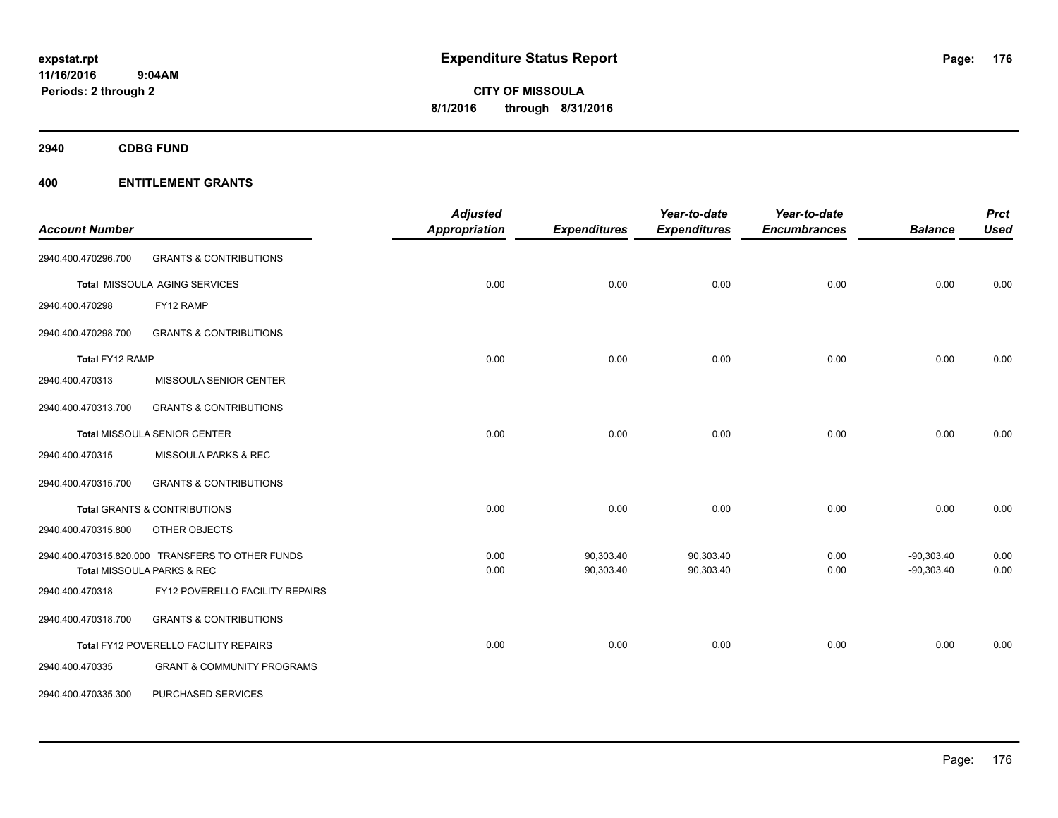**2940 CDBG FUND**

|                       |                                                  | <b>Adjusted</b> |                     | Year-to-date        | Year-to-date        |                | <b>Prct</b> |
|-----------------------|--------------------------------------------------|-----------------|---------------------|---------------------|---------------------|----------------|-------------|
| <b>Account Number</b> |                                                  | Appropriation   | <b>Expenditures</b> | <b>Expenditures</b> | <b>Encumbrances</b> | <b>Balance</b> | <b>Used</b> |
| 2940.400.470296.700   | <b>GRANTS &amp; CONTRIBUTIONS</b>                |                 |                     |                     |                     |                |             |
|                       | Total MISSOULA AGING SERVICES                    | 0.00            | 0.00                | 0.00                | 0.00                | 0.00           | 0.00        |
| 2940.400.470298       | FY12 RAMP                                        |                 |                     |                     |                     |                |             |
| 2940.400.470298.700   | <b>GRANTS &amp; CONTRIBUTIONS</b>                |                 |                     |                     |                     |                |             |
| Total FY12 RAMP       |                                                  | 0.00            | 0.00                | 0.00                | 0.00                | 0.00           | 0.00        |
| 2940.400.470313       | MISSOULA SENIOR CENTER                           |                 |                     |                     |                     |                |             |
| 2940.400.470313.700   | <b>GRANTS &amp; CONTRIBUTIONS</b>                |                 |                     |                     |                     |                |             |
|                       | Total MISSOULA SENIOR CENTER                     | 0.00            | 0.00                | 0.00                | 0.00                | 0.00           | 0.00        |
| 2940.400.470315       | MISSOULA PARKS & REC                             |                 |                     |                     |                     |                |             |
| 2940.400.470315.700   | <b>GRANTS &amp; CONTRIBUTIONS</b>                |                 |                     |                     |                     |                |             |
|                       | Total GRANTS & CONTRIBUTIONS                     | 0.00            | 0.00                | 0.00                | 0.00                | 0.00           | 0.00        |
| 2940.400.470315.800   | OTHER OBJECTS                                    |                 |                     |                     |                     |                |             |
|                       | 2940.400.470315.820.000 TRANSFERS TO OTHER FUNDS | 0.00            | 90,303.40           | 90,303.40           | 0.00                | $-90,303.40$   | 0.00        |
|                       | Total MISSOULA PARKS & REC                       | 0.00            | 90,303.40           | 90,303.40           | 0.00                | $-90,303.40$   | 0.00        |
| 2940.400.470318       | FY12 POVERELLO FACILITY REPAIRS                  |                 |                     |                     |                     |                |             |
| 2940.400.470318.700   | <b>GRANTS &amp; CONTRIBUTIONS</b>                |                 |                     |                     |                     |                |             |
|                       | Total FY12 POVERELLO FACILITY REPAIRS            | 0.00            | 0.00                | 0.00                | 0.00                | 0.00           | 0.00        |
| 2940.400.470335       | <b>GRANT &amp; COMMUNITY PROGRAMS</b>            |                 |                     |                     |                     |                |             |
| 2940.400.470335.300   | <b>PURCHASED SERVICES</b>                        |                 |                     |                     |                     |                |             |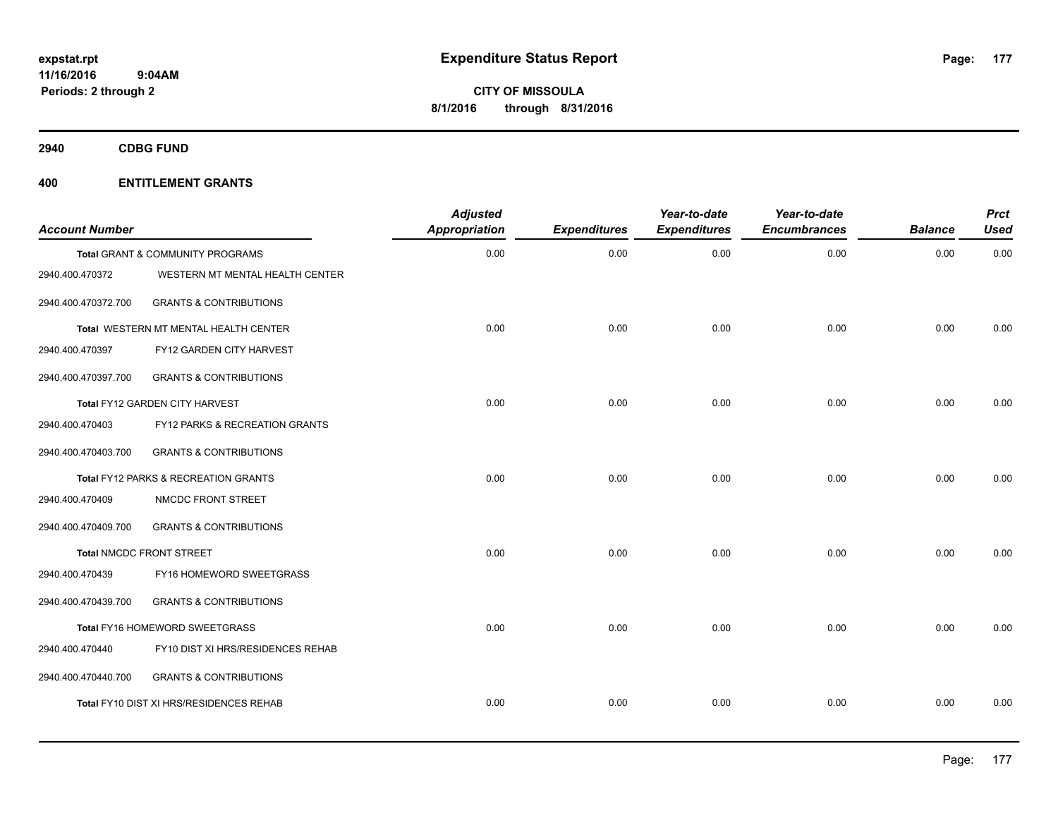**2940 CDBG FUND**

| <b>Account Number</b> |                                         | <b>Adjusted</b><br>Appropriation | <b>Expenditures</b> | Year-to-date<br><b>Expenditures</b> | Year-to-date<br><b>Encumbrances</b> | <b>Balance</b> | <b>Prct</b><br><b>Used</b> |
|-----------------------|-----------------------------------------|----------------------------------|---------------------|-------------------------------------|-------------------------------------|----------------|----------------------------|
|                       | Total GRANT & COMMUNITY PROGRAMS        | 0.00                             | 0.00                | 0.00                                | 0.00                                | 0.00           | 0.00                       |
| 2940.400.470372       | WESTERN MT MENTAL HEALTH CENTER         |                                  |                     |                                     |                                     |                |                            |
| 2940.400.470372.700   | <b>GRANTS &amp; CONTRIBUTIONS</b>       |                                  |                     |                                     |                                     |                |                            |
|                       | Total WESTERN MT MENTAL HEALTH CENTER   | 0.00                             | 0.00                | 0.00                                | 0.00                                | 0.00           | 0.00                       |
| 2940.400.470397       | FY12 GARDEN CITY HARVEST                |                                  |                     |                                     |                                     |                |                            |
| 2940.400.470397.700   | <b>GRANTS &amp; CONTRIBUTIONS</b>       |                                  |                     |                                     |                                     |                |                            |
|                       | Total FY12 GARDEN CITY HARVEST          | 0.00                             | 0.00                | 0.00                                | 0.00                                | 0.00           | 0.00                       |
| 2940.400.470403       | FY12 PARKS & RECREATION GRANTS          |                                  |                     |                                     |                                     |                |                            |
| 2940.400.470403.700   | <b>GRANTS &amp; CONTRIBUTIONS</b>       |                                  |                     |                                     |                                     |                |                            |
|                       | Total FY12 PARKS & RECREATION GRANTS    | 0.00                             | 0.00                | 0.00                                | 0.00                                | 0.00           | 0.00                       |
| 2940.400.470409       | NMCDC FRONT STREET                      |                                  |                     |                                     |                                     |                |                            |
| 2940.400.470409.700   | <b>GRANTS &amp; CONTRIBUTIONS</b>       |                                  |                     |                                     |                                     |                |                            |
|                       | <b>Total NMCDC FRONT STREET</b>         | 0.00                             | 0.00                | 0.00                                | 0.00                                | 0.00           | 0.00                       |
| 2940.400.470439       | FY16 HOMEWORD SWEETGRASS                |                                  |                     |                                     |                                     |                |                            |
| 2940.400.470439.700   | <b>GRANTS &amp; CONTRIBUTIONS</b>       |                                  |                     |                                     |                                     |                |                            |
|                       | Total FY16 HOMEWORD SWEETGRASS          | 0.00                             | 0.00                | 0.00                                | 0.00                                | 0.00           | 0.00                       |
| 2940.400.470440       | FY10 DIST XI HRS/RESIDENCES REHAB       |                                  |                     |                                     |                                     |                |                            |
| 2940.400.470440.700   | <b>GRANTS &amp; CONTRIBUTIONS</b>       |                                  |                     |                                     |                                     |                |                            |
|                       | Total FY10 DIST XI HRS/RESIDENCES REHAB | 0.00                             | 0.00                | 0.00                                | 0.00                                | 0.00           | 0.00                       |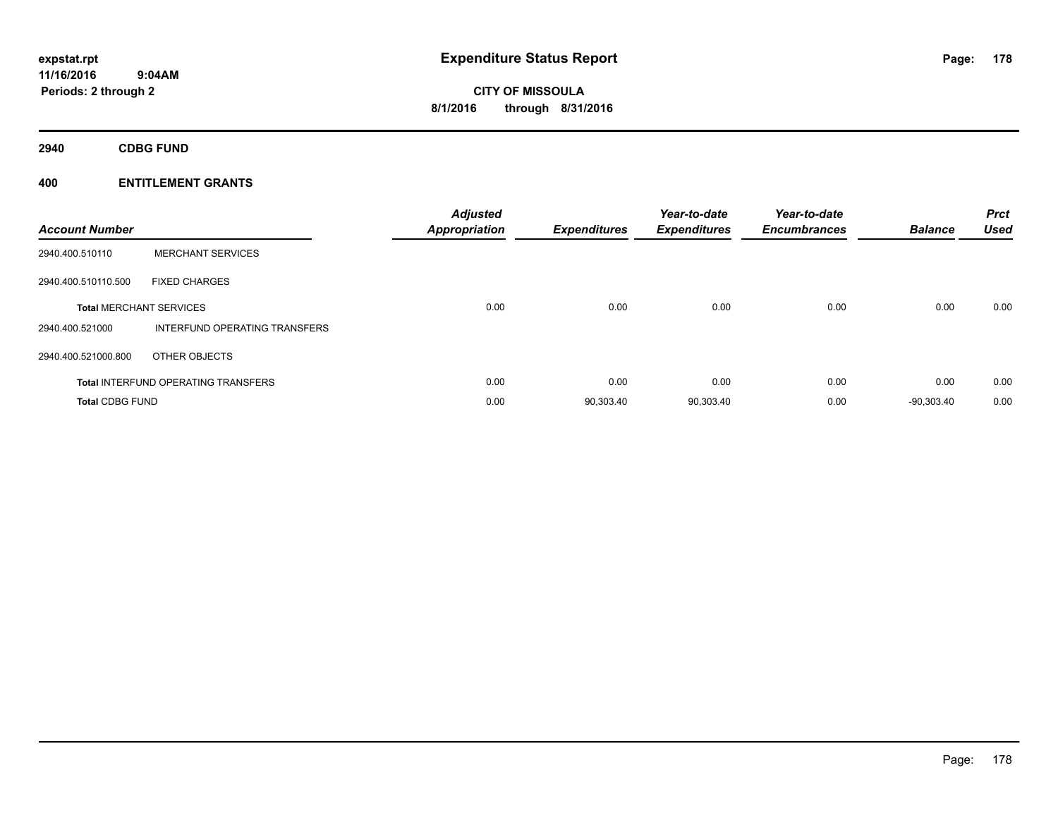**CITY OF MISSOULA 8/1/2016 through 8/31/2016**

**2940 CDBG FUND**

| <b>Account Number</b>  |                                            | <b>Adjusted</b><br><b>Appropriation</b> | <b>Expenditures</b> | Year-to-date<br><b>Expenditures</b> | Year-to-date<br><b>Encumbrances</b> | <b>Balance</b> | <b>Prct</b><br>Used |
|------------------------|--------------------------------------------|-----------------------------------------|---------------------|-------------------------------------|-------------------------------------|----------------|---------------------|
| 2940.400.510110        | <b>MERCHANT SERVICES</b>                   |                                         |                     |                                     |                                     |                |                     |
| 2940.400.510110.500    | <b>FIXED CHARGES</b>                       |                                         |                     |                                     |                                     |                |                     |
|                        | <b>Total MERCHANT SERVICES</b>             | 0.00                                    | 0.00                | 0.00                                | 0.00                                | 0.00           | 0.00                |
| 2940.400.521000        | INTERFUND OPERATING TRANSFERS              |                                         |                     |                                     |                                     |                |                     |
| 2940.400.521000.800    | OTHER OBJECTS                              |                                         |                     |                                     |                                     |                |                     |
|                        | <b>Total INTERFUND OPERATING TRANSFERS</b> | 0.00                                    | 0.00                | 0.00                                | 0.00                                | 0.00           | 0.00                |
| <b>Total CDBG FUND</b> |                                            | 0.00                                    | 90,303.40           | 90,303.40                           | 0.00                                | $-90.303.40$   | 0.00                |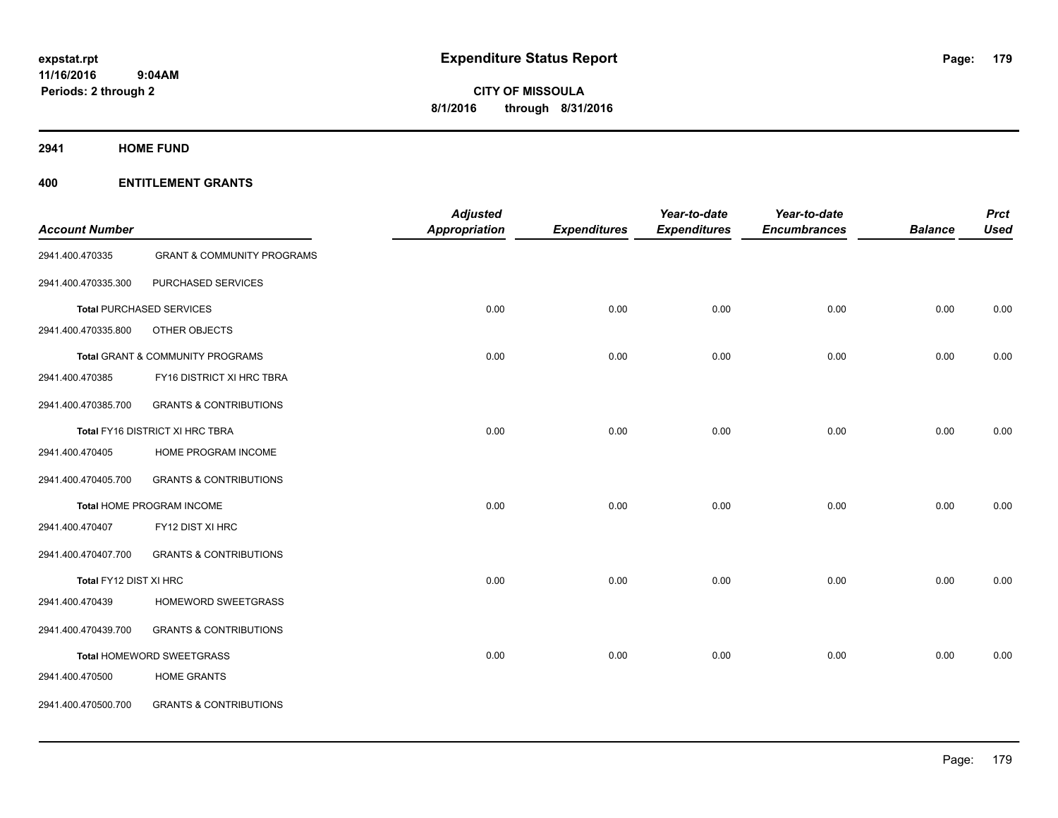**2941 HOME FUND**

|                        |                                             | <b>Adjusted</b>      |                     | Year-to-date        | Year-to-date        |                | <b>Prct</b> |
|------------------------|---------------------------------------------|----------------------|---------------------|---------------------|---------------------|----------------|-------------|
| <b>Account Number</b>  |                                             | <b>Appropriation</b> | <b>Expenditures</b> | <b>Expenditures</b> | <b>Encumbrances</b> | <b>Balance</b> | <b>Used</b> |
| 2941.400.470335        | <b>GRANT &amp; COMMUNITY PROGRAMS</b>       |                      |                     |                     |                     |                |             |
| 2941.400.470335.300    | PURCHASED SERVICES                          |                      |                     |                     |                     |                |             |
|                        | <b>Total PURCHASED SERVICES</b>             | 0.00                 | 0.00                | 0.00                | 0.00                | 0.00           | 0.00        |
| 2941.400.470335.800    | OTHER OBJECTS                               |                      |                     |                     |                     |                |             |
|                        | <b>Total GRANT &amp; COMMUNITY PROGRAMS</b> | 0.00                 | 0.00                | 0.00                | 0.00                | 0.00           | 0.00        |
| 2941.400.470385        | FY16 DISTRICT XI HRC TBRA                   |                      |                     |                     |                     |                |             |
| 2941.400.470385.700    | <b>GRANTS &amp; CONTRIBUTIONS</b>           |                      |                     |                     |                     |                |             |
|                        | Total FY16 DISTRICT XI HRC TBRA             | 0.00                 | 0.00                | 0.00                | 0.00                | 0.00           | 0.00        |
| 2941.400.470405        | HOME PROGRAM INCOME                         |                      |                     |                     |                     |                |             |
| 2941.400.470405.700    | <b>GRANTS &amp; CONTRIBUTIONS</b>           |                      |                     |                     |                     |                |             |
|                        | Total HOME PROGRAM INCOME                   | 0.00                 | 0.00                | 0.00                | 0.00                | 0.00           | 0.00        |
| 2941.400.470407        | FY12 DIST XI HRC                            |                      |                     |                     |                     |                |             |
| 2941.400.470407.700    | <b>GRANTS &amp; CONTRIBUTIONS</b>           |                      |                     |                     |                     |                |             |
| Total FY12 DIST XI HRC |                                             | 0.00                 | 0.00                | 0.00                | 0.00                | 0.00           | 0.00        |
| 2941.400.470439        | HOMEWORD SWEETGRASS                         |                      |                     |                     |                     |                |             |
| 2941.400.470439.700    | <b>GRANTS &amp; CONTRIBUTIONS</b>           |                      |                     |                     |                     |                |             |
|                        | Total HOMEWORD SWEETGRASS                   | 0.00                 | 0.00                | 0.00                | 0.00                | 0.00           | 0.00        |
| 2941.400.470500        | <b>HOME GRANTS</b>                          |                      |                     |                     |                     |                |             |
| 2941.400.470500.700    | <b>GRANTS &amp; CONTRIBUTIONS</b>           |                      |                     |                     |                     |                |             |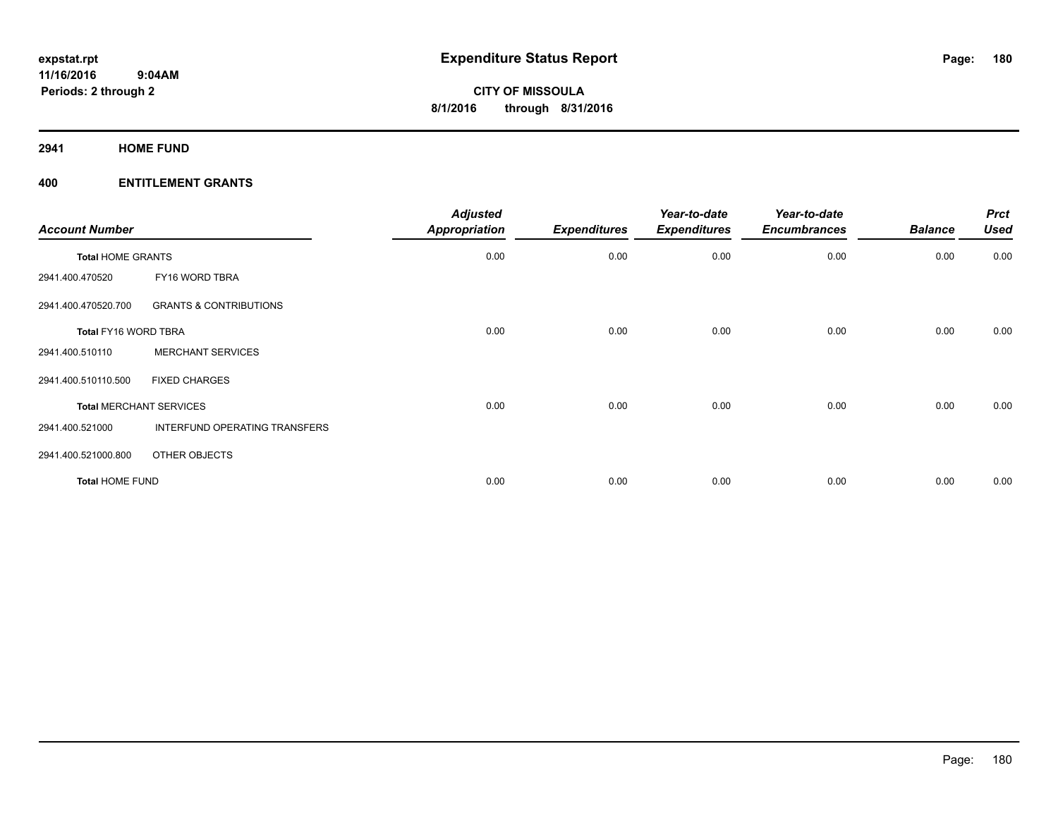**2941 HOME FUND**

| <b>Account Number</b>    |                                   | <b>Adjusted</b><br><b>Appropriation</b> | <b>Expenditures</b> | Year-to-date<br><b>Expenditures</b> | Year-to-date<br><b>Encumbrances</b> | <b>Balance</b> | <b>Prct</b><br><b>Used</b> |
|--------------------------|-----------------------------------|-----------------------------------------|---------------------|-------------------------------------|-------------------------------------|----------------|----------------------------|
| <b>Total HOME GRANTS</b> |                                   | 0.00                                    | 0.00                | 0.00                                | 0.00                                | 0.00           | 0.00                       |
| 2941.400.470520          | FY16 WORD TBRA                    |                                         |                     |                                     |                                     |                |                            |
| 2941.400.470520.700      | <b>GRANTS &amp; CONTRIBUTIONS</b> |                                         |                     |                                     |                                     |                |                            |
| Total FY16 WORD TBRA     |                                   | 0.00                                    | 0.00                | 0.00                                | 0.00                                | 0.00           | 0.00                       |
| 2941.400.510110          | <b>MERCHANT SERVICES</b>          |                                         |                     |                                     |                                     |                |                            |
| 2941.400.510110.500      | <b>FIXED CHARGES</b>              |                                         |                     |                                     |                                     |                |                            |
|                          | <b>Total MERCHANT SERVICES</b>    | 0.00                                    | 0.00                | 0.00                                | 0.00                                | 0.00           | 0.00                       |
| 2941.400.521000          | INTERFUND OPERATING TRANSFERS     |                                         |                     |                                     |                                     |                |                            |
| 2941.400.521000.800      | OTHER OBJECTS                     |                                         |                     |                                     |                                     |                |                            |
| <b>Total HOME FUND</b>   |                                   | 0.00                                    | 0.00                | 0.00                                | 0.00                                | 0.00           | 0.00                       |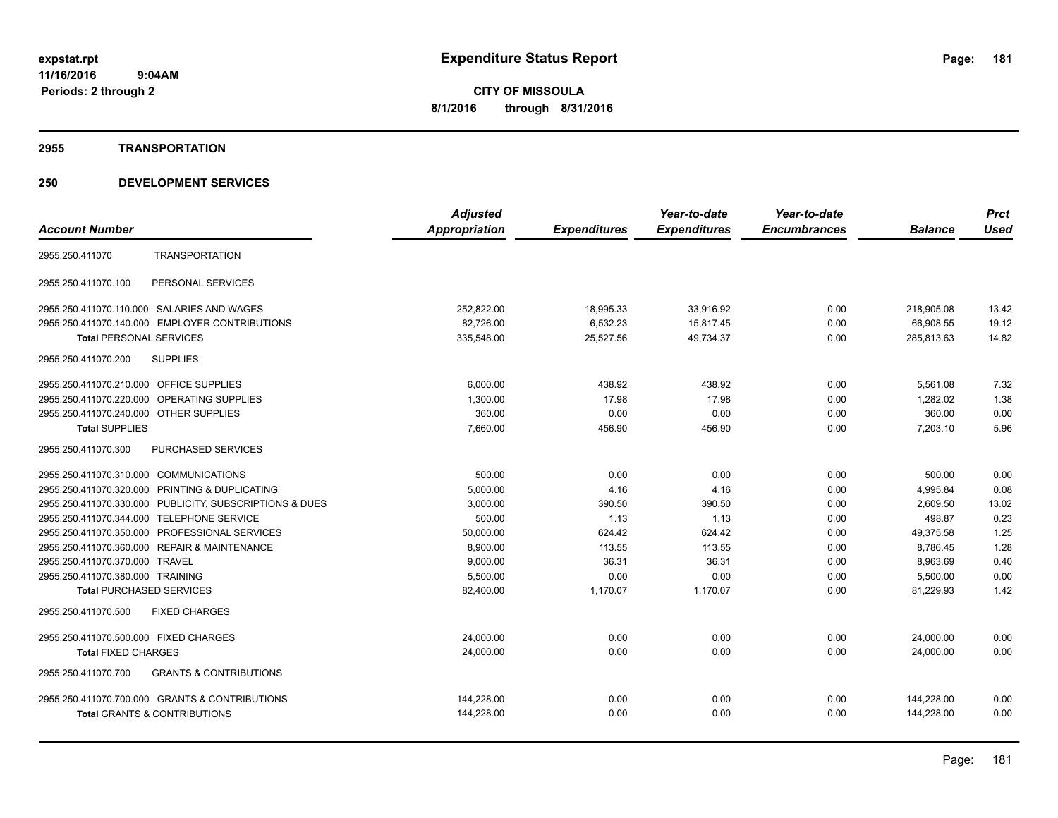#### **2955 TRANSPORTATION**

|                                                          | <b>Adjusted</b> |                     | Year-to-date        | Year-to-date        |                | <b>Prct</b> |
|----------------------------------------------------------|-----------------|---------------------|---------------------|---------------------|----------------|-------------|
| <b>Account Number</b>                                    | Appropriation   | <b>Expenditures</b> | <b>Expenditures</b> | <b>Encumbrances</b> | <b>Balance</b> | <b>Used</b> |
| <b>TRANSPORTATION</b><br>2955.250.411070                 |                 |                     |                     |                     |                |             |
| PERSONAL SERVICES<br>2955.250.411070.100                 |                 |                     |                     |                     |                |             |
| 2955.250.411070.110.000 SALARIES AND WAGES               | 252,822.00      | 18,995.33           | 33,916.92           | 0.00                | 218,905.08     | 13.42       |
| 2955.250.411070.140.000 EMPLOYER CONTRIBUTIONS           | 82,726.00       | 6,532.23            | 15,817.45           | 0.00                | 66,908.55      | 19.12       |
| <b>Total PERSONAL SERVICES</b>                           | 335,548.00      | 25,527.56           | 49,734.37           | 0.00                | 285,813.63     | 14.82       |
| 2955.250.411070.200<br><b>SUPPLIES</b>                   |                 |                     |                     |                     |                |             |
| 2955.250.411070.210.000 OFFICE SUPPLIES                  | 6,000.00        | 438.92              | 438.92              | 0.00                | 5,561.08       | 7.32        |
| 2955.250.411070.220.000<br><b>OPERATING SUPPLIES</b>     | 1,300.00        | 17.98               | 17.98               | 0.00                | 1.282.02       | 1.38        |
| 2955.250.411070.240.000 OTHER SUPPLIES                   | 360.00          | 0.00                | 0.00                | 0.00                | 360.00         | 0.00        |
| <b>Total SUPPLIES</b>                                    | 7,660.00        | 456.90              | 456.90              | 0.00                | 7,203.10       | 5.96        |
| 2955.250.411070.300<br>PURCHASED SERVICES                |                 |                     |                     |                     |                |             |
| 2955.250.411070.310.000 COMMUNICATIONS                   | 500.00          | 0.00                | 0.00                | 0.00                | 500.00         | 0.00        |
| 2955.250.411070.320.000 PRINTING & DUPLICATING           | 5,000.00        | 4.16                | 4.16                | 0.00                | 4,995.84       | 0.08        |
| 2955.250.411070.330.000 PUBLICITY, SUBSCRIPTIONS & DUES  | 3,000.00        | 390.50              | 390.50              | 0.00                | 2,609.50       | 13.02       |
| 2955.250.411070.344.000 TELEPHONE SERVICE                | 500.00          | 1.13                | 1.13                | 0.00                | 498.87         | 0.23        |
| 2955.250.411070.350.000 PROFESSIONAL SERVICES            | 50,000.00       | 624.42              | 624.42              | 0.00                | 49,375.58      | 1.25        |
| 2955.250.411070.360.000 REPAIR & MAINTENANCE             | 8,900.00        | 113.55              | 113.55              | 0.00                | 8,786.45       | 1.28        |
| 2955.250.411070.370.000 TRAVEL                           | 9,000.00        | 36.31               | 36.31               | 0.00                | 8,963.69       | 0.40        |
| 2955.250.411070.380.000 TRAINING                         | 5,500.00        | 0.00                | 0.00                | 0.00                | 5,500.00       | 0.00        |
| <b>Total PURCHASED SERVICES</b>                          | 82,400.00       | 1,170.07            | 1,170.07            | 0.00                | 81,229.93      | 1.42        |
| <b>FIXED CHARGES</b><br>2955.250.411070.500              |                 |                     |                     |                     |                |             |
| 2955.250.411070.500.000 FIXED CHARGES                    | 24,000.00       | 0.00                | 0.00                | 0.00                | 24,000.00      | 0.00        |
| <b>Total FIXED CHARGES</b>                               | 24,000.00       | 0.00                | 0.00                | 0.00                | 24,000.00      | 0.00        |
| <b>GRANTS &amp; CONTRIBUTIONS</b><br>2955.250.411070.700 |                 |                     |                     |                     |                |             |
| 2955.250.411070.700.000 GRANTS & CONTRIBUTIONS           | 144,228.00      | 0.00                | 0.00                | 0.00                | 144,228.00     | 0.00        |
| <b>Total GRANTS &amp; CONTRIBUTIONS</b>                  | 144,228.00      | 0.00                | 0.00                | 0.00                | 144,228.00     | 0.00        |
|                                                          |                 |                     |                     |                     |                |             |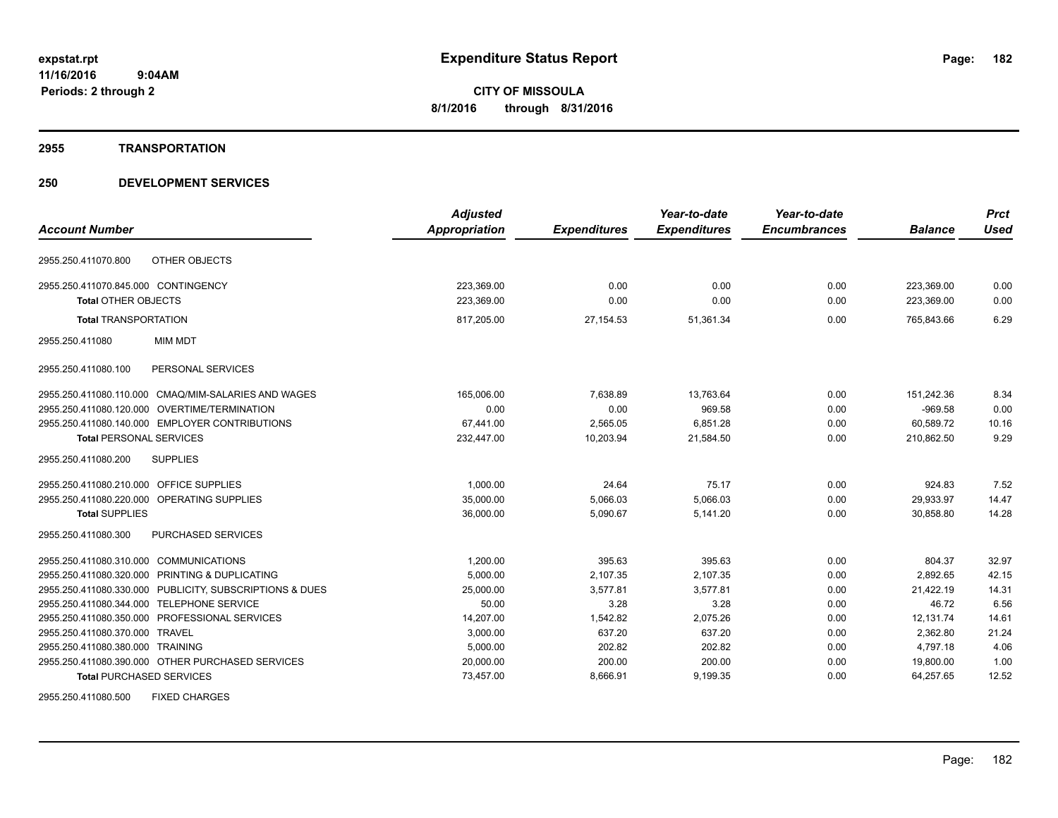#### **2955 TRANSPORTATION**

#### **250 DEVELOPMENT SERVICES**

|                                                               | <b>Adjusted</b>      |                     | Year-to-date        | Year-to-date        |                | <b>Prct</b> |
|---------------------------------------------------------------|----------------------|---------------------|---------------------|---------------------|----------------|-------------|
| <b>Account Number</b>                                         | <b>Appropriation</b> | <b>Expenditures</b> | <b>Expenditures</b> | <b>Encumbrances</b> | <b>Balance</b> | <b>Used</b> |
| OTHER OBJECTS<br>2955.250.411070.800                          |                      |                     |                     |                     |                |             |
| 2955.250.411070.845.000 CONTINGENCY                           | 223,369.00           | 0.00                | 0.00                | 0.00                | 223,369.00     | 0.00        |
| <b>Total OTHER OBJECTS</b>                                    | 223,369.00           | 0.00                | 0.00                | 0.00                | 223,369.00     | 0.00        |
| <b>Total TRANSPORTATION</b>                                   | 817,205.00           | 27,154.53           | 51,361.34           | 0.00                | 765,843.66     | 6.29        |
| <b>MIM MDT</b><br>2955.250.411080                             |                      |                     |                     |                     |                |             |
| PERSONAL SERVICES<br>2955.250.411080.100                      |                      |                     |                     |                     |                |             |
| <b>CMAQ/MIM-SALARIES AND WAGES</b><br>2955.250.411080.110.000 | 165.006.00           | 7.638.89            | 13.763.64           | 0.00                | 151.242.36     | 8.34        |
| OVERTIME/TERMINATION<br>2955.250.411080.120.000               | 0.00                 | 0.00                | 969.58              | 0.00                | $-969.58$      | 0.00        |
| 2955.250.411080.140.000 EMPLOYER CONTRIBUTIONS                | 67,441.00            | 2,565.05            | 6,851.28            | 0.00                | 60,589.72      | 10.16       |
| <b>Total PERSONAL SERVICES</b>                                | 232,447.00           | 10,203.94           | 21,584.50           | 0.00                | 210,862.50     | 9.29        |
| <b>SUPPLIES</b><br>2955.250.411080.200                        |                      |                     |                     |                     |                |             |
| <b>OFFICE SUPPLIES</b><br>2955.250.411080.210.000             | 1,000.00             | 24.64               | 75.17               | 0.00                | 924.83         | 7.52        |
| <b>OPERATING SUPPLIES</b><br>2955.250.411080.220.000          | 35,000.00            | 5,066.03            | 5,066.03            | 0.00                | 29,933.97      | 14.47       |
| <b>Total SUPPLIES</b>                                         | 36,000.00            | 5,090.67            | 5,141.20            | 0.00                | 30,858.80      | 14.28       |
| <b>PURCHASED SERVICES</b><br>2955.250.411080.300              |                      |                     |                     |                     |                |             |
| 2955.250.411080.310.000<br><b>COMMUNICATIONS</b>              | 1,200.00             | 395.63              | 395.63              | 0.00                | 804.37         | 32.97       |
| 2955.250.411080.320.000 PRINTING & DUPLICATING                | 5,000.00             | 2,107.35            | 2,107.35            | 0.00                | 2,892.65       | 42.15       |
| 2955.250.411080.330.000 PUBLICITY, SUBSCRIPTIONS & DUES       | 25,000.00            | 3.577.81            | 3.577.81            | 0.00                | 21,422.19      | 14.31       |
| 2955.250.411080.344.000 TELEPHONE SERVICE                     | 50.00                | 3.28                | 3.28                | 0.00                | 46.72          | 6.56        |
| 2955.250.411080.350.000 PROFESSIONAL SERVICES                 | 14.207.00            | 1,542.82            | 2,075.26            | 0.00                | 12.131.74      | 14.61       |
| 2955.250.411080.370.000 TRAVEL                                | 3,000.00             | 637.20              | 637.20              | 0.00                | 2,362.80       | 21.24       |
| 2955.250.411080.380.000 TRAINING                              | 5,000.00             | 202.82              | 202.82              | 0.00                | 4,797.18       | 4.06        |
| 2955.250.411080.390.000 OTHER PURCHASED SERVICES              | 20,000.00            | 200.00              | 200.00              | 0.00                | 19,800.00      | 1.00        |
| <b>Total PURCHASED SERVICES</b>                               | 73,457.00            | 8,666.91            | 9,199.35            | 0.00                | 64,257.65      | 12.52       |

2955.250.411080.500 FIXED CHARGES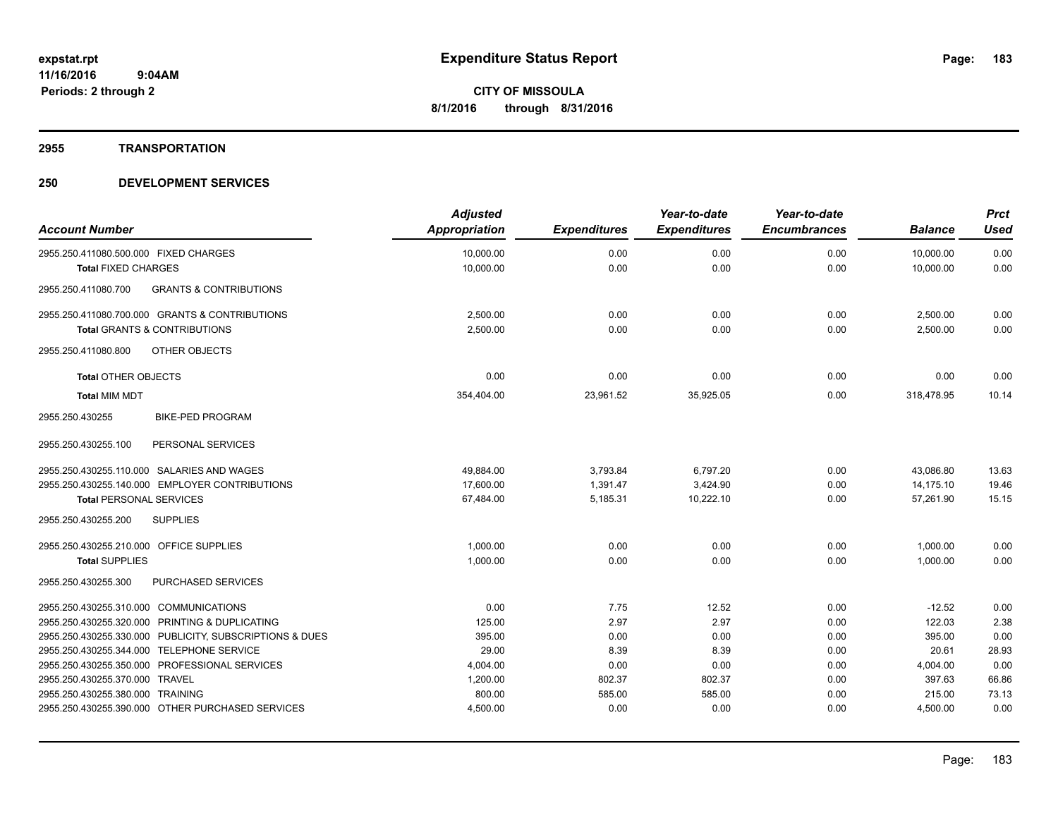#### **2955 TRANSPORTATION**

| <b>Account Number</b>                                                                | <b>Adjusted</b><br><b>Appropriation</b> | <b>Expenditures</b> | Year-to-date<br><b>Expenditures</b> | Year-to-date<br><b>Encumbrances</b> | <b>Balance</b> | <b>Prct</b><br><b>Used</b> |
|--------------------------------------------------------------------------------------|-----------------------------------------|---------------------|-------------------------------------|-------------------------------------|----------------|----------------------------|
| 2955.250.411080.500.000 FIXED CHARGES                                                | 10,000.00                               | 0.00                | 0.00                                | 0.00                                | 10,000.00      | 0.00                       |
| <b>Total FIXED CHARGES</b>                                                           | 10,000.00                               | 0.00                | 0.00                                | 0.00                                | 10,000.00      | 0.00                       |
| 2955.250.411080.700<br><b>GRANTS &amp; CONTRIBUTIONS</b>                             |                                         |                     |                                     |                                     |                |                            |
| 2955.250.411080.700.000 GRANTS & CONTRIBUTIONS                                       | 2,500.00                                | 0.00                | 0.00                                | 0.00                                | 2,500.00       | 0.00                       |
| Total GRANTS & CONTRIBUTIONS                                                         | 2,500.00                                | 0.00                | 0.00                                | 0.00                                | 2,500.00       | 0.00                       |
| OTHER OBJECTS<br>2955.250.411080.800                                                 |                                         |                     |                                     |                                     |                |                            |
| <b>Total OTHER OBJECTS</b>                                                           | 0.00                                    | 0.00                | 0.00                                | 0.00                                | 0.00           | 0.00                       |
| <b>Total MIM MDT</b>                                                                 | 354,404.00                              | 23,961.52           | 35,925.05                           | 0.00                                | 318,478.95     | 10.14                      |
| <b>BIKE-PED PROGRAM</b><br>2955.250.430255                                           |                                         |                     |                                     |                                     |                |                            |
| PERSONAL SERVICES<br>2955.250.430255.100                                             |                                         |                     |                                     |                                     |                |                            |
| 2955.250.430255.110.000 SALARIES AND WAGES                                           | 49,884.00                               | 3,793.84            | 6,797.20                            | 0.00                                | 43,086.80      | 13.63                      |
| 2955.250.430255.140.000 EMPLOYER CONTRIBUTIONS                                       | 17,600.00                               | 1,391.47            | 3,424.90                            | 0.00                                | 14,175.10      | 19.46                      |
| <b>Total PERSONAL SERVICES</b>                                                       | 67,484.00                               | 5,185.31            | 10,222.10                           | 0.00                                | 57,261.90      | 15.15                      |
| 2955.250.430255.200<br><b>SUPPLIES</b>                                               |                                         |                     |                                     |                                     |                |                            |
| 2955.250.430255.210.000 OFFICE SUPPLIES                                              | 1,000.00                                | 0.00                | 0.00                                | 0.00                                | 1,000.00       | 0.00                       |
| <b>Total SUPPLIES</b>                                                                | 1,000.00                                | 0.00                | 0.00                                | 0.00                                | 1,000.00       | 0.00                       |
| PURCHASED SERVICES<br>2955.250.430255.300                                            |                                         |                     |                                     |                                     |                |                            |
| 2955.250.430255.310.000 COMMUNICATIONS                                               | 0.00                                    | 7.75                | 12.52                               | 0.00                                | $-12.52$       | 0.00                       |
| 2955.250.430255.320.000 PRINTING & DUPLICATING                                       | 125.00                                  | 2.97                | 2.97                                | 0.00                                | 122.03         | 2.38                       |
| 2955.250.430255.330.000 PUBLICITY, SUBSCRIPTIONS & DUES                              | 395.00                                  | 0.00                | 0.00                                | 0.00                                | 395.00         | 0.00                       |
| 2955.250.430255.344.000 TELEPHONE SERVICE                                            | 29.00                                   | 8.39                | 8.39                                | 0.00                                | 20.61          | 28.93                      |
| 2955.250.430255.350.000 PROFESSIONAL SERVICES                                        | 4,004.00                                | 0.00                | 0.00                                | 0.00                                | 4,004.00       | 0.00                       |
| 2955.250.430255.370.000 TRAVEL                                                       | 1,200.00                                | 802.37              | 802.37                              | 0.00                                | 397.63         | 66.86                      |
| 2955.250.430255.380.000 TRAINING<br>2955.250.430255.390.000 OTHER PURCHASED SERVICES | 800.00                                  | 585.00              | 585.00                              | 0.00<br>0.00                        | 215.00         | 73.13<br>0.00              |
|                                                                                      | 4,500.00                                | 0.00                | 0.00                                |                                     | 4,500.00       |                            |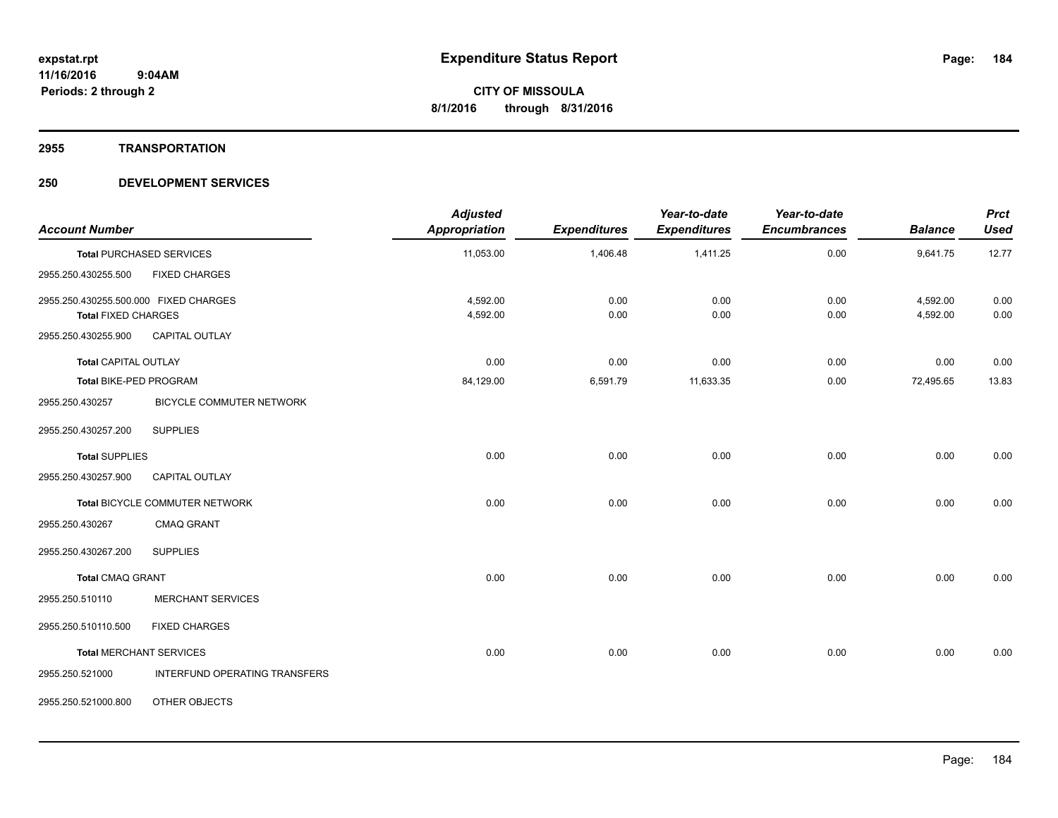#### **2955 TRANSPORTATION**

| <b>Account Number</b>                                               |                                 | <b>Adjusted</b><br><b>Appropriation</b> | <b>Expenditures</b> | Year-to-date<br><b>Expenditures</b> | Year-to-date<br><b>Encumbrances</b> | <b>Balance</b>       | <b>Prct</b><br><b>Used</b> |
|---------------------------------------------------------------------|---------------------------------|-----------------------------------------|---------------------|-------------------------------------|-------------------------------------|----------------------|----------------------------|
|                                                                     | <b>Total PURCHASED SERVICES</b> | 11,053.00                               | 1,406.48            | 1,411.25                            | 0.00                                | 9,641.75             | 12.77                      |
| 2955.250.430255.500                                                 | <b>FIXED CHARGES</b>            |                                         |                     |                                     |                                     |                      |                            |
| 2955.250.430255.500.000 FIXED CHARGES<br><b>Total FIXED CHARGES</b> |                                 | 4,592.00<br>4,592.00                    | 0.00<br>0.00        | 0.00<br>0.00                        | 0.00<br>0.00                        | 4,592.00<br>4,592.00 | 0.00<br>0.00               |
| 2955.250.430255.900                                                 | <b>CAPITAL OUTLAY</b>           |                                         |                     |                                     |                                     |                      |                            |
| Total CAPITAL OUTLAY                                                |                                 | 0.00                                    | 0.00                | 0.00                                | 0.00                                | 0.00                 | 0.00                       |
| Total BIKE-PED PROGRAM                                              |                                 | 84,129.00                               | 6,591.79            | 11,633.35                           | 0.00                                | 72,495.65            | 13.83                      |
| 2955.250.430257                                                     | <b>BICYCLE COMMUTER NETWORK</b> |                                         |                     |                                     |                                     |                      |                            |
| 2955.250.430257.200                                                 | <b>SUPPLIES</b>                 |                                         |                     |                                     |                                     |                      |                            |
| <b>Total SUPPLIES</b>                                               |                                 | 0.00                                    | 0.00                | 0.00                                | 0.00                                | 0.00                 | 0.00                       |
| 2955.250.430257.900                                                 | <b>CAPITAL OUTLAY</b>           |                                         |                     |                                     |                                     |                      |                            |
|                                                                     | Total BICYCLE COMMUTER NETWORK  | 0.00                                    | 0.00                | 0.00                                | 0.00                                | 0.00                 | 0.00                       |
| 2955.250.430267                                                     | <b>CMAQ GRANT</b>               |                                         |                     |                                     |                                     |                      |                            |
| 2955.250.430267.200                                                 | <b>SUPPLIES</b>                 |                                         |                     |                                     |                                     |                      |                            |
| <b>Total CMAQ GRANT</b>                                             |                                 | 0.00                                    | 0.00                | 0.00                                | 0.00                                | 0.00                 | 0.00                       |
| 2955.250.510110                                                     | <b>MERCHANT SERVICES</b>        |                                         |                     |                                     |                                     |                      |                            |
| 2955.250.510110.500                                                 | <b>FIXED CHARGES</b>            |                                         |                     |                                     |                                     |                      |                            |
|                                                                     | <b>Total MERCHANT SERVICES</b>  | 0.00                                    | 0.00                | 0.00                                | 0.00                                | 0.00                 | 0.00                       |
| 2955.250.521000                                                     | INTERFUND OPERATING TRANSFERS   |                                         |                     |                                     |                                     |                      |                            |
| 2955.250.521000.800                                                 | OTHER OBJECTS                   |                                         |                     |                                     |                                     |                      |                            |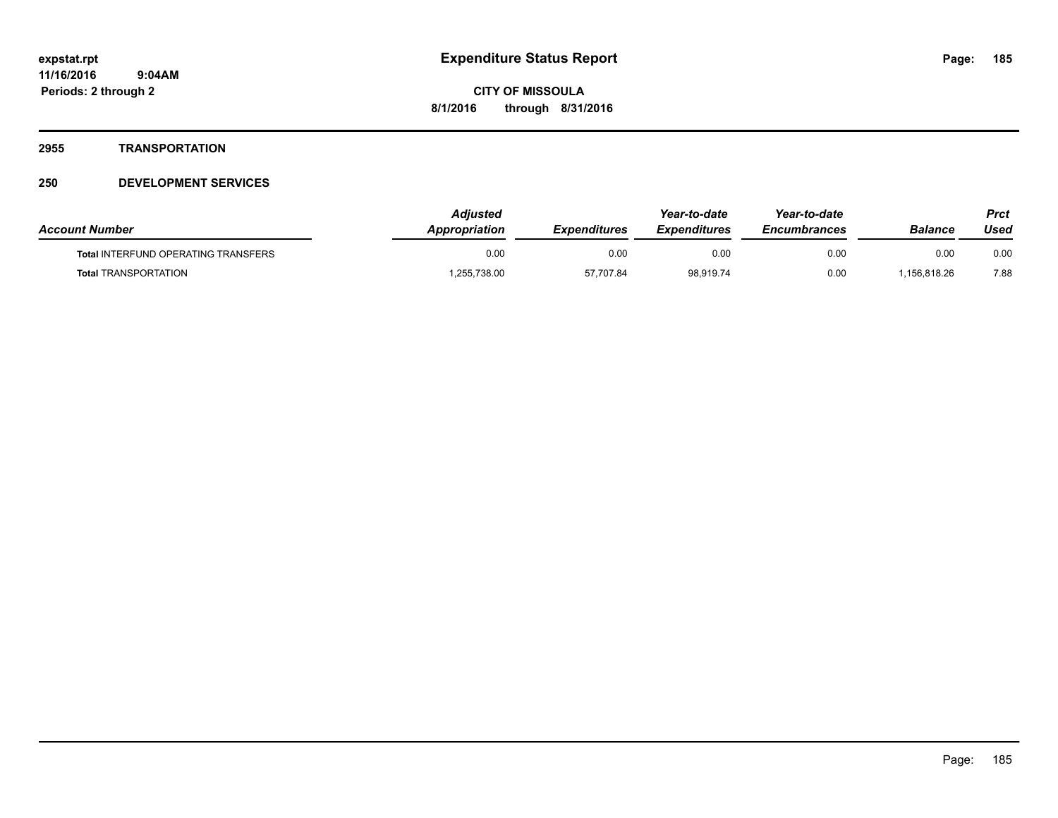#### **2955 TRANSPORTATION**

| <b>Account Number</b>                      | Adiusted<br>Appropriation | <b>Expenditures</b> | Year-to-date<br><b>Expenditures</b> | Year-to-date<br><b>Encumbrances</b> | Balance     | Prct<br>Used |
|--------------------------------------------|---------------------------|---------------------|-------------------------------------|-------------------------------------|-------------|--------------|
| <b>Total INTERFUND OPERATING TRANSFERS</b> | 0.00                      | 0.00                | 0.00                                | 0.00                                | 0.00        | 0.00         |
| <b>Total TRANSPORTATION</b>                | .255,738.00               | 57,707.84           | 98,919.74                           | 0.00                                | .156.818.26 | 7.88         |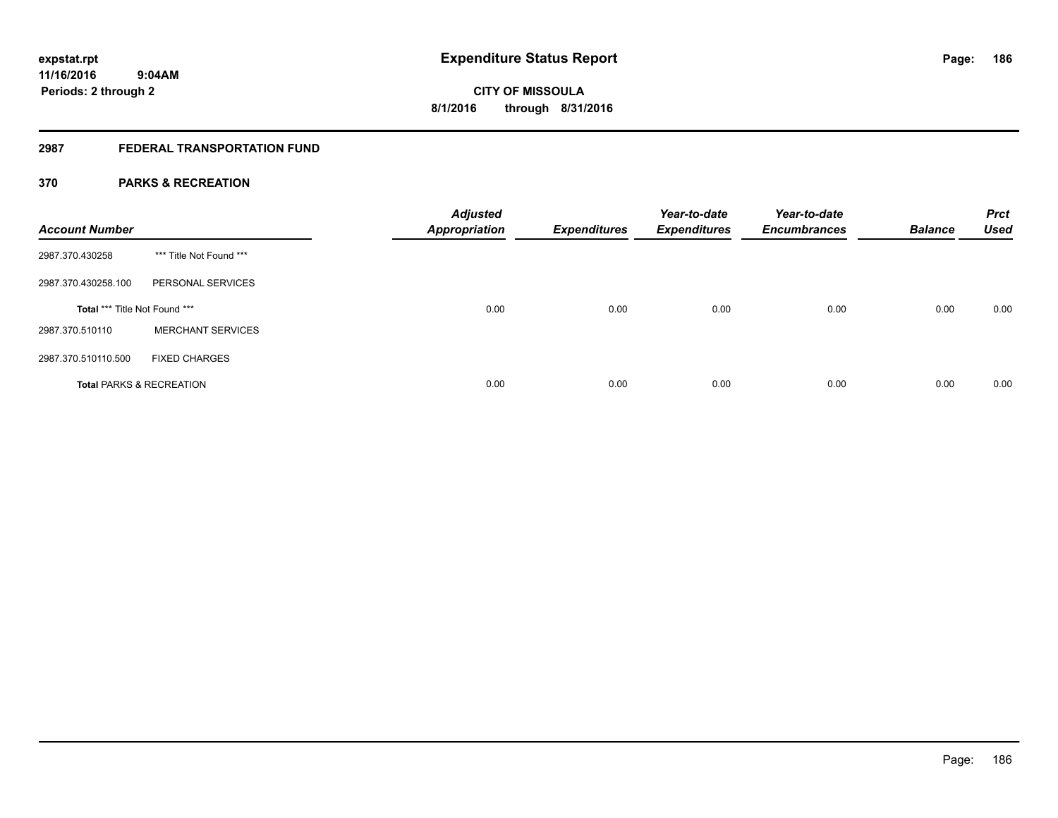### **2987 FEDERAL TRANSPORTATION FUND**

#### **370 PARKS & RECREATION**

| <b>Account Number</b>                |                          | <b>Adjusted</b><br><b>Appropriation</b> | <b>Expenditures</b> | Year-to-date<br><b>Expenditures</b> | Year-to-date<br><b>Encumbrances</b> | <b>Balance</b> | <b>Prct</b><br><b>Used</b> |
|--------------------------------------|--------------------------|-----------------------------------------|---------------------|-------------------------------------|-------------------------------------|----------------|----------------------------|
| 2987.370.430258                      | *** Title Not Found ***  |                                         |                     |                                     |                                     |                |                            |
| 2987.370.430258.100                  | PERSONAL SERVICES        |                                         |                     |                                     |                                     |                |                            |
| <b>Total *** Title Not Found ***</b> |                          | 0.00                                    | 0.00                | 0.00                                | 0.00                                | 0.00           | 0.00                       |
| 2987.370.510110                      | <b>MERCHANT SERVICES</b> |                                         |                     |                                     |                                     |                |                            |
| 2987.370.510110.500                  | <b>FIXED CHARGES</b>     |                                         |                     |                                     |                                     |                |                            |
| <b>Total PARKS &amp; RECREATION</b>  |                          | 0.00                                    | 0.00                | 0.00                                | 0.00                                | 0.00           | 0.00                       |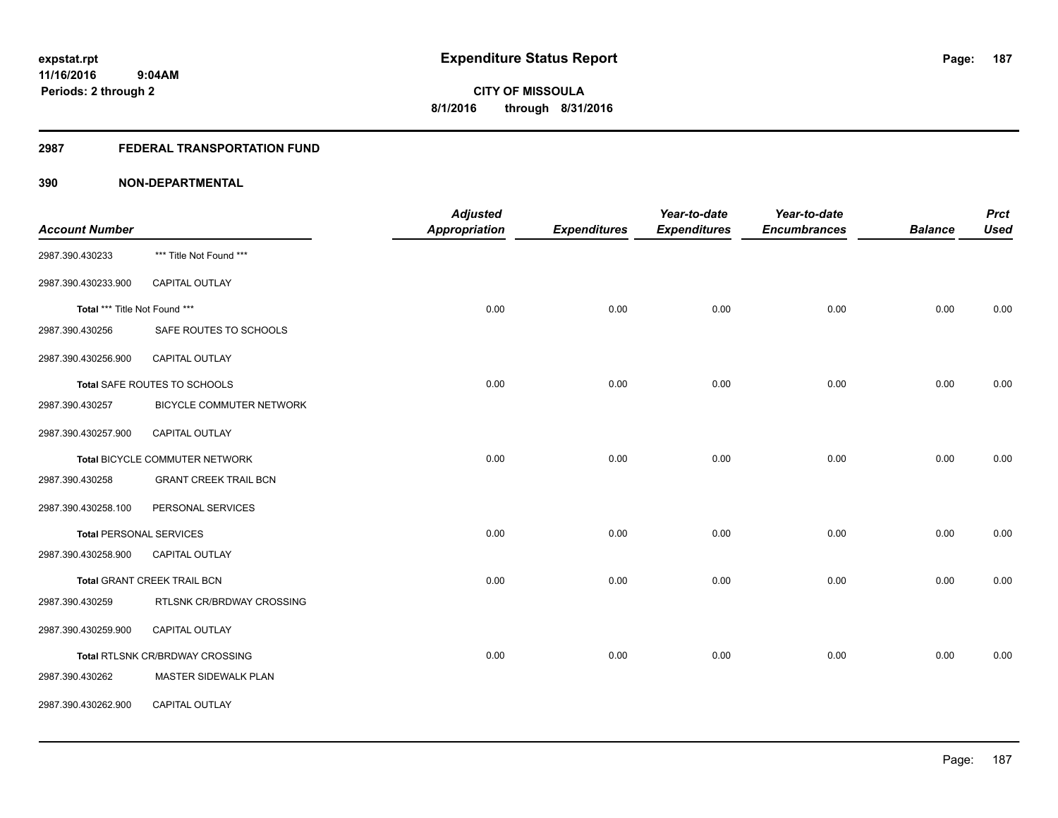#### **2987 FEDERAL TRANSPORTATION FUND**

|                                |                                 | <b>Adjusted</b>      |                     | Year-to-date        | Year-to-date        |                | <b>Prct</b> |
|--------------------------------|---------------------------------|----------------------|---------------------|---------------------|---------------------|----------------|-------------|
| <b>Account Number</b>          |                                 | <b>Appropriation</b> | <b>Expenditures</b> | <b>Expenditures</b> | <b>Encumbrances</b> | <b>Balance</b> | <b>Used</b> |
| 2987.390.430233                | *** Title Not Found ***         |                      |                     |                     |                     |                |             |
| 2987.390.430233.900            | <b>CAPITAL OUTLAY</b>           |                      |                     |                     |                     |                |             |
| Total *** Title Not Found ***  |                                 | 0.00                 | 0.00                | 0.00                | 0.00                | 0.00           | 0.00        |
| 2987.390.430256                | SAFE ROUTES TO SCHOOLS          |                      |                     |                     |                     |                |             |
| 2987.390.430256.900            | CAPITAL OUTLAY                  |                      |                     |                     |                     |                |             |
|                                | Total SAFE ROUTES TO SCHOOLS    | 0.00                 | 0.00                | 0.00                | 0.00                | 0.00           | 0.00        |
| 2987.390.430257                | BICYCLE COMMUTER NETWORK        |                      |                     |                     |                     |                |             |
| 2987.390.430257.900            | <b>CAPITAL OUTLAY</b>           |                      |                     |                     |                     |                |             |
|                                | Total BICYCLE COMMUTER NETWORK  | 0.00                 | 0.00                | 0.00                | 0.00                | 0.00           | 0.00        |
| 2987.390.430258                | <b>GRANT CREEK TRAIL BCN</b>    |                      |                     |                     |                     |                |             |
| 2987.390.430258.100            | PERSONAL SERVICES               |                      |                     |                     |                     |                |             |
| <b>Total PERSONAL SERVICES</b> |                                 | 0.00                 | 0.00                | 0.00                | 0.00                | 0.00           | 0.00        |
| 2987.390.430258.900            | CAPITAL OUTLAY                  |                      |                     |                     |                     |                |             |
|                                | Total GRANT CREEK TRAIL BCN     | 0.00                 | 0.00                | 0.00                | 0.00                | 0.00           | 0.00        |
| 2987.390.430259                | RTLSNK CR/BRDWAY CROSSING       |                      |                     |                     |                     |                |             |
| 2987.390.430259.900            | CAPITAL OUTLAY                  |                      |                     |                     |                     |                |             |
|                                | Total RTLSNK CR/BRDWAY CROSSING | 0.00                 | 0.00                | 0.00                | 0.00                | 0.00           | 0.00        |
| 2987.390.430262                | MASTER SIDEWALK PLAN            |                      |                     |                     |                     |                |             |
| 2987.390.430262.900            | CAPITAL OUTLAY                  |                      |                     |                     |                     |                |             |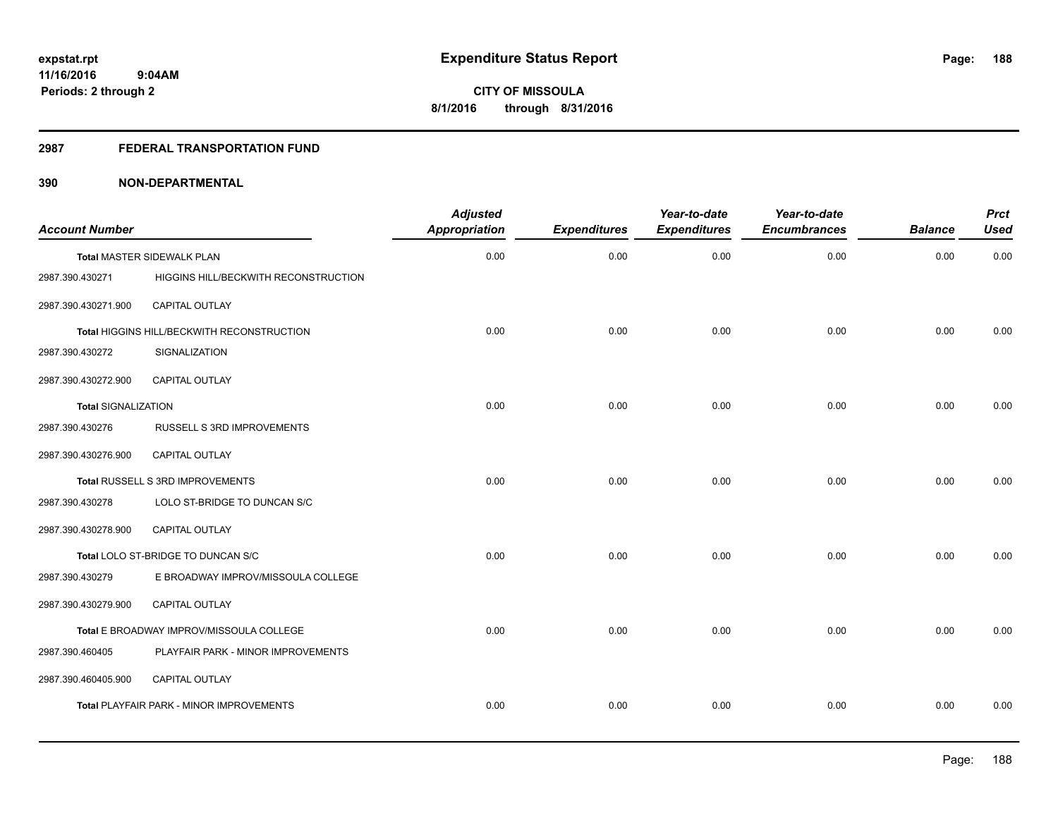#### **2987 FEDERAL TRANSPORTATION FUND**

| <b>Account Number</b>      |                                            | <b>Adjusted</b><br><b>Appropriation</b> | <b>Expenditures</b> | Year-to-date<br><b>Expenditures</b> | Year-to-date<br><b>Encumbrances</b> | <b>Balance</b> | <b>Prct</b><br><b>Used</b> |
|----------------------------|--------------------------------------------|-----------------------------------------|---------------------|-------------------------------------|-------------------------------------|----------------|----------------------------|
|                            | <b>Total MASTER SIDEWALK PLAN</b>          | 0.00                                    | 0.00                | 0.00                                | 0.00                                | 0.00           | 0.00                       |
| 2987.390.430271            | HIGGINS HILL/BECKWITH RECONSTRUCTION       |                                         |                     |                                     |                                     |                |                            |
| 2987.390.430271.900        | CAPITAL OUTLAY                             |                                         |                     |                                     |                                     |                |                            |
|                            | Total HIGGINS HILL/BECKWITH RECONSTRUCTION | 0.00                                    | 0.00                | 0.00                                | 0.00                                | 0.00           | 0.00                       |
| 2987.390.430272            | SIGNALIZATION                              |                                         |                     |                                     |                                     |                |                            |
| 2987.390.430272.900        | CAPITAL OUTLAY                             |                                         |                     |                                     |                                     |                |                            |
| <b>Total SIGNALIZATION</b> |                                            | 0.00                                    | 0.00                | 0.00                                | 0.00                                | 0.00           | 0.00                       |
| 2987.390.430276            | RUSSELL S 3RD IMPROVEMENTS                 |                                         |                     |                                     |                                     |                |                            |
| 2987.390.430276.900        | <b>CAPITAL OUTLAY</b>                      |                                         |                     |                                     |                                     |                |                            |
|                            | Total RUSSELL S 3RD IMPROVEMENTS           | 0.00                                    | 0.00                | 0.00                                | 0.00                                | 0.00           | 0.00                       |
| 2987.390.430278            | LOLO ST-BRIDGE TO DUNCAN S/C               |                                         |                     |                                     |                                     |                |                            |
| 2987.390.430278.900        | CAPITAL OUTLAY                             |                                         |                     |                                     |                                     |                |                            |
|                            | Total LOLO ST-BRIDGE TO DUNCAN S/C         | 0.00                                    | 0.00                | 0.00                                | 0.00                                | 0.00           | 0.00                       |
| 2987.390.430279            | E BROADWAY IMPROV/MISSOULA COLLEGE         |                                         |                     |                                     |                                     |                |                            |
| 2987.390.430279.900        | <b>CAPITAL OUTLAY</b>                      |                                         |                     |                                     |                                     |                |                            |
|                            | Total E BROADWAY IMPROV/MISSOULA COLLEGE   | 0.00                                    | 0.00                | 0.00                                | 0.00                                | 0.00           | 0.00                       |
| 2987.390.460405            | PLAYFAIR PARK - MINOR IMPROVEMENTS         |                                         |                     |                                     |                                     |                |                            |
| 2987.390.460405.900        | CAPITAL OUTLAY                             |                                         |                     |                                     |                                     |                |                            |
|                            | Total PLAYFAIR PARK - MINOR IMPROVEMENTS   | 0.00                                    | 0.00                | 0.00                                | 0.00                                | 0.00           | 0.00                       |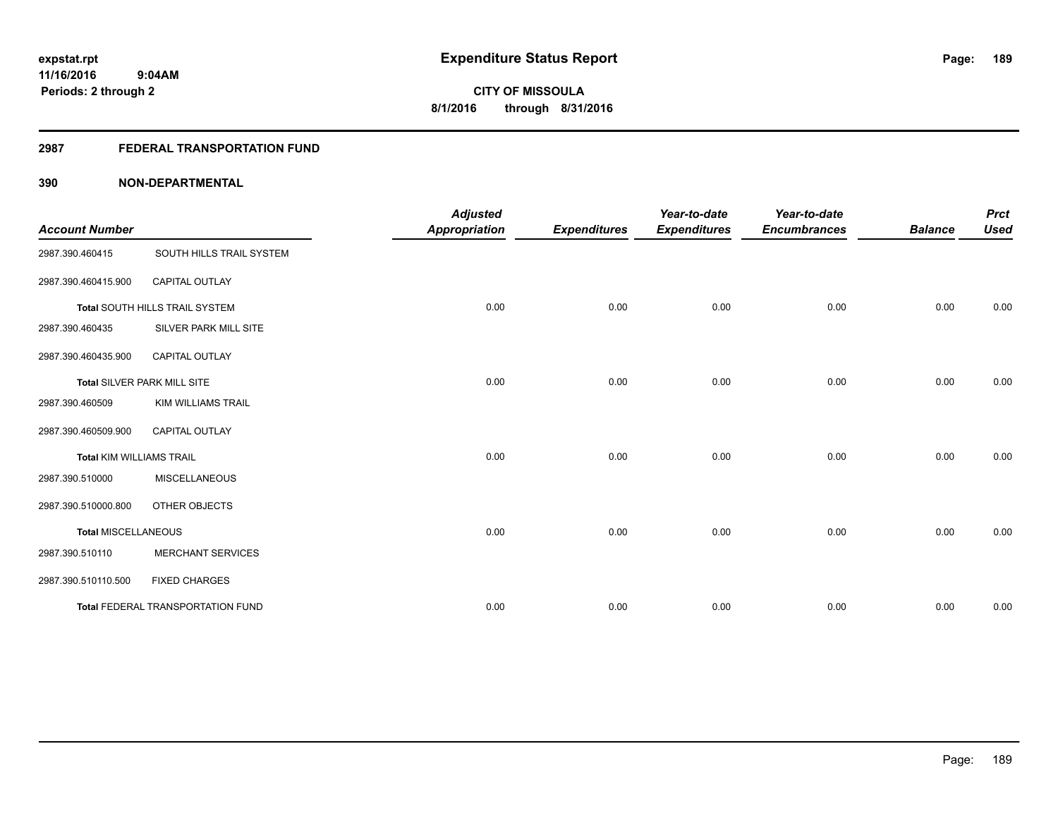#### **2987 FEDERAL TRANSPORTATION FUND**

| <b>Account Number</b>           |                                   | <b>Adjusted</b><br><b>Appropriation</b> | <b>Expenditures</b> | Year-to-date<br><b>Expenditures</b> | Year-to-date<br><b>Encumbrances</b> | <b>Balance</b> | <b>Prct</b><br><b>Used</b> |
|---------------------------------|-----------------------------------|-----------------------------------------|---------------------|-------------------------------------|-------------------------------------|----------------|----------------------------|
| 2987.390.460415                 | SOUTH HILLS TRAIL SYSTEM          |                                         |                     |                                     |                                     |                |                            |
| 2987.390.460415.900             | <b>CAPITAL OUTLAY</b>             |                                         |                     |                                     |                                     |                |                            |
|                                 | Total SOUTH HILLS TRAIL SYSTEM    | 0.00                                    | 0.00                | 0.00                                | 0.00                                | 0.00           | 0.00                       |
| 2987.390.460435                 | SILVER PARK MILL SITE             |                                         |                     |                                     |                                     |                |                            |
| 2987.390.460435.900             | <b>CAPITAL OUTLAY</b>             |                                         |                     |                                     |                                     |                |                            |
|                                 | Total SILVER PARK MILL SITE       | 0.00                                    | 0.00                | 0.00                                | 0.00                                | 0.00           | 0.00                       |
| 2987.390.460509                 | <b>KIM WILLIAMS TRAIL</b>         |                                         |                     |                                     |                                     |                |                            |
| 2987.390.460509.900             | <b>CAPITAL OUTLAY</b>             |                                         |                     |                                     |                                     |                |                            |
| <b>Total KIM WILLIAMS TRAIL</b> |                                   | 0.00                                    | 0.00                | 0.00                                | 0.00                                | 0.00           | 0.00                       |
| 2987.390.510000                 | <b>MISCELLANEOUS</b>              |                                         |                     |                                     |                                     |                |                            |
| 2987.390.510000.800             | OTHER OBJECTS                     |                                         |                     |                                     |                                     |                |                            |
| <b>Total MISCELLANEOUS</b>      |                                   | 0.00                                    | 0.00                | 0.00                                | 0.00                                | 0.00           | 0.00                       |
| 2987.390.510110                 | <b>MERCHANT SERVICES</b>          |                                         |                     |                                     |                                     |                |                            |
| 2987.390.510110.500             | <b>FIXED CHARGES</b>              |                                         |                     |                                     |                                     |                |                            |
|                                 | Total FEDERAL TRANSPORTATION FUND | 0.00                                    | 0.00                | 0.00                                | 0.00                                | 0.00           | 0.00                       |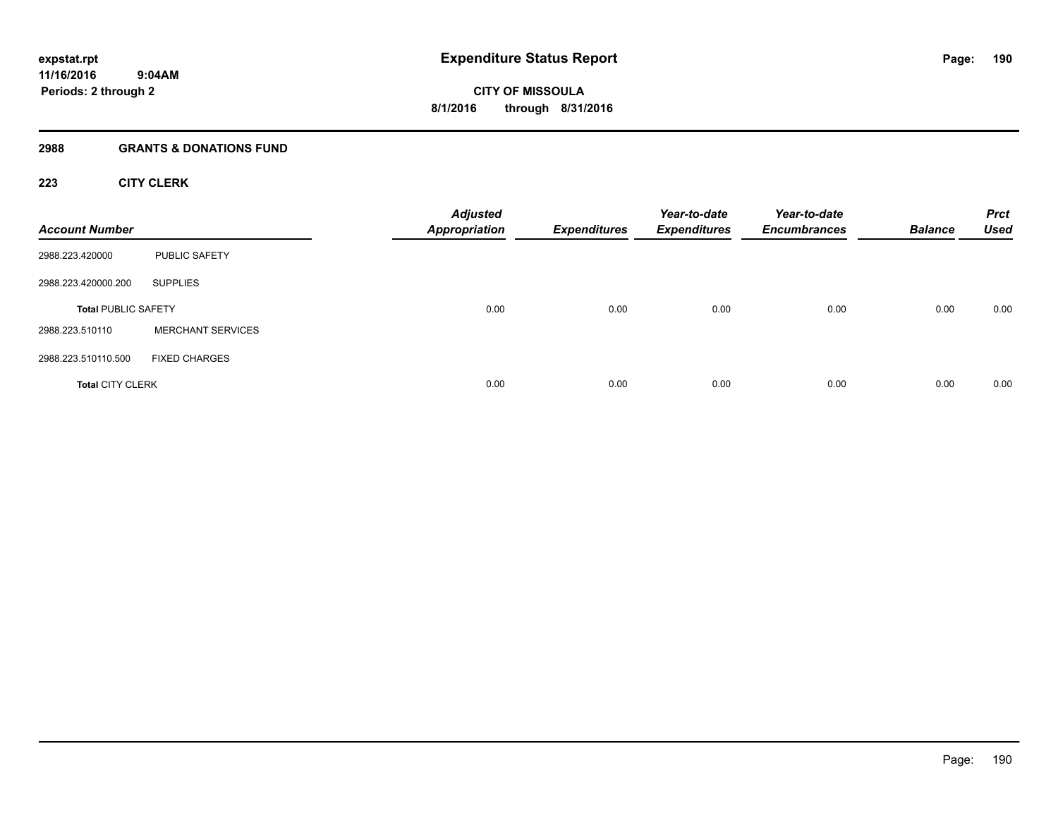#### **2988 GRANTS & DONATIONS FUND**

#### **223 CITY CLERK**

| <b>Account Number</b>      |                          | <b>Adjusted</b><br><b>Appropriation</b> | <b>Expenditures</b> | Year-to-date<br><b>Expenditures</b> | Year-to-date<br><b>Encumbrances</b> | <b>Balance</b> | <b>Prct</b><br><b>Used</b> |
|----------------------------|--------------------------|-----------------------------------------|---------------------|-------------------------------------|-------------------------------------|----------------|----------------------------|
| 2988.223.420000            | <b>PUBLIC SAFETY</b>     |                                         |                     |                                     |                                     |                |                            |
| 2988.223.420000.200        | <b>SUPPLIES</b>          |                                         |                     |                                     |                                     |                |                            |
| <b>Total PUBLIC SAFETY</b> |                          | 0.00                                    | 0.00                | 0.00                                | 0.00                                | 0.00           | 0.00                       |
| 2988.223.510110            | <b>MERCHANT SERVICES</b> |                                         |                     |                                     |                                     |                |                            |
| 2988.223.510110.500        | <b>FIXED CHARGES</b>     |                                         |                     |                                     |                                     |                |                            |
| <b>Total CITY CLERK</b>    |                          | 0.00                                    | 0.00                | 0.00                                | 0.00                                | 0.00           | 0.00                       |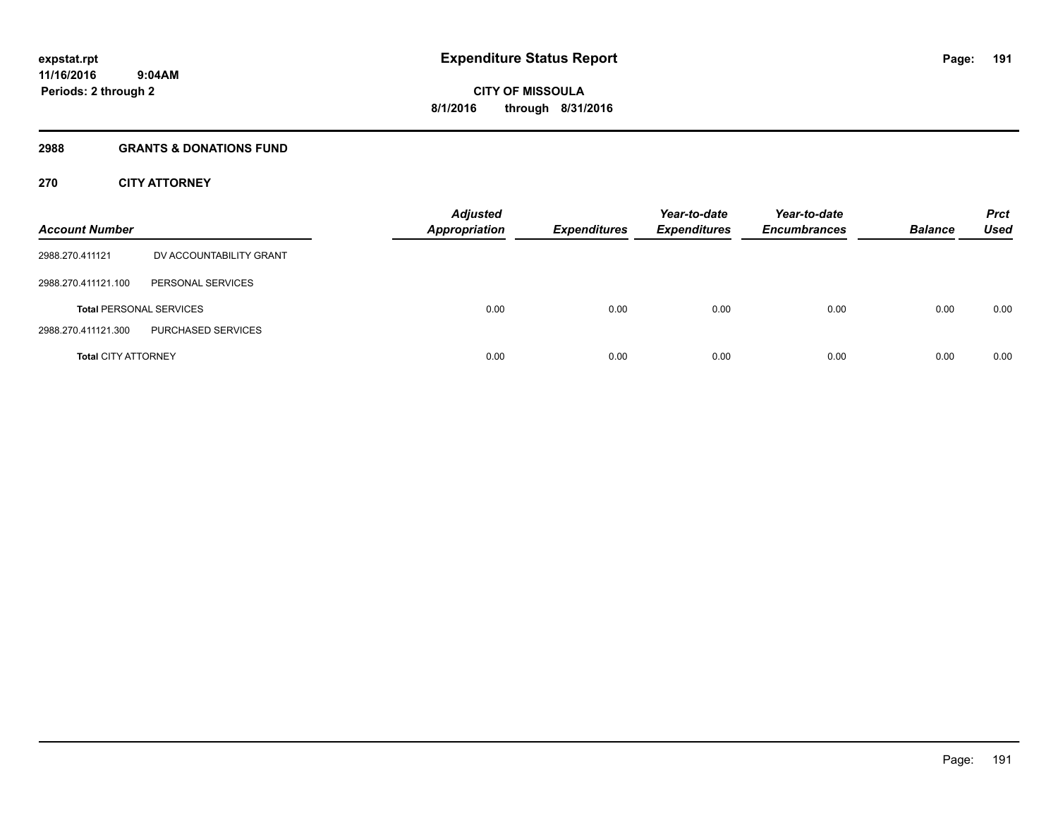#### **2988 GRANTS & DONATIONS FUND**

#### **270 CITY ATTORNEY**

| <b>Account Number</b>      |                                | <b>Adjusted</b><br><b>Appropriation</b> | <b>Expenditures</b> | Year-to-date<br><b>Expenditures</b> | Year-to-date<br><b>Encumbrances</b> | <b>Balance</b> | <b>Prct</b><br>Used |
|----------------------------|--------------------------------|-----------------------------------------|---------------------|-------------------------------------|-------------------------------------|----------------|---------------------|
| 2988.270.411121            | DV ACCOUNTABILITY GRANT        |                                         |                     |                                     |                                     |                |                     |
| 2988.270.411121.100        | PERSONAL SERVICES              |                                         |                     |                                     |                                     |                |                     |
|                            | <b>Total PERSONAL SERVICES</b> | 0.00                                    | 0.00                | 0.00                                | 0.00                                | 0.00           | 0.00                |
| 2988.270.411121.300        | PURCHASED SERVICES             |                                         |                     |                                     |                                     |                |                     |
| <b>Total CITY ATTORNEY</b> |                                | 0.00                                    | 0.00                | 0.00                                | 0.00                                | 0.00           | 0.00                |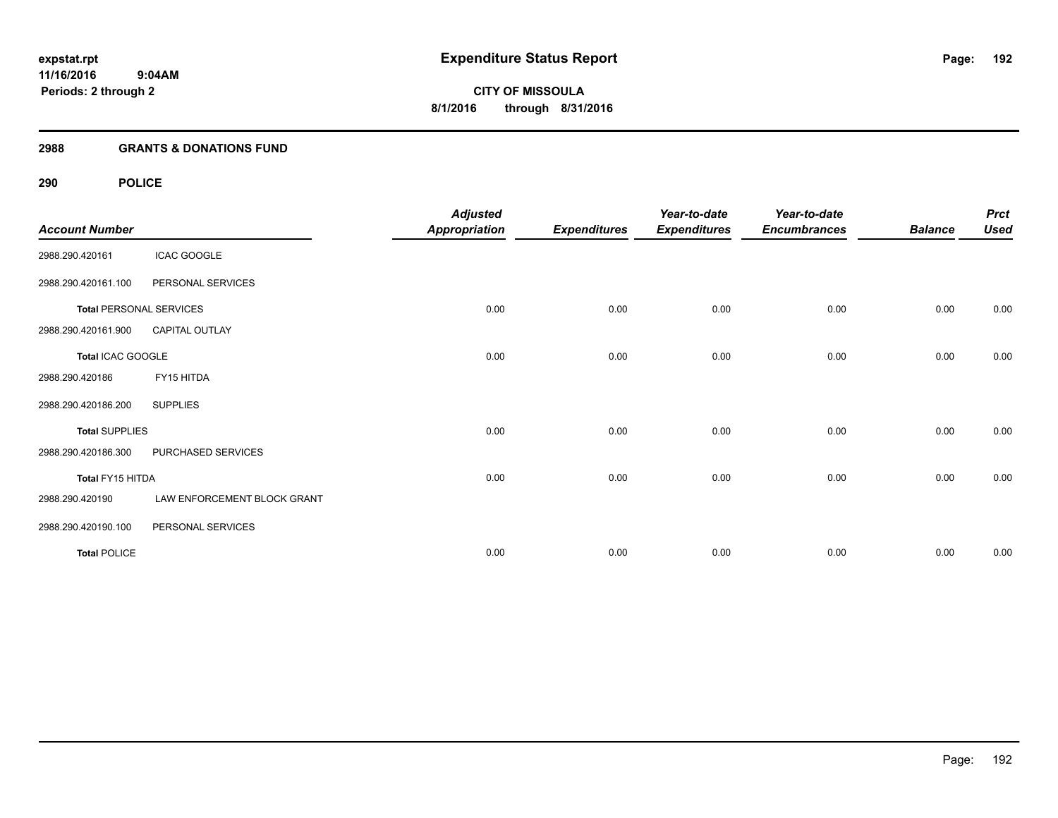#### **2988 GRANTS & DONATIONS FUND**

| <b>Account Number</b>          |                             | <b>Adjusted</b><br><b>Appropriation</b> | <b>Expenditures</b> | Year-to-date<br><b>Expenditures</b> | Year-to-date<br><b>Encumbrances</b> | <b>Balance</b> | <b>Prct</b><br><b>Used</b> |
|--------------------------------|-----------------------------|-----------------------------------------|---------------------|-------------------------------------|-------------------------------------|----------------|----------------------------|
| 2988.290.420161                | <b>ICAC GOOGLE</b>          |                                         |                     |                                     |                                     |                |                            |
| 2988.290.420161.100            | PERSONAL SERVICES           |                                         |                     |                                     |                                     |                |                            |
| <b>Total PERSONAL SERVICES</b> |                             | 0.00                                    | 0.00                | 0.00                                | 0.00                                | 0.00           | 0.00                       |
| 2988.290.420161.900            | CAPITAL OUTLAY              |                                         |                     |                                     |                                     |                |                            |
| Total ICAC GOOGLE              |                             | 0.00                                    | 0.00                | 0.00                                | 0.00                                | 0.00           | 0.00                       |
| 2988.290.420186                | FY15 HITDA                  |                                         |                     |                                     |                                     |                |                            |
| 2988.290.420186.200            | <b>SUPPLIES</b>             |                                         |                     |                                     |                                     |                |                            |
| <b>Total SUPPLIES</b>          |                             | 0.00                                    | 0.00                | 0.00                                | 0.00                                | 0.00           | 0.00                       |
| 2988.290.420186.300            | PURCHASED SERVICES          |                                         |                     |                                     |                                     |                |                            |
| Total FY15 HITDA               |                             | 0.00                                    | 0.00                | 0.00                                | 0.00                                | 0.00           | 0.00                       |
| 2988.290.420190                | LAW ENFORCEMENT BLOCK GRANT |                                         |                     |                                     |                                     |                |                            |
| 2988.290.420190.100            | PERSONAL SERVICES           |                                         |                     |                                     |                                     |                |                            |
| <b>Total POLICE</b>            |                             | 0.00                                    | 0.00                | 0.00                                | 0.00                                | 0.00           | 0.00                       |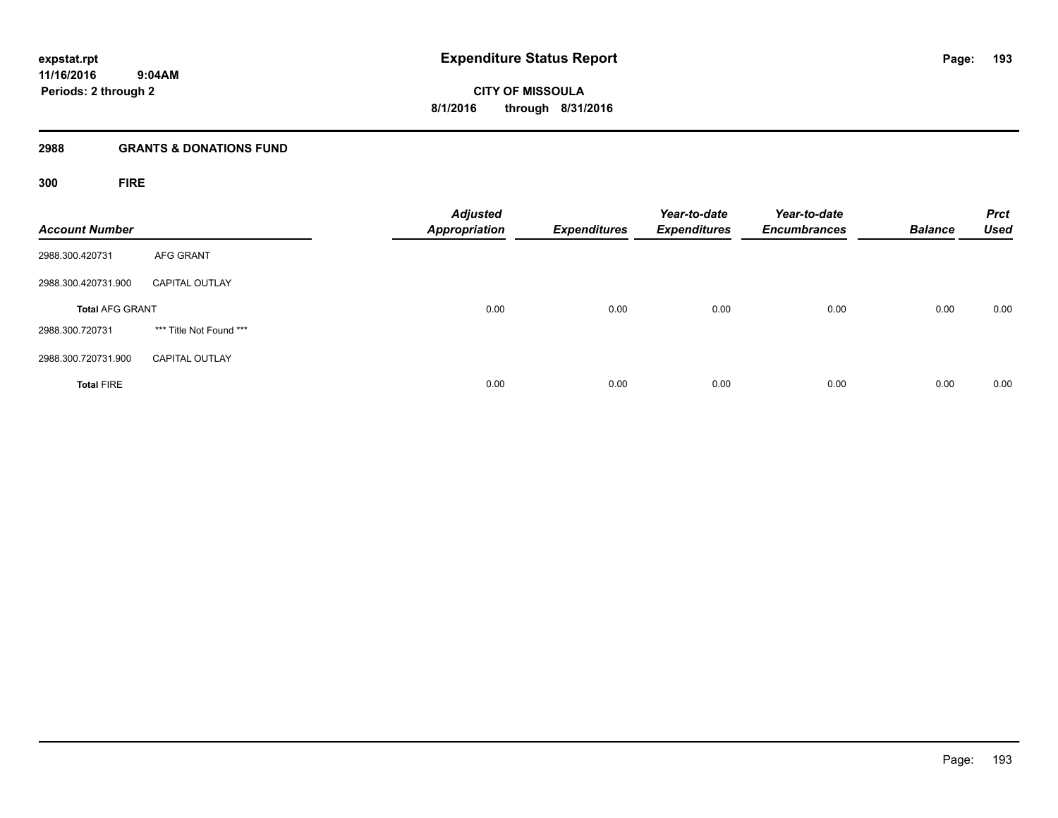**Periods: 2 through 2**

**CITY OF MISSOULA 8/1/2016 through 8/31/2016**

#### **2988 GRANTS & DONATIONS FUND**

**300 FIRE**

| <b>Account Number</b>  |                         | <b>Adjusted</b><br><b>Appropriation</b> | <b>Expenditures</b> | Year-to-date<br><b>Expenditures</b> | Year-to-date<br><b>Encumbrances</b> | <b>Balance</b> | <b>Prct</b><br><b>Used</b> |
|------------------------|-------------------------|-----------------------------------------|---------------------|-------------------------------------|-------------------------------------|----------------|----------------------------|
| 2988.300.420731        | <b>AFG GRANT</b>        |                                         |                     |                                     |                                     |                |                            |
| 2988.300.420731.900    | <b>CAPITAL OUTLAY</b>   |                                         |                     |                                     |                                     |                |                            |
| <b>Total AFG GRANT</b> |                         | 0.00                                    | 0.00                | 0.00                                | 0.00                                | 0.00           | 0.00                       |
| 2988.300.720731        | *** Title Not Found *** |                                         |                     |                                     |                                     |                |                            |
| 2988.300.720731.900    | <b>CAPITAL OUTLAY</b>   |                                         |                     |                                     |                                     |                |                            |
| <b>Total FIRE</b>      |                         | 0.00                                    | 0.00                | 0.00                                | 0.00                                | 0.00           | 0.00                       |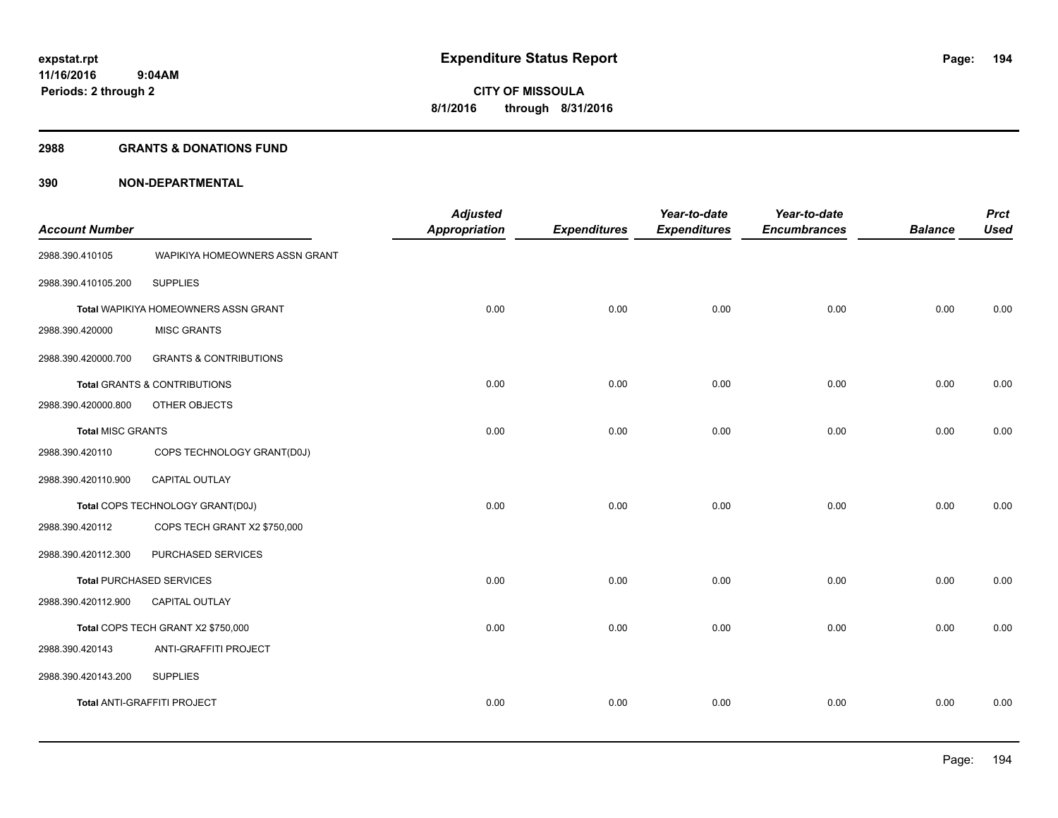#### **2988 GRANTS & DONATIONS FUND**

| <b>Account Number</b>    |                                         | <b>Adjusted</b><br><b>Appropriation</b> | <b>Expenditures</b> | Year-to-date<br><b>Expenditures</b> | Year-to-date<br><b>Encumbrances</b> | <b>Balance</b> | <b>Prct</b><br><b>Used</b> |
|--------------------------|-----------------------------------------|-----------------------------------------|---------------------|-------------------------------------|-------------------------------------|----------------|----------------------------|
| 2988.390.410105          | WAPIKIYA HOMEOWNERS ASSN GRANT          |                                         |                     |                                     |                                     |                |                            |
| 2988.390.410105.200      | <b>SUPPLIES</b>                         |                                         |                     |                                     |                                     |                |                            |
|                          | Total WAPIKIYA HOMEOWNERS ASSN GRANT    | 0.00                                    | 0.00                | 0.00                                | 0.00                                | 0.00           | 0.00                       |
| 2988.390.420000          | <b>MISC GRANTS</b>                      |                                         |                     |                                     |                                     |                |                            |
| 2988.390.420000.700      | <b>GRANTS &amp; CONTRIBUTIONS</b>       |                                         |                     |                                     |                                     |                |                            |
|                          | <b>Total GRANTS &amp; CONTRIBUTIONS</b> | 0.00                                    | 0.00                | 0.00                                | 0.00                                | 0.00           | 0.00                       |
| 2988.390.420000.800      | OTHER OBJECTS                           |                                         |                     |                                     |                                     |                |                            |
| <b>Total MISC GRANTS</b> |                                         | 0.00                                    | 0.00                | 0.00                                | 0.00                                | 0.00           | 0.00                       |
| 2988.390.420110          | COPS TECHNOLOGY GRANT(D0J)              |                                         |                     |                                     |                                     |                |                            |
| 2988.390.420110.900      | CAPITAL OUTLAY                          |                                         |                     |                                     |                                     |                |                            |
|                          | Total COPS TECHNOLOGY GRANT(D0J)        | 0.00                                    | 0.00                | 0.00                                | 0.00                                | 0.00           | 0.00                       |
| 2988.390.420112          | COPS TECH GRANT X2 \$750,000            |                                         |                     |                                     |                                     |                |                            |
| 2988.390.420112.300      | PURCHASED SERVICES                      |                                         |                     |                                     |                                     |                |                            |
|                          | <b>Total PURCHASED SERVICES</b>         | 0.00                                    | 0.00                | 0.00                                | 0.00                                | 0.00           | 0.00                       |
| 2988.390.420112.900      | <b>CAPITAL OUTLAY</b>                   |                                         |                     |                                     |                                     |                |                            |
|                          | Total COPS TECH GRANT X2 \$750,000      | 0.00                                    | 0.00                | 0.00                                | 0.00                                | 0.00           | 0.00                       |
| 2988.390.420143          | ANTI-GRAFFITI PROJECT                   |                                         |                     |                                     |                                     |                |                            |
| 2988.390.420143.200      | <b>SUPPLIES</b>                         |                                         |                     |                                     |                                     |                |                            |
|                          | Total ANTI-GRAFFITI PROJECT             | 0.00                                    | 0.00                | 0.00                                | 0.00                                | 0.00           | 0.00                       |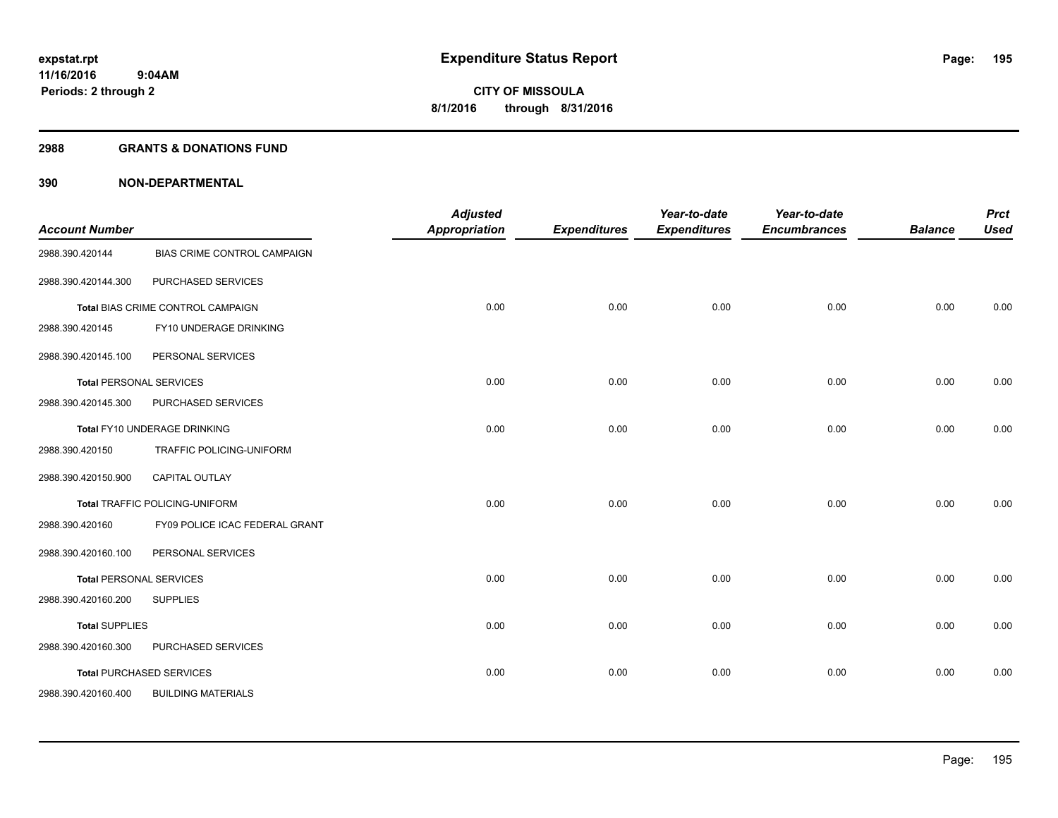#### **2988 GRANTS & DONATIONS FUND**

| <b>Account Number</b>          |                                       | <b>Adjusted</b><br><b>Appropriation</b> | <b>Expenditures</b> | Year-to-date<br><b>Expenditures</b> | Year-to-date<br><b>Encumbrances</b> | <b>Balance</b> | <b>Prct</b><br><b>Used</b> |
|--------------------------------|---------------------------------------|-----------------------------------------|---------------------|-------------------------------------|-------------------------------------|----------------|----------------------------|
| 2988.390.420144                | BIAS CRIME CONTROL CAMPAIGN           |                                         |                     |                                     |                                     |                |                            |
| 2988.390.420144.300            | PURCHASED SERVICES                    |                                         |                     |                                     |                                     |                |                            |
|                                | Total BIAS CRIME CONTROL CAMPAIGN     | 0.00                                    | 0.00                | 0.00                                | 0.00                                | 0.00           | 0.00                       |
| 2988.390.420145                | FY10 UNDERAGE DRINKING                |                                         |                     |                                     |                                     |                |                            |
| 2988.390.420145.100            | PERSONAL SERVICES                     |                                         |                     |                                     |                                     |                |                            |
|                                | <b>Total PERSONAL SERVICES</b>        | 0.00                                    | 0.00                | 0.00                                | 0.00                                | 0.00           | 0.00                       |
| 2988.390.420145.300            | PURCHASED SERVICES                    |                                         |                     |                                     |                                     |                |                            |
|                                | Total FY10 UNDERAGE DRINKING          | 0.00                                    | 0.00                | 0.00                                | 0.00                                | 0.00           | 0.00                       |
| 2988.390.420150                | TRAFFIC POLICING-UNIFORM              |                                         |                     |                                     |                                     |                |                            |
| 2988.390.420150.900            | <b>CAPITAL OUTLAY</b>                 |                                         |                     |                                     |                                     |                |                            |
|                                | <b>Total TRAFFIC POLICING-UNIFORM</b> | 0.00                                    | 0.00                | 0.00                                | 0.00                                | 0.00           | 0.00                       |
| 2988.390.420160                | FY09 POLICE ICAC FEDERAL GRANT        |                                         |                     |                                     |                                     |                |                            |
| 2988.390.420160.100            | PERSONAL SERVICES                     |                                         |                     |                                     |                                     |                |                            |
| <b>Total PERSONAL SERVICES</b> |                                       | 0.00                                    | 0.00                | 0.00                                | 0.00                                | 0.00           | 0.00                       |
| 2988.390.420160.200            | <b>SUPPLIES</b>                       |                                         |                     |                                     |                                     |                |                            |
| <b>Total SUPPLIES</b>          |                                       | 0.00                                    | 0.00                | 0.00                                | 0.00                                | 0.00           | 0.00                       |
| 2988.390.420160.300            | PURCHASED SERVICES                    |                                         |                     |                                     |                                     |                |                            |
|                                | <b>Total PURCHASED SERVICES</b>       | 0.00                                    | 0.00                | 0.00                                | 0.00                                | 0.00           | 0.00                       |
| 2988.390.420160.400            | <b>BUILDING MATERIALS</b>             |                                         |                     |                                     |                                     |                |                            |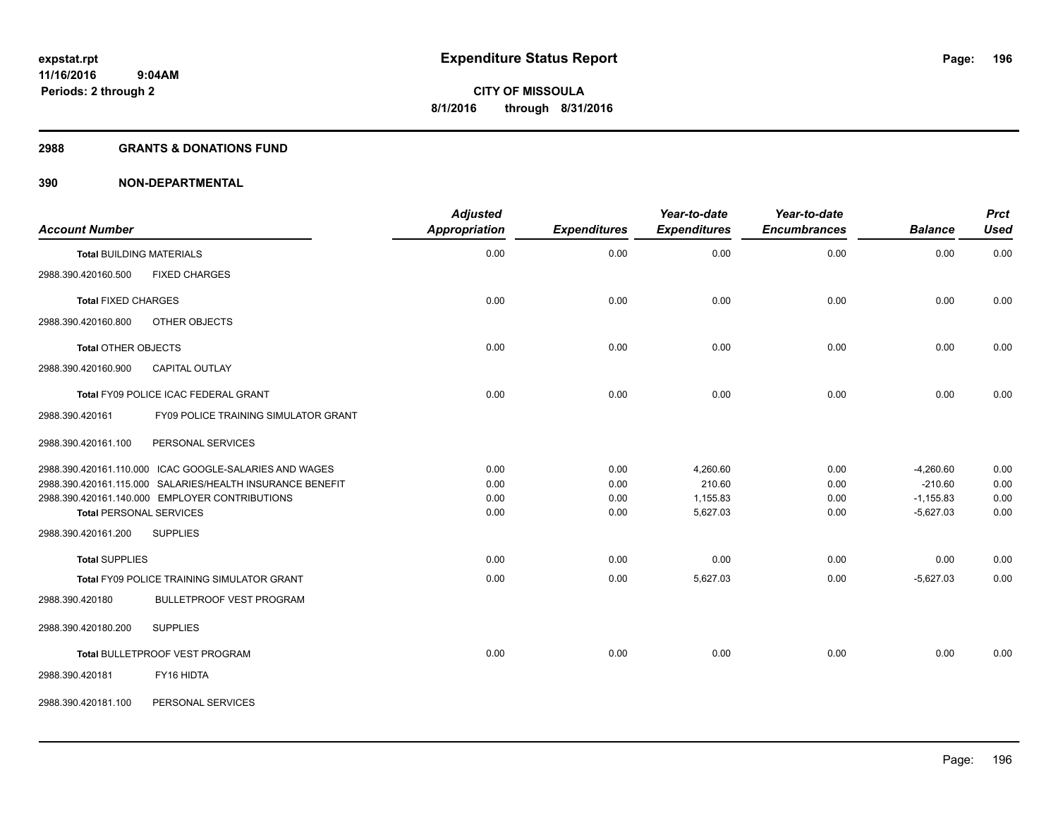#### **2988 GRANTS & DONATIONS FUND**

| <b>Account Number</b>                                     | <b>Adjusted</b><br><b>Appropriation</b> | <b>Expenditures</b> | Year-to-date<br><b>Expenditures</b> | Year-to-date<br><b>Encumbrances</b> | <b>Balance</b> | <b>Prct</b><br><b>Used</b> |
|-----------------------------------------------------------|-----------------------------------------|---------------------|-------------------------------------|-------------------------------------|----------------|----------------------------|
| <b>Total BUILDING MATERIALS</b>                           | 0.00                                    | 0.00                | 0.00                                | 0.00                                | 0.00           | 0.00                       |
| <b>FIXED CHARGES</b><br>2988.390.420160.500               |                                         |                     |                                     |                                     |                |                            |
| <b>Total FIXED CHARGES</b>                                | 0.00                                    | 0.00                | 0.00                                | 0.00                                | 0.00           | 0.00                       |
| 2988.390.420160.800<br>OTHER OBJECTS                      |                                         |                     |                                     |                                     |                |                            |
| <b>Total OTHER OBJECTS</b>                                | 0.00                                    | 0.00                | 0.00                                | 0.00                                | 0.00           | 0.00                       |
| 2988.390.420160.900<br>CAPITAL OUTLAY                     |                                         |                     |                                     |                                     |                |                            |
| Total FY09 POLICE ICAC FEDERAL GRANT                      | 0.00                                    | 0.00                | 0.00                                | 0.00                                | 0.00           | 0.00                       |
| FY09 POLICE TRAINING SIMULATOR GRANT<br>2988.390.420161   |                                         |                     |                                     |                                     |                |                            |
| 2988.390.420161.100<br>PERSONAL SERVICES                  |                                         |                     |                                     |                                     |                |                            |
| 2988.390.420161.110.000 ICAC GOOGLE-SALARIES AND WAGES    | 0.00                                    | 0.00                | 4,260.60                            | 0.00                                | $-4,260.60$    | 0.00                       |
| 2988.390.420161.115.000 SALARIES/HEALTH INSURANCE BENEFIT | 0.00                                    | 0.00                | 210.60                              | 0.00                                | $-210.60$      | 0.00                       |
| 2988.390.420161.140.000 EMPLOYER CONTRIBUTIONS            | 0.00                                    | 0.00                | 1,155.83                            | 0.00                                | $-1,155.83$    | 0.00                       |
| <b>Total PERSONAL SERVICES</b>                            | 0.00                                    | 0.00                | 5,627.03                            | 0.00                                | $-5,627.03$    | 0.00                       |
| 2988.390.420161.200<br><b>SUPPLIES</b>                    |                                         |                     |                                     |                                     |                |                            |
| <b>Total SUPPLIES</b>                                     | 0.00                                    | 0.00                | 0.00                                | 0.00                                | 0.00           | 0.00                       |
| Total FY09 POLICE TRAINING SIMULATOR GRANT                | 0.00                                    | 0.00                | 5,627.03                            | 0.00                                | $-5,627.03$    | 0.00                       |
| 2988.390.420180<br><b>BULLETPROOF VEST PROGRAM</b>        |                                         |                     |                                     |                                     |                |                            |
| 2988.390.420180.200<br><b>SUPPLIES</b>                    |                                         |                     |                                     |                                     |                |                            |
| Total BULLETPROOF VEST PROGRAM                            | 0.00                                    | 0.00                | 0.00                                | 0.00                                | 0.00           | 0.00                       |
| 2988.390.420181<br>FY16 HIDTA                             |                                         |                     |                                     |                                     |                |                            |
| 2988.390.420181.100<br>PERSONAL SERVICES                  |                                         |                     |                                     |                                     |                |                            |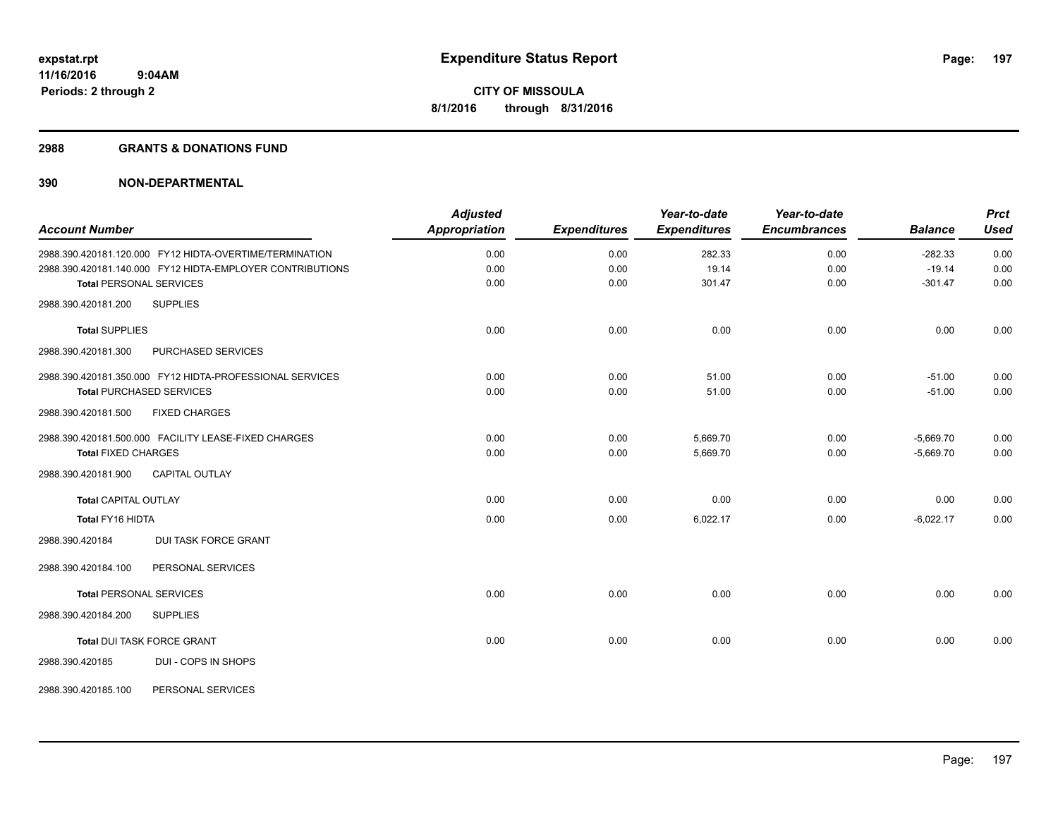#### **2988 GRANTS & DONATIONS FUND**

|                                |                                                           | <b>Adjusted</b>      |                     | Year-to-date        | Year-to-date        |                | <b>Prct</b> |
|--------------------------------|-----------------------------------------------------------|----------------------|---------------------|---------------------|---------------------|----------------|-------------|
| <b>Account Number</b>          |                                                           | <b>Appropriation</b> | <b>Expenditures</b> | <b>Expenditures</b> | <b>Encumbrances</b> | <b>Balance</b> | <b>Used</b> |
|                                | 2988.390.420181.120.000 FY12 HIDTA-OVERTIME/TERMINATION   | 0.00                 | 0.00                | 282.33              | 0.00                | $-282.33$      | 0.00        |
|                                | 2988.390.420181.140.000 FY12 HIDTA-EMPLOYER CONTRIBUTIONS | 0.00                 | 0.00                | 19.14               | 0.00                | $-19.14$       | 0.00        |
| <b>Total PERSONAL SERVICES</b> |                                                           | 0.00                 | 0.00                | 301.47              | 0.00                | $-301.47$      | 0.00        |
| 2988.390.420181.200            | <b>SUPPLIES</b>                                           |                      |                     |                     |                     |                |             |
| <b>Total SUPPLIES</b>          |                                                           | 0.00                 | 0.00                | 0.00                | 0.00                | 0.00           | 0.00        |
| 2988.390.420181.300            | PURCHASED SERVICES                                        |                      |                     |                     |                     |                |             |
|                                | 2988.390.420181.350.000 FY12 HIDTA-PROFESSIONAL SERVICES  | 0.00                 | 0.00                | 51.00               | 0.00                | $-51.00$       | 0.00        |
|                                | <b>Total PURCHASED SERVICES</b>                           | 0.00                 | 0.00                | 51.00               | 0.00                | $-51.00$       | 0.00        |
| 2988.390.420181.500            | <b>FIXED CHARGES</b>                                      |                      |                     |                     |                     |                |             |
|                                | 2988.390.420181.500.000 FACILITY LEASE-FIXED CHARGES      | 0.00                 | 0.00                | 5,669.70            | 0.00                | $-5,669.70$    | 0.00        |
| <b>Total FIXED CHARGES</b>     |                                                           | 0.00                 | 0.00                | 5,669.70            | 0.00                | $-5,669.70$    | 0.00        |
| 2988.390.420181.900            | <b>CAPITAL OUTLAY</b>                                     |                      |                     |                     |                     |                |             |
| <b>Total CAPITAL OUTLAY</b>    |                                                           | 0.00                 | 0.00                | 0.00                | 0.00                | 0.00           | 0.00        |
| Total FY16 HIDTA               |                                                           | 0.00                 | 0.00                | 6,022.17            | 0.00                | $-6,022.17$    | 0.00        |
| 2988.390.420184                | <b>DUI TASK FORCE GRANT</b>                               |                      |                     |                     |                     |                |             |
| 2988.390.420184.100            | PERSONAL SERVICES                                         |                      |                     |                     |                     |                |             |
| <b>Total PERSONAL SERVICES</b> |                                                           | 0.00                 | 0.00                | 0.00                | 0.00                | 0.00           | 0.00        |
| 2988.390.420184.200            | <b>SUPPLIES</b>                                           |                      |                     |                     |                     |                |             |
|                                | Total DUI TASK FORCE GRANT                                | 0.00                 | 0.00                | 0.00                | 0.00                | 0.00           | 0.00        |
| 2988.390.420185                | DUI - COPS IN SHOPS                                       |                      |                     |                     |                     |                |             |
| 2988.390.420185.100            | PERSONAL SERVICES                                         |                      |                     |                     |                     |                |             |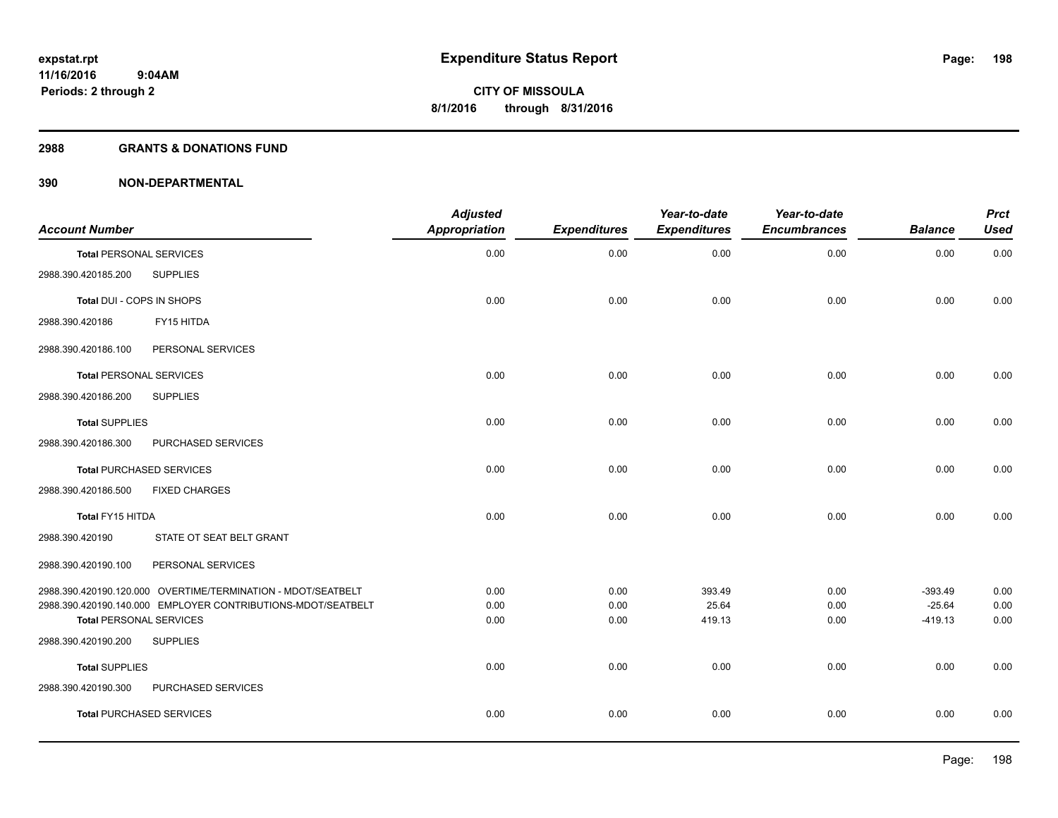#### **2988 GRANTS & DONATIONS FUND**

| <b>Account Number</b>          |                                                              | <b>Adjusted</b><br><b>Appropriation</b> | <b>Expenditures</b> | Year-to-date<br><b>Expenditures</b> | Year-to-date<br><b>Encumbrances</b> | <b>Balance</b>        | <b>Prct</b><br><b>Used</b> |
|--------------------------------|--------------------------------------------------------------|-----------------------------------------|---------------------|-------------------------------------|-------------------------------------|-----------------------|----------------------------|
| <b>Total PERSONAL SERVICES</b> |                                                              | 0.00                                    | 0.00                | 0.00                                | 0.00                                | 0.00                  | 0.00                       |
| 2988.390.420185.200            | <b>SUPPLIES</b>                                              |                                         |                     |                                     |                                     |                       |                            |
| Total DUI - COPS IN SHOPS      |                                                              | 0.00                                    | 0.00                | 0.00                                | 0.00                                | 0.00                  | 0.00                       |
| 2988.390.420186                | FY15 HITDA                                                   |                                         |                     |                                     |                                     |                       |                            |
| 2988.390.420186.100            | PERSONAL SERVICES                                            |                                         |                     |                                     |                                     |                       |                            |
| <b>Total PERSONAL SERVICES</b> |                                                              | 0.00                                    | 0.00                | 0.00                                | 0.00                                | 0.00                  | 0.00                       |
| 2988.390.420186.200            | <b>SUPPLIES</b>                                              |                                         |                     |                                     |                                     |                       |                            |
| <b>Total SUPPLIES</b>          |                                                              | 0.00                                    | 0.00                | 0.00                                | 0.00                                | 0.00                  | 0.00                       |
| 2988.390.420186.300            | PURCHASED SERVICES                                           |                                         |                     |                                     |                                     |                       |                            |
|                                | <b>Total PURCHASED SERVICES</b>                              | 0.00                                    | 0.00                | 0.00                                | 0.00                                | 0.00                  | 0.00                       |
| 2988.390.420186.500            | <b>FIXED CHARGES</b>                                         |                                         |                     |                                     |                                     |                       |                            |
| Total FY15 HITDA               |                                                              | 0.00                                    | 0.00                | 0.00                                | 0.00                                | 0.00                  | 0.00                       |
| 2988.390.420190                | STATE OT SEAT BELT GRANT                                     |                                         |                     |                                     |                                     |                       |                            |
| 2988.390.420190.100            | PERSONAL SERVICES                                            |                                         |                     |                                     |                                     |                       |                            |
|                                | 2988.390.420190.120.000 OVERTIME/TERMINATION - MDOT/SEATBELT | 0.00                                    | 0.00                | 393.49                              | 0.00                                | $-393.49$             | 0.00                       |
| <b>Total PERSONAL SERVICES</b> | 2988.390.420190.140.000 EMPLOYER CONTRIBUTIONS-MDOT/SEATBELT | 0.00<br>0.00                            | 0.00<br>0.00        | 25.64<br>419.13                     | 0.00<br>0.00                        | $-25.64$<br>$-419.13$ | 0.00<br>0.00               |
| 2988.390.420190.200            | <b>SUPPLIES</b>                                              |                                         |                     |                                     |                                     |                       |                            |
| <b>Total SUPPLIES</b>          |                                                              | 0.00                                    | 0.00                | 0.00                                | 0.00                                | 0.00                  | 0.00                       |
| 2988.390.420190.300            | PURCHASED SERVICES                                           |                                         |                     |                                     |                                     |                       |                            |
|                                | <b>Total PURCHASED SERVICES</b>                              | 0.00                                    | 0.00                | 0.00                                | 0.00                                | 0.00                  | 0.00                       |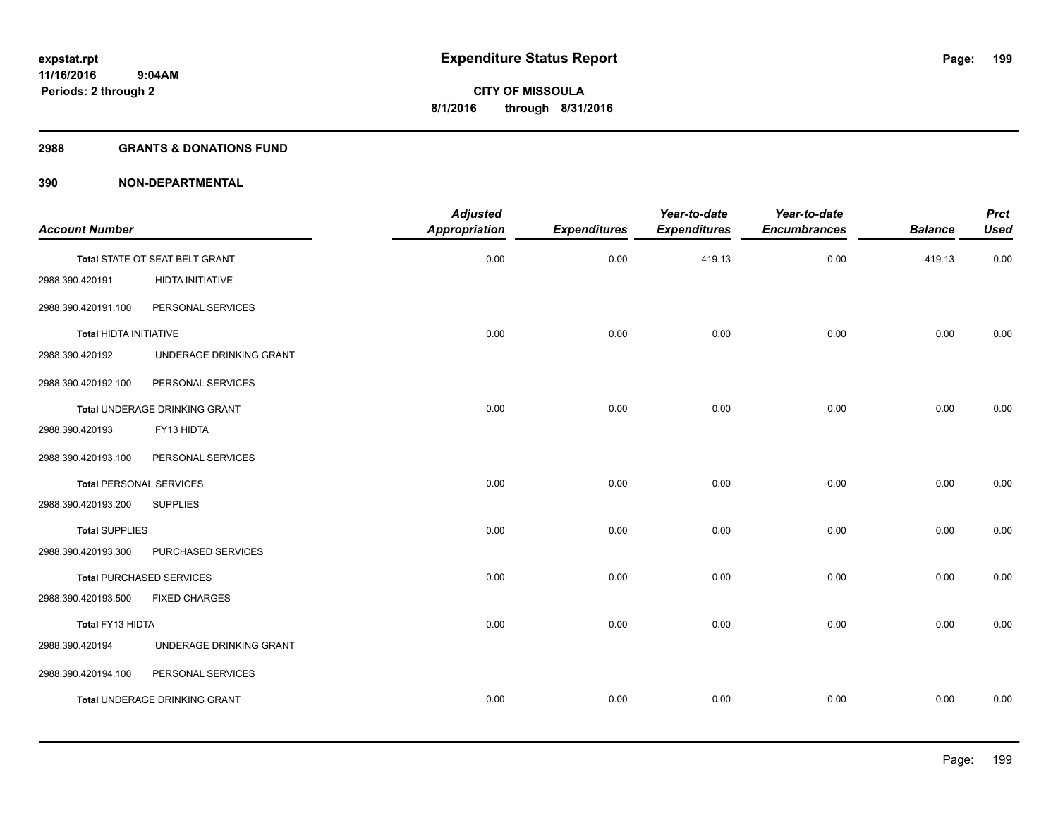#### **2988 GRANTS & DONATIONS FUND**

| Year-to-date<br><b>Prct</b><br><b>Encumbrances</b><br><b>Balance</b><br><b>Used</b> | Year-to-date<br><b>Expenditures</b> | <b>Expenditures</b> | <b>Adjusted</b><br><b>Appropriation</b> |                                      | <b>Account Number</b>           |
|-------------------------------------------------------------------------------------|-------------------------------------|---------------------|-----------------------------------------|--------------------------------------|---------------------------------|
|                                                                                     |                                     |                     |                                         |                                      |                                 |
| 0.00<br>0.00<br>$-419.13$                                                           | 419.13                              | 0.00                | 0.00                                    | Total STATE OT SEAT BELT GRANT       |                                 |
|                                                                                     |                                     |                     |                                         | HIDTA INITIATIVE                     | 2988.390.420191                 |
|                                                                                     |                                     |                     |                                         | PERSONAL SERVICES                    | 2988.390.420191.100             |
| 0.00<br>0.00<br>0.00                                                                | 0.00                                | 0.00                | 0.00                                    |                                      | Total HIDTA INITIATIVE          |
|                                                                                     |                                     |                     |                                         | UNDERAGE DRINKING GRANT              | 2988.390.420192                 |
|                                                                                     |                                     |                     |                                         | PERSONAL SERVICES                    | 2988.390.420192.100             |
| 0.00<br>0.00<br>0.00                                                                | 0.00                                | 0.00                | 0.00                                    | Total UNDERAGE DRINKING GRANT        |                                 |
|                                                                                     |                                     |                     |                                         | FY13 HIDTA                           | 2988.390.420193                 |
|                                                                                     |                                     |                     |                                         | PERSONAL SERVICES                    | 2988.390.420193.100             |
| 0.00<br>0.00<br>0.00                                                                | 0.00                                | 0.00                | 0.00                                    |                                      | <b>Total PERSONAL SERVICES</b>  |
|                                                                                     |                                     |                     |                                         | <b>SUPPLIES</b>                      | 2988.390.420193.200             |
| 0.00<br>0.00<br>0.00                                                                | 0.00                                | 0.00                | 0.00                                    |                                      | <b>Total SUPPLIES</b>           |
|                                                                                     |                                     |                     |                                         | PURCHASED SERVICES                   | 2988.390.420193.300             |
| 0.00<br>0.00<br>0.00                                                                | 0.00                                | 0.00                | 0.00                                    |                                      | <b>Total PURCHASED SERVICES</b> |
|                                                                                     |                                     |                     |                                         | <b>FIXED CHARGES</b>                 | 2988.390.420193.500             |
| 0.00<br>0.00<br>0.00                                                                | 0.00                                | 0.00                | 0.00                                    |                                      | Total FY13 HIDTA                |
|                                                                                     |                                     |                     |                                         | UNDERAGE DRINKING GRANT              | 2988.390.420194                 |
|                                                                                     |                                     |                     |                                         | PERSONAL SERVICES                    | 2988.390.420194.100             |
| 0.00<br>0.00<br>0.00                                                                | 0.00                                | 0.00                | 0.00                                    | <b>Total UNDERAGE DRINKING GRANT</b> |                                 |
|                                                                                     |                                     |                     |                                         |                                      |                                 |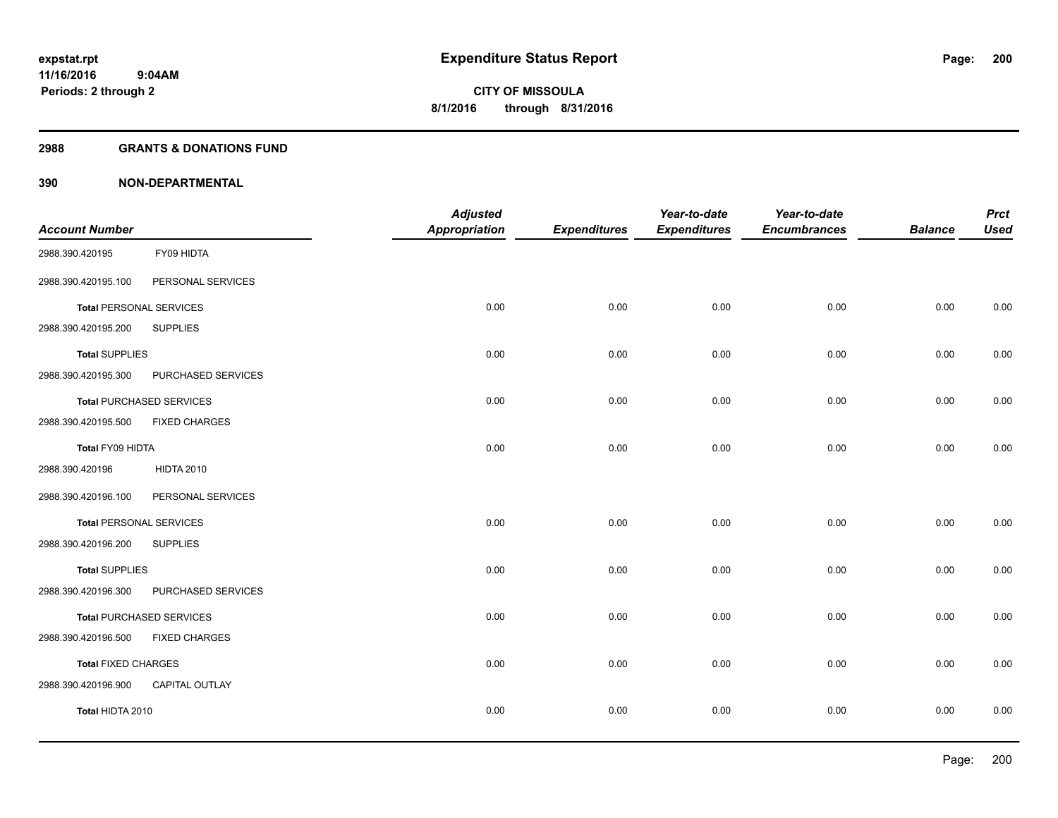#### **2988 GRANTS & DONATIONS FUND**

|                            |                                 | <b>Adjusted</b>      |                     | Year-to-date        | Year-to-date        |                | <b>Prct</b> |
|----------------------------|---------------------------------|----------------------|---------------------|---------------------|---------------------|----------------|-------------|
| <b>Account Number</b>      |                                 | <b>Appropriation</b> | <b>Expenditures</b> | <b>Expenditures</b> | <b>Encumbrances</b> | <b>Balance</b> | <b>Used</b> |
| 2988.390.420195            | FY09 HIDTA                      |                      |                     |                     |                     |                |             |
| 2988.390.420195.100        | PERSONAL SERVICES               |                      |                     |                     |                     |                |             |
|                            | <b>Total PERSONAL SERVICES</b>  | 0.00                 | 0.00                | 0.00                | 0.00                | 0.00           | 0.00        |
| 2988.390.420195.200        | <b>SUPPLIES</b>                 |                      |                     |                     |                     |                |             |
| <b>Total SUPPLIES</b>      |                                 | 0.00                 | 0.00                | 0.00                | 0.00                | 0.00           | 0.00        |
| 2988.390.420195.300        | PURCHASED SERVICES              |                      |                     |                     |                     |                |             |
|                            | <b>Total PURCHASED SERVICES</b> | 0.00                 | 0.00                | 0.00                | 0.00                | 0.00           | 0.00        |
| 2988.390.420195.500        | <b>FIXED CHARGES</b>            |                      |                     |                     |                     |                |             |
| Total FY09 HIDTA           |                                 | 0.00                 | 0.00                | 0.00                | 0.00                | 0.00           | 0.00        |
| 2988.390.420196            | <b>HIDTA 2010</b>               |                      |                     |                     |                     |                |             |
| 2988.390.420196.100        | PERSONAL SERVICES               |                      |                     |                     |                     |                |             |
|                            | <b>Total PERSONAL SERVICES</b>  | 0.00                 | 0.00                | 0.00                | 0.00                | 0.00           | 0.00        |
| 2988.390.420196.200        | <b>SUPPLIES</b>                 |                      |                     |                     |                     |                |             |
| <b>Total SUPPLIES</b>      |                                 | 0.00                 | 0.00                | 0.00                | 0.00                | 0.00           | 0.00        |
| 2988.390.420196.300        | PURCHASED SERVICES              |                      |                     |                     |                     |                |             |
|                            | <b>Total PURCHASED SERVICES</b> | 0.00                 | 0.00                | 0.00                | 0.00                | 0.00           | 0.00        |
| 2988.390.420196.500        | <b>FIXED CHARGES</b>            |                      |                     |                     |                     |                |             |
| <b>Total FIXED CHARGES</b> |                                 | 0.00                 | 0.00                | 0.00                | 0.00                | 0.00           | 0.00        |
| 2988.390.420196.900        | CAPITAL OUTLAY                  |                      |                     |                     |                     |                |             |
| Total HIDTA 2010           |                                 | 0.00                 | 0.00                | 0.00                | 0.00                | 0.00           | 0.00        |
|                            |                                 |                      |                     |                     |                     |                |             |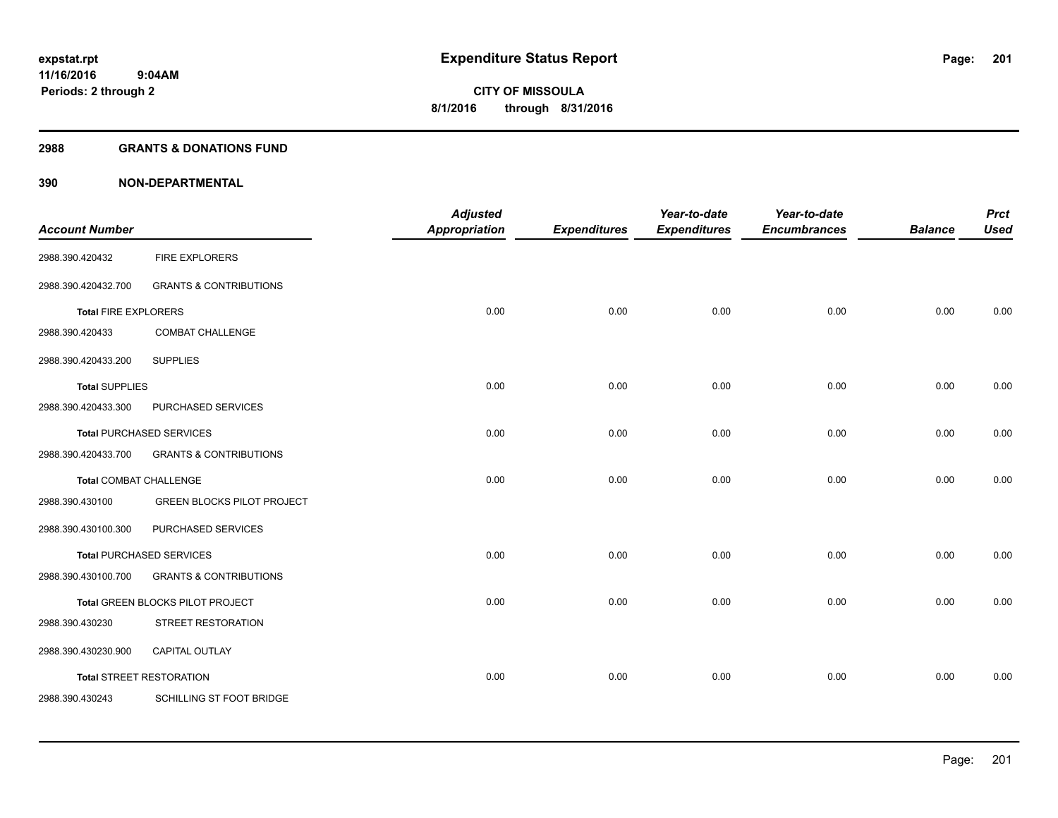#### **2988 GRANTS & DONATIONS FUND**

| <b>Account Number</b>         |                                   | <b>Adjusted</b><br><b>Appropriation</b> | <b>Expenditures</b> | Year-to-date<br><b>Expenditures</b> | Year-to-date<br><b>Encumbrances</b> | <b>Balance</b> | <b>Prct</b><br><b>Used</b> |
|-------------------------------|-----------------------------------|-----------------------------------------|---------------------|-------------------------------------|-------------------------------------|----------------|----------------------------|
| 2988.390.420432               | <b>FIRE EXPLORERS</b>             |                                         |                     |                                     |                                     |                |                            |
| 2988.390.420432.700           | <b>GRANTS &amp; CONTRIBUTIONS</b> |                                         |                     |                                     |                                     |                |                            |
| <b>Total FIRE EXPLORERS</b>   |                                   | 0.00                                    | 0.00                | 0.00                                | 0.00                                | 0.00           | 0.00                       |
| 2988.390.420433               | <b>COMBAT CHALLENGE</b>           |                                         |                     |                                     |                                     |                |                            |
| 2988.390.420433.200           | <b>SUPPLIES</b>                   |                                         |                     |                                     |                                     |                |                            |
| <b>Total SUPPLIES</b>         |                                   | 0.00                                    | 0.00                | 0.00                                | 0.00                                | 0.00           | 0.00                       |
| 2988.390.420433.300           | PURCHASED SERVICES                |                                         |                     |                                     |                                     |                |                            |
|                               | <b>Total PURCHASED SERVICES</b>   | 0.00                                    | 0.00                | 0.00                                | 0.00                                | 0.00           | 0.00                       |
| 2988.390.420433.700           | <b>GRANTS &amp; CONTRIBUTIONS</b> |                                         |                     |                                     |                                     |                |                            |
| <b>Total COMBAT CHALLENGE</b> |                                   | 0.00                                    | 0.00                | 0.00                                | 0.00                                | 0.00           | 0.00                       |
| 2988.390.430100               | <b>GREEN BLOCKS PILOT PROJECT</b> |                                         |                     |                                     |                                     |                |                            |
| 2988.390.430100.300           | PURCHASED SERVICES                |                                         |                     |                                     |                                     |                |                            |
|                               | Total PURCHASED SERVICES          | 0.00                                    | 0.00                | 0.00                                | 0.00                                | 0.00           | 0.00                       |
| 2988.390.430100.700           | <b>GRANTS &amp; CONTRIBUTIONS</b> |                                         |                     |                                     |                                     |                |                            |
|                               | Total GREEN BLOCKS PILOT PROJECT  | 0.00                                    | 0.00                | 0.00                                | 0.00                                | 0.00           | 0.00                       |
| 2988.390.430230               | STREET RESTORATION                |                                         |                     |                                     |                                     |                |                            |
| 2988.390.430230.900           | CAPITAL OUTLAY                    |                                         |                     |                                     |                                     |                |                            |
|                               | <b>Total STREET RESTORATION</b>   | 0.00                                    | 0.00                | 0.00                                | 0.00                                | 0.00           | 0.00                       |
| 2988.390.430243               | SCHILLING ST FOOT BRIDGE          |                                         |                     |                                     |                                     |                |                            |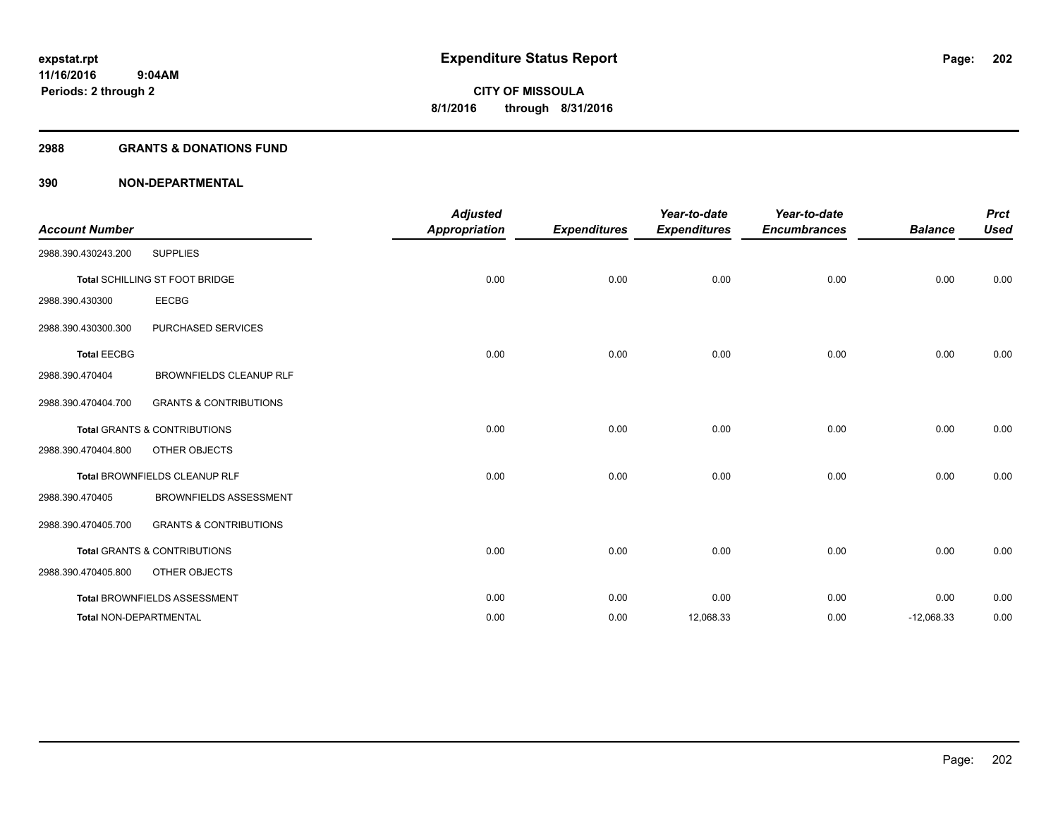#### **2988 GRANTS & DONATIONS FUND**

| <b>Account Number</b>  |                                         | <b>Adjusted</b><br><b>Appropriation</b> | <b>Expenditures</b> | Year-to-date<br><b>Expenditures</b> | Year-to-date<br><b>Encumbrances</b> | <b>Balance</b> | <b>Prct</b><br><b>Used</b> |
|------------------------|-----------------------------------------|-----------------------------------------|---------------------|-------------------------------------|-------------------------------------|----------------|----------------------------|
| 2988.390.430243.200    | <b>SUPPLIES</b>                         |                                         |                     |                                     |                                     |                |                            |
|                        | Total SCHILLING ST FOOT BRIDGE          | 0.00                                    | 0.00                | 0.00                                | 0.00                                | 0.00           | 0.00                       |
| 2988.390.430300        | <b>EECBG</b>                            |                                         |                     |                                     |                                     |                |                            |
| 2988.390.430300.300    | PURCHASED SERVICES                      |                                         |                     |                                     |                                     |                |                            |
| <b>Total EECBG</b>     |                                         | 0.00                                    | 0.00                | 0.00                                | 0.00                                | 0.00           | 0.00                       |
| 2988.390.470404        | <b>BROWNFIELDS CLEANUP RLF</b>          |                                         |                     |                                     |                                     |                |                            |
| 2988.390.470404.700    | <b>GRANTS &amp; CONTRIBUTIONS</b>       |                                         |                     |                                     |                                     |                |                            |
|                        | <b>Total GRANTS &amp; CONTRIBUTIONS</b> | 0.00                                    | 0.00                | 0.00                                | 0.00                                | 0.00           | 0.00                       |
| 2988.390.470404.800    | OTHER OBJECTS                           |                                         |                     |                                     |                                     |                |                            |
|                        | Total BROWNFIELDS CLEANUP RLF           | 0.00                                    | 0.00                | 0.00                                | 0.00                                | 0.00           | 0.00                       |
| 2988.390.470405        | <b>BROWNFIELDS ASSESSMENT</b>           |                                         |                     |                                     |                                     |                |                            |
| 2988.390.470405.700    | <b>GRANTS &amp; CONTRIBUTIONS</b>       |                                         |                     |                                     |                                     |                |                            |
|                        | <b>Total GRANTS &amp; CONTRIBUTIONS</b> | 0.00                                    | 0.00                | 0.00                                | 0.00                                | 0.00           | 0.00                       |
| 2988.390.470405.800    | OTHER OBJECTS                           |                                         |                     |                                     |                                     |                |                            |
|                        | Total BROWNFIELDS ASSESSMENT            | 0.00                                    | 0.00                | 0.00                                | 0.00                                | 0.00           | 0.00                       |
| Total NON-DEPARTMENTAL |                                         | 0.00                                    | 0.00                | 12,068.33                           | 0.00                                | $-12,068.33$   | 0.00                       |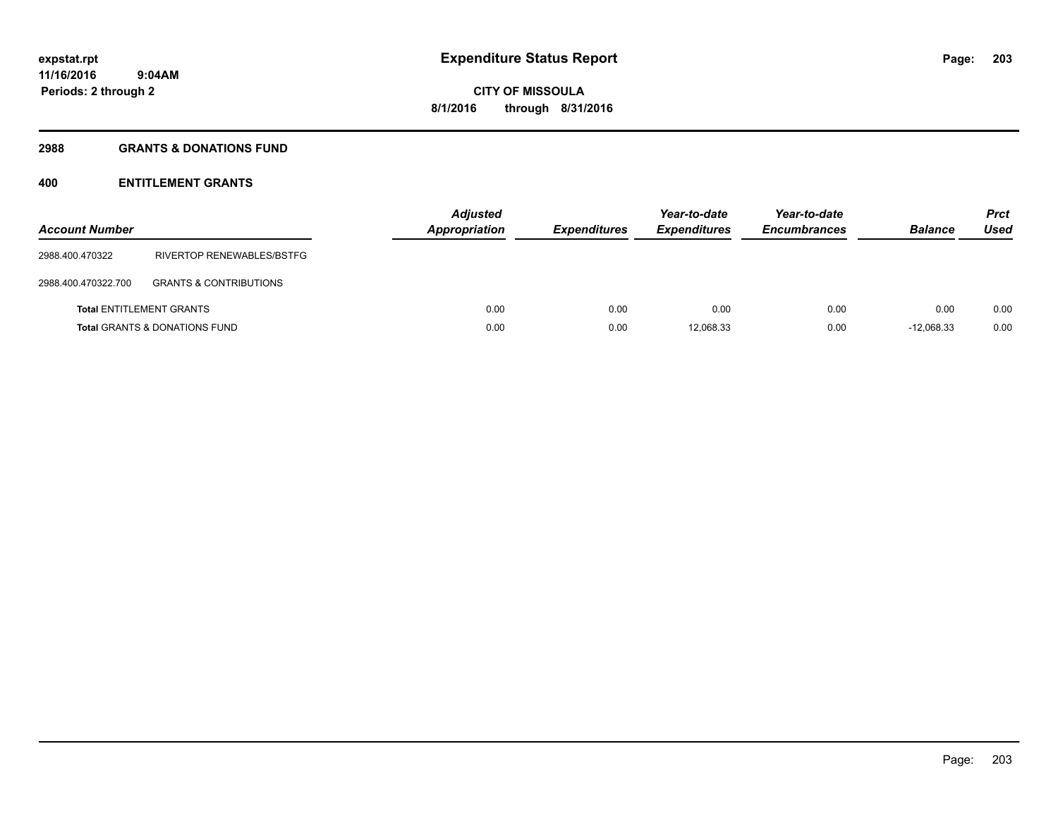#### **2988 GRANTS & DONATIONS FUND**

### **400 ENTITLEMENT GRANTS**

| <b>Account Number</b>           |                                          | <b>Adjusted</b><br><b>Appropriation</b> | <b>Expenditures</b> | Year-to-date<br><b>Expenditures</b> | Year-to-date<br><b>Encumbrances</b> | <b>Balance</b> | <b>Prct</b><br>Used |
|---------------------------------|------------------------------------------|-----------------------------------------|---------------------|-------------------------------------|-------------------------------------|----------------|---------------------|
| 2988.400.470322                 | RIVERTOP RENEWABLES/BSTFG                |                                         |                     |                                     |                                     |                |                     |
| 2988.400.470322.700             | <b>GRANTS &amp; CONTRIBUTIONS</b>        |                                         |                     |                                     |                                     |                |                     |
| <b>Total ENTITLEMENT GRANTS</b> |                                          | 0.00                                    | 0.00                | 0.00                                | 0.00                                | 0.00           | 0.00                |
|                                 | <b>Total GRANTS &amp; DONATIONS FUND</b> | 0.00                                    | 0.00                | 12.068.33                           | 0.00                                | $-12.068.33$   | 0.00                |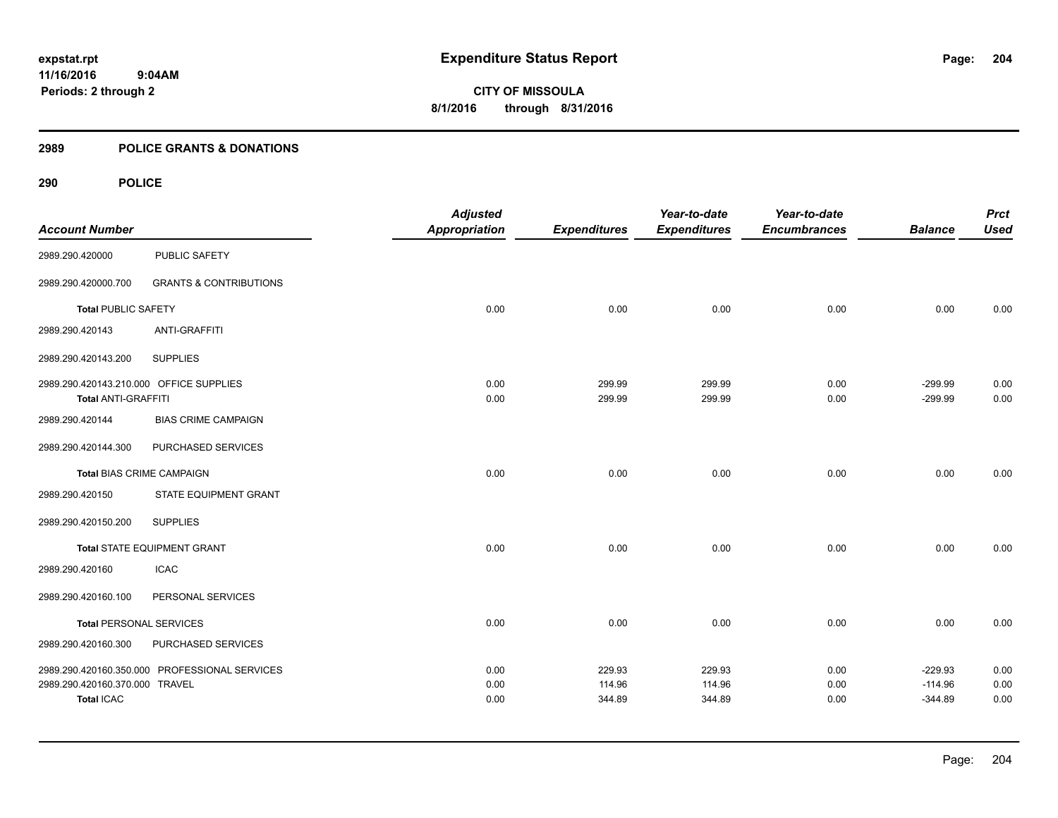**11/16/2016 9:04AM Periods: 2 through 2**

**CITY OF MISSOULA 8/1/2016 through 8/31/2016**

#### **2989 POLICE GRANTS & DONATIONS**

| <b>Account Number</b>                                                 |                                               | <b>Adjusted</b><br><b>Appropriation</b> | <b>Expenditures</b>        | Year-to-date<br><b>Expenditures</b> | Year-to-date<br><b>Encumbrances</b> | <b>Balance</b>                      | <b>Prct</b><br><b>Used</b> |
|-----------------------------------------------------------------------|-----------------------------------------------|-----------------------------------------|----------------------------|-------------------------------------|-------------------------------------|-------------------------------------|----------------------------|
| 2989.290.420000                                                       | PUBLIC SAFETY                                 |                                         |                            |                                     |                                     |                                     |                            |
| 2989.290.420000.700                                                   | <b>GRANTS &amp; CONTRIBUTIONS</b>             |                                         |                            |                                     |                                     |                                     |                            |
| <b>Total PUBLIC SAFETY</b>                                            |                                               | 0.00                                    | 0.00                       | 0.00                                | 0.00                                | 0.00                                | 0.00                       |
| 2989.290.420143                                                       | <b>ANTI-GRAFFITI</b>                          |                                         |                            |                                     |                                     |                                     |                            |
| 2989.290.420143.200                                                   | <b>SUPPLIES</b>                               |                                         |                            |                                     |                                     |                                     |                            |
| 2989.290.420143.210.000 OFFICE SUPPLIES<br><b>Total ANTI-GRAFFITI</b> |                                               | 0.00<br>0.00                            | 299.99<br>299.99           | 299.99<br>299.99                    | 0.00<br>0.00                        | $-299.99$<br>$-299.99$              | 0.00<br>0.00               |
| 2989.290.420144                                                       | <b>BIAS CRIME CAMPAIGN</b>                    |                                         |                            |                                     |                                     |                                     |                            |
| 2989.290.420144.300                                                   | PURCHASED SERVICES                            |                                         |                            |                                     |                                     |                                     |                            |
| <b>Total BIAS CRIME CAMPAIGN</b>                                      |                                               | 0.00                                    | 0.00                       | 0.00                                | 0.00                                | 0.00                                | 0.00                       |
| 2989.290.420150                                                       | STATE EQUIPMENT GRANT                         |                                         |                            |                                     |                                     |                                     |                            |
| 2989.290.420150.200                                                   | <b>SUPPLIES</b>                               |                                         |                            |                                     |                                     |                                     |                            |
|                                                                       | Total STATE EQUIPMENT GRANT                   | 0.00                                    | 0.00                       | 0.00                                | 0.00                                | 0.00                                | 0.00                       |
| 2989.290.420160                                                       | <b>ICAC</b>                                   |                                         |                            |                                     |                                     |                                     |                            |
| 2989.290.420160.100                                                   | PERSONAL SERVICES                             |                                         |                            |                                     |                                     |                                     |                            |
| <b>Total PERSONAL SERVICES</b>                                        |                                               | 0.00                                    | 0.00                       | 0.00                                | 0.00                                | 0.00                                | 0.00                       |
| 2989.290.420160.300                                                   | PURCHASED SERVICES                            |                                         |                            |                                     |                                     |                                     |                            |
| 2989.290.420160.370.000 TRAVEL<br><b>Total ICAC</b>                   | 2989.290.420160.350.000 PROFESSIONAL SERVICES | 0.00<br>0.00<br>0.00                    | 229.93<br>114.96<br>344.89 | 229.93<br>114.96<br>344.89          | 0.00<br>0.00<br>0.00                | $-229.93$<br>$-114.96$<br>$-344.89$ | 0.00<br>0.00<br>0.00       |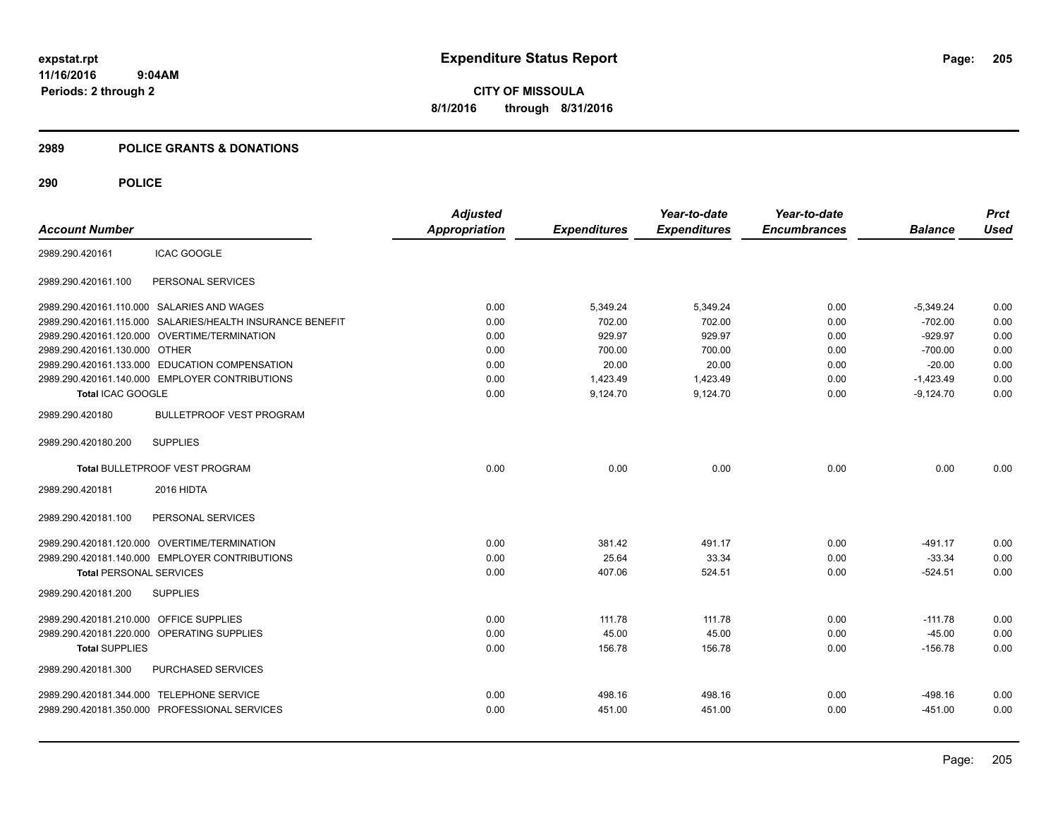#### **2989 POLICE GRANTS & DONATIONS**

| <b>Account Number</b>                   |                                                           | <b>Adjusted</b><br><b>Appropriation</b> | <b>Expenditures</b> | Year-to-date<br><b>Expenditures</b> | Year-to-date<br><b>Encumbrances</b> | <b>Balance</b> | <b>Prct</b><br><b>Used</b> |
|-----------------------------------------|-----------------------------------------------------------|-----------------------------------------|---------------------|-------------------------------------|-------------------------------------|----------------|----------------------------|
| 2989.290.420161                         | ICAC GOOGLE                                               |                                         |                     |                                     |                                     |                |                            |
| 2989.290.420161.100                     | PERSONAL SERVICES                                         |                                         |                     |                                     |                                     |                |                            |
|                                         | 2989.290.420161.110.000 SALARIES AND WAGES                | 0.00                                    | 5,349.24            | 5.349.24                            | 0.00                                | $-5,349.24$    | 0.00                       |
|                                         | 2989.290.420161.115.000 SALARIES/HEALTH INSURANCE BENEFIT | 0.00                                    | 702.00              | 702.00                              | 0.00                                | $-702.00$      | 0.00                       |
|                                         | 2989.290.420161.120.000 OVERTIME/TERMINATION              | 0.00                                    | 929.97              | 929.97                              | 0.00                                | $-929.97$      | 0.00                       |
| 2989.290.420161.130.000 OTHER           |                                                           | 0.00                                    | 700.00              | 700.00                              | 0.00                                | $-700.00$      | 0.00                       |
|                                         | 2989.290.420161.133.000 EDUCATION COMPENSATION            | 0.00                                    | 20.00               | 20.00                               | 0.00                                | $-20.00$       | 0.00                       |
|                                         | 2989.290.420161.140.000 EMPLOYER CONTRIBUTIONS            | 0.00                                    | 1,423.49            | 1,423.49                            | 0.00                                | $-1,423.49$    | 0.00                       |
| Total ICAC GOOGLE                       |                                                           | 0.00                                    | 9,124.70            | 9,124.70                            | 0.00                                | $-9,124.70$    | 0.00                       |
| 2989.290.420180                         | <b>BULLETPROOF VEST PROGRAM</b>                           |                                         |                     |                                     |                                     |                |                            |
| 2989.290.420180.200                     | <b>SUPPLIES</b>                                           |                                         |                     |                                     |                                     |                |                            |
|                                         | <b>Total BULLETPROOF VEST PROGRAM</b>                     | 0.00                                    | 0.00                | 0.00                                | 0.00                                | 0.00           | 0.00                       |
| 2989.290.420181                         | 2016 HIDTA                                                |                                         |                     |                                     |                                     |                |                            |
| 2989.290.420181.100                     | PERSONAL SERVICES                                         |                                         |                     |                                     |                                     |                |                            |
|                                         | 2989.290.420181.120.000 OVERTIME/TERMINATION              | 0.00                                    | 381.42              | 491.17                              | 0.00                                | $-491.17$      | 0.00                       |
|                                         | 2989.290.420181.140.000 EMPLOYER CONTRIBUTIONS            | 0.00                                    | 25.64               | 33.34                               | 0.00                                | $-33.34$       | 0.00                       |
| <b>Total PERSONAL SERVICES</b>          |                                                           | 0.00                                    | 407.06              | 524.51                              | 0.00                                | $-524.51$      | 0.00                       |
| 2989.290.420181.200                     | <b>SUPPLIES</b>                                           |                                         |                     |                                     |                                     |                |                            |
| 2989.290.420181.210.000 OFFICE SUPPLIES |                                                           | 0.00                                    | 111.78              | 111.78                              | 0.00                                | $-111.78$      | 0.00                       |
|                                         | 2989.290.420181.220.000 OPERATING SUPPLIES                | 0.00                                    | 45.00               | 45.00                               | 0.00                                | $-45.00$       | 0.00                       |
| <b>Total SUPPLIES</b>                   |                                                           | 0.00                                    | 156.78              | 156.78                              | 0.00                                | $-156.78$      | 0.00                       |
| 2989.290.420181.300                     | PURCHASED SERVICES                                        |                                         |                     |                                     |                                     |                |                            |
|                                         | 2989.290.420181.344.000 TELEPHONE SERVICE                 | 0.00                                    | 498.16              | 498.16                              | 0.00                                | $-498.16$      | 0.00                       |
|                                         | 2989.290.420181.350.000 PROFESSIONAL SERVICES             | 0.00                                    | 451.00              | 451.00                              | 0.00                                | $-451.00$      | 0.00                       |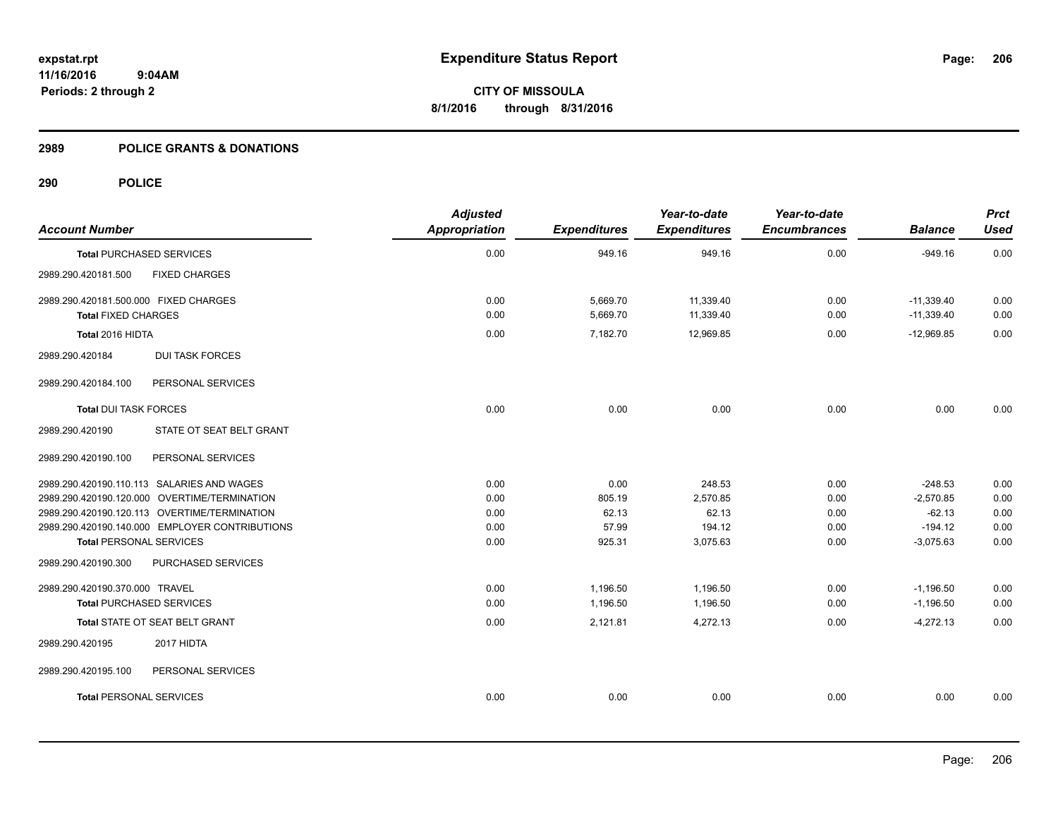#### **2989 POLICE GRANTS & DONATIONS**

| <b>Account Number</b>                          | <b>Adjusted</b><br>Appropriation | <b>Expenditures</b> | Year-to-date<br><b>Expenditures</b> | Year-to-date<br><b>Encumbrances</b> | <b>Balance</b> | <b>Prct</b><br><b>Used</b> |
|------------------------------------------------|----------------------------------|---------------------|-------------------------------------|-------------------------------------|----------------|----------------------------|
| <b>Total PURCHASED SERVICES</b>                | 0.00                             | 949.16              | 949.16                              | 0.00                                | $-949.16$      | 0.00                       |
| 2989.290.420181.500<br><b>FIXED CHARGES</b>    |                                  |                     |                                     |                                     |                |                            |
| 2989.290.420181.500.000 FIXED CHARGES          | 0.00                             | 5,669.70            | 11,339.40                           | 0.00                                | $-11,339.40$   | 0.00                       |
| <b>Total FIXED CHARGES</b>                     | 0.00                             | 5,669.70            | 11,339.40                           | 0.00                                | $-11,339.40$   | 0.00                       |
| Total 2016 HIDTA                               | 0.00                             | 7,182.70            | 12,969.85                           | 0.00                                | $-12,969.85$   | 0.00                       |
| <b>DUI TASK FORCES</b><br>2989.290.420184      |                                  |                     |                                     |                                     |                |                            |
| 2989.290.420184.100<br>PERSONAL SERVICES       |                                  |                     |                                     |                                     |                |                            |
| <b>Total DUI TASK FORCES</b>                   | 0.00                             | 0.00                | 0.00                                | 0.00                                | 0.00           | 0.00                       |
| STATE OT SEAT BELT GRANT<br>2989.290.420190    |                                  |                     |                                     |                                     |                |                            |
| PERSONAL SERVICES<br>2989.290.420190.100       |                                  |                     |                                     |                                     |                |                            |
| 2989.290.420190.110.113 SALARIES AND WAGES     | 0.00                             | 0.00                | 248.53                              | 0.00                                | $-248.53$      | 0.00                       |
| 2989.290.420190.120.000 OVERTIME/TERMINATION   | 0.00                             | 805.19              | 2,570.85                            | 0.00                                | $-2,570.85$    | 0.00                       |
| 2989.290.420190.120.113 OVERTIME/TERMINATION   | 0.00                             | 62.13               | 62.13                               | 0.00                                | $-62.13$       | 0.00                       |
| 2989.290.420190.140.000 EMPLOYER CONTRIBUTIONS | 0.00                             | 57.99               | 194.12                              | 0.00                                | $-194.12$      | 0.00                       |
| <b>Total PERSONAL SERVICES</b>                 | 0.00                             | 925.31              | 3,075.63                            | 0.00                                | $-3,075.63$    | 0.00                       |
| PURCHASED SERVICES<br>2989.290.420190.300      |                                  |                     |                                     |                                     |                |                            |
| 2989.290.420190.370.000 TRAVEL                 | 0.00                             | 1,196.50            | 1,196.50                            | 0.00                                | $-1,196.50$    | 0.00                       |
| <b>Total PURCHASED SERVICES</b>                | 0.00                             | 1,196.50            | 1,196.50                            | 0.00                                | $-1,196.50$    | 0.00                       |
| Total STATE OT SEAT BELT GRANT                 | 0.00                             | 2,121.81            | 4,272.13                            | 0.00                                | $-4,272.13$    | 0.00                       |
| 2017 HIDTA<br>2989.290.420195                  |                                  |                     |                                     |                                     |                |                            |
| 2989.290.420195.100<br>PERSONAL SERVICES       |                                  |                     |                                     |                                     |                |                            |
| <b>Total PERSONAL SERVICES</b>                 | 0.00                             | 0.00                | 0.00                                | 0.00                                | 0.00           | 0.00                       |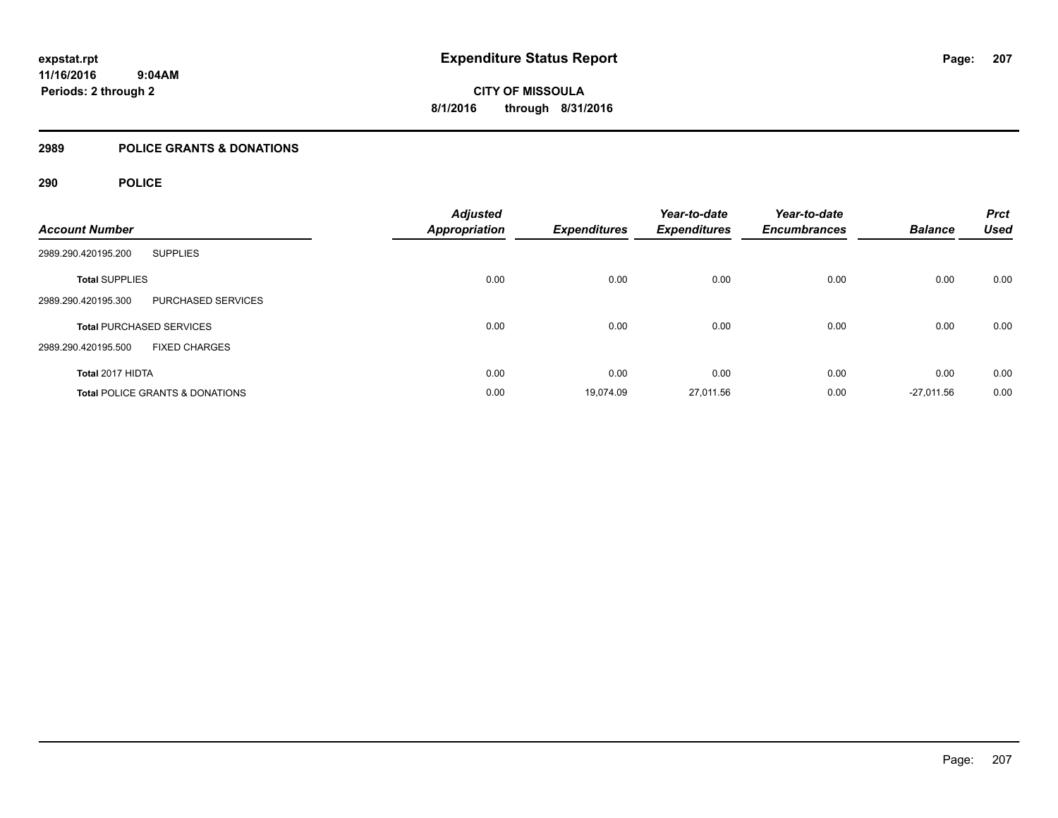**11/16/2016 9:04AM Periods: 2 through 2**

**CITY OF MISSOULA 8/1/2016 through 8/31/2016**

### **2989 POLICE GRANTS & DONATIONS**

| <b>Account Number</b>                            | <b>Adjusted</b><br><b>Appropriation</b> | <b>Expenditures</b> | Year-to-date<br><b>Expenditures</b> | Year-to-date<br><b>Encumbrances</b> | <b>Balance</b> | <b>Prct</b><br><b>Used</b> |
|--------------------------------------------------|-----------------------------------------|---------------------|-------------------------------------|-------------------------------------|----------------|----------------------------|
| 2989.290.420195.200<br><b>SUPPLIES</b>           |                                         |                     |                                     |                                     |                |                            |
| <b>Total SUPPLIES</b>                            | 0.00                                    | 0.00                | 0.00                                | 0.00                                | 0.00           | 0.00                       |
| <b>PURCHASED SERVICES</b><br>2989.290.420195.300 |                                         |                     |                                     |                                     |                |                            |
| <b>Total PURCHASED SERVICES</b>                  | 0.00                                    | 0.00                | 0.00                                | 0.00                                | 0.00           | 0.00                       |
| 2989.290.420195.500<br><b>FIXED CHARGES</b>      |                                         |                     |                                     |                                     |                |                            |
| Total 2017 HIDTA                                 | 0.00                                    | 0.00                | 0.00                                | 0.00                                | 0.00           | 0.00                       |
| <b>Total POLICE GRANTS &amp; DONATIONS</b>       | 0.00                                    | 19,074.09           | 27,011.56                           | 0.00                                | $-27,011.56$   | 0.00                       |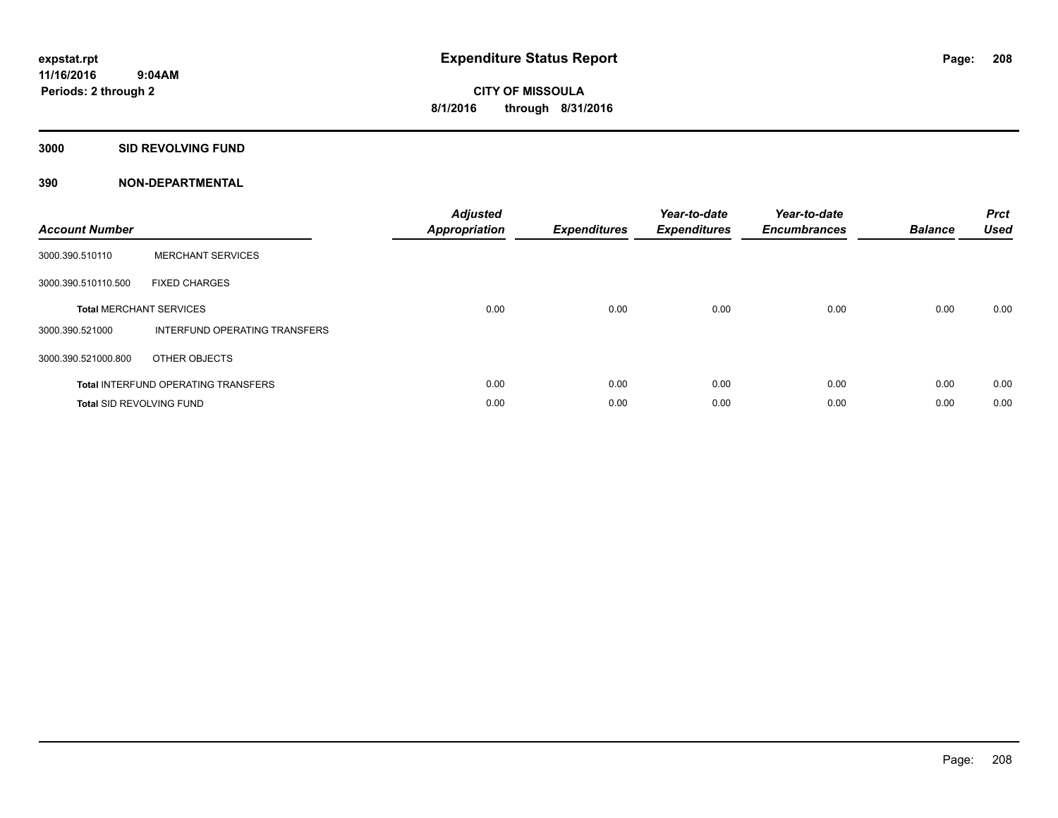#### **3000 SID REVOLVING FUND**

| <b>Account Number</b>           |                                            | <b>Adjusted</b><br>Appropriation | <b>Expenditures</b> | Year-to-date<br><b>Expenditures</b> | Year-to-date<br><b>Encumbrances</b> | <b>Balance</b> | <b>Prct</b><br><b>Used</b> |
|---------------------------------|--------------------------------------------|----------------------------------|---------------------|-------------------------------------|-------------------------------------|----------------|----------------------------|
| 3000.390.510110                 | <b>MERCHANT SERVICES</b>                   |                                  |                     |                                     |                                     |                |                            |
| 3000.390.510110.500             | <b>FIXED CHARGES</b>                       |                                  |                     |                                     |                                     |                |                            |
|                                 | <b>Total MERCHANT SERVICES</b>             | 0.00                             | 0.00                | 0.00                                | 0.00                                | 0.00           | 0.00                       |
| 3000.390.521000                 | INTERFUND OPERATING TRANSFERS              |                                  |                     |                                     |                                     |                |                            |
| 3000.390.521000.800             | OTHER OBJECTS                              |                                  |                     |                                     |                                     |                |                            |
|                                 | <b>Total INTERFUND OPERATING TRANSFERS</b> | 0.00                             | 0.00                | 0.00                                | 0.00                                | 0.00           | 0.00                       |
| <b>Total SID REVOLVING FUND</b> |                                            | 0.00                             | 0.00                | 0.00                                | 0.00                                | 0.00           | 0.00                       |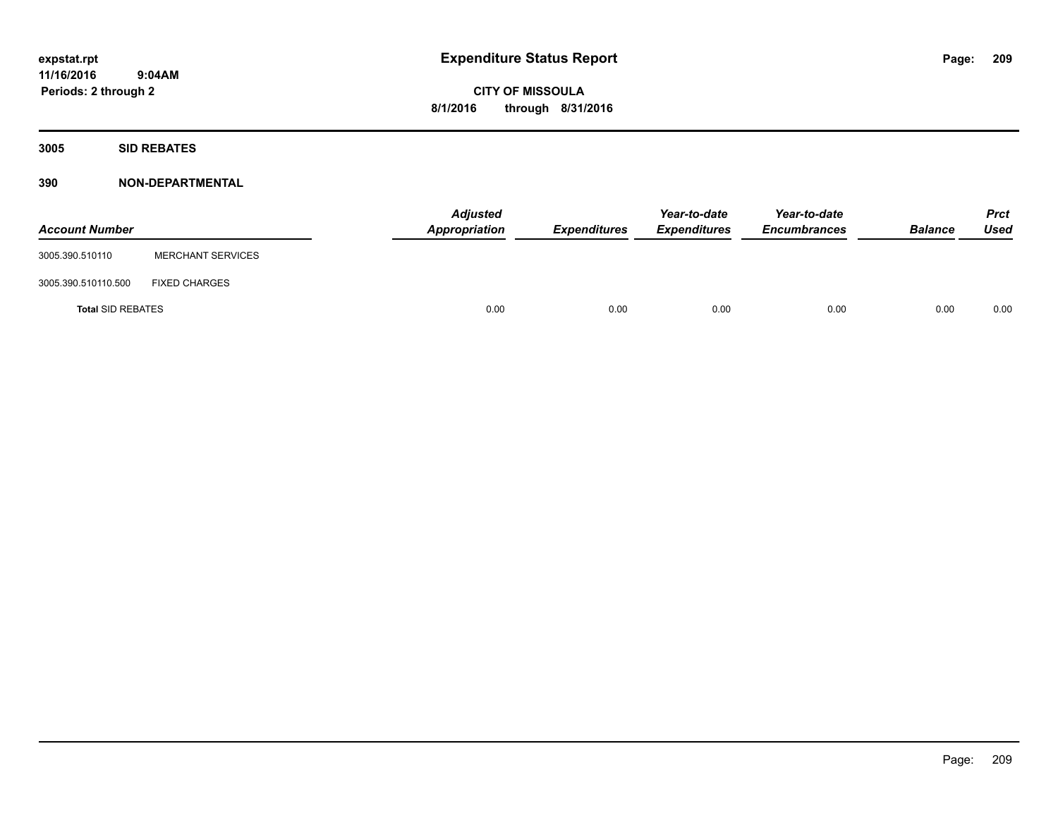**11/16/2016 9:04AM Periods: 2 through 2**

**CITY OF MISSOULA 8/1/2016 through 8/31/2016**

**3005 SID REBATES**

| <b>Account Number</b>    |                          | <b>Adjusted</b><br>Appropriation | <b>Expenditures</b> | Year-to-date<br><b>Expenditures</b> | Year-to-date<br><b>Encumbrances</b> | <b>Balance</b> | <b>Prct</b><br>Used |
|--------------------------|--------------------------|----------------------------------|---------------------|-------------------------------------|-------------------------------------|----------------|---------------------|
| 3005.390.510110          | <b>MERCHANT SERVICES</b> |                                  |                     |                                     |                                     |                |                     |
| 3005.390.510110.500      | <b>FIXED CHARGES</b>     |                                  |                     |                                     |                                     |                |                     |
| <b>Total SID REBATES</b> |                          | 0.00                             | 0.00                | 0.00                                | 0.00                                | 0.00           | 0.00                |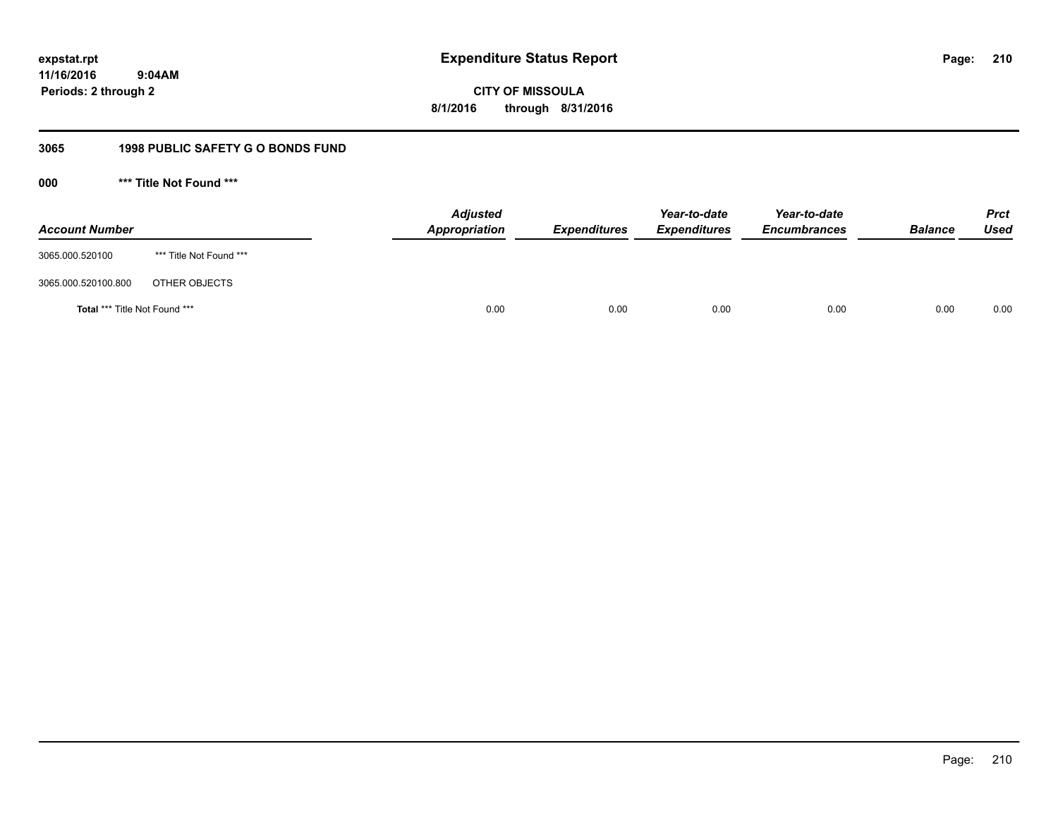**210**

**11/16/2016 9:04AM Periods: 2 through 2**

**CITY OF MISSOULA 8/1/2016 through 8/31/2016**

### **3065 1998 PUBLIC SAFETY G O BONDS FUND**

**000 \*\*\* Title Not Found \*\*\***

| <b>Account Number</b>         |                         | <b>Adjusted</b><br>Appropriation | <b>Expenditures</b> | Year-to-date<br><b>Expenditures</b> | Year-to-date<br><b>Encumbrances</b> | <b>Balance</b> | <b>Prct</b><br>Used |
|-------------------------------|-------------------------|----------------------------------|---------------------|-------------------------------------|-------------------------------------|----------------|---------------------|
| 3065.000.520100               | *** Title Not Found *** |                                  |                     |                                     |                                     |                |                     |
| 3065.000.520100.800           | OTHER OBJECTS           |                                  |                     |                                     |                                     |                |                     |
| Total *** Title Not Found *** |                         | 0.00                             | 0.00                | 0.00                                | 0.00                                | 0.00           | 0.00                |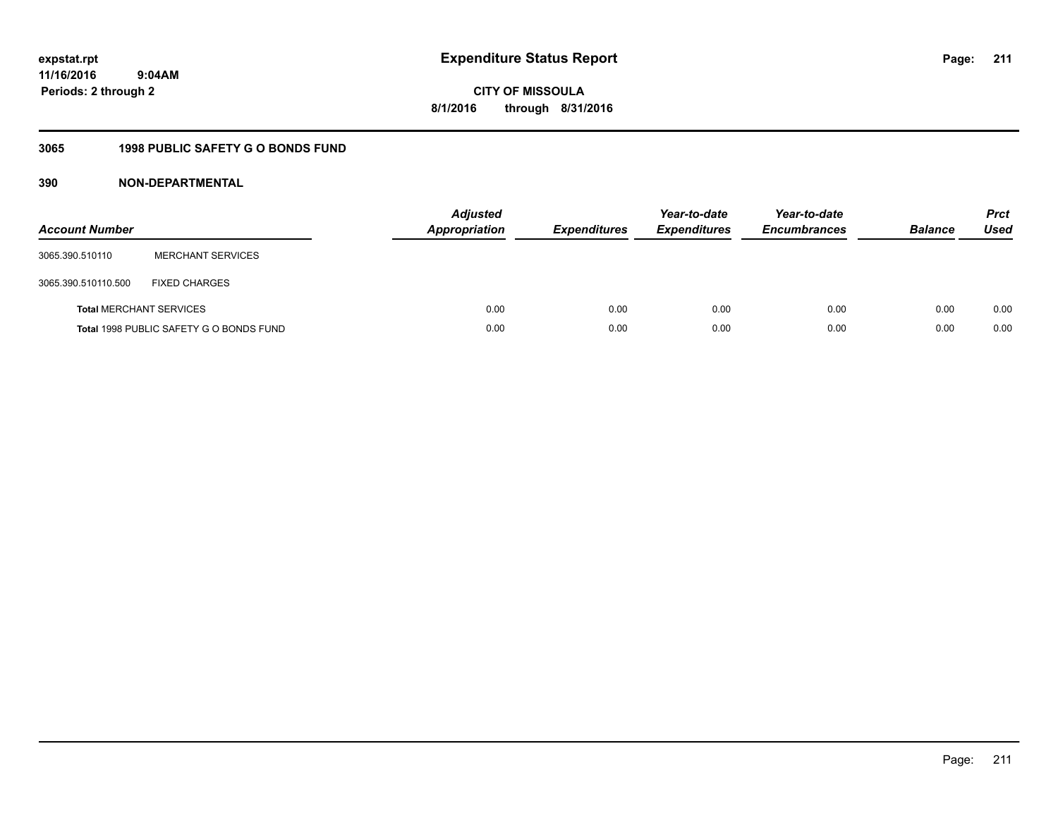**211**

**11/16/2016 9:04AM Periods: 2 through 2**

**CITY OF MISSOULA 8/1/2016 through 8/31/2016**

### **3065 1998 PUBLIC SAFETY G O BONDS FUND**

| <b>Account Number</b>          |                                         | <b>Adjusted</b><br>Appropriation | <b>Expenditures</b> | Year-to-date<br><b>Expenditures</b> | Year-to-date<br><b>Encumbrances</b> | <b>Balance</b> | <b>Prct</b><br>Used |
|--------------------------------|-----------------------------------------|----------------------------------|---------------------|-------------------------------------|-------------------------------------|----------------|---------------------|
| 3065.390.510110                | <b>MERCHANT SERVICES</b>                |                                  |                     |                                     |                                     |                |                     |
| 3065.390.510110.500            | <b>FIXED CHARGES</b>                    |                                  |                     |                                     |                                     |                |                     |
| <b>Total MERCHANT SERVICES</b> |                                         | 0.00                             | 0.00                | 0.00                                | 0.00                                | 0.00           | 0.00                |
|                                | Total 1998 PUBLIC SAFETY G O BONDS FUND | 0.00                             | 0.00                | 0.00                                | 0.00                                | 0.00           | 0.00                |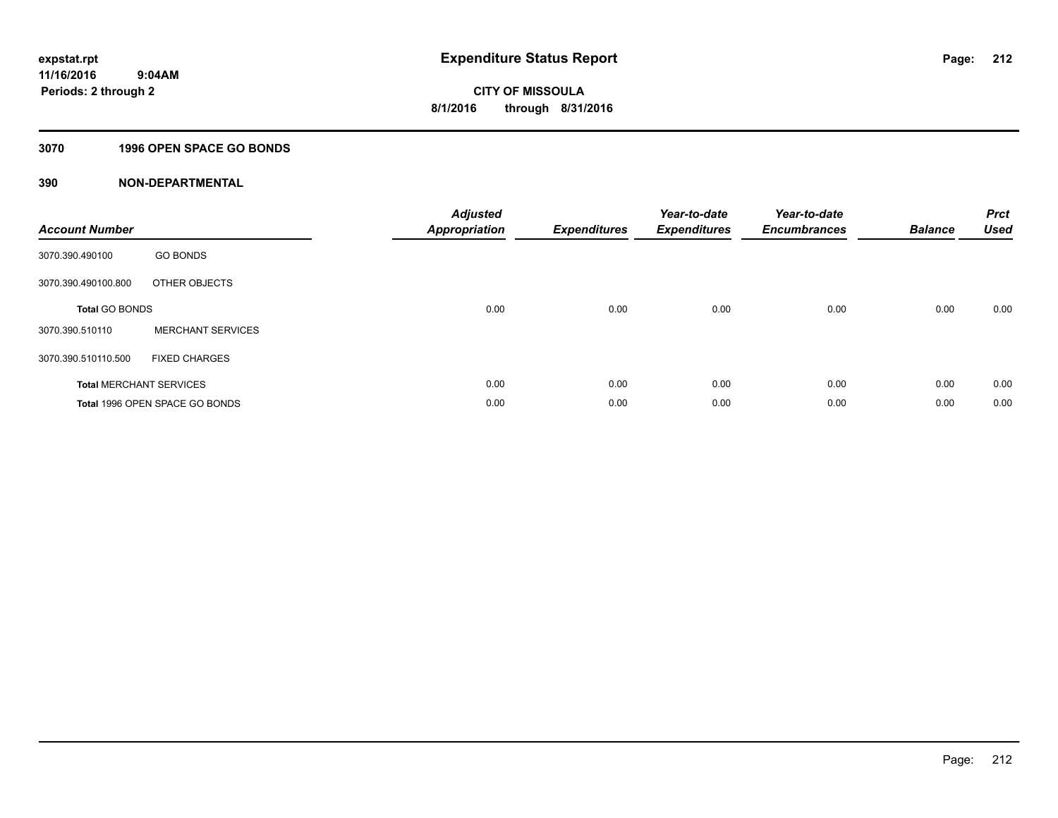#### **3070 1996 OPEN SPACE GO BONDS**

| <b>Account Number</b> |                                       | <b>Adjusted</b><br><b>Appropriation</b> | <b>Expenditures</b> | Year-to-date<br><b>Expenditures</b> | Year-to-date<br><b>Encumbrances</b> | <b>Balance</b> | <b>Prct</b><br><b>Used</b> |
|-----------------------|---------------------------------------|-----------------------------------------|---------------------|-------------------------------------|-------------------------------------|----------------|----------------------------|
| 3070.390.490100       | <b>GO BONDS</b>                       |                                         |                     |                                     |                                     |                |                            |
| 3070.390.490100.800   | OTHER OBJECTS                         |                                         |                     |                                     |                                     |                |                            |
| <b>Total GO BONDS</b> |                                       | 0.00                                    | 0.00                | 0.00                                | 0.00                                | 0.00           | 0.00                       |
| 3070.390.510110       | <b>MERCHANT SERVICES</b>              |                                         |                     |                                     |                                     |                |                            |
| 3070.390.510110.500   | <b>FIXED CHARGES</b>                  |                                         |                     |                                     |                                     |                |                            |
|                       | <b>Total MERCHANT SERVICES</b>        | 0.00                                    | 0.00                | 0.00                                | 0.00                                | 0.00           | 0.00                       |
|                       | <b>Total 1996 OPEN SPACE GO BONDS</b> | 0.00                                    | 0.00                | 0.00                                | 0.00                                | 0.00           | 0.00                       |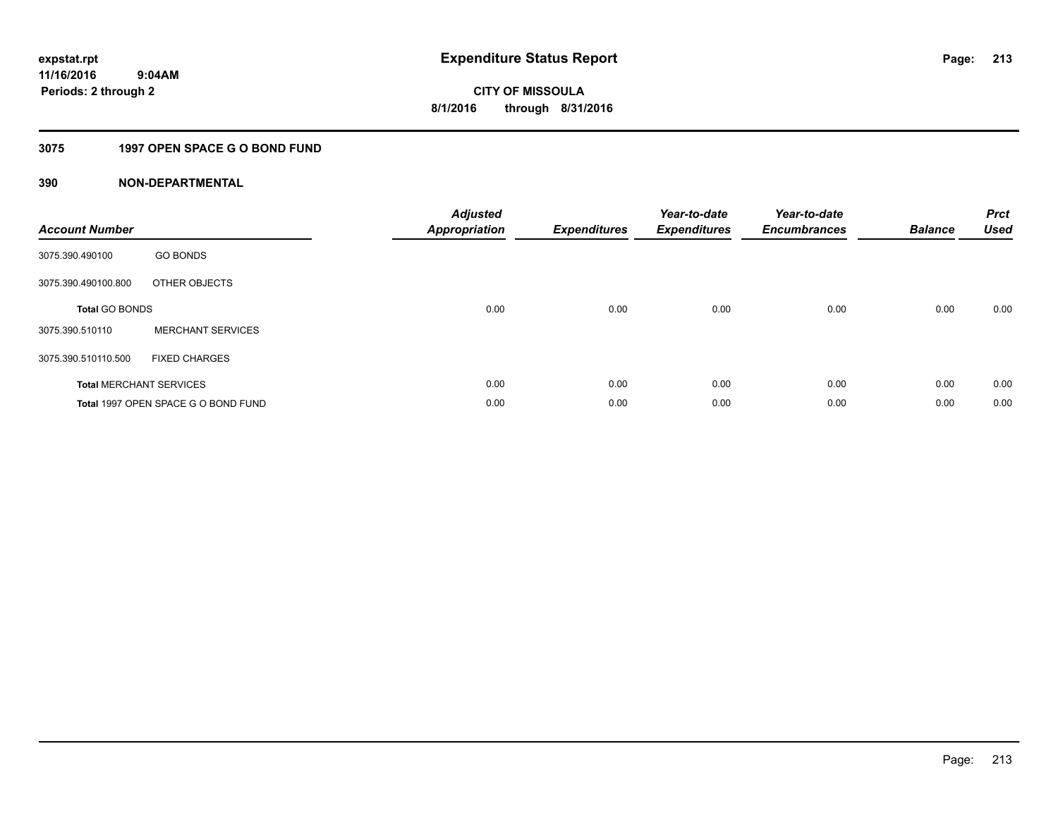### **3075 1997 OPEN SPACE G O BOND FUND**

| <b>Account Number</b> |                                     | <b>Adjusted</b><br>Appropriation | <b>Expenditures</b> | Year-to-date<br><b>Expenditures</b> | Year-to-date<br><b>Encumbrances</b> | <b>Balance</b> | <b>Prct</b><br><b>Used</b> |
|-----------------------|-------------------------------------|----------------------------------|---------------------|-------------------------------------|-------------------------------------|----------------|----------------------------|
| 3075.390.490100       | <b>GO BONDS</b>                     |                                  |                     |                                     |                                     |                |                            |
| 3075.390.490100.800   | OTHER OBJECTS                       |                                  |                     |                                     |                                     |                |                            |
| <b>Total GO BONDS</b> |                                     | 0.00                             | 0.00                | 0.00                                | 0.00                                | 0.00           | 0.00                       |
| 3075.390.510110       | <b>MERCHANT SERVICES</b>            |                                  |                     |                                     |                                     |                |                            |
| 3075.390.510110.500   | <b>FIXED CHARGES</b>                |                                  |                     |                                     |                                     |                |                            |
|                       | <b>Total MERCHANT SERVICES</b>      | 0.00                             | 0.00                | 0.00                                | 0.00                                | 0.00           | 0.00                       |
|                       | Total 1997 OPEN SPACE G O BOND FUND | 0.00                             | 0.00                | 0.00                                | 0.00                                | 0.00           | 0.00                       |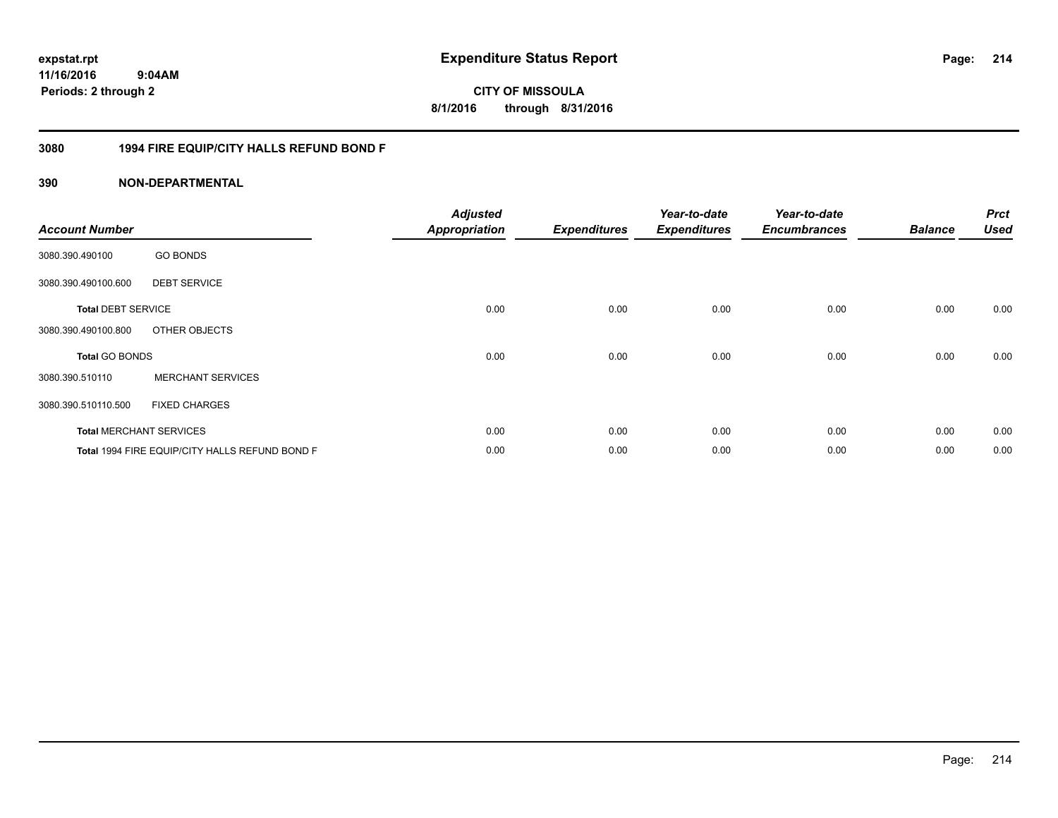# **11/16/2016**

**214**

 **9:04AM Periods: 2 through 2**

**CITY OF MISSOULA 8/1/2016 through 8/31/2016**

#### **3080 1994 FIRE EQUIP/CITY HALLS REFUND BOND F**

| <b>Account Number</b>     |                                                | <b>Adjusted</b><br><b>Appropriation</b> | <b>Expenditures</b> | Year-to-date<br><b>Expenditures</b> | Year-to-date<br><b>Encumbrances</b> | <b>Balance</b> | <b>Prct</b><br><b>Used</b> |
|---------------------------|------------------------------------------------|-----------------------------------------|---------------------|-------------------------------------|-------------------------------------|----------------|----------------------------|
| 3080.390.490100           | <b>GO BONDS</b>                                |                                         |                     |                                     |                                     |                |                            |
| 3080.390.490100.600       | <b>DEBT SERVICE</b>                            |                                         |                     |                                     |                                     |                |                            |
| <b>Total DEBT SERVICE</b> |                                                | 0.00                                    | 0.00                | 0.00                                | 0.00                                | 0.00           | 0.00                       |
| 3080.390.490100.800       | OTHER OBJECTS                                  |                                         |                     |                                     |                                     |                |                            |
| <b>Total GO BONDS</b>     |                                                | 0.00                                    | 0.00                | 0.00                                | 0.00                                | 0.00           | 0.00                       |
| 3080.390.510110           | <b>MERCHANT SERVICES</b>                       |                                         |                     |                                     |                                     |                |                            |
| 3080.390.510110.500       | <b>FIXED CHARGES</b>                           |                                         |                     |                                     |                                     |                |                            |
|                           | <b>Total MERCHANT SERVICES</b>                 | 0.00                                    | 0.00                | 0.00                                | 0.00                                | 0.00           | 0.00                       |
|                           | Total 1994 FIRE EQUIP/CITY HALLS REFUND BOND F | 0.00                                    | 0.00                | 0.00                                | 0.00                                | 0.00           | 0.00                       |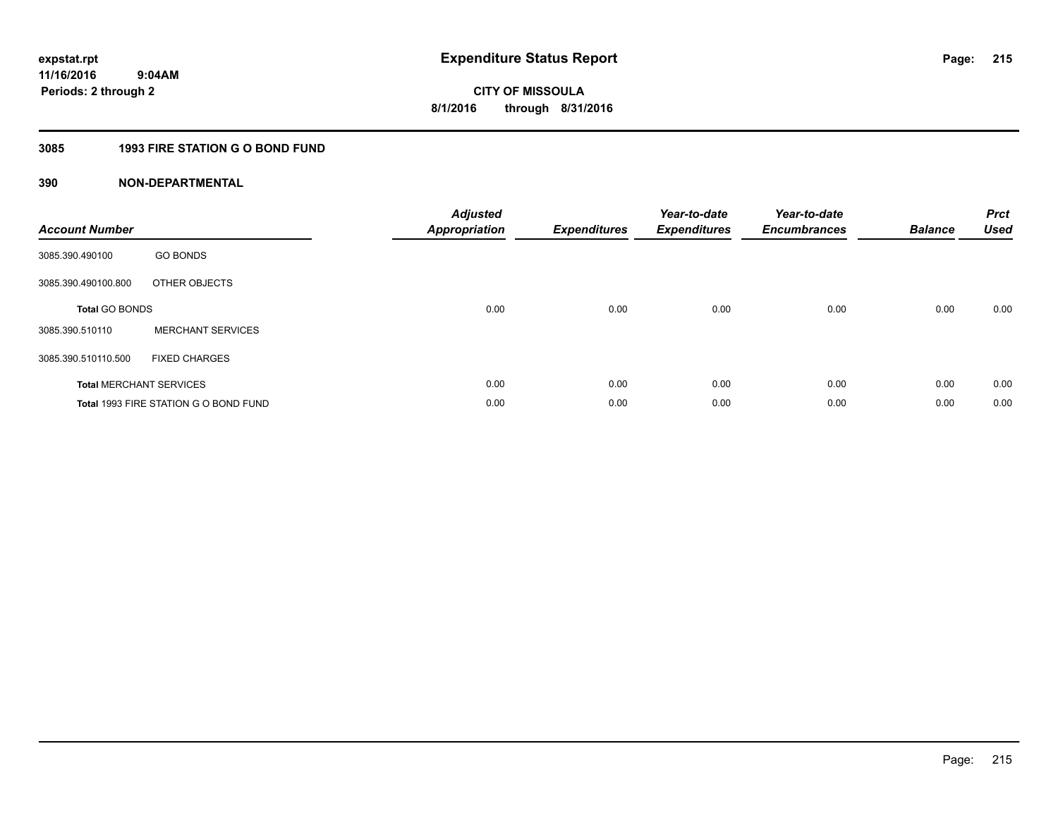### **3085 1993 FIRE STATION G O BOND FUND**

| <b>Account Number</b> |                                       | <b>Adjusted</b><br>Appropriation | <b>Expenditures</b> | Year-to-date<br><b>Expenditures</b> | Year-to-date<br><b>Encumbrances</b> | <b>Balance</b> | <b>Prct</b><br><b>Used</b> |
|-----------------------|---------------------------------------|----------------------------------|---------------------|-------------------------------------|-------------------------------------|----------------|----------------------------|
| 3085.390.490100       | <b>GO BONDS</b>                       |                                  |                     |                                     |                                     |                |                            |
| 3085.390.490100.800   | OTHER OBJECTS                         |                                  |                     |                                     |                                     |                |                            |
| <b>Total GO BONDS</b> |                                       | 0.00                             | 0.00                | 0.00                                | 0.00                                | 0.00           | 0.00                       |
| 3085.390.510110       | <b>MERCHANT SERVICES</b>              |                                  |                     |                                     |                                     |                |                            |
| 3085.390.510110.500   | <b>FIXED CHARGES</b>                  |                                  |                     |                                     |                                     |                |                            |
|                       | <b>Total MERCHANT SERVICES</b>        | 0.00                             | 0.00                | 0.00                                | 0.00                                | 0.00           | 0.00                       |
|                       | Total 1993 FIRE STATION G O BOND FUND | 0.00                             | 0.00                | 0.00                                | 0.00                                | 0.00           | 0.00                       |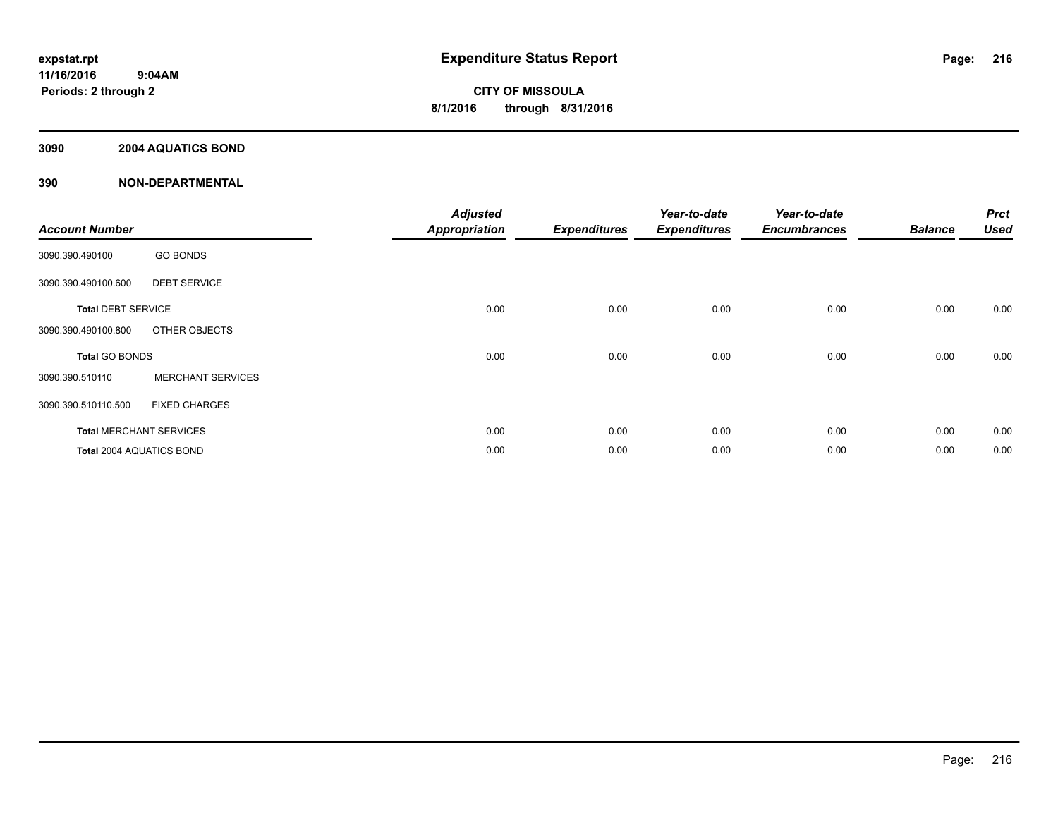#### **3090 2004 AQUATICS BOND**

| <b>Account Number</b>     |                                | <b>Adjusted</b><br><b>Appropriation</b> | <b>Expenditures</b> | Year-to-date<br><b>Expenditures</b> | Year-to-date<br><b>Encumbrances</b> | <b>Balance</b> | <b>Prct</b><br><b>Used</b> |
|---------------------------|--------------------------------|-----------------------------------------|---------------------|-------------------------------------|-------------------------------------|----------------|----------------------------|
| 3090.390.490100           | <b>GO BONDS</b>                |                                         |                     |                                     |                                     |                |                            |
| 3090.390.490100.600       | <b>DEBT SERVICE</b>            |                                         |                     |                                     |                                     |                |                            |
| <b>Total DEBT SERVICE</b> |                                | 0.00                                    | 0.00                | 0.00                                | 0.00                                | 0.00           | 0.00                       |
| 3090.390.490100.800       | OTHER OBJECTS                  |                                         |                     |                                     |                                     |                |                            |
| <b>Total GO BONDS</b>     |                                | 0.00                                    | 0.00                | 0.00                                | 0.00                                | 0.00           | 0.00                       |
| 3090.390.510110           | <b>MERCHANT SERVICES</b>       |                                         |                     |                                     |                                     |                |                            |
| 3090.390.510110.500       | <b>FIXED CHARGES</b>           |                                         |                     |                                     |                                     |                |                            |
|                           | <b>Total MERCHANT SERVICES</b> | 0.00                                    | 0.00                | 0.00                                | 0.00                                | 0.00           | 0.00                       |
| Total 2004 AQUATICS BOND  |                                | 0.00                                    | 0.00                | 0.00                                | 0.00                                | 0.00           | 0.00                       |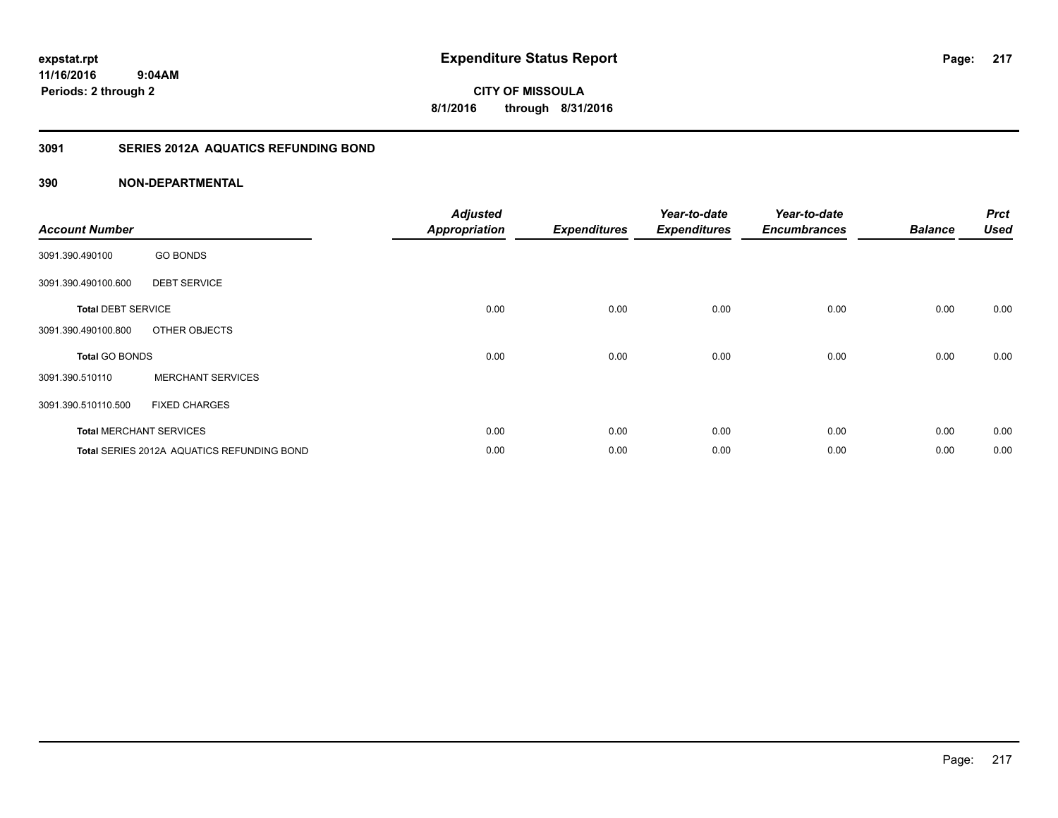**CITY OF MISSOULA 8/1/2016 through 8/31/2016**

# **3091 SERIES 2012A AQUATICS REFUNDING BOND**

| <b>Account Number</b>     |                                                   | <b>Adjusted</b><br><b>Appropriation</b> | <b>Expenditures</b> | Year-to-date<br><b>Expenditures</b> | Year-to-date<br><b>Encumbrances</b> | <b>Balance</b> | <b>Prct</b><br><b>Used</b> |
|---------------------------|---------------------------------------------------|-----------------------------------------|---------------------|-------------------------------------|-------------------------------------|----------------|----------------------------|
| 3091.390.490100           | <b>GO BONDS</b>                                   |                                         |                     |                                     |                                     |                |                            |
| 3091.390.490100.600       | <b>DEBT SERVICE</b>                               |                                         |                     |                                     |                                     |                |                            |
| <b>Total DEBT SERVICE</b> |                                                   | 0.00                                    | 0.00                | 0.00                                | 0.00                                | 0.00           | 0.00                       |
| 3091.390.490100.800       | OTHER OBJECTS                                     |                                         |                     |                                     |                                     |                |                            |
| <b>Total GO BONDS</b>     |                                                   | 0.00                                    | 0.00                | 0.00                                | 0.00                                | 0.00           | 0.00                       |
| 3091.390.510110           | <b>MERCHANT SERVICES</b>                          |                                         |                     |                                     |                                     |                |                            |
| 3091.390.510110.500       | <b>FIXED CHARGES</b>                              |                                         |                     |                                     |                                     |                |                            |
|                           | <b>Total MERCHANT SERVICES</b>                    | 0.00                                    | 0.00                | 0.00                                | 0.00                                | 0.00           | 0.00                       |
|                           | <b>Total SERIES 2012A AQUATICS REFUNDING BOND</b> | 0.00                                    | 0.00                | 0.00                                | 0.00                                | 0.00           | 0.00                       |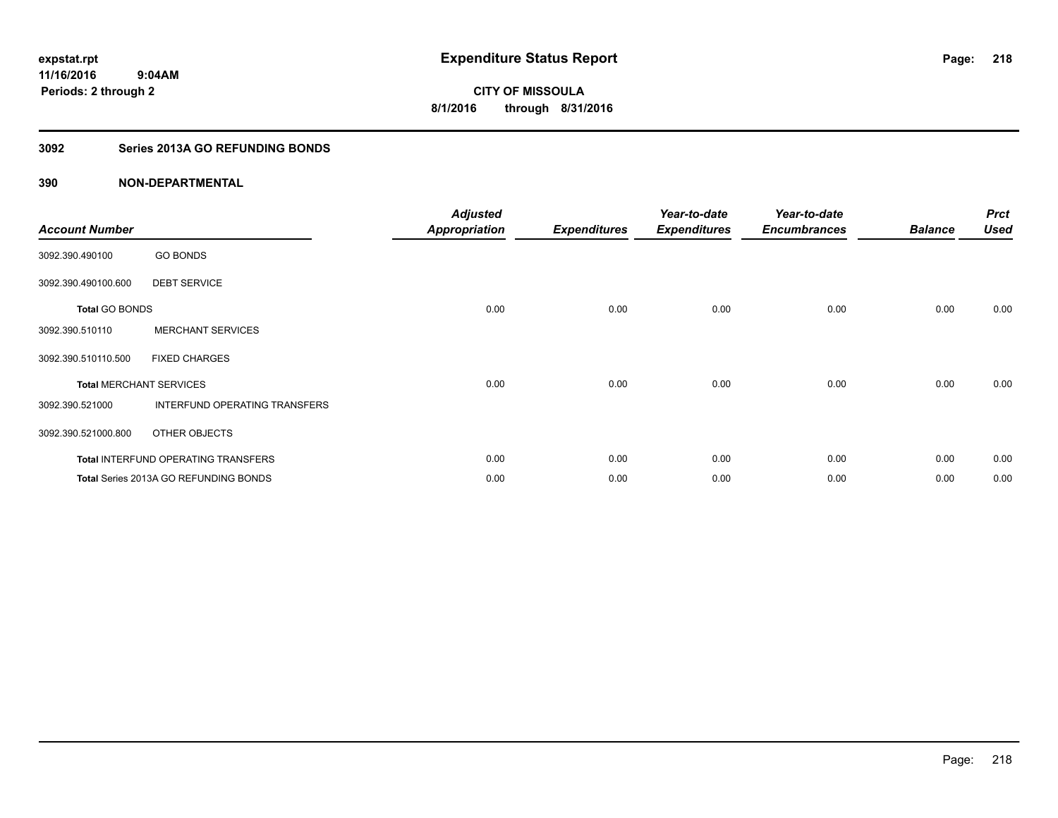## **3092 Series 2013A GO REFUNDING BONDS**

| <b>Account Number</b>          |                                       | <b>Adjusted</b><br><b>Appropriation</b> | <b>Expenditures</b> | Year-to-date<br><b>Expenditures</b> | Year-to-date<br><b>Encumbrances</b> | <b>Balance</b> | <b>Prct</b><br><b>Used</b> |
|--------------------------------|---------------------------------------|-----------------------------------------|---------------------|-------------------------------------|-------------------------------------|----------------|----------------------------|
| 3092.390.490100                | <b>GO BONDS</b>                       |                                         |                     |                                     |                                     |                |                            |
| 3092.390.490100.600            | <b>DEBT SERVICE</b>                   |                                         |                     |                                     |                                     |                |                            |
| <b>Total GO BONDS</b>          |                                       | 0.00                                    | 0.00                | 0.00                                | 0.00                                | 0.00           | 0.00                       |
| 3092.390.510110                | <b>MERCHANT SERVICES</b>              |                                         |                     |                                     |                                     |                |                            |
| 3092.390.510110.500            | <b>FIXED CHARGES</b>                  |                                         |                     |                                     |                                     |                |                            |
| <b>Total MERCHANT SERVICES</b> |                                       | 0.00                                    | 0.00                | 0.00                                | 0.00                                | 0.00           | 0.00                       |
| 3092.390.521000                | INTERFUND OPERATING TRANSFERS         |                                         |                     |                                     |                                     |                |                            |
| 3092.390.521000.800            | OTHER OBJECTS                         |                                         |                     |                                     |                                     |                |                            |
|                                | Total INTERFUND OPERATING TRANSFERS   | 0.00                                    | 0.00                | 0.00                                | 0.00                                | 0.00           | 0.00                       |
|                                | Total Series 2013A GO REFUNDING BONDS | 0.00                                    | 0.00                | 0.00                                | 0.00                                | 0.00           | 0.00                       |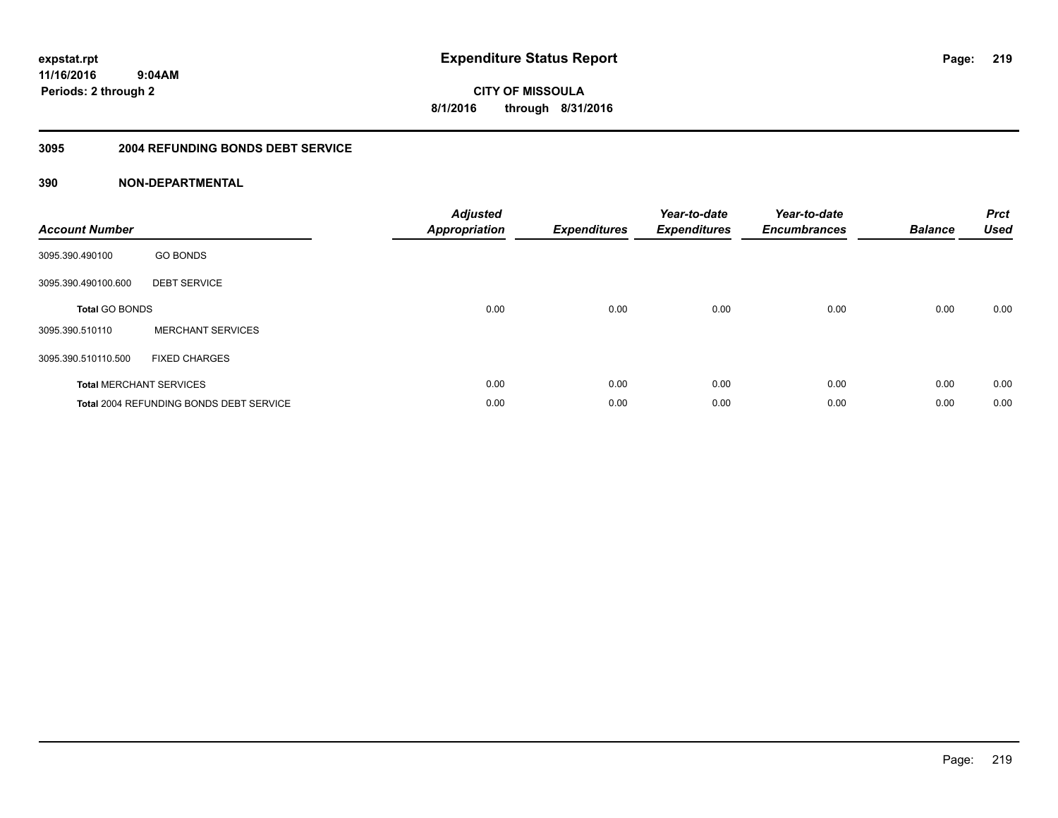**CITY OF MISSOULA 8/1/2016 through 8/31/2016**

#### **3095 2004 REFUNDING BONDS DEBT SERVICE**

| <b>Account Number</b>          |                                                | <b>Adjusted</b><br><b>Appropriation</b> | <b>Expenditures</b> | Year-to-date<br><b>Expenditures</b> | Year-to-date<br><b>Encumbrances</b> | <b>Balance</b> | <b>Prct</b><br><b>Used</b> |
|--------------------------------|------------------------------------------------|-----------------------------------------|---------------------|-------------------------------------|-------------------------------------|----------------|----------------------------|
| 3095.390.490100                | <b>GO BONDS</b>                                |                                         |                     |                                     |                                     |                |                            |
| 3095.390.490100.600            | <b>DEBT SERVICE</b>                            |                                         |                     |                                     |                                     |                |                            |
| <b>Total GO BONDS</b>          |                                                | 0.00                                    | 0.00                | 0.00                                | 0.00                                | 0.00           | 0.00                       |
| 3095.390.510110                | <b>MERCHANT SERVICES</b>                       |                                         |                     |                                     |                                     |                |                            |
| 3095.390.510110.500            | <b>FIXED CHARGES</b>                           |                                         |                     |                                     |                                     |                |                            |
| <b>Total MERCHANT SERVICES</b> |                                                | 0.00                                    | 0.00                | 0.00                                | 0.00                                | 0.00           | 0.00                       |
|                                | <b>Total 2004 REFUNDING BONDS DEBT SERVICE</b> | 0.00                                    | 0.00                | 0.00                                | 0.00                                | 0.00           | 0.00                       |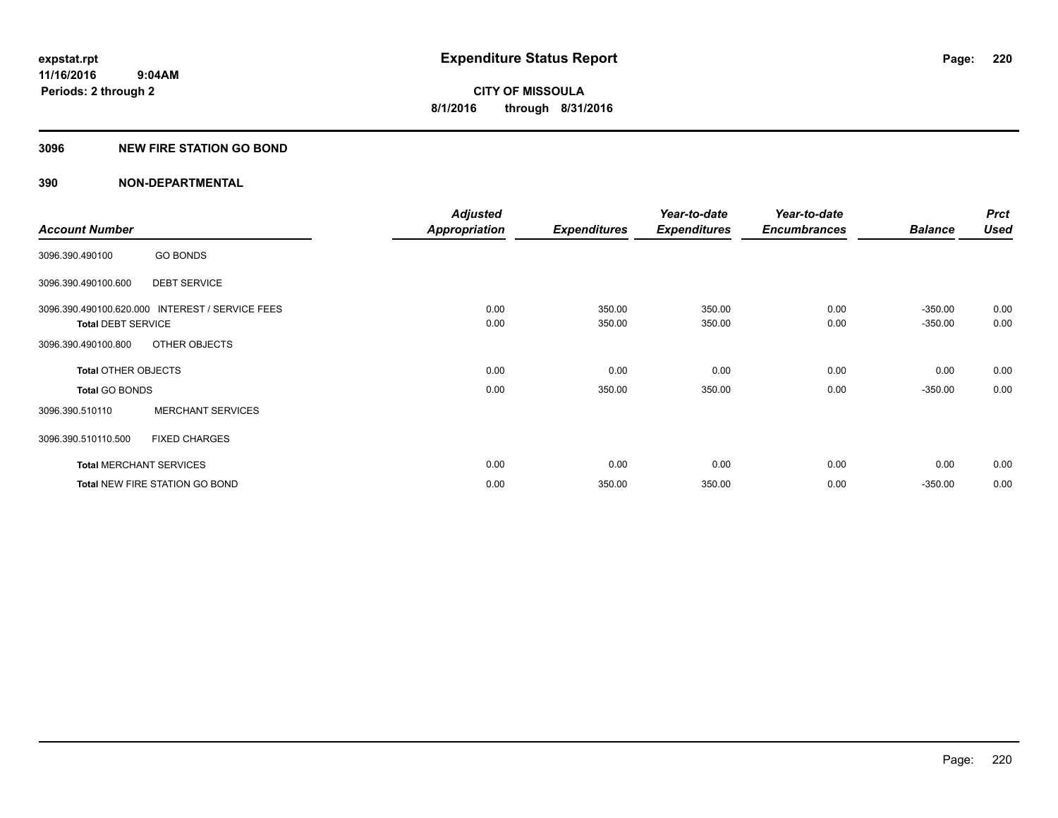#### **3096 NEW FIRE STATION GO BOND**

|                                |                                                 | <b>Adjusted</b>      |                     | Year-to-date        | Year-to-date        |                | <b>Prct</b> |
|--------------------------------|-------------------------------------------------|----------------------|---------------------|---------------------|---------------------|----------------|-------------|
| <b>Account Number</b>          |                                                 | <b>Appropriation</b> | <b>Expenditures</b> | <b>Expenditures</b> | <b>Encumbrances</b> | <b>Balance</b> | Used        |
| 3096.390.490100                | <b>GO BONDS</b>                                 |                      |                     |                     |                     |                |             |
| 3096.390.490100.600            | <b>DEBT SERVICE</b>                             |                      |                     |                     |                     |                |             |
|                                | 3096.390.490100.620.000 INTEREST / SERVICE FEES | 0.00                 | 350.00              | 350.00              | 0.00                | $-350.00$      | 0.00        |
| <b>Total DEBT SERVICE</b>      |                                                 | 0.00                 | 350.00              | 350.00              | 0.00                | $-350.00$      | 0.00        |
| 3096.390.490100.800            | OTHER OBJECTS                                   |                      |                     |                     |                     |                |             |
| <b>Total OTHER OBJECTS</b>     |                                                 | 0.00                 | 0.00                | 0.00                | 0.00                | 0.00           | 0.00        |
| <b>Total GO BONDS</b>          |                                                 | 0.00                 | 350.00              | 350.00              | 0.00                | $-350.00$      | 0.00        |
| 3096.390.510110                | <b>MERCHANT SERVICES</b>                        |                      |                     |                     |                     |                |             |
| 3096.390.510110.500            | <b>FIXED CHARGES</b>                            |                      |                     |                     |                     |                |             |
| <b>Total MERCHANT SERVICES</b> |                                                 | 0.00                 | 0.00                | 0.00                | 0.00                | 0.00           | 0.00        |
|                                | <b>Total NEW FIRE STATION GO BOND</b>           | 0.00                 | 350.00              | 350.00              | 0.00                | $-350.00$      | 0.00        |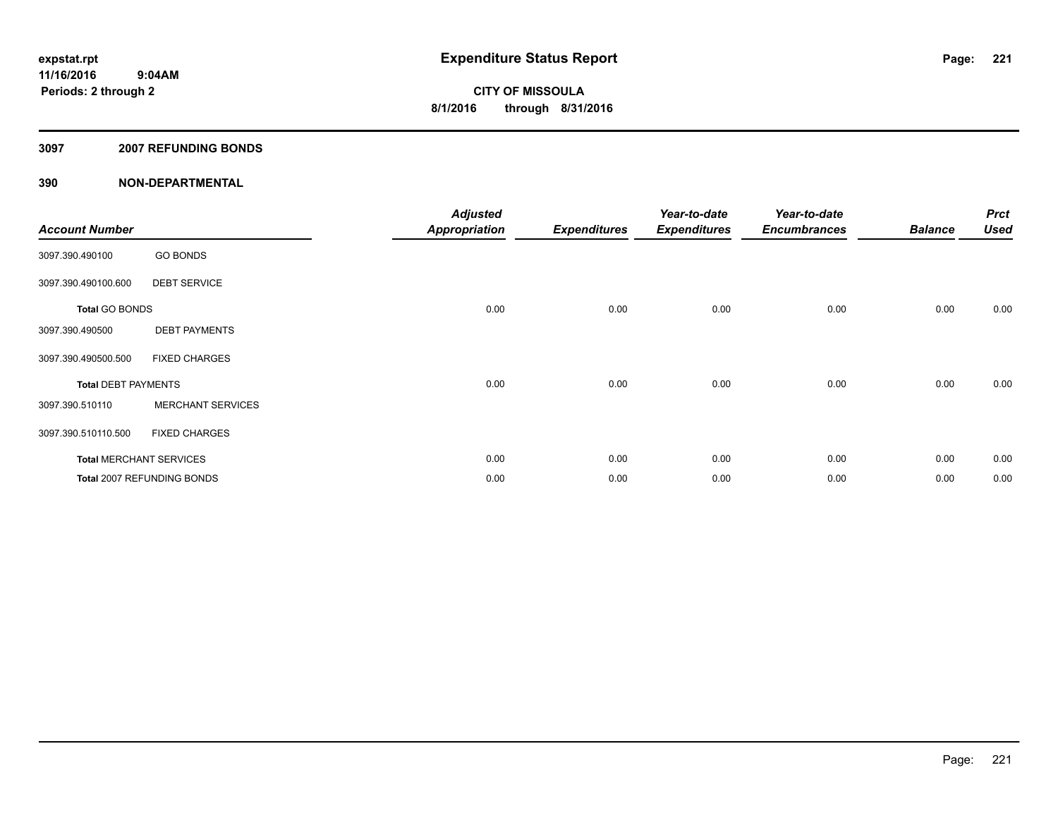#### **3097 2007 REFUNDING BONDS**

| <b>Account Number</b>      |                                | <b>Adjusted</b><br><b>Appropriation</b> | <b>Expenditures</b> | Year-to-date<br><b>Expenditures</b> | Year-to-date<br><b>Encumbrances</b> | <b>Balance</b> | <b>Prct</b><br><b>Used</b> |
|----------------------------|--------------------------------|-----------------------------------------|---------------------|-------------------------------------|-------------------------------------|----------------|----------------------------|
| 3097.390.490100            | <b>GO BONDS</b>                |                                         |                     |                                     |                                     |                |                            |
| 3097.390.490100.600        | <b>DEBT SERVICE</b>            |                                         |                     |                                     |                                     |                |                            |
| <b>Total GO BONDS</b>      |                                | 0.00                                    | 0.00                | 0.00                                | 0.00                                | 0.00           | 0.00                       |
| 3097.390.490500            | <b>DEBT PAYMENTS</b>           |                                         |                     |                                     |                                     |                |                            |
| 3097.390.490500.500        | <b>FIXED CHARGES</b>           |                                         |                     |                                     |                                     |                |                            |
| <b>Total DEBT PAYMENTS</b> |                                | 0.00                                    | 0.00                | 0.00                                | 0.00                                | 0.00           | 0.00                       |
| 3097.390.510110            | <b>MERCHANT SERVICES</b>       |                                         |                     |                                     |                                     |                |                            |
| 3097.390.510110.500        | <b>FIXED CHARGES</b>           |                                         |                     |                                     |                                     |                |                            |
|                            | <b>Total MERCHANT SERVICES</b> | 0.00                                    | 0.00                | 0.00                                | 0.00                                | 0.00           | 0.00                       |
|                            | Total 2007 REFUNDING BONDS     | 0.00                                    | 0.00                | 0.00                                | 0.00                                | 0.00           | 0.00                       |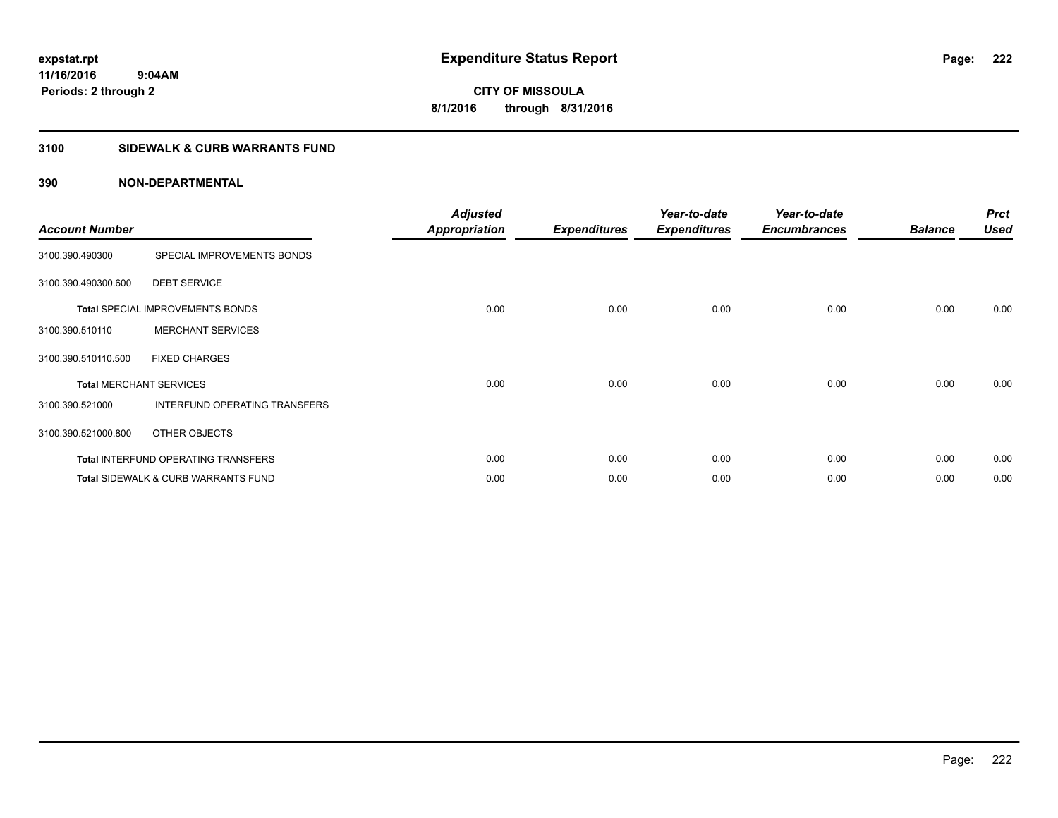**CITY OF MISSOULA 8/1/2016 through 8/31/2016**

## **3100 SIDEWALK & CURB WARRANTS FUND**

| <b>Account Number</b> |                                                | <b>Adjusted</b><br><b>Appropriation</b> | <b>Expenditures</b> | Year-to-date<br><b>Expenditures</b> | Year-to-date<br><b>Encumbrances</b> | <b>Balance</b> | <b>Prct</b><br><b>Used</b> |
|-----------------------|------------------------------------------------|-----------------------------------------|---------------------|-------------------------------------|-------------------------------------|----------------|----------------------------|
| 3100.390.490300       | SPECIAL IMPROVEMENTS BONDS                     |                                         |                     |                                     |                                     |                |                            |
| 3100.390.490300.600   | <b>DEBT SERVICE</b>                            |                                         |                     |                                     |                                     |                |                            |
|                       | <b>Total SPECIAL IMPROVEMENTS BONDS</b>        | 0.00                                    | 0.00                | 0.00                                | 0.00                                | 0.00           | 0.00                       |
| 3100.390.510110       | <b>MERCHANT SERVICES</b>                       |                                         |                     |                                     |                                     |                |                            |
| 3100.390.510110.500   | <b>FIXED CHARGES</b>                           |                                         |                     |                                     |                                     |                |                            |
|                       | <b>Total MERCHANT SERVICES</b>                 | 0.00                                    | 0.00                | 0.00                                | 0.00                                | 0.00           | 0.00                       |
| 3100.390.521000       | INTERFUND OPERATING TRANSFERS                  |                                         |                     |                                     |                                     |                |                            |
| 3100.390.521000.800   | OTHER OBJECTS                                  |                                         |                     |                                     |                                     |                |                            |
|                       | <b>Total INTERFUND OPERATING TRANSFERS</b>     | 0.00                                    | 0.00                | 0.00                                | 0.00                                | 0.00           | 0.00                       |
|                       | <b>Total SIDEWALK &amp; CURB WARRANTS FUND</b> | 0.00                                    | 0.00                | 0.00                                | 0.00                                | 0.00           | 0.00                       |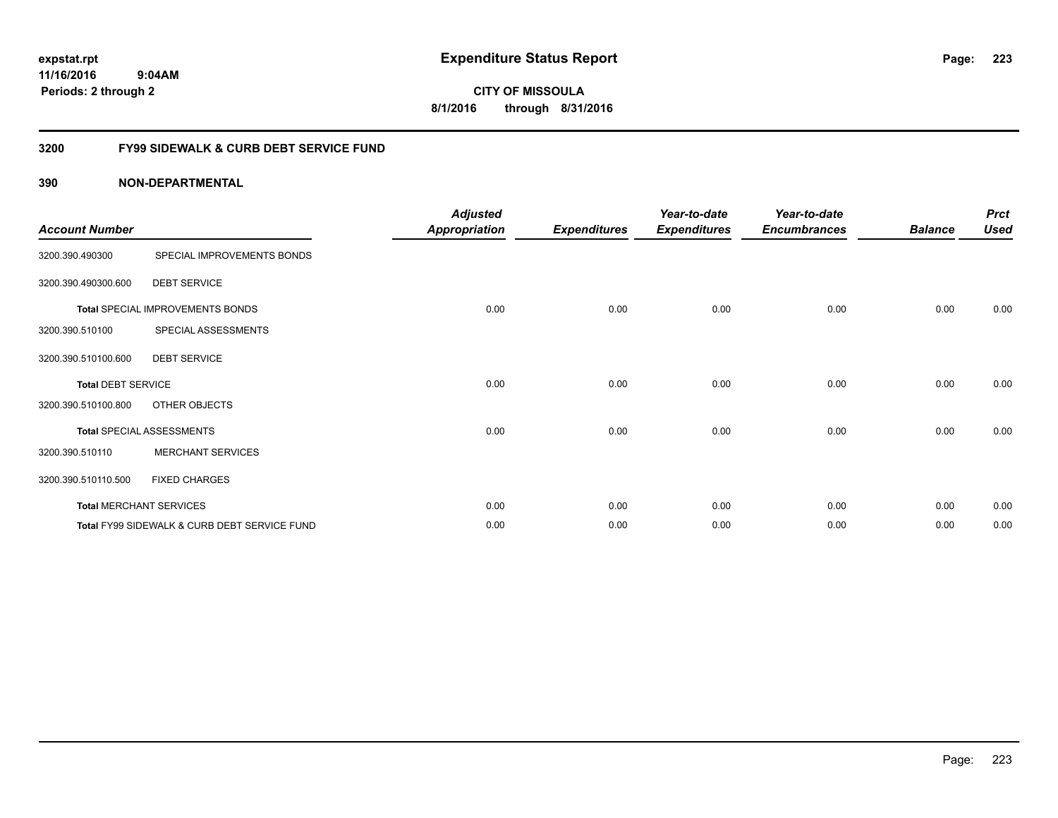**CITY OF MISSOULA 8/1/2016 through 8/31/2016**

## **3200 FY99 SIDEWALK & CURB DEBT SERVICE FUND**

| <b>Account Number</b>     |                                              | <b>Adjusted</b><br><b>Appropriation</b> | <b>Expenditures</b> | Year-to-date<br><b>Expenditures</b> | Year-to-date<br><b>Encumbrances</b> | <b>Balance</b> | <b>Prct</b><br><b>Used</b> |
|---------------------------|----------------------------------------------|-----------------------------------------|---------------------|-------------------------------------|-------------------------------------|----------------|----------------------------|
| 3200.390.490300           | SPECIAL IMPROVEMENTS BONDS                   |                                         |                     |                                     |                                     |                |                            |
| 3200.390.490300.600       | <b>DEBT SERVICE</b>                          |                                         |                     |                                     |                                     |                |                            |
|                           | Total SPECIAL IMPROVEMENTS BONDS             | 0.00                                    | 0.00                | 0.00                                | 0.00                                | 0.00           | 0.00                       |
| 3200.390.510100           | SPECIAL ASSESSMENTS                          |                                         |                     |                                     |                                     |                |                            |
| 3200.390.510100.600       | <b>DEBT SERVICE</b>                          |                                         |                     |                                     |                                     |                |                            |
| <b>Total DEBT SERVICE</b> |                                              | 0.00                                    | 0.00                | 0.00                                | 0.00                                | 0.00           | 0.00                       |
| 3200.390.510100.800       | OTHER OBJECTS                                |                                         |                     |                                     |                                     |                |                            |
|                           | <b>Total SPECIAL ASSESSMENTS</b>             | 0.00                                    | 0.00                | 0.00                                | 0.00                                | 0.00           | 0.00                       |
| 3200.390.510110           | <b>MERCHANT SERVICES</b>                     |                                         |                     |                                     |                                     |                |                            |
| 3200.390.510110.500       | <b>FIXED CHARGES</b>                         |                                         |                     |                                     |                                     |                |                            |
|                           | <b>Total MERCHANT SERVICES</b>               | 0.00                                    | 0.00                | 0.00                                | 0.00                                | 0.00           | 0.00                       |
|                           | Total FY99 SIDEWALK & CURB DEBT SERVICE FUND | 0.00                                    | 0.00                | 0.00                                | 0.00                                | 0.00           | 0.00                       |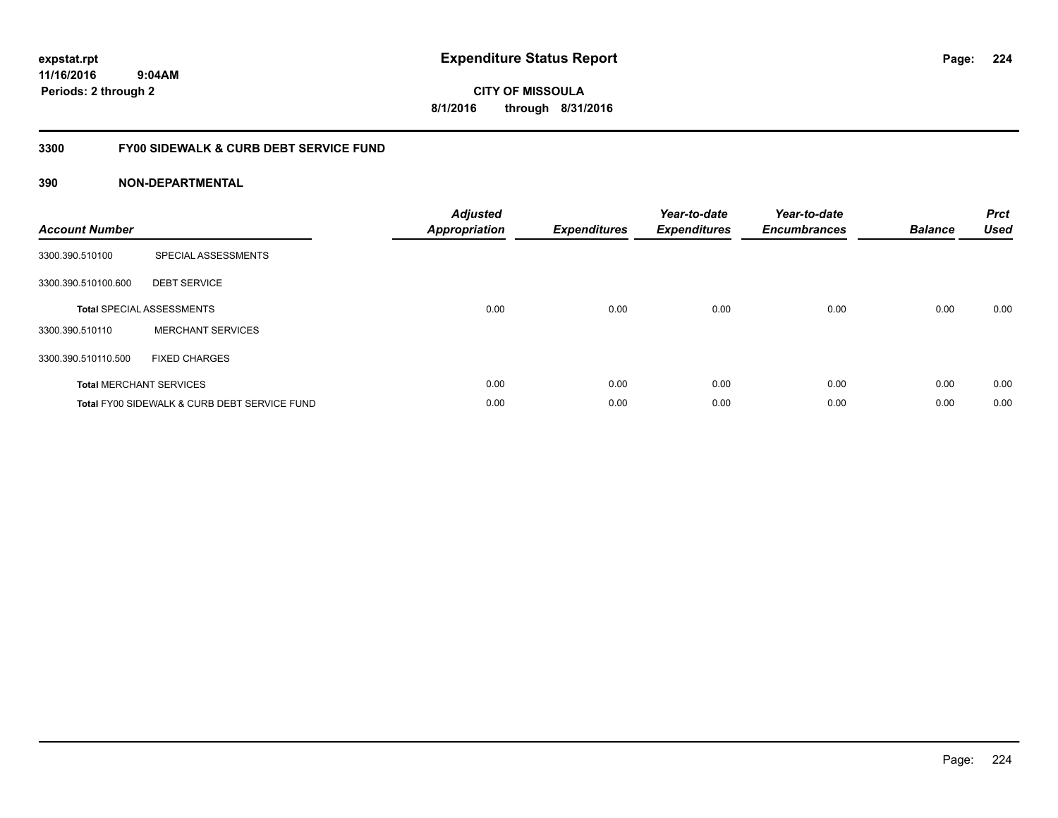**CITY OF MISSOULA 8/1/2016 through 8/31/2016**

## **3300 FY00 SIDEWALK & CURB DEBT SERVICE FUND**

| <b>Account Number</b> |                                              | <b>Adjusted</b><br><b>Appropriation</b> | <b>Expenditures</b> | Year-to-date<br><b>Expenditures</b> | Year-to-date<br><b>Encumbrances</b> | <b>Balance</b> | <b>Prct</b><br><b>Used</b> |
|-----------------------|----------------------------------------------|-----------------------------------------|---------------------|-------------------------------------|-------------------------------------|----------------|----------------------------|
| 3300.390.510100       | SPECIAL ASSESSMENTS                          |                                         |                     |                                     |                                     |                |                            |
| 3300.390.510100.600   | <b>DEBT SERVICE</b>                          |                                         |                     |                                     |                                     |                |                            |
|                       | <b>Total SPECIAL ASSESSMENTS</b>             | 0.00                                    | 0.00                | 0.00                                | 0.00                                | 0.00           | 0.00                       |
| 3300.390.510110       | <b>MERCHANT SERVICES</b>                     |                                         |                     |                                     |                                     |                |                            |
| 3300.390.510110.500   | <b>FIXED CHARGES</b>                         |                                         |                     |                                     |                                     |                |                            |
|                       | <b>Total MERCHANT SERVICES</b>               | 0.00                                    | 0.00                | 0.00                                | 0.00                                | 0.00           | 0.00                       |
|                       | Total FY00 SIDEWALK & CURB DEBT SERVICE FUND | 0.00                                    | 0.00                | 0.00                                | 0.00                                | 0.00           | 0.00                       |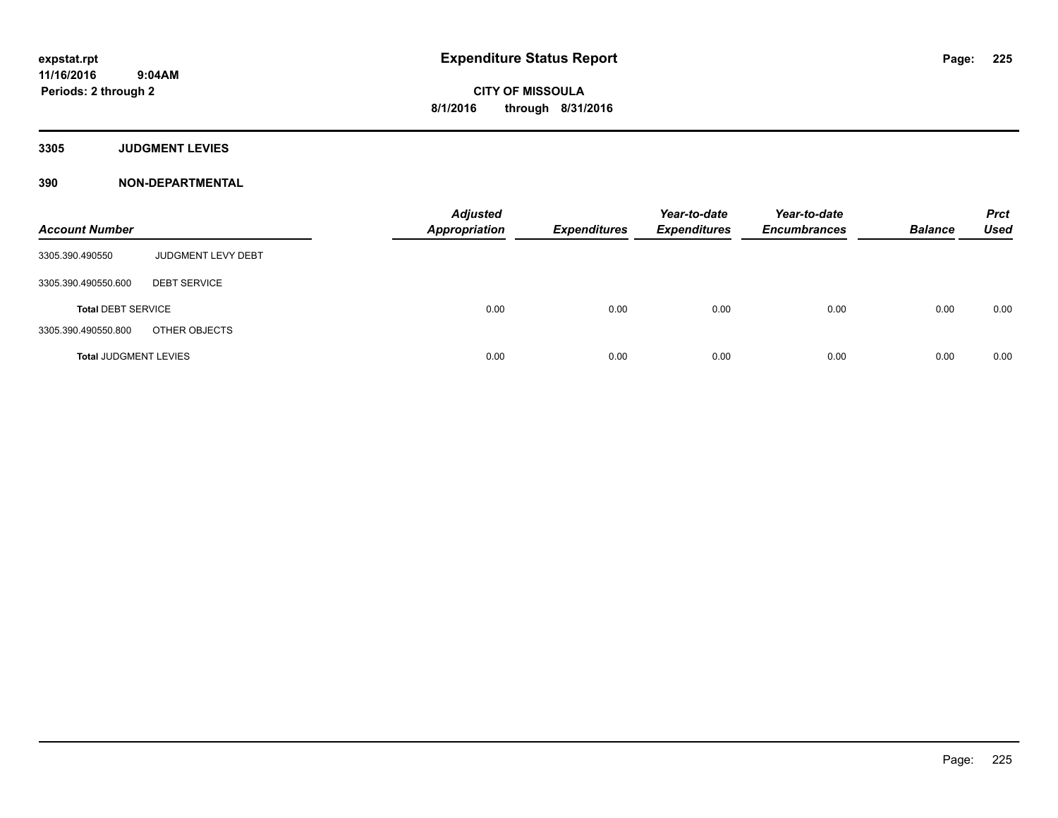**Periods: 2 through 2**

**CITY OF MISSOULA 8/1/2016 through 8/31/2016**

**3305 JUDGMENT LEVIES**

| <b>Account Number</b>        |                     | <b>Adjusted</b><br><b>Appropriation</b> | <b>Expenditures</b> | Year-to-date<br><b>Expenditures</b> | Year-to-date<br><b>Encumbrances</b> | <b>Balance</b> | <b>Prct</b><br><b>Used</b> |
|------------------------------|---------------------|-----------------------------------------|---------------------|-------------------------------------|-------------------------------------|----------------|----------------------------|
| 3305.390.490550              | JUDGMENT LEVY DEBT  |                                         |                     |                                     |                                     |                |                            |
| 3305.390.490550.600          | <b>DEBT SERVICE</b> |                                         |                     |                                     |                                     |                |                            |
| <b>Total DEBT SERVICE</b>    |                     | 0.00                                    | 0.00                | 0.00                                | 0.00                                | 0.00           | 0.00                       |
| 3305.390.490550.800          | OTHER OBJECTS       |                                         |                     |                                     |                                     |                |                            |
| <b>Total JUDGMENT LEVIES</b> |                     | 0.00                                    | 0.00                | 0.00                                | 0.00                                | 0.00           | 0.00                       |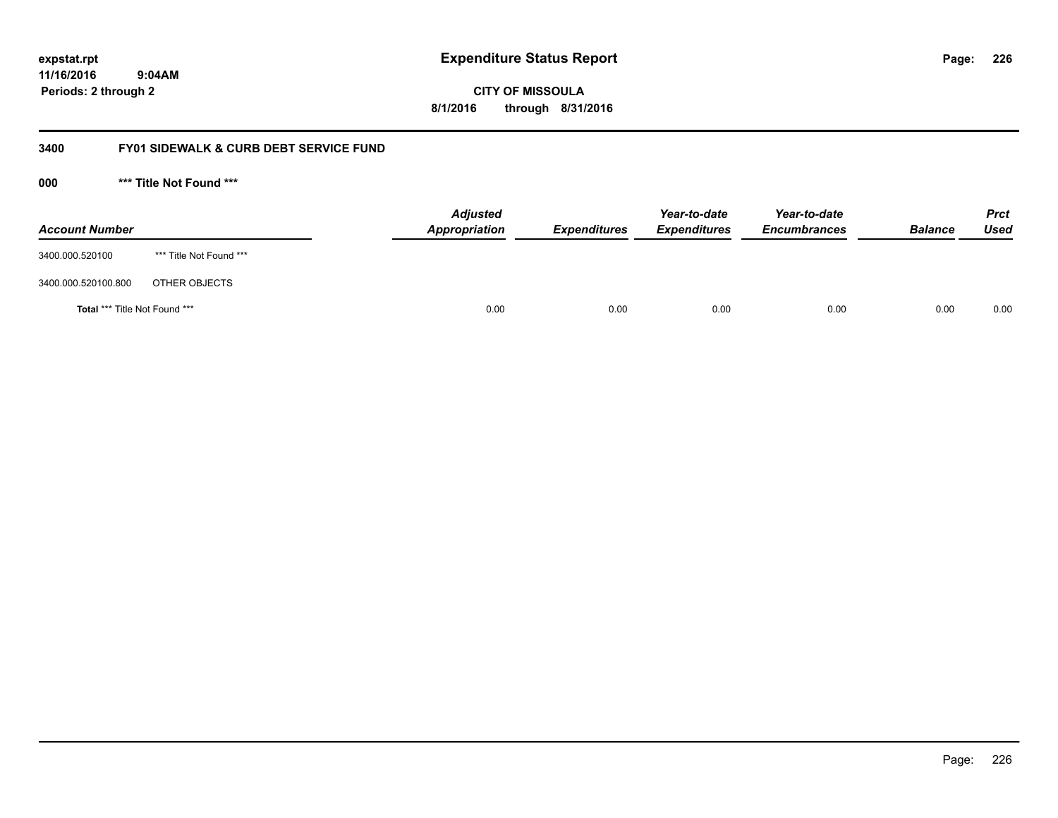**226**

**11/16/2016 9:04AM Periods: 2 through 2**

**CITY OF MISSOULA 8/1/2016 through 8/31/2016**

## **3400 FY01 SIDEWALK & CURB DEBT SERVICE FUND**

**000 \*\*\* Title Not Found \*\*\***

| <b>Account Number</b>         |                         | <b>Adjusted</b><br>Appropriation | <b>Expenditures</b> | Year-to-date<br><b>Expenditures</b> | Year-to-date<br><b>Encumbrances</b> | <b>Balance</b> | <b>Prct</b><br>Used |
|-------------------------------|-------------------------|----------------------------------|---------------------|-------------------------------------|-------------------------------------|----------------|---------------------|
| 3400.000.520100               | *** Title Not Found *** |                                  |                     |                                     |                                     |                |                     |
| 3400.000.520100.800           | OTHER OBJECTS           |                                  |                     |                                     |                                     |                |                     |
| Total *** Title Not Found *** |                         | 0.00                             | 0.00                | 0.00                                | 0.00                                | 0.00           | 0.00                |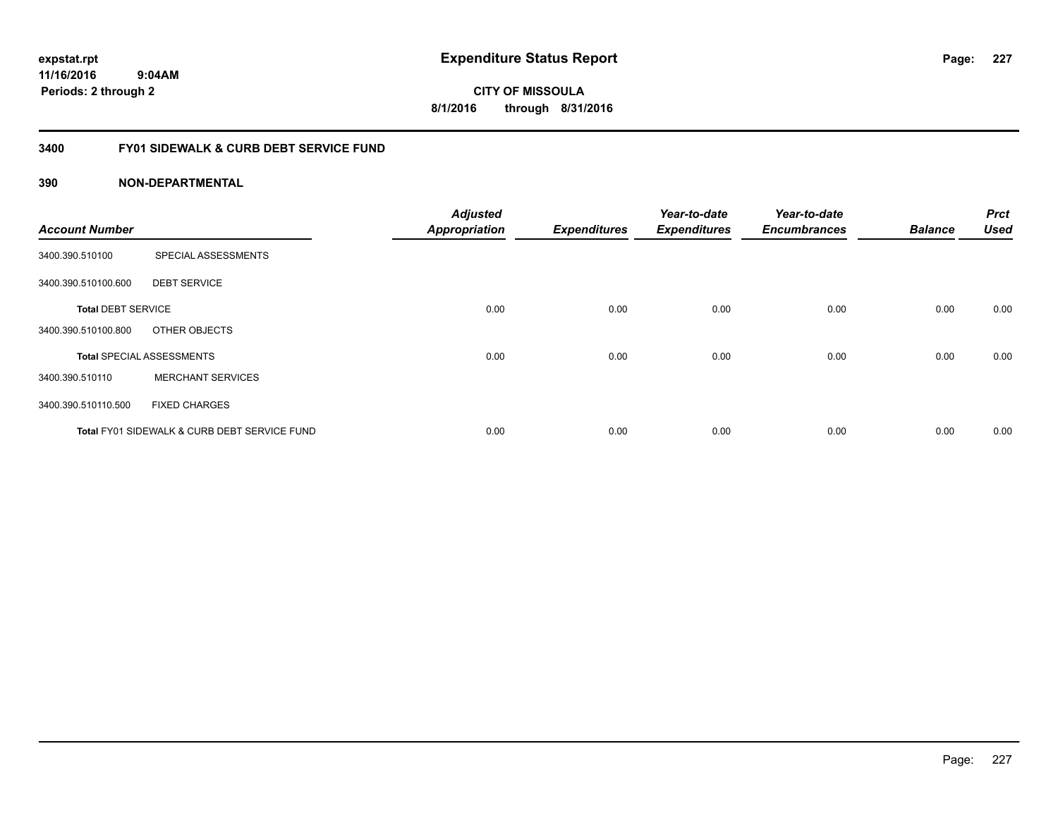**CITY OF MISSOULA 8/1/2016 through 8/31/2016**

## **3400 FY01 SIDEWALK & CURB DEBT SERVICE FUND**

| <b>Account Number</b>     |                                              | <b>Adjusted</b><br><b>Appropriation</b> | <b>Expenditures</b> | Year-to-date<br><b>Expenditures</b> | Year-to-date<br><b>Encumbrances</b> | <b>Balance</b> | <b>Prct</b><br><b>Used</b> |
|---------------------------|----------------------------------------------|-----------------------------------------|---------------------|-------------------------------------|-------------------------------------|----------------|----------------------------|
|                           |                                              |                                         |                     |                                     |                                     |                |                            |
| 3400.390.510100           | SPECIAL ASSESSMENTS                          |                                         |                     |                                     |                                     |                |                            |
| 3400.390.510100.600       | <b>DEBT SERVICE</b>                          |                                         |                     |                                     |                                     |                |                            |
| <b>Total DEBT SERVICE</b> |                                              | 0.00                                    | 0.00                | 0.00                                | 0.00                                | 0.00           | 0.00                       |
| 3400.390.510100.800       | OTHER OBJECTS                                |                                         |                     |                                     |                                     |                |                            |
|                           | <b>Total SPECIAL ASSESSMENTS</b>             | 0.00                                    | 0.00                | 0.00                                | 0.00                                | 0.00           | 0.00                       |
| 3400.390.510110           | <b>MERCHANT SERVICES</b>                     |                                         |                     |                                     |                                     |                |                            |
| 3400.390.510110.500       | <b>FIXED CHARGES</b>                         |                                         |                     |                                     |                                     |                |                            |
|                           | Total FY01 SIDEWALK & CURB DEBT SERVICE FUND | 0.00                                    | 0.00                | 0.00                                | 0.00                                | 0.00           | 0.00                       |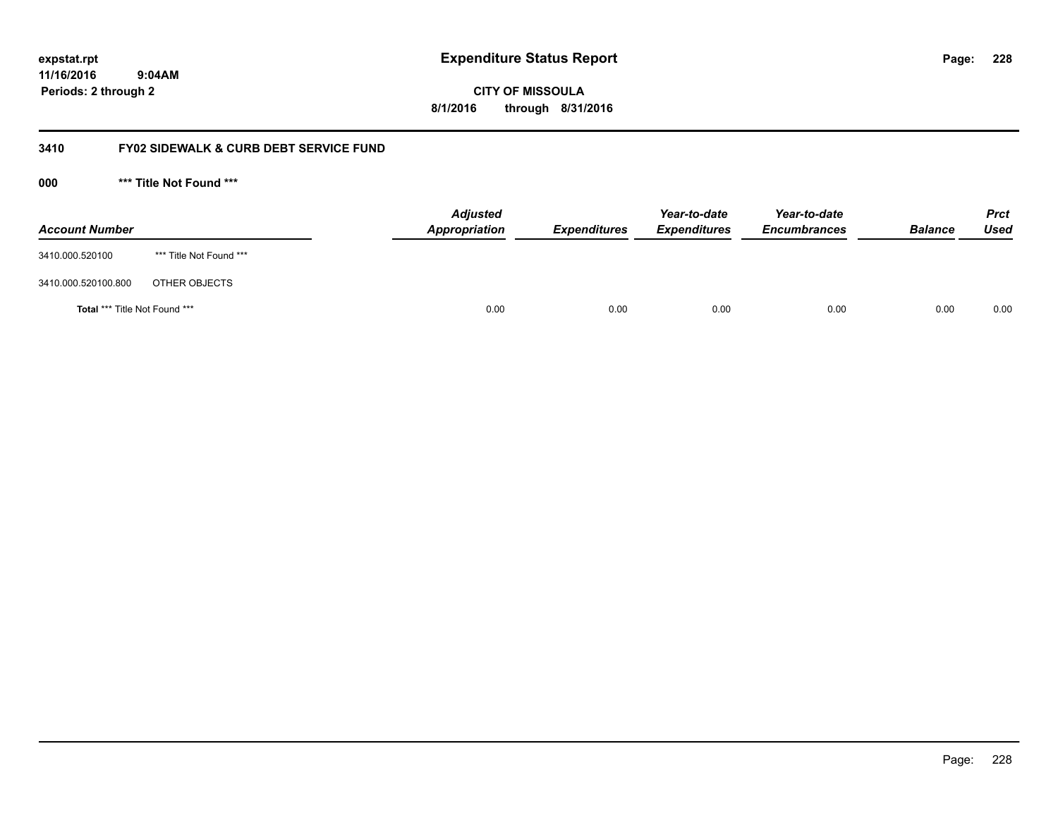**228**

**11/16/2016 9:04AM Periods: 2 through 2**

# **CITY OF MISSOULA 8/1/2016 through 8/31/2016**

## **3410 FY02 SIDEWALK & CURB DEBT SERVICE FUND**

**000 \*\*\* Title Not Found \*\*\***

| <b>Account Number</b>         |                         | <b>Adjusted</b><br>Appropriation | <b>Expenditures</b> | Year-to-date<br><b>Expenditures</b> | Year-to-date<br><b>Encumbrances</b> | <b>Balance</b> | <b>Prct</b><br>Used |
|-------------------------------|-------------------------|----------------------------------|---------------------|-------------------------------------|-------------------------------------|----------------|---------------------|
| 3410.000.520100               | *** Title Not Found *** |                                  |                     |                                     |                                     |                |                     |
| 3410.000.520100.800           | OTHER OBJECTS           |                                  |                     |                                     |                                     |                |                     |
| Total *** Title Not Found *** |                         | 0.00                             | 0.00                | 0.00                                | 0.00                                | 0.00           | 0.00                |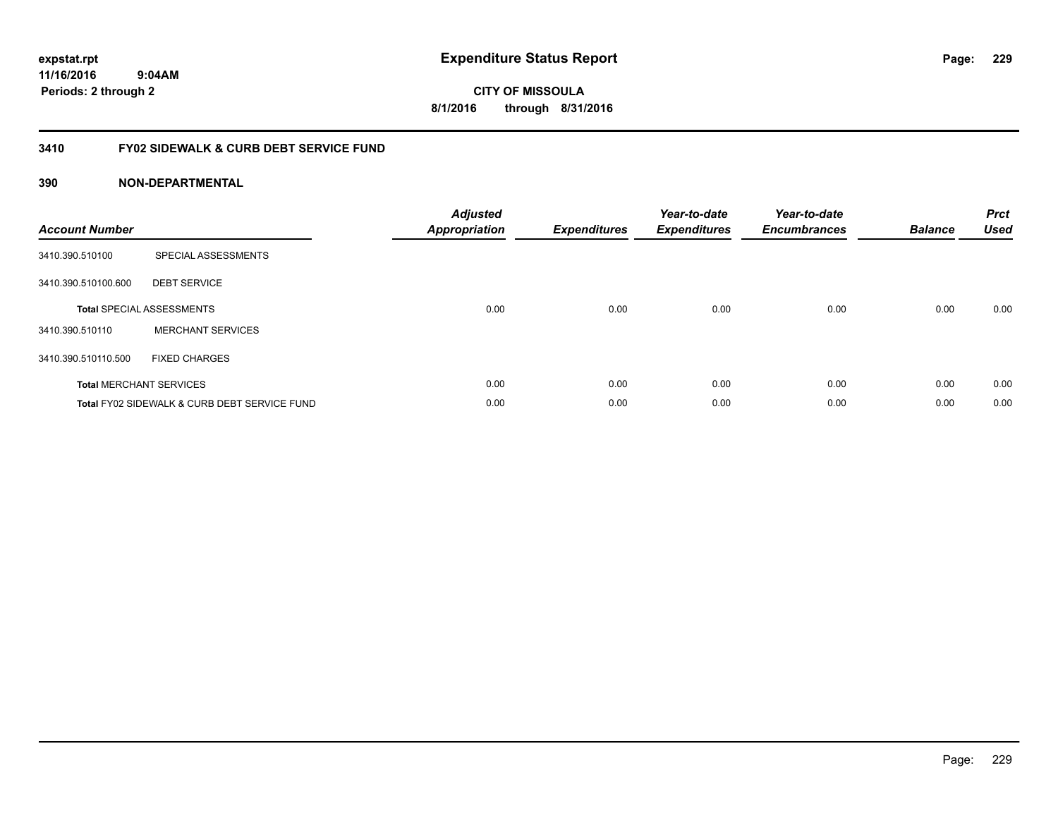**CITY OF MISSOULA 8/1/2016 through 8/31/2016**

## **3410 FY02 SIDEWALK & CURB DEBT SERVICE FUND**

| <b>Account Number</b> |                                              | <b>Adjusted</b><br>Appropriation | <b>Expenditures</b> | Year-to-date<br><b>Expenditures</b> | Year-to-date<br><b>Encumbrances</b> | <b>Balance</b> | <b>Prct</b><br><b>Used</b> |
|-----------------------|----------------------------------------------|----------------------------------|---------------------|-------------------------------------|-------------------------------------|----------------|----------------------------|
| 3410.390.510100       | SPECIAL ASSESSMENTS                          |                                  |                     |                                     |                                     |                |                            |
| 3410.390.510100.600   | <b>DEBT SERVICE</b>                          |                                  |                     |                                     |                                     |                |                            |
|                       | <b>Total SPECIAL ASSESSMENTS</b>             | 0.00                             | 0.00                | 0.00                                | 0.00                                | 0.00           | 0.00                       |
| 3410.390.510110       | <b>MERCHANT SERVICES</b>                     |                                  |                     |                                     |                                     |                |                            |
| 3410.390.510110.500   | <b>FIXED CHARGES</b>                         |                                  |                     |                                     |                                     |                |                            |
|                       | <b>Total MERCHANT SERVICES</b>               | 0.00                             | 0.00                | 0.00                                | 0.00                                | 0.00           | 0.00                       |
|                       | Total FY02 SIDEWALK & CURB DEBT SERVICE FUND | 0.00                             | 0.00                | 0.00                                | 0.00                                | 0.00           | 0.00                       |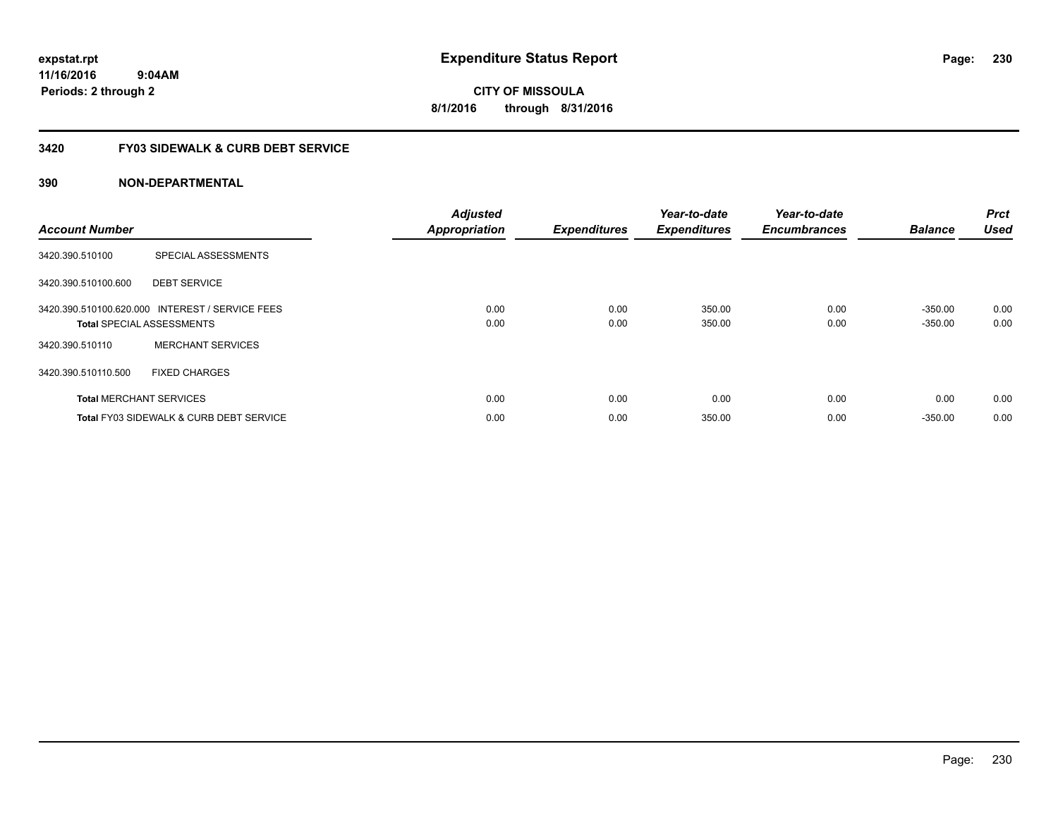**CITY OF MISSOULA 8/1/2016 through 8/31/2016**

## **3420 FY03 SIDEWALK & CURB DEBT SERVICE**

| <b>Account Number</b> |                                                                                     | <b>Adjusted</b><br><b>Appropriation</b> | <b>Expenditures</b> | Year-to-date<br><b>Expenditures</b> | Year-to-date<br><b>Encumbrances</b> | <b>Balance</b>         | <b>Prct</b><br><b>Used</b> |
|-----------------------|-------------------------------------------------------------------------------------|-----------------------------------------|---------------------|-------------------------------------|-------------------------------------|------------------------|----------------------------|
| 3420.390.510100       | SPECIAL ASSESSMENTS                                                                 |                                         |                     |                                     |                                     |                        |                            |
| 3420.390.510100.600   | <b>DEBT SERVICE</b>                                                                 |                                         |                     |                                     |                                     |                        |                            |
|                       | 3420.390.510100.620.000 INTEREST / SERVICE FEES<br><b>Total SPECIAL ASSESSMENTS</b> | 0.00<br>0.00                            | 0.00<br>0.00        | 350.00<br>350.00                    | 0.00<br>0.00                        | $-350.00$<br>$-350.00$ | 0.00<br>0.00               |
| 3420.390.510110       | <b>MERCHANT SERVICES</b>                                                            |                                         |                     |                                     |                                     |                        |                            |
| 3420.390.510110.500   | <b>FIXED CHARGES</b>                                                                |                                         |                     |                                     |                                     |                        |                            |
|                       | <b>Total MERCHANT SERVICES</b>                                                      | 0.00                                    | 0.00                | 0.00                                | 0.00                                | 0.00                   | 0.00                       |
|                       | <b>Total FY03 SIDEWALK &amp; CURB DEBT SERVICE</b>                                  | 0.00                                    | 0.00                | 350.00                              | 0.00                                | $-350.00$              | 0.00                       |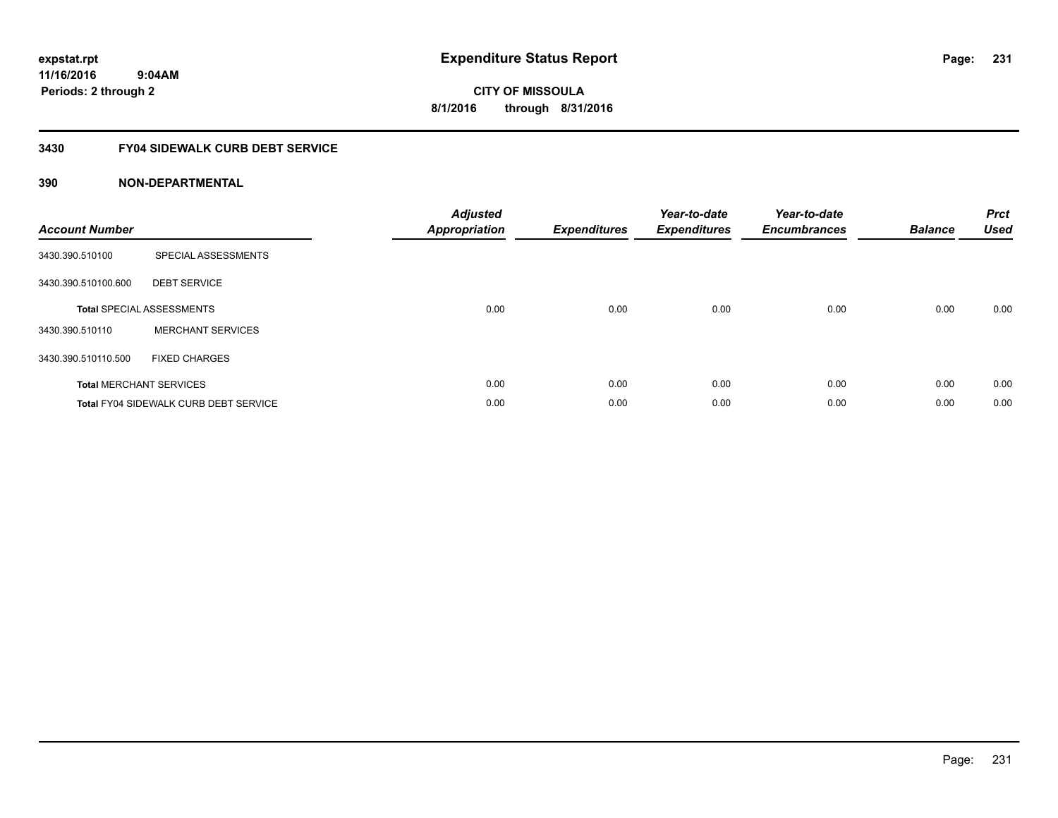**CITY OF MISSOULA 8/1/2016 through 8/31/2016**

## **3430 FY04 SIDEWALK CURB DEBT SERVICE**

| <b>Account Number</b> |                                              | <b>Adjusted</b><br><b>Appropriation</b> | <b>Expenditures</b> | Year-to-date<br><b>Expenditures</b> | Year-to-date<br><b>Encumbrances</b> | <b>Balance</b> | <b>Prct</b><br><b>Used</b> |
|-----------------------|----------------------------------------------|-----------------------------------------|---------------------|-------------------------------------|-------------------------------------|----------------|----------------------------|
| 3430.390.510100       | SPECIAL ASSESSMENTS                          |                                         |                     |                                     |                                     |                |                            |
| 3430.390.510100.600   | <b>DEBT SERVICE</b>                          |                                         |                     |                                     |                                     |                |                            |
|                       | <b>Total SPECIAL ASSESSMENTS</b>             | 0.00                                    | 0.00                | 0.00                                | 0.00                                | 0.00           | 0.00                       |
| 3430.390.510110       | <b>MERCHANT SERVICES</b>                     |                                         |                     |                                     |                                     |                |                            |
| 3430.390.510110.500   | <b>FIXED CHARGES</b>                         |                                         |                     |                                     |                                     |                |                            |
|                       | <b>Total MERCHANT SERVICES</b>               | 0.00                                    | 0.00                | 0.00                                | 0.00                                | 0.00           | 0.00                       |
|                       | <b>Total FY04 SIDEWALK CURB DEBT SERVICE</b> | 0.00                                    | 0.00                | 0.00                                | 0.00                                | 0.00           | 0.00                       |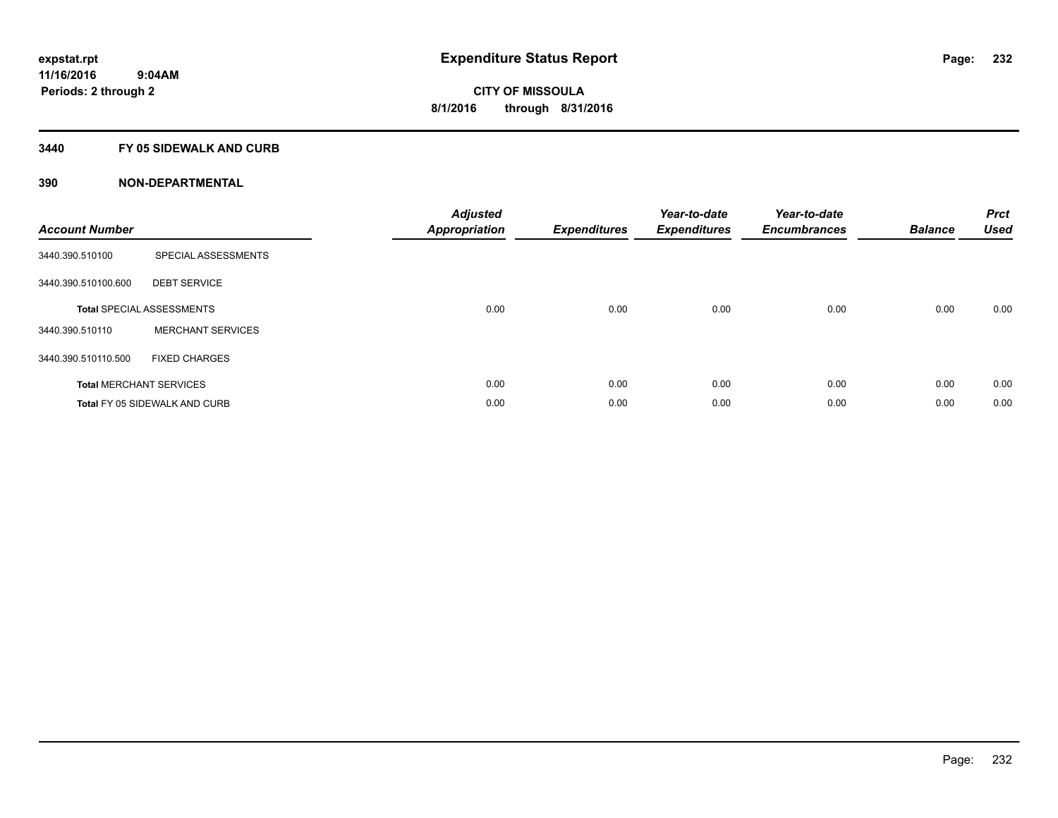## **3440 FY 05 SIDEWALK AND CURB**

| <b>Account Number</b> |                                      | <b>Adjusted</b><br>Appropriation | <b>Expenditures</b> | Year-to-date<br><b>Expenditures</b> | Year-to-date<br><b>Encumbrances</b> | <b>Balance</b> | <b>Prct</b><br><b>Used</b> |
|-----------------------|--------------------------------------|----------------------------------|---------------------|-------------------------------------|-------------------------------------|----------------|----------------------------|
| 3440.390.510100       | SPECIAL ASSESSMENTS                  |                                  |                     |                                     |                                     |                |                            |
| 3440.390.510100.600   | <b>DEBT SERVICE</b>                  |                                  |                     |                                     |                                     |                |                            |
|                       | <b>Total SPECIAL ASSESSMENTS</b>     | 0.00                             | 0.00                | 0.00                                | 0.00                                | 0.00           | 0.00                       |
| 3440.390.510110       | <b>MERCHANT SERVICES</b>             |                                  |                     |                                     |                                     |                |                            |
| 3440.390.510110.500   | <b>FIXED CHARGES</b>                 |                                  |                     |                                     |                                     |                |                            |
|                       | <b>Total MERCHANT SERVICES</b>       | 0.00                             | 0.00                | 0.00                                | 0.00                                | 0.00           | 0.00                       |
|                       | <b>Total FY 05 SIDEWALK AND CURB</b> | 0.00                             | 0.00                | 0.00                                | 0.00                                | 0.00           | 0.00                       |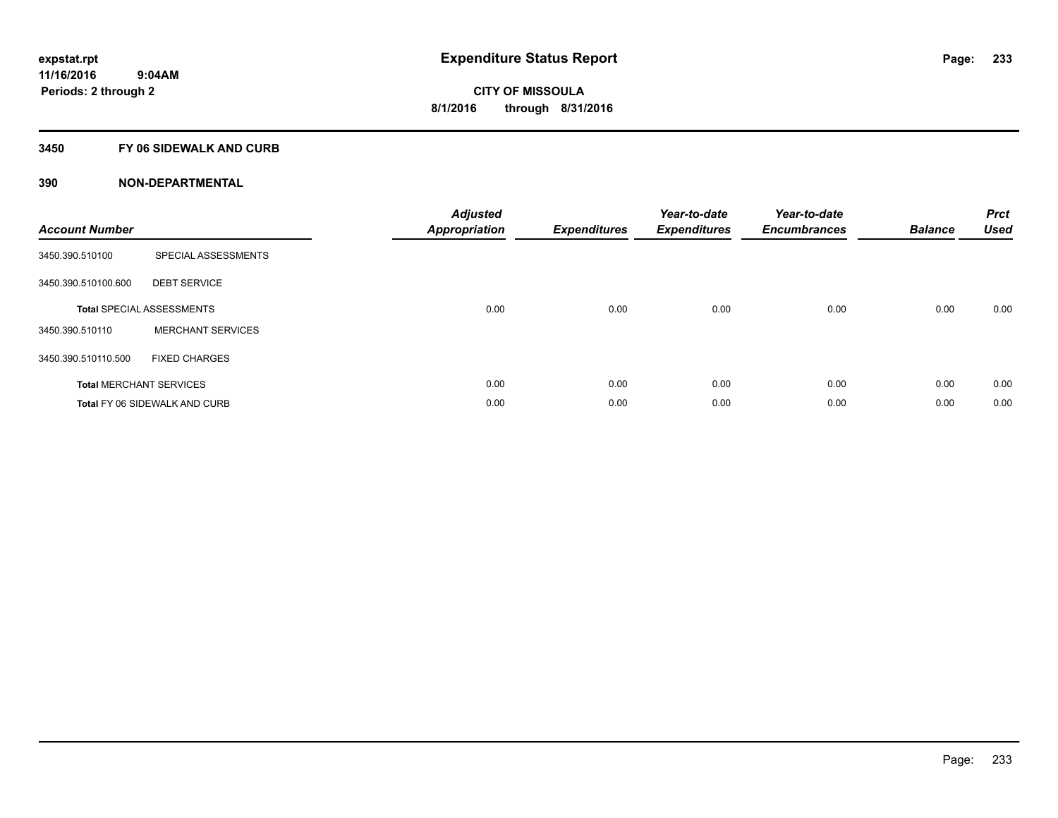## **3450 FY 06 SIDEWALK AND CURB**

| <b>Account Number</b> |                                      | <b>Adjusted</b><br>Appropriation | <b>Expenditures</b> | Year-to-date<br><b>Expenditures</b> | Year-to-date<br><b>Encumbrances</b> | <b>Balance</b> | <b>Prct</b><br><b>Used</b> |
|-----------------------|--------------------------------------|----------------------------------|---------------------|-------------------------------------|-------------------------------------|----------------|----------------------------|
| 3450.390.510100       | SPECIAL ASSESSMENTS                  |                                  |                     |                                     |                                     |                |                            |
| 3450.390.510100.600   | <b>DEBT SERVICE</b>                  |                                  |                     |                                     |                                     |                |                            |
|                       | <b>Total SPECIAL ASSESSMENTS</b>     | 0.00                             | 0.00                | 0.00                                | 0.00                                | 0.00           | 0.00                       |
| 3450.390.510110       | <b>MERCHANT SERVICES</b>             |                                  |                     |                                     |                                     |                |                            |
| 3450.390.510110.500   | <b>FIXED CHARGES</b>                 |                                  |                     |                                     |                                     |                |                            |
|                       | <b>Total MERCHANT SERVICES</b>       | 0.00                             | 0.00                | 0.00                                | 0.00                                | 0.00           | 0.00                       |
|                       | <b>Total FY 06 SIDEWALK AND CURB</b> | 0.00                             | 0.00                | 0.00                                | 0.00                                | 0.00           | 0.00                       |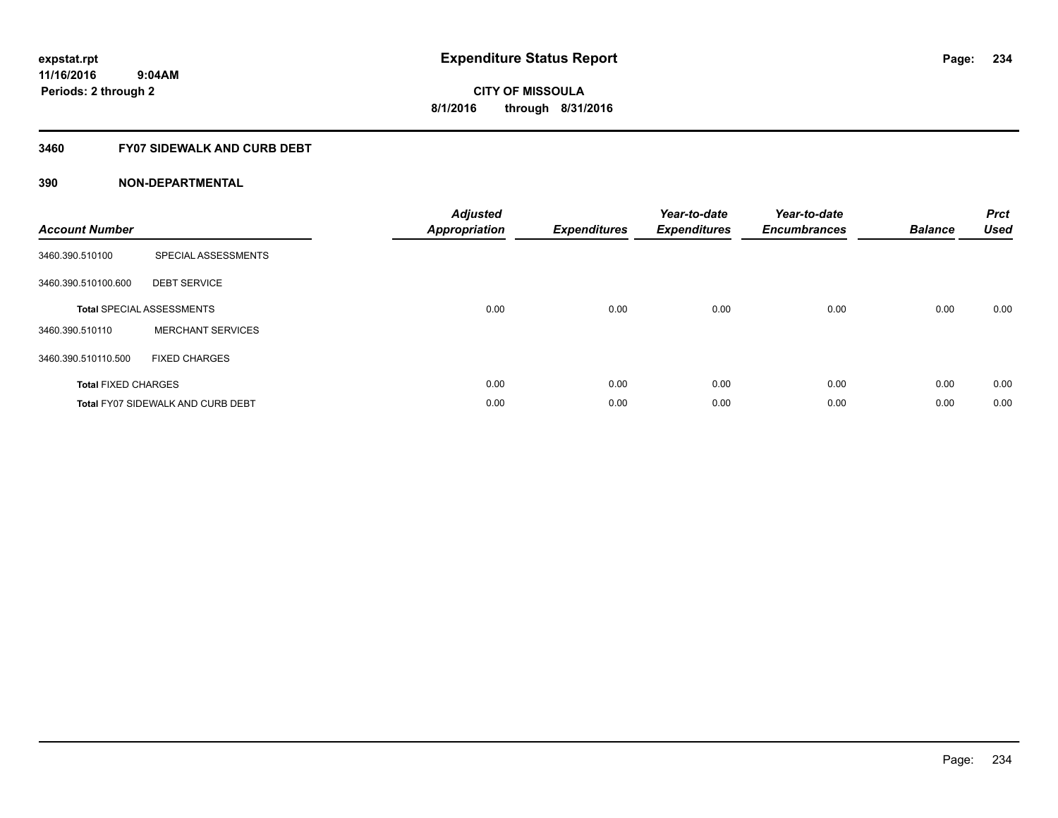## **3460 FY07 SIDEWALK AND CURB DEBT**

| <b>Account Number</b>      |                                          | <b>Adjusted</b><br><b>Appropriation</b> | <b>Expenditures</b> | Year-to-date<br><b>Expenditures</b> | Year-to-date<br><b>Encumbrances</b> | <b>Balance</b> | <b>Prct</b><br><b>Used</b> |
|----------------------------|------------------------------------------|-----------------------------------------|---------------------|-------------------------------------|-------------------------------------|----------------|----------------------------|
| 3460.390.510100            | SPECIAL ASSESSMENTS                      |                                         |                     |                                     |                                     |                |                            |
| 3460.390.510100.600        | <b>DEBT SERVICE</b>                      |                                         |                     |                                     |                                     |                |                            |
|                            | <b>Total SPECIAL ASSESSMENTS</b>         | 0.00                                    | 0.00                | 0.00                                | 0.00                                | 0.00           | 0.00                       |
| 3460.390.510110            | <b>MERCHANT SERVICES</b>                 |                                         |                     |                                     |                                     |                |                            |
| 3460.390.510110.500        | <b>FIXED CHARGES</b>                     |                                         |                     |                                     |                                     |                |                            |
| <b>Total FIXED CHARGES</b> |                                          | 0.00                                    | 0.00                | 0.00                                | 0.00                                | 0.00           | 0.00                       |
|                            | <b>Total FY07 SIDEWALK AND CURB DEBT</b> | 0.00                                    | 0.00                | 0.00                                | 0.00                                | 0.00           | 0.00                       |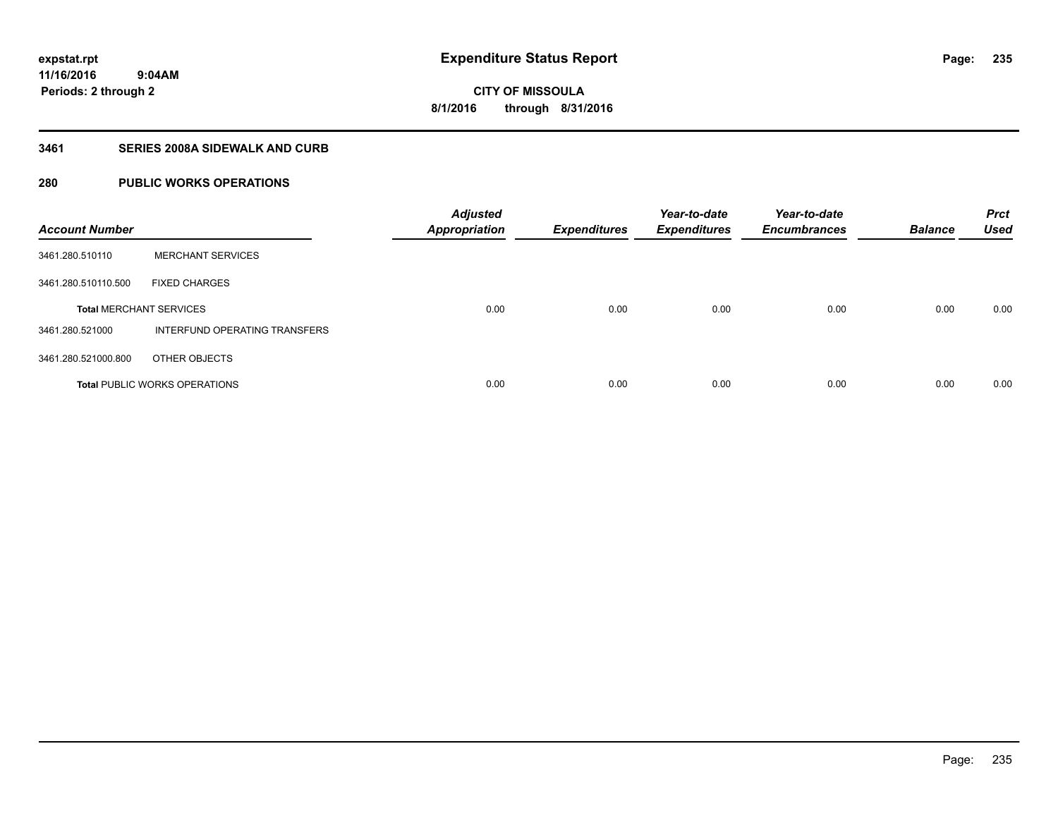## **3461 SERIES 2008A SIDEWALK AND CURB**

# **280 PUBLIC WORKS OPERATIONS**

| <b>Account Number</b>          |                                      | <b>Adjusted</b><br><b>Appropriation</b> | <b>Expenditures</b> | Year-to-date<br><b>Expenditures</b> | Year-to-date<br><b>Encumbrances</b> | <b>Balance</b> | <b>Prct</b><br><b>Used</b> |
|--------------------------------|--------------------------------------|-----------------------------------------|---------------------|-------------------------------------|-------------------------------------|----------------|----------------------------|
| 3461.280.510110                | <b>MERCHANT SERVICES</b>             |                                         |                     |                                     |                                     |                |                            |
| 3461.280.510110.500            | <b>FIXED CHARGES</b>                 |                                         |                     |                                     |                                     |                |                            |
| <b>Total MERCHANT SERVICES</b> |                                      | 0.00                                    | 0.00                | 0.00                                | 0.00                                | 0.00           | 0.00                       |
| 3461.280.521000                | INTERFUND OPERATING TRANSFERS        |                                         |                     |                                     |                                     |                |                            |
| 3461.280.521000.800            | OTHER OBJECTS                        |                                         |                     |                                     |                                     |                |                            |
|                                | <b>Total PUBLIC WORKS OPERATIONS</b> | 0.00                                    | 0.00                | 0.00                                | 0.00                                | 0.00           | 0.00                       |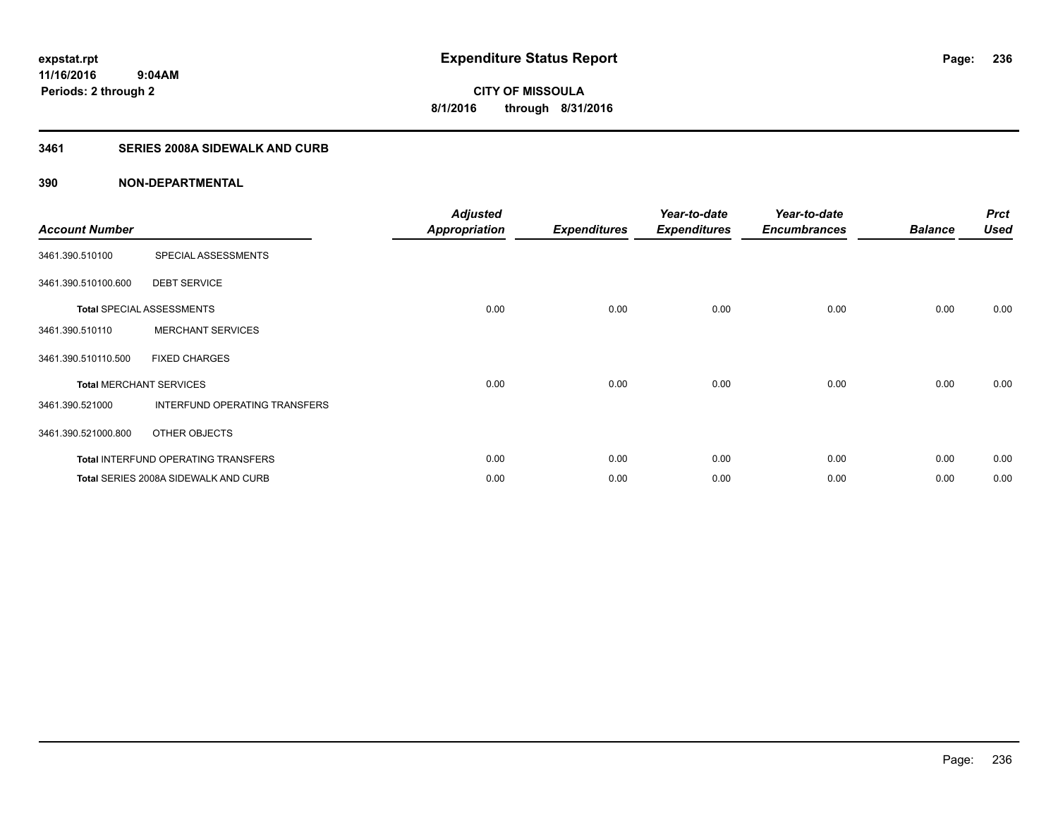# **3461 SERIES 2008A SIDEWALK AND CURB**

| <b>Account Number</b>          |                                            | <b>Adjusted</b><br><b>Appropriation</b> | <b>Expenditures</b> | Year-to-date<br><b>Expenditures</b> | Year-to-date<br><b>Encumbrances</b> | <b>Balance</b> | <b>Prct</b><br><b>Used</b> |
|--------------------------------|--------------------------------------------|-----------------------------------------|---------------------|-------------------------------------|-------------------------------------|----------------|----------------------------|
| 3461.390.510100                | SPECIAL ASSESSMENTS                        |                                         |                     |                                     |                                     |                |                            |
| 3461.390.510100.600            | <b>DEBT SERVICE</b>                        |                                         |                     |                                     |                                     |                |                            |
|                                | <b>Total SPECIAL ASSESSMENTS</b>           | 0.00                                    | 0.00                | 0.00                                | 0.00                                | 0.00           | 0.00                       |
| 3461.390.510110                | <b>MERCHANT SERVICES</b>                   |                                         |                     |                                     |                                     |                |                            |
| 3461.390.510110.500            | <b>FIXED CHARGES</b>                       |                                         |                     |                                     |                                     |                |                            |
| <b>Total MERCHANT SERVICES</b> |                                            | 0.00                                    | 0.00                | 0.00                                | 0.00                                | 0.00           | 0.00                       |
| 3461.390.521000                | INTERFUND OPERATING TRANSFERS              |                                         |                     |                                     |                                     |                |                            |
| 3461.390.521000.800            | OTHER OBJECTS                              |                                         |                     |                                     |                                     |                |                            |
|                                | <b>Total INTERFUND OPERATING TRANSFERS</b> | 0.00                                    | 0.00                | 0.00                                | 0.00                                | 0.00           | 0.00                       |
|                                | Total SERIES 2008A SIDEWALK AND CURB       | 0.00                                    | 0.00                | 0.00                                | 0.00                                | 0.00           | 0.00                       |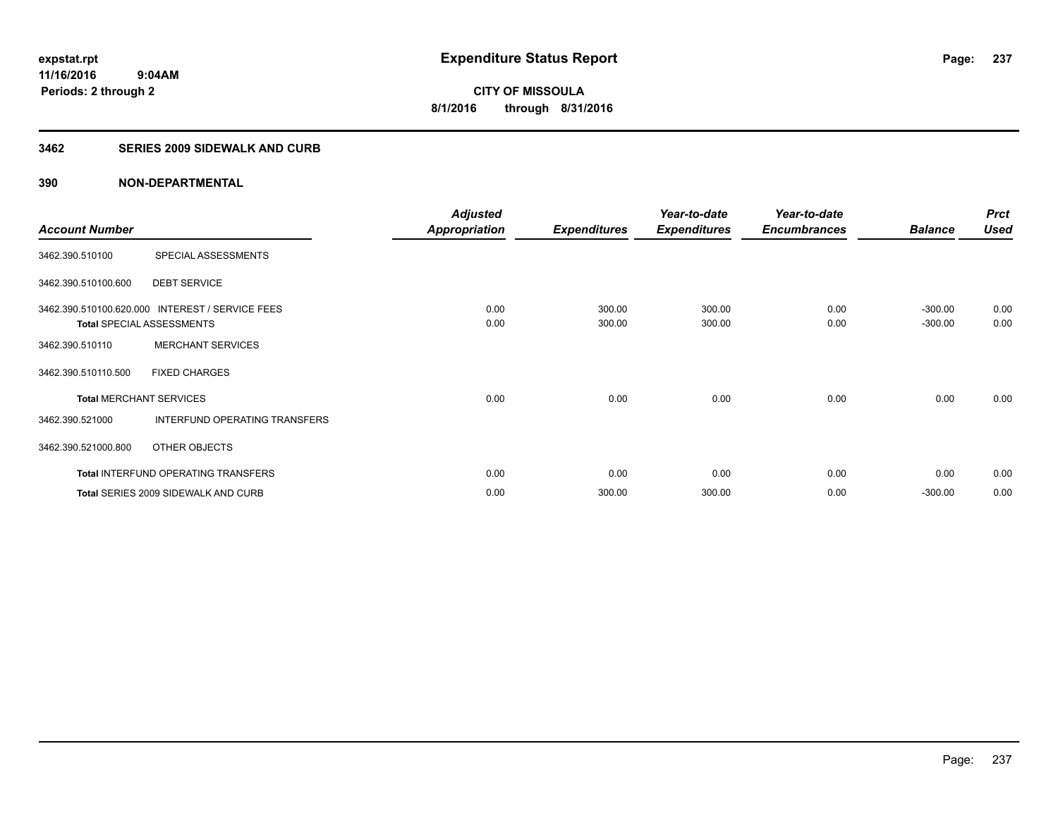#### **3462 SERIES 2009 SIDEWALK AND CURB**

| <b>Account Number</b> |                                                                                     | <b>Adjusted</b><br><b>Appropriation</b> | <b>Expenditures</b> | Year-to-date<br><b>Expenditures</b> | Year-to-date<br><b>Encumbrances</b> | <b>Balance</b>         | <b>Prct</b><br><b>Used</b> |
|-----------------------|-------------------------------------------------------------------------------------|-----------------------------------------|---------------------|-------------------------------------|-------------------------------------|------------------------|----------------------------|
| 3462.390.510100       | SPECIAL ASSESSMENTS                                                                 |                                         |                     |                                     |                                     |                        |                            |
| 3462.390.510100.600   | <b>DEBT SERVICE</b>                                                                 |                                         |                     |                                     |                                     |                        |                            |
|                       | 3462.390.510100.620.000 INTEREST / SERVICE FEES<br><b>Total SPECIAL ASSESSMENTS</b> | 0.00<br>0.00                            | 300.00<br>300.00    | 300.00<br>300.00                    | 0.00<br>0.00                        | $-300.00$<br>$-300.00$ | 0.00<br>0.00               |
| 3462.390.510110       | <b>MERCHANT SERVICES</b>                                                            |                                         |                     |                                     |                                     |                        |                            |
| 3462.390.510110.500   | <b>FIXED CHARGES</b>                                                                |                                         |                     |                                     |                                     |                        |                            |
|                       | <b>Total MERCHANT SERVICES</b>                                                      | 0.00                                    | 0.00                | 0.00                                | 0.00                                | 0.00                   | 0.00                       |
| 3462.390.521000       | INTERFUND OPERATING TRANSFERS                                                       |                                         |                     |                                     |                                     |                        |                            |
| 3462.390.521000.800   | OTHER OBJECTS                                                                       |                                         |                     |                                     |                                     |                        |                            |
|                       | <b>Total INTERFUND OPERATING TRANSFERS</b>                                          | 0.00                                    | 0.00                | 0.00                                | 0.00                                | 0.00                   | 0.00                       |
|                       | Total SERIES 2009 SIDEWALK AND CURB                                                 | 0.00                                    | 300.00              | 300.00                              | 0.00                                | $-300.00$              | 0.00                       |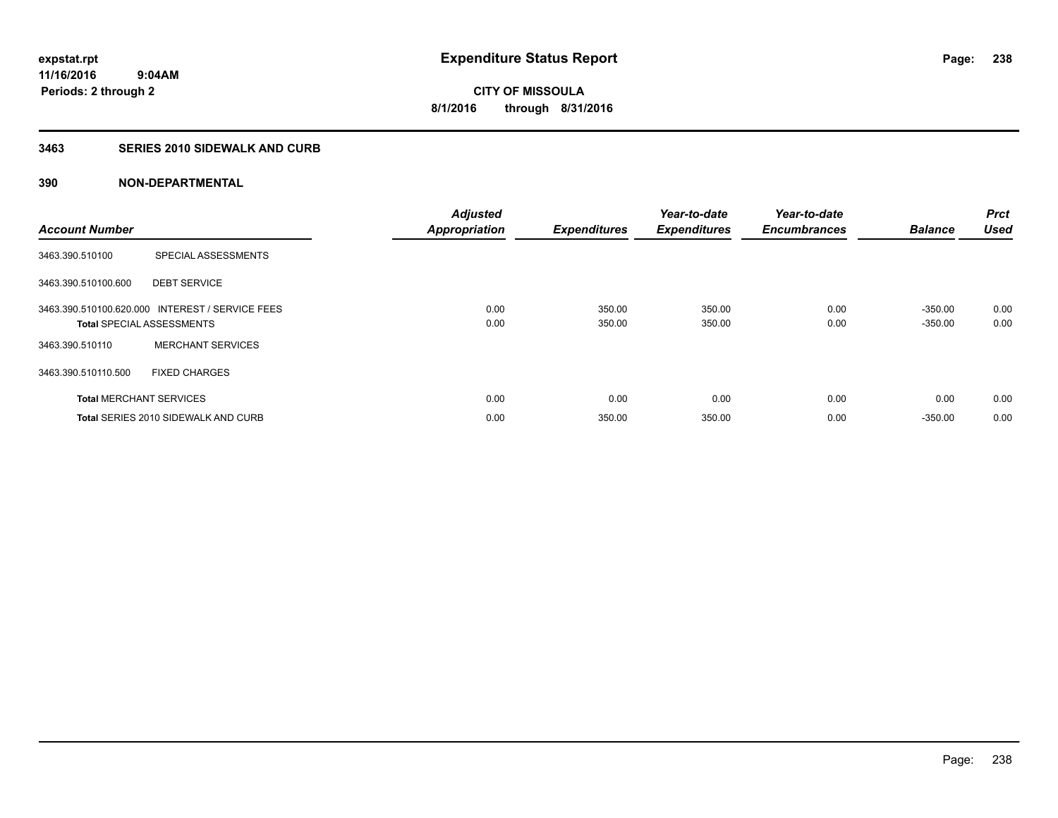#### **3463 SERIES 2010 SIDEWALK AND CURB**

| <b>Account Number</b> |                                                                                     | <b>Adjusted</b><br><b>Appropriation</b> | <b>Expenditures</b> | Year-to-date<br><b>Expenditures</b> | Year-to-date<br><b>Encumbrances</b> | <b>Balance</b>         | <b>Prct</b><br><b>Used</b> |
|-----------------------|-------------------------------------------------------------------------------------|-----------------------------------------|---------------------|-------------------------------------|-------------------------------------|------------------------|----------------------------|
| 3463.390.510100       | SPECIAL ASSESSMENTS                                                                 |                                         |                     |                                     |                                     |                        |                            |
| 3463.390.510100.600   | <b>DEBT SERVICE</b>                                                                 |                                         |                     |                                     |                                     |                        |                            |
|                       | 3463.390.510100.620.000 INTEREST / SERVICE FEES<br><b>Total SPECIAL ASSESSMENTS</b> | 0.00<br>0.00                            | 350.00<br>350.00    | 350.00<br>350.00                    | 0.00<br>0.00                        | $-350.00$<br>$-350.00$ | 0.00<br>0.00               |
| 3463.390.510110       | <b>MERCHANT SERVICES</b>                                                            |                                         |                     |                                     |                                     |                        |                            |
| 3463.390.510110.500   | <b>FIXED CHARGES</b>                                                                |                                         |                     |                                     |                                     |                        |                            |
|                       | <b>Total MERCHANT SERVICES</b>                                                      | 0.00                                    | 0.00                | 0.00                                | 0.00                                | 0.00                   | 0.00                       |
|                       | Total SERIES 2010 SIDEWALK AND CURB                                                 | 0.00                                    | 350.00              | 350.00                              | 0.00                                | $-350.00$              | 0.00                       |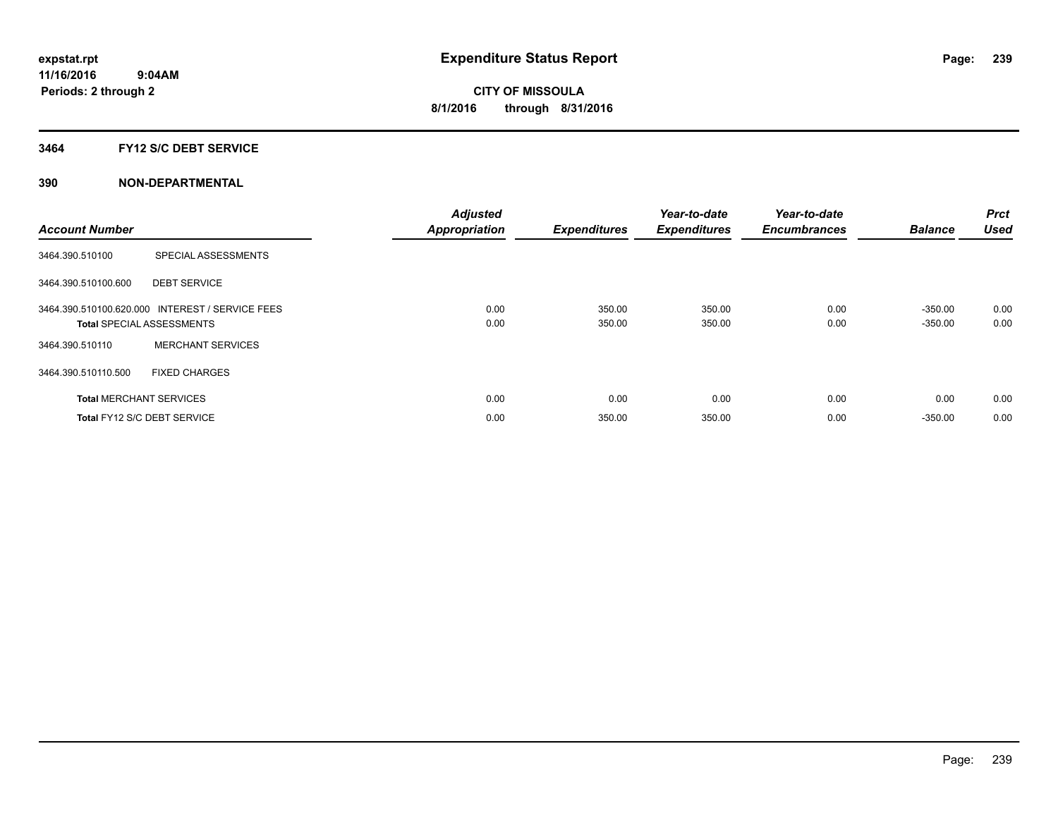#### **3464 FY12 S/C DEBT SERVICE**

| <b>Account Number</b> |                                                                                     | <b>Adjusted</b><br><b>Appropriation</b> | <b>Expenditures</b> | Year-to-date<br><b>Expenditures</b> | Year-to-date<br><b>Encumbrances</b> | <b>Balance</b>         | <b>Prct</b><br><b>Used</b> |
|-----------------------|-------------------------------------------------------------------------------------|-----------------------------------------|---------------------|-------------------------------------|-------------------------------------|------------------------|----------------------------|
| 3464.390.510100       | SPECIAL ASSESSMENTS                                                                 |                                         |                     |                                     |                                     |                        |                            |
| 3464.390.510100.600   | <b>DEBT SERVICE</b>                                                                 |                                         |                     |                                     |                                     |                        |                            |
|                       | 3464.390.510100.620.000 INTEREST / SERVICE FEES<br><b>Total SPECIAL ASSESSMENTS</b> | 0.00<br>0.00                            | 350.00<br>350.00    | 350.00<br>350.00                    | 0.00<br>0.00                        | $-350.00$<br>$-350.00$ | 0.00<br>0.00               |
| 3464.390.510110       | <b>MERCHANT SERVICES</b>                                                            |                                         |                     |                                     |                                     |                        |                            |
| 3464.390.510110.500   | <b>FIXED CHARGES</b>                                                                |                                         |                     |                                     |                                     |                        |                            |
|                       | <b>Total MERCHANT SERVICES</b>                                                      | 0.00                                    | 0.00                | 0.00                                | 0.00                                | 0.00                   | 0.00                       |
|                       | Total FY12 S/C DEBT SERVICE                                                         | 0.00                                    | 350.00              | 350.00                              | 0.00                                | $-350.00$              | 0.00                       |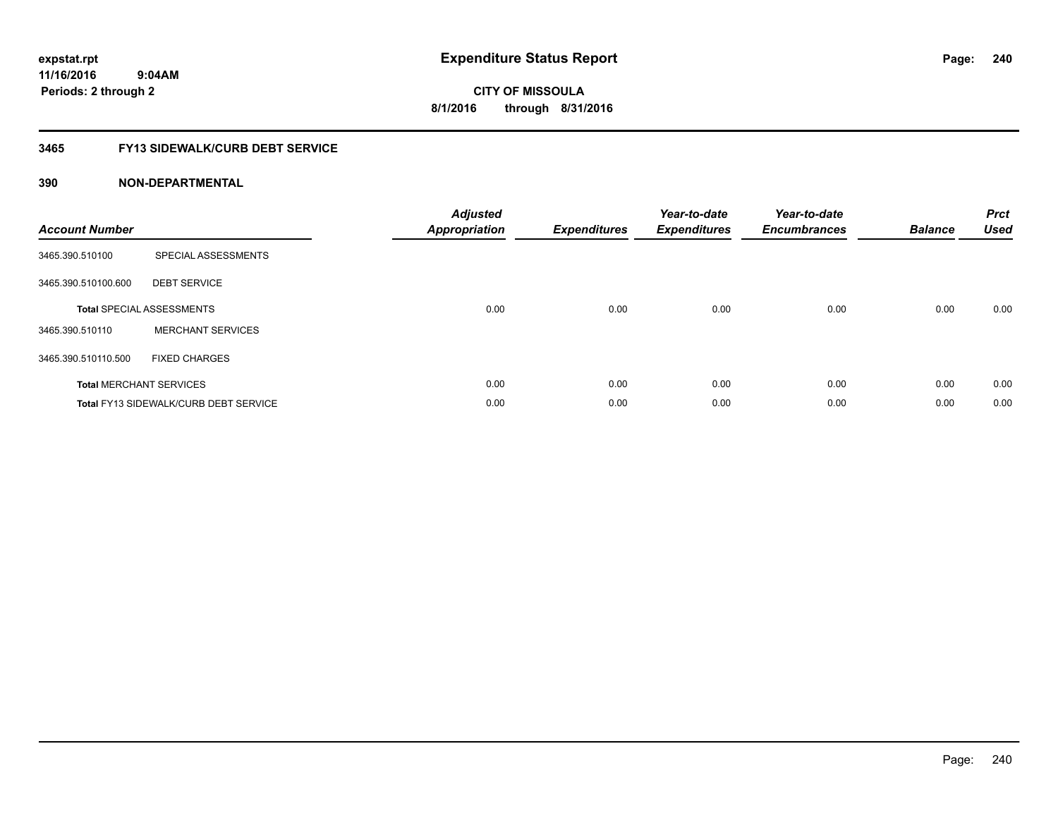**CITY OF MISSOULA 8/1/2016 through 8/31/2016**

## **3465 FY13 SIDEWALK/CURB DEBT SERVICE**

| <b>Account Number</b> |                                       | <b>Adjusted</b><br><b>Appropriation</b> | <b>Expenditures</b> | Year-to-date<br><b>Expenditures</b> | Year-to-date<br><b>Encumbrances</b> | <b>Balance</b> | <b>Prct</b><br><b>Used</b> |
|-----------------------|---------------------------------------|-----------------------------------------|---------------------|-------------------------------------|-------------------------------------|----------------|----------------------------|
| 3465.390.510100       | SPECIAL ASSESSMENTS                   |                                         |                     |                                     |                                     |                |                            |
| 3465.390.510100.600   | <b>DEBT SERVICE</b>                   |                                         |                     |                                     |                                     |                |                            |
|                       | <b>Total SPECIAL ASSESSMENTS</b>      | 0.00                                    | 0.00                | 0.00                                | 0.00                                | 0.00           | 0.00                       |
| 3465.390.510110       | <b>MERCHANT SERVICES</b>              |                                         |                     |                                     |                                     |                |                            |
| 3465.390.510110.500   | <b>FIXED CHARGES</b>                  |                                         |                     |                                     |                                     |                |                            |
|                       | <b>Total MERCHANT SERVICES</b>        | 0.00                                    | 0.00                | 0.00                                | 0.00                                | 0.00           | 0.00                       |
|                       | Total FY13 SIDEWALK/CURB DEBT SERVICE | 0.00                                    | 0.00                | 0.00                                | 0.00                                | 0.00           | 0.00                       |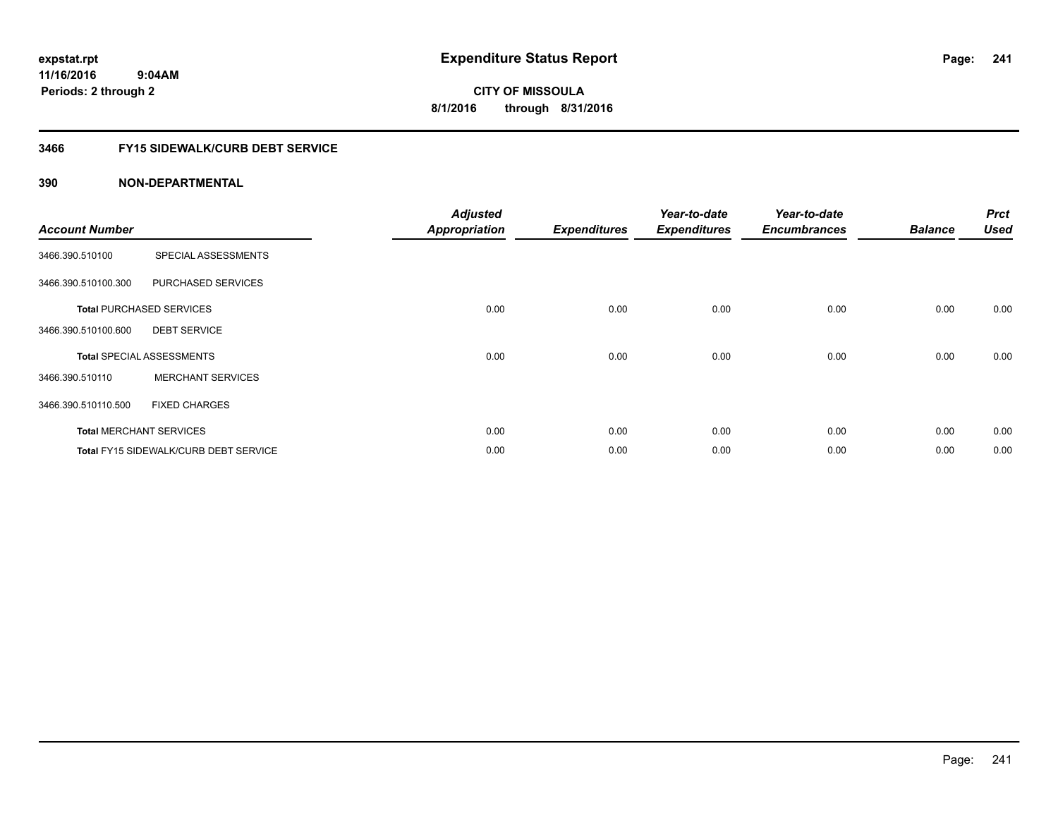**CITY OF MISSOULA 8/1/2016 through 8/31/2016**

## **3466 FY15 SIDEWALK/CURB DEBT SERVICE**

| <b>Account Number</b> |                                              | <b>Adjusted</b><br><b>Appropriation</b> | <b>Expenditures</b> | Year-to-date<br><b>Expenditures</b> | Year-to-date<br><b>Encumbrances</b> | <b>Balance</b> | <b>Prct</b><br><b>Used</b> |
|-----------------------|----------------------------------------------|-----------------------------------------|---------------------|-------------------------------------|-------------------------------------|----------------|----------------------------|
| 3466.390.510100       | SPECIAL ASSESSMENTS                          |                                         |                     |                                     |                                     |                |                            |
|                       |                                              |                                         |                     |                                     |                                     |                |                            |
| 3466.390.510100.300   | PURCHASED SERVICES                           |                                         |                     |                                     |                                     |                |                            |
|                       | <b>Total PURCHASED SERVICES</b>              | 0.00                                    | 0.00                | 0.00                                | 0.00                                | 0.00           | 0.00                       |
| 3466.390.510100.600   | <b>DEBT SERVICE</b>                          |                                         |                     |                                     |                                     |                |                            |
|                       | <b>Total SPECIAL ASSESSMENTS</b>             | 0.00                                    | 0.00                | 0.00                                | 0.00                                | 0.00           | 0.00                       |
| 3466.390.510110       | <b>MERCHANT SERVICES</b>                     |                                         |                     |                                     |                                     |                |                            |
| 3466.390.510110.500   | <b>FIXED CHARGES</b>                         |                                         |                     |                                     |                                     |                |                            |
|                       | <b>Total MERCHANT SERVICES</b>               | 0.00                                    | 0.00                | 0.00                                | 0.00                                | 0.00           | 0.00                       |
|                       | <b>Total FY15 SIDEWALK/CURB DEBT SERVICE</b> | 0.00                                    | 0.00                | 0.00                                | 0.00                                | 0.00           | 0.00                       |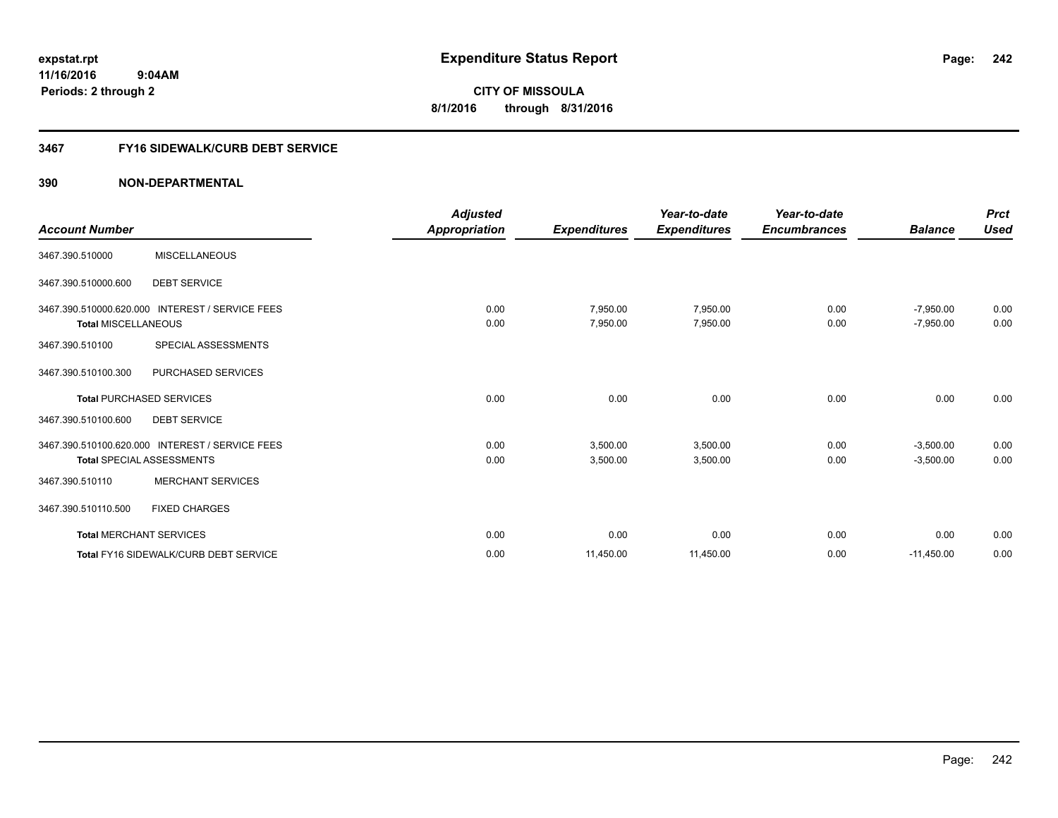#### **3467 FY16 SIDEWALK/CURB DEBT SERVICE**

|                                |                                                 | <b>Adjusted</b> |                     | Year-to-date        | Year-to-date        |                | <b>Prct</b> |
|--------------------------------|-------------------------------------------------|-----------------|---------------------|---------------------|---------------------|----------------|-------------|
| <b>Account Number</b>          |                                                 | Appropriation   | <b>Expenditures</b> | <b>Expenditures</b> | <b>Encumbrances</b> | <b>Balance</b> | <b>Used</b> |
| 3467.390.510000                | <b>MISCELLANEOUS</b>                            |                 |                     |                     |                     |                |             |
| 3467.390.510000.600            | <b>DEBT SERVICE</b>                             |                 |                     |                     |                     |                |             |
|                                | 3467.390.510000.620.000 INTEREST / SERVICE FEES | 0.00            | 7,950.00            | 7,950.00            | 0.00                | $-7,950.00$    | 0.00        |
| <b>Total MISCELLANEOUS</b>     |                                                 | 0.00            | 7,950.00            | 7,950.00            | 0.00                | $-7,950.00$    | 0.00        |
| 3467.390.510100                | SPECIAL ASSESSMENTS                             |                 |                     |                     |                     |                |             |
| 3467.390.510100.300            | PURCHASED SERVICES                              |                 |                     |                     |                     |                |             |
|                                | <b>Total PURCHASED SERVICES</b>                 | 0.00            | 0.00                | 0.00                | 0.00                | 0.00           | 0.00        |
| 3467.390.510100.600            | <b>DEBT SERVICE</b>                             |                 |                     |                     |                     |                |             |
|                                | 3467.390.510100.620.000 INTEREST / SERVICE FEES | 0.00            | 3,500.00            | 3,500.00            | 0.00                | $-3,500.00$    | 0.00        |
|                                | <b>Total SPECIAL ASSESSMENTS</b>                | 0.00            | 3,500.00            | 3,500.00            | 0.00                | $-3,500.00$    | 0.00        |
| 3467.390.510110                | <b>MERCHANT SERVICES</b>                        |                 |                     |                     |                     |                |             |
| 3467.390.510110.500            | <b>FIXED CHARGES</b>                            |                 |                     |                     |                     |                |             |
| <b>Total MERCHANT SERVICES</b> |                                                 | 0.00            | 0.00                | 0.00                | 0.00                | 0.00           | 0.00        |
|                                | <b>Total FY16 SIDEWALK/CURB DEBT SERVICE</b>    | 0.00            | 11,450.00           | 11,450.00           | 0.00                | $-11,450.00$   | 0.00        |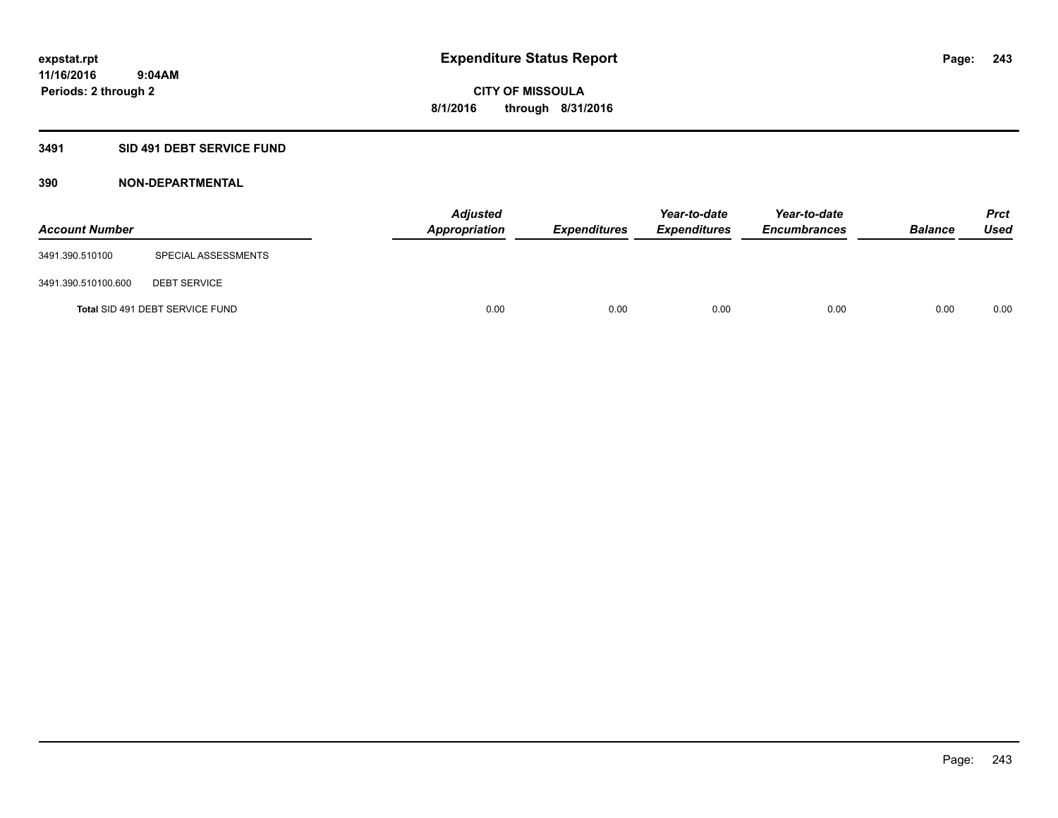## **3491 SID 491 DEBT SERVICE FUND**

| <b>Account Number</b> |                                 | <b>Adjusted</b><br>Appropriation | <b>Expenditures</b> | Year-to-date<br><b>Expenditures</b> | Year-to-date<br><b>Encumbrances</b> | <b>Balance</b> | <b>Prct</b><br><b>Used</b> |
|-----------------------|---------------------------------|----------------------------------|---------------------|-------------------------------------|-------------------------------------|----------------|----------------------------|
| 3491.390.510100       | SPECIAL ASSESSMENTS             |                                  |                     |                                     |                                     |                |                            |
| 3491.390.510100.600   | <b>DEBT SERVICE</b>             |                                  |                     |                                     |                                     |                |                            |
|                       | Total SID 491 DEBT SERVICE FUND | 0.00                             | 0.00                | 0.00                                | 0.00                                | 0.00           | 0.00                       |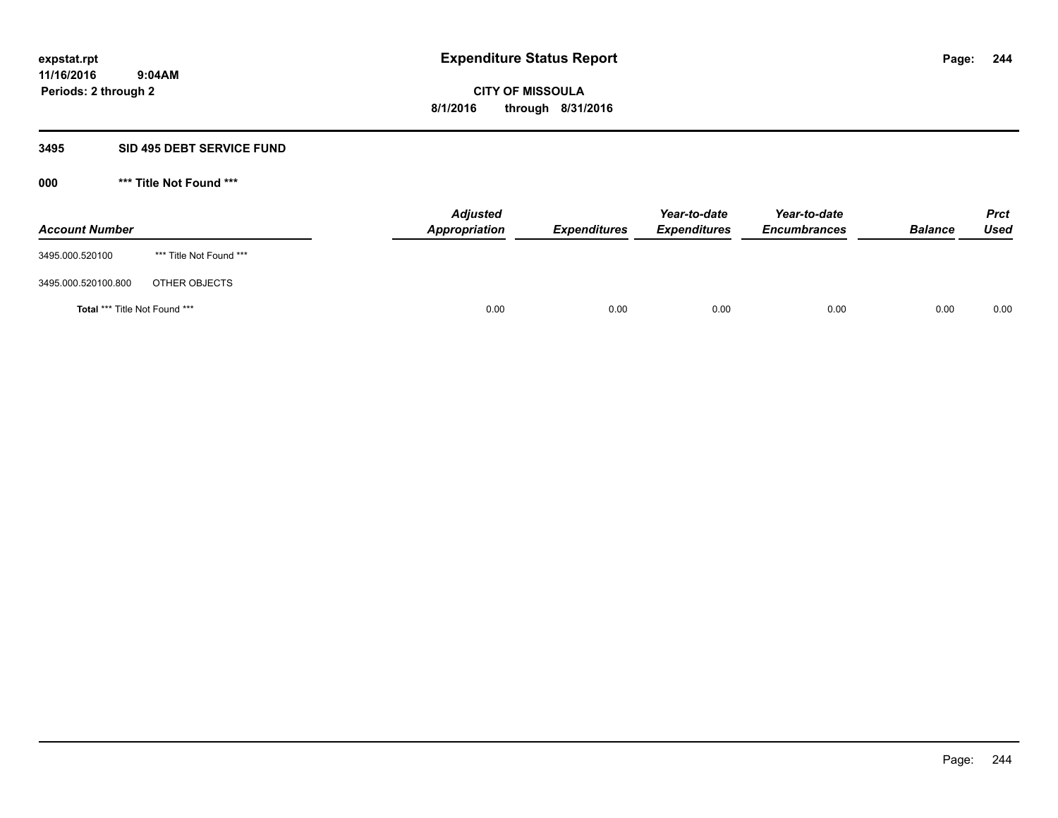#### **3495 SID 495 DEBT SERVICE FUND**

**000 \*\*\* Title Not Found \*\*\***

| <b>Account Number</b>                |                         | <b>Adjusted</b><br>Appropriation | <b>Expenditures</b> | Year-to-date<br><b>Expenditures</b> | Year-to-date<br><b>Encumbrances</b> | <b>Balance</b> | <b>Prct</b><br>Used |
|--------------------------------------|-------------------------|----------------------------------|---------------------|-------------------------------------|-------------------------------------|----------------|---------------------|
| 3495.000.520100                      | *** Title Not Found *** |                                  |                     |                                     |                                     |                |                     |
| 3495.000.520100.800                  | OTHER OBJECTS           |                                  |                     |                                     |                                     |                |                     |
| <b>Total *** Title Not Found ***</b> |                         | 0.00                             | 0.00                | 0.00                                | 0.00                                | 0.00           | 0.00                |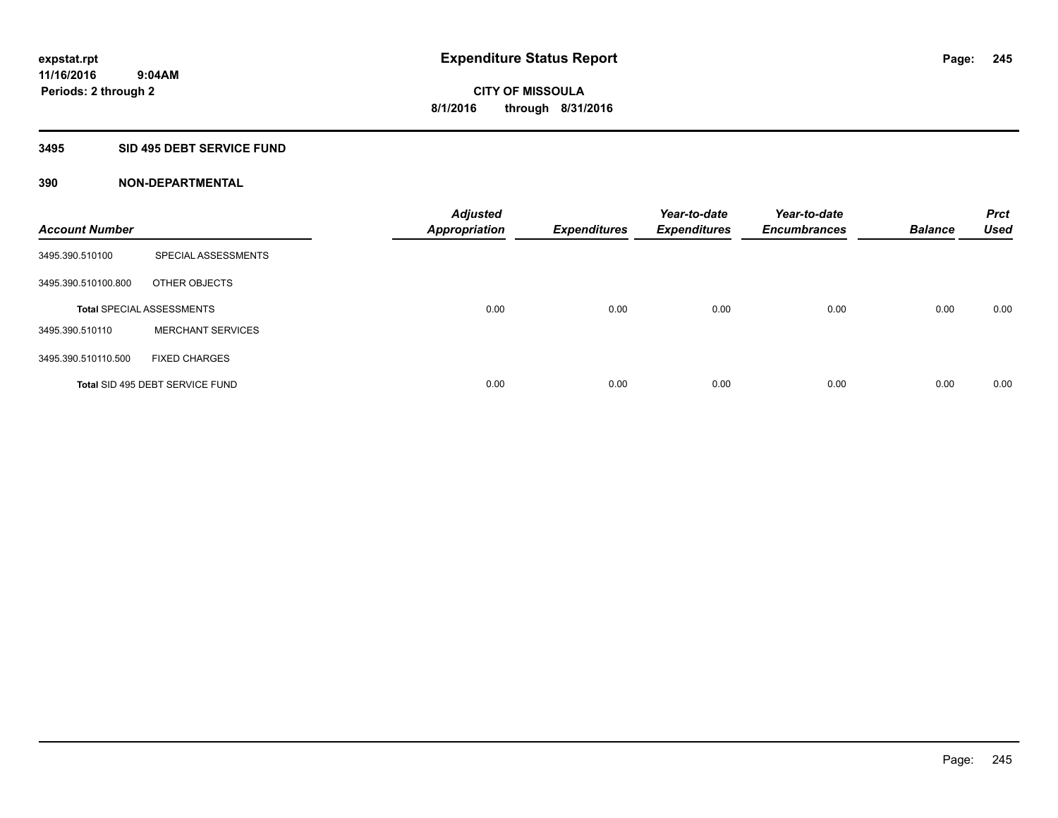#### **3495 SID 495 DEBT SERVICE FUND**

| <b>Account Number</b> |                                  | <b>Adjusted</b><br><b>Appropriation</b> | <b>Expenditures</b> | Year-to-date<br><b>Expenditures</b> | Year-to-date<br><b>Encumbrances</b> | <b>Balance</b> | <b>Prct</b><br><b>Used</b> |
|-----------------------|----------------------------------|-----------------------------------------|---------------------|-------------------------------------|-------------------------------------|----------------|----------------------------|
| 3495.390.510100       | SPECIAL ASSESSMENTS              |                                         |                     |                                     |                                     |                |                            |
| 3495.390.510100.800   | OTHER OBJECTS                    |                                         |                     |                                     |                                     |                |                            |
|                       | <b>Total SPECIAL ASSESSMENTS</b> | 0.00                                    | 0.00                | 0.00                                | 0.00                                | 0.00           | 0.00                       |
| 3495.390.510110       | <b>MERCHANT SERVICES</b>         |                                         |                     |                                     |                                     |                |                            |
| 3495.390.510110.500   | <b>FIXED CHARGES</b>             |                                         |                     |                                     |                                     |                |                            |
|                       | Total SID 495 DEBT SERVICE FUND  | 0.00                                    | 0.00                | 0.00                                | 0.00                                | 0.00           | 0.00                       |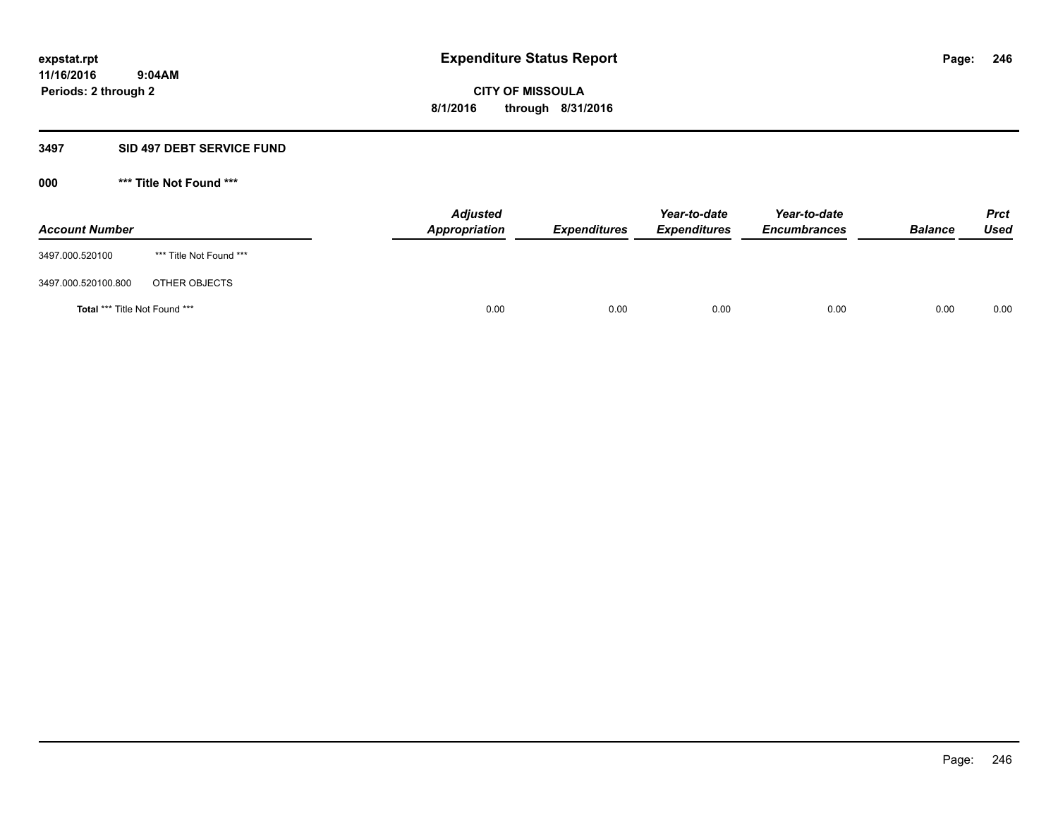#### **3497 SID 497 DEBT SERVICE FUND**

**000 \*\*\* Title Not Found \*\*\***

| <b>Account Number</b>                |                         | <b>Adjusted</b><br>Appropriation | <b>Expenditures</b> | Year-to-date<br><b>Expenditures</b> | Year-to-date<br><b>Encumbrances</b> | <b>Balance</b> | <b>Prct</b><br>Used |
|--------------------------------------|-------------------------|----------------------------------|---------------------|-------------------------------------|-------------------------------------|----------------|---------------------|
| 3497.000.520100                      | *** Title Not Found *** |                                  |                     |                                     |                                     |                |                     |
| 3497.000.520100.800                  | OTHER OBJECTS           |                                  |                     |                                     |                                     |                |                     |
| <b>Total *** Title Not Found ***</b> |                         | 0.00                             | 0.00                | 0.00                                | 0.00                                | 0.00           | 0.00                |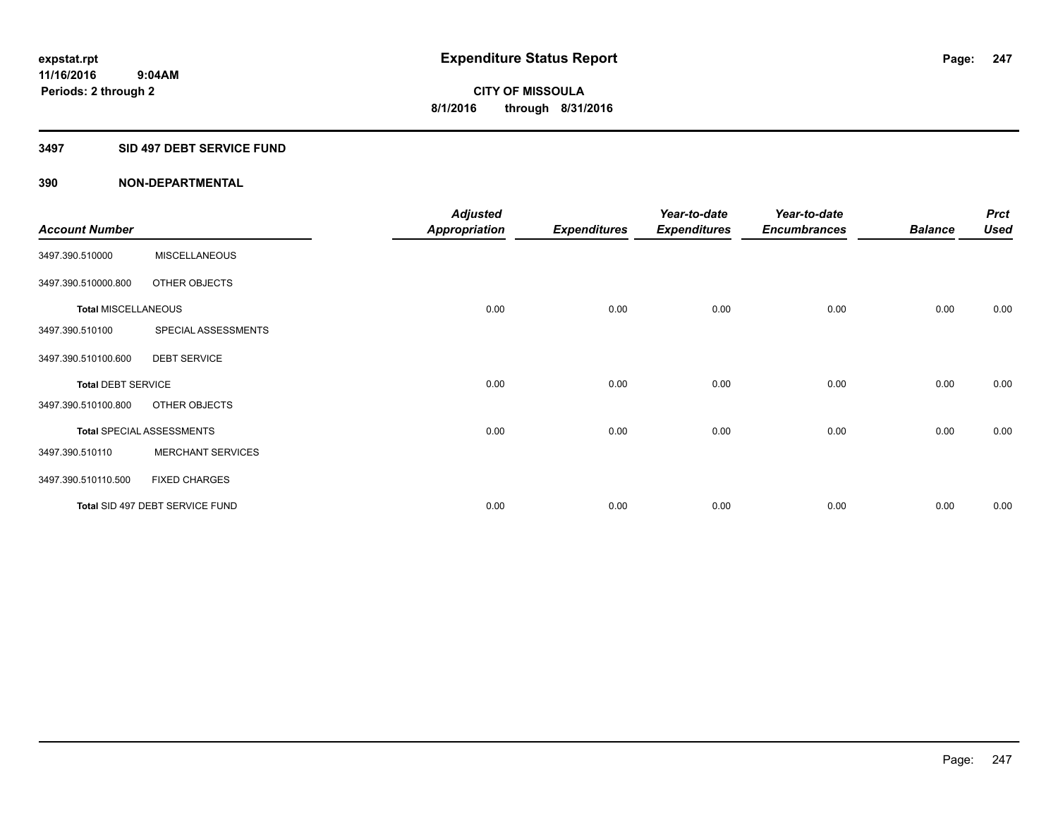#### **3497 SID 497 DEBT SERVICE FUND**

|                            |                                  | <b>Adjusted</b>      |                     | Year-to-date        | Year-to-date        |                | <b>Prct</b> |
|----------------------------|----------------------------------|----------------------|---------------------|---------------------|---------------------|----------------|-------------|
| <b>Account Number</b>      |                                  | <b>Appropriation</b> | <b>Expenditures</b> | <b>Expenditures</b> | <b>Encumbrances</b> | <b>Balance</b> | <b>Used</b> |
| 3497.390.510000            | <b>MISCELLANEOUS</b>             |                      |                     |                     |                     |                |             |
| 3497.390.510000.800        | OTHER OBJECTS                    |                      |                     |                     |                     |                |             |
| <b>Total MISCELLANEOUS</b> |                                  | 0.00                 | 0.00                | 0.00                | 0.00                | 0.00           | 0.00        |
| 3497.390.510100            | SPECIAL ASSESSMENTS              |                      |                     |                     |                     |                |             |
| 3497.390.510100.600        | <b>DEBT SERVICE</b>              |                      |                     |                     |                     |                |             |
| <b>Total DEBT SERVICE</b>  |                                  | 0.00                 | 0.00                | 0.00                | 0.00                | 0.00           | 0.00        |
| 3497.390.510100.800        | OTHER OBJECTS                    |                      |                     |                     |                     |                |             |
|                            | <b>Total SPECIAL ASSESSMENTS</b> | 0.00                 | 0.00                | 0.00                | 0.00                | 0.00           | 0.00        |
| 3497.390.510110            | <b>MERCHANT SERVICES</b>         |                      |                     |                     |                     |                |             |
| 3497.390.510110.500        | <b>FIXED CHARGES</b>             |                      |                     |                     |                     |                |             |
|                            | Total SID 497 DEBT SERVICE FUND  | 0.00                 | 0.00                | 0.00                | 0.00                | 0.00           | 0.00        |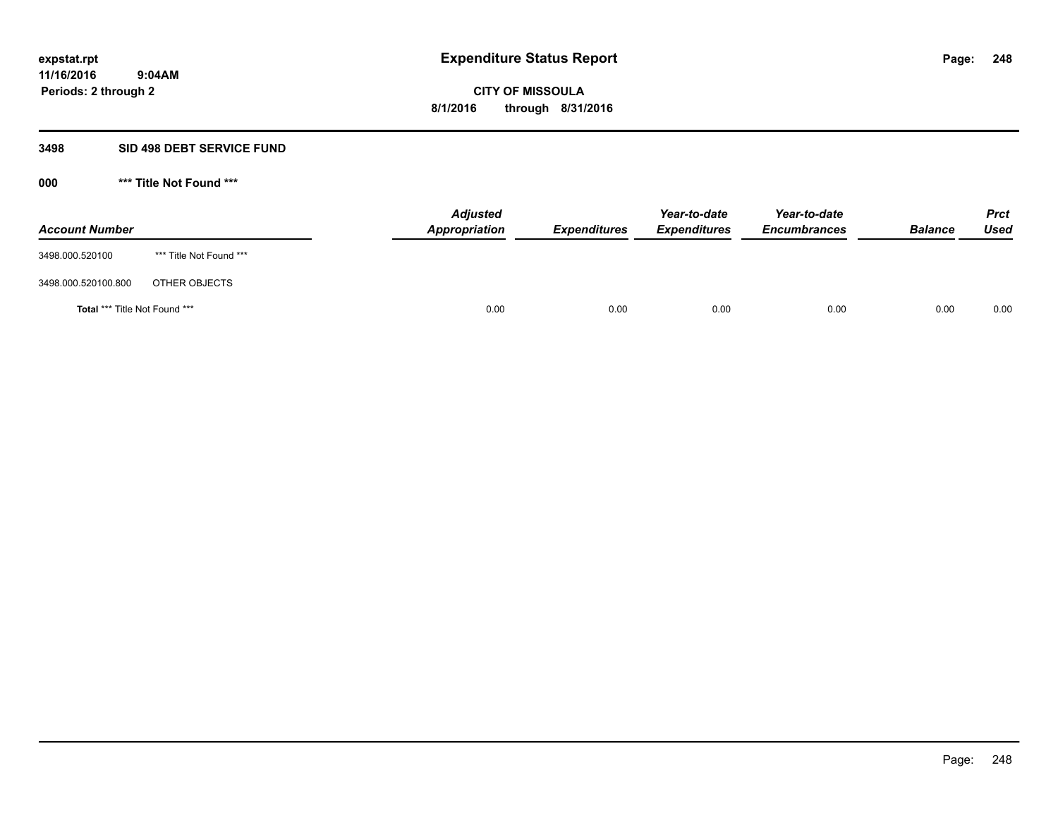#### **3498 SID 498 DEBT SERVICE FUND**

**000 \*\*\* Title Not Found \*\*\***

| <b>Account Number</b>         |                         | <b>Adjusted</b><br>Appropriation | <b>Expenditures</b> | Year-to-date<br><b>Expenditures</b> | Year-to-date<br><b>Encumbrances</b> | <b>Balance</b> | <b>Prct</b><br>Used |
|-------------------------------|-------------------------|----------------------------------|---------------------|-------------------------------------|-------------------------------------|----------------|---------------------|
| 3498.000.520100               | *** Title Not Found *** |                                  |                     |                                     |                                     |                |                     |
| 3498.000.520100.800           | OTHER OBJECTS           |                                  |                     |                                     |                                     |                |                     |
| Total *** Title Not Found *** |                         | 0.00                             | 0.00                | 0.00                                | 0.00                                | 0.00           | 0.00                |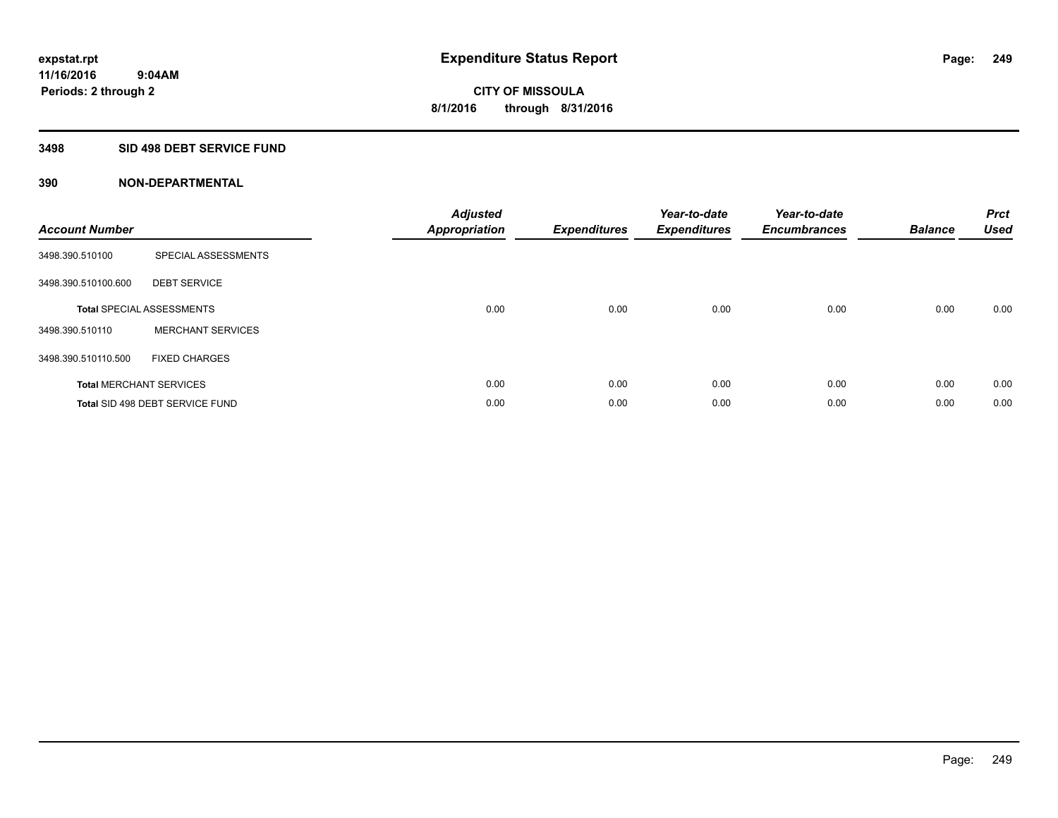#### **3498 SID 498 DEBT SERVICE FUND**

| <b>Account Number</b> |                                  | <b>Adjusted</b><br><b>Appropriation</b> | <b>Expenditures</b> | Year-to-date<br><b>Expenditures</b> | Year-to-date<br><b>Encumbrances</b> | <b>Balance</b> | <b>Prct</b><br><b>Used</b> |
|-----------------------|----------------------------------|-----------------------------------------|---------------------|-------------------------------------|-------------------------------------|----------------|----------------------------|
| 3498.390.510100       | SPECIAL ASSESSMENTS              |                                         |                     |                                     |                                     |                |                            |
| 3498.390.510100.600   | <b>DEBT SERVICE</b>              |                                         |                     |                                     |                                     |                |                            |
|                       | <b>Total SPECIAL ASSESSMENTS</b> | 0.00                                    | 0.00                | 0.00                                | 0.00                                | 0.00           | 0.00                       |
| 3498.390.510110       | <b>MERCHANT SERVICES</b>         |                                         |                     |                                     |                                     |                |                            |
| 3498.390.510110.500   | <b>FIXED CHARGES</b>             |                                         |                     |                                     |                                     |                |                            |
|                       | <b>Total MERCHANT SERVICES</b>   | 0.00                                    | 0.00                | 0.00                                | 0.00                                | 0.00           | 0.00                       |
|                       | Total SID 498 DEBT SERVICE FUND  | 0.00                                    | 0.00                | 0.00                                | 0.00                                | 0.00           | 0.00                       |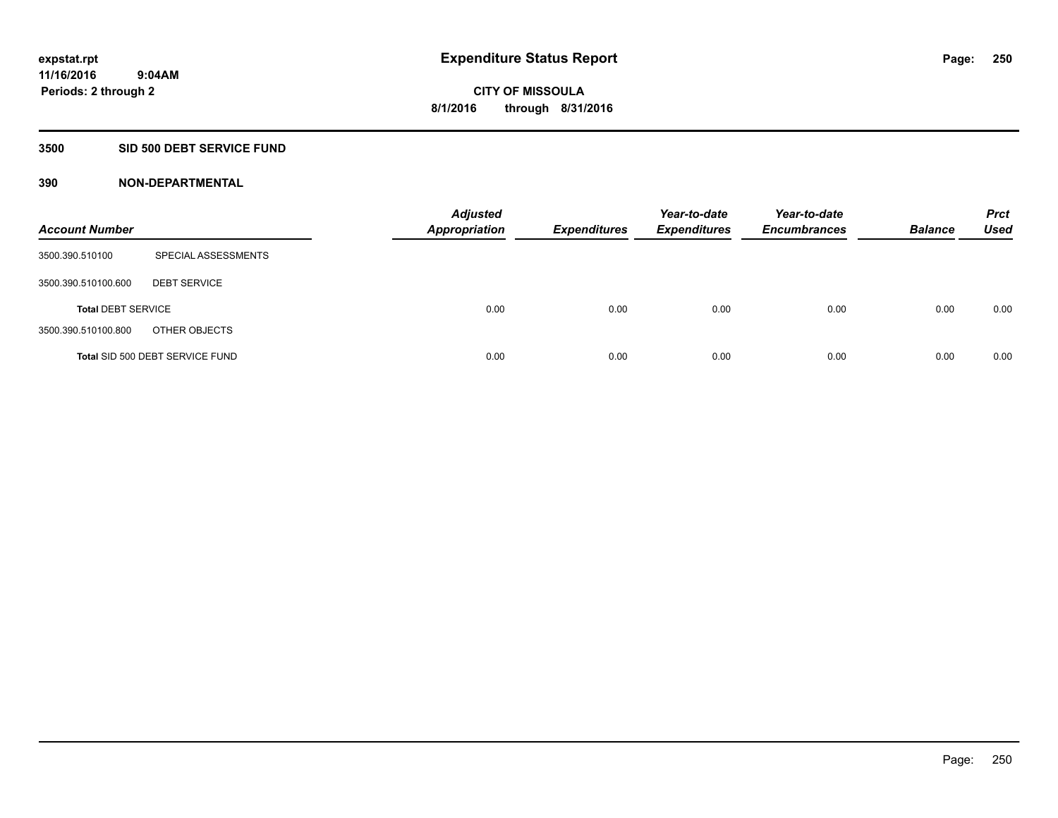## **3500 SID 500 DEBT SERVICE FUND**

| <b>Account Number</b>     |                                 | <b>Adjusted</b><br><b>Appropriation</b> | <b>Expenditures</b> | Year-to-date<br><b>Expenditures</b> | Year-to-date<br><b>Encumbrances</b> | <b>Balance</b> | <b>Prct</b><br>Used |
|---------------------------|---------------------------------|-----------------------------------------|---------------------|-------------------------------------|-------------------------------------|----------------|---------------------|
| 3500.390.510100           | SPECIAL ASSESSMENTS             |                                         |                     |                                     |                                     |                |                     |
| 3500.390.510100.600       | <b>DEBT SERVICE</b>             |                                         |                     |                                     |                                     |                |                     |
| <b>Total DEBT SERVICE</b> |                                 | 0.00                                    | 0.00                | 0.00                                | 0.00                                | 0.00           | 0.00                |
| 3500.390.510100.800       | OTHER OBJECTS                   |                                         |                     |                                     |                                     |                |                     |
|                           | Total SID 500 DEBT SERVICE FUND | 0.00                                    | 0.00                | 0.00                                | 0.00                                | 0.00           | 0.00                |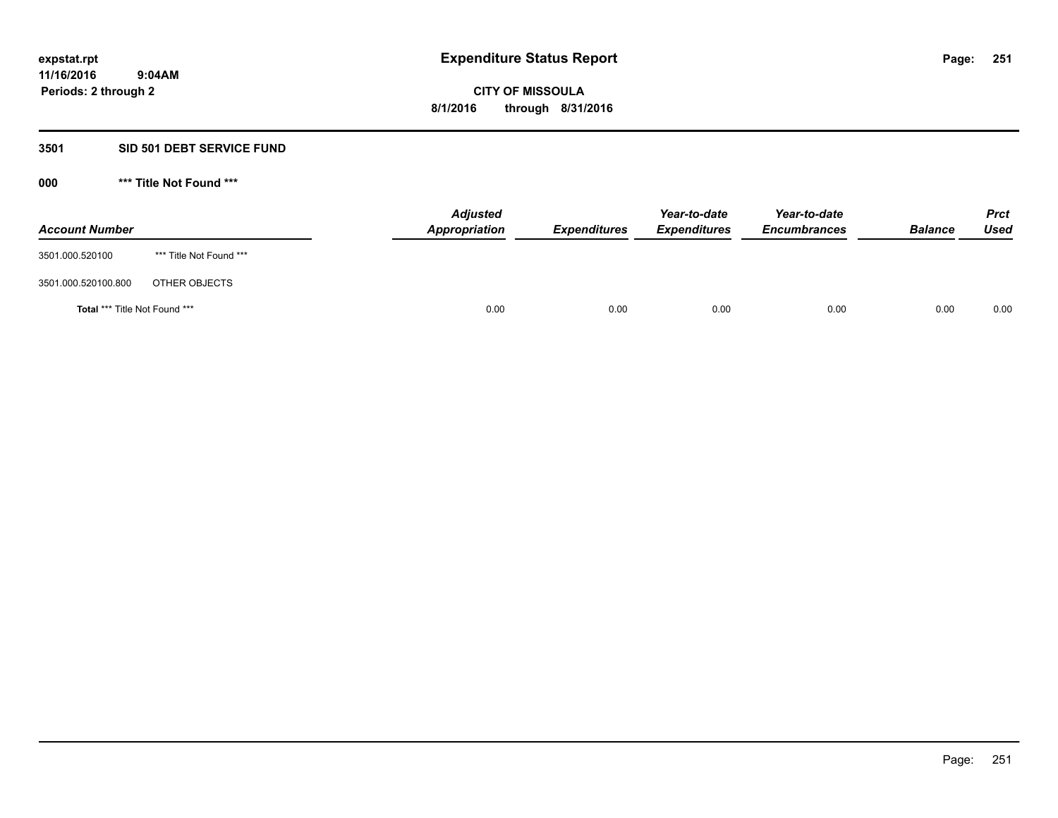#### **3501 SID 501 DEBT SERVICE FUND**

**000 \*\*\* Title Not Found \*\*\***

| <b>Account Number</b>                |                         | <b>Adjusted</b><br>Appropriation | <b>Expenditures</b> | Year-to-date<br><b>Expenditures</b> | Year-to-date<br><b>Encumbrances</b> | <b>Balance</b> | <b>Prct</b><br><b>Used</b> |
|--------------------------------------|-------------------------|----------------------------------|---------------------|-------------------------------------|-------------------------------------|----------------|----------------------------|
| 3501.000.520100                      | *** Title Not Found *** |                                  |                     |                                     |                                     |                |                            |
| 3501.000.520100.800                  | OTHER OBJECTS           |                                  |                     |                                     |                                     |                |                            |
| <b>Total *** Title Not Found ***</b> |                         | 0.00                             | 0.00                | 0.00                                | 0.00                                | 0.00           | 0.00                       |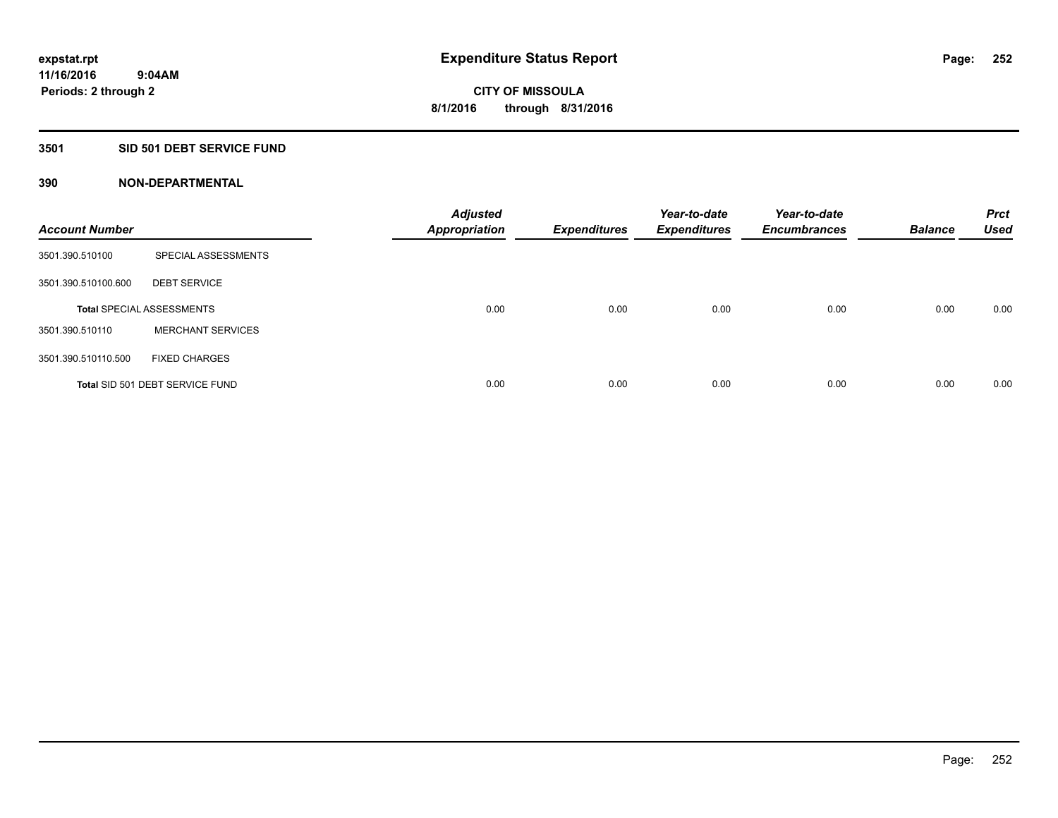#### **3501 SID 501 DEBT SERVICE FUND**

| <b>Account Number</b> |                                  | <b>Adjusted</b><br><b>Appropriation</b> | <b>Expenditures</b> | Year-to-date<br><b>Expenditures</b> | Year-to-date<br><b>Encumbrances</b> | <b>Balance</b> | <b>Prct</b><br><b>Used</b> |
|-----------------------|----------------------------------|-----------------------------------------|---------------------|-------------------------------------|-------------------------------------|----------------|----------------------------|
| 3501.390.510100       | SPECIAL ASSESSMENTS              |                                         |                     |                                     |                                     |                |                            |
| 3501.390.510100.600   | <b>DEBT SERVICE</b>              |                                         |                     |                                     |                                     |                |                            |
|                       | <b>Total SPECIAL ASSESSMENTS</b> | 0.00                                    | 0.00                | 0.00                                | 0.00                                | 0.00           | 0.00                       |
| 3501.390.510110       | <b>MERCHANT SERVICES</b>         |                                         |                     |                                     |                                     |                |                            |
| 3501.390.510110.500   | <b>FIXED CHARGES</b>             |                                         |                     |                                     |                                     |                |                            |
|                       | Total SID 501 DEBT SERVICE FUND  | 0.00                                    | 0.00                | 0.00                                | 0.00                                | 0.00           | 0.00                       |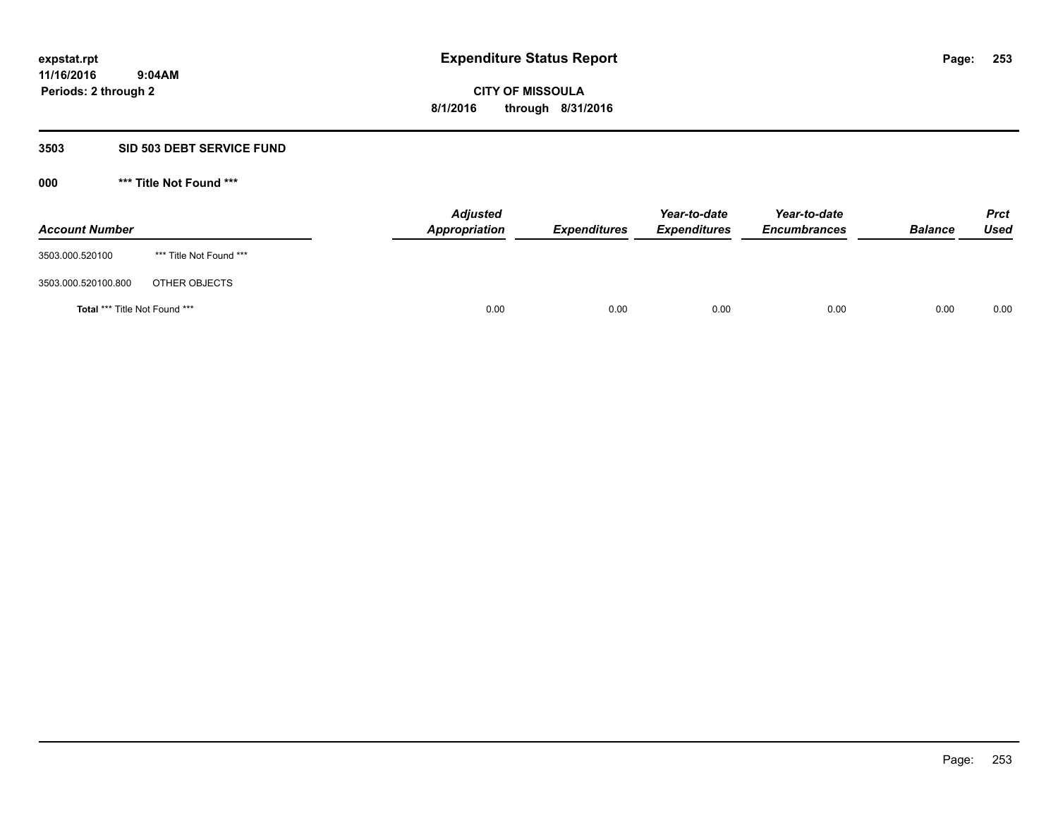#### **3503 SID 503 DEBT SERVICE FUND**

| <b>Account Number</b>                |                         | <b>Adjusted</b><br>Appropriation | <b>Expenditures</b> | Year-to-date<br><b>Expenditures</b> | Year-to-date<br><b>Encumbrances</b> | <b>Balance</b> | <b>Prct</b><br>Used |
|--------------------------------------|-------------------------|----------------------------------|---------------------|-------------------------------------|-------------------------------------|----------------|---------------------|
| 3503.000.520100                      | *** Title Not Found *** |                                  |                     |                                     |                                     |                |                     |
| 3503.000.520100.800                  | OTHER OBJECTS           |                                  |                     |                                     |                                     |                |                     |
| <b>Total *** Title Not Found ***</b> |                         |                                  | 0.00<br>0.00        | 0.00                                | 0.00                                | 0.00           | 0.00                |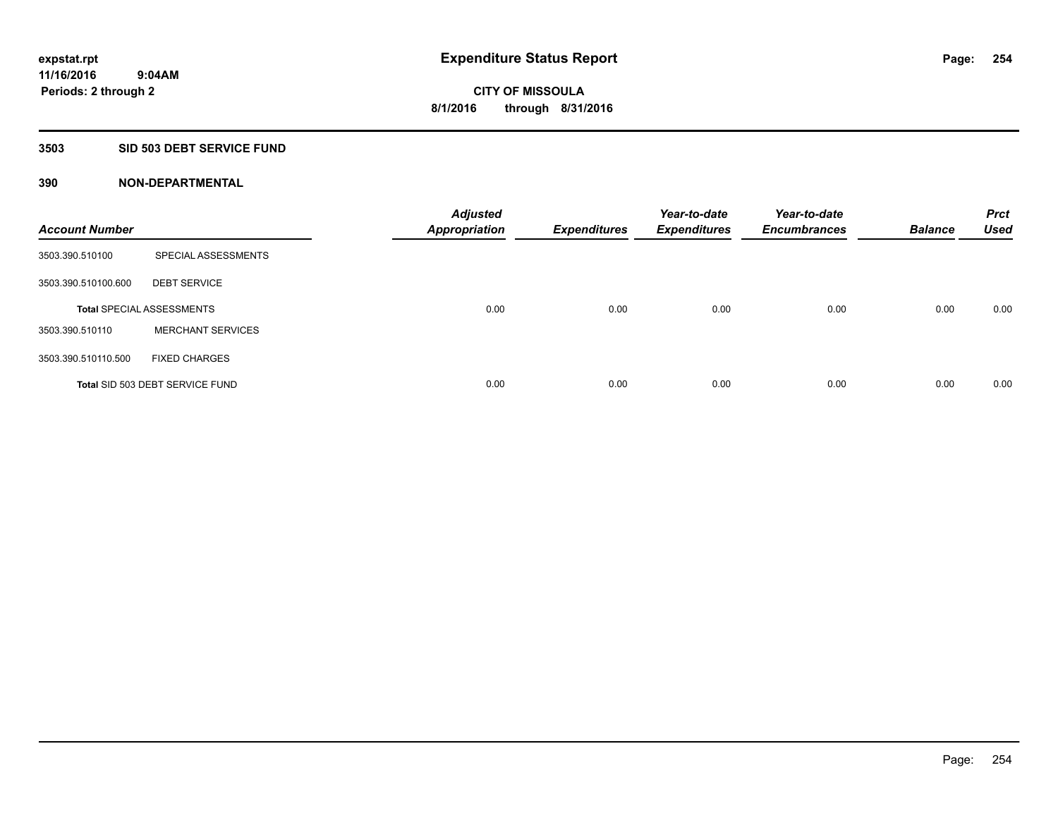## **3503 SID 503 DEBT SERVICE FUND**

| <b>Account Number</b> |                                  | <b>Adjusted</b><br><b>Appropriation</b> | <b>Expenditures</b> | Year-to-date<br><b>Expenditures</b> | Year-to-date<br><b>Encumbrances</b> | <b>Balance</b> | <b>Prct</b><br><b>Used</b> |
|-----------------------|----------------------------------|-----------------------------------------|---------------------|-------------------------------------|-------------------------------------|----------------|----------------------------|
| 3503.390.510100       | SPECIAL ASSESSMENTS              |                                         |                     |                                     |                                     |                |                            |
| 3503.390.510100.600   | <b>DEBT SERVICE</b>              |                                         |                     |                                     |                                     |                |                            |
|                       | <b>Total SPECIAL ASSESSMENTS</b> | 0.00                                    | 0.00                | 0.00                                | 0.00                                | 0.00           | 0.00                       |
| 3503.390.510110       | <b>MERCHANT SERVICES</b>         |                                         |                     |                                     |                                     |                |                            |
| 3503.390.510110.500   | <b>FIXED CHARGES</b>             |                                         |                     |                                     |                                     |                |                            |
|                       | Total SID 503 DEBT SERVICE FUND  | 0.00                                    | 0.00                | 0.00                                | 0.00                                | 0.00           | 0.00                       |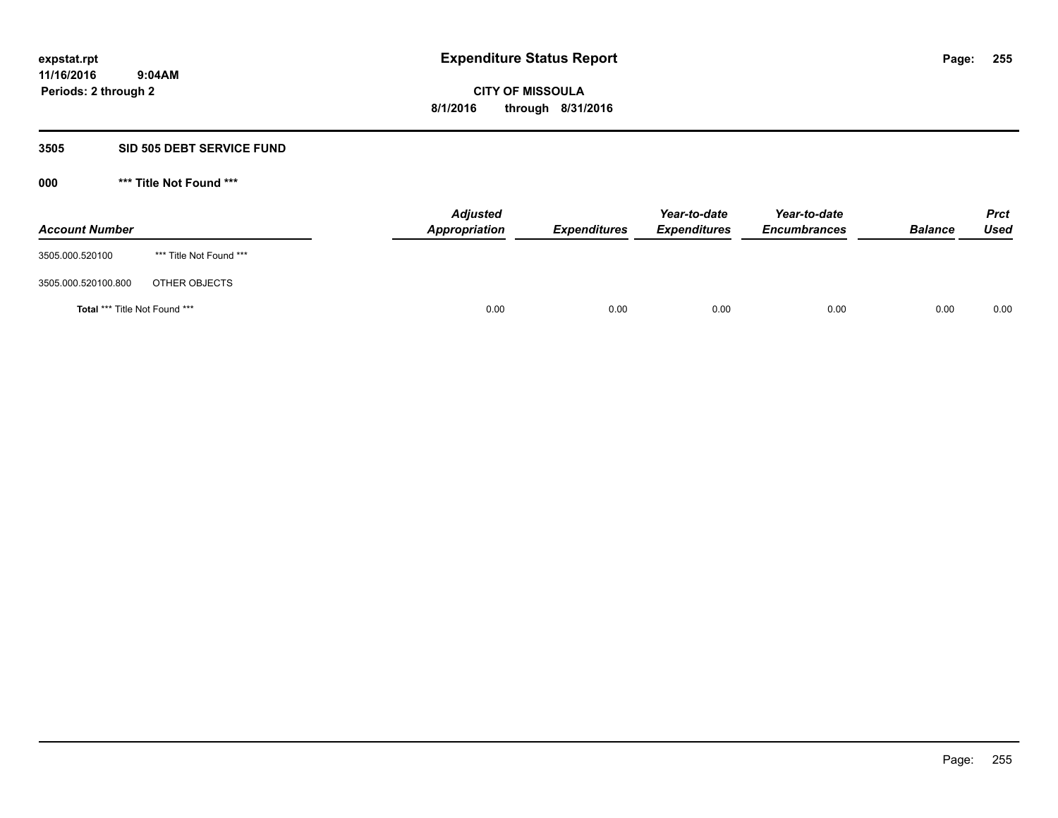#### **3505 SID 505 DEBT SERVICE FUND**

| <b>Account Number</b>         |                         | <b>Adjusted</b><br>Appropriation | <b>Expenditures</b> | Year-to-date<br><b>Expenditures</b> | Year-to-date<br><b>Encumbrances</b> | <b>Balance</b> | <b>Prct</b><br><b>Used</b> |
|-------------------------------|-------------------------|----------------------------------|---------------------|-------------------------------------|-------------------------------------|----------------|----------------------------|
| 3505.000.520100               | *** Title Not Found *** |                                  |                     |                                     |                                     |                |                            |
| 3505.000.520100.800           | OTHER OBJECTS           |                                  |                     |                                     |                                     |                |                            |
| Total *** Title Not Found *** |                         | 0.00                             | 0.00                | 0.00                                | 0.00                                | 0.00           | 0.00                       |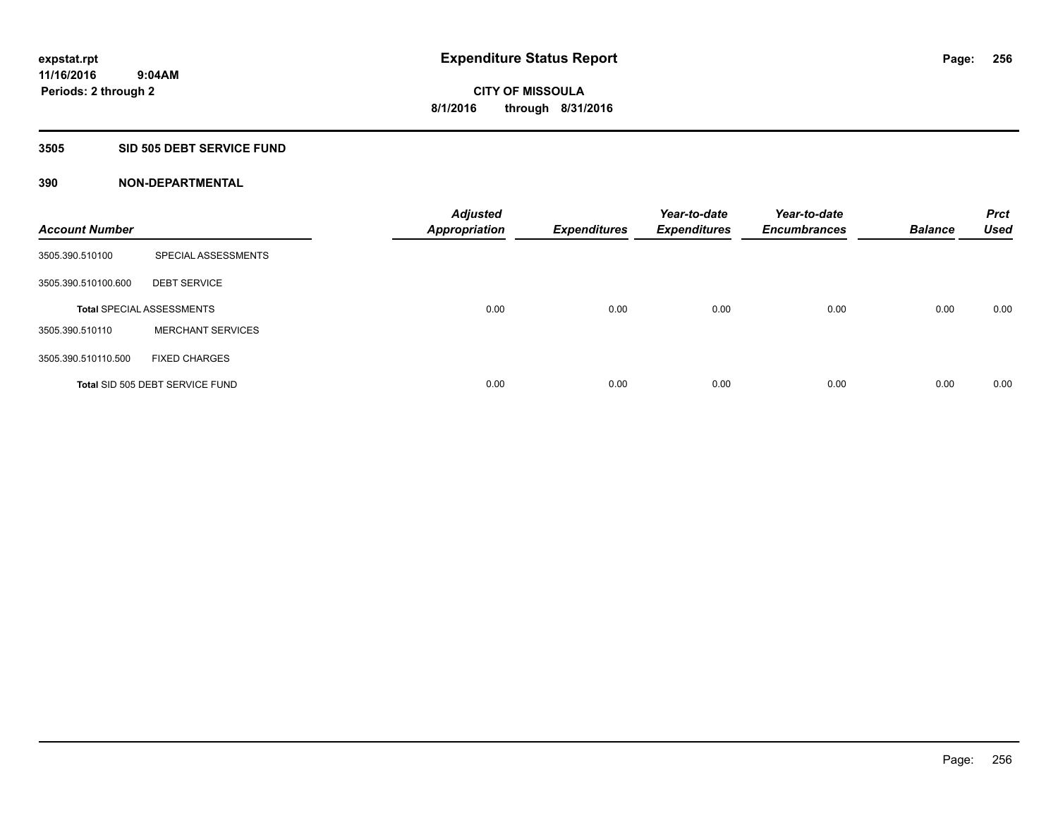#### **3505 SID 505 DEBT SERVICE FUND**

| <b>Account Number</b> |                                  | <b>Adjusted</b><br><b>Appropriation</b> | <b>Expenditures</b> | Year-to-date<br><b>Expenditures</b> | Year-to-date<br><b>Encumbrances</b> | <b>Balance</b> | <b>Prct</b><br><b>Used</b> |
|-----------------------|----------------------------------|-----------------------------------------|---------------------|-------------------------------------|-------------------------------------|----------------|----------------------------|
| 3505.390.510100       | SPECIAL ASSESSMENTS              |                                         |                     |                                     |                                     |                |                            |
| 3505.390.510100.600   | <b>DEBT SERVICE</b>              |                                         |                     |                                     |                                     |                |                            |
|                       | <b>Total SPECIAL ASSESSMENTS</b> | 0.00                                    | 0.00                | 0.00                                | 0.00                                | 0.00           | 0.00                       |
| 3505.390.510110       | <b>MERCHANT SERVICES</b>         |                                         |                     |                                     |                                     |                |                            |
| 3505.390.510110.500   | <b>FIXED CHARGES</b>             |                                         |                     |                                     |                                     |                |                            |
|                       | Total SID 505 DEBT SERVICE FUND  | 0.00                                    | 0.00                | 0.00                                | 0.00                                | 0.00           | 0.00                       |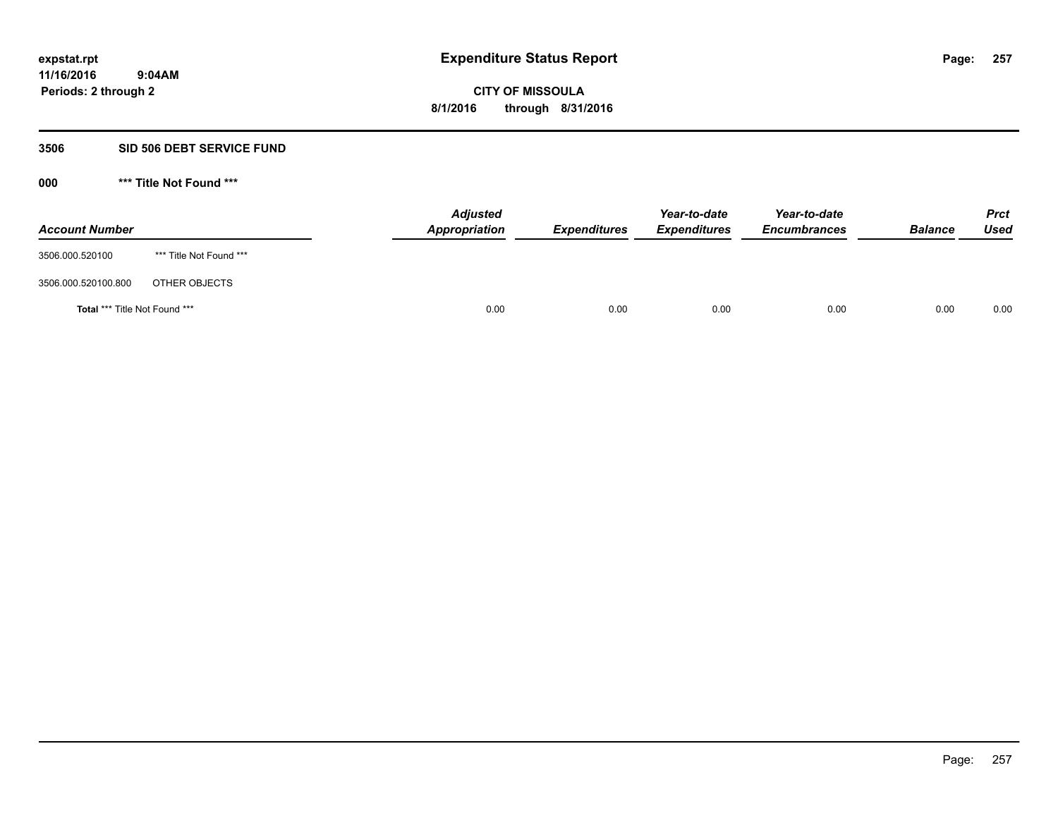#### **3506 SID 506 DEBT SERVICE FUND**

| <b>Account Number</b>         |                         | <b>Adjusted</b><br>Appropriation | <b>Expenditures</b> | Year-to-date<br><b>Expenditures</b> | Year-to-date<br><b>Encumbrances</b> | <b>Balance</b> | <b>Prct</b><br>Used |
|-------------------------------|-------------------------|----------------------------------|---------------------|-------------------------------------|-------------------------------------|----------------|---------------------|
| 3506.000.520100               | *** Title Not Found *** |                                  |                     |                                     |                                     |                |                     |
| 3506.000.520100.800           | OTHER OBJECTS           |                                  |                     |                                     |                                     |                |                     |
| Total *** Title Not Found *** |                         | 0.00                             | 0.00                | 0.00                                | 0.00                                | 0.00           | 0.00                |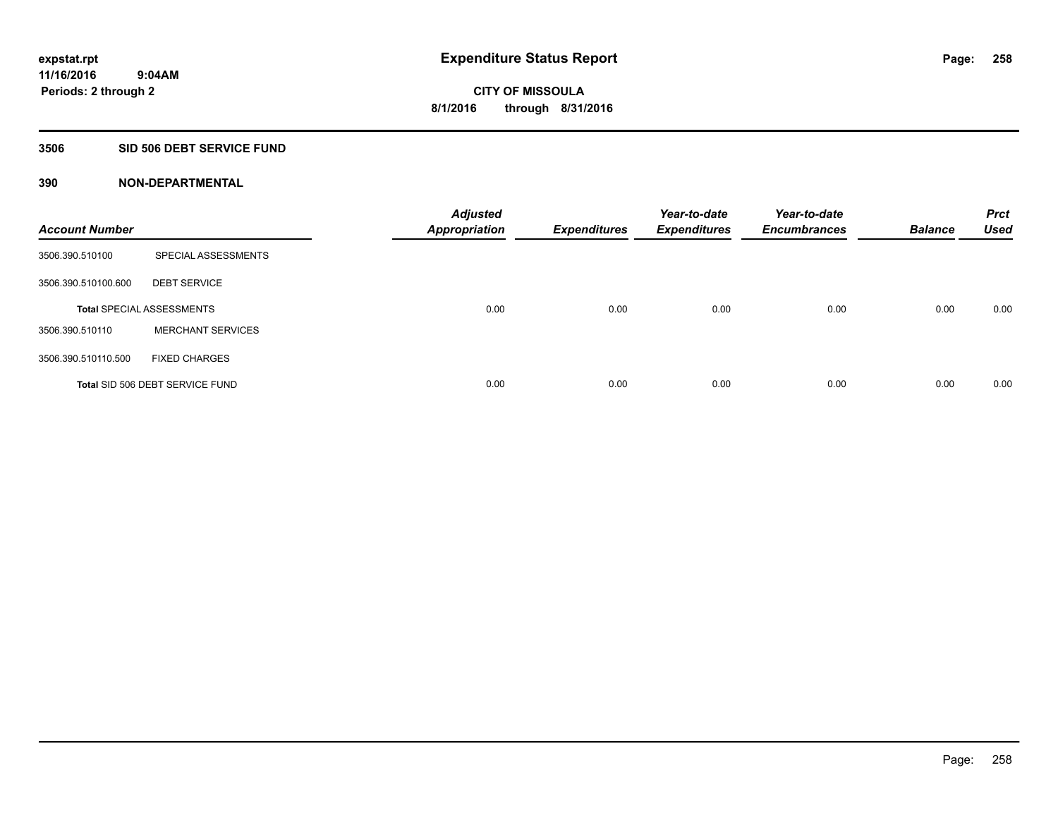### **3506 SID 506 DEBT SERVICE FUND**

| <b>Account Number</b> |                                  | <b>Adjusted</b><br><b>Appropriation</b> | <b>Expenditures</b> | Year-to-date<br><b>Expenditures</b> | Year-to-date<br><b>Encumbrances</b> | <b>Balance</b> | <b>Prct</b><br><b>Used</b> |
|-----------------------|----------------------------------|-----------------------------------------|---------------------|-------------------------------------|-------------------------------------|----------------|----------------------------|
| 3506.390.510100       | SPECIAL ASSESSMENTS              |                                         |                     |                                     |                                     |                |                            |
| 3506.390.510100.600   | <b>DEBT SERVICE</b>              |                                         |                     |                                     |                                     |                |                            |
|                       | <b>Total SPECIAL ASSESSMENTS</b> | 0.00                                    | 0.00                | 0.00                                | 0.00                                | 0.00           | 0.00                       |
| 3506.390.510110       | <b>MERCHANT SERVICES</b>         |                                         |                     |                                     |                                     |                |                            |
| 3506.390.510110.500   | <b>FIXED CHARGES</b>             |                                         |                     |                                     |                                     |                |                            |
|                       | Total SID 506 DEBT SERVICE FUND  | 0.00                                    | 0.00                | 0.00                                | 0.00                                | 0.00           | 0.00                       |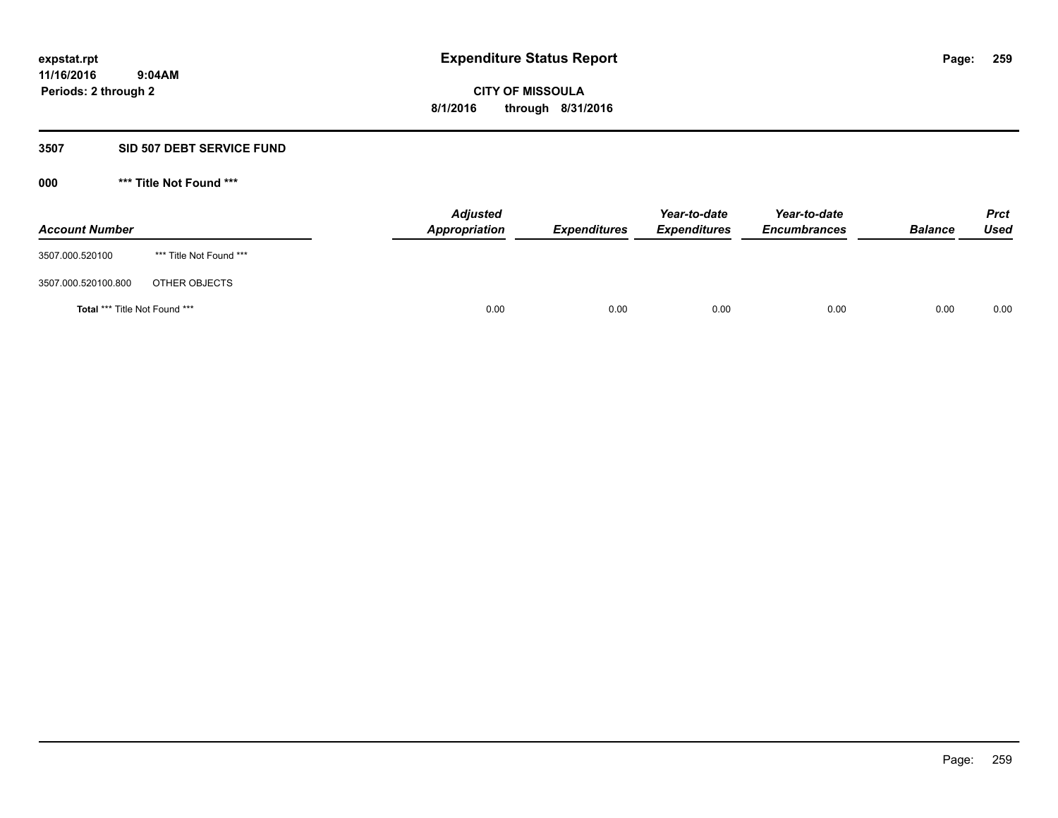#### **3507 SID 507 DEBT SERVICE FUND**

| <b>Account Number</b>                |                         | <b>Adjusted</b><br><b>Appropriation</b> | <b>Expenditures</b> | Year-to-date<br><b>Expenditures</b> | Year-to-date<br><b>Encumbrances</b> | <b>Balance</b> | <b>Prct</b><br><b>Used</b> |
|--------------------------------------|-------------------------|-----------------------------------------|---------------------|-------------------------------------|-------------------------------------|----------------|----------------------------|
| 3507.000.520100                      | *** Title Not Found *** |                                         |                     |                                     |                                     |                |                            |
| 3507.000.520100.800                  | OTHER OBJECTS           |                                         |                     |                                     |                                     |                |                            |
| <b>Total *** Title Not Found ***</b> |                         | 0.00                                    | 0.00                | 0.00                                | 0.00                                | 0.00           | 0.00                       |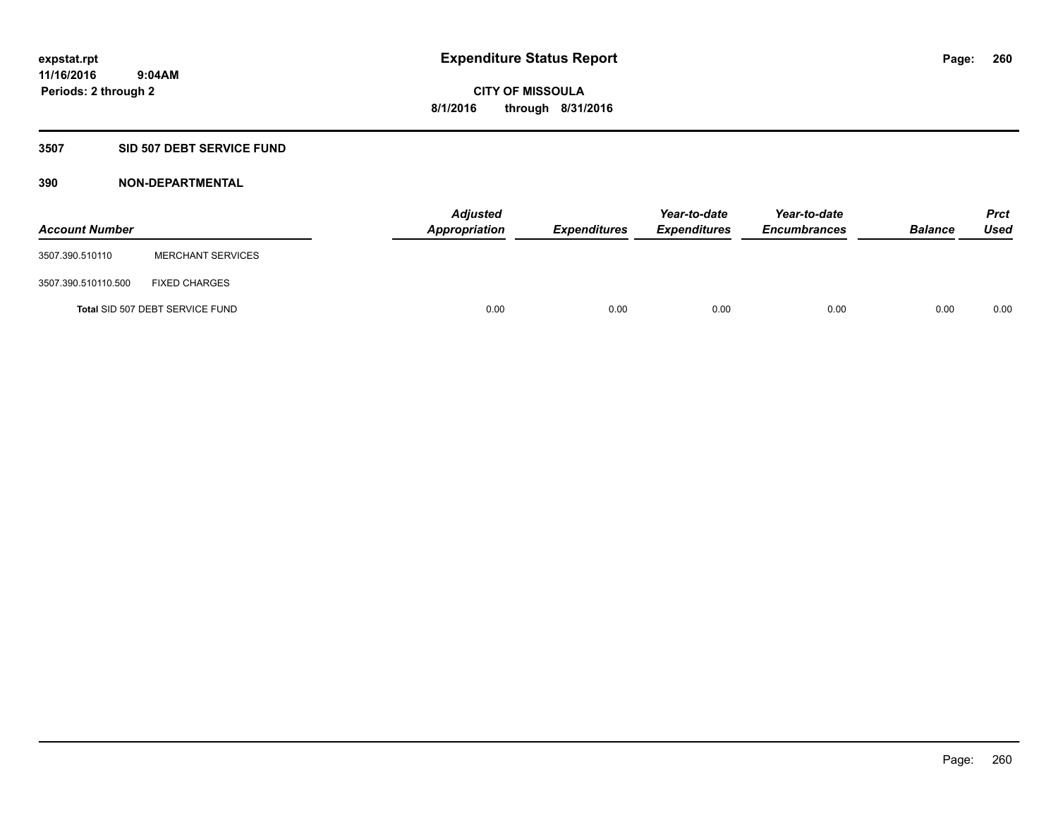## **3507 SID 507 DEBT SERVICE FUND**

| <b>Account Number</b> |                                 | <b>Adjusted</b><br>Appropriation | <b>Expenditures</b> | Year-to-date<br><b>Expenditures</b> | Year-to-date<br><b>Encumbrances</b> | <b>Balance</b> | <b>Prct</b><br><b>Used</b> |
|-----------------------|---------------------------------|----------------------------------|---------------------|-------------------------------------|-------------------------------------|----------------|----------------------------|
| 3507.390.510110       | <b>MERCHANT SERVICES</b>        |                                  |                     |                                     |                                     |                |                            |
| 3507.390.510110.500   | <b>FIXED CHARGES</b>            |                                  |                     |                                     |                                     |                |                            |
|                       | Total SID 507 DEBT SERVICE FUND | 0.00                             | 0.00                | 0.00                                | 0.00                                | 0.00           | 0.00                       |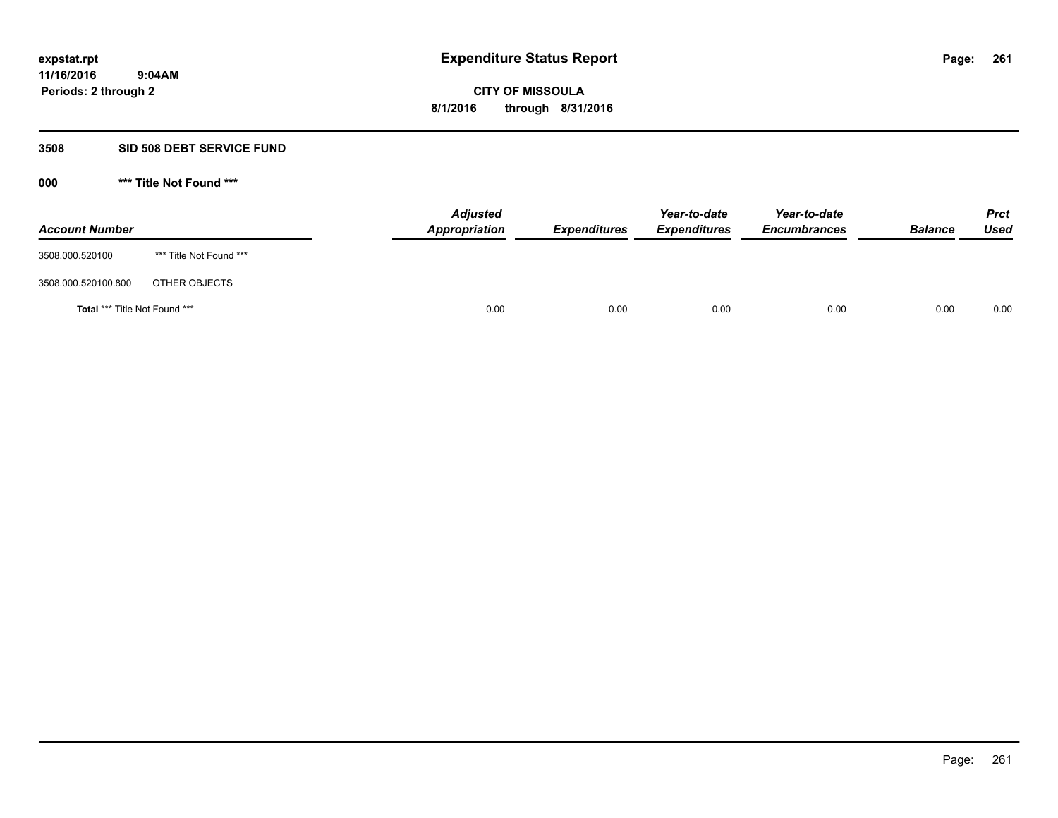#### **3508 SID 508 DEBT SERVICE FUND**

| <b>Account Number</b>                |                         | <b>Adjusted</b><br>Appropriation | <b>Expenditures</b> | Year-to-date<br><b>Expenditures</b> | Year-to-date<br><b>Encumbrances</b> | <b>Balance</b> | <b>Prct</b><br><b>Used</b> |
|--------------------------------------|-------------------------|----------------------------------|---------------------|-------------------------------------|-------------------------------------|----------------|----------------------------|
| 3508.000.520100                      | *** Title Not Found *** |                                  |                     |                                     |                                     |                |                            |
| 3508.000.520100.800                  | OTHER OBJECTS           |                                  |                     |                                     |                                     |                |                            |
| <b>Total *** Title Not Found ***</b> |                         | 0.00                             | 0.00                | 0.00                                | 0.00                                | 0.00           | 0.00                       |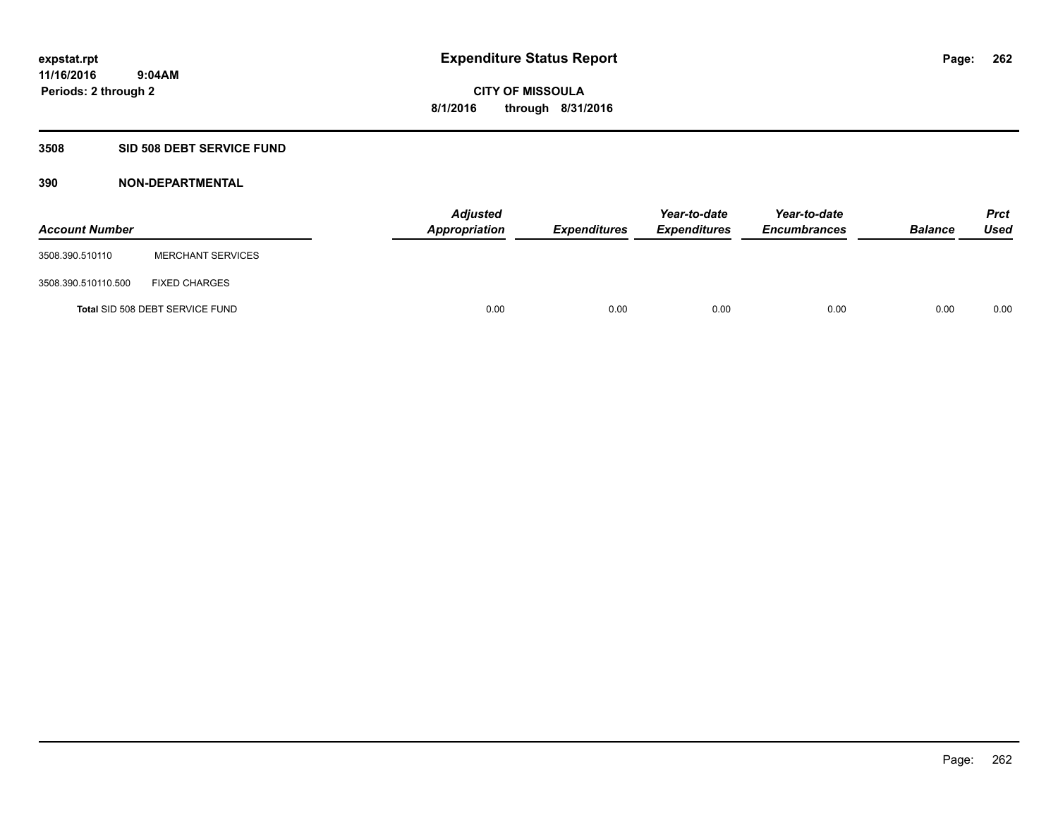### **3508 SID 508 DEBT SERVICE FUND**

| <b>Account Number</b> |                                 | <b>Adjusted</b><br>Appropriation | <b>Expenditures</b> | Year-to-date<br><b>Expenditures</b> | Year-to-date<br><b>Encumbrances</b> | <b>Balance</b> | <b>Prct</b><br><b>Used</b> |
|-----------------------|---------------------------------|----------------------------------|---------------------|-------------------------------------|-------------------------------------|----------------|----------------------------|
| 3508.390.510110       | <b>MERCHANT SERVICES</b>        |                                  |                     |                                     |                                     |                |                            |
| 3508.390.510110.500   | <b>FIXED CHARGES</b>            |                                  |                     |                                     |                                     |                |                            |
|                       | Total SID 508 DEBT SERVICE FUND | 0.00                             | 0.00                | 0.00                                | 0.00                                | 0.00           | 0.00                       |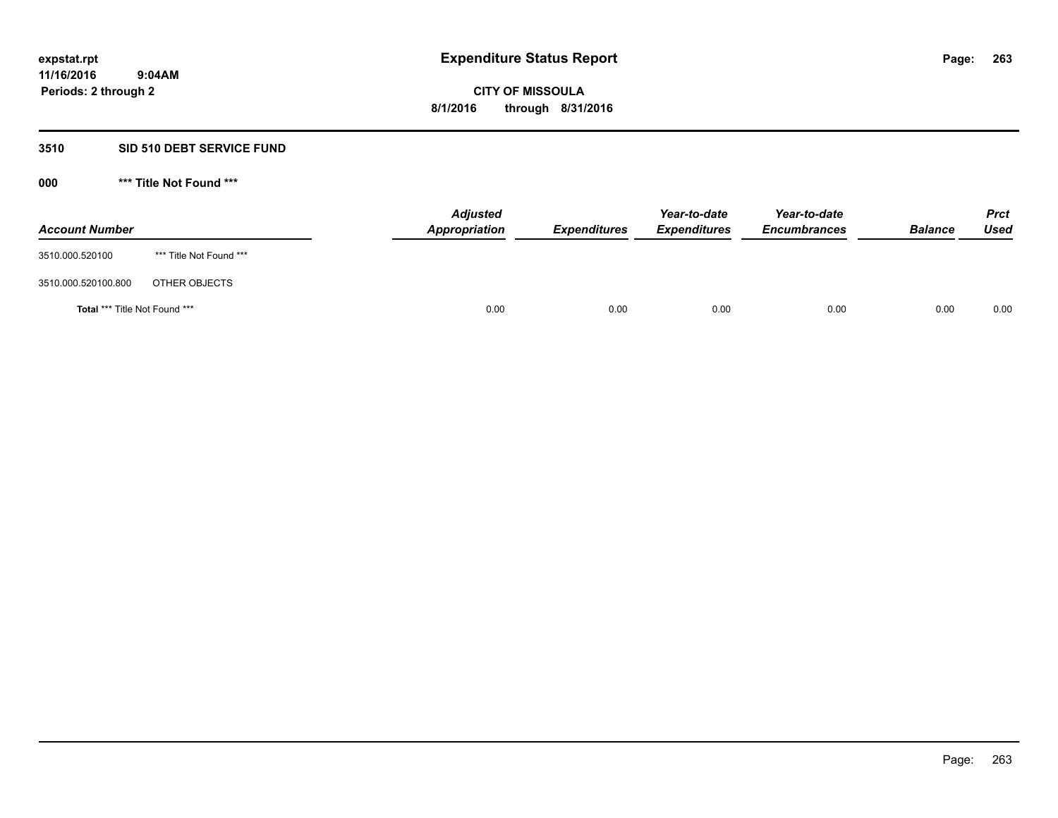### **3510 SID 510 DEBT SERVICE FUND**

| <b>Account Number</b>                |                         | <b>Adjusted</b><br>Appropriation | <b>Expenditures</b> | Year-to-date<br><b>Expenditures</b> | Year-to-date<br><b>Encumbrances</b> | <b>Balance</b> | <b>Prct</b><br>Used |
|--------------------------------------|-------------------------|----------------------------------|---------------------|-------------------------------------|-------------------------------------|----------------|---------------------|
| 3510.000.520100                      | *** Title Not Found *** |                                  |                     |                                     |                                     |                |                     |
| 3510.000.520100.800                  | OTHER OBJECTS           |                                  |                     |                                     |                                     |                |                     |
| <b>Total *** Title Not Found ***</b> |                         | 0.00                             | 0.00                | 0.00                                | 0.00                                | 0.00           | 0.00                |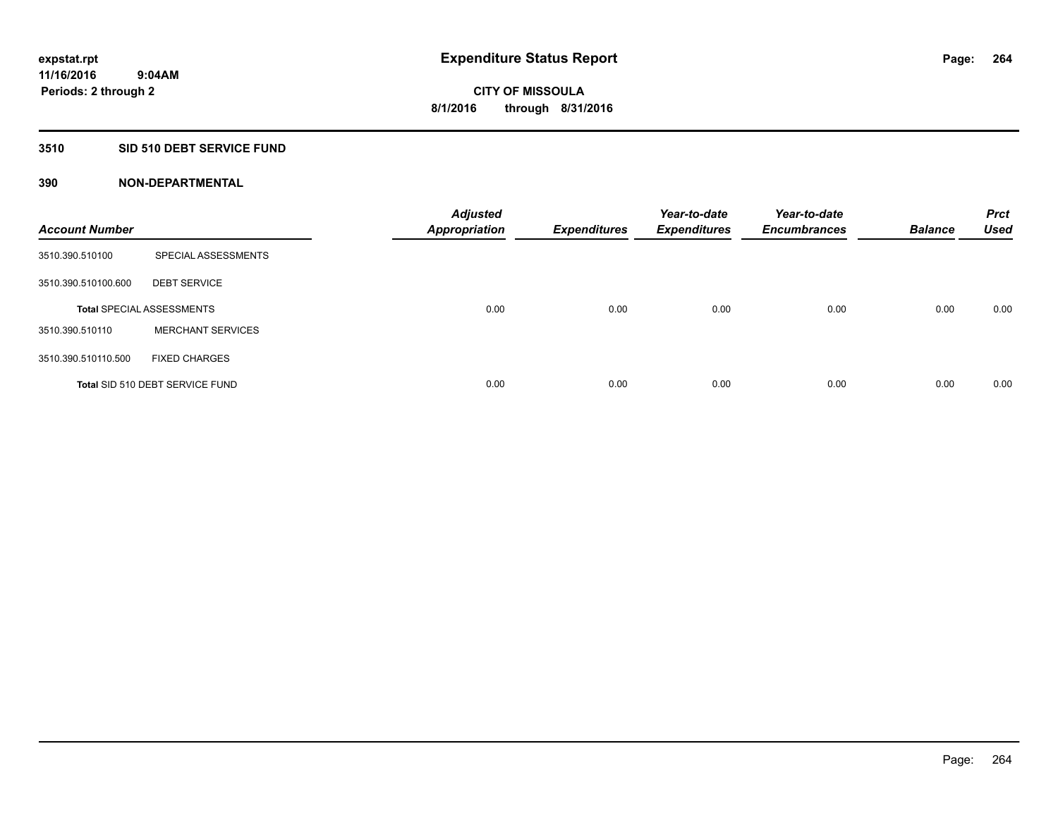## **3510 SID 510 DEBT SERVICE FUND**

| <b>Account Number</b> |                                  | <b>Adjusted</b><br><b>Appropriation</b> | <b>Expenditures</b> | Year-to-date<br><b>Expenditures</b> | Year-to-date<br><b>Encumbrances</b> | <b>Balance</b> | <b>Prct</b><br><b>Used</b> |
|-----------------------|----------------------------------|-----------------------------------------|---------------------|-------------------------------------|-------------------------------------|----------------|----------------------------|
| 3510.390.510100       | SPECIAL ASSESSMENTS              |                                         |                     |                                     |                                     |                |                            |
| 3510.390.510100.600   | <b>DEBT SERVICE</b>              |                                         |                     |                                     |                                     |                |                            |
|                       | <b>Total SPECIAL ASSESSMENTS</b> | 0.00                                    | 0.00                | 0.00                                | 0.00                                | 0.00           | 0.00                       |
| 3510.390.510110       | <b>MERCHANT SERVICES</b>         |                                         |                     |                                     |                                     |                |                            |
| 3510.390.510110.500   | <b>FIXED CHARGES</b>             |                                         |                     |                                     |                                     |                |                            |
|                       | Total SID 510 DEBT SERVICE FUND  | 0.00                                    | 0.00                | 0.00                                | 0.00                                | 0.00           | 0.00                       |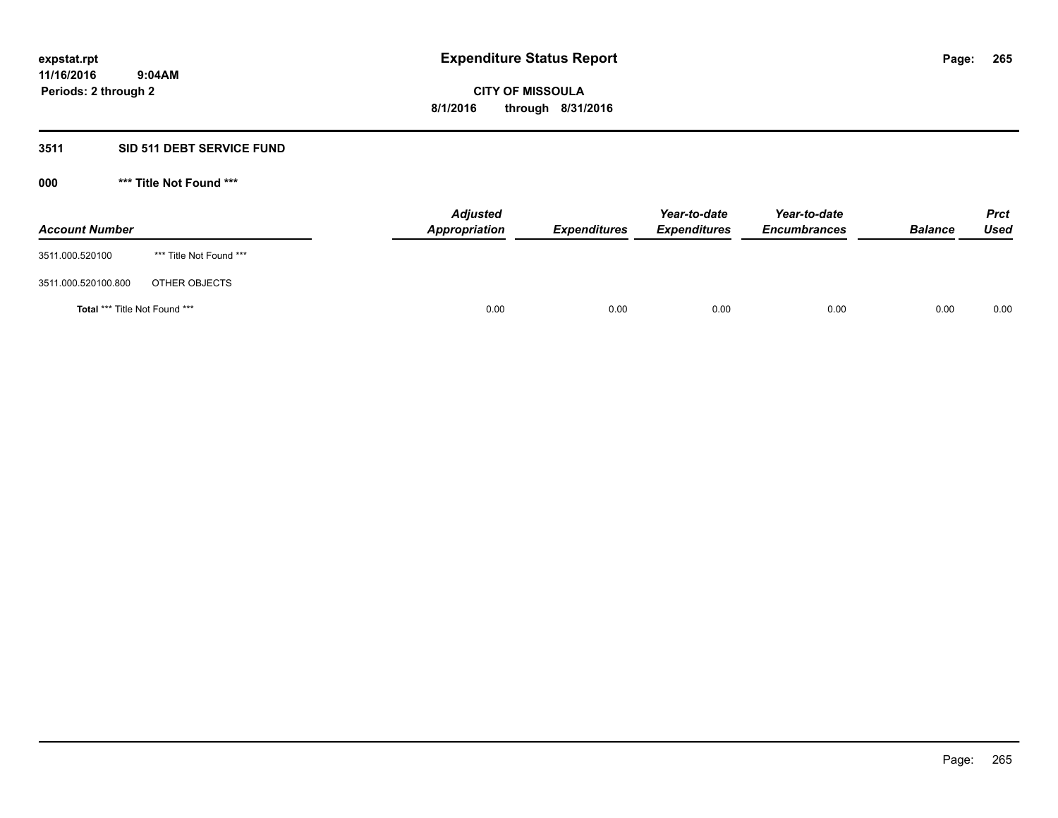## **3511 SID 511 DEBT SERVICE FUND**

| <b>Account Number</b>                |                         | <b>Adjusted</b><br><b>Appropriation</b> | <b>Expenditures</b> | Year-to-date<br><b>Expenditures</b> | Year-to-date<br><b>Encumbrances</b> | <b>Balance</b> | <b>Prct</b><br><b>Used</b> |
|--------------------------------------|-------------------------|-----------------------------------------|---------------------|-------------------------------------|-------------------------------------|----------------|----------------------------|
| 3511.000.520100                      | *** Title Not Found *** |                                         |                     |                                     |                                     |                |                            |
| 3511.000.520100.800                  | OTHER OBJECTS           |                                         |                     |                                     |                                     |                |                            |
| <b>Total *** Title Not Found ***</b> |                         | 0.00                                    | 0.00                | 0.00                                | 0.00                                | 0.00           | 0.00                       |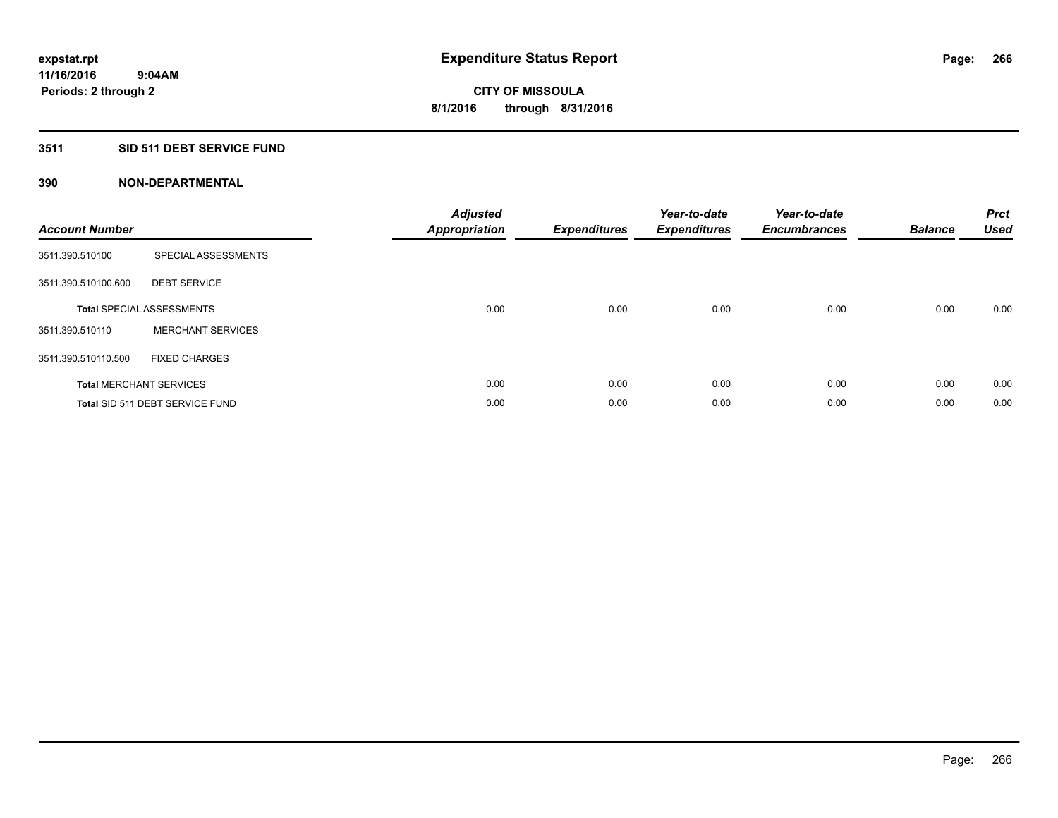### **3511 SID 511 DEBT SERVICE FUND**

| <b>Account Number</b> |                                  | <b>Adjusted</b><br>Appropriation | <b>Expenditures</b> | Year-to-date<br><b>Expenditures</b> | Year-to-date<br><b>Encumbrances</b> | <b>Balance</b> | <b>Prct</b><br><b>Used</b> |
|-----------------------|----------------------------------|----------------------------------|---------------------|-------------------------------------|-------------------------------------|----------------|----------------------------|
| 3511.390.510100       | SPECIAL ASSESSMENTS              |                                  |                     |                                     |                                     |                |                            |
| 3511.390.510100.600   | <b>DEBT SERVICE</b>              |                                  |                     |                                     |                                     |                |                            |
|                       | <b>Total SPECIAL ASSESSMENTS</b> | 0.00                             | 0.00                | 0.00                                | 0.00                                | 0.00           | 0.00                       |
| 3511.390.510110       | <b>MERCHANT SERVICES</b>         |                                  |                     |                                     |                                     |                |                            |
| 3511.390.510110.500   | <b>FIXED CHARGES</b>             |                                  |                     |                                     |                                     |                |                            |
|                       | <b>Total MERCHANT SERVICES</b>   | 0.00                             | 0.00                | 0.00                                | 0.00                                | 0.00           | 0.00                       |
|                       | Total SID 511 DEBT SERVICE FUND  | 0.00                             | 0.00                | 0.00                                | 0.00                                | 0.00           | 0.00                       |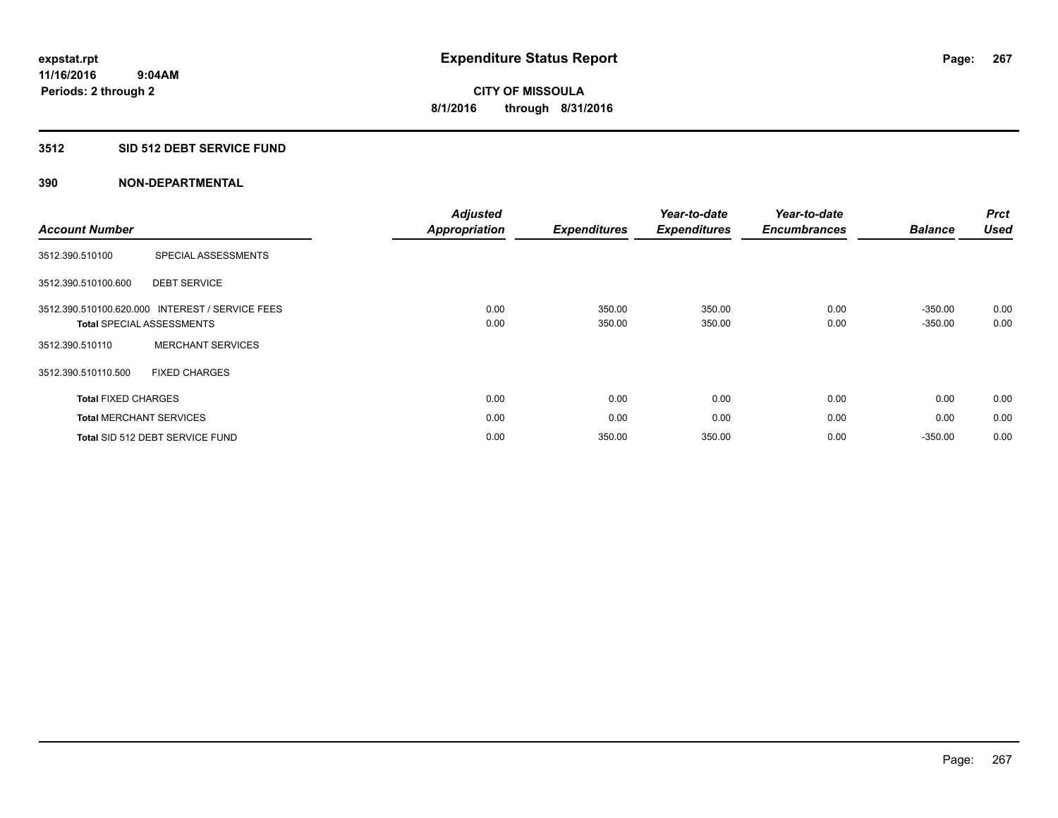## **3512 SID 512 DEBT SERVICE FUND**

| <b>Account Number</b>          |                                                                    | <b>Adjusted</b><br><b>Appropriation</b> | <b>Expenditures</b> | Year-to-date<br><b>Expenditures</b> | Year-to-date<br><b>Encumbrances</b> | <b>Balance</b>         | <b>Prct</b><br><b>Used</b> |
|--------------------------------|--------------------------------------------------------------------|-----------------------------------------|---------------------|-------------------------------------|-------------------------------------|------------------------|----------------------------|
| 3512.390.510100                | SPECIAL ASSESSMENTS                                                |                                         |                     |                                     |                                     |                        |                            |
| 3512.390.510100.600            | <b>DEBT SERVICE</b>                                                |                                         |                     |                                     |                                     |                        |                            |
| 3512.390.510100.620.000        | <b>INTEREST / SERVICE FEES</b><br><b>Total SPECIAL ASSESSMENTS</b> | 0.00<br>0.00                            | 350.00<br>350.00    | 350.00<br>350.00                    | 0.00<br>0.00                        | $-350.00$<br>$-350.00$ | 0.00<br>0.00               |
| 3512.390.510110                | <b>MERCHANT SERVICES</b>                                           |                                         |                     |                                     |                                     |                        |                            |
| 3512.390.510110.500            | <b>FIXED CHARGES</b>                                               |                                         |                     |                                     |                                     |                        |                            |
| <b>Total FIXED CHARGES</b>     |                                                                    | 0.00                                    | 0.00                | 0.00                                | 0.00                                | 0.00                   | 0.00                       |
| <b>Total MERCHANT SERVICES</b> |                                                                    | 0.00                                    | 0.00                | 0.00                                | 0.00                                | 0.00                   | 0.00                       |
|                                | Total SID 512 DEBT SERVICE FUND                                    | 0.00                                    | 350.00              | 350.00                              | 0.00                                | $-350.00$              | 0.00                       |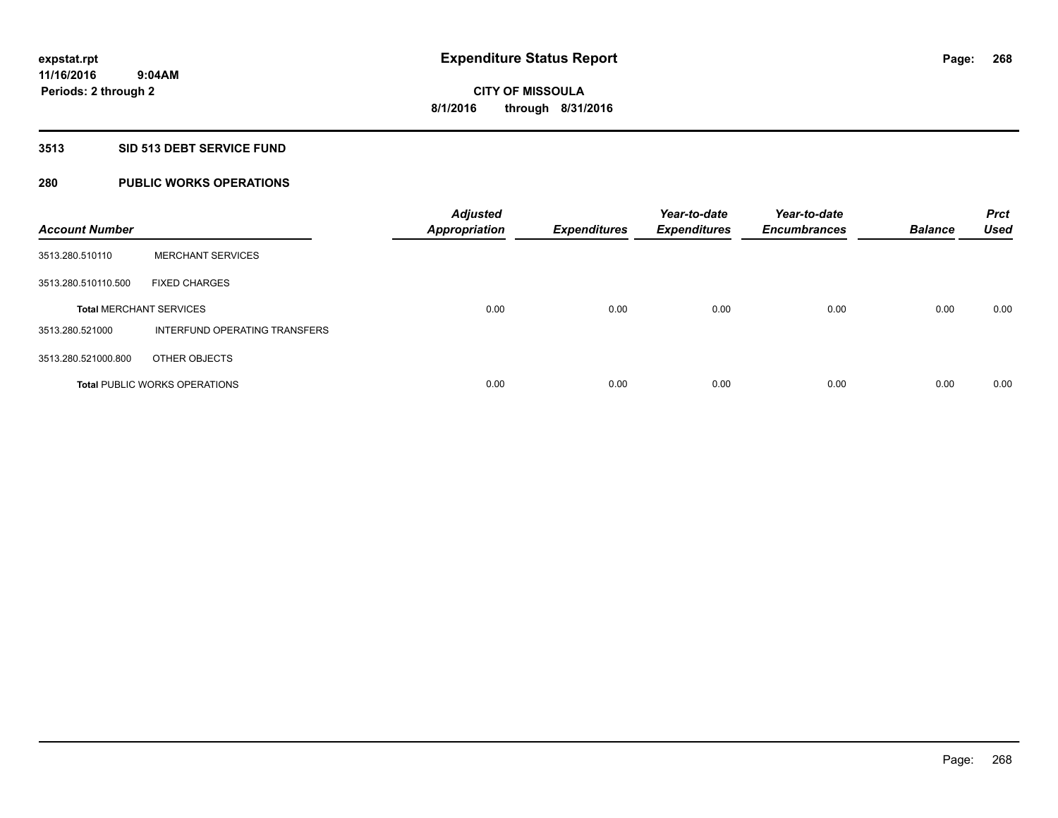### **3513 SID 513 DEBT SERVICE FUND**

## **280 PUBLIC WORKS OPERATIONS**

| <b>Account Number</b>          |                                      | <b>Adjusted</b><br><b>Appropriation</b> | <b>Expenditures</b> | Year-to-date<br><b>Expenditures</b> | Year-to-date<br><b>Encumbrances</b> | <b>Balance</b> | <b>Prct</b><br><b>Used</b> |
|--------------------------------|--------------------------------------|-----------------------------------------|---------------------|-------------------------------------|-------------------------------------|----------------|----------------------------|
| 3513.280.510110                | <b>MERCHANT SERVICES</b>             |                                         |                     |                                     |                                     |                |                            |
| 3513.280.510110.500            | <b>FIXED CHARGES</b>                 |                                         |                     |                                     |                                     |                |                            |
| <b>Total MERCHANT SERVICES</b> |                                      | 0.00                                    | 0.00                | 0.00                                | 0.00                                | 0.00           | 0.00                       |
| 3513.280.521000                | INTERFUND OPERATING TRANSFERS        |                                         |                     |                                     |                                     |                |                            |
| 3513.280.521000.800            | OTHER OBJECTS                        |                                         |                     |                                     |                                     |                |                            |
|                                | <b>Total PUBLIC WORKS OPERATIONS</b> | 0.00                                    | 0.00                | 0.00                                | 0.00                                | 0.00           | 0.00                       |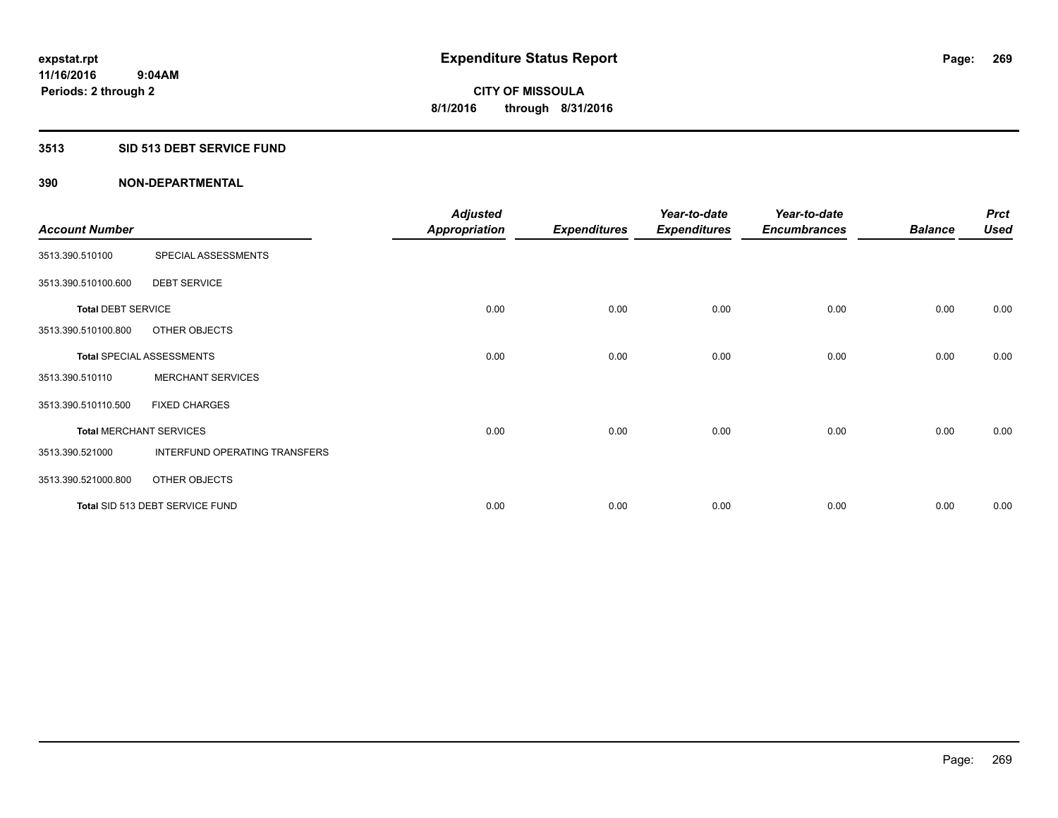### **3513 SID 513 DEBT SERVICE FUND**

|                                |                                  | <b>Adjusted</b>      |                     | Year-to-date        | Year-to-date        |                | <b>Prct</b> |
|--------------------------------|----------------------------------|----------------------|---------------------|---------------------|---------------------|----------------|-------------|
| <b>Account Number</b>          |                                  | <b>Appropriation</b> | <b>Expenditures</b> | <b>Expenditures</b> | <b>Encumbrances</b> | <b>Balance</b> | <b>Used</b> |
| 3513.390.510100                | SPECIAL ASSESSMENTS              |                      |                     |                     |                     |                |             |
| 3513.390.510100.600            | <b>DEBT SERVICE</b>              |                      |                     |                     |                     |                |             |
| <b>Total DEBT SERVICE</b>      |                                  | 0.00                 | 0.00                | 0.00                | 0.00                | 0.00           | 0.00        |
| 3513.390.510100.800            | OTHER OBJECTS                    |                      |                     |                     |                     |                |             |
|                                | <b>Total SPECIAL ASSESSMENTS</b> | 0.00                 | 0.00                | 0.00                | 0.00                | 0.00           | 0.00        |
| 3513.390.510110                | <b>MERCHANT SERVICES</b>         |                      |                     |                     |                     |                |             |
| 3513.390.510110.500            | <b>FIXED CHARGES</b>             |                      |                     |                     |                     |                |             |
| <b>Total MERCHANT SERVICES</b> |                                  | 0.00                 | 0.00                | 0.00                | 0.00                | 0.00           | 0.00        |
| 3513.390.521000                | INTERFUND OPERATING TRANSFERS    |                      |                     |                     |                     |                |             |
| 3513.390.521000.800            | OTHER OBJECTS                    |                      |                     |                     |                     |                |             |
|                                | Total SID 513 DEBT SERVICE FUND  | 0.00                 | 0.00                | 0.00                | 0.00                | 0.00           | 0.00        |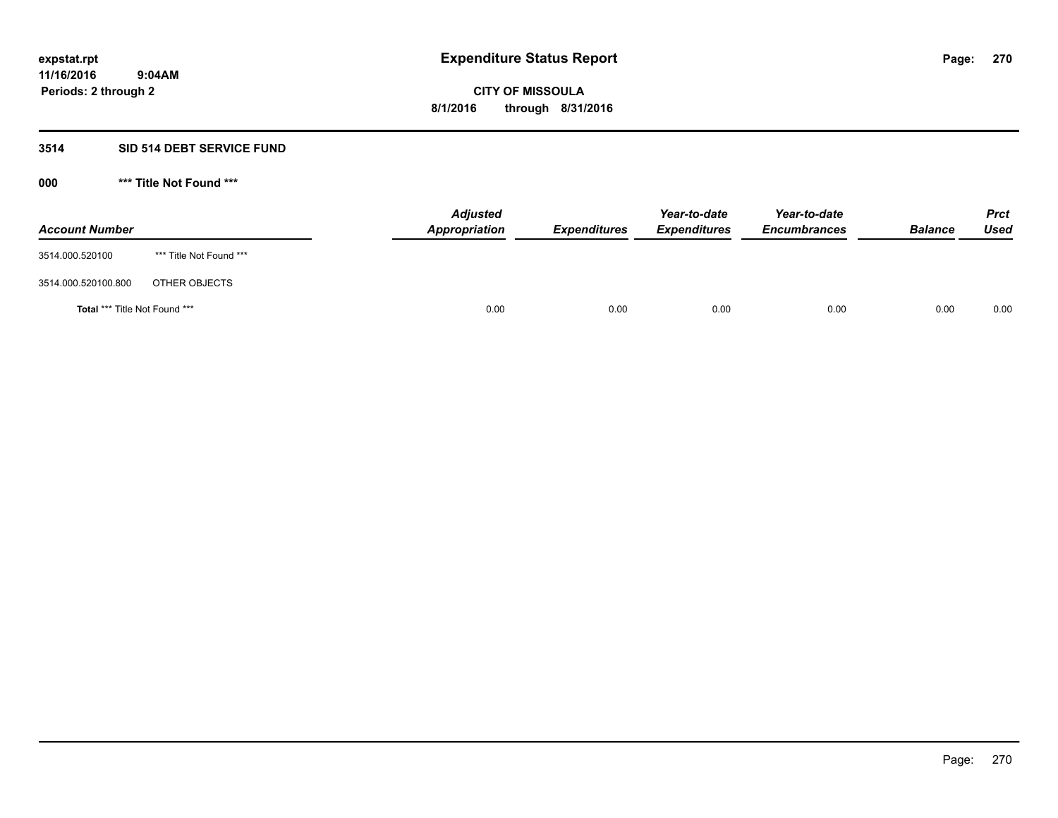### **3514 SID 514 DEBT SERVICE FUND**

| <b>Account Number</b>                |                         | <b>Adjusted</b><br><b>Appropriation</b> | <b>Expenditures</b> | Year-to-date<br><b>Expenditures</b> | Year-to-date<br><b>Encumbrances</b> | <b>Balance</b> | <b>Prct</b><br><b>Used</b> |
|--------------------------------------|-------------------------|-----------------------------------------|---------------------|-------------------------------------|-------------------------------------|----------------|----------------------------|
| 3514.000.520100                      | *** Title Not Found *** |                                         |                     |                                     |                                     |                |                            |
| 3514.000.520100.800                  | OTHER OBJECTS           |                                         |                     |                                     |                                     |                |                            |
| <b>Total *** Title Not Found ***</b> |                         | 0.00                                    | 0.00                | 0.00                                | 0.00                                | 0.00           | 0.00                       |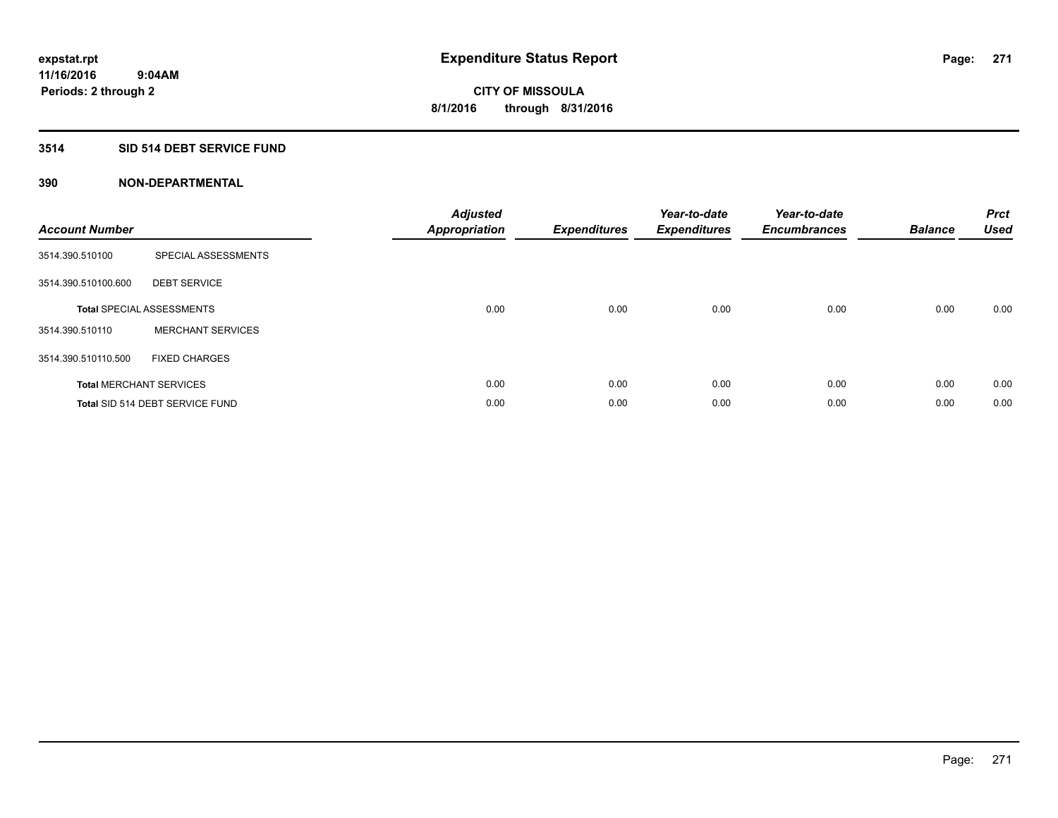## **3514 SID 514 DEBT SERVICE FUND**

| <b>Account Number</b> |                                  | <b>Adjusted</b><br>Appropriation | <b>Expenditures</b> | Year-to-date<br><b>Expenditures</b> | Year-to-date<br><b>Encumbrances</b> | <b>Balance</b> | <b>Prct</b><br><b>Used</b> |
|-----------------------|----------------------------------|----------------------------------|---------------------|-------------------------------------|-------------------------------------|----------------|----------------------------|
| 3514.390.510100       | SPECIAL ASSESSMENTS              |                                  |                     |                                     |                                     |                |                            |
| 3514.390.510100.600   | <b>DEBT SERVICE</b>              |                                  |                     |                                     |                                     |                |                            |
|                       | <b>Total SPECIAL ASSESSMENTS</b> | 0.00                             | 0.00                | 0.00                                | 0.00                                | 0.00           | 0.00                       |
| 3514.390.510110       | <b>MERCHANT SERVICES</b>         |                                  |                     |                                     |                                     |                |                            |
| 3514.390.510110.500   | <b>FIXED CHARGES</b>             |                                  |                     |                                     |                                     |                |                            |
|                       | <b>Total MERCHANT SERVICES</b>   | 0.00                             | 0.00                | 0.00                                | 0.00                                | 0.00           | 0.00                       |
|                       | Total SID 514 DEBT SERVICE FUND  | 0.00                             | 0.00                | 0.00                                | 0.00                                | 0.00           | 0.00                       |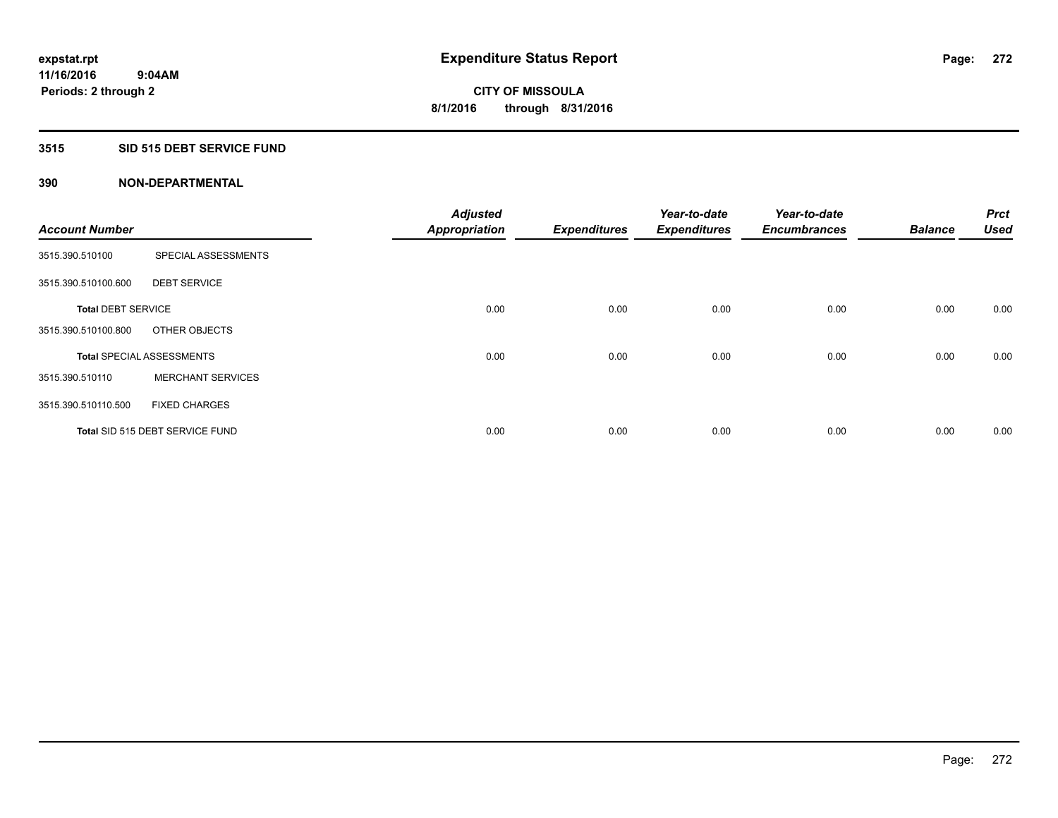#### **3515 SID 515 DEBT SERVICE FUND**

|                           |                                  | <b>Adjusted</b>      |                     | Year-to-date        | Year-to-date        |                | Prct        |
|---------------------------|----------------------------------|----------------------|---------------------|---------------------|---------------------|----------------|-------------|
| <b>Account Number</b>     |                                  | <b>Appropriation</b> | <b>Expenditures</b> | <b>Expenditures</b> | <b>Encumbrances</b> | <b>Balance</b> | <b>Used</b> |
| 3515.390.510100           | SPECIAL ASSESSMENTS              |                      |                     |                     |                     |                |             |
| 3515.390.510100.600       | <b>DEBT SERVICE</b>              |                      |                     |                     |                     |                |             |
| <b>Total DEBT SERVICE</b> |                                  | 0.00                 | 0.00                | 0.00                | 0.00                | 0.00           | 0.00        |
| 3515.390.510100.800       | OTHER OBJECTS                    |                      |                     |                     |                     |                |             |
|                           | <b>Total SPECIAL ASSESSMENTS</b> | 0.00                 | 0.00                | 0.00                | 0.00                | 0.00           | 0.00        |
| 3515.390.510110           | <b>MERCHANT SERVICES</b>         |                      |                     |                     |                     |                |             |
| 3515.390.510110.500       | <b>FIXED CHARGES</b>             |                      |                     |                     |                     |                |             |
|                           | Total SID 515 DEBT SERVICE FUND  | 0.00                 | 0.00                | 0.00                | 0.00                | 0.00           | 0.00        |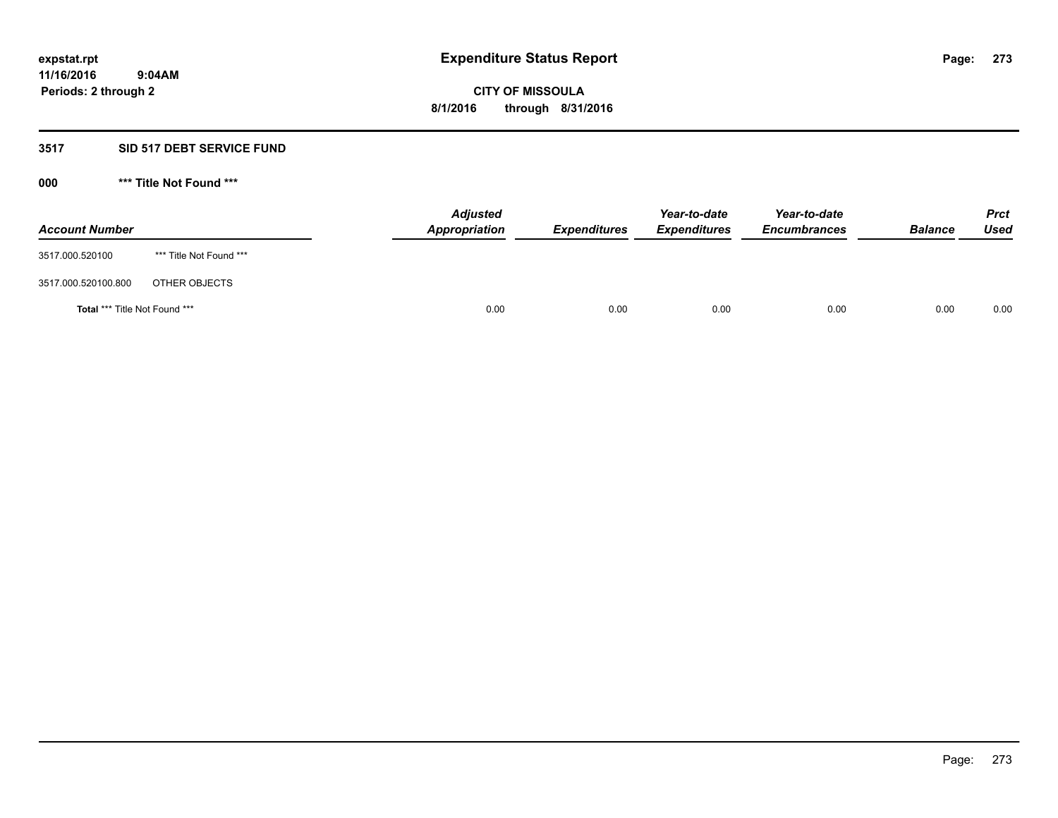## **3517 SID 517 DEBT SERVICE FUND**

| <b>Account Number</b>                |                         | <b>Adjusted</b><br><b>Appropriation</b> | <b>Expenditures</b> | Year-to-date<br><b>Expenditures</b> | Year-to-date<br><b>Encumbrances</b> | <b>Balance</b> | <b>Prct</b><br><b>Used</b> |
|--------------------------------------|-------------------------|-----------------------------------------|---------------------|-------------------------------------|-------------------------------------|----------------|----------------------------|
| 3517.000.520100                      | *** Title Not Found *** |                                         |                     |                                     |                                     |                |                            |
| 3517.000.520100.800                  | OTHER OBJECTS           |                                         |                     |                                     |                                     |                |                            |
| <b>Total *** Title Not Found ***</b> |                         | 0.00                                    | 0.00                | 0.00                                | 0.00                                | 0.00           | 0.00                       |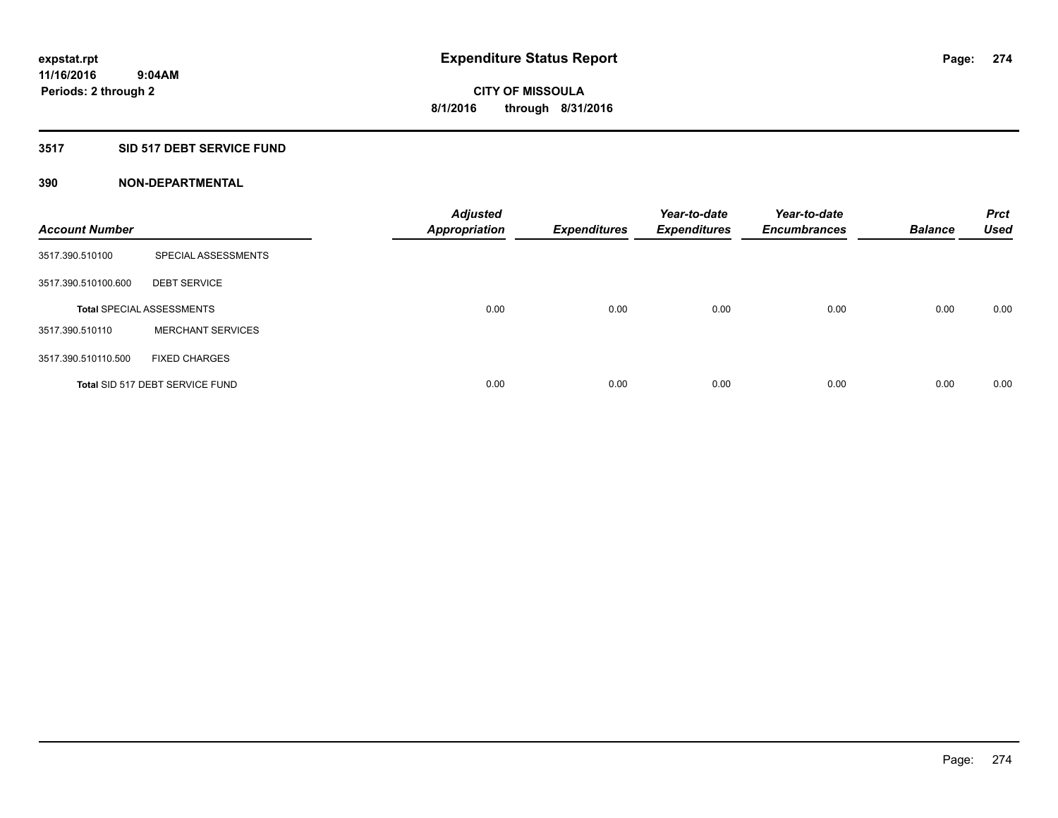#### **3517 SID 517 DEBT SERVICE FUND**

| <b>Account Number</b> |                                  | <b>Adjusted</b><br><b>Appropriation</b> | <b>Expenditures</b> | Year-to-date<br><b>Expenditures</b> | Year-to-date<br><b>Encumbrances</b> | <b>Balance</b> | <b>Prct</b><br>Used |
|-----------------------|----------------------------------|-----------------------------------------|---------------------|-------------------------------------|-------------------------------------|----------------|---------------------|
| 3517.390.510100       | SPECIAL ASSESSMENTS              |                                         |                     |                                     |                                     |                |                     |
| 3517.390.510100.600   | <b>DEBT SERVICE</b>              |                                         |                     |                                     |                                     |                |                     |
|                       | <b>Total SPECIAL ASSESSMENTS</b> | 0.00                                    | 0.00                | 0.00                                | 0.00                                | 0.00           | 0.00                |
| 3517.390.510110       | <b>MERCHANT SERVICES</b>         |                                         |                     |                                     |                                     |                |                     |
| 3517.390.510110.500   | <b>FIXED CHARGES</b>             |                                         |                     |                                     |                                     |                |                     |
|                       | Total SID 517 DEBT SERVICE FUND  | 0.00                                    | 0.00                | 0.00                                | 0.00                                | 0.00           | 0.00                |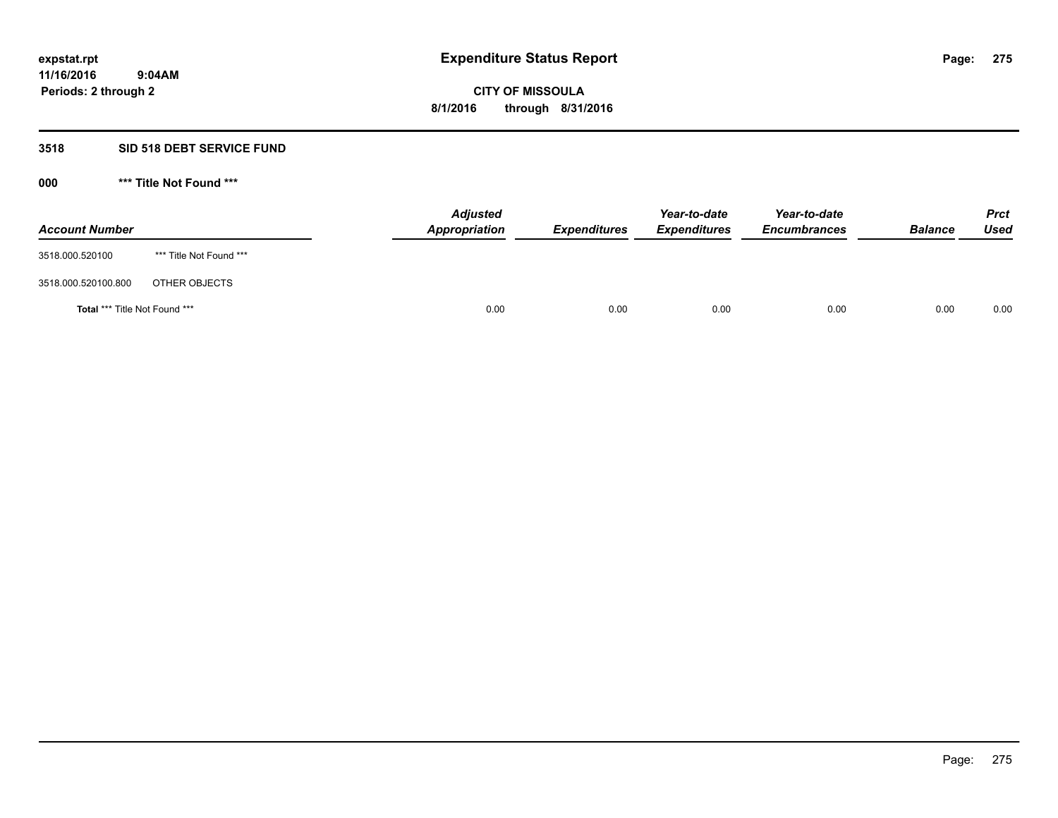### **3518 SID 518 DEBT SERVICE FUND**

| <b>Account Number</b>                |                         | <b>Adjusted</b><br><b>Appropriation</b> | <b>Expenditures</b> | Year-to-date<br><b>Expenditures</b> | Year-to-date<br><b>Encumbrances</b> | <b>Balance</b> | <b>Prct</b><br><b>Used</b> |
|--------------------------------------|-------------------------|-----------------------------------------|---------------------|-------------------------------------|-------------------------------------|----------------|----------------------------|
| 3518.000.520100                      | *** Title Not Found *** |                                         |                     |                                     |                                     |                |                            |
| 3518.000.520100.800                  | OTHER OBJECTS           |                                         |                     |                                     |                                     |                |                            |
| <b>Total *** Title Not Found ***</b> |                         | 0.00                                    | 0.00                | 0.00                                | 0.00                                | 0.00           | 0.00                       |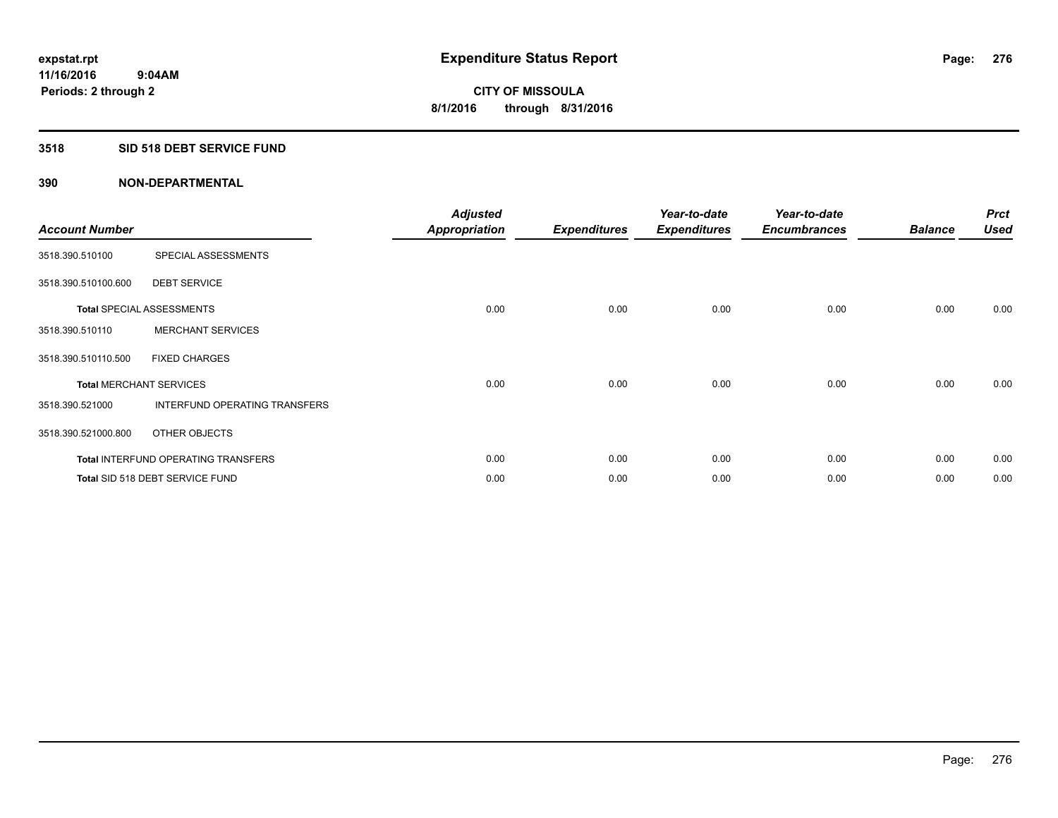#### **3518 SID 518 DEBT SERVICE FUND**

| <b>Account Number</b> |                                            | <b>Adjusted</b><br><b>Appropriation</b> | <b>Expenditures</b> | Year-to-date<br><b>Expenditures</b> | Year-to-date<br><b>Encumbrances</b> | <b>Balance</b> | <b>Prct</b><br><b>Used</b> |
|-----------------------|--------------------------------------------|-----------------------------------------|---------------------|-------------------------------------|-------------------------------------|----------------|----------------------------|
| 3518.390.510100       | SPECIAL ASSESSMENTS                        |                                         |                     |                                     |                                     |                |                            |
| 3518.390.510100.600   | <b>DEBT SERVICE</b>                        |                                         |                     |                                     |                                     |                |                            |
|                       | <b>Total SPECIAL ASSESSMENTS</b>           | 0.00                                    | 0.00                | 0.00                                | 0.00                                | 0.00           | 0.00                       |
| 3518.390.510110       | <b>MERCHANT SERVICES</b>                   |                                         |                     |                                     |                                     |                |                            |
| 3518.390.510110.500   | <b>FIXED CHARGES</b>                       |                                         |                     |                                     |                                     |                |                            |
|                       | <b>Total MERCHANT SERVICES</b>             | 0.00                                    | 0.00                | 0.00                                | 0.00                                | 0.00           | 0.00                       |
| 3518.390.521000       | INTERFUND OPERATING TRANSFERS              |                                         |                     |                                     |                                     |                |                            |
| 3518.390.521000.800   | OTHER OBJECTS                              |                                         |                     |                                     |                                     |                |                            |
|                       | <b>Total INTERFUND OPERATING TRANSFERS</b> | 0.00                                    | 0.00                | 0.00                                | 0.00                                | 0.00           | 0.00                       |
|                       | Total SID 518 DEBT SERVICE FUND            | 0.00                                    | 0.00                | 0.00                                | 0.00                                | 0.00           | 0.00                       |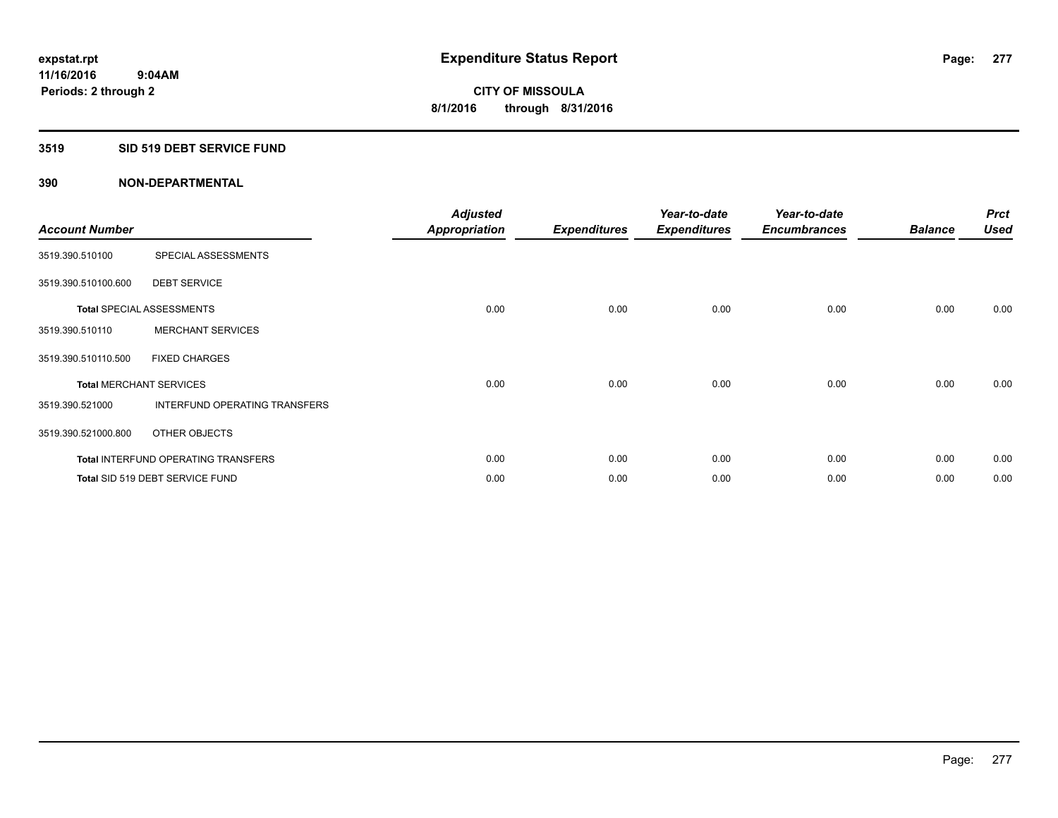#### **3519 SID 519 DEBT SERVICE FUND**

| <b>Account Number</b>          |                                            | <b>Adjusted</b><br><b>Appropriation</b> | <b>Expenditures</b> | Year-to-date<br><b>Expenditures</b> | Year-to-date<br><b>Encumbrances</b> | <b>Balance</b> | <b>Prct</b><br><b>Used</b> |
|--------------------------------|--------------------------------------------|-----------------------------------------|---------------------|-------------------------------------|-------------------------------------|----------------|----------------------------|
| 3519.390.510100                | SPECIAL ASSESSMENTS                        |                                         |                     |                                     |                                     |                |                            |
| 3519.390.510100.600            | <b>DEBT SERVICE</b>                        |                                         |                     |                                     |                                     |                |                            |
|                                | <b>Total SPECIAL ASSESSMENTS</b>           | 0.00                                    | 0.00                | 0.00                                | 0.00                                | 0.00           | 0.00                       |
| 3519.390.510110                | <b>MERCHANT SERVICES</b>                   |                                         |                     |                                     |                                     |                |                            |
| 3519.390.510110.500            | <b>FIXED CHARGES</b>                       |                                         |                     |                                     |                                     |                |                            |
| <b>Total MERCHANT SERVICES</b> |                                            | 0.00                                    | 0.00                | 0.00                                | 0.00                                | 0.00           | 0.00                       |
| 3519.390.521000                | INTERFUND OPERATING TRANSFERS              |                                         |                     |                                     |                                     |                |                            |
| 3519.390.521000.800            | OTHER OBJECTS                              |                                         |                     |                                     |                                     |                |                            |
|                                | <b>Total INTERFUND OPERATING TRANSFERS</b> | 0.00                                    | 0.00                | 0.00                                | 0.00                                | 0.00           | 0.00                       |
|                                | Total SID 519 DEBT SERVICE FUND            | 0.00                                    | 0.00                | 0.00                                | 0.00                                | 0.00           | 0.00                       |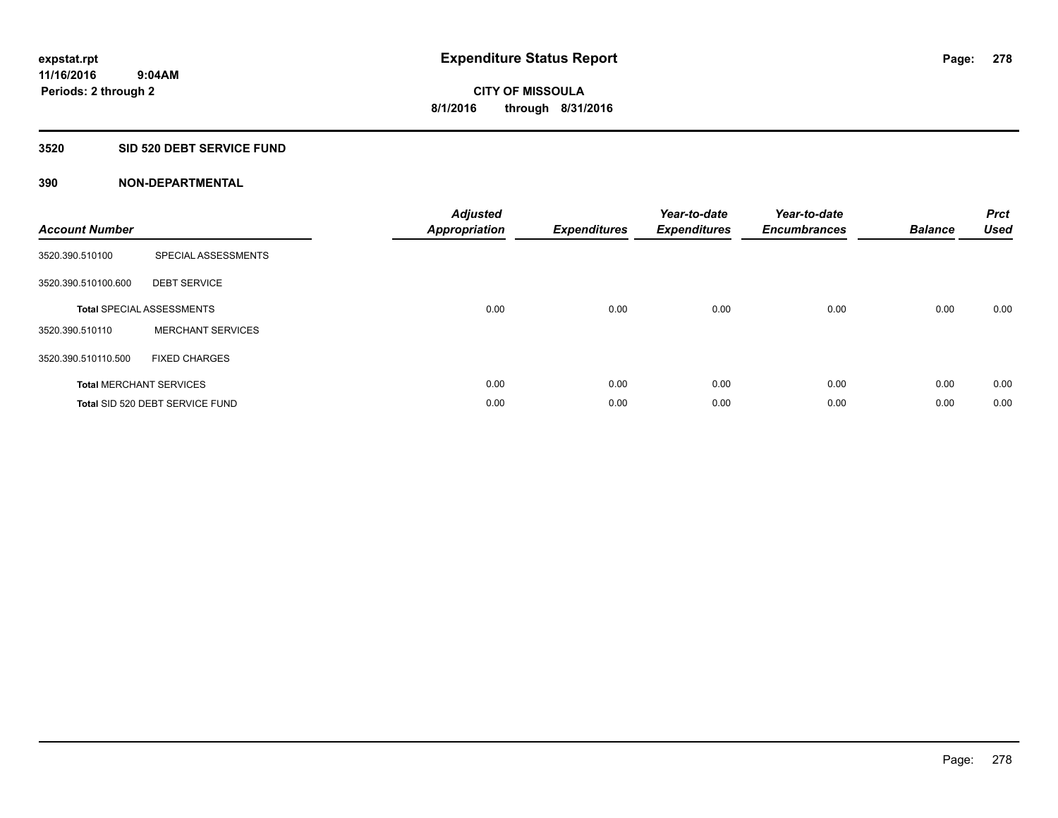### **3520 SID 520 DEBT SERVICE FUND**

| <b>Account Number</b> |                                  | <b>Adjusted</b><br>Appropriation | <b>Expenditures</b> | Year-to-date<br><b>Expenditures</b> | Year-to-date<br><b>Encumbrances</b> | <b>Balance</b> | <b>Prct</b><br><b>Used</b> |
|-----------------------|----------------------------------|----------------------------------|---------------------|-------------------------------------|-------------------------------------|----------------|----------------------------|
| 3520.390.510100       | SPECIAL ASSESSMENTS              |                                  |                     |                                     |                                     |                |                            |
| 3520.390.510100.600   | <b>DEBT SERVICE</b>              |                                  |                     |                                     |                                     |                |                            |
|                       | <b>Total SPECIAL ASSESSMENTS</b> | 0.00                             | 0.00                | 0.00                                | 0.00                                | 0.00           | 0.00                       |
| 3520.390.510110       | <b>MERCHANT SERVICES</b>         |                                  |                     |                                     |                                     |                |                            |
| 3520.390.510110.500   | <b>FIXED CHARGES</b>             |                                  |                     |                                     |                                     |                |                            |
|                       | <b>Total MERCHANT SERVICES</b>   | 0.00                             | 0.00                | 0.00                                | 0.00                                | 0.00           | 0.00                       |
|                       | Total SID 520 DEBT SERVICE FUND  | 0.00                             | 0.00                | 0.00                                | 0.00                                | 0.00           | 0.00                       |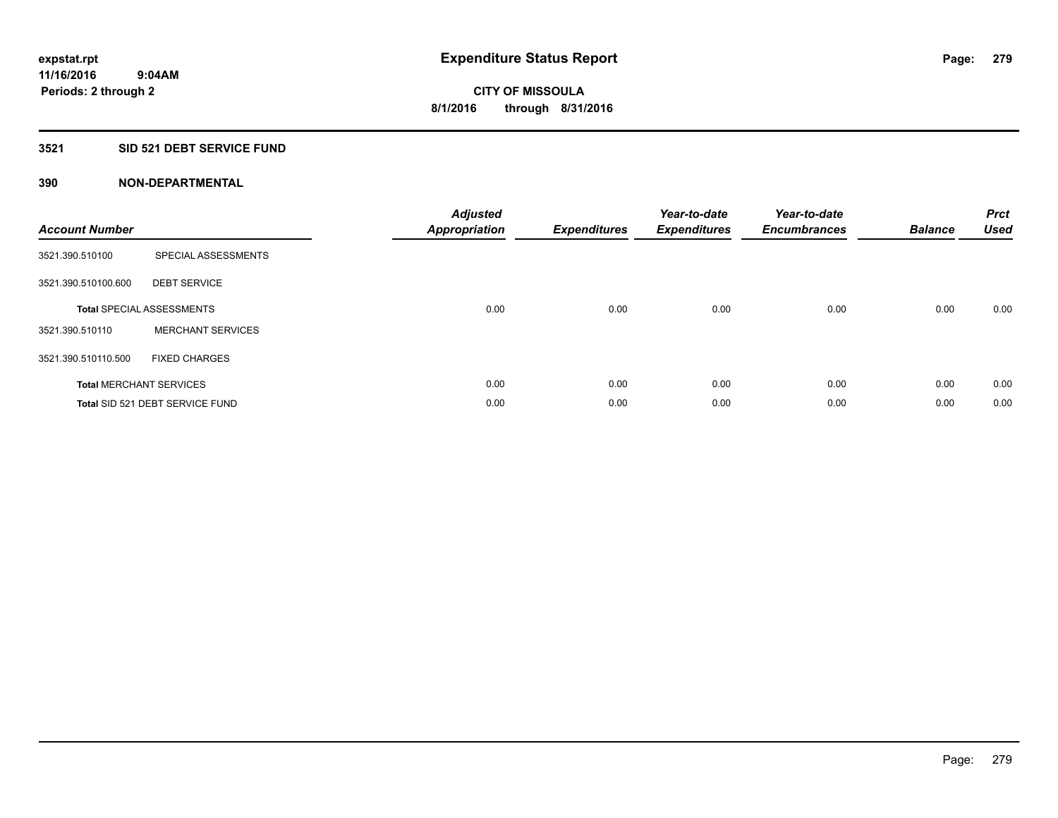#### **3521 SID 521 DEBT SERVICE FUND**

| <b>Account Number</b> |                                  | <b>Adjusted</b><br><b>Appropriation</b> | <b>Expenditures</b> | Year-to-date<br><b>Expenditures</b> | Year-to-date<br><b>Encumbrances</b> | <b>Balance</b> | <b>Prct</b><br><b>Used</b> |
|-----------------------|----------------------------------|-----------------------------------------|---------------------|-------------------------------------|-------------------------------------|----------------|----------------------------|
| 3521.390.510100       | SPECIAL ASSESSMENTS              |                                         |                     |                                     |                                     |                |                            |
| 3521.390.510100.600   | <b>DEBT SERVICE</b>              |                                         |                     |                                     |                                     |                |                            |
|                       | <b>Total SPECIAL ASSESSMENTS</b> | 0.00                                    | 0.00                | 0.00                                | 0.00                                | 0.00           | 0.00                       |
| 3521.390.510110       | <b>MERCHANT SERVICES</b>         |                                         |                     |                                     |                                     |                |                            |
| 3521.390.510110.500   | <b>FIXED CHARGES</b>             |                                         |                     |                                     |                                     |                |                            |
|                       | <b>Total MERCHANT SERVICES</b>   | 0.00                                    | 0.00                | 0.00                                | 0.00                                | 0.00           | 0.00                       |
|                       | Total SID 521 DEBT SERVICE FUND  | 0.00                                    | 0.00                | 0.00                                | 0.00                                | 0.00           | 0.00                       |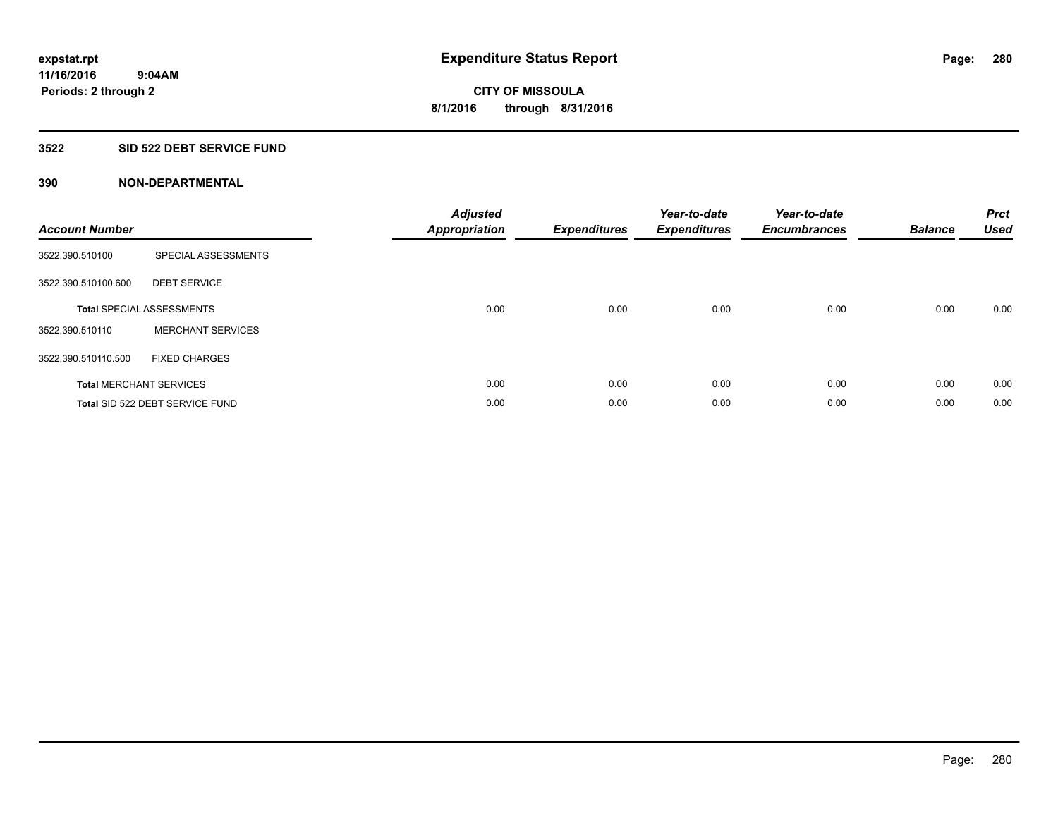### **3522 SID 522 DEBT SERVICE FUND**

| <b>Account Number</b> |                                  | <b>Adjusted</b><br><b>Appropriation</b> | <b>Expenditures</b> | Year-to-date<br><b>Expenditures</b> | Year-to-date<br><b>Encumbrances</b> | <b>Balance</b> | <b>Prct</b><br><b>Used</b> |
|-----------------------|----------------------------------|-----------------------------------------|---------------------|-------------------------------------|-------------------------------------|----------------|----------------------------|
| 3522.390.510100       | SPECIAL ASSESSMENTS              |                                         |                     |                                     |                                     |                |                            |
| 3522.390.510100.600   | <b>DEBT SERVICE</b>              |                                         |                     |                                     |                                     |                |                            |
|                       | <b>Total SPECIAL ASSESSMENTS</b> | 0.00                                    | 0.00                | 0.00                                | 0.00                                | 0.00           | 0.00                       |
| 3522.390.510110       | <b>MERCHANT SERVICES</b>         |                                         |                     |                                     |                                     |                |                            |
| 3522.390.510110.500   | <b>FIXED CHARGES</b>             |                                         |                     |                                     |                                     |                |                            |
|                       | <b>Total MERCHANT SERVICES</b>   | 0.00                                    | 0.00                | 0.00                                | 0.00                                | 0.00           | 0.00                       |
|                       | Total SID 522 DEBT SERVICE FUND  | 0.00                                    | 0.00                | 0.00                                | 0.00                                | 0.00           | 0.00                       |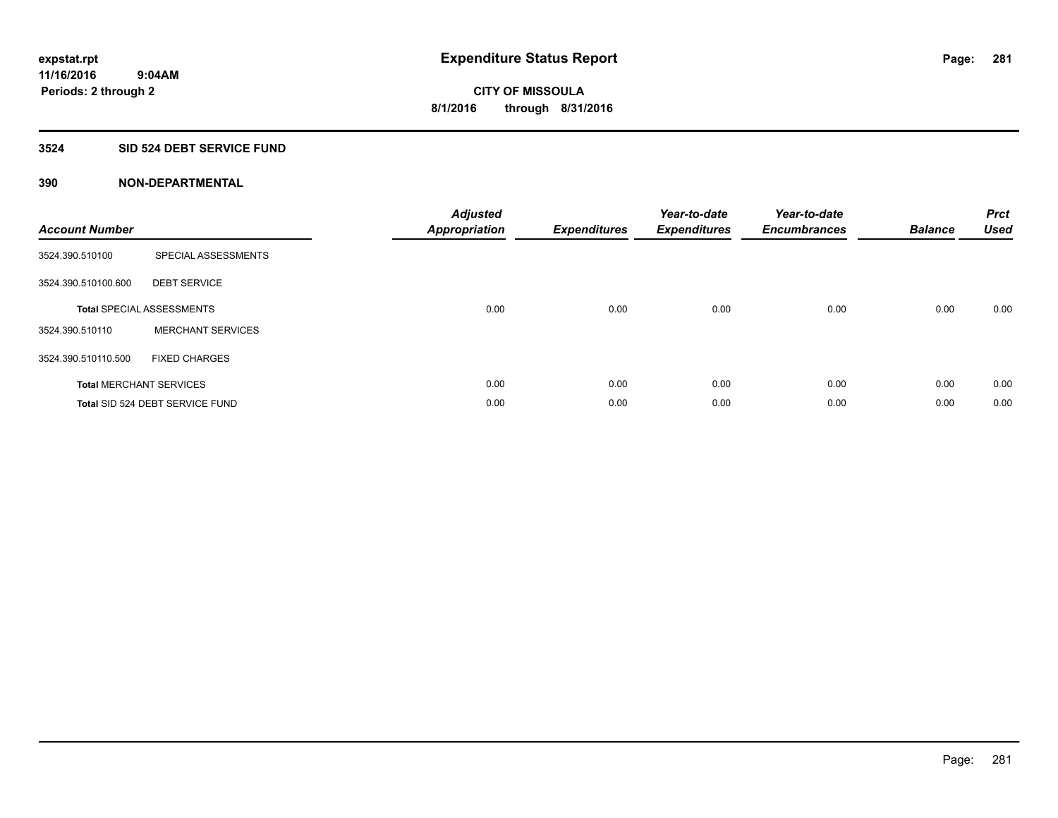### **3524 SID 524 DEBT SERVICE FUND**

| <b>Account Number</b> |                                  | <b>Adjusted</b><br><b>Appropriation</b> | <b>Expenditures</b> | Year-to-date<br><b>Expenditures</b> | Year-to-date<br><b>Encumbrances</b> | <b>Balance</b> | <b>Prct</b><br><b>Used</b> |
|-----------------------|----------------------------------|-----------------------------------------|---------------------|-------------------------------------|-------------------------------------|----------------|----------------------------|
| 3524.390.510100       | SPECIAL ASSESSMENTS              |                                         |                     |                                     |                                     |                |                            |
| 3524.390.510100.600   | <b>DEBT SERVICE</b>              |                                         |                     |                                     |                                     |                |                            |
|                       | <b>Total SPECIAL ASSESSMENTS</b> | 0.00                                    | 0.00                | 0.00                                | 0.00                                | 0.00           | 0.00                       |
| 3524.390.510110       | <b>MERCHANT SERVICES</b>         |                                         |                     |                                     |                                     |                |                            |
| 3524.390.510110.500   | <b>FIXED CHARGES</b>             |                                         |                     |                                     |                                     |                |                            |
|                       | <b>Total MERCHANT SERVICES</b>   | 0.00                                    | 0.00                | 0.00                                | 0.00                                | 0.00           | 0.00                       |
|                       | Total SID 524 DEBT SERVICE FUND  | 0.00                                    | 0.00                | 0.00                                | 0.00                                | 0.00           | 0.00                       |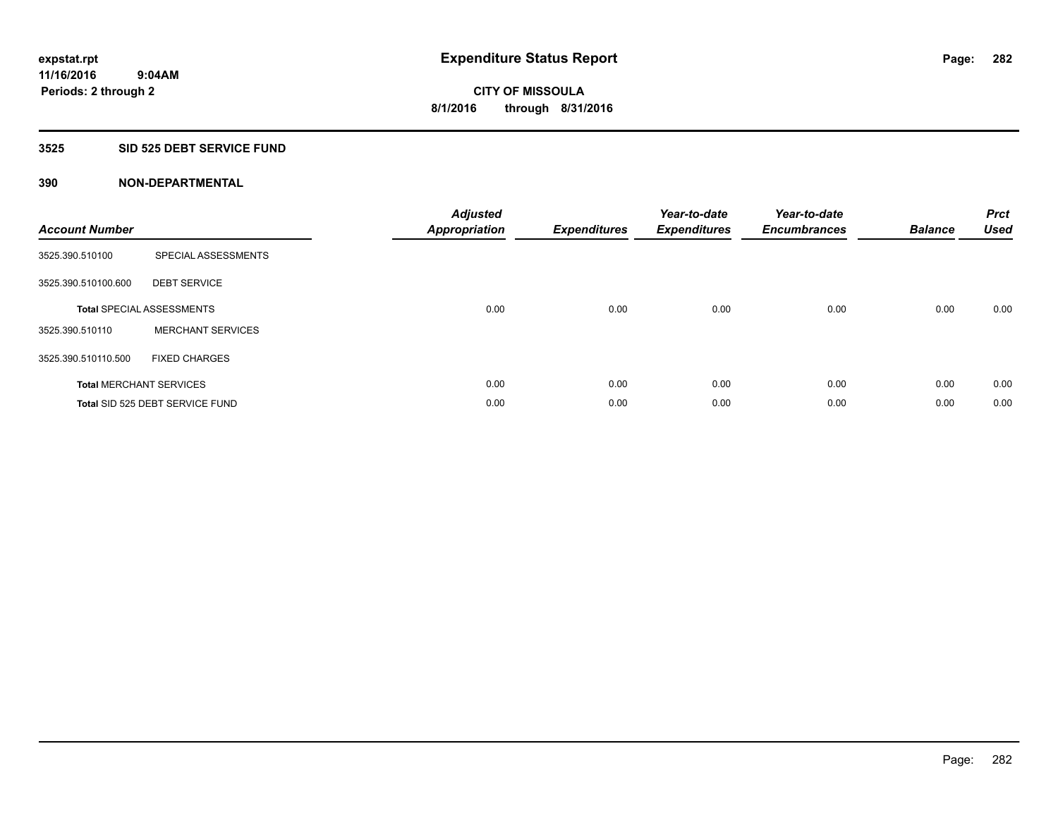### **3525 SID 525 DEBT SERVICE FUND**

| <b>Account Number</b> |                                  | <b>Adjusted</b><br><b>Appropriation</b> | <b>Expenditures</b> | Year-to-date<br><b>Expenditures</b> | Year-to-date<br><b>Encumbrances</b> | <b>Balance</b> | <b>Prct</b><br><b>Used</b> |
|-----------------------|----------------------------------|-----------------------------------------|---------------------|-------------------------------------|-------------------------------------|----------------|----------------------------|
| 3525.390.510100       | SPECIAL ASSESSMENTS              |                                         |                     |                                     |                                     |                |                            |
| 3525.390.510100.600   | <b>DEBT SERVICE</b>              |                                         |                     |                                     |                                     |                |                            |
|                       | <b>Total SPECIAL ASSESSMENTS</b> | 0.00                                    | 0.00                | 0.00                                | 0.00                                | 0.00           | 0.00                       |
| 3525.390.510110       | <b>MERCHANT SERVICES</b>         |                                         |                     |                                     |                                     |                |                            |
| 3525.390.510110.500   | <b>FIXED CHARGES</b>             |                                         |                     |                                     |                                     |                |                            |
|                       | <b>Total MERCHANT SERVICES</b>   | 0.00                                    | 0.00                | 0.00                                | 0.00                                | 0.00           | 0.00                       |
|                       | Total SID 525 DEBT SERVICE FUND  | 0.00                                    | 0.00                | 0.00                                | 0.00                                | 0.00           | 0.00                       |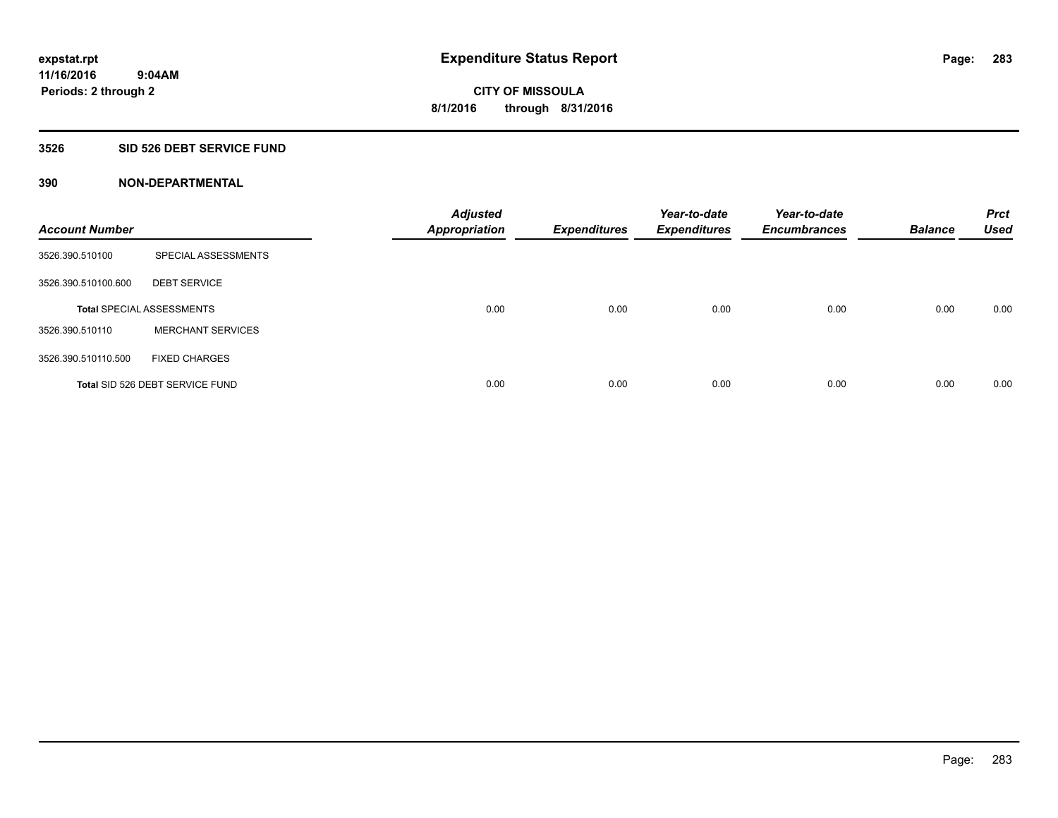### **3526 SID 526 DEBT SERVICE FUND**

| <b>Account Number</b> |                                  | <b>Adjusted</b><br><b>Appropriation</b> | <b>Expenditures</b> | Year-to-date<br><b>Expenditures</b> | Year-to-date<br><b>Encumbrances</b> | <b>Balance</b> | <b>Prct</b><br><b>Used</b> |
|-----------------------|----------------------------------|-----------------------------------------|---------------------|-------------------------------------|-------------------------------------|----------------|----------------------------|
| 3526.390.510100       | SPECIAL ASSESSMENTS              |                                         |                     |                                     |                                     |                |                            |
| 3526.390.510100.600   | <b>DEBT SERVICE</b>              |                                         |                     |                                     |                                     |                |                            |
|                       | <b>Total SPECIAL ASSESSMENTS</b> | 0.00                                    | 0.00                | 0.00                                | 0.00                                | 0.00           | 0.00                       |
| 3526.390.510110       | <b>MERCHANT SERVICES</b>         |                                         |                     |                                     |                                     |                |                            |
| 3526.390.510110.500   | <b>FIXED CHARGES</b>             |                                         |                     |                                     |                                     |                |                            |
|                       | Total SID 526 DEBT SERVICE FUND  | 0.00                                    | 0.00                | 0.00                                | 0.00                                | 0.00           | 0.00                       |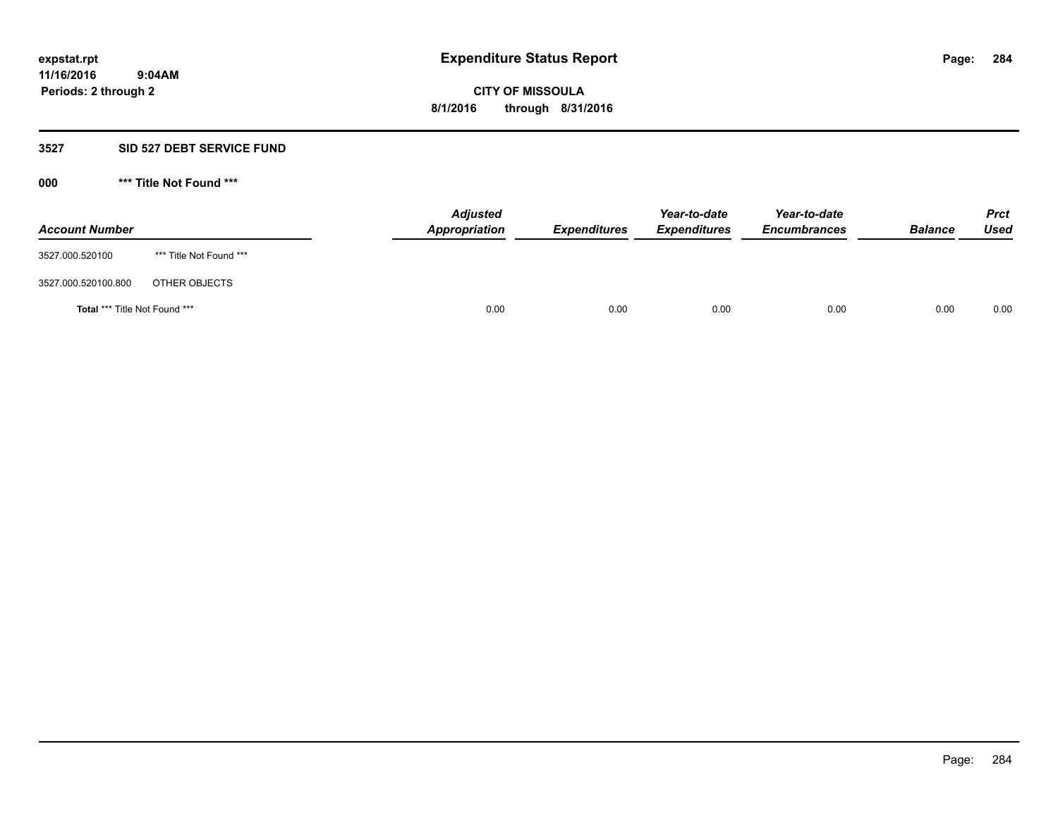#### **3527 SID 527 DEBT SERVICE FUND**

| <b>Account Number</b>                |                         | <b>Adjusted</b><br><b>Appropriation</b> | <b>Expenditures</b> | Year-to-date<br><b>Expenditures</b> | Year-to-date<br><b>Encumbrances</b> | <b>Balance</b> | <b>Prct</b><br><b>Used</b> |
|--------------------------------------|-------------------------|-----------------------------------------|---------------------|-------------------------------------|-------------------------------------|----------------|----------------------------|
| 3527.000.520100                      | *** Title Not Found *** |                                         |                     |                                     |                                     |                |                            |
| 3527.000.520100.800                  | OTHER OBJECTS           |                                         |                     |                                     |                                     |                |                            |
| <b>Total *** Title Not Found ***</b> |                         | 0.00                                    | 0.00                | 0.00                                | 0.00                                | 0.00           | 0.00                       |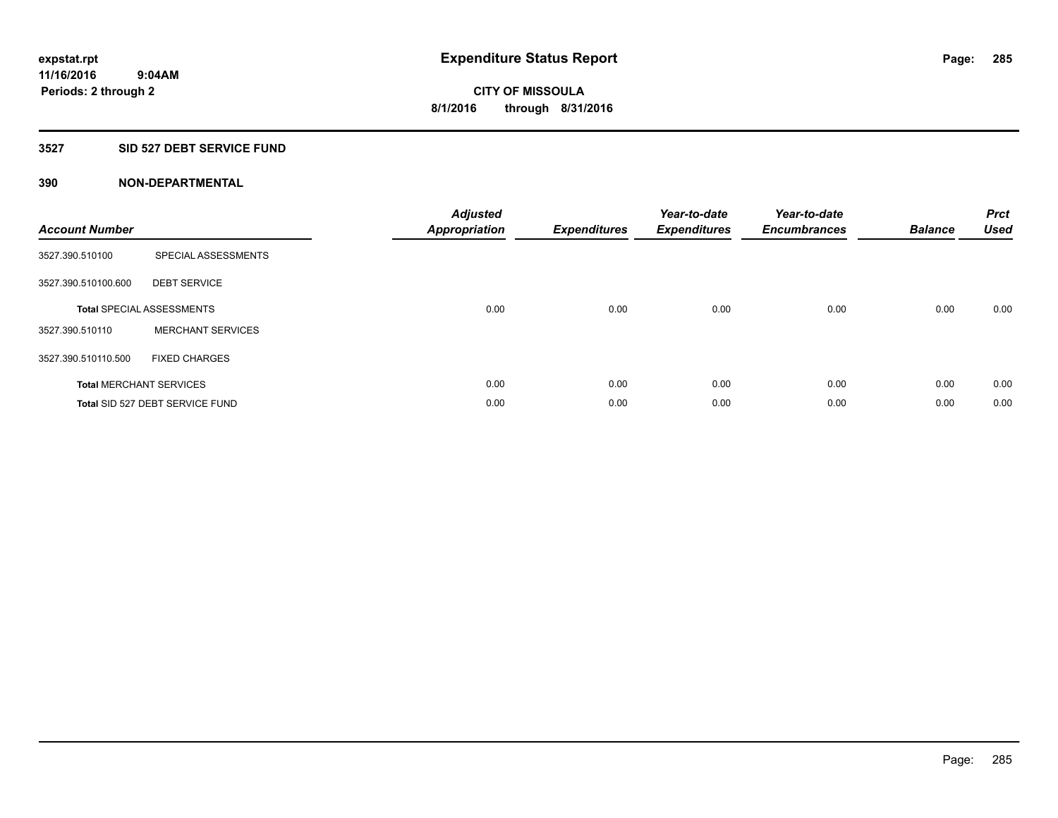### **3527 SID 527 DEBT SERVICE FUND**

| <b>Account Number</b> |                                  | <b>Adjusted</b><br>Appropriation | <b>Expenditures</b> | Year-to-date<br><b>Expenditures</b> | Year-to-date<br><b>Encumbrances</b> | <b>Balance</b> | <b>Prct</b><br><b>Used</b> |
|-----------------------|----------------------------------|----------------------------------|---------------------|-------------------------------------|-------------------------------------|----------------|----------------------------|
| 3527.390.510100       | SPECIAL ASSESSMENTS              |                                  |                     |                                     |                                     |                |                            |
| 3527.390.510100.600   | <b>DEBT SERVICE</b>              |                                  |                     |                                     |                                     |                |                            |
|                       | <b>Total SPECIAL ASSESSMENTS</b> | 0.00                             | 0.00                | 0.00                                | 0.00                                | 0.00           | 0.00                       |
| 3527.390.510110       | <b>MERCHANT SERVICES</b>         |                                  |                     |                                     |                                     |                |                            |
| 3527.390.510110.500   | <b>FIXED CHARGES</b>             |                                  |                     |                                     |                                     |                |                            |
|                       | <b>Total MERCHANT SERVICES</b>   | 0.00                             | 0.00                | 0.00                                | 0.00                                | 0.00           | 0.00                       |
|                       | Total SID 527 DEBT SERVICE FUND  | 0.00                             | 0.00                | 0.00                                | 0.00                                | 0.00           | 0.00                       |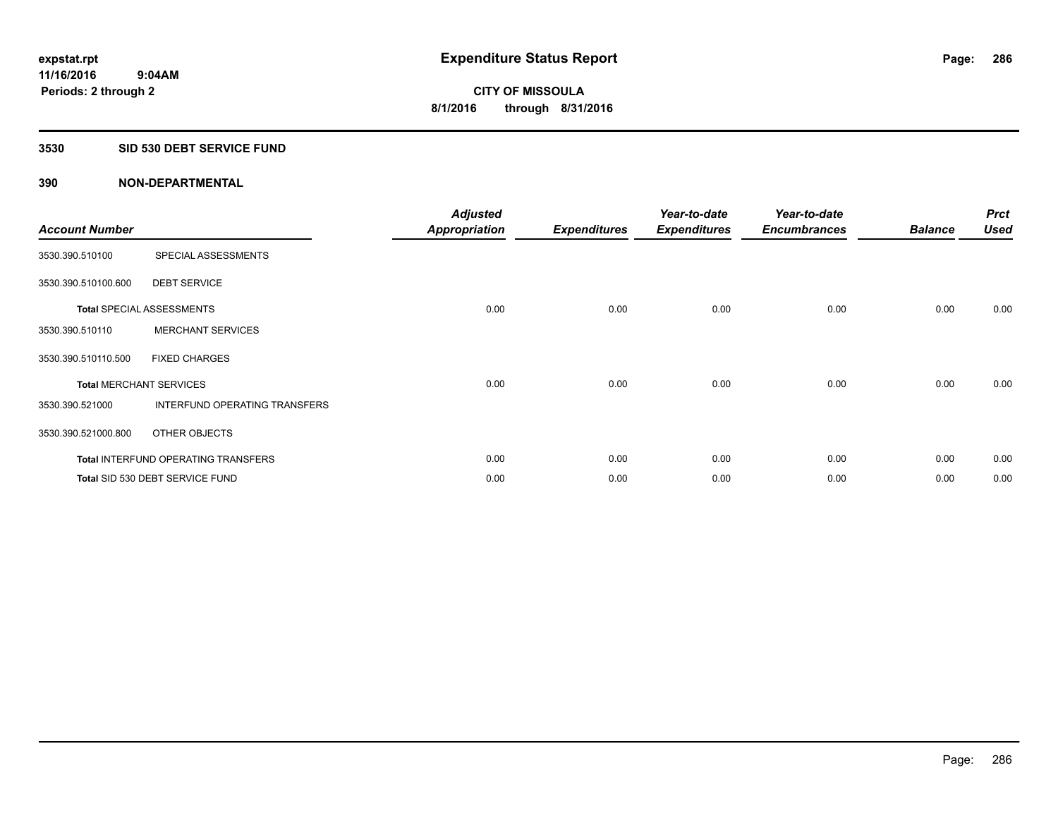### **3530 SID 530 DEBT SERVICE FUND**

| <b>Account Number</b> |                                            | <b>Adjusted</b><br><b>Appropriation</b> | <b>Expenditures</b> | Year-to-date<br><b>Expenditures</b> | Year-to-date<br><b>Encumbrances</b> | <b>Balance</b> | <b>Prct</b><br><b>Used</b> |
|-----------------------|--------------------------------------------|-----------------------------------------|---------------------|-------------------------------------|-------------------------------------|----------------|----------------------------|
| 3530.390.510100       | SPECIAL ASSESSMENTS                        |                                         |                     |                                     |                                     |                |                            |
| 3530.390.510100.600   | <b>DEBT SERVICE</b>                        |                                         |                     |                                     |                                     |                |                            |
|                       | <b>Total SPECIAL ASSESSMENTS</b>           | 0.00                                    | 0.00                | 0.00                                | 0.00                                | 0.00           | 0.00                       |
| 3530.390.510110       | <b>MERCHANT SERVICES</b>                   |                                         |                     |                                     |                                     |                |                            |
| 3530.390.510110.500   | <b>FIXED CHARGES</b>                       |                                         |                     |                                     |                                     |                |                            |
|                       | <b>Total MERCHANT SERVICES</b>             | 0.00                                    | 0.00                | 0.00                                | 0.00                                | 0.00           | 0.00                       |
| 3530.390.521000       | INTERFUND OPERATING TRANSFERS              |                                         |                     |                                     |                                     |                |                            |
| 3530.390.521000.800   | OTHER OBJECTS                              |                                         |                     |                                     |                                     |                |                            |
|                       | <b>Total INTERFUND OPERATING TRANSFERS</b> | 0.00                                    | 0.00                | 0.00                                | 0.00                                | 0.00           | 0.00                       |
|                       | Total SID 530 DEBT SERVICE FUND            | 0.00                                    | 0.00                | 0.00                                | 0.00                                | 0.00           | 0.00                       |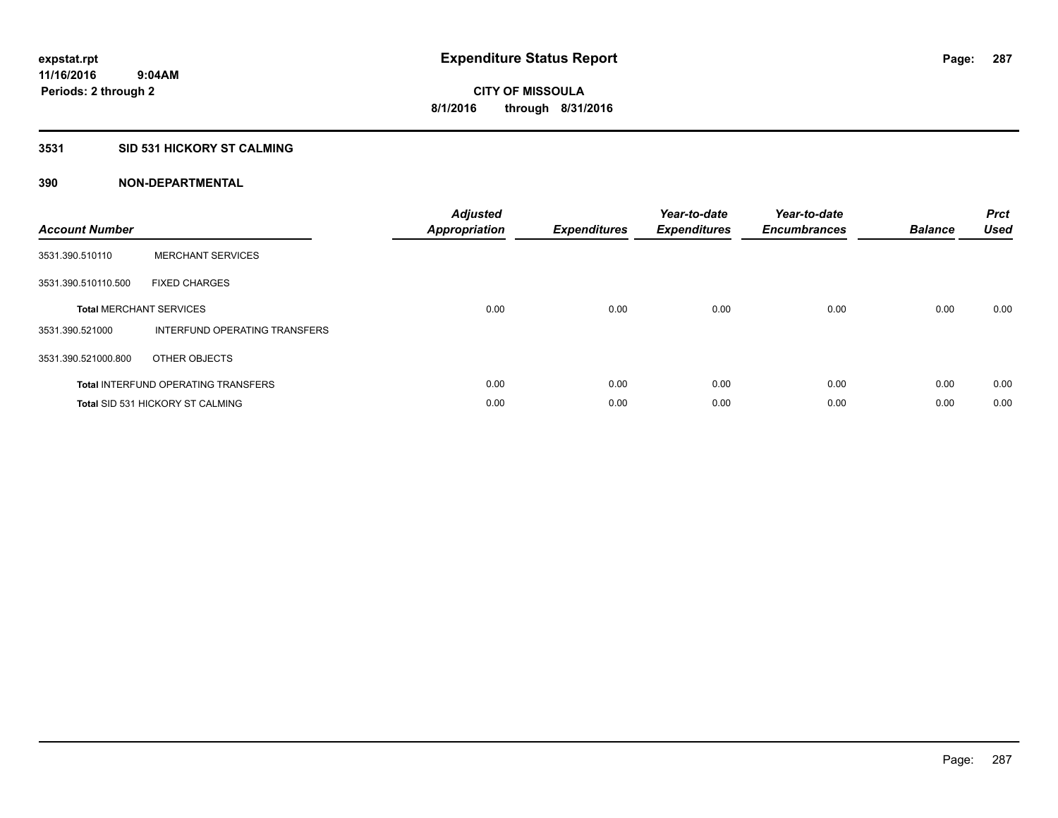## **3531 SID 531 HICKORY ST CALMING**

| <b>Account Number</b> |                                            | <b>Adjusted</b><br>Appropriation | <b>Expenditures</b> | Year-to-date<br><b>Expenditures</b> | Year-to-date<br><b>Encumbrances</b> | <b>Balance</b> | <b>Prct</b><br><b>Used</b> |
|-----------------------|--------------------------------------------|----------------------------------|---------------------|-------------------------------------|-------------------------------------|----------------|----------------------------|
| 3531.390.510110       | <b>MERCHANT SERVICES</b>                   |                                  |                     |                                     |                                     |                |                            |
| 3531.390.510110.500   | <b>FIXED CHARGES</b>                       |                                  |                     |                                     |                                     |                |                            |
|                       | <b>Total MERCHANT SERVICES</b>             | 0.00                             | 0.00                | 0.00                                | 0.00                                | 0.00           | 0.00                       |
| 3531.390.521000       | INTERFUND OPERATING TRANSFERS              |                                  |                     |                                     |                                     |                |                            |
| 3531.390.521000.800   | OTHER OBJECTS                              |                                  |                     |                                     |                                     |                |                            |
|                       | <b>Total INTERFUND OPERATING TRANSFERS</b> | 0.00                             | 0.00                | 0.00                                | 0.00                                | 0.00           | 0.00                       |
|                       | <b>Total SID 531 HICKORY ST CALMING</b>    | 0.00                             | 0.00                | 0.00                                | 0.00                                | 0.00           | 0.00                       |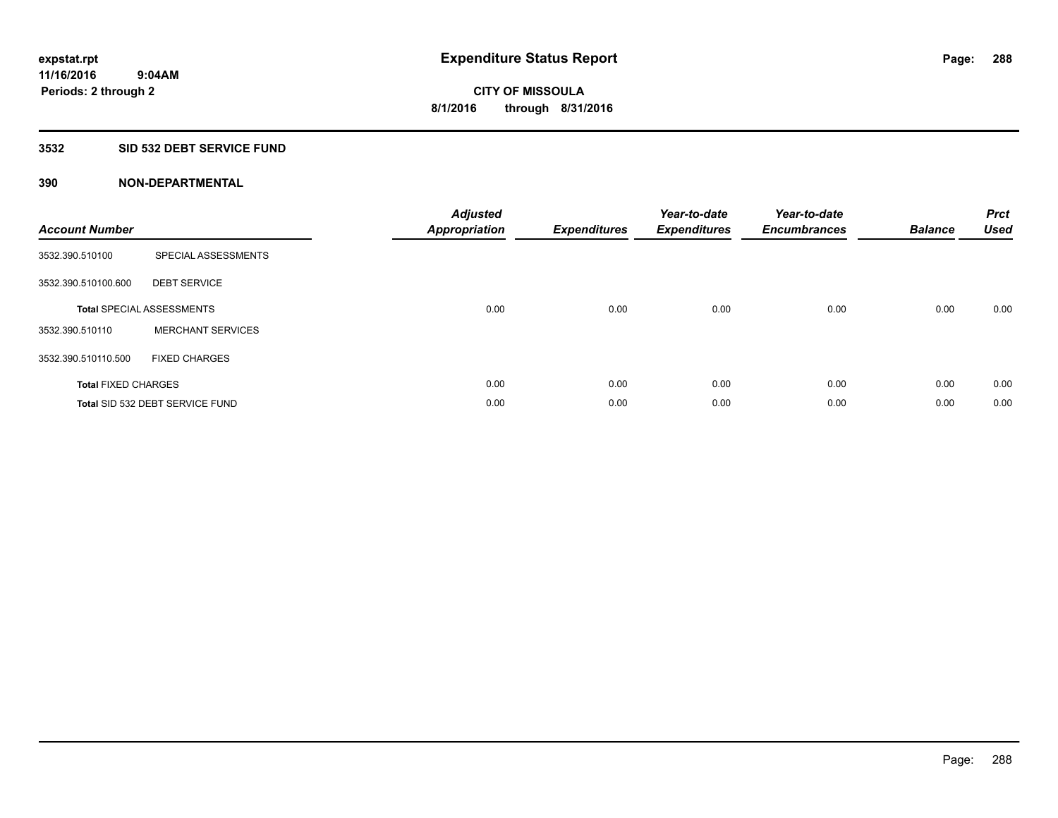### **3532 SID 532 DEBT SERVICE FUND**

| <b>Account Number</b>      |                                  | <b>Adjusted</b><br>Appropriation | <b>Expenditures</b> | Year-to-date<br><b>Expenditures</b> | Year-to-date<br><b>Encumbrances</b> | <b>Balance</b> | <b>Prct</b><br><b>Used</b> |
|----------------------------|----------------------------------|----------------------------------|---------------------|-------------------------------------|-------------------------------------|----------------|----------------------------|
| 3532.390.510100            | SPECIAL ASSESSMENTS              |                                  |                     |                                     |                                     |                |                            |
| 3532.390.510100.600        | <b>DEBT SERVICE</b>              |                                  |                     |                                     |                                     |                |                            |
|                            | <b>Total SPECIAL ASSESSMENTS</b> | 0.00                             | 0.00                | 0.00                                | 0.00                                | 0.00           | 0.00                       |
| 3532.390.510110            | <b>MERCHANT SERVICES</b>         |                                  |                     |                                     |                                     |                |                            |
| 3532.390.510110.500        | <b>FIXED CHARGES</b>             |                                  |                     |                                     |                                     |                |                            |
| <b>Total FIXED CHARGES</b> |                                  | 0.00                             | 0.00                | 0.00                                | 0.00                                | 0.00           | 0.00                       |
|                            | Total SID 532 DEBT SERVICE FUND  | 0.00                             | 0.00                | 0.00                                | 0.00                                | 0.00           | 0.00                       |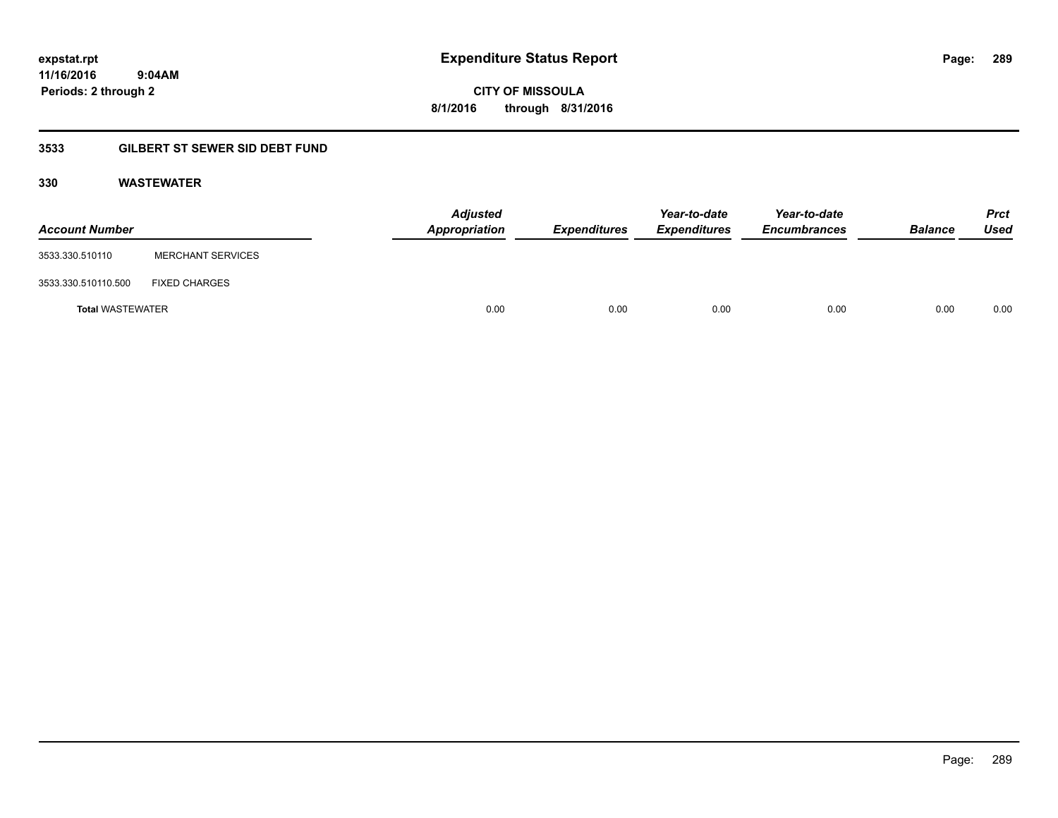**CITY OF MISSOULA 8/1/2016 through 8/31/2016**

## **3533 GILBERT ST SEWER SID DEBT FUND**

#### **330 WASTEWATER**

| <b>Account Number</b>   |                          | <b>Adjusted</b><br>Appropriation | <b>Expenditures</b> | Year-to-date<br><b>Expenditures</b> | Year-to-date<br><b>Encumbrances</b> | <b>Balance</b> | <b>Prct</b><br>Used |
|-------------------------|--------------------------|----------------------------------|---------------------|-------------------------------------|-------------------------------------|----------------|---------------------|
| 3533.330.510110         | <b>MERCHANT SERVICES</b> |                                  |                     |                                     |                                     |                |                     |
| 3533.330.510110.500     | <b>FIXED CHARGES</b>     |                                  |                     |                                     |                                     |                |                     |
| <b>Total WASTEWATER</b> |                          | 0.00                             | 0.00                | 0.00                                | 0.00                                | 0.00           | 0.00                |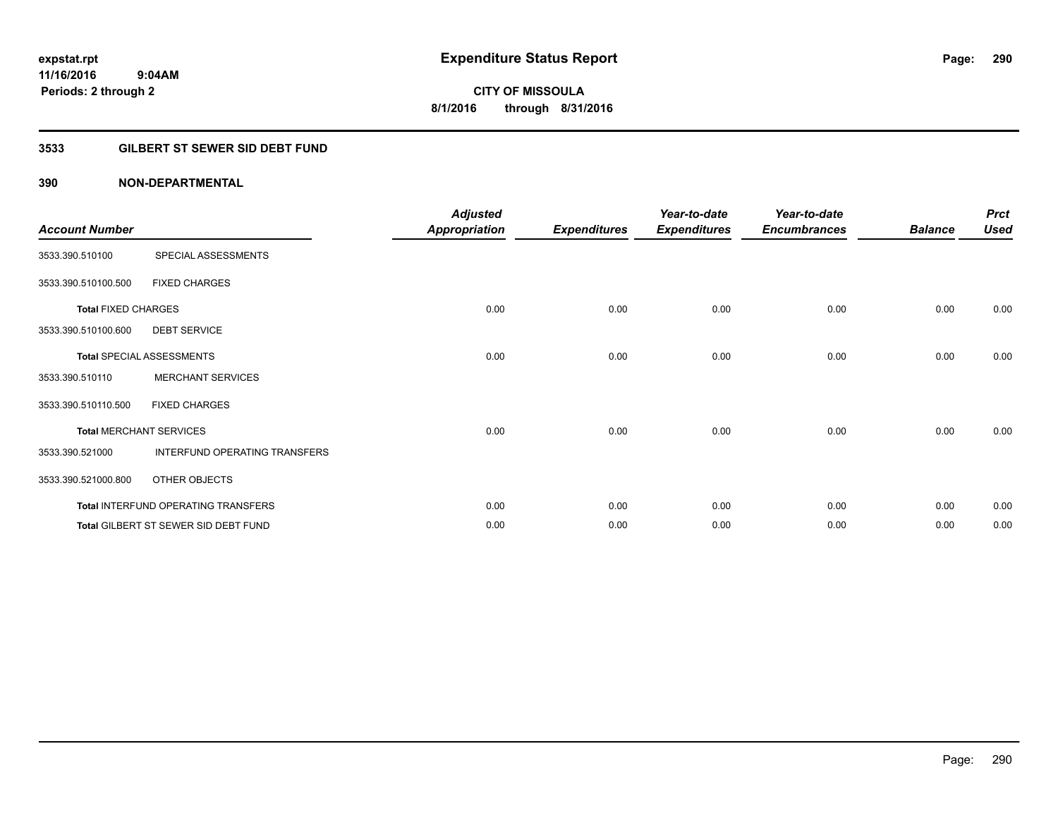### **3533 GILBERT ST SEWER SID DEBT FUND**

| <b>Account Number</b>      |                                      | <b>Adjusted</b><br>Appropriation | <b>Expenditures</b> | Year-to-date<br><b>Expenditures</b> | Year-to-date<br><b>Encumbrances</b> | <b>Balance</b> | <b>Prct</b><br><b>Used</b> |
|----------------------------|--------------------------------------|----------------------------------|---------------------|-------------------------------------|-------------------------------------|----------------|----------------------------|
| 3533.390.510100            | SPECIAL ASSESSMENTS                  |                                  |                     |                                     |                                     |                |                            |
| 3533.390.510100.500        | <b>FIXED CHARGES</b>                 |                                  |                     |                                     |                                     |                |                            |
| <b>Total FIXED CHARGES</b> |                                      | 0.00                             | 0.00                | 0.00                                | 0.00                                | 0.00           | 0.00                       |
| 3533.390.510100.600        | <b>DEBT SERVICE</b>                  |                                  |                     |                                     |                                     |                |                            |
|                            | <b>Total SPECIAL ASSESSMENTS</b>     | 0.00                             | 0.00                | 0.00                                | 0.00                                | 0.00           | 0.00                       |
| 3533.390.510110            | <b>MERCHANT SERVICES</b>             |                                  |                     |                                     |                                     |                |                            |
| 3533.390.510110.500        | <b>FIXED CHARGES</b>                 |                                  |                     |                                     |                                     |                |                            |
|                            | <b>Total MERCHANT SERVICES</b>       | 0.00                             | 0.00                | 0.00                                | 0.00                                | 0.00           | 0.00                       |
| 3533.390.521000            | INTERFUND OPERATING TRANSFERS        |                                  |                     |                                     |                                     |                |                            |
| 3533.390.521000.800        | OTHER OBJECTS                        |                                  |                     |                                     |                                     |                |                            |
|                            | Total INTERFUND OPERATING TRANSFERS  | 0.00                             | 0.00                | 0.00                                | 0.00                                | 0.00           | 0.00                       |
|                            | Total GILBERT ST SEWER SID DEBT FUND | 0.00                             | 0.00                | 0.00                                | 0.00                                | 0.00           | 0.00                       |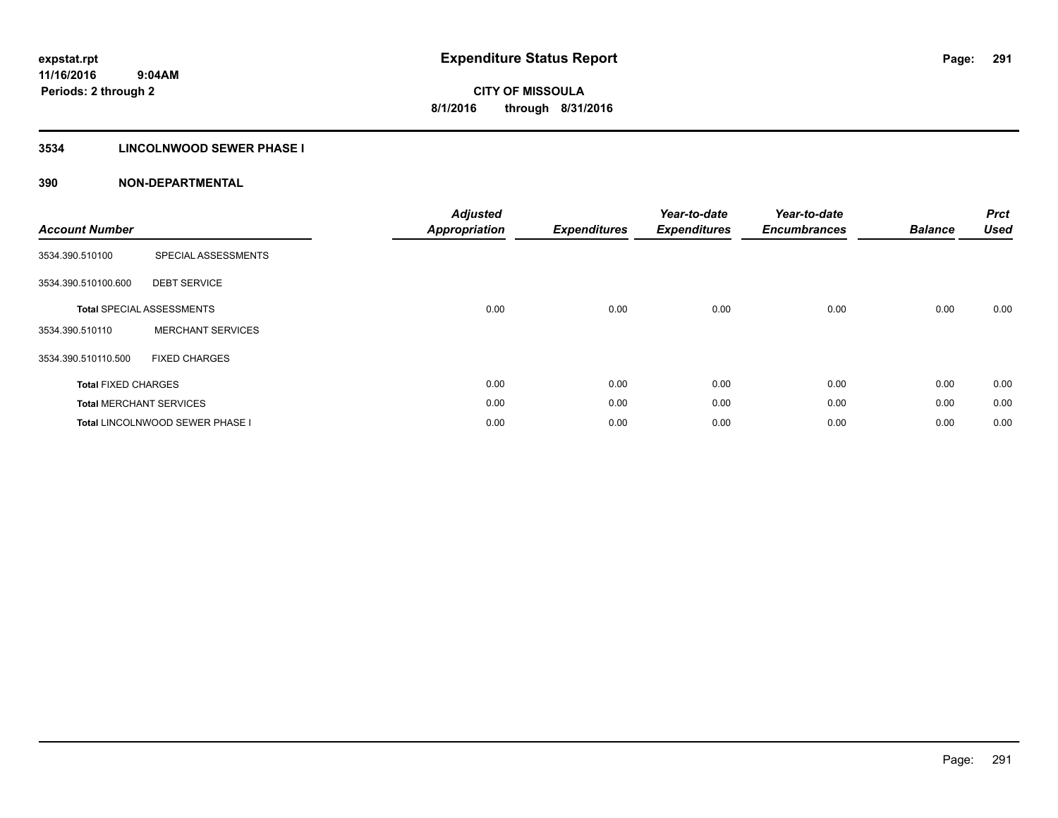### **3534 LINCOLNWOOD SEWER PHASE I**

| <b>Account Number</b>      |                                        | <b>Adjusted</b><br>Appropriation | <b>Expenditures</b> | Year-to-date<br><b>Expenditures</b> | Year-to-date<br><b>Encumbrances</b> | <b>Balance</b> | <b>Prct</b><br><b>Used</b> |
|----------------------------|----------------------------------------|----------------------------------|---------------------|-------------------------------------|-------------------------------------|----------------|----------------------------|
| 3534.390.510100            | SPECIAL ASSESSMENTS                    |                                  |                     |                                     |                                     |                |                            |
| 3534.390.510100.600        | <b>DEBT SERVICE</b>                    |                                  |                     |                                     |                                     |                |                            |
|                            | <b>Total SPECIAL ASSESSMENTS</b>       | 0.00                             | 0.00                | 0.00                                | 0.00                                | 0.00           | 0.00                       |
| 3534.390.510110            | <b>MERCHANT SERVICES</b>               |                                  |                     |                                     |                                     |                |                            |
| 3534.390.510110.500        | <b>FIXED CHARGES</b>                   |                                  |                     |                                     |                                     |                |                            |
| <b>Total FIXED CHARGES</b> |                                        | 0.00                             | 0.00                | 0.00                                | 0.00                                | 0.00           | 0.00                       |
|                            | <b>Total MERCHANT SERVICES</b>         | 0.00                             | 0.00                | 0.00                                | 0.00                                | 0.00           | 0.00                       |
|                            | <b>Total LINCOLNWOOD SEWER PHASE I</b> | 0.00                             | 0.00                | 0.00                                | 0.00                                | 0.00           | 0.00                       |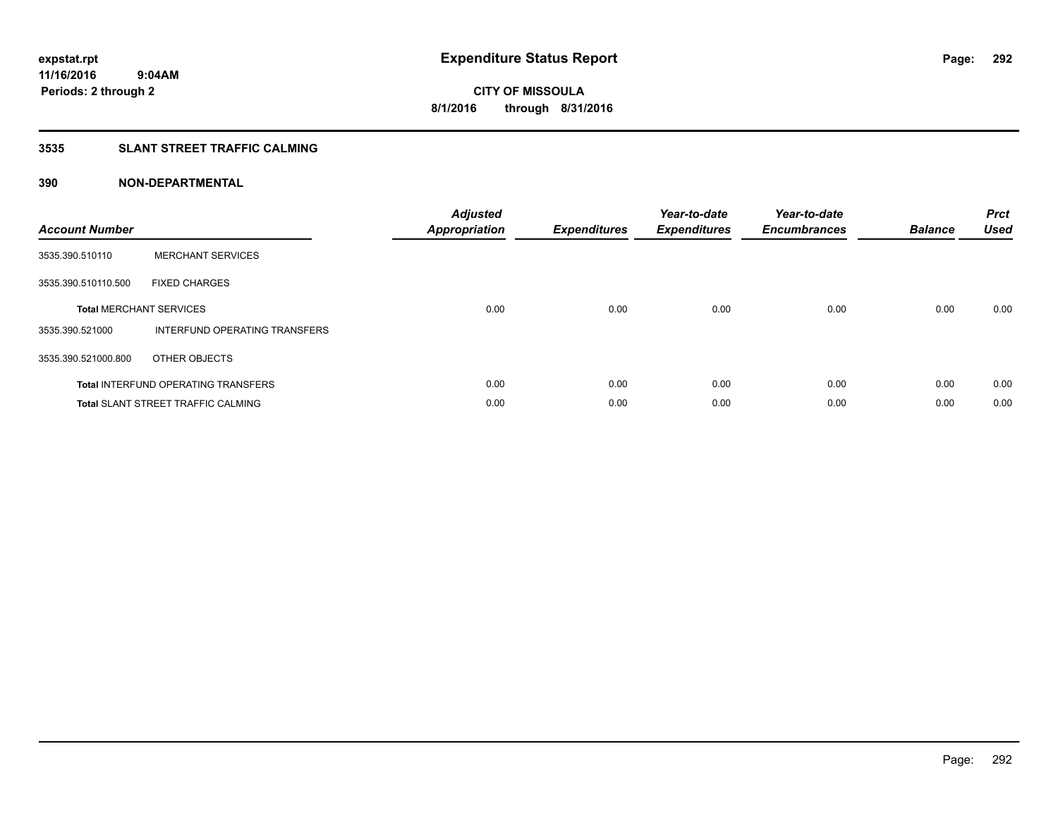### **3535 SLANT STREET TRAFFIC CALMING**

| <b>Account Number</b> |                                            | <b>Adjusted</b><br>Appropriation | <b>Expenditures</b> | Year-to-date<br><b>Expenditures</b> | Year-to-date<br><b>Encumbrances</b> | <b>Balance</b> | <b>Prct</b><br><b>Used</b> |
|-----------------------|--------------------------------------------|----------------------------------|---------------------|-------------------------------------|-------------------------------------|----------------|----------------------------|
| 3535.390.510110       | <b>MERCHANT SERVICES</b>                   |                                  |                     |                                     |                                     |                |                            |
| 3535.390.510110.500   | <b>FIXED CHARGES</b>                       |                                  |                     |                                     |                                     |                |                            |
|                       | <b>Total MERCHANT SERVICES</b>             | 0.00                             | 0.00                | 0.00                                | 0.00                                | 0.00           | 0.00                       |
| 3535.390.521000       | INTERFUND OPERATING TRANSFERS              |                                  |                     |                                     |                                     |                |                            |
| 3535.390.521000.800   | OTHER OBJECTS                              |                                  |                     |                                     |                                     |                |                            |
|                       | <b>Total INTERFUND OPERATING TRANSFERS</b> | 0.00                             | 0.00                | 0.00                                | 0.00                                | 0.00           | 0.00                       |
|                       | <b>Total SLANT STREET TRAFFIC CALMING</b>  | 0.00                             | 0.00                | 0.00                                | 0.00                                | 0.00           | 0.00                       |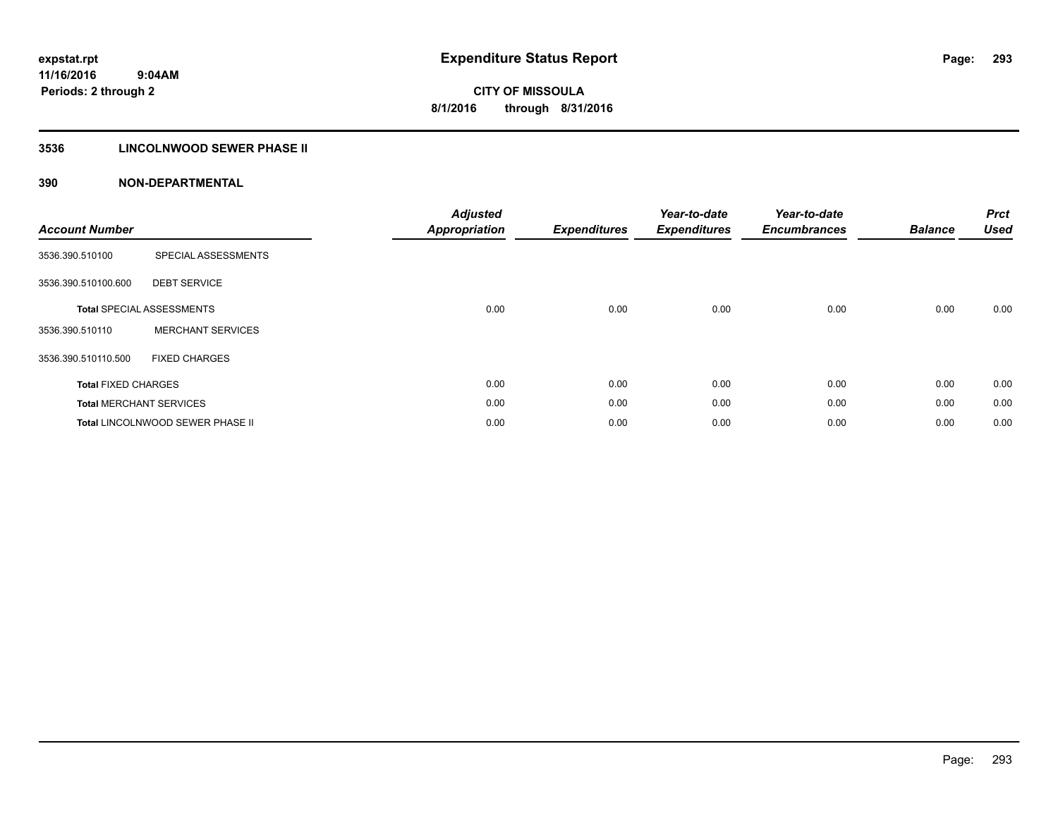### **3536 LINCOLNWOOD SEWER PHASE II**

| <b>Account Number</b>      |                                  | <b>Adjusted</b><br><b>Appropriation</b> | <b>Expenditures</b> | Year-to-date<br><b>Expenditures</b> | Year-to-date<br><b>Encumbrances</b> | <b>Balance</b> | <b>Prct</b><br><b>Used</b> |
|----------------------------|----------------------------------|-----------------------------------------|---------------------|-------------------------------------|-------------------------------------|----------------|----------------------------|
| 3536.390.510100            | SPECIAL ASSESSMENTS              |                                         |                     |                                     |                                     |                |                            |
| 3536.390.510100.600        | <b>DEBT SERVICE</b>              |                                         |                     |                                     |                                     |                |                            |
|                            | <b>Total SPECIAL ASSESSMENTS</b> | 0.00                                    | 0.00                | 0.00                                | 0.00                                | 0.00           | 0.00                       |
| 3536.390.510110            | <b>MERCHANT SERVICES</b>         |                                         |                     |                                     |                                     |                |                            |
| 3536.390.510110.500        | <b>FIXED CHARGES</b>             |                                         |                     |                                     |                                     |                |                            |
| <b>Total FIXED CHARGES</b> |                                  | 0.00                                    | 0.00                | 0.00                                | 0.00                                | 0.00           | 0.00                       |
|                            | <b>Total MERCHANT SERVICES</b>   | 0.00                                    | 0.00                | 0.00                                | 0.00                                | 0.00           | 0.00                       |
|                            | Total LINCOLNWOOD SEWER PHASE II | 0.00                                    | 0.00                | 0.00                                | 0.00                                | 0.00           | 0.00                       |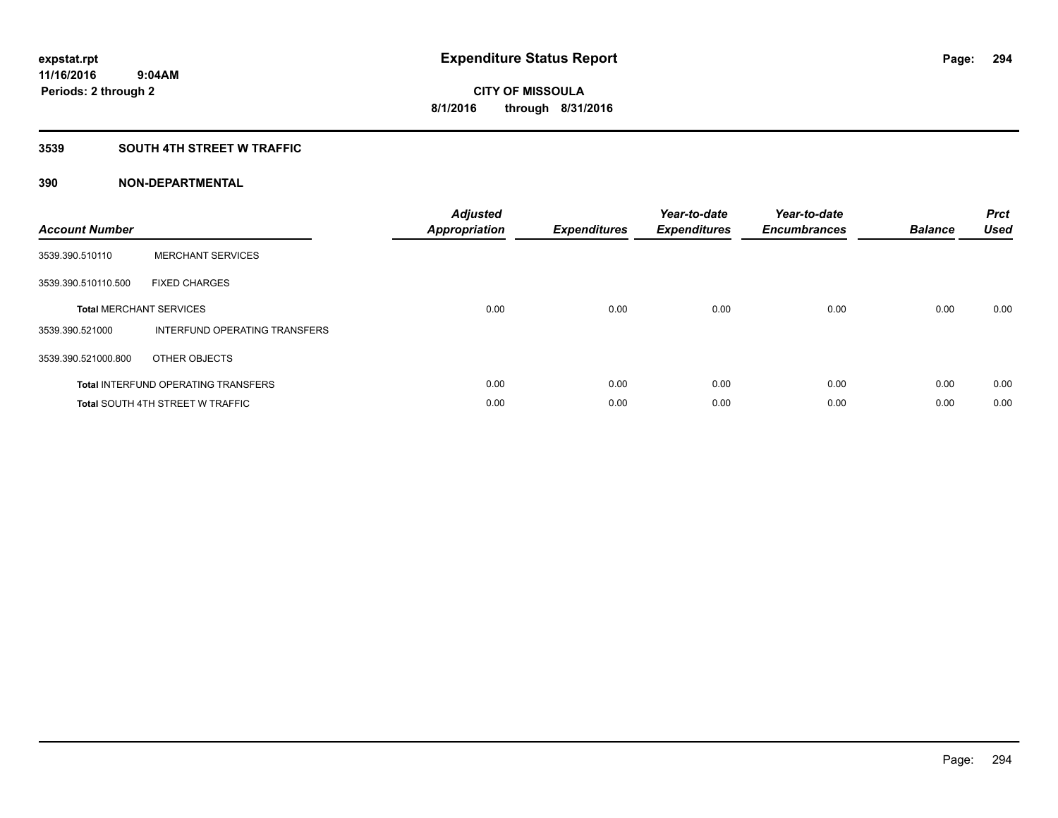#### **3539 SOUTH 4TH STREET W TRAFFIC**

| <b>Account Number</b> |                                            | <b>Adjusted</b><br><b>Appropriation</b> | <b>Expenditures</b> | Year-to-date<br><b>Expenditures</b> | Year-to-date<br><b>Encumbrances</b> | <b>Balance</b> | <b>Prct</b><br><b>Used</b> |
|-----------------------|--------------------------------------------|-----------------------------------------|---------------------|-------------------------------------|-------------------------------------|----------------|----------------------------|
| 3539.390.510110       | <b>MERCHANT SERVICES</b>                   |                                         |                     |                                     |                                     |                |                            |
| 3539.390.510110.500   | <b>FIXED CHARGES</b>                       |                                         |                     |                                     |                                     |                |                            |
|                       | <b>Total MERCHANT SERVICES</b>             | 0.00                                    | 0.00                | 0.00                                | 0.00                                | 0.00           | 0.00                       |
| 3539.390.521000       | INTERFUND OPERATING TRANSFERS              |                                         |                     |                                     |                                     |                |                            |
| 3539.390.521000.800   | OTHER OBJECTS                              |                                         |                     |                                     |                                     |                |                            |
|                       | <b>Total INTERFUND OPERATING TRANSFERS</b> | 0.00                                    | 0.00                | 0.00                                | 0.00                                | 0.00           | 0.00                       |
|                       | <b>Total SOUTH 4TH STREET W TRAFFIC</b>    | 0.00                                    | 0.00                | 0.00                                | 0.00                                | 0.00           | 0.00                       |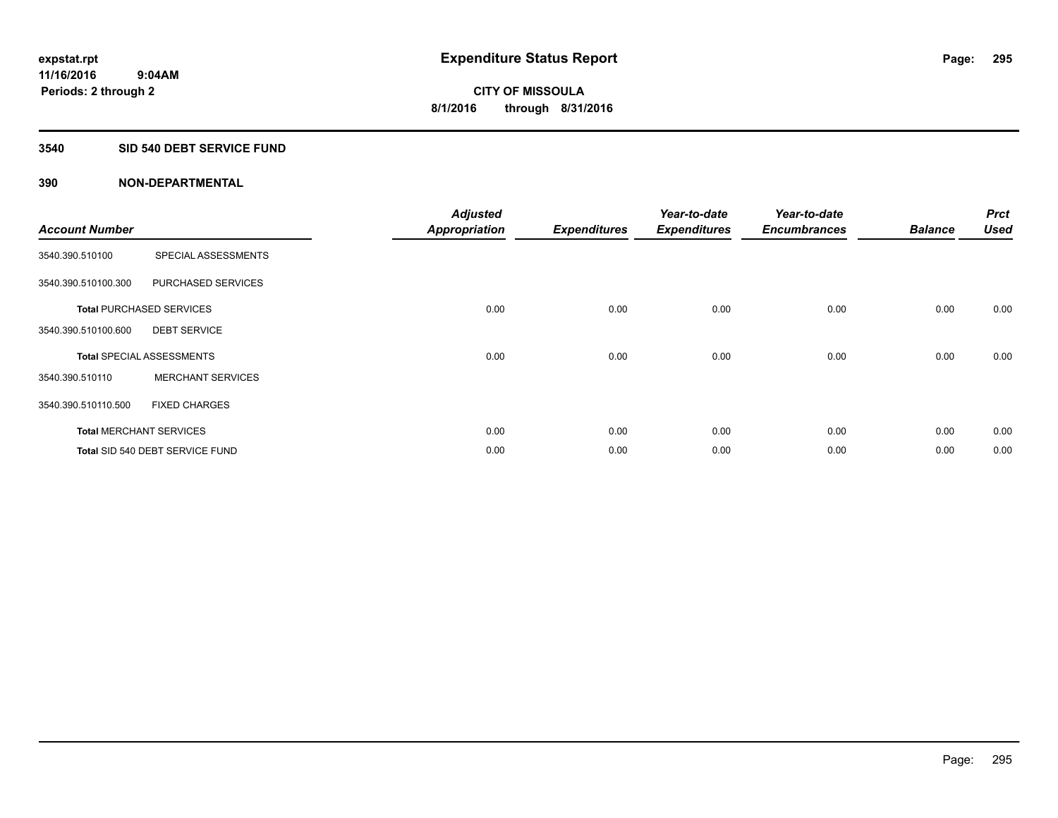#### **3540 SID 540 DEBT SERVICE FUND**

|                       |                                  | <b>Adjusted</b>      |                     | Year-to-date        | Year-to-date        |                | <b>Prct</b> |
|-----------------------|----------------------------------|----------------------|---------------------|---------------------|---------------------|----------------|-------------|
| <b>Account Number</b> |                                  | <b>Appropriation</b> | <b>Expenditures</b> | <b>Expenditures</b> | <b>Encumbrances</b> | <b>Balance</b> | Used        |
| 3540.390.510100       | SPECIAL ASSESSMENTS              |                      |                     |                     |                     |                |             |
| 3540.390.510100.300   | PURCHASED SERVICES               |                      |                     |                     |                     |                |             |
|                       | <b>Total PURCHASED SERVICES</b>  | 0.00                 | 0.00                | 0.00                | 0.00                | 0.00           | 0.00        |
| 3540.390.510100.600   | <b>DEBT SERVICE</b>              |                      |                     |                     |                     |                |             |
|                       | <b>Total SPECIAL ASSESSMENTS</b> | 0.00                 | 0.00                | 0.00                | 0.00                | 0.00           | 0.00        |
| 3540.390.510110       | <b>MERCHANT SERVICES</b>         |                      |                     |                     |                     |                |             |
| 3540.390.510110.500   | <b>FIXED CHARGES</b>             |                      |                     |                     |                     |                |             |
|                       | <b>Total MERCHANT SERVICES</b>   | 0.00                 | 0.00                | 0.00                | 0.00                | 0.00           | 0.00        |
|                       | Total SID 540 DEBT SERVICE FUND  | 0.00                 | 0.00                | 0.00                | 0.00                | 0.00           | 0.00        |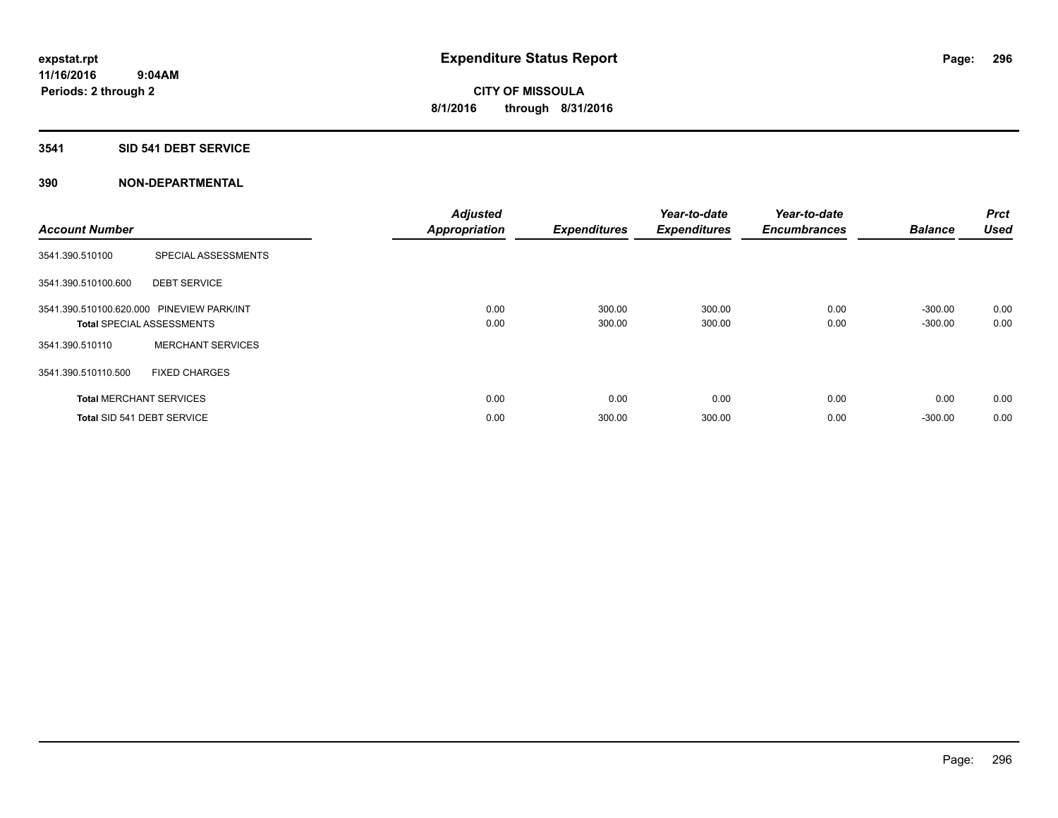### **3541 SID 541 DEBT SERVICE**

| <b>Account Number</b> |                                           | <b>Adjusted</b><br><b>Appropriation</b> | <b>Expenditures</b> | Year-to-date<br><b>Expenditures</b> | Year-to-date<br><b>Encumbrances</b> | <b>Balance</b> | <b>Prct</b><br><b>Used</b> |
|-----------------------|-------------------------------------------|-----------------------------------------|---------------------|-------------------------------------|-------------------------------------|----------------|----------------------------|
| 3541.390.510100       | SPECIAL ASSESSMENTS                       |                                         |                     |                                     |                                     |                |                            |
| 3541.390.510100.600   | <b>DEBT SERVICE</b>                       |                                         |                     |                                     |                                     |                |                            |
|                       | 3541.390.510100.620.000 PINEVIEW PARK/INT | 0.00                                    | 300.00              | 300.00                              | 0.00                                | $-300.00$      | 0.00                       |
|                       | <b>Total SPECIAL ASSESSMENTS</b>          | 0.00                                    | 300.00              | 300.00                              | 0.00                                | $-300.00$      | 0.00                       |
| 3541.390.510110       | <b>MERCHANT SERVICES</b>                  |                                         |                     |                                     |                                     |                |                            |
| 3541.390.510110.500   | <b>FIXED CHARGES</b>                      |                                         |                     |                                     |                                     |                |                            |
|                       | <b>Total MERCHANT SERVICES</b>            | 0.00                                    | 0.00                | 0.00                                | 0.00                                | 0.00           | 0.00                       |
|                       | Total SID 541 DEBT SERVICE                | 0.00                                    | 300.00              | 300.00                              | 0.00                                | $-300.00$      | 0.00                       |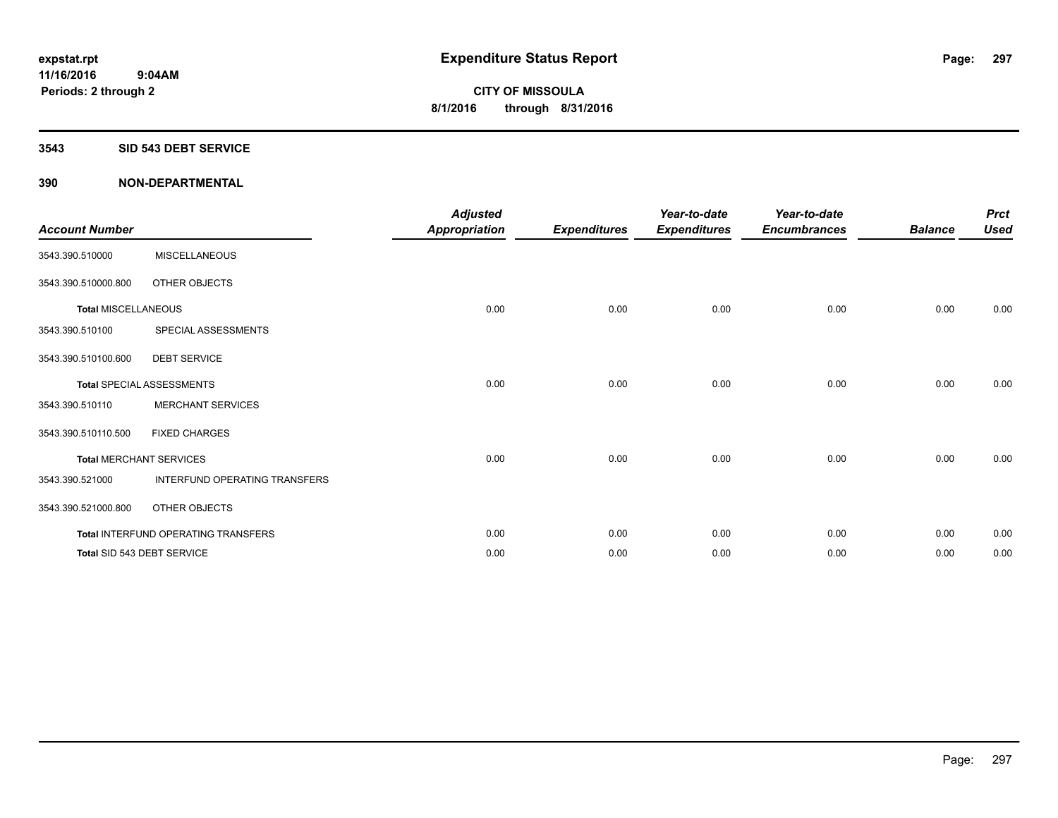#### **3543 SID 543 DEBT SERVICE**

| <b>Account Number</b>      |                                     | <b>Adjusted</b><br><b>Appropriation</b> | <b>Expenditures</b> | Year-to-date<br><b>Expenditures</b> | Year-to-date<br><b>Encumbrances</b> | <b>Balance</b> | <b>Prct</b><br><b>Used</b> |
|----------------------------|-------------------------------------|-----------------------------------------|---------------------|-------------------------------------|-------------------------------------|----------------|----------------------------|
| 3543.390.510000            | <b>MISCELLANEOUS</b>                |                                         |                     |                                     |                                     |                |                            |
| 3543.390.510000.800        | OTHER OBJECTS                       |                                         |                     |                                     |                                     |                |                            |
| <b>Total MISCELLANEOUS</b> |                                     | 0.00                                    | 0.00                | 0.00                                | 0.00                                | 0.00           | 0.00                       |
| 3543.390.510100            | SPECIAL ASSESSMENTS                 |                                         |                     |                                     |                                     |                |                            |
| 3543.390.510100.600        | <b>DEBT SERVICE</b>                 |                                         |                     |                                     |                                     |                |                            |
|                            | <b>Total SPECIAL ASSESSMENTS</b>    | 0.00                                    | 0.00                | 0.00                                | 0.00                                | 0.00           | 0.00                       |
| 3543.390.510110            | <b>MERCHANT SERVICES</b>            |                                         |                     |                                     |                                     |                |                            |
| 3543.390.510110.500        | <b>FIXED CHARGES</b>                |                                         |                     |                                     |                                     |                |                            |
|                            | <b>Total MERCHANT SERVICES</b>      | 0.00                                    | 0.00                | 0.00                                | 0.00                                | 0.00           | 0.00                       |
| 3543.390.521000            | INTERFUND OPERATING TRANSFERS       |                                         |                     |                                     |                                     |                |                            |
| 3543.390.521000.800        | OTHER OBJECTS                       |                                         |                     |                                     |                                     |                |                            |
|                            | Total INTERFUND OPERATING TRANSFERS | 0.00                                    | 0.00                | 0.00                                | 0.00                                | 0.00           | 0.00                       |
|                            | Total SID 543 DEBT SERVICE          | 0.00                                    | 0.00                | 0.00                                | 0.00                                | 0.00           | 0.00                       |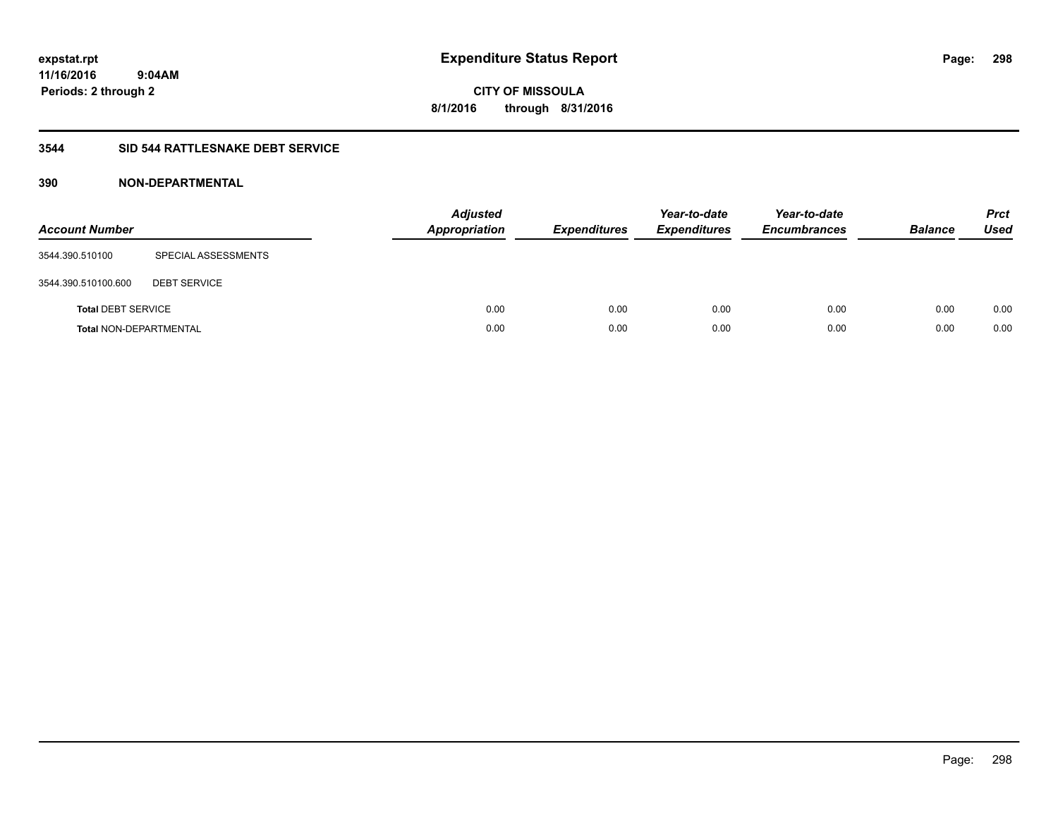**CITY OF MISSOULA 8/1/2016 through 8/31/2016**

#### **3544 SID 544 RATTLESNAKE DEBT SERVICE**

| <b>Account Number</b>         |                     | <b>Adjusted</b><br><b>Appropriation</b> | <b>Expenditures</b> | Year-to-date<br><b>Expenditures</b> | Year-to-date<br><b>Encumbrances</b> | <b>Balance</b> | <b>Prct</b><br><b>Used</b> |
|-------------------------------|---------------------|-----------------------------------------|---------------------|-------------------------------------|-------------------------------------|----------------|----------------------------|
| 3544.390.510100               | SPECIAL ASSESSMENTS |                                         |                     |                                     |                                     |                |                            |
| 3544.390.510100.600           | <b>DEBT SERVICE</b> |                                         |                     |                                     |                                     |                |                            |
| <b>Total DEBT SERVICE</b>     |                     | 0.00                                    | 0.00                | 0.00                                | 0.00                                | 0.00           | 0.00                       |
| <b>Total NON-DEPARTMENTAL</b> |                     | 0.00                                    | 0.00                | 0.00                                | 0.00                                | 0.00           | 0.00                       |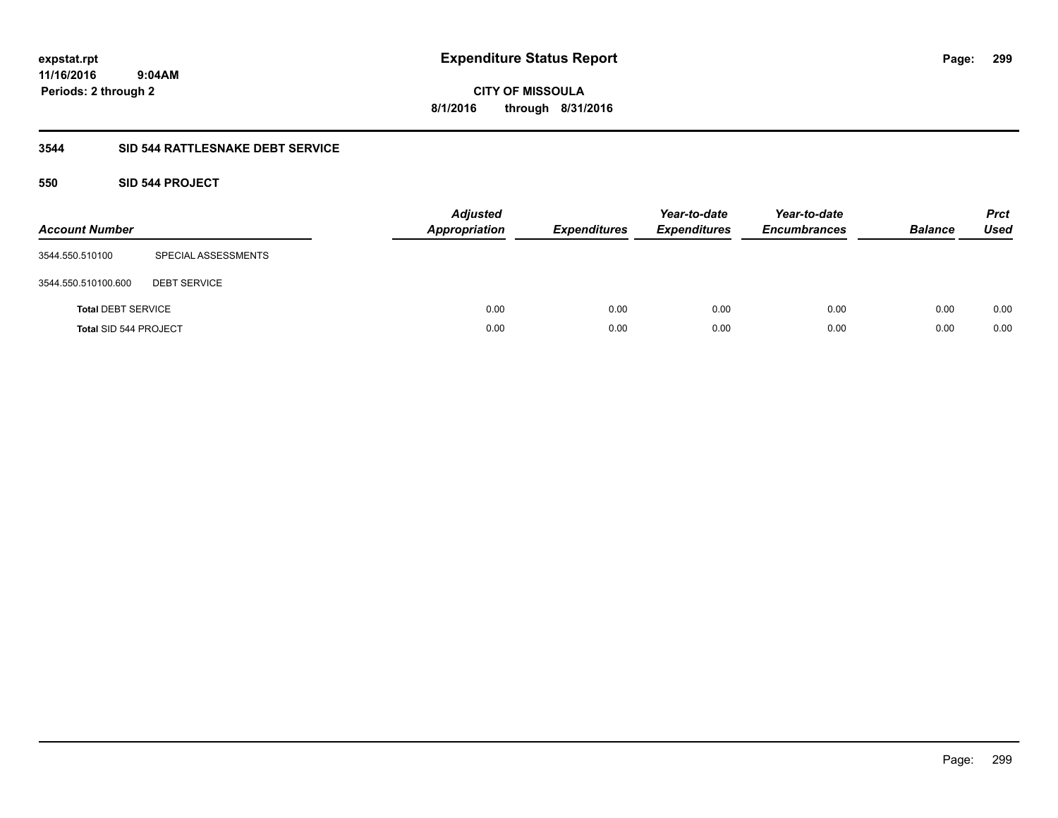**CITY OF MISSOULA 8/1/2016 through 8/31/2016**

### **3544 SID 544 RATTLESNAKE DEBT SERVICE**

### **550 SID 544 PROJECT**

| <b>Account Number</b>     |                     | <b>Adjusted</b><br><b>Appropriation</b> | <b>Expenditures</b> | Year-to-date<br><b>Expenditures</b> | Year-to-date<br><b>Encumbrances</b> | <b>Balance</b> | <b>Prct</b><br>Used |
|---------------------------|---------------------|-----------------------------------------|---------------------|-------------------------------------|-------------------------------------|----------------|---------------------|
| 3544.550.510100           | SPECIAL ASSESSMENTS |                                         |                     |                                     |                                     |                |                     |
| 3544.550.510100.600       | <b>DEBT SERVICE</b> |                                         |                     |                                     |                                     |                |                     |
| <b>Total DEBT SERVICE</b> |                     | 0.00                                    | 0.00                | 0.00                                | 0.00                                | 0.00           | 0.00                |
| Total SID 544 PROJECT     |                     | 0.00                                    | 0.00                | 0.00                                | 0.00                                | 0.00           | 0.00                |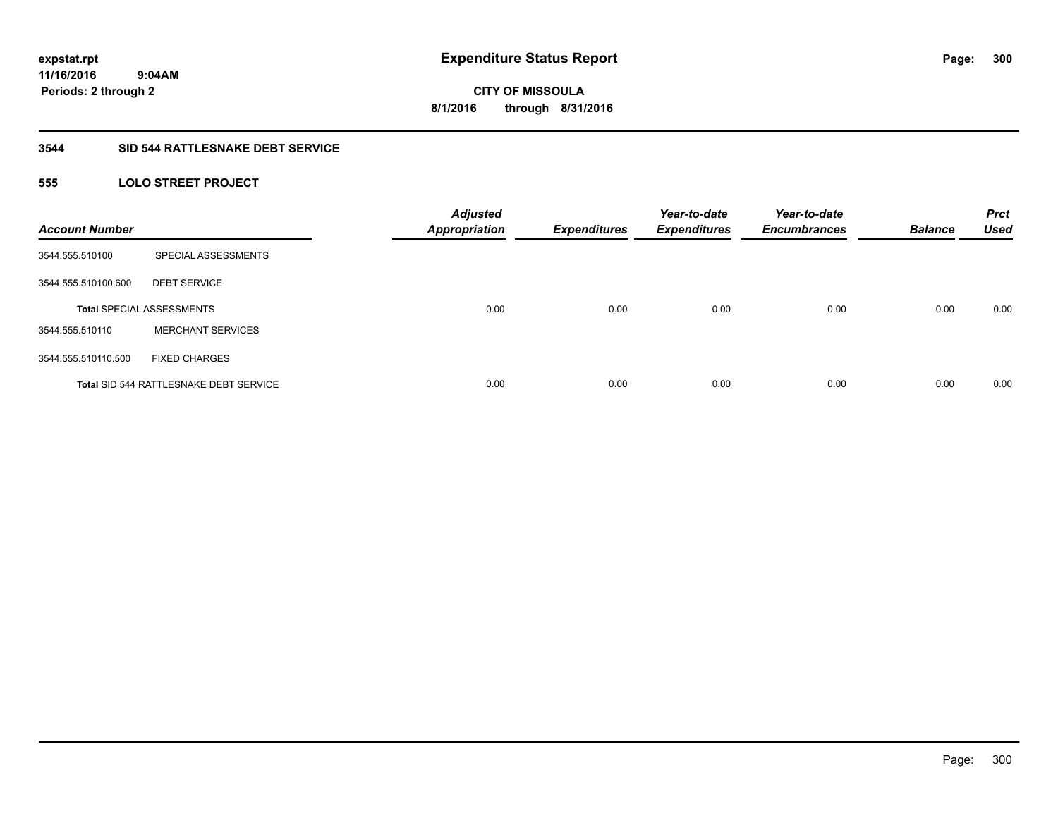#### **3544 SID 544 RATTLESNAKE DEBT SERVICE**

### **555 LOLO STREET PROJECT**

| <b>Account Number</b> |                                               | <b>Adjusted</b><br><b>Appropriation</b> | <b>Expenditures</b> | Year-to-date<br><b>Expenditures</b> | Year-to-date<br><b>Encumbrances</b> | <b>Balance</b> | <b>Prct</b><br><b>Used</b> |
|-----------------------|-----------------------------------------------|-----------------------------------------|---------------------|-------------------------------------|-------------------------------------|----------------|----------------------------|
| 3544.555.510100       | SPECIAL ASSESSMENTS                           |                                         |                     |                                     |                                     |                |                            |
| 3544.555.510100.600   | <b>DEBT SERVICE</b>                           |                                         |                     |                                     |                                     |                |                            |
|                       | <b>Total SPECIAL ASSESSMENTS</b>              | 0.00                                    | 0.00                | 0.00                                | 0.00                                | 0.00           | 0.00                       |
| 3544.555.510110       | <b>MERCHANT SERVICES</b>                      |                                         |                     |                                     |                                     |                |                            |
| 3544.555.510110.500   | <b>FIXED CHARGES</b>                          |                                         |                     |                                     |                                     |                |                            |
|                       | <b>Total SID 544 RATTLESNAKE DEBT SERVICE</b> | 0.00                                    | 0.00                | 0.00                                | 0.00                                | 0.00           | 0.00                       |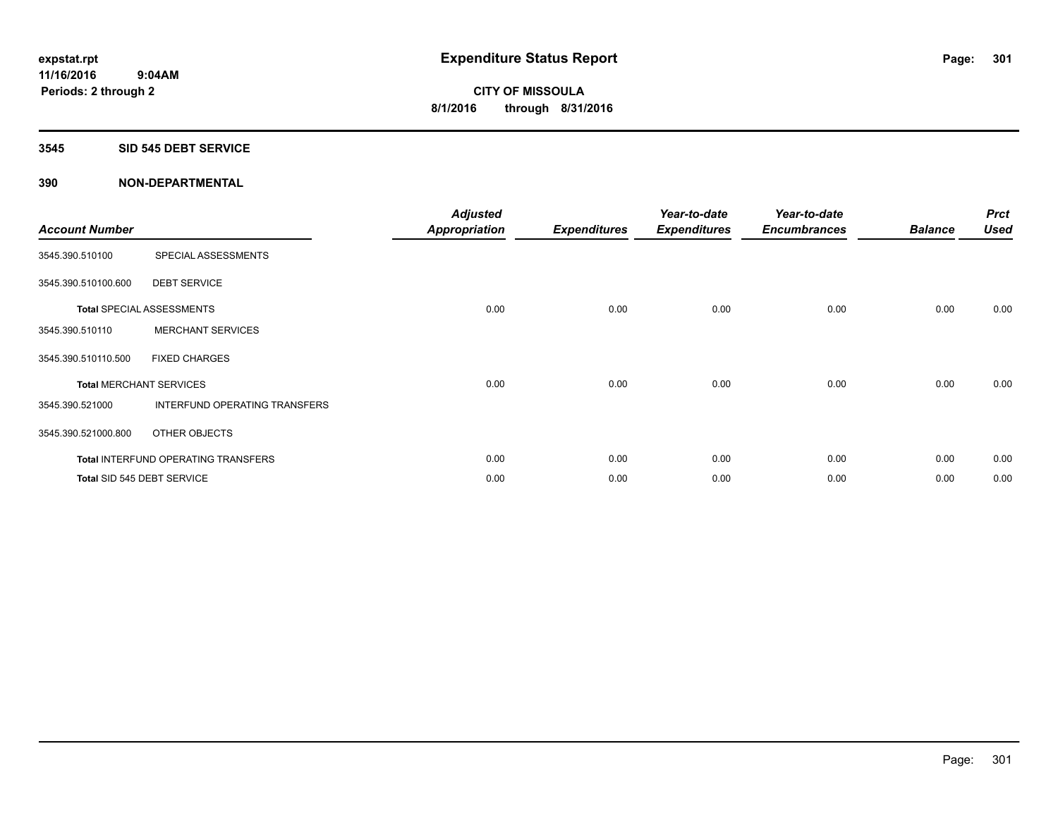#### **3545 SID 545 DEBT SERVICE**

| <b>Account Number</b> |                                     | <b>Adjusted</b><br>Appropriation | <b>Expenditures</b> | Year-to-date<br><b>Expenditures</b> | Year-to-date<br><b>Encumbrances</b> | <b>Balance</b> | <b>Prct</b><br><b>Used</b> |
|-----------------------|-------------------------------------|----------------------------------|---------------------|-------------------------------------|-------------------------------------|----------------|----------------------------|
| 3545.390.510100       | SPECIAL ASSESSMENTS                 |                                  |                     |                                     |                                     |                |                            |
| 3545.390.510100.600   | <b>DEBT SERVICE</b>                 |                                  |                     |                                     |                                     |                |                            |
|                       | <b>Total SPECIAL ASSESSMENTS</b>    | 0.00                             | 0.00                | 0.00                                | 0.00                                | 0.00           | 0.00                       |
| 3545.390.510110       | <b>MERCHANT SERVICES</b>            |                                  |                     |                                     |                                     |                |                            |
| 3545.390.510110.500   | <b>FIXED CHARGES</b>                |                                  |                     |                                     |                                     |                |                            |
|                       | <b>Total MERCHANT SERVICES</b>      | 0.00                             | 0.00                | 0.00                                | 0.00                                | 0.00           | 0.00                       |
| 3545.390.521000       | INTERFUND OPERATING TRANSFERS       |                                  |                     |                                     |                                     |                |                            |
| 3545.390.521000.800   | OTHER OBJECTS                       |                                  |                     |                                     |                                     |                |                            |
|                       | Total INTERFUND OPERATING TRANSFERS | 0.00                             | 0.00                | 0.00                                | 0.00                                | 0.00           | 0.00                       |
|                       | Total SID 545 DEBT SERVICE          | 0.00                             | 0.00                | 0.00                                | 0.00                                | 0.00           | 0.00                       |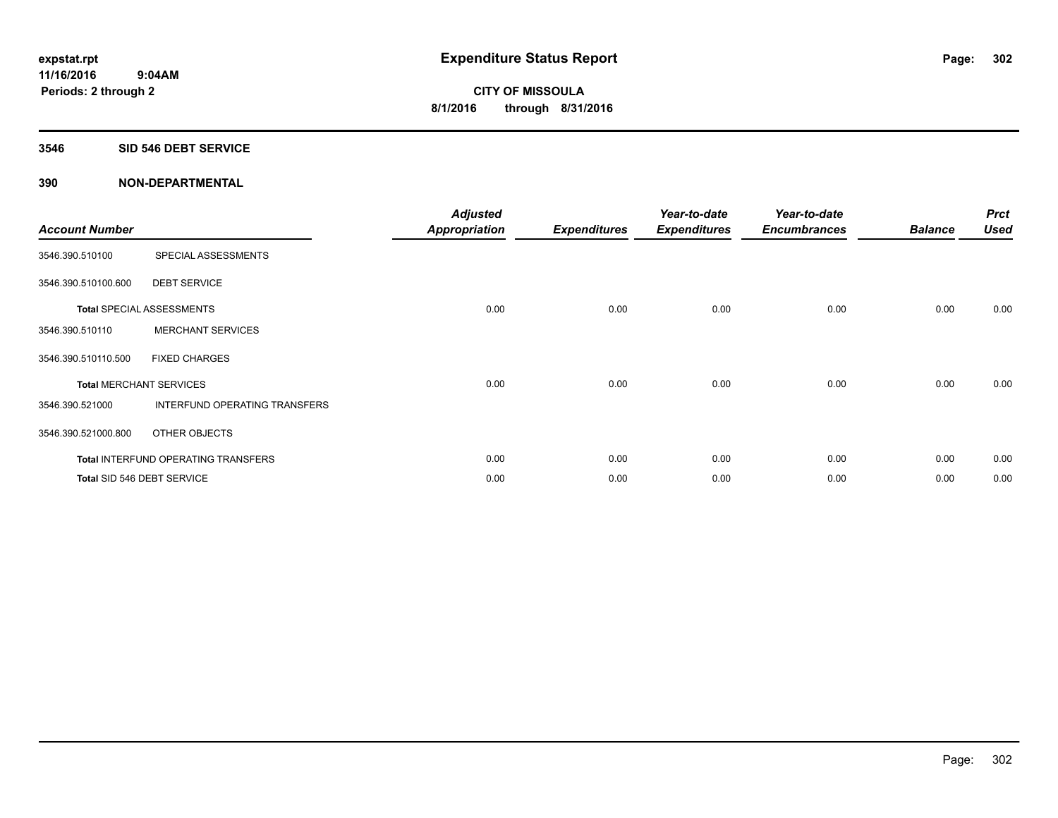#### **3546 SID 546 DEBT SERVICE**

| <b>Account Number</b> |                                     | <b>Adjusted</b><br><b>Appropriation</b> | <b>Expenditures</b> | Year-to-date<br><b>Expenditures</b> | Year-to-date<br><b>Encumbrances</b> | <b>Balance</b> | <b>Prct</b><br><b>Used</b> |
|-----------------------|-------------------------------------|-----------------------------------------|---------------------|-------------------------------------|-------------------------------------|----------------|----------------------------|
| 3546.390.510100       | SPECIAL ASSESSMENTS                 |                                         |                     |                                     |                                     |                |                            |
| 3546.390.510100.600   | <b>DEBT SERVICE</b>                 |                                         |                     |                                     |                                     |                |                            |
|                       | Total SPECIAL ASSESSMENTS           | 0.00                                    | 0.00                | 0.00                                | 0.00                                | 0.00           | 0.00                       |
| 3546.390.510110       | <b>MERCHANT SERVICES</b>            |                                         |                     |                                     |                                     |                |                            |
| 3546.390.510110.500   | <b>FIXED CHARGES</b>                |                                         |                     |                                     |                                     |                |                            |
|                       | <b>Total MERCHANT SERVICES</b>      | 0.00                                    | 0.00                | 0.00                                | 0.00                                | 0.00           | 0.00                       |
| 3546.390.521000       | INTERFUND OPERATING TRANSFERS       |                                         |                     |                                     |                                     |                |                            |
| 3546.390.521000.800   | OTHER OBJECTS                       |                                         |                     |                                     |                                     |                |                            |
|                       | Total INTERFUND OPERATING TRANSFERS | 0.00                                    | 0.00                | 0.00                                | 0.00                                | 0.00           | 0.00                       |
|                       | Total SID 546 DEBT SERVICE          | 0.00                                    | 0.00                | 0.00                                | 0.00                                | 0.00           | 0.00                       |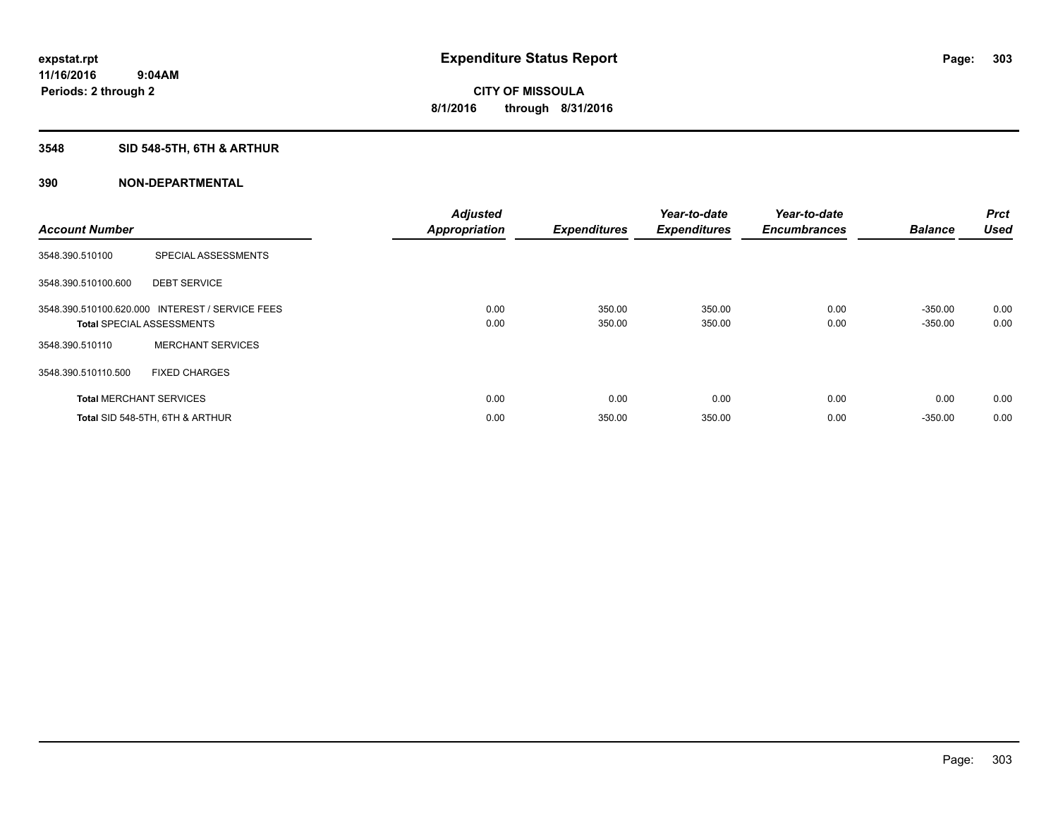## **3548 SID 548-5TH, 6TH & ARTHUR**

| <b>Account Number</b> |                                                                                     | <b>Adjusted</b><br><b>Appropriation</b> | <b>Expenditures</b> | Year-to-date<br><b>Expenditures</b> | Year-to-date<br><b>Encumbrances</b> | <b>Balance</b>         | Prct<br><b>Used</b> |
|-----------------------|-------------------------------------------------------------------------------------|-----------------------------------------|---------------------|-------------------------------------|-------------------------------------|------------------------|---------------------|
| 3548.390.510100       | SPECIAL ASSESSMENTS                                                                 |                                         |                     |                                     |                                     |                        |                     |
| 3548.390.510100.600   | <b>DEBT SERVICE</b>                                                                 |                                         |                     |                                     |                                     |                        |                     |
|                       | 3548.390.510100.620.000 INTEREST / SERVICE FEES<br><b>Total SPECIAL ASSESSMENTS</b> | 0.00<br>0.00                            | 350.00<br>350.00    | 350.00<br>350.00                    | 0.00<br>0.00                        | $-350.00$<br>$-350.00$ | 0.00<br>0.00        |
| 3548.390.510110       | <b>MERCHANT SERVICES</b>                                                            |                                         |                     |                                     |                                     |                        |                     |
| 3548.390.510110.500   | <b>FIXED CHARGES</b>                                                                |                                         |                     |                                     |                                     |                        |                     |
|                       | <b>Total MERCHANT SERVICES</b>                                                      | 0.00                                    | 0.00                | 0.00                                | 0.00                                | 0.00                   | 0.00                |
|                       | Total SID 548-5TH, 6TH & ARTHUR                                                     | 0.00                                    | 350.00              | 350.00                              | 0.00                                | $-350.00$              | 0.00                |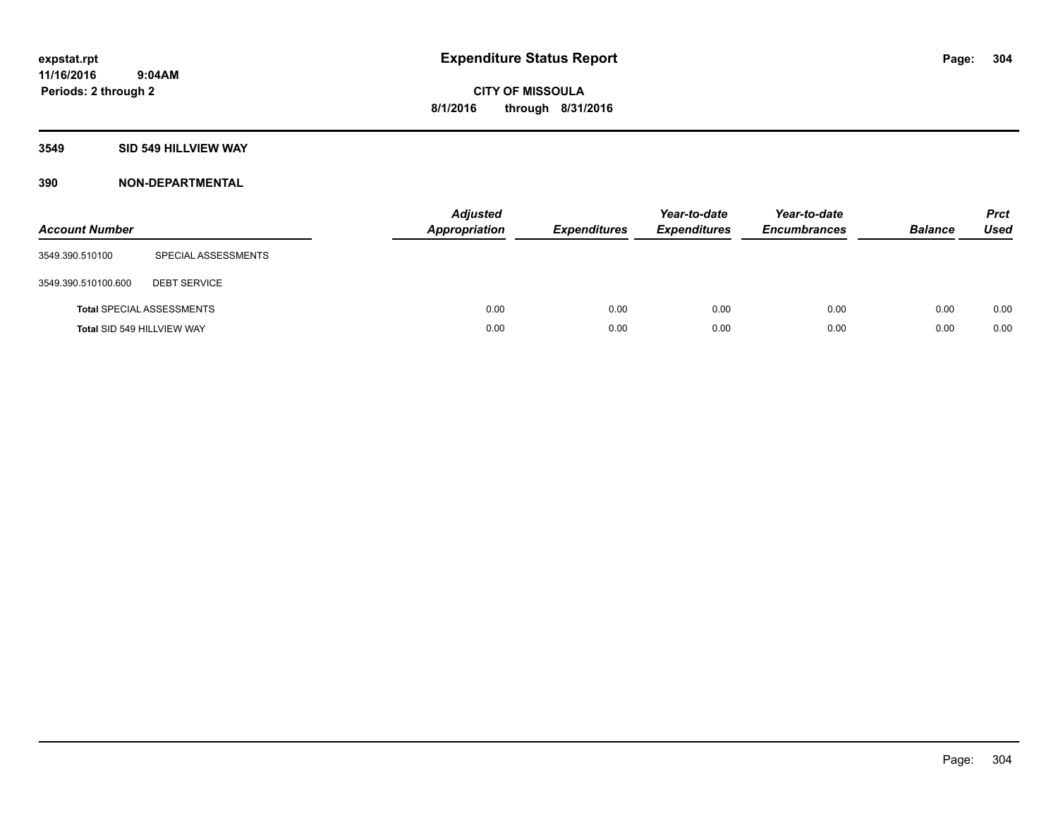### **3549 SID 549 HILLVIEW WAY**

| <b>Account Number</b>      |                                  | <b>Adjusted</b><br><b>Appropriation</b> | <b>Expenditures</b> | Year-to-date<br><b>Expenditures</b> | Year-to-date<br><b>Encumbrances</b> | <b>Balance</b> | <b>Prct</b><br><b>Used</b> |
|----------------------------|----------------------------------|-----------------------------------------|---------------------|-------------------------------------|-------------------------------------|----------------|----------------------------|
| 3549.390.510100            | SPECIAL ASSESSMENTS              |                                         |                     |                                     |                                     |                |                            |
| 3549.390.510100.600        | <b>DEBT SERVICE</b>              |                                         |                     |                                     |                                     |                |                            |
|                            | <b>Total SPECIAL ASSESSMENTS</b> | 0.00                                    | 0.00                | 0.00                                | 0.00                                | 0.00           | 0.00                       |
| Total SID 549 HILLVIEW WAY |                                  | 0.00                                    | 0.00                | 0.00                                | 0.00                                | 0.00           | 0.00                       |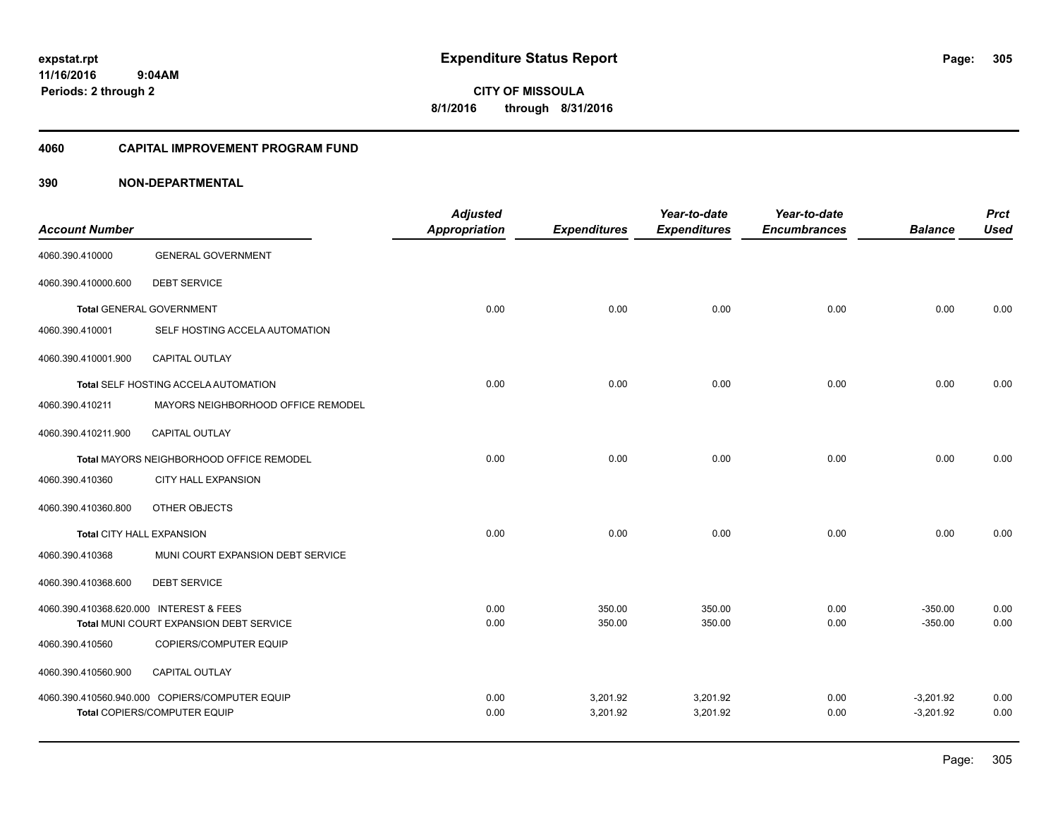**CITY OF MISSOULA 8/1/2016 through 8/31/2016**

#### **4060 CAPITAL IMPROVEMENT PROGRAM FUND**

|                                         |                                                | <b>Adjusted</b>      |                     | Year-to-date        | Year-to-date        |                | <b>Prct</b> |
|-----------------------------------------|------------------------------------------------|----------------------|---------------------|---------------------|---------------------|----------------|-------------|
| <b>Account Number</b>                   |                                                | <b>Appropriation</b> | <b>Expenditures</b> | <b>Expenditures</b> | <b>Encumbrances</b> | <b>Balance</b> | <b>Used</b> |
| 4060.390.410000                         | <b>GENERAL GOVERNMENT</b>                      |                      |                     |                     |                     |                |             |
| 4060.390.410000.600                     | <b>DEBT SERVICE</b>                            |                      |                     |                     |                     |                |             |
|                                         | <b>Total GENERAL GOVERNMENT</b>                | 0.00                 | 0.00                | 0.00                | 0.00                | 0.00           | 0.00        |
| 4060.390.410001                         | SELF HOSTING ACCELA AUTOMATION                 |                      |                     |                     |                     |                |             |
| 4060.390.410001.900                     | <b>CAPITAL OUTLAY</b>                          |                      |                     |                     |                     |                |             |
|                                         | Total SELF HOSTING ACCELA AUTOMATION           | 0.00                 | 0.00                | 0.00                | 0.00                | 0.00           | 0.00        |
| 4060.390.410211                         | MAYORS NEIGHBORHOOD OFFICE REMODEL             |                      |                     |                     |                     |                |             |
| 4060.390.410211.900                     | CAPITAL OUTLAY                                 |                      |                     |                     |                     |                |             |
|                                         | Total MAYORS NEIGHBORHOOD OFFICE REMODEL       | 0.00                 | 0.00                | 0.00                | 0.00                | 0.00           | 0.00        |
| 4060.390.410360                         | <b>CITY HALL EXPANSION</b>                     |                      |                     |                     |                     |                |             |
| 4060.390.410360.800                     | OTHER OBJECTS                                  |                      |                     |                     |                     |                |             |
| Total CITY HALL EXPANSION               |                                                | 0.00                 | 0.00                | 0.00                | 0.00                | 0.00           | 0.00        |
| 4060.390.410368                         | MUNI COURT EXPANSION DEBT SERVICE              |                      |                     |                     |                     |                |             |
| 4060.390.410368.600                     | <b>DEBT SERVICE</b>                            |                      |                     |                     |                     |                |             |
| 4060.390.410368.620.000 INTEREST & FEES |                                                | 0.00                 | 350.00              | 350.00              | 0.00                | $-350.00$      | 0.00        |
|                                         | Total MUNI COURT EXPANSION DEBT SERVICE        | 0.00                 | 350.00              | 350.00              | 0.00                | $-350.00$      | 0.00        |
| 4060.390.410560                         | COPIERS/COMPUTER EQUIP                         |                      |                     |                     |                     |                |             |
| 4060.390.410560.900                     | <b>CAPITAL OUTLAY</b>                          |                      |                     |                     |                     |                |             |
|                                         | 4060.390.410560.940.000 COPIERS/COMPUTER EQUIP | 0.00                 | 3,201.92            | 3,201.92            | 0.00                | $-3,201.92$    | 0.00        |
|                                         | Total COPIERS/COMPUTER EQUIP                   | 0.00                 | 3,201.92            | 3,201.92            | 0.00                | $-3,201.92$    | 0.00        |
|                                         |                                                |                      |                     |                     |                     |                |             |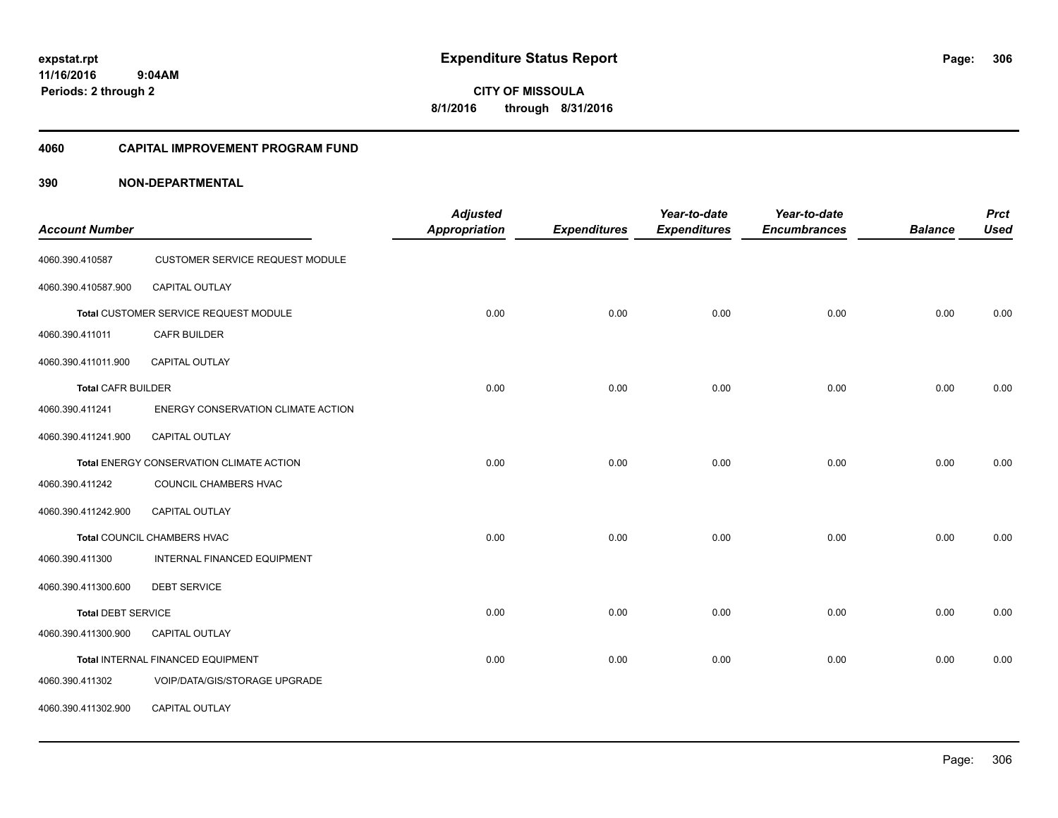**CITY OF MISSOULA 8/1/2016 through 8/31/2016**

#### **4060 CAPITAL IMPROVEMENT PROGRAM FUND**

|                           |                                          | <b>Adjusted</b>      |                     | Year-to-date        | Year-to-date        |                | <b>Prct</b> |
|---------------------------|------------------------------------------|----------------------|---------------------|---------------------|---------------------|----------------|-------------|
| <b>Account Number</b>     |                                          | <b>Appropriation</b> | <b>Expenditures</b> | <b>Expenditures</b> | <b>Encumbrances</b> | <b>Balance</b> | <b>Used</b> |
| 4060.390.410587           | <b>CUSTOMER SERVICE REQUEST MODULE</b>   |                      |                     |                     |                     |                |             |
| 4060.390.410587.900       | <b>CAPITAL OUTLAY</b>                    |                      |                     |                     |                     |                |             |
|                           | Total CUSTOMER SERVICE REQUEST MODULE    | 0.00                 | 0.00                | 0.00                | 0.00                | 0.00           | 0.00        |
| 4060.390.411011           | CAFR BUILDER                             |                      |                     |                     |                     |                |             |
| 4060.390.411011.900       | CAPITAL OUTLAY                           |                      |                     |                     |                     |                |             |
| <b>Total CAFR BUILDER</b> |                                          | 0.00                 | 0.00                | 0.00                | 0.00                | 0.00           | 0.00        |
| 4060.390.411241           | ENERGY CONSERVATION CLIMATE ACTION       |                      |                     |                     |                     |                |             |
| 4060.390.411241.900       | <b>CAPITAL OUTLAY</b>                    |                      |                     |                     |                     |                |             |
|                           | Total ENERGY CONSERVATION CLIMATE ACTION | 0.00                 | 0.00                | 0.00                | 0.00                | 0.00           | 0.00        |
| 4060.390.411242           | COUNCIL CHAMBERS HVAC                    |                      |                     |                     |                     |                |             |
| 4060.390.411242.900       | <b>CAPITAL OUTLAY</b>                    |                      |                     |                     |                     |                |             |
|                           | Total COUNCIL CHAMBERS HVAC              | 0.00                 | 0.00                | 0.00                | 0.00                | 0.00           | 0.00        |
| 4060.390.411300           | INTERNAL FINANCED EQUIPMENT              |                      |                     |                     |                     |                |             |
| 4060.390.411300.600       | <b>DEBT SERVICE</b>                      |                      |                     |                     |                     |                |             |
| <b>Total DEBT SERVICE</b> |                                          | 0.00                 | 0.00                | 0.00                | 0.00                | 0.00           | 0.00        |
| 4060.390.411300.900       | <b>CAPITAL OUTLAY</b>                    |                      |                     |                     |                     |                |             |
|                           | Total INTERNAL FINANCED EQUIPMENT        | 0.00                 | 0.00                | 0.00                | 0.00                | 0.00           | 0.00        |
| 4060.390.411302           | VOIP/DATA/GIS/STORAGE UPGRADE            |                      |                     |                     |                     |                |             |
| 4060.390.411302.900       | <b>CAPITAL OUTLAY</b>                    |                      |                     |                     |                     |                |             |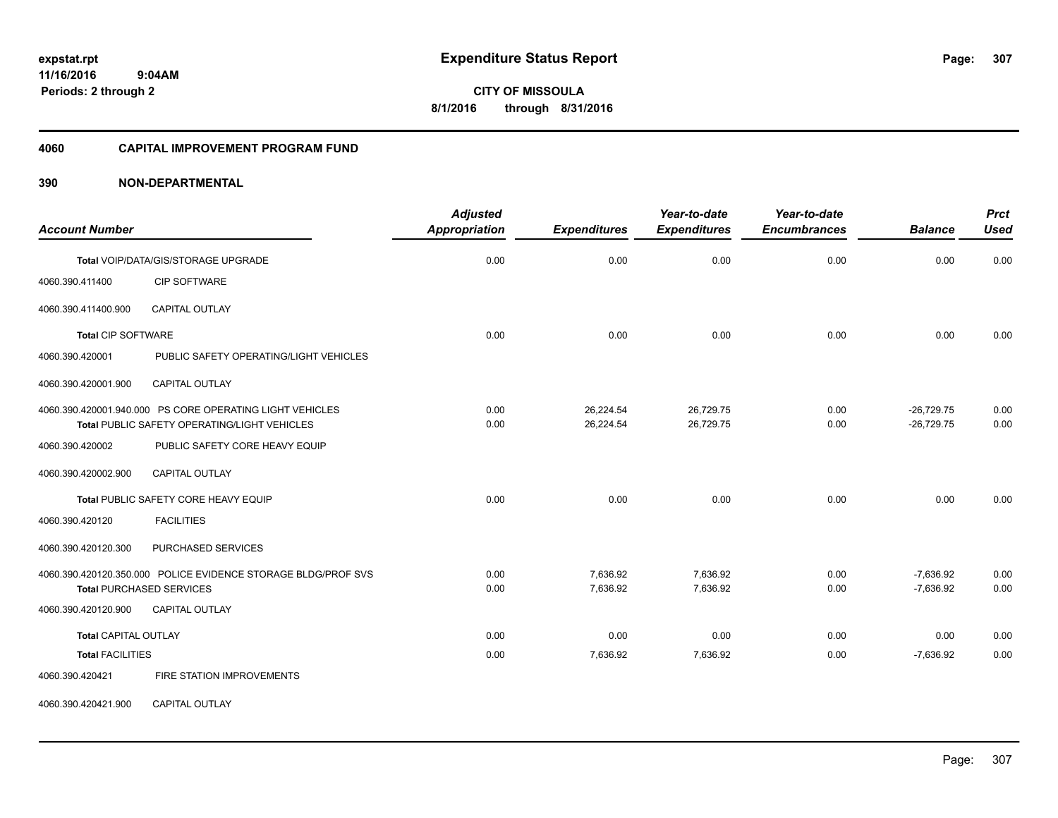**CITY OF MISSOULA 8/1/2016 through 8/31/2016**

#### **4060 CAPITAL IMPROVEMENT PROGRAM FUND**

| <b>Account Number</b>           |                                                                                                          | <b>Adjusted</b><br><b>Appropriation</b> | <b>Expenditures</b>    | Year-to-date<br><b>Expenditures</b> | Year-to-date<br><b>Encumbrances</b> | <b>Balance</b>               | <b>Prct</b><br><b>Used</b> |
|---------------------------------|----------------------------------------------------------------------------------------------------------|-----------------------------------------|------------------------|-------------------------------------|-------------------------------------|------------------------------|----------------------------|
|                                 | Total VOIP/DATA/GIS/STORAGE UPGRADE                                                                      | 0.00                                    | 0.00                   | 0.00                                | 0.00                                | 0.00                         | 0.00                       |
| 4060.390.411400                 | <b>CIP SOFTWARE</b>                                                                                      |                                         |                        |                                     |                                     |                              |                            |
| 4060.390.411400.900             | <b>CAPITAL OUTLAY</b>                                                                                    |                                         |                        |                                     |                                     |                              |                            |
| <b>Total CIP SOFTWARE</b>       |                                                                                                          | 0.00                                    | 0.00                   | 0.00                                | 0.00                                | 0.00                         | 0.00                       |
| 4060.390.420001                 | PUBLIC SAFETY OPERATING/LIGHT VEHICLES                                                                   |                                         |                        |                                     |                                     |                              |                            |
| 4060.390.420001.900             | <b>CAPITAL OUTLAY</b>                                                                                    |                                         |                        |                                     |                                     |                              |                            |
|                                 | 4060.390.420001.940.000 PS CORE OPERATING LIGHT VEHICLES<br>Total PUBLIC SAFETY OPERATING/LIGHT VEHICLES | 0.00<br>0.00                            | 26,224.54<br>26,224.54 | 26,729.75<br>26,729.75              | 0.00<br>0.00                        | $-26,729.75$<br>$-26,729.75$ | 0.00<br>0.00               |
| 4060.390.420002                 | PUBLIC SAFETY CORE HEAVY EQUIP                                                                           |                                         |                        |                                     |                                     |                              |                            |
| 4060.390.420002.900             | <b>CAPITAL OUTLAY</b>                                                                                    |                                         |                        |                                     |                                     |                              |                            |
|                                 | <b>Total PUBLIC SAFETY CORE HEAVY EQUIP</b>                                                              | 0.00                                    | 0.00                   | 0.00                                | 0.00                                | 0.00                         | 0.00                       |
| 4060.390.420120                 | <b>FACILITIES</b>                                                                                        |                                         |                        |                                     |                                     |                              |                            |
| 4060.390.420120.300             | PURCHASED SERVICES                                                                                       |                                         |                        |                                     |                                     |                              |                            |
| <b>Total PURCHASED SERVICES</b> | 4060.390.420120.350.000 POLICE EVIDENCE STORAGE BLDG/PROF SVS                                            | 0.00<br>0.00                            | 7,636.92<br>7,636.92   | 7,636.92<br>7,636.92                | 0.00<br>0.00                        | $-7,636.92$<br>$-7,636.92$   | 0.00<br>0.00               |
| 4060.390.420120.900             | <b>CAPITAL OUTLAY</b>                                                                                    |                                         |                        |                                     |                                     |                              |                            |
| Total CAPITAL OUTLAY            |                                                                                                          | 0.00                                    | 0.00                   | 0.00                                | 0.00                                | 0.00                         | 0.00                       |
| <b>Total FACILITIES</b>         |                                                                                                          | 0.00                                    | 7,636.92               | 7,636.92                            | 0.00                                | $-7,636.92$                  | 0.00                       |
| 4060.390.420421                 | FIRE STATION IMPROVEMENTS                                                                                |                                         |                        |                                     |                                     |                              |                            |
| 4060.390.420421.900             | <b>CAPITAL OUTLAY</b>                                                                                    |                                         |                        |                                     |                                     |                              |                            |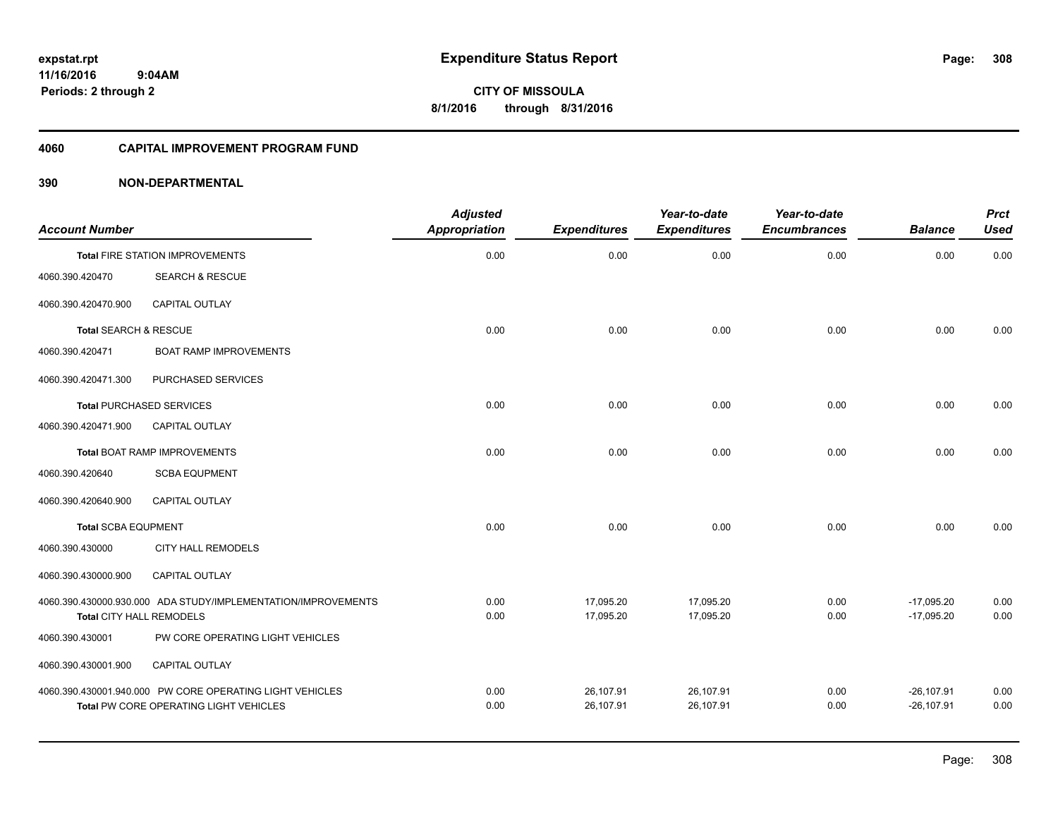**308**

**CITY OF MISSOULA 8/1/2016 through 8/31/2016**

#### **4060 CAPITAL IMPROVEMENT PROGRAM FUND**

| <b>Account Number</b>           |                                                                                                    | <b>Adjusted</b><br>Appropriation | <b>Expenditures</b>    | Year-to-date<br><b>Expenditures</b> | Year-to-date<br><b>Encumbrances</b> | <b>Balance</b>                | <b>Prct</b><br><b>Used</b> |
|---------------------------------|----------------------------------------------------------------------------------------------------|----------------------------------|------------------------|-------------------------------------|-------------------------------------|-------------------------------|----------------------------|
|                                 | <b>Total FIRE STATION IMPROVEMENTS</b>                                                             | 0.00                             | 0.00                   | 0.00                                | 0.00                                | 0.00                          | 0.00                       |
| 4060.390.420470                 | <b>SEARCH &amp; RESCUE</b>                                                                         |                                  |                        |                                     |                                     |                               |                            |
| 4060.390.420470.900             | <b>CAPITAL OUTLAY</b>                                                                              |                                  |                        |                                     |                                     |                               |                            |
| Total SEARCH & RESCUE           |                                                                                                    | 0.00                             | 0.00                   | 0.00                                | 0.00                                | 0.00                          | 0.00                       |
| 4060.390.420471                 | <b>BOAT RAMP IMPROVEMENTS</b>                                                                      |                                  |                        |                                     |                                     |                               |                            |
| 4060.390.420471.300             | PURCHASED SERVICES                                                                                 |                                  |                        |                                     |                                     |                               |                            |
| <b>Total PURCHASED SERVICES</b> |                                                                                                    | 0.00                             | 0.00                   | 0.00                                | 0.00                                | 0.00                          | 0.00                       |
| 4060.390.420471.900             | <b>CAPITAL OUTLAY</b>                                                                              |                                  |                        |                                     |                                     |                               |                            |
|                                 | <b>Total BOAT RAMP IMPROVEMENTS</b>                                                                | 0.00                             | 0.00                   | 0.00                                | 0.00                                | 0.00                          | 0.00                       |
| 4060.390.420640                 | <b>SCBA EQUPMENT</b>                                                                               |                                  |                        |                                     |                                     |                               |                            |
| 4060.390.420640.900             | <b>CAPITAL OUTLAY</b>                                                                              |                                  |                        |                                     |                                     |                               |                            |
| <b>Total SCBA EQUPMENT</b>      |                                                                                                    | 0.00                             | 0.00                   | 0.00                                | 0.00                                | 0.00                          | 0.00                       |
| 4060.390.430000                 | CITY HALL REMODELS                                                                                 |                                  |                        |                                     |                                     |                               |                            |
| 4060.390.430000.900             | CAPITAL OUTLAY                                                                                     |                                  |                        |                                     |                                     |                               |                            |
| <b>Total CITY HALL REMODELS</b> | 4060.390.430000.930.000 ADA STUDY/IMPLEMENTATION/IMPROVEMENTS                                      | 0.00<br>0.00                     | 17,095.20<br>17.095.20 | 17,095.20<br>17.095.20              | 0.00<br>0.00                        | $-17,095.20$<br>$-17.095.20$  | 0.00<br>0.00               |
| 4060.390.430001                 | PW CORE OPERATING LIGHT VEHICLES                                                                   |                                  |                        |                                     |                                     |                               |                            |
| 4060.390.430001.900             | <b>CAPITAL OUTLAY</b>                                                                              |                                  |                        |                                     |                                     |                               |                            |
|                                 | 4060.390.430001.940.000 PW CORE OPERATING LIGHT VEHICLES<br>Total PW CORE OPERATING LIGHT VEHICLES | 0.00<br>0.00                     | 26,107.91<br>26,107.91 | 26,107.91<br>26,107.91              | 0.00<br>0.00                        | $-26, 107.91$<br>$-26.107.91$ | 0.00<br>0.00               |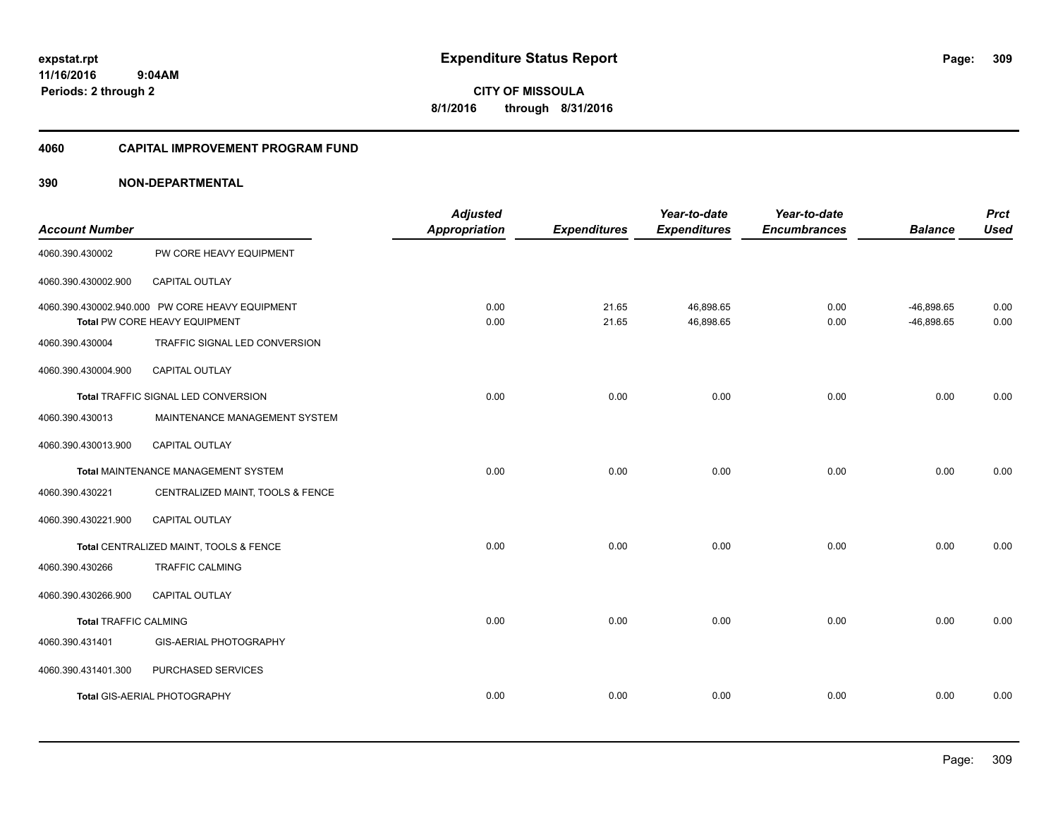**CITY OF MISSOULA 8/1/2016 through 8/31/2016**

#### **4060 CAPITAL IMPROVEMENT PROGRAM FUND**

| <b>Account Number</b>        |                                                                                  | <b>Adjusted</b><br><b>Appropriation</b> | <b>Expenditures</b> | Year-to-date<br><b>Expenditures</b> | Year-to-date<br><b>Encumbrances</b> | <b>Balance</b>               | <b>Prct</b><br><b>Used</b> |
|------------------------------|----------------------------------------------------------------------------------|-----------------------------------------|---------------------|-------------------------------------|-------------------------------------|------------------------------|----------------------------|
| 4060.390.430002              | PW CORE HEAVY EQUIPMENT                                                          |                                         |                     |                                     |                                     |                              |                            |
| 4060.390.430002.900          | CAPITAL OUTLAY                                                                   |                                         |                     |                                     |                                     |                              |                            |
|                              | 4060.390.430002.940.000 PW CORE HEAVY EQUIPMENT<br>Total PW CORE HEAVY EQUIPMENT | 0.00<br>0.00                            | 21.65<br>21.65      | 46,898.65<br>46,898.65              | 0.00<br>0.00                        | $-46,898.65$<br>$-46,898.65$ | 0.00<br>0.00               |
| 4060.390.430004              | TRAFFIC SIGNAL LED CONVERSION                                                    |                                         |                     |                                     |                                     |                              |                            |
| 4060.390.430004.900          | <b>CAPITAL OUTLAY</b>                                                            |                                         |                     |                                     |                                     |                              |                            |
|                              | Total TRAFFIC SIGNAL LED CONVERSION                                              | 0.00                                    | 0.00                | 0.00                                | 0.00                                | 0.00                         | 0.00                       |
| 4060.390.430013              | MAINTENANCE MANAGEMENT SYSTEM                                                    |                                         |                     |                                     |                                     |                              |                            |
| 4060.390.430013.900          | <b>CAPITAL OUTLAY</b>                                                            |                                         |                     |                                     |                                     |                              |                            |
|                              | <b>Total MAINTENANCE MANAGEMENT SYSTEM</b>                                       | 0.00                                    | 0.00                | 0.00                                | 0.00                                | 0.00                         | 0.00                       |
| 4060.390.430221              | CENTRALIZED MAINT, TOOLS & FENCE                                                 |                                         |                     |                                     |                                     |                              |                            |
| 4060.390.430221.900          | <b>CAPITAL OUTLAY</b>                                                            |                                         |                     |                                     |                                     |                              |                            |
|                              | Total CENTRALIZED MAINT, TOOLS & FENCE                                           | 0.00                                    | 0.00                | 0.00                                | 0.00                                | 0.00                         | 0.00                       |
| 4060.390.430266              | <b>TRAFFIC CALMING</b>                                                           |                                         |                     |                                     |                                     |                              |                            |
| 4060.390.430266.900          | CAPITAL OUTLAY                                                                   |                                         |                     |                                     |                                     |                              |                            |
| <b>Total TRAFFIC CALMING</b> |                                                                                  | 0.00                                    | 0.00                | 0.00                                | 0.00                                | 0.00                         | 0.00                       |
| 4060.390.431401              | <b>GIS-AERIAL PHOTOGRAPHY</b>                                                    |                                         |                     |                                     |                                     |                              |                            |
| 4060.390.431401.300          | PURCHASED SERVICES                                                               |                                         |                     |                                     |                                     |                              |                            |
|                              | <b>Total GIS-AERIAL PHOTOGRAPHY</b>                                              | 0.00                                    | 0.00                | 0.00                                | 0.00                                | 0.00                         | 0.00                       |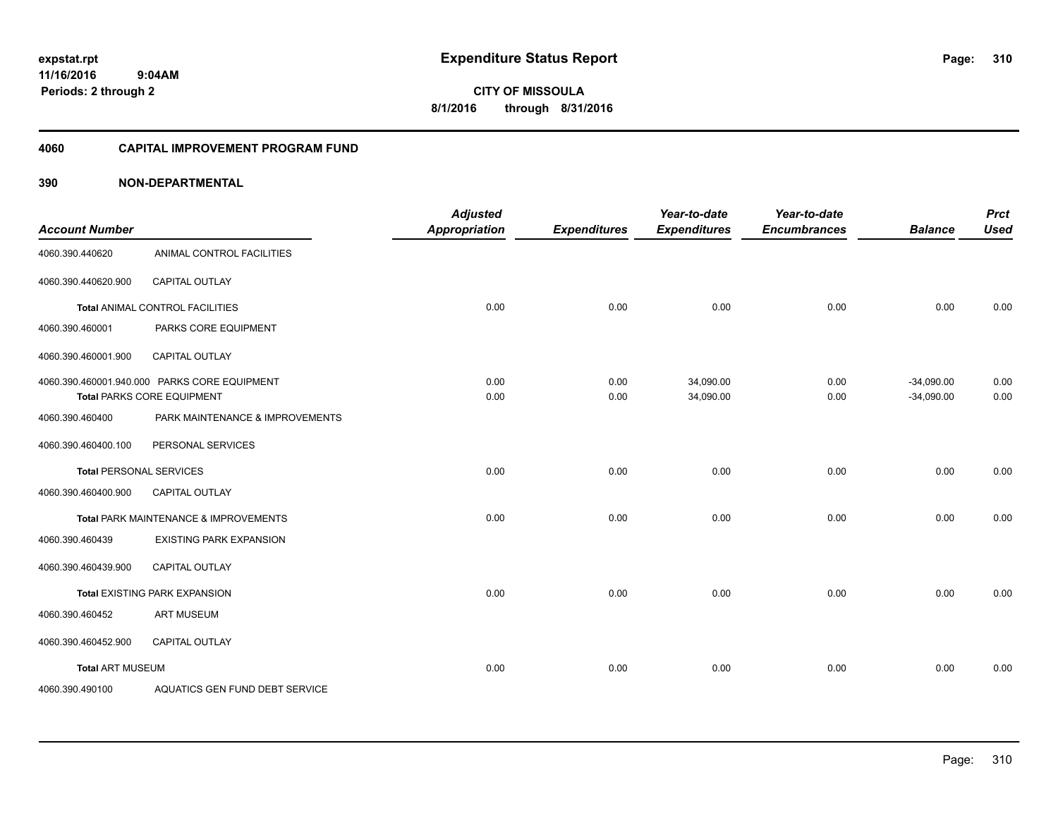**CITY OF MISSOULA 8/1/2016 through 8/31/2016**

#### **4060 CAPITAL IMPROVEMENT PROGRAM FUND**

| <b>Account Number</b>          |                                              | <b>Adjusted</b><br><b>Appropriation</b> | <b>Expenditures</b> | Year-to-date<br><b>Expenditures</b> | Year-to-date<br><b>Encumbrances</b> | <b>Balance</b> | <b>Prct</b><br><b>Used</b> |
|--------------------------------|----------------------------------------------|-----------------------------------------|---------------------|-------------------------------------|-------------------------------------|----------------|----------------------------|
| 4060.390.440620                | ANIMAL CONTROL FACILITIES                    |                                         |                     |                                     |                                     |                |                            |
| 4060.390.440620.900            | <b>CAPITAL OUTLAY</b>                        |                                         |                     |                                     |                                     |                |                            |
|                                | Total ANIMAL CONTROL FACILITIES              | 0.00                                    | 0.00                | 0.00                                | 0.00                                | 0.00           | 0.00                       |
| 4060.390.460001                | PARKS CORE EQUIPMENT                         |                                         |                     |                                     |                                     |                |                            |
| 4060.390.460001.900            | <b>CAPITAL OUTLAY</b>                        |                                         |                     |                                     |                                     |                |                            |
|                                | 4060.390.460001.940.000 PARKS CORE EQUIPMENT | 0.00                                    | 0.00                | 34,090.00                           | 0.00                                | $-34,090.00$   | 0.00                       |
|                                | <b>Total PARKS CORE EQUIPMENT</b>            | 0.00                                    | 0.00                | 34,090.00                           | 0.00                                | $-34,090.00$   | 0.00                       |
| 4060.390.460400                | PARK MAINTENANCE & IMPROVEMENTS              |                                         |                     |                                     |                                     |                |                            |
| 4060.390.460400.100            | PERSONAL SERVICES                            |                                         |                     |                                     |                                     |                |                            |
| <b>Total PERSONAL SERVICES</b> |                                              | 0.00                                    | 0.00                | 0.00                                | 0.00                                | 0.00           | 0.00                       |
| 4060.390.460400.900            | CAPITAL OUTLAY                               |                                         |                     |                                     |                                     |                |                            |
|                                | Total PARK MAINTENANCE & IMPROVEMENTS        | 0.00                                    | 0.00                | 0.00                                | 0.00                                | 0.00           | 0.00                       |
| 4060.390.460439                | <b>EXISTING PARK EXPANSION</b>               |                                         |                     |                                     |                                     |                |                            |
| 4060.390.460439.900            | <b>CAPITAL OUTLAY</b>                        |                                         |                     |                                     |                                     |                |                            |
|                                | <b>Total EXISTING PARK EXPANSION</b>         | 0.00                                    | 0.00                | 0.00                                | 0.00                                | 0.00           | 0.00                       |
| 4060.390.460452                | <b>ART MUSEUM</b>                            |                                         |                     |                                     |                                     |                |                            |
| 4060.390.460452.900            | <b>CAPITAL OUTLAY</b>                        |                                         |                     |                                     |                                     |                |                            |
| <b>Total ART MUSEUM</b>        |                                              | 0.00                                    | 0.00                | 0.00                                | 0.00                                | 0.00           | 0.00                       |
| 4060.390.490100                | AQUATICS GEN FUND DEBT SERVICE               |                                         |                     |                                     |                                     |                |                            |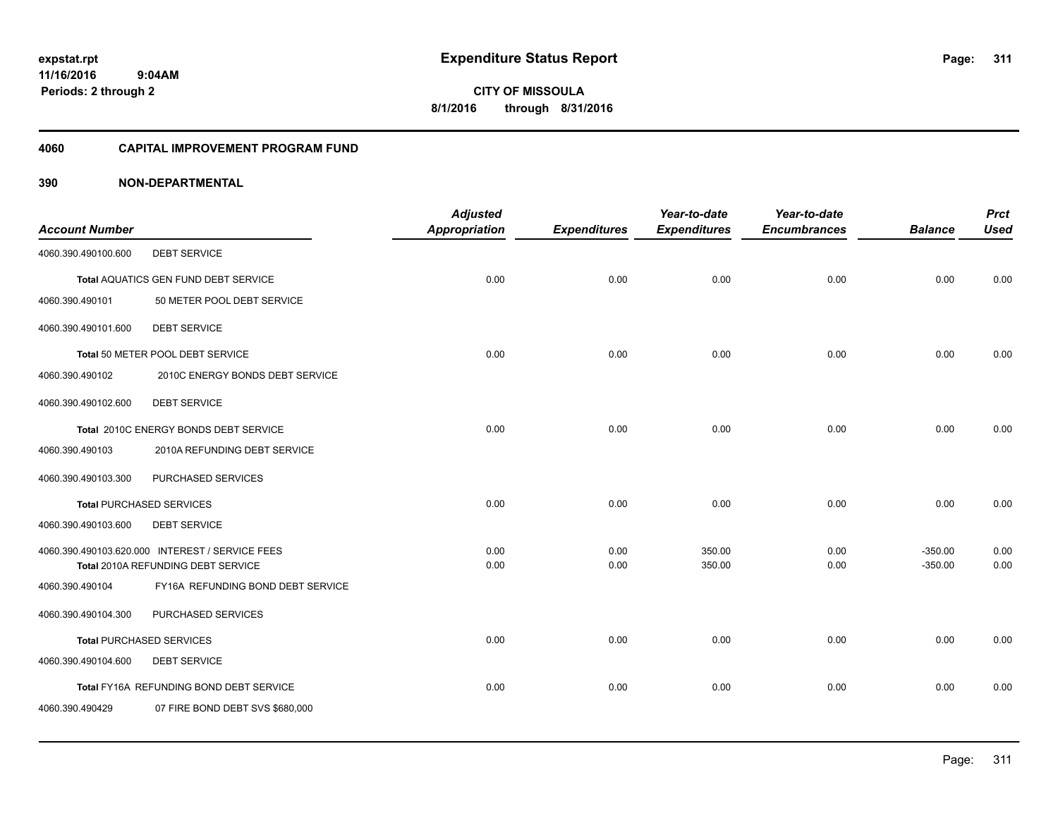**311**

**11/16/2016 9:04AM Periods: 2 through 2**

**CITY OF MISSOULA 8/1/2016 through 8/31/2016**

#### **4060 CAPITAL IMPROVEMENT PROGRAM FUND**

|                       |                                                                         | <b>Adjusted</b> |                     | Year-to-date        | Year-to-date        |                | <b>Prct</b> |
|-----------------------|-------------------------------------------------------------------------|-----------------|---------------------|---------------------|---------------------|----------------|-------------|
| <b>Account Number</b> |                                                                         | Appropriation   | <b>Expenditures</b> | <b>Expenditures</b> | <b>Encumbrances</b> | <b>Balance</b> | <b>Used</b> |
| 4060.390.490100.600   | <b>DEBT SERVICE</b>                                                     |                 |                     |                     |                     |                |             |
|                       | <b>Total AQUATICS GEN FUND DEBT SERVICE</b>                             | 0.00            | 0.00                | 0.00                | 0.00                | 0.00           | 0.00        |
| 4060.390.490101       | 50 METER POOL DEBT SERVICE                                              |                 |                     |                     |                     |                |             |
| 4060.390.490101.600   | <b>DEBT SERVICE</b>                                                     |                 |                     |                     |                     |                |             |
|                       | Total 50 METER POOL DEBT SERVICE                                        | 0.00            | 0.00                | 0.00                | 0.00                | 0.00           | 0.00        |
| 4060.390.490102       | 2010C ENERGY BONDS DEBT SERVICE                                         |                 |                     |                     |                     |                |             |
| 4060.390.490102.600   | <b>DEBT SERVICE</b>                                                     |                 |                     |                     |                     |                |             |
|                       | Total 2010C ENERGY BONDS DEBT SERVICE                                   | 0.00            | 0.00                | 0.00                | 0.00                | 0.00           | 0.00        |
| 4060.390.490103       | 2010A REFUNDING DEBT SERVICE                                            |                 |                     |                     |                     |                |             |
| 4060.390.490103.300   | PURCHASED SERVICES                                                      |                 |                     |                     |                     |                |             |
|                       | <b>Total PURCHASED SERVICES</b>                                         | 0.00            | 0.00                | 0.00                | 0.00                | 0.00           | 0.00        |
| 4060.390.490103.600   | <b>DEBT SERVICE</b>                                                     |                 |                     |                     |                     |                |             |
|                       | 4060.390.490103.620.000 INTEREST / SERVICE FEES                         | 0.00            | 0.00                | 350.00              | 0.00                | $-350.00$      | 0.00        |
|                       | Total 2010A REFUNDING DEBT SERVICE<br>FY16A REFUNDING BOND DEBT SERVICE | 0.00            | 0.00                | 350.00              | 0.00                | $-350.00$      | 0.00        |
| 4060.390.490104       |                                                                         |                 |                     |                     |                     |                |             |
| 4060.390.490104.300   | PURCHASED SERVICES                                                      |                 |                     |                     |                     |                |             |
|                       | <b>Total PURCHASED SERVICES</b>                                         | 0.00            | 0.00                | 0.00                | 0.00                | 0.00           | 0.00        |
| 4060.390.490104.600   | <b>DEBT SERVICE</b>                                                     |                 |                     |                     |                     |                |             |
|                       | Total FY16A REFUNDING BOND DEBT SERVICE                                 | 0.00            | 0.00                | 0.00                | 0.00                | 0.00           | 0.00        |
| 4060.390.490429       | 07 FIRE BOND DEBT SVS \$680,000                                         |                 |                     |                     |                     |                |             |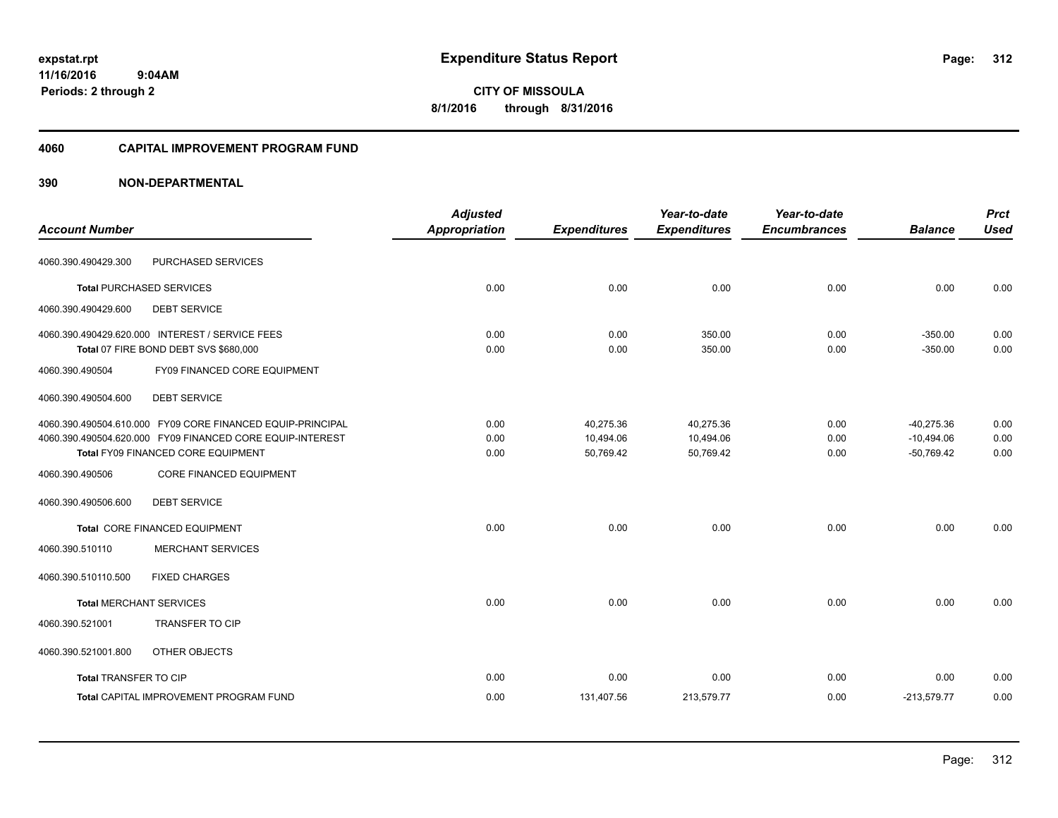**CITY OF MISSOULA 8/1/2016 through 8/31/2016**

#### **4060 CAPITAL IMPROVEMENT PROGRAM FUND**

|                                |                                                                                          | <b>Adjusted</b>      |                     | Year-to-date        | Year-to-date        |                        | <b>Prct</b>  |
|--------------------------------|------------------------------------------------------------------------------------------|----------------------|---------------------|---------------------|---------------------|------------------------|--------------|
| <b>Account Number</b>          |                                                                                          | <b>Appropriation</b> | <b>Expenditures</b> | <b>Expenditures</b> | <b>Encumbrances</b> | <b>Balance</b>         | <b>Used</b>  |
| 4060.390.490429.300            | PURCHASED SERVICES                                                                       |                      |                     |                     |                     |                        |              |
|                                | <b>Total PURCHASED SERVICES</b>                                                          | 0.00                 | 0.00                | 0.00                | 0.00                | 0.00                   | 0.00         |
| 4060.390.490429.600            | <b>DEBT SERVICE</b>                                                                      |                      |                     |                     |                     |                        |              |
|                                | 4060.390.490429.620.000 INTEREST / SERVICE FEES<br>Total 07 FIRE BOND DEBT SVS \$680,000 | 0.00<br>0.00         | 0.00<br>0.00        | 350.00<br>350.00    | 0.00<br>0.00        | $-350.00$<br>$-350.00$ | 0.00<br>0.00 |
| 4060.390.490504                | FY09 FINANCED CORE EQUIPMENT                                                             |                      |                     |                     |                     |                        |              |
| 4060.390.490504.600            | <b>DEBT SERVICE</b>                                                                      |                      |                     |                     |                     |                        |              |
|                                | 4060.390.490504.610.000 FY09 CORE FINANCED EQUIP-PRINCIPAL                               | 0.00                 | 40,275.36           | 40,275.36           | 0.00                | $-40.275.36$           | 0.00         |
|                                | 4060.390.490504.620.000 FY09 FINANCED CORE EQUIP-INTEREST                                | 0.00                 | 10,494.06           | 10,494.06           | 0.00                | $-10,494.06$           | 0.00         |
|                                | Total FY09 FINANCED CORE EQUIPMENT                                                       | 0.00                 | 50,769.42           | 50,769.42           | 0.00                | $-50,769.42$           | 0.00         |
| 4060.390.490506                | <b>CORE FINANCED EQUIPMENT</b>                                                           |                      |                     |                     |                     |                        |              |
| 4060.390.490506.600            | <b>DEBT SERVICE</b>                                                                      |                      |                     |                     |                     |                        |              |
|                                | <b>Total CORE FINANCED EQUIPMENT</b>                                                     | 0.00                 | 0.00                | 0.00                | 0.00                | 0.00                   | 0.00         |
| 4060.390.510110                | <b>MERCHANT SERVICES</b>                                                                 |                      |                     |                     |                     |                        |              |
| 4060.390.510110.500            | <b>FIXED CHARGES</b>                                                                     |                      |                     |                     |                     |                        |              |
| <b>Total MERCHANT SERVICES</b> |                                                                                          | 0.00                 | 0.00                | 0.00                | 0.00                | 0.00                   | 0.00         |
| 4060.390.521001                | <b>TRANSFER TO CIP</b>                                                                   |                      |                     |                     |                     |                        |              |
| 4060.390.521001.800            | OTHER OBJECTS                                                                            |                      |                     |                     |                     |                        |              |
| Total TRANSFER TO CIP          |                                                                                          | 0.00                 | 0.00                | 0.00                | 0.00                | 0.00                   | 0.00         |
|                                | <b>Total CAPITAL IMPROVEMENT PROGRAM FUND</b>                                            | 0.00                 | 131,407.56          | 213,579.77          | 0.00                | $-213,579.77$          | 0.00         |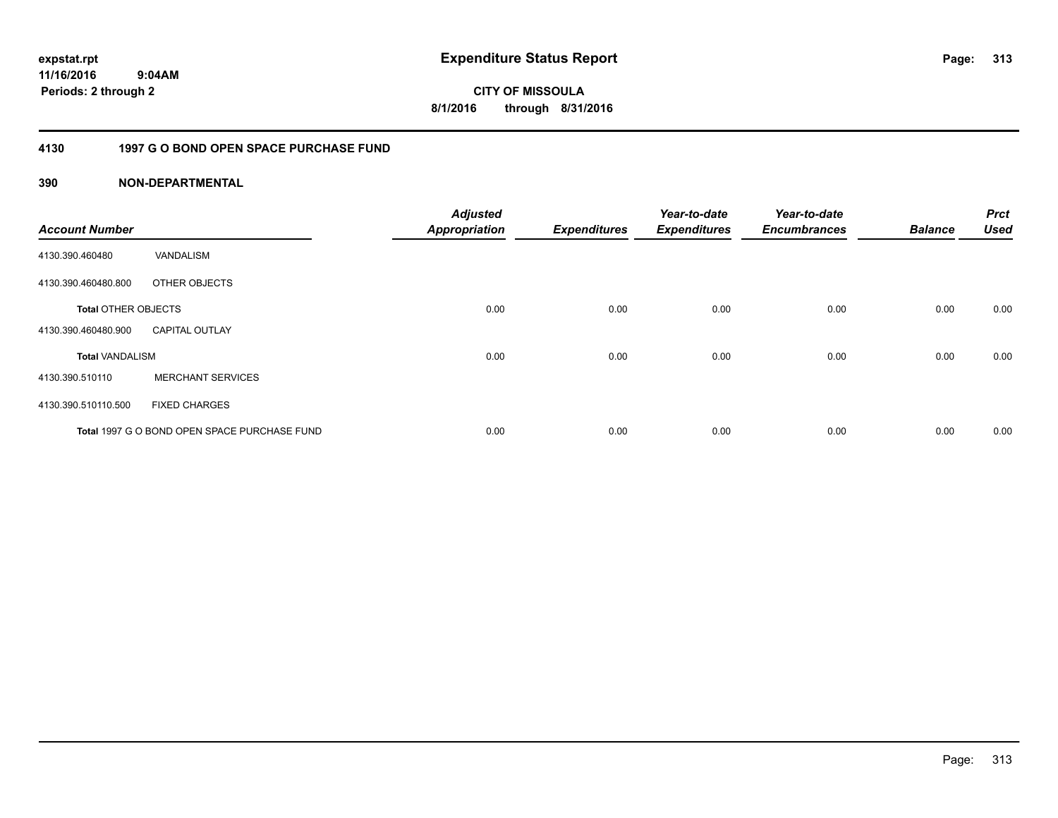**CITY OF MISSOULA 8/1/2016 through 8/31/2016**

### **4130 1997 G O BOND OPEN SPACE PURCHASE FUND**

| <b>Account Number</b>      |                                              | <b>Adjusted</b><br><b>Appropriation</b> | <b>Expenditures</b> | Year-to-date<br><b>Expenditures</b> | Year-to-date<br><b>Encumbrances</b> | <b>Balance</b> | <b>Prct</b><br><b>Used</b> |
|----------------------------|----------------------------------------------|-----------------------------------------|---------------------|-------------------------------------|-------------------------------------|----------------|----------------------------|
| 4130.390.460480            | VANDALISM                                    |                                         |                     |                                     |                                     |                |                            |
| 4130.390.460480.800        | OTHER OBJECTS                                |                                         |                     |                                     |                                     |                |                            |
| <b>Total OTHER OBJECTS</b> |                                              | 0.00                                    | 0.00                | 0.00                                | 0.00                                | 0.00           | 0.00                       |
| 4130.390.460480.900        | <b>CAPITAL OUTLAY</b>                        |                                         |                     |                                     |                                     |                |                            |
| <b>Total VANDALISM</b>     |                                              | 0.00                                    | 0.00                | 0.00                                | 0.00                                | 0.00           | 0.00                       |
| 4130.390.510110            | <b>MERCHANT SERVICES</b>                     |                                         |                     |                                     |                                     |                |                            |
| 4130.390.510110.500        | <b>FIXED CHARGES</b>                         |                                         |                     |                                     |                                     |                |                            |
|                            | Total 1997 G O BOND OPEN SPACE PURCHASE FUND | 0.00                                    | 0.00                | 0.00                                | 0.00                                | 0.00           | 0.00                       |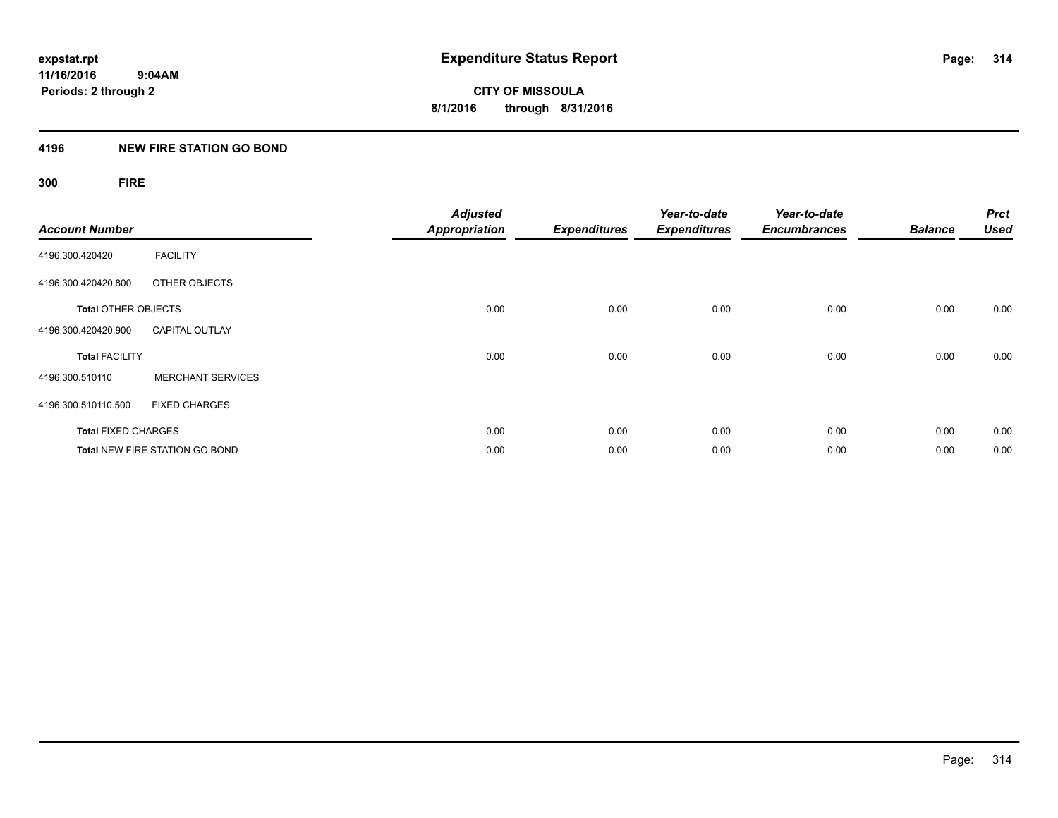### **4196 NEW FIRE STATION GO BOND**

## **300 FIRE**

| <b>Account Number</b>      |                                       | <b>Adjusted</b><br><b>Appropriation</b> | <b>Expenditures</b> | Year-to-date<br><b>Expenditures</b> | Year-to-date<br><b>Encumbrances</b> | <b>Balance</b> | <b>Prct</b><br><b>Used</b> |
|----------------------------|---------------------------------------|-----------------------------------------|---------------------|-------------------------------------|-------------------------------------|----------------|----------------------------|
| 4196.300.420420            | <b>FACILITY</b>                       |                                         |                     |                                     |                                     |                |                            |
| 4196.300.420420.800        | OTHER OBJECTS                         |                                         |                     |                                     |                                     |                |                            |
| <b>Total OTHER OBJECTS</b> |                                       | 0.00                                    | 0.00                | 0.00                                | 0.00                                | 0.00           | 0.00                       |
| 4196.300.420420.900        | <b>CAPITAL OUTLAY</b>                 |                                         |                     |                                     |                                     |                |                            |
| <b>Total FACILITY</b>      |                                       | 0.00                                    | 0.00                | 0.00                                | 0.00                                | 0.00           | 0.00                       |
| 4196.300.510110            | <b>MERCHANT SERVICES</b>              |                                         |                     |                                     |                                     |                |                            |
| 4196.300.510110.500        | <b>FIXED CHARGES</b>                  |                                         |                     |                                     |                                     |                |                            |
| <b>Total FIXED CHARGES</b> |                                       | 0.00                                    | 0.00                | 0.00                                | 0.00                                | 0.00           | 0.00                       |
|                            | <b>Total NEW FIRE STATION GO BOND</b> | 0.00                                    | 0.00                | 0.00                                | 0.00                                | 0.00           | 0.00                       |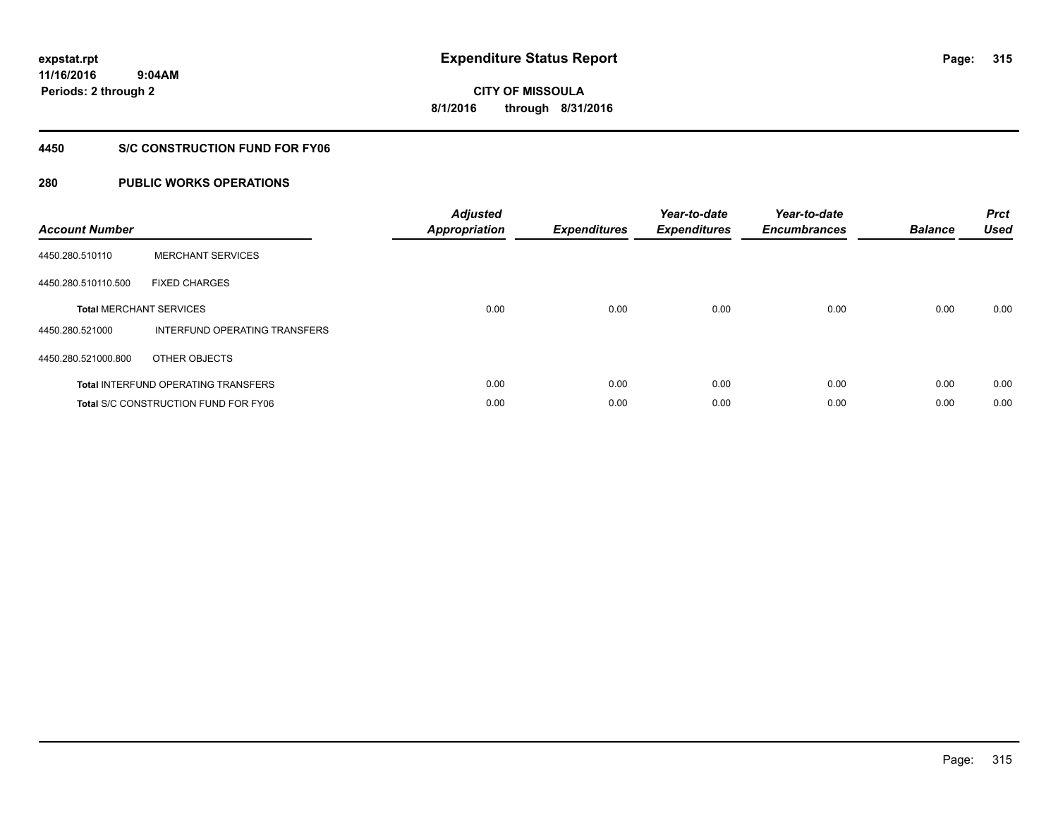**Periods: 2 through 2**

**CITY OF MISSOULA 8/1/2016 through 8/31/2016**

#### **4450 S/C CONSTRUCTION FUND FOR FY06**

### **280 PUBLIC WORKS OPERATIONS**

 **9:04AM**

| <b>Account Number</b> |                                             | <b>Adjusted</b><br><b>Appropriation</b> | <b>Expenditures</b> | Year-to-date<br><b>Expenditures</b> | Year-to-date<br><b>Encumbrances</b> | <b>Balance</b> | <b>Prct</b><br><b>Used</b> |
|-----------------------|---------------------------------------------|-----------------------------------------|---------------------|-------------------------------------|-------------------------------------|----------------|----------------------------|
| 4450.280.510110       | <b>MERCHANT SERVICES</b>                    |                                         |                     |                                     |                                     |                |                            |
| 4450.280.510110.500   | <b>FIXED CHARGES</b>                        |                                         |                     |                                     |                                     |                |                            |
|                       | <b>Total MERCHANT SERVICES</b>              | 0.00                                    | 0.00                | 0.00                                | 0.00                                | 0.00           | 0.00                       |
| 4450.280.521000       | INTERFUND OPERATING TRANSFERS               |                                         |                     |                                     |                                     |                |                            |
| 4450.280.521000.800   | OTHER OBJECTS                               |                                         |                     |                                     |                                     |                |                            |
|                       | <b>Total INTERFUND OPERATING TRANSFERS</b>  | 0.00                                    | 0.00                | 0.00                                | 0.00                                | 0.00           | 0.00                       |
|                       | <b>Total S/C CONSTRUCTION FUND FOR FY06</b> | 0.00                                    | 0.00                | 0.00                                | 0.00                                | 0.00           | 0.00                       |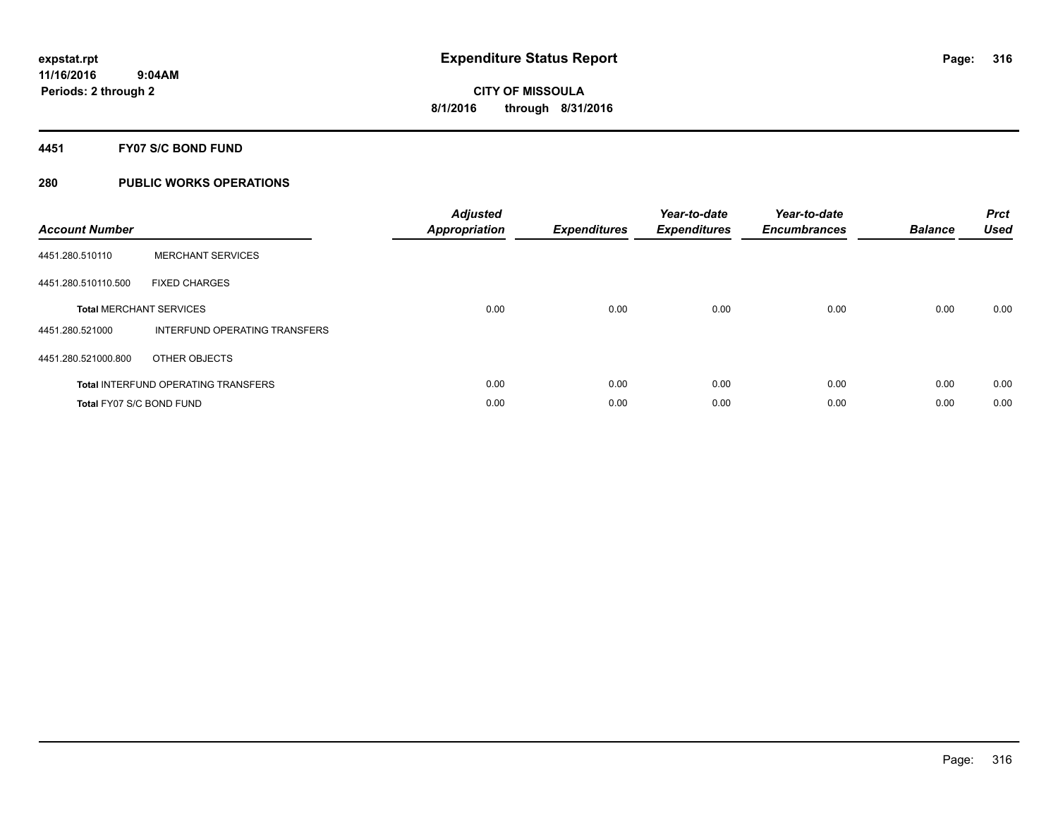#### **4451 FY07 S/C BOND FUND**

| <b>Account Number</b>    |                                            | <b>Adjusted</b><br><b>Appropriation</b> | <b>Expenditures</b> | Year-to-date<br><b>Expenditures</b> | Year-to-date<br><b>Encumbrances</b> | <b>Balance</b> | <b>Prct</b><br><b>Used</b> |
|--------------------------|--------------------------------------------|-----------------------------------------|---------------------|-------------------------------------|-------------------------------------|----------------|----------------------------|
| 4451.280.510110          | <b>MERCHANT SERVICES</b>                   |                                         |                     |                                     |                                     |                |                            |
| 4451.280.510110.500      | <b>FIXED CHARGES</b>                       |                                         |                     |                                     |                                     |                |                            |
|                          | <b>Total MERCHANT SERVICES</b>             | 0.00                                    | 0.00                | 0.00                                | 0.00                                | 0.00           | 0.00                       |
| 4451.280.521000          | INTERFUND OPERATING TRANSFERS              |                                         |                     |                                     |                                     |                |                            |
| 4451.280.521000.800      | OTHER OBJECTS                              |                                         |                     |                                     |                                     |                |                            |
|                          | <b>Total INTERFUND OPERATING TRANSFERS</b> | 0.00                                    | 0.00                | 0.00                                | 0.00                                | 0.00           | 0.00                       |
| Total FY07 S/C BOND FUND |                                            | 0.00                                    | 0.00                | 0.00                                | 0.00                                | 0.00           | 0.00                       |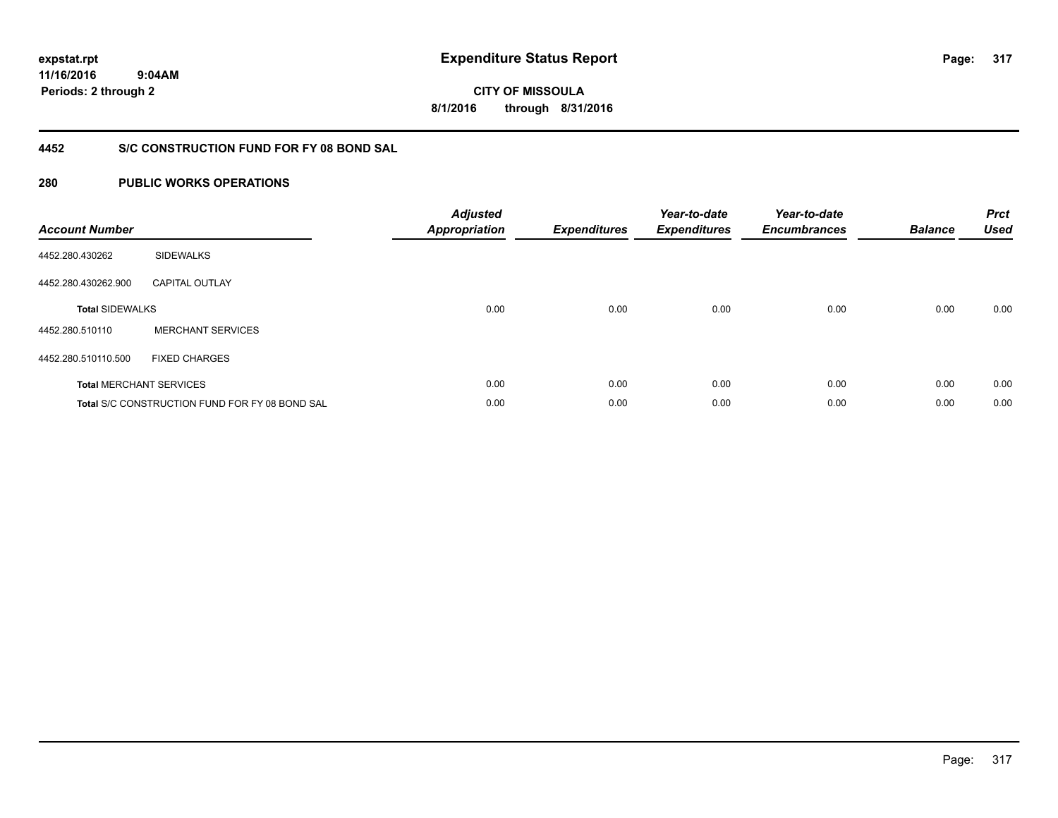**CITY OF MISSOULA 8/1/2016 through 8/31/2016**

### **4452 S/C CONSTRUCTION FUND FOR FY 08 BOND SAL**

| <b>Account Number</b>  |                                                | <b>Adjusted</b><br><b>Appropriation</b> | <b>Expenditures</b> | Year-to-date<br><b>Expenditures</b> | Year-to-date<br><b>Encumbrances</b> | <b>Balance</b> | <b>Prct</b><br><b>Used</b> |
|------------------------|------------------------------------------------|-----------------------------------------|---------------------|-------------------------------------|-------------------------------------|----------------|----------------------------|
| 4452.280.430262        | <b>SIDEWALKS</b>                               |                                         |                     |                                     |                                     |                |                            |
| 4452.280.430262.900    | <b>CAPITAL OUTLAY</b>                          |                                         |                     |                                     |                                     |                |                            |
| <b>Total SIDEWALKS</b> |                                                | 0.00                                    | 0.00                | 0.00                                | 0.00                                | 0.00           | 0.00                       |
| 4452.280.510110        | <b>MERCHANT SERVICES</b>                       |                                         |                     |                                     |                                     |                |                            |
| 4452.280.510110.500    | <b>FIXED CHARGES</b>                           |                                         |                     |                                     |                                     |                |                            |
|                        | <b>Total MERCHANT SERVICES</b>                 | 0.00                                    | 0.00                | 0.00                                | 0.00                                | 0.00           | 0.00                       |
|                        | Total S/C CONSTRUCTION FUND FOR FY 08 BOND SAL | 0.00                                    | 0.00                | 0.00                                | 0.00                                | 0.00           | 0.00                       |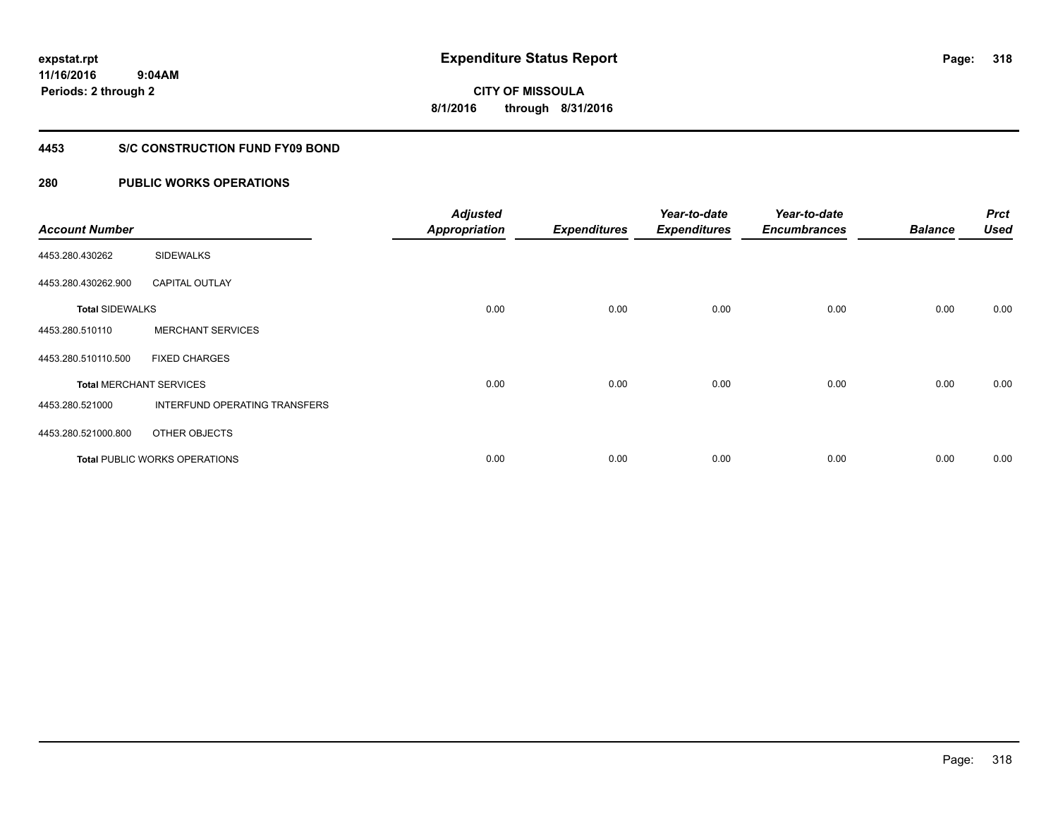**318**

**11/16/2016 9:04AM Periods: 2 through 2**

**CITY OF MISSOULA 8/1/2016 through 8/31/2016**

#### **4453 S/C CONSTRUCTION FUND FY09 BOND**

| <b>Account Number</b>  |                                      | <b>Adjusted</b><br><b>Appropriation</b> | <b>Expenditures</b> | Year-to-date<br><b>Expenditures</b> | Year-to-date<br><b>Encumbrances</b> | <b>Balance</b> | <b>Prct</b><br><b>Used</b> |
|------------------------|--------------------------------------|-----------------------------------------|---------------------|-------------------------------------|-------------------------------------|----------------|----------------------------|
| 4453.280.430262        | <b>SIDEWALKS</b>                     |                                         |                     |                                     |                                     |                |                            |
| 4453.280.430262.900    | <b>CAPITAL OUTLAY</b>                |                                         |                     |                                     |                                     |                |                            |
| <b>Total SIDEWALKS</b> |                                      | 0.00                                    | 0.00                | 0.00                                | 0.00                                | 0.00           | 0.00                       |
| 4453.280.510110        | <b>MERCHANT SERVICES</b>             |                                         |                     |                                     |                                     |                |                            |
| 4453.280.510110.500    | <b>FIXED CHARGES</b>                 |                                         |                     |                                     |                                     |                |                            |
|                        | <b>Total MERCHANT SERVICES</b>       | 0.00                                    | 0.00                | 0.00                                | 0.00                                | 0.00           | 0.00                       |
| 4453.280.521000        | INTERFUND OPERATING TRANSFERS        |                                         |                     |                                     |                                     |                |                            |
| 4453.280.521000.800    | OTHER OBJECTS                        |                                         |                     |                                     |                                     |                |                            |
|                        | <b>Total PUBLIC WORKS OPERATIONS</b> | 0.00                                    | 0.00                | 0.00                                | 0.00                                | 0.00           | 0.00                       |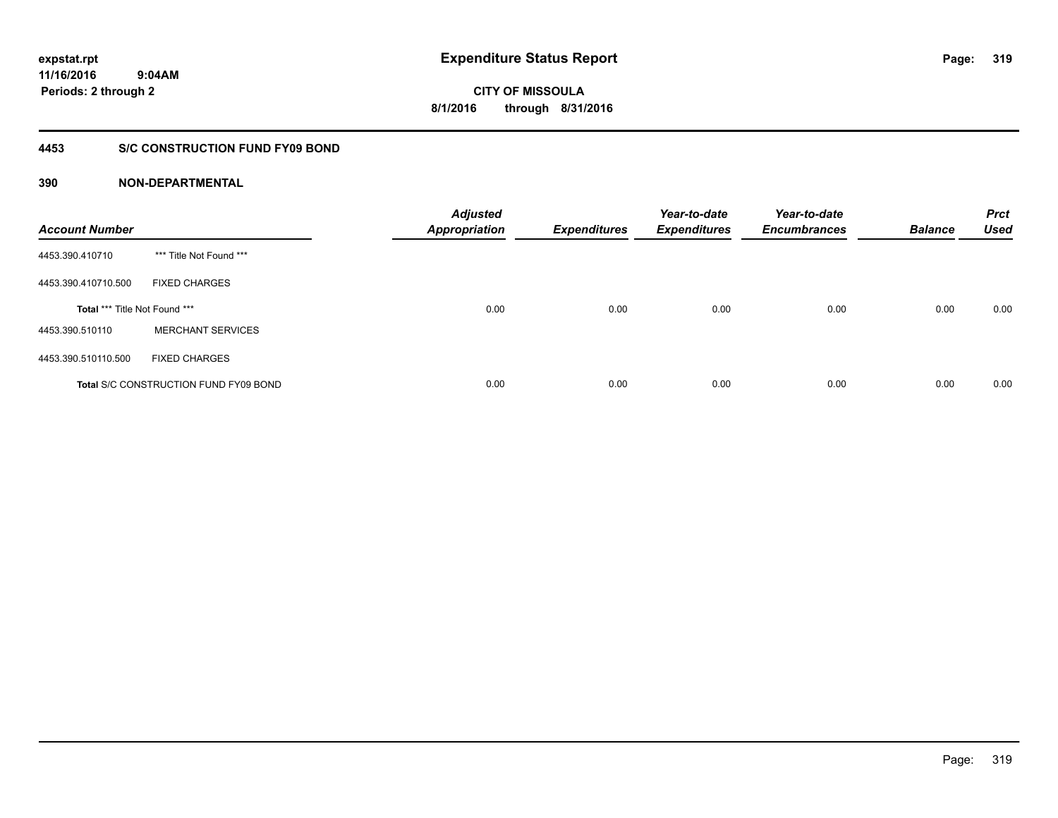**CITY OF MISSOULA 8/1/2016 through 8/31/2016**

### **4453 S/C CONSTRUCTION FUND FY09 BOND**

| <b>Account Number</b>         |                                              | <b>Adjusted</b><br>Appropriation | <b>Expenditures</b> | Year-to-date<br><b>Expenditures</b> | Year-to-date<br><b>Encumbrances</b> | <b>Balance</b> | <b>Prct</b><br><b>Used</b> |
|-------------------------------|----------------------------------------------|----------------------------------|---------------------|-------------------------------------|-------------------------------------|----------------|----------------------------|
| 4453.390.410710               | *** Title Not Found ***                      |                                  |                     |                                     |                                     |                |                            |
| 4453.390.410710.500           | <b>FIXED CHARGES</b>                         |                                  |                     |                                     |                                     |                |                            |
| Total *** Title Not Found *** |                                              | 0.00                             | 0.00                | 0.00                                | 0.00                                | 0.00           | 0.00                       |
| 4453.390.510110               | <b>MERCHANT SERVICES</b>                     |                                  |                     |                                     |                                     |                |                            |
| 4453.390.510110.500           | <b>FIXED CHARGES</b>                         |                                  |                     |                                     |                                     |                |                            |
|                               | <b>Total S/C CONSTRUCTION FUND FY09 BOND</b> | 0.00                             | 0.00                | 0.00                                | 0.00                                | 0.00           | 0.00                       |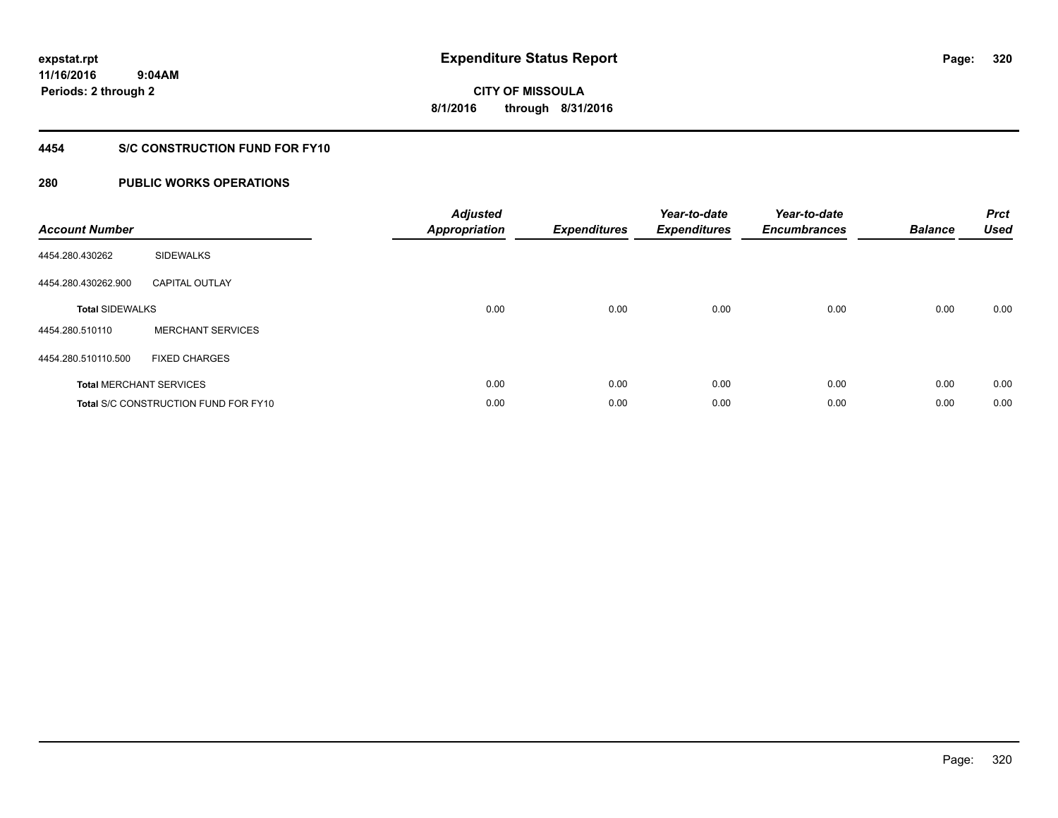**Periods: 2 through 2**

**320**

**CITY OF MISSOULA 8/1/2016 through 8/31/2016**

#### **4454 S/C CONSTRUCTION FUND FOR FY10**

### **280 PUBLIC WORKS OPERATIONS**

 **9:04AM**

| <b>Account Number</b>          |                                             | <b>Adjusted</b><br><b>Appropriation</b> | <b>Expenditures</b> | Year-to-date<br><b>Expenditures</b> | Year-to-date<br><b>Encumbrances</b> | <b>Balance</b> | <b>Prct</b><br><b>Used</b> |
|--------------------------------|---------------------------------------------|-----------------------------------------|---------------------|-------------------------------------|-------------------------------------|----------------|----------------------------|
| 4454.280.430262                | <b>SIDEWALKS</b>                            |                                         |                     |                                     |                                     |                |                            |
| 4454.280.430262.900            | <b>CAPITAL OUTLAY</b>                       |                                         |                     |                                     |                                     |                |                            |
| <b>Total SIDEWALKS</b>         |                                             | 0.00                                    | 0.00                | 0.00                                | 0.00                                | 0.00           | 0.00                       |
| 4454.280.510110                | <b>MERCHANT SERVICES</b>                    |                                         |                     |                                     |                                     |                |                            |
| 4454.280.510110.500            | <b>FIXED CHARGES</b>                        |                                         |                     |                                     |                                     |                |                            |
| <b>Total MERCHANT SERVICES</b> |                                             | 0.00                                    | 0.00                | 0.00                                | 0.00                                | 0.00           | 0.00                       |
|                                | <b>Total S/C CONSTRUCTION FUND FOR FY10</b> | 0.00                                    | 0.00                | 0.00                                | 0.00                                | 0.00           | 0.00                       |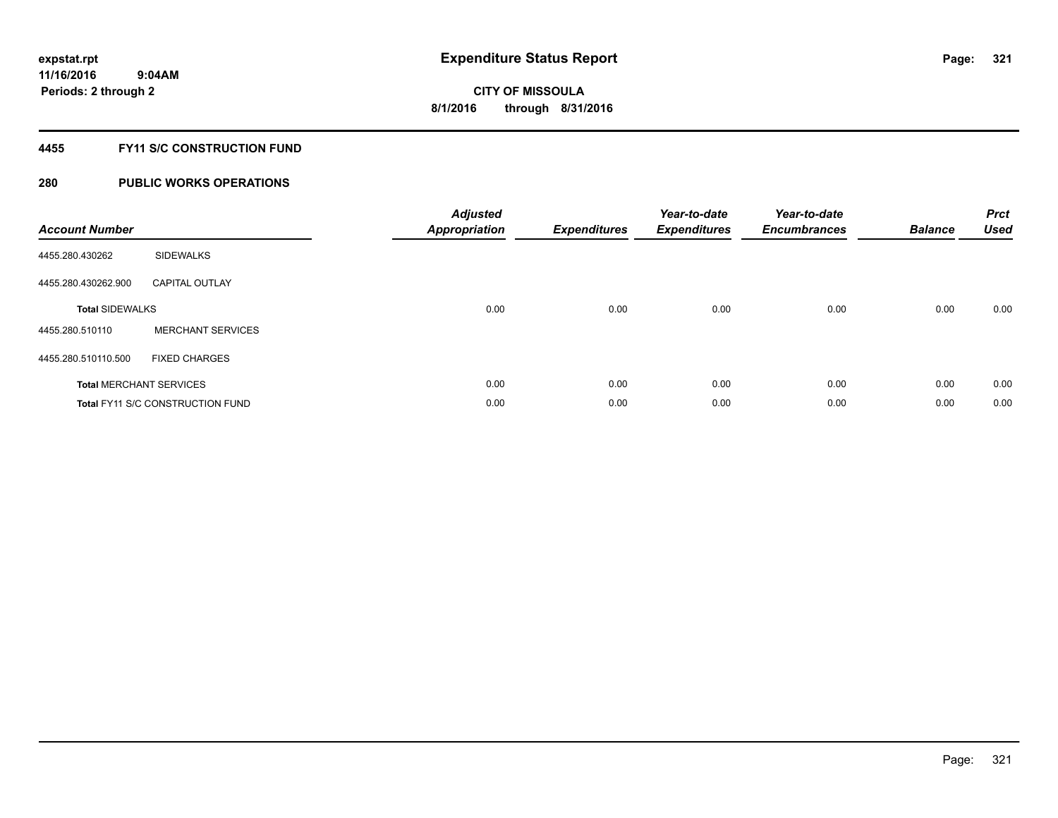### **4455 FY11 S/C CONSTRUCTION FUND**

| <b>Account Number</b>  |                                         | <b>Adjusted</b><br>Appropriation | <b>Expenditures</b> | Year-to-date<br><b>Expenditures</b> | Year-to-date<br><b>Encumbrances</b> | <b>Balance</b> | <b>Prct</b><br><b>Used</b> |
|------------------------|-----------------------------------------|----------------------------------|---------------------|-------------------------------------|-------------------------------------|----------------|----------------------------|
| 4455.280.430262        | <b>SIDEWALKS</b>                        |                                  |                     |                                     |                                     |                |                            |
| 4455.280.430262.900    | <b>CAPITAL OUTLAY</b>                   |                                  |                     |                                     |                                     |                |                            |
| <b>Total SIDEWALKS</b> |                                         | 0.00                             | 0.00                | 0.00                                | 0.00                                | 0.00           | 0.00                       |
| 4455.280.510110        | <b>MERCHANT SERVICES</b>                |                                  |                     |                                     |                                     |                |                            |
| 4455.280.510110.500    | <b>FIXED CHARGES</b>                    |                                  |                     |                                     |                                     |                |                            |
|                        | <b>Total MERCHANT SERVICES</b>          | 0.00                             | 0.00                | 0.00                                | 0.00                                | 0.00           | 0.00                       |
|                        | <b>Total FY11 S/C CONSTRUCTION FUND</b> | 0.00                             | 0.00                | 0.00                                | 0.00                                | 0.00           | 0.00                       |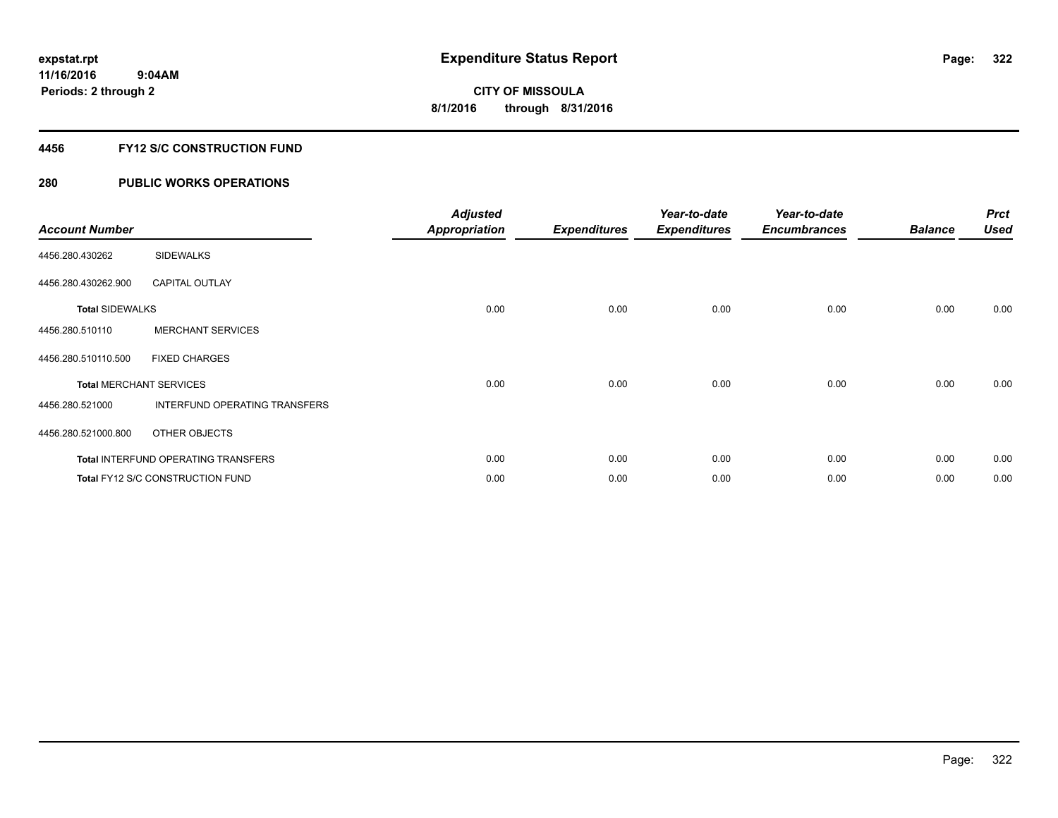### **4456 FY12 S/C CONSTRUCTION FUND**

| <b>Account Number</b>  |                                            | <b>Adjusted</b><br><b>Appropriation</b> | <b>Expenditures</b> | Year-to-date<br><b>Expenditures</b> | Year-to-date<br><b>Encumbrances</b> | <b>Balance</b> | <b>Prct</b><br><b>Used</b> |
|------------------------|--------------------------------------------|-----------------------------------------|---------------------|-------------------------------------|-------------------------------------|----------------|----------------------------|
| 4456.280.430262        | <b>SIDEWALKS</b>                           |                                         |                     |                                     |                                     |                |                            |
| 4456.280.430262.900    | <b>CAPITAL OUTLAY</b>                      |                                         |                     |                                     |                                     |                |                            |
| <b>Total SIDEWALKS</b> |                                            | 0.00                                    | 0.00                | 0.00                                | 0.00                                | 0.00           | 0.00                       |
| 4456.280.510110        | <b>MERCHANT SERVICES</b>                   |                                         |                     |                                     |                                     |                |                            |
| 4456.280.510110.500    | <b>FIXED CHARGES</b>                       |                                         |                     |                                     |                                     |                |                            |
|                        | <b>Total MERCHANT SERVICES</b>             | 0.00                                    | 0.00                | 0.00                                | 0.00                                | 0.00           | 0.00                       |
| 4456.280.521000        | INTERFUND OPERATING TRANSFERS              |                                         |                     |                                     |                                     |                |                            |
| 4456.280.521000.800    | OTHER OBJECTS                              |                                         |                     |                                     |                                     |                |                            |
|                        | <b>Total INTERFUND OPERATING TRANSFERS</b> | 0.00                                    | 0.00                | 0.00                                | 0.00                                | 0.00           | 0.00                       |
|                        | Total FY12 S/C CONSTRUCTION FUND           | 0.00                                    | 0.00                | 0.00                                | 0.00                                | 0.00           | 0.00                       |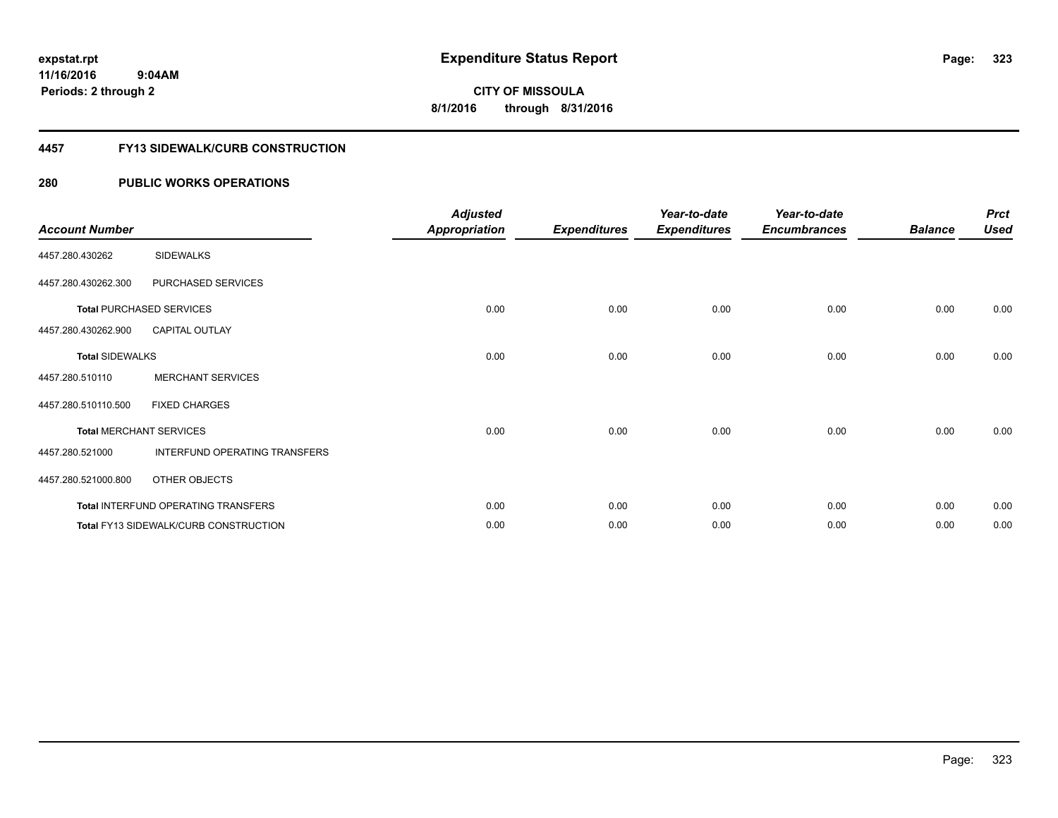**Periods: 2 through 2**

**CITY OF MISSOULA 8/1/2016 through 8/31/2016**

#### **4457 FY13 SIDEWALK/CURB CONSTRUCTION**

| <b>Account Number</b>  |                                              | <b>Adjusted</b><br><b>Appropriation</b> | <b>Expenditures</b> | Year-to-date<br><b>Expenditures</b> | Year-to-date<br><b>Encumbrances</b> | <b>Balance</b> | <b>Prct</b><br><b>Used</b> |
|------------------------|----------------------------------------------|-----------------------------------------|---------------------|-------------------------------------|-------------------------------------|----------------|----------------------------|
| 4457.280.430262        | <b>SIDEWALKS</b>                             |                                         |                     |                                     |                                     |                |                            |
| 4457.280.430262.300    | PURCHASED SERVICES                           |                                         |                     |                                     |                                     |                |                            |
|                        | <b>Total PURCHASED SERVICES</b>              | 0.00                                    | 0.00                | 0.00                                | 0.00                                | 0.00           | 0.00                       |
| 4457.280.430262.900    | <b>CAPITAL OUTLAY</b>                        |                                         |                     |                                     |                                     |                |                            |
| <b>Total SIDEWALKS</b> |                                              | 0.00                                    | 0.00                | 0.00                                | 0.00                                | 0.00           | 0.00                       |
| 4457.280.510110        | <b>MERCHANT SERVICES</b>                     |                                         |                     |                                     |                                     |                |                            |
| 4457.280.510110.500    | <b>FIXED CHARGES</b>                         |                                         |                     |                                     |                                     |                |                            |
|                        | <b>Total MERCHANT SERVICES</b>               | 0.00                                    | 0.00                | 0.00                                | 0.00                                | 0.00           | 0.00                       |
| 4457.280.521000        | INTERFUND OPERATING TRANSFERS                |                                         |                     |                                     |                                     |                |                            |
| 4457.280.521000.800    | OTHER OBJECTS                                |                                         |                     |                                     |                                     |                |                            |
|                        | Total INTERFUND OPERATING TRANSFERS          | 0.00                                    | 0.00                | 0.00                                | 0.00                                | 0.00           | 0.00                       |
|                        | <b>Total FY13 SIDEWALK/CURB CONSTRUCTION</b> | 0.00                                    | 0.00                | 0.00                                | 0.00                                | 0.00           | 0.00                       |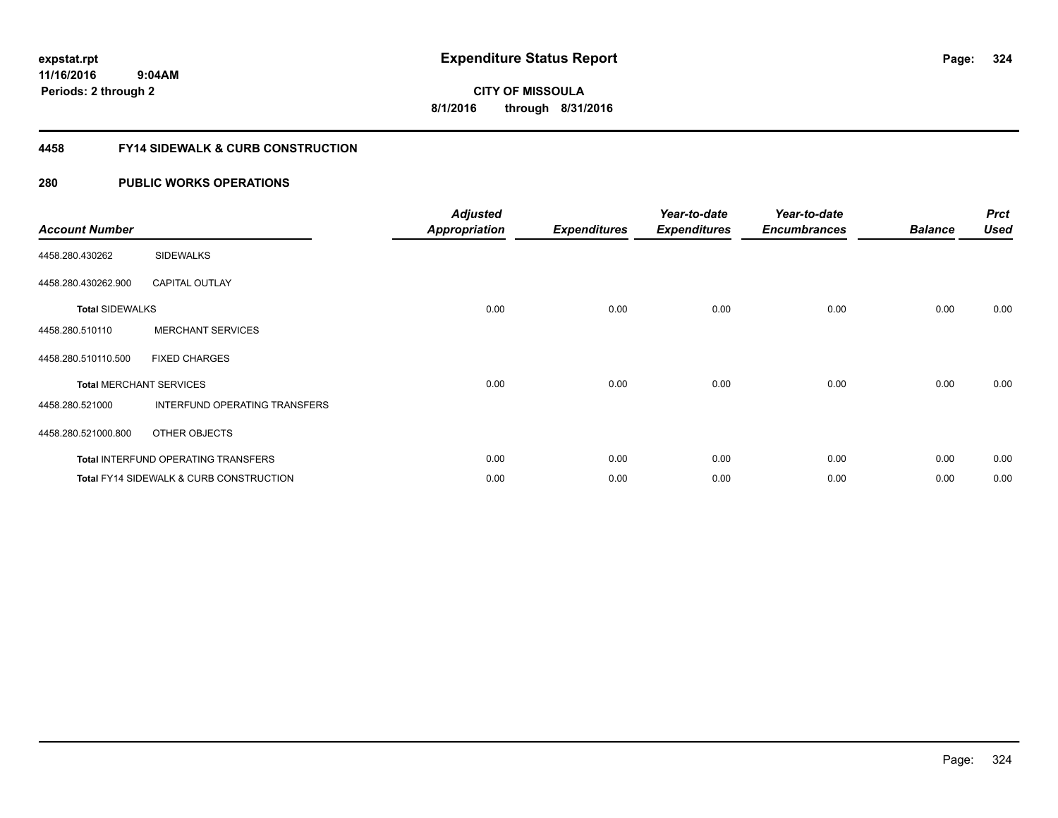**324**

**11/16/2016 9:04AM Periods: 2 through 2**

**CITY OF MISSOULA 8/1/2016 through 8/31/2016**

### **4458 FY14 SIDEWALK & CURB CONSTRUCTION**

| <b>Account Number</b>  |                                                    | <b>Adjusted</b><br><b>Appropriation</b> | <b>Expenditures</b> | Year-to-date<br><b>Expenditures</b> | Year-to-date<br><b>Encumbrances</b> | <b>Balance</b> | <b>Prct</b><br><b>Used</b> |
|------------------------|----------------------------------------------------|-----------------------------------------|---------------------|-------------------------------------|-------------------------------------|----------------|----------------------------|
| 4458.280.430262        | <b>SIDEWALKS</b>                                   |                                         |                     |                                     |                                     |                |                            |
| 4458.280.430262.900    | <b>CAPITAL OUTLAY</b>                              |                                         |                     |                                     |                                     |                |                            |
| <b>Total SIDEWALKS</b> |                                                    | 0.00                                    | 0.00                | 0.00                                | 0.00                                | 0.00           | 0.00                       |
| 4458.280.510110        | <b>MERCHANT SERVICES</b>                           |                                         |                     |                                     |                                     |                |                            |
| 4458.280.510110.500    | <b>FIXED CHARGES</b>                               |                                         |                     |                                     |                                     |                |                            |
|                        | <b>Total MERCHANT SERVICES</b>                     | 0.00                                    | 0.00                | 0.00                                | 0.00                                | 0.00           | 0.00                       |
| 4458.280.521000        | INTERFUND OPERATING TRANSFERS                      |                                         |                     |                                     |                                     |                |                            |
| 4458.280.521000.800    | OTHER OBJECTS                                      |                                         |                     |                                     |                                     |                |                            |
|                        | <b>Total INTERFUND OPERATING TRANSFERS</b>         | 0.00                                    | 0.00                | 0.00                                | 0.00                                | 0.00           | 0.00                       |
|                        | <b>Total FY14 SIDEWALK &amp; CURB CONSTRUCTION</b> | 0.00                                    | 0.00                | 0.00                                | 0.00                                | 0.00           | 0.00                       |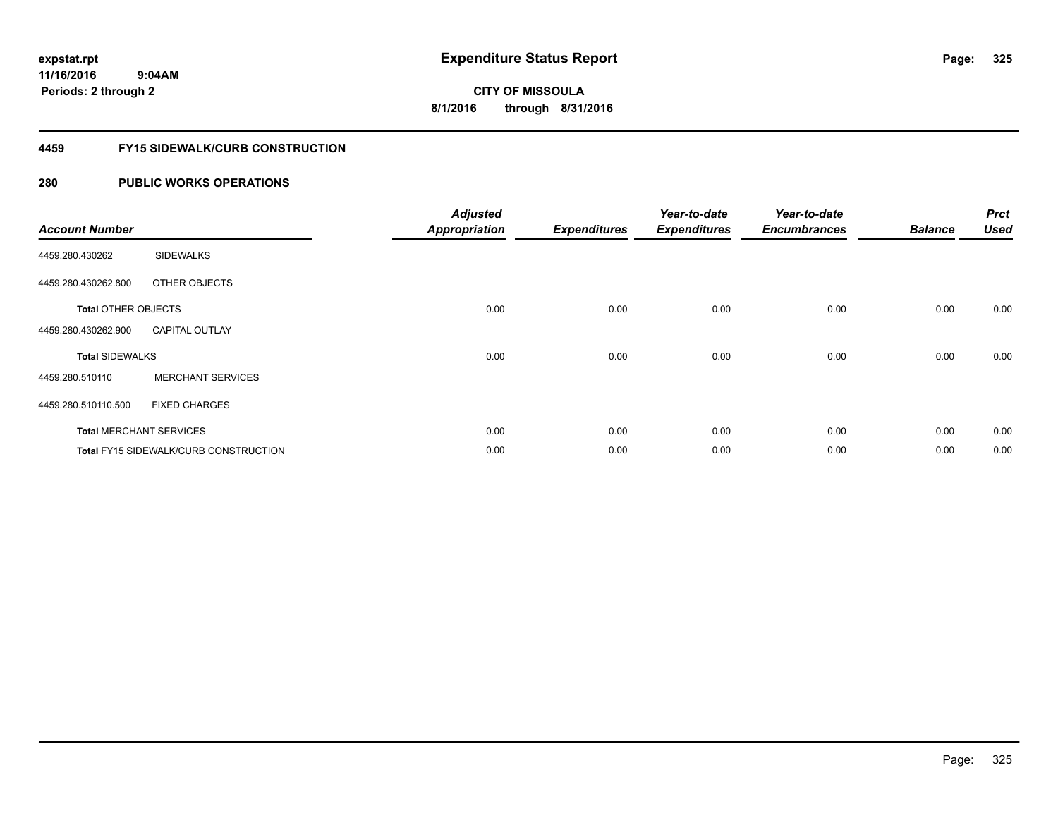**Periods: 2 through 2**

**CITY OF MISSOULA 8/1/2016 through 8/31/2016**

#### **4459 FY15 SIDEWALK/CURB CONSTRUCTION**

### **280 PUBLIC WORKS OPERATIONS**

| <b>Account Number</b>      |                                       | <b>Adjusted</b><br><b>Appropriation</b> | <b>Expenditures</b> | Year-to-date<br><b>Expenditures</b> | Year-to-date<br><b>Encumbrances</b> | <b>Balance</b> | <b>Prct</b><br><b>Used</b> |
|----------------------------|---------------------------------------|-----------------------------------------|---------------------|-------------------------------------|-------------------------------------|----------------|----------------------------|
| 4459.280.430262            | <b>SIDEWALKS</b>                      |                                         |                     |                                     |                                     |                |                            |
| 4459.280.430262.800        | OTHER OBJECTS                         |                                         |                     |                                     |                                     |                |                            |
| <b>Total OTHER OBJECTS</b> |                                       | 0.00                                    | 0.00                | 0.00                                | 0.00                                | 0.00           | 0.00                       |
| 4459.280.430262.900        | <b>CAPITAL OUTLAY</b>                 |                                         |                     |                                     |                                     |                |                            |
| <b>Total SIDEWALKS</b>     |                                       | 0.00                                    | 0.00                | 0.00                                | 0.00                                | 0.00           | 0.00                       |
| 4459.280.510110            | <b>MERCHANT SERVICES</b>              |                                         |                     |                                     |                                     |                |                            |
| 4459.280.510110.500        | <b>FIXED CHARGES</b>                  |                                         |                     |                                     |                                     |                |                            |
|                            | <b>Total MERCHANT SERVICES</b>        | 0.00                                    | 0.00                | 0.00                                | 0.00                                | 0.00           | 0.00                       |
|                            | Total FY15 SIDEWALK/CURB CONSTRUCTION | 0.00                                    | 0.00                | 0.00                                | 0.00                                | 0.00           | 0.00                       |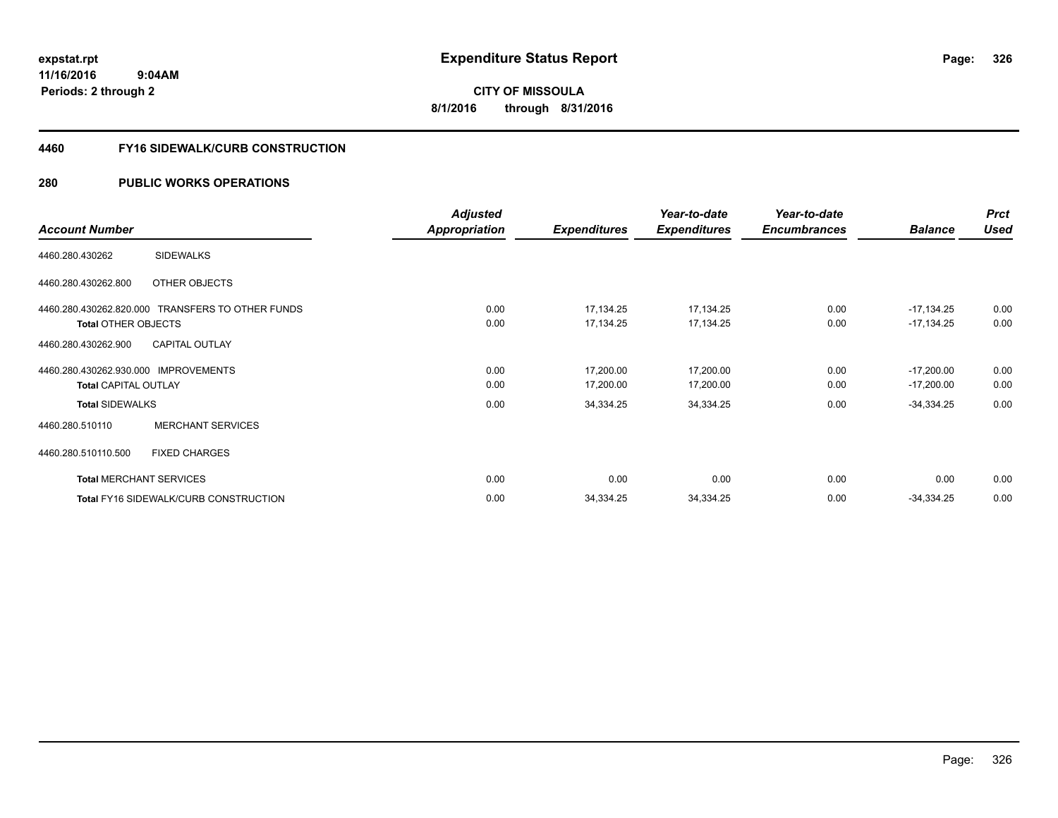**CITY OF MISSOULA 8/1/2016 through 8/31/2016**

#### **4460 FY16 SIDEWALK/CURB CONSTRUCTION**

#### **280 PUBLIC WORKS OPERATIONS**

|                                                  | Adjusted      |                     | Year-to-date        | Year-to-date        |                | <b>Prct</b> |
|--------------------------------------------------|---------------|---------------------|---------------------|---------------------|----------------|-------------|
| <b>Account Number</b>                            | Appropriation | <b>Expenditures</b> | <b>Expenditures</b> | <b>Encumbrances</b> | <b>Balance</b> | <b>Used</b> |
| <b>SIDEWALKS</b><br>4460.280.430262              |               |                     |                     |                     |                |             |
| 4460.280.430262.800<br>OTHER OBJECTS             |               |                     |                     |                     |                |             |
| 4460.280.430262.820.000 TRANSFERS TO OTHER FUNDS | 0.00          | 17,134.25           | 17,134.25           | 0.00                | $-17,134.25$   | 0.00        |
| <b>Total OTHER OBJECTS</b>                       | 0.00          | 17,134.25           | 17,134.25           | 0.00                | $-17,134.25$   | 0.00        |
| <b>CAPITAL OUTLAY</b><br>4460.280.430262.900     |               |                     |                     |                     |                |             |
| 4460.280.430262.930.000 IMPROVEMENTS             | 0.00          | 17,200.00           | 17,200.00           | 0.00                | $-17,200.00$   | 0.00        |
| <b>Total CAPITAL OUTLAY</b>                      | 0.00          | 17,200.00           | 17,200.00           | 0.00                | $-17,200.00$   | 0.00        |
| <b>Total SIDEWALKS</b>                           | 0.00          | 34,334.25           | 34,334.25           | 0.00                | $-34,334.25$   | 0.00        |
| <b>MERCHANT SERVICES</b><br>4460.280.510110      |               |                     |                     |                     |                |             |
| 4460.280.510110.500<br><b>FIXED CHARGES</b>      |               |                     |                     |                     |                |             |
| <b>Total MERCHANT SERVICES</b>                   | 0.00          | 0.00                | 0.00                | 0.00                | 0.00           | 0.00        |
| Total FY16 SIDEWALK/CURB CONSTRUCTION            | 0.00          | 34,334.25           | 34,334.25           | 0.00                | $-34,334.25$   | 0.00        |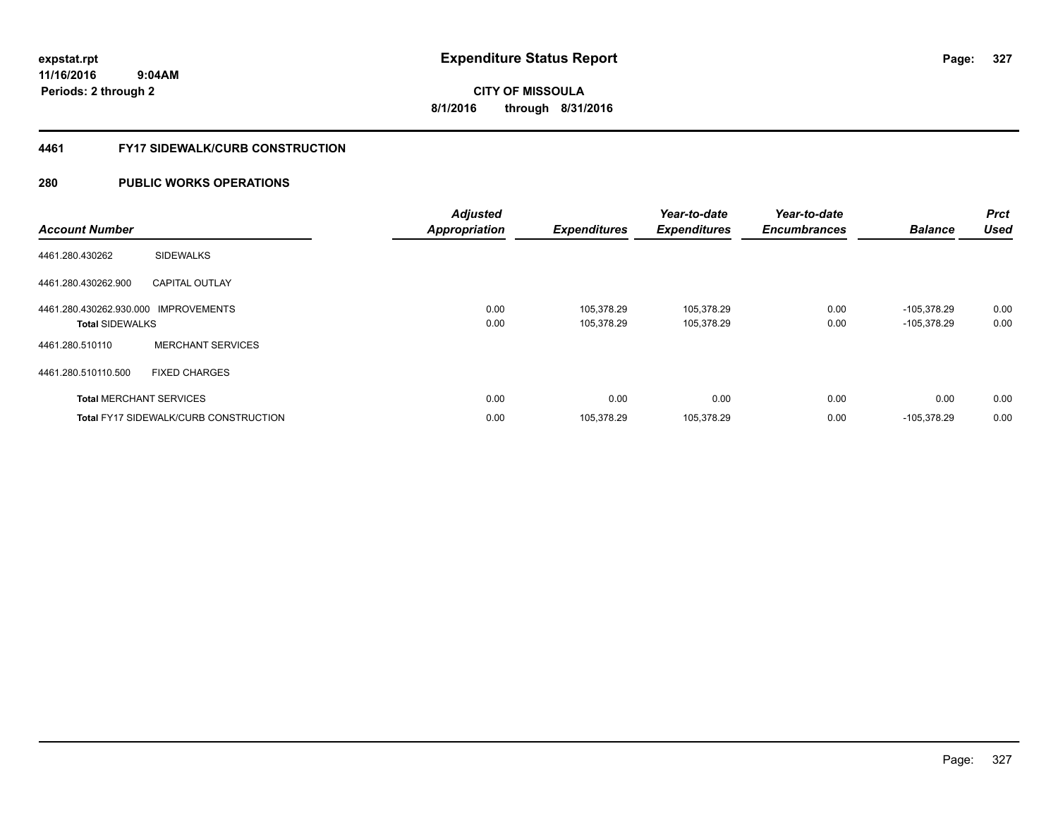**Periods: 2 through 2**

**CITY OF MISSOULA 8/1/2016 through 8/31/2016**

#### **4461 FY17 SIDEWALK/CURB CONSTRUCTION**

#### **280 PUBLIC WORKS OPERATIONS**

 **9:04AM**

| <b>Account Number</b>                                          |                                              | <b>Adjusted</b><br><b>Appropriation</b> | <b>Expenditures</b>      | Year-to-date<br><b>Expenditures</b> | Year-to-date<br><b>Encumbrances</b> | <b>Balance</b>                 | <b>Prct</b><br><b>Used</b> |
|----------------------------------------------------------------|----------------------------------------------|-----------------------------------------|--------------------------|-------------------------------------|-------------------------------------|--------------------------------|----------------------------|
| 4461.280.430262                                                | <b>SIDEWALKS</b>                             |                                         |                          |                                     |                                     |                                |                            |
| 4461.280.430262.900                                            | <b>CAPITAL OUTLAY</b>                        |                                         |                          |                                     |                                     |                                |                            |
| 4461.280.430262.930.000 IMPROVEMENTS<br><b>Total SIDEWALKS</b> |                                              | 0.00<br>0.00                            | 105.378.29<br>105,378.29 | 105,378.29<br>105,378.29            | 0.00<br>0.00                        | $-105,378.29$<br>$-105,378.29$ | 0.00<br>0.00               |
| 4461.280.510110                                                | <b>MERCHANT SERVICES</b>                     |                                         |                          |                                     |                                     |                                |                            |
| 4461.280.510110.500                                            | <b>FIXED CHARGES</b>                         |                                         |                          |                                     |                                     |                                |                            |
|                                                                | <b>Total MERCHANT SERVICES</b>               | 0.00                                    | 0.00                     | 0.00                                | 0.00                                | 0.00                           | 0.00                       |
|                                                                | <b>Total FY17 SIDEWALK/CURB CONSTRUCTION</b> | 0.00                                    | 105,378.29               | 105,378.29                          | 0.00                                | -105,378.29                    | 0.00                       |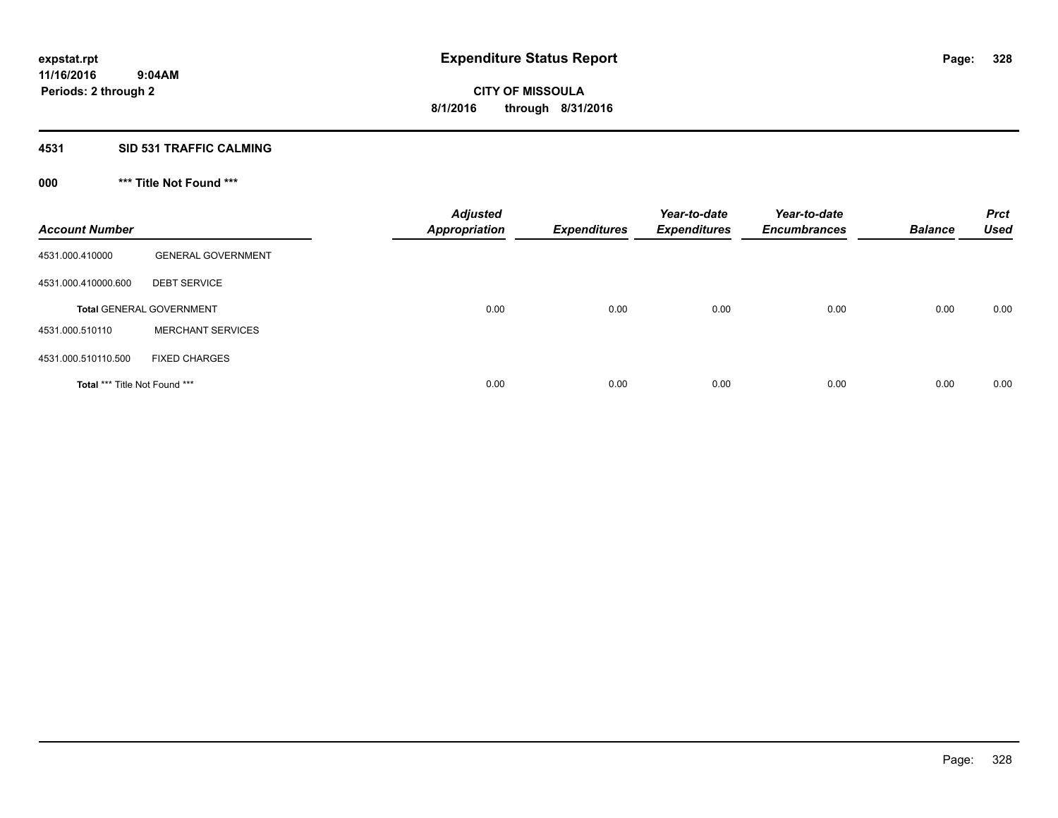# **4531 SID 531 TRAFFIC CALMING**

# **000 \*\*\* Title Not Found \*\*\***

| <b>Account Number</b>         |                                 | <b>Adjusted</b><br><b>Appropriation</b> | <b>Expenditures</b> | Year-to-date<br><b>Expenditures</b> | Year-to-date<br><b>Encumbrances</b> | <b>Balance</b> | <b>Prct</b><br><b>Used</b> |
|-------------------------------|---------------------------------|-----------------------------------------|---------------------|-------------------------------------|-------------------------------------|----------------|----------------------------|
| 4531.000.410000               | <b>GENERAL GOVERNMENT</b>       |                                         |                     |                                     |                                     |                |                            |
| 4531.000.410000.600           | <b>DEBT SERVICE</b>             |                                         |                     |                                     |                                     |                |                            |
|                               | <b>Total GENERAL GOVERNMENT</b> | 0.00                                    | 0.00                | 0.00                                | 0.00                                | 0.00           | 0.00                       |
| 4531.000.510110               | <b>MERCHANT SERVICES</b>        |                                         |                     |                                     |                                     |                |                            |
| 4531.000.510110.500           | <b>FIXED CHARGES</b>            |                                         |                     |                                     |                                     |                |                            |
| Total *** Title Not Found *** |                                 | 0.00                                    | 0.00                | 0.00                                | 0.00                                | 0.00           | 0.00                       |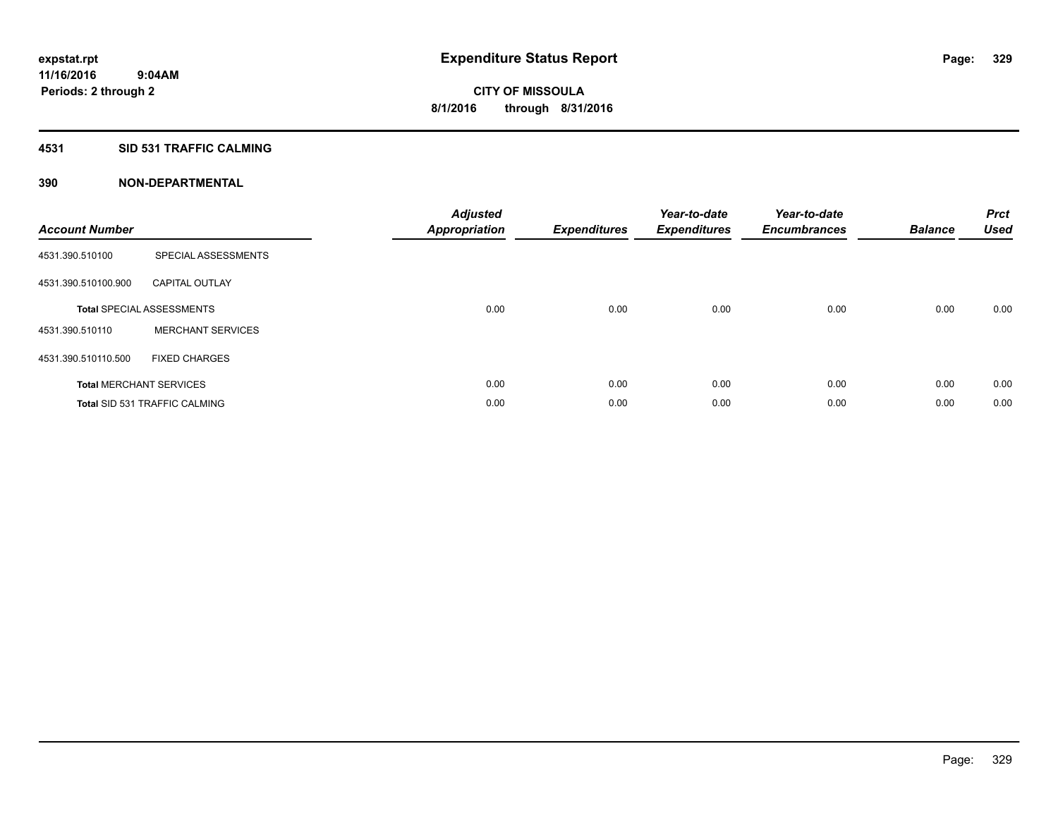#### **4531 SID 531 TRAFFIC CALMING**

| <b>Account Number</b> |                                      | <b>Adjusted</b><br><b>Appropriation</b> | <b>Expenditures</b> | Year-to-date<br><b>Expenditures</b> | Year-to-date<br><b>Encumbrances</b> | <b>Balance</b> | <b>Prct</b><br>Used |
|-----------------------|--------------------------------------|-----------------------------------------|---------------------|-------------------------------------|-------------------------------------|----------------|---------------------|
| 4531.390.510100       | SPECIAL ASSESSMENTS                  |                                         |                     |                                     |                                     |                |                     |
| 4531.390.510100.900   | <b>CAPITAL OUTLAY</b>                |                                         |                     |                                     |                                     |                |                     |
|                       | <b>Total SPECIAL ASSESSMENTS</b>     | 0.00                                    | 0.00                | 0.00                                | 0.00                                | 0.00           | 0.00                |
| 4531.390.510110       | <b>MERCHANT SERVICES</b>             |                                         |                     |                                     |                                     |                |                     |
| 4531.390.510110.500   | <b>FIXED CHARGES</b>                 |                                         |                     |                                     |                                     |                |                     |
|                       | <b>Total MERCHANT SERVICES</b>       | 0.00                                    | 0.00                | 0.00                                | 0.00                                | 0.00           | 0.00                |
|                       | <b>Total SID 531 TRAFFIC CALMING</b> | 0.00                                    | 0.00                | 0.00                                | 0.00                                | 0.00           | 0.00                |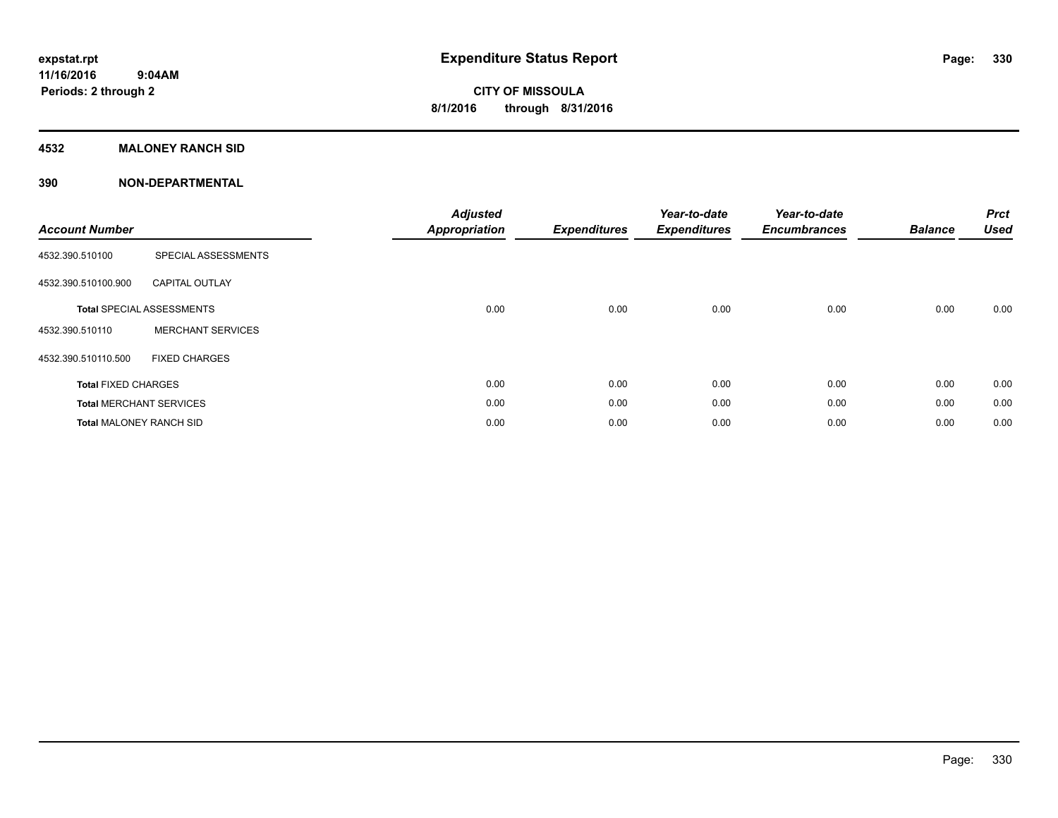### **4532 MALONEY RANCH SID**

| <b>Account Number</b>          |                                  | <b>Adjusted</b><br><b>Appropriation</b> | <b>Expenditures</b> | Year-to-date<br><b>Expenditures</b> | Year-to-date<br><b>Encumbrances</b> | <b>Balance</b> | <b>Prct</b><br><b>Used</b> |
|--------------------------------|----------------------------------|-----------------------------------------|---------------------|-------------------------------------|-------------------------------------|----------------|----------------------------|
| 4532.390.510100                | SPECIAL ASSESSMENTS              |                                         |                     |                                     |                                     |                |                            |
| 4532.390.510100.900            | <b>CAPITAL OUTLAY</b>            |                                         |                     |                                     |                                     |                |                            |
|                                | <b>Total SPECIAL ASSESSMENTS</b> | 0.00                                    | 0.00                | 0.00                                | 0.00                                | 0.00           | 0.00                       |
| 4532.390.510110                | <b>MERCHANT SERVICES</b>         |                                         |                     |                                     |                                     |                |                            |
| 4532.390.510110.500            | <b>FIXED CHARGES</b>             |                                         |                     |                                     |                                     |                |                            |
| <b>Total FIXED CHARGES</b>     |                                  | 0.00                                    | 0.00                | 0.00                                | 0.00                                | 0.00           | 0.00                       |
|                                | <b>Total MERCHANT SERVICES</b>   | 0.00                                    | 0.00                | 0.00                                | 0.00                                | 0.00           | 0.00                       |
| <b>Total MALONEY RANCH SID</b> |                                  | 0.00                                    | 0.00                | 0.00                                | 0.00                                | 0.00           | 0.00                       |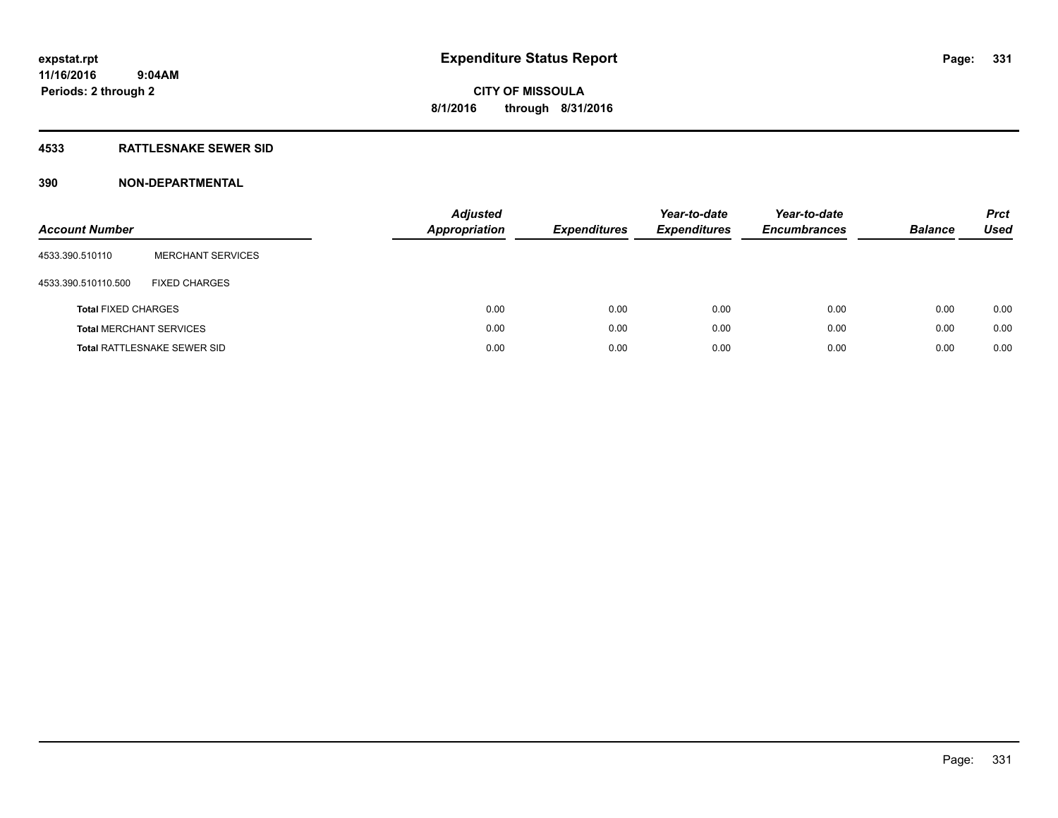### **4533 RATTLESNAKE SEWER SID**

| <b>Account Number</b>      |                                    | <b>Adjusted</b><br>Appropriation | <b>Expenditures</b> | Year-to-date<br><b>Expenditures</b> | Year-to-date<br><b>Encumbrances</b> | <b>Balance</b> | <b>Prct</b><br><b>Used</b> |
|----------------------------|------------------------------------|----------------------------------|---------------------|-------------------------------------|-------------------------------------|----------------|----------------------------|
| 4533.390.510110            | <b>MERCHANT SERVICES</b>           |                                  |                     |                                     |                                     |                |                            |
| 4533.390.510110.500        | <b>FIXED CHARGES</b>               |                                  |                     |                                     |                                     |                |                            |
| <b>Total FIXED CHARGES</b> |                                    |                                  | 0.00<br>0.00        | 0.00                                | 0.00                                | 0.00           | 0.00                       |
|                            | <b>Total MERCHANT SERVICES</b>     |                                  | 0.00<br>0.00        | 0.00                                | 0.00                                | 0.00           | 0.00                       |
|                            | <b>Total RATTLESNAKE SEWER SID</b> |                                  | 0.00<br>0.00        | 0.00                                | 0.00                                | 0.00           | 0.00                       |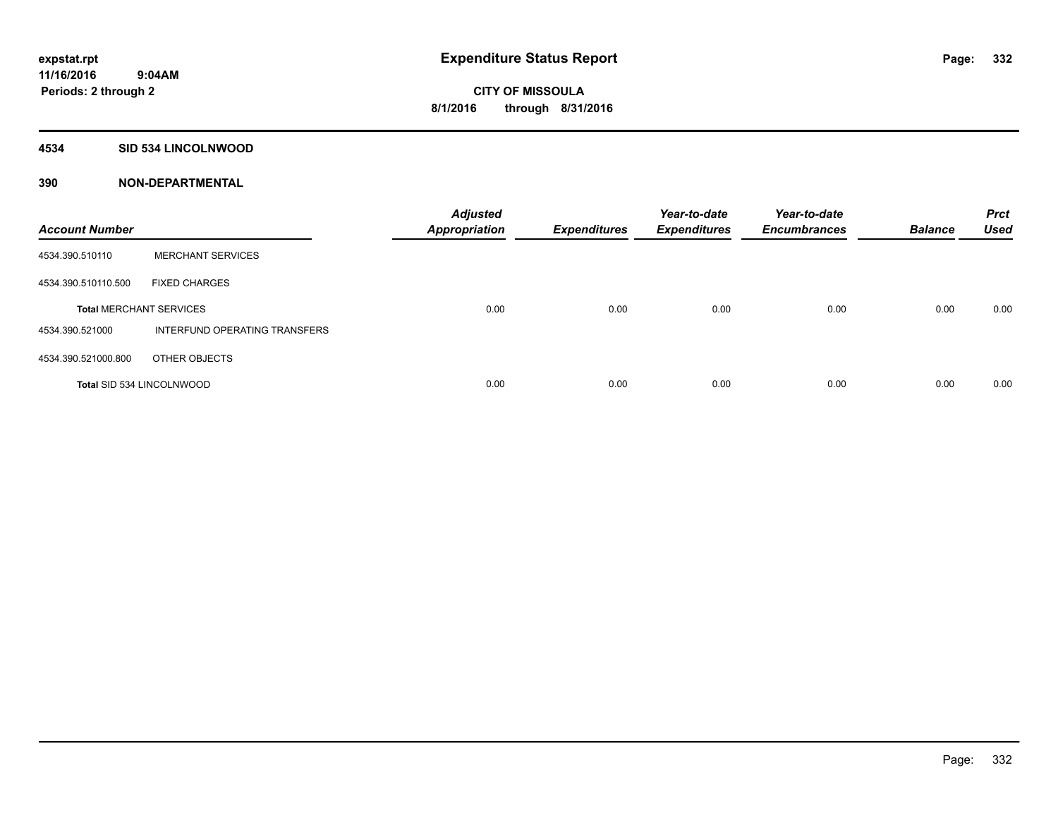#### **4534 SID 534 LINCOLNWOOD**

| <b>Account Number</b>          |                               | <b>Adjusted</b><br><b>Appropriation</b> | <b>Expenditures</b> | Year-to-date<br><b>Expenditures</b> | Year-to-date<br><b>Encumbrances</b> | <b>Balance</b> | <b>Prct</b><br><b>Used</b> |
|--------------------------------|-------------------------------|-----------------------------------------|---------------------|-------------------------------------|-------------------------------------|----------------|----------------------------|
| 4534.390.510110                | <b>MERCHANT SERVICES</b>      |                                         |                     |                                     |                                     |                |                            |
| 4534.390.510110.500            | <b>FIXED CHARGES</b>          |                                         |                     |                                     |                                     |                |                            |
| <b>Total MERCHANT SERVICES</b> |                               | 0.00                                    | 0.00                | 0.00                                | 0.00                                | 0.00           | 0.00                       |
| 4534.390.521000                | INTERFUND OPERATING TRANSFERS |                                         |                     |                                     |                                     |                |                            |
| 4534.390.521000.800            | OTHER OBJECTS                 |                                         |                     |                                     |                                     |                |                            |
| Total SID 534 LINCOLNWOOD      |                               | 0.00                                    | 0.00                | 0.00                                | 0.00                                | 0.00           | 0.00                       |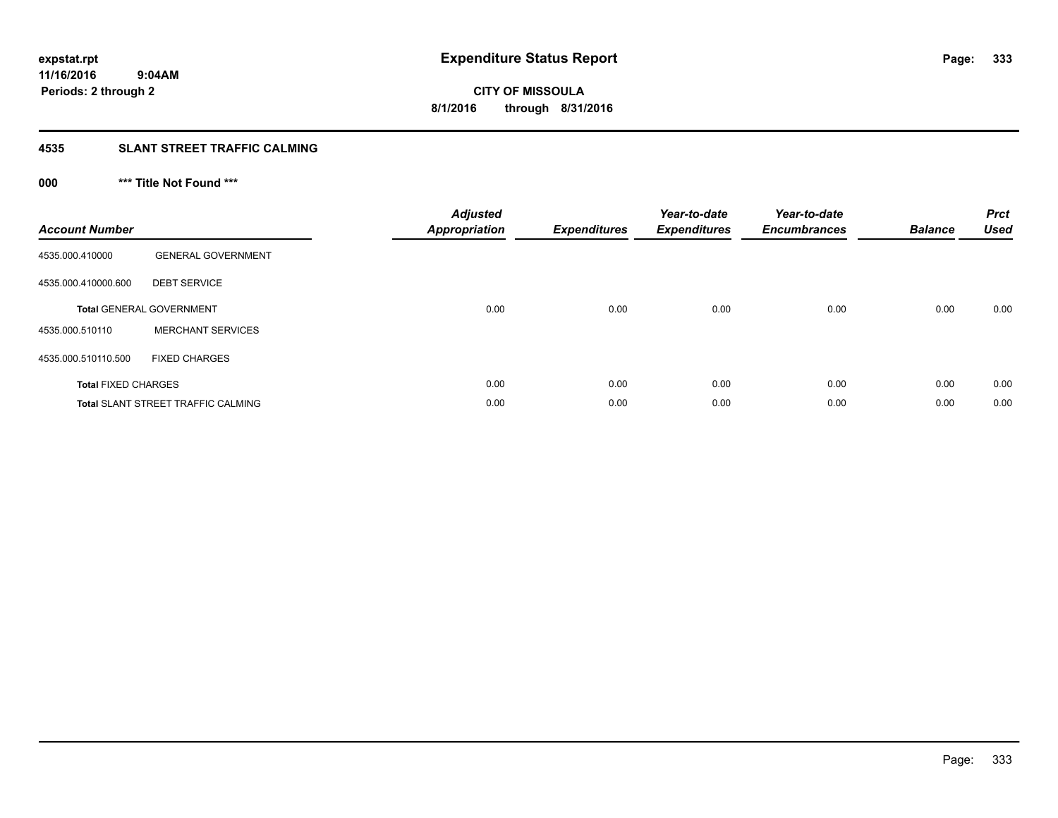# **4535 SLANT STREET TRAFFIC CALMING**

# **000 \*\*\* Title Not Found \*\*\***

| <b>Account Number</b>      |                                           | <b>Adjusted</b><br><b>Appropriation</b> | <b>Expenditures</b> | Year-to-date<br><b>Expenditures</b> | Year-to-date<br><b>Encumbrances</b> | <b>Balance</b> | <b>Prct</b><br>Used |
|----------------------------|-------------------------------------------|-----------------------------------------|---------------------|-------------------------------------|-------------------------------------|----------------|---------------------|
| 4535.000.410000            | <b>GENERAL GOVERNMENT</b>                 |                                         |                     |                                     |                                     |                |                     |
| 4535.000.410000.600        | <b>DEBT SERVICE</b>                       |                                         |                     |                                     |                                     |                |                     |
|                            | <b>Total GENERAL GOVERNMENT</b>           | 0.00                                    | 0.00                | 0.00                                | 0.00                                | 0.00           | 0.00                |
| 4535.000.510110            | <b>MERCHANT SERVICES</b>                  |                                         |                     |                                     |                                     |                |                     |
| 4535.000.510110.500        | <b>FIXED CHARGES</b>                      |                                         |                     |                                     |                                     |                |                     |
| <b>Total FIXED CHARGES</b> |                                           | 0.00                                    | 0.00                | 0.00                                | 0.00                                | 0.00           | 0.00                |
|                            | <b>Total SLANT STREET TRAFFIC CALMING</b> | 0.00                                    | 0.00                | 0.00                                | 0.00                                | 0.00           | 0.00                |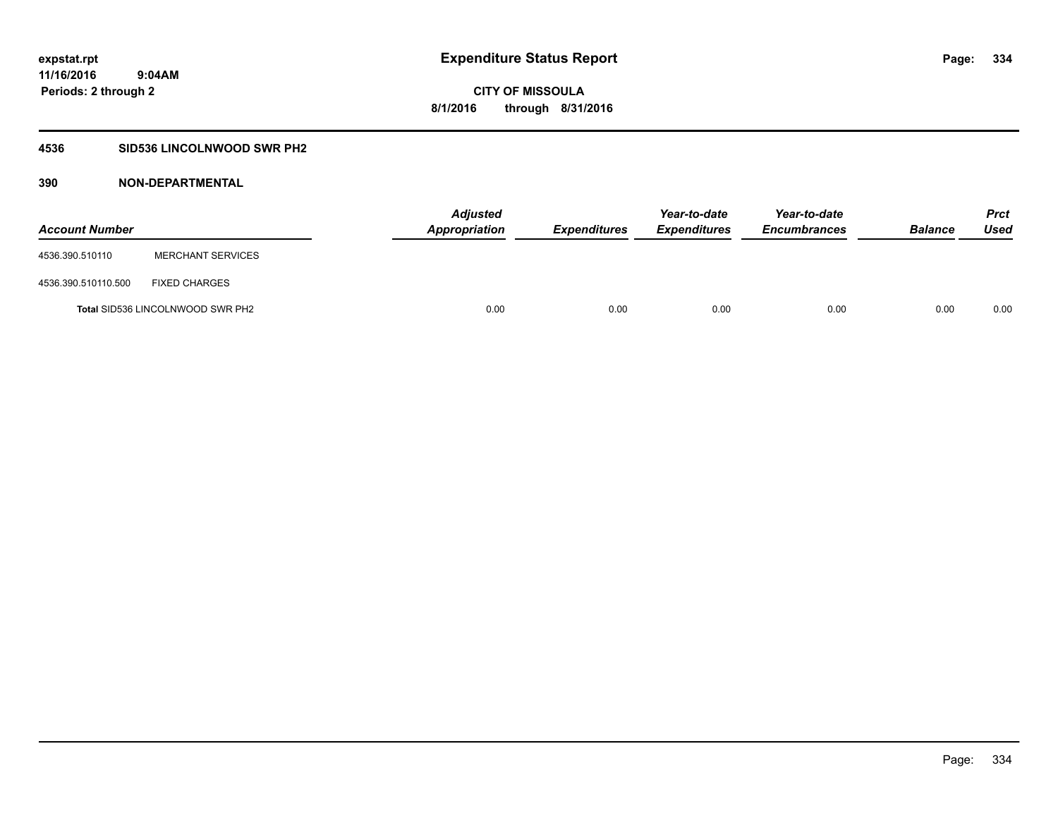### **4536 SID536 LINCOLNWOOD SWR PH2**

| <b>Account Number</b> |                                         | <b>Adjusted</b><br>Appropriation | <b>Expenditures</b> | Year-to-date<br><b>Expenditures</b> | Year-to-date<br><b>Encumbrances</b> | <b>Balance</b> | Prct<br><b>Used</b> |
|-----------------------|-----------------------------------------|----------------------------------|---------------------|-------------------------------------|-------------------------------------|----------------|---------------------|
| 4536.390.510110       | <b>MERCHANT SERVICES</b>                |                                  |                     |                                     |                                     |                |                     |
| 4536.390.510110.500   | <b>FIXED CHARGES</b>                    |                                  |                     |                                     |                                     |                |                     |
|                       | <b>Total SID536 LINCOLNWOOD SWR PH2</b> | 0.00                             | 0.00                | 0.00                                | 0.00                                | 0.00           | 0.00                |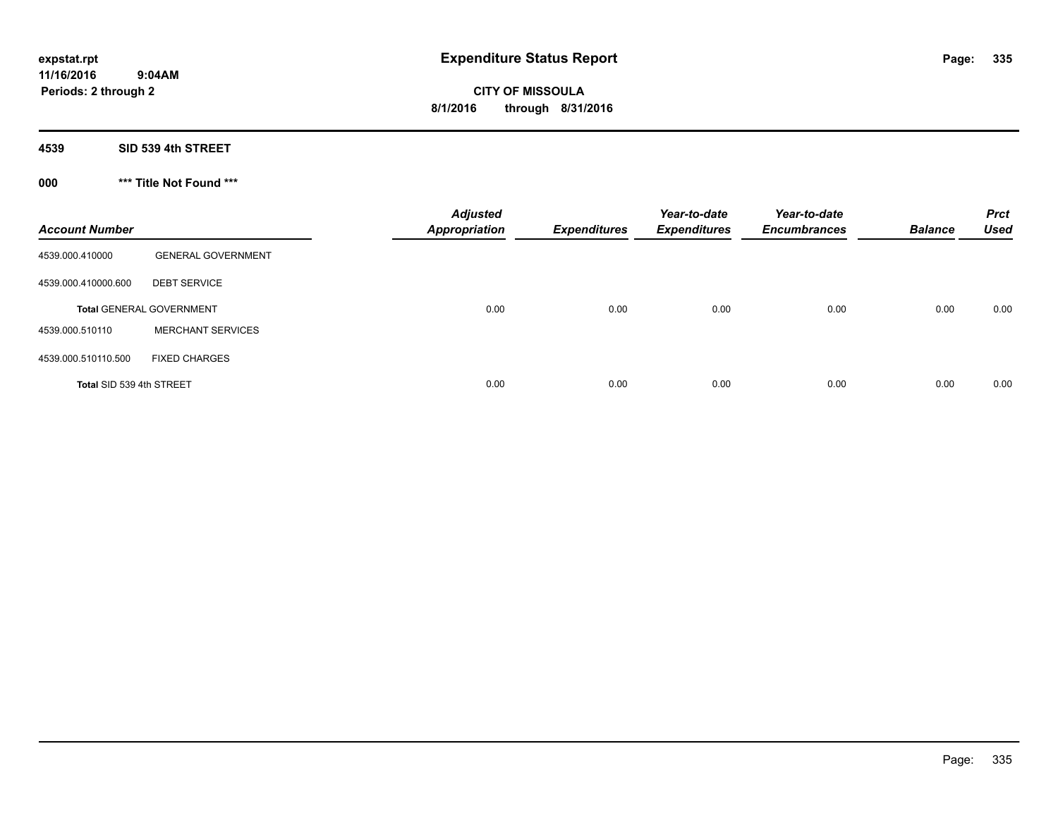**CITY OF MISSOULA 8/1/2016 through 8/31/2016**

**4539 SID 539 4th STREET**

**000 \*\*\* Title Not Found \*\*\***

| <b>Account Number</b>    |                                 | <b>Adjusted</b><br><b>Appropriation</b> | <b>Expenditures</b> | Year-to-date<br><b>Expenditures</b> | Year-to-date<br><b>Encumbrances</b> | <b>Balance</b> | <b>Prct</b><br><b>Used</b> |
|--------------------------|---------------------------------|-----------------------------------------|---------------------|-------------------------------------|-------------------------------------|----------------|----------------------------|
| 4539.000.410000          | <b>GENERAL GOVERNMENT</b>       |                                         |                     |                                     |                                     |                |                            |
| 4539.000.410000.600      | <b>DEBT SERVICE</b>             |                                         |                     |                                     |                                     |                |                            |
|                          | <b>Total GENERAL GOVERNMENT</b> | 0.00                                    | 0.00                | 0.00                                | 0.00                                | 0.00           | 0.00                       |
| 4539.000.510110          | <b>MERCHANT SERVICES</b>        |                                         |                     |                                     |                                     |                |                            |
| 4539.000.510110.500      | <b>FIXED CHARGES</b>            |                                         |                     |                                     |                                     |                |                            |
| Total SID 539 4th STREET |                                 | 0.00                                    | 0.00                | 0.00                                | 0.00                                | 0.00           | 0.00                       |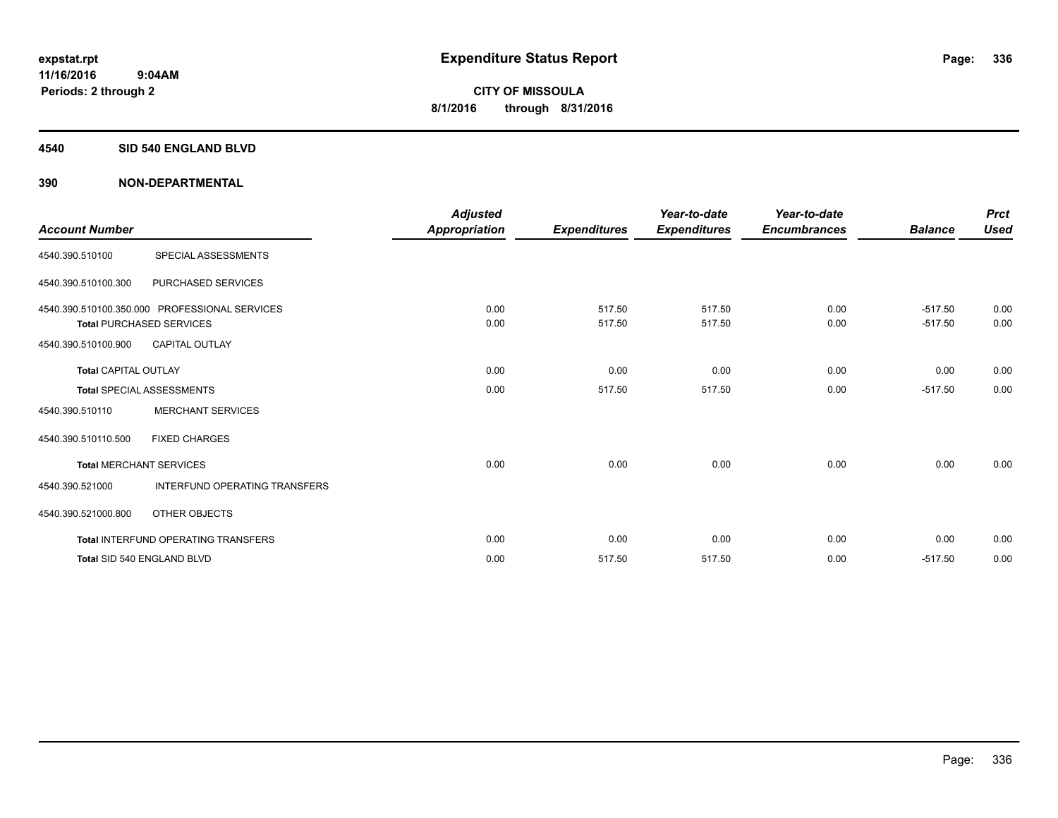#### **4540 SID 540 ENGLAND BLVD**

| <b>Account Number</b>       |                                                                                  | <b>Adjusted</b><br><b>Appropriation</b> | <b>Expenditures</b> | Year-to-date<br><b>Expenditures</b> | Year-to-date<br><b>Encumbrances</b> | <b>Balance</b>         | <b>Prct</b><br><b>Used</b> |
|-----------------------------|----------------------------------------------------------------------------------|-----------------------------------------|---------------------|-------------------------------------|-------------------------------------|------------------------|----------------------------|
| 4540.390.510100             | SPECIAL ASSESSMENTS                                                              |                                         |                     |                                     |                                     |                        |                            |
| 4540.390.510100.300         | PURCHASED SERVICES                                                               |                                         |                     |                                     |                                     |                        |                            |
|                             | 4540.390.510100.350.000 PROFESSIONAL SERVICES<br><b>Total PURCHASED SERVICES</b> | 0.00<br>0.00                            | 517.50<br>517.50    | 517.50<br>517.50                    | 0.00<br>0.00                        | $-517.50$<br>$-517.50$ | 0.00<br>0.00               |
| 4540.390.510100.900         | <b>CAPITAL OUTLAY</b>                                                            |                                         |                     |                                     |                                     |                        |                            |
| <b>Total CAPITAL OUTLAY</b> |                                                                                  | 0.00                                    | 0.00                | 0.00                                | 0.00                                | 0.00                   | 0.00                       |
|                             | <b>Total SPECIAL ASSESSMENTS</b>                                                 | 0.00                                    | 517.50              | 517.50                              | 0.00                                | $-517.50$              | 0.00                       |
| 4540.390.510110             | <b>MERCHANT SERVICES</b>                                                         |                                         |                     |                                     |                                     |                        |                            |
| 4540.390.510110.500         | <b>FIXED CHARGES</b>                                                             |                                         |                     |                                     |                                     |                        |                            |
|                             | <b>Total MERCHANT SERVICES</b>                                                   | 0.00                                    | 0.00                | 0.00                                | 0.00                                | 0.00                   | 0.00                       |
| 4540.390.521000             | <b>INTERFUND OPERATING TRANSFERS</b>                                             |                                         |                     |                                     |                                     |                        |                            |
| 4540.390.521000.800         | OTHER OBJECTS                                                                    |                                         |                     |                                     |                                     |                        |                            |
|                             | <b>Total INTERFUND OPERATING TRANSFERS</b>                                       | 0.00                                    | 0.00                | 0.00                                | 0.00                                | 0.00                   | 0.00                       |
|                             | Total SID 540 ENGLAND BLVD                                                       | 0.00                                    | 517.50              | 517.50                              | 0.00                                | $-517.50$              | 0.00                       |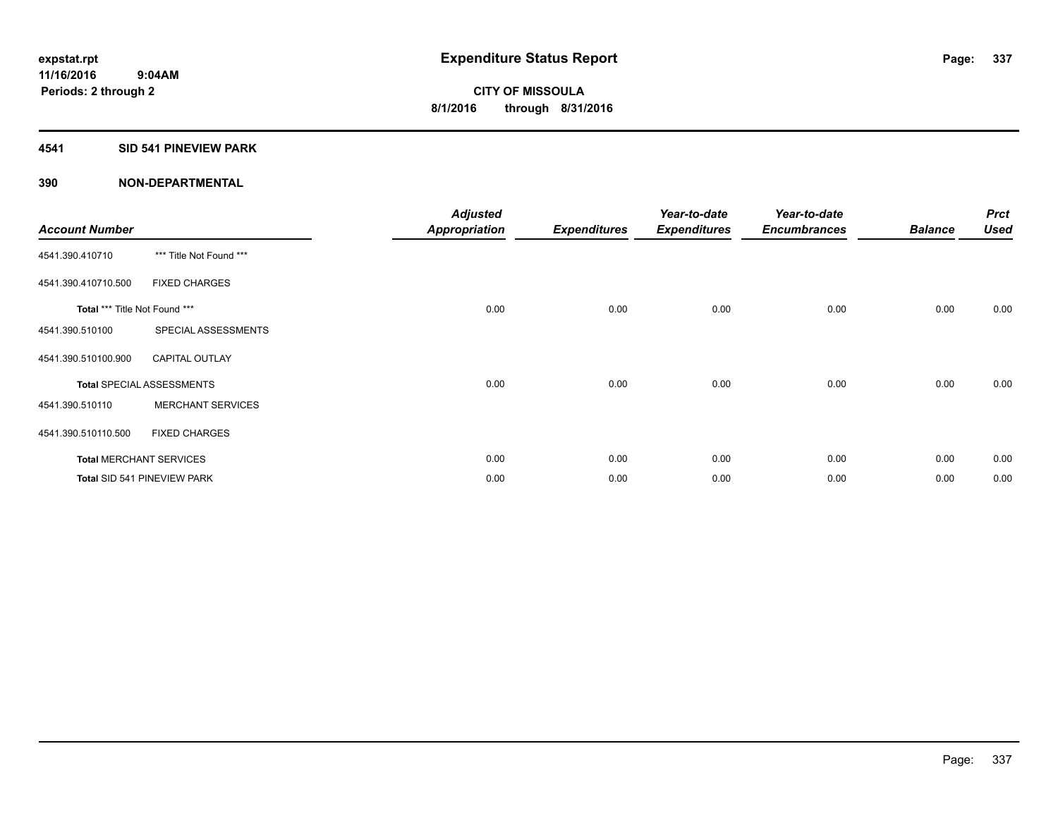#### **4541 SID 541 PINEVIEW PARK**

| <b>Account Number</b>         |                                  | <b>Adjusted</b><br><b>Appropriation</b> | <b>Expenditures</b> | Year-to-date<br><b>Expenditures</b> | Year-to-date<br><b>Encumbrances</b> | <b>Balance</b> | <b>Prct</b><br><b>Used</b> |
|-------------------------------|----------------------------------|-----------------------------------------|---------------------|-------------------------------------|-------------------------------------|----------------|----------------------------|
| 4541.390.410710               | *** Title Not Found ***          |                                         |                     |                                     |                                     |                |                            |
| 4541.390.410710.500           | <b>FIXED CHARGES</b>             |                                         |                     |                                     |                                     |                |                            |
| Total *** Title Not Found *** |                                  | 0.00                                    | 0.00                | 0.00                                | 0.00                                | 0.00           | 0.00                       |
| 4541.390.510100               | SPECIAL ASSESSMENTS              |                                         |                     |                                     |                                     |                |                            |
| 4541.390.510100.900           | <b>CAPITAL OUTLAY</b>            |                                         |                     |                                     |                                     |                |                            |
|                               | <b>Total SPECIAL ASSESSMENTS</b> | 0.00                                    | 0.00                | 0.00                                | 0.00                                | 0.00           | 0.00                       |
| 4541.390.510110               | <b>MERCHANT SERVICES</b>         |                                         |                     |                                     |                                     |                |                            |
| 4541.390.510110.500           | <b>FIXED CHARGES</b>             |                                         |                     |                                     |                                     |                |                            |
|                               | <b>Total MERCHANT SERVICES</b>   | 0.00                                    | 0.00                | 0.00                                | 0.00                                | 0.00           | 0.00                       |
|                               | Total SID 541 PINEVIEW PARK      | 0.00                                    | 0.00                | 0.00                                | 0.00                                | 0.00           | 0.00                       |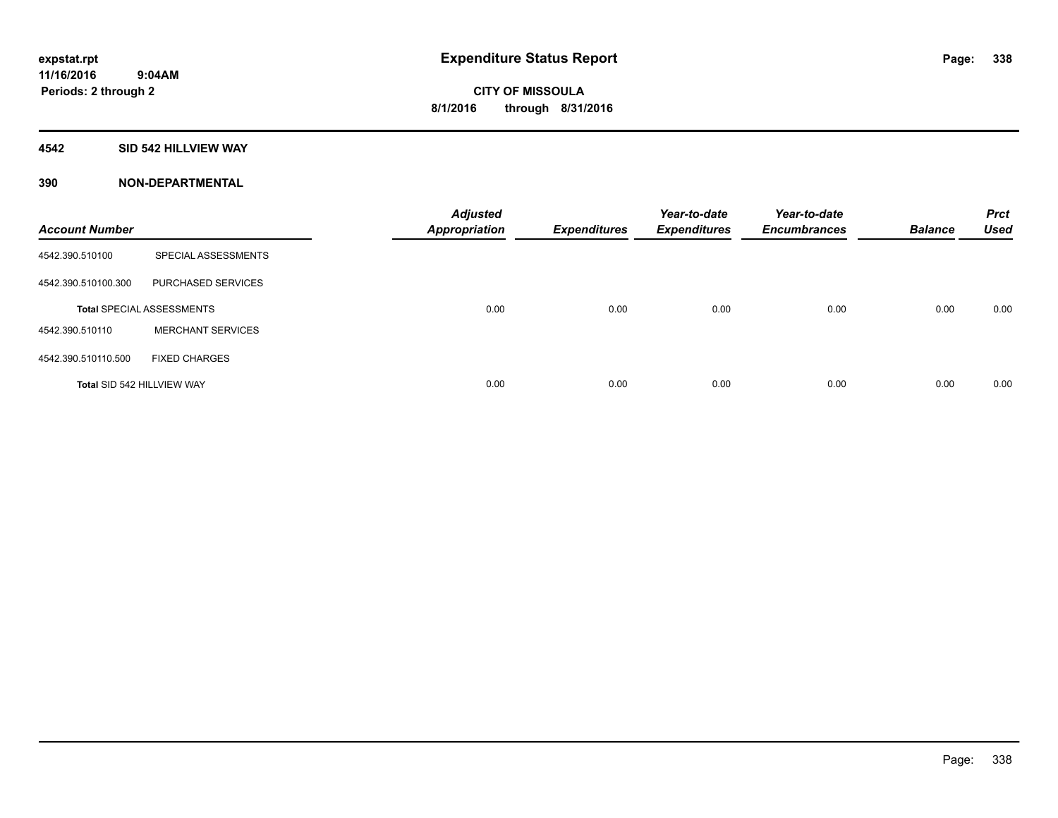### **4542 SID 542 HILLVIEW WAY**

| <b>Account Number</b>      |                                  | <b>Adjusted</b><br><b>Appropriation</b> | <b>Expenditures</b> | Year-to-date<br><b>Expenditures</b> | Year-to-date<br><b>Encumbrances</b> | <b>Balance</b> | <b>Prct</b><br><b>Used</b> |
|----------------------------|----------------------------------|-----------------------------------------|---------------------|-------------------------------------|-------------------------------------|----------------|----------------------------|
| 4542.390.510100            | SPECIAL ASSESSMENTS              |                                         |                     |                                     |                                     |                |                            |
| 4542.390.510100.300        | PURCHASED SERVICES               |                                         |                     |                                     |                                     |                |                            |
|                            | <b>Total SPECIAL ASSESSMENTS</b> | 0.00                                    | 0.00                | 0.00                                | 0.00                                | 0.00           | 0.00                       |
| 4542.390.510110            | <b>MERCHANT SERVICES</b>         |                                         |                     |                                     |                                     |                |                            |
| 4542.390.510110.500        | <b>FIXED CHARGES</b>             |                                         |                     |                                     |                                     |                |                            |
| Total SID 542 HILLVIEW WAY |                                  | 0.00                                    | 0.00                | 0.00                                | 0.00                                | 0.00           | 0.00                       |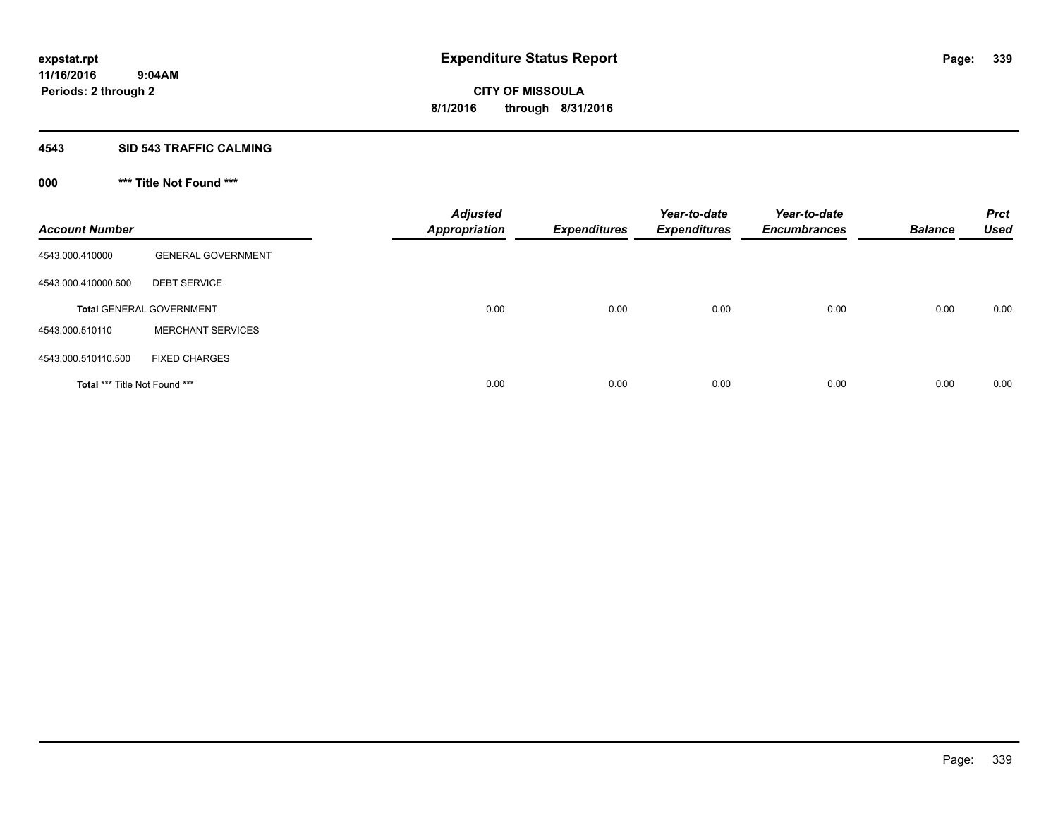#### **4543 SID 543 TRAFFIC CALMING**

# **000 \*\*\* Title Not Found \*\*\***

| <b>Account Number</b>         |                                 | <b>Adjusted</b><br><b>Appropriation</b> | <b>Expenditures</b> | Year-to-date<br><b>Expenditures</b> | Year-to-date<br><b>Encumbrances</b> | <b>Balance</b> | <b>Prct</b><br><b>Used</b> |
|-------------------------------|---------------------------------|-----------------------------------------|---------------------|-------------------------------------|-------------------------------------|----------------|----------------------------|
| 4543.000.410000               | <b>GENERAL GOVERNMENT</b>       |                                         |                     |                                     |                                     |                |                            |
| 4543.000.410000.600           | <b>DEBT SERVICE</b>             |                                         |                     |                                     |                                     |                |                            |
|                               | <b>Total GENERAL GOVERNMENT</b> | 0.00                                    | 0.00                | 0.00                                | 0.00                                | 0.00           | 0.00                       |
| 4543.000.510110               | <b>MERCHANT SERVICES</b>        |                                         |                     |                                     |                                     |                |                            |
| 4543.000.510110.500           | <b>FIXED CHARGES</b>            |                                         |                     |                                     |                                     |                |                            |
| Total *** Title Not Found *** |                                 | 0.00                                    | 0.00                | 0.00                                | 0.00                                | 0.00           | 0.00                       |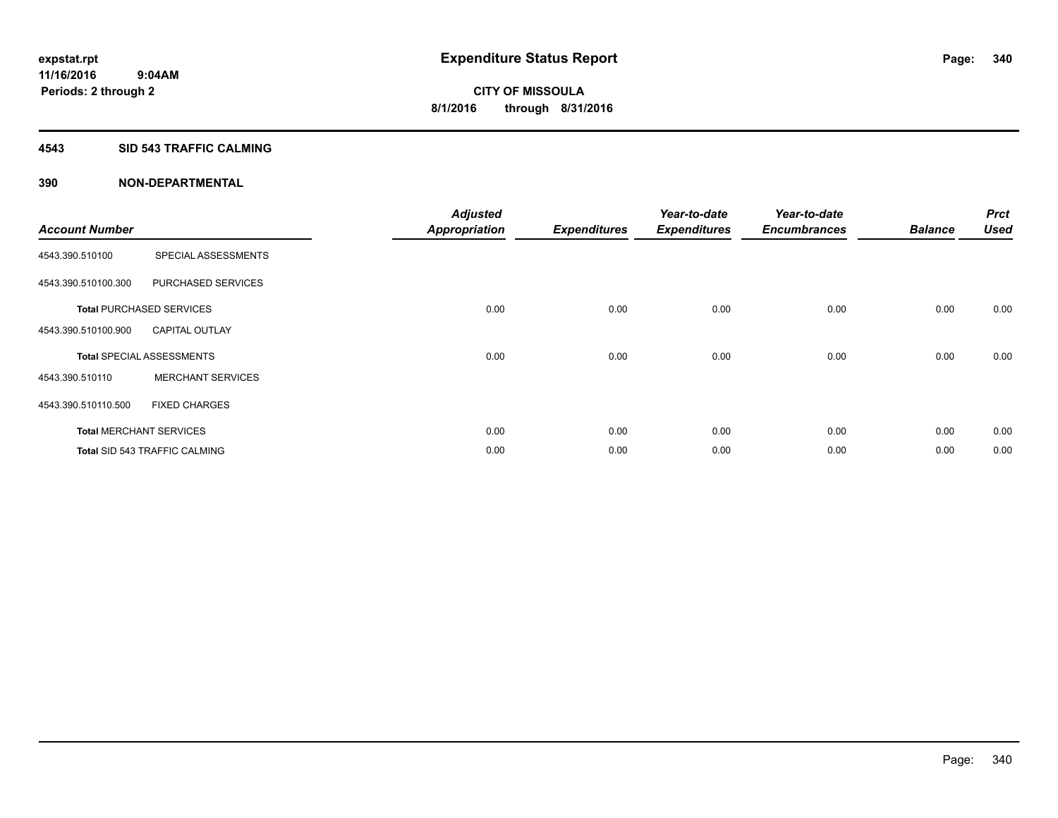#### **4543 SID 543 TRAFFIC CALMING**

| <b>Account Number</b> |                                      | <b>Adjusted</b><br><b>Appropriation</b> | <b>Expenditures</b> | Year-to-date<br><b>Expenditures</b> | Year-to-date<br><b>Encumbrances</b> | <b>Balance</b> | <b>Prct</b><br><b>Used</b> |
|-----------------------|--------------------------------------|-----------------------------------------|---------------------|-------------------------------------|-------------------------------------|----------------|----------------------------|
|                       |                                      |                                         |                     |                                     |                                     |                |                            |
| 4543.390.510100       | SPECIAL ASSESSMENTS                  |                                         |                     |                                     |                                     |                |                            |
| 4543.390.510100.300   | PURCHASED SERVICES                   |                                         |                     |                                     |                                     |                |                            |
|                       | <b>Total PURCHASED SERVICES</b>      | 0.00                                    | 0.00                | 0.00                                | 0.00                                | 0.00           | 0.00                       |
| 4543.390.510100.900   | <b>CAPITAL OUTLAY</b>                |                                         |                     |                                     |                                     |                |                            |
|                       | <b>Total SPECIAL ASSESSMENTS</b>     | 0.00                                    | 0.00                | 0.00                                | 0.00                                | 0.00           | 0.00                       |
| 4543.390.510110       | <b>MERCHANT SERVICES</b>             |                                         |                     |                                     |                                     |                |                            |
| 4543.390.510110.500   | <b>FIXED CHARGES</b>                 |                                         |                     |                                     |                                     |                |                            |
|                       | <b>Total MERCHANT SERVICES</b>       | 0.00                                    | 0.00                | 0.00                                | 0.00                                | 0.00           | 0.00                       |
|                       | <b>Total SID 543 TRAFFIC CALMING</b> | 0.00                                    | 0.00                | 0.00                                | 0.00                                | 0.00           | 0.00                       |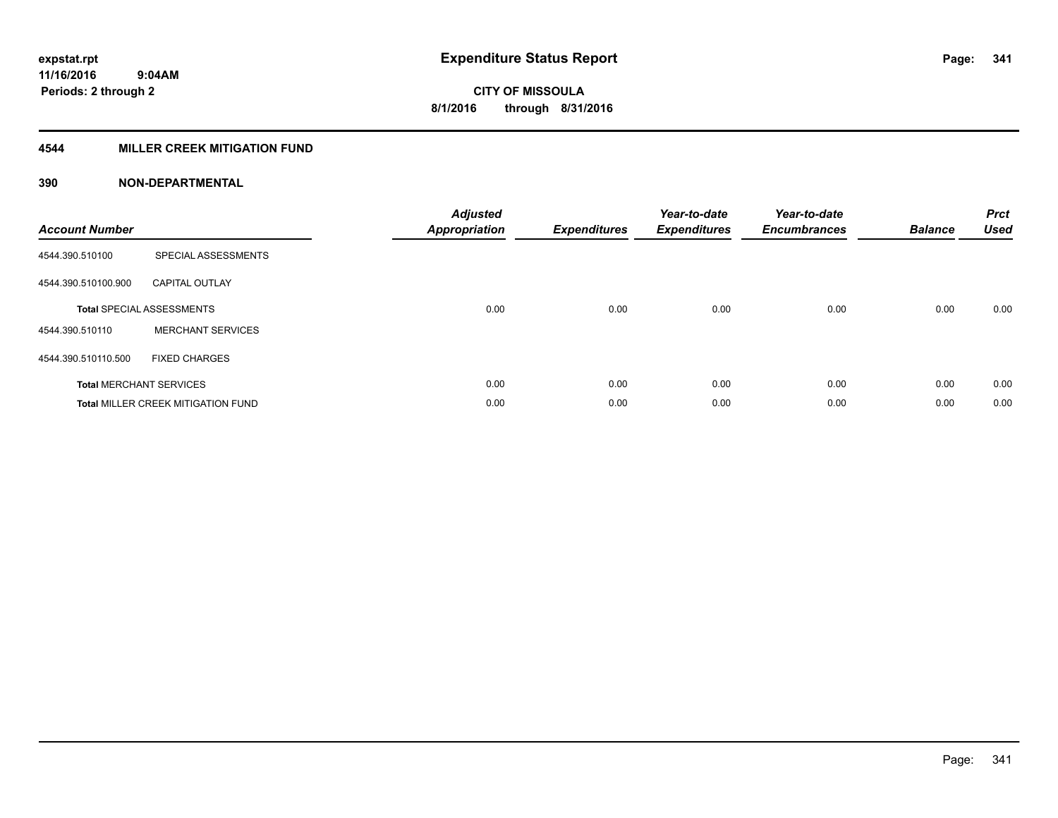### **4544 MILLER CREEK MITIGATION FUND**

| <b>Account Number</b> |                                           | <b>Adjusted</b><br><b>Appropriation</b> | <b>Expenditures</b> | Year-to-date<br><b>Expenditures</b> | Year-to-date<br><b>Encumbrances</b> | <b>Balance</b> | <b>Prct</b><br><b>Used</b> |
|-----------------------|-------------------------------------------|-----------------------------------------|---------------------|-------------------------------------|-------------------------------------|----------------|----------------------------|
| 4544.390.510100       | SPECIAL ASSESSMENTS                       |                                         |                     |                                     |                                     |                |                            |
| 4544.390.510100.900   | <b>CAPITAL OUTLAY</b>                     |                                         |                     |                                     |                                     |                |                            |
|                       | <b>Total SPECIAL ASSESSMENTS</b>          | 0.00                                    | 0.00                | 0.00                                | 0.00                                | 0.00           | 0.00                       |
| 4544.390.510110       | <b>MERCHANT SERVICES</b>                  |                                         |                     |                                     |                                     |                |                            |
| 4544.390.510110.500   | <b>FIXED CHARGES</b>                      |                                         |                     |                                     |                                     |                |                            |
|                       | <b>Total MERCHANT SERVICES</b>            | 0.00                                    | 0.00                | 0.00                                | 0.00                                | 0.00           | 0.00                       |
|                       | <b>Total MILLER CREEK MITIGATION FUND</b> | 0.00                                    | 0.00                | 0.00                                | 0.00                                | 0.00           | 0.00                       |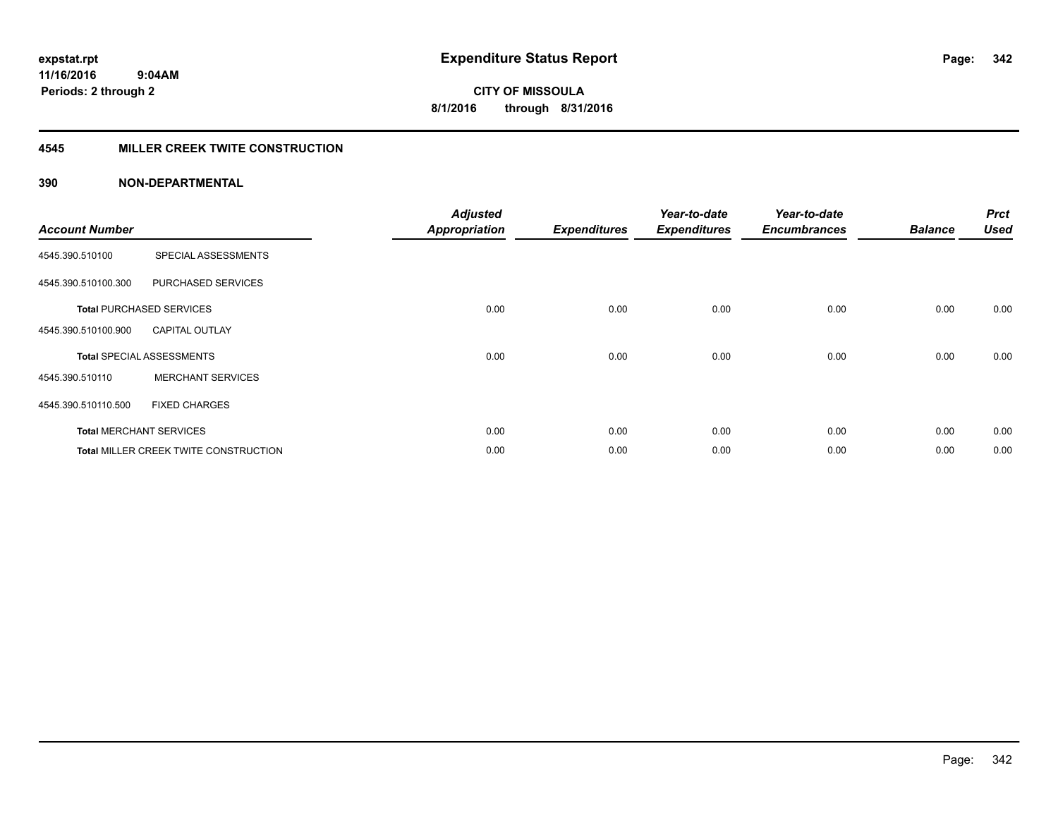#### **4545 MILLER CREEK TWITE CONSTRUCTION**

| <b>Account Number</b> |                                              | <b>Adjusted</b><br><b>Appropriation</b> | <b>Expenditures</b> | Year-to-date<br><b>Expenditures</b> | Year-to-date<br><b>Encumbrances</b> | <b>Balance</b> | <b>Prct</b><br><b>Used</b> |
|-----------------------|----------------------------------------------|-----------------------------------------|---------------------|-------------------------------------|-------------------------------------|----------------|----------------------------|
| 4545.390.510100       | SPECIAL ASSESSMENTS                          |                                         |                     |                                     |                                     |                |                            |
| 4545.390.510100.300   | PURCHASED SERVICES                           |                                         |                     |                                     |                                     |                |                            |
|                       | <b>Total PURCHASED SERVICES</b>              | 0.00                                    | 0.00                | 0.00                                | 0.00                                | 0.00           | 0.00                       |
| 4545.390.510100.900   | <b>CAPITAL OUTLAY</b>                        |                                         |                     |                                     |                                     |                |                            |
|                       | <b>Total SPECIAL ASSESSMENTS</b>             | 0.00                                    | 0.00                | 0.00                                | 0.00                                | 0.00           | 0.00                       |
| 4545.390.510110       | <b>MERCHANT SERVICES</b>                     |                                         |                     |                                     |                                     |                |                            |
| 4545.390.510110.500   | <b>FIXED CHARGES</b>                         |                                         |                     |                                     |                                     |                |                            |
|                       | <b>Total MERCHANT SERVICES</b>               | 0.00                                    | 0.00                | 0.00                                | 0.00                                | 0.00           | 0.00                       |
|                       | <b>Total MILLER CREEK TWITE CONSTRUCTION</b> | 0.00                                    | 0.00                | 0.00                                | 0.00                                | 0.00           | 0.00                       |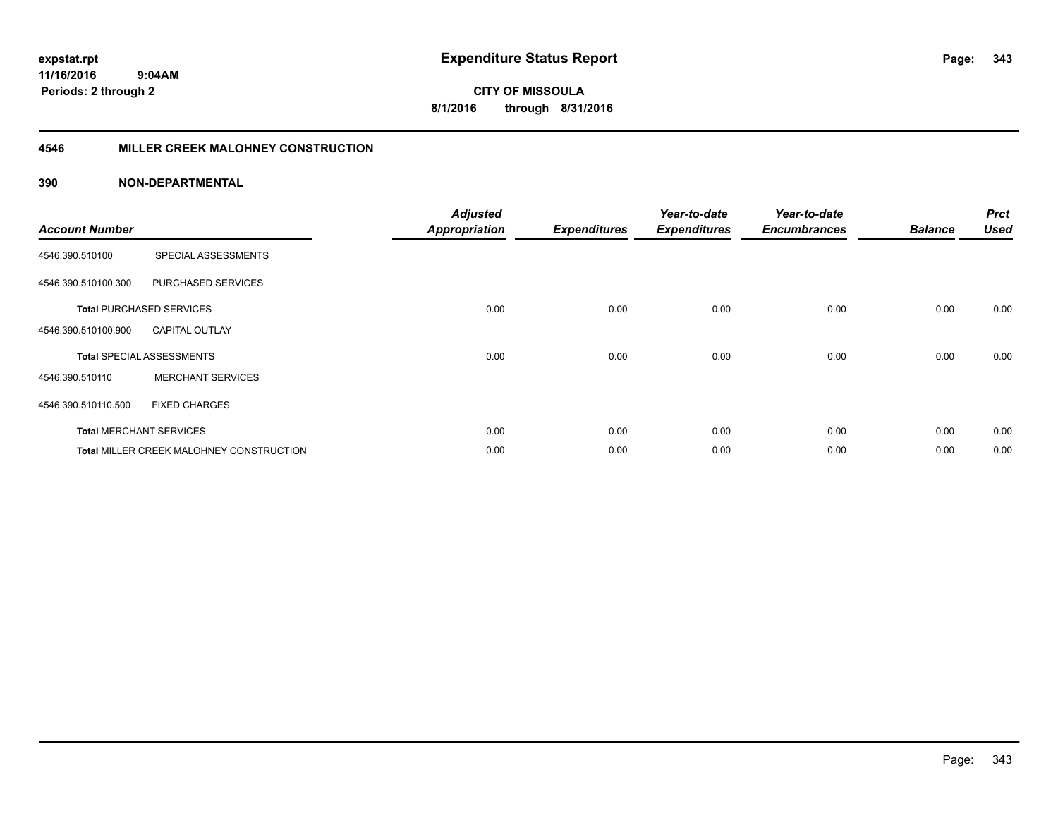**343**

**CITY OF MISSOULA 8/1/2016 through 8/31/2016**

#### **4546 MILLER CREEK MALOHNEY CONSTRUCTION**

| <b>Account Number</b> |                                                 | <b>Adjusted</b><br><b>Appropriation</b> | <b>Expenditures</b> | Year-to-date<br><b>Expenditures</b> | Year-to-date<br><b>Encumbrances</b> | <b>Balance</b> | <b>Prct</b><br><b>Used</b> |
|-----------------------|-------------------------------------------------|-----------------------------------------|---------------------|-------------------------------------|-------------------------------------|----------------|----------------------------|
| 4546.390.510100       | SPECIAL ASSESSMENTS                             |                                         |                     |                                     |                                     |                |                            |
| 4546.390.510100.300   | PURCHASED SERVICES                              |                                         |                     |                                     |                                     |                |                            |
|                       | <b>Total PURCHASED SERVICES</b>                 | 0.00                                    | 0.00                | 0.00                                | 0.00                                | 0.00           | 0.00                       |
| 4546.390.510100.900   | <b>CAPITAL OUTLAY</b>                           |                                         |                     |                                     |                                     |                |                            |
|                       | <b>Total SPECIAL ASSESSMENTS</b>                | 0.00                                    | 0.00                | 0.00                                | 0.00                                | 0.00           | 0.00                       |
| 4546.390.510110       | <b>MERCHANT SERVICES</b>                        |                                         |                     |                                     |                                     |                |                            |
| 4546.390.510110.500   | <b>FIXED CHARGES</b>                            |                                         |                     |                                     |                                     |                |                            |
|                       | <b>Total MERCHANT SERVICES</b>                  | 0.00                                    | 0.00                | 0.00                                | 0.00                                | 0.00           | 0.00                       |
|                       | <b>Total MILLER CREEK MALOHNEY CONSTRUCTION</b> | 0.00                                    | 0.00                | 0.00                                | 0.00                                | 0.00           | 0.00                       |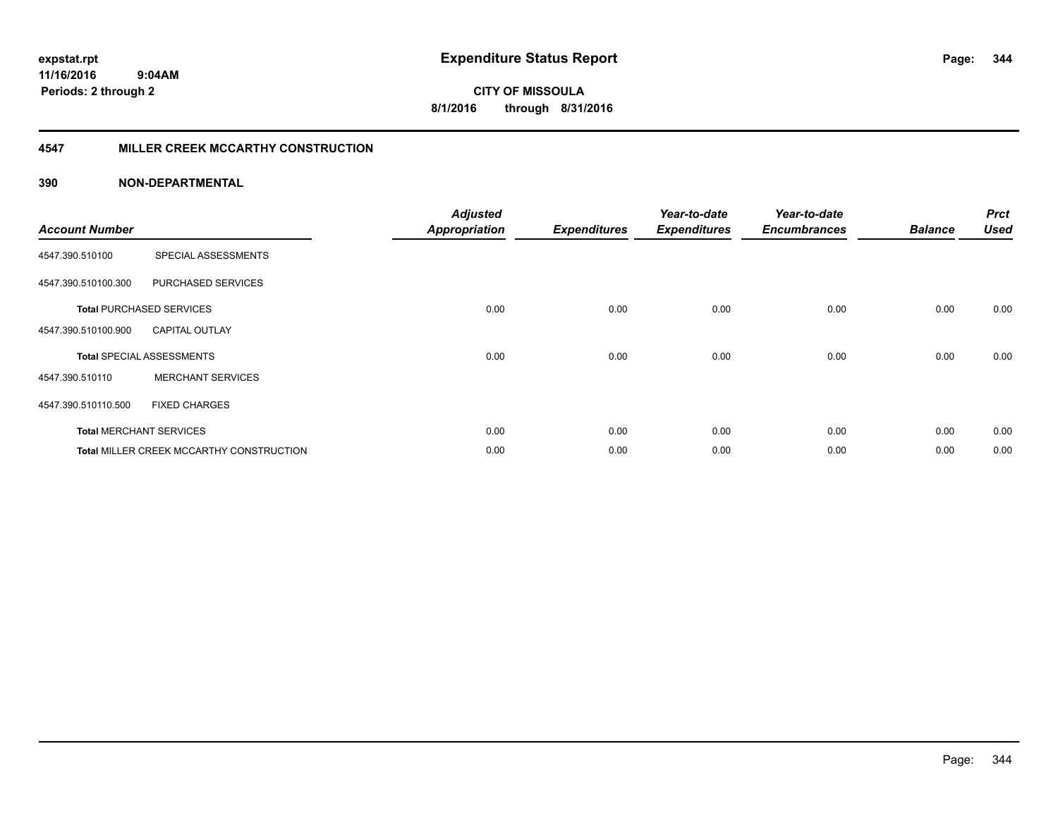#### **4547 MILLER CREEK MCCARTHY CONSTRUCTION**

| <b>Account Number</b> |                                                 | <b>Adjusted</b><br><b>Appropriation</b> | <b>Expenditures</b> | Year-to-date<br><b>Expenditures</b> | Year-to-date<br><b>Encumbrances</b> | <b>Balance</b> | <b>Prct</b><br><b>Used</b> |
|-----------------------|-------------------------------------------------|-----------------------------------------|---------------------|-------------------------------------|-------------------------------------|----------------|----------------------------|
| 4547.390.510100       | SPECIAL ASSESSMENTS                             |                                         |                     |                                     |                                     |                |                            |
| 4547.390.510100.300   | <b>PURCHASED SERVICES</b>                       |                                         |                     |                                     |                                     |                |                            |
|                       | <b>Total PURCHASED SERVICES</b>                 | 0.00                                    | 0.00                | 0.00                                | 0.00                                | 0.00           | 0.00                       |
| 4547.390.510100.900   | <b>CAPITAL OUTLAY</b>                           |                                         |                     |                                     |                                     |                |                            |
|                       | <b>Total SPECIAL ASSESSMENTS</b>                | 0.00                                    | 0.00                | 0.00                                | 0.00                                | 0.00           | 0.00                       |
| 4547.390.510110       | <b>MERCHANT SERVICES</b>                        |                                         |                     |                                     |                                     |                |                            |
| 4547.390.510110.500   | <b>FIXED CHARGES</b>                            |                                         |                     |                                     |                                     |                |                            |
|                       | <b>Total MERCHANT SERVICES</b>                  | 0.00                                    | 0.00                | 0.00                                | 0.00                                | 0.00           | 0.00                       |
|                       | <b>Total MILLER CREEK MCCARTHY CONSTRUCTION</b> | 0.00                                    | 0.00                | 0.00                                | 0.00                                | 0.00           | 0.00                       |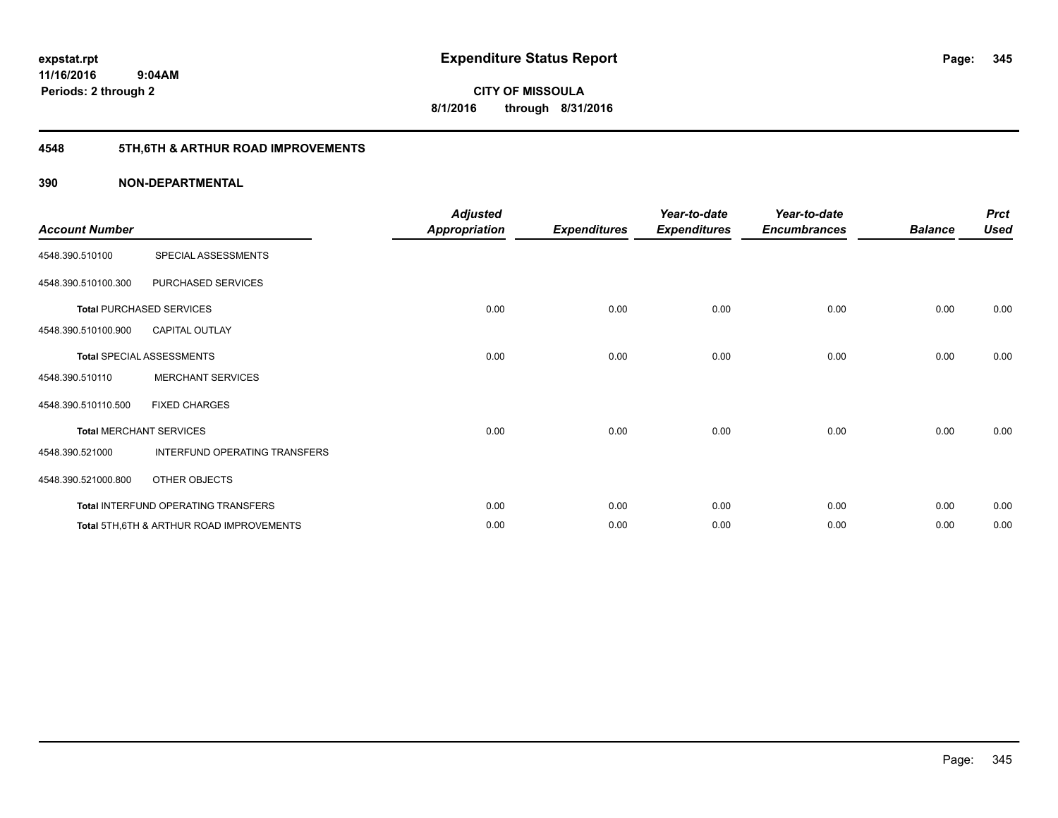# **4548 5TH,6TH & ARTHUR ROAD IMPROVEMENTS**

| <b>Account Number</b> |                                           | <b>Adjusted</b><br><b>Appropriation</b> | <b>Expenditures</b> | Year-to-date<br><b>Expenditures</b> | Year-to-date<br><b>Encumbrances</b> | <b>Balance</b> | <b>Prct</b><br><b>Used</b> |
|-----------------------|-------------------------------------------|-----------------------------------------|---------------------|-------------------------------------|-------------------------------------|----------------|----------------------------|
| 4548.390.510100       | SPECIAL ASSESSMENTS                       |                                         |                     |                                     |                                     |                |                            |
| 4548.390.510100.300   | PURCHASED SERVICES                        |                                         |                     |                                     |                                     |                |                            |
|                       | <b>Total PURCHASED SERVICES</b>           | 0.00                                    | 0.00                | 0.00                                | 0.00                                | 0.00           | 0.00                       |
| 4548.390.510100.900   | <b>CAPITAL OUTLAY</b>                     |                                         |                     |                                     |                                     |                |                            |
|                       | Total SPECIAL ASSESSMENTS                 | 0.00                                    | 0.00                | 0.00                                | 0.00                                | 0.00           | 0.00                       |
| 4548.390.510110       | <b>MERCHANT SERVICES</b>                  |                                         |                     |                                     |                                     |                |                            |
| 4548.390.510110.500   | <b>FIXED CHARGES</b>                      |                                         |                     |                                     |                                     |                |                            |
|                       | <b>Total MERCHANT SERVICES</b>            | 0.00                                    | 0.00                | 0.00                                | 0.00                                | 0.00           | 0.00                       |
| 4548.390.521000       | INTERFUND OPERATING TRANSFERS             |                                         |                     |                                     |                                     |                |                            |
| 4548.390.521000.800   | OTHER OBJECTS                             |                                         |                     |                                     |                                     |                |                            |
|                       | Total INTERFUND OPERATING TRANSFERS       | 0.00                                    | 0.00                | 0.00                                | 0.00                                | 0.00           | 0.00                       |
|                       | Total 5TH, 6TH & ARTHUR ROAD IMPROVEMENTS | 0.00                                    | 0.00                | 0.00                                | 0.00                                | 0.00           | 0.00                       |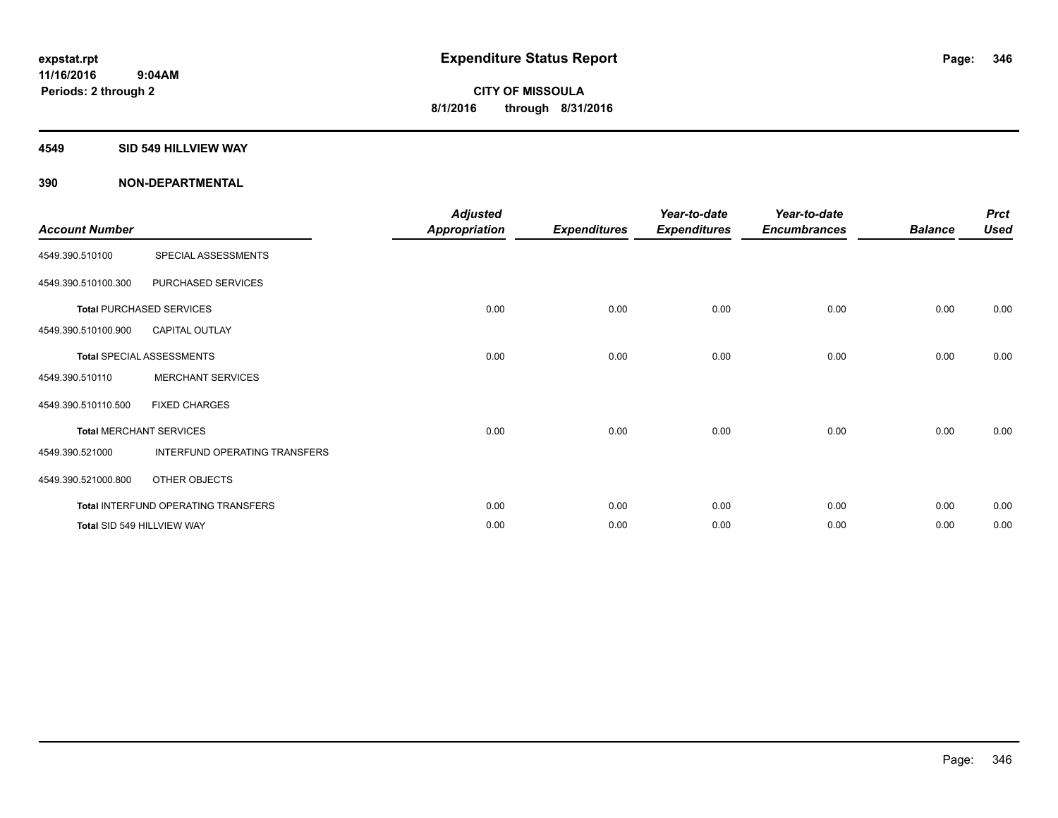#### **4549 SID 549 HILLVIEW WAY**

| <b>Account Number</b> |                                     | <b>Adjusted</b><br><b>Appropriation</b> | <b>Expenditures</b> | Year-to-date<br><b>Expenditures</b> | Year-to-date<br><b>Encumbrances</b> | <b>Balance</b> | <b>Prct</b><br><b>Used</b> |
|-----------------------|-------------------------------------|-----------------------------------------|---------------------|-------------------------------------|-------------------------------------|----------------|----------------------------|
| 4549.390.510100       | SPECIAL ASSESSMENTS                 |                                         |                     |                                     |                                     |                |                            |
| 4549.390.510100.300   | PURCHASED SERVICES                  |                                         |                     |                                     |                                     |                |                            |
|                       | <b>Total PURCHASED SERVICES</b>     | 0.00                                    | 0.00                | 0.00                                | 0.00                                | 0.00           | 0.00                       |
| 4549.390.510100.900   | <b>CAPITAL OUTLAY</b>               |                                         |                     |                                     |                                     |                |                            |
|                       | <b>Total SPECIAL ASSESSMENTS</b>    | 0.00                                    | 0.00                | 0.00                                | 0.00                                | 0.00           | 0.00                       |
| 4549.390.510110       | <b>MERCHANT SERVICES</b>            |                                         |                     |                                     |                                     |                |                            |
| 4549.390.510110.500   | <b>FIXED CHARGES</b>                |                                         |                     |                                     |                                     |                |                            |
|                       | <b>Total MERCHANT SERVICES</b>      | 0.00                                    | 0.00                | 0.00                                | 0.00                                | 0.00           | 0.00                       |
| 4549.390.521000       | INTERFUND OPERATING TRANSFERS       |                                         |                     |                                     |                                     |                |                            |
| 4549.390.521000.800   | OTHER OBJECTS                       |                                         |                     |                                     |                                     |                |                            |
|                       | Total INTERFUND OPERATING TRANSFERS | 0.00                                    | 0.00                | 0.00                                | 0.00                                | 0.00           | 0.00                       |
|                       | Total SID 549 HILLVIEW WAY          | 0.00                                    | 0.00                | 0.00                                | 0.00                                | 0.00           | 0.00                       |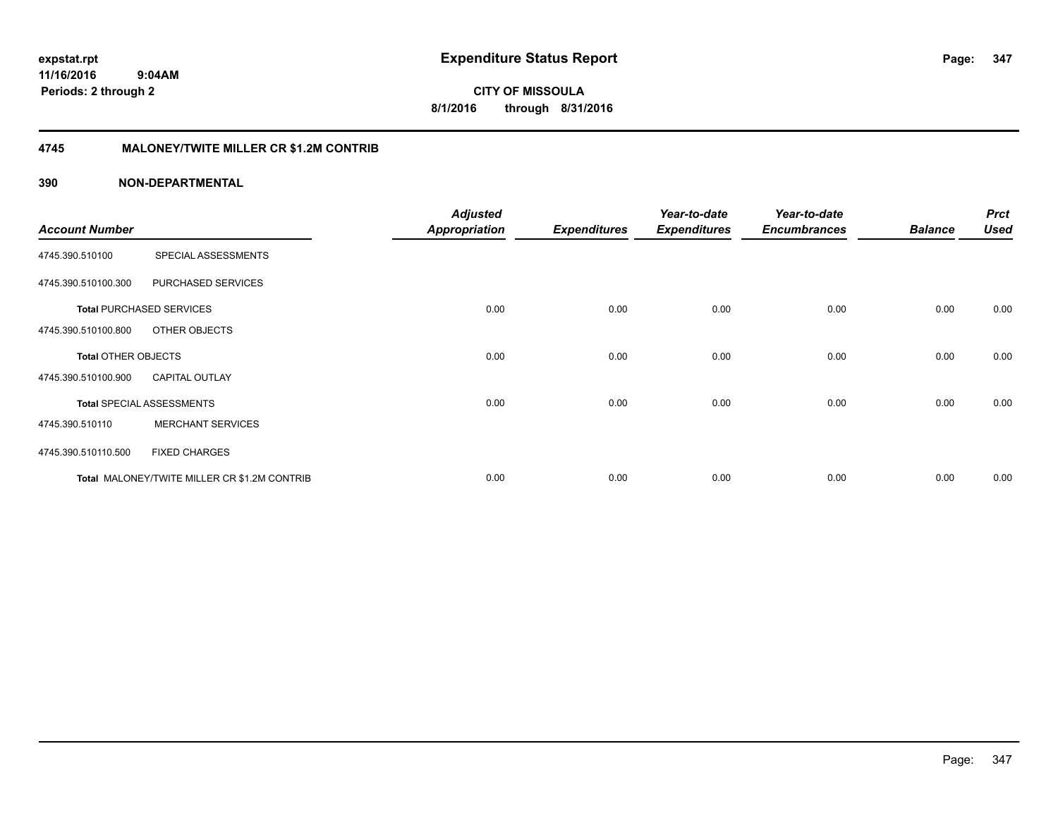**CITY OF MISSOULA 8/1/2016 through 8/31/2016**

### **4745 MALONEY/TWITE MILLER CR \$1.2M CONTRIB**

|                            |                                              | <b>Adjusted</b>      |                     | Year-to-date        | Year-to-date        |                | <b>Prct</b> |
|----------------------------|----------------------------------------------|----------------------|---------------------|---------------------|---------------------|----------------|-------------|
| <b>Account Number</b>      |                                              | <b>Appropriation</b> | <b>Expenditures</b> | <b>Expenditures</b> | <b>Encumbrances</b> | <b>Balance</b> | <b>Used</b> |
| 4745.390.510100            | SPECIAL ASSESSMENTS                          |                      |                     |                     |                     |                |             |
| 4745.390.510100.300        | PURCHASED SERVICES                           |                      |                     |                     |                     |                |             |
|                            | <b>Total PURCHASED SERVICES</b>              | 0.00                 | 0.00                | 0.00                | 0.00                | 0.00           | 0.00        |
| 4745.390.510100.800        | OTHER OBJECTS                                |                      |                     |                     |                     |                |             |
| <b>Total OTHER OBJECTS</b> |                                              | 0.00                 | 0.00                | 0.00                | 0.00                | 0.00           | 0.00        |
| 4745.390.510100.900        | <b>CAPITAL OUTLAY</b>                        |                      |                     |                     |                     |                |             |
|                            | <b>Total SPECIAL ASSESSMENTS</b>             | 0.00                 | 0.00                | 0.00                | 0.00                | 0.00           | 0.00        |
| 4745.390.510110            | <b>MERCHANT SERVICES</b>                     |                      |                     |                     |                     |                |             |
| 4745.390.510110.500        | <b>FIXED CHARGES</b>                         |                      |                     |                     |                     |                |             |
|                            | Total MALONEY/TWITE MILLER CR \$1.2M CONTRIB | 0.00                 | 0.00                | 0.00                | 0.00                | 0.00           | 0.00        |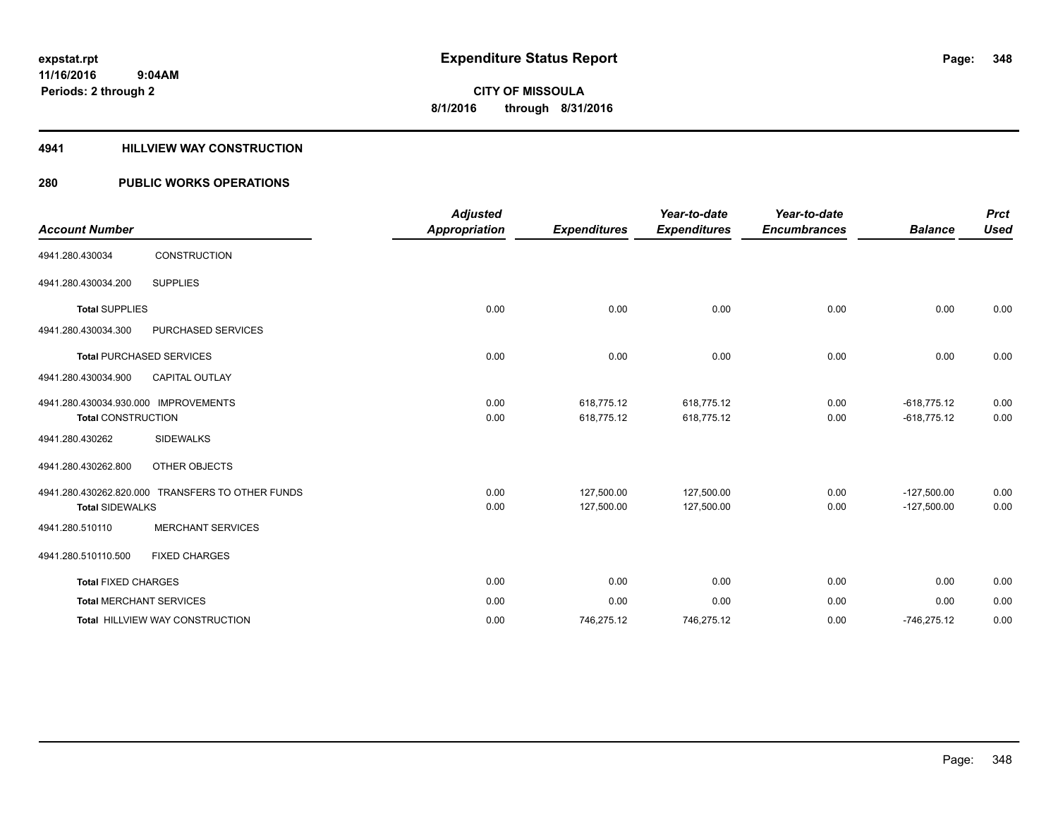#### **4941 HILLVIEW WAY CONSTRUCTION**

### **280 PUBLIC WORKS OPERATIONS**

| <b>Account Number</b>                                             |                                                  | <b>Adjusted</b><br><b>Appropriation</b> | <b>Expenditures</b>      | Year-to-date<br><b>Expenditures</b> | Year-to-date<br><b>Encumbrances</b> | <b>Balance</b>                 | <b>Prct</b><br><b>Used</b> |
|-------------------------------------------------------------------|--------------------------------------------------|-----------------------------------------|--------------------------|-------------------------------------|-------------------------------------|--------------------------------|----------------------------|
| 4941.280.430034                                                   | <b>CONSTRUCTION</b>                              |                                         |                          |                                     |                                     |                                |                            |
| 4941.280.430034.200                                               | <b>SUPPLIES</b>                                  |                                         |                          |                                     |                                     |                                |                            |
| <b>Total SUPPLIES</b>                                             |                                                  | 0.00                                    | 0.00                     | 0.00                                | 0.00                                | 0.00                           | 0.00                       |
| 4941.280.430034.300                                               | PURCHASED SERVICES                               |                                         |                          |                                     |                                     |                                |                            |
|                                                                   | <b>Total PURCHASED SERVICES</b>                  | 0.00                                    | 0.00                     | 0.00                                | 0.00                                | 0.00                           | 0.00                       |
| 4941.280.430034.900                                               | <b>CAPITAL OUTLAY</b>                            |                                         |                          |                                     |                                     |                                |                            |
| 4941.280.430034.930.000 IMPROVEMENTS<br><b>Total CONSTRUCTION</b> |                                                  | 0.00<br>0.00                            | 618,775.12<br>618,775.12 | 618,775.12<br>618,775.12            | 0.00<br>0.00                        | $-618,775.12$<br>$-618,775.12$ | 0.00<br>0.00               |
| 4941.280.430262                                                   | <b>SIDEWALKS</b>                                 |                                         |                          |                                     |                                     |                                |                            |
| 4941.280.430262.800                                               | OTHER OBJECTS                                    |                                         |                          |                                     |                                     |                                |                            |
| <b>Total SIDEWALKS</b>                                            | 4941.280.430262.820.000 TRANSFERS TO OTHER FUNDS | 0.00<br>0.00                            | 127,500.00<br>127,500.00 | 127,500.00<br>127,500.00            | 0.00<br>0.00                        | $-127,500.00$<br>$-127,500.00$ | 0.00<br>0.00               |
| 4941.280.510110                                                   | <b>MERCHANT SERVICES</b>                         |                                         |                          |                                     |                                     |                                |                            |
| 4941.280.510110.500                                               | <b>FIXED CHARGES</b>                             |                                         |                          |                                     |                                     |                                |                            |
| <b>Total FIXED CHARGES</b>                                        |                                                  | 0.00                                    | 0.00                     | 0.00                                | 0.00                                | 0.00                           | 0.00                       |
|                                                                   | <b>Total MERCHANT SERVICES</b>                   | 0.00                                    | 0.00                     | 0.00                                | 0.00                                | 0.00                           | 0.00                       |
|                                                                   | <b>Total HILLVIEW WAY CONSTRUCTION</b>           | 0.00                                    | 746,275.12               | 746,275.12                          | 0.00                                | $-746,275.12$                  | 0.00                       |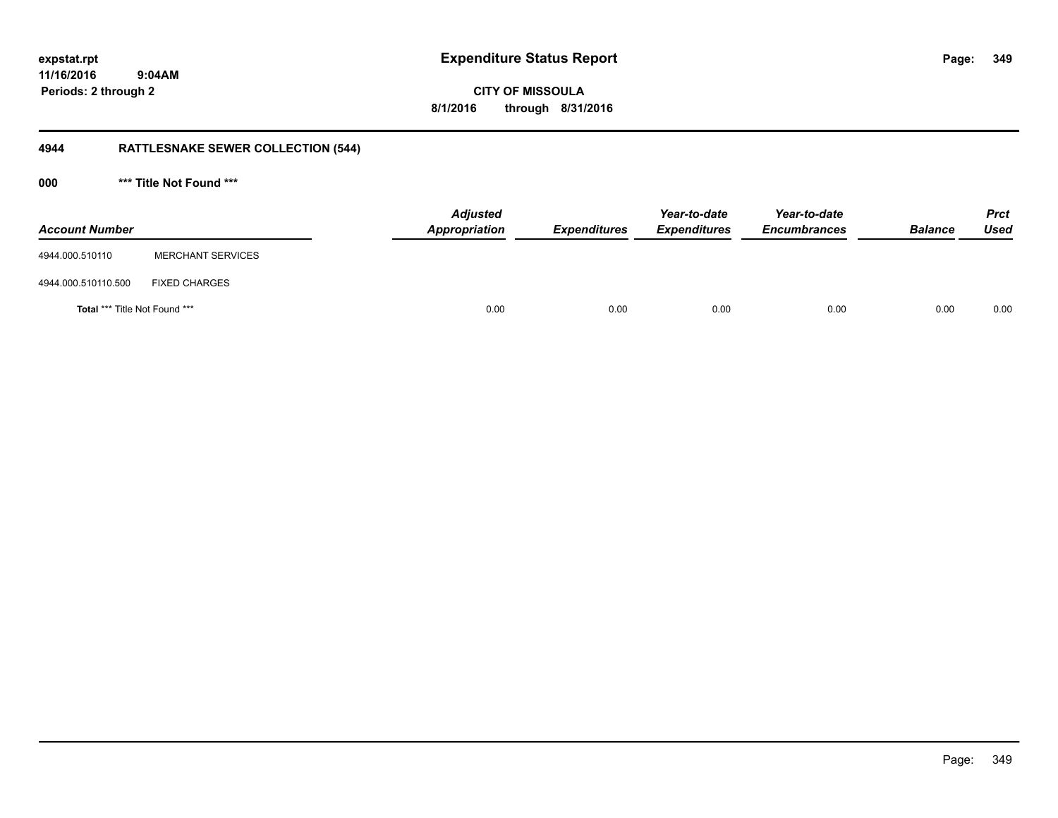**349**

**CITY OF MISSOULA 8/1/2016 through 8/31/2016**

# **4944 RATTLESNAKE SEWER COLLECTION (544)**

**000 \*\*\* Title Not Found \*\*\***

| <b>Account Number</b>                |                          | <b>Adjusted</b><br>Appropriation | <b>Expenditures</b> | Year-to-date<br><b>Expenditures</b> | Year-to-date<br><b>Encumbrances</b> | <b>Balance</b> | <b>Prct</b><br><b>Used</b> |
|--------------------------------------|--------------------------|----------------------------------|---------------------|-------------------------------------|-------------------------------------|----------------|----------------------------|
| 4944.000.510110                      | <b>MERCHANT SERVICES</b> |                                  |                     |                                     |                                     |                |                            |
| 4944.000.510110.500                  | <b>FIXED CHARGES</b>     |                                  |                     |                                     |                                     |                |                            |
| <b>Total *** Title Not Found ***</b> |                          | 0.00                             | 0.00                | 0.00                                | 0.00                                | 0.00           | 0.00                       |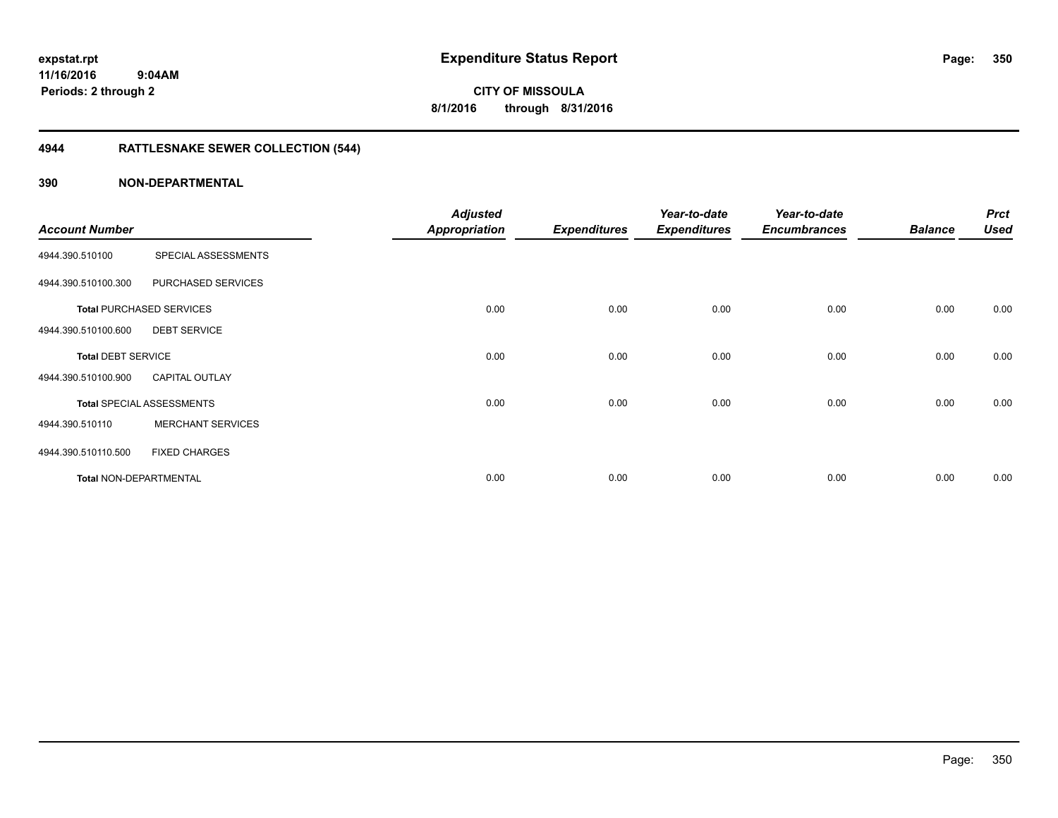**CITY OF MISSOULA 8/1/2016 through 8/31/2016**

# **4944 RATTLESNAKE SEWER COLLECTION (544)**

|                               |                                  | <b>Adjusted</b>      |                     | Year-to-date        | Year-to-date        |                | <b>Prct</b> |
|-------------------------------|----------------------------------|----------------------|---------------------|---------------------|---------------------|----------------|-------------|
| <b>Account Number</b>         |                                  | <b>Appropriation</b> | <b>Expenditures</b> | <b>Expenditures</b> | <b>Encumbrances</b> | <b>Balance</b> | <b>Used</b> |
| 4944.390.510100               | SPECIAL ASSESSMENTS              |                      |                     |                     |                     |                |             |
| 4944.390.510100.300           | PURCHASED SERVICES               |                      |                     |                     |                     |                |             |
|                               | <b>Total PURCHASED SERVICES</b>  | 0.00                 | 0.00                | 0.00                | 0.00                | 0.00           | 0.00        |
| 4944.390.510100.600           | <b>DEBT SERVICE</b>              |                      |                     |                     |                     |                |             |
| <b>Total DEBT SERVICE</b>     |                                  | 0.00                 | 0.00                | 0.00                | 0.00                | 0.00           | 0.00        |
| 4944.390.510100.900           | <b>CAPITAL OUTLAY</b>            |                      |                     |                     |                     |                |             |
|                               | <b>Total SPECIAL ASSESSMENTS</b> | 0.00                 | 0.00                | 0.00                | 0.00                | 0.00           | 0.00        |
| 4944.390.510110               | <b>MERCHANT SERVICES</b>         |                      |                     |                     |                     |                |             |
| 4944.390.510110.500           | <b>FIXED CHARGES</b>             |                      |                     |                     |                     |                |             |
| <b>Total NON-DEPARTMENTAL</b> |                                  | 0.00                 | 0.00                | 0.00                | 0.00                | 0.00           | 0.00        |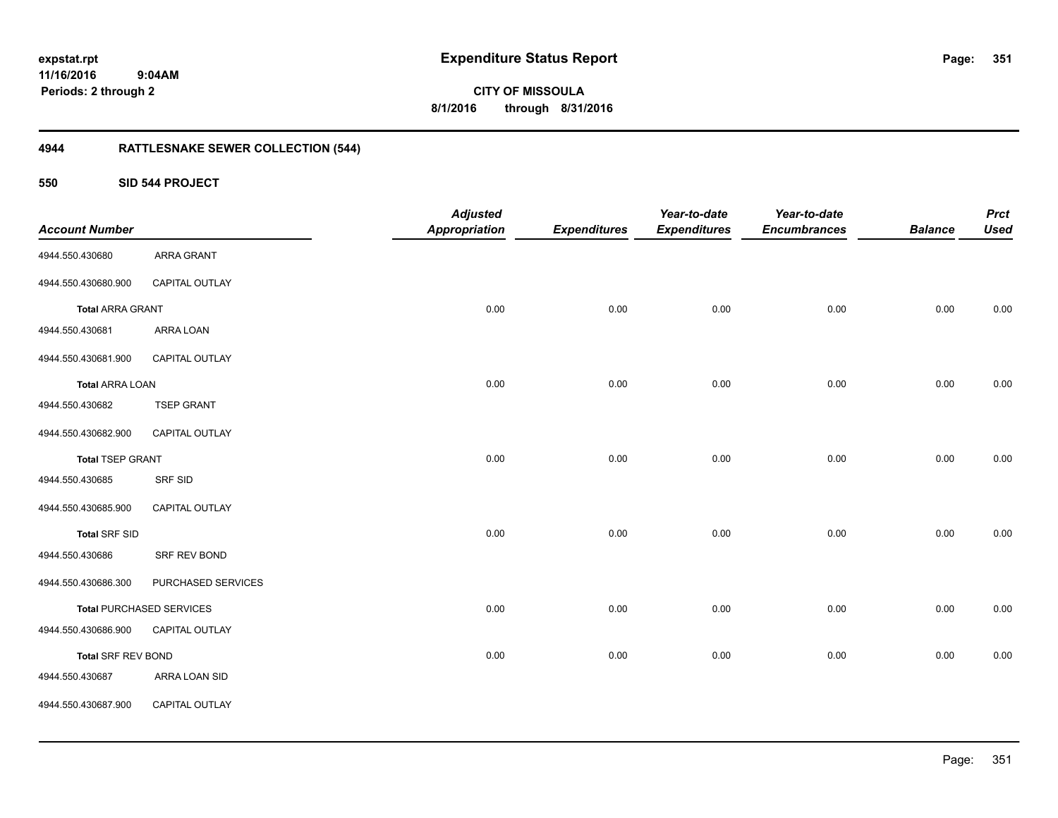**CITY OF MISSOULA 8/1/2016 through 8/31/2016**

# **4944 RATTLESNAKE SEWER COLLECTION (544)**

**550 SID 544 PROJECT**

| <b>Account Number</b>     |                                 | <b>Adjusted</b><br><b>Appropriation</b> | <b>Expenditures</b> | Year-to-date<br><b>Expenditures</b> | Year-to-date<br><b>Encumbrances</b> | <b>Balance</b> | <b>Prct</b><br><b>Used</b> |
|---------------------------|---------------------------------|-----------------------------------------|---------------------|-------------------------------------|-------------------------------------|----------------|----------------------------|
| 4944.550.430680           | ARRA GRANT                      |                                         |                     |                                     |                                     |                |                            |
| 4944.550.430680.900       | CAPITAL OUTLAY                  |                                         |                     |                                     |                                     |                |                            |
| <b>Total ARRA GRANT</b>   |                                 | 0.00                                    | 0.00                | 0.00                                | 0.00                                | 0.00           | 0.00                       |
| 4944.550.430681           | ARRA LOAN                       |                                         |                     |                                     |                                     |                |                            |
| 4944.550.430681.900       | CAPITAL OUTLAY                  |                                         |                     |                                     |                                     |                |                            |
| <b>Total ARRA LOAN</b>    |                                 | 0.00                                    | 0.00                | 0.00                                | 0.00                                | 0.00           | 0.00                       |
| 4944.550.430682           | <b>TSEP GRANT</b>               |                                         |                     |                                     |                                     |                |                            |
| 4944.550.430682.900       | CAPITAL OUTLAY                  |                                         |                     |                                     |                                     |                |                            |
| <b>Total TSEP GRANT</b>   |                                 | 0.00                                    | 0.00                | 0.00                                | 0.00                                | 0.00           | 0.00                       |
| 4944.550.430685           | SRF SID                         |                                         |                     |                                     |                                     |                |                            |
| 4944.550.430685.900       | CAPITAL OUTLAY                  |                                         |                     |                                     |                                     |                |                            |
| <b>Total SRF SID</b>      |                                 | 0.00                                    | 0.00                | 0.00                                | 0.00                                | 0.00           | 0.00                       |
| 4944.550.430686           | SRF REV BOND                    |                                         |                     |                                     |                                     |                |                            |
| 4944.550.430686.300       | PURCHASED SERVICES              |                                         |                     |                                     |                                     |                |                            |
|                           | <b>Total PURCHASED SERVICES</b> | 0.00                                    | 0.00                | 0.00                                | 0.00                                | 0.00           | 0.00                       |
| 4944.550.430686.900       | CAPITAL OUTLAY                  |                                         |                     |                                     |                                     |                |                            |
| <b>Total SRF REV BOND</b> |                                 | 0.00                                    | 0.00                | 0.00                                | 0.00                                | 0.00           | 0.00                       |
| 4944.550.430687           | ARRA LOAN SID                   |                                         |                     |                                     |                                     |                |                            |
| 4944.550.430687.900       | CAPITAL OUTLAY                  |                                         |                     |                                     |                                     |                |                            |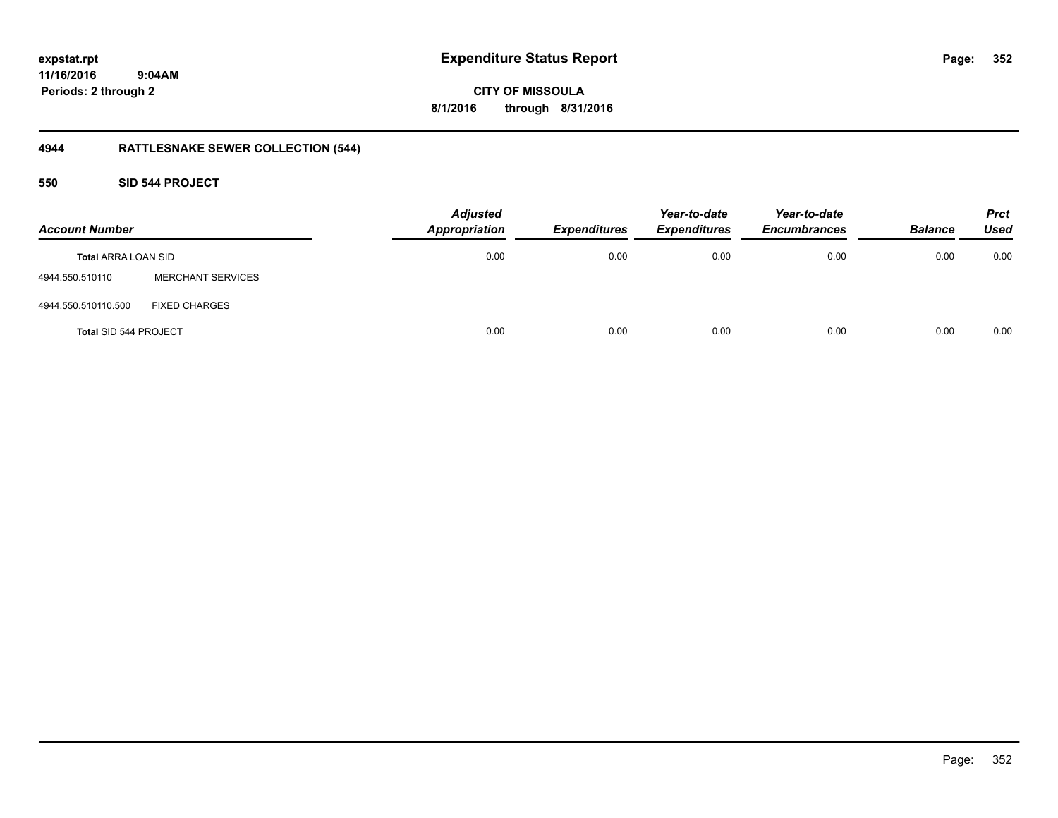**352**

**11/16/2016 9:04AM Periods: 2 through 2**

**CITY OF MISSOULA 8/1/2016 through 8/31/2016**

# **4944 RATTLESNAKE SEWER COLLECTION (544)**

**550 SID 544 PROJECT**

| <b>Account Number</b>      |                          | <b>Adjusted</b><br><b>Appropriation</b> | Expenditures | Year-to-date<br><b>Expenditures</b> | Year-to-date<br><b>Encumbrances</b> | <b>Balance</b> | <b>Prct</b><br>Used |
|----------------------------|--------------------------|-----------------------------------------|--------------|-------------------------------------|-------------------------------------|----------------|---------------------|
| <b>Total ARRA LOAN SID</b> |                          | 0.00                                    | 0.00         | 0.00                                | 0.00                                | 0.00           | 0.00                |
| 4944.550.510110            | <b>MERCHANT SERVICES</b> |                                         |              |                                     |                                     |                |                     |
| 4944.550.510110.500        | <b>FIXED CHARGES</b>     |                                         |              |                                     |                                     |                |                     |
| Total SID 544 PROJECT      |                          | 0.00                                    | 0.00         | 0.00                                | 0.00                                | 0.00           | 0.00                |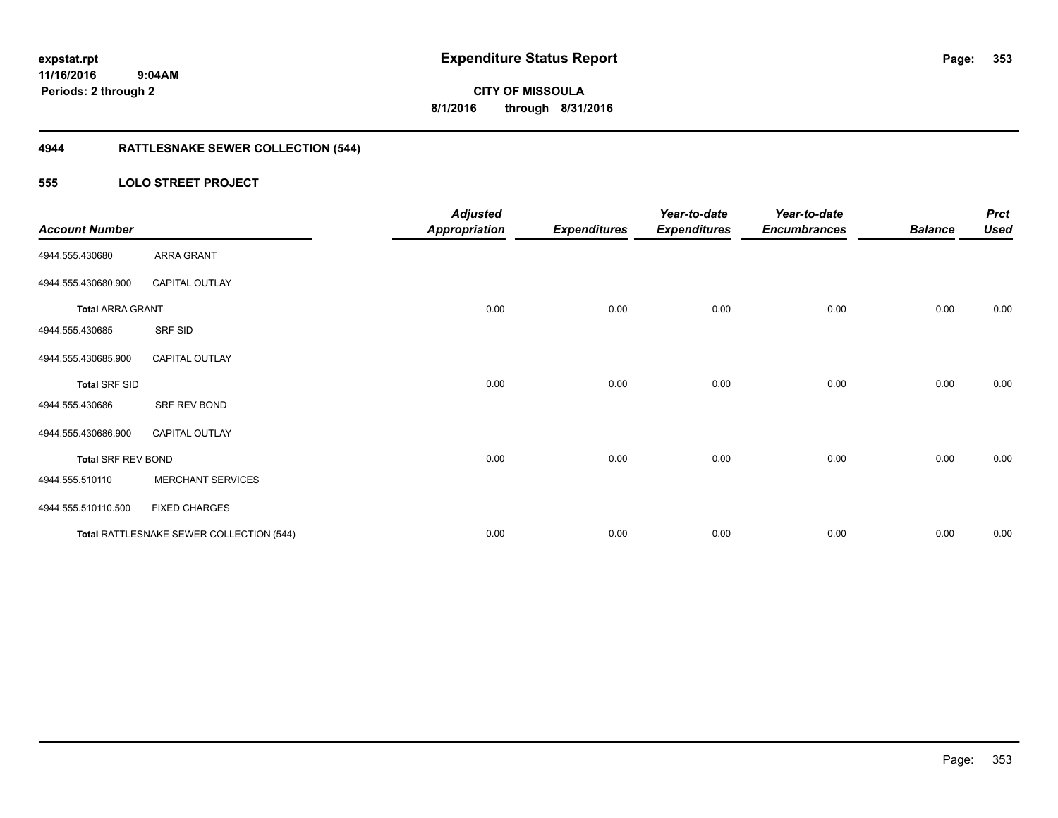**353**

**11/16/2016 9:04AM Periods: 2 through 2**

**CITY OF MISSOULA 8/1/2016 through 8/31/2016**

# **4944 RATTLESNAKE SEWER COLLECTION (544)**

#### **555 LOLO STREET PROJECT**

| <b>Account Number</b>     |                                          | <b>Adjusted</b><br><b>Appropriation</b> | <b>Expenditures</b> | Year-to-date<br><b>Expenditures</b> | Year-to-date<br><b>Encumbrances</b> | <b>Balance</b> | <b>Prct</b><br><b>Used</b> |
|---------------------------|------------------------------------------|-----------------------------------------|---------------------|-------------------------------------|-------------------------------------|----------------|----------------------------|
| 4944.555.430680           | <b>ARRA GRANT</b>                        |                                         |                     |                                     |                                     |                |                            |
| 4944.555.430680.900       | <b>CAPITAL OUTLAY</b>                    |                                         |                     |                                     |                                     |                |                            |
| <b>Total ARRA GRANT</b>   |                                          | 0.00                                    | 0.00                | 0.00                                | 0.00                                | 0.00           | 0.00                       |
| 4944.555.430685           | SRF SID                                  |                                         |                     |                                     |                                     |                |                            |
| 4944.555.430685.900       | <b>CAPITAL OUTLAY</b>                    |                                         |                     |                                     |                                     |                |                            |
| <b>Total SRF SID</b>      |                                          | 0.00                                    | 0.00                | 0.00                                | 0.00                                | 0.00           | 0.00                       |
| 4944.555.430686           | SRF REV BOND                             |                                         |                     |                                     |                                     |                |                            |
| 4944.555.430686.900       | <b>CAPITAL OUTLAY</b>                    |                                         |                     |                                     |                                     |                |                            |
| <b>Total SRF REV BOND</b> |                                          | 0.00                                    | 0.00                | 0.00                                | 0.00                                | 0.00           | 0.00                       |
| 4944.555.510110           | <b>MERCHANT SERVICES</b>                 |                                         |                     |                                     |                                     |                |                            |
| 4944.555.510110.500       | <b>FIXED CHARGES</b>                     |                                         |                     |                                     |                                     |                |                            |
|                           | Total RATTLESNAKE SEWER COLLECTION (544) | 0.00                                    | 0.00                | 0.00                                | 0.00                                | 0.00           | 0.00                       |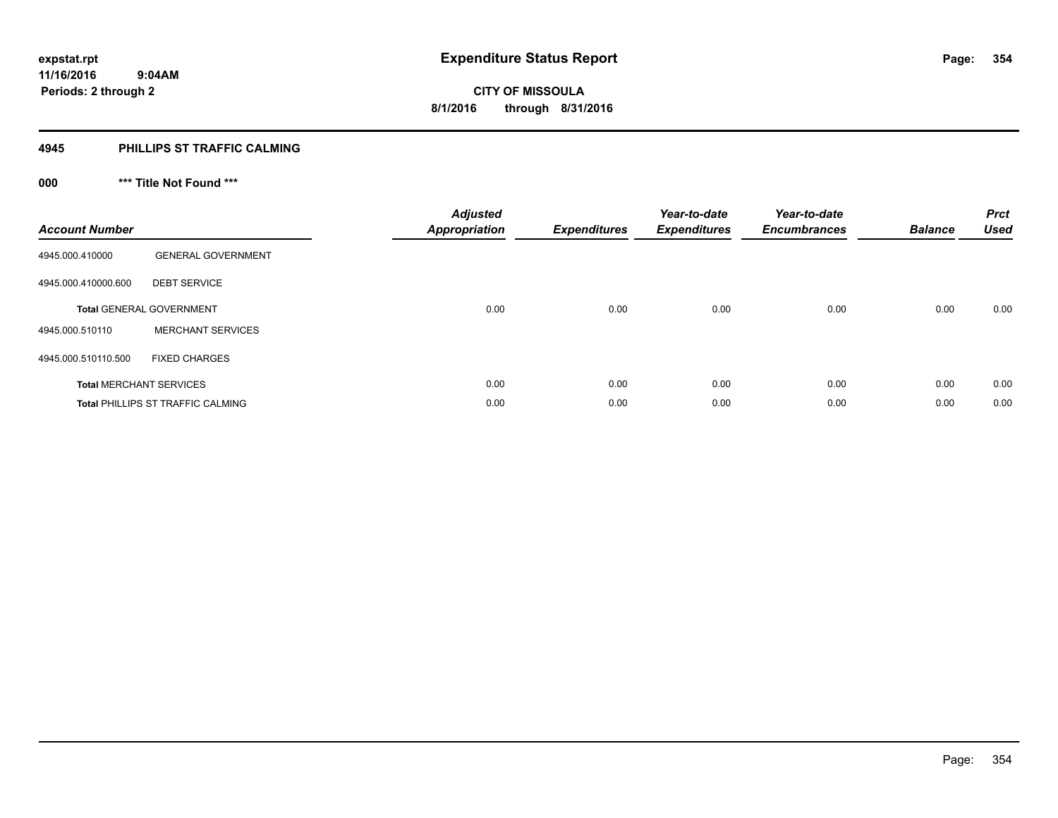#### **4945 PHILLIPS ST TRAFFIC CALMING**

# **000 \*\*\* Title Not Found \*\*\***

| <b>Account Number</b> |                                          | <b>Adjusted</b><br><b>Appropriation</b> | <b>Expenditures</b> | Year-to-date<br><b>Expenditures</b> | Year-to-date<br><b>Encumbrances</b> | <b>Balance</b> | <b>Prct</b><br><b>Used</b> |
|-----------------------|------------------------------------------|-----------------------------------------|---------------------|-------------------------------------|-------------------------------------|----------------|----------------------------|
| 4945.000.410000       | <b>GENERAL GOVERNMENT</b>                |                                         |                     |                                     |                                     |                |                            |
| 4945.000.410000.600   | <b>DEBT SERVICE</b>                      |                                         |                     |                                     |                                     |                |                            |
|                       | <b>Total GENERAL GOVERNMENT</b>          | 0.00                                    | 0.00                | 0.00                                | 0.00                                | 0.00           | 0.00                       |
| 4945.000.510110       | <b>MERCHANT SERVICES</b>                 |                                         |                     |                                     |                                     |                |                            |
| 4945.000.510110.500   | <b>FIXED CHARGES</b>                     |                                         |                     |                                     |                                     |                |                            |
|                       | <b>Total MERCHANT SERVICES</b>           | 0.00                                    | 0.00                | 0.00                                | 0.00                                | 0.00           | 0.00                       |
|                       | <b>Total PHILLIPS ST TRAFFIC CALMING</b> | 0.00                                    | 0.00                | 0.00                                | 0.00                                | 0.00           | 0.00                       |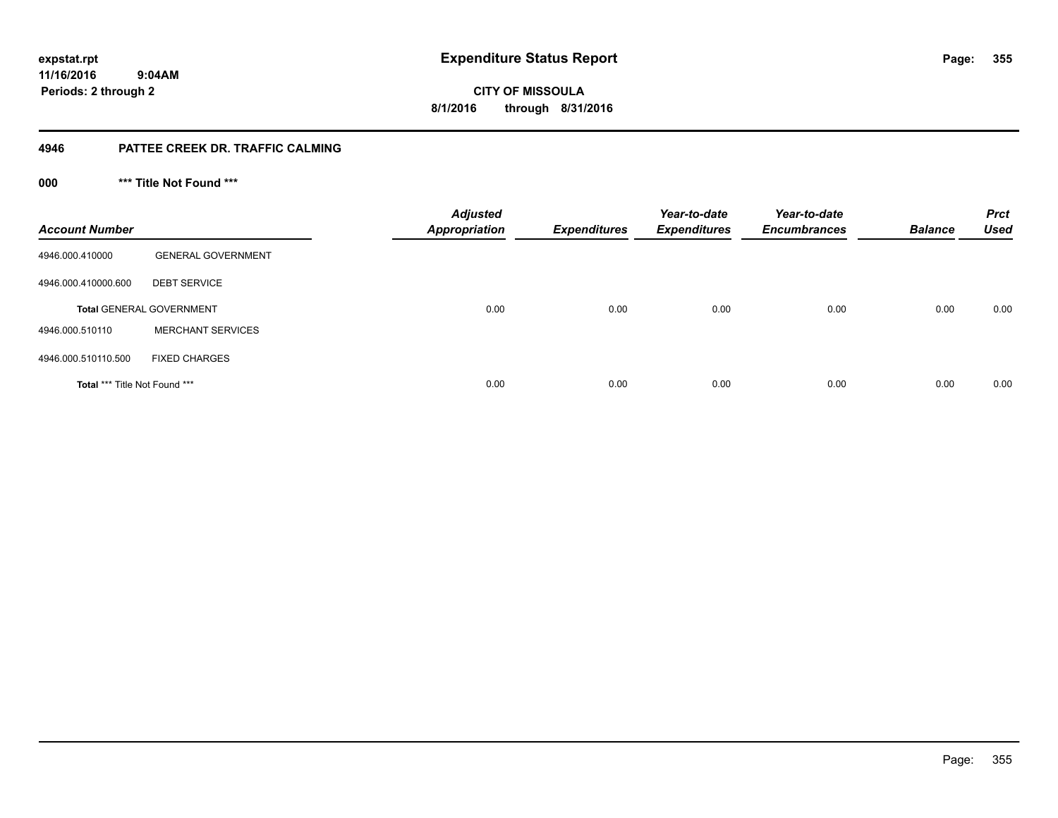**11/16/2016 9:04AM**

**Periods: 2 through 2**

**355**

**CITY OF MISSOULA 8/1/2016 through 8/31/2016**

#### **4946 PATTEE CREEK DR. TRAFFIC CALMING**

**000 \*\*\* Title Not Found \*\*\***

| <b>Account Number</b>         |                                 | <b>Adjusted</b><br><b>Appropriation</b> | <b>Expenditures</b> | Year-to-date<br><b>Expenditures</b> | Year-to-date<br><b>Encumbrances</b> | <b>Balance</b> | <b>Prct</b><br>Used |
|-------------------------------|---------------------------------|-----------------------------------------|---------------------|-------------------------------------|-------------------------------------|----------------|---------------------|
| 4946.000.410000               | <b>GENERAL GOVERNMENT</b>       |                                         |                     |                                     |                                     |                |                     |
| 4946.000.410000.600           | <b>DEBT SERVICE</b>             |                                         |                     |                                     |                                     |                |                     |
|                               | <b>Total GENERAL GOVERNMENT</b> | 0.00                                    | 0.00                | 0.00                                | 0.00                                | 0.00           | 0.00                |
| 4946.000.510110               | <b>MERCHANT SERVICES</b>        |                                         |                     |                                     |                                     |                |                     |
| 4946.000.510110.500           | <b>FIXED CHARGES</b>            |                                         |                     |                                     |                                     |                |                     |
| Total *** Title Not Found *** |                                 | 0.00                                    | 0.00                | 0.00                                | 0.00                                | 0.00           | 0.00                |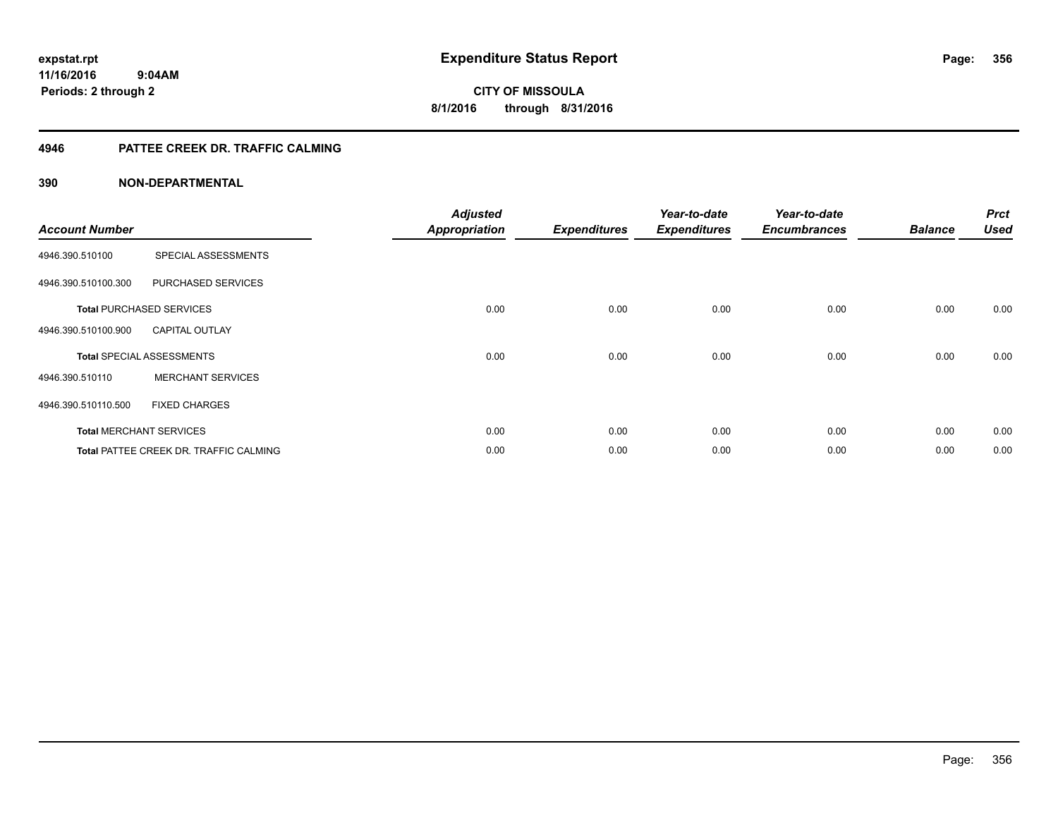# **11/16/2016**

**356**

 **9:04AM Periods: 2 through 2**

**CITY OF MISSOULA 8/1/2016 through 8/31/2016**

### **4946 PATTEE CREEK DR. TRAFFIC CALMING**

| <b>Account Number</b> |                                               | <b>Adjusted</b><br><b>Appropriation</b> | <b>Expenditures</b> | Year-to-date<br><b>Expenditures</b> | Year-to-date<br><b>Encumbrances</b> | <b>Balance</b> | <b>Prct</b><br><b>Used</b> |
|-----------------------|-----------------------------------------------|-----------------------------------------|---------------------|-------------------------------------|-------------------------------------|----------------|----------------------------|
| 4946.390.510100       | SPECIAL ASSESSMENTS                           |                                         |                     |                                     |                                     |                |                            |
| 4946.390.510100.300   | PURCHASED SERVICES                            |                                         |                     |                                     |                                     |                |                            |
|                       | <b>Total PURCHASED SERVICES</b>               | 0.00                                    | 0.00                | 0.00                                | 0.00                                | 0.00           | 0.00                       |
| 4946.390.510100.900   | <b>CAPITAL OUTLAY</b>                         |                                         |                     |                                     |                                     |                |                            |
|                       | <b>Total SPECIAL ASSESSMENTS</b>              | 0.00                                    | 0.00                | 0.00                                | 0.00                                | 0.00           | 0.00                       |
| 4946.390.510110       | <b>MERCHANT SERVICES</b>                      |                                         |                     |                                     |                                     |                |                            |
| 4946.390.510110.500   | <b>FIXED CHARGES</b>                          |                                         |                     |                                     |                                     |                |                            |
|                       | <b>Total MERCHANT SERVICES</b>                | 0.00                                    | 0.00                | 0.00                                | 0.00                                | 0.00           | 0.00                       |
|                       | <b>Total PATTEE CREEK DR. TRAFFIC CALMING</b> | 0.00                                    | 0.00                | 0.00                                | 0.00                                | 0.00           | 0.00                       |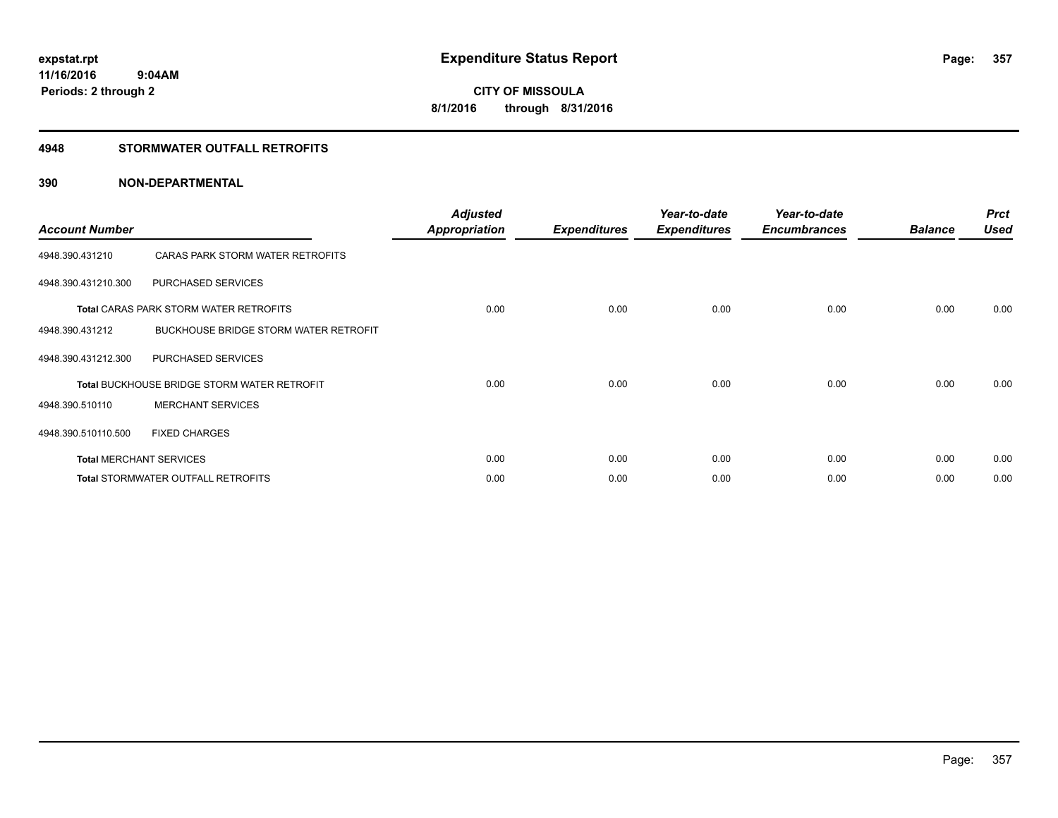#### **4948 STORMWATER OUTFALL RETROFITS**

| <b>Account Number</b> |                                                    | <b>Adjusted</b><br><b>Appropriation</b> | <b>Expenditures</b> | Year-to-date<br><b>Expenditures</b> | Year-to-date<br><b>Encumbrances</b> | <b>Balance</b> | <b>Prct</b><br><b>Used</b> |
|-----------------------|----------------------------------------------------|-----------------------------------------|---------------------|-------------------------------------|-------------------------------------|----------------|----------------------------|
| 4948.390.431210       | CARAS PARK STORM WATER RETROFITS                   |                                         |                     |                                     |                                     |                |                            |
| 4948.390.431210.300   | PURCHASED SERVICES                                 |                                         |                     |                                     |                                     |                |                            |
|                       | <b>Total CARAS PARK STORM WATER RETROFITS</b>      | 0.00                                    | 0.00                | 0.00                                | 0.00                                | 0.00           | 0.00                       |
| 4948.390.431212       | BUCKHOUSE BRIDGE STORM WATER RETROFIT              |                                         |                     |                                     |                                     |                |                            |
| 4948.390.431212.300   | PURCHASED SERVICES                                 |                                         |                     |                                     |                                     |                |                            |
|                       | <b>Total BUCKHOUSE BRIDGE STORM WATER RETROFIT</b> | 0.00                                    | 0.00                | 0.00                                | 0.00                                | 0.00           | 0.00                       |
| 4948.390.510110       | <b>MERCHANT SERVICES</b>                           |                                         |                     |                                     |                                     |                |                            |
| 4948.390.510110.500   | <b>FIXED CHARGES</b>                               |                                         |                     |                                     |                                     |                |                            |
|                       | <b>Total MERCHANT SERVICES</b>                     | 0.00                                    | 0.00                | 0.00                                | 0.00                                | 0.00           | 0.00                       |
|                       | <b>Total STORMWATER OUTFALL RETROFITS</b>          | 0.00                                    | 0.00                | 0.00                                | 0.00                                | 0.00           | 0.00                       |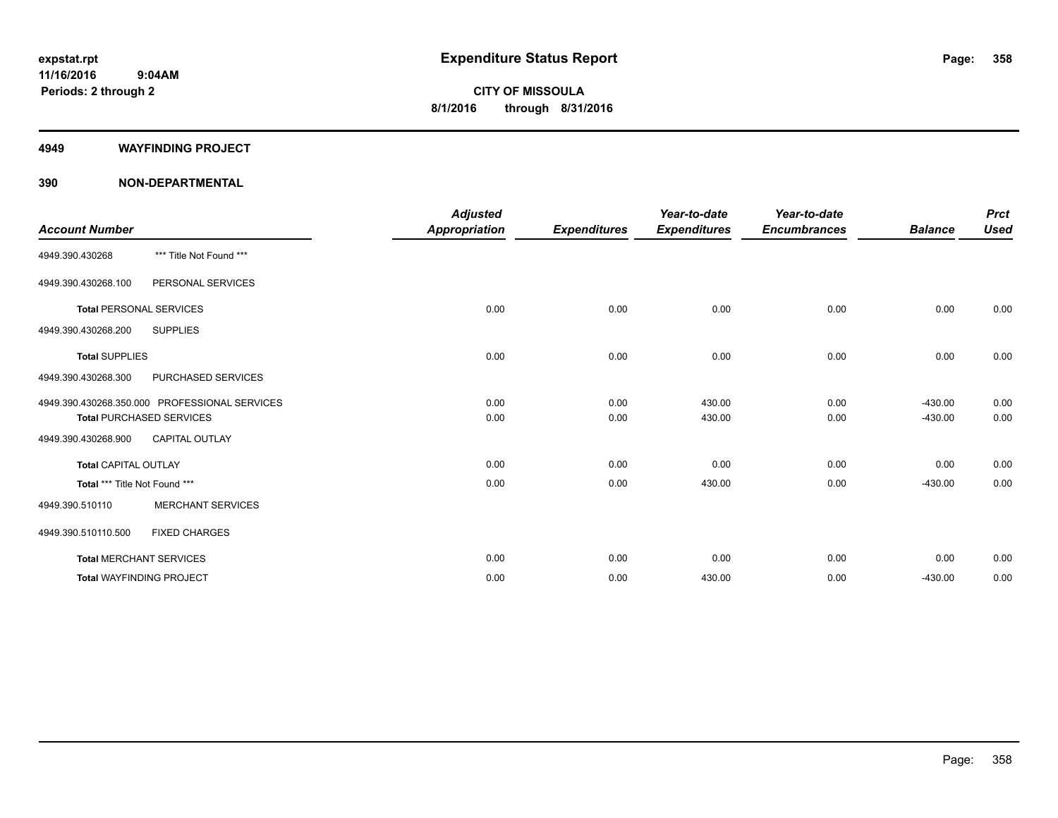#### **4949 WAYFINDING PROJECT**

|                                |                                               | <b>Adjusted</b>      |                     | Year-to-date        | Year-to-date        |                | <b>Prct</b> |
|--------------------------------|-----------------------------------------------|----------------------|---------------------|---------------------|---------------------|----------------|-------------|
| <b>Account Number</b>          |                                               | <b>Appropriation</b> | <b>Expenditures</b> | <b>Expenditures</b> | <b>Encumbrances</b> | <b>Balance</b> | <b>Used</b> |
| 4949.390.430268                | *** Title Not Found ***                       |                      |                     |                     |                     |                |             |
| 4949.390.430268.100            | PERSONAL SERVICES                             |                      |                     |                     |                     |                |             |
| <b>Total PERSONAL SERVICES</b> |                                               | 0.00                 | 0.00                | 0.00                | 0.00                | 0.00           | 0.00        |
| 4949.390.430268.200            | <b>SUPPLIES</b>                               |                      |                     |                     |                     |                |             |
| <b>Total SUPPLIES</b>          |                                               | 0.00                 | 0.00                | 0.00                | 0.00                | 0.00           | 0.00        |
| 4949.390.430268.300            | PURCHASED SERVICES                            |                      |                     |                     |                     |                |             |
|                                | 4949.390.430268.350.000 PROFESSIONAL SERVICES | 0.00                 | 0.00                | 430.00              | 0.00                | $-430.00$      | 0.00        |
|                                | <b>Total PURCHASED SERVICES</b>               | 0.00                 | 0.00                | 430.00              | 0.00                | $-430.00$      | 0.00        |
| 4949.390.430268.900            | <b>CAPITAL OUTLAY</b>                         |                      |                     |                     |                     |                |             |
| <b>Total CAPITAL OUTLAY</b>    |                                               | 0.00                 | 0.00                | 0.00                | 0.00                | 0.00           | 0.00        |
| Total *** Title Not Found ***  |                                               | 0.00                 | 0.00                | 430.00              | 0.00                | $-430.00$      | 0.00        |
| 4949.390.510110                | <b>MERCHANT SERVICES</b>                      |                      |                     |                     |                     |                |             |
| 4949.390.510110.500            | <b>FIXED CHARGES</b>                          |                      |                     |                     |                     |                |             |
| <b>Total MERCHANT SERVICES</b> |                                               | 0.00                 | 0.00                | 0.00                | 0.00                | 0.00           | 0.00        |
|                                | <b>Total WAYFINDING PROJECT</b>               | 0.00                 | 0.00                | 430.00              | 0.00                | $-430.00$      | 0.00        |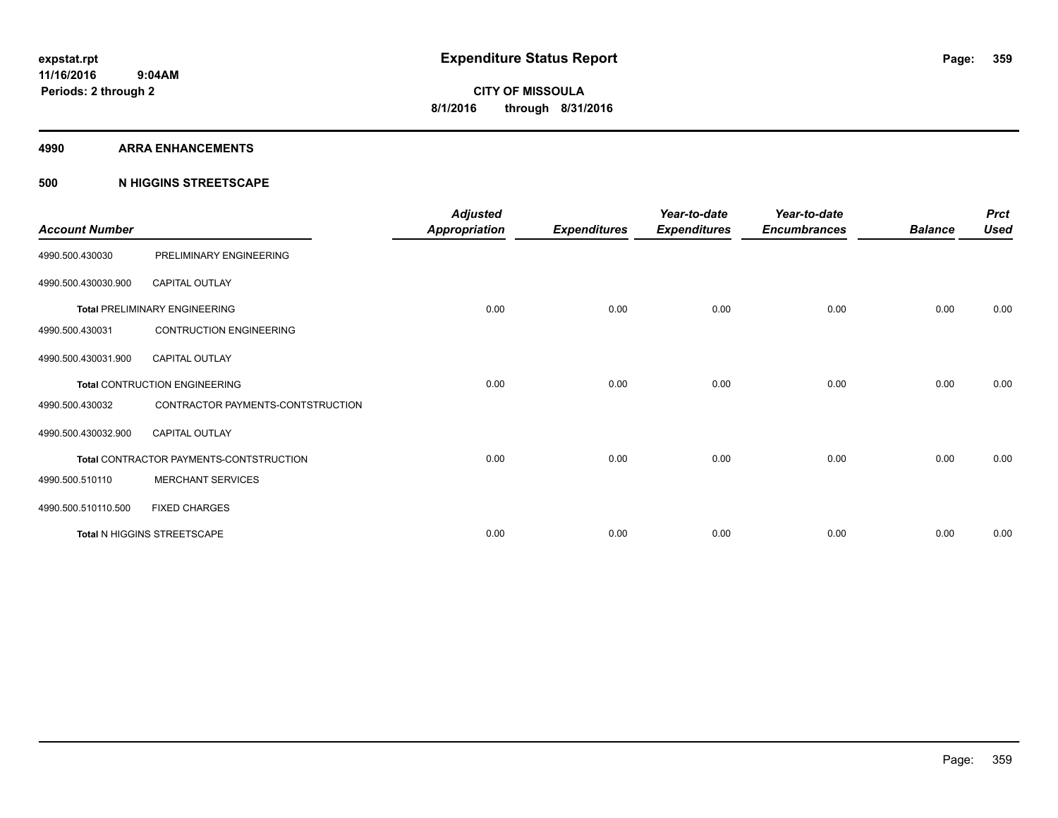#### **4990 ARRA ENHANCEMENTS**

#### **500 N HIGGINS STREETSCAPE**

| <b>Account Number</b> |                                         | <b>Adjusted</b><br><b>Appropriation</b> | <b>Expenditures</b> | Year-to-date<br><b>Expenditures</b> | Year-to-date<br><b>Encumbrances</b> | <b>Balance</b> | <b>Prct</b><br><b>Used</b> |
|-----------------------|-----------------------------------------|-----------------------------------------|---------------------|-------------------------------------|-------------------------------------|----------------|----------------------------|
| 4990.500.430030       | PRELIMINARY ENGINEERING                 |                                         |                     |                                     |                                     |                |                            |
| 4990.500.430030.900   | <b>CAPITAL OUTLAY</b>                   |                                         |                     |                                     |                                     |                |                            |
|                       | <b>Total PRELIMINARY ENGINEERING</b>    | 0.00                                    | 0.00                | 0.00                                | 0.00                                | 0.00           | 0.00                       |
| 4990.500.430031       | <b>CONTRUCTION ENGINEERING</b>          |                                         |                     |                                     |                                     |                |                            |
| 4990.500.430031.900   | <b>CAPITAL OUTLAY</b>                   |                                         |                     |                                     |                                     |                |                            |
|                       | <b>Total CONTRUCTION ENGINEERING</b>    | 0.00                                    | 0.00                | 0.00                                | 0.00                                | 0.00           | 0.00                       |
| 4990.500.430032       | CONTRACTOR PAYMENTS-CONTSTRUCTION       |                                         |                     |                                     |                                     |                |                            |
| 4990.500.430032.900   | <b>CAPITAL OUTLAY</b>                   |                                         |                     |                                     |                                     |                |                            |
|                       | Total CONTRACTOR PAYMENTS-CONTSTRUCTION | 0.00                                    | 0.00                | 0.00                                | 0.00                                | 0.00           | 0.00                       |
| 4990.500.510110       | <b>MERCHANT SERVICES</b>                |                                         |                     |                                     |                                     |                |                            |
| 4990.500.510110.500   | <b>FIXED CHARGES</b>                    |                                         |                     |                                     |                                     |                |                            |
|                       | Total N HIGGINS STREETSCAPE             | 0.00                                    | 0.00                | 0.00                                | 0.00                                | 0.00           | 0.00                       |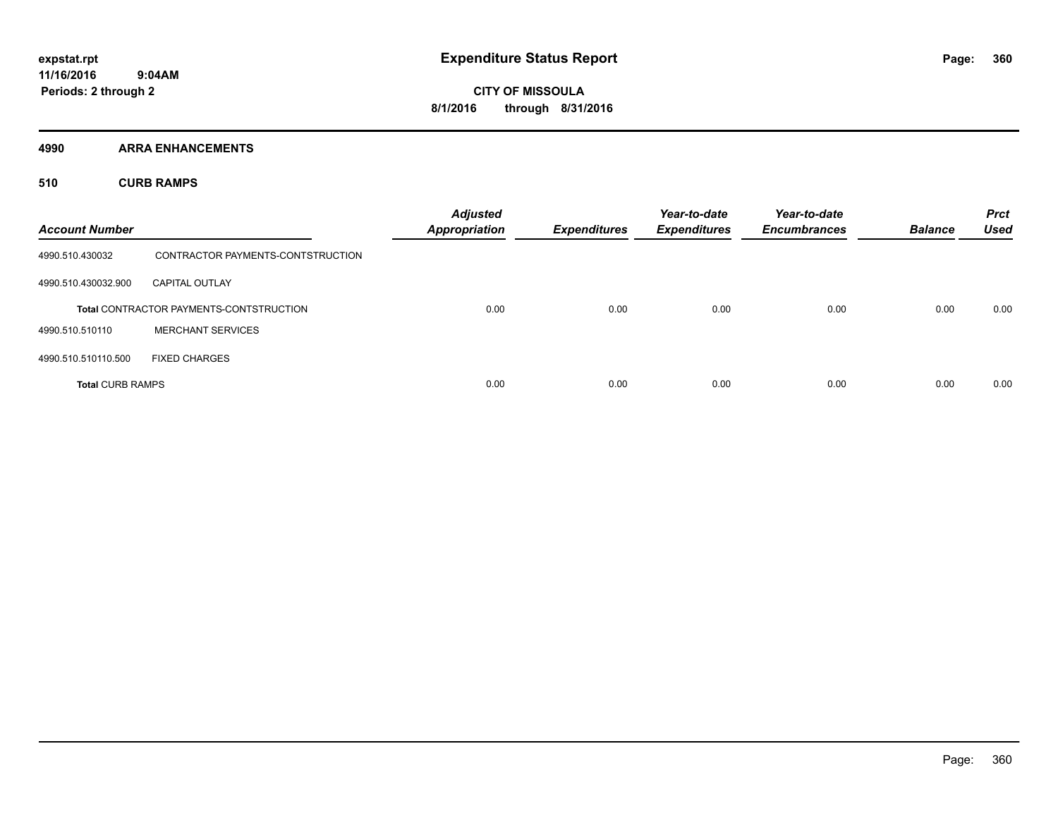**4990 ARRA ENHANCEMENTS**

**510 CURB RAMPS**

| <b>Account Number</b>   |                                                | <b>Adjusted</b><br><b>Appropriation</b> | <b>Expenditures</b> | Year-to-date<br><b>Expenditures</b> | Year-to-date<br><b>Encumbrances</b> | <b>Balance</b> | <b>Prct</b><br><b>Used</b> |
|-------------------------|------------------------------------------------|-----------------------------------------|---------------------|-------------------------------------|-------------------------------------|----------------|----------------------------|
| 4990.510.430032         | CONTRACTOR PAYMENTS-CONTSTRUCTION              |                                         |                     |                                     |                                     |                |                            |
| 4990.510.430032.900     | <b>CAPITAL OUTLAY</b>                          |                                         |                     |                                     |                                     |                |                            |
|                         | <b>Total CONTRACTOR PAYMENTS-CONTSTRUCTION</b> | 0.00                                    | 0.00                | 0.00                                | 0.00                                | 0.00           | 0.00                       |
| 4990.510.510110         | <b>MERCHANT SERVICES</b>                       |                                         |                     |                                     |                                     |                |                            |
| 4990.510.510110.500     | <b>FIXED CHARGES</b>                           |                                         |                     |                                     |                                     |                |                            |
| <b>Total CURB RAMPS</b> |                                                | 0.00                                    | 0.00                | 0.00                                | 0.00                                | 0.00           | 0.00                       |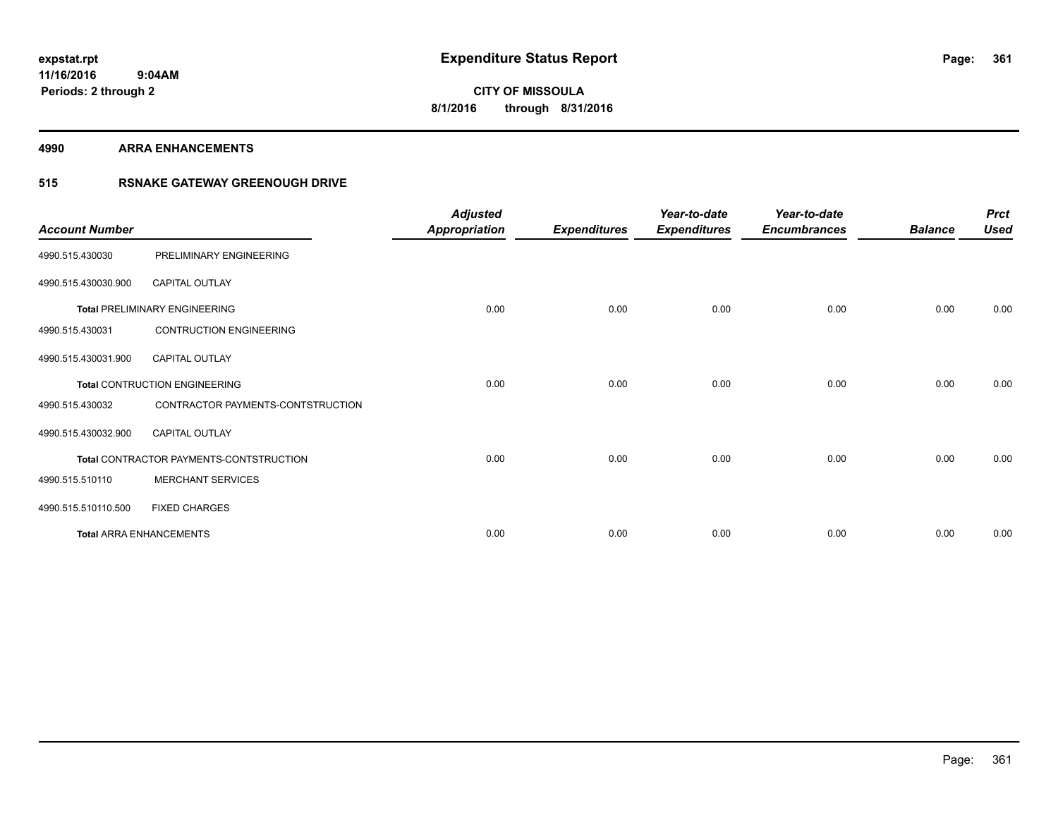**4990 ARRA ENHANCEMENTS**

### **515 RSNAKE GATEWAY GREENOUGH DRIVE**

| <b>Account Number</b> |                                         | <b>Adjusted</b><br><b>Appropriation</b> | <b>Expenditures</b> | Year-to-date<br><b>Expenditures</b> | Year-to-date<br><b>Encumbrances</b> | <b>Balance</b> | <b>Prct</b><br><b>Used</b> |
|-----------------------|-----------------------------------------|-----------------------------------------|---------------------|-------------------------------------|-------------------------------------|----------------|----------------------------|
| 4990.515.430030       | PRELIMINARY ENGINEERING                 |                                         |                     |                                     |                                     |                |                            |
| 4990.515.430030.900   | CAPITAL OUTLAY                          |                                         |                     |                                     |                                     |                |                            |
|                       | <b>Total PRELIMINARY ENGINEERING</b>    | 0.00                                    | 0.00                | 0.00                                | 0.00                                | 0.00           | 0.00                       |
| 4990.515.430031       | <b>CONTRUCTION ENGINEERING</b>          |                                         |                     |                                     |                                     |                |                            |
| 4990.515.430031.900   | <b>CAPITAL OUTLAY</b>                   |                                         |                     |                                     |                                     |                |                            |
|                       | <b>Total CONTRUCTION ENGINEERING</b>    | 0.00                                    | 0.00                | 0.00                                | 0.00                                | 0.00           | 0.00                       |
| 4990.515.430032       | CONTRACTOR PAYMENTS-CONTSTRUCTION       |                                         |                     |                                     |                                     |                |                            |
| 4990.515.430032.900   | <b>CAPITAL OUTLAY</b>                   |                                         |                     |                                     |                                     |                |                            |
|                       | Total CONTRACTOR PAYMENTS-CONTSTRUCTION | 0.00                                    | 0.00                | 0.00                                | 0.00                                | 0.00           | 0.00                       |
| 4990.515.510110       | <b>MERCHANT SERVICES</b>                |                                         |                     |                                     |                                     |                |                            |
| 4990.515.510110.500   | <b>FIXED CHARGES</b>                    |                                         |                     |                                     |                                     |                |                            |
|                       | <b>Total ARRA ENHANCEMENTS</b>          | 0.00                                    | 0.00                | 0.00                                | 0.00                                | 0.00           | 0.00                       |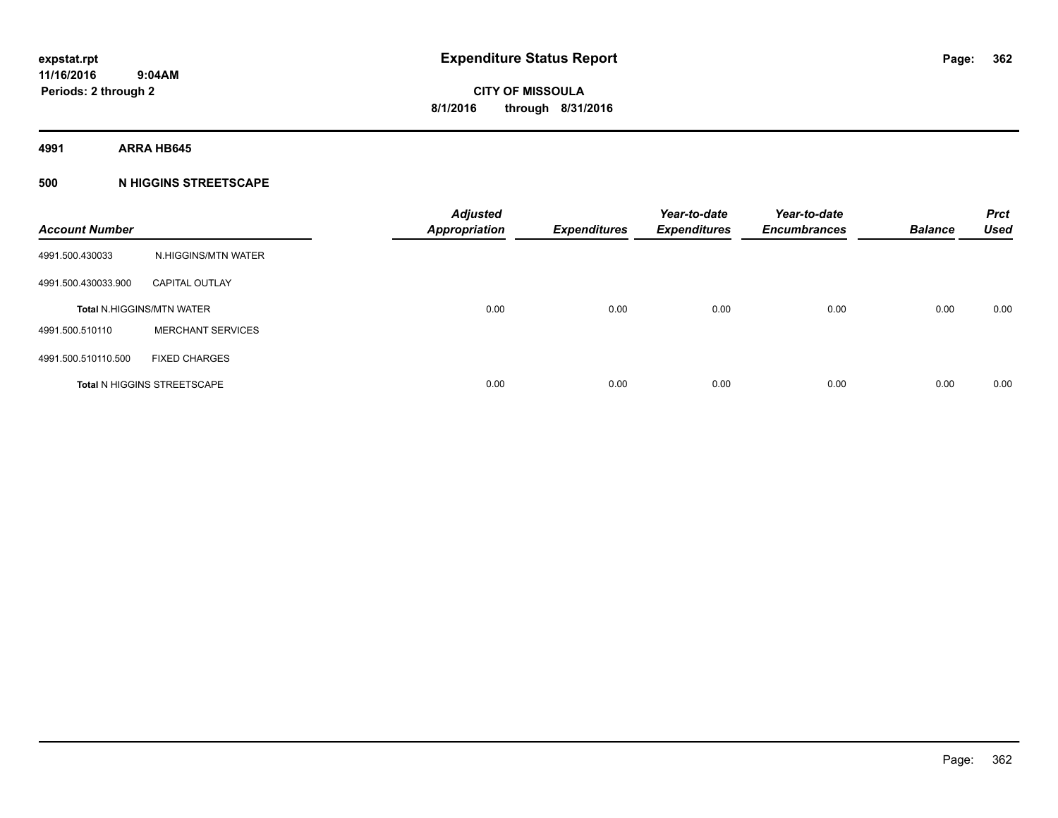**4991 ARRA HB645**

### **500 N HIGGINS STREETSCAPE**

| <b>Account Number</b> |                                    | <b>Adjusted</b><br><b>Appropriation</b> | <b>Expenditures</b> | Year-to-date<br><b>Expenditures</b> | Year-to-date<br><b>Encumbrances</b> | <b>Balance</b> | <b>Prct</b><br><b>Used</b> |
|-----------------------|------------------------------------|-----------------------------------------|---------------------|-------------------------------------|-------------------------------------|----------------|----------------------------|
| 4991.500.430033       | N.HIGGINS/MTN WATER                |                                         |                     |                                     |                                     |                |                            |
| 4991.500.430033.900   | <b>CAPITAL OUTLAY</b>              |                                         |                     |                                     |                                     |                |                            |
|                       | <b>Total N.HIGGINS/MTN WATER</b>   | 0.00                                    | 0.00                | 0.00                                | 0.00                                | 0.00           | 0.00                       |
| 4991.500.510110       | <b>MERCHANT SERVICES</b>           |                                         |                     |                                     |                                     |                |                            |
| 4991.500.510110.500   | <b>FIXED CHARGES</b>               |                                         |                     |                                     |                                     |                |                            |
|                       | <b>Total N HIGGINS STREETSCAPE</b> | 0.00                                    | 0.00                | 0.00                                | 0.00                                | 0.00           | 0.00                       |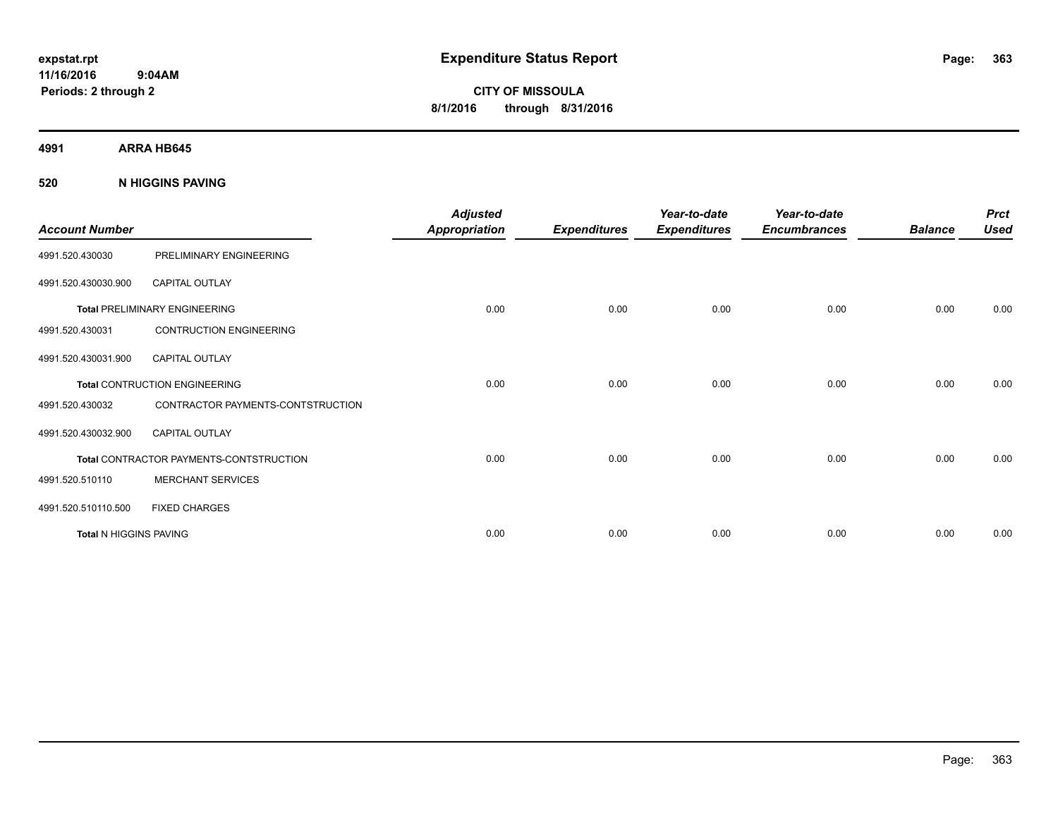# **CITY OF MISSOULA 8/1/2016 through 8/31/2016**

**4991 ARRA HB645**

### **520 N HIGGINS PAVING**

| <b>Account Number</b>  |                                                | <b>Adjusted</b><br><b>Appropriation</b> | <b>Expenditures</b> | Year-to-date<br><b>Expenditures</b> | Year-to-date<br><b>Encumbrances</b> | <b>Balance</b> | <b>Prct</b><br><b>Used</b> |
|------------------------|------------------------------------------------|-----------------------------------------|---------------------|-------------------------------------|-------------------------------------|----------------|----------------------------|
| 4991.520.430030        | PRELIMINARY ENGINEERING                        |                                         |                     |                                     |                                     |                |                            |
| 4991.520.430030.900    | <b>CAPITAL OUTLAY</b>                          |                                         |                     |                                     |                                     |                |                            |
|                        | <b>Total PRELIMINARY ENGINEERING</b>           | 0.00                                    | 0.00                | 0.00                                | 0.00                                | 0.00           | 0.00                       |
| 4991.520.430031        | <b>CONTRUCTION ENGINEERING</b>                 |                                         |                     |                                     |                                     |                |                            |
| 4991.520.430031.900    | <b>CAPITAL OUTLAY</b>                          |                                         |                     |                                     |                                     |                |                            |
|                        | <b>Total CONTRUCTION ENGINEERING</b>           | 0.00                                    | 0.00                | 0.00                                | 0.00                                | 0.00           | 0.00                       |
| 4991.520.430032        | CONTRACTOR PAYMENTS-CONTSTRUCTION              |                                         |                     |                                     |                                     |                |                            |
| 4991.520.430032.900    | <b>CAPITAL OUTLAY</b>                          |                                         |                     |                                     |                                     |                |                            |
|                        | <b>Total CONTRACTOR PAYMENTS-CONTSTRUCTION</b> | 0.00                                    | 0.00                | 0.00                                | 0.00                                | 0.00           | 0.00                       |
| 4991.520.510110        | <b>MERCHANT SERVICES</b>                       |                                         |                     |                                     |                                     |                |                            |
| 4991.520.510110.500    | <b>FIXED CHARGES</b>                           |                                         |                     |                                     |                                     |                |                            |
| Total N HIGGINS PAVING |                                                | 0.00                                    | 0.00                | 0.00                                | 0.00                                | 0.00           | 0.00                       |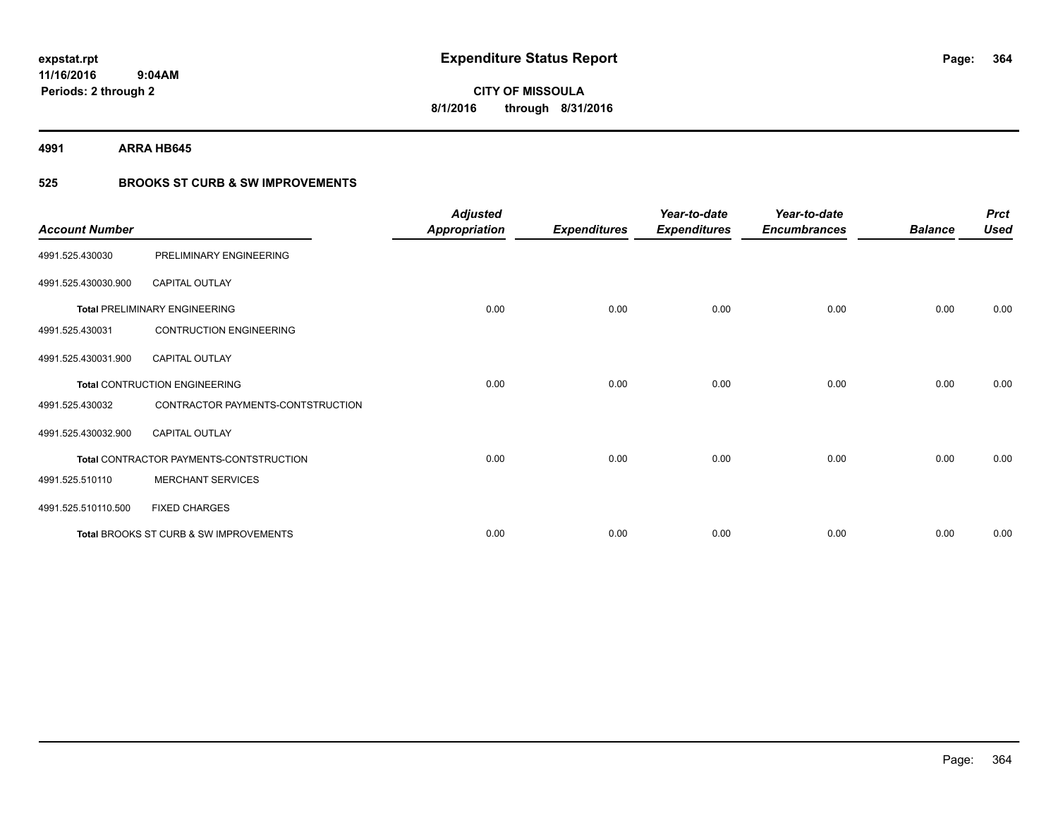**4991 ARRA HB645**

### **525 BROOKS ST CURB & SW IMPROVEMENTS**

| <b>Account Number</b> |                                         | <b>Adjusted</b><br><b>Appropriation</b> | <b>Expenditures</b> | Year-to-date<br><b>Expenditures</b> | Year-to-date<br><b>Encumbrances</b> | <b>Balance</b> | <b>Prct</b><br><b>Used</b> |
|-----------------------|-----------------------------------------|-----------------------------------------|---------------------|-------------------------------------|-------------------------------------|----------------|----------------------------|
| 4991.525.430030       | PRELIMINARY ENGINEERING                 |                                         |                     |                                     |                                     |                |                            |
| 4991.525.430030.900   | <b>CAPITAL OUTLAY</b>                   |                                         |                     |                                     |                                     |                |                            |
|                       | <b>Total PRELIMINARY ENGINEERING</b>    | 0.00                                    | 0.00                | 0.00                                | 0.00                                | 0.00           | 0.00                       |
| 4991.525.430031       | <b>CONTRUCTION ENGINEERING</b>          |                                         |                     |                                     |                                     |                |                            |
| 4991.525.430031.900   | <b>CAPITAL OUTLAY</b>                   |                                         |                     |                                     |                                     |                |                            |
|                       | Total CONTRUCTION ENGINEERING           | 0.00                                    | 0.00                | 0.00                                | 0.00                                | 0.00           | 0.00                       |
| 4991.525.430032       | CONTRACTOR PAYMENTS-CONTSTRUCTION       |                                         |                     |                                     |                                     |                |                            |
| 4991.525.430032.900   | <b>CAPITAL OUTLAY</b>                   |                                         |                     |                                     |                                     |                |                            |
|                       | Total CONTRACTOR PAYMENTS-CONTSTRUCTION | 0.00                                    | 0.00                | 0.00                                | 0.00                                | 0.00           | 0.00                       |
| 4991.525.510110       | <b>MERCHANT SERVICES</b>                |                                         |                     |                                     |                                     |                |                            |
| 4991.525.510110.500   | <b>FIXED CHARGES</b>                    |                                         |                     |                                     |                                     |                |                            |
|                       | Total BROOKS ST CURB & SW IMPROVEMENTS  | 0.00                                    | 0.00                | 0.00                                | 0.00                                | 0.00           | 0.00                       |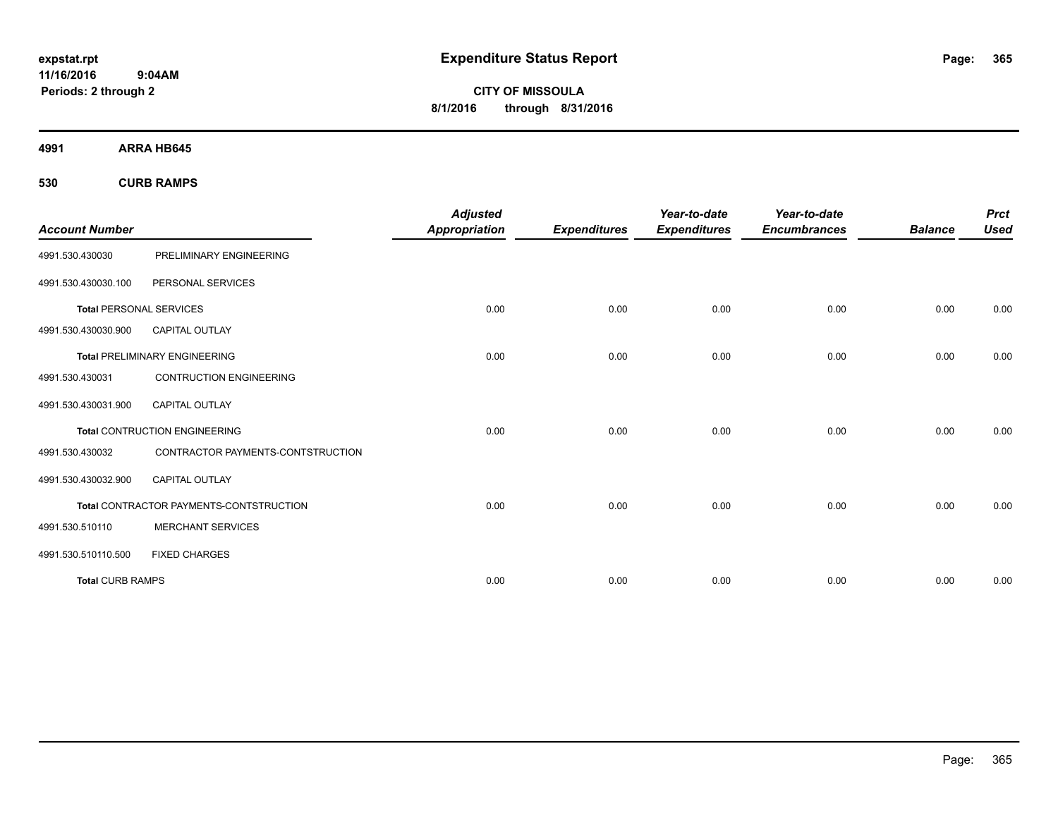**CITY OF MISSOULA 8/1/2016 through 8/31/2016**

**4991 ARRA HB645**

**530 CURB RAMPS**

|                                |                                         | <b>Adjusted</b>      |                     | Year-to-date        | Year-to-date        |                | <b>Prct</b> |
|--------------------------------|-----------------------------------------|----------------------|---------------------|---------------------|---------------------|----------------|-------------|
| <b>Account Number</b>          |                                         | <b>Appropriation</b> | <b>Expenditures</b> | <b>Expenditures</b> | <b>Encumbrances</b> | <b>Balance</b> | <b>Used</b> |
| 4991.530.430030                | PRELIMINARY ENGINEERING                 |                      |                     |                     |                     |                |             |
| 4991.530.430030.100            | PERSONAL SERVICES                       |                      |                     |                     |                     |                |             |
| <b>Total PERSONAL SERVICES</b> |                                         | 0.00                 | 0.00                | 0.00                | 0.00                | 0.00           | 0.00        |
| 4991.530.430030.900            | <b>CAPITAL OUTLAY</b>                   |                      |                     |                     |                     |                |             |
|                                | <b>Total PRELIMINARY ENGINEERING</b>    | 0.00                 | 0.00                | 0.00                | 0.00                | 0.00           | 0.00        |
| 4991.530.430031                | <b>CONTRUCTION ENGINEERING</b>          |                      |                     |                     |                     |                |             |
| 4991.530.430031.900            | CAPITAL OUTLAY                          |                      |                     |                     |                     |                |             |
|                                | <b>Total CONTRUCTION ENGINEERING</b>    | 0.00                 | 0.00                | 0.00                | 0.00                | 0.00           | 0.00        |
| 4991.530.430032                | CONTRACTOR PAYMENTS-CONTSTRUCTION       |                      |                     |                     |                     |                |             |
| 4991.530.430032.900            | <b>CAPITAL OUTLAY</b>                   |                      |                     |                     |                     |                |             |
|                                | Total CONTRACTOR PAYMENTS-CONTSTRUCTION | 0.00                 | 0.00                | 0.00                | 0.00                | 0.00           | 0.00        |
| 4991.530.510110                | <b>MERCHANT SERVICES</b>                |                      |                     |                     |                     |                |             |
| 4991.530.510110.500            | <b>FIXED CHARGES</b>                    |                      |                     |                     |                     |                |             |
| <b>Total CURB RAMPS</b>        |                                         | 0.00                 | 0.00                | 0.00                | 0.00                | 0.00           | 0.00        |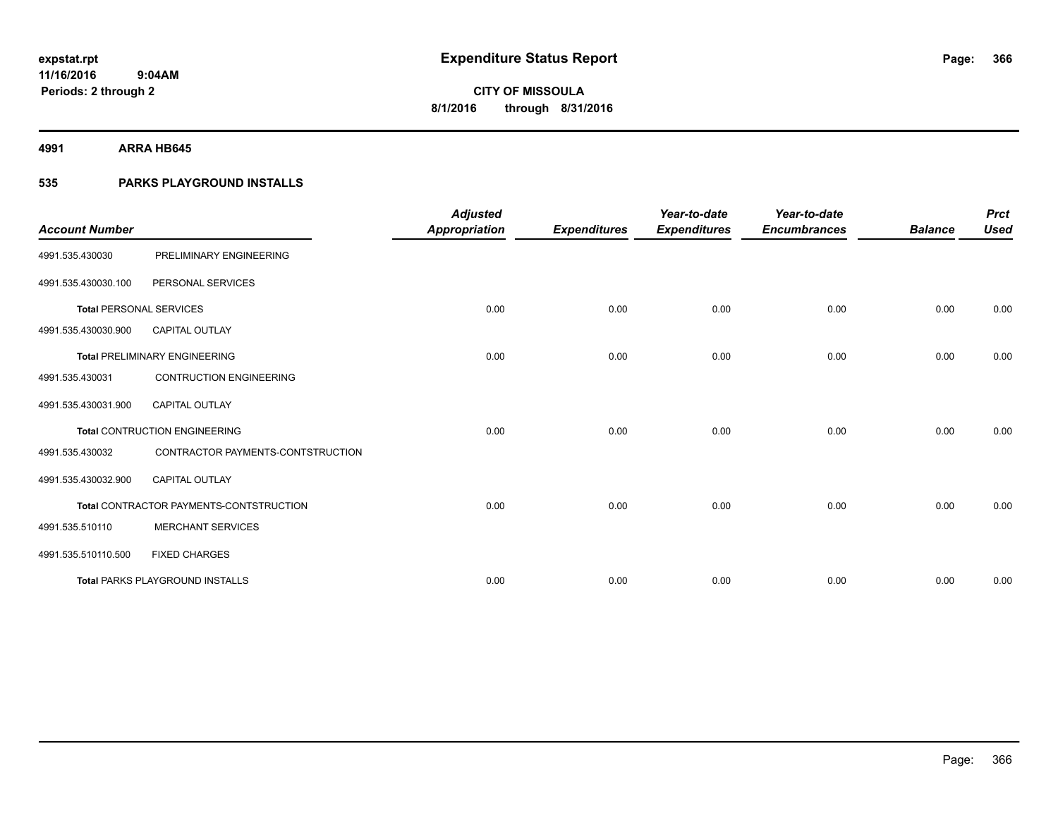**4991 ARRA HB645**

### **535 PARKS PLAYGROUND INSTALLS**

| <b>Account Number</b>          |                                         | <b>Adjusted</b><br><b>Appropriation</b> | <b>Expenditures</b> | Year-to-date<br><b>Expenditures</b> | Year-to-date<br><b>Encumbrances</b> | <b>Balance</b> | <b>Prct</b><br><b>Used</b> |
|--------------------------------|-----------------------------------------|-----------------------------------------|---------------------|-------------------------------------|-------------------------------------|----------------|----------------------------|
| 4991.535.430030                | PRELIMINARY ENGINEERING                 |                                         |                     |                                     |                                     |                |                            |
| 4991.535.430030.100            | PERSONAL SERVICES                       |                                         |                     |                                     |                                     |                |                            |
| <b>Total PERSONAL SERVICES</b> |                                         | 0.00                                    | 0.00                | 0.00                                | 0.00                                | 0.00           | 0.00                       |
| 4991.535.430030.900            | CAPITAL OUTLAY                          |                                         |                     |                                     |                                     |                |                            |
|                                | <b>Total PRELIMINARY ENGINEERING</b>    | 0.00                                    | 0.00                | 0.00                                | 0.00                                | 0.00           | 0.00                       |
| 4991.535.430031                | <b>CONTRUCTION ENGINEERING</b>          |                                         |                     |                                     |                                     |                |                            |
| 4991.535.430031.900            | <b>CAPITAL OUTLAY</b>                   |                                         |                     |                                     |                                     |                |                            |
|                                | <b>Total CONTRUCTION ENGINEERING</b>    | 0.00                                    | 0.00                | 0.00                                | 0.00                                | 0.00           | 0.00                       |
| 4991.535.430032                | CONTRACTOR PAYMENTS-CONTSTRUCTION       |                                         |                     |                                     |                                     |                |                            |
| 4991.535.430032.900            | <b>CAPITAL OUTLAY</b>                   |                                         |                     |                                     |                                     |                |                            |
|                                | Total CONTRACTOR PAYMENTS-CONTSTRUCTION | 0.00                                    | 0.00                | 0.00                                | 0.00                                | 0.00           | 0.00                       |
| 4991.535.510110                | <b>MERCHANT SERVICES</b>                |                                         |                     |                                     |                                     |                |                            |
| 4991.535.510110.500            | <b>FIXED CHARGES</b>                    |                                         |                     |                                     |                                     |                |                            |
|                                | <b>Total PARKS PLAYGROUND INSTALLS</b>  | 0.00                                    | 0.00                | 0.00                                | 0.00                                | 0.00           | 0.00                       |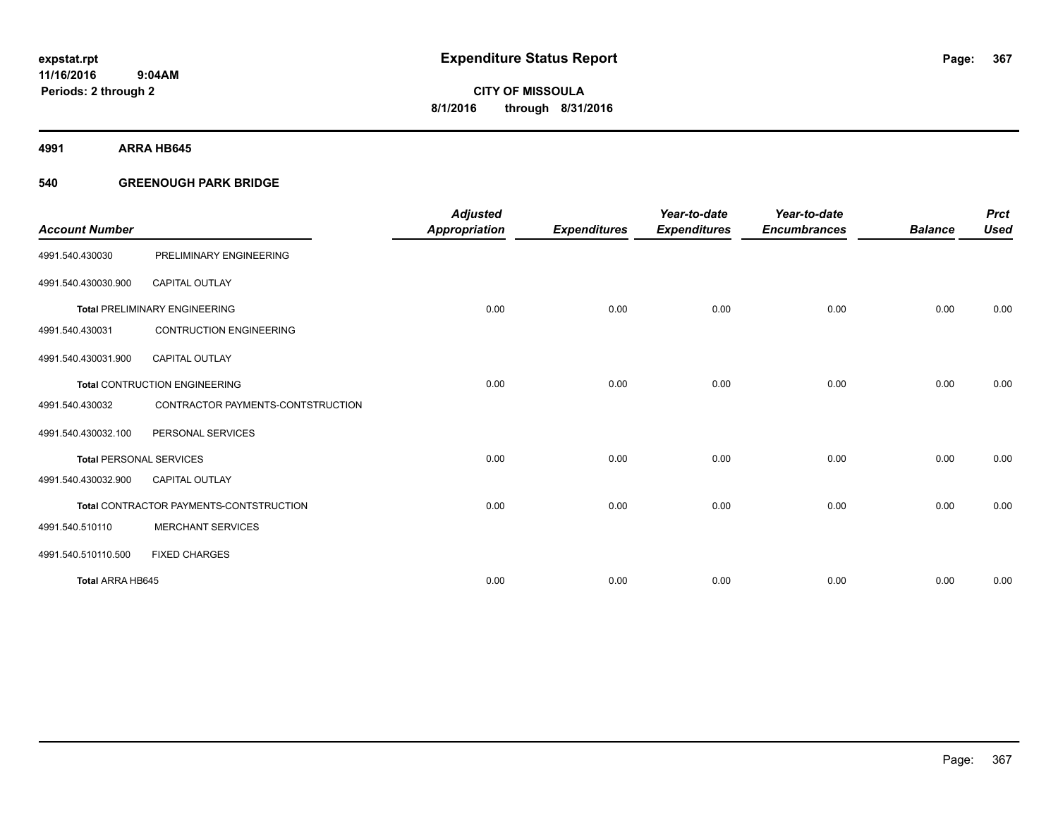**4991 ARRA HB645**

### **540 GREENOUGH PARK BRIDGE**

| <b>Account Number</b>          |                                         | <b>Adjusted</b><br><b>Appropriation</b> | <b>Expenditures</b> | Year-to-date<br><b>Expenditures</b> | Year-to-date<br><b>Encumbrances</b> | <b>Balance</b> | <b>Prct</b><br><b>Used</b> |
|--------------------------------|-----------------------------------------|-----------------------------------------|---------------------|-------------------------------------|-------------------------------------|----------------|----------------------------|
| 4991.540.430030                | PRELIMINARY ENGINEERING                 |                                         |                     |                                     |                                     |                |                            |
| 4991.540.430030.900            | <b>CAPITAL OUTLAY</b>                   |                                         |                     |                                     |                                     |                |                            |
|                                | <b>Total PRELIMINARY ENGINEERING</b>    | 0.00                                    | 0.00                | 0.00                                | 0.00                                | 0.00           | 0.00                       |
| 4991.540.430031                | <b>CONTRUCTION ENGINEERING</b>          |                                         |                     |                                     |                                     |                |                            |
| 4991.540.430031.900            | <b>CAPITAL OUTLAY</b>                   |                                         |                     |                                     |                                     |                |                            |
|                                | <b>Total CONTRUCTION ENGINEERING</b>    | 0.00                                    | 0.00                | 0.00                                | 0.00                                | 0.00           | 0.00                       |
| 4991.540.430032                | CONTRACTOR PAYMENTS-CONTSTRUCTION       |                                         |                     |                                     |                                     |                |                            |
| 4991.540.430032.100            | PERSONAL SERVICES                       |                                         |                     |                                     |                                     |                |                            |
| <b>Total PERSONAL SERVICES</b> |                                         | 0.00                                    | 0.00                | 0.00                                | 0.00                                | 0.00           | 0.00                       |
| 4991.540.430032.900            | <b>CAPITAL OUTLAY</b>                   |                                         |                     |                                     |                                     |                |                            |
|                                | Total CONTRACTOR PAYMENTS-CONTSTRUCTION | 0.00                                    | 0.00                | 0.00                                | 0.00                                | 0.00           | 0.00                       |
| 4991.540.510110                | <b>MERCHANT SERVICES</b>                |                                         |                     |                                     |                                     |                |                            |
| 4991.540.510110.500            | <b>FIXED CHARGES</b>                    |                                         |                     |                                     |                                     |                |                            |
| Total ARRA HB645               |                                         | 0.00                                    | 0.00                | 0.00                                | 0.00                                | 0.00           | 0.00                       |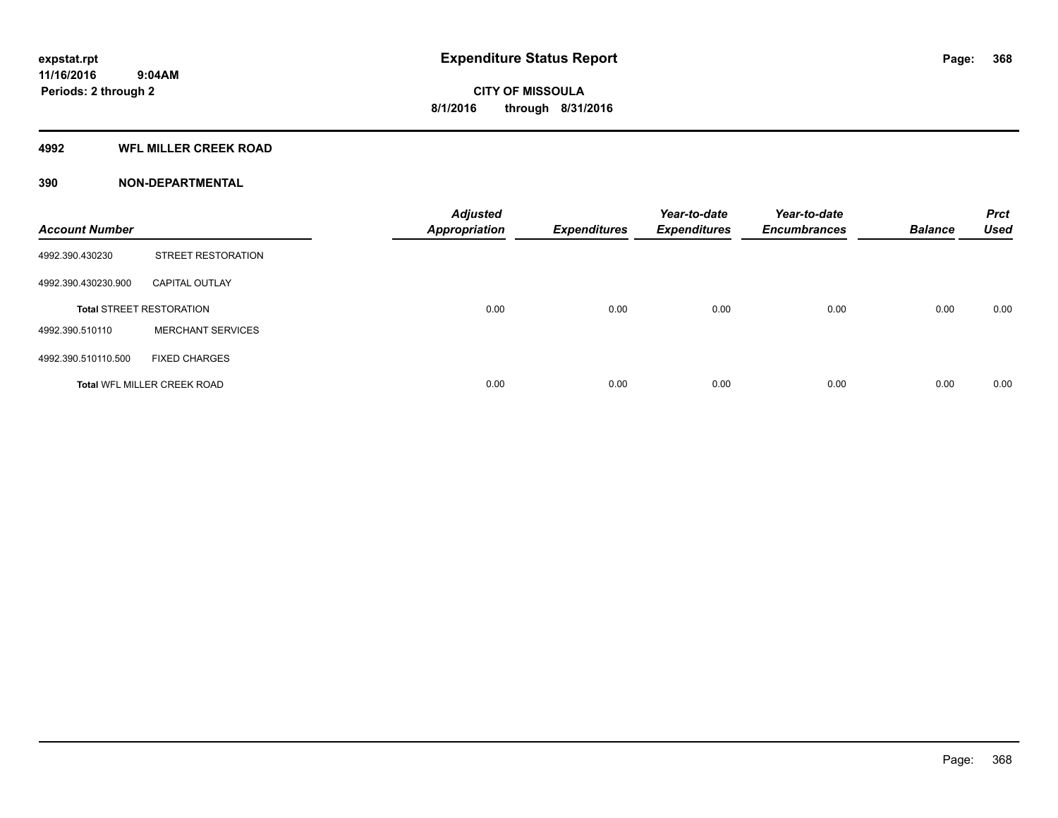### **4992 WFL MILLER CREEK ROAD**

### **390 NON-DEPARTMENTAL**

| <b>Account Number</b> |                                    | <b>Adjusted</b><br><b>Appropriation</b> | <b>Expenditures</b> | Year-to-date<br><b>Expenditures</b> | Year-to-date<br><b>Encumbrances</b> | <b>Balance</b> | <b>Prct</b><br><b>Used</b> |
|-----------------------|------------------------------------|-----------------------------------------|---------------------|-------------------------------------|-------------------------------------|----------------|----------------------------|
| 4992.390.430230       | <b>STREET RESTORATION</b>          |                                         |                     |                                     |                                     |                |                            |
| 4992.390.430230.900   | <b>CAPITAL OUTLAY</b>              |                                         |                     |                                     |                                     |                |                            |
|                       | <b>Total STREET RESTORATION</b>    | 0.00                                    | 0.00                | 0.00                                | 0.00                                | 0.00           | 0.00                       |
| 4992.390.510110       | <b>MERCHANT SERVICES</b>           |                                         |                     |                                     |                                     |                |                            |
| 4992.390.510110.500   | <b>FIXED CHARGES</b>               |                                         |                     |                                     |                                     |                |                            |
|                       | <b>Total WFL MILLER CREEK ROAD</b> | 0.00                                    | 0.00                | 0.00                                | 0.00                                | 0.00           | 0.00                       |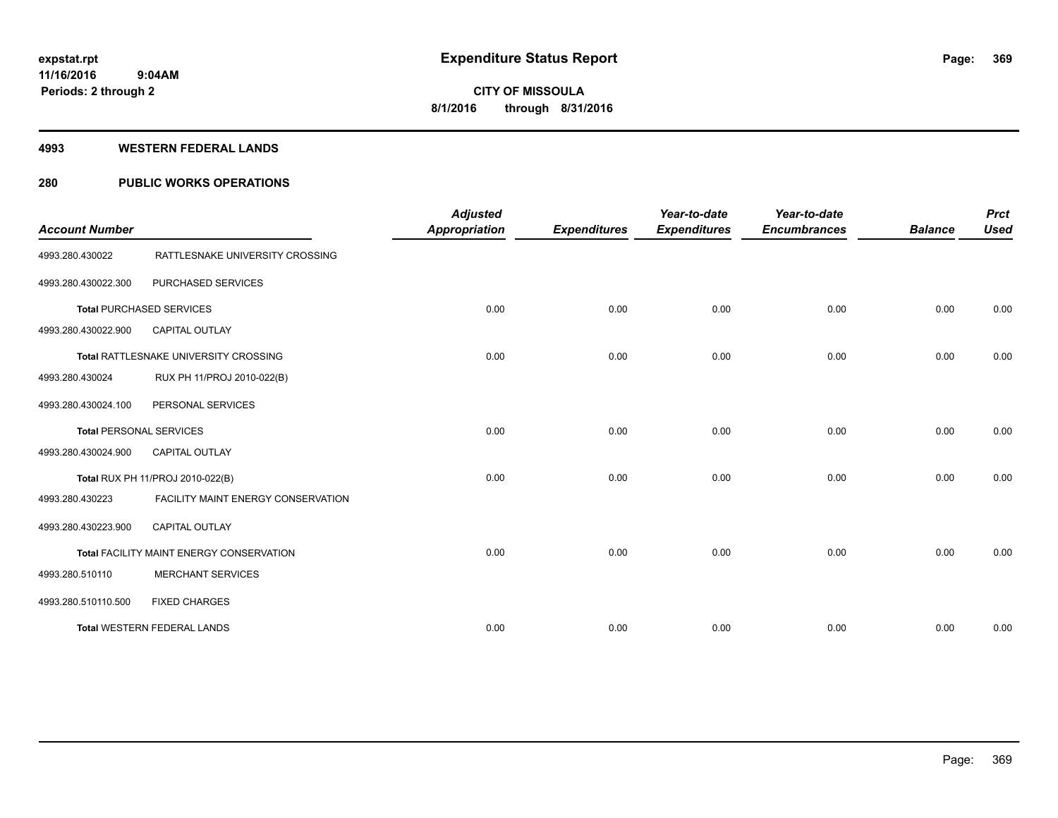#### **4993 WESTERN FEDERAL LANDS**

### **280 PUBLIC WORKS OPERATIONS**

| <b>Account Number</b> |                                          | <b>Adjusted</b><br><b>Appropriation</b> | <b>Expenditures</b> | Year-to-date<br><b>Expenditures</b> | Year-to-date<br><b>Encumbrances</b> | <b>Balance</b> | <b>Prct</b><br><b>Used</b> |
|-----------------------|------------------------------------------|-----------------------------------------|---------------------|-------------------------------------|-------------------------------------|----------------|----------------------------|
| 4993.280.430022       | RATTLESNAKE UNIVERSITY CROSSING          |                                         |                     |                                     |                                     |                |                            |
| 4993.280.430022.300   | PURCHASED SERVICES                       |                                         |                     |                                     |                                     |                |                            |
|                       | <b>Total PURCHASED SERVICES</b>          | 0.00                                    | 0.00                | 0.00                                | 0.00                                | 0.00           | 0.00                       |
| 4993.280.430022.900   | CAPITAL OUTLAY                           |                                         |                     |                                     |                                     |                |                            |
|                       | Total RATTLESNAKE UNIVERSITY CROSSING    | 0.00                                    | 0.00                | 0.00                                | 0.00                                | 0.00           | 0.00                       |
| 4993.280.430024       | RUX PH 11/PROJ 2010-022(B)               |                                         |                     |                                     |                                     |                |                            |
| 4993.280.430024.100   | PERSONAL SERVICES                        |                                         |                     |                                     |                                     |                |                            |
|                       | <b>Total PERSONAL SERVICES</b>           | 0.00                                    | 0.00                | 0.00                                | 0.00                                | 0.00           | 0.00                       |
| 4993.280.430024.900   | <b>CAPITAL OUTLAY</b>                    |                                         |                     |                                     |                                     |                |                            |
|                       | Total RUX PH 11/PROJ 2010-022(B)         | 0.00                                    | 0.00                | 0.00                                | 0.00                                | 0.00           | 0.00                       |
| 4993.280.430223       | FACILITY MAINT ENERGY CONSERVATION       |                                         |                     |                                     |                                     |                |                            |
| 4993.280.430223.900   | <b>CAPITAL OUTLAY</b>                    |                                         |                     |                                     |                                     |                |                            |
|                       | Total FACILITY MAINT ENERGY CONSERVATION | 0.00                                    | 0.00                | 0.00                                | 0.00                                | 0.00           | 0.00                       |
| 4993.280.510110       | <b>MERCHANT SERVICES</b>                 |                                         |                     |                                     |                                     |                |                            |
| 4993.280.510110.500   | <b>FIXED CHARGES</b>                     |                                         |                     |                                     |                                     |                |                            |
|                       | <b>Total WESTERN FEDERAL LANDS</b>       | 0.00                                    | 0.00                | 0.00                                | 0.00                                | 0.00           | 0.00                       |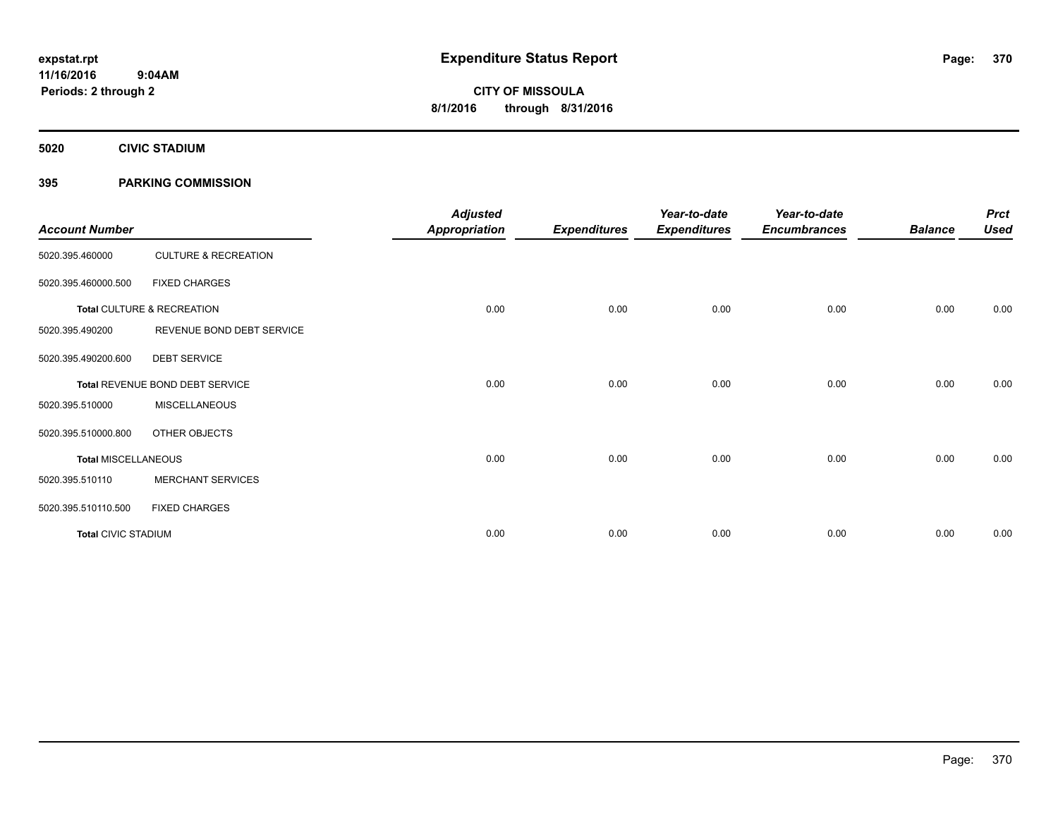**Periods: 2 through 2**

**CITY OF MISSOULA 8/1/2016 through 8/31/2016**

**5020 CIVIC STADIUM**

### **395 PARKING COMMISSION**

| <b>Account Number</b>      |                                 | <b>Adjusted</b><br><b>Appropriation</b> | <b>Expenditures</b> | Year-to-date<br><b>Expenditures</b> | Year-to-date<br><b>Encumbrances</b> | <b>Balance</b> | <b>Prct</b><br><b>Used</b> |
|----------------------------|---------------------------------|-----------------------------------------|---------------------|-------------------------------------|-------------------------------------|----------------|----------------------------|
| 5020.395.460000            | <b>CULTURE &amp; RECREATION</b> |                                         |                     |                                     |                                     |                |                            |
| 5020.395.460000.500        | <b>FIXED CHARGES</b>            |                                         |                     |                                     |                                     |                |                            |
|                            | Total CULTURE & RECREATION      | 0.00                                    | 0.00                | 0.00                                | 0.00                                | 0.00           | 0.00                       |
| 5020.395.490200            | REVENUE BOND DEBT SERVICE       |                                         |                     |                                     |                                     |                |                            |
| 5020.395.490200.600        | <b>DEBT SERVICE</b>             |                                         |                     |                                     |                                     |                |                            |
|                            | Total REVENUE BOND DEBT SERVICE | 0.00                                    | 0.00                | 0.00                                | 0.00                                | 0.00           | 0.00                       |
| 5020.395.510000            | <b>MISCELLANEOUS</b>            |                                         |                     |                                     |                                     |                |                            |
| 5020.395.510000.800        | OTHER OBJECTS                   |                                         |                     |                                     |                                     |                |                            |
| <b>Total MISCELLANEOUS</b> |                                 | 0.00                                    | 0.00                | 0.00                                | 0.00                                | 0.00           | 0.00                       |
| 5020.395.510110            | <b>MERCHANT SERVICES</b>        |                                         |                     |                                     |                                     |                |                            |
| 5020.395.510110.500        | <b>FIXED CHARGES</b>            |                                         |                     |                                     |                                     |                |                            |
| <b>Total CIVIC STADIUM</b> |                                 | 0.00                                    | 0.00                | 0.00                                | 0.00                                | 0.00           | 0.00                       |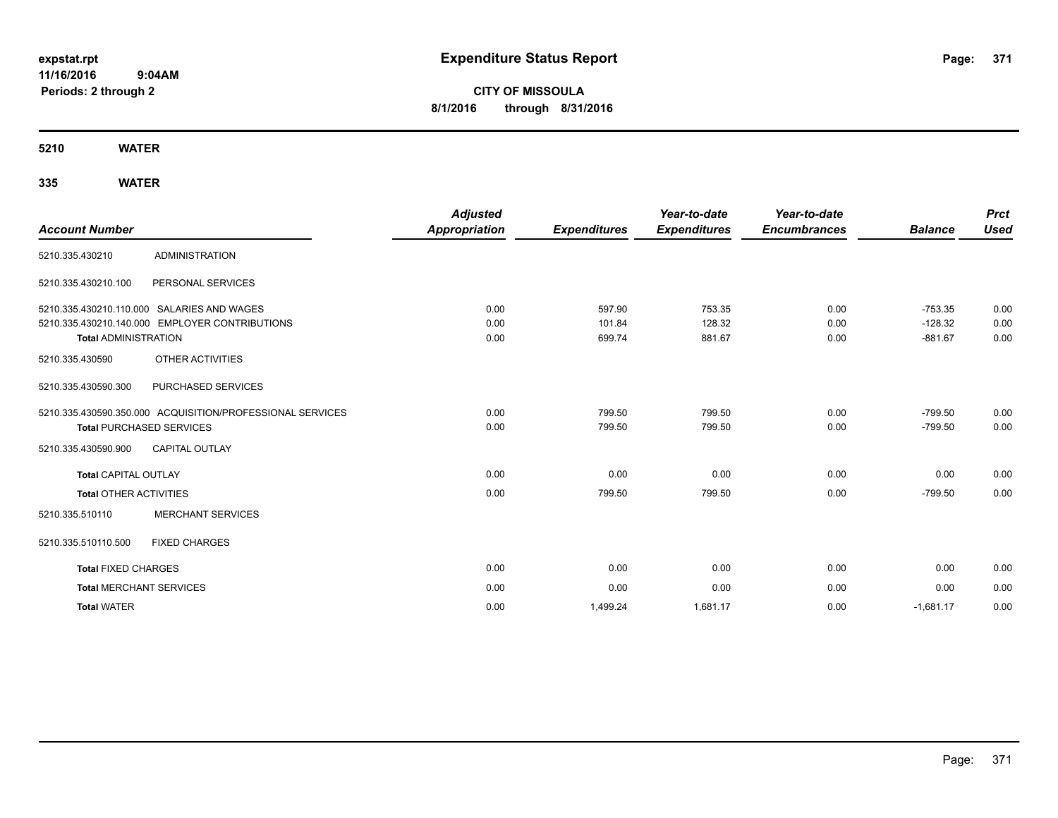# **CITY OF MISSOULA 8/1/2016 through 8/31/2016**

**5210 WATER**

| <b>Account Number</b>          |                                                           | <b>Adjusted</b><br><b>Appropriation</b> | <b>Expenditures</b> | Year-to-date<br><b>Expenditures</b> | Year-to-date<br><b>Encumbrances</b> | <b>Balance</b> | <b>Prct</b><br><b>Used</b> |
|--------------------------------|-----------------------------------------------------------|-----------------------------------------|---------------------|-------------------------------------|-------------------------------------|----------------|----------------------------|
| 5210.335.430210                | <b>ADMINISTRATION</b>                                     |                                         |                     |                                     |                                     |                |                            |
| 5210.335.430210.100            | PERSONAL SERVICES                                         |                                         |                     |                                     |                                     |                |                            |
|                                | 5210.335.430210.110.000 SALARIES AND WAGES                | 0.00                                    | 597.90              | 753.35                              | 0.00                                | $-753.35$      | 0.00                       |
|                                | 5210.335.430210.140.000 EMPLOYER CONTRIBUTIONS            | 0.00                                    | 101.84              | 128.32                              | 0.00                                | $-128.32$      | 0.00                       |
| <b>Total ADMINISTRATION</b>    |                                                           | 0.00                                    | 699.74              | 881.67                              | 0.00                                | $-881.67$      | 0.00                       |
| 5210.335.430590                | OTHER ACTIVITIES                                          |                                         |                     |                                     |                                     |                |                            |
| 5210.335.430590.300            | PURCHASED SERVICES                                        |                                         |                     |                                     |                                     |                |                            |
|                                | 5210.335.430590.350.000 ACQUISITION/PROFESSIONAL SERVICES | 0.00                                    | 799.50              | 799.50                              | 0.00                                | $-799.50$      | 0.00                       |
|                                | <b>Total PURCHASED SERVICES</b>                           | 0.00                                    | 799.50              | 799.50                              | 0.00                                | $-799.50$      | 0.00                       |
| 5210.335.430590.900            | <b>CAPITAL OUTLAY</b>                                     |                                         |                     |                                     |                                     |                |                            |
| <b>Total CAPITAL OUTLAY</b>    |                                                           | 0.00                                    | 0.00                | 0.00                                | 0.00                                | 0.00           | 0.00                       |
| <b>Total OTHER ACTIVITIES</b>  |                                                           | 0.00                                    | 799.50              | 799.50                              | 0.00                                | $-799.50$      | 0.00                       |
| 5210.335.510110                | <b>MERCHANT SERVICES</b>                                  |                                         |                     |                                     |                                     |                |                            |
| 5210.335.510110.500            | <b>FIXED CHARGES</b>                                      |                                         |                     |                                     |                                     |                |                            |
| <b>Total FIXED CHARGES</b>     |                                                           | 0.00                                    | 0.00                | 0.00                                | 0.00                                | 0.00           | 0.00                       |
| <b>Total MERCHANT SERVICES</b> |                                                           | 0.00                                    | 0.00                | 0.00                                | 0.00                                | 0.00           | 0.00                       |
| <b>Total WATER</b>             |                                                           | 0.00                                    | 1,499.24            | 1,681.17                            | 0.00                                | $-1,681.17$    | 0.00                       |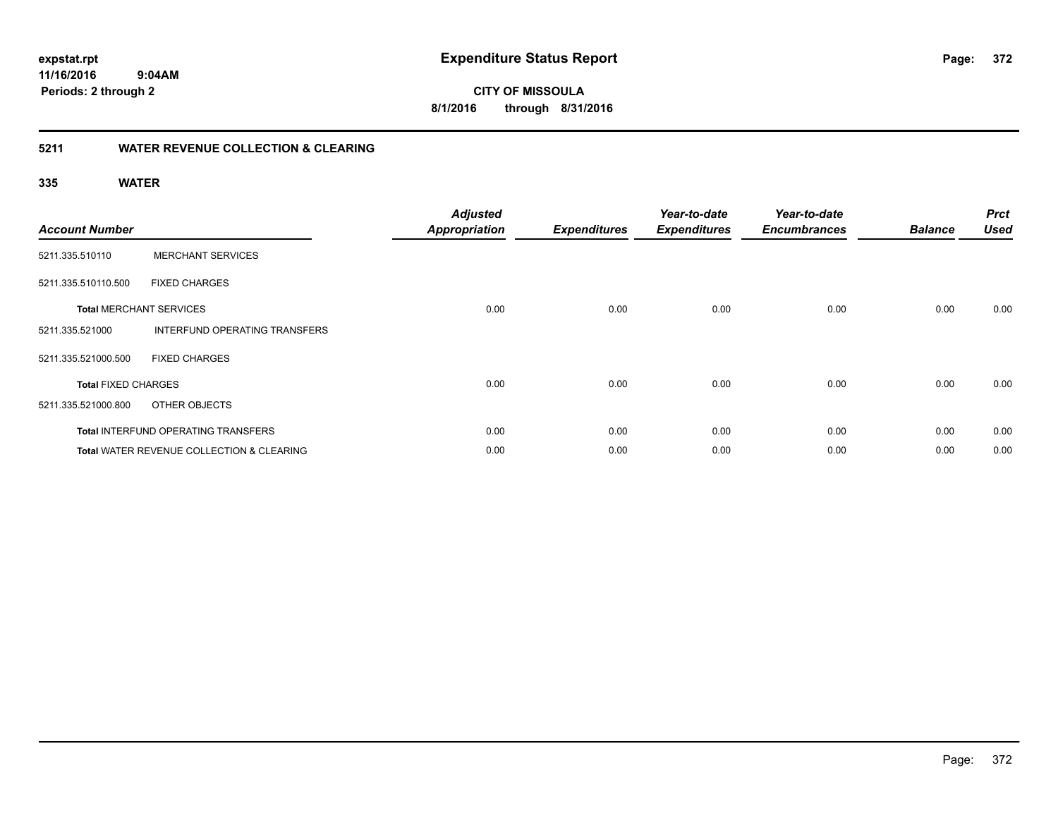**372**

**11/16/2016 9:04AM Periods: 2 through 2**

**CITY OF MISSOULA 8/1/2016 through 8/31/2016**

### **5211 WATER REVENUE COLLECTION & CLEARING**

| <b>Account Number</b>      |                                            | <b>Adjusted</b><br><b>Appropriation</b> | <b>Expenditures</b> | Year-to-date<br><b>Expenditures</b> | Year-to-date<br><b>Encumbrances</b> | <b>Balance</b> | <b>Prct</b><br><b>Used</b> |
|----------------------------|--------------------------------------------|-----------------------------------------|---------------------|-------------------------------------|-------------------------------------|----------------|----------------------------|
| 5211.335.510110            | <b>MERCHANT SERVICES</b>                   |                                         |                     |                                     |                                     |                |                            |
| 5211.335.510110.500        | <b>FIXED CHARGES</b>                       |                                         |                     |                                     |                                     |                |                            |
|                            | <b>Total MERCHANT SERVICES</b>             | 0.00                                    | 0.00                | 0.00                                | 0.00                                | 0.00           | 0.00                       |
| 5211.335.521000            | INTERFUND OPERATING TRANSFERS              |                                         |                     |                                     |                                     |                |                            |
| 5211.335.521000.500        | <b>FIXED CHARGES</b>                       |                                         |                     |                                     |                                     |                |                            |
| <b>Total FIXED CHARGES</b> |                                            | 0.00                                    | 0.00                | 0.00                                | 0.00                                | 0.00           | 0.00                       |
| 5211.335.521000.800        | OTHER OBJECTS                              |                                         |                     |                                     |                                     |                |                            |
|                            | <b>Total INTERFUND OPERATING TRANSFERS</b> | 0.00                                    | 0.00                | 0.00                                | 0.00                                | 0.00           | 0.00                       |
|                            | Total WATER REVENUE COLLECTION & CLEARING  | 0.00                                    | 0.00                | 0.00                                | 0.00                                | 0.00           | 0.00                       |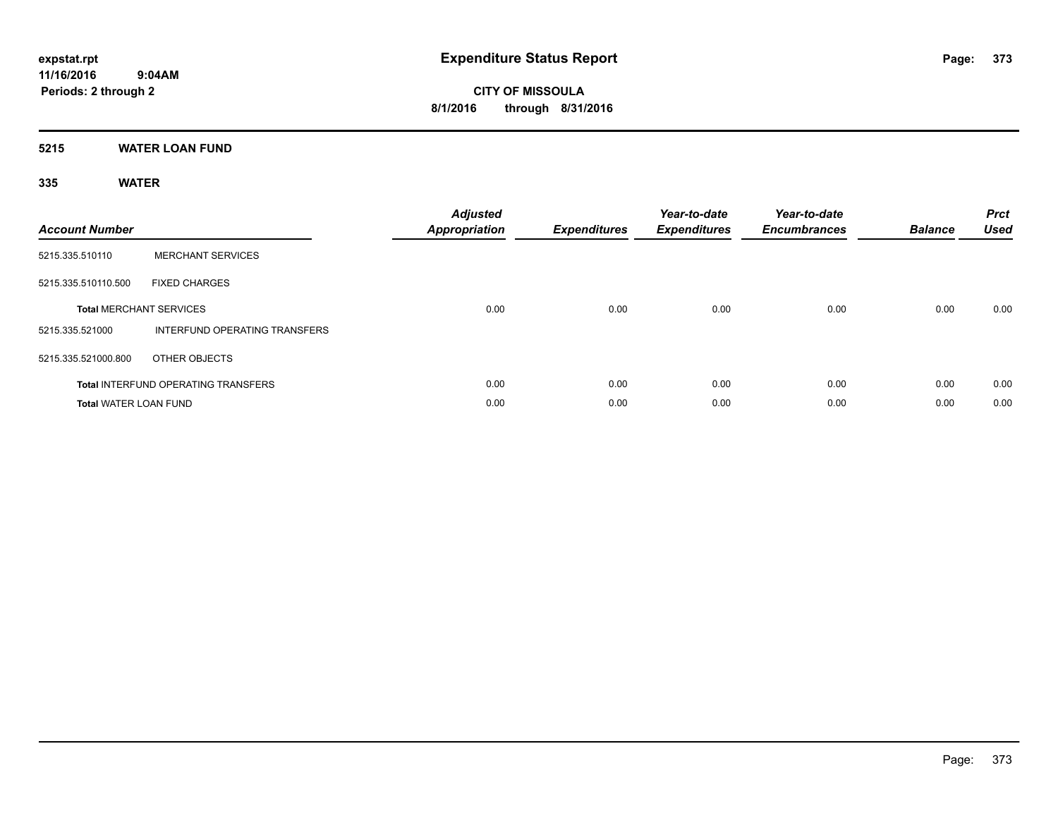### **5215 WATER LOAN FUND**

| <b>Account Number</b>          |                                            | <b>Adjusted</b><br><b>Appropriation</b> | <b>Expenditures</b> | Year-to-date<br><b>Expenditures</b> | Year-to-date<br><b>Encumbrances</b> | <b>Balance</b> | <b>Prct</b><br><b>Used</b> |
|--------------------------------|--------------------------------------------|-----------------------------------------|---------------------|-------------------------------------|-------------------------------------|----------------|----------------------------|
| 5215.335.510110                | <b>MERCHANT SERVICES</b>                   |                                         |                     |                                     |                                     |                |                            |
| 5215.335.510110.500            | <b>FIXED CHARGES</b>                       |                                         |                     |                                     |                                     |                |                            |
| <b>Total MERCHANT SERVICES</b> |                                            | 0.00                                    | 0.00                | 0.00                                | 0.00                                | 0.00           | 0.00                       |
| 5215.335.521000                | <b>INTERFUND OPERATING TRANSFERS</b>       |                                         |                     |                                     |                                     |                |                            |
| 5215.335.521000.800            | OTHER OBJECTS                              |                                         |                     |                                     |                                     |                |                            |
|                                | <b>Total INTERFUND OPERATING TRANSFERS</b> | 0.00                                    | 0.00                | 0.00                                | 0.00                                | 0.00           | 0.00                       |
| <b>Total WATER LOAN FUND</b>   |                                            | 0.00                                    | 0.00                | 0.00                                | 0.00                                | 0.00           | 0.00                       |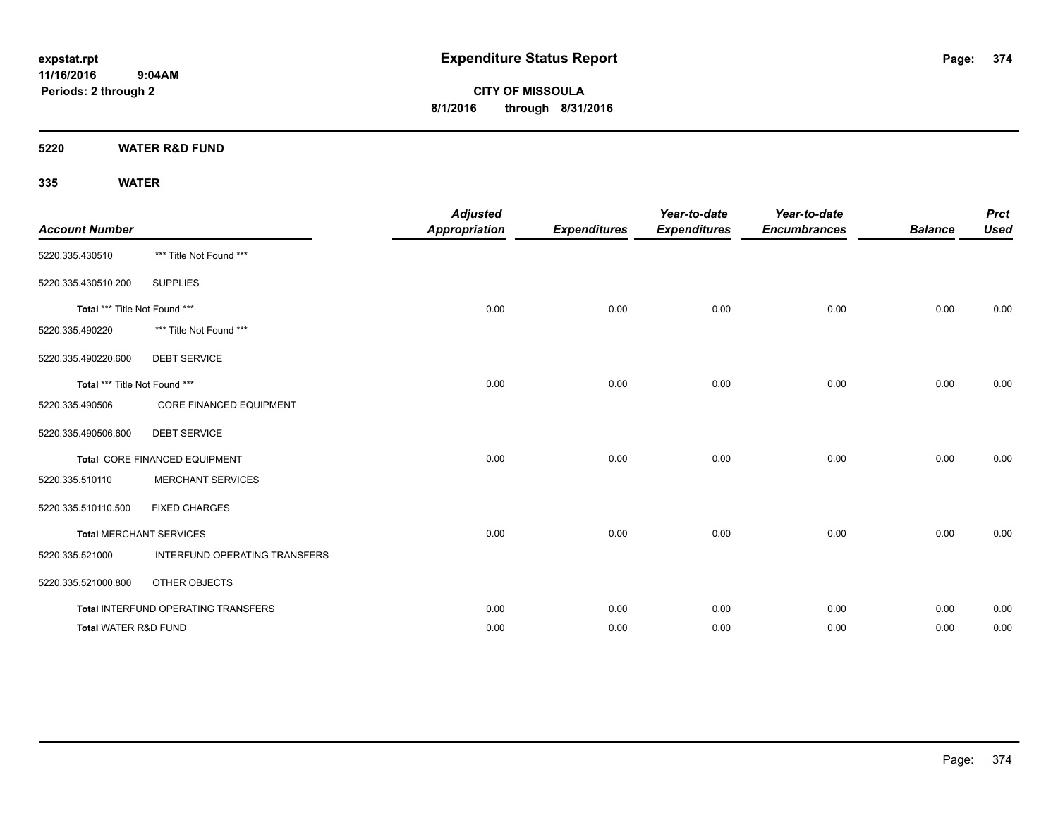**CITY OF MISSOULA 8/1/2016 through 8/31/2016**

**5220 WATER R&D FUND**

| <b>Account Number</b>         |                                     | <b>Adjusted</b><br><b>Appropriation</b> | <b>Expenditures</b> | Year-to-date<br><b>Expenditures</b> | Year-to-date<br><b>Encumbrances</b> | <b>Balance</b> | <b>Prct</b><br><b>Used</b> |
|-------------------------------|-------------------------------------|-----------------------------------------|---------------------|-------------------------------------|-------------------------------------|----------------|----------------------------|
| 5220.335.430510               | *** Title Not Found ***             |                                         |                     |                                     |                                     |                |                            |
| 5220.335.430510.200           | <b>SUPPLIES</b>                     |                                         |                     |                                     |                                     |                |                            |
| Total *** Title Not Found *** |                                     | 0.00                                    | 0.00                | 0.00                                | 0.00                                | 0.00           | 0.00                       |
| 5220.335.490220               | *** Title Not Found ***             |                                         |                     |                                     |                                     |                |                            |
| 5220.335.490220.600           | <b>DEBT SERVICE</b>                 |                                         |                     |                                     |                                     |                |                            |
| Total *** Title Not Found *** |                                     | 0.00                                    | 0.00                | 0.00                                | 0.00                                | 0.00           | 0.00                       |
| 5220.335.490506               | <b>CORE FINANCED EQUIPMENT</b>      |                                         |                     |                                     |                                     |                |                            |
| 5220.335.490506.600           | <b>DEBT SERVICE</b>                 |                                         |                     |                                     |                                     |                |                            |
|                               | Total CORE FINANCED EQUIPMENT       | 0.00                                    | 0.00                | 0.00                                | 0.00                                | 0.00           | 0.00                       |
| 5220.335.510110               | <b>MERCHANT SERVICES</b>            |                                         |                     |                                     |                                     |                |                            |
| 5220.335.510110.500           | <b>FIXED CHARGES</b>                |                                         |                     |                                     |                                     |                |                            |
|                               | <b>Total MERCHANT SERVICES</b>      | 0.00                                    | 0.00                | 0.00                                | 0.00                                | 0.00           | 0.00                       |
| 5220.335.521000               | INTERFUND OPERATING TRANSFERS       |                                         |                     |                                     |                                     |                |                            |
| 5220.335.521000.800           | OTHER OBJECTS                       |                                         |                     |                                     |                                     |                |                            |
|                               | Total INTERFUND OPERATING TRANSFERS | 0.00                                    | 0.00                | 0.00                                | 0.00                                | 0.00           | 0.00                       |
| Total WATER R&D FUND          |                                     | 0.00                                    | 0.00                | 0.00                                | 0.00                                | 0.00           | 0.00                       |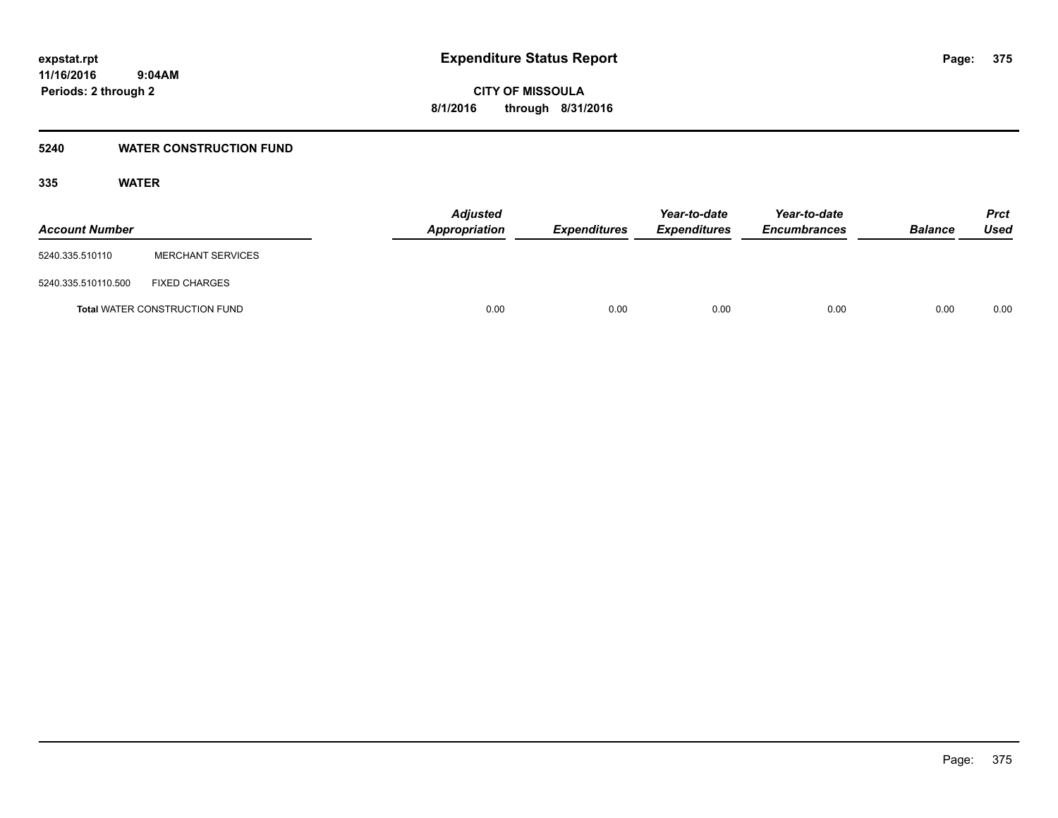### **5240 WATER CONSTRUCTION FUND**

| <b>Account Number</b> |                                      | <b>Adjusted</b><br>Appropriation | <i><b>Expenditures</b></i> | Year-to-date<br><i><b>Expenditures</b></i> | Year-to-date<br><b>Encumbrances</b> | <b>Balance</b> | <b>Prct</b><br>Used |
|-----------------------|--------------------------------------|----------------------------------|----------------------------|--------------------------------------------|-------------------------------------|----------------|---------------------|
| 5240.335.510110       | <b>MERCHANT SERVICES</b>             |                                  |                            |                                            |                                     |                |                     |
| 5240.335.510110.500   | <b>FIXED CHARGES</b>                 |                                  |                            |                                            |                                     |                |                     |
|                       | <b>Total WATER CONSTRUCTION FUND</b> | 0.00                             | 0.00                       | 0.00                                       | 0.00                                | 0.00           | 0.00                |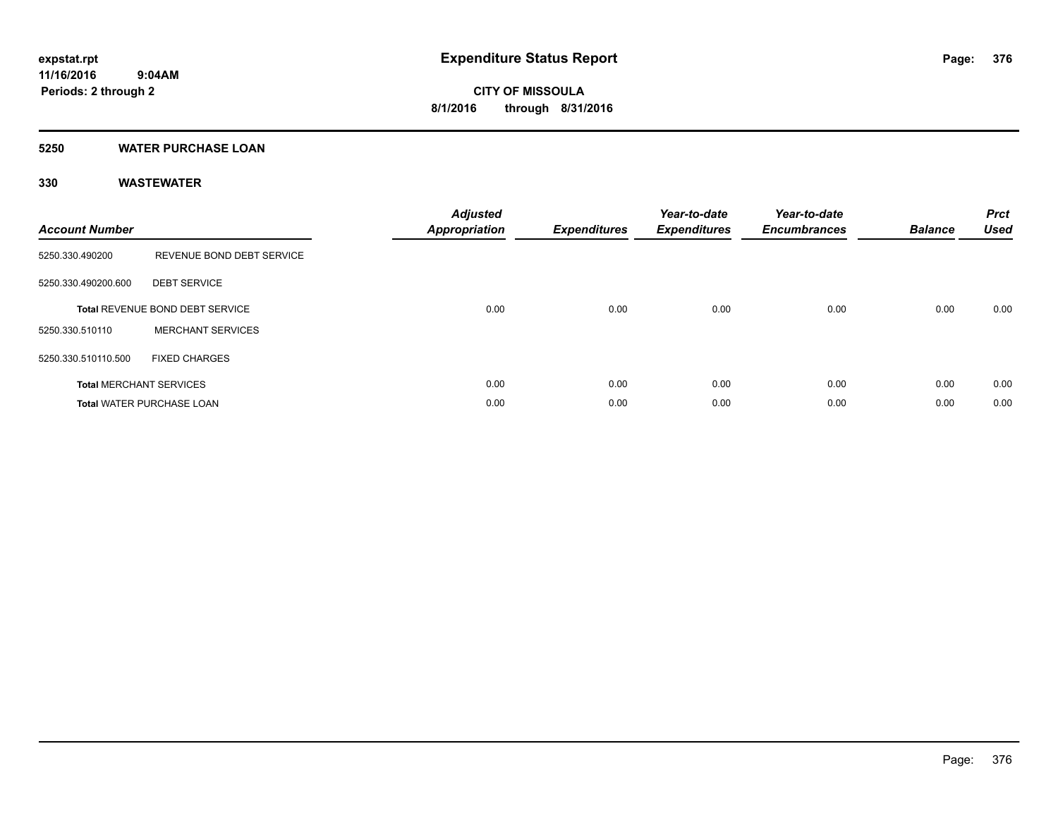### **5250 WATER PURCHASE LOAN**

| <b>Account Number</b> |                                  | <b>Adjusted</b><br>Appropriation | <b>Expenditures</b> | Year-to-date<br><b>Expenditures</b> | Year-to-date<br><b>Encumbrances</b> | <b>Balance</b> | <b>Prct</b><br><b>Used</b> |
|-----------------------|----------------------------------|----------------------------------|---------------------|-------------------------------------|-------------------------------------|----------------|----------------------------|
| 5250.330.490200       | REVENUE BOND DEBT SERVICE        |                                  |                     |                                     |                                     |                |                            |
| 5250.330.490200.600   | <b>DEBT SERVICE</b>              |                                  |                     |                                     |                                     |                |                            |
|                       | Total REVENUE BOND DEBT SERVICE  | 0.00                             | 0.00                | 0.00                                | 0.00                                | 0.00           | 0.00                       |
| 5250.330.510110       | <b>MERCHANT SERVICES</b>         |                                  |                     |                                     |                                     |                |                            |
| 5250.330.510110.500   | <b>FIXED CHARGES</b>             |                                  |                     |                                     |                                     |                |                            |
|                       | <b>Total MERCHANT SERVICES</b>   | 0.00                             | 0.00                | 0.00                                | 0.00                                | 0.00           | 0.00                       |
|                       | <b>Total WATER PURCHASE LOAN</b> | 0.00                             | 0.00                | 0.00                                | 0.00                                | 0.00           | 0.00                       |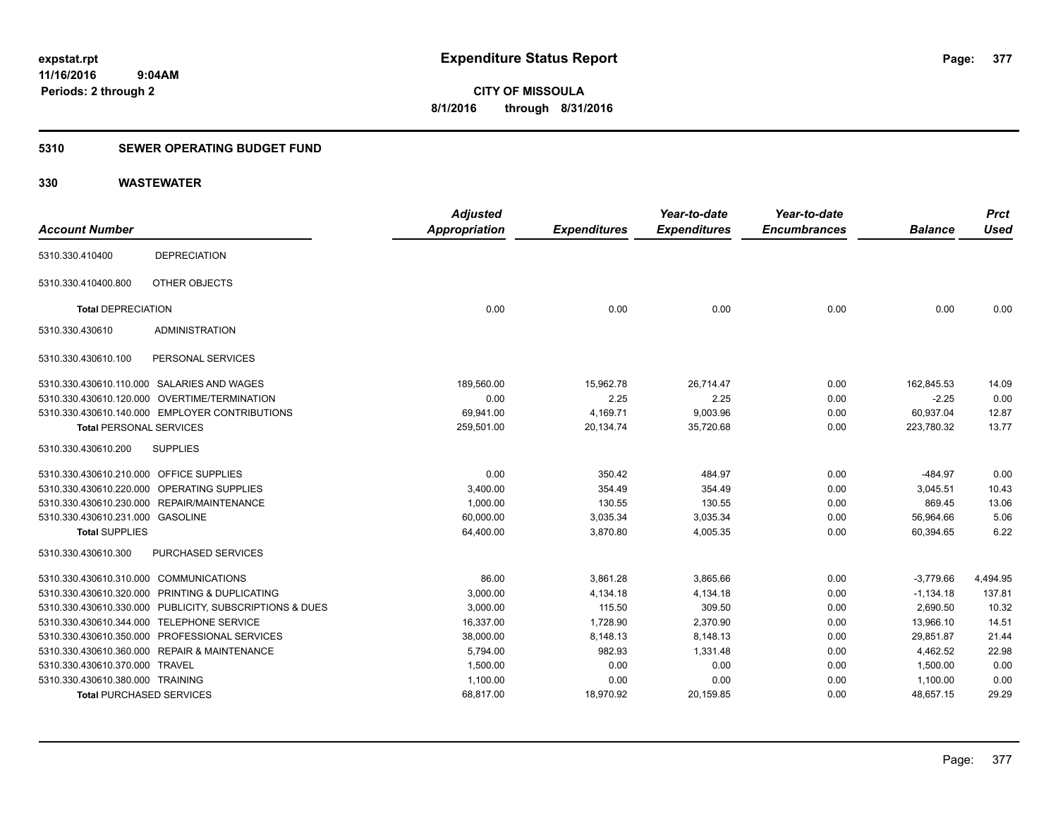### **5310 SEWER OPERATING BUDGET FUND**

| <b>Account Number</b>            |                                                         | <b>Adjusted</b><br><b>Appropriation</b> | <b>Expenditures</b> | Year-to-date<br><b>Expenditures</b> | Year-to-date<br><b>Encumbrances</b> | <b>Balance</b> | <b>Prct</b><br><b>Used</b> |
|----------------------------------|---------------------------------------------------------|-----------------------------------------|---------------------|-------------------------------------|-------------------------------------|----------------|----------------------------|
|                                  |                                                         |                                         |                     |                                     |                                     |                |                            |
| 5310.330.410400                  | <b>DEPRECIATION</b>                                     |                                         |                     |                                     |                                     |                |                            |
| 5310.330.410400.800              | OTHER OBJECTS                                           |                                         |                     |                                     |                                     |                |                            |
| <b>Total DEPRECIATION</b>        |                                                         | 0.00                                    | 0.00                | 0.00                                | 0.00                                | 0.00           | 0.00                       |
| 5310.330.430610                  | <b>ADMINISTRATION</b>                                   |                                         |                     |                                     |                                     |                |                            |
| 5310.330.430610.100              | PERSONAL SERVICES                                       |                                         |                     |                                     |                                     |                |                            |
|                                  | 5310.330.430610.110.000 SALARIES AND WAGES              | 189,560.00                              | 15,962.78           | 26,714.47                           | 0.00                                | 162,845.53     | 14.09                      |
|                                  | 5310.330.430610.120.000 OVERTIME/TERMINATION            | 0.00                                    | 2.25                | 2.25                                | 0.00                                | $-2.25$        | 0.00                       |
|                                  | 5310.330.430610.140.000 EMPLOYER CONTRIBUTIONS          | 69.941.00                               | 4,169.71            | 9,003.96                            | 0.00                                | 60,937.04      | 12.87                      |
| <b>Total PERSONAL SERVICES</b>   |                                                         | 259,501.00                              | 20,134.74           | 35,720.68                           | 0.00                                | 223,780.32     | 13.77                      |
| 5310.330.430610.200              | <b>SUPPLIES</b>                                         |                                         |                     |                                     |                                     |                |                            |
| 5310.330.430610.210.000          | <b>OFFICE SUPPLIES</b>                                  | 0.00                                    | 350.42              | 484.97                              | 0.00                                | $-484.97$      | 0.00                       |
|                                  | 5310.330.430610.220.000 OPERATING SUPPLIES              | 3,400.00                                | 354.49              | 354.49                              | 0.00                                | 3,045.51       | 10.43                      |
| 5310.330.430610.230.000          | REPAIR/MAINTENANCE                                      | 1,000.00                                | 130.55              | 130.55                              | 0.00                                | 869.45         | 13.06                      |
| 5310.330.430610.231.000 GASOLINE |                                                         | 60,000.00                               | 3,035.34            | 3,035.34                            | 0.00                                | 56,964.66      | 5.06                       |
| <b>Total SUPPLIES</b>            |                                                         | 64,400.00                               | 3,870.80            | 4,005.35                            | 0.00                                | 60,394.65      | 6.22                       |
| 5310.330.430610.300              | <b>PURCHASED SERVICES</b>                               |                                         |                     |                                     |                                     |                |                            |
| 5310.330.430610.310.000          | <b>COMMUNICATIONS</b>                                   | 86.00                                   | 3,861.28            | 3,865.66                            | 0.00                                | $-3,779.66$    | 4,494.95                   |
|                                  | 5310.330.430610.320.000 PRINTING & DUPLICATING          | 3,000.00                                | 4,134.18            | 4,134.18                            | 0.00                                | $-1,134.18$    | 137.81                     |
|                                  | 5310.330.430610.330.000 PUBLICITY, SUBSCRIPTIONS & DUES | 3,000.00                                | 115.50              | 309.50                              | 0.00                                | 2,690.50       | 10.32                      |
|                                  | 5310.330.430610.344.000 TELEPHONE SERVICE               | 16,337.00                               | 1,728.90            | 2,370.90                            | 0.00                                | 13,966.10      | 14.51                      |
| 5310.330.430610.350.000          | PROFESSIONAL SERVICES                                   | 38,000.00                               | 8,148.13            | 8,148.13                            | 0.00                                | 29,851.87      | 21.44                      |
|                                  | 5310.330.430610.360.000 REPAIR & MAINTENANCE            | 5,794.00                                | 982.93              | 1,331.48                            | 0.00                                | 4,462.52       | 22.98                      |
| 5310.330.430610.370.000 TRAVEL   |                                                         | 1,500.00                                | 0.00                | 0.00                                | 0.00                                | 1,500.00       | 0.00                       |
| 5310.330.430610.380.000 TRAINING |                                                         | 1,100.00                                | 0.00                | 0.00                                | 0.00                                | 1,100.00       | 0.00                       |
| <b>Total PURCHASED SERVICES</b>  |                                                         | 68,817.00                               | 18,970.92           | 20,159.85                           | 0.00                                | 48,657.15      | 29.29                      |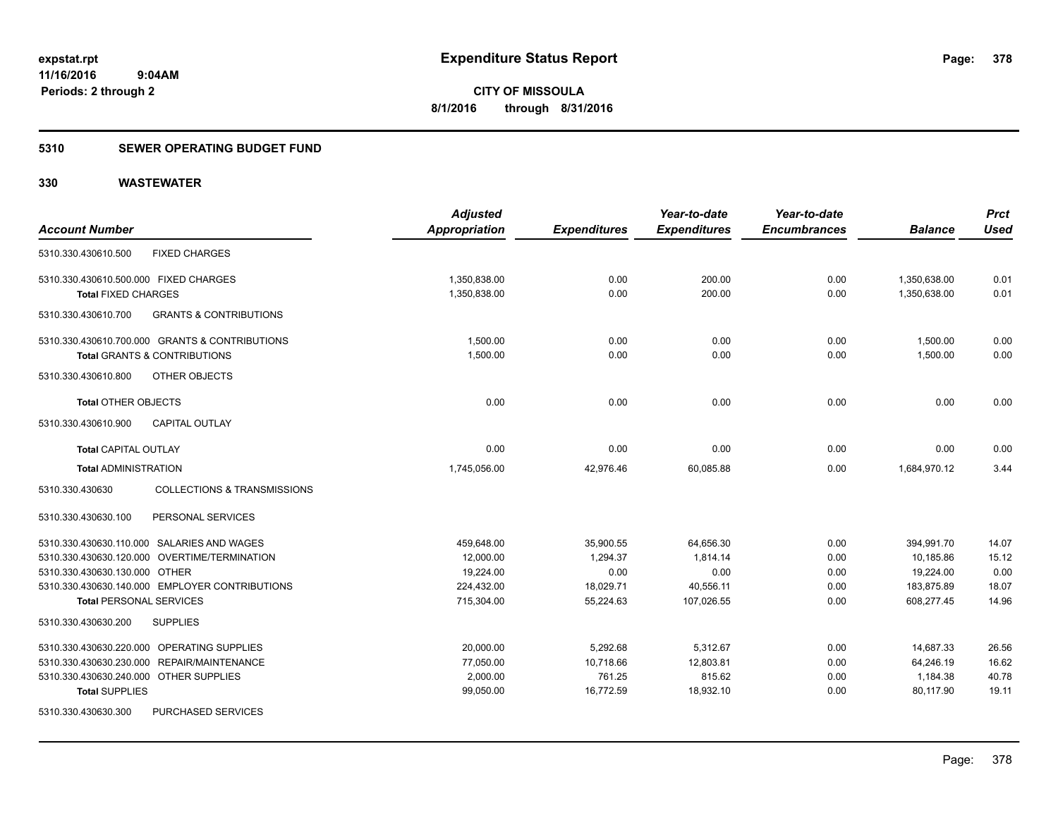### **5310 SEWER OPERATING BUDGET FUND**

|                                              |                                                | <b>Adjusted</b>      |                     | Year-to-date        | Year-to-date        |                | <b>Prct</b> |
|----------------------------------------------|------------------------------------------------|----------------------|---------------------|---------------------|---------------------|----------------|-------------|
| <b>Account Number</b>                        |                                                | <b>Appropriation</b> | <b>Expenditures</b> | <b>Expenditures</b> | <b>Encumbrances</b> | <b>Balance</b> | <b>Used</b> |
| 5310.330.430610.500                          | <b>FIXED CHARGES</b>                           |                      |                     |                     |                     |                |             |
| 5310.330.430610.500.000 FIXED CHARGES        |                                                | 1,350,838.00         | 0.00                | 200.00              | 0.00                | 1,350,638.00   | 0.01        |
| <b>Total FIXED CHARGES</b>                   |                                                | 1,350,838.00         | 0.00                | 200.00              | 0.00                | 1,350,638.00   | 0.01        |
| 5310.330.430610.700                          | <b>GRANTS &amp; CONTRIBUTIONS</b>              |                      |                     |                     |                     |                |             |
|                                              | 5310.330.430610.700.000 GRANTS & CONTRIBUTIONS | 1,500.00             | 0.00                | 0.00                | 0.00                | 1,500.00       | 0.00        |
| <b>Total GRANTS &amp; CONTRIBUTIONS</b>      |                                                | 1.500.00             | 0.00                | 0.00                | 0.00                | 1.500.00       | 0.00        |
| 5310.330.430610.800                          | OTHER OBJECTS                                  |                      |                     |                     |                     |                |             |
| <b>Total OTHER OBJECTS</b>                   |                                                | 0.00                 | 0.00                | 0.00                | 0.00                | 0.00           | 0.00        |
| 5310.330.430610.900                          | <b>CAPITAL OUTLAY</b>                          |                      |                     |                     |                     |                |             |
| Total CAPITAL OUTLAY                         |                                                | 0.00                 | 0.00                | 0.00                | 0.00                | 0.00           | 0.00        |
| <b>Total ADMINISTRATION</b>                  |                                                | 1,745,056.00         | 42,976.46           | 60,085.88           | 0.00                | 1,684,970.12   | 3.44        |
| 5310.330.430630                              | <b>COLLECTIONS &amp; TRANSMISSIONS</b>         |                      |                     |                     |                     |                |             |
| 5310.330.430630.100                          | PERSONAL SERVICES                              |                      |                     |                     |                     |                |             |
| 5310.330.430630.110.000 SALARIES AND WAGES   |                                                | 459,648.00           | 35,900.55           | 64,656.30           | 0.00                | 394,991.70     | 14.07       |
| 5310.330.430630.120.000 OVERTIME/TERMINATION |                                                | 12,000.00            | 1,294.37            | 1.814.14            | 0.00                | 10.185.86      | 15.12       |
| 5310.330.430630.130.000 OTHER                |                                                | 19,224.00            | 0.00                | 0.00                | 0.00                | 19,224.00      | 0.00        |
|                                              | 5310.330.430630.140.000 EMPLOYER CONTRIBUTIONS | 224,432.00           | 18,029.71           | 40,556.11           | 0.00                | 183,875.89     | 18.07       |
| <b>Total PERSONAL SERVICES</b>               |                                                | 715,304.00           | 55,224.63           | 107,026.55          | 0.00                | 608,277.45     | 14.96       |
| 5310.330.430630.200                          | <b>SUPPLIES</b>                                |                      |                     |                     |                     |                |             |
| 5310.330.430630.220.000 OPERATING SUPPLIES   |                                                | 20,000.00            | 5,292.68            | 5,312.67            | 0.00                | 14,687.33      | 26.56       |
| 5310.330.430630.230.000 REPAIR/MAINTENANCE   |                                                | 77,050.00            | 10,718.66           | 12,803.81           | 0.00                | 64,246.19      | 16.62       |
| 5310.330.430630.240.000 OTHER SUPPLIES       |                                                | 2,000.00             | 761.25              | 815.62              | 0.00                | 1,184.38       | 40.78       |
| <b>Total SUPPLIES</b>                        |                                                | 99,050.00            | 16,772.59           | 18,932.10           | 0.00                | 80,117.90      | 19.11       |
| 5310.330.430630.300                          | PURCHASED SERVICES                             |                      |                     |                     |                     |                |             |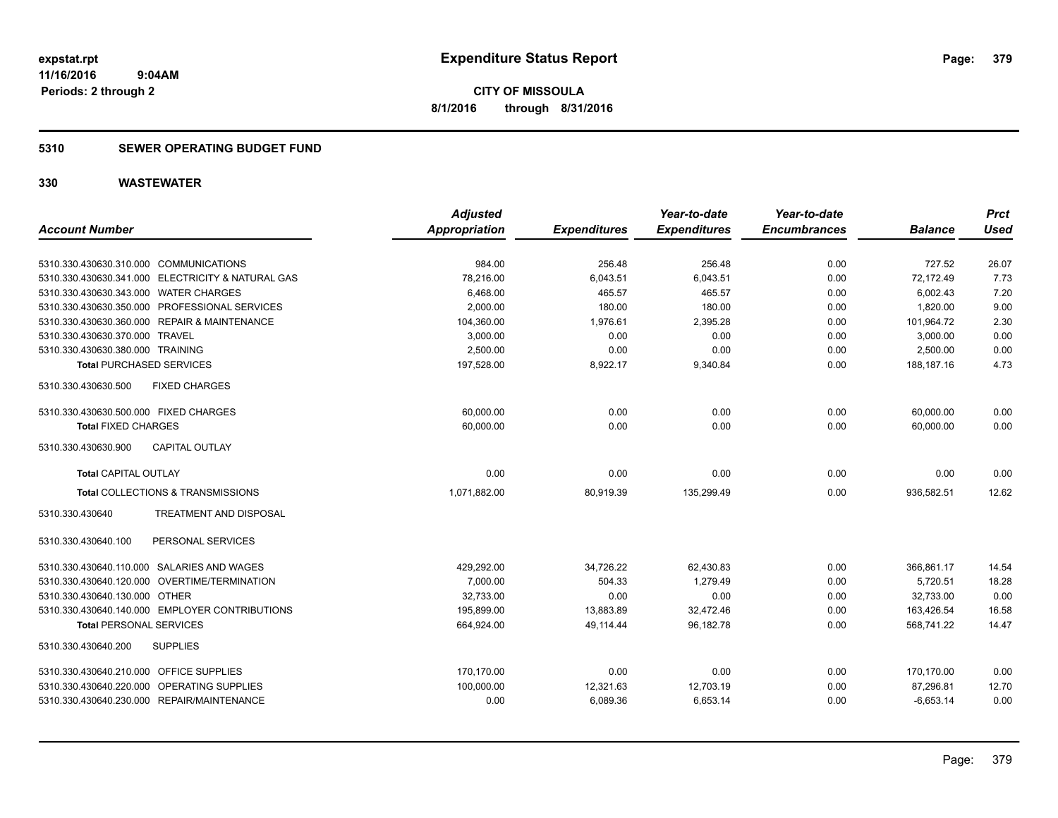**CITY OF MISSOULA 8/1/2016 through 8/31/2016**

### **5310 SEWER OPERATING BUDGET FUND**

|                                                   | <b>Adjusted</b>      |                     | Year-to-date        | Year-to-date        |                | <b>Prct</b> |
|---------------------------------------------------|----------------------|---------------------|---------------------|---------------------|----------------|-------------|
| <b>Account Number</b>                             | <b>Appropriation</b> | <b>Expenditures</b> | <b>Expenditures</b> | <b>Encumbrances</b> | <b>Balance</b> | <b>Used</b> |
| 5310.330.430630.310.000 COMMUNICATIONS            | 984.00               | 256.48              | 256.48              | 0.00                | 727.52         | 26.07       |
| 5310.330.430630.341.000 ELECTRICITY & NATURAL GAS | 78,216.00            | 6,043.51            | 6,043.51            | 0.00                | 72,172.49      | 7.73        |
| 5310.330.430630.343.000 WATER CHARGES             | 6,468.00             | 465.57              | 465.57              | 0.00                | 6,002.43       | 7.20        |
| 5310.330.430630.350.000 PROFESSIONAL SERVICES     | 2,000.00             | 180.00              | 180.00              | 0.00                | 1,820.00       | 9.00        |
| 5310.330.430630.360.000 REPAIR & MAINTENANCE      | 104,360.00           | 1,976.61            | 2,395.28            | 0.00                | 101,964.72     | 2.30        |
| 5310.330.430630.370.000 TRAVEL                    | 3,000.00             | 0.00                | 0.00                | 0.00                | 3,000.00       | 0.00        |
| 5310.330.430630.380.000 TRAINING                  | 2,500.00             | 0.00                | 0.00                | 0.00                | 2,500.00       | 0.00        |
| <b>Total PURCHASED SERVICES</b>                   | 197,528.00           | 8,922.17            | 9,340.84            | 0.00                | 188.187.16     | 4.73        |
| 5310.330.430630.500<br><b>FIXED CHARGES</b>       |                      |                     |                     |                     |                |             |
| 5310.330.430630.500.000 FIXED CHARGES             | 60,000.00            | 0.00                | 0.00                | 0.00                | 60,000.00      | 0.00        |
| <b>Total FIXED CHARGES</b>                        | 60.000.00            | 0.00                | 0.00                | 0.00                | 60.000.00      | 0.00        |
| CAPITAL OUTLAY<br>5310.330.430630.900             |                      |                     |                     |                     |                |             |
| <b>Total CAPITAL OUTLAY</b>                       | 0.00                 | 0.00                | 0.00                | 0.00                | 0.00           | 0.00        |
| Total COLLECTIONS & TRANSMISSIONS                 | 1,071,882.00         | 80,919.39           | 135,299.49          | 0.00                | 936,582.51     | 12.62       |
| TREATMENT AND DISPOSAL<br>5310.330.430640         |                      |                     |                     |                     |                |             |
| PERSONAL SERVICES<br>5310.330.430640.100          |                      |                     |                     |                     |                |             |
| 5310.330.430640.110.000 SALARIES AND WAGES        | 429,292.00           | 34,726.22           | 62,430.83           | 0.00                | 366,861.17     | 14.54       |
| 5310.330.430640.120.000 OVERTIME/TERMINATION      | 7,000.00             | 504.33              | 1,279.49            | 0.00                | 5,720.51       | 18.28       |
| 5310.330.430640.130.000 OTHER                     | 32.733.00            | 0.00                | 0.00                | 0.00                | 32,733.00      | 0.00        |
| 5310.330.430640.140.000 EMPLOYER CONTRIBUTIONS    | 195,899.00           | 13,883.89           | 32,472.46           | 0.00                | 163,426.54     | 16.58       |
| <b>Total PERSONAL SERVICES</b>                    | 664,924.00           | 49,114.44           | 96,182.78           | 0.00                | 568,741.22     | 14.47       |
| 5310.330.430640.200<br><b>SUPPLIES</b>            |                      |                     |                     |                     |                |             |
| 5310.330.430640.210.000 OFFICE SUPPLIES           | 170,170.00           | 0.00                | 0.00                | 0.00                | 170,170.00     | 0.00        |
| 5310.330.430640.220.000 OPERATING SUPPLIES        | 100,000.00           | 12,321.63           | 12,703.19           | 0.00                | 87,296.81      | 12.70       |
| 5310.330.430640.230.000 REPAIR/MAINTENANCE        | 0.00                 | 6,089.36            | 6,653.14            | 0.00                | $-6,653.14$    | 0.00        |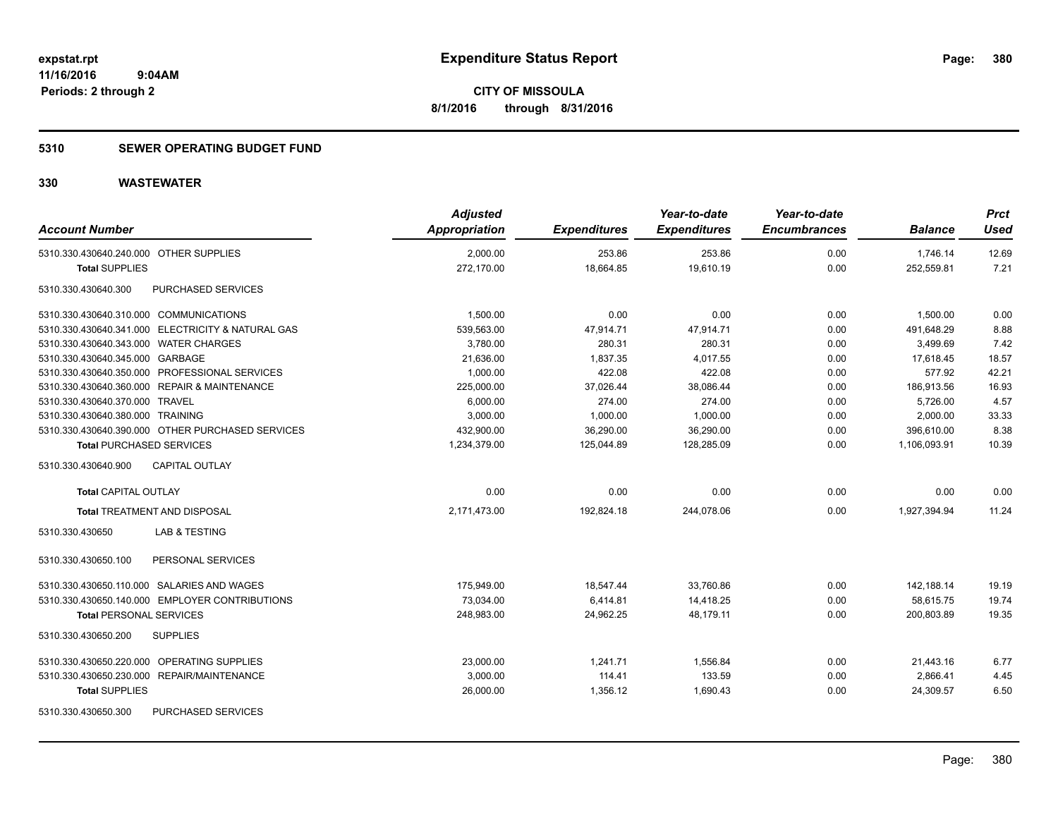### **5310 SEWER OPERATING BUDGET FUND**

| <b>Account Number</b>                             | <b>Adjusted</b><br>Appropriation | <b>Expenditures</b> | Year-to-date<br><b>Expenditures</b> | Year-to-date<br><b>Encumbrances</b> | <b>Balance</b> | <b>Prct</b><br>Used |
|---------------------------------------------------|----------------------------------|---------------------|-------------------------------------|-------------------------------------|----------------|---------------------|
| 5310.330.430640.240.000 OTHER SUPPLIES            | 2,000.00                         | 253.86              | 253.86                              | 0.00                                | 1,746.14       | 12.69               |
| <b>Total SUPPLIES</b>                             | 272,170.00                       | 18,664.85           | 19,610.19                           | 0.00                                | 252,559.81     | 7.21                |
| PURCHASED SERVICES<br>5310.330.430640.300         |                                  |                     |                                     |                                     |                |                     |
| 5310.330.430640.310.000 COMMUNICATIONS            | 1,500.00                         | 0.00                | 0.00                                | 0.00                                | 1,500.00       | 0.00                |
| 5310.330.430640.341.000 ELECTRICITY & NATURAL GAS | 539,563.00                       | 47,914.71           | 47,914.71                           | 0.00                                | 491,648.29     | 8.88                |
| 5310.330.430640.343.000 WATER CHARGES             | 3,780.00                         | 280.31              | 280.31                              | 0.00                                | 3,499.69       | 7.42                |
| 5310.330.430640.345.000 GARBAGE                   | 21,636.00                        | 1,837.35            | 4,017.55                            | 0.00                                | 17,618.45      | 18.57               |
| 5310.330.430640.350.000 PROFESSIONAL SERVICES     | 1,000.00                         | 422.08              | 422.08                              | 0.00                                | 577.92         | 42.21               |
| 5310.330.430640.360.000 REPAIR & MAINTENANCE      | 225,000.00                       | 37,026.44           | 38,086.44                           | 0.00                                | 186,913.56     | 16.93               |
| 5310.330.430640.370.000 TRAVEL                    | 6,000.00                         | 274.00              | 274.00                              | 0.00                                | 5,726.00       | 4.57                |
| 5310.330.430640.380.000 TRAINING                  | 3,000.00                         | 1,000.00            | 1,000.00                            | 0.00                                | 2,000.00       | 33.33               |
| 5310.330.430640.390.000 OTHER PURCHASED SERVICES  | 432,900.00                       | 36,290.00           | 36,290.00                           | 0.00                                | 396,610.00     | 8.38                |
| <b>Total PURCHASED SERVICES</b>                   | 1,234,379.00                     | 125,044.89          | 128,285.09                          | 0.00                                | 1,106,093.91   | 10.39               |
| 5310.330.430640.900<br><b>CAPITAL OUTLAY</b>      |                                  |                     |                                     |                                     |                |                     |
| <b>Total CAPITAL OUTLAY</b>                       | 0.00                             | 0.00                | 0.00                                | 0.00                                | 0.00           | 0.00                |
| <b>Total TREATMENT AND DISPOSAL</b>               | 2,171,473.00                     | 192,824.18          | 244,078.06                          | 0.00                                | 1,927,394.94   | 11.24               |
| 5310.330.430650<br>LAB & TESTING                  |                                  |                     |                                     |                                     |                |                     |
| 5310.330.430650.100<br>PERSONAL SERVICES          |                                  |                     |                                     |                                     |                |                     |
| 5310.330.430650.110.000 SALARIES AND WAGES        | 175,949.00                       | 18,547.44           | 33,760.86                           | 0.00                                | 142,188.14     | 19.19               |
| 5310.330.430650.140.000 EMPLOYER CONTRIBUTIONS    | 73.034.00                        | 6,414.81            | 14,418.25                           | 0.00                                | 58,615.75      | 19.74               |
| <b>Total PERSONAL SERVICES</b>                    | 248.983.00                       | 24.962.25           | 48.179.11                           | 0.00                                | 200.803.89     | 19.35               |
| 5310.330.430650.200<br><b>SUPPLIES</b>            |                                  |                     |                                     |                                     |                |                     |
| OPERATING SUPPLIES<br>5310.330.430650.220.000     | 23,000.00                        | 1,241.71            | 1,556.84                            | 0.00                                | 21,443.16      | 6.77                |
| 5310.330.430650.230.000 REPAIR/MAINTENANCE        | 3,000.00                         | 114.41              | 133.59                              | 0.00                                | 2,866.41       | 4.45                |
| <b>Total SUPPLIES</b>                             | 26,000.00                        | 1,356.12            | 1,690.43                            | 0.00                                | 24,309.57      | 6.50                |
| 5310.330.430650.300<br><b>PURCHASED SERVICES</b>  |                                  |                     |                                     |                                     |                |                     |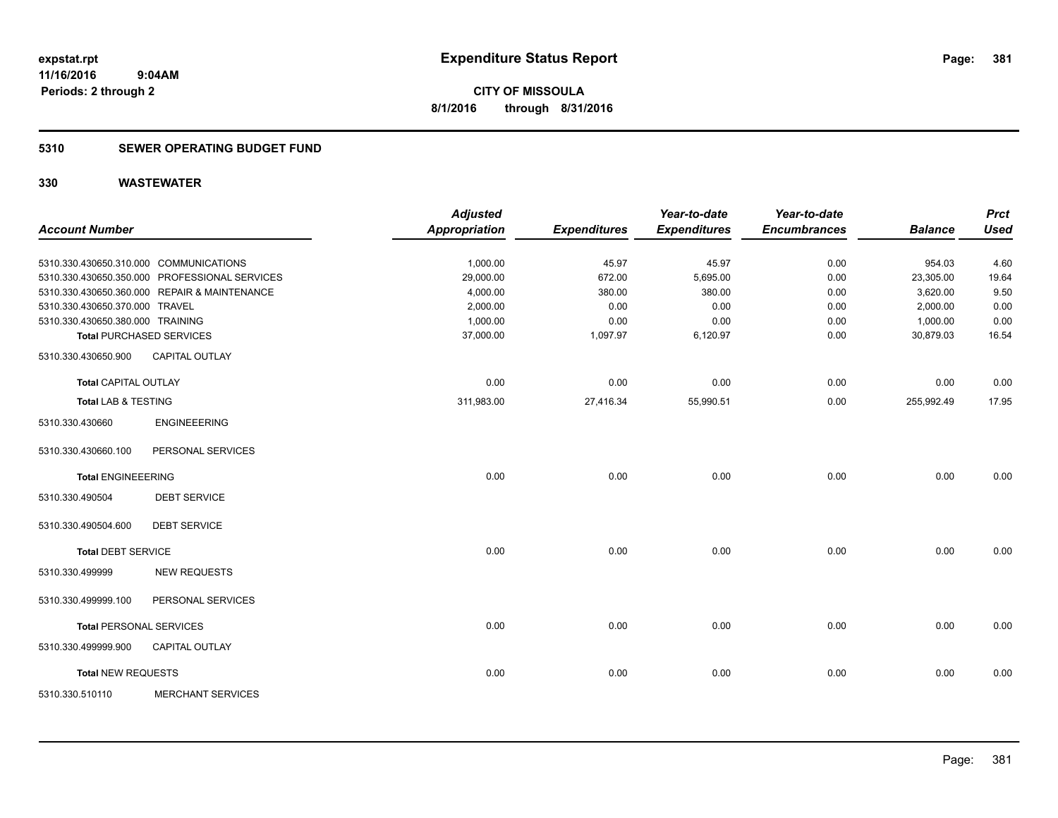**Periods: 2 through 2**

**CITY OF MISSOULA 8/1/2016 through 8/31/2016**

### **5310 SEWER OPERATING BUDGET FUND**

|                                  |                                               | <b>Adjusted</b>      |                     | Year-to-date        | Year-to-date        |                | <b>Prct</b> |
|----------------------------------|-----------------------------------------------|----------------------|---------------------|---------------------|---------------------|----------------|-------------|
| <b>Account Number</b>            |                                               | <b>Appropriation</b> | <b>Expenditures</b> | <b>Expenditures</b> | <b>Encumbrances</b> | <b>Balance</b> | <b>Used</b> |
|                                  | 5310.330.430650.310.000 COMMUNICATIONS        | 1,000.00             | 45.97               | 45.97               | 0.00                | 954.03         | 4.60        |
|                                  | 5310.330.430650.350.000 PROFESSIONAL SERVICES | 29,000.00            | 672.00              | 5,695.00            | 0.00                | 23,305.00      | 19.64       |
|                                  | 5310.330.430650.360.000 REPAIR & MAINTENANCE  | 4,000.00             | 380.00              | 380.00              | 0.00                | 3,620.00       | 9.50        |
| 5310.330.430650.370.000 TRAVEL   |                                               | 2,000.00             | 0.00                | 0.00                | 0.00                | 2,000.00       | 0.00        |
| 5310.330.430650.380.000 TRAINING |                                               | 1,000.00             | 0.00                | 0.00                | 0.00                | 1,000.00       | 0.00        |
|                                  | <b>Total PURCHASED SERVICES</b>               | 37,000.00            | 1,097.97            | 6,120.97            | 0.00                | 30,879.03      | 16.54       |
| 5310.330.430650.900              | <b>CAPITAL OUTLAY</b>                         |                      |                     |                     |                     |                |             |
| <b>Total CAPITAL OUTLAY</b>      |                                               | 0.00                 | 0.00                | 0.00                | 0.00                | 0.00           | 0.00        |
| <b>Total LAB &amp; TESTING</b>   |                                               | 311,983.00           | 27,416.34           | 55,990.51           | 0.00                | 255,992.49     | 17.95       |
| 5310.330.430660                  | <b>ENGINEEERING</b>                           |                      |                     |                     |                     |                |             |
| 5310.330.430660.100              | PERSONAL SERVICES                             |                      |                     |                     |                     |                |             |
| <b>Total ENGINEEERING</b>        |                                               | 0.00                 | 0.00                | 0.00                | 0.00                | 0.00           | 0.00        |
| 5310.330.490504                  | <b>DEBT SERVICE</b>                           |                      |                     |                     |                     |                |             |
| 5310.330.490504.600              | <b>DEBT SERVICE</b>                           |                      |                     |                     |                     |                |             |
| <b>Total DEBT SERVICE</b>        |                                               | 0.00                 | 0.00                | 0.00                | 0.00                | 0.00           | 0.00        |
| 5310.330.499999                  | <b>NEW REQUESTS</b>                           |                      |                     |                     |                     |                |             |
| 5310.330.499999.100              | PERSONAL SERVICES                             |                      |                     |                     |                     |                |             |
| <b>Total PERSONAL SERVICES</b>   |                                               | 0.00                 | 0.00                | 0.00                | 0.00                | 0.00           | 0.00        |
| 5310.330.499999.900              | CAPITAL OUTLAY                                |                      |                     |                     |                     |                |             |
| <b>Total NEW REQUESTS</b>        |                                               | 0.00                 | 0.00                | 0.00                | 0.00                | 0.00           | 0.00        |
| 5310.330.510110                  | <b>MERCHANT SERVICES</b>                      |                      |                     |                     |                     |                |             |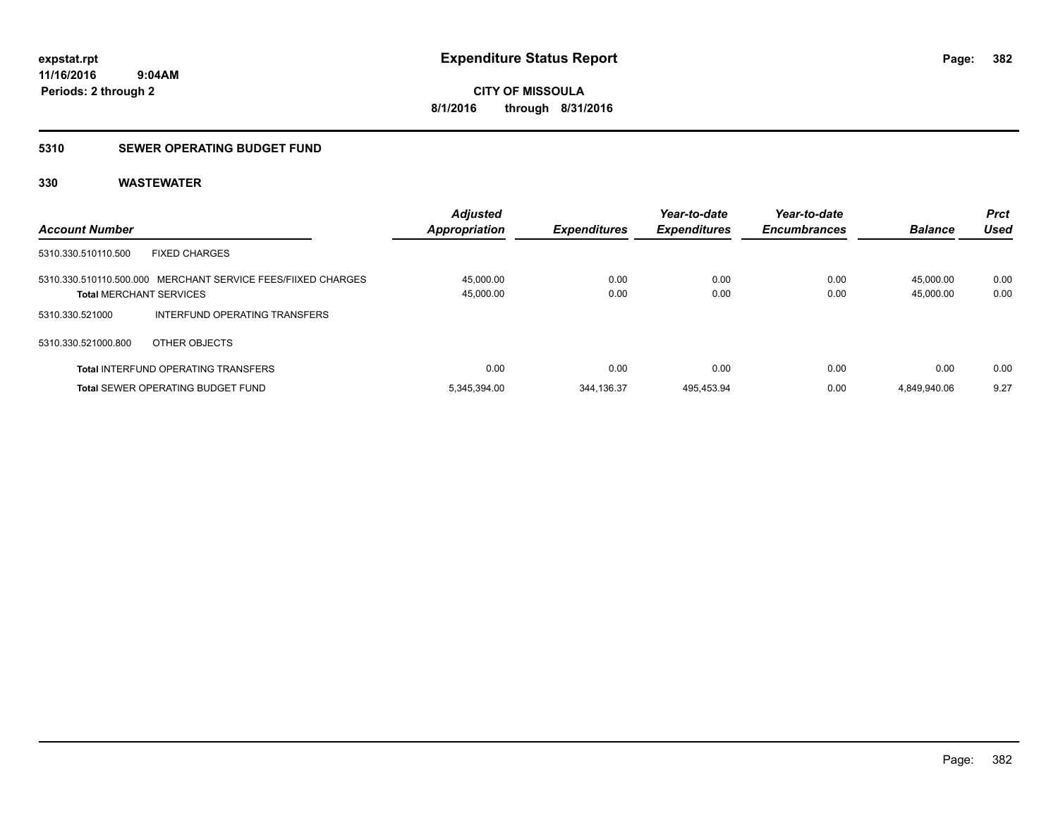### **5310 SEWER OPERATING BUDGET FUND**

| <b>Account Number</b>                                                                          | <b>Adjusted</b><br><b>Appropriation</b> | <b>Expenditures</b> | Year-to-date<br><b>Expenditures</b> | Year-to-date<br><b>Encumbrances</b> | <b>Balance</b>         | <b>Prct</b><br>Used |
|------------------------------------------------------------------------------------------------|-----------------------------------------|---------------------|-------------------------------------|-------------------------------------|------------------------|---------------------|
| <b>FIXED CHARGES</b><br>5310.330.510110.500                                                    |                                         |                     |                                     |                                     |                        |                     |
| 5310.330.510110.500.000 MERCHANT SERVICE FEES/FIIXED CHARGES<br><b>Total MERCHANT SERVICES</b> | 45.000.00<br>45,000.00                  | 0.00<br>0.00        | 0.00<br>0.00                        | 0.00<br>0.00                        | 45.000.00<br>45.000.00 | 0.00<br>0.00        |
| 5310.330.521000<br>INTERFUND OPERATING TRANSFERS                                               |                                         |                     |                                     |                                     |                        |                     |
| 5310.330.521000.800<br>OTHER OBJECTS                                                           |                                         |                     |                                     |                                     |                        |                     |
| <b>Total INTERFUND OPERATING TRANSFERS</b>                                                     | 0.00                                    | 0.00                | 0.00                                | 0.00                                | 0.00                   | 0.00                |
| <b>Total SEWER OPERATING BUDGET FUND</b>                                                       | 5.345.394.00                            | 344.136.37          | 495.453.94                          | 0.00                                | 4.849.940.06           | 9.27                |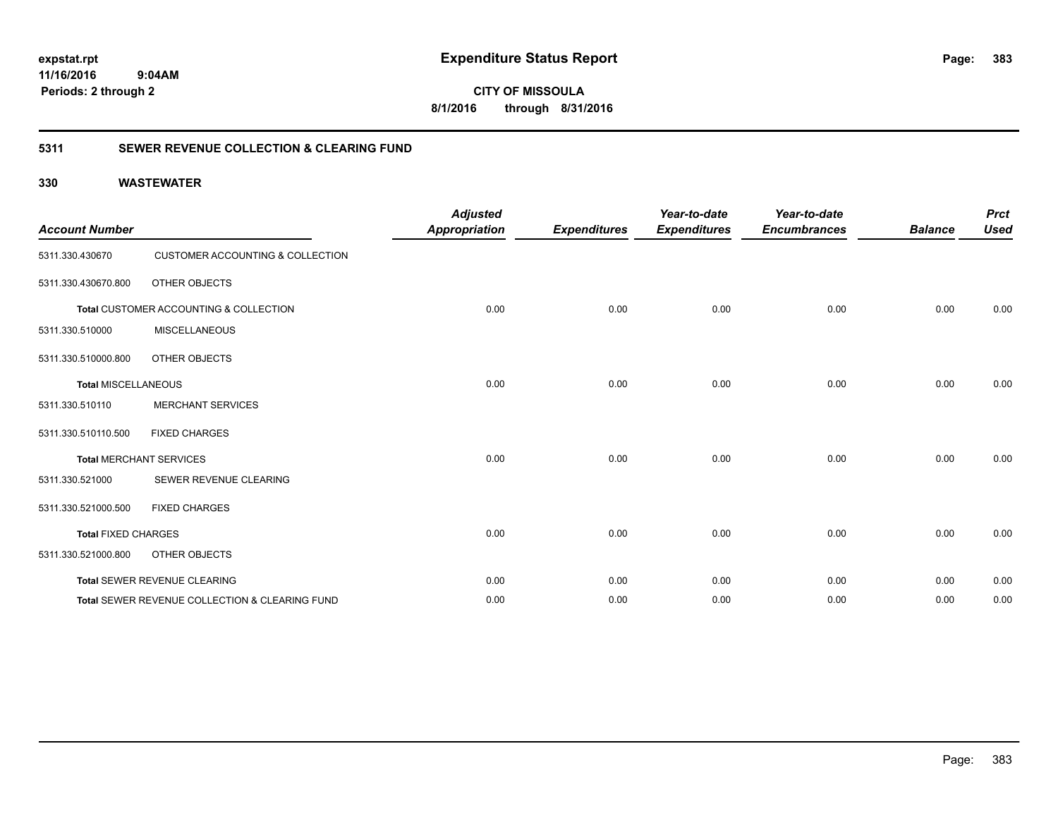**CITY OF MISSOULA 8/1/2016 through 8/31/2016**

### **5311 SEWER REVENUE COLLECTION & CLEARING FUND**

| <b>Account Number</b>      |                                                | <b>Adjusted</b><br><b>Appropriation</b> | <b>Expenditures</b> | Year-to-date<br><b>Expenditures</b> | Year-to-date<br><b>Encumbrances</b> | <b>Balance</b> | <b>Prct</b><br><b>Used</b> |
|----------------------------|------------------------------------------------|-----------------------------------------|---------------------|-------------------------------------|-------------------------------------|----------------|----------------------------|
| 5311.330.430670            | <b>CUSTOMER ACCOUNTING &amp; COLLECTION</b>    |                                         |                     |                                     |                                     |                |                            |
| 5311.330.430670.800        | OTHER OBJECTS                                  |                                         |                     |                                     |                                     |                |                            |
|                            | Total CUSTOMER ACCOUNTING & COLLECTION         | 0.00                                    | 0.00                | 0.00                                | 0.00                                | 0.00           | 0.00                       |
| 5311.330.510000            | <b>MISCELLANEOUS</b>                           |                                         |                     |                                     |                                     |                |                            |
| 5311.330.510000.800        | OTHER OBJECTS                                  |                                         |                     |                                     |                                     |                |                            |
| <b>Total MISCELLANEOUS</b> |                                                | 0.00                                    | 0.00                | 0.00                                | 0.00                                | 0.00           | 0.00                       |
| 5311.330.510110            | <b>MERCHANT SERVICES</b>                       |                                         |                     |                                     |                                     |                |                            |
| 5311.330.510110.500        | <b>FIXED CHARGES</b>                           |                                         |                     |                                     |                                     |                |                            |
|                            | <b>Total MERCHANT SERVICES</b>                 | 0.00                                    | 0.00                | 0.00                                | 0.00                                | 0.00           | 0.00                       |
| 5311.330.521000            | SEWER REVENUE CLEARING                         |                                         |                     |                                     |                                     |                |                            |
| 5311.330.521000.500        | <b>FIXED CHARGES</b>                           |                                         |                     |                                     |                                     |                |                            |
| <b>Total FIXED CHARGES</b> |                                                | 0.00                                    | 0.00                | 0.00                                | 0.00                                | 0.00           | 0.00                       |
| 5311.330.521000.800        | OTHER OBJECTS                                  |                                         |                     |                                     |                                     |                |                            |
|                            | Total SEWER REVENUE CLEARING                   | 0.00                                    | 0.00                | 0.00                                | 0.00                                | 0.00           | 0.00                       |
|                            | Total SEWER REVENUE COLLECTION & CLEARING FUND | 0.00                                    | 0.00                | 0.00                                | 0.00                                | 0.00           | 0.00                       |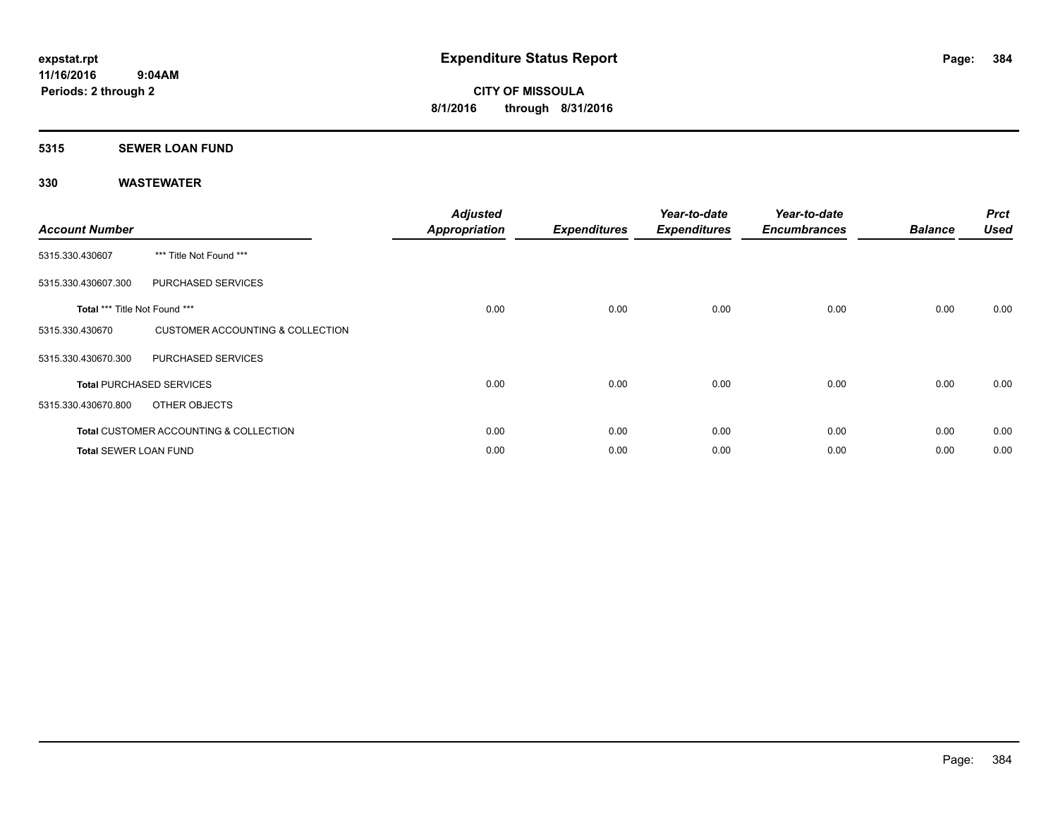# **5315 SEWER LOAN FUND**

| <b>Account Number</b>                |                                                   | <b>Adjusted</b><br><b>Appropriation</b> | <b>Expenditures</b> | Year-to-date<br><b>Expenditures</b> | Year-to-date<br><b>Encumbrances</b> | <b>Balance</b> | <b>Prct</b><br><b>Used</b> |
|--------------------------------------|---------------------------------------------------|-----------------------------------------|---------------------|-------------------------------------|-------------------------------------|----------------|----------------------------|
| 5315.330.430607                      | *** Title Not Found ***                           |                                         |                     |                                     |                                     |                |                            |
| 5315.330.430607.300                  | PURCHASED SERVICES                                |                                         |                     |                                     |                                     |                |                            |
| <b>Total *** Title Not Found ***</b> |                                                   | 0.00                                    | 0.00                | 0.00                                | 0.00                                | 0.00           | 0.00                       |
| 5315.330.430670                      | <b>CUSTOMER ACCOUNTING &amp; COLLECTION</b>       |                                         |                     |                                     |                                     |                |                            |
| 5315.330.430670.300                  | <b>PURCHASED SERVICES</b>                         |                                         |                     |                                     |                                     |                |                            |
|                                      | <b>Total PURCHASED SERVICES</b>                   | 0.00                                    | 0.00                | 0.00                                | 0.00                                | 0.00           | 0.00                       |
| 5315.330.430670.800                  | OTHER OBJECTS                                     |                                         |                     |                                     |                                     |                |                            |
|                                      | <b>Total CUSTOMER ACCOUNTING &amp; COLLECTION</b> | 0.00                                    | 0.00                | 0.00                                | 0.00                                | 0.00           | 0.00                       |
| <b>Total SEWER LOAN FUND</b>         |                                                   | 0.00                                    | 0.00                | 0.00                                | 0.00                                | 0.00           | 0.00                       |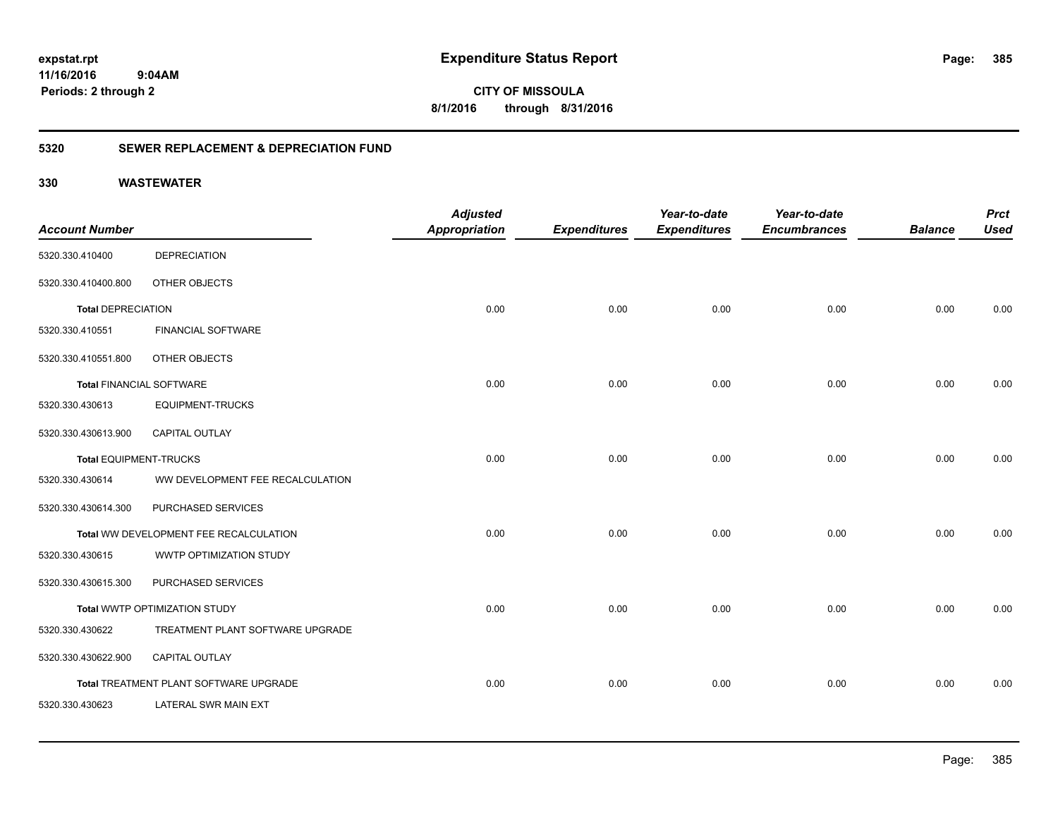**385**

**CITY OF MISSOULA 8/1/2016 through 8/31/2016**

### **5320 SEWER REPLACEMENT & DEPRECIATION FUND**

| <b>Account Number</b>           |                                        | <b>Adjusted</b><br><b>Appropriation</b> | <b>Expenditures</b> | Year-to-date<br><b>Expenditures</b> | Year-to-date<br><b>Encumbrances</b> | <b>Balance</b> | <b>Prct</b><br><b>Used</b> |
|---------------------------------|----------------------------------------|-----------------------------------------|---------------------|-------------------------------------|-------------------------------------|----------------|----------------------------|
| 5320.330.410400                 | <b>DEPRECIATION</b>                    |                                         |                     |                                     |                                     |                |                            |
| 5320.330.410400.800             | OTHER OBJECTS                          |                                         |                     |                                     |                                     |                |                            |
| <b>Total DEPRECIATION</b>       |                                        | 0.00                                    | 0.00                | 0.00                                | 0.00                                | 0.00           | 0.00                       |
| 5320.330.410551                 | <b>FINANCIAL SOFTWARE</b>              |                                         |                     |                                     |                                     |                |                            |
| 5320.330.410551.800             | OTHER OBJECTS                          |                                         |                     |                                     |                                     |                |                            |
| <b>Total FINANCIAL SOFTWARE</b> |                                        | 0.00                                    | 0.00                | 0.00                                | 0.00                                | 0.00           | 0.00                       |
| 5320.330.430613                 | <b>EQUIPMENT-TRUCKS</b>                |                                         |                     |                                     |                                     |                |                            |
| 5320.330.430613.900             | <b>CAPITAL OUTLAY</b>                  |                                         |                     |                                     |                                     |                |                            |
| <b>Total EQUIPMENT-TRUCKS</b>   |                                        | 0.00                                    | 0.00                | 0.00                                | 0.00                                | 0.00           | 0.00                       |
| 5320.330.430614                 | WW DEVELOPMENT FEE RECALCULATION       |                                         |                     |                                     |                                     |                |                            |
| 5320.330.430614.300             | PURCHASED SERVICES                     |                                         |                     |                                     |                                     |                |                            |
|                                 | Total WW DEVELOPMENT FEE RECALCULATION | 0.00                                    | 0.00                | 0.00                                | 0.00                                | 0.00           | 0.00                       |
| 5320.330.430615                 | WWTP OPTIMIZATION STUDY                |                                         |                     |                                     |                                     |                |                            |
| 5320.330.430615.300             | PURCHASED SERVICES                     |                                         |                     |                                     |                                     |                |                            |
|                                 | Total WWTP OPTIMIZATION STUDY          | 0.00                                    | 0.00                | 0.00                                | 0.00                                | 0.00           | 0.00                       |
| 5320.330.430622                 | TREATMENT PLANT SOFTWARE UPGRADE       |                                         |                     |                                     |                                     |                |                            |
| 5320.330.430622.900             | <b>CAPITAL OUTLAY</b>                  |                                         |                     |                                     |                                     |                |                            |
|                                 | Total TREATMENT PLANT SOFTWARE UPGRADE | 0.00                                    | 0.00                | 0.00                                | 0.00                                | 0.00           | 0.00                       |
| 5320.330.430623                 | <b>LATERAL SWR MAIN EXT</b>            |                                         |                     |                                     |                                     |                |                            |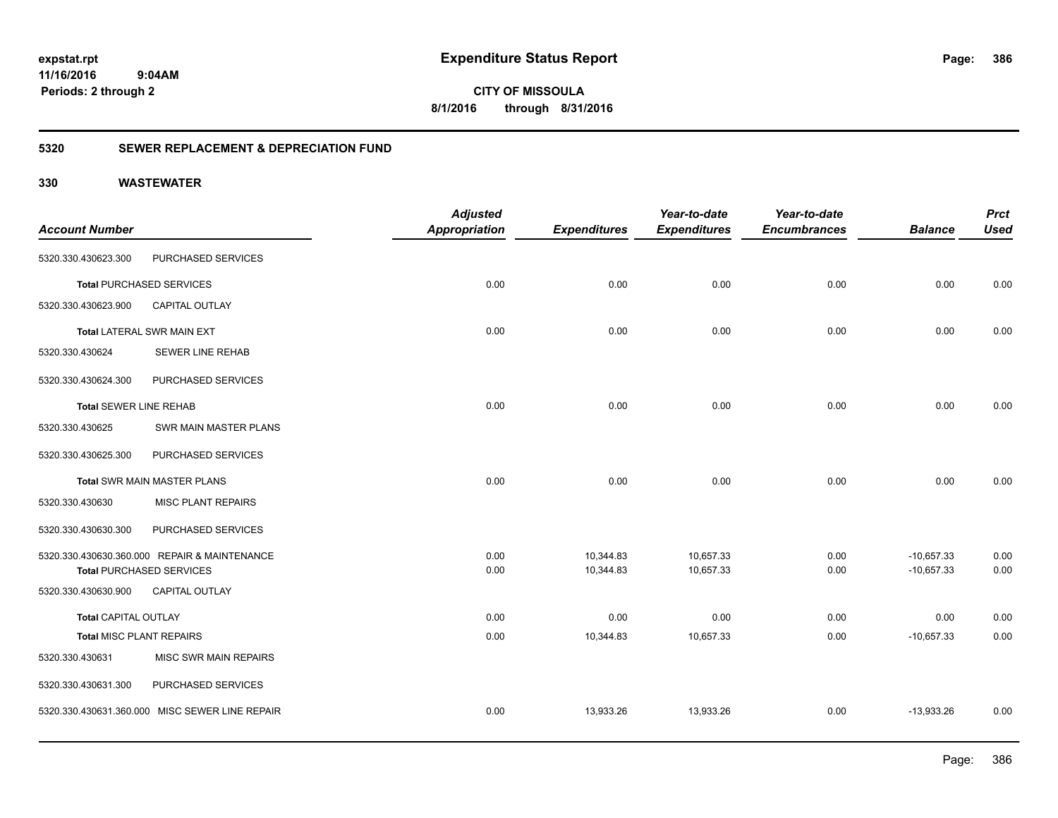**CITY OF MISSOULA 8/1/2016 through 8/31/2016**

### **5320 SEWER REPLACEMENT & DEPRECIATION FUND**

|                                 |                                                | <b>Adjusted</b>      |                     | Year-to-date        | Year-to-date        |                | <b>Prct</b> |
|---------------------------------|------------------------------------------------|----------------------|---------------------|---------------------|---------------------|----------------|-------------|
| <b>Account Number</b>           |                                                | <b>Appropriation</b> | <b>Expenditures</b> | <b>Expenditures</b> | <b>Encumbrances</b> | <b>Balance</b> | <b>Used</b> |
| 5320.330.430623.300             | PURCHASED SERVICES                             |                      |                     |                     |                     |                |             |
|                                 | <b>Total PURCHASED SERVICES</b>                | 0.00                 | 0.00                | 0.00                | 0.00                | 0.00           | 0.00        |
| 5320.330.430623.900             | <b>CAPITAL OUTLAY</b>                          |                      |                     |                     |                     |                |             |
|                                 | <b>Total LATERAL SWR MAIN EXT</b>              | 0.00                 | 0.00                | 0.00                | 0.00                | 0.00           | 0.00        |
| 5320.330.430624                 | <b>SEWER LINE REHAB</b>                        |                      |                     |                     |                     |                |             |
| 5320.330.430624.300             | PURCHASED SERVICES                             |                      |                     |                     |                     |                |             |
| <b>Total SEWER LINE REHAB</b>   |                                                | 0.00                 | 0.00                | 0.00                | 0.00                | 0.00           | 0.00        |
| 5320.330.430625                 | SWR MAIN MASTER PLANS                          |                      |                     |                     |                     |                |             |
| 5320.330.430625.300             | PURCHASED SERVICES                             |                      |                     |                     |                     |                |             |
|                                 | <b>Total SWR MAIN MASTER PLANS</b>             | 0.00                 | 0.00                | 0.00                | 0.00                | 0.00           | 0.00        |
| 5320.330.430630                 | <b>MISC PLANT REPAIRS</b>                      |                      |                     |                     |                     |                |             |
| 5320.330.430630.300             | PURCHASED SERVICES                             |                      |                     |                     |                     |                |             |
|                                 | 5320.330.430630.360.000 REPAIR & MAINTENANCE   | 0.00                 | 10,344.83           | 10,657.33           | 0.00                | $-10,657.33$   | 0.00        |
|                                 | <b>Total PURCHASED SERVICES</b>                | 0.00                 | 10,344.83           | 10,657.33           | 0.00                | $-10,657.33$   | 0.00        |
| 5320.330.430630.900             | <b>CAPITAL OUTLAY</b>                          |                      |                     |                     |                     |                |             |
| <b>Total CAPITAL OUTLAY</b>     |                                                | 0.00                 | 0.00                | 0.00                | 0.00                | 0.00           | 0.00        |
| <b>Total MISC PLANT REPAIRS</b> |                                                | 0.00                 | 10,344.83           | 10,657.33           | 0.00                | $-10,657.33$   | 0.00        |
| 5320.330.430631                 | <b>MISC SWR MAIN REPAIRS</b>                   |                      |                     |                     |                     |                |             |
| 5320.330.430631.300             | PURCHASED SERVICES                             |                      |                     |                     |                     |                |             |
|                                 | 5320.330.430631.360.000 MISC SEWER LINE REPAIR | 0.00                 | 13,933.26           | 13,933.26           | 0.00                | $-13,933.26$   | 0.00        |
|                                 |                                                |                      |                     |                     |                     |                |             |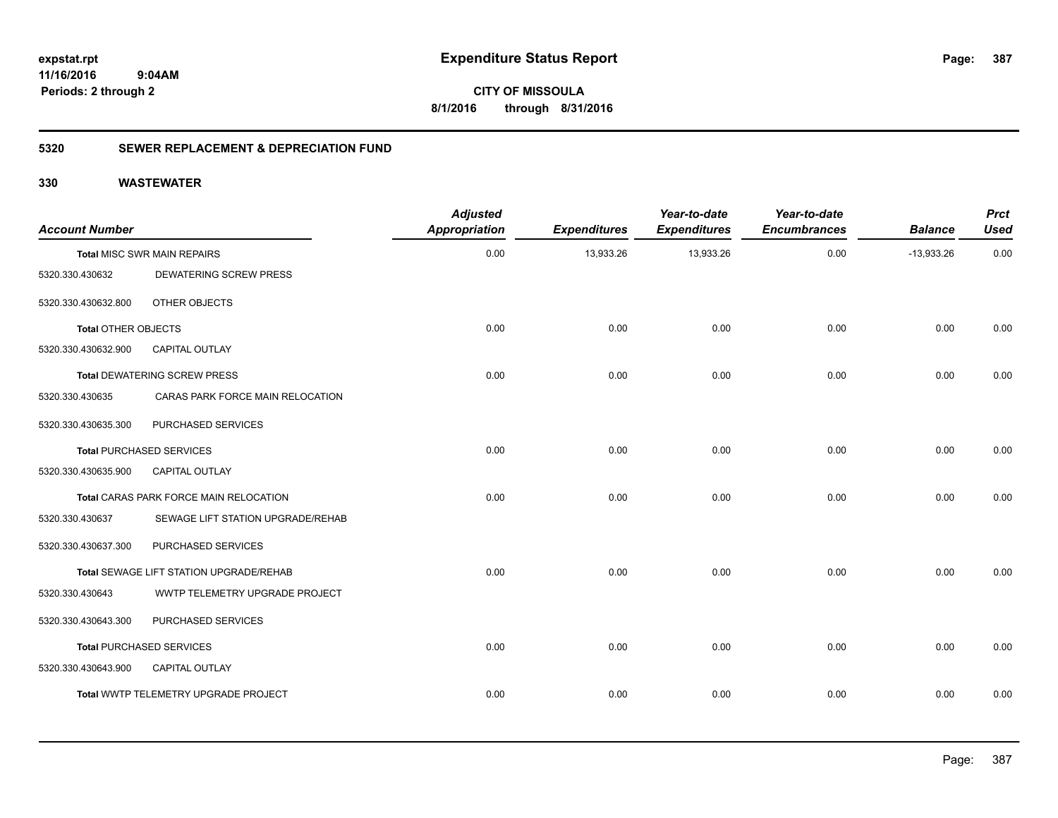**CITY OF MISSOULA 8/1/2016 through 8/31/2016**

### **5320 SEWER REPLACEMENT & DEPRECIATION FUND**

| <b>Account Number</b>      |                                                | <b>Adjusted</b><br><b>Appropriation</b> | <b>Expenditures</b> | Year-to-date<br><b>Expenditures</b> | Year-to-date<br><b>Encumbrances</b> | <b>Balance</b> | <b>Prct</b><br><b>Used</b> |
|----------------------------|------------------------------------------------|-----------------------------------------|---------------------|-------------------------------------|-------------------------------------|----------------|----------------------------|
|                            | <b>Total MISC SWR MAIN REPAIRS</b>             | 0.00                                    | 13,933.26           | 13,933.26                           | 0.00                                | $-13,933.26$   | 0.00                       |
| 5320.330.430632            | <b>DEWATERING SCREW PRESS</b>                  |                                         |                     |                                     |                                     |                |                            |
| 5320.330.430632.800        | OTHER OBJECTS                                  |                                         |                     |                                     |                                     |                |                            |
| <b>Total OTHER OBJECTS</b> |                                                | 0.00                                    | 0.00                | 0.00                                | 0.00                                | 0.00           | 0.00                       |
| 5320.330.430632.900        | CAPITAL OUTLAY                                 |                                         |                     |                                     |                                     |                |                            |
|                            | <b>Total DEWATERING SCREW PRESS</b>            | 0.00                                    | 0.00                | 0.00                                | 0.00                                | 0.00           | 0.00                       |
| 5320.330.430635            | CARAS PARK FORCE MAIN RELOCATION               |                                         |                     |                                     |                                     |                |                            |
| 5320.330.430635.300        | PURCHASED SERVICES                             |                                         |                     |                                     |                                     |                |                            |
|                            | <b>Total PURCHASED SERVICES</b>                | 0.00                                    | 0.00                | 0.00                                | 0.00                                | 0.00           | 0.00                       |
| 5320.330.430635.900        | <b>CAPITAL OUTLAY</b>                          |                                         |                     |                                     |                                     |                |                            |
|                            | Total CARAS PARK FORCE MAIN RELOCATION         | 0.00                                    | 0.00                | 0.00                                | 0.00                                | 0.00           | 0.00                       |
| 5320.330.430637            | SEWAGE LIFT STATION UPGRADE/REHAB              |                                         |                     |                                     |                                     |                |                            |
| 5320.330.430637.300        | PURCHASED SERVICES                             |                                         |                     |                                     |                                     |                |                            |
|                            | <b>Total SEWAGE LIFT STATION UPGRADE/REHAB</b> | 0.00                                    | 0.00                | 0.00                                | 0.00                                | 0.00           | 0.00                       |
| 5320.330.430643            | WWTP TELEMETRY UPGRADE PROJECT                 |                                         |                     |                                     |                                     |                |                            |
| 5320.330.430643.300        | PURCHASED SERVICES                             |                                         |                     |                                     |                                     |                |                            |
|                            | <b>Total PURCHASED SERVICES</b>                | 0.00                                    | 0.00                | 0.00                                | 0.00                                | 0.00           | 0.00                       |
| 5320.330.430643.900        | CAPITAL OUTLAY                                 |                                         |                     |                                     |                                     |                |                            |
|                            | Total WWTP TELEMETRY UPGRADE PROJECT           | 0.00                                    | 0.00                | 0.00                                | 0.00                                | 0.00           | 0.00                       |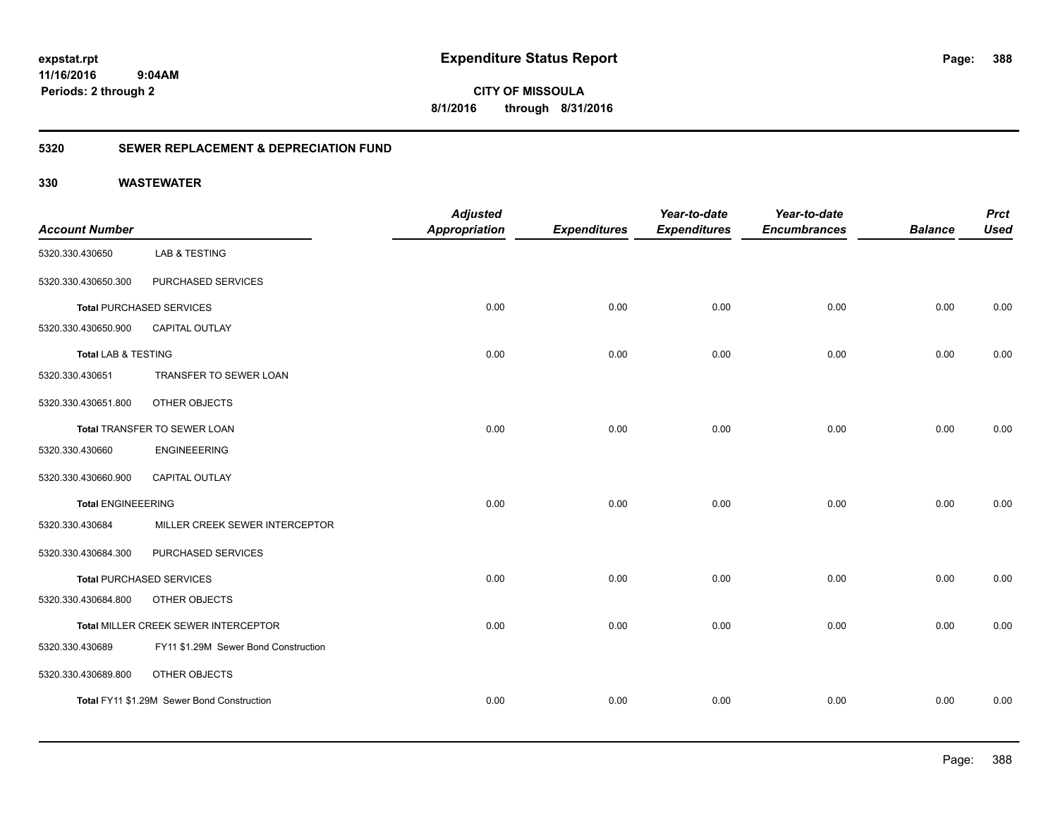**CITY OF MISSOULA 8/1/2016 through 8/31/2016**

### **5320 SEWER REPLACEMENT & DEPRECIATION FUND**

| <b>Account Number</b>          |                                            | <b>Adjusted</b><br><b>Appropriation</b> | <b>Expenditures</b> | Year-to-date<br><b>Expenditures</b> | Year-to-date<br><b>Encumbrances</b> | <b>Balance</b> | <b>Prct</b><br><b>Used</b> |
|--------------------------------|--------------------------------------------|-----------------------------------------|---------------------|-------------------------------------|-------------------------------------|----------------|----------------------------|
| 5320.330.430650                | <b>LAB &amp; TESTING</b>                   |                                         |                     |                                     |                                     |                |                            |
| 5320.330.430650.300            | PURCHASED SERVICES                         |                                         |                     |                                     |                                     |                |                            |
|                                | <b>Total PURCHASED SERVICES</b>            | 0.00                                    | 0.00                | 0.00                                | 0.00                                | 0.00           | 0.00                       |
| 5320.330.430650.900            | CAPITAL OUTLAY                             |                                         |                     |                                     |                                     |                |                            |
| <b>Total LAB &amp; TESTING</b> |                                            | 0.00                                    | 0.00                | 0.00                                | 0.00                                | 0.00           | 0.00                       |
| 5320.330.430651                | TRANSFER TO SEWER LOAN                     |                                         |                     |                                     |                                     |                |                            |
| 5320.330.430651.800            | OTHER OBJECTS                              |                                         |                     |                                     |                                     |                |                            |
|                                | Total TRANSFER TO SEWER LOAN               | 0.00                                    | 0.00                | 0.00                                | 0.00                                | 0.00           | 0.00                       |
| 5320.330.430660                | <b>ENGINEEERING</b>                        |                                         |                     |                                     |                                     |                |                            |
| 5320.330.430660.900            | <b>CAPITAL OUTLAY</b>                      |                                         |                     |                                     |                                     |                |                            |
| <b>Total ENGINEEERING</b>      |                                            | 0.00                                    | 0.00                | 0.00                                | 0.00                                | 0.00           | 0.00                       |
| 5320.330.430684                | MILLER CREEK SEWER INTERCEPTOR             |                                         |                     |                                     |                                     |                |                            |
| 5320.330.430684.300            | PURCHASED SERVICES                         |                                         |                     |                                     |                                     |                |                            |
|                                | <b>Total PURCHASED SERVICES</b>            | 0.00                                    | 0.00                | 0.00                                | 0.00                                | 0.00           | 0.00                       |
| 5320.330.430684.800            | OTHER OBJECTS                              |                                         |                     |                                     |                                     |                |                            |
|                                | Total MILLER CREEK SEWER INTERCEPTOR       | 0.00                                    | 0.00                | 0.00                                | 0.00                                | 0.00           | 0.00                       |
| 5320.330.430689                | FY11 \$1.29M Sewer Bond Construction       |                                         |                     |                                     |                                     |                |                            |
| 5320.330.430689.800            | OTHER OBJECTS                              |                                         |                     |                                     |                                     |                |                            |
|                                | Total FY11 \$1.29M Sewer Bond Construction | 0.00                                    | 0.00                | 0.00                                | 0.00                                | 0.00           | 0.00                       |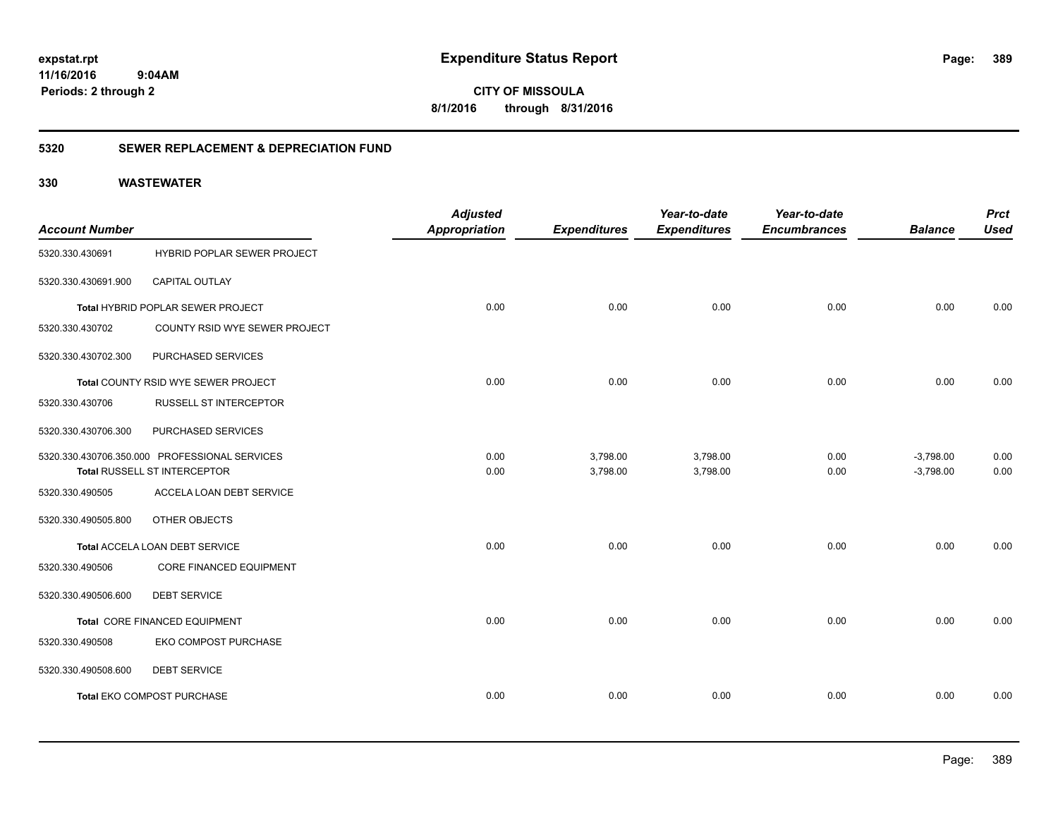**CITY OF MISSOULA 8/1/2016 through 8/31/2016**

### **5320 SEWER REPLACEMENT & DEPRECIATION FUND**

| <b>Account Number</b> |                                               | <b>Adjusted</b><br><b>Appropriation</b> | <b>Expenditures</b> | Year-to-date<br><b>Expenditures</b> | Year-to-date<br><b>Encumbrances</b> | <b>Balance</b> | <b>Prct</b><br><b>Used</b> |
|-----------------------|-----------------------------------------------|-----------------------------------------|---------------------|-------------------------------------|-------------------------------------|----------------|----------------------------|
| 5320.330.430691       | HYBRID POPLAR SEWER PROJECT                   |                                         |                     |                                     |                                     |                |                            |
| 5320.330.430691.900   | CAPITAL OUTLAY                                |                                         |                     |                                     |                                     |                |                            |
|                       | Total HYBRID POPLAR SEWER PROJECT             | 0.00                                    | 0.00                | 0.00                                | 0.00                                | 0.00           | 0.00                       |
| 5320.330.430702       | COUNTY RSID WYE SEWER PROJECT                 |                                         |                     |                                     |                                     |                |                            |
| 5320.330.430702.300   | PURCHASED SERVICES                            |                                         |                     |                                     |                                     |                |                            |
|                       | Total COUNTY RSID WYE SEWER PROJECT           | 0.00                                    | 0.00                | 0.00                                | 0.00                                | 0.00           | 0.00                       |
| 5320.330.430706       | RUSSELL ST INTERCEPTOR                        |                                         |                     |                                     |                                     |                |                            |
| 5320.330.430706.300   | PURCHASED SERVICES                            |                                         |                     |                                     |                                     |                |                            |
|                       | 5320.330.430706.350.000 PROFESSIONAL SERVICES | 0.00                                    | 3,798.00            | 3,798.00                            | 0.00                                | $-3,798.00$    | 0.00                       |
|                       | Total RUSSELL ST INTERCEPTOR                  | 0.00                                    | 3,798.00            | 3,798.00                            | 0.00                                | $-3,798.00$    | 0.00                       |
| 5320.330.490505       | ACCELA LOAN DEBT SERVICE                      |                                         |                     |                                     |                                     |                |                            |
| 5320.330.490505.800   | OTHER OBJECTS                                 |                                         |                     |                                     |                                     |                |                            |
|                       | Total ACCELA LOAN DEBT SERVICE                | 0.00                                    | 0.00                | 0.00                                | 0.00                                | 0.00           | 0.00                       |
| 5320.330.490506       | CORE FINANCED EQUIPMENT                       |                                         |                     |                                     |                                     |                |                            |
| 5320.330.490506.600   | <b>DEBT SERVICE</b>                           |                                         |                     |                                     |                                     |                |                            |
|                       | Total CORE FINANCED EQUIPMENT                 | 0.00                                    | 0.00                | 0.00                                | 0.00                                | 0.00           | 0.00                       |
| 5320.330.490508       | EKO COMPOST PURCHASE                          |                                         |                     |                                     |                                     |                |                            |
| 5320.330.490508.600   | <b>DEBT SERVICE</b>                           |                                         |                     |                                     |                                     |                |                            |
|                       | <b>Total EKO COMPOST PURCHASE</b>             | 0.00                                    | 0.00                | 0.00                                | 0.00                                | 0.00           | 0.00                       |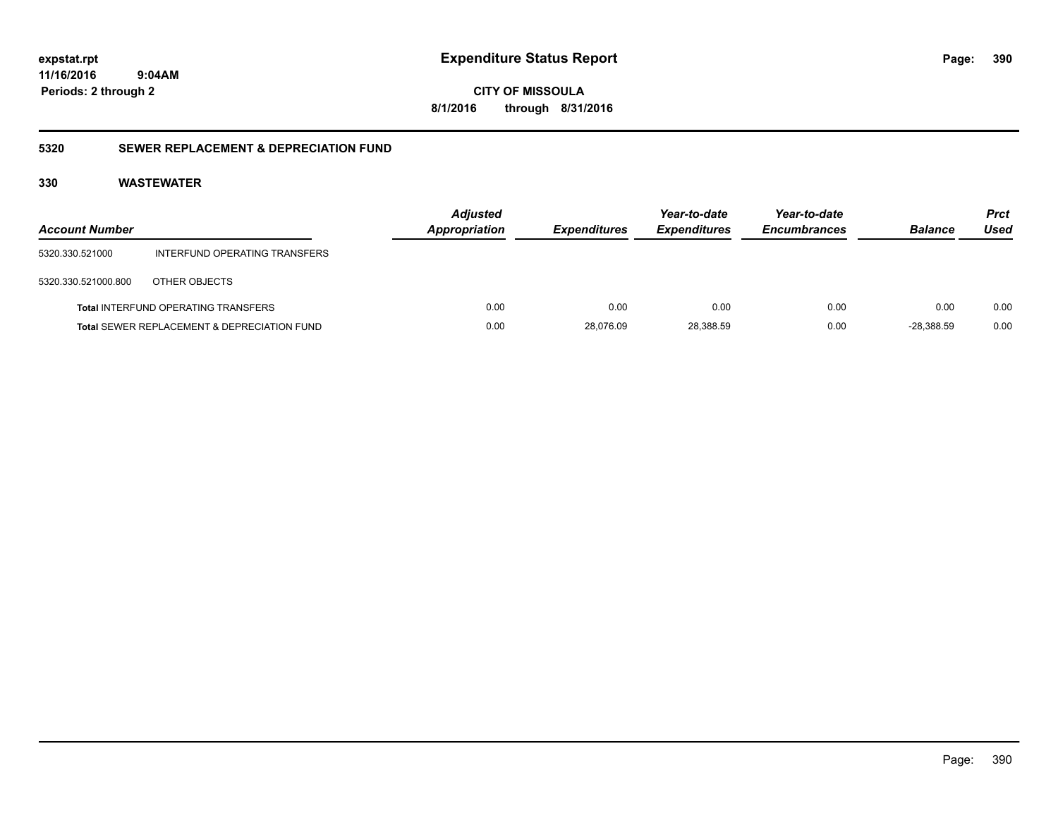**CITY OF MISSOULA 8/1/2016 through 8/31/2016**

### **5320 SEWER REPLACEMENT & DEPRECIATION FUND**

| <b>Account Number</b> |                                                        | <b>Adjusted</b><br><b>Appropriation</b> | <b>Expenditures</b> | Year-to-date<br><b>Expenditures</b> | Year-to-date<br><b>Encumbrances</b> | <b>Balance</b> | <b>Prct</b><br>Used |
|-----------------------|--------------------------------------------------------|-----------------------------------------|---------------------|-------------------------------------|-------------------------------------|----------------|---------------------|
| 5320.330.521000       | INTERFUND OPERATING TRANSFERS                          |                                         |                     |                                     |                                     |                |                     |
| 5320.330.521000.800   | OTHER OBJECTS                                          |                                         |                     |                                     |                                     |                |                     |
|                       | <b>Total INTERFUND OPERATING TRANSFERS</b>             | 0.00                                    | 0.00                | 0.00                                | 0.00                                | 0.00           | 0.00                |
|                       | <b>Total SEWER REPLACEMENT &amp; DEPRECIATION FUND</b> | 0.00                                    | 28,076.09           | 28,388.59                           | 0.00                                | $-28.388.59$   | 0.00                |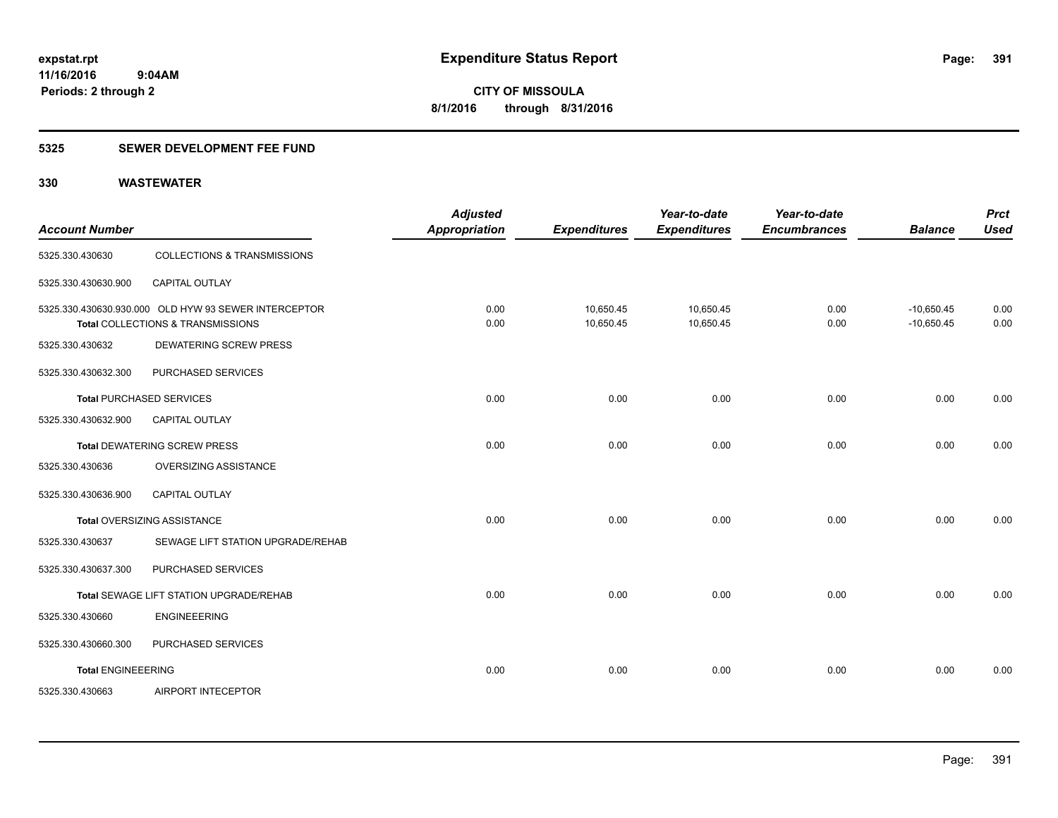### **5325 SEWER DEVELOPMENT FEE FUND**

| <b>Account Number</b>     |                                                                                           | <b>Adjusted</b><br><b>Appropriation</b> | <b>Expenditures</b>    | Year-to-date<br><b>Expenditures</b> | Year-to-date<br><b>Encumbrances</b> | <b>Balance</b>               | <b>Prct</b><br><b>Used</b> |
|---------------------------|-------------------------------------------------------------------------------------------|-----------------------------------------|------------------------|-------------------------------------|-------------------------------------|------------------------------|----------------------------|
| 5325.330.430630           | <b>COLLECTIONS &amp; TRANSMISSIONS</b>                                                    |                                         |                        |                                     |                                     |                              |                            |
| 5325.330.430630.900       | <b>CAPITAL OUTLAY</b>                                                                     |                                         |                        |                                     |                                     |                              |                            |
|                           | 5325.330.430630.930.000 OLD HYW 93 SEWER INTERCEPTOR<br>Total COLLECTIONS & TRANSMISSIONS | 0.00<br>0.00                            | 10,650.45<br>10,650.45 | 10,650.45<br>10,650.45              | 0.00<br>0.00                        | $-10,650.45$<br>$-10,650.45$ | 0.00<br>0.00               |
| 5325.330.430632           | <b>DEWATERING SCREW PRESS</b>                                                             |                                         |                        |                                     |                                     |                              |                            |
| 5325.330.430632.300       | PURCHASED SERVICES                                                                        |                                         |                        |                                     |                                     |                              |                            |
|                           | <b>Total PURCHASED SERVICES</b>                                                           | 0.00                                    | 0.00                   | 0.00                                | 0.00                                | 0.00                         | 0.00                       |
| 5325.330.430632.900       | <b>CAPITAL OUTLAY</b>                                                                     |                                         |                        |                                     |                                     |                              |                            |
|                           | <b>Total DEWATERING SCREW PRESS</b>                                                       | 0.00                                    | 0.00                   | 0.00                                | 0.00                                | 0.00                         | 0.00                       |
| 5325.330.430636           | OVERSIZING ASSISTANCE                                                                     |                                         |                        |                                     |                                     |                              |                            |
| 5325.330.430636.900       | <b>CAPITAL OUTLAY</b>                                                                     |                                         |                        |                                     |                                     |                              |                            |
|                           | Total OVERSIZING ASSISTANCE                                                               | 0.00                                    | 0.00                   | 0.00                                | 0.00                                | 0.00                         | 0.00                       |
| 5325.330.430637           | SEWAGE LIFT STATION UPGRADE/REHAB                                                         |                                         |                        |                                     |                                     |                              |                            |
| 5325.330.430637.300       | PURCHASED SERVICES                                                                        |                                         |                        |                                     |                                     |                              |                            |
|                           | <b>Total SEWAGE LIFT STATION UPGRADE/REHAB</b>                                            | 0.00                                    | 0.00                   | 0.00                                | 0.00                                | 0.00                         | 0.00                       |
| 5325.330.430660           | <b>ENGINEEERING</b>                                                                       |                                         |                        |                                     |                                     |                              |                            |
| 5325.330.430660.300       | PURCHASED SERVICES                                                                        |                                         |                        |                                     |                                     |                              |                            |
| <b>Total ENGINEEERING</b> |                                                                                           | 0.00                                    | 0.00                   | 0.00                                | 0.00                                | 0.00                         | 0.00                       |
| 5325.330.430663           | AIRPORT INTECEPTOR                                                                        |                                         |                        |                                     |                                     |                              |                            |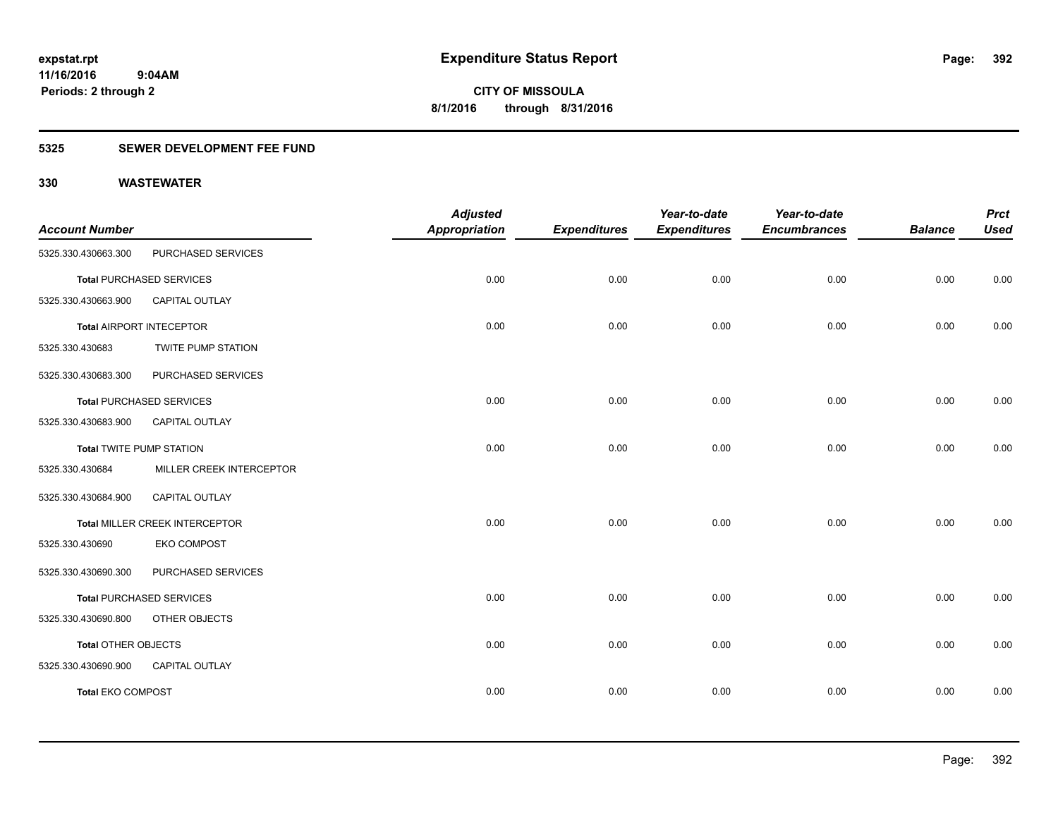### **5325 SEWER DEVELOPMENT FEE FUND**

|                                 |                                 | <b>Adjusted</b>      |                     | Year-to-date        | Year-to-date        |                | <b>Prct</b> |
|---------------------------------|---------------------------------|----------------------|---------------------|---------------------|---------------------|----------------|-------------|
| <b>Account Number</b>           |                                 | <b>Appropriation</b> | <b>Expenditures</b> | <b>Expenditures</b> | <b>Encumbrances</b> | <b>Balance</b> | <b>Used</b> |
| 5325.330.430663.300             | PURCHASED SERVICES              |                      |                     |                     |                     |                |             |
|                                 | <b>Total PURCHASED SERVICES</b> | 0.00                 | 0.00                | 0.00                | 0.00                | 0.00           | 0.00        |
| 5325.330.430663.900             | CAPITAL OUTLAY                  |                      |                     |                     |                     |                |             |
|                                 | <b>Total AIRPORT INTECEPTOR</b> | 0.00                 | 0.00                | 0.00                | 0.00                | 0.00           | 0.00        |
| 5325.330.430683                 | <b>TWITE PUMP STATION</b>       |                      |                     |                     |                     |                |             |
| 5325.330.430683.300             | PURCHASED SERVICES              |                      |                     |                     |                     |                |             |
|                                 | <b>Total PURCHASED SERVICES</b> | 0.00                 | 0.00                | 0.00                | 0.00                | 0.00           | 0.00        |
| 5325.330.430683.900             | CAPITAL OUTLAY                  |                      |                     |                     |                     |                |             |
| <b>Total TWITE PUMP STATION</b> |                                 | 0.00                 | 0.00                | 0.00                | 0.00                | 0.00           | 0.00        |
| 5325.330.430684                 | MILLER CREEK INTERCEPTOR        |                      |                     |                     |                     |                |             |
| 5325.330.430684.900             | CAPITAL OUTLAY                  |                      |                     |                     |                     |                |             |
|                                 | Total MILLER CREEK INTERCEPTOR  | 0.00                 | 0.00                | 0.00                | 0.00                | 0.00           | 0.00        |
| 5325.330.430690                 | <b>EKO COMPOST</b>              |                      |                     |                     |                     |                |             |
| 5325.330.430690.300             | PURCHASED SERVICES              |                      |                     |                     |                     |                |             |
|                                 | <b>Total PURCHASED SERVICES</b> | 0.00                 | 0.00                | 0.00                | 0.00                | 0.00           | 0.00        |
| 5325.330.430690.800             | OTHER OBJECTS                   |                      |                     |                     |                     |                |             |
| <b>Total OTHER OBJECTS</b>      |                                 | 0.00                 | 0.00                | 0.00                | 0.00                | 0.00           | 0.00        |
| 5325.330.430690.900             | CAPITAL OUTLAY                  |                      |                     |                     |                     |                |             |
| <b>Total EKO COMPOST</b>        |                                 | 0.00                 | 0.00                | 0.00                | 0.00                | 0.00           | 0.00        |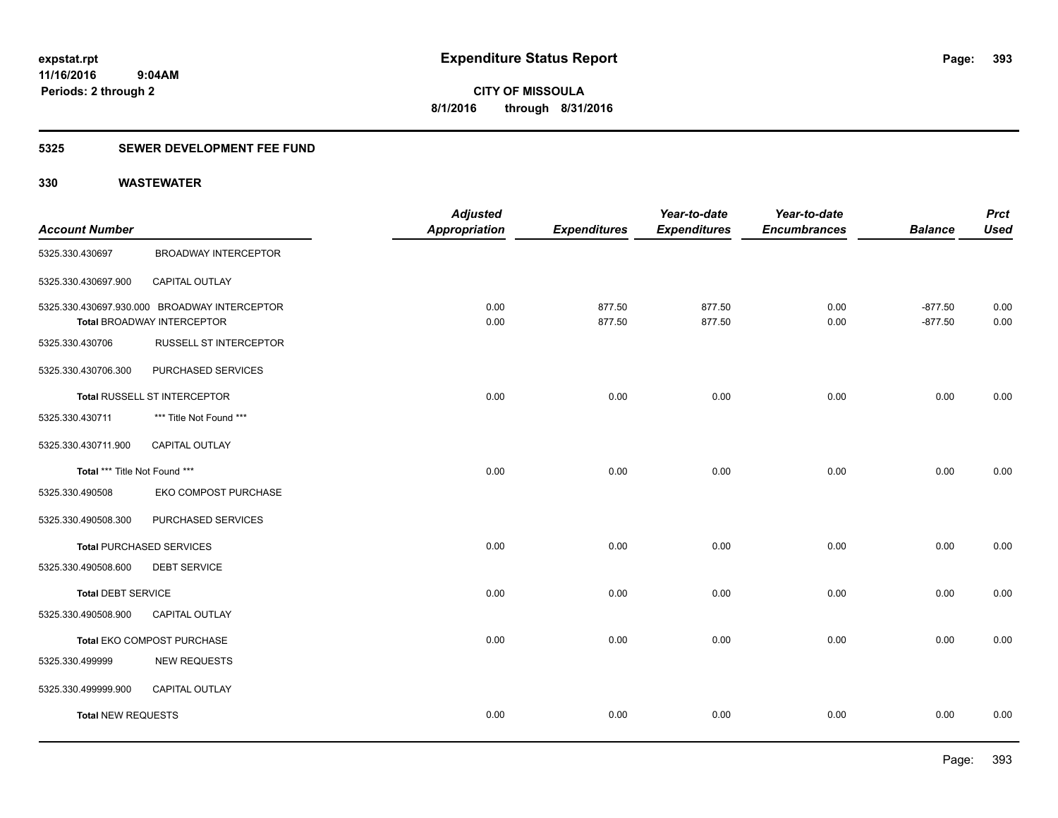### **5325 SEWER DEVELOPMENT FEE FUND**

|                               |                                                                                   | <b>Adjusted</b>      |                     | Year-to-date        | Year-to-date        |                        | <b>Prct</b>  |
|-------------------------------|-----------------------------------------------------------------------------------|----------------------|---------------------|---------------------|---------------------|------------------------|--------------|
| <b>Account Number</b>         |                                                                                   | <b>Appropriation</b> | <b>Expenditures</b> | <b>Expenditures</b> | <b>Encumbrances</b> | <b>Balance</b>         | <b>Used</b>  |
| 5325.330.430697               | <b>BROADWAY INTERCEPTOR</b>                                                       |                      |                     |                     |                     |                        |              |
| 5325.330.430697.900           | CAPITAL OUTLAY                                                                    |                      |                     |                     |                     |                        |              |
|                               | 5325.330.430697.930.000 BROADWAY INTERCEPTOR<br><b>Total BROADWAY INTERCEPTOR</b> | 0.00<br>0.00         | 877.50<br>877.50    | 877.50<br>877.50    | 0.00<br>0.00        | $-877.50$<br>$-877.50$ | 0.00<br>0.00 |
| 5325.330.430706               | RUSSELL ST INTERCEPTOR                                                            |                      |                     |                     |                     |                        |              |
| 5325.330.430706.300           | PURCHASED SERVICES                                                                |                      |                     |                     |                     |                        |              |
|                               | Total RUSSELL ST INTERCEPTOR                                                      | 0.00                 | 0.00                | 0.00                | 0.00                | 0.00                   | 0.00         |
| 5325.330.430711               | *** Title Not Found ***                                                           |                      |                     |                     |                     |                        |              |
| 5325.330.430711.900           | <b>CAPITAL OUTLAY</b>                                                             |                      |                     |                     |                     |                        |              |
| Total *** Title Not Found *** |                                                                                   | 0.00                 | 0.00                | 0.00                | 0.00                | 0.00                   | 0.00         |
| 5325.330.490508               | EKO COMPOST PURCHASE                                                              |                      |                     |                     |                     |                        |              |
| 5325.330.490508.300           | PURCHASED SERVICES                                                                |                      |                     |                     |                     |                        |              |
|                               | <b>Total PURCHASED SERVICES</b>                                                   | 0.00                 | 0.00                | 0.00                | 0.00                | 0.00                   | 0.00         |
| 5325.330.490508.600           | <b>DEBT SERVICE</b>                                                               |                      |                     |                     |                     |                        |              |
| <b>Total DEBT SERVICE</b>     |                                                                                   | 0.00                 | 0.00                | 0.00                | 0.00                | 0.00                   | 0.00         |
| 5325.330.490508.900           | <b>CAPITAL OUTLAY</b>                                                             |                      |                     |                     |                     |                        |              |
|                               | Total EKO COMPOST PURCHASE                                                        | 0.00                 | 0.00                | 0.00                | 0.00                | 0.00                   | 0.00         |
| 5325.330.499999               | <b>NEW REQUESTS</b>                                                               |                      |                     |                     |                     |                        |              |
| 5325.330.499999.900           | CAPITAL OUTLAY                                                                    |                      |                     |                     |                     |                        |              |
| <b>Total NEW REQUESTS</b>     |                                                                                   | 0.00                 | 0.00                | 0.00                | 0.00                | 0.00                   | 0.00         |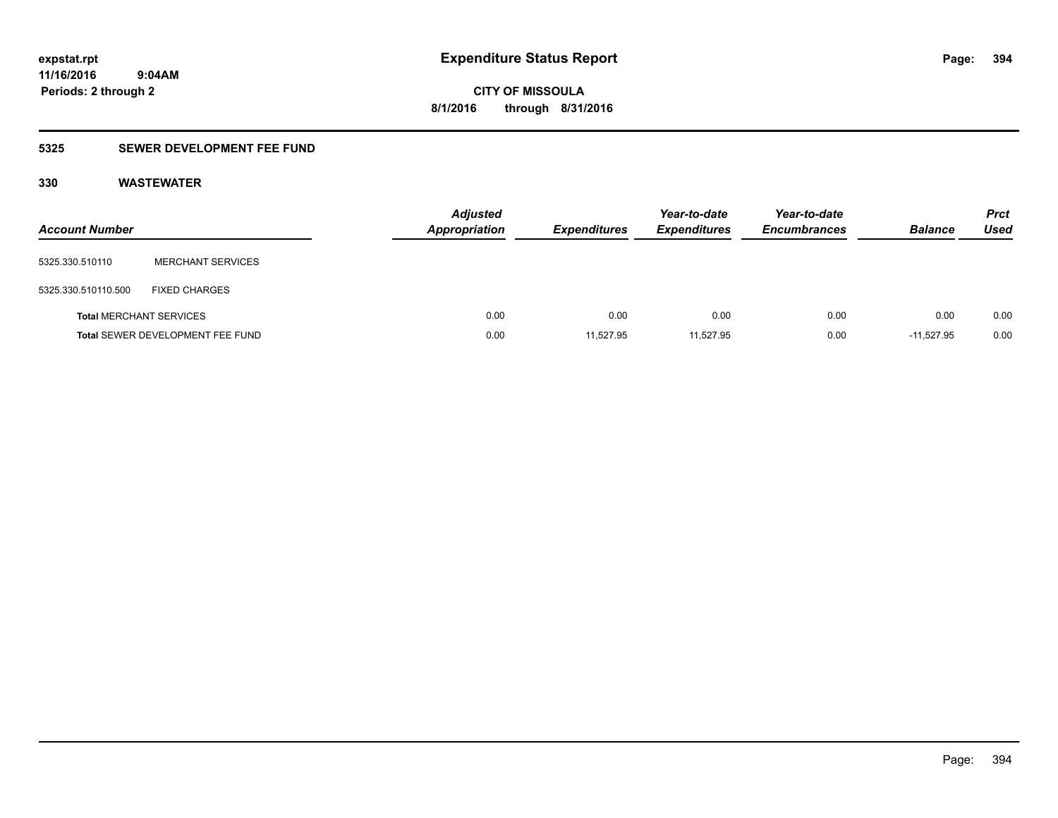**CITY OF MISSOULA 8/1/2016 through 8/31/2016**

### **5325 SEWER DEVELOPMENT FEE FUND**

| <b>Account Number</b>          |                                  | <b>Adjusted</b><br>Appropriation | <b>Expenditures</b> | Year-to-date<br><b>Expenditures</b> | Year-to-date<br><b>Encumbrances</b> | <b>Balance</b> | <b>Prct</b><br>Used |
|--------------------------------|----------------------------------|----------------------------------|---------------------|-------------------------------------|-------------------------------------|----------------|---------------------|
| 5325.330.510110                | <b>MERCHANT SERVICES</b>         |                                  |                     |                                     |                                     |                |                     |
| 5325.330.510110.500            | <b>FIXED CHARGES</b>             |                                  |                     |                                     |                                     |                |                     |
| <b>Total MERCHANT SERVICES</b> |                                  | 0.00                             | 0.00                | 0.00                                | 0.00                                | 0.00           | 0.00                |
|                                | Total SEWER DEVELOPMENT FEE FUND | 0.00                             | 11,527.95           | 11,527.95                           | 0.00                                | $-11.527.95$   | 0.00                |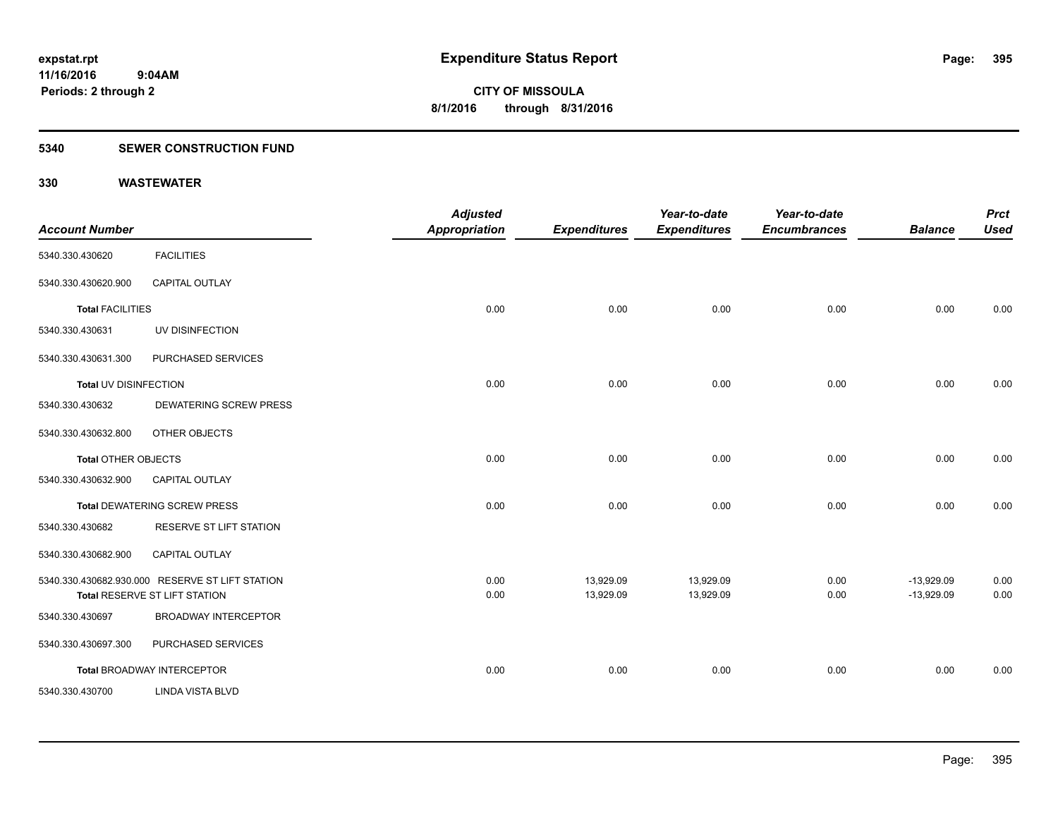#### **5340 SEWER CONSTRUCTION FUND**

| <b>Account Number</b>      |                                                                                  | <b>Adjusted</b><br><b>Appropriation</b> | <b>Expenditures</b>    | Year-to-date<br><b>Expenditures</b> | Year-to-date<br><b>Encumbrances</b> | <b>Balance</b>               | <b>Prct</b><br><b>Used</b> |
|----------------------------|----------------------------------------------------------------------------------|-----------------------------------------|------------------------|-------------------------------------|-------------------------------------|------------------------------|----------------------------|
| 5340.330.430620            | <b>FACILITIES</b>                                                                |                                         |                        |                                     |                                     |                              |                            |
| 5340.330.430620.900        | <b>CAPITAL OUTLAY</b>                                                            |                                         |                        |                                     |                                     |                              |                            |
| <b>Total FACILITIES</b>    |                                                                                  | 0.00                                    | 0.00                   | 0.00                                | 0.00                                | 0.00                         | 0.00                       |
| 5340.330.430631            | UV DISINFECTION                                                                  |                                         |                        |                                     |                                     |                              |                            |
| 5340.330.430631.300        | PURCHASED SERVICES                                                               |                                         |                        |                                     |                                     |                              |                            |
| Total UV DISINFECTION      |                                                                                  | 0.00                                    | 0.00                   | 0.00                                | 0.00                                | 0.00                         | 0.00                       |
| 5340.330.430632            | <b>DEWATERING SCREW PRESS</b>                                                    |                                         |                        |                                     |                                     |                              |                            |
| 5340.330.430632.800        | OTHER OBJECTS                                                                    |                                         |                        |                                     |                                     |                              |                            |
| <b>Total OTHER OBJECTS</b> |                                                                                  | 0.00                                    | 0.00                   | 0.00                                | 0.00                                | 0.00                         | 0.00                       |
| 5340.330.430632.900        | CAPITAL OUTLAY                                                                   |                                         |                        |                                     |                                     |                              |                            |
|                            | <b>Total DEWATERING SCREW PRESS</b>                                              | 0.00                                    | 0.00                   | 0.00                                | 0.00                                | 0.00                         | 0.00                       |
| 5340.330.430682            | RESERVE ST LIFT STATION                                                          |                                         |                        |                                     |                                     |                              |                            |
| 5340.330.430682.900        | CAPITAL OUTLAY                                                                   |                                         |                        |                                     |                                     |                              |                            |
|                            | 5340.330.430682.930.000 RESERVE ST LIFT STATION<br>Total RESERVE ST LIFT STATION | 0.00<br>0.00                            | 13,929.09<br>13,929.09 | 13,929.09<br>13,929.09              | 0.00<br>0.00                        | $-13,929.09$<br>$-13,929.09$ | 0.00<br>0.00               |
| 5340.330.430697            | <b>BROADWAY INTERCEPTOR</b>                                                      |                                         |                        |                                     |                                     |                              |                            |
| 5340.330.430697.300        | PURCHASED SERVICES                                                               |                                         |                        |                                     |                                     |                              |                            |
|                            | <b>Total BROADWAY INTERCEPTOR</b>                                                | 0.00                                    | 0.00                   | 0.00                                | 0.00                                | 0.00                         | 0.00                       |
| 5340.330.430700            | <b>LINDA VISTA BLVD</b>                                                          |                                         |                        |                                     |                                     |                              |                            |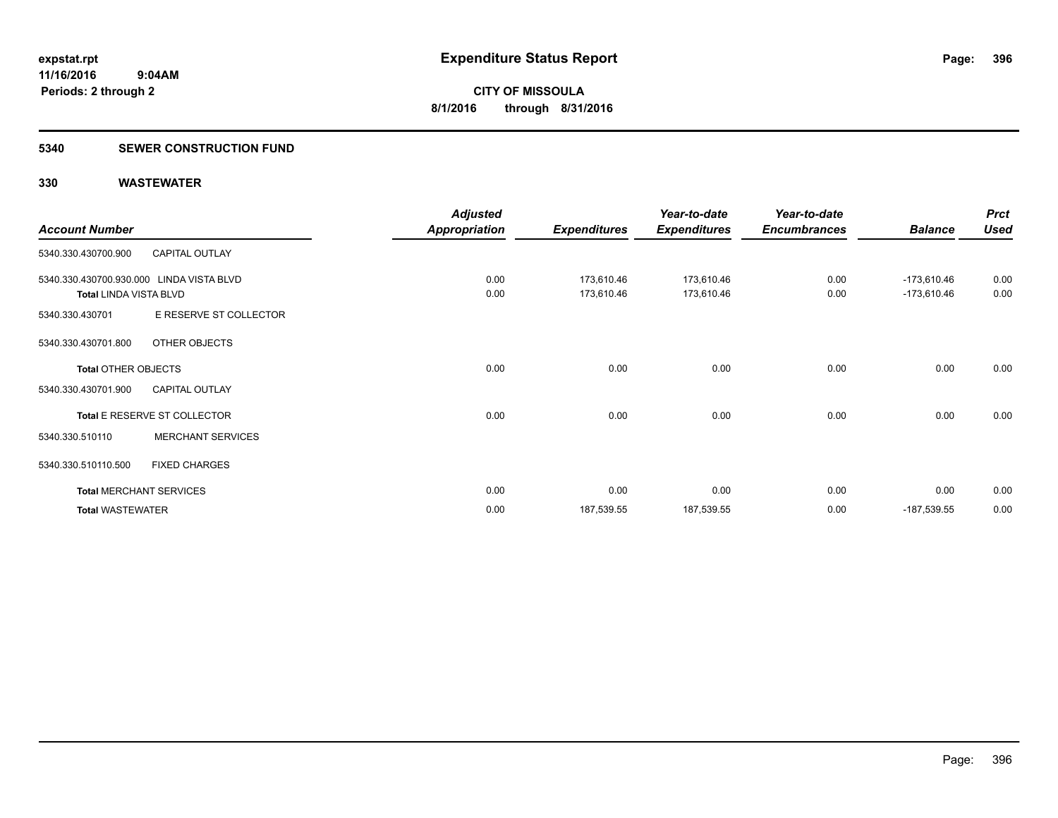#### **5340 SEWER CONSTRUCTION FUND**

|                               |                                          | <b>Adjusted</b>      |                     | Year-to-date        | Year-to-date        |                | <b>Prct</b> |
|-------------------------------|------------------------------------------|----------------------|---------------------|---------------------|---------------------|----------------|-------------|
| <b>Account Number</b>         |                                          | <b>Appropriation</b> | <b>Expenditures</b> | <b>Expenditures</b> | <b>Encumbrances</b> | <b>Balance</b> | <b>Used</b> |
| 5340.330.430700.900           | <b>CAPITAL OUTLAY</b>                    |                      |                     |                     |                     |                |             |
|                               | 5340.330.430700.930.000 LINDA VISTA BLVD | 0.00                 | 173,610.46          | 173,610.46          | 0.00                | $-173,610.46$  | 0.00        |
| <b>Total LINDA VISTA BLVD</b> |                                          | 0.00                 | 173,610.46          | 173,610.46          | 0.00                | $-173,610.46$  | 0.00        |
| 5340.330.430701               | E RESERVE ST COLLECTOR                   |                      |                     |                     |                     |                |             |
| 5340.330.430701.800           | OTHER OBJECTS                            |                      |                     |                     |                     |                |             |
| <b>Total OTHER OBJECTS</b>    |                                          | 0.00                 | 0.00                | 0.00                | 0.00                | 0.00           | 0.00        |
| 5340.330.430701.900           | <b>CAPITAL OUTLAY</b>                    |                      |                     |                     |                     |                |             |
|                               | Total E RESERVE ST COLLECTOR             | 0.00                 | 0.00                | 0.00                | 0.00                | 0.00           | 0.00        |
| 5340.330.510110               | <b>MERCHANT SERVICES</b>                 |                      |                     |                     |                     |                |             |
| 5340.330.510110.500           | <b>FIXED CHARGES</b>                     |                      |                     |                     |                     |                |             |
|                               | <b>Total MERCHANT SERVICES</b>           | 0.00                 | 0.00                | 0.00                | 0.00                | 0.00           | 0.00        |
| <b>Total WASTEWATER</b>       |                                          | 0.00                 | 187,539.55          | 187,539.55          | 0.00                | -187,539.55    | 0.00        |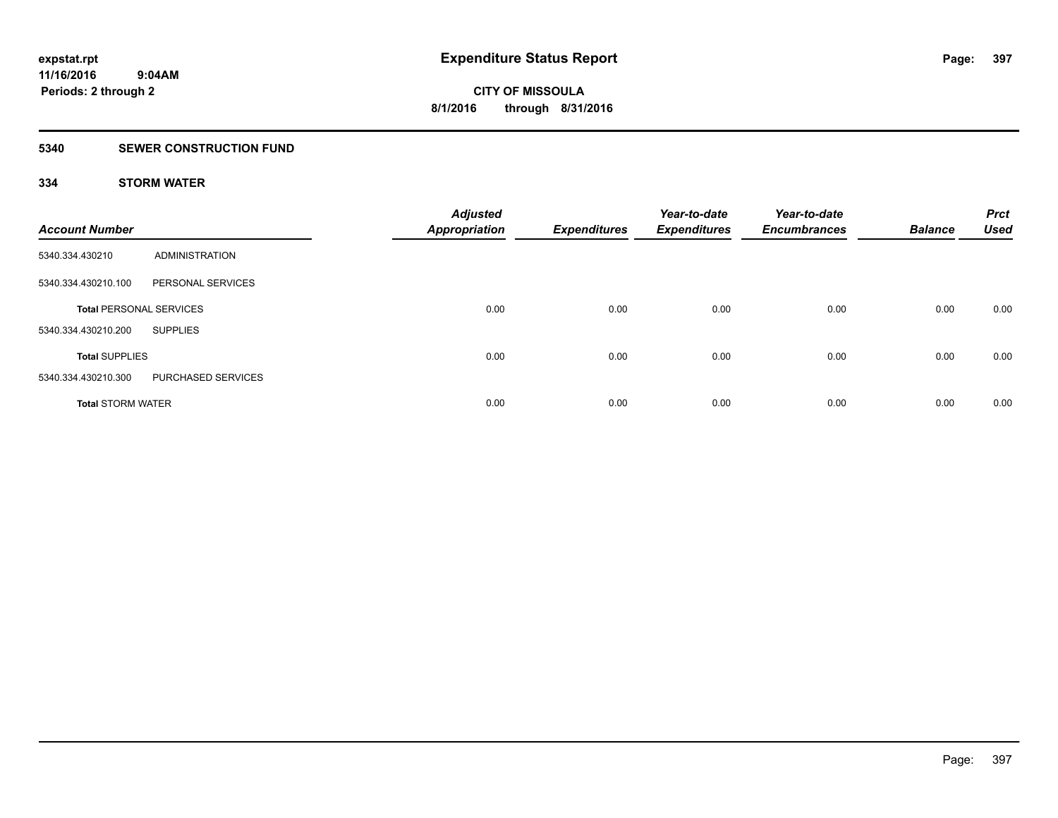### **5340 SEWER CONSTRUCTION FUND**

### **334 STORM WATER**

| <b>Account Number</b>          |                       | <b>Adjusted</b><br><b>Appropriation</b> | <b>Expenditures</b> | Year-to-date<br><b>Expenditures</b> | Year-to-date<br><b>Encumbrances</b> | <b>Balance</b> | <b>Prct</b><br><b>Used</b> |
|--------------------------------|-----------------------|-----------------------------------------|---------------------|-------------------------------------|-------------------------------------|----------------|----------------------------|
| 5340.334.430210                | <b>ADMINISTRATION</b> |                                         |                     |                                     |                                     |                |                            |
| 5340.334.430210.100            | PERSONAL SERVICES     |                                         |                     |                                     |                                     |                |                            |
| <b>Total PERSONAL SERVICES</b> |                       | 0.00                                    | 0.00                | 0.00                                | 0.00                                | 0.00           | 0.00                       |
| 5340.334.430210.200            | <b>SUPPLIES</b>       |                                         |                     |                                     |                                     |                |                            |
| <b>Total SUPPLIES</b>          |                       | 0.00                                    | 0.00                | 0.00                                | 0.00                                | 0.00           | 0.00                       |
| 5340.334.430210.300            | PURCHASED SERVICES    |                                         |                     |                                     |                                     |                |                            |
| <b>Total STORM WATER</b>       |                       | 0.00                                    | 0.00                | 0.00                                | 0.00                                | 0.00           | 0.00                       |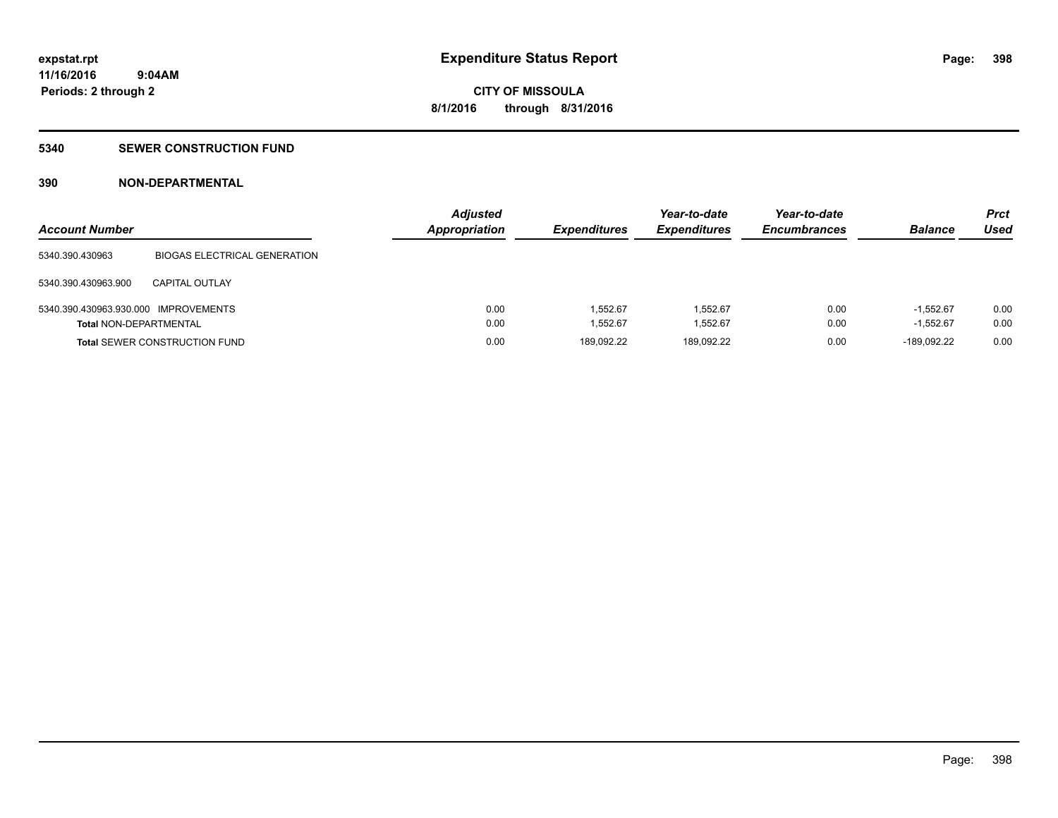### **5340 SEWER CONSTRUCTION FUND**

### **390 NON-DEPARTMENTAL**

| <b>Account Number</b>                |                                      | <b>Adjusted</b><br><b>Appropriation</b> | <b>Expenditures</b> | Year-to-date<br><b>Expenditures</b> | Year-to-date<br><b>Encumbrances</b> | <b>Balance</b> | <b>Prct</b><br>Used |
|--------------------------------------|--------------------------------------|-----------------------------------------|---------------------|-------------------------------------|-------------------------------------|----------------|---------------------|
| 5340.390.430963                      | <b>BIOGAS ELECTRICAL GENERATION</b>  |                                         |                     |                                     |                                     |                |                     |
| 5340.390.430963.900                  | CAPITAL OUTLAY                       |                                         |                     |                                     |                                     |                |                     |
| 5340.390.430963.930.000 IMPROVEMENTS |                                      | 0.00                                    | 1.552.67            | 1.552.67                            | 0.00                                | $-1.552.67$    | 0.00                |
| <b>Total NON-DEPARTMENTAL</b>        |                                      | 0.00                                    | 1.552.67            | 1,552.67                            | 0.00                                | $-1.552.67$    | 0.00                |
|                                      | <b>Total SEWER CONSTRUCTION FUND</b> | 0.00                                    | 189.092.22          | 189.092.22                          | 0.00                                | $-189.092.22$  | 0.00                |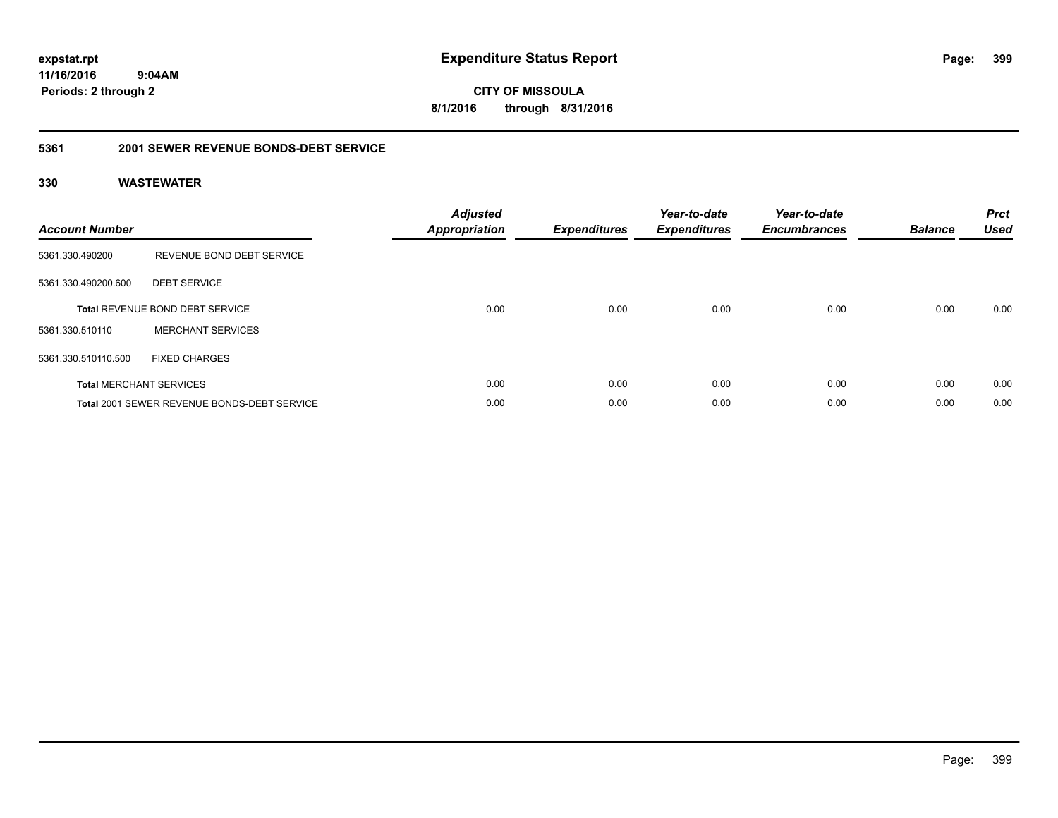**CITY OF MISSOULA 8/1/2016 through 8/31/2016**

#### **5361 2001 SEWER REVENUE BONDS-DEBT SERVICE**

| <b>Account Number</b> |                                                    | <b>Adjusted</b><br>Appropriation | <b>Expenditures</b> | Year-to-date<br><b>Expenditures</b> | Year-to-date<br><b>Encumbrances</b> | <b>Balance</b> | <b>Prct</b><br><b>Used</b> |
|-----------------------|----------------------------------------------------|----------------------------------|---------------------|-------------------------------------|-------------------------------------|----------------|----------------------------|
| 5361.330.490200       | REVENUE BOND DEBT SERVICE                          |                                  |                     |                                     |                                     |                |                            |
| 5361.330.490200.600   | <b>DEBT SERVICE</b>                                |                                  |                     |                                     |                                     |                |                            |
|                       | <b>Total REVENUE BOND DEBT SERVICE</b>             | 0.00                             | 0.00                | 0.00                                | 0.00                                | 0.00           | 0.00                       |
| 5361.330.510110       | <b>MERCHANT SERVICES</b>                           |                                  |                     |                                     |                                     |                |                            |
| 5361.330.510110.500   | <b>FIXED CHARGES</b>                               |                                  |                     |                                     |                                     |                |                            |
|                       | <b>Total MERCHANT SERVICES</b>                     | 0.00                             | 0.00                | 0.00                                | 0.00                                | 0.00           | 0.00                       |
|                       | <b>Total 2001 SEWER REVENUE BONDS-DEBT SERVICE</b> | 0.00                             | 0.00                | 0.00                                | 0.00                                | 0.00           | 0.00                       |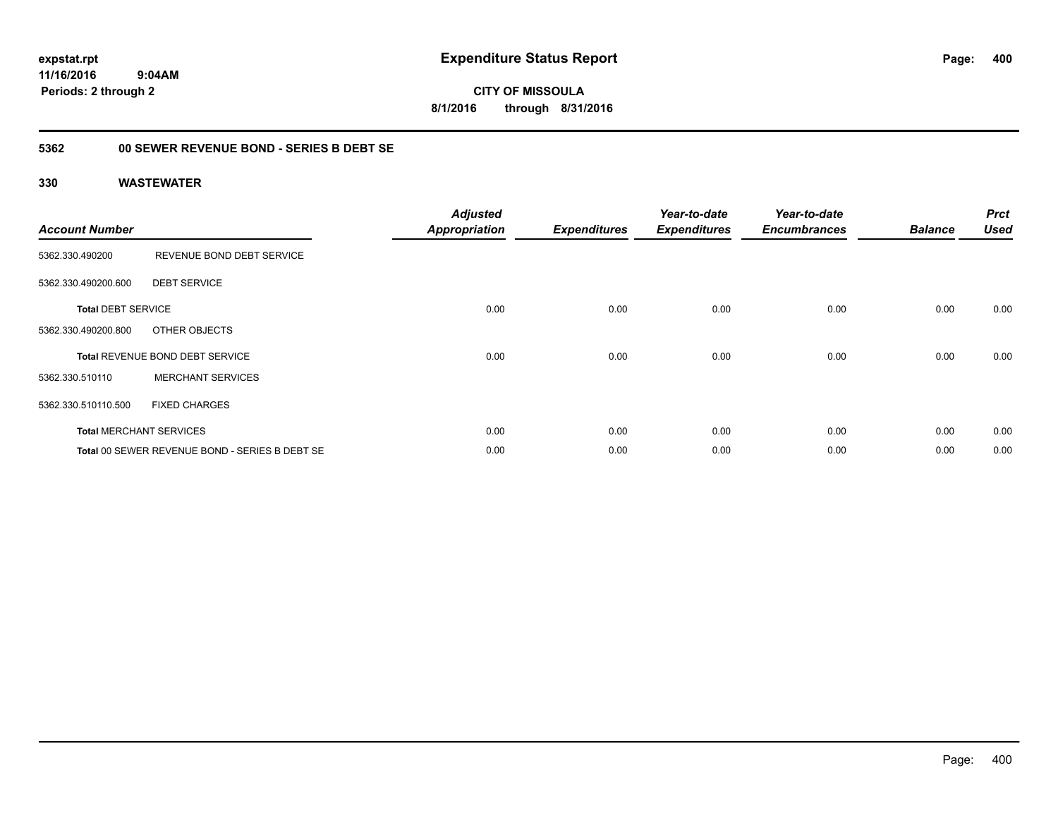**expstat.rpt Expenditure Status Report** 

**11/16/2016 9:04AM Periods: 2 through 2**

**CITY OF MISSOULA 8/1/2016 through 8/31/2016**

### **5362 00 SEWER REVENUE BOND - SERIES B DEBT SE**

| <b>Account Number</b>     |                                                | <b>Adjusted</b><br><b>Appropriation</b> | <b>Expenditures</b> | Year-to-date<br><b>Expenditures</b> | Year-to-date<br><b>Encumbrances</b> | <b>Balance</b> | <b>Prct</b><br><b>Used</b> |
|---------------------------|------------------------------------------------|-----------------------------------------|---------------------|-------------------------------------|-------------------------------------|----------------|----------------------------|
| 5362.330.490200           | REVENUE BOND DEBT SERVICE                      |                                         |                     |                                     |                                     |                |                            |
| 5362.330.490200.600       | <b>DEBT SERVICE</b>                            |                                         |                     |                                     |                                     |                |                            |
| <b>Total DEBT SERVICE</b> |                                                | 0.00                                    | 0.00                | 0.00                                | 0.00                                | 0.00           | 0.00                       |
| 5362.330.490200.800       | OTHER OBJECTS                                  |                                         |                     |                                     |                                     |                |                            |
|                           | <b>Total REVENUE BOND DEBT SERVICE</b>         | 0.00                                    | 0.00                | 0.00                                | 0.00                                | 0.00           | 0.00                       |
| 5362.330.510110           | <b>MERCHANT SERVICES</b>                       |                                         |                     |                                     |                                     |                |                            |
| 5362.330.510110.500       | <b>FIXED CHARGES</b>                           |                                         |                     |                                     |                                     |                |                            |
|                           | <b>Total MERCHANT SERVICES</b>                 | 0.00                                    | 0.00                | 0.00                                | 0.00                                | 0.00           | 0.00                       |
|                           | Total 00 SEWER REVENUE BOND - SERIES B DEBT SE | 0.00                                    | 0.00                | 0.00                                | 0.00                                | 0.00           | 0.00                       |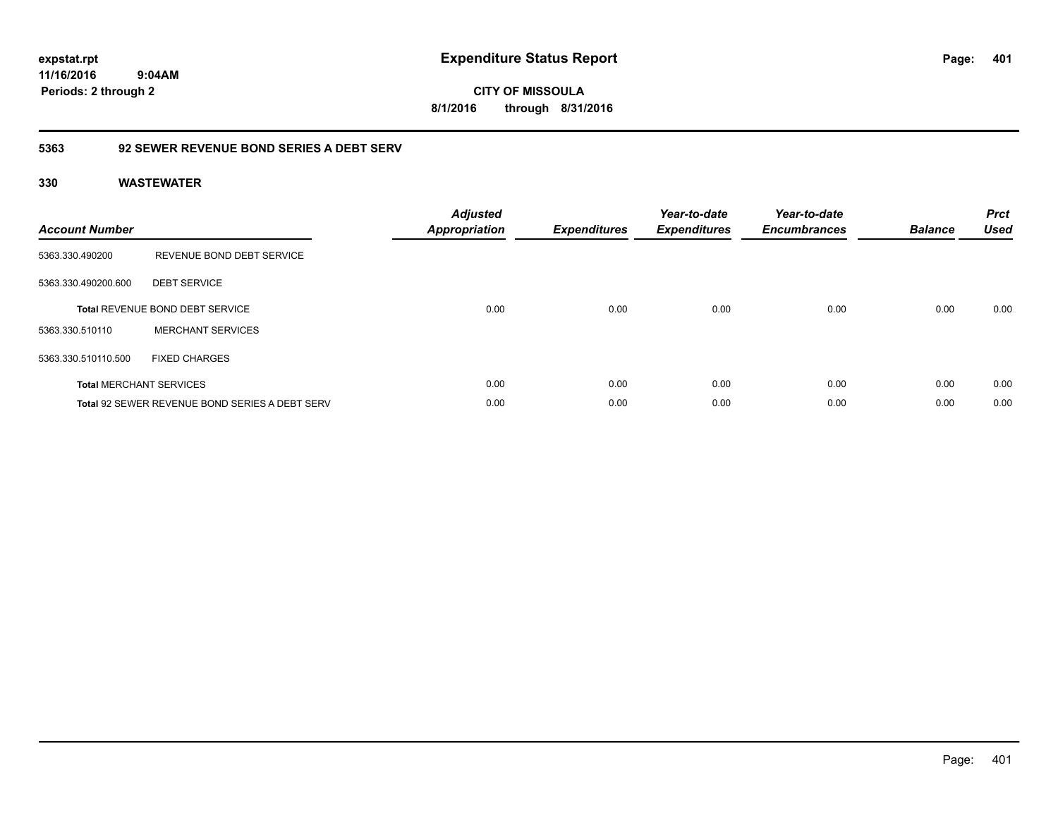**expstat.rpt Expenditure Status Report** 

**11/16/2016 9:04AM Periods: 2 through 2**

**CITY OF MISSOULA 8/1/2016 through 8/31/2016**

### **5363 92 SEWER REVENUE BOND SERIES A DEBT SERV**

| <b>Account Number</b> |                                                       | <b>Adjusted</b><br>Appropriation | <b>Expenditures</b> | Year-to-date<br><b>Expenditures</b> | Year-to-date<br><b>Encumbrances</b> | <b>Balance</b> | <b>Prct</b><br><b>Used</b> |
|-----------------------|-------------------------------------------------------|----------------------------------|---------------------|-------------------------------------|-------------------------------------|----------------|----------------------------|
| 5363.330.490200       | REVENUE BOND DEBT SERVICE                             |                                  |                     |                                     |                                     |                |                            |
| 5363.330.490200.600   | <b>DEBT SERVICE</b>                                   |                                  |                     |                                     |                                     |                |                            |
|                       | <b>Total REVENUE BOND DEBT SERVICE</b>                | 0.00                             | 0.00                | 0.00                                | 0.00                                | 0.00           | 0.00                       |
| 5363.330.510110       | <b>MERCHANT SERVICES</b>                              |                                  |                     |                                     |                                     |                |                            |
| 5363.330.510110.500   | <b>FIXED CHARGES</b>                                  |                                  |                     |                                     |                                     |                |                            |
|                       | <b>Total MERCHANT SERVICES</b>                        | 0.00                             | 0.00                | 0.00                                | 0.00                                | 0.00           | 0.00                       |
|                       | <b>Total 92 SEWER REVENUE BOND SERIES A DEBT SERV</b> | 0.00                             | 0.00                | 0.00                                | 0.00                                | 0.00           | 0.00                       |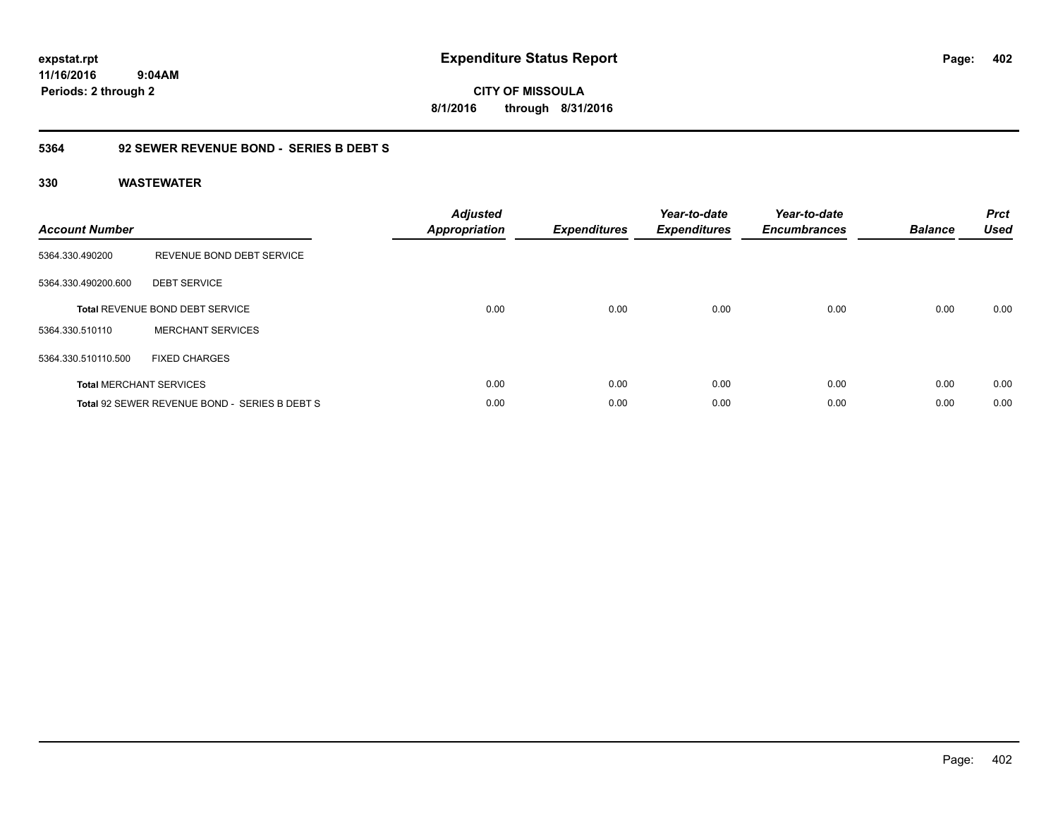**CITY OF MISSOULA 8/1/2016 through 8/31/2016**

### **5364 92 SEWER REVENUE BOND - SERIES B DEBT S**

| <b>Account Number</b> |                                               | <b>Adjusted</b><br>Appropriation | <b>Expenditures</b> | Year-to-date<br><b>Expenditures</b> | Year-to-date<br><b>Encumbrances</b> | <b>Balance</b> | <b>Prct</b><br><b>Used</b> |
|-----------------------|-----------------------------------------------|----------------------------------|---------------------|-------------------------------------|-------------------------------------|----------------|----------------------------|
| 5364.330.490200       | REVENUE BOND DEBT SERVICE                     |                                  |                     |                                     |                                     |                |                            |
| 5364.330.490200.600   | <b>DEBT SERVICE</b>                           |                                  |                     |                                     |                                     |                |                            |
|                       | Total REVENUE BOND DEBT SERVICE               | 0.00                             | 0.00                | 0.00                                | 0.00                                | 0.00           | 0.00                       |
| 5364.330.510110       | <b>MERCHANT SERVICES</b>                      |                                  |                     |                                     |                                     |                |                            |
| 5364.330.510110.500   | <b>FIXED CHARGES</b>                          |                                  |                     |                                     |                                     |                |                            |
|                       | <b>Total MERCHANT SERVICES</b>                | 0.00                             | 0.00                | 0.00                                | 0.00                                | 0.00           | 0.00                       |
|                       | Total 92 SEWER REVENUE BOND - SERIES B DEBT S | 0.00                             | 0.00                | 0.00                                | 0.00                                | 0.00           | 0.00                       |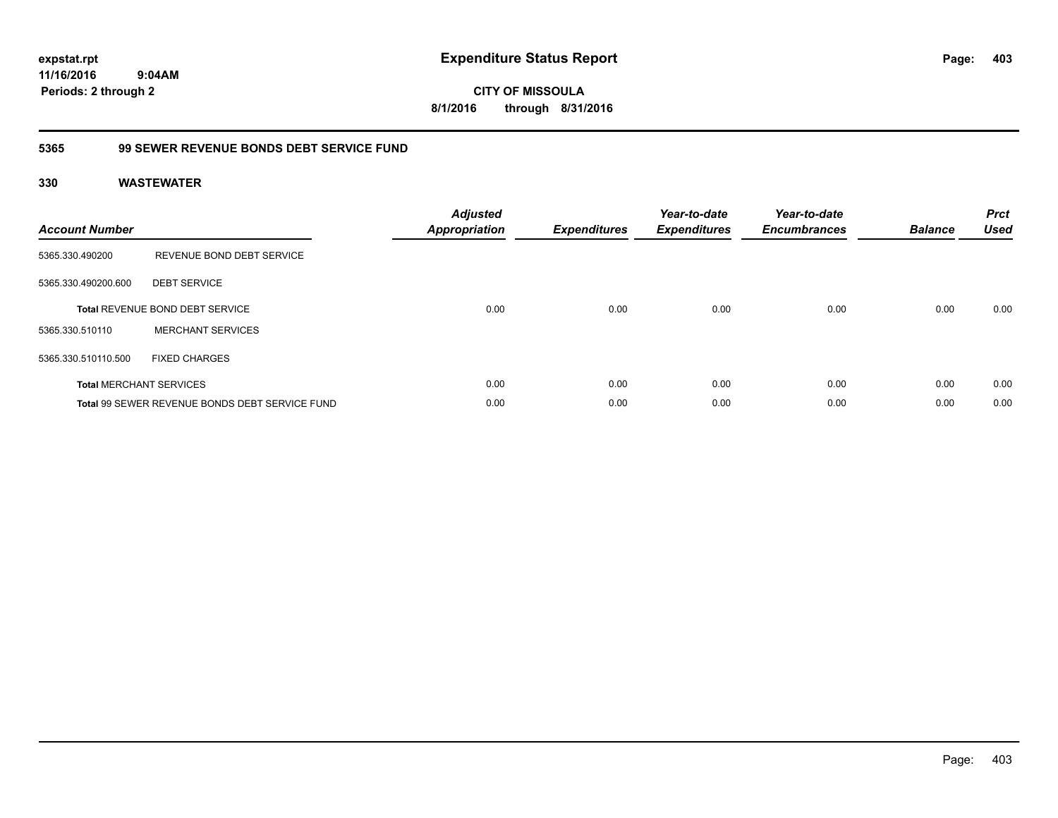**expstat.rpt Expenditure Status Report** 

**11/16/2016 9:04AM Periods: 2 through 2**

**CITY OF MISSOULA 8/1/2016 through 8/31/2016**

### **5365 99 SEWER REVENUE BONDS DEBT SERVICE FUND**

| <b>Account Number</b> |                                                | <b>Adjusted</b><br><b>Appropriation</b> | <b>Expenditures</b> | Year-to-date<br><b>Expenditures</b> | Year-to-date<br><b>Encumbrances</b> | <b>Balance</b> | <b>Prct</b><br><b>Used</b> |
|-----------------------|------------------------------------------------|-----------------------------------------|---------------------|-------------------------------------|-------------------------------------|----------------|----------------------------|
| 5365.330.490200       | REVENUE BOND DEBT SERVICE                      |                                         |                     |                                     |                                     |                |                            |
| 5365.330.490200.600   | <b>DEBT SERVICE</b>                            |                                         |                     |                                     |                                     |                |                            |
|                       | <b>Total REVENUE BOND DEBT SERVICE</b>         | 0.00                                    | 0.00                | 0.00                                | 0.00                                | 0.00           | 0.00                       |
| 5365.330.510110       | <b>MERCHANT SERVICES</b>                       |                                         |                     |                                     |                                     |                |                            |
| 5365.330.510110.500   | <b>FIXED CHARGES</b>                           |                                         |                     |                                     |                                     |                |                            |
|                       | <b>Total MERCHANT SERVICES</b>                 | 0.00                                    | 0.00                | 0.00                                | 0.00                                | 0.00           | 0.00                       |
|                       | Total 99 SEWER REVENUE BONDS DEBT SERVICE FUND | 0.00                                    | 0.00                | 0.00                                | 0.00                                | 0.00           | 0.00                       |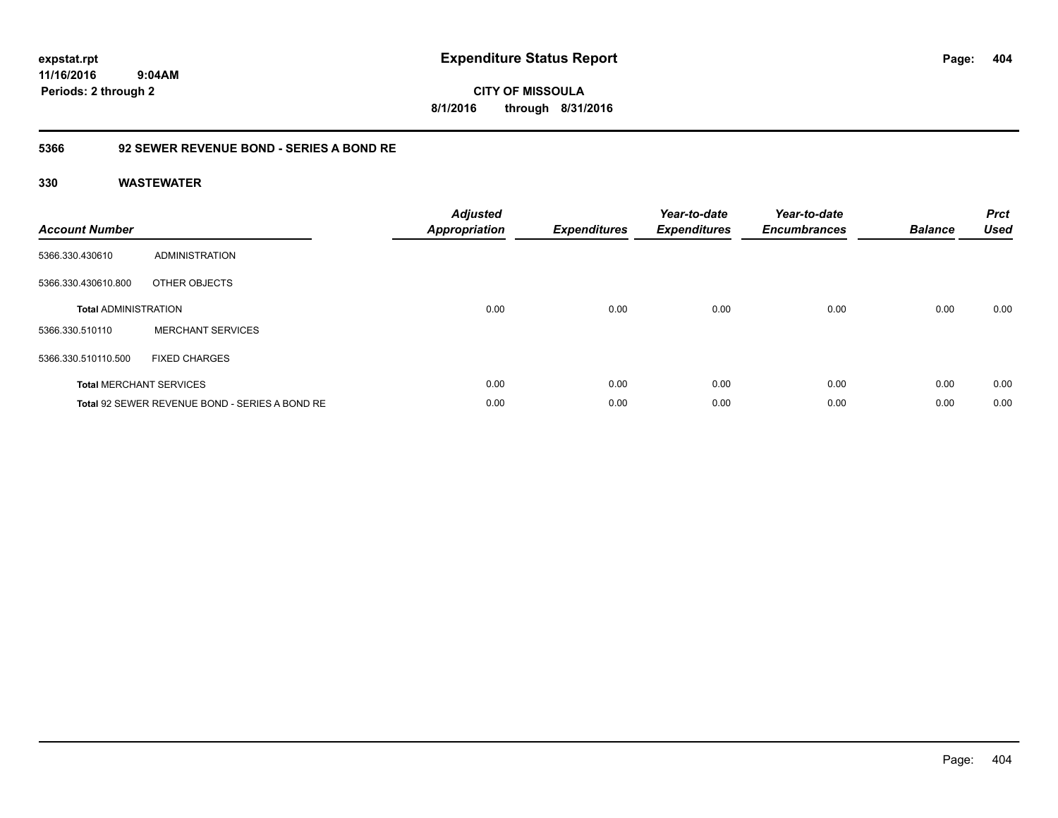**expstat.rpt Expenditure Status Report** 

**11/16/2016 9:04AM Periods: 2 through 2**

**CITY OF MISSOULA 8/1/2016 through 8/31/2016**

### **5366 92 SEWER REVENUE BOND - SERIES A BOND RE**

| <b>Account Number</b>       |                                                | <b>Adjusted</b><br>Appropriation | <b>Expenditures</b> | Year-to-date<br><b>Expenditures</b> | Year-to-date<br><b>Encumbrances</b> | <b>Balance</b> | <b>Prct</b><br><b>Used</b> |
|-----------------------------|------------------------------------------------|----------------------------------|---------------------|-------------------------------------|-------------------------------------|----------------|----------------------------|
| 5366.330.430610             | ADMINISTRATION                                 |                                  |                     |                                     |                                     |                |                            |
| 5366.330.430610.800         | OTHER OBJECTS                                  |                                  |                     |                                     |                                     |                |                            |
| <b>Total ADMINISTRATION</b> |                                                | 0.00                             | 0.00                | 0.00                                | 0.00                                | 0.00           | 0.00                       |
| 5366.330.510110             | <b>MERCHANT SERVICES</b>                       |                                  |                     |                                     |                                     |                |                            |
| 5366.330.510110.500         | <b>FIXED CHARGES</b>                           |                                  |                     |                                     |                                     |                |                            |
|                             | <b>Total MERCHANT SERVICES</b>                 | 0.00                             | 0.00                | 0.00                                | 0.00                                | 0.00           | 0.00                       |
|                             | Total 92 SEWER REVENUE BOND - SERIES A BOND RE | 0.00                             | 0.00                | 0.00                                | 0.00                                | 0.00           | 0.00                       |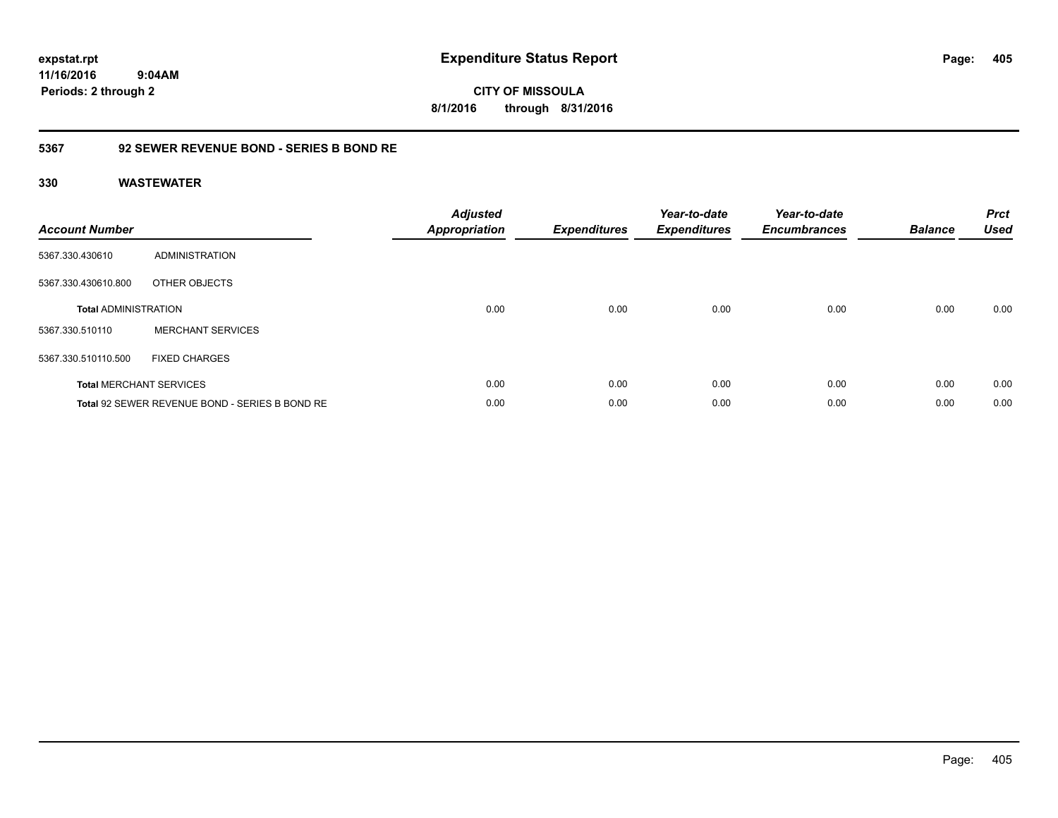**CITY OF MISSOULA 8/1/2016 through 8/31/2016**

### **5367 92 SEWER REVENUE BOND - SERIES B BOND RE**

| <b>Account Number</b>       |                                                | <b>Adjusted</b><br>Appropriation | <b>Expenditures</b> | Year-to-date<br><b>Expenditures</b> | Year-to-date<br><b>Encumbrances</b> | <b>Balance</b> | <b>Prct</b><br><b>Used</b> |
|-----------------------------|------------------------------------------------|----------------------------------|---------------------|-------------------------------------|-------------------------------------|----------------|----------------------------|
| 5367.330.430610             | <b>ADMINISTRATION</b>                          |                                  |                     |                                     |                                     |                |                            |
| 5367.330.430610.800         | OTHER OBJECTS                                  |                                  |                     |                                     |                                     |                |                            |
| <b>Total ADMINISTRATION</b> |                                                | 0.00                             | 0.00                | 0.00                                | 0.00                                | 0.00           | 0.00                       |
| 5367.330.510110             | <b>MERCHANT SERVICES</b>                       |                                  |                     |                                     |                                     |                |                            |
| 5367.330.510110.500         | <b>FIXED CHARGES</b>                           |                                  |                     |                                     |                                     |                |                            |
|                             | <b>Total MERCHANT SERVICES</b>                 | 0.00                             | 0.00                | 0.00                                | 0.00                                | 0.00           | 0.00                       |
|                             | Total 92 SEWER REVENUE BOND - SERIES B BOND RE | 0.00                             | 0.00                | 0.00                                | 0.00                                | 0.00           | 0.00                       |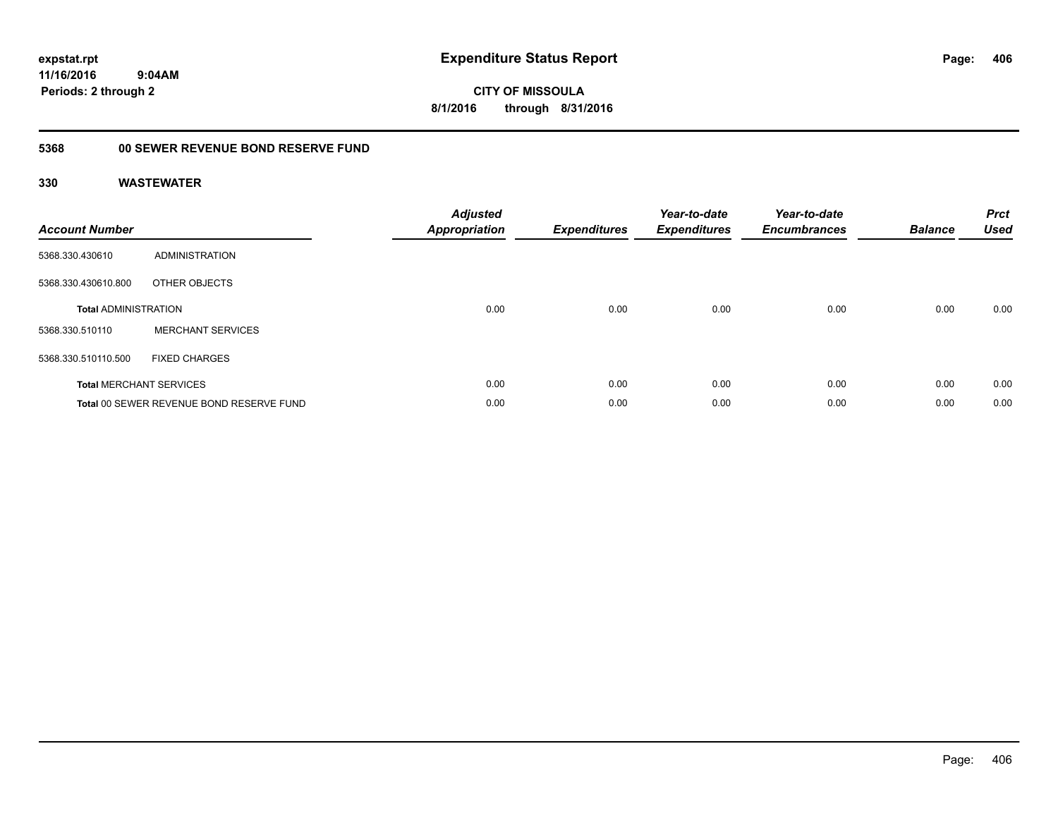**CITY OF MISSOULA 8/1/2016 through 8/31/2016**

# **5368 00 SEWER REVENUE BOND RESERVE FUND**

| <b>Account Number</b>       |                                          | <b>Adjusted</b><br>Appropriation | <b>Expenditures</b> | Year-to-date<br><b>Expenditures</b> | Year-to-date<br><b>Encumbrances</b> | <b>Balance</b> | <b>Prct</b><br><b>Used</b> |
|-----------------------------|------------------------------------------|----------------------------------|---------------------|-------------------------------------|-------------------------------------|----------------|----------------------------|
| 5368.330.430610             | ADMINISTRATION                           |                                  |                     |                                     |                                     |                |                            |
| 5368.330.430610.800         | OTHER OBJECTS                            |                                  |                     |                                     |                                     |                |                            |
| <b>Total ADMINISTRATION</b> |                                          | 0.00                             | 0.00                | 0.00                                | 0.00                                | 0.00           | 0.00                       |
| 5368.330.510110             | <b>MERCHANT SERVICES</b>                 |                                  |                     |                                     |                                     |                |                            |
| 5368.330.510110.500         | <b>FIXED CHARGES</b>                     |                                  |                     |                                     |                                     |                |                            |
|                             | <b>Total MERCHANT SERVICES</b>           | 0.00                             | 0.00                | 0.00                                | 0.00                                | 0.00           | 0.00                       |
|                             | Total 00 SEWER REVENUE BOND RESERVE FUND | 0.00                             | 0.00                | 0.00                                | 0.00                                | 0.00           | 0.00                       |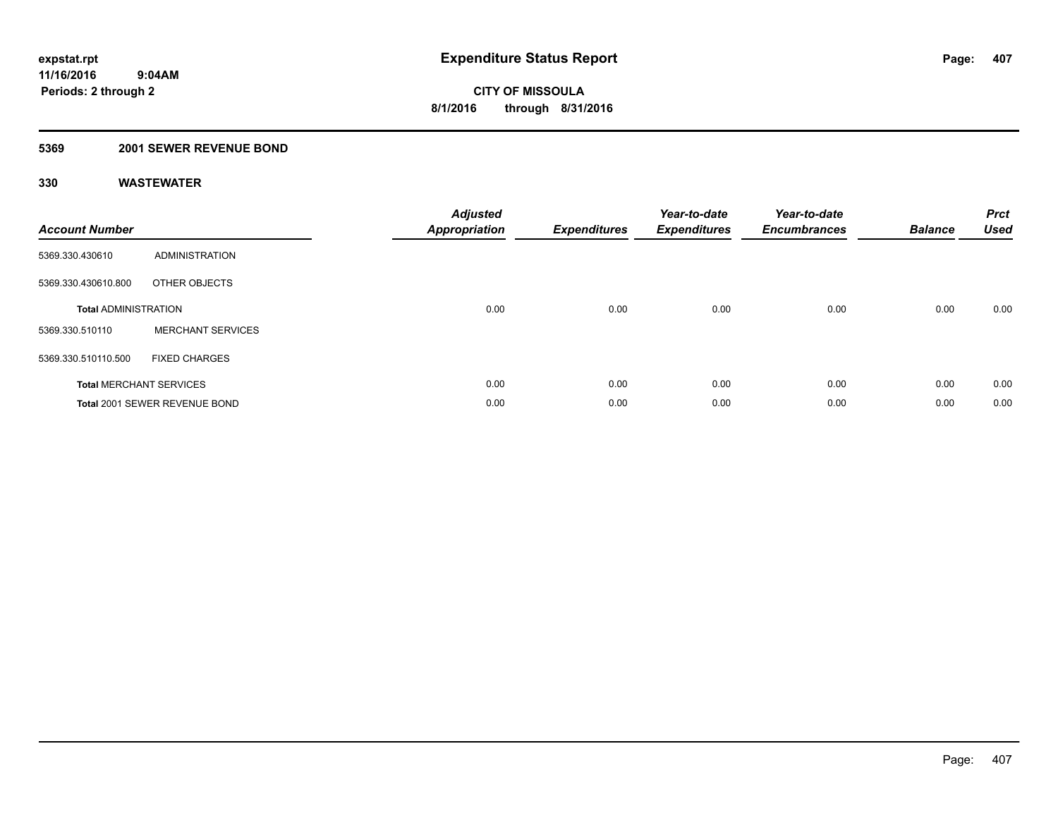### **5369 2001 SEWER REVENUE BOND**

| <b>Account Number</b>       |                                | <b>Adjusted</b><br>Appropriation | <b>Expenditures</b> | Year-to-date<br><b>Expenditures</b> | Year-to-date<br><b>Encumbrances</b> | <b>Balance</b> | <b>Prct</b><br><b>Used</b> |
|-----------------------------|--------------------------------|----------------------------------|---------------------|-------------------------------------|-------------------------------------|----------------|----------------------------|
| 5369.330.430610             | <b>ADMINISTRATION</b>          |                                  |                     |                                     |                                     |                |                            |
| 5369.330.430610.800         | OTHER OBJECTS                  |                                  |                     |                                     |                                     |                |                            |
| <b>Total ADMINISTRATION</b> |                                | 0.00                             | 0.00                | 0.00                                | 0.00                                | 0.00           | 0.00                       |
| 5369.330.510110             | <b>MERCHANT SERVICES</b>       |                                  |                     |                                     |                                     |                |                            |
| 5369.330.510110.500         | <b>FIXED CHARGES</b>           |                                  |                     |                                     |                                     |                |                            |
|                             | <b>Total MERCHANT SERVICES</b> | 0.00                             | 0.00                | 0.00                                | 0.00                                | 0.00           | 0.00                       |
|                             | Total 2001 SEWER REVENUE BOND  | 0.00                             | 0.00                | 0.00                                | 0.00                                | 0.00           | 0.00                       |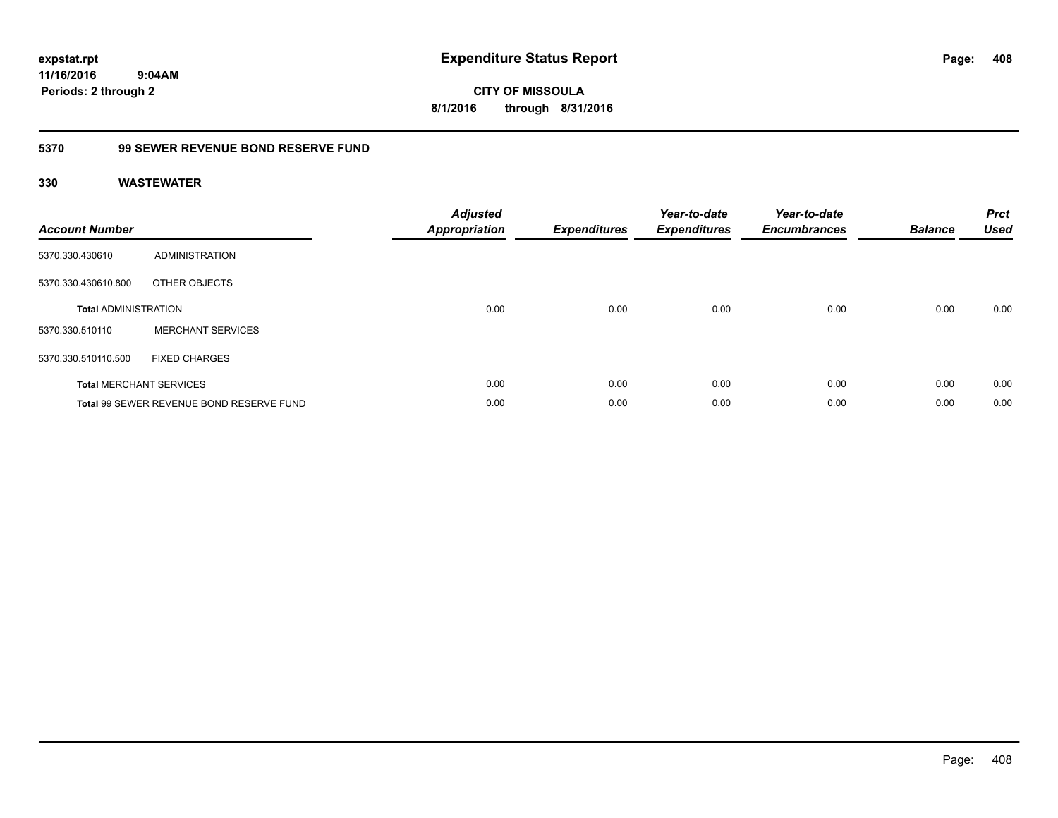**CITY OF MISSOULA 8/1/2016 through 8/31/2016**

### **5370 99 SEWER REVENUE BOND RESERVE FUND**

| <b>Account Number</b>       |                                          | <b>Adjusted</b><br><b>Appropriation</b> | <b>Expenditures</b> | Year-to-date<br><b>Expenditures</b> | Year-to-date<br><b>Encumbrances</b> | <b>Balance</b> | <b>Prct</b><br><b>Used</b> |
|-----------------------------|------------------------------------------|-----------------------------------------|---------------------|-------------------------------------|-------------------------------------|----------------|----------------------------|
| 5370.330.430610             | ADMINISTRATION                           |                                         |                     |                                     |                                     |                |                            |
| 5370.330.430610.800         | OTHER OBJECTS                            |                                         |                     |                                     |                                     |                |                            |
| <b>Total ADMINISTRATION</b> |                                          | 0.00                                    | 0.00                | 0.00                                | 0.00                                | 0.00           | 0.00                       |
| 5370.330.510110             | <b>MERCHANT SERVICES</b>                 |                                         |                     |                                     |                                     |                |                            |
| 5370.330.510110.500         | <b>FIXED CHARGES</b>                     |                                         |                     |                                     |                                     |                |                            |
|                             | <b>Total MERCHANT SERVICES</b>           | 0.00                                    | 0.00                | 0.00                                | 0.00                                | 0.00           | 0.00                       |
|                             | Total 99 SEWER REVENUE BOND RESERVE FUND | 0.00                                    | 0.00                | 0.00                                | 0.00                                | 0.00           | 0.00                       |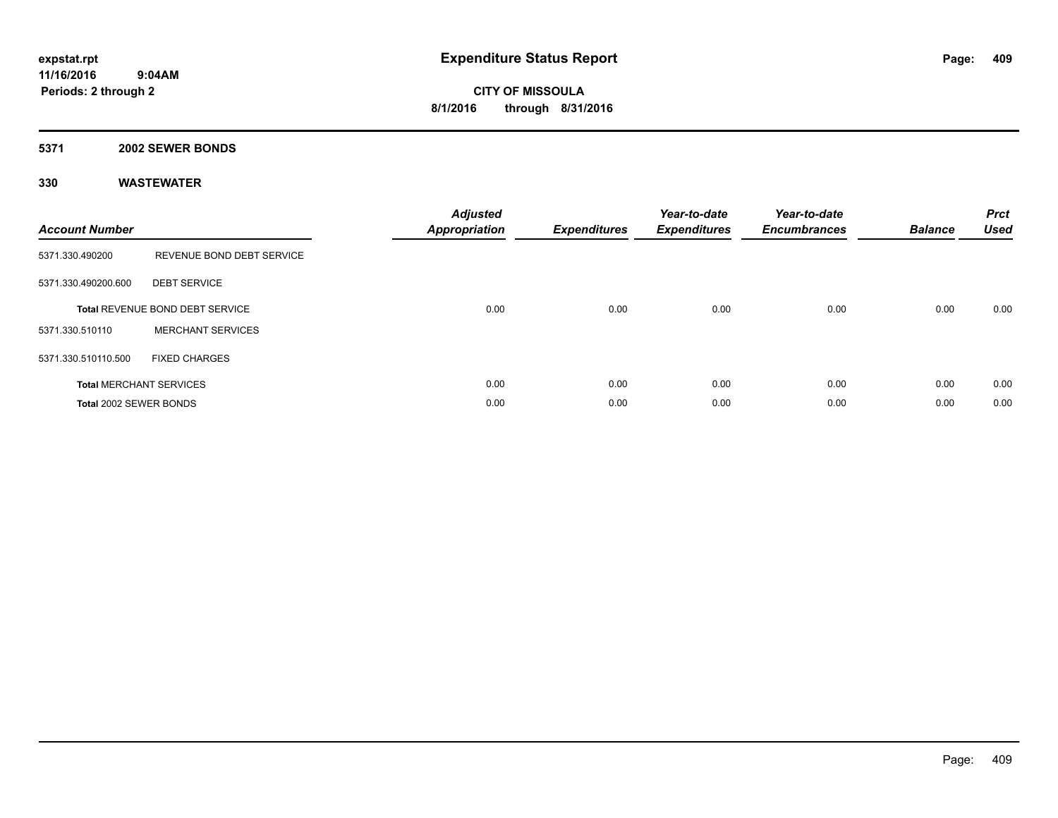#### **5371 2002 SEWER BONDS**

| <b>Account Number</b>  |                                        | <b>Adjusted</b><br>Appropriation | <b>Expenditures</b> | Year-to-date<br><b>Expenditures</b> | Year-to-date<br><b>Encumbrances</b> | <b>Balance</b> | <b>Prct</b><br><b>Used</b> |
|------------------------|----------------------------------------|----------------------------------|---------------------|-------------------------------------|-------------------------------------|----------------|----------------------------|
| 5371.330.490200        | REVENUE BOND DEBT SERVICE              |                                  |                     |                                     |                                     |                |                            |
| 5371.330.490200.600    | <b>DEBT SERVICE</b>                    |                                  |                     |                                     |                                     |                |                            |
|                        | <b>Total REVENUE BOND DEBT SERVICE</b> | 0.00                             | 0.00                | 0.00                                | 0.00                                | 0.00           | 0.00                       |
| 5371.330.510110        | <b>MERCHANT SERVICES</b>               |                                  |                     |                                     |                                     |                |                            |
| 5371.330.510110.500    | <b>FIXED CHARGES</b>                   |                                  |                     |                                     |                                     |                |                            |
|                        | <b>Total MERCHANT SERVICES</b>         | 0.00                             | 0.00                | 0.00                                | 0.00                                | 0.00           | 0.00                       |
| Total 2002 SEWER BONDS |                                        | 0.00                             | 0.00                | 0.00                                | 0.00                                | 0.00           | 0.00                       |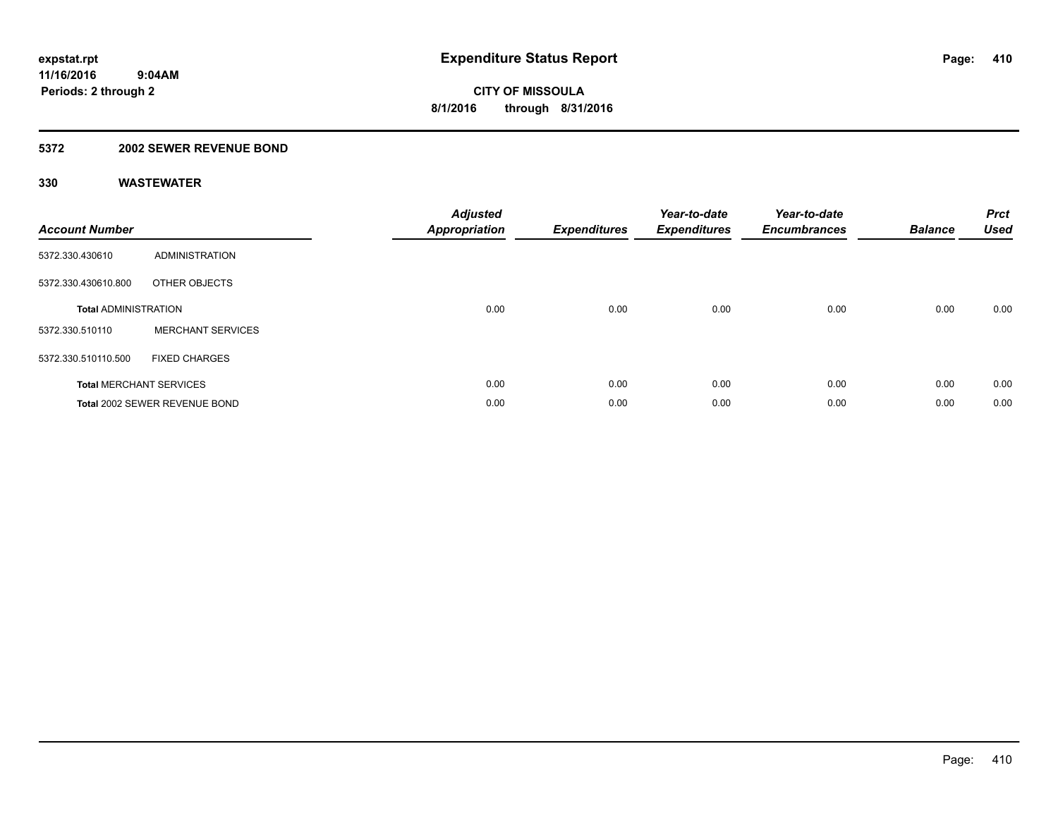### **5372 2002 SEWER REVENUE BOND**

| <b>Account Number</b>       |                                | <b>Adjusted</b><br>Appropriation | <b>Expenditures</b> | Year-to-date<br><b>Expenditures</b> | Year-to-date<br><b>Encumbrances</b> | <b>Balance</b> | <b>Prct</b><br><b>Used</b> |
|-----------------------------|--------------------------------|----------------------------------|---------------------|-------------------------------------|-------------------------------------|----------------|----------------------------|
| 5372.330.430610             | <b>ADMINISTRATION</b>          |                                  |                     |                                     |                                     |                |                            |
| 5372.330.430610.800         | OTHER OBJECTS                  |                                  |                     |                                     |                                     |                |                            |
| <b>Total ADMINISTRATION</b> |                                | 0.00                             | 0.00                | 0.00                                | 0.00                                | 0.00           | 0.00                       |
| 5372.330.510110             | <b>MERCHANT SERVICES</b>       |                                  |                     |                                     |                                     |                |                            |
| 5372.330.510110.500         | <b>FIXED CHARGES</b>           |                                  |                     |                                     |                                     |                |                            |
|                             | <b>Total MERCHANT SERVICES</b> | 0.00                             | 0.00                | 0.00                                | 0.00                                | 0.00           | 0.00                       |
|                             | Total 2002 SEWER REVENUE BOND  | 0.00                             | 0.00                | 0.00                                | 0.00                                | 0.00           | 0.00                       |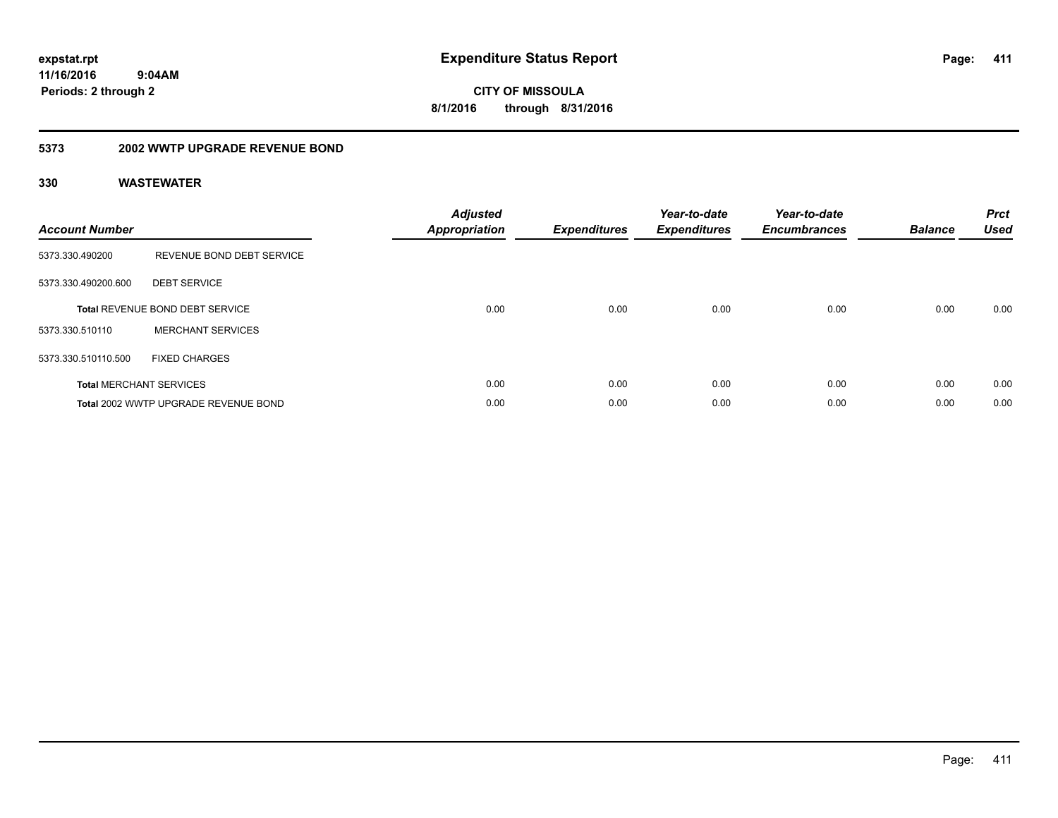**CITY OF MISSOULA 8/1/2016 through 8/31/2016**

### **5373 2002 WWTP UPGRADE REVENUE BOND**

| <b>Account Number</b> |                                        | <b>Adjusted</b><br>Appropriation | <b>Expenditures</b> | Year-to-date<br><b>Expenditures</b> | Year-to-date<br><b>Encumbrances</b> | <b>Balance</b> | <b>Prct</b><br><b>Used</b> |
|-----------------------|----------------------------------------|----------------------------------|---------------------|-------------------------------------|-------------------------------------|----------------|----------------------------|
| 5373.330.490200       | REVENUE BOND DEBT SERVICE              |                                  |                     |                                     |                                     |                |                            |
| 5373.330.490200.600   | <b>DEBT SERVICE</b>                    |                                  |                     |                                     |                                     |                |                            |
|                       | <b>Total REVENUE BOND DEBT SERVICE</b> | 0.00                             | 0.00                | 0.00                                | 0.00                                | 0.00           | 0.00                       |
| 5373.330.510110       | <b>MERCHANT SERVICES</b>               |                                  |                     |                                     |                                     |                |                            |
| 5373.330.510110.500   | <b>FIXED CHARGES</b>                   |                                  |                     |                                     |                                     |                |                            |
|                       | <b>Total MERCHANT SERVICES</b>         | 0.00                             | 0.00                | 0.00                                | 0.00                                | 0.00           | 0.00                       |
|                       | Total 2002 WWTP UPGRADE REVENUE BOND   | 0.00                             | 0.00                | 0.00                                | 0.00                                | 0.00           | 0.00                       |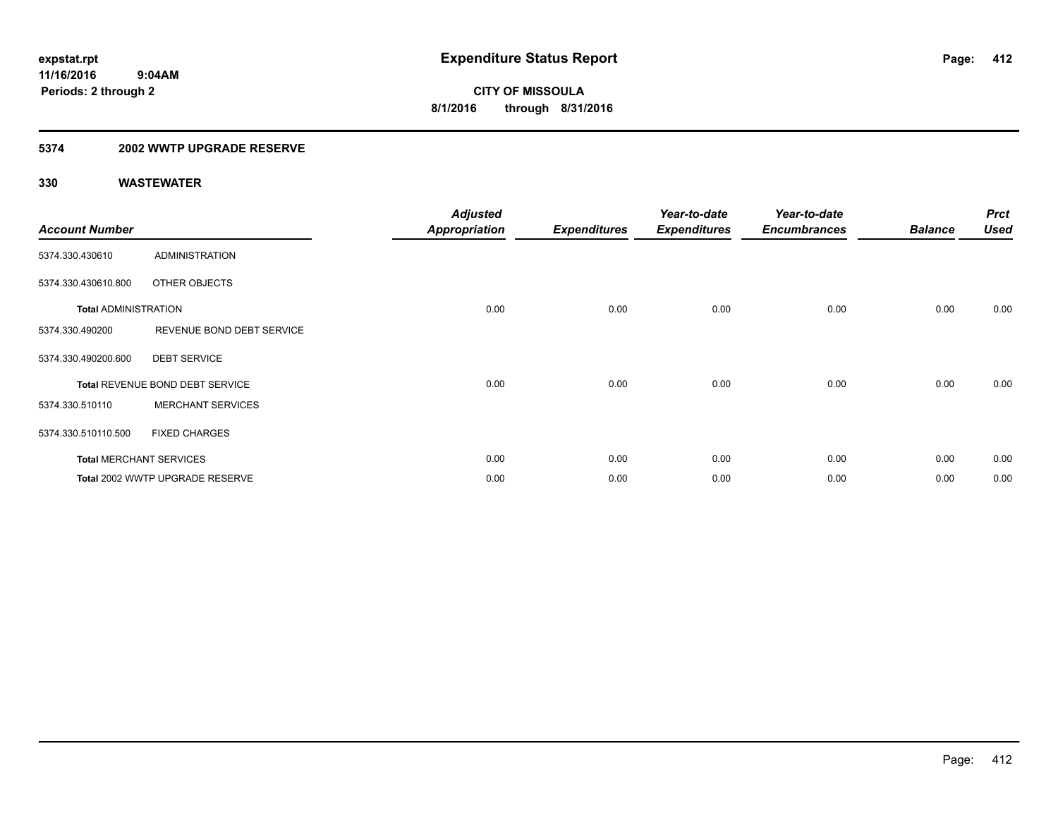### **5374 2002 WWTP UPGRADE RESERVE**

| <b>Account Number</b>       |                                 | <b>Adjusted</b><br><b>Appropriation</b> | <b>Expenditures</b> | Year-to-date<br><b>Expenditures</b> | Year-to-date<br><b>Encumbrances</b> | <b>Balance</b> | <b>Prct</b><br><b>Used</b> |
|-----------------------------|---------------------------------|-----------------------------------------|---------------------|-------------------------------------|-------------------------------------|----------------|----------------------------|
| 5374.330.430610             | <b>ADMINISTRATION</b>           |                                         |                     |                                     |                                     |                |                            |
| 5374.330.430610.800         | OTHER OBJECTS                   |                                         |                     |                                     |                                     |                |                            |
| <b>Total ADMINISTRATION</b> |                                 | 0.00                                    | 0.00                | 0.00                                | 0.00                                | 0.00           | 0.00                       |
| 5374.330.490200             | REVENUE BOND DEBT SERVICE       |                                         |                     |                                     |                                     |                |                            |
| 5374.330.490200.600         | <b>DEBT SERVICE</b>             |                                         |                     |                                     |                                     |                |                            |
|                             | Total REVENUE BOND DEBT SERVICE | 0.00                                    | 0.00                | 0.00                                | 0.00                                | 0.00           | 0.00                       |
| 5374.330.510110             | <b>MERCHANT SERVICES</b>        |                                         |                     |                                     |                                     |                |                            |
| 5374.330.510110.500         | <b>FIXED CHARGES</b>            |                                         |                     |                                     |                                     |                |                            |
|                             | <b>Total MERCHANT SERVICES</b>  | 0.00                                    | 0.00                | 0.00                                | 0.00                                | 0.00           | 0.00                       |
|                             | Total 2002 WWTP UPGRADE RESERVE | 0.00                                    | 0.00                | 0.00                                | 0.00                                | 0.00           | 0.00                       |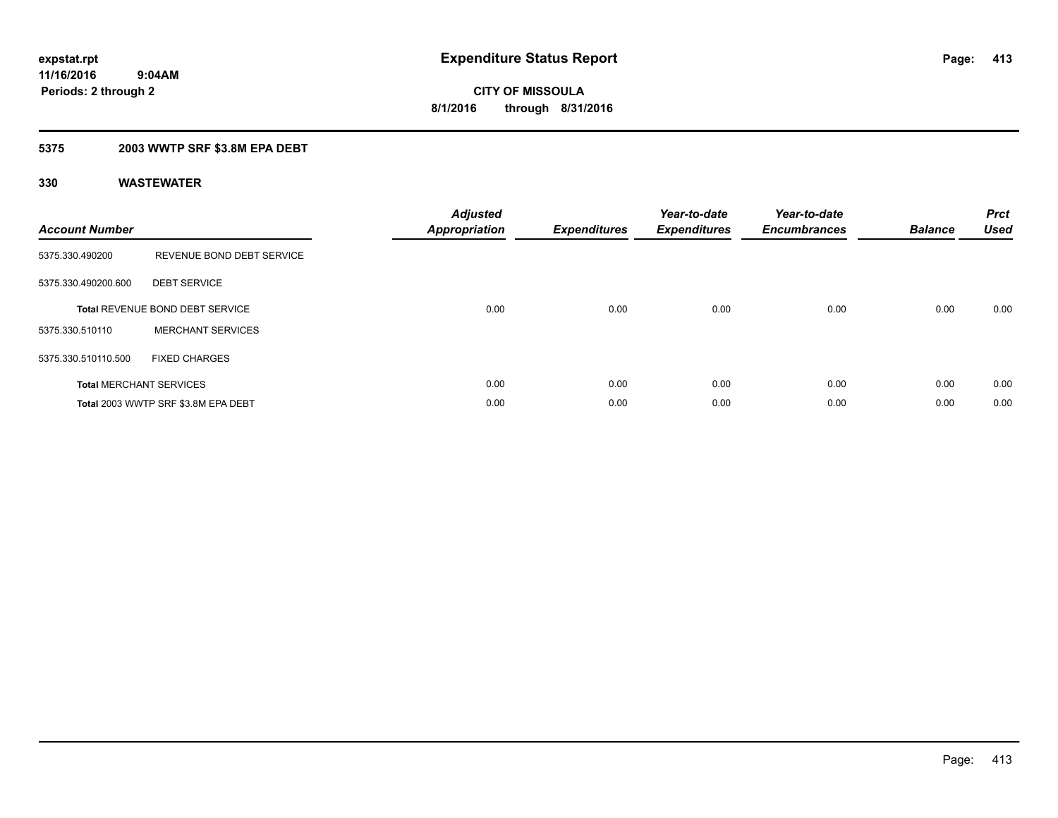### **5375 2003 WWTP SRF \$3.8M EPA DEBT**

| <b>Account Number</b> |                                        | <b>Adjusted</b><br>Appropriation | <b>Expenditures</b> | Year-to-date<br><b>Expenditures</b> | Year-to-date<br><b>Encumbrances</b> | <b>Balance</b> | <b>Prct</b><br><b>Used</b> |
|-----------------------|----------------------------------------|----------------------------------|---------------------|-------------------------------------|-------------------------------------|----------------|----------------------------|
| 5375.330.490200       | REVENUE BOND DEBT SERVICE              |                                  |                     |                                     |                                     |                |                            |
| 5375.330.490200.600   | <b>DEBT SERVICE</b>                    |                                  |                     |                                     |                                     |                |                            |
|                       | <b>Total REVENUE BOND DEBT SERVICE</b> | 0.00                             | 0.00                | 0.00                                | 0.00                                | 0.00           | 0.00                       |
| 5375.330.510110       | <b>MERCHANT SERVICES</b>               |                                  |                     |                                     |                                     |                |                            |
| 5375.330.510110.500   | <b>FIXED CHARGES</b>                   |                                  |                     |                                     |                                     |                |                            |
|                       | <b>Total MERCHANT SERVICES</b>         | 0.00                             | 0.00                | 0.00                                | 0.00                                | 0.00           | 0.00                       |
|                       | Total 2003 WWTP SRF \$3.8M EPA DEBT    | 0.00                             | 0.00                | 0.00                                | 0.00                                | 0.00           | 0.00                       |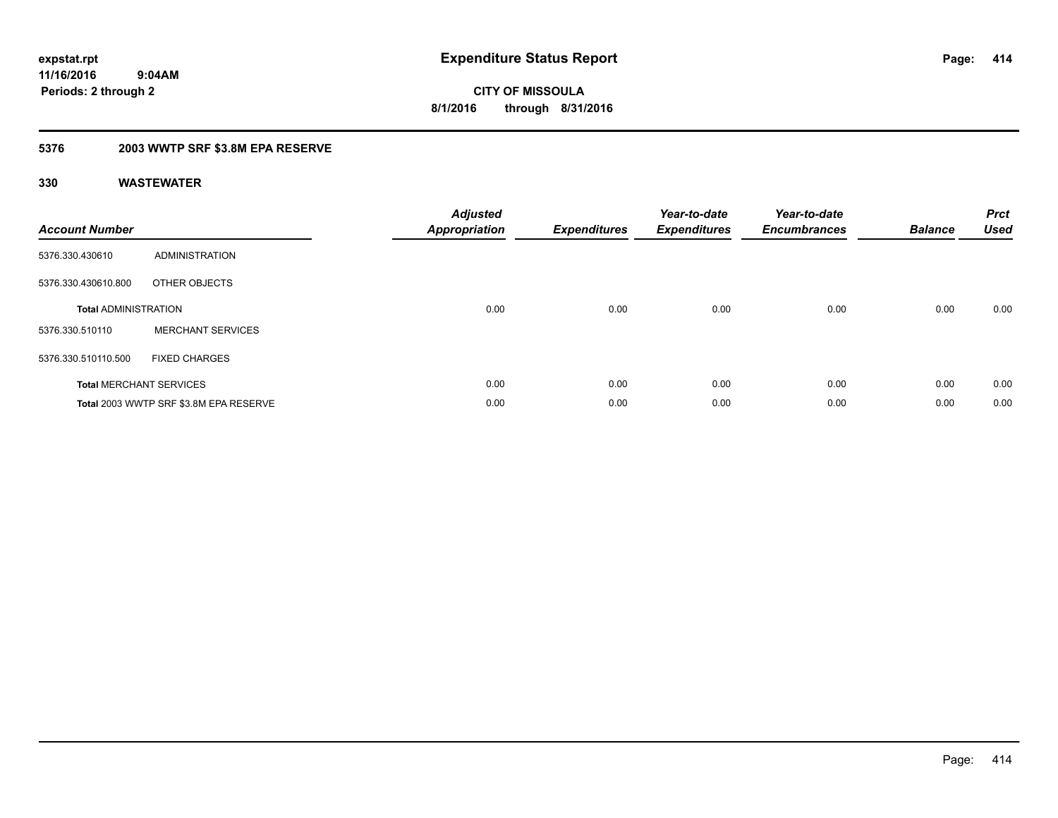**CITY OF MISSOULA 8/1/2016 through 8/31/2016**

## **5376 2003 WWTP SRF \$3.8M EPA RESERVE**

| <b>Account Number</b>          |                                        | <b>Adjusted</b><br><b>Appropriation</b> | <b>Expenditures</b> | Year-to-date<br><b>Expenditures</b> | Year-to-date<br><b>Encumbrances</b> | <b>Balance</b> | <b>Prct</b><br><b>Used</b> |
|--------------------------------|----------------------------------------|-----------------------------------------|---------------------|-------------------------------------|-------------------------------------|----------------|----------------------------|
| 5376.330.430610                | <b>ADMINISTRATION</b>                  |                                         |                     |                                     |                                     |                |                            |
| 5376.330.430610.800            | OTHER OBJECTS                          |                                         |                     |                                     |                                     |                |                            |
| <b>Total ADMINISTRATION</b>    |                                        | 0.00                                    | 0.00                | 0.00                                | 0.00                                | 0.00           | 0.00                       |
| 5376.330.510110                | <b>MERCHANT SERVICES</b>               |                                         |                     |                                     |                                     |                |                            |
| 5376.330.510110.500            | <b>FIXED CHARGES</b>                   |                                         |                     |                                     |                                     |                |                            |
| <b>Total MERCHANT SERVICES</b> |                                        | 0.00                                    | 0.00                | 0.00                                | 0.00                                | 0.00           | 0.00                       |
|                                | Total 2003 WWTP SRF \$3.8M EPA RESERVE | 0.00                                    | 0.00                | 0.00                                | 0.00                                | 0.00           | 0.00                       |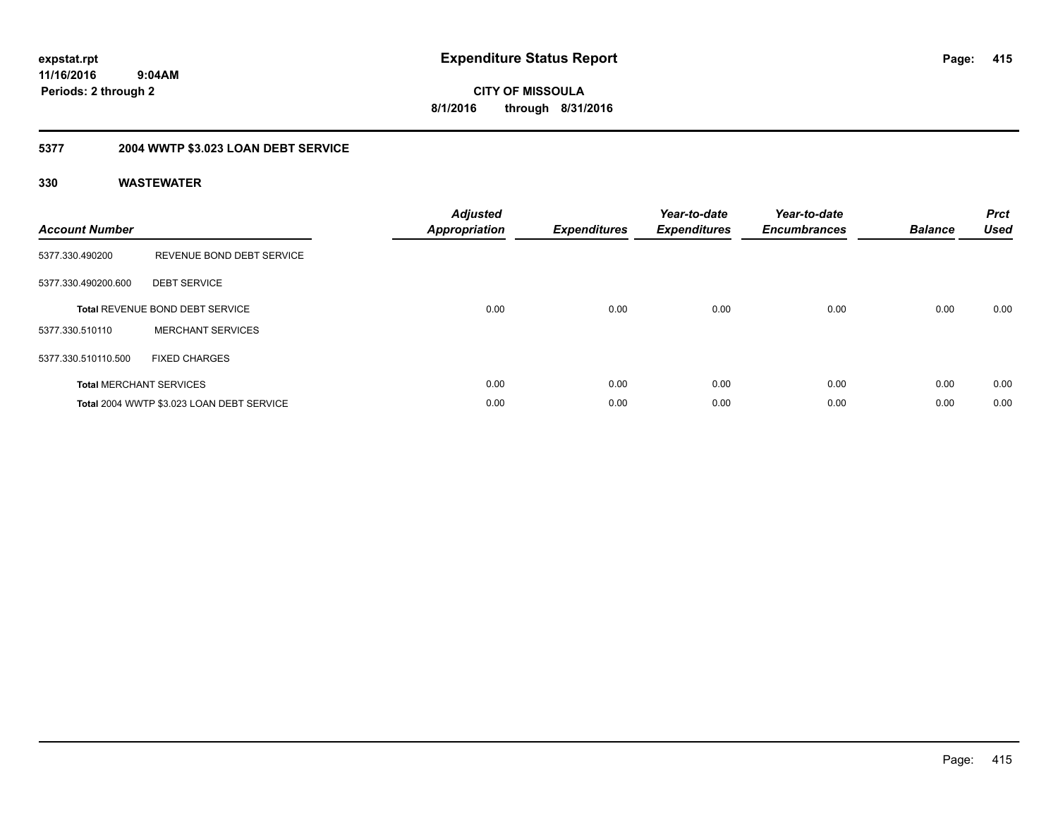**CITY OF MISSOULA 8/1/2016 through 8/31/2016**

# **5377 2004 WWTP \$3.023 LOAN DEBT SERVICE**

| <b>Account Number</b> |                                           | <b>Adjusted</b><br>Appropriation | <b>Expenditures</b> | Year-to-date<br><b>Expenditures</b> | Year-to-date<br><b>Encumbrances</b> | <b>Balance</b> | <b>Prct</b><br><b>Used</b> |
|-----------------------|-------------------------------------------|----------------------------------|---------------------|-------------------------------------|-------------------------------------|----------------|----------------------------|
| 5377.330.490200       | REVENUE BOND DEBT SERVICE                 |                                  |                     |                                     |                                     |                |                            |
| 5377.330.490200.600   | <b>DEBT SERVICE</b>                       |                                  |                     |                                     |                                     |                |                            |
|                       | <b>Total REVENUE BOND DEBT SERVICE</b>    | 0.00                             | 0.00                | 0.00                                | 0.00                                | 0.00           | 0.00                       |
| 5377.330.510110       | <b>MERCHANT SERVICES</b>                  |                                  |                     |                                     |                                     |                |                            |
| 5377.330.510110.500   | <b>FIXED CHARGES</b>                      |                                  |                     |                                     |                                     |                |                            |
|                       | <b>Total MERCHANT SERVICES</b>            | 0.00                             | 0.00                | 0.00                                | 0.00                                | 0.00           | 0.00                       |
|                       | Total 2004 WWTP \$3.023 LOAN DEBT SERVICE | 0.00                             | 0.00                | 0.00                                | 0.00                                | 0.00           | 0.00                       |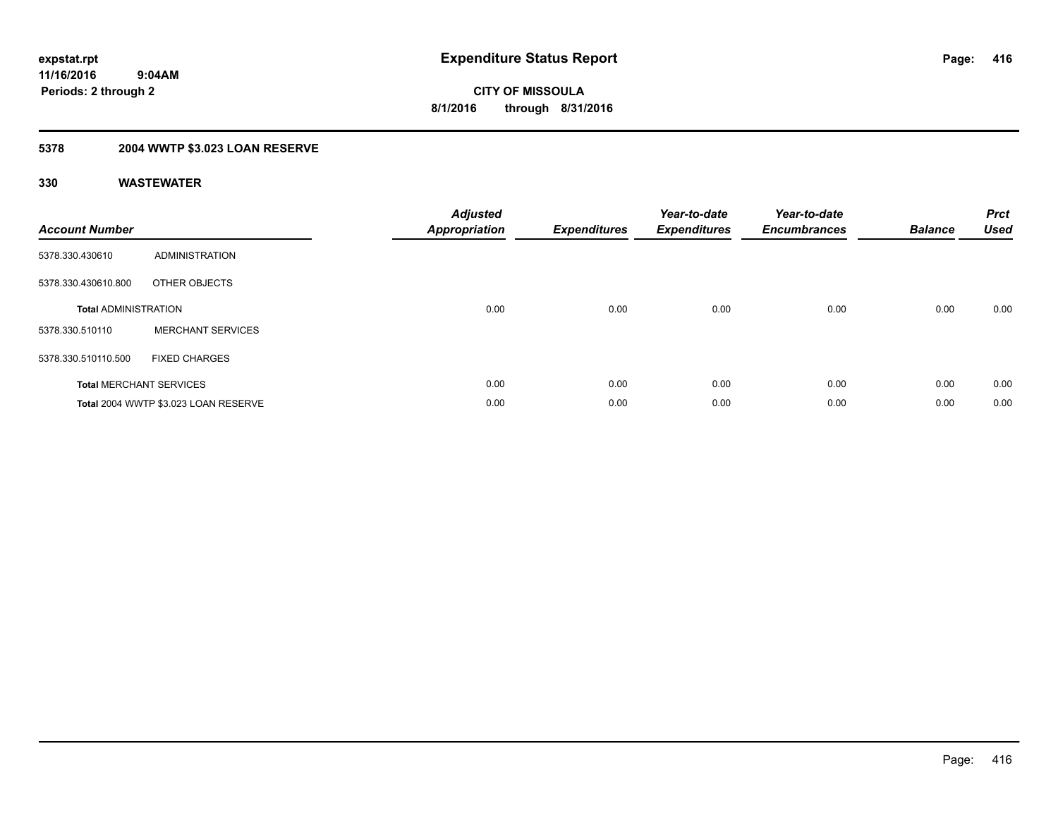# **5378 2004 WWTP \$3.023 LOAN RESERVE**

| <b>Account Number</b>       |                                      | <b>Adjusted</b><br><b>Appropriation</b> | <b>Expenditures</b> | Year-to-date<br><b>Expenditures</b> | Year-to-date<br><b>Encumbrances</b> | <b>Balance</b> | <b>Prct</b><br><b>Used</b> |
|-----------------------------|--------------------------------------|-----------------------------------------|---------------------|-------------------------------------|-------------------------------------|----------------|----------------------------|
| 5378.330.430610             | ADMINISTRATION                       |                                         |                     |                                     |                                     |                |                            |
| 5378.330.430610.800         | OTHER OBJECTS                        |                                         |                     |                                     |                                     |                |                            |
| <b>Total ADMINISTRATION</b> |                                      | 0.00                                    | 0.00                | 0.00                                | 0.00                                | 0.00           | 0.00                       |
| 5378.330.510110             | <b>MERCHANT SERVICES</b>             |                                         |                     |                                     |                                     |                |                            |
| 5378.330.510110.500         | <b>FIXED CHARGES</b>                 |                                         |                     |                                     |                                     |                |                            |
|                             | <b>Total MERCHANT SERVICES</b>       | 0.00                                    | 0.00                | 0.00                                | 0.00                                | 0.00           | 0.00                       |
|                             | Total 2004 WWTP \$3.023 LOAN RESERVE | 0.00                                    | 0.00                | 0.00                                | 0.00                                | 0.00           | 0.00                       |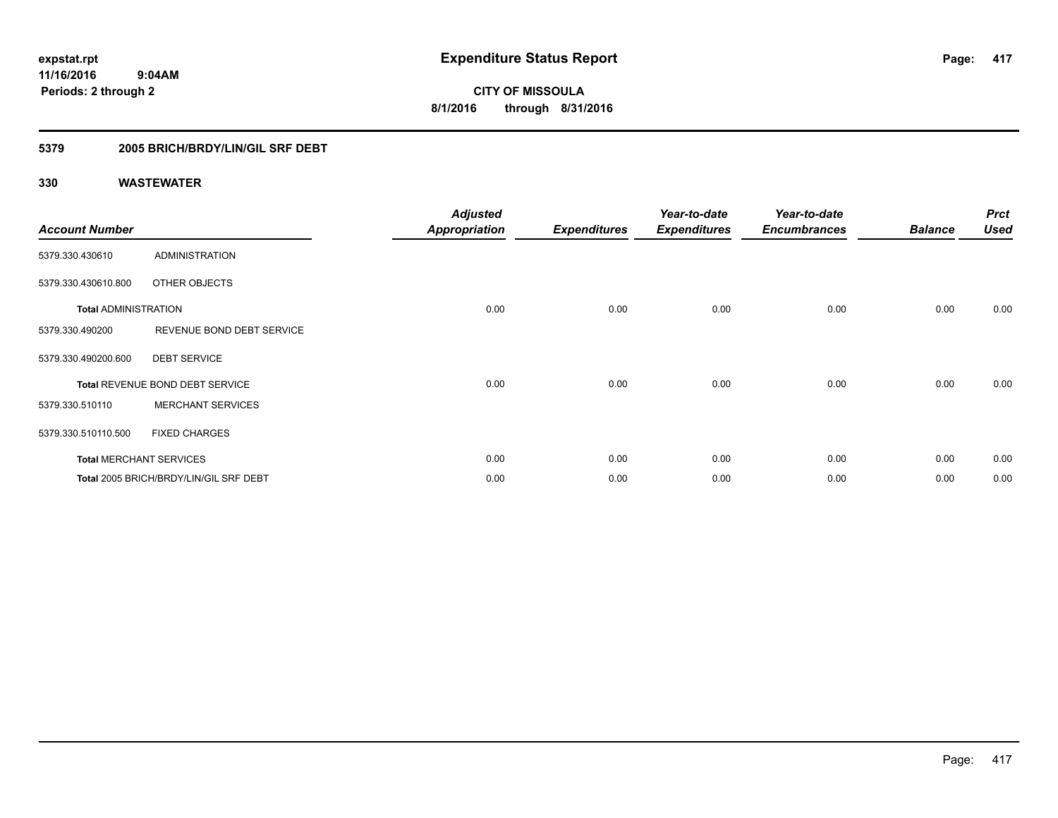**CITY OF MISSOULA 8/1/2016 through 8/31/2016**

## **5379 2005 BRICH/BRDY/LIN/GIL SRF DEBT**

| <b>Account Number</b>       |                                        | <b>Adjusted</b><br><b>Appropriation</b> | <b>Expenditures</b> | Year-to-date<br><b>Expenditures</b> | Year-to-date<br><b>Encumbrances</b> | <b>Balance</b> | <b>Prct</b><br><b>Used</b> |
|-----------------------------|----------------------------------------|-----------------------------------------|---------------------|-------------------------------------|-------------------------------------|----------------|----------------------------|
| 5379.330.430610             | <b>ADMINISTRATION</b>                  |                                         |                     |                                     |                                     |                |                            |
| 5379.330.430610.800         | OTHER OBJECTS                          |                                         |                     |                                     |                                     |                |                            |
| <b>Total ADMINISTRATION</b> |                                        | 0.00                                    | 0.00                | 0.00                                | 0.00                                | 0.00           | 0.00                       |
| 5379.330.490200             | REVENUE BOND DEBT SERVICE              |                                         |                     |                                     |                                     |                |                            |
| 5379.330.490200.600         | <b>DEBT SERVICE</b>                    |                                         |                     |                                     |                                     |                |                            |
|                             | Total REVENUE BOND DEBT SERVICE        | 0.00                                    | 0.00                | 0.00                                | 0.00                                | 0.00           | 0.00                       |
| 5379.330.510110             | <b>MERCHANT SERVICES</b>               |                                         |                     |                                     |                                     |                |                            |
| 5379.330.510110.500         | <b>FIXED CHARGES</b>                   |                                         |                     |                                     |                                     |                |                            |
|                             | <b>Total MERCHANT SERVICES</b>         | 0.00                                    | 0.00                | 0.00                                | 0.00                                | 0.00           | 0.00                       |
|                             | Total 2005 BRICH/BRDY/LIN/GIL SRF DEBT | 0.00                                    | 0.00                | 0.00                                | 0.00                                | 0.00           | 0.00                       |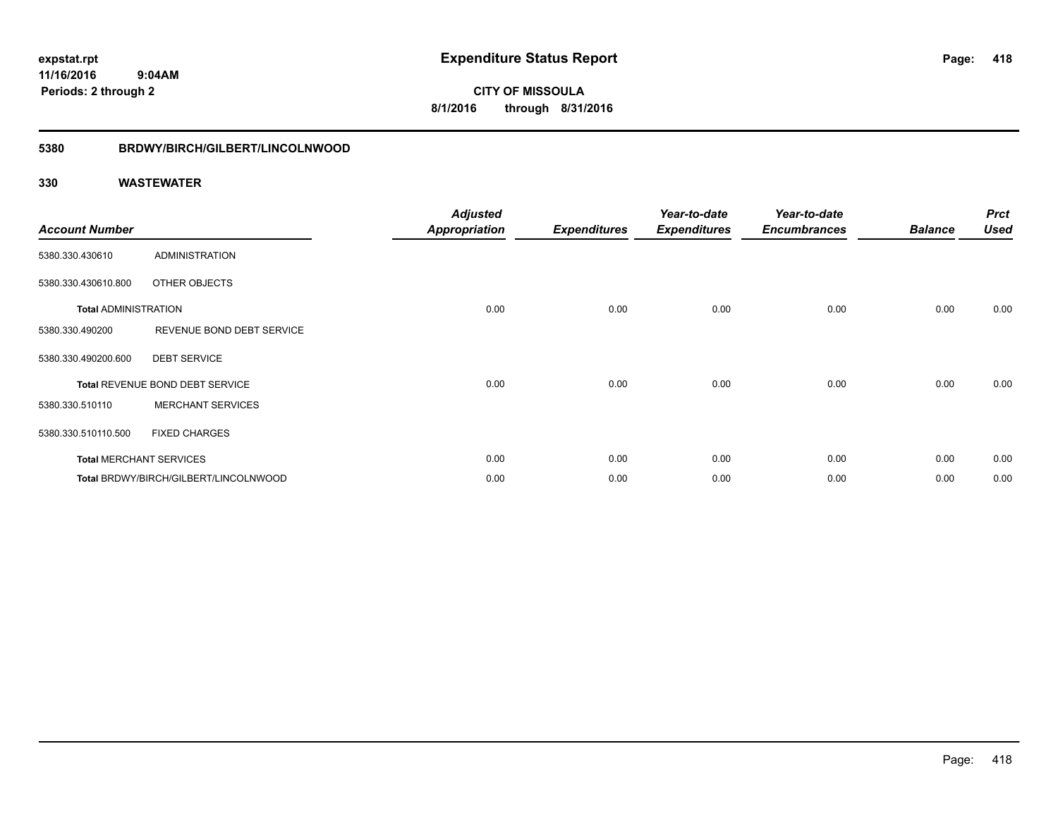**CITY OF MISSOULA 8/1/2016 through 8/31/2016**

### **5380 BRDWY/BIRCH/GILBERT/LINCOLNWOOD**

| <b>Account Number</b>       |                                       | <b>Adjusted</b><br><b>Appropriation</b> | <b>Expenditures</b> | Year-to-date<br><b>Expenditures</b> | Year-to-date<br><b>Encumbrances</b> | <b>Balance</b> | <b>Prct</b><br><b>Used</b> |
|-----------------------------|---------------------------------------|-----------------------------------------|---------------------|-------------------------------------|-------------------------------------|----------------|----------------------------|
| 5380.330.430610             | <b>ADMINISTRATION</b>                 |                                         |                     |                                     |                                     |                |                            |
| 5380.330.430610.800         | OTHER OBJECTS                         |                                         |                     |                                     |                                     |                |                            |
| <b>Total ADMINISTRATION</b> |                                       | 0.00                                    | 0.00                | 0.00                                | 0.00                                | 0.00           | 0.00                       |
| 5380.330.490200             | REVENUE BOND DEBT SERVICE             |                                         |                     |                                     |                                     |                |                            |
| 5380.330.490200.600         | <b>DEBT SERVICE</b>                   |                                         |                     |                                     |                                     |                |                            |
|                             | Total REVENUE BOND DEBT SERVICE       | 0.00                                    | 0.00                | 0.00                                | 0.00                                | 0.00           | 0.00                       |
| 5380.330.510110             | <b>MERCHANT SERVICES</b>              |                                         |                     |                                     |                                     |                |                            |
| 5380.330.510110.500         | <b>FIXED CHARGES</b>                  |                                         |                     |                                     |                                     |                |                            |
|                             | <b>Total MERCHANT SERVICES</b>        | 0.00                                    | 0.00                | 0.00                                | 0.00                                | 0.00           | 0.00                       |
|                             | Total BRDWY/BIRCH/GILBERT/LINCOLNWOOD | 0.00                                    | 0.00                | 0.00                                | 0.00                                | 0.00           | 0.00                       |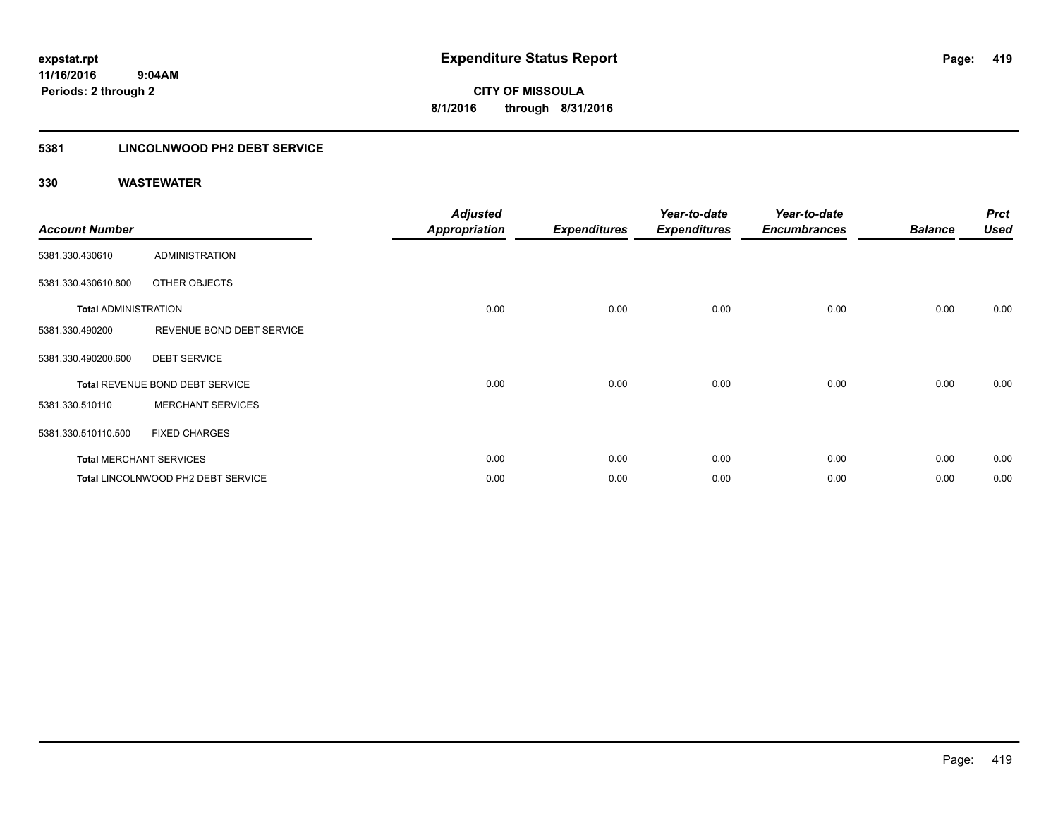### **5381 LINCOLNWOOD PH2 DEBT SERVICE**

| <b>Account Number</b>       |                                    | <b>Adjusted</b><br><b>Appropriation</b> | <b>Expenditures</b> | Year-to-date<br><b>Expenditures</b> | Year-to-date<br><b>Encumbrances</b> | <b>Balance</b> | <b>Prct</b><br><b>Used</b> |
|-----------------------------|------------------------------------|-----------------------------------------|---------------------|-------------------------------------|-------------------------------------|----------------|----------------------------|
| 5381.330.430610             | <b>ADMINISTRATION</b>              |                                         |                     |                                     |                                     |                |                            |
| 5381.330.430610.800         | OTHER OBJECTS                      |                                         |                     |                                     |                                     |                |                            |
| <b>Total ADMINISTRATION</b> |                                    | 0.00                                    | 0.00                | 0.00                                | 0.00                                | 0.00           | 0.00                       |
| 5381.330.490200             | REVENUE BOND DEBT SERVICE          |                                         |                     |                                     |                                     |                |                            |
| 5381.330.490200.600         | <b>DEBT SERVICE</b>                |                                         |                     |                                     |                                     |                |                            |
|                             | Total REVENUE BOND DEBT SERVICE    | 0.00                                    | 0.00                | 0.00                                | 0.00                                | 0.00           | 0.00                       |
| 5381.330.510110             | <b>MERCHANT SERVICES</b>           |                                         |                     |                                     |                                     |                |                            |
| 5381.330.510110.500         | <b>FIXED CHARGES</b>               |                                         |                     |                                     |                                     |                |                            |
|                             | <b>Total MERCHANT SERVICES</b>     | 0.00                                    | 0.00                | 0.00                                | 0.00                                | 0.00           | 0.00                       |
|                             | Total LINCOLNWOOD PH2 DEBT SERVICE | 0.00                                    | 0.00                | 0.00                                | 0.00                                | 0.00           | 0.00                       |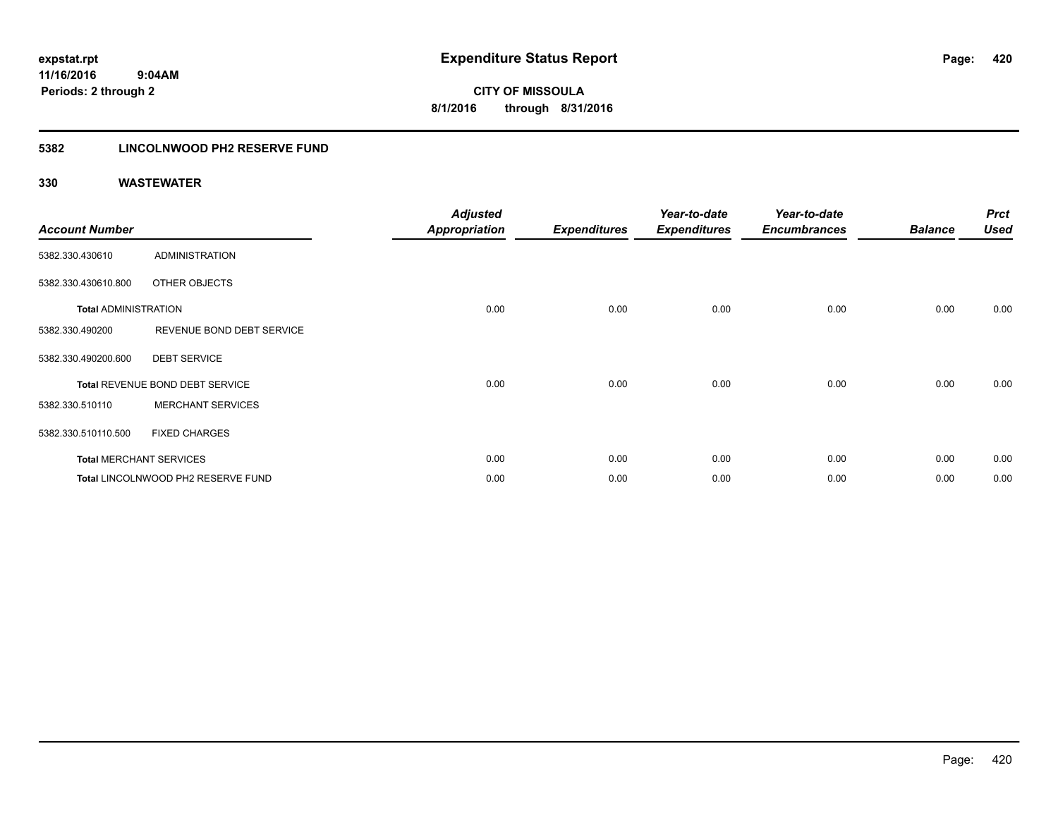## **5382 LINCOLNWOOD PH2 RESERVE FUND**

| <b>Account Number</b>       |                                    | <b>Adjusted</b><br><b>Appropriation</b> | <b>Expenditures</b> | Year-to-date<br><b>Expenditures</b> | Year-to-date<br><b>Encumbrances</b> | <b>Balance</b> | <b>Prct</b><br><b>Used</b> |
|-----------------------------|------------------------------------|-----------------------------------------|---------------------|-------------------------------------|-------------------------------------|----------------|----------------------------|
| 5382.330.430610             | <b>ADMINISTRATION</b>              |                                         |                     |                                     |                                     |                |                            |
| 5382.330.430610.800         | OTHER OBJECTS                      |                                         |                     |                                     |                                     |                |                            |
| <b>Total ADMINISTRATION</b> |                                    | 0.00                                    | 0.00                | 0.00                                | 0.00                                | 0.00           | 0.00                       |
| 5382.330.490200             | REVENUE BOND DEBT SERVICE          |                                         |                     |                                     |                                     |                |                            |
| 5382.330.490200.600         | <b>DEBT SERVICE</b>                |                                         |                     |                                     |                                     |                |                            |
|                             | Total REVENUE BOND DEBT SERVICE    | 0.00                                    | 0.00                | 0.00                                | 0.00                                | 0.00           | 0.00                       |
| 5382.330.510110             | <b>MERCHANT SERVICES</b>           |                                         |                     |                                     |                                     |                |                            |
| 5382.330.510110.500         | <b>FIXED CHARGES</b>               |                                         |                     |                                     |                                     |                |                            |
|                             | <b>Total MERCHANT SERVICES</b>     | 0.00                                    | 0.00                | 0.00                                | 0.00                                | 0.00           | 0.00                       |
|                             | Total LINCOLNWOOD PH2 RESERVE FUND | 0.00                                    | 0.00                | 0.00                                | 0.00                                | 0.00           | 0.00                       |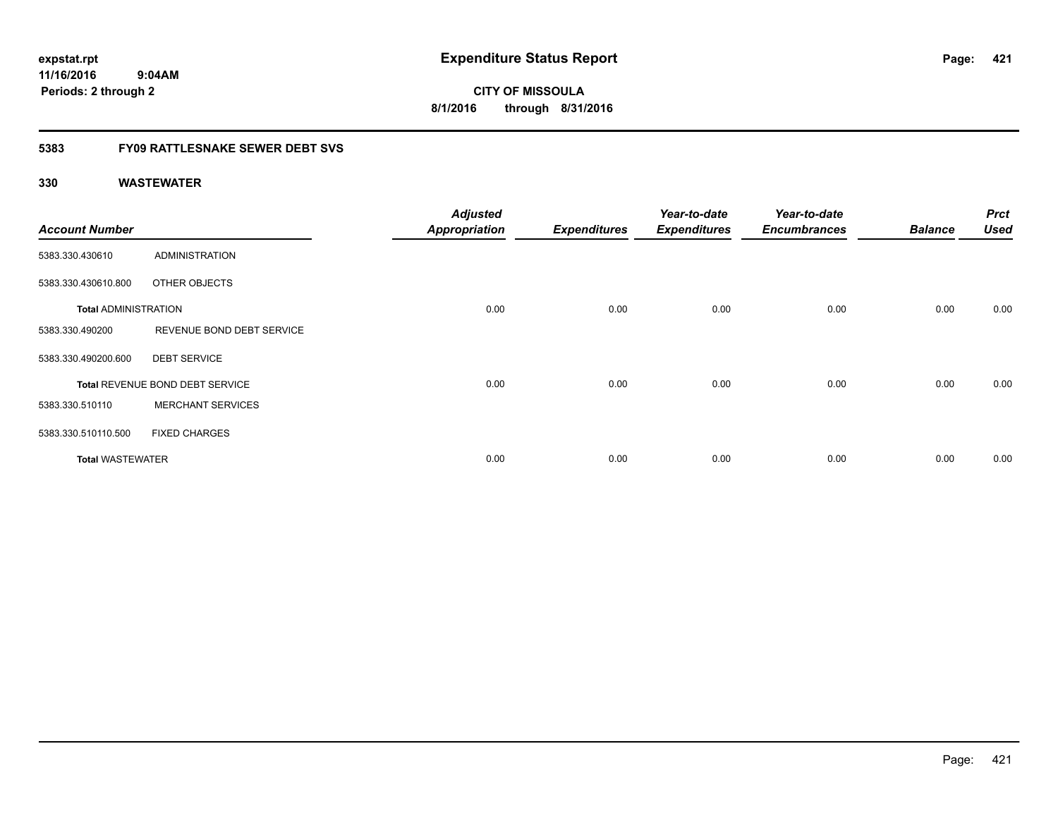**CITY OF MISSOULA 8/1/2016 through 8/31/2016**

### **5383 FY09 RATTLESNAKE SEWER DEBT SVS**

| <b>Account Number</b>       |                                 | <b>Adjusted</b><br><b>Appropriation</b> | <b>Expenditures</b> | Year-to-date<br><b>Expenditures</b> | Year-to-date<br><b>Encumbrances</b> | <b>Balance</b> | <b>Prct</b><br><b>Used</b> |
|-----------------------------|---------------------------------|-----------------------------------------|---------------------|-------------------------------------|-------------------------------------|----------------|----------------------------|
| 5383.330.430610             | <b>ADMINISTRATION</b>           |                                         |                     |                                     |                                     |                |                            |
| 5383.330.430610.800         | OTHER OBJECTS                   |                                         |                     |                                     |                                     |                |                            |
| <b>Total ADMINISTRATION</b> |                                 | 0.00                                    | 0.00                | 0.00                                | 0.00                                | 0.00           | 0.00                       |
| 5383.330.490200             | REVENUE BOND DEBT SERVICE       |                                         |                     |                                     |                                     |                |                            |
| 5383.330.490200.600         | <b>DEBT SERVICE</b>             |                                         |                     |                                     |                                     |                |                            |
|                             | Total REVENUE BOND DEBT SERVICE | 0.00                                    | 0.00                | 0.00                                | 0.00                                | 0.00           | 0.00                       |
| 5383.330.510110             | <b>MERCHANT SERVICES</b>        |                                         |                     |                                     |                                     |                |                            |
| 5383.330.510110.500         | <b>FIXED CHARGES</b>            |                                         |                     |                                     |                                     |                |                            |
| <b>Total WASTEWATER</b>     |                                 | 0.00                                    | 0.00                | 0.00                                | 0.00                                | 0.00           | 0.00                       |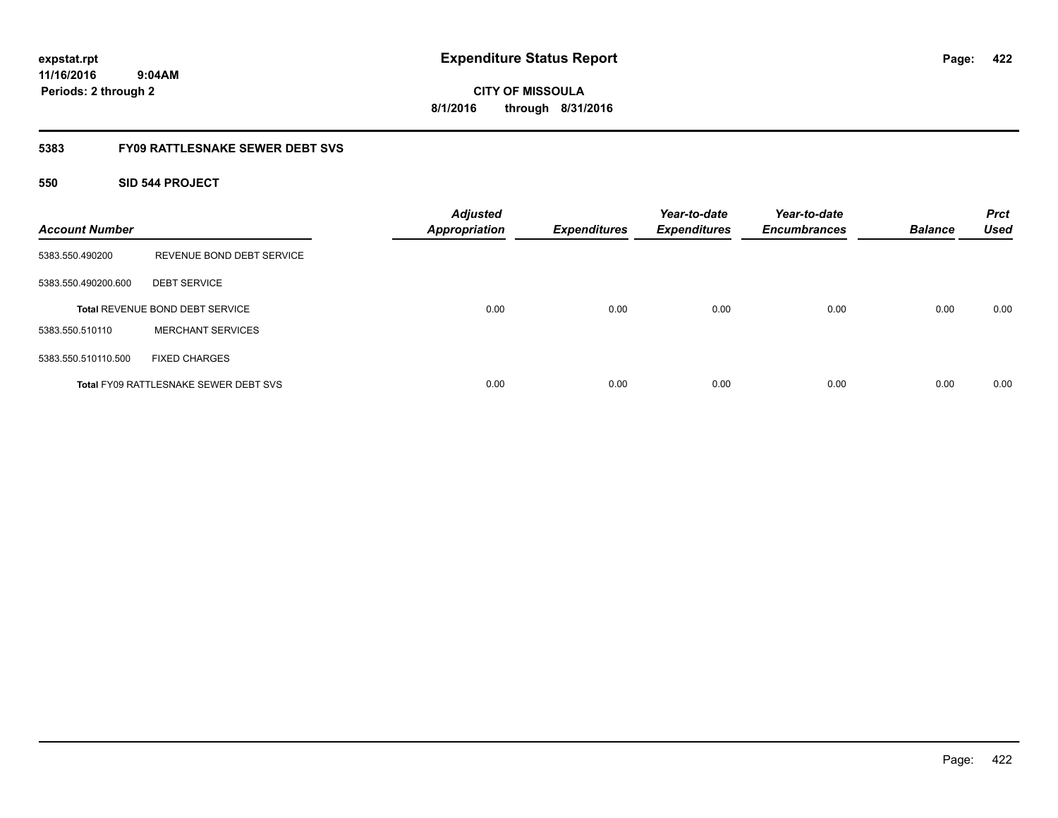**CITY OF MISSOULA 8/1/2016 through 8/31/2016**

### **5383 FY09 RATTLESNAKE SEWER DEBT SVS**

### **550 SID 544 PROJECT**

| <b>Account Number</b> |                                              | <b>Adjusted</b><br><b>Appropriation</b> | <b>Expenditures</b> | Year-to-date<br><b>Expenditures</b> | Year-to-date<br><b>Encumbrances</b> | <b>Balance</b> | <b>Prct</b><br><b>Used</b> |
|-----------------------|----------------------------------------------|-----------------------------------------|---------------------|-------------------------------------|-------------------------------------|----------------|----------------------------|
| 5383.550.490200       | REVENUE BOND DEBT SERVICE                    |                                         |                     |                                     |                                     |                |                            |
| 5383.550.490200.600   | <b>DEBT SERVICE</b>                          |                                         |                     |                                     |                                     |                |                            |
|                       | <b>Total REVENUE BOND DEBT SERVICE</b>       | 0.00                                    | 0.00                | 0.00                                | 0.00                                | 0.00           | 0.00                       |
| 5383.550.510110       | <b>MERCHANT SERVICES</b>                     |                                         |                     |                                     |                                     |                |                            |
| 5383.550.510110.500   | <b>FIXED CHARGES</b>                         |                                         |                     |                                     |                                     |                |                            |
|                       | <b>Total FY09 RATTLESNAKE SEWER DEBT SVS</b> | 0.00                                    | 0.00                | 0.00                                | 0.00                                | 0.00           | 0.00                       |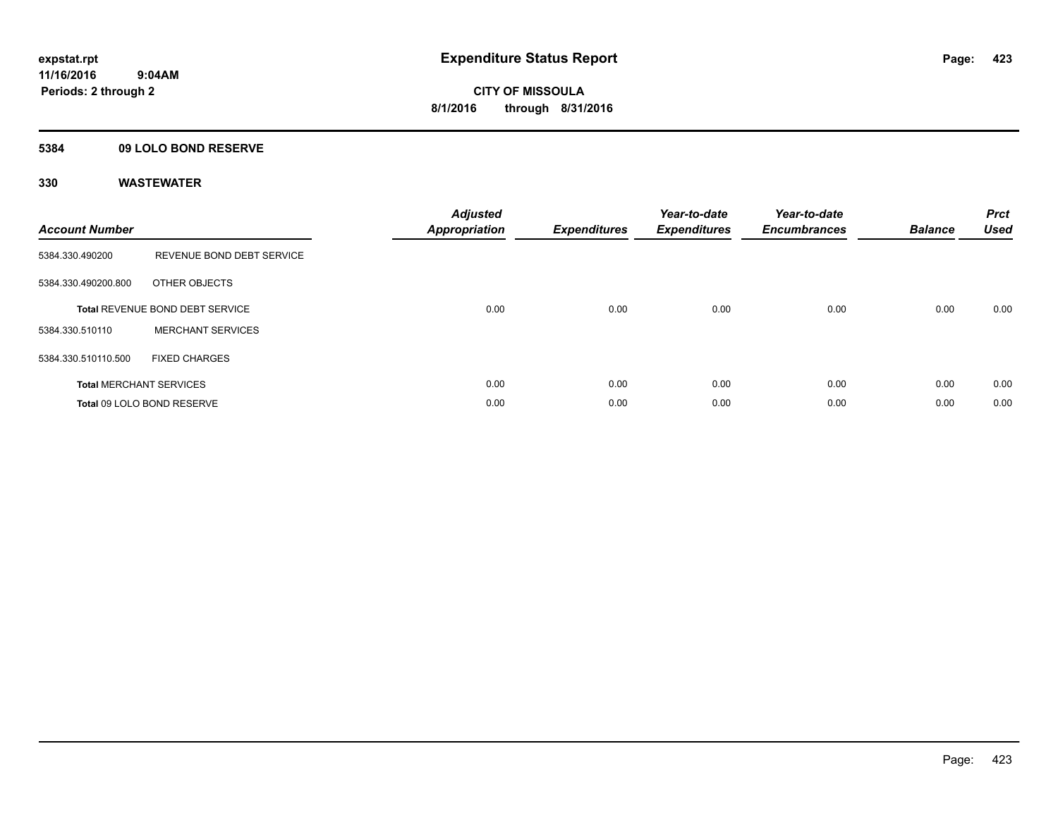### **5384 09 LOLO BOND RESERVE**

| <b>Account Number</b> |                                 | <b>Adjusted</b><br>Appropriation | <b>Expenditures</b> | Year-to-date<br><b>Expenditures</b> | Year-to-date<br><b>Encumbrances</b> | <b>Balance</b> | <b>Prct</b><br><b>Used</b> |
|-----------------------|---------------------------------|----------------------------------|---------------------|-------------------------------------|-------------------------------------|----------------|----------------------------|
| 5384.330.490200       | REVENUE BOND DEBT SERVICE       |                                  |                     |                                     |                                     |                |                            |
| 5384.330.490200.800   | OTHER OBJECTS                   |                                  |                     |                                     |                                     |                |                            |
|                       | Total REVENUE BOND DEBT SERVICE | 0.00                             | 0.00                | 0.00                                | 0.00                                | 0.00           | 0.00                       |
| 5384.330.510110       | <b>MERCHANT SERVICES</b>        |                                  |                     |                                     |                                     |                |                            |
| 5384.330.510110.500   | <b>FIXED CHARGES</b>            |                                  |                     |                                     |                                     |                |                            |
|                       | <b>Total MERCHANT SERVICES</b>  | 0.00                             | 0.00                | 0.00                                | 0.00                                | 0.00           | 0.00                       |
|                       | Total 09 LOLO BOND RESERVE      | 0.00                             | 0.00                | 0.00                                | 0.00                                | 0.00           | 0.00                       |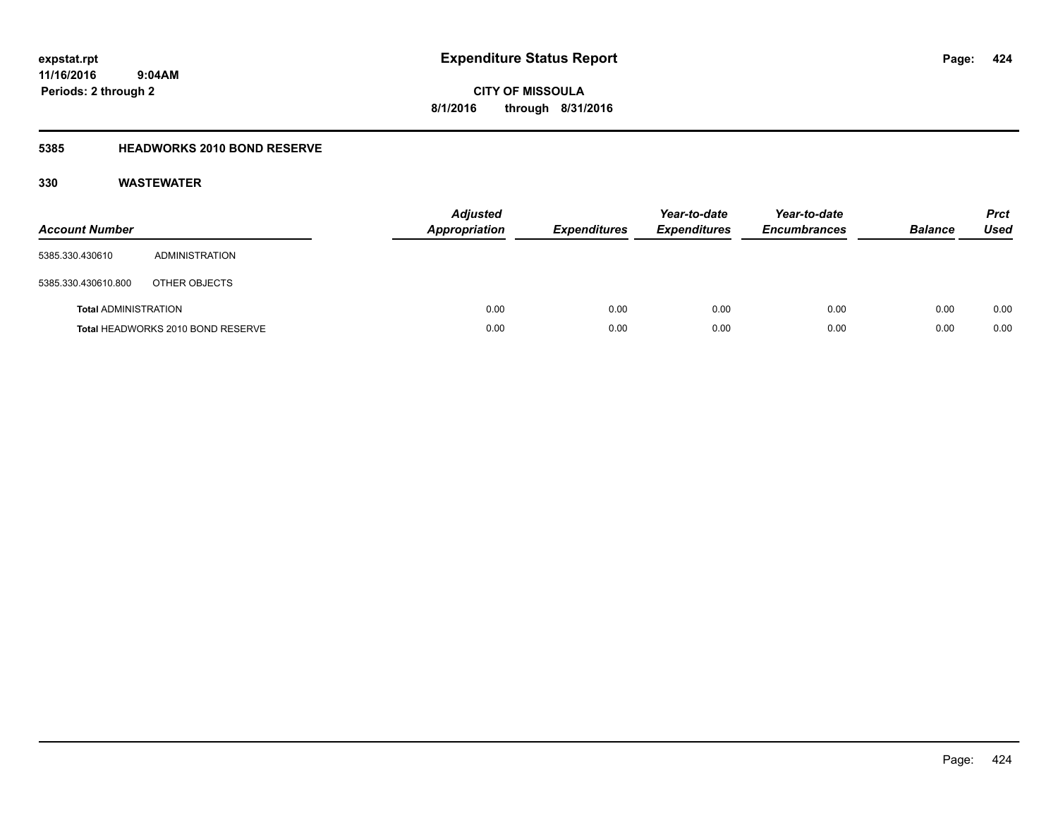**424**

**11/16/2016 9:04AM Periods: 2 through 2**

# **CITY OF MISSOULA 8/1/2016 through 8/31/2016**

## **5385 HEADWORKS 2010 BOND RESERVE**

| <b>Account Number</b>       |                                   | <b>Adjusted</b><br><b>Appropriation</b> | <b>Expenditures</b> | Year-to-date<br><b>Expenditures</b> | Year-to-date<br><b>Encumbrances</b> | <b>Balance</b> | <b>Prct</b><br>Used |
|-----------------------------|-----------------------------------|-----------------------------------------|---------------------|-------------------------------------|-------------------------------------|----------------|---------------------|
| 5385.330.430610             | ADMINISTRATION                    |                                         |                     |                                     |                                     |                |                     |
| 5385.330.430610.800         | OTHER OBJECTS                     |                                         |                     |                                     |                                     |                |                     |
| <b>Total ADMINISTRATION</b> |                                   | 0.00                                    | 0.00                | 0.00                                | 0.00                                | 0.00           | 0.00                |
|                             | Total HEADWORKS 2010 BOND RESERVE | 0.00                                    | 0.00                | 0.00                                | 0.00                                | 0.00           | 0.00                |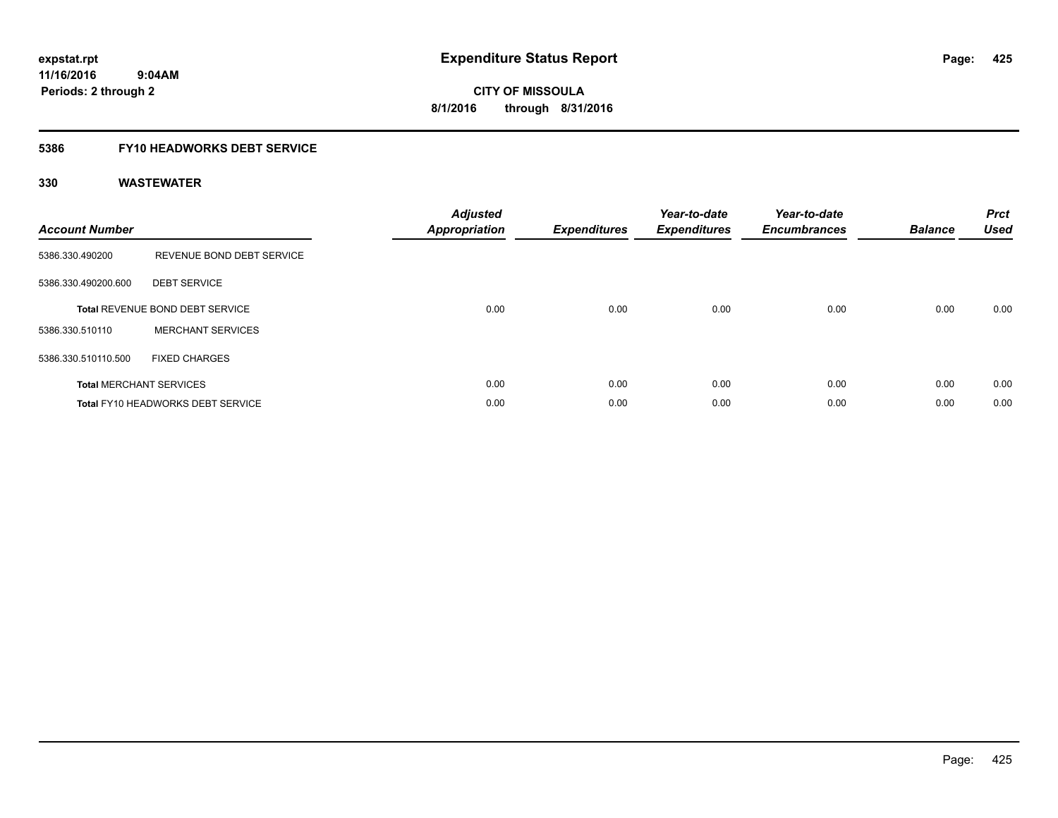**CITY OF MISSOULA 8/1/2016 through 8/31/2016**

### **5386 FY10 HEADWORKS DEBT SERVICE**

| <b>Account Number</b> |                                          | <b>Adjusted</b><br>Appropriation | <b>Expenditures</b> | Year-to-date<br><b>Expenditures</b> | Year-to-date<br><b>Encumbrances</b> | <b>Balance</b> | <b>Prct</b><br><b>Used</b> |
|-----------------------|------------------------------------------|----------------------------------|---------------------|-------------------------------------|-------------------------------------|----------------|----------------------------|
| 5386.330.490200       | REVENUE BOND DEBT SERVICE                |                                  |                     |                                     |                                     |                |                            |
| 5386.330.490200.600   | <b>DEBT SERVICE</b>                      |                                  |                     |                                     |                                     |                |                            |
|                       | Total REVENUE BOND DEBT SERVICE          | 0.00                             | 0.00                | 0.00                                | 0.00                                | 0.00           | 0.00                       |
| 5386.330.510110       | <b>MERCHANT SERVICES</b>                 |                                  |                     |                                     |                                     |                |                            |
| 5386.330.510110.500   | <b>FIXED CHARGES</b>                     |                                  |                     |                                     |                                     |                |                            |
|                       | <b>Total MERCHANT SERVICES</b>           | 0.00                             | 0.00                | 0.00                                | 0.00                                | 0.00           | 0.00                       |
|                       | <b>Total FY10 HEADWORKS DEBT SERVICE</b> | 0.00                             | 0.00                | 0.00                                | 0.00                                | 0.00           | 0.00                       |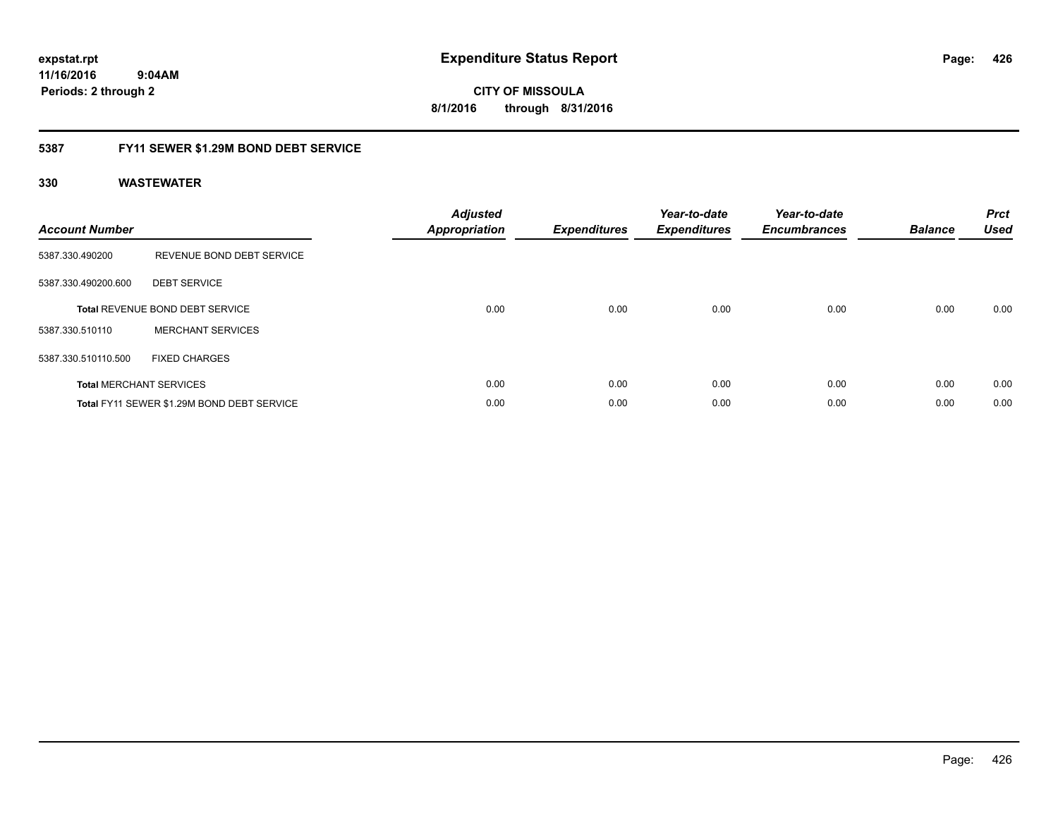**CITY OF MISSOULA 8/1/2016 through 8/31/2016**

### **5387 FY11 SEWER \$1.29M BOND DEBT SERVICE**

| <b>Account Number</b> |                                            | <b>Adjusted</b><br>Appropriation | <b>Expenditures</b> | Year-to-date<br><b>Expenditures</b> | Year-to-date<br><b>Encumbrances</b> | <b>Balance</b> | <b>Prct</b><br><b>Used</b> |
|-----------------------|--------------------------------------------|----------------------------------|---------------------|-------------------------------------|-------------------------------------|----------------|----------------------------|
| 5387.330.490200       | REVENUE BOND DEBT SERVICE                  |                                  |                     |                                     |                                     |                |                            |
| 5387.330.490200.600   | <b>DEBT SERVICE</b>                        |                                  |                     |                                     |                                     |                |                            |
|                       | <b>Total REVENUE BOND DEBT SERVICE</b>     | 0.00                             | 0.00                | 0.00                                | 0.00                                | 0.00           | 0.00                       |
| 5387.330.510110       | <b>MERCHANT SERVICES</b>                   |                                  |                     |                                     |                                     |                |                            |
| 5387.330.510110.500   | <b>FIXED CHARGES</b>                       |                                  |                     |                                     |                                     |                |                            |
|                       | <b>Total MERCHANT SERVICES</b>             | 0.00                             | 0.00                | 0.00                                | 0.00                                | 0.00           | 0.00                       |
|                       | Total FY11 SEWER \$1.29M BOND DEBT SERVICE | 0.00                             | 0.00                | 0.00                                | 0.00                                | 0.00           | 0.00                       |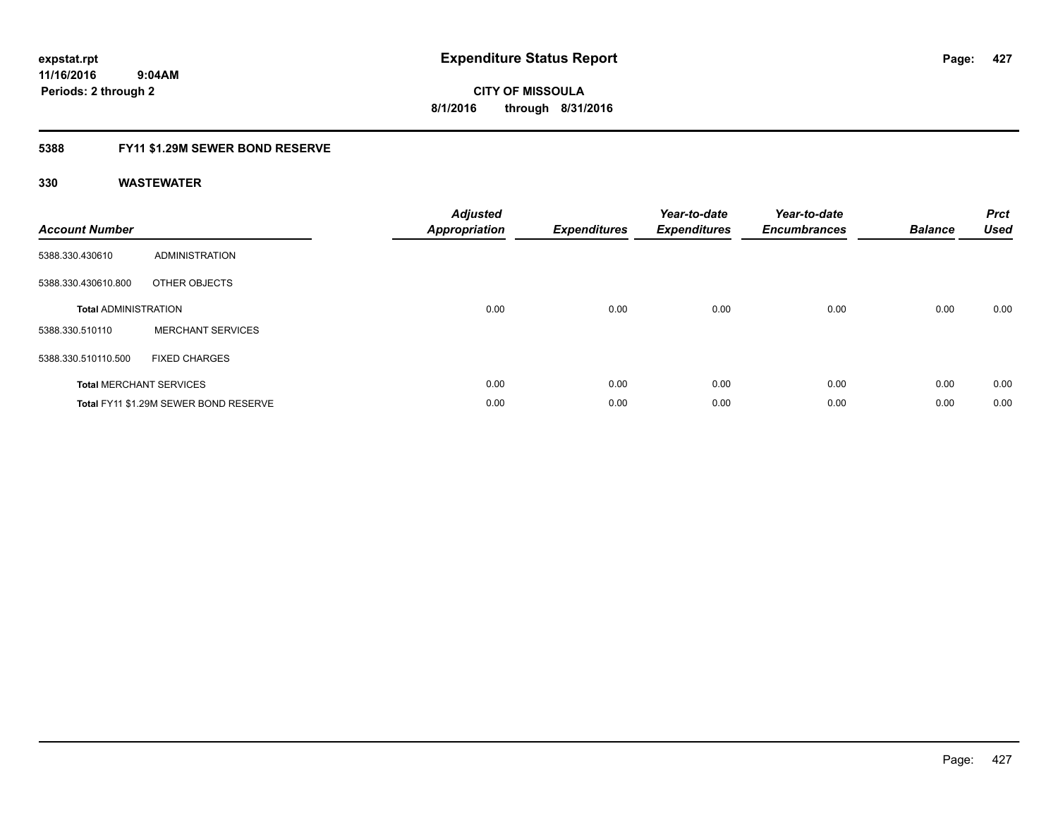**Periods: 2 through 2**

**CITY OF MISSOULA 8/1/2016 through 8/31/2016**

### **5388 FY11 \$1.29M SEWER BOND RESERVE**

 **9:04AM**

| <b>Account Number</b>       |                                       | <b>Adjusted</b><br>Appropriation | <b>Expenditures</b> | Year-to-date<br><b>Expenditures</b> | Year-to-date<br><b>Encumbrances</b> | <b>Balance</b> | <b>Prct</b><br><b>Used</b> |
|-----------------------------|---------------------------------------|----------------------------------|---------------------|-------------------------------------|-------------------------------------|----------------|----------------------------|
| 5388.330.430610             | ADMINISTRATION                        |                                  |                     |                                     |                                     |                |                            |
| 5388.330.430610.800         | OTHER OBJECTS                         |                                  |                     |                                     |                                     |                |                            |
| <b>Total ADMINISTRATION</b> |                                       | 0.00                             | 0.00                | 0.00                                | 0.00                                | 0.00           | 0.00                       |
| 5388.330.510110             | <b>MERCHANT SERVICES</b>              |                                  |                     |                                     |                                     |                |                            |
| 5388.330.510110.500         | <b>FIXED CHARGES</b>                  |                                  |                     |                                     |                                     |                |                            |
|                             | <b>Total MERCHANT SERVICES</b>        | 0.00                             | 0.00                | 0.00                                | 0.00                                | 0.00           | 0.00                       |
|                             | Total FY11 \$1.29M SEWER BOND RESERVE | 0.00                             | 0.00                | 0.00                                | 0.00                                | 0.00           | 0.00                       |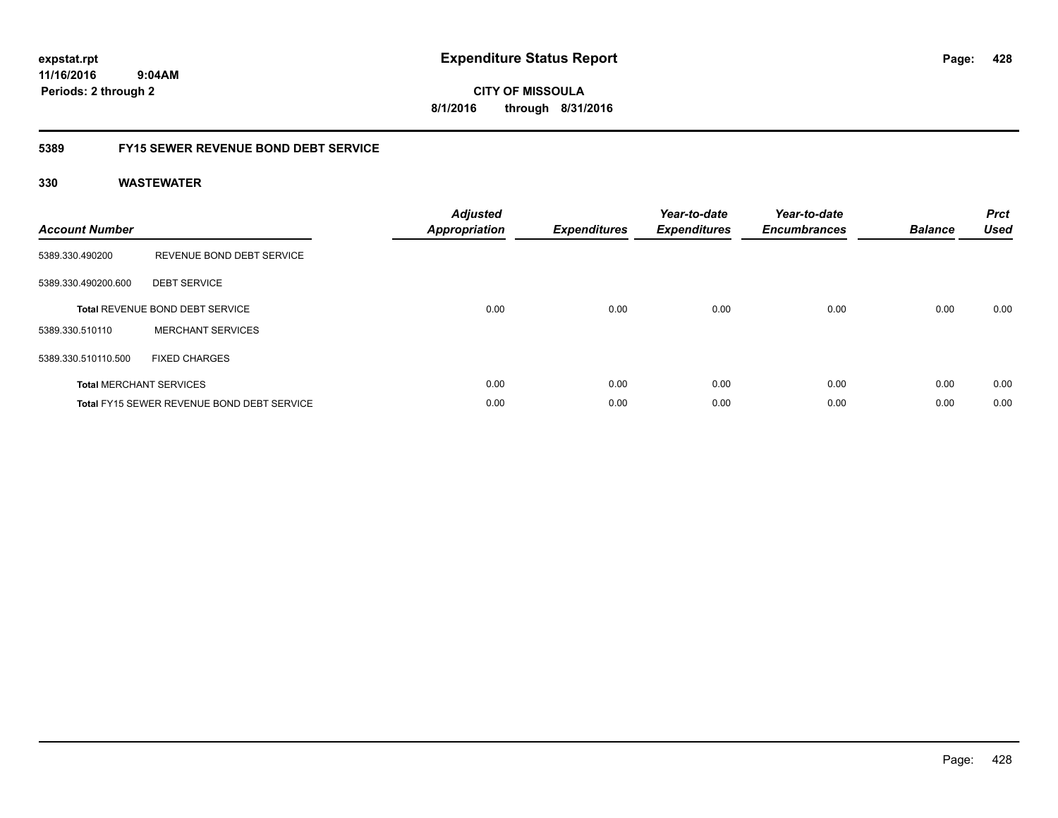**CITY OF MISSOULA 8/1/2016 through 8/31/2016**

### **5389 FY15 SEWER REVENUE BOND DEBT SERVICE**

| <b>Account Number</b> |                                            | <b>Adjusted</b><br>Appropriation | <b>Expenditures</b> | Year-to-date<br><b>Expenditures</b> | Year-to-date<br><b>Encumbrances</b> | <b>Balance</b> | <b>Prct</b><br><b>Used</b> |
|-----------------------|--------------------------------------------|----------------------------------|---------------------|-------------------------------------|-------------------------------------|----------------|----------------------------|
| 5389.330.490200       | REVENUE BOND DEBT SERVICE                  |                                  |                     |                                     |                                     |                |                            |
| 5389.330.490200.600   | <b>DEBT SERVICE</b>                        |                                  |                     |                                     |                                     |                |                            |
|                       | <b>Total REVENUE BOND DEBT SERVICE</b>     | 0.00                             | 0.00                | 0.00                                | 0.00                                | 0.00           | 0.00                       |
| 5389.330.510110       | <b>MERCHANT SERVICES</b>                   |                                  |                     |                                     |                                     |                |                            |
| 5389.330.510110.500   | <b>FIXED CHARGES</b>                       |                                  |                     |                                     |                                     |                |                            |
|                       | <b>Total MERCHANT SERVICES</b>             | 0.00                             | 0.00                | 0.00                                | 0.00                                | 0.00           | 0.00                       |
|                       | Total FY15 SEWER REVENUE BOND DEBT SERVICE | 0.00                             | 0.00                | 0.00                                | 0.00                                | 0.00           | 0.00                       |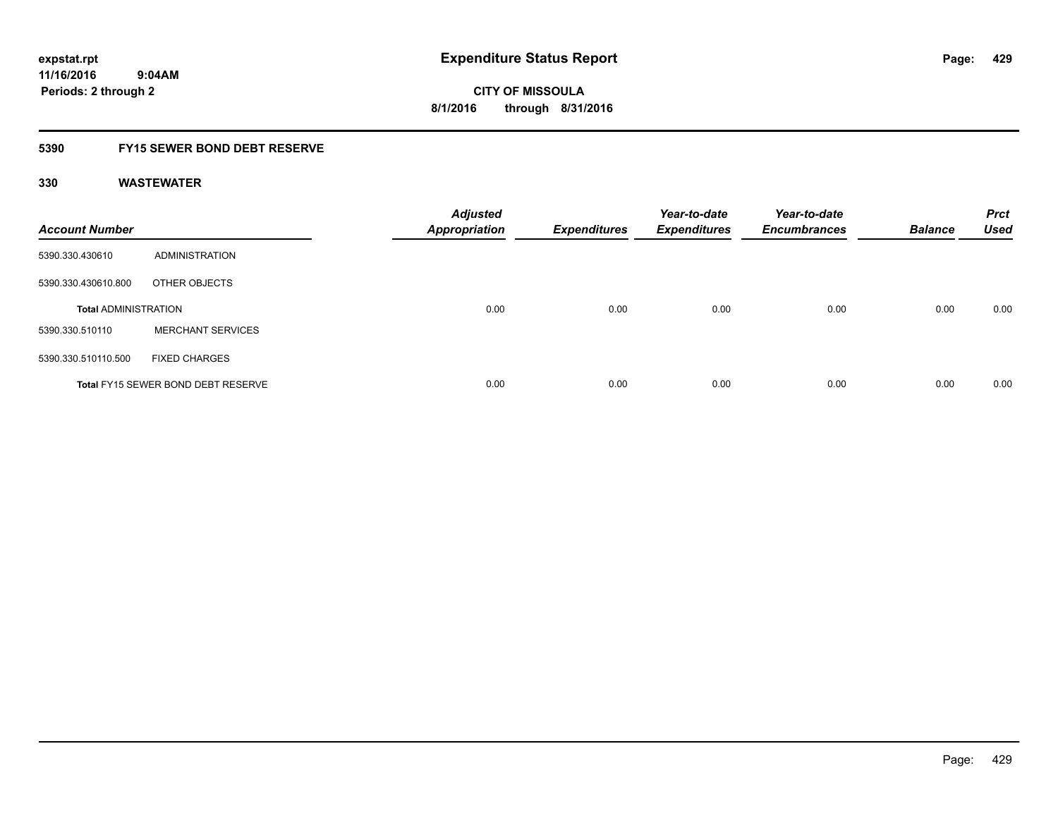**CITY OF MISSOULA 8/1/2016 through 8/31/2016**

### **5390 FY15 SEWER BOND DEBT RESERVE**

| <b>Account Number</b>       |                                           | <b>Adjusted</b><br><b>Appropriation</b> | <b>Expenditures</b> | Year-to-date<br><b>Expenditures</b> | Year-to-date<br><b>Encumbrances</b> | <b>Balance</b> | <b>Prct</b><br><b>Used</b> |
|-----------------------------|-------------------------------------------|-----------------------------------------|---------------------|-------------------------------------|-------------------------------------|----------------|----------------------------|
| 5390.330.430610             | ADMINISTRATION                            |                                         |                     |                                     |                                     |                |                            |
| 5390.330.430610.800         | OTHER OBJECTS                             |                                         |                     |                                     |                                     |                |                            |
| <b>Total ADMINISTRATION</b> |                                           | 0.00                                    | 0.00                | 0.00                                | 0.00                                | 0.00           | 0.00                       |
| 5390.330.510110             | <b>MERCHANT SERVICES</b>                  |                                         |                     |                                     |                                     |                |                            |
| 5390.330.510110.500         | <b>FIXED CHARGES</b>                      |                                         |                     |                                     |                                     |                |                            |
|                             | <b>Total FY15 SEWER BOND DEBT RESERVE</b> | 0.00                                    | 0.00                | 0.00                                | 0.00                                | 0.00           | 0.00                       |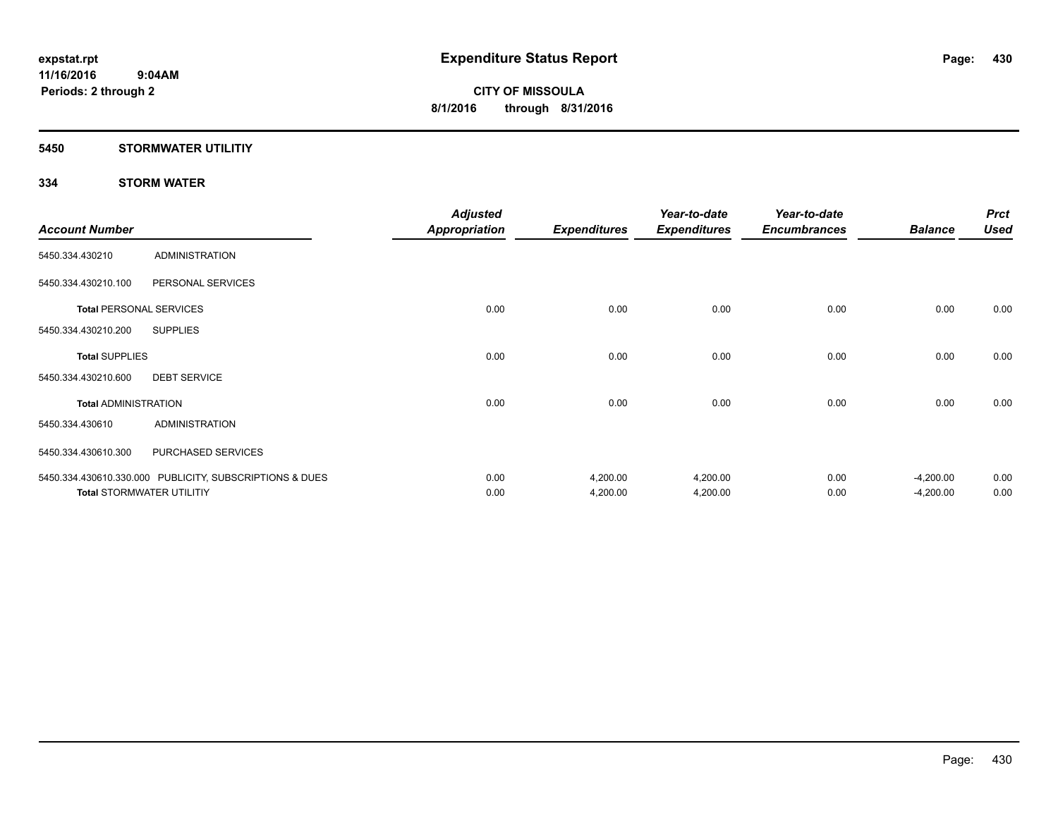### **5450 STORMWATER UTILITIY**

### **334 STORM WATER**

|                             |                                                         | <b>Adjusted</b>      |                     | Year-to-date        | Year-to-date        |                | <b>Prct</b> |
|-----------------------------|---------------------------------------------------------|----------------------|---------------------|---------------------|---------------------|----------------|-------------|
| <b>Account Number</b>       |                                                         | <b>Appropriation</b> | <b>Expenditures</b> | <b>Expenditures</b> | <b>Encumbrances</b> | <b>Balance</b> | <b>Used</b> |
| 5450.334.430210             | <b>ADMINISTRATION</b>                                   |                      |                     |                     |                     |                |             |
| 5450.334.430210.100         | PERSONAL SERVICES                                       |                      |                     |                     |                     |                |             |
|                             | <b>Total PERSONAL SERVICES</b>                          | 0.00                 | 0.00                | 0.00                | 0.00                | 0.00           | 0.00        |
| 5450.334.430210.200         | <b>SUPPLIES</b>                                         |                      |                     |                     |                     |                |             |
| <b>Total SUPPLIES</b>       |                                                         | 0.00                 | 0.00                | 0.00                | 0.00                | 0.00           | 0.00        |
| 5450.334.430210.600         | <b>DEBT SERVICE</b>                                     |                      |                     |                     |                     |                |             |
| <b>Total ADMINISTRATION</b> |                                                         | 0.00                 | 0.00                | 0.00                | 0.00                | 0.00           | 0.00        |
| 5450.334.430610             | <b>ADMINISTRATION</b>                                   |                      |                     |                     |                     |                |             |
| 5450.334.430610.300         | PURCHASED SERVICES                                      |                      |                     |                     |                     |                |             |
|                             | 5450.334.430610.330.000 PUBLICITY, SUBSCRIPTIONS & DUES | 0.00                 | 4,200.00            | 4,200.00            | 0.00                | $-4,200.00$    | 0.00        |
|                             | <b>Total STORMWATER UTILITIY</b>                        | 0.00                 | 4,200.00            | 4,200.00            | 0.00                | $-4,200.00$    | 0.00        |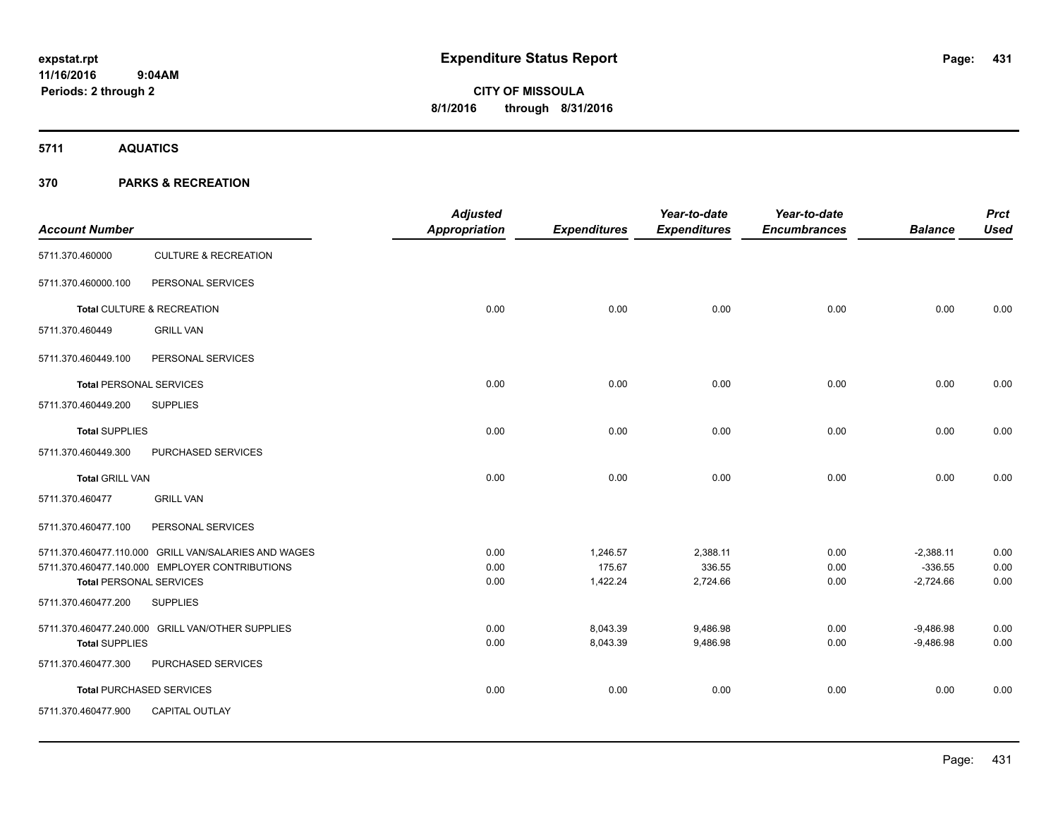**5711 AQUATICS**

**Periods: 2 through 2**

### **370 PARKS & RECREATION**

 **9:04AM**

| <b>Account Number</b>          |                                                      | <b>Adjusted</b><br><b>Appropriation</b> | <b>Expenditures</b> | Year-to-date<br><b>Expenditures</b> | Year-to-date<br><b>Encumbrances</b> | <b>Balance</b>           | <b>Prct</b><br><b>Used</b> |
|--------------------------------|------------------------------------------------------|-----------------------------------------|---------------------|-------------------------------------|-------------------------------------|--------------------------|----------------------------|
| 5711.370.460000                | <b>CULTURE &amp; RECREATION</b>                      |                                         |                     |                                     |                                     |                          |                            |
| 5711.370.460000.100            | PERSONAL SERVICES                                    |                                         |                     |                                     |                                     |                          |                            |
|                                | Total CULTURE & RECREATION                           | 0.00                                    | 0.00                | 0.00                                | 0.00                                | 0.00                     | 0.00                       |
| 5711.370.460449                | <b>GRILL VAN</b>                                     |                                         |                     |                                     |                                     |                          |                            |
| 5711.370.460449.100            | PERSONAL SERVICES                                    |                                         |                     |                                     |                                     |                          |                            |
| <b>Total PERSONAL SERVICES</b> |                                                      | 0.00                                    | 0.00                | 0.00                                | 0.00                                | 0.00                     | 0.00                       |
| 5711.370.460449.200            | <b>SUPPLIES</b>                                      |                                         |                     |                                     |                                     |                          |                            |
| <b>Total SUPPLIES</b>          |                                                      | 0.00                                    | 0.00                | 0.00                                | 0.00                                | 0.00                     | 0.00                       |
| 5711.370.460449.300            | PURCHASED SERVICES                                   |                                         |                     |                                     |                                     |                          |                            |
| <b>Total GRILL VAN</b>         |                                                      | 0.00                                    | 0.00                | 0.00                                | 0.00                                | 0.00                     | 0.00                       |
| 5711.370.460477                | <b>GRILL VAN</b>                                     |                                         |                     |                                     |                                     |                          |                            |
| 5711.370.460477.100            | PERSONAL SERVICES                                    |                                         |                     |                                     |                                     |                          |                            |
|                                | 5711.370.460477.110.000 GRILL VAN/SALARIES AND WAGES | 0.00                                    | 1,246.57            | 2,388.11                            | 0.00                                | $-2,388.11$              | 0.00                       |
| <b>Total PERSONAL SERVICES</b> | 5711.370.460477.140.000 EMPLOYER CONTRIBUTIONS       | 0.00<br>0.00                            | 175.67<br>1,422.24  | 336.55<br>2,724.66                  | 0.00<br>0.00                        | $-336.55$<br>$-2,724.66$ | 0.00<br>0.00               |
| 5711.370.460477.200            | <b>SUPPLIES</b>                                      |                                         |                     |                                     |                                     |                          |                            |
|                                | 5711.370.460477.240.000 GRILL VAN/OTHER SUPPLIES     | 0.00                                    | 8,043.39            | 9,486.98                            | 0.00                                | $-9,486.98$              | 0.00                       |
| <b>Total SUPPLIES</b>          |                                                      | 0.00                                    | 8,043.39            | 9,486.98                            | 0.00                                | $-9,486.98$              | 0.00                       |
| 5711.370.460477.300            | PURCHASED SERVICES                                   |                                         |                     |                                     |                                     |                          |                            |
|                                | <b>Total PURCHASED SERVICES</b>                      | 0.00                                    | 0.00                | 0.00                                | 0.00                                | 0.00                     | 0.00                       |
| 5711.370.460477.900            | CAPITAL OUTLAY                                       |                                         |                     |                                     |                                     |                          |                            |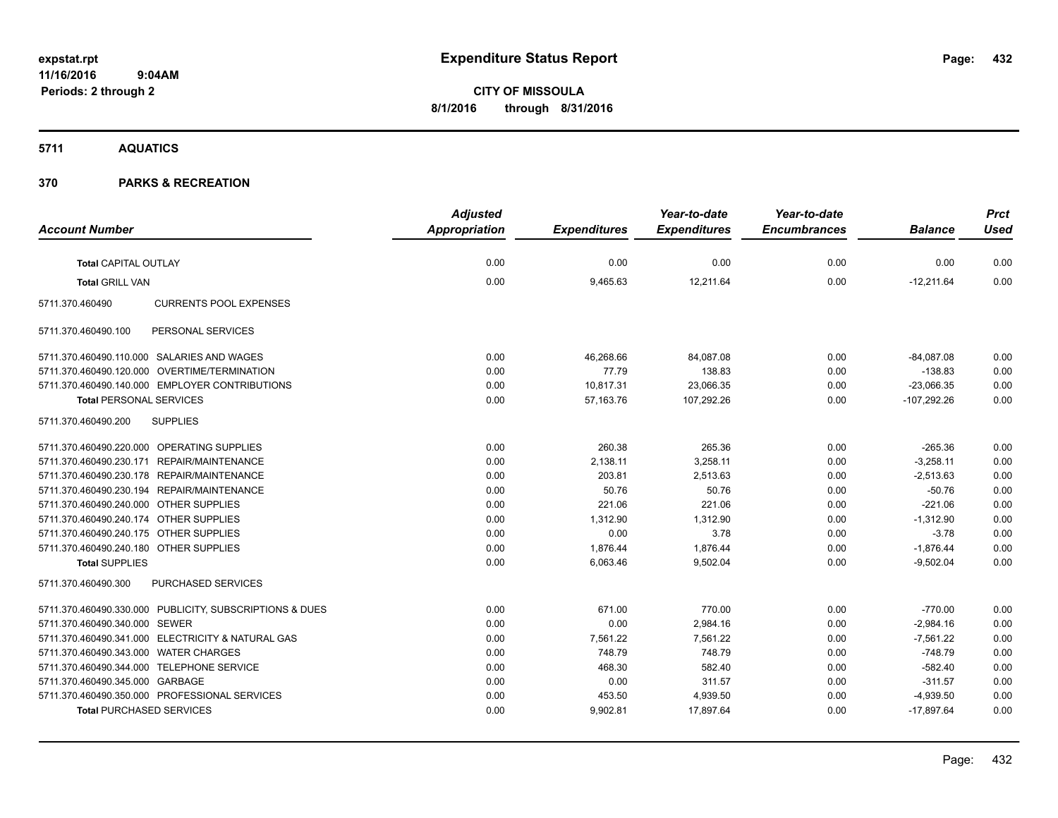**CITY OF MISSOULA 8/1/2016 through 8/31/2016**

**5711 AQUATICS**

### **370 PARKS & RECREATION**

|                                                         | <b>Adjusted</b>      |                     | Year-to-date        | Year-to-date        |                | <b>Prct</b> |
|---------------------------------------------------------|----------------------|---------------------|---------------------|---------------------|----------------|-------------|
| <b>Account Number</b>                                   | <b>Appropriation</b> | <b>Expenditures</b> | <b>Expenditures</b> | <b>Encumbrances</b> | <b>Balance</b> | <b>Used</b> |
| Total CAPITAL OUTLAY                                    | 0.00                 | 0.00                | 0.00                | 0.00                | 0.00           | 0.00        |
| <b>Total GRILL VAN</b>                                  | 0.00                 | 9,465.63            | 12,211.64           | 0.00                | $-12,211.64$   | 0.00        |
| <b>CURRENTS POOL EXPENSES</b><br>5711.370.460490        |                      |                     |                     |                     |                |             |
| 5711.370.460490.100<br>PERSONAL SERVICES                |                      |                     |                     |                     |                |             |
| 5711.370.460490.110.000 SALARIES AND WAGES              | 0.00                 | 46,268.66           | 84,087.08           | 0.00                | $-84,087.08$   | 0.00        |
| 5711.370.460490.120.000 OVERTIME/TERMINATION            | 0.00                 | 77.79               | 138.83              | 0.00                | $-138.83$      | 0.00        |
| 5711.370.460490.140.000 EMPLOYER CONTRIBUTIONS          | 0.00                 | 10,817.31           | 23,066.35           | 0.00                | $-23,066.35$   | 0.00        |
| <b>Total PERSONAL SERVICES</b>                          | 0.00                 | 57,163.76           | 107,292.26          | 0.00                | $-107,292.26$  | 0.00        |
| <b>SUPPLIES</b><br>5711.370.460490.200                  |                      |                     |                     |                     |                |             |
| 5711.370.460490.220.000 OPERATING SUPPLIES              | 0.00                 | 260.38              | 265.36              | 0.00                | $-265.36$      | 0.00        |
| 5711.370.460490.230.171 REPAIR/MAINTENANCE              | 0.00                 | 2,138.11            | 3,258.11            | 0.00                | $-3,258.11$    | 0.00        |
| 5711.370.460490.230.178 REPAIR/MAINTENANCE              | 0.00                 | 203.81              | 2,513.63            | 0.00                | $-2,513.63$    | 0.00        |
| 5711.370.460490.230.194 REPAIR/MAINTENANCE              | 0.00                 | 50.76               | 50.76               | 0.00                | $-50.76$       | 0.00        |
| 5711.370.460490.240.000 OTHER SUPPLIES                  | 0.00                 | 221.06              | 221.06              | 0.00                | $-221.06$      | 0.00        |
| 5711.370.460490.240.174 OTHER SUPPLIES                  | 0.00                 | 1,312.90            | 1,312.90            | 0.00                | $-1,312.90$    | 0.00        |
| 5711.370.460490.240.175 OTHER SUPPLIES                  | 0.00                 | 0.00                | 3.78                | 0.00                | $-3.78$        | 0.00        |
| 5711.370.460490.240.180 OTHER SUPPLIES                  | 0.00                 | 1,876.44            | 1,876.44            | 0.00                | $-1,876.44$    | 0.00        |
| <b>Total SUPPLIES</b>                                   | 0.00                 | 6,063.46            | 9,502.04            | 0.00                | $-9.502.04$    | 0.00        |
| PURCHASED SERVICES<br>5711.370.460490.300               |                      |                     |                     |                     |                |             |
| 5711.370.460490.330.000 PUBLICITY, SUBSCRIPTIONS & DUES | 0.00                 | 671.00              | 770.00              | 0.00                | $-770.00$      | 0.00        |
| 5711.370.460490.340.000 SEWER                           | 0.00                 | 0.00                | 2,984.16            | 0.00                | $-2,984.16$    | 0.00        |
| 5711.370.460490.341.000 ELECTRICITY & NATURAL GAS       | 0.00                 | 7,561.22            | 7.561.22            | 0.00                | $-7,561.22$    | 0.00        |
| 5711.370.460490.343.000 WATER CHARGES                   | 0.00                 | 748.79              | 748.79              | 0.00                | $-748.79$      | 0.00        |
| 5711.370.460490.344.000 TELEPHONE SERVICE               | 0.00                 | 468.30              | 582.40              | 0.00                | $-582.40$      | 0.00        |
| 5711.370.460490.345.000 GARBAGE                         | 0.00                 | 0.00                | 311.57              | 0.00                | $-311.57$      | 0.00        |
| 5711.370.460490.350.000 PROFESSIONAL SERVICES           | 0.00                 | 453.50              | 4,939.50            | 0.00                | $-4,939.50$    | 0.00        |
| <b>Total PURCHASED SERVICES</b>                         | 0.00                 | 9,902.81            | 17,897.64           | 0.00                | $-17,897.64$   | 0.00        |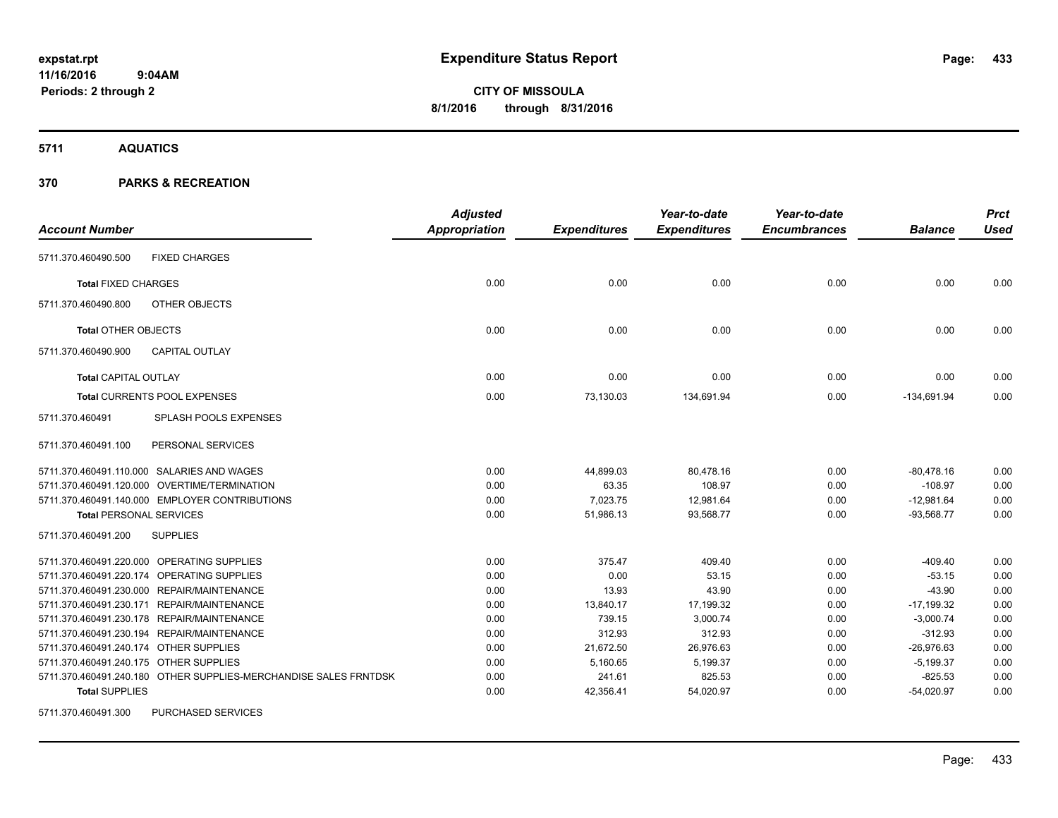**Periods: 2 through 2**

**CITY OF MISSOULA 8/1/2016 through 8/31/2016**

**5711 AQUATICS**

#### **370 PARKS & RECREATION**

 **9:04AM**

| <b>Account Number</b>                                            | <b>Adjusted</b><br><b>Appropriation</b> | <b>Expenditures</b> | Year-to-date<br><b>Expenditures</b> | Year-to-date<br><b>Encumbrances</b> | <b>Balance</b> | <b>Prct</b><br><b>Used</b> |
|------------------------------------------------------------------|-----------------------------------------|---------------------|-------------------------------------|-------------------------------------|----------------|----------------------------|
|                                                                  |                                         |                     |                                     |                                     |                |                            |
| 5711.370.460490.500<br><b>FIXED CHARGES</b>                      |                                         |                     |                                     |                                     |                |                            |
| <b>Total FIXED CHARGES</b>                                       | 0.00                                    | 0.00                | 0.00                                | 0.00                                | 0.00           | 0.00                       |
| OTHER OBJECTS<br>5711.370.460490.800                             |                                         |                     |                                     |                                     |                |                            |
| <b>Total OTHER OBJECTS</b>                                       | 0.00                                    | 0.00                | 0.00                                | 0.00                                | 0.00           | 0.00                       |
| 5711.370.460490.900<br><b>CAPITAL OUTLAY</b>                     |                                         |                     |                                     |                                     |                |                            |
| <b>Total CAPITAL OUTLAY</b>                                      | 0.00                                    | 0.00                | 0.00                                | 0.00                                | 0.00           | 0.00                       |
| Total CURRENTS POOL EXPENSES                                     | 0.00                                    | 73,130.03           | 134,691.94                          | 0.00                                | $-134,691.94$  | 0.00                       |
| 5711.370.460491<br><b>SPLASH POOLS EXPENSES</b>                  |                                         |                     |                                     |                                     |                |                            |
| PERSONAL SERVICES<br>5711.370.460491.100                         |                                         |                     |                                     |                                     |                |                            |
| 5711.370.460491.110.000 SALARIES AND WAGES                       | 0.00                                    | 44,899.03           | 80,478.16                           | 0.00                                | $-80,478.16$   | 0.00                       |
| 5711.370.460491.120.000 OVERTIME/TERMINATION                     | 0.00                                    | 63.35               | 108.97                              | 0.00                                | $-108.97$      | 0.00                       |
| 5711.370.460491.140.000 EMPLOYER CONTRIBUTIONS                   | 0.00                                    | 7,023.75            | 12,981.64                           | 0.00                                | $-12,981.64$   | 0.00                       |
| <b>Total PERSONAL SERVICES</b>                                   | 0.00                                    | 51,986.13           | 93.568.77                           | 0.00                                | $-93,568.77$   | 0.00                       |
| <b>SUPPLIES</b><br>5711.370.460491.200                           |                                         |                     |                                     |                                     |                |                            |
| 5711.370.460491.220.000 OPERATING SUPPLIES                       | 0.00                                    | 375.47              | 409.40                              | 0.00                                | $-409.40$      | 0.00                       |
| 5711.370.460491.220.174 OPERATING SUPPLIES                       | 0.00                                    | 0.00                | 53.15                               | 0.00                                | $-53.15$       | 0.00                       |
| 5711.370.460491.230.000 REPAIR/MAINTENANCE                       | 0.00                                    | 13.93               | 43.90                               | 0.00                                | $-43.90$       | 0.00                       |
| 5711.370.460491.230.171 REPAIR/MAINTENANCE                       | 0.00                                    | 13,840.17           | 17,199.32                           | 0.00                                | $-17,199.32$   | 0.00                       |
| 5711.370.460491.230.178 REPAIR/MAINTENANCE                       | 0.00                                    | 739.15              | 3,000.74                            | 0.00                                | $-3,000.74$    | 0.00                       |
| 5711.370.460491.230.194 REPAIR/MAINTENANCE                       | 0.00                                    | 312.93              | 312.93                              | 0.00                                | $-312.93$      | 0.00                       |
| 5711.370.460491.240.174 OTHER SUPPLIES                           | 0.00                                    | 21,672.50           | 26,976.63                           | 0.00                                | $-26,976.63$   | 0.00                       |
| 5711.370.460491.240.175 OTHER SUPPLIES                           | 0.00                                    | 5,160.65            | 5,199.37                            | 0.00                                | $-5,199.37$    | 0.00                       |
| 5711.370.460491.240.180 OTHER SUPPLIES-MERCHANDISE SALES FRNTDSK | 0.00                                    | 241.61              | 825.53                              | 0.00                                | $-825.53$      | 0.00                       |
| <b>Total SUPPLIES</b>                                            | 0.00                                    | 42,356.41           | 54,020.97                           | 0.00                                | $-54,020.97$   | 0.00                       |
| PURCHASED SERVICES<br>5711.370.460491.300                        |                                         |                     |                                     |                                     |                |                            |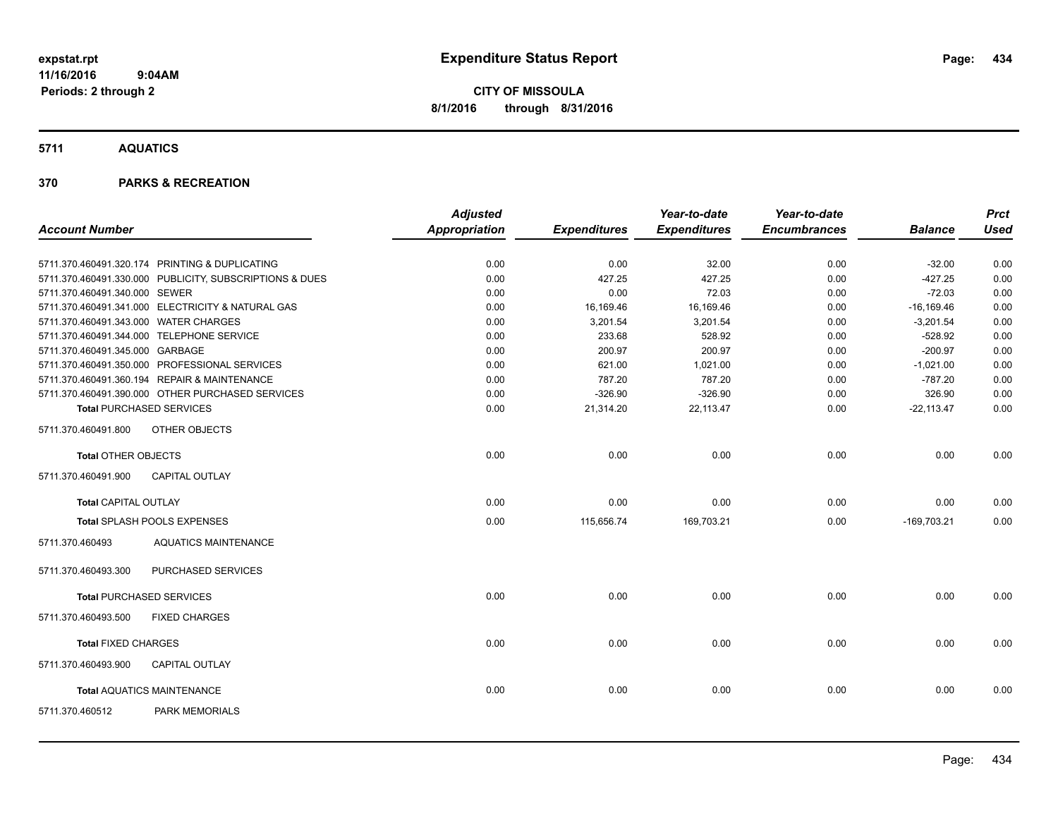**5711 AQUATICS**

#### **370 PARKS & RECREATION**

|                                       |                                                         | <b>Adjusted</b> |                     | Year-to-date        | Year-to-date        |                | <b>Prct</b> |
|---------------------------------------|---------------------------------------------------------|-----------------|---------------------|---------------------|---------------------|----------------|-------------|
| <b>Account Number</b>                 |                                                         | Appropriation   | <b>Expenditures</b> | <b>Expenditures</b> | <b>Encumbrances</b> | <b>Balance</b> | <b>Used</b> |
|                                       | 5711.370.460491.320.174 PRINTING & DUPLICATING          | 0.00            | 0.00                | 32.00               | 0.00                | $-32.00$       | 0.00        |
|                                       | 5711.370.460491.330.000 PUBLICITY, SUBSCRIPTIONS & DUES | 0.00            | 427.25              | 427.25              | 0.00                | $-427.25$      | 0.00        |
| 5711.370.460491.340.000 SEWER         |                                                         | 0.00            | 0.00                | 72.03               | 0.00                | $-72.03$       | 0.00        |
|                                       | 5711.370.460491.341.000 ELECTRICITY & NATURAL GAS       | 0.00            | 16,169.46           | 16,169.46           | 0.00                | $-16,169.46$   | 0.00        |
| 5711.370.460491.343.000 WATER CHARGES |                                                         | 0.00            | 3,201.54            | 3,201.54            | 0.00                | $-3,201.54$    | 0.00        |
|                                       | 5711.370.460491.344.000 TELEPHONE SERVICE               | 0.00            | 233.68              | 528.92              | 0.00                | $-528.92$      | 0.00        |
| 5711.370.460491.345.000 GARBAGE       |                                                         | 0.00            | 200.97              | 200.97              | 0.00                | $-200.97$      | 0.00        |
|                                       | 5711.370.460491.350.000 PROFESSIONAL SERVICES           | 0.00            | 621.00              | 1,021.00            | 0.00                | $-1,021.00$    | 0.00        |
|                                       | 5711.370.460491.360.194 REPAIR & MAINTENANCE            | 0.00            | 787.20              | 787.20              | 0.00                | $-787.20$      | 0.00        |
|                                       | 5711.370.460491.390.000 OTHER PURCHASED SERVICES        | 0.00            | $-326.90$           | $-326.90$           | 0.00                | 326.90         | 0.00        |
|                                       | <b>Total PURCHASED SERVICES</b>                         | 0.00            | 21,314.20           | 22,113.47           | 0.00                | $-22,113.47$   | 0.00        |
| 5711.370.460491.800                   | OTHER OBJECTS                                           |                 |                     |                     |                     |                |             |
| <b>Total OTHER OBJECTS</b>            |                                                         | 0.00            | 0.00                | 0.00                | 0.00                | 0.00           | 0.00        |
| 5711.370.460491.900                   | <b>CAPITAL OUTLAY</b>                                   |                 |                     |                     |                     |                |             |
| <b>Total CAPITAL OUTLAY</b>           |                                                         | 0.00            | 0.00                | 0.00                | 0.00                | 0.00           | 0.00        |
|                                       | Total SPLASH POOLS EXPENSES                             | 0.00            | 115,656.74          | 169,703.21          | 0.00                | $-169,703.21$  | 0.00        |
| 5711.370.460493                       | <b>AQUATICS MAINTENANCE</b>                             |                 |                     |                     |                     |                |             |
| 5711.370.460493.300                   | PURCHASED SERVICES                                      |                 |                     |                     |                     |                |             |
|                                       | <b>Total PURCHASED SERVICES</b>                         | 0.00            | 0.00                | 0.00                | 0.00                | 0.00           | 0.00        |
| 5711.370.460493.500                   | <b>FIXED CHARGES</b>                                    |                 |                     |                     |                     |                |             |
| <b>Total FIXED CHARGES</b>            |                                                         | 0.00            | 0.00                | 0.00                | 0.00                | 0.00           | 0.00        |
| 5711.370.460493.900                   | <b>CAPITAL OUTLAY</b>                                   |                 |                     |                     |                     |                |             |
|                                       | <b>Total AQUATICS MAINTENANCE</b>                       | 0.00            | 0.00                | 0.00                | 0.00                | 0.00           | 0.00        |
| 5711.370.460512                       | <b>PARK MEMORIALS</b>                                   |                 |                     |                     |                     |                |             |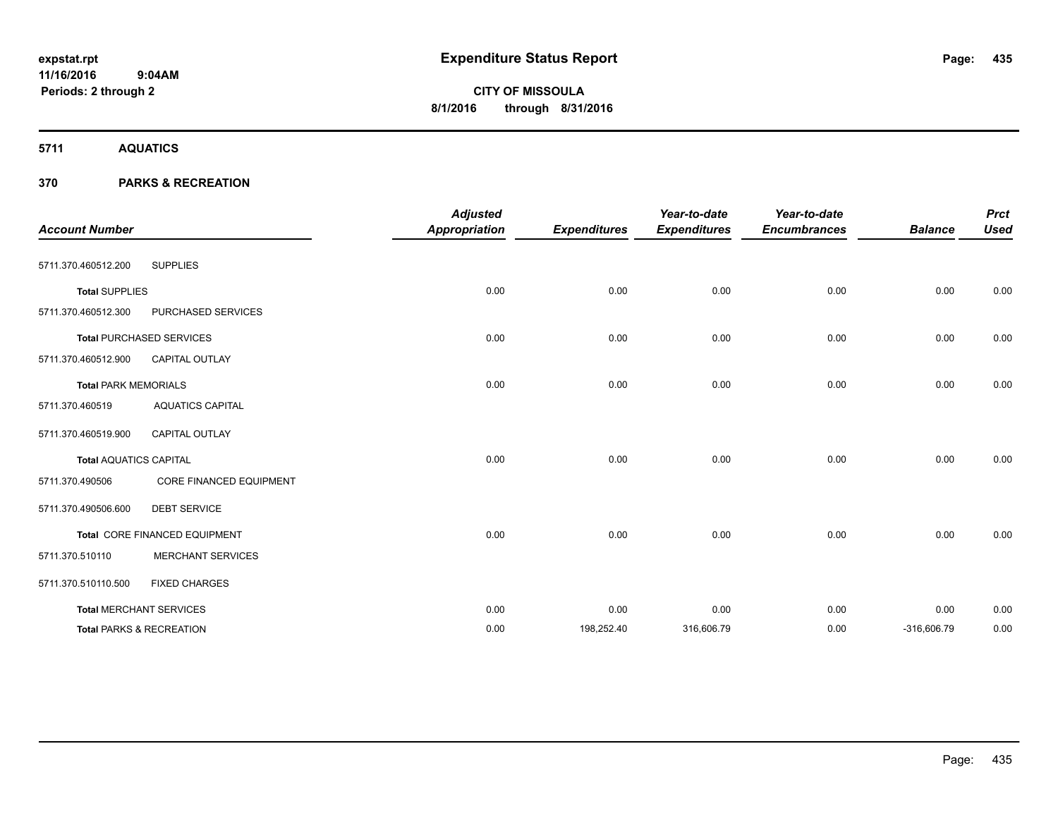**CITY OF MISSOULA 8/1/2016 through 8/31/2016**

**5711 AQUATICS**

#### **370 PARKS & RECREATION**

| <b>Account Number</b>         |                                 | <b>Adjusted</b><br><b>Appropriation</b> | <b>Expenditures</b> | Year-to-date<br><b>Expenditures</b> | Year-to-date<br><b>Encumbrances</b> | <b>Balance</b> | <b>Prct</b><br><b>Used</b> |
|-------------------------------|---------------------------------|-----------------------------------------|---------------------|-------------------------------------|-------------------------------------|----------------|----------------------------|
| 5711.370.460512.200           | <b>SUPPLIES</b>                 |                                         |                     |                                     |                                     |                |                            |
| <b>Total SUPPLIES</b>         |                                 | 0.00                                    | 0.00                | 0.00                                | 0.00                                | 0.00           | 0.00                       |
| 5711.370.460512.300           | PURCHASED SERVICES              |                                         |                     |                                     |                                     |                |                            |
|                               | <b>Total PURCHASED SERVICES</b> | 0.00                                    | 0.00                | 0.00                                | 0.00                                | 0.00           | 0.00                       |
| 5711.370.460512.900           | <b>CAPITAL OUTLAY</b>           |                                         |                     |                                     |                                     |                |                            |
| <b>Total PARK MEMORIALS</b>   |                                 | 0.00                                    | 0.00                | 0.00                                | 0.00                                | 0.00           | 0.00                       |
| 5711.370.460519               | <b>AQUATICS CAPITAL</b>         |                                         |                     |                                     |                                     |                |                            |
| 5711.370.460519.900           | <b>CAPITAL OUTLAY</b>           |                                         |                     |                                     |                                     |                |                            |
| <b>Total AQUATICS CAPITAL</b> |                                 | 0.00                                    | 0.00                | 0.00                                | 0.00                                | 0.00           | 0.00                       |
| 5711.370.490506               | <b>CORE FINANCED EQUIPMENT</b>  |                                         |                     |                                     |                                     |                |                            |
| 5711.370.490506.600           | <b>DEBT SERVICE</b>             |                                         |                     |                                     |                                     |                |                            |
|                               | Total CORE FINANCED EQUIPMENT   | 0.00                                    | 0.00                | 0.00                                | 0.00                                | 0.00           | 0.00                       |
| 5711.370.510110               | <b>MERCHANT SERVICES</b>        |                                         |                     |                                     |                                     |                |                            |
| 5711.370.510110.500           | <b>FIXED CHARGES</b>            |                                         |                     |                                     |                                     |                |                            |
|                               | <b>Total MERCHANT SERVICES</b>  | 0.00                                    | 0.00                | 0.00                                | 0.00                                | 0.00           | 0.00                       |
|                               | Total PARKS & RECREATION        | 0.00                                    | 198,252.40          | 316,606.79                          | 0.00                                | $-316,606.79$  | 0.00                       |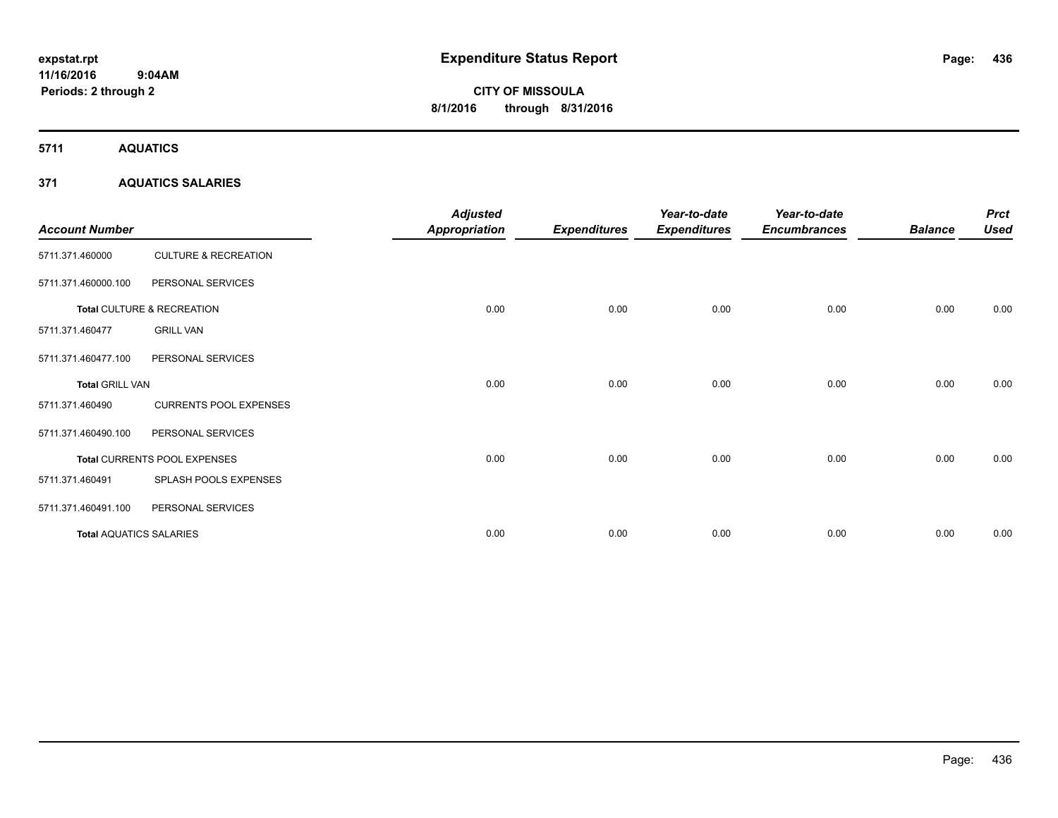# **CITY OF MISSOULA 8/1/2016 through 8/31/2016**

**5711 AQUATICS**

#### **371 AQUATICS SALARIES**

| <b>Account Number</b>          |                                 | <b>Adjusted</b><br>Appropriation | <b>Expenditures</b> | Year-to-date<br><b>Expenditures</b> | Year-to-date<br><b>Encumbrances</b> | <b>Balance</b> | <b>Prct</b><br><b>Used</b> |
|--------------------------------|---------------------------------|----------------------------------|---------------------|-------------------------------------|-------------------------------------|----------------|----------------------------|
| 5711.371.460000                | <b>CULTURE &amp; RECREATION</b> |                                  |                     |                                     |                                     |                |                            |
| 5711.371.460000.100            | PERSONAL SERVICES               |                                  |                     |                                     |                                     |                |                            |
|                                | Total CULTURE & RECREATION      | 0.00                             | 0.00                | 0.00                                | 0.00                                | 0.00           | 0.00                       |
| 5711.371.460477                | <b>GRILL VAN</b>                |                                  |                     |                                     |                                     |                |                            |
| 5711.371.460477.100            | PERSONAL SERVICES               |                                  |                     |                                     |                                     |                |                            |
| <b>Total GRILL VAN</b>         |                                 | 0.00                             | 0.00                | 0.00                                | 0.00                                | 0.00           | 0.00                       |
| 5711.371.460490                | <b>CURRENTS POOL EXPENSES</b>   |                                  |                     |                                     |                                     |                |                            |
| 5711.371.460490.100            | PERSONAL SERVICES               |                                  |                     |                                     |                                     |                |                            |
|                                | Total CURRENTS POOL EXPENSES    | 0.00                             | 0.00                | 0.00                                | 0.00                                | 0.00           | 0.00                       |
| 5711.371.460491                | SPLASH POOLS EXPENSES           |                                  |                     |                                     |                                     |                |                            |
| 5711.371.460491.100            | PERSONAL SERVICES               |                                  |                     |                                     |                                     |                |                            |
| <b>Total AQUATICS SALARIES</b> |                                 | 0.00                             | 0.00                | 0.00                                | 0.00                                | 0.00           | 0.00                       |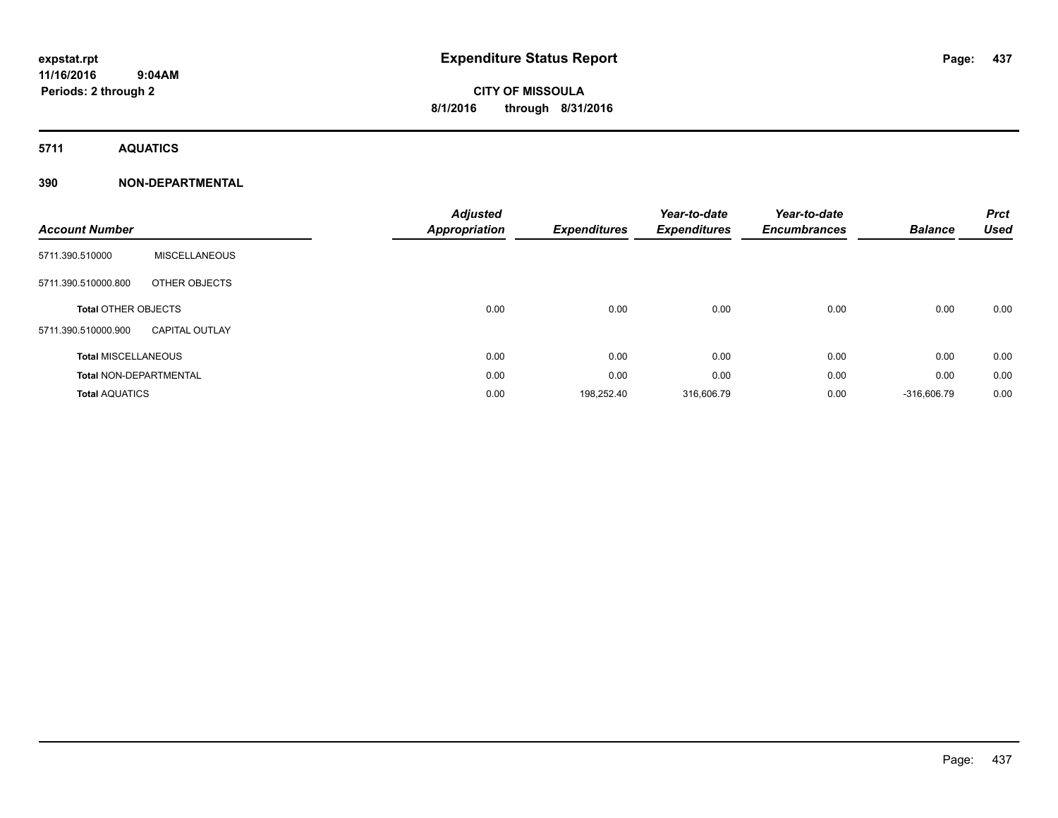**5711 AQUATICS**

| <b>Account Number</b>         |                       | <b>Adjusted</b><br><b>Appropriation</b> | <b>Expenditures</b> | Year-to-date<br><b>Expenditures</b> | Year-to-date<br><b>Encumbrances</b> | <b>Balance</b> | <b>Prct</b><br><b>Used</b> |
|-------------------------------|-----------------------|-----------------------------------------|---------------------|-------------------------------------|-------------------------------------|----------------|----------------------------|
| 5711.390.510000               | <b>MISCELLANEOUS</b>  |                                         |                     |                                     |                                     |                |                            |
| 5711.390.510000.800           | OTHER OBJECTS         |                                         |                     |                                     |                                     |                |                            |
| <b>Total OTHER OBJECTS</b>    |                       | 0.00                                    | 0.00                | 0.00                                | 0.00                                | 0.00           | 0.00                       |
| 5711.390.510000.900           | <b>CAPITAL OUTLAY</b> |                                         |                     |                                     |                                     |                |                            |
| <b>Total MISCELLANEOUS</b>    |                       | 0.00                                    | 0.00                | 0.00                                | 0.00                                | 0.00           | 0.00                       |
| <b>Total NON-DEPARTMENTAL</b> |                       | 0.00                                    | 0.00                | 0.00                                | 0.00                                | 0.00           | 0.00                       |
| <b>Total AQUATICS</b>         |                       | 0.00                                    | 198,252.40          | 316,606.79                          | 0.00                                | $-316,606.79$  | 0.00                       |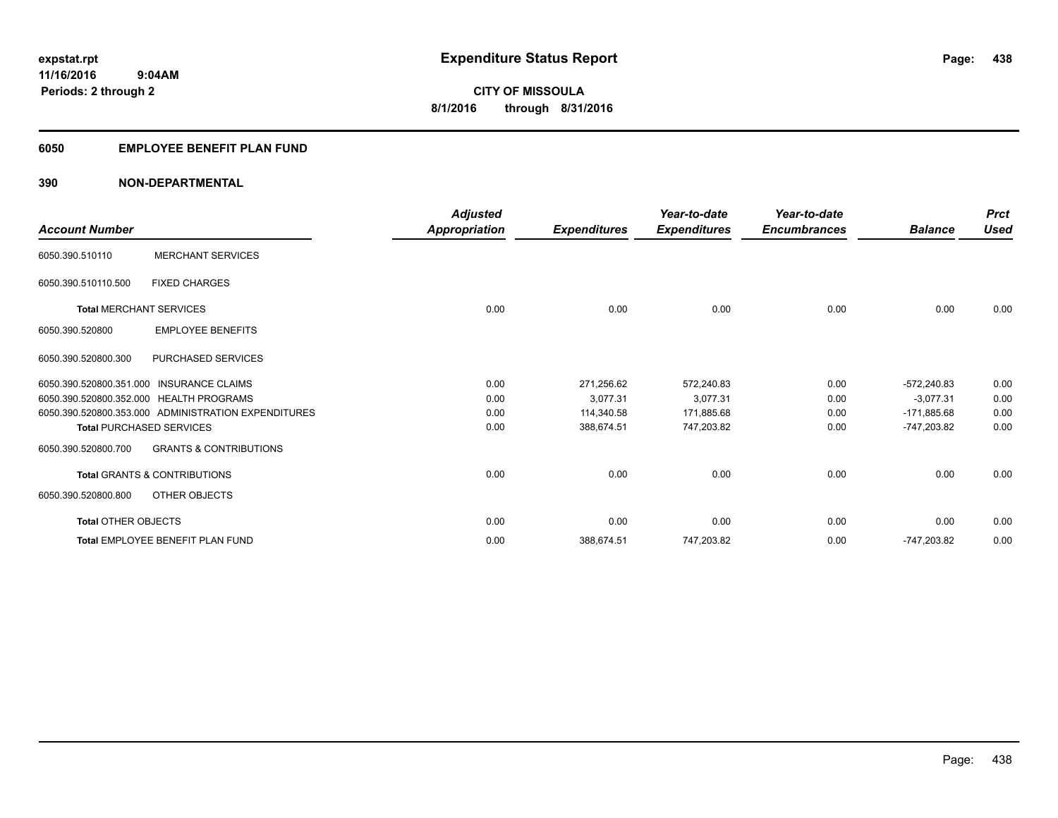#### **6050 EMPLOYEE BENEFIT PLAN FUND**

| <b>Account Number</b>      |                                                     | <b>Adjusted</b><br><b>Appropriation</b> | <b>Expenditures</b> | Year-to-date<br><b>Expenditures</b> | Year-to-date<br><b>Encumbrances</b> | <b>Balance</b> | <b>Prct</b><br><b>Used</b> |
|----------------------------|-----------------------------------------------------|-----------------------------------------|---------------------|-------------------------------------|-------------------------------------|----------------|----------------------------|
| 6050.390.510110            | <b>MERCHANT SERVICES</b>                            |                                         |                     |                                     |                                     |                |                            |
| 6050.390.510110.500        | <b>FIXED CHARGES</b>                                |                                         |                     |                                     |                                     |                |                            |
|                            | <b>Total MERCHANT SERVICES</b>                      | 0.00                                    | 0.00                | 0.00                                | 0.00                                | 0.00           | 0.00                       |
| 6050.390.520800            | <b>EMPLOYEE BENEFITS</b>                            |                                         |                     |                                     |                                     |                |                            |
| 6050.390.520800.300        | PURCHASED SERVICES                                  |                                         |                     |                                     |                                     |                |                            |
|                            | 6050.390.520800.351.000 INSURANCE CLAIMS            | 0.00                                    | 271,256.62          | 572,240.83                          | 0.00                                | $-572.240.83$  | 0.00                       |
|                            | 6050.390.520800.352.000 HEALTH PROGRAMS             | 0.00                                    | 3.077.31            | 3.077.31                            | 0.00                                | $-3.077.31$    | 0.00                       |
|                            | 6050.390.520800.353.000 ADMINISTRATION EXPENDITURES | 0.00                                    | 114,340.58          | 171,885.68                          | 0.00                                | $-171,885.68$  | 0.00                       |
|                            | <b>Total PURCHASED SERVICES</b>                     | 0.00                                    | 388,674.51          | 747,203.82                          | 0.00                                | -747,203.82    | 0.00                       |
| 6050.390.520800.700        | <b>GRANTS &amp; CONTRIBUTIONS</b>                   |                                         |                     |                                     |                                     |                |                            |
|                            | <b>Total GRANTS &amp; CONTRIBUTIONS</b>             | 0.00                                    | 0.00                | 0.00                                | 0.00                                | 0.00           | 0.00                       |
| 6050.390.520800.800        | OTHER OBJECTS                                       |                                         |                     |                                     |                                     |                |                            |
| <b>Total OTHER OBJECTS</b> |                                                     | 0.00                                    | 0.00                | 0.00                                | 0.00                                | 0.00           | 0.00                       |
|                            | <b>Total EMPLOYEE BENEFIT PLAN FUND</b>             | 0.00                                    | 388,674.51          | 747,203.82                          | 0.00                                | -747,203.82    | 0.00                       |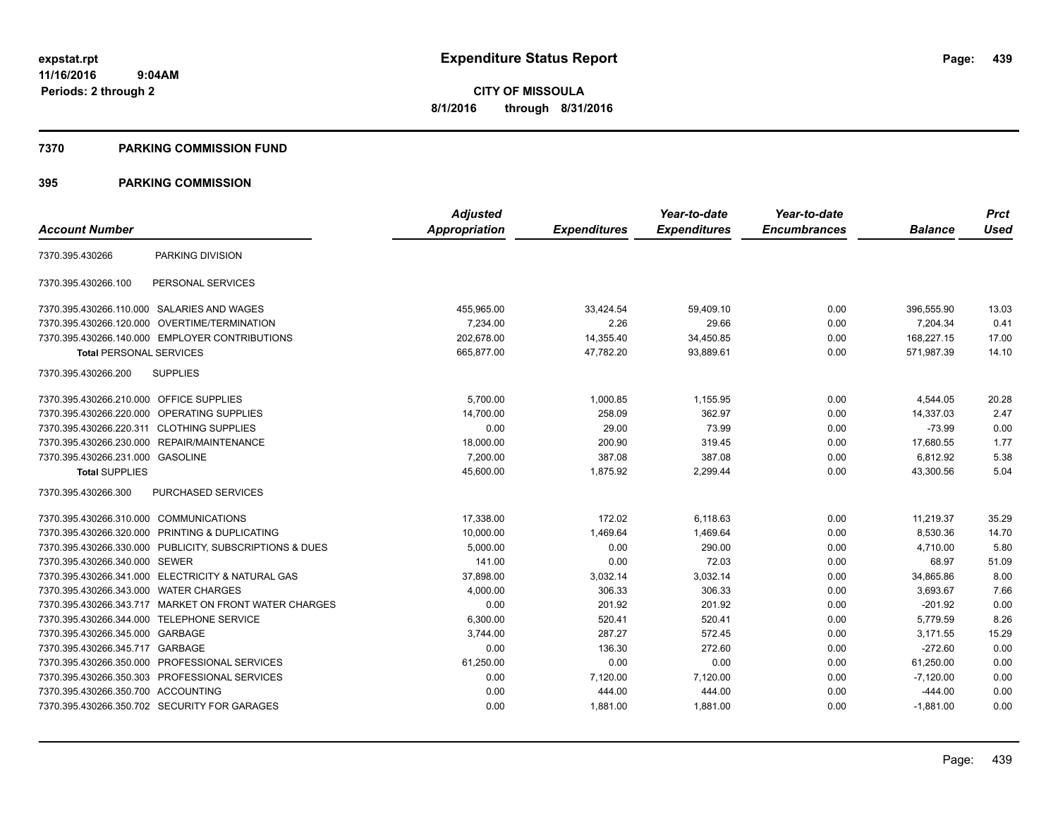**Periods: 2 through 2**

**CITY OF MISSOULA 8/1/2016 through 8/31/2016**

#### **7370 PARKING COMMISSION FUND**

|                                                         | <b>Adjusted</b>      |                     | Year-to-date        | Year-to-date        |                | <b>Prct</b> |
|---------------------------------------------------------|----------------------|---------------------|---------------------|---------------------|----------------|-------------|
| <b>Account Number</b>                                   | <b>Appropriation</b> | <b>Expenditures</b> | <b>Expenditures</b> | <b>Encumbrances</b> | <b>Balance</b> | <b>Used</b> |
| PARKING DIVISION<br>7370.395.430266                     |                      |                     |                     |                     |                |             |
| 7370.395.430266.100<br>PERSONAL SERVICES                |                      |                     |                     |                     |                |             |
| 7370.395.430266.110.000 SALARIES AND WAGES              | 455.965.00           | 33,424.54           | 59,409.10           | 0.00                | 396,555.90     | 13.03       |
| 7370.395.430266.120.000 OVERTIME/TERMINATION            | 7,234.00             | 2.26                | 29.66               | 0.00                | 7,204.34       | 0.41        |
| 7370.395.430266.140.000 EMPLOYER CONTRIBUTIONS          | 202.678.00           | 14,355.40           | 34,450.85           | 0.00                | 168,227.15     | 17.00       |
| <b>Total PERSONAL SERVICES</b>                          | 665,877.00           | 47,782.20           | 93,889.61           | 0.00                | 571,987.39     | 14.10       |
| <b>SUPPLIES</b><br>7370.395.430266.200                  |                      |                     |                     |                     |                |             |
| 7370.395.430266.210.000 OFFICE SUPPLIES                 | 5,700.00             | 1,000.85            | 1,155.95            | 0.00                | 4,544.05       | 20.28       |
| 7370.395.430266.220.000 OPERATING SUPPLIES              | 14,700.00            | 258.09              | 362.97              | 0.00                | 14,337.03      | 2.47        |
| 7370.395.430266.220.311 CLOTHING SUPPLIES               | 0.00                 | 29.00               | 73.99               | 0.00                | $-73.99$       | 0.00        |
| 7370.395.430266.230.000 REPAIR/MAINTENANCE              | 18,000.00            | 200.90              | 319.45              | 0.00                | 17,680.55      | 1.77        |
| 7370.395.430266.231.000 GASOLINE                        | 7,200.00             | 387.08              | 387.08              | 0.00                | 6,812.92       | 5.38        |
| <b>Total SUPPLIES</b>                                   | 45,600.00            | 1.875.92            | 2,299.44            | 0.00                | 43,300.56      | 5.04        |
| 7370.395.430266.300<br>PURCHASED SERVICES               |                      |                     |                     |                     |                |             |
| 7370.395.430266.310.000 COMMUNICATIONS                  | 17,338.00            | 172.02              | 6,118.63            | 0.00                | 11,219.37      | 35.29       |
| 7370.395.430266.320.000 PRINTING & DUPLICATING          | 10,000.00            | 1,469.64            | 1,469.64            | 0.00                | 8,530.36       | 14.70       |
| 7370.395.430266.330.000 PUBLICITY, SUBSCRIPTIONS & DUES | 5,000.00             | 0.00                | 290.00              | 0.00                | 4.710.00       | 5.80        |
| 7370.395.430266.340.000 SEWER                           | 141.00               | 0.00                | 72.03               | 0.00                | 68.97          | 51.09       |
| 7370.395.430266.341.000 ELECTRICITY & NATURAL GAS       | 37,898.00            | 3,032.14            | 3,032.14            | 0.00                | 34,865.86      | 8.00        |
| 7370.395.430266.343.000 WATER CHARGES                   | 4,000.00             | 306.33              | 306.33              | 0.00                | 3,693.67       | 7.66        |
| 7370.395.430266.343.717 MARKET ON FRONT WATER CHARGES   | 0.00                 | 201.92              | 201.92              | 0.00                | $-201.92$      | 0.00        |
| 7370.395.430266.344.000 TELEPHONE SERVICE               | 6,300.00             | 520.41              | 520.41              | 0.00                | 5,779.59       | 8.26        |
| 7370.395.430266.345.000 GARBAGE                         | 3,744.00             | 287.27              | 572.45              | 0.00                | 3,171.55       | 15.29       |
| 7370.395.430266.345.717 GARBAGE                         | 0.00                 | 136.30              | 272.60              | 0.00                | $-272.60$      | 0.00        |
| 7370.395.430266.350.000 PROFESSIONAL SERVICES           | 61,250.00            | 0.00                | 0.00                | 0.00                | 61,250.00      | 0.00        |
| 7370.395.430266.350.303 PROFESSIONAL SERVICES           | 0.00                 | 7,120.00            | 7,120.00            | 0.00                | $-7,120.00$    | 0.00        |
| 7370.395.430266.350.700 ACCOUNTING                      | 0.00                 | 444.00              | 444.00              | 0.00                | $-444.00$      | 0.00        |
| 7370.395.430266.350.702 SECURITY FOR GARAGES            | 0.00                 | 1,881.00            | 1,881.00            | 0.00                | $-1,881.00$    | 0.00        |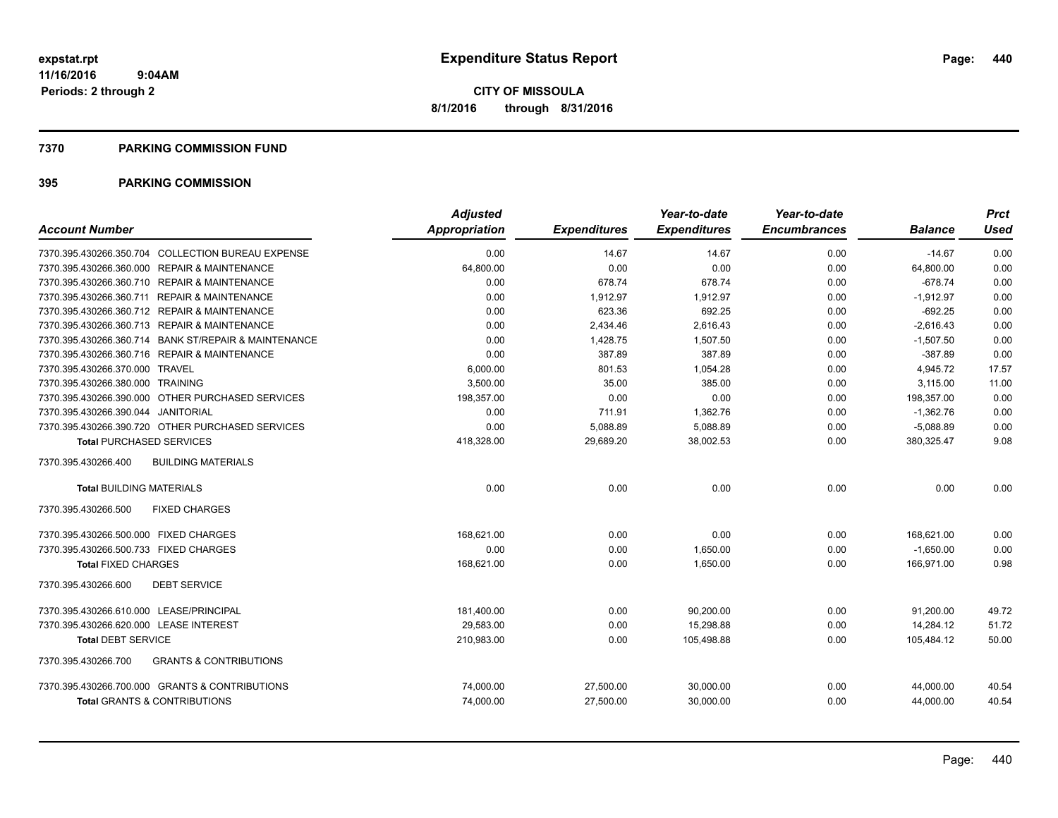#### **7370 PARKING COMMISSION FUND**

| <b>Account Number</b>                                    | Adjusted<br><b>Appropriation</b> | <b>Expenditures</b> | Year-to-date<br><b>Expenditures</b> | Year-to-date<br><b>Encumbrances</b> | <b>Balance</b> | <b>Prct</b><br><b>Used</b> |
|----------------------------------------------------------|----------------------------------|---------------------|-------------------------------------|-------------------------------------|----------------|----------------------------|
|                                                          |                                  |                     |                                     |                                     |                |                            |
| 7370.395.430266.350.704 COLLECTION BUREAU EXPENSE        | 0.00                             | 14.67               | 14.67                               | 0.00                                | $-14.67$       | 0.00                       |
| 7370.395.430266.360.000 REPAIR & MAINTENANCE             | 64,800.00                        | 0.00                | 0.00                                | 0.00                                | 64,800.00      | 0.00                       |
| 7370.395.430266.360.710 REPAIR & MAINTENANCE             | 0.00                             | 678.74              | 678.74                              | 0.00                                | $-678.74$      | 0.00                       |
| 7370.395.430266.360.711 REPAIR & MAINTENANCE             | 0.00                             | 1,912.97            | 1,912.97                            | 0.00                                | $-1,912.97$    | 0.00                       |
| 7370.395.430266.360.712 REPAIR & MAINTENANCE             | 0.00                             | 623.36              | 692.25                              | 0.00                                | $-692.25$      | 0.00                       |
| 7370.395.430266.360.713 REPAIR & MAINTENANCE             | 0.00                             | 2,434.46            | 2,616.43                            | 0.00                                | $-2,616.43$    | 0.00                       |
| 7370.395.430266.360.714 BANK ST/REPAIR & MAINTENANCE     | 0.00                             | 1,428.75            | 1.507.50                            | 0.00                                | $-1,507.50$    | 0.00                       |
| 7370.395.430266.360.716 REPAIR & MAINTENANCE             | 0.00                             | 387.89              | 387.89                              | 0.00                                | $-387.89$      | 0.00                       |
| 7370.395.430266.370.000 TRAVEL                           | 6,000.00                         | 801.53              | 1,054.28                            | 0.00                                | 4,945.72       | 17.57                      |
| 7370.395.430266.380.000 TRAINING                         | 3,500.00                         | 35.00               | 385.00                              | 0.00                                | 3,115.00       | 11.00                      |
| 7370.395.430266.390.000 OTHER PURCHASED SERVICES         | 198,357.00                       | 0.00                | 0.00                                | 0.00                                | 198,357.00     | 0.00                       |
| 7370.395.430266.390.044 JANITORIAL                       | 0.00                             | 711.91              | 1,362.76                            | 0.00                                | $-1,362.76$    | 0.00                       |
| 7370.395.430266.390.720 OTHER PURCHASED SERVICES         | 0.00                             | 5,088.89            | 5,088.89                            | 0.00                                | $-5,088.89$    | 0.00                       |
| <b>Total PURCHASED SERVICES</b>                          | 418,328.00                       | 29,689.20           | 38,002.53                           | 0.00                                | 380,325.47     | 9.08                       |
| 7370.395.430266.400<br><b>BUILDING MATERIALS</b>         |                                  |                     |                                     |                                     |                |                            |
| <b>Total BUILDING MATERIALS</b>                          | 0.00                             | 0.00                | 0.00                                | 0.00                                | 0.00           | 0.00                       |
| <b>FIXED CHARGES</b><br>7370.395.430266.500              |                                  |                     |                                     |                                     |                |                            |
| 7370.395.430266.500.000 FIXED CHARGES                    | 168,621.00                       | 0.00                | 0.00                                | 0.00                                | 168,621.00     | 0.00                       |
| 7370.395.430266.500.733 FIXED CHARGES                    | 0.00                             | 0.00                | 1,650.00                            | 0.00                                | $-1,650.00$    | 0.00                       |
| <b>Total FIXED CHARGES</b>                               | 168.621.00                       | 0.00                | 1.650.00                            | 0.00                                | 166,971.00     | 0.98                       |
| 7370.395.430266.600<br><b>DEBT SERVICE</b>               |                                  |                     |                                     |                                     |                |                            |
| 7370.395.430266.610.000 LEASE/PRINCIPAL                  | 181,400.00                       | 0.00                | 90,200.00                           | 0.00                                | 91,200.00      | 49.72                      |
| 7370.395.430266.620.000 LEASE INTEREST                   | 29,583.00                        | 0.00                | 15,298.88                           | 0.00                                | 14,284.12      | 51.72                      |
| <b>Total DEBT SERVICE</b>                                | 210,983.00                       | 0.00                | 105,498.88                          | 0.00                                | 105,484.12     | 50.00                      |
| <b>GRANTS &amp; CONTRIBUTIONS</b><br>7370.395.430266.700 |                                  |                     |                                     |                                     |                |                            |
| 7370.395.430266.700.000 GRANTS & CONTRIBUTIONS           | 74,000.00                        | 27,500.00           | 30,000.00                           | 0.00                                | 44,000.00      | 40.54                      |
| <b>Total GRANTS &amp; CONTRIBUTIONS</b>                  | 74,000.00                        | 27,500.00           | 30,000.00                           | 0.00                                | 44,000.00      | 40.54                      |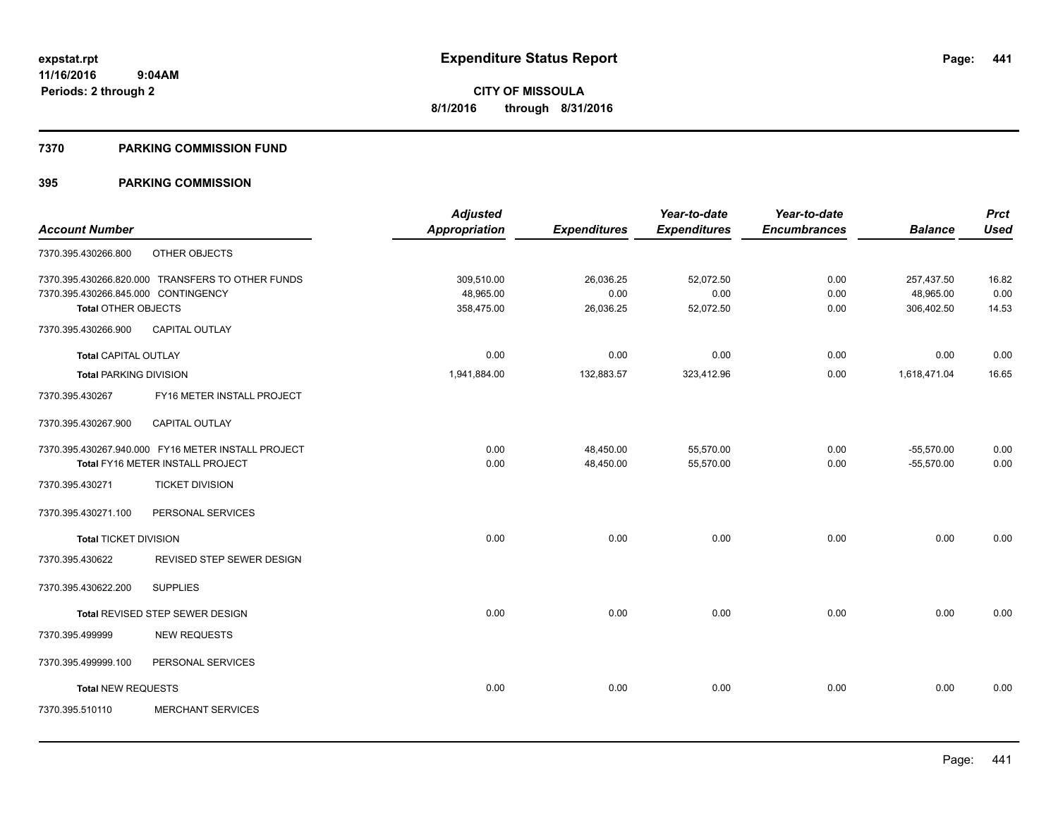#### **7370 PARKING COMMISSION FUND**

|                                     |                                                    | <b>Adjusted</b>      |                     | Year-to-date        | Year-to-date        |                | <b>Prct</b> |
|-------------------------------------|----------------------------------------------------|----------------------|---------------------|---------------------|---------------------|----------------|-------------|
| <b>Account Number</b>               |                                                    | <b>Appropriation</b> | <b>Expenditures</b> | <b>Expenditures</b> | <b>Encumbrances</b> | <b>Balance</b> | <b>Used</b> |
| 7370.395.430266.800                 | OTHER OBJECTS                                      |                      |                     |                     |                     |                |             |
|                                     | 7370.395.430266.820.000 TRANSFERS TO OTHER FUNDS   | 309,510.00           | 26,036.25           | 52,072.50           | 0.00                | 257,437.50     | 16.82       |
| 7370.395.430266.845.000 CONTINGENCY |                                                    | 48,965.00            | 0.00                | 0.00                | 0.00                | 48,965.00      | 0.00        |
| Total OTHER OBJECTS                 |                                                    | 358,475.00           | 26,036.25           | 52,072.50           | 0.00                | 306,402.50     | 14.53       |
| 7370.395.430266.900                 | <b>CAPITAL OUTLAY</b>                              |                      |                     |                     |                     |                |             |
| Total CAPITAL OUTLAY                |                                                    | 0.00                 | 0.00                | 0.00                | 0.00                | 0.00           | 0.00        |
| <b>Total PARKING DIVISION</b>       |                                                    | 1,941,884.00         | 132,883.57          | 323,412.96          | 0.00                | 1,618,471.04   | 16.65       |
| 7370.395.430267                     | FY16 METER INSTALL PROJECT                         |                      |                     |                     |                     |                |             |
| 7370.395.430267.900                 | <b>CAPITAL OUTLAY</b>                              |                      |                     |                     |                     |                |             |
|                                     | 7370.395.430267.940.000 FY16 METER INSTALL PROJECT | 0.00                 | 48,450.00           | 55,570.00           | 0.00                | $-55,570.00$   | 0.00        |
|                                     | Total FY16 METER INSTALL PROJECT                   | 0.00                 | 48,450.00           | 55,570.00           | 0.00                | $-55,570.00$   | 0.00        |
| 7370.395.430271                     | <b>TICKET DIVISION</b>                             |                      |                     |                     |                     |                |             |
| 7370.395.430271.100                 | PERSONAL SERVICES                                  |                      |                     |                     |                     |                |             |
| <b>Total TICKET DIVISION</b>        |                                                    | 0.00                 | 0.00                | 0.00                | 0.00                | 0.00           | 0.00        |
| 7370.395.430622                     | <b>REVISED STEP SEWER DESIGN</b>                   |                      |                     |                     |                     |                |             |
| 7370.395.430622.200                 | <b>SUPPLIES</b>                                    |                      |                     |                     |                     |                |             |
|                                     | <b>Total REVISED STEP SEWER DESIGN</b>             | 0.00                 | 0.00                | 0.00                | 0.00                | 0.00           | 0.00        |
| 7370.395.499999                     | <b>NEW REQUESTS</b>                                |                      |                     |                     |                     |                |             |
| 7370.395.499999.100                 | PERSONAL SERVICES                                  |                      |                     |                     |                     |                |             |
| <b>Total NEW REQUESTS</b>           |                                                    | 0.00                 | 0.00                | 0.00                | 0.00                | 0.00           | 0.00        |
| 7370.395.510110                     | <b>MERCHANT SERVICES</b>                           |                      |                     |                     |                     |                |             |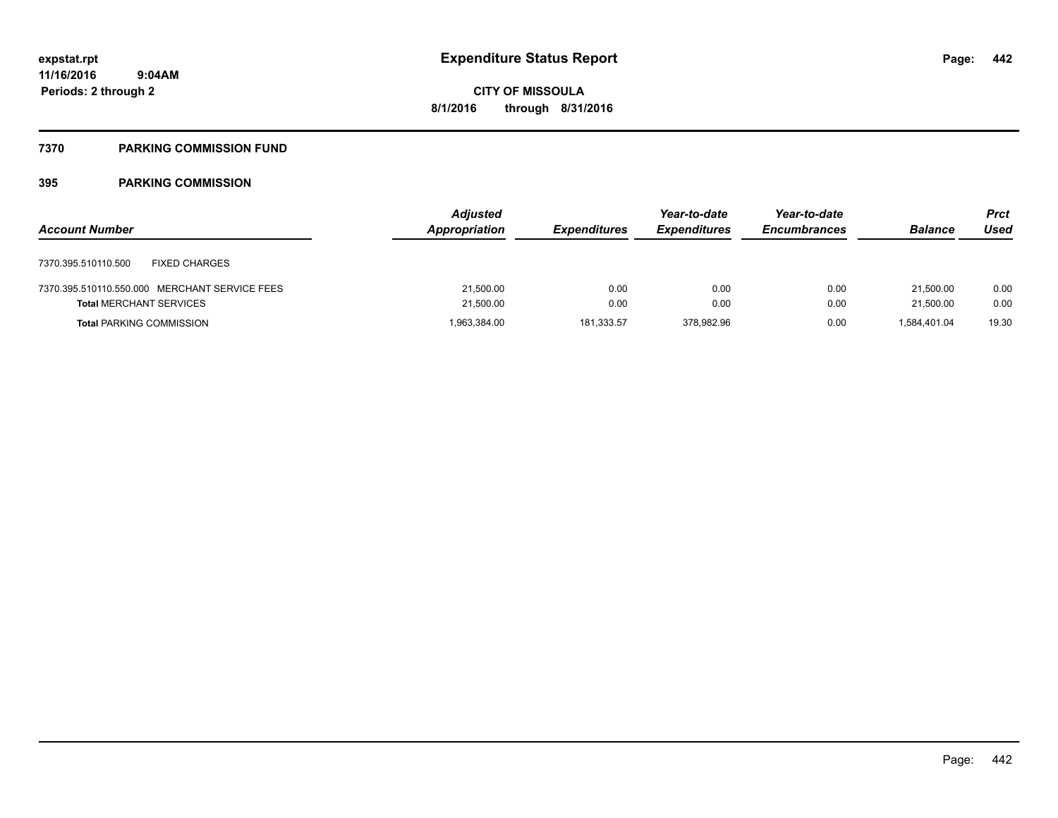### **7370 PARKING COMMISSION FUND**

|                                               | <b>Adjusted</b> |                     | Year-to-date        | Year-to-date        |                | <b>Prct</b> |
|-----------------------------------------------|-----------------|---------------------|---------------------|---------------------|----------------|-------------|
| <b>Account Number</b>                         | Appropriation   | <b>Expenditures</b> | <b>Expenditures</b> | <b>Encumbrances</b> | <b>Balance</b> | Used        |
| <b>FIXED CHARGES</b><br>7370.395.510110.500   |                 |                     |                     |                     |                |             |
| 7370.395.510110.550.000 MERCHANT SERVICE FEES | 21,500.00       | 0.00                | 0.00                | 0.00                | 21,500.00      | 0.00        |
| <b>Total MERCHANT SERVICES</b>                | 21,500.00       | 0.00                | 0.00                | 0.00                | 21,500.00      | 0.00        |
| <b>Total PARKING COMMISSION</b>               | 1,963,384.00    | 181,333.57          | 378,982.96          | 0.00                | 1,584,401.04   | 19.30       |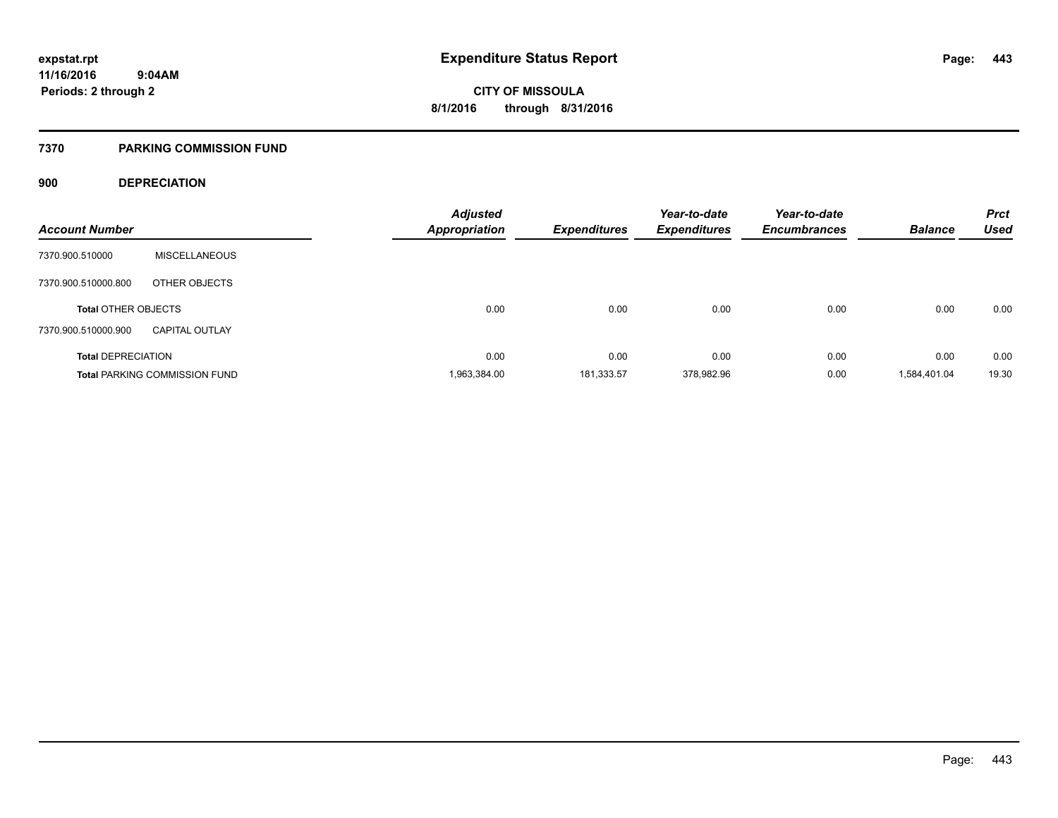#### **7370 PARKING COMMISSION FUND**

#### **900 DEPRECIATION**

|                            |                                      | <b>Adjusted</b>      |                     | Year-to-date        | Year-to-date        |                | <b>Prct</b> |
|----------------------------|--------------------------------------|----------------------|---------------------|---------------------|---------------------|----------------|-------------|
| <b>Account Number</b>      |                                      | <b>Appropriation</b> | <b>Expenditures</b> | <b>Expenditures</b> | <b>Encumbrances</b> | <b>Balance</b> | <b>Used</b> |
| 7370.900.510000            | <b>MISCELLANEOUS</b>                 |                      |                     |                     |                     |                |             |
| 7370.900.510000.800        | OTHER OBJECTS                        |                      |                     |                     |                     |                |             |
| <b>Total OTHER OBJECTS</b> |                                      | 0.00                 | 0.00                | 0.00                | 0.00                | 0.00           | 0.00        |
| 7370.900.510000.900        | <b>CAPITAL OUTLAY</b>                |                      |                     |                     |                     |                |             |
| <b>Total DEPRECIATION</b>  |                                      | 0.00                 | 0.00                | 0.00                | 0.00                | 0.00           | 0.00        |
|                            | <b>Total PARKING COMMISSION FUND</b> | 1,963,384.00         | 181,333.57          | 378,982.96          | 0.00                | 1,584,401.04   | 19.30       |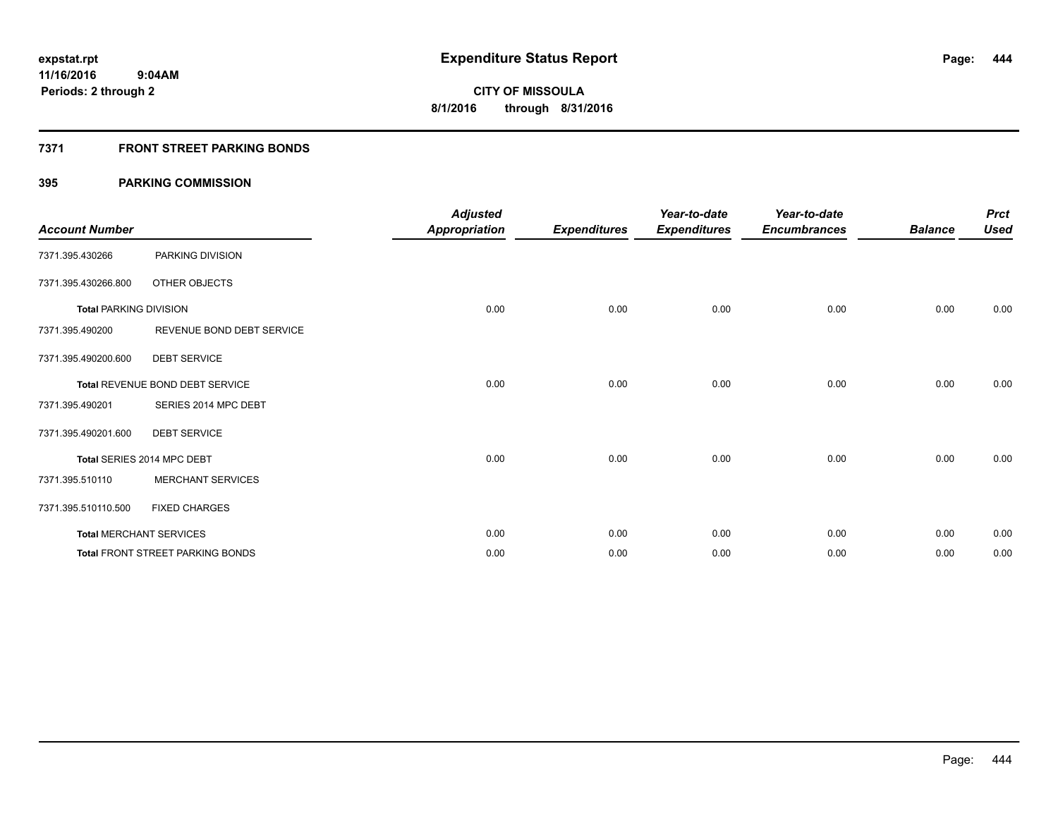### **7371 FRONT STREET PARKING BONDS**

| <b>Account Number</b>         |                                         | <b>Adjusted</b><br><b>Appropriation</b> | <b>Expenditures</b> | Year-to-date<br><b>Expenditures</b> | Year-to-date<br><b>Encumbrances</b> | <b>Balance</b> | <b>Prct</b><br><b>Used</b> |
|-------------------------------|-----------------------------------------|-----------------------------------------|---------------------|-------------------------------------|-------------------------------------|----------------|----------------------------|
| 7371.395.430266               | PARKING DIVISION                        |                                         |                     |                                     |                                     |                |                            |
| 7371.395.430266.800           | OTHER OBJECTS                           |                                         |                     |                                     |                                     |                |                            |
| <b>Total PARKING DIVISION</b> |                                         | 0.00                                    | 0.00                | 0.00                                | 0.00                                | 0.00           | 0.00                       |
| 7371.395.490200               | REVENUE BOND DEBT SERVICE               |                                         |                     |                                     |                                     |                |                            |
| 7371.395.490200.600           | <b>DEBT SERVICE</b>                     |                                         |                     |                                     |                                     |                |                            |
|                               | Total REVENUE BOND DEBT SERVICE         | 0.00                                    | 0.00                | 0.00                                | 0.00                                | 0.00           | 0.00                       |
| 7371.395.490201               | SERIES 2014 MPC DEBT                    |                                         |                     |                                     |                                     |                |                            |
| 7371.395.490201.600           | <b>DEBT SERVICE</b>                     |                                         |                     |                                     |                                     |                |                            |
|                               | Total SERIES 2014 MPC DEBT              | 0.00                                    | 0.00                | 0.00                                | 0.00                                | 0.00           | 0.00                       |
| 7371.395.510110               | <b>MERCHANT SERVICES</b>                |                                         |                     |                                     |                                     |                |                            |
| 7371.395.510110.500           | <b>FIXED CHARGES</b>                    |                                         |                     |                                     |                                     |                |                            |
|                               | <b>Total MERCHANT SERVICES</b>          | 0.00                                    | 0.00                | 0.00                                | 0.00                                | 0.00           | 0.00                       |
|                               | <b>Total FRONT STREET PARKING BONDS</b> | 0.00                                    | 0.00                | 0.00                                | 0.00                                | 0.00           | 0.00                       |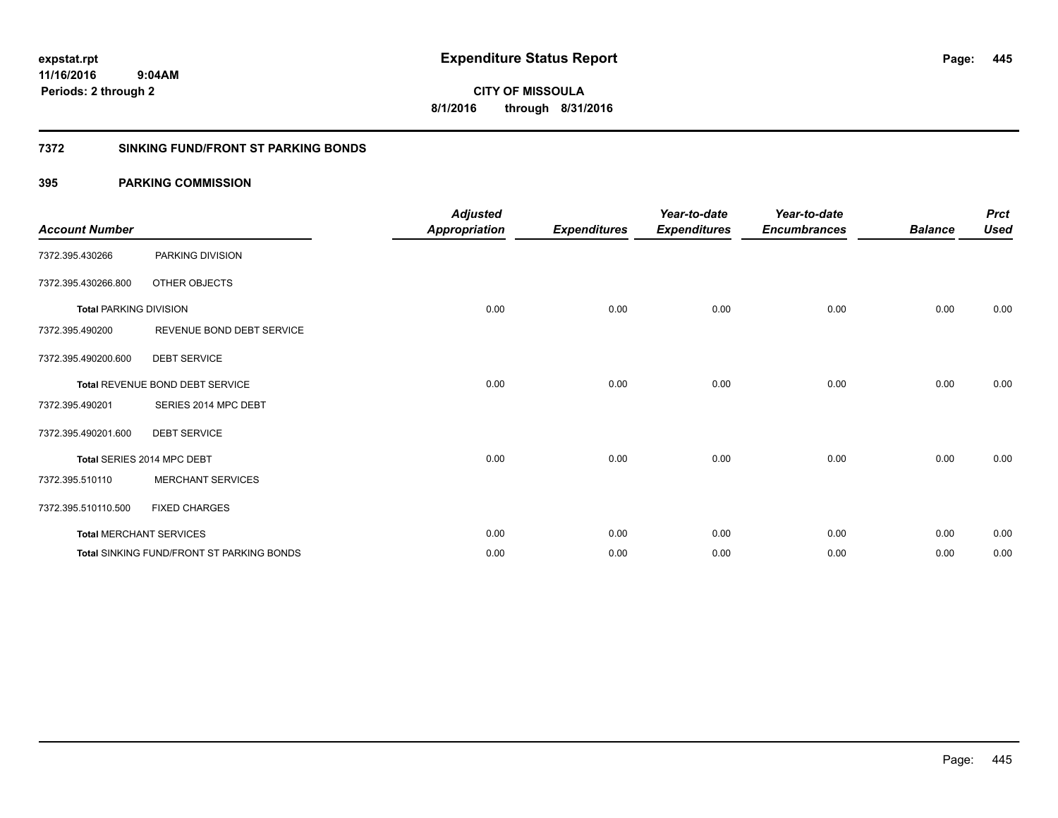**CITY OF MISSOULA 8/1/2016 through 8/31/2016**

#### **7372 SINKING FUND/FRONT ST PARKING BONDS**

| <b>Account Number</b>         |                                                  | <b>Adjusted</b><br><b>Appropriation</b> | <b>Expenditures</b> | Year-to-date<br><b>Expenditures</b> | Year-to-date<br><b>Encumbrances</b> | <b>Balance</b> | <b>Prct</b><br><b>Used</b> |
|-------------------------------|--------------------------------------------------|-----------------------------------------|---------------------|-------------------------------------|-------------------------------------|----------------|----------------------------|
| 7372.395.430266               | PARKING DIVISION                                 |                                         |                     |                                     |                                     |                |                            |
| 7372.395.430266.800           | OTHER OBJECTS                                    |                                         |                     |                                     |                                     |                |                            |
| <b>Total PARKING DIVISION</b> |                                                  | 0.00                                    | 0.00                | 0.00                                | 0.00                                | 0.00           | 0.00                       |
| 7372.395.490200               | REVENUE BOND DEBT SERVICE                        |                                         |                     |                                     |                                     |                |                            |
| 7372.395.490200.600           | <b>DEBT SERVICE</b>                              |                                         |                     |                                     |                                     |                |                            |
|                               | Total REVENUE BOND DEBT SERVICE                  | 0.00                                    | 0.00                | 0.00                                | 0.00                                | 0.00           | 0.00                       |
| 7372.395.490201               | SERIES 2014 MPC DEBT                             |                                         |                     |                                     |                                     |                |                            |
| 7372.395.490201.600           | <b>DEBT SERVICE</b>                              |                                         |                     |                                     |                                     |                |                            |
|                               | Total SERIES 2014 MPC DEBT                       | 0.00                                    | 0.00                | 0.00                                | 0.00                                | 0.00           | 0.00                       |
| 7372.395.510110               | <b>MERCHANT SERVICES</b>                         |                                         |                     |                                     |                                     |                |                            |
| 7372.395.510110.500           | <b>FIXED CHARGES</b>                             |                                         |                     |                                     |                                     |                |                            |
|                               | <b>Total MERCHANT SERVICES</b>                   | 0.00                                    | 0.00                | 0.00                                | 0.00                                | 0.00           | 0.00                       |
|                               | <b>Total SINKING FUND/FRONT ST PARKING BONDS</b> | 0.00                                    | 0.00                | 0.00                                | 0.00                                | 0.00           | 0.00                       |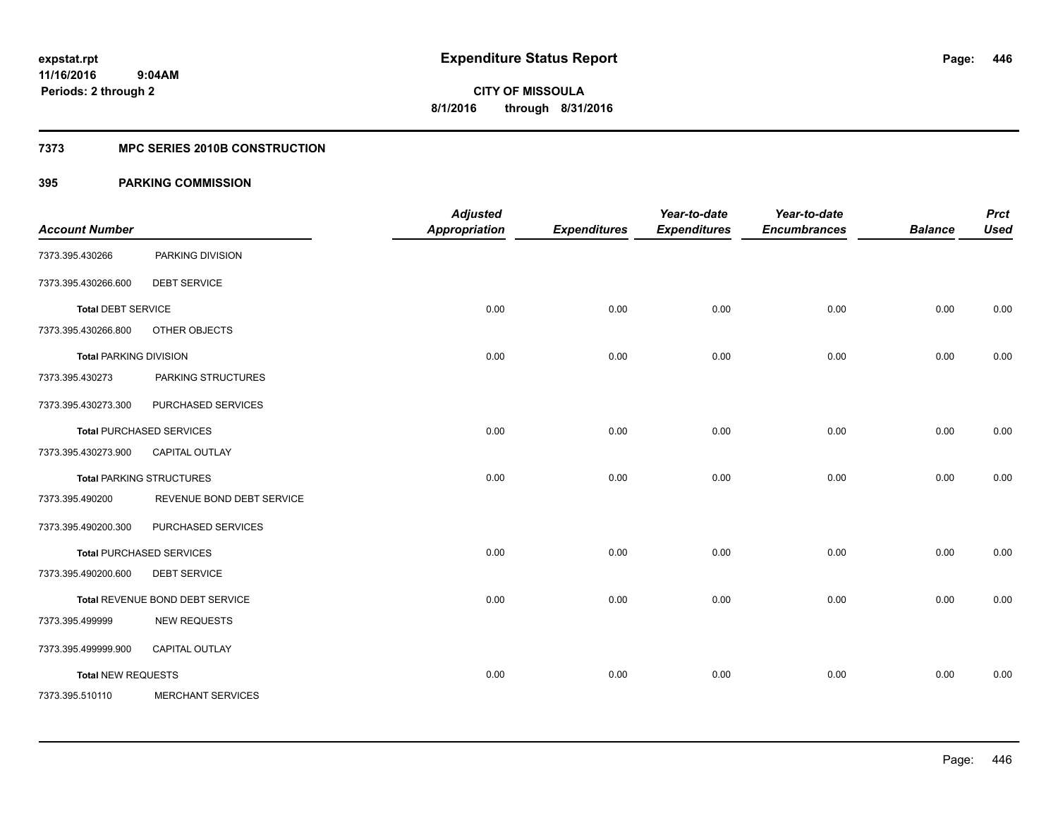#### **7373 MPC SERIES 2010B CONSTRUCTION**

| <b>Account Number</b>         |                                 | <b>Adjusted</b><br><b>Appropriation</b> | <b>Expenditures</b> | Year-to-date<br><b>Expenditures</b> | Year-to-date<br><b>Encumbrances</b> | <b>Balance</b> | <b>Prct</b><br><b>Used</b> |
|-------------------------------|---------------------------------|-----------------------------------------|---------------------|-------------------------------------|-------------------------------------|----------------|----------------------------|
| 7373.395.430266               | PARKING DIVISION                |                                         |                     |                                     |                                     |                |                            |
| 7373.395.430266.600           | <b>DEBT SERVICE</b>             |                                         |                     |                                     |                                     |                |                            |
| <b>Total DEBT SERVICE</b>     |                                 | 0.00                                    | 0.00                | 0.00                                | 0.00                                | 0.00           | 0.00                       |
| 7373.395.430266.800           | OTHER OBJECTS                   |                                         |                     |                                     |                                     |                |                            |
| <b>Total PARKING DIVISION</b> |                                 | 0.00                                    | 0.00                | 0.00                                | 0.00                                | 0.00           | 0.00                       |
| 7373.395.430273               | PARKING STRUCTURES              |                                         |                     |                                     |                                     |                |                            |
| 7373.395.430273.300           | PURCHASED SERVICES              |                                         |                     |                                     |                                     |                |                            |
|                               | <b>Total PURCHASED SERVICES</b> | 0.00                                    | 0.00                | 0.00                                | 0.00                                | 0.00           | 0.00                       |
| 7373.395.430273.900           | CAPITAL OUTLAY                  |                                         |                     |                                     |                                     |                |                            |
|                               | <b>Total PARKING STRUCTURES</b> | 0.00                                    | 0.00                | 0.00                                | 0.00                                | 0.00           | 0.00                       |
| 7373.395.490200               | REVENUE BOND DEBT SERVICE       |                                         |                     |                                     |                                     |                |                            |
| 7373.395.490200.300           | PURCHASED SERVICES              |                                         |                     |                                     |                                     |                |                            |
|                               | <b>Total PURCHASED SERVICES</b> | 0.00                                    | 0.00                | 0.00                                | 0.00                                | 0.00           | 0.00                       |
| 7373.395.490200.600           | <b>DEBT SERVICE</b>             |                                         |                     |                                     |                                     |                |                            |
|                               | Total REVENUE BOND DEBT SERVICE | 0.00                                    | 0.00                | 0.00                                | 0.00                                | 0.00           | 0.00                       |
| 7373.395.499999               | <b>NEW REQUESTS</b>             |                                         |                     |                                     |                                     |                |                            |
| 7373.395.499999.900           | CAPITAL OUTLAY                  |                                         |                     |                                     |                                     |                |                            |
| <b>Total NEW REQUESTS</b>     |                                 | 0.00                                    | 0.00                | 0.00                                | 0.00                                | 0.00           | 0.00                       |
| 7373.395.510110               | <b>MERCHANT SERVICES</b>        |                                         |                     |                                     |                                     |                |                            |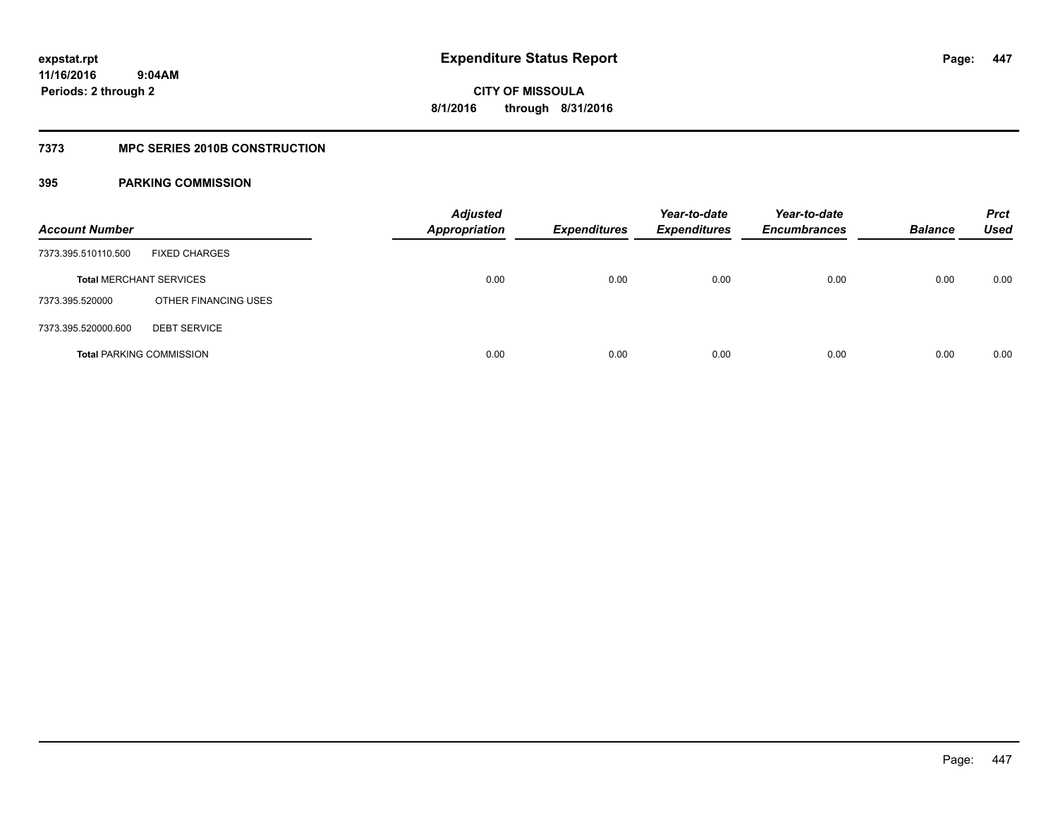#### **7373 MPC SERIES 2010B CONSTRUCTION**

| <b>Account Number</b>           |                      | <b>Adjusted</b><br><b>Appropriation</b> | <b>Expenditures</b> | Year-to-date<br><b>Expenditures</b> | Year-to-date<br><b>Encumbrances</b> | <b>Balance</b> | <b>Prct</b><br><b>Used</b> |
|---------------------------------|----------------------|-----------------------------------------|---------------------|-------------------------------------|-------------------------------------|----------------|----------------------------|
| 7373.395.510110.500             | <b>FIXED CHARGES</b> |                                         |                     |                                     |                                     |                |                            |
| <b>Total MERCHANT SERVICES</b>  |                      | 0.00                                    | 0.00                | 0.00                                | 0.00                                | 0.00           | 0.00                       |
| 7373.395.520000                 | OTHER FINANCING USES |                                         |                     |                                     |                                     |                |                            |
| 7373.395.520000.600             | <b>DEBT SERVICE</b>  |                                         |                     |                                     |                                     |                |                            |
| <b>Total PARKING COMMISSION</b> |                      | 0.00                                    | 0.00                | 0.00                                | 0.00                                | 0.00           | 0.00                       |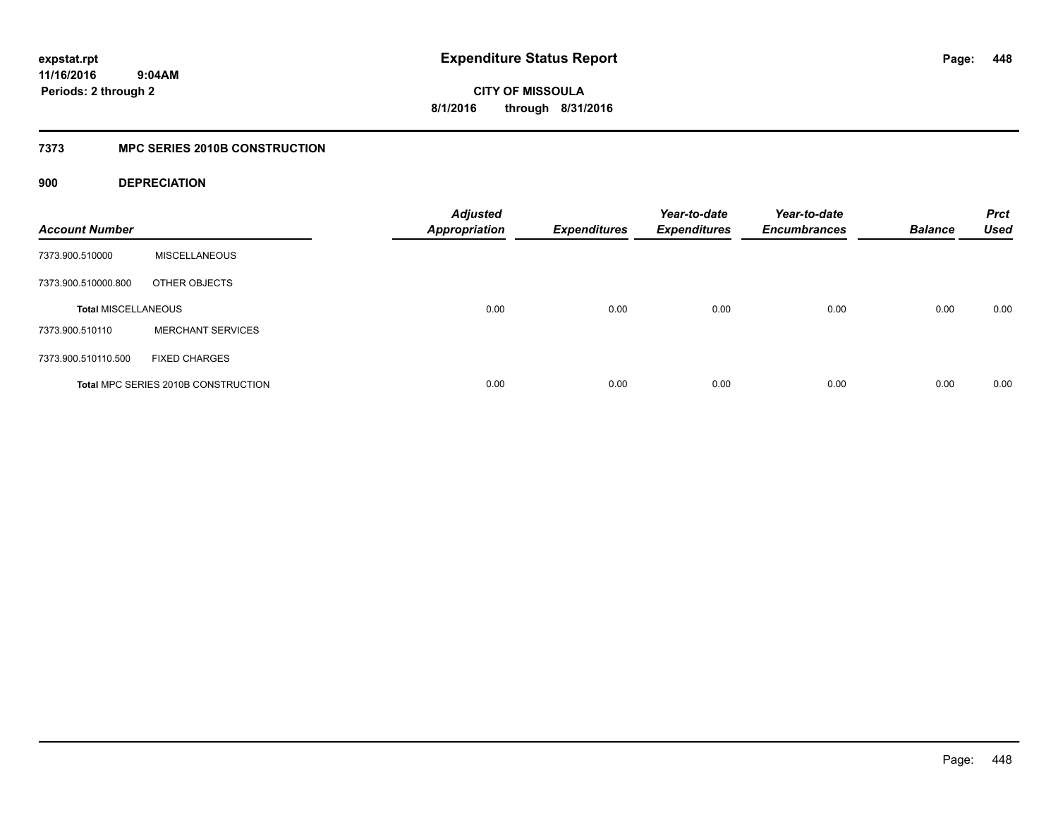# **11/16/2016**

**448**

 **9:04AM Periods: 2 through 2**

**CITY OF MISSOULA 8/1/2016 through 8/31/2016**

### **7373 MPC SERIES 2010B CONSTRUCTION**

**900 DEPRECIATION**

| <b>Account Number</b>      |                                     | <b>Adjusted</b><br><b>Appropriation</b> | <b>Expenditures</b> | Year-to-date<br><b>Expenditures</b> | Year-to-date<br><b>Encumbrances</b> | <b>Balance</b> | <b>Prct</b><br><b>Used</b> |
|----------------------------|-------------------------------------|-----------------------------------------|---------------------|-------------------------------------|-------------------------------------|----------------|----------------------------|
| 7373.900.510000            | <b>MISCELLANEOUS</b>                |                                         |                     |                                     |                                     |                |                            |
| 7373.900.510000.800        | OTHER OBJECTS                       |                                         |                     |                                     |                                     |                |                            |
| <b>Total MISCELLANEOUS</b> |                                     | 0.00                                    | 0.00                | 0.00                                | 0.00                                | 0.00           | 0.00                       |
| 7373.900.510110            | <b>MERCHANT SERVICES</b>            |                                         |                     |                                     |                                     |                |                            |
| 7373.900.510110.500        | <b>FIXED CHARGES</b>                |                                         |                     |                                     |                                     |                |                            |
|                            | Total MPC SERIES 2010B CONSTRUCTION | 0.00                                    | 0.00                | 0.00                                | 0.00                                | 0.00           | 0.00                       |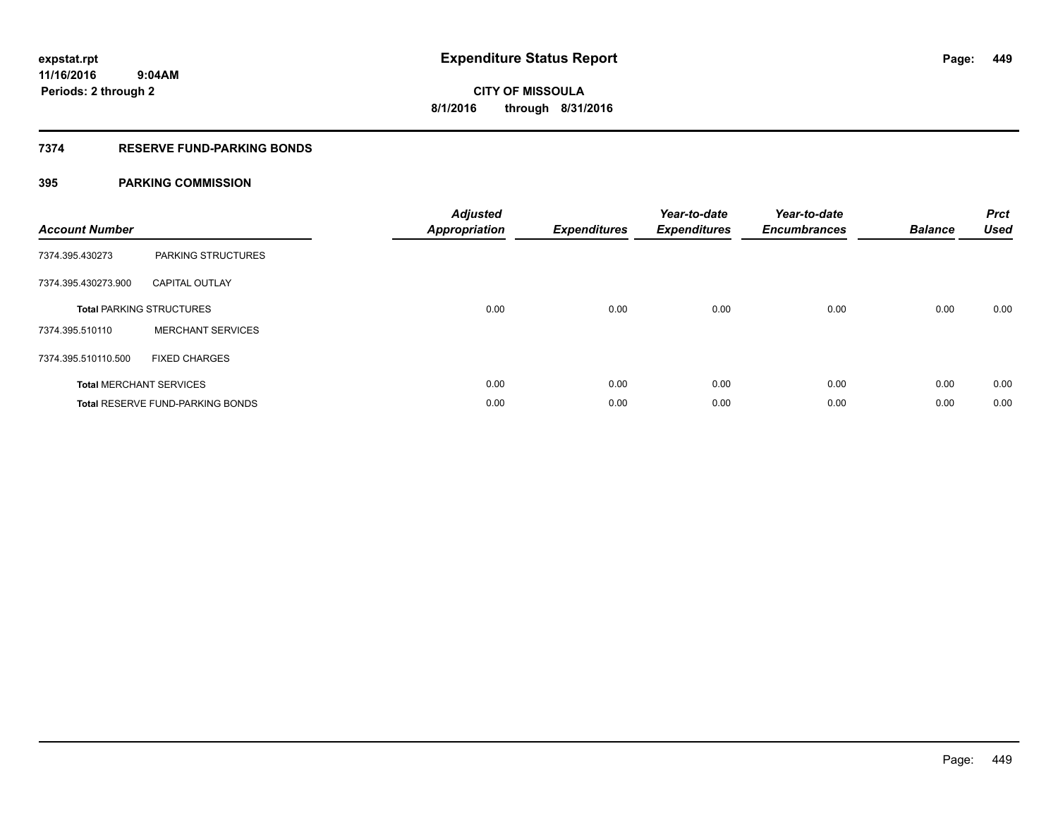#### **7374 RESERVE FUND-PARKING BONDS**

| <b>Account Number</b> |                                         | <b>Adjusted</b><br>Appropriation | <b>Expenditures</b> | Year-to-date<br><b>Expenditures</b> | Year-to-date<br><b>Encumbrances</b> | <b>Balance</b> | <b>Prct</b><br><b>Used</b> |
|-----------------------|-----------------------------------------|----------------------------------|---------------------|-------------------------------------|-------------------------------------|----------------|----------------------------|
| 7374.395.430273       | PARKING STRUCTURES                      |                                  |                     |                                     |                                     |                |                            |
| 7374.395.430273.900   | <b>CAPITAL OUTLAY</b>                   |                                  |                     |                                     |                                     |                |                            |
|                       | <b>Total PARKING STRUCTURES</b>         | 0.00                             | 0.00                | 0.00                                | 0.00                                | 0.00           | 0.00                       |
| 7374.395.510110       | <b>MERCHANT SERVICES</b>                |                                  |                     |                                     |                                     |                |                            |
| 7374.395.510110.500   | <b>FIXED CHARGES</b>                    |                                  |                     |                                     |                                     |                |                            |
|                       | <b>Total MERCHANT SERVICES</b>          | 0.00                             | 0.00                | 0.00                                | 0.00                                | 0.00           | 0.00                       |
|                       | <b>Total RESERVE FUND-PARKING BONDS</b> | 0.00                             | 0.00                | 0.00                                | 0.00                                | 0.00           | 0.00                       |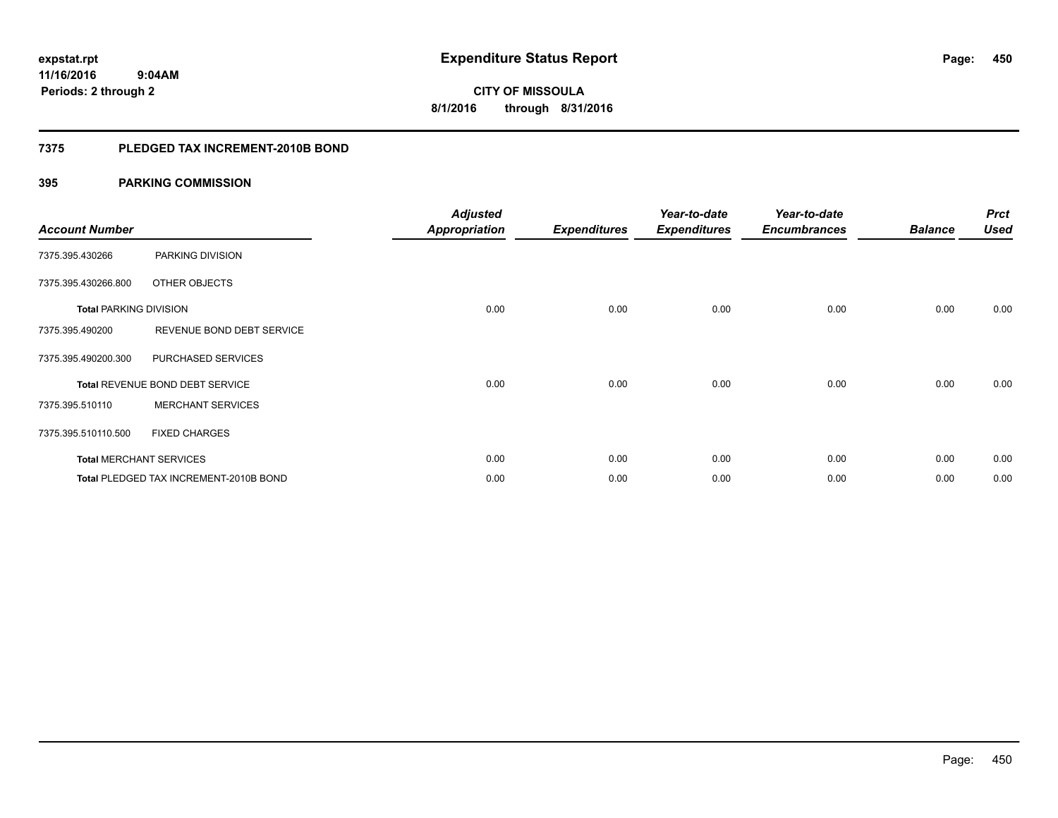**450**

**11/16/2016 9:04AM Periods: 2 through 2**

**CITY OF MISSOULA 8/1/2016 through 8/31/2016**

#### **7375 PLEDGED TAX INCREMENT-2010B BOND**

| <b>Account Number</b>         |                                        | <b>Adjusted</b><br><b>Appropriation</b> | <b>Expenditures</b> | Year-to-date<br><b>Expenditures</b> | Year-to-date<br><b>Encumbrances</b> | <b>Balance</b> | <b>Prct</b><br><b>Used</b> |
|-------------------------------|----------------------------------------|-----------------------------------------|---------------------|-------------------------------------|-------------------------------------|----------------|----------------------------|
| 7375.395.430266               | PARKING DIVISION                       |                                         |                     |                                     |                                     |                |                            |
| 7375.395.430266.800           | OTHER OBJECTS                          |                                         |                     |                                     |                                     |                |                            |
| <b>Total PARKING DIVISION</b> |                                        | 0.00                                    | 0.00                | 0.00                                | 0.00                                | 0.00           | 0.00                       |
| 7375.395.490200               | REVENUE BOND DEBT SERVICE              |                                         |                     |                                     |                                     |                |                            |
| 7375.395.490200.300           | PURCHASED SERVICES                     |                                         |                     |                                     |                                     |                |                            |
|                               | Total REVENUE BOND DEBT SERVICE        | 0.00                                    | 0.00                | 0.00                                | 0.00                                | 0.00           | 0.00                       |
| 7375.395.510110               | <b>MERCHANT SERVICES</b>               |                                         |                     |                                     |                                     |                |                            |
| 7375.395.510110.500           | <b>FIXED CHARGES</b>                   |                                         |                     |                                     |                                     |                |                            |
|                               | <b>Total MERCHANT SERVICES</b>         | 0.00                                    | 0.00                | 0.00                                | 0.00                                | 0.00           | 0.00                       |
|                               | Total PLEDGED TAX INCREMENT-2010B BOND | 0.00                                    | 0.00                | 0.00                                | 0.00                                | 0.00           | 0.00                       |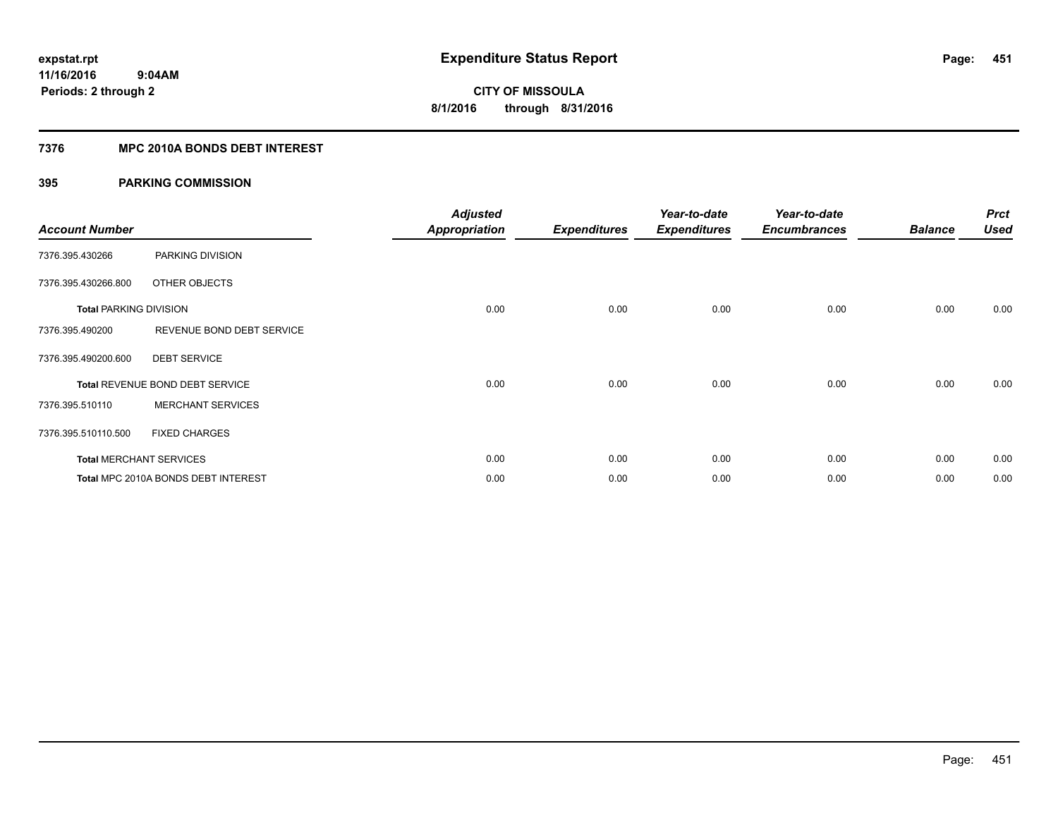#### **7376 MPC 2010A BONDS DEBT INTEREST**

| <b>Account Number</b>         |                                        | <b>Adjusted</b><br><b>Appropriation</b> | <b>Expenditures</b> | Year-to-date<br><b>Expenditures</b> | Year-to-date<br><b>Encumbrances</b> | <b>Balance</b> | <b>Prct</b><br><b>Used</b> |
|-------------------------------|----------------------------------------|-----------------------------------------|---------------------|-------------------------------------|-------------------------------------|----------------|----------------------------|
|                               |                                        |                                         |                     |                                     |                                     |                |                            |
| 7376.395.430266               | PARKING DIVISION                       |                                         |                     |                                     |                                     |                |                            |
| 7376.395.430266.800           | OTHER OBJECTS                          |                                         |                     |                                     |                                     |                |                            |
| <b>Total PARKING DIVISION</b> |                                        | 0.00                                    | 0.00                | 0.00                                | 0.00                                | 0.00           | 0.00                       |
| 7376.395.490200               | REVENUE BOND DEBT SERVICE              |                                         |                     |                                     |                                     |                |                            |
| 7376.395.490200.600           | <b>DEBT SERVICE</b>                    |                                         |                     |                                     |                                     |                |                            |
|                               | <b>Total REVENUE BOND DEBT SERVICE</b> | 0.00                                    | 0.00                | 0.00                                | 0.00                                | 0.00           | 0.00                       |
| 7376.395.510110               | <b>MERCHANT SERVICES</b>               |                                         |                     |                                     |                                     |                |                            |
| 7376.395.510110.500           | <b>FIXED CHARGES</b>                   |                                         |                     |                                     |                                     |                |                            |
|                               | <b>Total MERCHANT SERVICES</b>         | 0.00                                    | 0.00                | 0.00                                | 0.00                                | 0.00           | 0.00                       |
|                               | Total MPC 2010A BONDS DEBT INTEREST    | 0.00                                    | 0.00                | 0.00                                | 0.00                                | 0.00           | 0.00                       |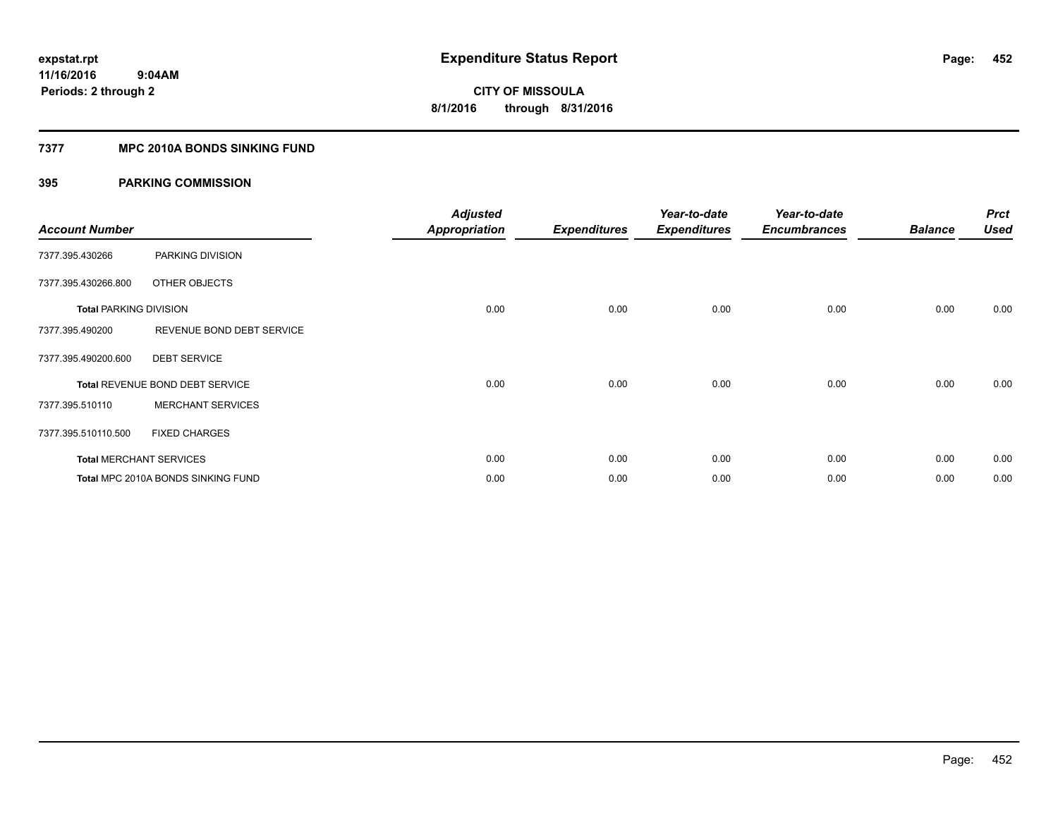#### **7377 MPC 2010A BONDS SINKING FUND**

| <b>Account Number</b>         |                                    | <b>Adjusted</b><br><b>Appropriation</b> | <b>Expenditures</b> | Year-to-date<br><b>Expenditures</b> | Year-to-date<br><b>Encumbrances</b> | <b>Balance</b> | <b>Prct</b><br><b>Used</b> |
|-------------------------------|------------------------------------|-----------------------------------------|---------------------|-------------------------------------|-------------------------------------|----------------|----------------------------|
| 7377.395.430266               | PARKING DIVISION                   |                                         |                     |                                     |                                     |                |                            |
| 7377.395.430266.800           | OTHER OBJECTS                      |                                         |                     |                                     |                                     |                |                            |
| <b>Total PARKING DIVISION</b> |                                    | 0.00                                    | 0.00                | 0.00                                | 0.00                                | 0.00           | 0.00                       |
| 7377.395.490200               | REVENUE BOND DEBT SERVICE          |                                         |                     |                                     |                                     |                |                            |
| 7377.395.490200.600           | <b>DEBT SERVICE</b>                |                                         |                     |                                     |                                     |                |                            |
|                               | Total REVENUE BOND DEBT SERVICE    | 0.00                                    | 0.00                | 0.00                                | 0.00                                | 0.00           | 0.00                       |
| 7377.395.510110               | <b>MERCHANT SERVICES</b>           |                                         |                     |                                     |                                     |                |                            |
| 7377.395.510110.500           | <b>FIXED CHARGES</b>               |                                         |                     |                                     |                                     |                |                            |
|                               | <b>Total MERCHANT SERVICES</b>     | 0.00                                    | 0.00                | 0.00                                | 0.00                                | 0.00           | 0.00                       |
|                               | Total MPC 2010A BONDS SINKING FUND | 0.00                                    | 0.00                | 0.00                                | 0.00                                | 0.00           | 0.00                       |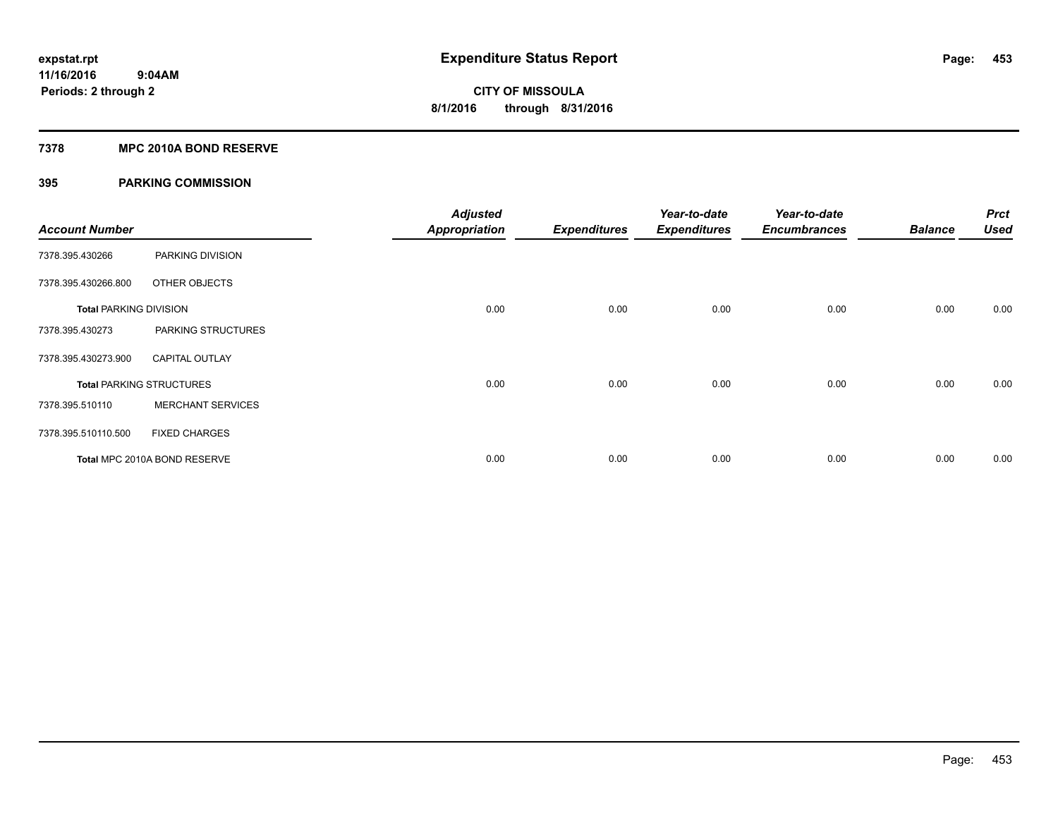#### **7378 MPC 2010A BOND RESERVE**

| <b>Account Number</b>         |                                 | <b>Adjusted</b><br><b>Appropriation</b> | <b>Expenditures</b> | Year-to-date<br><b>Expenditures</b> | Year-to-date<br><b>Encumbrances</b> | <b>Balance</b> | <b>Prct</b><br><b>Used</b> |
|-------------------------------|---------------------------------|-----------------------------------------|---------------------|-------------------------------------|-------------------------------------|----------------|----------------------------|
| 7378.395.430266               | PARKING DIVISION                |                                         |                     |                                     |                                     |                |                            |
| 7378.395.430266.800           | OTHER OBJECTS                   |                                         |                     |                                     |                                     |                |                            |
| <b>Total PARKING DIVISION</b> |                                 | 0.00                                    | 0.00                | 0.00                                | 0.00                                | 0.00           | 0.00                       |
| 7378.395.430273               | PARKING STRUCTURES              |                                         |                     |                                     |                                     |                |                            |
| 7378.395.430273.900           | <b>CAPITAL OUTLAY</b>           |                                         |                     |                                     |                                     |                |                            |
|                               | <b>Total PARKING STRUCTURES</b> | 0.00                                    | 0.00                | 0.00                                | 0.00                                | 0.00           | 0.00                       |
| 7378.395.510110               | <b>MERCHANT SERVICES</b>        |                                         |                     |                                     |                                     |                |                            |
| 7378.395.510110.500           | <b>FIXED CHARGES</b>            |                                         |                     |                                     |                                     |                |                            |
|                               | Total MPC 2010A BOND RESERVE    | 0.00                                    | 0.00                | 0.00                                | 0.00                                | 0.00           | 0.00                       |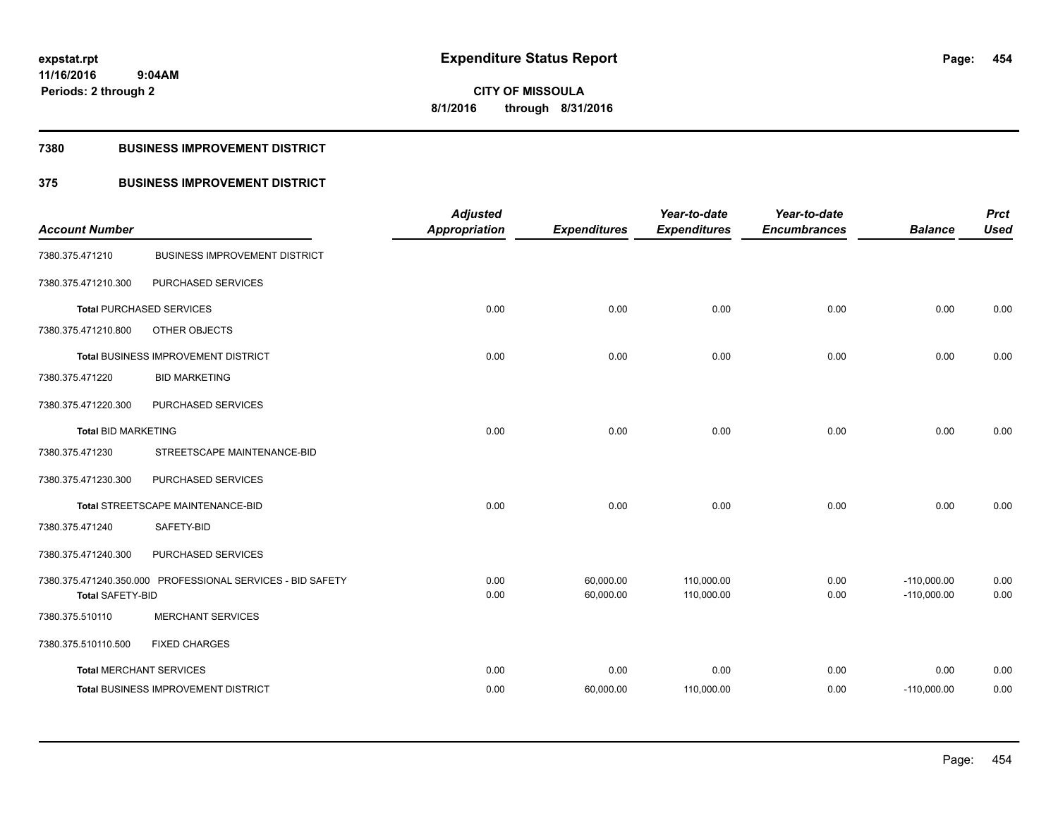**Periods: 2 through 2**

**CITY OF MISSOULA 8/1/2016 through 8/31/2016**

#### **7380 BUSINESS IMPROVEMENT DISTRICT**

 **9:04AM**

### **375 BUSINESS IMPROVEMENT DISTRICT**

| <b>Account Number</b>          |                                                            | <b>Adjusted</b><br><b>Appropriation</b> | <b>Expenditures</b>    | Year-to-date<br><b>Expenditures</b> | Year-to-date<br><b>Encumbrances</b> | <b>Balance</b>                 | <b>Prct</b><br><b>Used</b> |
|--------------------------------|------------------------------------------------------------|-----------------------------------------|------------------------|-------------------------------------|-------------------------------------|--------------------------------|----------------------------|
| 7380.375.471210                | <b>BUSINESS IMPROVEMENT DISTRICT</b>                       |                                         |                        |                                     |                                     |                                |                            |
| 7380.375.471210.300            | PURCHASED SERVICES                                         |                                         |                        |                                     |                                     |                                |                            |
|                                | <b>Total PURCHASED SERVICES</b>                            | 0.00                                    | 0.00                   | 0.00                                | 0.00                                | 0.00                           | 0.00                       |
| 7380.375.471210.800            | OTHER OBJECTS                                              |                                         |                        |                                     |                                     |                                |                            |
|                                | Total BUSINESS IMPROVEMENT DISTRICT                        | 0.00                                    | 0.00                   | 0.00                                | 0.00                                | 0.00                           | 0.00                       |
| 7380.375.471220                | <b>BID MARKETING</b>                                       |                                         |                        |                                     |                                     |                                |                            |
| 7380.375.471220.300            | PURCHASED SERVICES                                         |                                         |                        |                                     |                                     |                                |                            |
| <b>Total BID MARKETING</b>     |                                                            | 0.00                                    | 0.00                   | 0.00                                | 0.00                                | 0.00                           | 0.00                       |
| 7380.375.471230                | STREETSCAPE MAINTENANCE-BID                                |                                         |                        |                                     |                                     |                                |                            |
| 7380.375.471230.300            | PURCHASED SERVICES                                         |                                         |                        |                                     |                                     |                                |                            |
|                                | Total STREETSCAPE MAINTENANCE-BID                          | 0.00                                    | 0.00                   | 0.00                                | 0.00                                | 0.00                           | 0.00                       |
| 7380.375.471240                | SAFETY-BID                                                 |                                         |                        |                                     |                                     |                                |                            |
| 7380.375.471240.300            | PURCHASED SERVICES                                         |                                         |                        |                                     |                                     |                                |                            |
| <b>Total SAFETY-BID</b>        | 7380.375.471240.350.000 PROFESSIONAL SERVICES - BID SAFETY | 0.00<br>0.00                            | 60,000.00<br>60,000.00 | 110,000.00<br>110,000.00            | 0.00<br>0.00                        | $-110,000.00$<br>$-110,000.00$ | 0.00<br>0.00               |
| 7380.375.510110                | <b>MERCHANT SERVICES</b>                                   |                                         |                        |                                     |                                     |                                |                            |
| 7380.375.510110.500            | <b>FIXED CHARGES</b>                                       |                                         |                        |                                     |                                     |                                |                            |
| <b>Total MERCHANT SERVICES</b> |                                                            | 0.00                                    | 0.00                   | 0.00                                | 0.00                                | 0.00                           | 0.00                       |
|                                | Total BUSINESS IMPROVEMENT DISTRICT                        | 0.00                                    | 60,000.00              | 110,000.00                          | 0.00                                | $-110,000.00$                  | 0.00                       |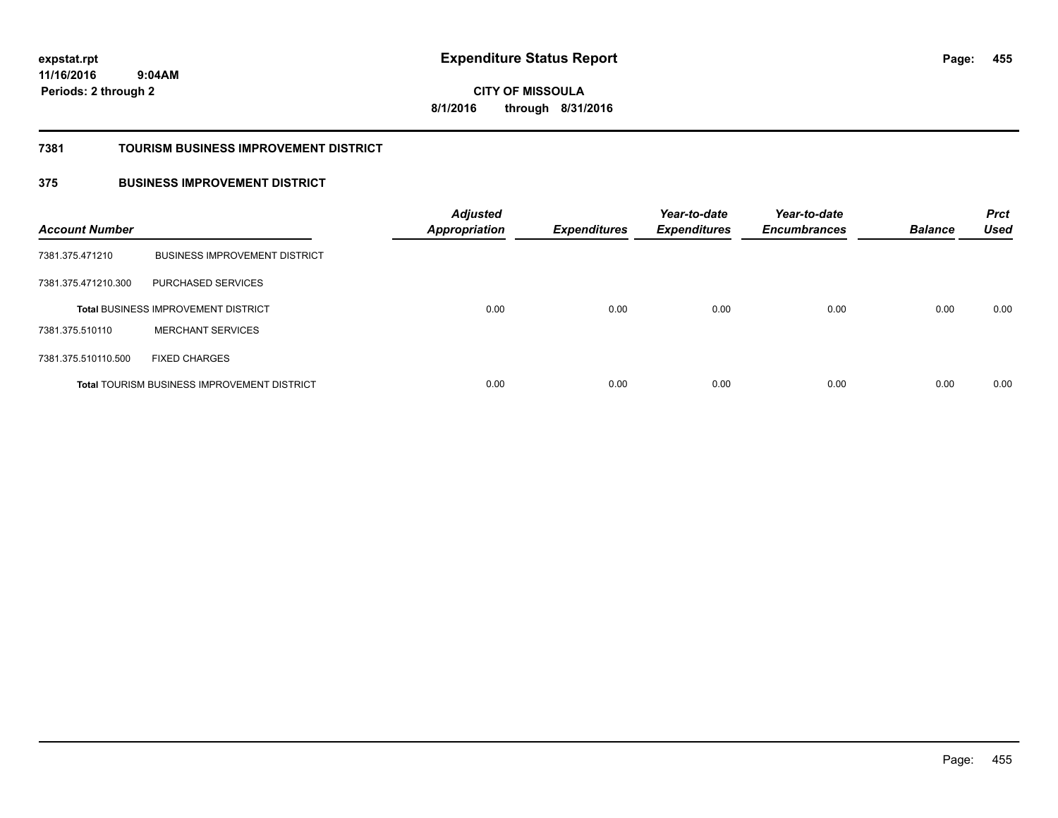**CITY OF MISSOULA 8/1/2016 through 8/31/2016**

#### **7381 TOURISM BUSINESS IMPROVEMENT DISTRICT**

### **375 BUSINESS IMPROVEMENT DISTRICT**

| <b>Account Number</b> |                                                    | <b>Adjusted</b><br><b>Appropriation</b> | <b>Expenditures</b> | Year-to-date<br><b>Expenditures</b> | Year-to-date<br><b>Encumbrances</b> | <b>Balance</b> | <b>Prct</b><br><b>Used</b> |
|-----------------------|----------------------------------------------------|-----------------------------------------|---------------------|-------------------------------------|-------------------------------------|----------------|----------------------------|
| 7381.375.471210       | <b>BUSINESS IMPROVEMENT DISTRICT</b>               |                                         |                     |                                     |                                     |                |                            |
| 7381.375.471210.300   | PURCHASED SERVICES                                 |                                         |                     |                                     |                                     |                |                            |
|                       | <b>Total BUSINESS IMPROVEMENT DISTRICT</b>         | 0.00                                    | 0.00                | 0.00                                | 0.00                                | 0.00           | 0.00                       |
| 7381.375.510110       | <b>MERCHANT SERVICES</b>                           |                                         |                     |                                     |                                     |                |                            |
| 7381.375.510110.500   | <b>FIXED CHARGES</b>                               |                                         |                     |                                     |                                     |                |                            |
|                       | <b>Total TOURISM BUSINESS IMPROVEMENT DISTRICT</b> | 0.00                                    | 0.00                | 0.00                                | 0.00                                | 0.00           | 0.00                       |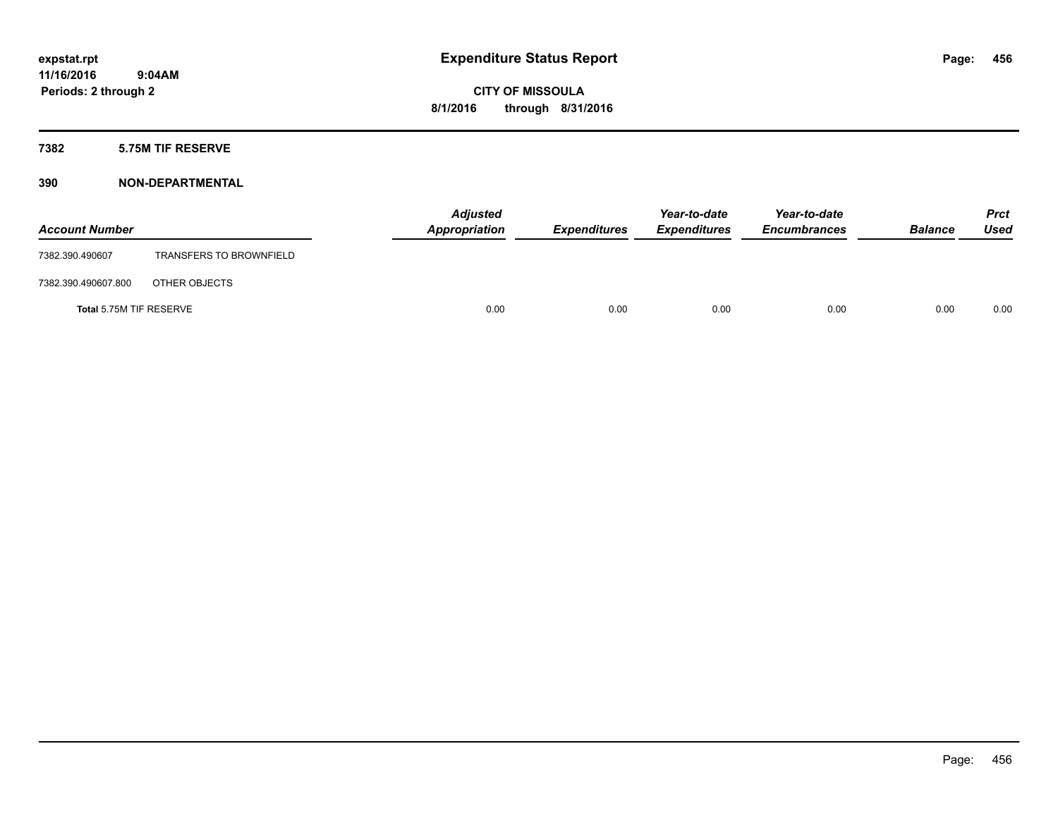#### **7382 5.75M TIF RESERVE**

| <b>Account Number</b>   |                                | <b>Adjusted</b><br>Appropriation | <b>Expenditures</b> | Year-to-date<br><b>Expenditures</b> | Year-to-date<br><b>Encumbrances</b> | <b>Balance</b> | Prct<br><b>Used</b> |
|-------------------------|--------------------------------|----------------------------------|---------------------|-------------------------------------|-------------------------------------|----------------|---------------------|
| 7382.390.490607         | <b>TRANSFERS TO BROWNFIELD</b> |                                  |                     |                                     |                                     |                |                     |
| 7382.390.490607.800     | OTHER OBJECTS                  |                                  |                     |                                     |                                     |                |                     |
| Total 5.75M TIF RESERVE |                                | 0.00                             | 0.00                | 0.00                                | 0.00                                | 0.00           | 0.00                |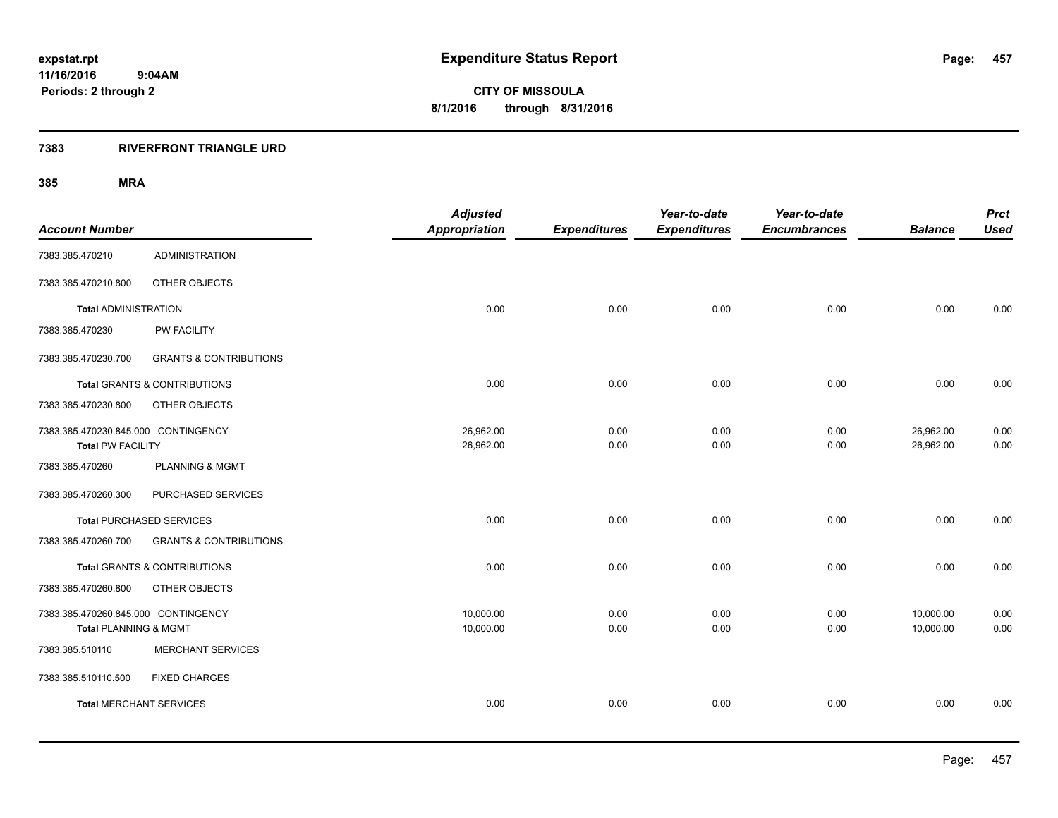#### **7383 RIVERFRONT TRIANGLE URD**

| <b>Account Number</b>                                           |                                   | <b>Adjusted</b><br><b>Appropriation</b> | <b>Expenditures</b> | Year-to-date<br><b>Expenditures</b> | Year-to-date<br><b>Encumbrances</b> | <b>Balance</b>         | <b>Prct</b><br><b>Used</b> |
|-----------------------------------------------------------------|-----------------------------------|-----------------------------------------|---------------------|-------------------------------------|-------------------------------------|------------------------|----------------------------|
| 7383.385.470210                                                 | <b>ADMINISTRATION</b>             |                                         |                     |                                     |                                     |                        |                            |
| 7383.385.470210.800                                             | OTHER OBJECTS                     |                                         |                     |                                     |                                     |                        |                            |
| <b>Total ADMINISTRATION</b>                                     |                                   | 0.00                                    | 0.00                | 0.00                                | 0.00                                | 0.00                   | 0.00                       |
| 7383.385.470230                                                 | PW FACILITY                       |                                         |                     |                                     |                                     |                        |                            |
| 7383.385.470230.700                                             | <b>GRANTS &amp; CONTRIBUTIONS</b> |                                         |                     |                                     |                                     |                        |                            |
|                                                                 | Total GRANTS & CONTRIBUTIONS      | 0.00                                    | 0.00                | 0.00                                | 0.00                                | 0.00                   | 0.00                       |
| 7383.385.470230.800                                             | OTHER OBJECTS                     |                                         |                     |                                     |                                     |                        |                            |
| 7383.385.470230.845.000 CONTINGENCY<br><b>Total PW FACILITY</b> |                                   | 26,962.00<br>26,962.00                  | 0.00<br>0.00        | 0.00<br>0.00                        | 0.00<br>0.00                        | 26,962.00<br>26,962.00 | 0.00<br>0.00               |
| 7383.385.470260                                                 | <b>PLANNING &amp; MGMT</b>        |                                         |                     |                                     |                                     |                        |                            |
| 7383.385.470260.300                                             | PURCHASED SERVICES                |                                         |                     |                                     |                                     |                        |                            |
|                                                                 | <b>Total PURCHASED SERVICES</b>   | 0.00                                    | 0.00                | 0.00                                | 0.00                                | 0.00                   | 0.00                       |
| 7383.385.470260.700                                             | <b>GRANTS &amp; CONTRIBUTIONS</b> |                                         |                     |                                     |                                     |                        |                            |
|                                                                 | Total GRANTS & CONTRIBUTIONS      | 0.00                                    | 0.00                | 0.00                                | 0.00                                | 0.00                   | 0.00                       |
| 7383.385.470260.800                                             | OTHER OBJECTS                     |                                         |                     |                                     |                                     |                        |                            |
| 7383.385.470260.845.000 CONTINGENCY<br>Total PLANNING & MGMT    |                                   | 10,000.00<br>10,000.00                  | 0.00<br>0.00        | 0.00<br>0.00                        | 0.00<br>0.00                        | 10,000.00<br>10,000.00 | 0.00<br>0.00               |
| 7383.385.510110                                                 | <b>MERCHANT SERVICES</b>          |                                         |                     |                                     |                                     |                        |                            |
| 7383.385.510110.500                                             | <b>FIXED CHARGES</b>              |                                         |                     |                                     |                                     |                        |                            |
| <b>Total MERCHANT SERVICES</b>                                  |                                   | 0.00                                    | 0.00                | 0.00                                | 0.00                                | 0.00                   | 0.00                       |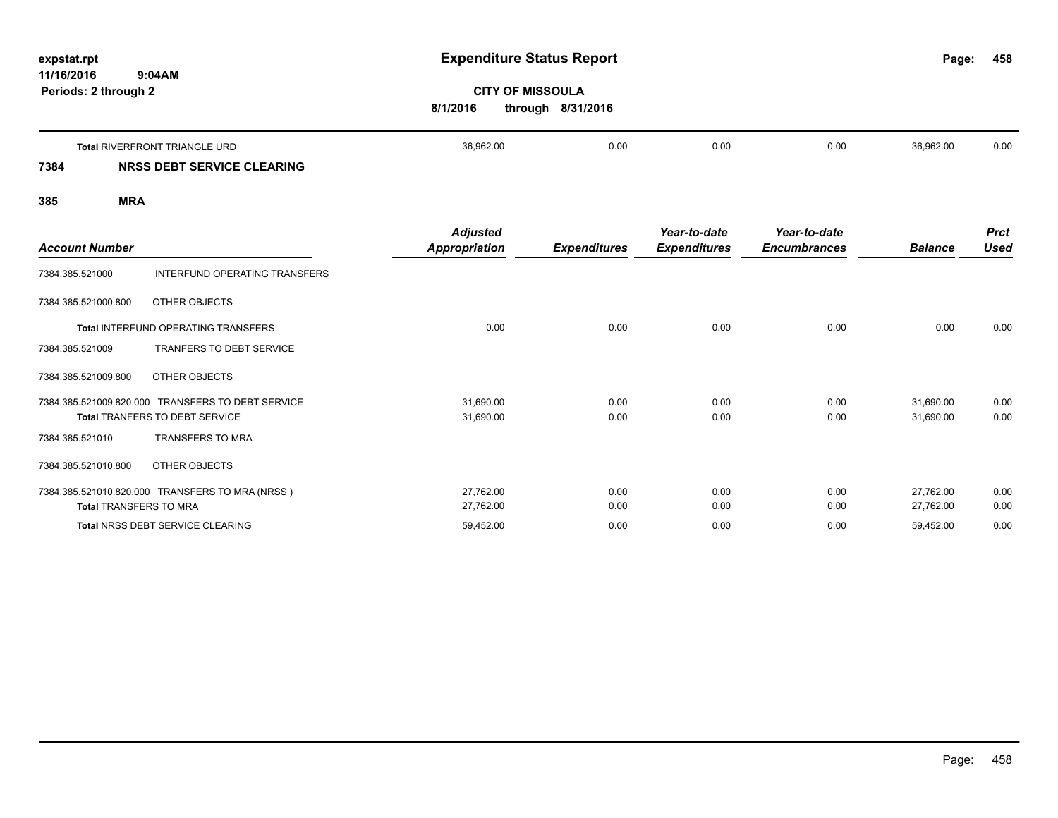| expstat.rpt<br>11/16/2016<br>Periods: 2 through 2 | 9:04AM                               | <b>Expenditure Status Report</b><br><b>CITY OF MISSOULA</b><br>through 8/31/2016<br>8/1/2016 |      |      |      | Page:     | 458  |
|---------------------------------------------------|--------------------------------------|----------------------------------------------------------------------------------------------|------|------|------|-----------|------|
|                                                   | <b>Total RIVERFRONT TRIANGLE URD</b> | 36,962.00                                                                                    | 0.00 | 0.00 | 0.00 | 36,962.00 | 0.00 |
| 7384                                              | <b>NRSS DEBT SERVICE CLEARING</b>    |                                                                                              |      |      |      |           |      |

| <b>Account Number</b>         |                                                                           | <b>Adjusted</b><br>Appropriation | <b>Expenditures</b> | Year-to-date<br><b>Expenditures</b> | Year-to-date<br><b>Encumbrances</b> | <b>Balance</b>         | <b>Prct</b><br><b>Used</b> |
|-------------------------------|---------------------------------------------------------------------------|----------------------------------|---------------------|-------------------------------------|-------------------------------------|------------------------|----------------------------|
| 7384.385.521000               | INTERFUND OPERATING TRANSFERS                                             |                                  |                     |                                     |                                     |                        |                            |
| 7384.385.521000.800           | OTHER OBJECTS                                                             |                                  |                     |                                     |                                     |                        |                            |
|                               | Total INTERFUND OPERATING TRANSFERS                                       | 0.00                             | 0.00                | 0.00                                | 0.00                                | 0.00                   | 0.00                       |
| 7384.385.521009               | TRANFERS TO DEBT SERVICE                                                  |                                  |                     |                                     |                                     |                        |                            |
| 7384.385.521009.800           | OTHER OBJECTS                                                             |                                  |                     |                                     |                                     |                        |                            |
| 7384.385.521009.820.000       | <b>TRANSFERS TO DEBT SERVICE</b><br><b>Total TRANFERS TO DEBT SERVICE</b> | 31,690.00<br>31,690.00           | 0.00<br>0.00        | 0.00<br>0.00                        | 0.00<br>0.00                        | 31,690.00<br>31,690.00 | 0.00<br>0.00               |
| 7384.385.521010               | <b>TRANSFERS TO MRA</b>                                                   |                                  |                     |                                     |                                     |                        |                            |
| 7384.385.521010.800           | OTHER OBJECTS                                                             |                                  |                     |                                     |                                     |                        |                            |
| <b>Total TRANSFERS TO MRA</b> | 7384.385.521010.820.000 TRANSFERS TO MRA (NRSS)                           | 27,762.00<br>27,762.00           | 0.00<br>0.00        | 0.00<br>0.00                        | 0.00<br>0.00                        | 27,762.00<br>27,762.00 | 0.00<br>0.00               |
|                               | Total NRSS DEBT SERVICE CLEARING                                          | 59,452.00                        | 0.00                | 0.00                                | 0.00                                | 59,452.00              | 0.00                       |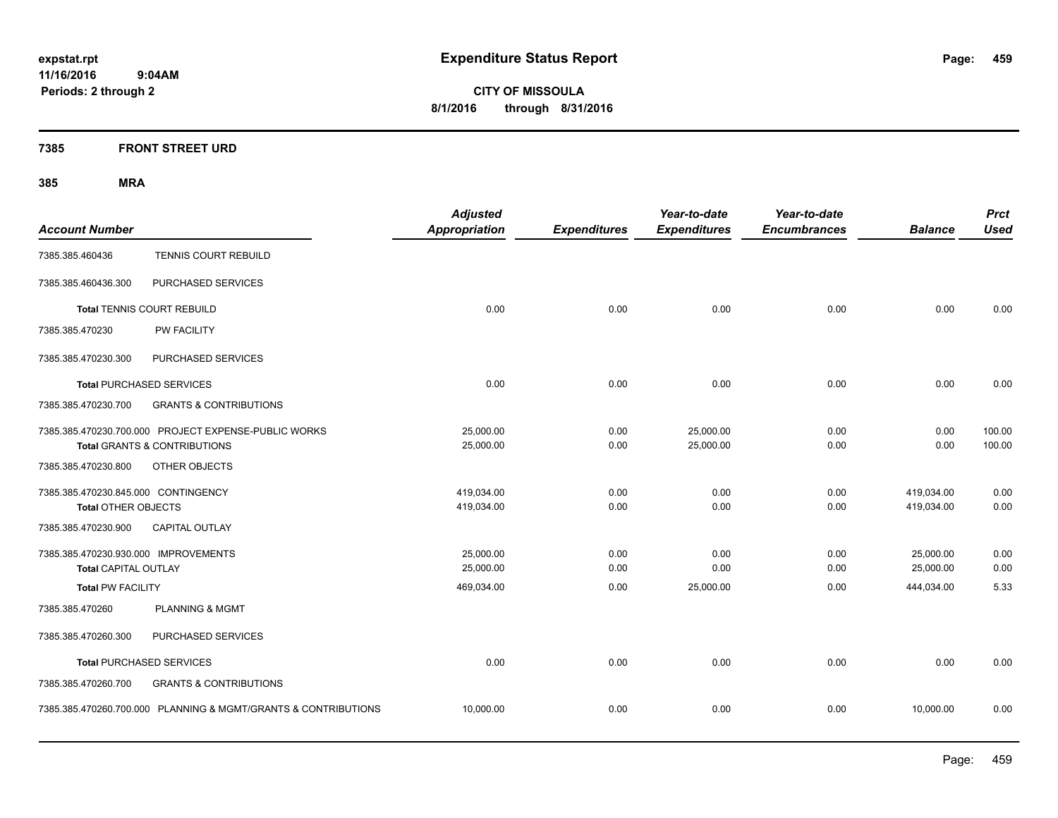**CITY OF MISSOULA 8/1/2016 through 8/31/2016**

**7385 FRONT STREET URD**

| <b>Account Number</b>                |                                                                                                 | <b>Adjusted</b><br><b>Appropriation</b> | <b>Expenditures</b> | Year-to-date<br><b>Expenditures</b> | Year-to-date<br><b>Encumbrances</b> | <b>Balance</b> | <b>Prct</b><br><b>Used</b> |
|--------------------------------------|-------------------------------------------------------------------------------------------------|-----------------------------------------|---------------------|-------------------------------------|-------------------------------------|----------------|----------------------------|
| 7385.385.460436                      | TENNIS COURT REBUILD                                                                            |                                         |                     |                                     |                                     |                |                            |
| 7385.385.460436.300                  | PURCHASED SERVICES                                                                              |                                         |                     |                                     |                                     |                |                            |
|                                      | <b>Total TENNIS COURT REBUILD</b>                                                               | 0.00                                    | 0.00                | 0.00                                | 0.00                                | 0.00           | 0.00                       |
| 7385.385.470230                      | <b>PW FACILITY</b>                                                                              |                                         |                     |                                     |                                     |                |                            |
| 7385.385.470230.300                  | PURCHASED SERVICES                                                                              |                                         |                     |                                     |                                     |                |                            |
|                                      | <b>Total PURCHASED SERVICES</b>                                                                 | 0.00                                    | 0.00                | 0.00                                | 0.00                                | 0.00           | 0.00                       |
| 7385.385.470230.700                  | <b>GRANTS &amp; CONTRIBUTIONS</b>                                                               |                                         |                     |                                     |                                     |                |                            |
|                                      | 7385.385.470230.700.000 PROJECT EXPENSE-PUBLIC WORKS<br><b>Total GRANTS &amp; CONTRIBUTIONS</b> | 25,000.00<br>25,000.00                  | 0.00<br>0.00        | 25,000.00<br>25,000.00              | 0.00<br>0.00                        | 0.00<br>0.00   | 100.00<br>100.00           |
| 7385.385.470230.800                  | OTHER OBJECTS                                                                                   |                                         |                     |                                     |                                     |                |                            |
| 7385.385.470230.845.000 CONTINGENCY  |                                                                                                 | 419,034.00                              | 0.00                | 0.00                                | 0.00                                | 419,034.00     | 0.00                       |
| <b>Total OTHER OBJECTS</b>           |                                                                                                 | 419,034.00                              | 0.00                | 0.00                                | 0.00                                | 419,034.00     | 0.00                       |
| 7385.385.470230.900                  | <b>CAPITAL OUTLAY</b>                                                                           |                                         |                     |                                     |                                     |                |                            |
| 7385.385.470230.930.000 IMPROVEMENTS |                                                                                                 | 25,000.00                               | 0.00                | 0.00                                | 0.00                                | 25,000.00      | 0.00                       |
| Total CAPITAL OUTLAY                 |                                                                                                 | 25,000.00                               | 0.00                | 0.00                                | 0.00                                | 25,000.00      | 0.00                       |
| <b>Total PW FACILITY</b>             |                                                                                                 | 469,034.00                              | 0.00                | 25,000.00                           | 0.00                                | 444,034.00     | 5.33                       |
| 7385.385.470260                      | <b>PLANNING &amp; MGMT</b>                                                                      |                                         |                     |                                     |                                     |                |                            |
| 7385.385.470260.300                  | PURCHASED SERVICES                                                                              |                                         |                     |                                     |                                     |                |                            |
|                                      | <b>Total PURCHASED SERVICES</b>                                                                 | 0.00                                    | 0.00                | 0.00                                | 0.00                                | 0.00           | 0.00                       |
| 7385.385.470260.700                  | <b>GRANTS &amp; CONTRIBUTIONS</b>                                                               |                                         |                     |                                     |                                     |                |                            |
|                                      | 7385.385.470260.700.000 PLANNING & MGMT/GRANTS & CONTRIBUTIONS                                  | 10,000.00                               | 0.00                | 0.00                                | 0.00                                | 10,000.00      | 0.00                       |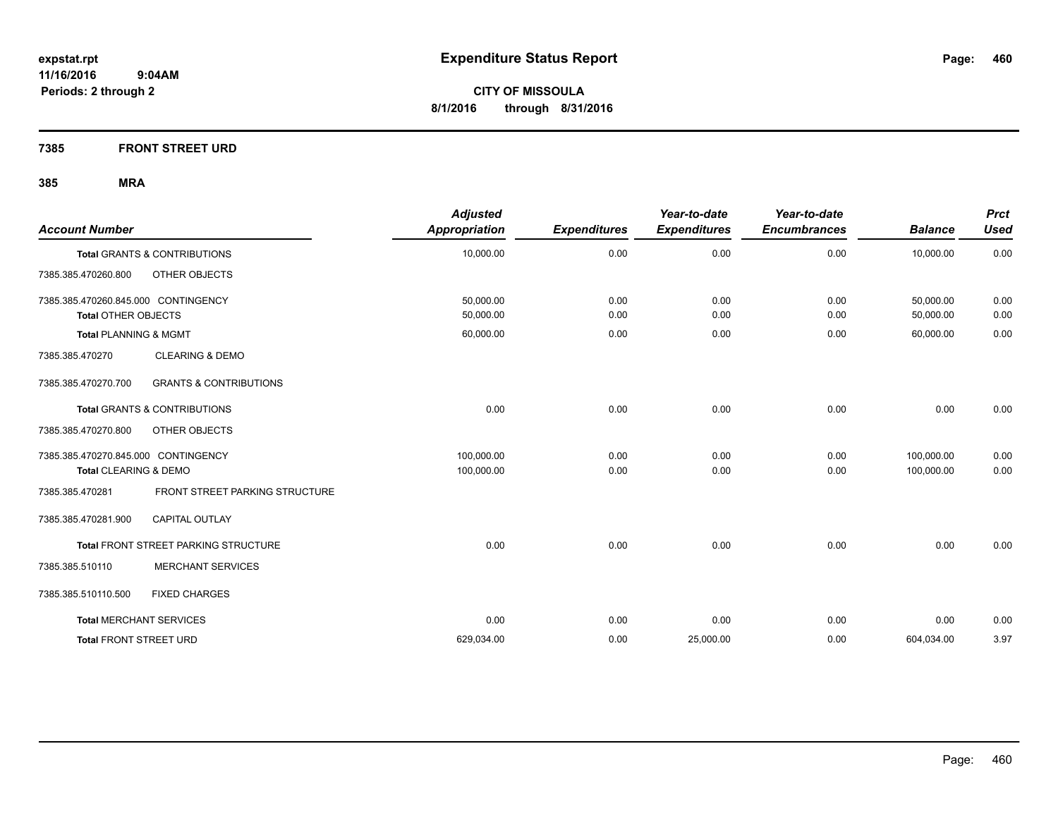**7385 FRONT STREET URD**

| <b>Account Number</b>               |                                             | <b>Adjusted</b><br>Appropriation | <b>Expenditures</b> | Year-to-date<br><b>Expenditures</b> | Year-to-date<br><b>Encumbrances</b> | <b>Balance</b> | <b>Prct</b><br><b>Used</b> |
|-------------------------------------|---------------------------------------------|----------------------------------|---------------------|-------------------------------------|-------------------------------------|----------------|----------------------------|
|                                     | <b>Total GRANTS &amp; CONTRIBUTIONS</b>     | 10,000.00                        | 0.00                | 0.00                                | 0.00                                | 10,000.00      | 0.00                       |
| 7385.385.470260.800                 | OTHER OBJECTS                               |                                  |                     |                                     |                                     |                |                            |
| 7385.385.470260.845.000 CONTINGENCY |                                             | 50,000.00                        | 0.00                | 0.00                                | 0.00                                | 50,000.00      | 0.00                       |
| <b>Total OTHER OBJECTS</b>          |                                             | 50,000.00                        | 0.00                | 0.00                                | 0.00                                | 50,000.00      | 0.00                       |
| <b>Total PLANNING &amp; MGMT</b>    |                                             | 60,000.00                        | 0.00                | 0.00                                | 0.00                                | 60,000.00      | 0.00                       |
| 7385.385.470270                     | <b>CLEARING &amp; DEMO</b>                  |                                  |                     |                                     |                                     |                |                            |
| 7385.385.470270.700                 | <b>GRANTS &amp; CONTRIBUTIONS</b>           |                                  |                     |                                     |                                     |                |                            |
|                                     | <b>Total GRANTS &amp; CONTRIBUTIONS</b>     | 0.00                             | 0.00                | 0.00                                | 0.00                                | 0.00           | 0.00                       |
| 7385.385.470270.800                 | OTHER OBJECTS                               |                                  |                     |                                     |                                     |                |                            |
| 7385.385.470270.845.000 CONTINGENCY |                                             | 100,000.00                       | 0.00                | 0.00                                | 0.00                                | 100,000.00     | 0.00                       |
| Total CLEARING & DEMO               |                                             | 100,000.00                       | 0.00                | 0.00                                | 0.00                                | 100.000.00     | 0.00                       |
| 7385.385.470281                     | FRONT STREET PARKING STRUCTURE              |                                  |                     |                                     |                                     |                |                            |
| 7385.385.470281.900                 | <b>CAPITAL OUTLAY</b>                       |                                  |                     |                                     |                                     |                |                            |
|                                     | <b>Total FRONT STREET PARKING STRUCTURE</b> | 0.00                             | 0.00                | 0.00                                | 0.00                                | 0.00           | 0.00                       |
| 7385.385.510110                     | <b>MERCHANT SERVICES</b>                    |                                  |                     |                                     |                                     |                |                            |
| 7385.385.510110.500                 | <b>FIXED CHARGES</b>                        |                                  |                     |                                     |                                     |                |                            |
| <b>Total MERCHANT SERVICES</b>      |                                             | 0.00                             | 0.00                | 0.00                                | 0.00                                | 0.00           | 0.00                       |
| <b>Total FRONT STREET URD</b>       |                                             | 629,034.00                       | 0.00                | 25,000.00                           | 0.00                                | 604,034.00     | 3.97                       |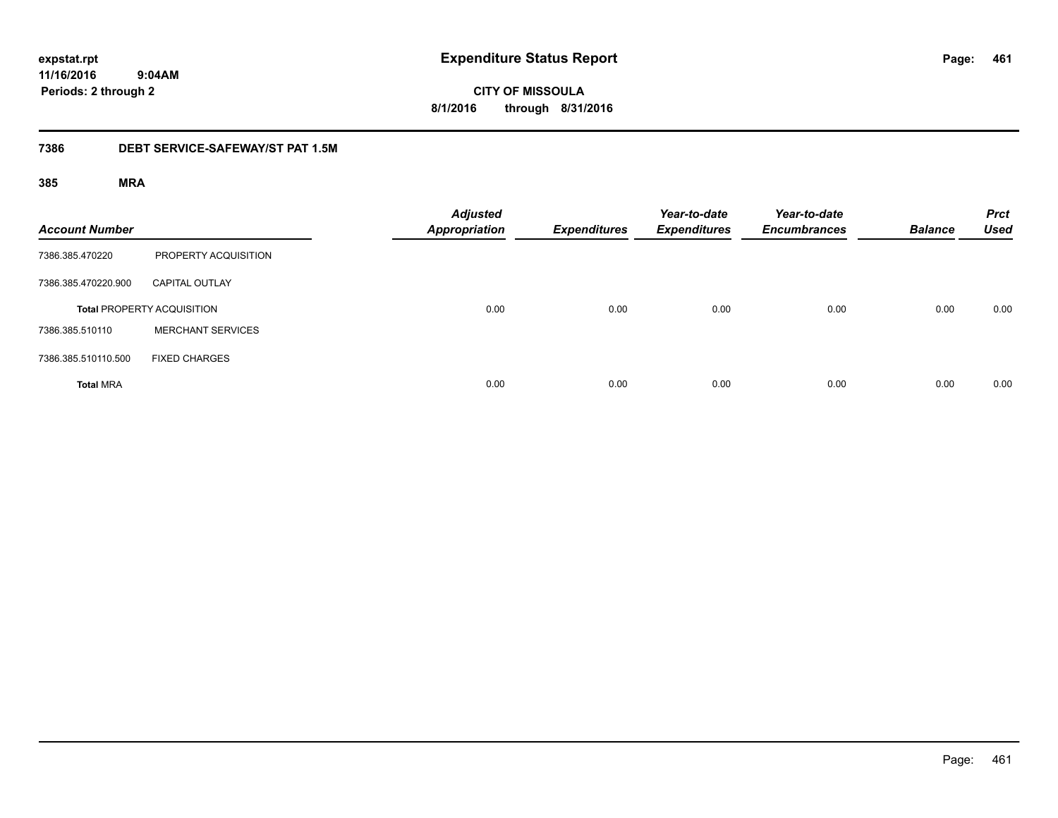**CITY OF MISSOULA 8/1/2016 through 8/31/2016**

#### **7386 DEBT SERVICE-SAFEWAY/ST PAT 1.5M**

| <b>Account Number</b> |                                   | <b>Adjusted</b><br><b>Appropriation</b> | <b>Expenditures</b> | Year-to-date<br><b>Expenditures</b> | Year-to-date<br><b>Encumbrances</b> | <b>Balance</b> | <b>Prct</b><br><b>Used</b> |
|-----------------------|-----------------------------------|-----------------------------------------|---------------------|-------------------------------------|-------------------------------------|----------------|----------------------------|
| 7386.385.470220       | PROPERTY ACQUISITION              |                                         |                     |                                     |                                     |                |                            |
| 7386.385.470220.900   | <b>CAPITAL OUTLAY</b>             |                                         |                     |                                     |                                     |                |                            |
|                       | <b>Total PROPERTY ACQUISITION</b> | 0.00                                    | 0.00                | 0.00                                | 0.00                                | 0.00           | 0.00                       |
| 7386.385.510110       | <b>MERCHANT SERVICES</b>          |                                         |                     |                                     |                                     |                |                            |
| 7386.385.510110.500   | <b>FIXED CHARGES</b>              |                                         |                     |                                     |                                     |                |                            |
| <b>Total MRA</b>      |                                   | 0.00                                    | 0.00                | 0.00                                | 0.00                                | 0.00           | 0.00                       |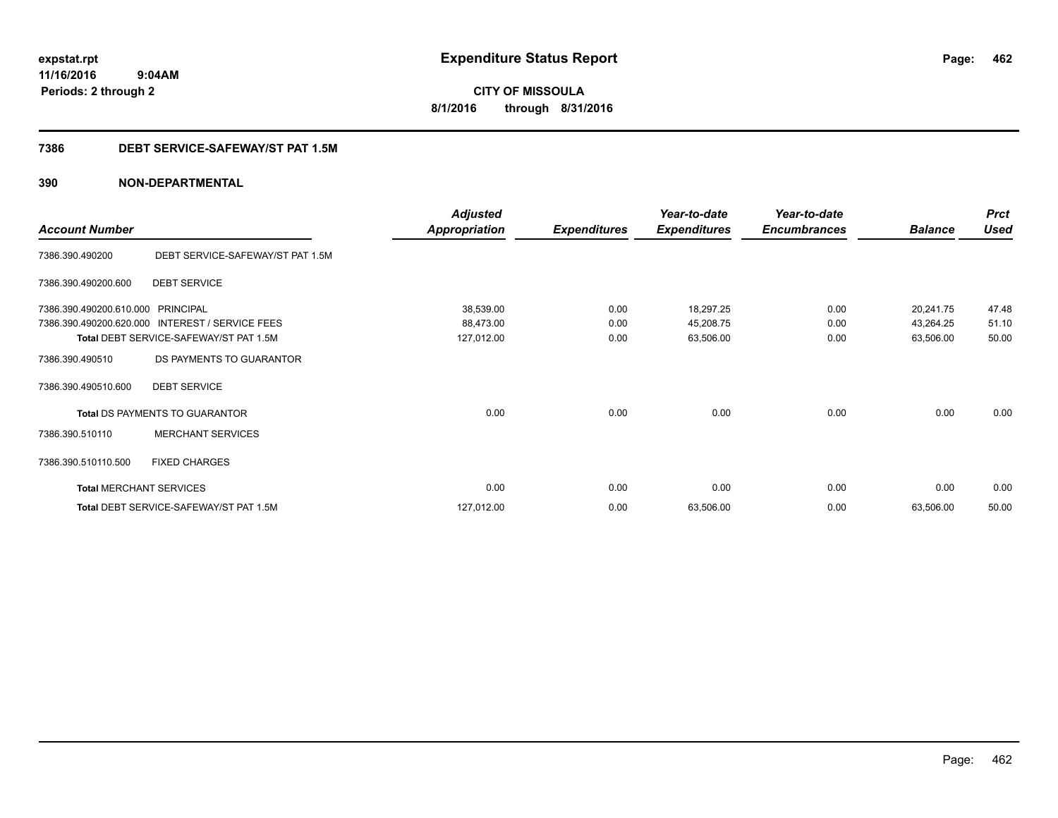**CITY OF MISSOULA 8/1/2016 through 8/31/2016**

#### **7386 DEBT SERVICE-SAFEWAY/ST PAT 1.5M**

|                                |                                        | <b>Adjusted</b>      |                     | Year-to-date        | Year-to-date        |                | <b>Prct</b> |
|--------------------------------|----------------------------------------|----------------------|---------------------|---------------------|---------------------|----------------|-------------|
| <b>Account Number</b>          |                                        | <b>Appropriation</b> | <b>Expenditures</b> | <b>Expenditures</b> | <b>Encumbrances</b> | <b>Balance</b> | <b>Used</b> |
| 7386.390.490200                | DEBT SERVICE-SAFEWAY/ST PAT 1.5M       |                      |                     |                     |                     |                |             |
| 7386.390.490200.600            | <b>DEBT SERVICE</b>                    |                      |                     |                     |                     |                |             |
| 7386.390.490200.610.000        | <b>PRINCIPAL</b>                       | 38,539.00            | 0.00                | 18,297.25           | 0.00                | 20,241.75      | 47.48       |
| 7386.390.490200.620.000        | INTEREST / SERVICE FEES                | 88,473.00            | 0.00                | 45,208.75           | 0.00                | 43,264.25      | 51.10       |
|                                | Total DEBT SERVICE-SAFEWAY/ST PAT 1.5M | 127,012.00           | 0.00                | 63,506.00           | 0.00                | 63,506.00      | 50.00       |
| 7386.390.490510                | DS PAYMENTS TO GUARANTOR               |                      |                     |                     |                     |                |             |
| 7386.390.490510.600            | <b>DEBT SERVICE</b>                    |                      |                     |                     |                     |                |             |
|                                | Total DS PAYMENTS TO GUARANTOR         | 0.00                 | 0.00                | 0.00                | 0.00                | 0.00           | 0.00        |
| 7386.390.510110                | <b>MERCHANT SERVICES</b>               |                      |                     |                     |                     |                |             |
| 7386.390.510110.500            | <b>FIXED CHARGES</b>                   |                      |                     |                     |                     |                |             |
| <b>Total MERCHANT SERVICES</b> |                                        | 0.00                 | 0.00                | 0.00                | 0.00                | 0.00           | 0.00        |
|                                | Total DEBT SERVICE-SAFEWAY/ST PAT 1.5M | 127,012.00           | 0.00                | 63,506.00           | 0.00                | 63,506.00      | 50.00       |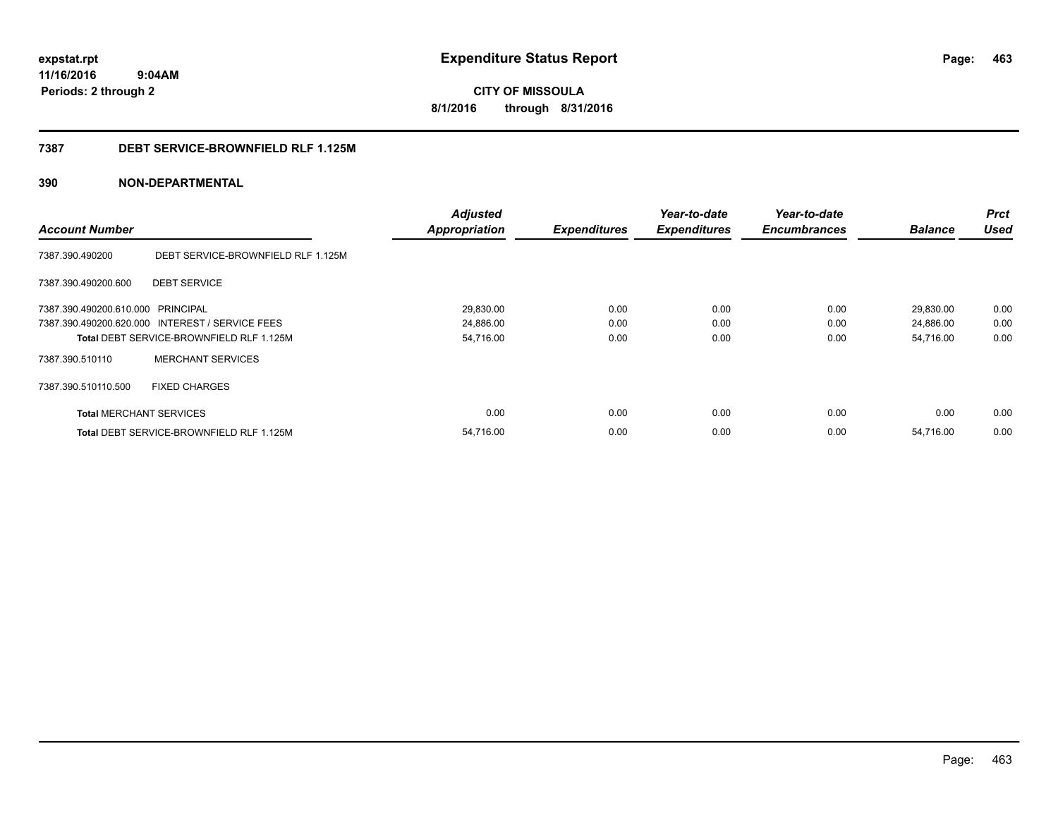**CITY OF MISSOULA 8/1/2016 through 8/31/2016**

#### **7387 DEBT SERVICE-BROWNFIELD RLF 1.125M**

|                                   |                                                 | <b>Adjusted</b>      |                     | Year-to-date        | Year-to-date        |                | <b>Prct</b> |
|-----------------------------------|-------------------------------------------------|----------------------|---------------------|---------------------|---------------------|----------------|-------------|
| <b>Account Number</b>             |                                                 | <b>Appropriation</b> | <b>Expenditures</b> | <b>Expenditures</b> | <b>Encumbrances</b> | <b>Balance</b> | <b>Used</b> |
| 7387.390.490200                   | DEBT SERVICE-BROWNFIELD RLF 1.125M              |                      |                     |                     |                     |                |             |
| 7387.390.490200.600               | <b>DEBT SERVICE</b>                             |                      |                     |                     |                     |                |             |
| 7387.390.490200.610.000 PRINCIPAL |                                                 | 29,830.00            | 0.00                | 0.00                | 0.00                | 29,830.00      | 0.00        |
|                                   | 7387.390.490200.620.000 INTEREST / SERVICE FEES | 24,886.00            | 0.00                | 0.00                | 0.00                | 24,886.00      | 0.00        |
|                                   | Total DEBT SERVICE-BROWNFIELD RLF 1.125M        | 54,716.00            | 0.00                | 0.00                | 0.00                | 54,716.00      | 0.00        |
| 7387.390.510110                   | <b>MERCHANT SERVICES</b>                        |                      |                     |                     |                     |                |             |
| 7387.390.510110.500               | <b>FIXED CHARGES</b>                            |                      |                     |                     |                     |                |             |
| <b>Total MERCHANT SERVICES</b>    |                                                 | 0.00                 | 0.00                | 0.00                | 0.00                | 0.00           | 0.00        |
|                                   | <b>Total DEBT SERVICE-BROWNFIELD RLF 1.125M</b> | 54,716.00            | 0.00                | 0.00                | 0.00                | 54,716.00      | 0.00        |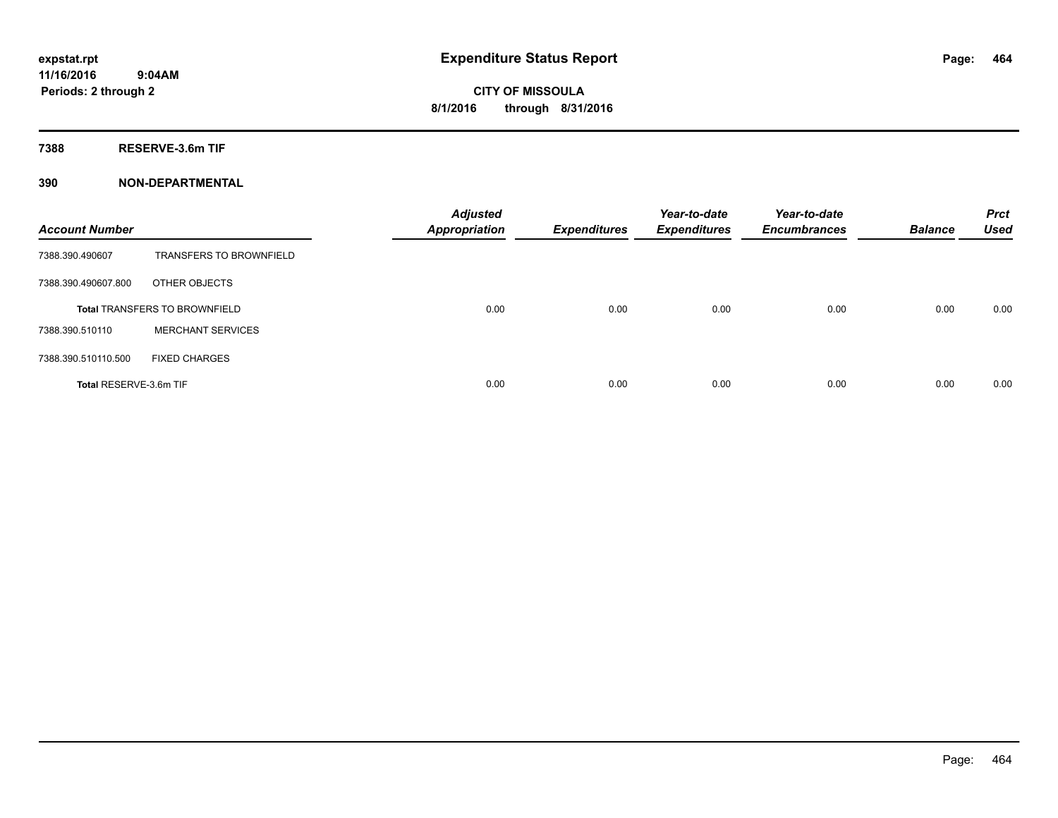**7388 RESERVE-3.6m TIF**

| <b>Account Number</b>  |                                      | <b>Adjusted</b><br><b>Appropriation</b> | <b>Expenditures</b> | Year-to-date<br><b>Expenditures</b> | Year-to-date<br><b>Encumbrances</b> | <b>Balance</b> | <b>Prct</b><br><b>Used</b> |
|------------------------|--------------------------------------|-----------------------------------------|---------------------|-------------------------------------|-------------------------------------|----------------|----------------------------|
| 7388.390.490607        | <b>TRANSFERS TO BROWNFIELD</b>       |                                         |                     |                                     |                                     |                |                            |
| 7388.390.490607.800    | OTHER OBJECTS                        |                                         |                     |                                     |                                     |                |                            |
|                        | <b>Total TRANSFERS TO BROWNFIELD</b> | 0.00                                    | 0.00                | 0.00                                | 0.00                                | 0.00           | 0.00                       |
| 7388.390.510110        | <b>MERCHANT SERVICES</b>             |                                         |                     |                                     |                                     |                |                            |
| 7388.390.510110.500    | <b>FIXED CHARGES</b>                 |                                         |                     |                                     |                                     |                |                            |
| Total RESERVE-3.6m TIF |                                      | 0.00                                    | 0.00                | 0.00                                | 0.00                                | 0.00           | 0.00                       |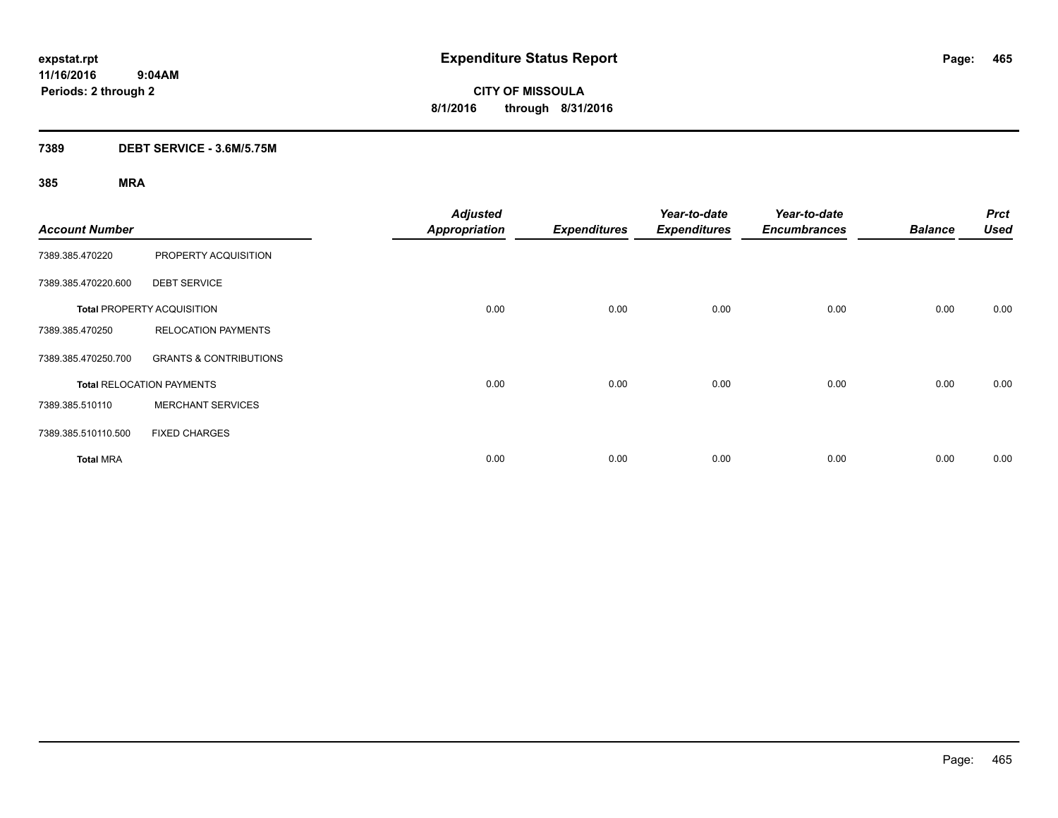**CITY OF MISSOULA 8/1/2016 through 8/31/2016**

#### **7389 DEBT SERVICE - 3.6M/5.75M**

| <b>Account Number</b> |                                   | <b>Adjusted</b><br><b>Appropriation</b> | <b>Expenditures</b> | Year-to-date<br><b>Expenditures</b> | Year-to-date<br><b>Encumbrances</b> | <b>Balance</b> | <b>Prct</b><br><b>Used</b> |
|-----------------------|-----------------------------------|-----------------------------------------|---------------------|-------------------------------------|-------------------------------------|----------------|----------------------------|
| 7389.385.470220       | PROPERTY ACQUISITION              |                                         |                     |                                     |                                     |                |                            |
| 7389.385.470220.600   | <b>DEBT SERVICE</b>               |                                         |                     |                                     |                                     |                |                            |
|                       | <b>Total PROPERTY ACQUISITION</b> | 0.00                                    | 0.00                | 0.00                                | 0.00                                | 0.00           | 0.00                       |
| 7389.385.470250       | <b>RELOCATION PAYMENTS</b>        |                                         |                     |                                     |                                     |                |                            |
| 7389.385.470250.700   | <b>GRANTS &amp; CONTRIBUTIONS</b> |                                         |                     |                                     |                                     |                |                            |
|                       | <b>Total RELOCATION PAYMENTS</b>  | 0.00                                    | 0.00                | 0.00                                | 0.00                                | 0.00           | 0.00                       |
| 7389.385.510110       | <b>MERCHANT SERVICES</b>          |                                         |                     |                                     |                                     |                |                            |
| 7389.385.510110.500   | <b>FIXED CHARGES</b>              |                                         |                     |                                     |                                     |                |                            |
| <b>Total MRA</b>      |                                   | 0.00                                    | 0.00                | 0.00                                | 0.00                                | 0.00           | 0.00                       |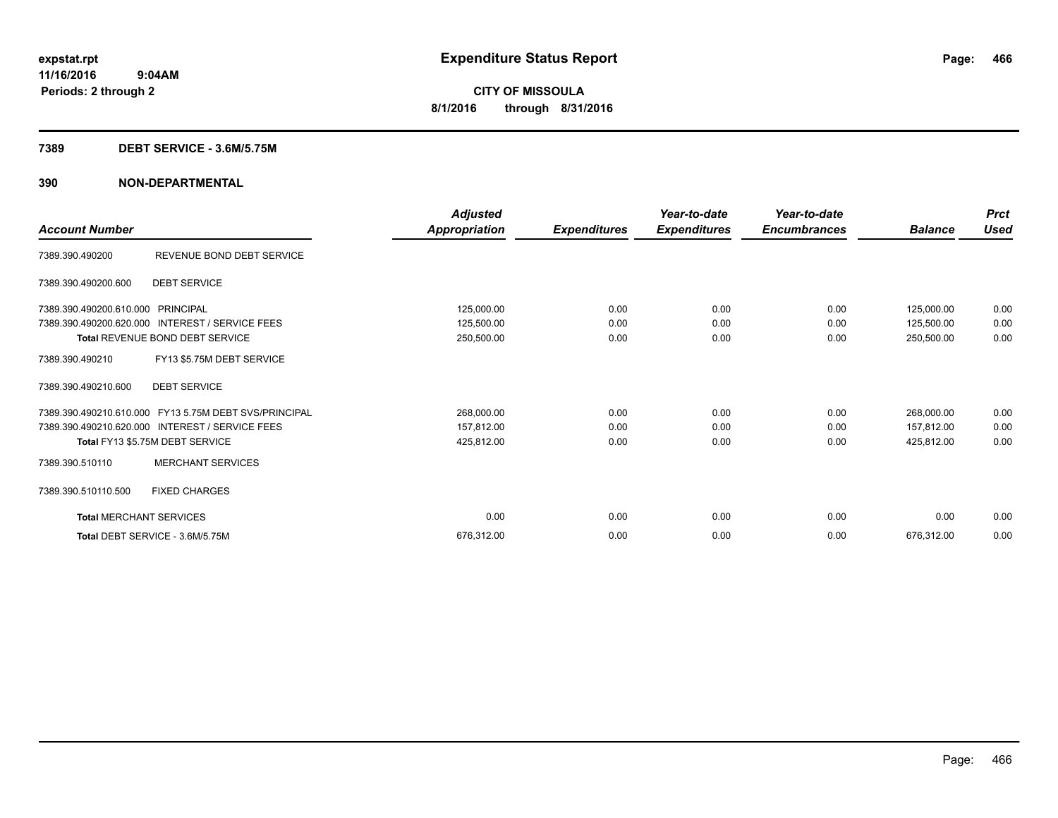#### **7389 DEBT SERVICE - 3.6M/5.75M**

| <b>Account Number</b>          |                                                       | Adjusted<br>Appropriation | <b>Expenditures</b> | Year-to-date<br><b>Expenditures</b> | Year-to-date<br><b>Encumbrances</b> | <b>Balance</b> | <b>Prct</b><br><b>Used</b> |
|--------------------------------|-------------------------------------------------------|---------------------------|---------------------|-------------------------------------|-------------------------------------|----------------|----------------------------|
| 7389.390.490200                | REVENUE BOND DEBT SERVICE                             |                           |                     |                                     |                                     |                |                            |
| 7389.390.490200.600            | <b>DEBT SERVICE</b>                                   |                           |                     |                                     |                                     |                |                            |
| 7389.390.490200.610.000        | PRINCIPAL                                             | 125,000.00                | 0.00                | 0.00                                | 0.00                                | 125,000.00     | 0.00                       |
| 7389.390.490200.620.000        | <b>INTEREST / SERVICE FEES</b>                        | 125,500.00                | 0.00                | 0.00                                | 0.00                                | 125,500.00     | 0.00                       |
|                                | Total REVENUE BOND DEBT SERVICE                       | 250,500.00                | 0.00                | 0.00                                | 0.00                                | 250,500.00     | 0.00                       |
| 7389.390.490210                | FY13 \$5.75M DEBT SERVICE                             |                           |                     |                                     |                                     |                |                            |
| 7389.390.490210.600            | <b>DEBT SERVICE</b>                                   |                           |                     |                                     |                                     |                |                            |
|                                | 7389.390.490210.610.000 FY13 5.75M DEBT SVS/PRINCIPAL | 268,000.00                | 0.00                | 0.00                                | 0.00                                | 268,000.00     | 0.00                       |
|                                | 7389.390.490210.620.000 INTEREST / SERVICE FEES       | 157,812.00                | 0.00                | 0.00                                | 0.00                                | 157,812.00     | 0.00                       |
|                                | Total FY13 \$5.75M DEBT SERVICE                       | 425,812.00                | 0.00                | 0.00                                | 0.00                                | 425,812.00     | 0.00                       |
| 7389.390.510110                | <b>MERCHANT SERVICES</b>                              |                           |                     |                                     |                                     |                |                            |
| 7389.390.510110.500            | <b>FIXED CHARGES</b>                                  |                           |                     |                                     |                                     |                |                            |
| <b>Total MERCHANT SERVICES</b> |                                                       | 0.00                      | 0.00                | 0.00                                | 0.00                                | 0.00           | 0.00                       |
|                                | Total DEBT SERVICE - 3.6M/5.75M                       | 676,312.00                | 0.00                | 0.00                                | 0.00                                | 676,312.00     | 0.00                       |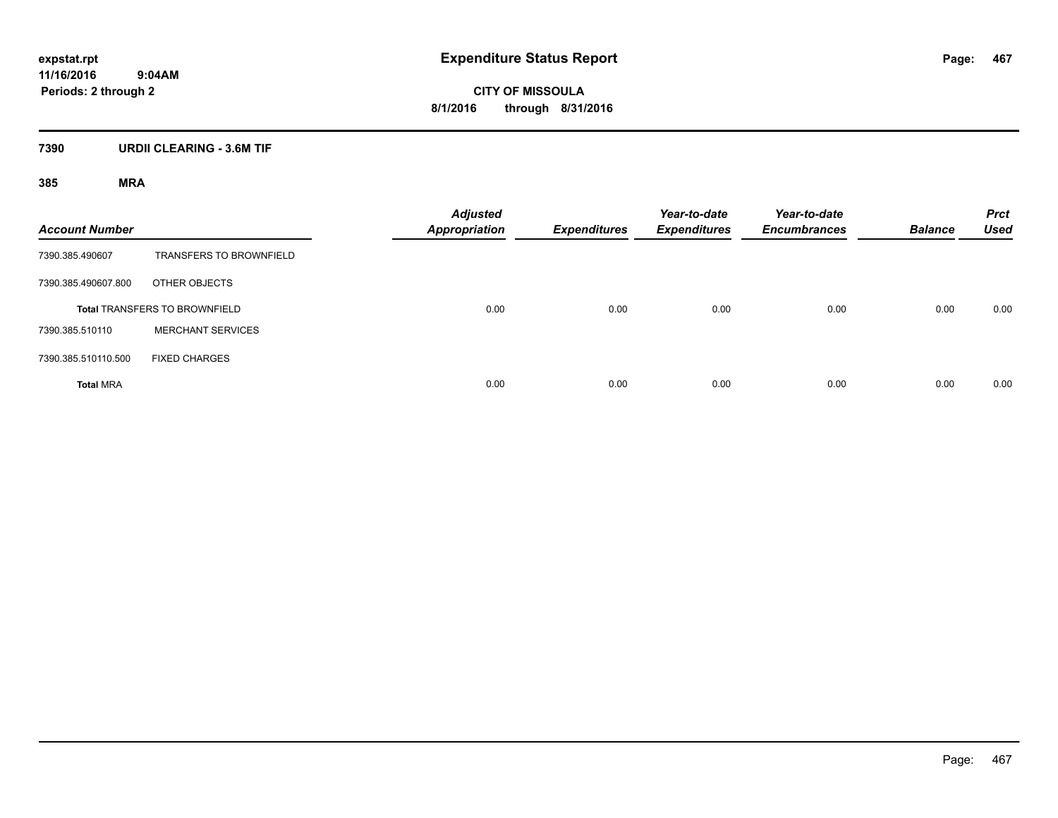**CITY OF MISSOULA 8/1/2016 through 8/31/2016**

#### **7390 URDII CLEARING - 3.6M TIF**

| <b>Account Number</b> |                                      | <b>Adjusted</b><br><b>Appropriation</b> | Expenditures | Year-to-date<br><b>Expenditures</b> | Year-to-date<br><b>Encumbrances</b> | <b>Balance</b> | <b>Prct</b><br><b>Used</b> |
|-----------------------|--------------------------------------|-----------------------------------------|--------------|-------------------------------------|-------------------------------------|----------------|----------------------------|
| 7390.385.490607       | <b>TRANSFERS TO BROWNFIELD</b>       |                                         |              |                                     |                                     |                |                            |
| 7390.385.490607.800   | OTHER OBJECTS                        |                                         |              |                                     |                                     |                |                            |
|                       | <b>Total TRANSFERS TO BROWNFIELD</b> | 0.00                                    | 0.00         | 0.00                                | 0.00                                | 0.00           | 0.00                       |
| 7390.385.510110       | <b>MERCHANT SERVICES</b>             |                                         |              |                                     |                                     |                |                            |
| 7390.385.510110.500   | <b>FIXED CHARGES</b>                 |                                         |              |                                     |                                     |                |                            |
| <b>Total MRA</b>      |                                      | 0.00                                    | 0.00         | 0.00                                | 0.00                                | 0.00           | 0.00                       |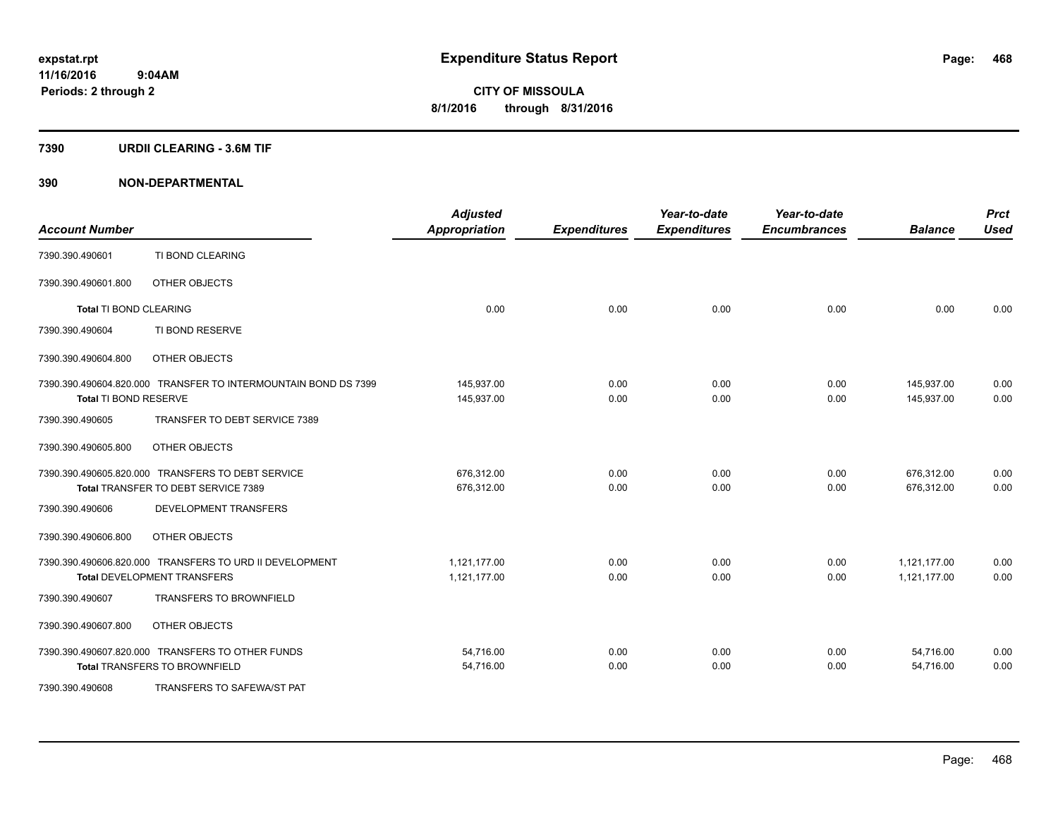#### **7390 URDII CLEARING - 3.6M TIF**

| <b>Account Number</b>                             |                                                                | <b>Adjusted</b><br><b>Appropriation</b> | <b>Expenditures</b> | Year-to-date<br><b>Expenditures</b> | Year-to-date<br><b>Encumbrances</b> | <b>Balance</b> | <b>Prct</b><br><b>Used</b> |
|---------------------------------------------------|----------------------------------------------------------------|-----------------------------------------|---------------------|-------------------------------------|-------------------------------------|----------------|----------------------------|
| 7390.390.490601                                   | TI BOND CLEARING                                               |                                         |                     |                                     |                                     |                |                            |
| 7390.390.490601.800                               | OTHER OBJECTS                                                  |                                         |                     |                                     |                                     |                |                            |
| Total TI BOND CLEARING                            |                                                                | 0.00                                    | 0.00                | 0.00                                | 0.00                                | 0.00           | 0.00                       |
| 7390.390.490604                                   | TI BOND RESERVE                                                |                                         |                     |                                     |                                     |                |                            |
| 7390.390.490604.800                               | OTHER OBJECTS                                                  |                                         |                     |                                     |                                     |                |                            |
|                                                   | 7390.390.490604.820.000 TRANSFER TO INTERMOUNTAIN BOND DS 7399 | 145,937.00                              | 0.00                | 0.00                                | 0.00                                | 145,937.00     | 0.00                       |
| Total TI BOND RESERVE                             |                                                                | 145,937.00                              | 0.00                | 0.00                                | 0.00                                | 145,937.00     | 0.00                       |
| 7390.390.490605                                   | TRANSFER TO DEBT SERVICE 7389                                  |                                         |                     |                                     |                                     |                |                            |
| 7390.390.490605.800                               | OTHER OBJECTS                                                  |                                         |                     |                                     |                                     |                |                            |
| 7390.390.490605.820.000 TRANSFERS TO DEBT SERVICE |                                                                | 676,312.00                              | 0.00                | 0.00                                | 0.00                                | 676,312.00     | 0.00                       |
| Total TRANSFER TO DEBT SERVICE 7389               |                                                                | 676,312.00                              | 0.00                | 0.00                                | 0.00                                | 676,312.00     | 0.00                       |
| 7390.390.490606                                   | DEVELOPMENT TRANSFERS                                          |                                         |                     |                                     |                                     |                |                            |
| 7390.390.490606.800                               | OTHER OBJECTS                                                  |                                         |                     |                                     |                                     |                |                            |
|                                                   | 7390.390.490606.820.000 TRANSFERS TO URD II DEVELOPMENT        | 1.121.177.00                            | 0.00                | 0.00                                | 0.00                                | 1.121.177.00   | 0.00                       |
| <b>Total DEVELOPMENT TRANSFERS</b>                |                                                                | 1,121,177.00                            | 0.00                | 0.00                                | 0.00                                | 1,121,177.00   | 0.00                       |
| 7390.390.490607                                   | <b>TRANSFERS TO BROWNFIELD</b>                                 |                                         |                     |                                     |                                     |                |                            |
| 7390.390.490607.800                               | OTHER OBJECTS                                                  |                                         |                     |                                     |                                     |                |                            |
| 7390.390.490607.820.000 TRANSFERS TO OTHER FUNDS  |                                                                | 54,716.00                               | 0.00                | 0.00                                | 0.00                                | 54,716.00      | 0.00                       |
| <b>Total TRANSFERS TO BROWNFIELD</b>              |                                                                | 54,716.00                               | 0.00                | 0.00                                | 0.00                                | 54,716.00      | 0.00                       |
| 7390.390.490608                                   | TRANSFERS TO SAFEWA/ST PAT                                     |                                         |                     |                                     |                                     |                |                            |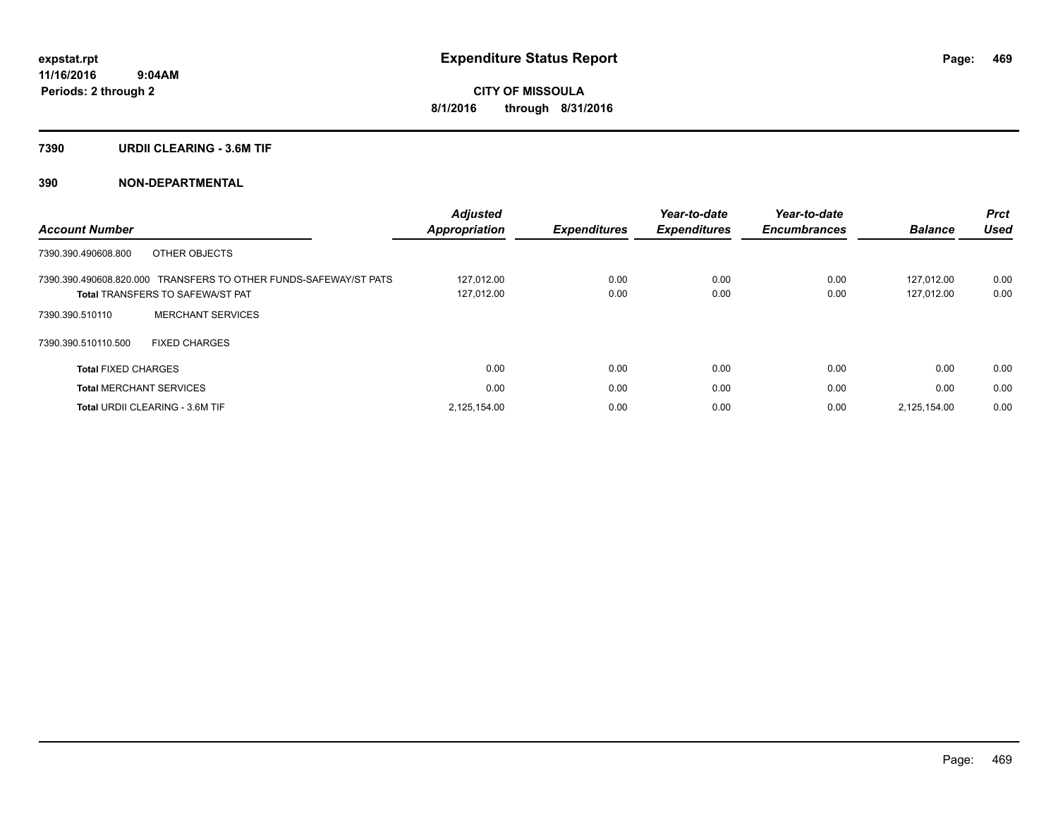#### **7390 URDII CLEARING - 3.6M TIF**

### **390 NON-DEPARTMENTAL**

|                                                                  | <b>Adjusted</b>      |                     | Year-to-date        | Year-to-date        |                | <b>Prct</b> |
|------------------------------------------------------------------|----------------------|---------------------|---------------------|---------------------|----------------|-------------|
| <b>Account Number</b>                                            | <b>Appropriation</b> | <b>Expenditures</b> | <b>Expenditures</b> | <b>Encumbrances</b> | <b>Balance</b> | <b>Used</b> |
| OTHER OBJECTS<br>7390.390.490608.800                             |                      |                     |                     |                     |                |             |
| 7390.390.490608.820.000 TRANSFERS TO OTHER FUNDS-SAFEWAY/ST PATS | 127.012.00           | 0.00                | 0.00                | 0.00                | 127.012.00     | 0.00        |
| <b>Total TRANSFERS TO SAFEWA/ST PAT</b>                          | 127,012.00           | 0.00                | 0.00                | 0.00                | 127,012.00     | 0.00        |
| <b>MERCHANT SERVICES</b><br>7390.390.510110                      |                      |                     |                     |                     |                |             |
| 7390.390.510110.500<br><b>FIXED CHARGES</b>                      |                      |                     |                     |                     |                |             |
| <b>Total FIXED CHARGES</b>                                       | 0.00                 | 0.00                | 0.00                | 0.00                | 0.00           | 0.00        |
| <b>Total MERCHANT SERVICES</b>                                   | 0.00                 | 0.00                | 0.00                | 0.00                | 0.00           | 0.00        |
| <b>Total URDII CLEARING - 3.6M TIF</b>                           | 2.125.154.00         | 0.00                | 0.00                | 0.00                | 2.125.154.00   | 0.00        |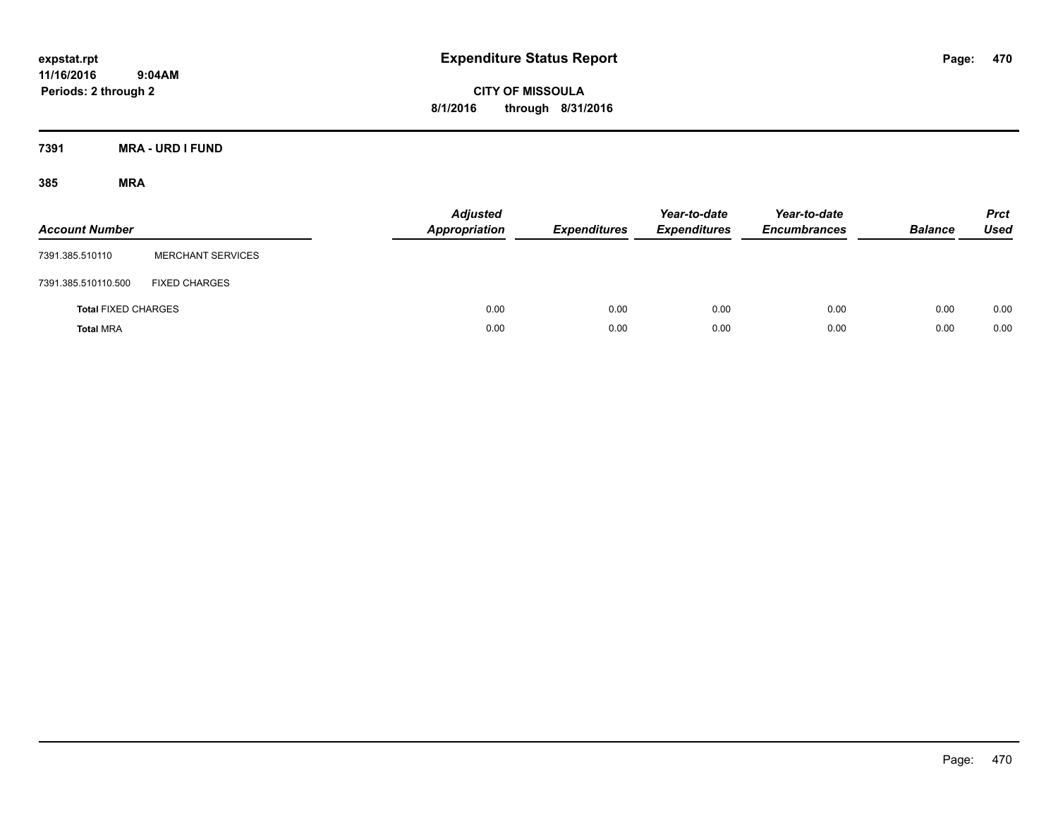**CITY OF MISSOULA 8/1/2016 through 8/31/2016**

**7391 MRA - URD I FUND**

| <b>Account Number</b>      |                          | <b>Adjusted</b><br><b>Appropriation</b> | <b>Expenditures</b> | Year-to-date<br><b>Expenditures</b> | Year-to-date<br><b>Encumbrances</b> | <b>Balance</b> | <b>Prct</b><br>Used |
|----------------------------|--------------------------|-----------------------------------------|---------------------|-------------------------------------|-------------------------------------|----------------|---------------------|
| 7391.385.510110            | <b>MERCHANT SERVICES</b> |                                         |                     |                                     |                                     |                |                     |
| 7391.385.510110.500        | <b>FIXED CHARGES</b>     |                                         |                     |                                     |                                     |                |                     |
| <b>Total FIXED CHARGES</b> |                          | 0.00                                    | 0.00                | 0.00                                | 0.00                                | 0.00           | 0.00                |
| <b>Total MRA</b>           |                          | 0.00                                    | 0.00                | 0.00                                | 0.00                                | 0.00           | 0.00                |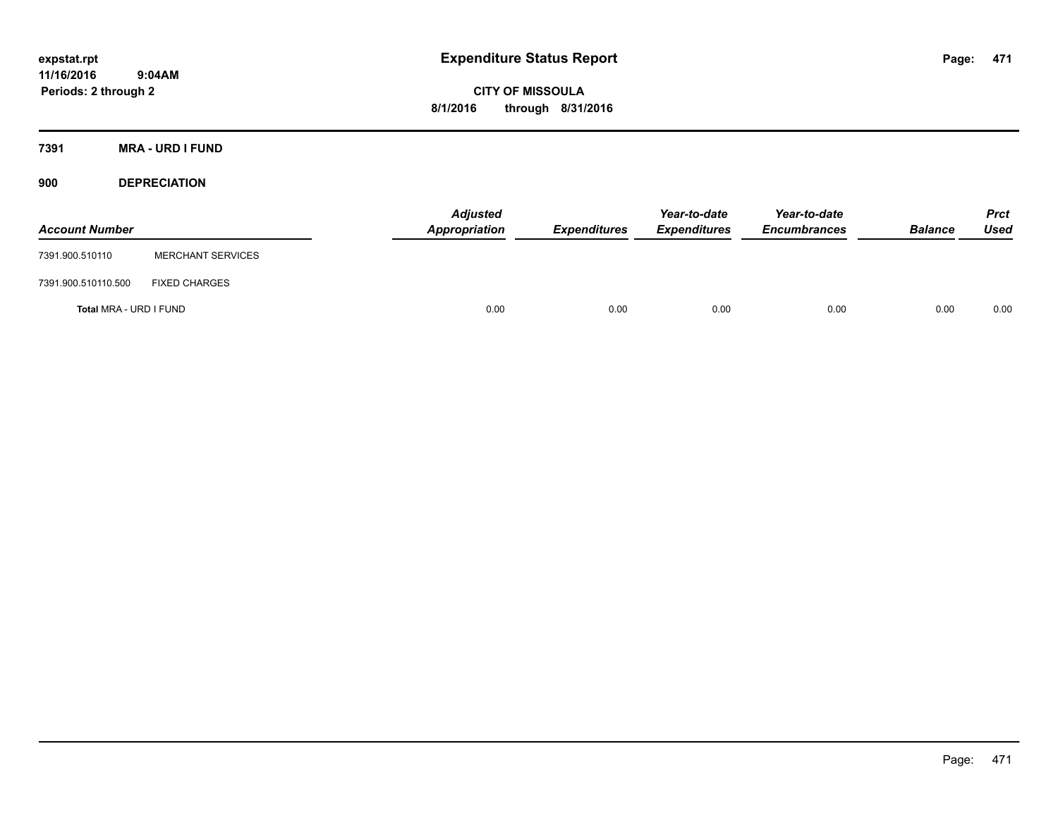**CITY OF MISSOULA 8/1/2016 through 8/31/2016**

**7391 MRA - URD I FUND**

**900 DEPRECIATION**

| <b>Account Number</b>  |                          | <b>Adjusted</b><br>Appropriation | <b>Expenditures</b> | Year-to-date<br><b>Expenditures</b> | Year-to-date<br><b>Encumbrances</b> | <b>Balance</b> | <b>Prct</b><br><b>Used</b> |
|------------------------|--------------------------|----------------------------------|---------------------|-------------------------------------|-------------------------------------|----------------|----------------------------|
| 7391.900.510110        | <b>MERCHANT SERVICES</b> |                                  |                     |                                     |                                     |                |                            |
| 7391.900.510110.500    | <b>FIXED CHARGES</b>     |                                  |                     |                                     |                                     |                |                            |
| Total MRA - URD I FUND |                          | 0.00                             | 0.00                | 0.00                                | 0.00                                | 0.00           | 0.00                       |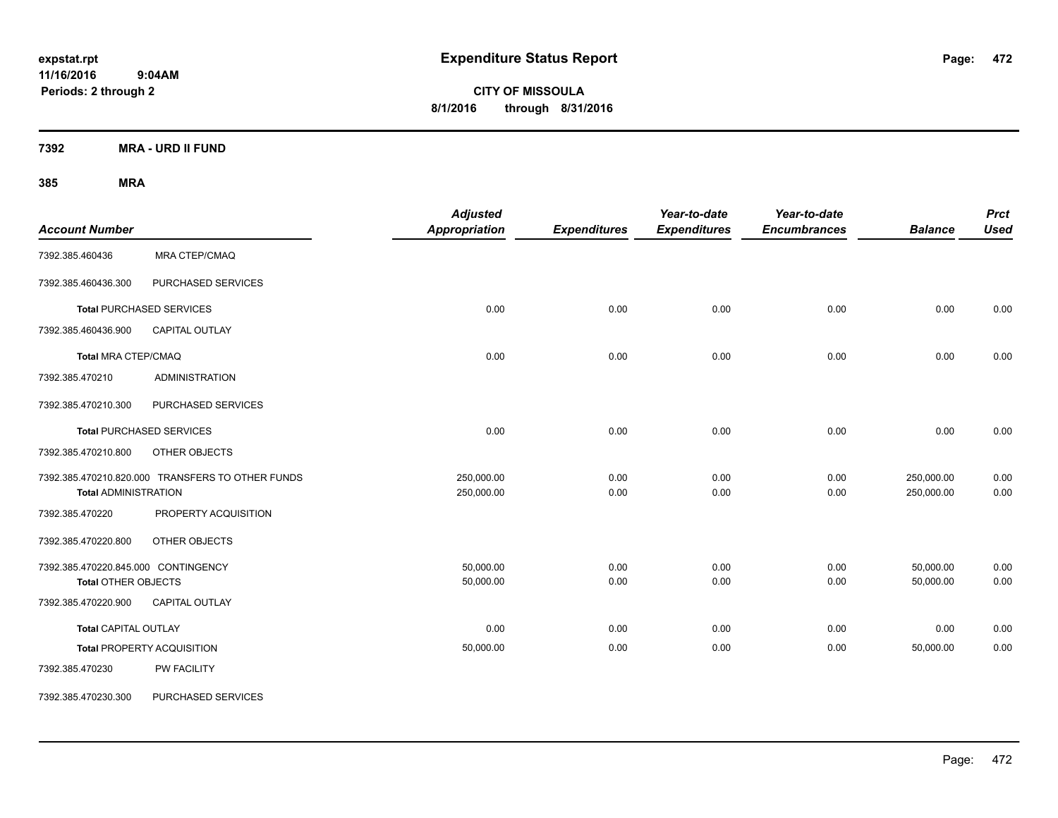**CITY OF MISSOULA 8/1/2016 through 8/31/2016**

**7392 MRA - URD II FUND**

| <b>Account Number</b>                                             |                                                  | <b>Adjusted</b><br>Appropriation | <b>Expenditures</b> | Year-to-date<br><b>Expenditures</b> | Year-to-date<br><b>Encumbrances</b> | <b>Balance</b>           | <b>Prct</b><br><b>Used</b> |
|-------------------------------------------------------------------|--------------------------------------------------|----------------------------------|---------------------|-------------------------------------|-------------------------------------|--------------------------|----------------------------|
| 7392.385.460436                                                   | <b>MRA CTEP/CMAQ</b>                             |                                  |                     |                                     |                                     |                          |                            |
| 7392.385.460436.300                                               | PURCHASED SERVICES                               |                                  |                     |                                     |                                     |                          |                            |
|                                                                   | <b>Total PURCHASED SERVICES</b>                  | 0.00                             | 0.00                | 0.00                                | 0.00                                | 0.00                     | 0.00                       |
| 7392.385.460436.900                                               | <b>CAPITAL OUTLAY</b>                            |                                  |                     |                                     |                                     |                          |                            |
| <b>Total MRA CTEP/CMAQ</b>                                        |                                                  | 0.00                             | 0.00                | 0.00                                | 0.00                                | 0.00                     | 0.00                       |
| 7392.385.470210                                                   | <b>ADMINISTRATION</b>                            |                                  |                     |                                     |                                     |                          |                            |
| 7392.385.470210.300                                               | PURCHASED SERVICES                               |                                  |                     |                                     |                                     |                          |                            |
|                                                                   | <b>Total PURCHASED SERVICES</b>                  | 0.00                             | 0.00                | 0.00                                | 0.00                                | 0.00                     | 0.00                       |
| 7392.385.470210.800                                               | OTHER OBJECTS                                    |                                  |                     |                                     |                                     |                          |                            |
| <b>Total ADMINISTRATION</b>                                       | 7392.385.470210.820.000 TRANSFERS TO OTHER FUNDS | 250,000.00<br>250,000.00         | 0.00<br>0.00        | 0.00<br>0.00                        | 0.00<br>0.00                        | 250,000.00<br>250,000.00 | 0.00<br>0.00               |
| 7392.385.470220                                                   | PROPERTY ACQUISITION                             |                                  |                     |                                     |                                     |                          |                            |
| 7392.385.470220.800                                               | OTHER OBJECTS                                    |                                  |                     |                                     |                                     |                          |                            |
| 7392.385.470220.845.000 CONTINGENCY<br><b>Total OTHER OBJECTS</b> |                                                  | 50,000.00<br>50,000.00           | 0.00<br>0.00        | 0.00<br>0.00                        | 0.00<br>0.00                        | 50,000.00<br>50,000.00   | 0.00<br>0.00               |
| 7392.385.470220.900                                               | <b>CAPITAL OUTLAY</b>                            |                                  |                     |                                     |                                     |                          |                            |
| <b>Total CAPITAL OUTLAY</b>                                       |                                                  | 0.00                             | 0.00                | 0.00                                | 0.00                                | 0.00                     | 0.00                       |
|                                                                   | <b>Total PROPERTY ACQUISITION</b>                | 50,000.00                        | 0.00                | 0.00                                | 0.00                                | 50,000.00                | 0.00                       |
| 7392.385.470230                                                   | PW FACILITY                                      |                                  |                     |                                     |                                     |                          |                            |
| 7392.385.470230.300                                               | PURCHASED SERVICES                               |                                  |                     |                                     |                                     |                          |                            |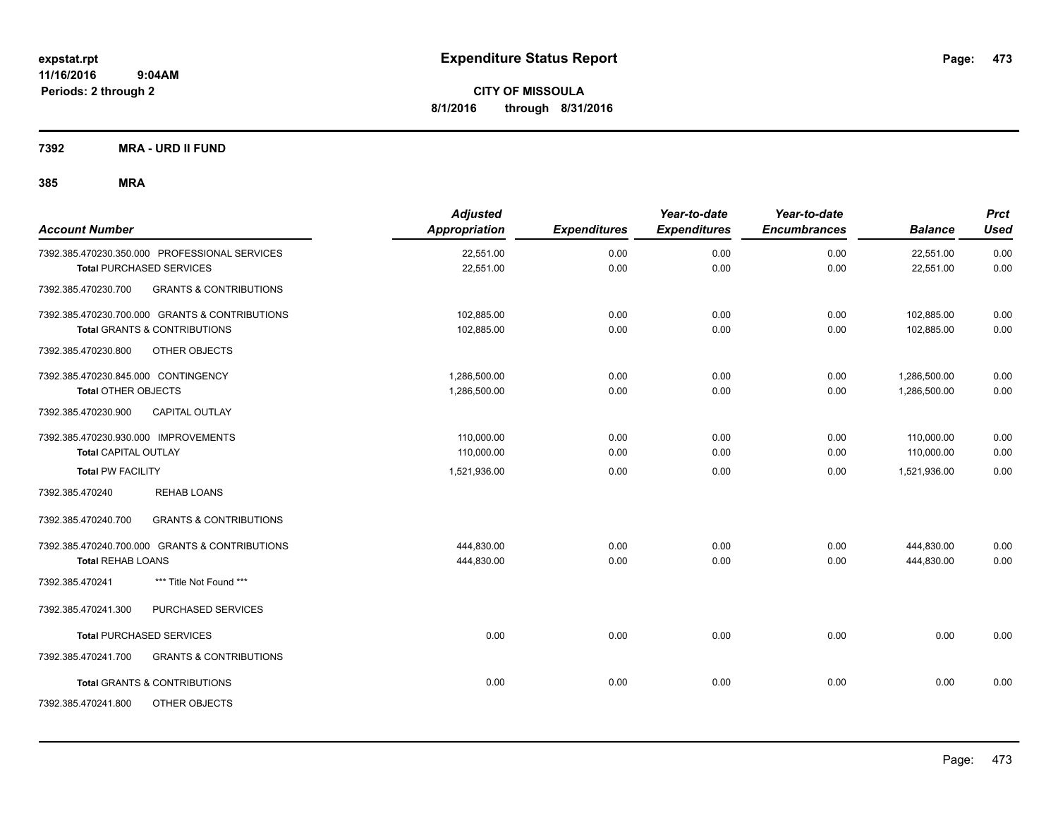**CITY OF MISSOULA 8/1/2016 through 8/31/2016**

**7392 MRA - URD II FUND**

| <b>Account Number</b>                                    | <b>Adjusted</b><br><b>Appropriation</b> | <b>Expenditures</b> | Year-to-date<br><b>Expenditures</b> | Year-to-date<br><b>Encumbrances</b> | <b>Balance</b> | <b>Prct</b><br><b>Used</b> |
|----------------------------------------------------------|-----------------------------------------|---------------------|-------------------------------------|-------------------------------------|----------------|----------------------------|
| 7392.385.470230.350.000 PROFESSIONAL SERVICES            | 22,551.00                               | 0.00                | 0.00                                | 0.00                                | 22,551.00      | 0.00                       |
| <b>Total PURCHASED SERVICES</b>                          | 22,551.00                               | 0.00                | 0.00                                | 0.00                                | 22,551.00      | 0.00                       |
| <b>GRANTS &amp; CONTRIBUTIONS</b><br>7392.385.470230.700 |                                         |                     |                                     |                                     |                |                            |
| 7392.385.470230.700.000 GRANTS & CONTRIBUTIONS           | 102,885.00                              | 0.00                | 0.00                                | 0.00                                | 102,885.00     | 0.00                       |
| <b>Total GRANTS &amp; CONTRIBUTIONS</b>                  | 102,885.00                              | 0.00                | 0.00                                | 0.00                                | 102,885.00     | 0.00                       |
| 7392.385.470230.800<br>OTHER OBJECTS                     |                                         |                     |                                     |                                     |                |                            |
| 7392.385.470230.845.000 CONTINGENCY                      | 1,286,500.00                            | 0.00                | 0.00                                | 0.00                                | 1,286,500.00   | 0.00                       |
| <b>Total OTHER OBJECTS</b>                               | 1,286,500.00                            | 0.00                | 0.00                                | 0.00                                | 1,286,500.00   | 0.00                       |
| 7392.385.470230.900<br><b>CAPITAL OUTLAY</b>             |                                         |                     |                                     |                                     |                |                            |
| 7392.385.470230.930.000 IMPROVEMENTS                     | 110,000.00                              | 0.00                | 0.00                                | 0.00                                | 110,000.00     | 0.00                       |
| Total CAPITAL OUTLAY                                     | 110,000.00                              | 0.00                | 0.00                                | 0.00                                | 110,000.00     | 0.00                       |
| <b>Total PW FACILITY</b>                                 | 1,521,936.00                            | 0.00                | 0.00                                | 0.00                                | 1,521,936.00   | 0.00                       |
| <b>REHAB LOANS</b><br>7392.385.470240                    |                                         |                     |                                     |                                     |                |                            |
| 7392.385.470240.700<br><b>GRANTS &amp; CONTRIBUTIONS</b> |                                         |                     |                                     |                                     |                |                            |
| 7392.385.470240.700.000 GRANTS & CONTRIBUTIONS           | 444,830.00                              | 0.00                | 0.00                                | 0.00                                | 444,830.00     | 0.00                       |
| <b>Total REHAB LOANS</b>                                 | 444,830.00                              | 0.00                | 0.00                                | 0.00                                | 444,830.00     | 0.00                       |
| *** Title Not Found ***<br>7392.385.470241               |                                         |                     |                                     |                                     |                |                            |
| 7392.385.470241.300<br>PURCHASED SERVICES                |                                         |                     |                                     |                                     |                |                            |
| <b>Total PURCHASED SERVICES</b>                          | 0.00                                    | 0.00                | 0.00                                | 0.00                                | 0.00           | 0.00                       |
| 7392.385.470241.700<br><b>GRANTS &amp; CONTRIBUTIONS</b> |                                         |                     |                                     |                                     |                |                            |
| <b>Total GRANTS &amp; CONTRIBUTIONS</b>                  | 0.00                                    | 0.00                | 0.00                                | 0.00                                | 0.00           | 0.00                       |
| 7392.385.470241.800<br>OTHER OBJECTS                     |                                         |                     |                                     |                                     |                |                            |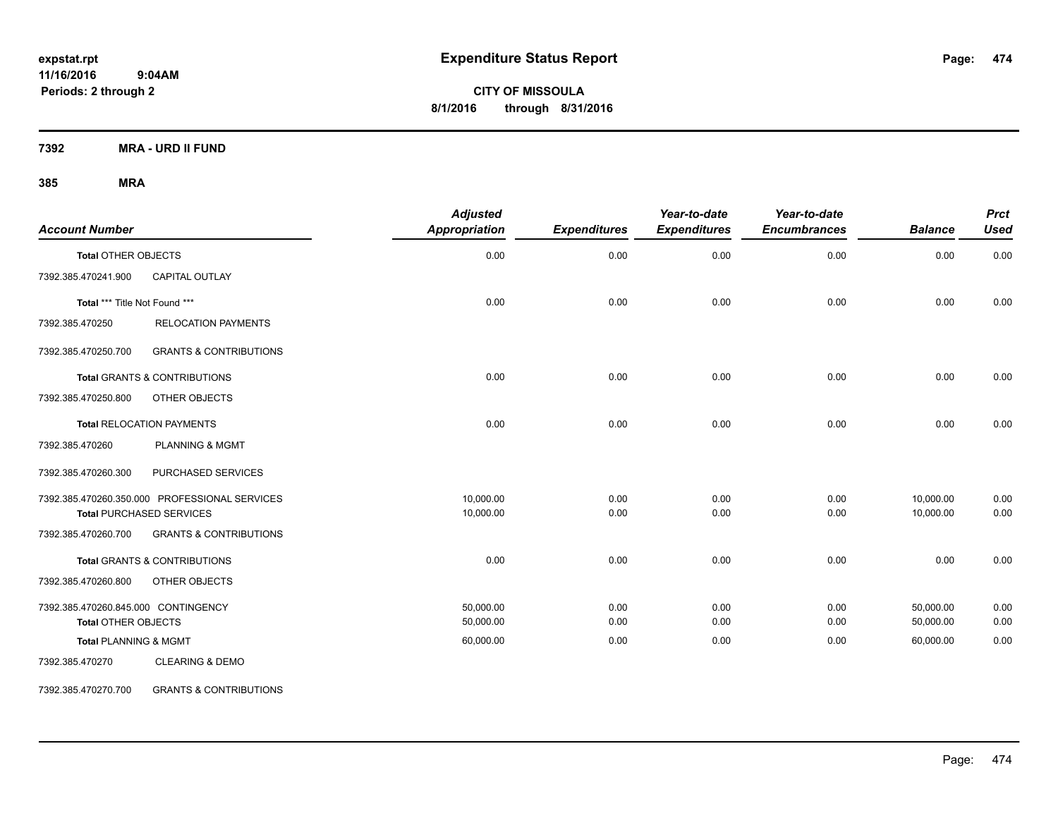**CITY OF MISSOULA 8/1/2016 through 8/31/2016**

**7392 MRA - URD II FUND**

### **385 MRA**

| <b>Account Number</b>               |                                               | <b>Adjusted</b><br>Appropriation | <b>Expenditures</b> | Year-to-date<br><b>Expenditures</b> | Year-to-date<br><b>Encumbrances</b> | <b>Balance</b> | <b>Prct</b><br><b>Used</b> |
|-------------------------------------|-----------------------------------------------|----------------------------------|---------------------|-------------------------------------|-------------------------------------|----------------|----------------------------|
| <b>Total OTHER OBJECTS</b>          |                                               | 0.00                             | 0.00                | 0.00                                | 0.00                                | 0.00           | 0.00                       |
| 7392.385.470241.900                 | CAPITAL OUTLAY                                |                                  |                     |                                     |                                     |                |                            |
| Total *** Title Not Found ***       |                                               | 0.00                             | 0.00                | 0.00                                | 0.00                                | 0.00           | 0.00                       |
| 7392.385.470250                     | <b>RELOCATION PAYMENTS</b>                    |                                  |                     |                                     |                                     |                |                            |
| 7392.385.470250.700                 | <b>GRANTS &amp; CONTRIBUTIONS</b>             |                                  |                     |                                     |                                     |                |                            |
|                                     | <b>Total GRANTS &amp; CONTRIBUTIONS</b>       | 0.00                             | 0.00                | 0.00                                | 0.00                                | 0.00           | 0.00                       |
| 7392.385.470250.800                 | OTHER OBJECTS                                 |                                  |                     |                                     |                                     |                |                            |
|                                     | <b>Total RELOCATION PAYMENTS</b>              | 0.00                             | 0.00                | 0.00                                | 0.00                                | 0.00           | 0.00                       |
| 7392.385.470260                     | <b>PLANNING &amp; MGMT</b>                    |                                  |                     |                                     |                                     |                |                            |
| 7392.385.470260.300                 | PURCHASED SERVICES                            |                                  |                     |                                     |                                     |                |                            |
|                                     | 7392.385.470260.350.000 PROFESSIONAL SERVICES | 10,000.00                        | 0.00                | 0.00                                | 0.00                                | 10,000.00      | 0.00                       |
|                                     | <b>Total PURCHASED SERVICES</b>               | 10,000.00                        | 0.00                | 0.00                                | 0.00                                | 10,000.00      | 0.00                       |
| 7392.385.470260.700                 | <b>GRANTS &amp; CONTRIBUTIONS</b>             |                                  |                     |                                     |                                     |                |                            |
|                                     | Total GRANTS & CONTRIBUTIONS                  | 0.00                             | 0.00                | 0.00                                | 0.00                                | 0.00           | 0.00                       |
| 7392.385.470260.800                 | OTHER OBJECTS                                 |                                  |                     |                                     |                                     |                |                            |
| 7392.385.470260.845.000 CONTINGENCY |                                               | 50.000.00                        | 0.00                | 0.00                                | 0.00                                | 50,000.00      | 0.00                       |
| <b>Total OTHER OBJECTS</b>          |                                               | 50,000.00                        | 0.00                | 0.00                                | 0.00                                | 50,000.00      | 0.00                       |
| <b>Total PLANNING &amp; MGMT</b>    |                                               | 60,000.00                        | 0.00                | 0.00                                | 0.00                                | 60,000.00      | 0.00                       |
| 7392.385.470270                     | <b>CLEARING &amp; DEMO</b>                    |                                  |                     |                                     |                                     |                |                            |

7392.385.470270.700 GRANTS & CONTRIBUTIONS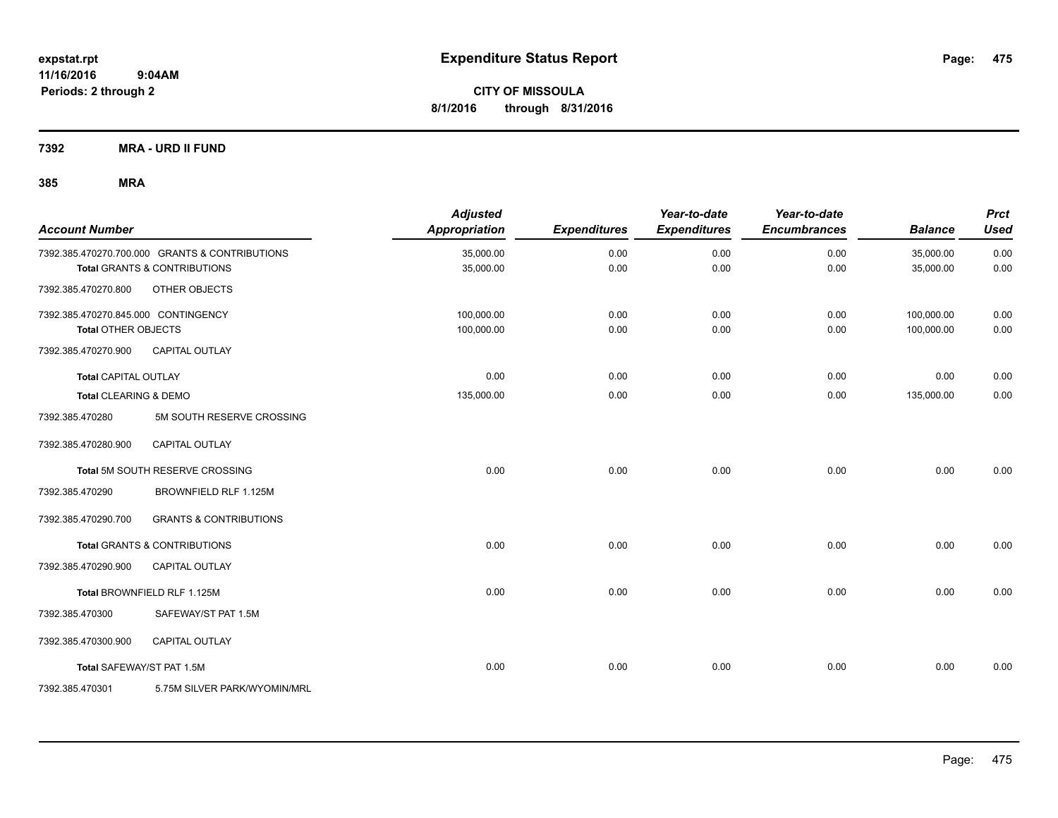**Periods: 2 through 2**

**CITY OF MISSOULA 8/1/2016 through 8/31/2016**

**7392 MRA - URD II FUND**

| <b>Account Number</b>               |                                                | <b>Adjusted</b><br>Appropriation | <b>Expenditures</b> | Year-to-date<br><b>Expenditures</b> | Year-to-date<br><b>Encumbrances</b> | <b>Balance</b> | <b>Prct</b><br><b>Used</b> |
|-------------------------------------|------------------------------------------------|----------------------------------|---------------------|-------------------------------------|-------------------------------------|----------------|----------------------------|
|                                     | 7392.385.470270.700.000 GRANTS & CONTRIBUTIONS | 35,000.00                        | 0.00                | 0.00                                | 0.00                                | 35,000.00      | 0.00                       |
|                                     | Total GRANTS & CONTRIBUTIONS                   | 35,000.00                        | 0.00                | 0.00                                | 0.00                                | 35,000.00      | 0.00                       |
| 7392.385.470270.800                 | OTHER OBJECTS                                  |                                  |                     |                                     |                                     |                |                            |
| 7392.385.470270.845.000 CONTINGENCY |                                                | 100,000.00                       | 0.00                | 0.00                                | 0.00                                | 100,000.00     | 0.00                       |
| <b>Total OTHER OBJECTS</b>          |                                                | 100,000.00                       | 0.00                | 0.00                                | 0.00                                | 100,000.00     | 0.00                       |
| 7392.385.470270.900                 | <b>CAPITAL OUTLAY</b>                          |                                  |                     |                                     |                                     |                |                            |
| <b>Total CAPITAL OUTLAY</b>         |                                                | 0.00                             | 0.00                | 0.00                                | 0.00                                | 0.00           | 0.00                       |
| Total CLEARING & DEMO               |                                                | 135,000.00                       | 0.00                | 0.00                                | 0.00                                | 135,000.00     | 0.00                       |
| 7392.385.470280                     | 5M SOUTH RESERVE CROSSING                      |                                  |                     |                                     |                                     |                |                            |
| 7392.385.470280.900                 | CAPITAL OUTLAY                                 |                                  |                     |                                     |                                     |                |                            |
|                                     | Total 5M SOUTH RESERVE CROSSING                | 0.00                             | 0.00                | 0.00                                | 0.00                                | 0.00           | 0.00                       |
| 7392.385.470290                     | BROWNFIELD RLF 1.125M                          |                                  |                     |                                     |                                     |                |                            |
| 7392.385.470290.700                 | <b>GRANTS &amp; CONTRIBUTIONS</b>              |                                  |                     |                                     |                                     |                |                            |
|                                     | <b>Total GRANTS &amp; CONTRIBUTIONS</b>        | 0.00                             | 0.00                | 0.00                                | 0.00                                | 0.00           | 0.00                       |
| 7392.385.470290.900                 | <b>CAPITAL OUTLAY</b>                          |                                  |                     |                                     |                                     |                |                            |
|                                     | Total BROWNFIELD RLF 1.125M                    | 0.00                             | 0.00                | 0.00                                | 0.00                                | 0.00           | 0.00                       |
| 7392.385.470300                     | SAFEWAY/ST PAT 1.5M                            |                                  |                     |                                     |                                     |                |                            |
| 7392.385.470300.900                 | <b>CAPITAL OUTLAY</b>                          |                                  |                     |                                     |                                     |                |                            |
| Total SAFEWAY/ST PAT 1.5M           |                                                | 0.00                             | 0.00                | 0.00                                | 0.00                                | 0.00           | 0.00                       |
| 7392.385.470301                     | 5.75M SILVER PARK/WYOMIN/MRL                   |                                  |                     |                                     |                                     |                |                            |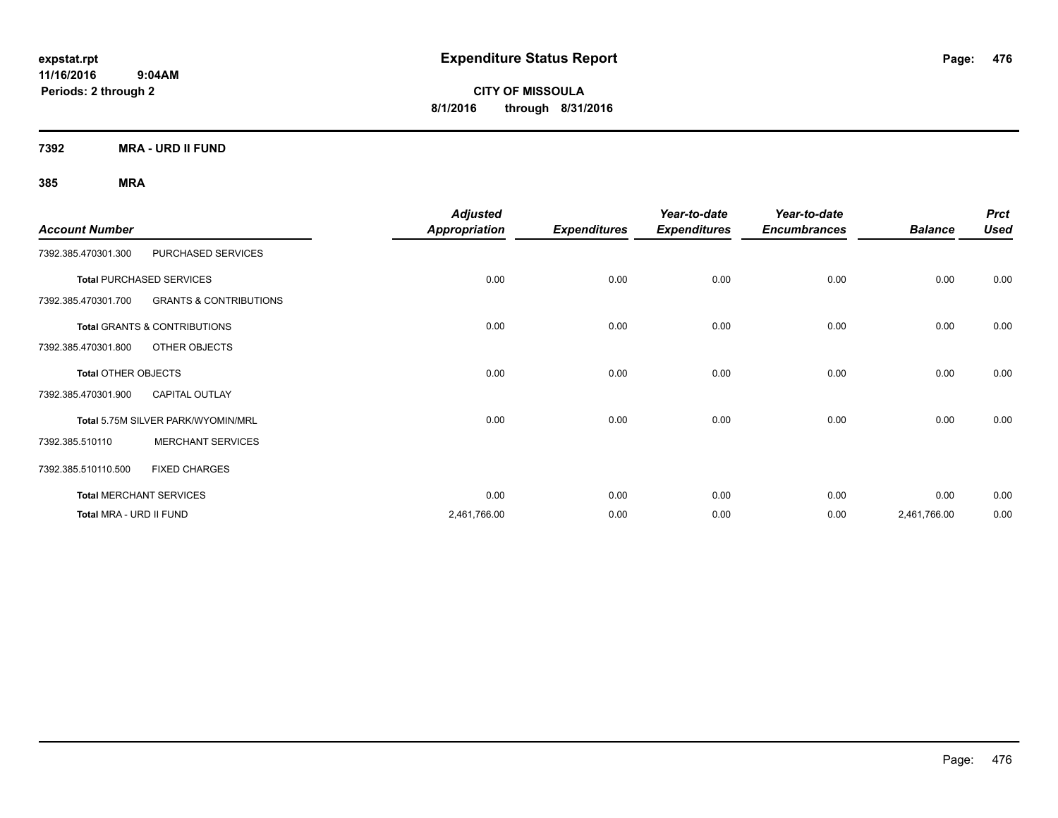**CITY OF MISSOULA 8/1/2016 through 8/31/2016**

**7392 MRA - URD II FUND**

|                            |                                    | <b>Adjusted</b>      |                     | Year-to-date        | Year-to-date        |                | <b>Prct</b> |
|----------------------------|------------------------------------|----------------------|---------------------|---------------------|---------------------|----------------|-------------|
| <b>Account Number</b>      |                                    | <b>Appropriation</b> | <b>Expenditures</b> | <b>Expenditures</b> | <b>Encumbrances</b> | <b>Balance</b> | <b>Used</b> |
| 7392.385.470301.300        | PURCHASED SERVICES                 |                      |                     |                     |                     |                |             |
|                            | <b>Total PURCHASED SERVICES</b>    | 0.00                 | 0.00                | 0.00                | 0.00                | 0.00           | 0.00        |
| 7392.385.470301.700        | <b>GRANTS &amp; CONTRIBUTIONS</b>  |                      |                     |                     |                     |                |             |
|                            | Total GRANTS & CONTRIBUTIONS       | 0.00                 | 0.00                | 0.00                | 0.00                | 0.00           | 0.00        |
| 7392.385.470301.800        | OTHER OBJECTS                      |                      |                     |                     |                     |                |             |
| <b>Total OTHER OBJECTS</b> |                                    | 0.00                 | 0.00                | 0.00                | 0.00                | 0.00           | 0.00        |
| 7392.385.470301.900        | <b>CAPITAL OUTLAY</b>              |                      |                     |                     |                     |                |             |
|                            | Total 5.75M SILVER PARK/WYOMIN/MRL | 0.00                 | 0.00                | 0.00                | 0.00                | 0.00           | 0.00        |
| 7392.385.510110            | <b>MERCHANT SERVICES</b>           |                      |                     |                     |                     |                |             |
| 7392.385.510110.500        | <b>FIXED CHARGES</b>               |                      |                     |                     |                     |                |             |
|                            | <b>Total MERCHANT SERVICES</b>     | 0.00                 | 0.00                | 0.00                | 0.00                | 0.00           | 0.00        |
| Total MRA - URD II FUND    |                                    | 2,461,766.00         | 0.00                | 0.00                | 0.00                | 2,461,766.00   | 0.00        |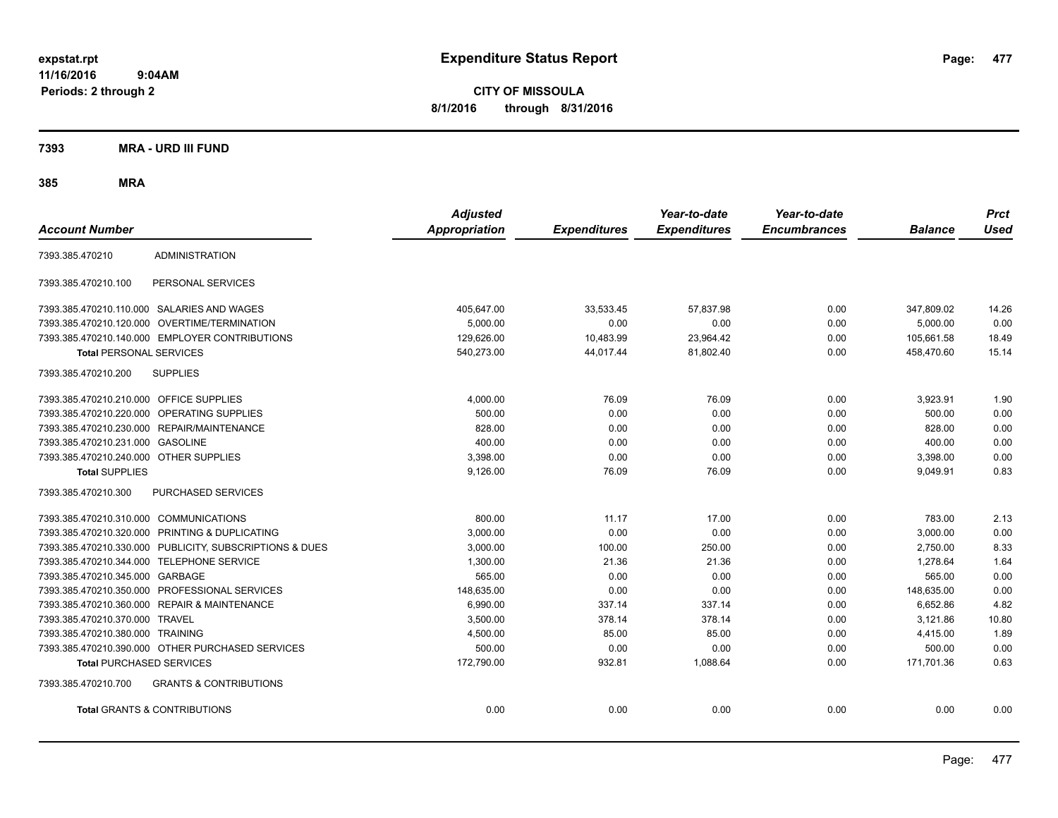**CITY OF MISSOULA 8/1/2016 through 8/31/2016**

### **7393 MRA - URD III FUND**

|                                                          | <b>Adjusted</b>      |                     | Year-to-date        | Year-to-date        |                | <b>Prct</b> |
|----------------------------------------------------------|----------------------|---------------------|---------------------|---------------------|----------------|-------------|
| <b>Account Number</b>                                    | <b>Appropriation</b> | <b>Expenditures</b> | <b>Expenditures</b> | <b>Encumbrances</b> | <b>Balance</b> | <b>Used</b> |
| <b>ADMINISTRATION</b><br>7393.385.470210                 |                      |                     |                     |                     |                |             |
| 7393.385.470210.100<br>PERSONAL SERVICES                 |                      |                     |                     |                     |                |             |
| 7393.385.470210.110.000 SALARIES AND WAGES               | 405,647.00           | 33,533.45           | 57,837.98           | 0.00                | 347,809.02     | 14.26       |
| 7393.385.470210.120.000<br>OVERTIME/TERMINATION          | 5,000.00             | 0.00                | 0.00                | 0.00                | 5,000.00       | 0.00        |
| 7393.385.470210.140.000 EMPLOYER CONTRIBUTIONS           | 129,626.00           | 10,483.99           | 23,964.42           | 0.00                | 105,661.58     | 18.49       |
| <b>Total PERSONAL SERVICES</b>                           | 540,273.00           | 44,017.44           | 81,802.40           | 0.00                | 458,470.60     | 15.14       |
| 7393.385.470210.200<br><b>SUPPLIES</b>                   |                      |                     |                     |                     |                |             |
| 7393.385.470210.210.000 OFFICE SUPPLIES                  | 4,000.00             | 76.09               | 76.09               | 0.00                | 3,923.91       | 1.90        |
| 7393.385.470210.220.000 OPERATING SUPPLIES               | 500.00               | 0.00                | 0.00                | 0.00                | 500.00         | 0.00        |
| 7393.385.470210.230.000 REPAIR/MAINTENANCE               | 828.00               | 0.00                | 0.00                | 0.00                | 828.00         | 0.00        |
| 7393.385.470210.231.000 GASOLINE                         | 400.00               | 0.00                | 0.00                | 0.00                | 400.00         | 0.00        |
| 7393.385.470210.240.000 OTHER SUPPLIES                   | 3,398.00             | 0.00                | 0.00                | 0.00                | 3,398.00       | 0.00        |
| <b>Total SUPPLIES</b>                                    | 9,126.00             | 76.09               | 76.09               | 0.00                | 9,049.91       | 0.83        |
| 7393.385.470210.300<br>PURCHASED SERVICES                |                      |                     |                     |                     |                |             |
| 7393.385.470210.310.000 COMMUNICATIONS                   | 800.00               | 11.17               | 17.00               | 0.00                | 783.00         | 2.13        |
| 7393.385.470210.320.000 PRINTING & DUPLICATING           | 3,000.00             | 0.00                | 0.00                | 0.00                | 3,000.00       | 0.00        |
| 7393.385.470210.330.000 PUBLICITY, SUBSCRIPTIONS & DUES  | 3,000.00             | 100.00              | 250.00              | 0.00                | 2,750.00       | 8.33        |
| 7393.385.470210.344.000 TELEPHONE SERVICE                | 1,300.00             | 21.36               | 21.36               | 0.00                | 1,278.64       | 1.64        |
| 7393.385.470210.345.000 GARBAGE                          | 565.00               | 0.00                | 0.00                | 0.00                | 565.00         | 0.00        |
| 7393.385.470210.350.000 PROFESSIONAL SERVICES            | 148,635.00           | 0.00                | 0.00                | 0.00                | 148,635.00     | 0.00        |
| 7393.385.470210.360.000 REPAIR & MAINTENANCE             | 6,990.00             | 337.14              | 337.14              | 0.00                | 6,652.86       | 4.82        |
| 7393.385.470210.370.000 TRAVEL                           | 3,500.00             | 378.14              | 378.14              | 0.00                | 3,121.86       | 10.80       |
| 7393.385.470210.380.000 TRAINING                         | 4,500.00             | 85.00               | 85.00               | 0.00                | 4,415.00       | 1.89        |
| 7393.385.470210.390.000 OTHER PURCHASED SERVICES         | 500.00               | 0.00                | 0.00                | 0.00                | 500.00         | 0.00        |
| <b>Total PURCHASED SERVICES</b>                          | 172,790.00           | 932.81              | 1,088.64            | 0.00                | 171,701.36     | 0.63        |
| 7393.385.470210.700<br><b>GRANTS &amp; CONTRIBUTIONS</b> |                      |                     |                     |                     |                |             |
| Total GRANTS & CONTRIBUTIONS                             | 0.00                 | 0.00                | 0.00                | 0.00                | 0.00           | 0.00        |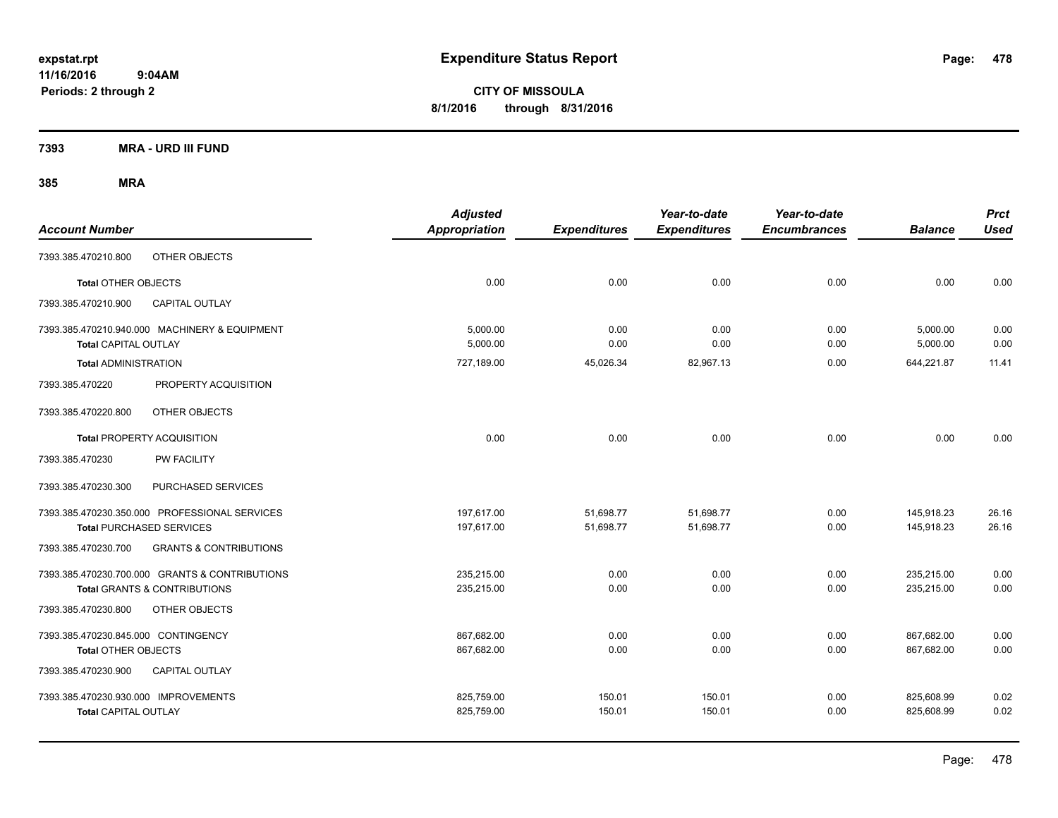**CITY OF MISSOULA 8/1/2016 through 8/31/2016**

**7393 MRA - URD III FUND**

| <b>Account Number</b>                |                                                | <b>Adjusted</b><br>Appropriation | <b>Expenditures</b> | Year-to-date<br><b>Expenditures</b> | Year-to-date<br><b>Encumbrances</b> | <b>Balance</b>       | <b>Prct</b><br><b>Used</b> |
|--------------------------------------|------------------------------------------------|----------------------------------|---------------------|-------------------------------------|-------------------------------------|----------------------|----------------------------|
| 7393.385.470210.800                  | OTHER OBJECTS                                  |                                  |                     |                                     |                                     |                      |                            |
| <b>Total OTHER OBJECTS</b>           |                                                | 0.00                             | 0.00                | 0.00                                | 0.00                                | 0.00                 | 0.00                       |
| 7393.385.470210.900                  | <b>CAPITAL OUTLAY</b>                          |                                  |                     |                                     |                                     |                      |                            |
| Total CAPITAL OUTLAY                 | 7393.385.470210.940.000 MACHINERY & EQUIPMENT  | 5,000.00<br>5,000.00             | 0.00<br>0.00        | 0.00<br>0.00                        | 0.00<br>0.00                        | 5,000.00<br>5,000.00 | 0.00<br>0.00               |
| <b>Total ADMINISTRATION</b>          |                                                | 727,189.00                       | 45,026.34           | 82,967.13                           | 0.00                                | 644,221.87           | 11.41                      |
| 7393.385.470220                      | PROPERTY ACQUISITION                           |                                  |                     |                                     |                                     |                      |                            |
| 7393.385.470220.800                  | OTHER OBJECTS                                  |                                  |                     |                                     |                                     |                      |                            |
|                                      | Total PROPERTY ACQUISITION                     | 0.00                             | 0.00                | 0.00                                | 0.00                                | 0.00                 | 0.00                       |
| 7393.385.470230                      | PW FACILITY                                    |                                  |                     |                                     |                                     |                      |                            |
| 7393.385.470230.300                  | PURCHASED SERVICES                             |                                  |                     |                                     |                                     |                      |                            |
|                                      | 7393.385.470230.350.000 PROFESSIONAL SERVICES  | 197,617.00                       | 51,698.77           | 51,698.77                           | 0.00                                | 145,918.23           | 26.16                      |
|                                      | <b>Total PURCHASED SERVICES</b>                | 197,617.00                       | 51,698.77           | 51,698.77                           | 0.00                                | 145,918.23           | 26.16                      |
| 7393.385.470230.700                  | <b>GRANTS &amp; CONTRIBUTIONS</b>              |                                  |                     |                                     |                                     |                      |                            |
|                                      | 7393.385.470230.700.000 GRANTS & CONTRIBUTIONS | 235,215.00                       | 0.00                | 0.00                                | 0.00                                | 235,215.00           | 0.00                       |
|                                      | Total GRANTS & CONTRIBUTIONS                   | 235,215.00                       | 0.00                | 0.00                                | 0.00                                | 235,215.00           | 0.00                       |
| 7393.385.470230.800                  | OTHER OBJECTS                                  |                                  |                     |                                     |                                     |                      |                            |
| 7393.385.470230.845.000 CONTINGENCY  |                                                | 867,682.00                       | 0.00                | 0.00                                | 0.00                                | 867,682.00           | 0.00                       |
| <b>Total OTHER OBJECTS</b>           |                                                | 867,682.00                       | 0.00                | 0.00                                | 0.00                                | 867,682.00           | 0.00                       |
| 7393.385.470230.900                  | <b>CAPITAL OUTLAY</b>                          |                                  |                     |                                     |                                     |                      |                            |
| 7393.385.470230.930.000 IMPROVEMENTS |                                                | 825,759.00                       | 150.01              | 150.01                              | 0.00                                | 825,608.99           | 0.02                       |
| <b>Total CAPITAL OUTLAY</b>          |                                                | 825,759.00                       | 150.01              | 150.01                              | 0.00                                | 825,608.99           | 0.02                       |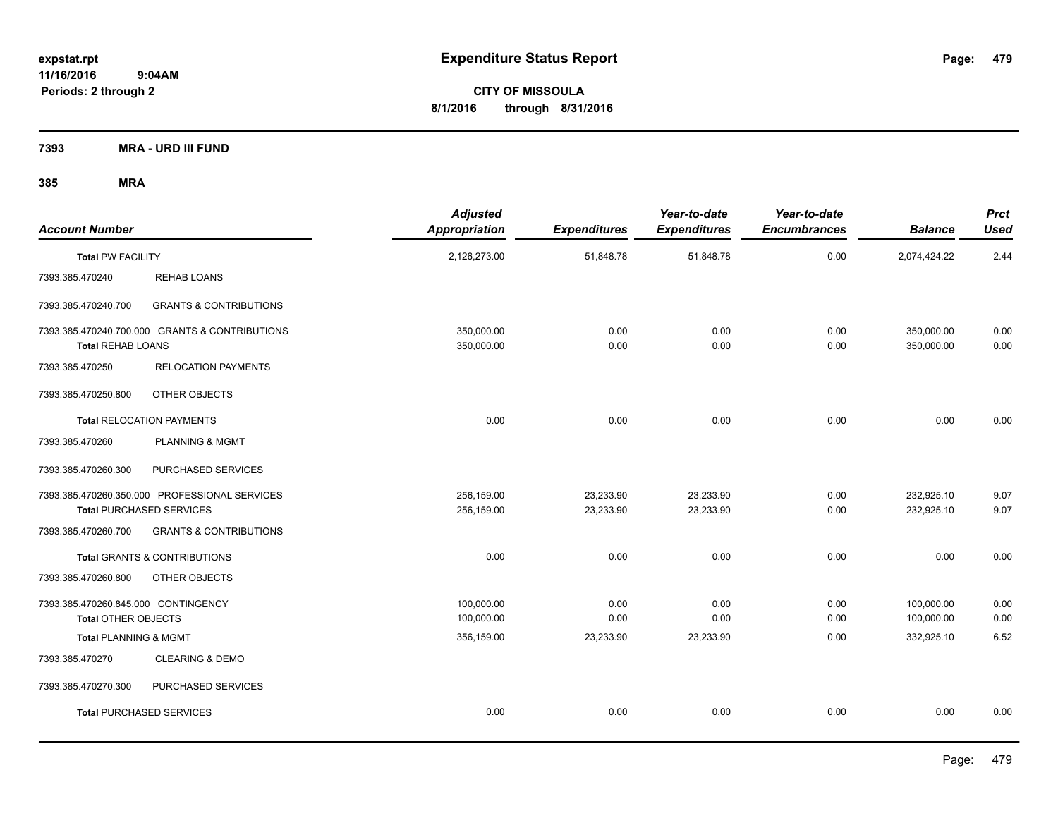**CITY OF MISSOULA 8/1/2016 through 8/31/2016**

**7393 MRA - URD III FUND**

| <b>Account Number</b>                                             |                                                                                  | <b>Adjusted</b><br>Appropriation | <b>Expenditures</b>    | Year-to-date<br><b>Expenditures</b> | Year-to-date<br><b>Encumbrances</b> | <b>Balance</b>           | <b>Prct</b><br><b>Used</b> |
|-------------------------------------------------------------------|----------------------------------------------------------------------------------|----------------------------------|------------------------|-------------------------------------|-------------------------------------|--------------------------|----------------------------|
| <b>Total PW FACILITY</b>                                          |                                                                                  | 2,126,273.00                     | 51,848.78              | 51,848.78                           | 0.00                                | 2,074,424.22             | 2.44                       |
| 7393.385.470240                                                   | <b>REHAB LOANS</b>                                                               |                                  |                        |                                     |                                     |                          |                            |
| 7393.385.470240.700                                               | <b>GRANTS &amp; CONTRIBUTIONS</b>                                                |                                  |                        |                                     |                                     |                          |                            |
| <b>Total REHAB LOANS</b>                                          | 7393.385.470240.700.000 GRANTS & CONTRIBUTIONS                                   | 350,000.00<br>350,000.00         | 0.00<br>0.00           | 0.00<br>0.00                        | 0.00<br>0.00                        | 350,000.00<br>350,000.00 | 0.00<br>0.00               |
| 7393.385.470250                                                   | <b>RELOCATION PAYMENTS</b>                                                       |                                  |                        |                                     |                                     |                          |                            |
| 7393.385.470250.800                                               | OTHER OBJECTS                                                                    |                                  |                        |                                     |                                     |                          |                            |
|                                                                   | <b>Total RELOCATION PAYMENTS</b>                                                 | 0.00                             | 0.00                   | 0.00                                | 0.00                                | 0.00                     | 0.00                       |
| 7393.385.470260                                                   | <b>PLANNING &amp; MGMT</b>                                                       |                                  |                        |                                     |                                     |                          |                            |
| 7393.385.470260.300                                               | PURCHASED SERVICES                                                               |                                  |                        |                                     |                                     |                          |                            |
|                                                                   | 7393.385.470260.350.000 PROFESSIONAL SERVICES<br><b>Total PURCHASED SERVICES</b> | 256,159.00<br>256,159.00         | 23,233.90<br>23,233.90 | 23,233.90<br>23,233.90              | 0.00<br>0.00                        | 232,925.10<br>232,925.10 | 9.07<br>9.07               |
| 7393.385.470260.700                                               | <b>GRANTS &amp; CONTRIBUTIONS</b>                                                |                                  |                        |                                     |                                     |                          |                            |
|                                                                   | <b>Total GRANTS &amp; CONTRIBUTIONS</b>                                          | 0.00                             | 0.00                   | 0.00                                | 0.00                                | 0.00                     | 0.00                       |
| 7393.385.470260.800                                               | OTHER OBJECTS                                                                    |                                  |                        |                                     |                                     |                          |                            |
| 7393.385.470260.845.000 CONTINGENCY<br><b>Total OTHER OBJECTS</b> |                                                                                  | 100,000.00<br>100,000.00         | 0.00<br>0.00           | 0.00<br>0.00                        | 0.00<br>0.00                        | 100,000.00<br>100,000.00 | 0.00<br>0.00               |
| Total PLANNING & MGMT                                             |                                                                                  | 356,159.00                       | 23,233.90              | 23,233.90                           | 0.00                                | 332,925.10               | 6.52                       |
| 7393.385.470270                                                   | <b>CLEARING &amp; DEMO</b>                                                       |                                  |                        |                                     |                                     |                          |                            |
| 7393.385.470270.300                                               | PURCHASED SERVICES                                                               |                                  |                        |                                     |                                     |                          |                            |
|                                                                   | <b>Total PURCHASED SERVICES</b>                                                  | 0.00                             | 0.00                   | 0.00                                | 0.00                                | 0.00                     | 0.00                       |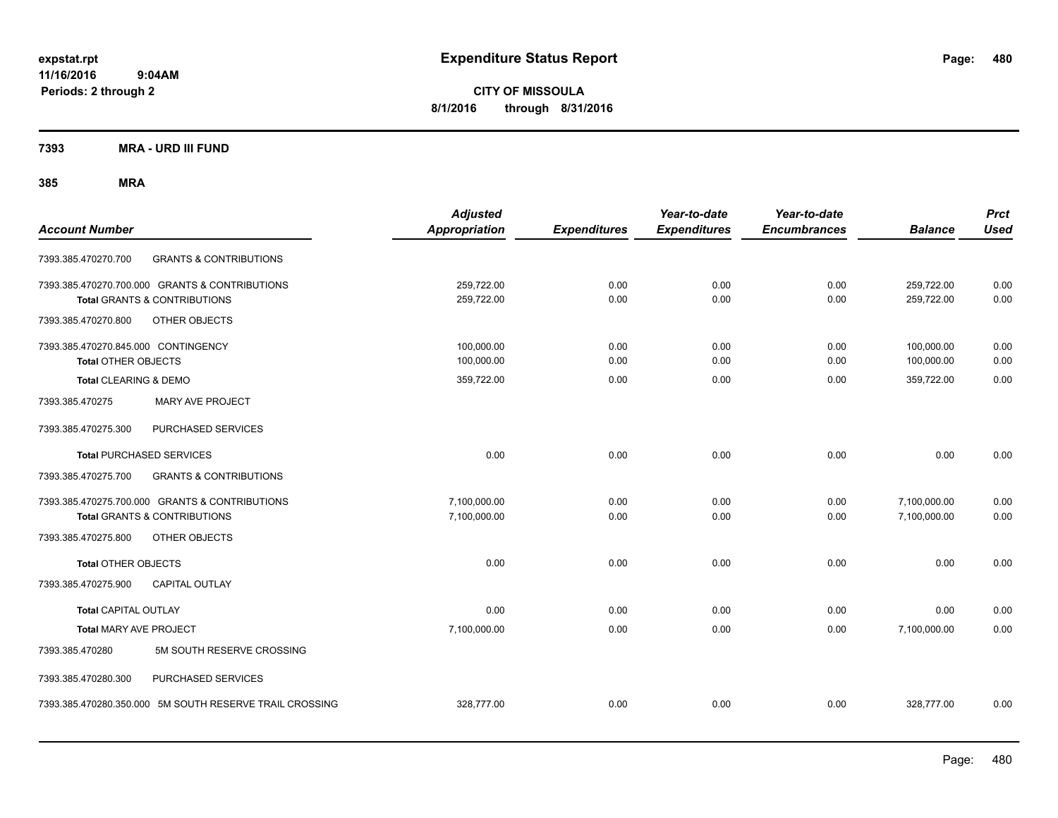**CITY OF MISSOULA 8/1/2016 through 8/31/2016**

**7393 MRA - URD III FUND**

|                                                          | <b>Adjusted</b>      |                     | Year-to-date        | Year-to-date        |                | <b>Prct</b> |
|----------------------------------------------------------|----------------------|---------------------|---------------------|---------------------|----------------|-------------|
| <b>Account Number</b>                                    | <b>Appropriation</b> | <b>Expenditures</b> | <b>Expenditures</b> | <b>Encumbrances</b> | <b>Balance</b> | <b>Used</b> |
| <b>GRANTS &amp; CONTRIBUTIONS</b><br>7393.385.470270.700 |                      |                     |                     |                     |                |             |
| 7393.385.470270.700.000 GRANTS & CONTRIBUTIONS           | 259,722.00           | 0.00                | 0.00                | 0.00                | 259,722.00     | 0.00        |
| <b>Total GRANTS &amp; CONTRIBUTIONS</b>                  | 259,722.00           | 0.00                | 0.00                | 0.00                | 259,722.00     | 0.00        |
| 7393.385.470270.800<br>OTHER OBJECTS                     |                      |                     |                     |                     |                |             |
| 7393.385.470270.845.000 CONTINGENCY                      | 100,000.00           | 0.00                | 0.00                | 0.00                | 100,000.00     | 0.00        |
| <b>Total OTHER OBJECTS</b>                               | 100,000.00           | 0.00                | 0.00                | 0.00                | 100,000.00     | 0.00        |
| Total CLEARING & DEMO                                    | 359,722.00           | 0.00                | 0.00                | 0.00                | 359,722.00     | 0.00        |
| <b>MARY AVE PROJECT</b><br>7393.385.470275               |                      |                     |                     |                     |                |             |
| 7393.385.470275.300<br>PURCHASED SERVICES                |                      |                     |                     |                     |                |             |
| <b>Total PURCHASED SERVICES</b>                          | 0.00                 | 0.00                | 0.00                | 0.00                | 0.00           | 0.00        |
| <b>GRANTS &amp; CONTRIBUTIONS</b><br>7393.385.470275.700 |                      |                     |                     |                     |                |             |
| 7393.385.470275.700.000 GRANTS & CONTRIBUTIONS           | 7,100,000.00         | 0.00                | 0.00                | 0.00                | 7,100,000.00   | 0.00        |
| <b>Total GRANTS &amp; CONTRIBUTIONS</b>                  | 7,100,000.00         | 0.00                | 0.00                | 0.00                | 7,100,000.00   | 0.00        |
| OTHER OBJECTS<br>7393.385.470275.800                     |                      |                     |                     |                     |                |             |
| <b>Total OTHER OBJECTS</b>                               | 0.00                 | 0.00                | 0.00                | 0.00                | 0.00           | 0.00        |
| 7393.385.470275.900<br><b>CAPITAL OUTLAY</b>             |                      |                     |                     |                     |                |             |
| <b>Total CAPITAL OUTLAY</b>                              | 0.00                 | 0.00                | 0.00                | 0.00                | 0.00           | 0.00        |
| Total MARY AVE PROJECT                                   | 7,100,000.00         | 0.00                | 0.00                | 0.00                | 7,100,000.00   | 0.00        |
| 5M SOUTH RESERVE CROSSING<br>7393.385.470280             |                      |                     |                     |                     |                |             |
| 7393.385.470280.300<br>PURCHASED SERVICES                |                      |                     |                     |                     |                |             |
| 7393.385.470280.350.000 5M SOUTH RESERVE TRAIL CROSSING  | 328,777.00           | 0.00                | 0.00                | 0.00                | 328,777.00     | 0.00        |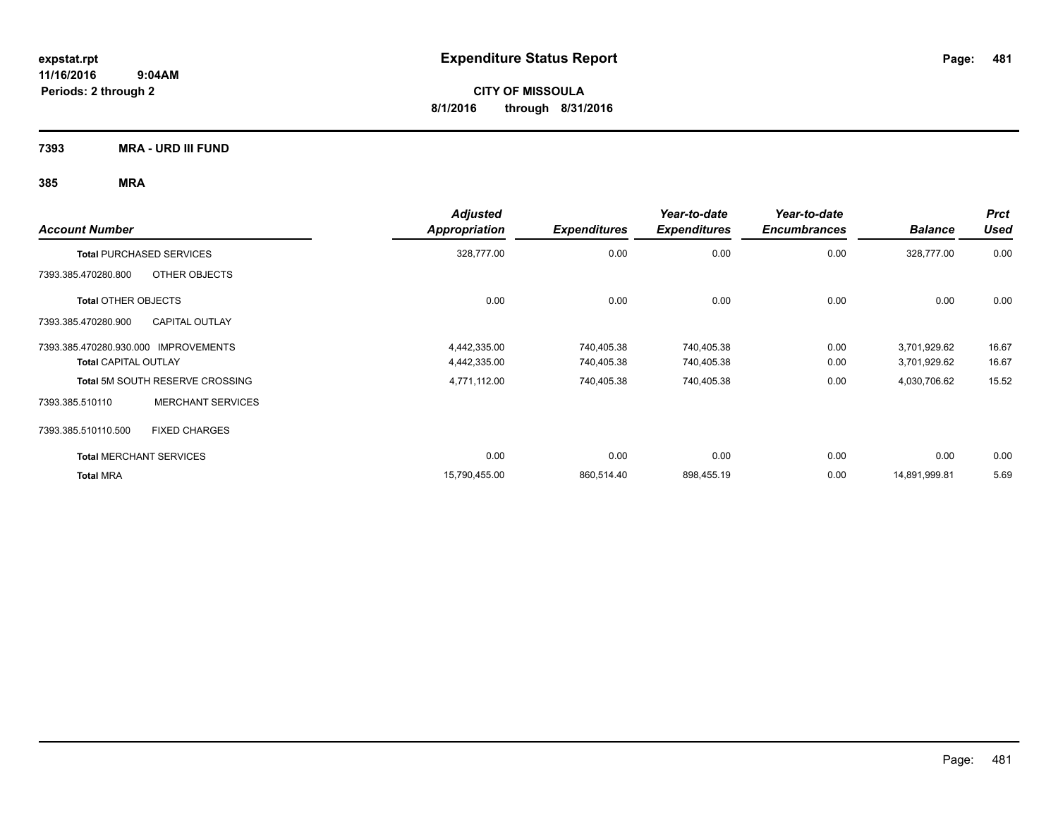**CITY OF MISSOULA 8/1/2016 through 8/31/2016**

**7393 MRA - URD III FUND**

| <b>Account Number</b>                        | <b>Adjusted</b><br><b>Appropriation</b> | <b>Expenditures</b> | Year-to-date<br><b>Expenditures</b> | Year-to-date<br><b>Encumbrances</b> | <b>Balance</b> | <b>Prct</b><br><b>Used</b> |
|----------------------------------------------|-----------------------------------------|---------------------|-------------------------------------|-------------------------------------|----------------|----------------------------|
| <b>Total PURCHASED SERVICES</b>              | 328,777.00                              | 0.00                | 0.00                                | 0.00                                | 328,777.00     | 0.00                       |
| 7393.385.470280.800<br>OTHER OBJECTS         |                                         |                     |                                     |                                     |                |                            |
| <b>Total OTHER OBJECTS</b>                   | 0.00                                    | 0.00                | 0.00                                | 0.00                                | 0.00           | 0.00                       |
| 7393.385.470280.900<br><b>CAPITAL OUTLAY</b> |                                         |                     |                                     |                                     |                |                            |
| 7393.385.470280.930.000 IMPROVEMENTS         | 4,442,335.00                            | 740,405.38          | 740,405.38                          | 0.00                                | 3,701,929.62   | 16.67                      |
| <b>Total CAPITAL OUTLAY</b>                  | 4,442,335.00                            | 740,405.38          | 740,405.38                          | 0.00                                | 3,701,929.62   | 16.67                      |
| <b>Total 5M SOUTH RESERVE CROSSING</b>       | 4,771,112.00                            | 740,405.38          | 740,405.38                          | 0.00                                | 4,030,706.62   | 15.52                      |
| <b>MERCHANT SERVICES</b><br>7393.385.510110  |                                         |                     |                                     |                                     |                |                            |
| <b>FIXED CHARGES</b><br>7393.385.510110.500  |                                         |                     |                                     |                                     |                |                            |
| <b>Total MERCHANT SERVICES</b>               | 0.00                                    | 0.00                | 0.00                                | 0.00                                | 0.00           | 0.00                       |
| <b>Total MRA</b>                             | 15,790,455.00                           | 860,514.40          | 898,455.19                          | 0.00                                | 14,891,999.81  | 5.69                       |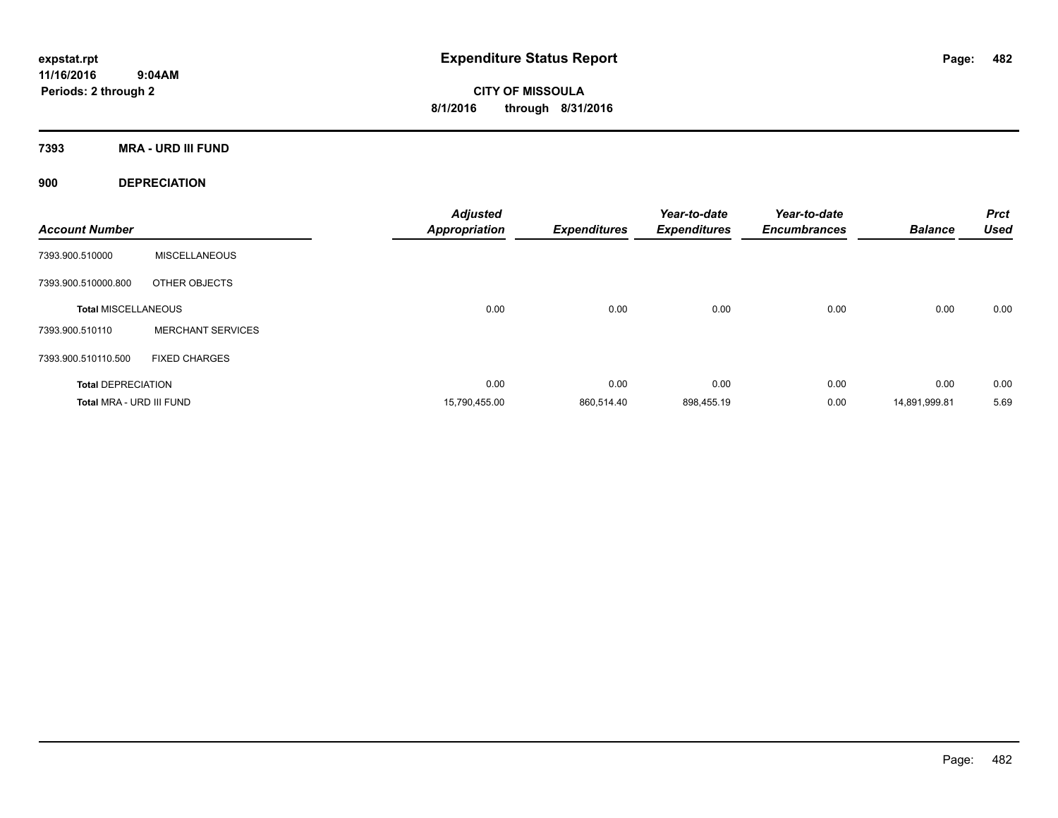**CITY OF MISSOULA 8/1/2016 through 8/31/2016**

**7393 MRA - URD III FUND**

**900 DEPRECIATION**

| <b>Account Number</b>      |                          | <b>Adjusted</b><br><b>Appropriation</b> | <b>Expenditures</b> | Year-to-date<br><b>Expenditures</b> | Year-to-date<br><b>Encumbrances</b> | <b>Balance</b> | <b>Prct</b><br><b>Used</b> |
|----------------------------|--------------------------|-----------------------------------------|---------------------|-------------------------------------|-------------------------------------|----------------|----------------------------|
| 7393.900.510000            | <b>MISCELLANEOUS</b>     |                                         |                     |                                     |                                     |                |                            |
| 7393.900.510000.800        | OTHER OBJECTS            |                                         |                     |                                     |                                     |                |                            |
| <b>Total MISCELLANEOUS</b> |                          | 0.00                                    | 0.00                | 0.00                                | 0.00                                | 0.00           | 0.00                       |
| 7393.900.510110            | <b>MERCHANT SERVICES</b> |                                         |                     |                                     |                                     |                |                            |
| 7393.900.510110.500        | <b>FIXED CHARGES</b>     |                                         |                     |                                     |                                     |                |                            |
| <b>Total DEPRECIATION</b>  |                          | 0.00                                    | 0.00                | 0.00                                | 0.00                                | 0.00           | 0.00                       |
| Total MRA - URD III FUND   |                          | 15,790,455.00                           | 860,514.40          | 898,455.19                          | 0.00                                | 14,891,999.81  | 5.69                       |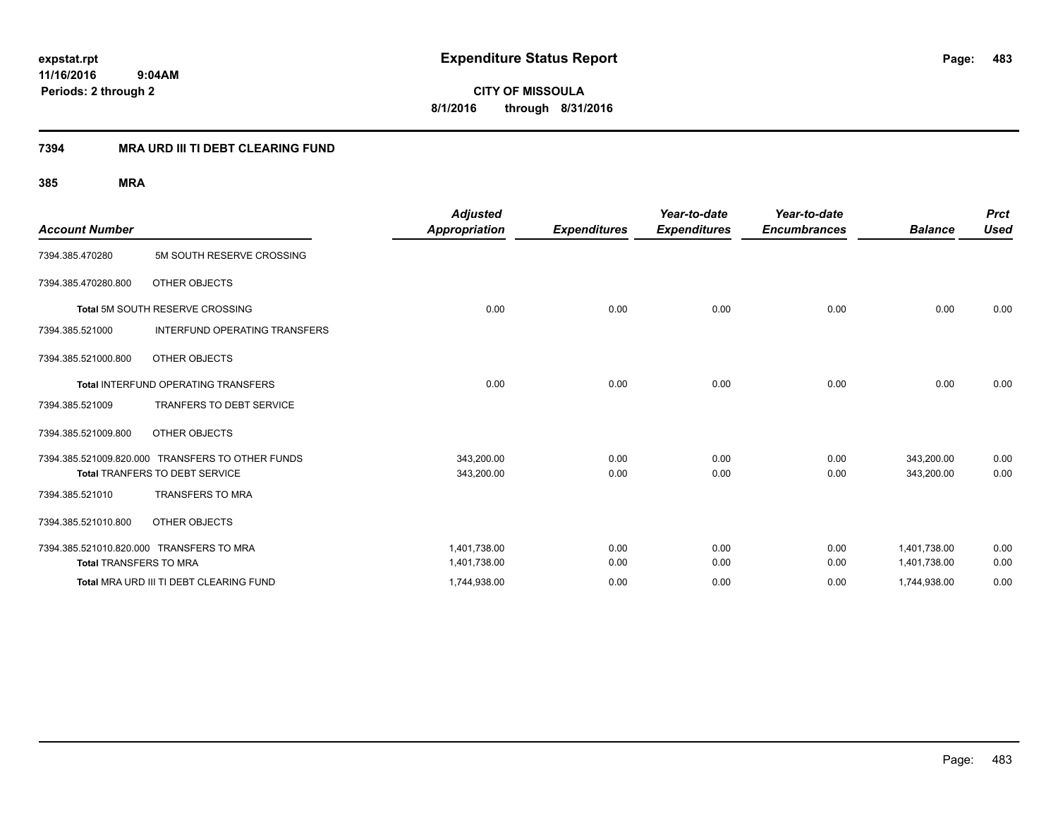**CITY OF MISSOULA 8/1/2016 through 8/31/2016**

### **7394 MRA URD III TI DEBT CLEARING FUND**

|                                          |                                                  | <b>Adjusted</b>      |                     | Year-to-date        | Year-to-date        |                | <b>Prct</b> |
|------------------------------------------|--------------------------------------------------|----------------------|---------------------|---------------------|---------------------|----------------|-------------|
| <b>Account Number</b>                    |                                                  | <b>Appropriation</b> | <b>Expenditures</b> | <b>Expenditures</b> | <b>Encumbrances</b> | <b>Balance</b> | <b>Used</b> |
| 7394.385.470280                          | 5M SOUTH RESERVE CROSSING                        |                      |                     |                     |                     |                |             |
| 7394.385.470280.800                      | OTHER OBJECTS                                    |                      |                     |                     |                     |                |             |
|                                          | Total 5M SOUTH RESERVE CROSSING                  | 0.00                 | 0.00                | 0.00                | 0.00                | 0.00           | 0.00        |
| 7394.385.521000                          | <b>INTERFUND OPERATING TRANSFERS</b>             |                      |                     |                     |                     |                |             |
| 7394.385.521000.800                      | OTHER OBJECTS                                    |                      |                     |                     |                     |                |             |
|                                          | <b>Total INTERFUND OPERATING TRANSFERS</b>       | 0.00                 | 0.00                | 0.00                | 0.00                | 0.00           | 0.00        |
| 7394.385.521009                          | <b>TRANFERS TO DEBT SERVICE</b>                  |                      |                     |                     |                     |                |             |
| 7394.385.521009.800                      | OTHER OBJECTS                                    |                      |                     |                     |                     |                |             |
|                                          | 7394.385.521009.820.000 TRANSFERS TO OTHER FUNDS | 343,200.00           | 0.00                | 0.00                | 0.00                | 343,200.00     | 0.00        |
|                                          | Total TRANFERS TO DEBT SERVICE                   | 343,200.00           | 0.00                | 0.00                | 0.00                | 343,200.00     | 0.00        |
| 7394.385.521010                          | <b>TRANSFERS TO MRA</b>                          |                      |                     |                     |                     |                |             |
| 7394.385.521010.800                      | OTHER OBJECTS                                    |                      |                     |                     |                     |                |             |
| 7394.385.521010.820.000 TRANSFERS TO MRA |                                                  | 1,401,738.00         | 0.00                | 0.00                | 0.00                | 1,401,738.00   | 0.00        |
| <b>Total TRANSFERS TO MRA</b>            |                                                  | 1,401,738.00         | 0.00                | 0.00                | 0.00                | 1,401,738.00   | 0.00        |
|                                          | Total MRA URD III TI DEBT CLEARING FUND          | 1,744,938.00         | 0.00                | 0.00                | 0.00                | 1,744,938.00   | 0.00        |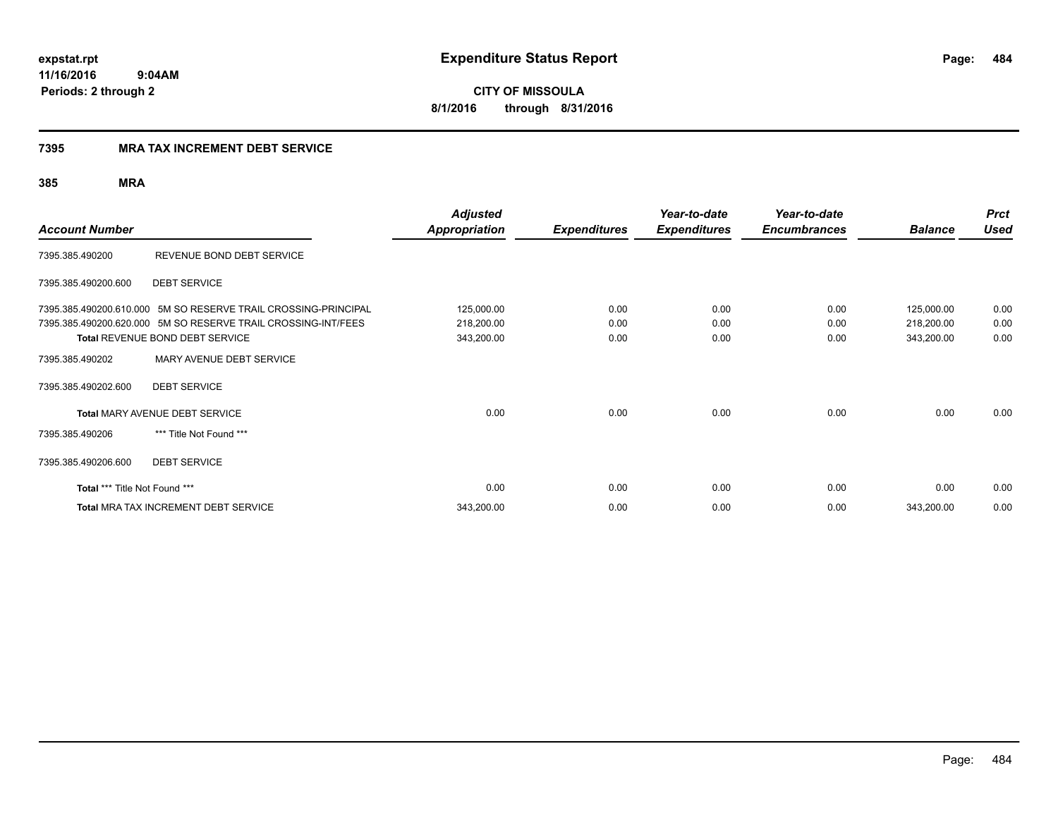**CITY OF MISSOULA 8/1/2016 through 8/31/2016**

### **7395 MRA TAX INCREMENT DEBT SERVICE**

| <b>Account Number</b>         |                                                                | <b>Adjusted</b><br><b>Appropriation</b> | <b>Expenditures</b> | Year-to-date<br><b>Expenditures</b> | Year-to-date<br><b>Encumbrances</b> | <b>Balance</b> | <b>Prct</b><br><b>Used</b> |
|-------------------------------|----------------------------------------------------------------|-----------------------------------------|---------------------|-------------------------------------|-------------------------------------|----------------|----------------------------|
| 7395.385.490200               | REVENUE BOND DEBT SERVICE                                      |                                         |                     |                                     |                                     |                |                            |
| 7395.385.490200.600           | <b>DEBT SERVICE</b>                                            |                                         |                     |                                     |                                     |                |                            |
|                               | 7395.385.490200.610.000 5M SO RESERVE TRAIL CROSSING-PRINCIPAL | 125,000.00                              | 0.00                | 0.00                                | 0.00                                | 125,000.00     | 0.00                       |
|                               | 7395.385.490200.620.000 5M SO RESERVE TRAIL CROSSING-INT/FEES  | 218,200.00                              | 0.00                | 0.00                                | 0.00                                | 218,200.00     | 0.00                       |
|                               | Total REVENUE BOND DEBT SERVICE                                | 343,200.00                              | 0.00                | 0.00                                | 0.00                                | 343,200.00     | 0.00                       |
| 7395.385.490202               | MARY AVENUE DEBT SERVICE                                       |                                         |                     |                                     |                                     |                |                            |
| 7395.385.490202.600           | <b>DEBT SERVICE</b>                                            |                                         |                     |                                     |                                     |                |                            |
|                               | <b>Total MARY AVENUE DEBT SERVICE</b>                          | 0.00                                    | 0.00                | 0.00                                | 0.00                                | 0.00           | 0.00                       |
| 7395.385.490206               | *** Title Not Found ***                                        |                                         |                     |                                     |                                     |                |                            |
| 7395.385.490206.600           | <b>DEBT SERVICE</b>                                            |                                         |                     |                                     |                                     |                |                            |
| Total *** Title Not Found *** |                                                                | 0.00                                    | 0.00                | 0.00                                | 0.00                                | 0.00           | 0.00                       |
|                               | <b>Total MRA TAX INCREMENT DEBT SERVICE</b>                    | 343,200.00                              | 0.00                | 0.00                                | 0.00                                | 343,200.00     | 0.00                       |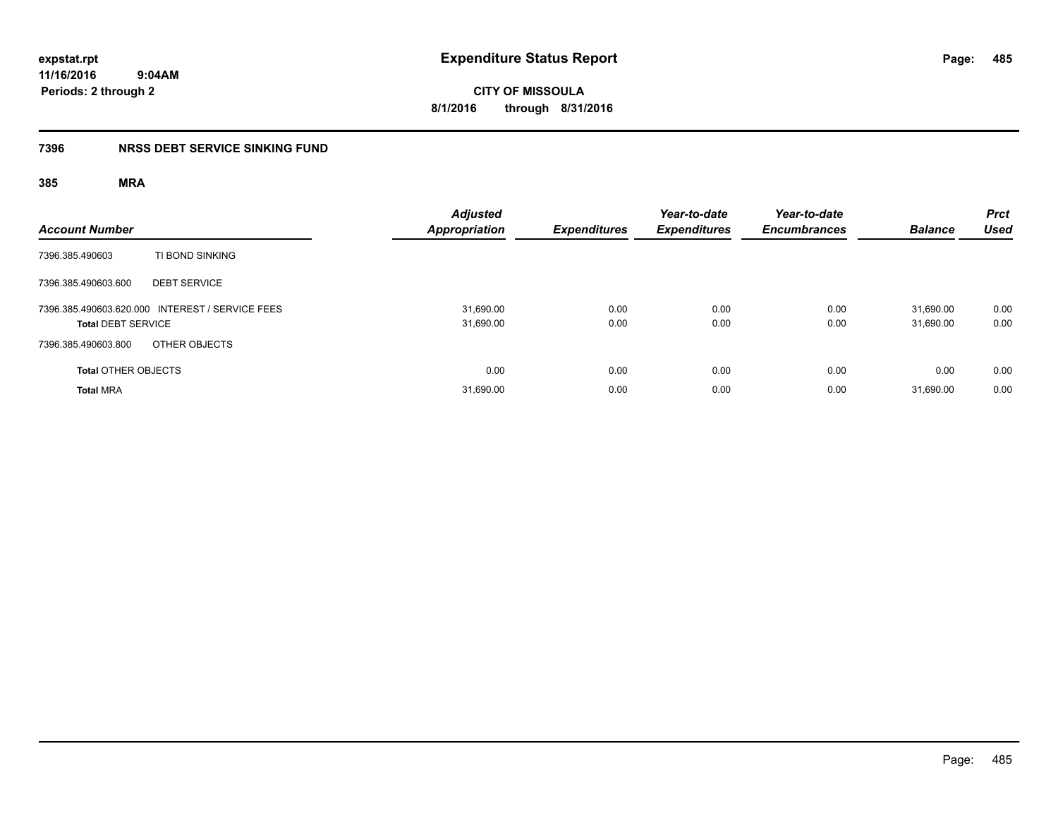**expstat.rpt Expenditure Status Report** 

**11/16/2016 9:04AM Periods: 2 through 2**

**CITY OF MISSOULA 8/1/2016 through 8/31/2016**

### **7396 NRSS DEBT SERVICE SINKING FUND**

| <b>Account Number</b>                                                        | <b>Adjusted</b><br><b>Appropriation</b> | <b>Expenditures</b> | Year-to-date<br><b>Expenditures</b> | Year-to-date<br><b>Encumbrances</b> | <b>Balance</b>         | <b>Prct</b><br><b>Used</b> |
|------------------------------------------------------------------------------|-----------------------------------------|---------------------|-------------------------------------|-------------------------------------|------------------------|----------------------------|
| TI BOND SINKING<br>7396.385.490603                                           |                                         |                     |                                     |                                     |                        |                            |
| 7396.385.490603.600<br><b>DEBT SERVICE</b>                                   |                                         |                     |                                     |                                     |                        |                            |
| 7396.385.490603.620.000 INTEREST / SERVICE FEES<br><b>Total DEBT SERVICE</b> | 31,690.00<br>31,690.00                  | 0.00<br>0.00        | 0.00<br>0.00                        | 0.00<br>0.00                        | 31.690.00<br>31,690.00 | 0.00<br>0.00               |
| 7396.385.490603.800<br>OTHER OBJECTS                                         |                                         |                     |                                     |                                     |                        |                            |
| <b>Total OTHER OBJECTS</b>                                                   | 0.00                                    | 0.00                | 0.00                                | 0.00                                | 0.00                   | 0.00                       |
| <b>Total MRA</b>                                                             | 31,690.00                               | 0.00                | 0.00                                | 0.00                                | 31.690.00              | 0.00                       |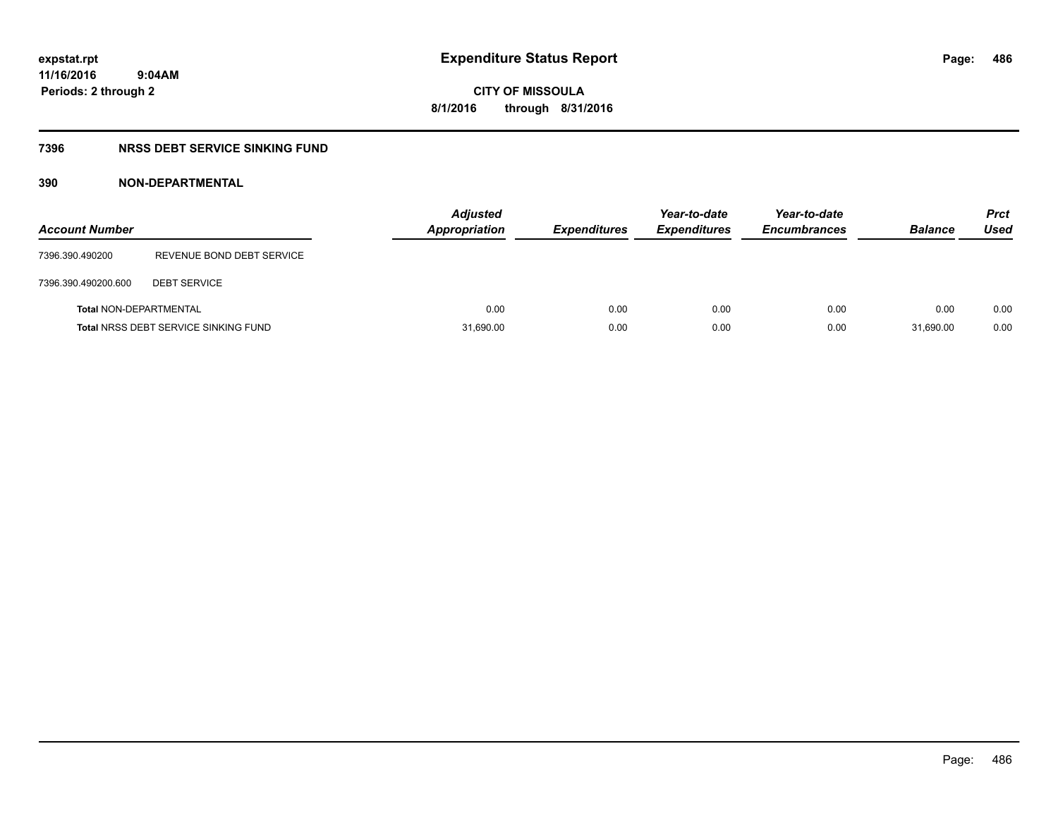**CITY OF MISSOULA 8/1/2016 through 8/31/2016**

### **7396 NRSS DEBT SERVICE SINKING FUND**

### **390 NON-DEPARTMENTAL**

| <b>Account Number</b>         |                                             | <b>Adjusted</b><br><b>Appropriation</b> | <b>Expenditures</b> | Year-to-date<br><b>Expenditures</b> | Year-to-date<br><b>Encumbrances</b> | <b>Balance</b> | <b>Prct</b><br>Used |
|-------------------------------|---------------------------------------------|-----------------------------------------|---------------------|-------------------------------------|-------------------------------------|----------------|---------------------|
| 7396.390.490200               | REVENUE BOND DEBT SERVICE                   |                                         |                     |                                     |                                     |                |                     |
| 7396.390.490200.600           | <b>DEBT SERVICE</b>                         |                                         |                     |                                     |                                     |                |                     |
| <b>Total NON-DEPARTMENTAL</b> |                                             | 0.00                                    | 0.00                | 0.00                                | 0.00                                | 0.00           | 0.00                |
|                               | <b>Total NRSS DEBT SERVICE SINKING FUND</b> | 31,690.00                               | 0.00                | 0.00                                | 0.00                                | 31,690.00      | 0.00                |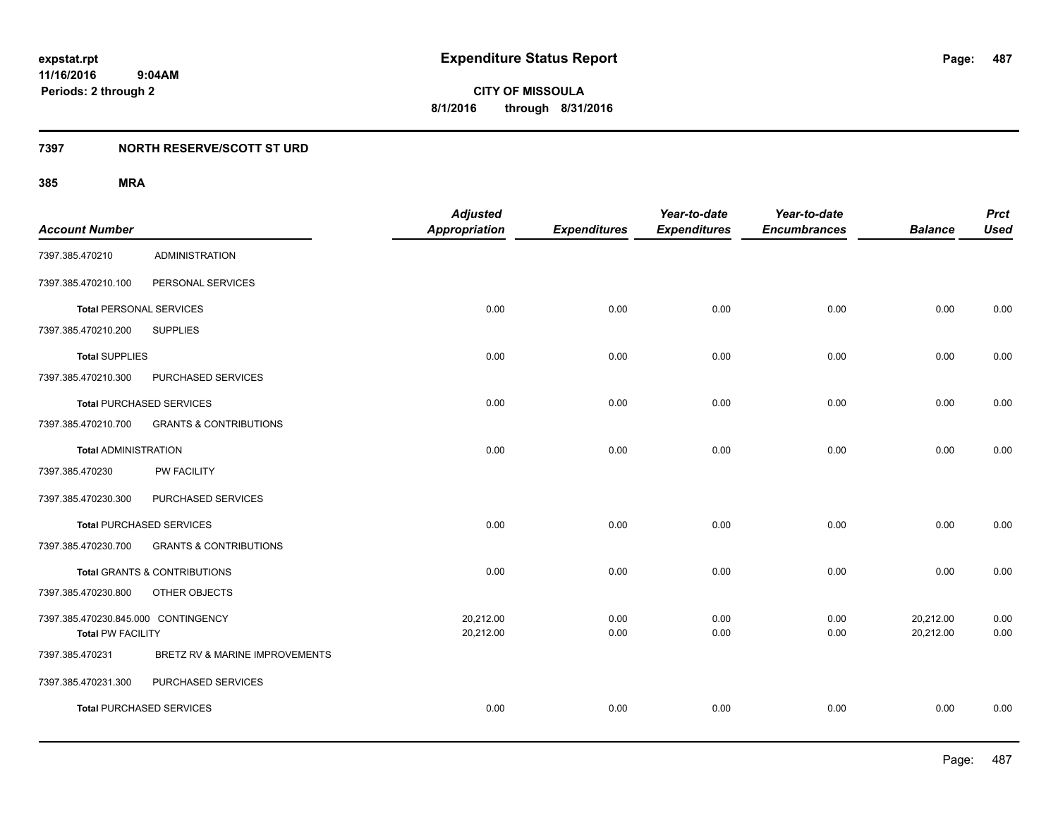### **7397 NORTH RESERVE/SCOTT ST URD**

|                                     |                                   | <b>Adjusted</b>      |                     | Year-to-date        | Year-to-date        |                | <b>Prct</b> |
|-------------------------------------|-----------------------------------|----------------------|---------------------|---------------------|---------------------|----------------|-------------|
| <b>Account Number</b>               |                                   | <b>Appropriation</b> | <b>Expenditures</b> | <b>Expenditures</b> | <b>Encumbrances</b> | <b>Balance</b> | <b>Used</b> |
| 7397.385.470210                     | <b>ADMINISTRATION</b>             |                      |                     |                     |                     |                |             |
| 7397.385.470210.100                 | PERSONAL SERVICES                 |                      |                     |                     |                     |                |             |
| <b>Total PERSONAL SERVICES</b>      |                                   | 0.00                 | 0.00                | 0.00                | 0.00                | 0.00           | 0.00        |
| 7397.385.470210.200                 | <b>SUPPLIES</b>                   |                      |                     |                     |                     |                |             |
| <b>Total SUPPLIES</b>               |                                   | 0.00                 | 0.00                | 0.00                | 0.00                | 0.00           | 0.00        |
| 7397.385.470210.300                 | PURCHASED SERVICES                |                      |                     |                     |                     |                |             |
|                                     | <b>Total PURCHASED SERVICES</b>   | 0.00                 | 0.00                | 0.00                | 0.00                | 0.00           | 0.00        |
| 7397.385.470210.700                 | <b>GRANTS &amp; CONTRIBUTIONS</b> |                      |                     |                     |                     |                |             |
| <b>Total ADMINISTRATION</b>         |                                   | 0.00                 | 0.00                | 0.00                | 0.00                | 0.00           | 0.00        |
| 7397.385.470230                     | <b>PW FACILITY</b>                |                      |                     |                     |                     |                |             |
| 7397.385.470230.300                 | PURCHASED SERVICES                |                      |                     |                     |                     |                |             |
|                                     | <b>Total PURCHASED SERVICES</b>   | 0.00                 | 0.00                | 0.00                | 0.00                | 0.00           | 0.00        |
| 7397.385.470230.700                 | <b>GRANTS &amp; CONTRIBUTIONS</b> |                      |                     |                     |                     |                |             |
|                                     | Total GRANTS & CONTRIBUTIONS      | 0.00                 | 0.00                | 0.00                | 0.00                | 0.00           | 0.00        |
| 7397.385.470230.800                 | OTHER OBJECTS                     |                      |                     |                     |                     |                |             |
| 7397.385.470230.845.000 CONTINGENCY |                                   | 20,212.00            | 0.00                | 0.00                | 0.00                | 20,212.00      | 0.00        |
| <b>Total PW FACILITY</b>            |                                   | 20,212.00            | 0.00                | 0.00                | 0.00                | 20,212.00      | 0.00        |
| 7397.385.470231                     | BRETZ RV & MARINE IMPROVEMENTS    |                      |                     |                     |                     |                |             |
| 7397.385.470231.300                 | PURCHASED SERVICES                |                      |                     |                     |                     |                |             |
|                                     | <b>Total PURCHASED SERVICES</b>   | 0.00                 | 0.00                | 0.00                | 0.00                | 0.00           | 0.00        |
|                                     |                                   |                      |                     |                     |                     |                |             |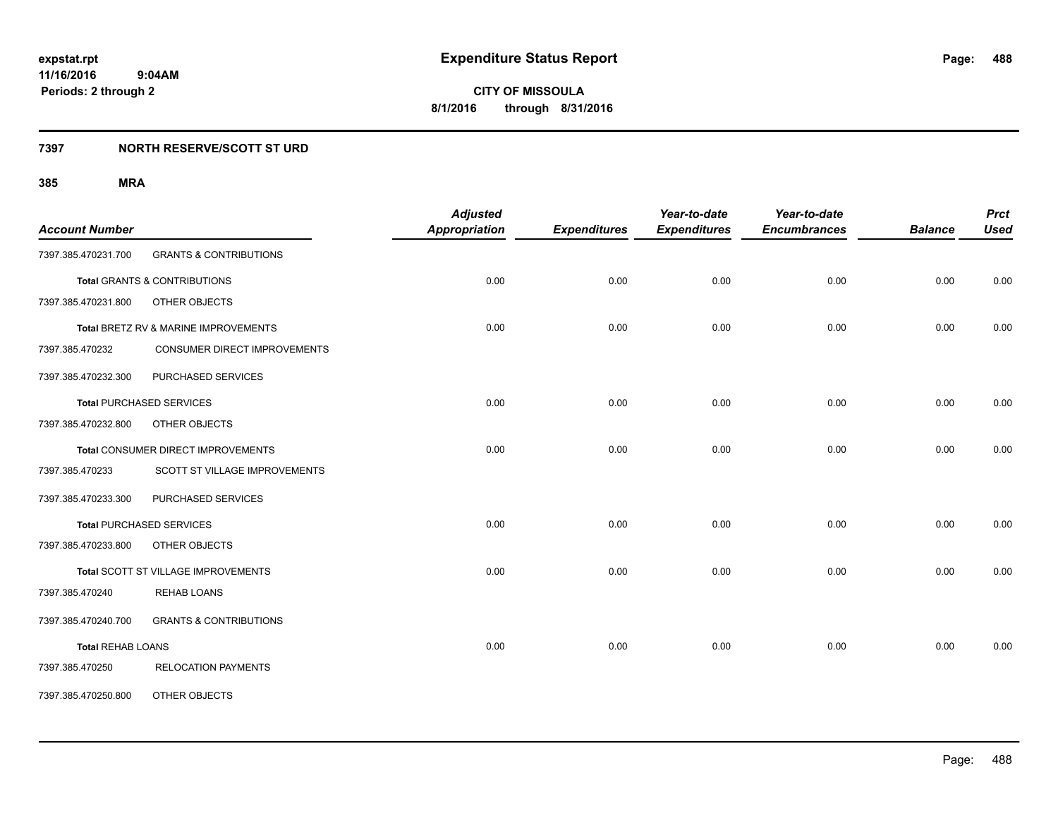### **7397 NORTH RESERVE/SCOTT ST URD**

| <b>Account Number</b>    |                                         | <b>Adjusted</b><br><b>Appropriation</b> | <b>Expenditures</b> | Year-to-date<br><b>Expenditures</b> | Year-to-date<br><b>Encumbrances</b> | <b>Balance</b> | <b>Prct</b><br><b>Used</b> |
|--------------------------|-----------------------------------------|-----------------------------------------|---------------------|-------------------------------------|-------------------------------------|----------------|----------------------------|
| 7397.385.470231.700      | <b>GRANTS &amp; CONTRIBUTIONS</b>       |                                         |                     |                                     |                                     |                |                            |
|                          | <b>Total GRANTS &amp; CONTRIBUTIONS</b> | 0.00                                    | 0.00                | 0.00                                | 0.00                                | 0.00           | 0.00                       |
| 7397.385.470231.800      | OTHER OBJECTS                           |                                         |                     |                                     |                                     |                |                            |
|                          | Total BRETZ RV & MARINE IMPROVEMENTS    | 0.00                                    | 0.00                | 0.00                                | 0.00                                | 0.00           | 0.00                       |
| 7397.385.470232          | CONSUMER DIRECT IMPROVEMENTS            |                                         |                     |                                     |                                     |                |                            |
| 7397.385.470232.300      | PURCHASED SERVICES                      |                                         |                     |                                     |                                     |                |                            |
|                          | <b>Total PURCHASED SERVICES</b>         | 0.00                                    | 0.00                | 0.00                                | 0.00                                | 0.00           | 0.00                       |
| 7397.385.470232.800      | OTHER OBJECTS                           |                                         |                     |                                     |                                     |                |                            |
|                          | Total CONSUMER DIRECT IMPROVEMENTS      | 0.00                                    | 0.00                | 0.00                                | 0.00                                | 0.00           | 0.00                       |
| 7397.385.470233          | SCOTT ST VILLAGE IMPROVEMENTS           |                                         |                     |                                     |                                     |                |                            |
| 7397.385.470233.300      | PURCHASED SERVICES                      |                                         |                     |                                     |                                     |                |                            |
|                          | <b>Total PURCHASED SERVICES</b>         | 0.00                                    | 0.00                | 0.00                                | 0.00                                | 0.00           | 0.00                       |
| 7397.385.470233.800      | OTHER OBJECTS                           |                                         |                     |                                     |                                     |                |                            |
|                          | Total SCOTT ST VILLAGE IMPROVEMENTS     | 0.00                                    | 0.00                | 0.00                                | 0.00                                | 0.00           | 0.00                       |
| 7397.385.470240          | REHAB LOANS                             |                                         |                     |                                     |                                     |                |                            |
| 7397.385.470240.700      | <b>GRANTS &amp; CONTRIBUTIONS</b>       |                                         |                     |                                     |                                     |                |                            |
| <b>Total REHAB LOANS</b> |                                         | 0.00                                    | 0.00                | 0.00                                | 0.00                                | 0.00           | 0.00                       |
| 7397.385.470250          | <b>RELOCATION PAYMENTS</b>              |                                         |                     |                                     |                                     |                |                            |
| 7397.385.470250.800      | OTHER OBJECTS                           |                                         |                     |                                     |                                     |                |                            |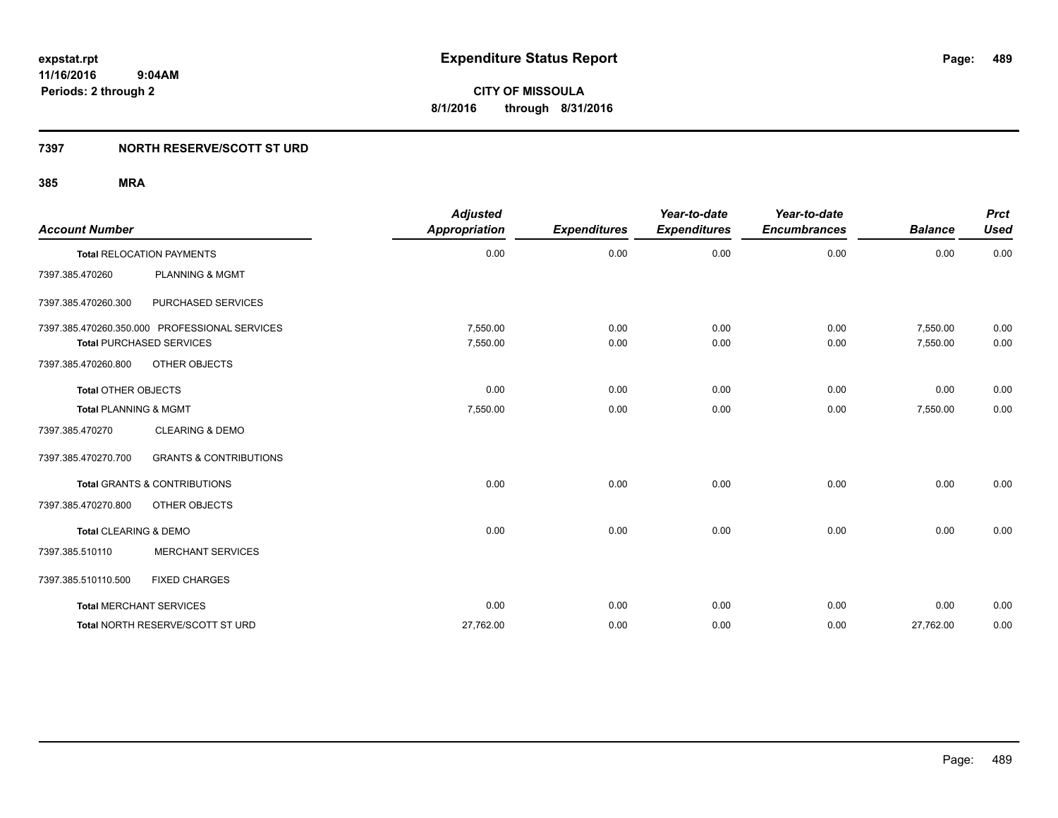### **7397 NORTH RESERVE/SCOTT ST URD**

| <b>Account Number</b>            |                                               | <b>Adjusted</b><br><b>Appropriation</b> | <b>Expenditures</b> | Year-to-date<br><b>Expenditures</b> | Year-to-date<br><b>Encumbrances</b> | <b>Balance</b> | <b>Prct</b><br><b>Used</b> |
|----------------------------------|-----------------------------------------------|-----------------------------------------|---------------------|-------------------------------------|-------------------------------------|----------------|----------------------------|
|                                  | <b>Total RELOCATION PAYMENTS</b>              | 0.00                                    | 0.00                | 0.00                                | 0.00                                | 0.00           | 0.00                       |
| 7397.385.470260                  | <b>PLANNING &amp; MGMT</b>                    |                                         |                     |                                     |                                     |                |                            |
| 7397.385.470260.300              | PURCHASED SERVICES                            |                                         |                     |                                     |                                     |                |                            |
|                                  | 7397.385.470260.350.000 PROFESSIONAL SERVICES | 7,550.00                                | 0.00                | 0.00                                | 0.00                                | 7,550.00       | 0.00                       |
|                                  | <b>Total PURCHASED SERVICES</b>               | 7,550.00                                | 0.00                | 0.00                                | 0.00                                | 7,550.00       | 0.00                       |
| 7397.385.470260.800              | OTHER OBJECTS                                 |                                         |                     |                                     |                                     |                |                            |
| <b>Total OTHER OBJECTS</b>       |                                               | 0.00                                    | 0.00                | 0.00                                | 0.00                                | 0.00           | 0.00                       |
| <b>Total PLANNING &amp; MGMT</b> |                                               | 7,550.00                                | 0.00                | 0.00                                | 0.00                                | 7,550.00       | 0.00                       |
| 7397.385.470270                  | <b>CLEARING &amp; DEMO</b>                    |                                         |                     |                                     |                                     |                |                            |
| 7397.385.470270.700              | <b>GRANTS &amp; CONTRIBUTIONS</b>             |                                         |                     |                                     |                                     |                |                            |
|                                  | <b>Total GRANTS &amp; CONTRIBUTIONS</b>       | 0.00                                    | 0.00                | 0.00                                | 0.00                                | 0.00           | 0.00                       |
| 7397.385.470270.800              | OTHER OBJECTS                                 |                                         |                     |                                     |                                     |                |                            |
| Total CLEARING & DEMO            |                                               | 0.00                                    | 0.00                | 0.00                                | 0.00                                | 0.00           | 0.00                       |
| 7397.385.510110                  | <b>MERCHANT SERVICES</b>                      |                                         |                     |                                     |                                     |                |                            |
| 7397.385.510110.500              | <b>FIXED CHARGES</b>                          |                                         |                     |                                     |                                     |                |                            |
|                                  | <b>Total MERCHANT SERVICES</b>                | 0.00                                    | 0.00                | 0.00                                | 0.00                                | 0.00           | 0.00                       |
|                                  | Total NORTH RESERVE/SCOTT ST URD              | 27,762.00                               | 0.00                | 0.00                                | 0.00                                | 27,762.00      | 0.00                       |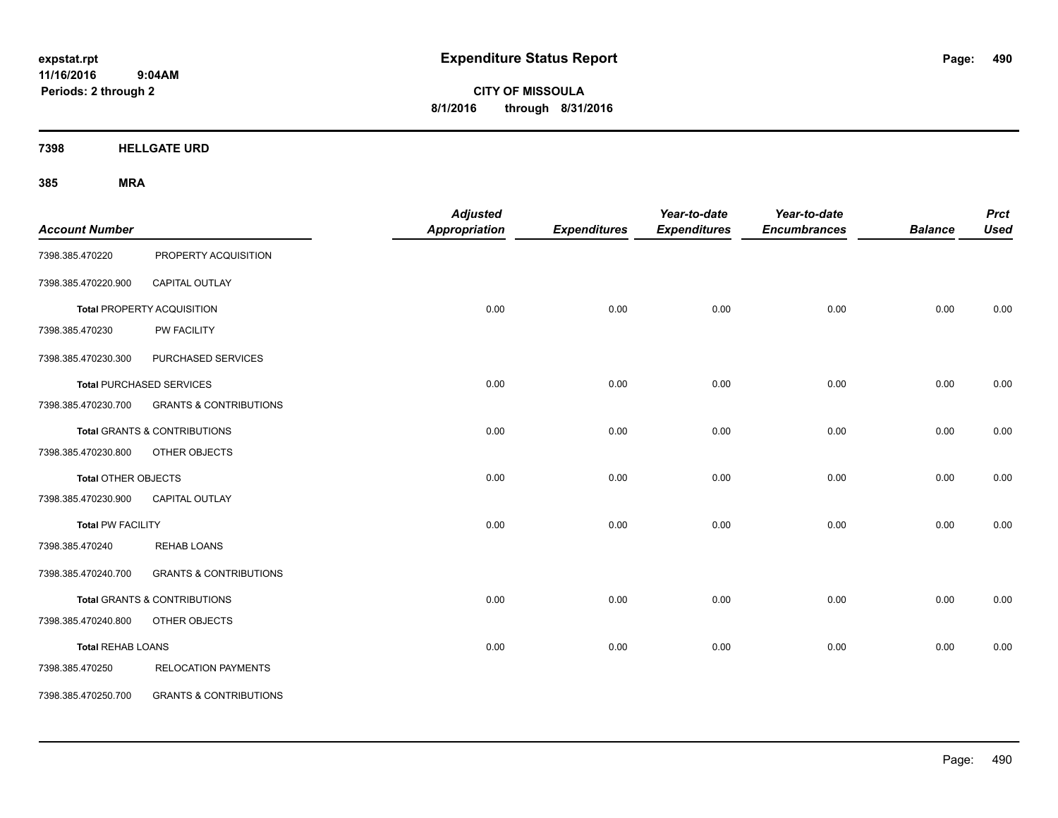**CITY OF MISSOULA 8/1/2016 through 8/31/2016**

**7398 HELLGATE URD**

| <b>Account Number</b>      |                                         | <b>Adjusted</b><br>Appropriation | <b>Expenditures</b> | Year-to-date<br><b>Expenditures</b> | Year-to-date<br><b>Encumbrances</b> | <b>Balance</b> | <b>Prct</b><br><b>Used</b> |
|----------------------------|-----------------------------------------|----------------------------------|---------------------|-------------------------------------|-------------------------------------|----------------|----------------------------|
| 7398.385.470220            | PROPERTY ACQUISITION                    |                                  |                     |                                     |                                     |                |                            |
| 7398.385.470220.900        | CAPITAL OUTLAY                          |                                  |                     |                                     |                                     |                |                            |
|                            | Total PROPERTY ACQUISITION              | 0.00                             | 0.00                | 0.00                                | 0.00                                | 0.00           | 0.00                       |
| 7398.385.470230            | PW FACILITY                             |                                  |                     |                                     |                                     |                |                            |
| 7398.385.470230.300        | PURCHASED SERVICES                      |                                  |                     |                                     |                                     |                |                            |
|                            | <b>Total PURCHASED SERVICES</b>         | 0.00                             | 0.00                | 0.00                                | 0.00                                | 0.00           | 0.00                       |
| 7398.385.470230.700        | <b>GRANTS &amp; CONTRIBUTIONS</b>       |                                  |                     |                                     |                                     |                |                            |
|                            | <b>Total GRANTS &amp; CONTRIBUTIONS</b> | 0.00                             | 0.00                | 0.00                                | 0.00                                | 0.00           | 0.00                       |
| 7398.385.470230.800        | OTHER OBJECTS                           |                                  |                     |                                     |                                     |                |                            |
| <b>Total OTHER OBJECTS</b> |                                         | 0.00                             | 0.00                | 0.00                                | 0.00                                | 0.00           | 0.00                       |
| 7398.385.470230.900        | CAPITAL OUTLAY                          |                                  |                     |                                     |                                     |                |                            |
| <b>Total PW FACILITY</b>   |                                         | 0.00                             | 0.00                | 0.00                                | 0.00                                | 0.00           | 0.00                       |
| 7398.385.470240            | <b>REHAB LOANS</b>                      |                                  |                     |                                     |                                     |                |                            |
| 7398.385.470240.700        | <b>GRANTS &amp; CONTRIBUTIONS</b>       |                                  |                     |                                     |                                     |                |                            |
|                            | <b>Total GRANTS &amp; CONTRIBUTIONS</b> | 0.00                             | 0.00                | 0.00                                | 0.00                                | 0.00           | 0.00                       |
| 7398.385.470240.800        | OTHER OBJECTS                           |                                  |                     |                                     |                                     |                |                            |
| <b>Total REHAB LOANS</b>   |                                         | 0.00                             | 0.00                | 0.00                                | 0.00                                | 0.00           | 0.00                       |
| 7398.385.470250            | <b>RELOCATION PAYMENTS</b>              |                                  |                     |                                     |                                     |                |                            |
| 7398.385.470250.700        | <b>GRANTS &amp; CONTRIBUTIONS</b>       |                                  |                     |                                     |                                     |                |                            |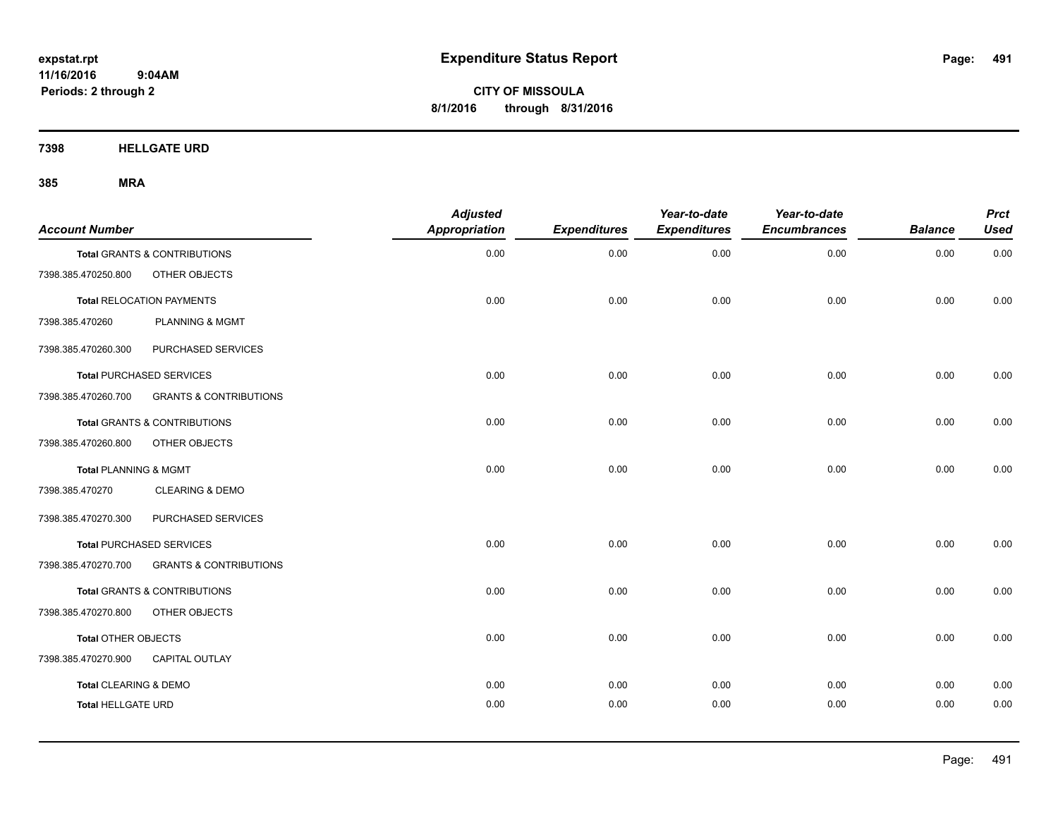**CITY OF MISSOULA 8/1/2016 through 8/31/2016**

**7398 HELLGATE URD**

| <b>Account Number</b>            |                                   | <b>Adjusted</b><br><b>Appropriation</b> | <b>Expenditures</b> | Year-to-date<br><b>Expenditures</b> | Year-to-date<br><b>Encumbrances</b> | <b>Balance</b> | <b>Prct</b><br><b>Used</b> |
|----------------------------------|-----------------------------------|-----------------------------------------|---------------------|-------------------------------------|-------------------------------------|----------------|----------------------------|
|                                  | Total GRANTS & CONTRIBUTIONS      | 0.00                                    | 0.00                | 0.00                                | 0.00                                | 0.00           | 0.00                       |
| 7398.385.470250.800              | OTHER OBJECTS                     |                                         |                     |                                     |                                     |                |                            |
|                                  | <b>Total RELOCATION PAYMENTS</b>  | 0.00                                    | 0.00                | 0.00                                | 0.00                                | 0.00           | 0.00                       |
| 7398.385.470260                  | <b>PLANNING &amp; MGMT</b>        |                                         |                     |                                     |                                     |                |                            |
| 7398.385.470260.300              | PURCHASED SERVICES                |                                         |                     |                                     |                                     |                |                            |
|                                  | <b>Total PURCHASED SERVICES</b>   | 0.00                                    | 0.00                | 0.00                                | 0.00                                | 0.00           | 0.00                       |
| 7398.385.470260.700              | <b>GRANTS &amp; CONTRIBUTIONS</b> |                                         |                     |                                     |                                     |                |                            |
|                                  | Total GRANTS & CONTRIBUTIONS      | 0.00                                    | 0.00                | 0.00                                | 0.00                                | 0.00           | 0.00                       |
| 7398.385.470260.800              | OTHER OBJECTS                     |                                         |                     |                                     |                                     |                |                            |
| <b>Total PLANNING &amp; MGMT</b> |                                   | 0.00                                    | 0.00                | 0.00                                | 0.00                                | 0.00           | 0.00                       |
| 7398.385.470270                  | <b>CLEARING &amp; DEMO</b>        |                                         |                     |                                     |                                     |                |                            |
| 7398.385.470270.300              | PURCHASED SERVICES                |                                         |                     |                                     |                                     |                |                            |
|                                  | <b>Total PURCHASED SERVICES</b>   | 0.00                                    | 0.00                | 0.00                                | 0.00                                | 0.00           | 0.00                       |
| 7398.385.470270.700              | <b>GRANTS &amp; CONTRIBUTIONS</b> |                                         |                     |                                     |                                     |                |                            |
|                                  | Total GRANTS & CONTRIBUTIONS      | 0.00                                    | 0.00                | 0.00                                | 0.00                                | 0.00           | 0.00                       |
| 7398.385.470270.800              | OTHER OBJECTS                     |                                         |                     |                                     |                                     |                |                            |
| Total OTHER OBJECTS              |                                   | 0.00                                    | 0.00                | 0.00                                | 0.00                                | 0.00           | 0.00                       |
| 7398.385.470270.900              | <b>CAPITAL OUTLAY</b>             |                                         |                     |                                     |                                     |                |                            |
| Total CLEARING & DEMO            |                                   | 0.00                                    | 0.00                | 0.00                                | 0.00                                | 0.00           | 0.00                       |
| <b>Total HELLGATE URD</b>        |                                   | 0.00                                    | 0.00                | 0.00                                | 0.00                                | 0.00           | 0.00                       |
|                                  |                                   |                                         |                     |                                     |                                     |                |                            |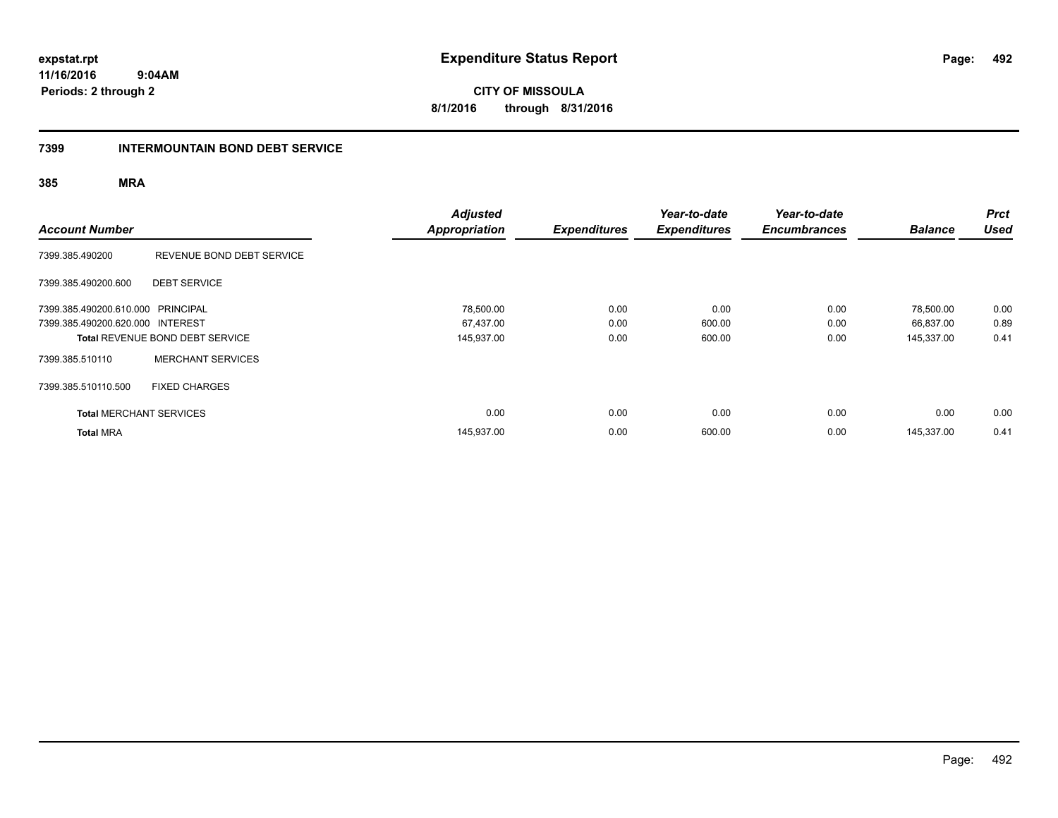**CITY OF MISSOULA 8/1/2016 through 8/31/2016**

### **7399 INTERMOUNTAIN BOND DEBT SERVICE**

| <b>Account Number</b>             |                                        | <b>Adjusted</b><br><b>Appropriation</b> | <b>Expenditures</b> | Year-to-date<br><b>Expenditures</b> | Year-to-date<br><b>Encumbrances</b> | <b>Balance</b> | <b>Prct</b><br><b>Used</b> |
|-----------------------------------|----------------------------------------|-----------------------------------------|---------------------|-------------------------------------|-------------------------------------|----------------|----------------------------|
| 7399.385.490200                   | REVENUE BOND DEBT SERVICE              |                                         |                     |                                     |                                     |                |                            |
| 7399.385.490200.600               | <b>DEBT SERVICE</b>                    |                                         |                     |                                     |                                     |                |                            |
| 7399.385.490200.610.000 PRINCIPAL |                                        | 78,500.00                               | 0.00                | 0.00                                | 0.00                                | 78,500.00      | 0.00                       |
| 7399.385.490200.620.000 INTEREST  |                                        | 67,437.00                               | 0.00                | 600.00                              | 0.00                                | 66,837.00      | 0.89                       |
|                                   | <b>Total REVENUE BOND DEBT SERVICE</b> | 145,937.00                              | 0.00                | 600.00                              | 0.00                                | 145,337.00     | 0.41                       |
| 7399.385.510110                   | <b>MERCHANT SERVICES</b>               |                                         |                     |                                     |                                     |                |                            |
| 7399.385.510110.500               | <b>FIXED CHARGES</b>                   |                                         |                     |                                     |                                     |                |                            |
| <b>Total MERCHANT SERVICES</b>    |                                        | 0.00                                    | 0.00                | 0.00                                | 0.00                                | 0.00           | 0.00                       |
| <b>Total MRA</b>                  |                                        | 145,937.00                              | 0.00                | 600.00                              | 0.00                                | 145.337.00     | 0.41                       |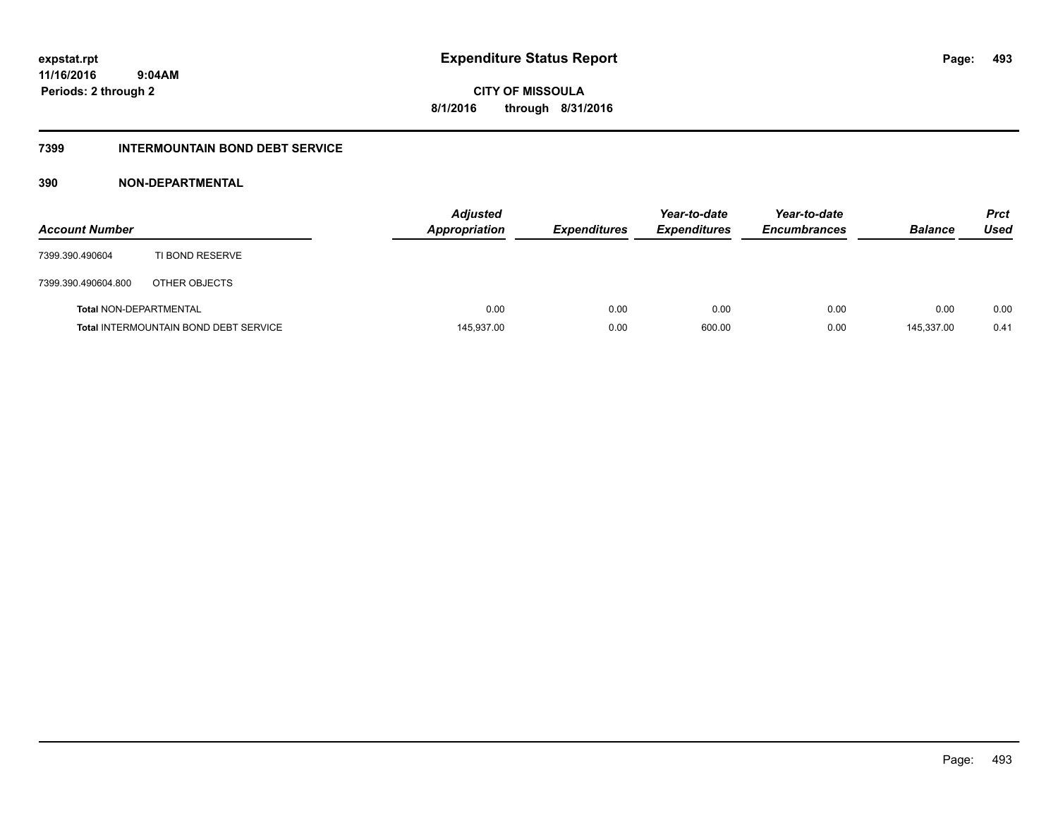**CITY OF MISSOULA 8/1/2016 through 8/31/2016**

### **7399 INTERMOUNTAIN BOND DEBT SERVICE**

### **390 NON-DEPARTMENTAL**

| <b>Account Number</b>         |                                              | <b>Adjusted</b><br><b>Appropriation</b> | <b>Expenditures</b> | Year-to-date<br><b>Expenditures</b> | Year-to-date<br><b>Encumbrances</b> | <b>Balance</b> | <b>Prct</b><br>Used |
|-------------------------------|----------------------------------------------|-----------------------------------------|---------------------|-------------------------------------|-------------------------------------|----------------|---------------------|
| 7399.390.490604               | TI BOND RESERVE                              |                                         |                     |                                     |                                     |                |                     |
| 7399.390.490604.800           | OTHER OBJECTS                                |                                         |                     |                                     |                                     |                |                     |
| <b>Total NON-DEPARTMENTAL</b> |                                              | 0.00                                    | 0.00                | 0.00                                | 0.00                                | 0.00           | 0.00                |
|                               | <b>Total INTERMOUNTAIN BOND DEBT SERVICE</b> | 145,937.00                              | 0.00                | 600.00                              | 0.00                                | 145.337.00     | 0.41                |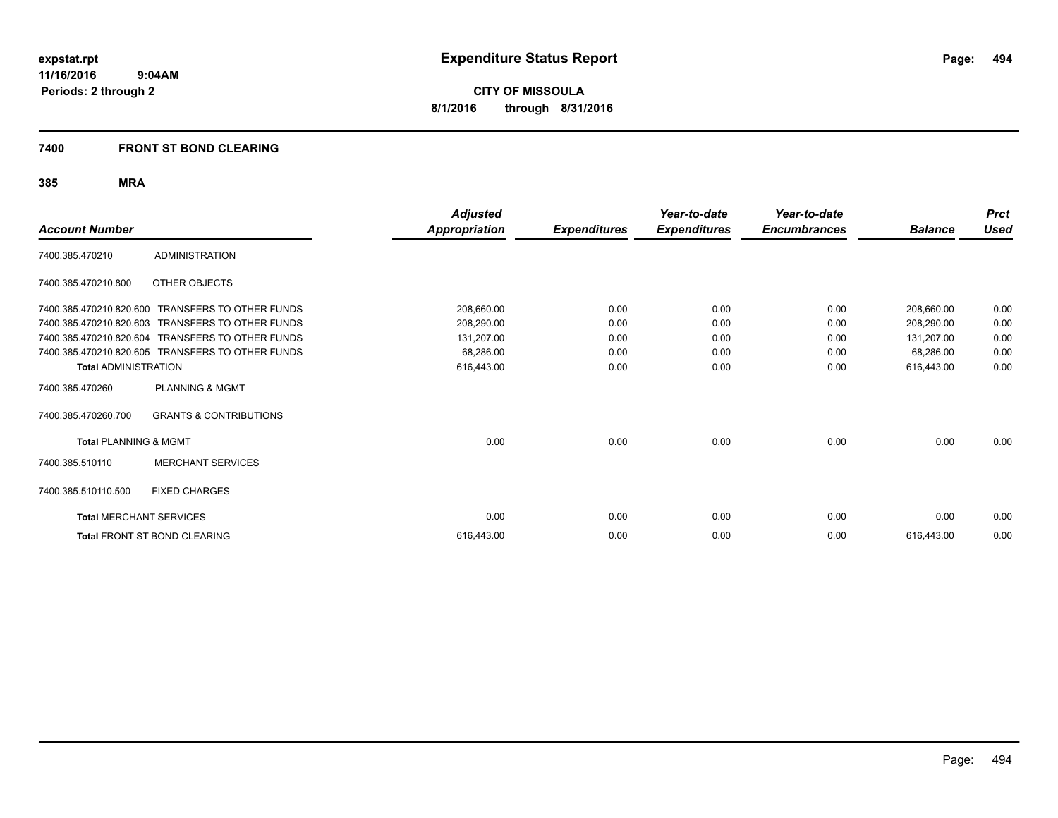**CITY OF MISSOULA 8/1/2016 through 8/31/2016**

### **7400 FRONT ST BOND CLEARING**

| <b>Account Number</b>            |                                     | <b>Adjusted</b><br><b>Appropriation</b> | <b>Expenditures</b> | Year-to-date<br><b>Expenditures</b> | Year-to-date<br><b>Encumbrances</b> | <b>Balance</b> | <b>Prct</b><br><b>Used</b> |
|----------------------------------|-------------------------------------|-----------------------------------------|---------------------|-------------------------------------|-------------------------------------|----------------|----------------------------|
| 7400.385.470210                  | <b>ADMINISTRATION</b>               |                                         |                     |                                     |                                     |                |                            |
| 7400.385.470210.800              | OTHER OBJECTS                       |                                         |                     |                                     |                                     |                |                            |
| 7400.385.470210.820.600          | <b>TRANSFERS TO OTHER FUNDS</b>     | 208,660.00                              | 0.00                | 0.00                                | 0.00                                | 208,660.00     | 0.00                       |
| 7400.385.470210.820.603          | <b>TRANSFERS TO OTHER FUNDS</b>     | 208,290.00                              | 0.00                | 0.00                                | 0.00                                | 208,290.00     | 0.00                       |
| 7400.385.470210.820.604          | <b>TRANSFERS TO OTHER FUNDS</b>     | 131,207.00                              | 0.00                | 0.00                                | 0.00                                | 131,207.00     | 0.00                       |
| 7400.385.470210.820.605          | TRANSFERS TO OTHER FUNDS            | 68,286.00                               | 0.00                | 0.00                                | 0.00                                | 68,286.00      | 0.00                       |
| <b>Total ADMINISTRATION</b>      |                                     | 616,443.00                              | 0.00                | 0.00                                | 0.00                                | 616,443.00     | 0.00                       |
| 7400.385.470260                  | <b>PLANNING &amp; MGMT</b>          |                                         |                     |                                     |                                     |                |                            |
| 7400.385.470260.700              | <b>GRANTS &amp; CONTRIBUTIONS</b>   |                                         |                     |                                     |                                     |                |                            |
| <b>Total PLANNING &amp; MGMT</b> |                                     | 0.00                                    | 0.00                | 0.00                                | 0.00                                | 0.00           | 0.00                       |
| 7400.385.510110                  | <b>MERCHANT SERVICES</b>            |                                         |                     |                                     |                                     |                |                            |
| 7400.385.510110.500              | <b>FIXED CHARGES</b>                |                                         |                     |                                     |                                     |                |                            |
| <b>Total MERCHANT SERVICES</b>   |                                     | 0.00                                    | 0.00                | 0.00                                | 0.00                                | 0.00           | 0.00                       |
|                                  | <b>Total FRONT ST BOND CLEARING</b> | 616.443.00                              | 0.00                | 0.00                                | 0.00                                | 616,443.00     | 0.00                       |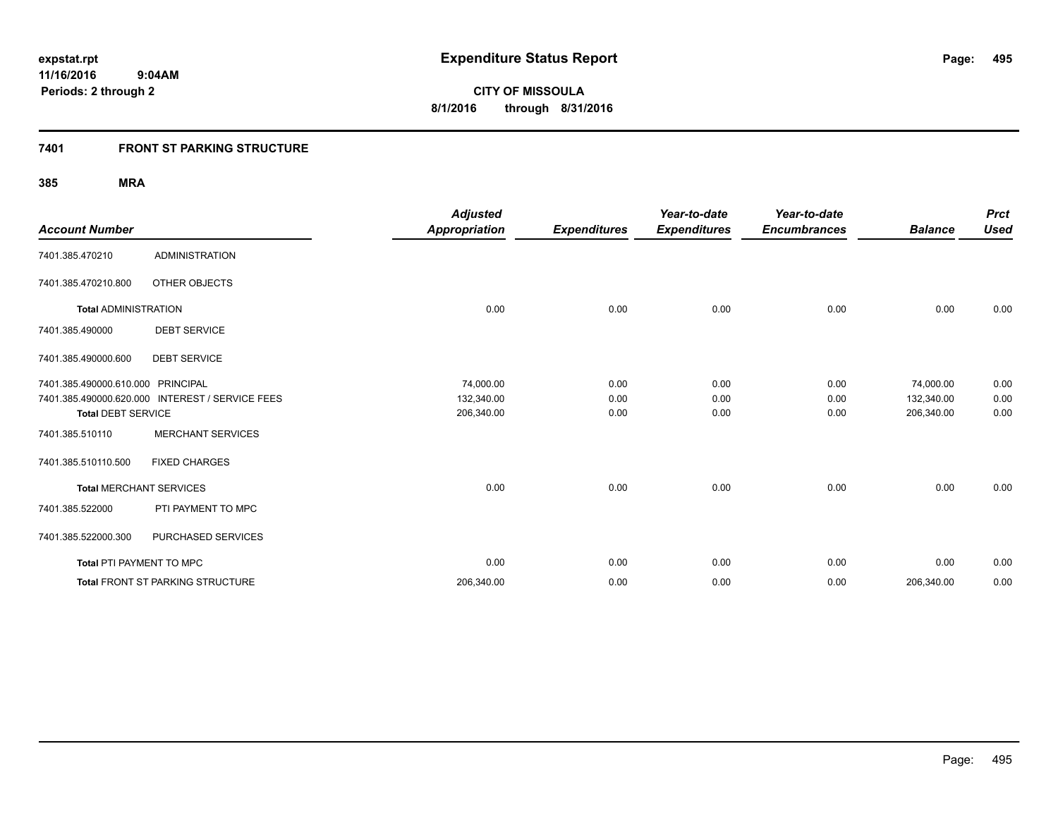### **7401 FRONT ST PARKING STRUCTURE**

| <b>Account Number</b>             |                                                 | <b>Adjusted</b><br><b>Appropriation</b> | <b>Expenditures</b> | Year-to-date<br><b>Expenditures</b> | Year-to-date<br><b>Encumbrances</b> | <b>Balance</b> | <b>Prct</b><br><b>Used</b> |
|-----------------------------------|-------------------------------------------------|-----------------------------------------|---------------------|-------------------------------------|-------------------------------------|----------------|----------------------------|
| 7401.385.470210                   | <b>ADMINISTRATION</b>                           |                                         |                     |                                     |                                     |                |                            |
| 7401.385.470210.800               | OTHER OBJECTS                                   |                                         |                     |                                     |                                     |                |                            |
| <b>Total ADMINISTRATION</b>       |                                                 | 0.00                                    | 0.00                | 0.00                                | 0.00                                | 0.00           | 0.00                       |
| 7401.385.490000                   | <b>DEBT SERVICE</b>                             |                                         |                     |                                     |                                     |                |                            |
| 7401.385.490000.600               | <b>DEBT SERVICE</b>                             |                                         |                     |                                     |                                     |                |                            |
| 7401.385.490000.610.000 PRINCIPAL |                                                 | 74,000.00                               | 0.00                | 0.00                                | 0.00                                | 74,000.00      | 0.00                       |
|                                   | 7401.385.490000.620.000 INTEREST / SERVICE FEES | 132,340.00                              | 0.00                | 0.00                                | 0.00                                | 132,340.00     | 0.00                       |
| <b>Total DEBT SERVICE</b>         |                                                 | 206,340.00                              | 0.00                | 0.00                                | 0.00                                | 206,340.00     | 0.00                       |
| 7401.385.510110                   | <b>MERCHANT SERVICES</b>                        |                                         |                     |                                     |                                     |                |                            |
| 7401.385.510110.500               | <b>FIXED CHARGES</b>                            |                                         |                     |                                     |                                     |                |                            |
| <b>Total MERCHANT SERVICES</b>    |                                                 | 0.00                                    | 0.00                | 0.00                                | 0.00                                | 0.00           | 0.00                       |
| 7401.385.522000                   | PTI PAYMENT TO MPC                              |                                         |                     |                                     |                                     |                |                            |
| 7401.385.522000.300               | PURCHASED SERVICES                              |                                         |                     |                                     |                                     |                |                            |
| Total PTI PAYMENT TO MPC          |                                                 | 0.00                                    | 0.00                | 0.00                                | 0.00                                | 0.00           | 0.00                       |
|                                   | <b>Total FRONT ST PARKING STRUCTURE</b>         | 206,340.00                              | 0.00                | 0.00                                | 0.00                                | 206,340.00     | 0.00                       |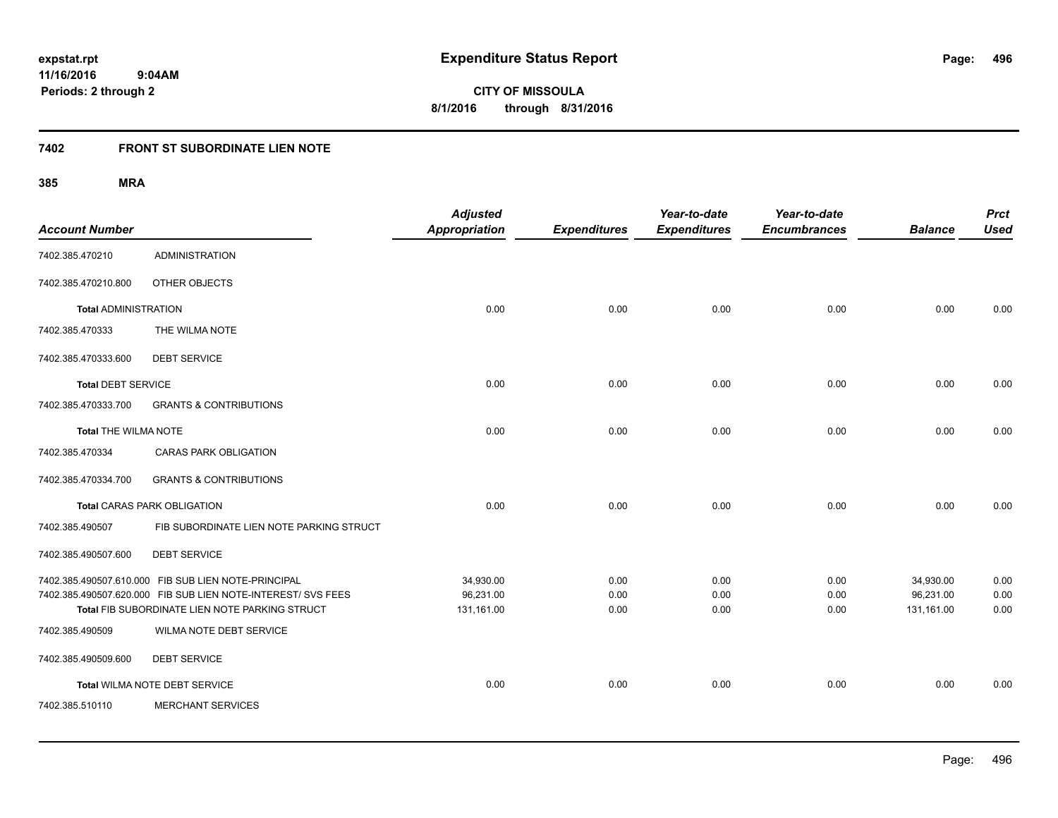**CITY OF MISSOULA 8/1/2016 through 8/31/2016**

# **7402 FRONT ST SUBORDINATE LIEN NOTE**

| <b>Account Number</b>       |                                                                                                                                                                       | <b>Adjusted</b><br><b>Appropriation</b> | <b>Expenditures</b>  | Year-to-date<br><b>Expenditures</b> | Year-to-date<br><b>Encumbrances</b> | <b>Balance</b>                       | <b>Prct</b><br><b>Used</b> |
|-----------------------------|-----------------------------------------------------------------------------------------------------------------------------------------------------------------------|-----------------------------------------|----------------------|-------------------------------------|-------------------------------------|--------------------------------------|----------------------------|
| 7402.385.470210             | <b>ADMINISTRATION</b>                                                                                                                                                 |                                         |                      |                                     |                                     |                                      |                            |
| 7402.385.470210.800         | OTHER OBJECTS                                                                                                                                                         |                                         |                      |                                     |                                     |                                      |                            |
| <b>Total ADMINISTRATION</b> |                                                                                                                                                                       | 0.00                                    | 0.00                 | 0.00                                | 0.00                                | 0.00                                 | 0.00                       |
| 7402.385.470333             | THE WILMA NOTE                                                                                                                                                        |                                         |                      |                                     |                                     |                                      |                            |
| 7402.385.470333.600         | <b>DEBT SERVICE</b>                                                                                                                                                   |                                         |                      |                                     |                                     |                                      |                            |
| <b>Total DEBT SERVICE</b>   |                                                                                                                                                                       | 0.00                                    | 0.00                 | 0.00                                | 0.00                                | 0.00                                 | 0.00                       |
| 7402.385.470333.700         | <b>GRANTS &amp; CONTRIBUTIONS</b>                                                                                                                                     |                                         |                      |                                     |                                     |                                      |                            |
| <b>Total THE WILMA NOTE</b> |                                                                                                                                                                       | 0.00                                    | 0.00                 | 0.00                                | 0.00                                | 0.00                                 | 0.00                       |
| 7402.385.470334             | <b>CARAS PARK OBLIGATION</b>                                                                                                                                          |                                         |                      |                                     |                                     |                                      |                            |
| 7402.385.470334.700         | <b>GRANTS &amp; CONTRIBUTIONS</b>                                                                                                                                     |                                         |                      |                                     |                                     |                                      |                            |
|                             | <b>Total CARAS PARK OBLIGATION</b>                                                                                                                                    | 0.00                                    | 0.00                 | 0.00                                | 0.00                                | 0.00                                 | 0.00                       |
| 7402.385.490507             | FIB SUBORDINATE LIEN NOTE PARKING STRUCT                                                                                                                              |                                         |                      |                                     |                                     |                                      |                            |
| 7402.385.490507.600         | <b>DEBT SERVICE</b>                                                                                                                                                   |                                         |                      |                                     |                                     |                                      |                            |
|                             | 7402.385.490507.610.000 FIB SUB LIEN NOTE-PRINCIPAL<br>7402.385.490507.620.000 FIB SUB LIEN NOTE-INTEREST/ SVS FEES<br>Total FIB SUBORDINATE LIEN NOTE PARKING STRUCT | 34,930.00<br>96,231.00<br>131,161.00    | 0.00<br>0.00<br>0.00 | 0.00<br>0.00<br>0.00                | 0.00<br>0.00<br>0.00                | 34,930.00<br>96,231.00<br>131,161.00 | 0.00<br>0.00<br>0.00       |
| 7402.385.490509             | WILMA NOTE DEBT SERVICE                                                                                                                                               |                                         |                      |                                     |                                     |                                      |                            |
| 7402.385.490509.600         | <b>DEBT SERVICE</b>                                                                                                                                                   |                                         |                      |                                     |                                     |                                      |                            |
|                             | Total WILMA NOTE DEBT SERVICE                                                                                                                                         | 0.00                                    | 0.00                 | 0.00                                | 0.00                                | 0.00                                 | 0.00                       |
| 7402.385.510110             | <b>MERCHANT SERVICES</b>                                                                                                                                              |                                         |                      |                                     |                                     |                                      |                            |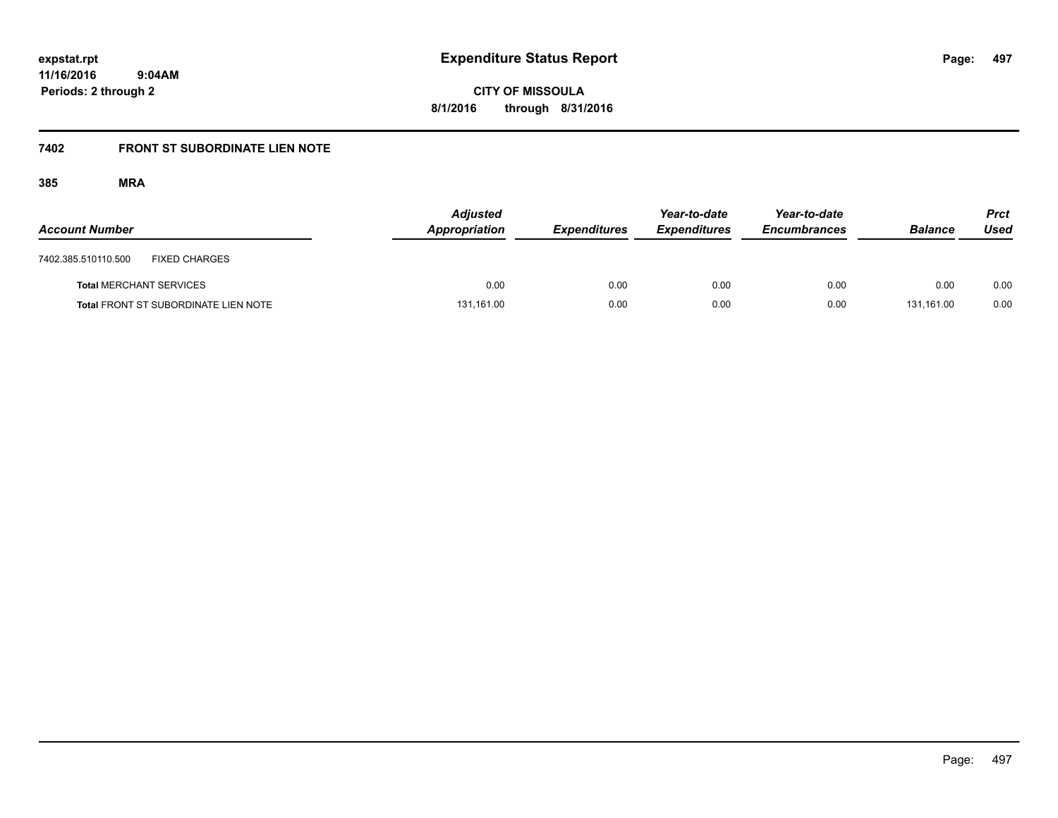**CITY OF MISSOULA 8/1/2016 through 8/31/2016**

# **7402 FRONT ST SUBORDINATE LIEN NOTE**

| <b>Account Number</b>          |                                             | <b>Adjusted</b><br>Appropriation | <b>Expenditures</b> | Year-to-date<br><b>Expenditures</b> | Year-to-date<br><b>Encumbrances</b> | <b>Balance</b> | Prct<br>Used |
|--------------------------------|---------------------------------------------|----------------------------------|---------------------|-------------------------------------|-------------------------------------|----------------|--------------|
| 7402.385.510110.500            | <b>FIXED CHARGES</b>                        |                                  |                     |                                     |                                     |                |              |
| <b>Total MERCHANT SERVICES</b> |                                             | 0.00                             | 0.00                | 0.00                                | 0.00                                | 0.00           | 0.00         |
|                                | <b>Total FRONT ST SUBORDINATE LIEN NOTE</b> | 131,161.00                       | 0.00                | 0.00                                | 0.00                                | 131.161.00     | 0.00         |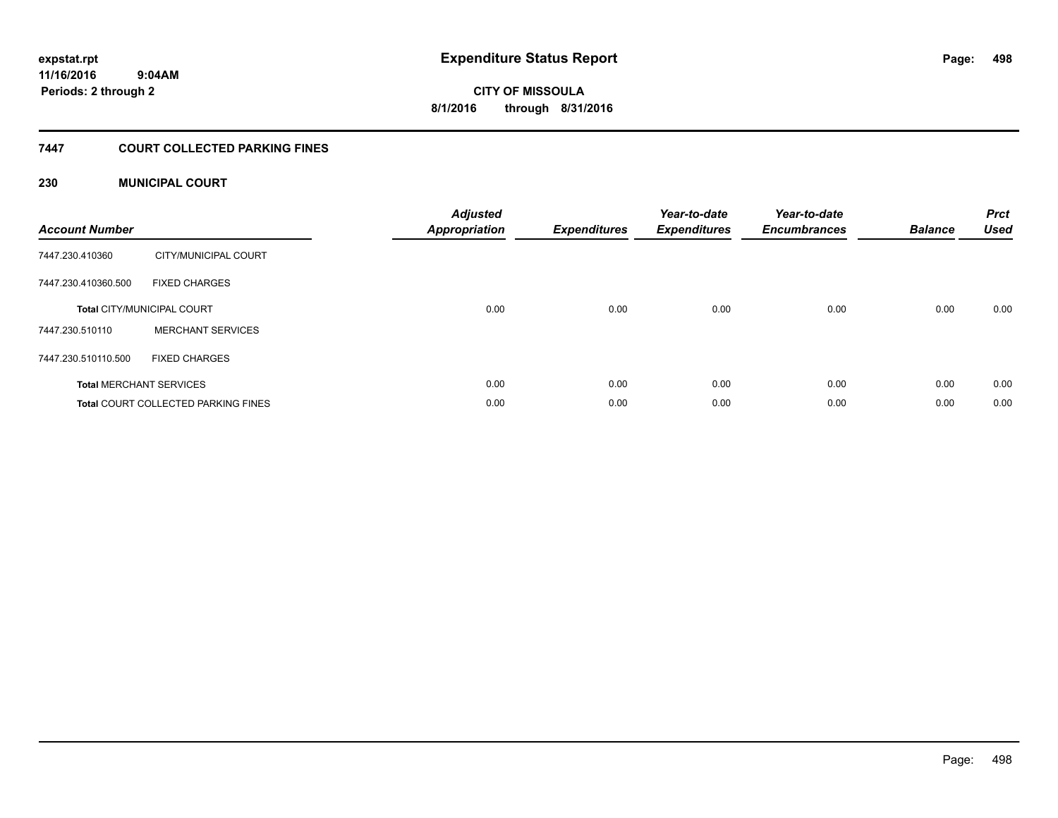**498**

**11/16/2016 9:04AM Periods: 2 through 2**

**CITY OF MISSOULA 8/1/2016 through 8/31/2016**

### **7447 COURT COLLECTED PARKING FINES**

### **230 MUNICIPAL COURT**

| <b>Account Number</b> |                                            | <b>Adjusted</b><br>Appropriation | <b>Expenditures</b> | Year-to-date<br><b>Expenditures</b> | Year-to-date<br><b>Encumbrances</b> | <b>Balance</b> | <b>Prct</b><br><b>Used</b> |
|-----------------------|--------------------------------------------|----------------------------------|---------------------|-------------------------------------|-------------------------------------|----------------|----------------------------|
| 7447.230.410360       | CITY/MUNICIPAL COURT                       |                                  |                     |                                     |                                     |                |                            |
| 7447.230.410360.500   | <b>FIXED CHARGES</b>                       |                                  |                     |                                     |                                     |                |                            |
|                       | <b>Total CITY/MUNICIPAL COURT</b>          | 0.00                             | 0.00                | 0.00                                | 0.00                                | 0.00           | 0.00                       |
| 7447.230.510110       | <b>MERCHANT SERVICES</b>                   |                                  |                     |                                     |                                     |                |                            |
| 7447.230.510110.500   | <b>FIXED CHARGES</b>                       |                                  |                     |                                     |                                     |                |                            |
|                       | <b>Total MERCHANT SERVICES</b>             | 0.00                             | 0.00                | 0.00                                | 0.00                                | 0.00           | 0.00                       |
|                       | <b>Total COURT COLLECTED PARKING FINES</b> | 0.00                             | 0.00                | 0.00                                | 0.00                                | 0.00           | 0.00                       |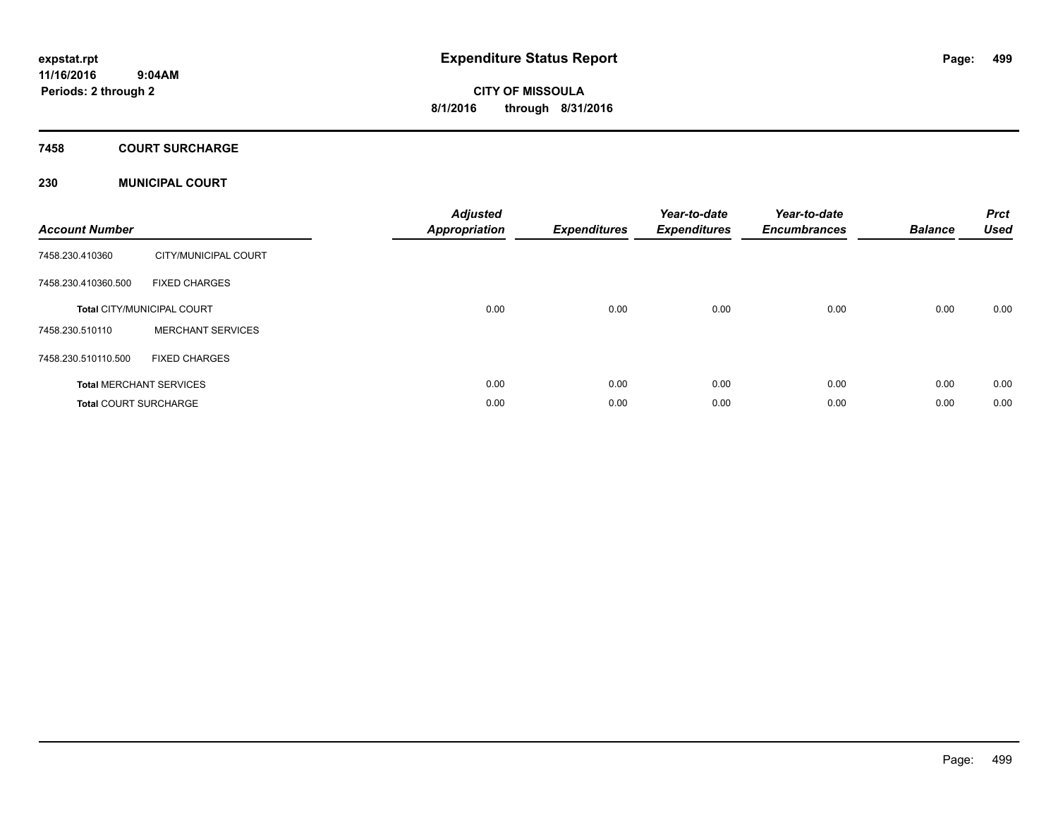### **7458 COURT SURCHARGE**

### **230 MUNICIPAL COURT**

| <b>Account Number</b>        |                                   | <b>Adjusted</b><br>Appropriation | <b>Expenditures</b> | Year-to-date<br><b>Expenditures</b> | Year-to-date<br><b>Encumbrances</b> | <b>Balance</b> | <b>Prct</b><br><b>Used</b> |
|------------------------------|-----------------------------------|----------------------------------|---------------------|-------------------------------------|-------------------------------------|----------------|----------------------------|
| 7458.230.410360              | CITY/MUNICIPAL COURT              |                                  |                     |                                     |                                     |                |                            |
| 7458.230.410360.500          | <b>FIXED CHARGES</b>              |                                  |                     |                                     |                                     |                |                            |
|                              | <b>Total CITY/MUNICIPAL COURT</b> | 0.00                             | 0.00                | 0.00                                | 0.00                                | 0.00           | 0.00                       |
| 7458.230.510110              | <b>MERCHANT SERVICES</b>          |                                  |                     |                                     |                                     |                |                            |
| 7458.230.510110.500          | <b>FIXED CHARGES</b>              |                                  |                     |                                     |                                     |                |                            |
|                              | <b>Total MERCHANT SERVICES</b>    | 0.00                             | 0.00                | 0.00                                | 0.00                                | 0.00           | 0.00                       |
| <b>Total COURT SURCHARGE</b> |                                   | 0.00                             | 0.00                | 0.00                                | 0.00                                | 0.00           | 0.00                       |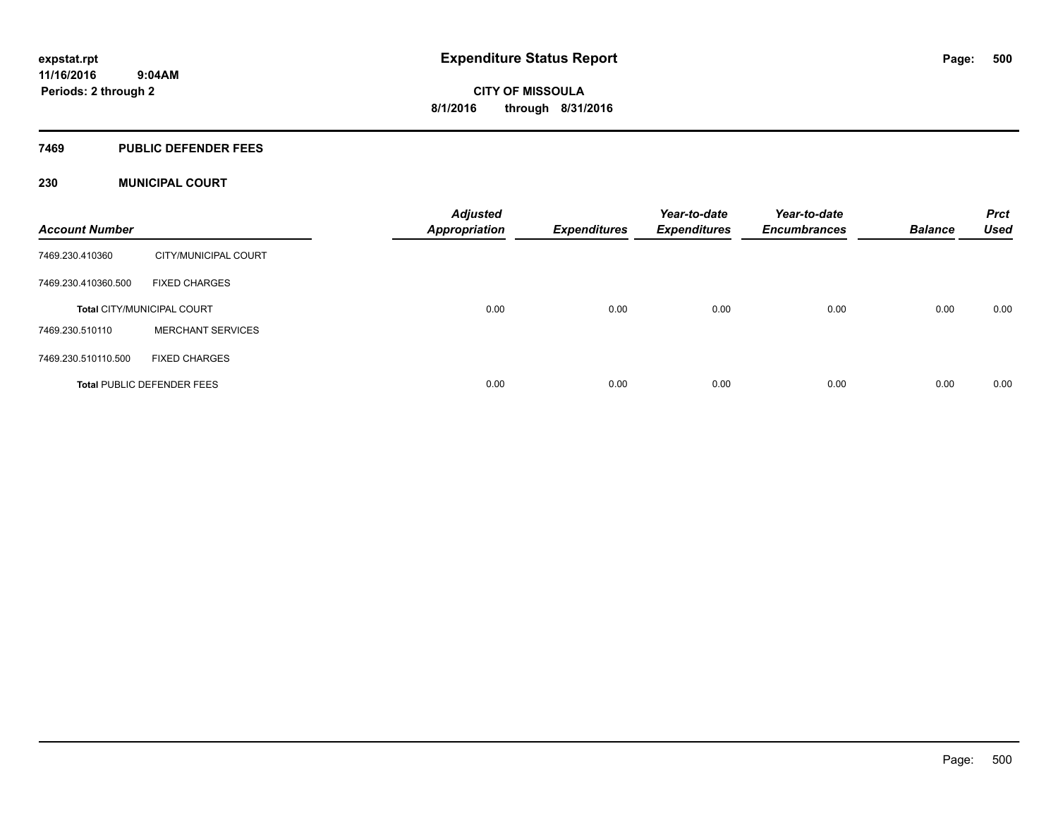#### **7469 PUBLIC DEFENDER FEES**

### **230 MUNICIPAL COURT**

| <b>Account Number</b> |                                   | <b>Adjusted</b><br><b>Appropriation</b> | <b>Expenditures</b> | Year-to-date<br><b>Expenditures</b> | Year-to-date<br><b>Encumbrances</b> | <b>Balance</b> | <b>Prct</b><br><b>Used</b> |
|-----------------------|-----------------------------------|-----------------------------------------|---------------------|-------------------------------------|-------------------------------------|----------------|----------------------------|
| 7469.230.410360       | CITY/MUNICIPAL COURT              |                                         |                     |                                     |                                     |                |                            |
| 7469.230.410360.500   | <b>FIXED CHARGES</b>              |                                         |                     |                                     |                                     |                |                            |
|                       | <b>Total CITY/MUNICIPAL COURT</b> | 0.00                                    | 0.00                | 0.00                                | 0.00                                | 0.00           | 0.00                       |
| 7469.230.510110       | <b>MERCHANT SERVICES</b>          |                                         |                     |                                     |                                     |                |                            |
| 7469.230.510110.500   | <b>FIXED CHARGES</b>              |                                         |                     |                                     |                                     |                |                            |
|                       | <b>Total PUBLIC DEFENDER FEES</b> | 0.00                                    | 0.00                | 0.00                                | 0.00                                | 0.00           | 0.00                       |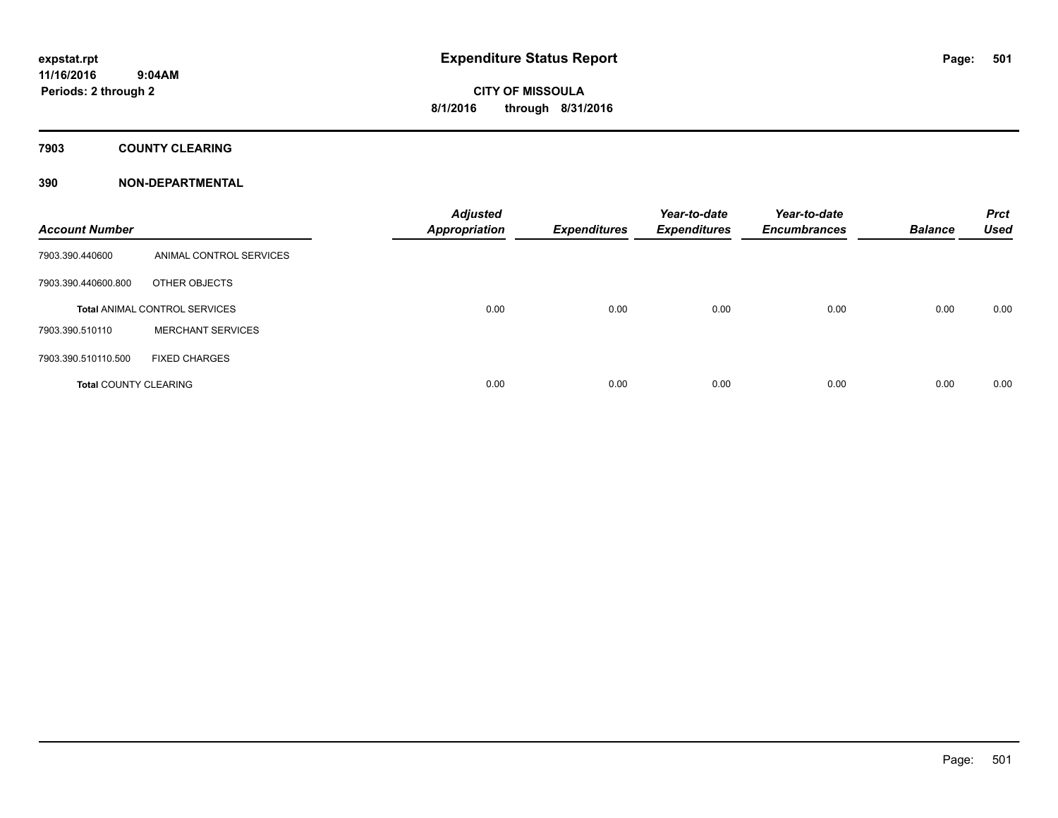### **7903 COUNTY CLEARING**

### **390 NON-DEPARTMENTAL**

| <b>Account Number</b>        |                                      | <b>Adjusted</b><br><b>Appropriation</b> | <b>Expenditures</b> | Year-to-date<br><b>Expenditures</b> | Year-to-date<br><b>Encumbrances</b> | <b>Balance</b> | <b>Prct</b><br><b>Used</b> |
|------------------------------|--------------------------------------|-----------------------------------------|---------------------|-------------------------------------|-------------------------------------|----------------|----------------------------|
| 7903.390.440600              | ANIMAL CONTROL SERVICES              |                                         |                     |                                     |                                     |                |                            |
| 7903.390.440600.800          | OTHER OBJECTS                        |                                         |                     |                                     |                                     |                |                            |
|                              | <b>Total ANIMAL CONTROL SERVICES</b> | 0.00                                    | 0.00                | 0.00                                | 0.00                                | 0.00           | 0.00                       |
| 7903.390.510110              | <b>MERCHANT SERVICES</b>             |                                         |                     |                                     |                                     |                |                            |
| 7903.390.510110.500          | <b>FIXED CHARGES</b>                 |                                         |                     |                                     |                                     |                |                            |
| <b>Total COUNTY CLEARING</b> |                                      | 0.00                                    | 0.00                | 0.00                                | 0.00                                | 0.00           | 0.00                       |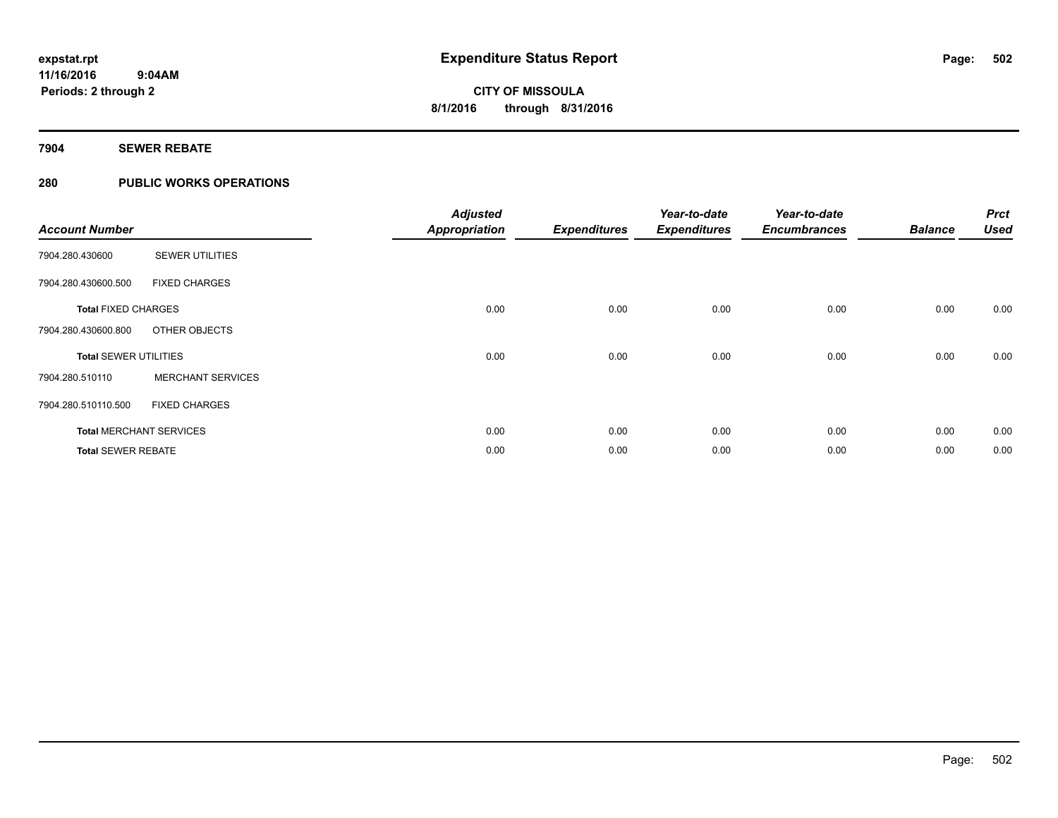### **7904 SEWER REBATE**

### **280 PUBLIC WORKS OPERATIONS**

| <b>Account Number</b>        |                                | <b>Adjusted</b><br><b>Appropriation</b> | <b>Expenditures</b> | Year-to-date<br><b>Expenditures</b> | Year-to-date<br><b>Encumbrances</b> | <b>Balance</b> | <b>Prct</b><br><b>Used</b> |
|------------------------------|--------------------------------|-----------------------------------------|---------------------|-------------------------------------|-------------------------------------|----------------|----------------------------|
| 7904.280.430600              | <b>SEWER UTILITIES</b>         |                                         |                     |                                     |                                     |                |                            |
| 7904.280.430600.500          | <b>FIXED CHARGES</b>           |                                         |                     |                                     |                                     |                |                            |
| <b>Total FIXED CHARGES</b>   |                                | 0.00                                    | 0.00                | 0.00                                | 0.00                                | 0.00           | 0.00                       |
| 7904.280.430600.800          | OTHER OBJECTS                  |                                         |                     |                                     |                                     |                |                            |
| <b>Total SEWER UTILITIES</b> |                                | 0.00                                    | 0.00                | 0.00                                | 0.00                                | 0.00           | 0.00                       |
| 7904.280.510110              | <b>MERCHANT SERVICES</b>       |                                         |                     |                                     |                                     |                |                            |
| 7904.280.510110.500          | <b>FIXED CHARGES</b>           |                                         |                     |                                     |                                     |                |                            |
|                              | <b>Total MERCHANT SERVICES</b> | 0.00                                    | 0.00                | 0.00                                | 0.00                                | 0.00           | 0.00                       |
| <b>Total SEWER REBATE</b>    |                                | 0.00                                    | 0.00                | 0.00                                | 0.00                                | 0.00           | 0.00                       |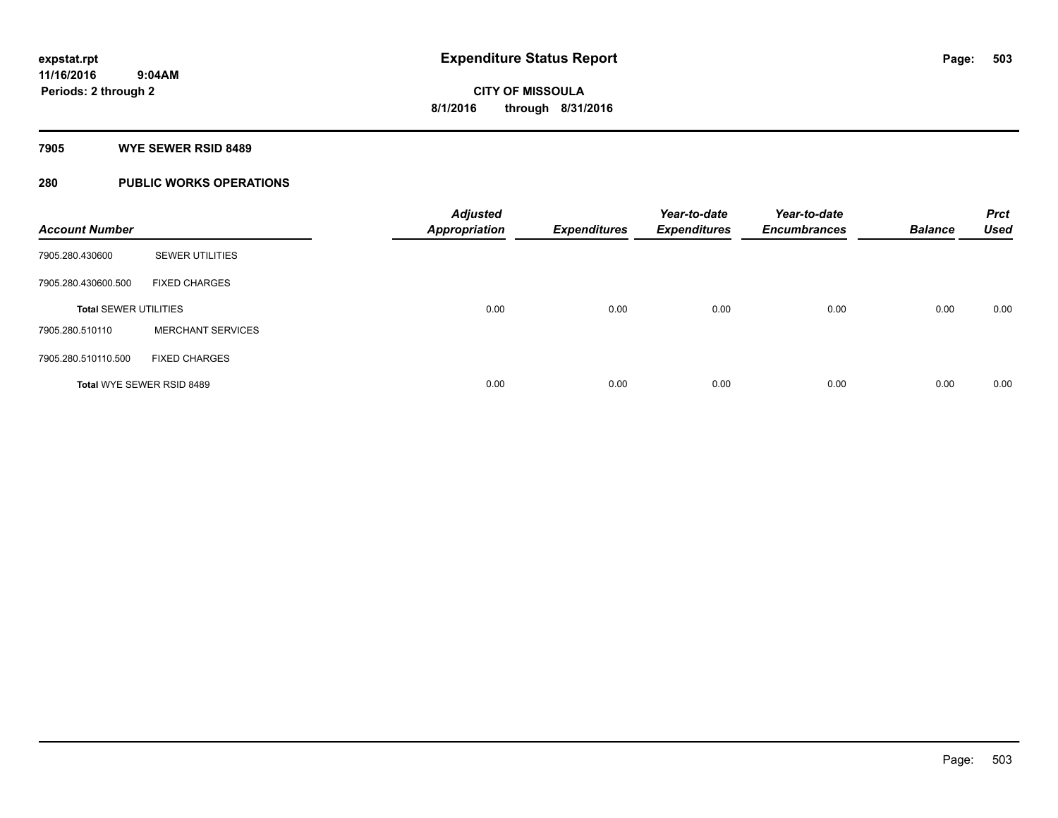#### **7905 WYE SEWER RSID 8489**

### **280 PUBLIC WORKS OPERATIONS**

| <b>Account Number</b>        |                           | <b>Adjusted</b><br><b>Appropriation</b> | <b>Expenditures</b> | Year-to-date<br><b>Expenditures</b> | Year-to-date<br><b>Encumbrances</b> | <b>Balance</b> | <b>Prct</b><br><b>Used</b> |
|------------------------------|---------------------------|-----------------------------------------|---------------------|-------------------------------------|-------------------------------------|----------------|----------------------------|
| 7905.280.430600              | <b>SEWER UTILITIES</b>    |                                         |                     |                                     |                                     |                |                            |
| 7905.280.430600.500          | <b>FIXED CHARGES</b>      |                                         |                     |                                     |                                     |                |                            |
| <b>Total SEWER UTILITIES</b> |                           | 0.00                                    | 0.00                | 0.00                                | 0.00                                | 0.00           | 0.00                       |
| 7905.280.510110              | <b>MERCHANT SERVICES</b>  |                                         |                     |                                     |                                     |                |                            |
| 7905.280.510110.500          | <b>FIXED CHARGES</b>      |                                         |                     |                                     |                                     |                |                            |
|                              | Total WYE SEWER RSID 8489 | 0.00                                    | 0.00                | 0.00                                | 0.00                                | 0.00           | 0.00                       |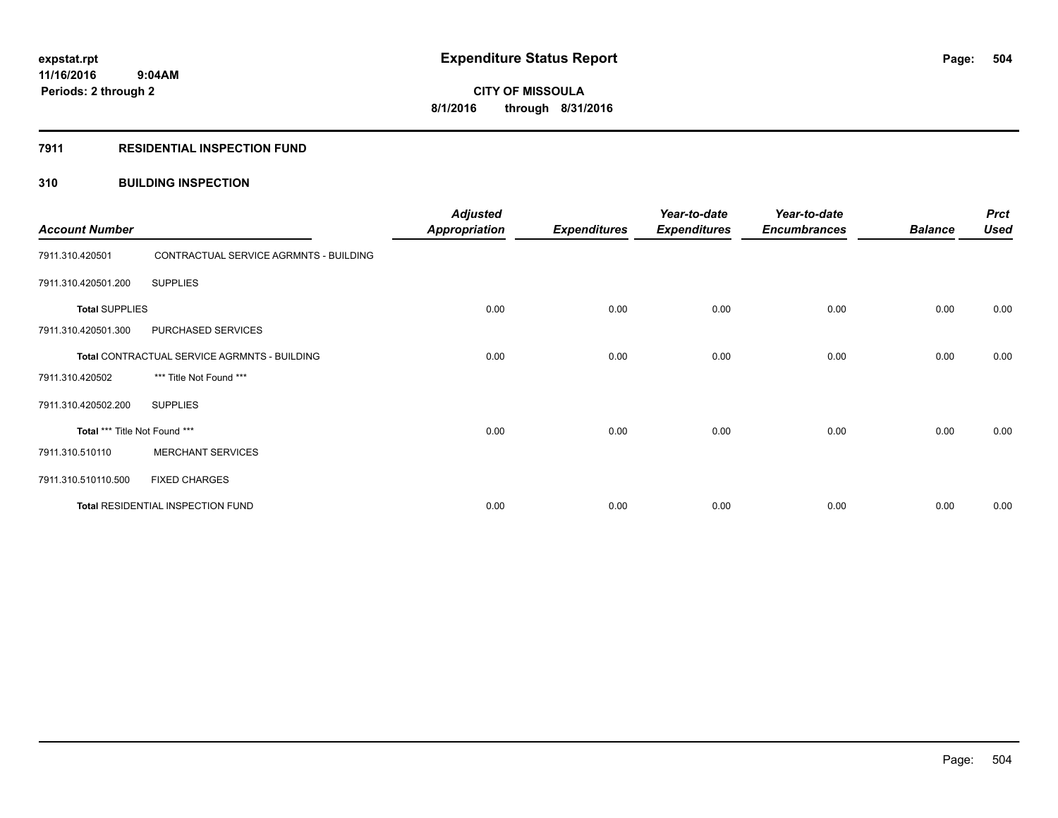### **7911 RESIDENTIAL INSPECTION FUND**

### **310 BUILDING INSPECTION**

| <b>Account Number</b>         |                                              | <b>Adjusted</b><br><b>Appropriation</b> | <b>Expenditures</b> | Year-to-date<br><b>Expenditures</b> | Year-to-date<br><b>Encumbrances</b> | <b>Balance</b> | <b>Prct</b><br><b>Used</b> |
|-------------------------------|----------------------------------------------|-----------------------------------------|---------------------|-------------------------------------|-------------------------------------|----------------|----------------------------|
| 7911.310.420501               | CONTRACTUAL SERVICE AGRMNTS - BUILDING       |                                         |                     |                                     |                                     |                |                            |
| 7911.310.420501.200           | <b>SUPPLIES</b>                              |                                         |                     |                                     |                                     |                |                            |
| <b>Total SUPPLIES</b>         |                                              | 0.00                                    | 0.00                | 0.00                                | 0.00                                | 0.00           | 0.00                       |
| 7911.310.420501.300           | PURCHASED SERVICES                           |                                         |                     |                                     |                                     |                |                            |
|                               | Total CONTRACTUAL SERVICE AGRMNTS - BUILDING | 0.00                                    | 0.00                | 0.00                                | 0.00                                | 0.00           | 0.00                       |
| 7911.310.420502               | *** Title Not Found ***                      |                                         |                     |                                     |                                     |                |                            |
| 7911.310.420502.200           | <b>SUPPLIES</b>                              |                                         |                     |                                     |                                     |                |                            |
| Total *** Title Not Found *** |                                              | 0.00                                    | 0.00                | 0.00                                | 0.00                                | 0.00           | 0.00                       |
| 7911.310.510110               | <b>MERCHANT SERVICES</b>                     |                                         |                     |                                     |                                     |                |                            |
| 7911.310.510110.500           | <b>FIXED CHARGES</b>                         |                                         |                     |                                     |                                     |                |                            |
|                               | Total RESIDENTIAL INSPECTION FUND            | 0.00                                    | 0.00                | 0.00                                | 0.00                                | 0.00           | 0.00                       |